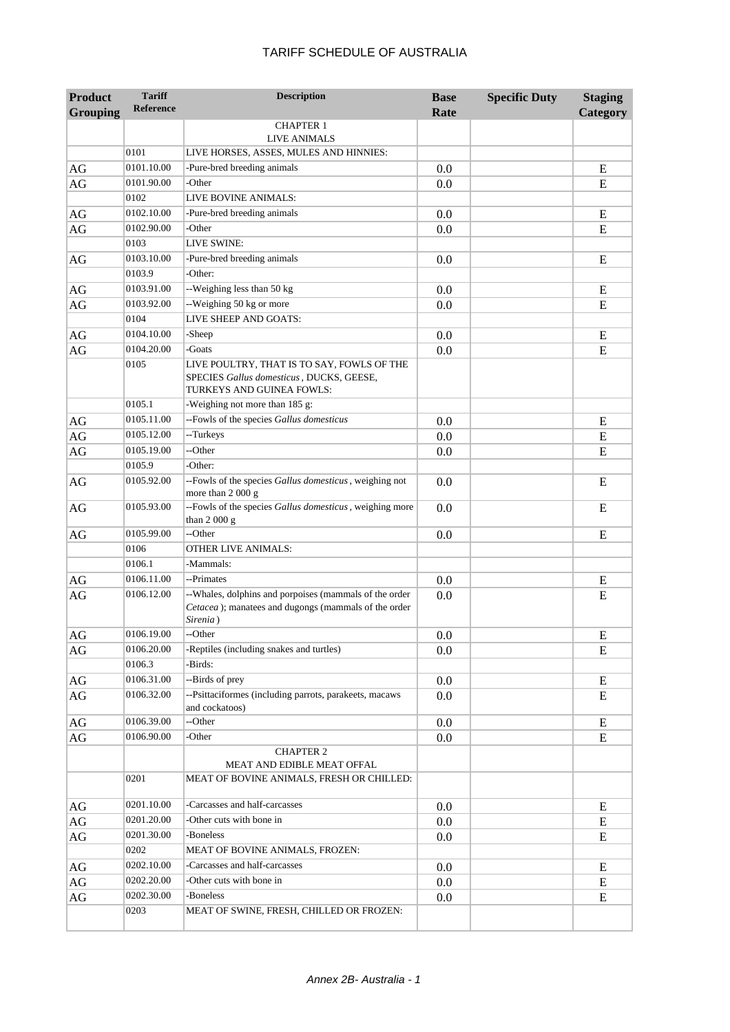| <b>Product</b>  | <b>Tariff</b>    | <b>Description</b>                                                                                                         | <b>Base</b> | <b>Specific Duty</b> | <b>Staging</b> |
|-----------------|------------------|----------------------------------------------------------------------------------------------------------------------------|-------------|----------------------|----------------|
| <b>Grouping</b> | <b>Reference</b> |                                                                                                                            | Rate        |                      | Category       |
|                 |                  | <b>CHAPTER 1</b>                                                                                                           |             |                      |                |
|                 | 0101             | <b>LIVE ANIMALS</b><br>LIVE HORSES, ASSES, MULES AND HINNIES:                                                              |             |                      |                |
|                 | 0101.10.00       | -Pure-bred breeding animals                                                                                                |             |                      |                |
| AG              | 0101.90.00       | -Other                                                                                                                     | 0.0         |                      | E              |
| AG              | 0102             | LIVE BOVINE ANIMALS:                                                                                                       | 0.0         |                      | E              |
|                 | 0102.10.00       | -Pure-bred breeding animals                                                                                                |             |                      |                |
| AG              | 0102.90.00       | -Other                                                                                                                     | 0.0         |                      | E              |
| AG              | 0103             | LIVE SWINE:                                                                                                                | 0.0         |                      | E              |
|                 | 0103.10.00       | -Pure-bred breeding animals                                                                                                |             |                      |                |
| AG              | 0103.9           | -Other:                                                                                                                    | 0.0         |                      | E              |
|                 | 0103.91.00       | --Weighing less than 50 kg                                                                                                 |             |                      |                |
| AG              | 0103.92.00       | --Weighing 50 kg or more                                                                                                   | 0.0         |                      | E<br>E         |
| AG              | 0104             | LIVE SHEEP AND GOATS:                                                                                                      | 0.0         |                      |                |
| $\rm{AG}$       | 0104.10.00       | -Sheep                                                                                                                     |             |                      |                |
| $\rm{AG}$       | 0104.20.00       | -Goats                                                                                                                     | 0.0<br>0.0  |                      | Ε<br>E         |
|                 | 0105             | LIVE POULTRY, THAT IS TO SAY, FOWLS OF THE                                                                                 |             |                      |                |
|                 |                  | SPECIES Gallus domesticus, DUCKS, GEESE,<br>TURKEYS AND GUINEA FOWLS:                                                      |             |                      |                |
|                 | 0105.1           | -Weighing not more than 185 g:                                                                                             |             |                      |                |
| AG              | 0105.11.00       | --Fowls of the species Gallus domesticus                                                                                   | 0.0         |                      | E              |
| AG              | 0105.12.00       | --Turkeys                                                                                                                  | 0.0         |                      | E              |
| AG              | 0105.19.00       | --Other                                                                                                                    | 0.0         |                      | E              |
|                 | 0105.9           | -Other:                                                                                                                    |             |                      |                |
| AG              | 0105.92.00       | --Fowls of the species Gallus domesticus, weighing not<br>more than 2 000 g                                                | 0.0         |                      | E              |
| AG              | 0105.93.00       | --Fowls of the species Gallus domesticus, weighing more<br>than 2 000 g                                                    | 0.0         |                      | E              |
| AG              | 0105.99.00       | --Other                                                                                                                    | 0.0         |                      | E              |
|                 | 0106             | <b>OTHER LIVE ANIMALS:</b>                                                                                                 |             |                      |                |
|                 | 0106.1           | -Mammals:                                                                                                                  |             |                      |                |
| $\rm{AG}$       | 0106.11.00       | --Primates                                                                                                                 | 0.0         |                      | E              |
| AG              | 0106.12.00       | --Whales, dolphins and porpoises (mammals of the order<br>Cetacea); manatees and dugongs (mammals of the order<br>Sirenia) | 0.0         |                      | E              |
| AG              | 0106.19.00       | --Other                                                                                                                    | 0.0         |                      | E              |
| AG              | 0106.20.00       | -Reptiles (including snakes and turtles)                                                                                   | 0.0         |                      | E              |
|                 | 0106.3           | -Birds:                                                                                                                    |             |                      |                |
| AG              | 0106.31.00       | --Birds of prey                                                                                                            | 0.0         |                      | E              |
| AG              | 0106.32.00       | --Psittaciformes (including parrots, parakeets, macaws<br>and cockatoos)                                                   | 0.0         |                      | E              |
| AG              | 0106.39.00       | --Other                                                                                                                    | 0.0         |                      | E              |
| AG              | 0106.90.00       | -Other                                                                                                                     | 0.0         |                      | E              |
|                 |                  | <b>CHAPTER 2</b>                                                                                                           |             |                      |                |
|                 |                  | MEAT AND EDIBLE MEAT OFFAL                                                                                                 |             |                      |                |
|                 | 0201             | MEAT OF BOVINE ANIMALS, FRESH OR CHILLED:                                                                                  |             |                      |                |
| AG              | 0201.10.00       | -Carcasses and half-carcasses                                                                                              | 0.0         |                      | E              |
| $\rm{AG}$       | 0201.20.00       | -Other cuts with bone in                                                                                                   | 0.0         |                      | E              |
| AG              | 0201.30.00       | -Boneless                                                                                                                  | 0.0         |                      | E              |
|                 | 0202             | MEAT OF BOVINE ANIMALS, FROZEN:                                                                                            |             |                      |                |
| $\rm{AG}$       | 0202.10.00       | -Carcasses and half-carcasses                                                                                              | 0.0         |                      | E              |
| AG              | 0202.20.00       | -Other cuts with bone in                                                                                                   | 0.0         |                      | E              |
| AG              | 0202.30.00       | -Boneless                                                                                                                  | 0.0         |                      | E              |
|                 | 0203             | MEAT OF SWINE, FRESH, CHILLED OR FROZEN:                                                                                   |             |                      |                |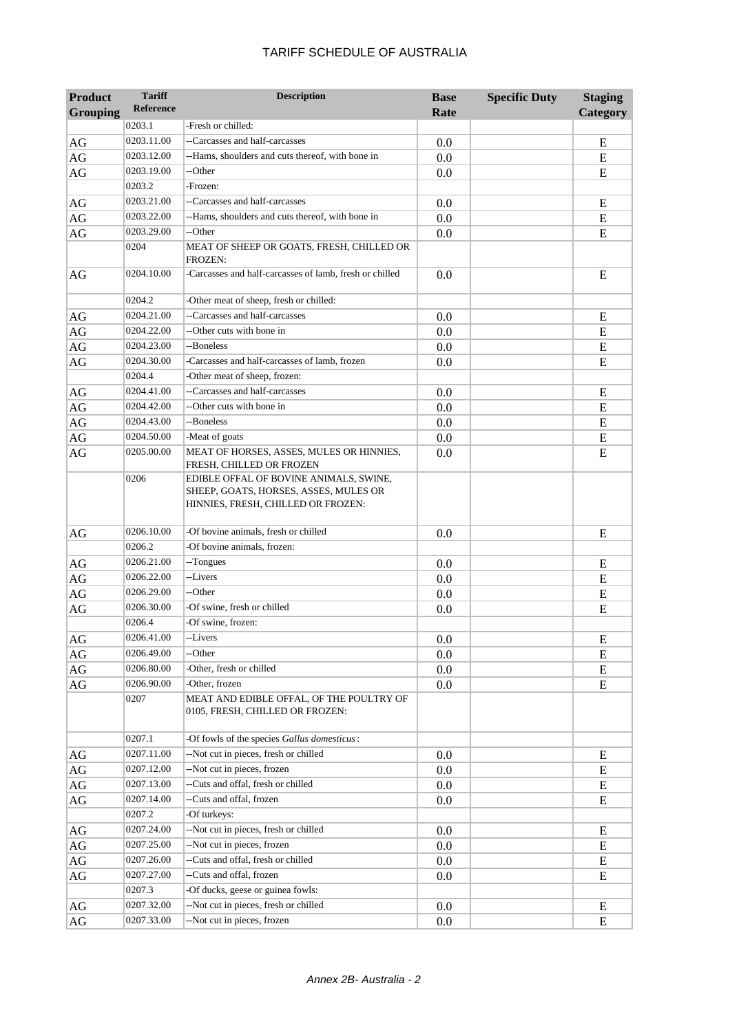| <b>Product</b><br>Grouping | <b>Tariff</b><br>Reference | <b>Description</b>                                                                                                    | <b>Base</b><br>Rate | <b>Specific Duty</b> | <b>Staging</b><br>Category |
|----------------------------|----------------------------|-----------------------------------------------------------------------------------------------------------------------|---------------------|----------------------|----------------------------|
|                            | 0203.1                     | -Fresh or chilled:                                                                                                    |                     |                      |                            |
| AG                         | 0203.11.00                 | --Carcasses and half-carcasses                                                                                        | 0.0                 |                      | E                          |
| AG                         | 0203.12.00                 | --Hams, shoulders and cuts thereof, with bone in                                                                      | 0.0                 |                      | E                          |
| AG                         | 0203.19.00                 | --Other                                                                                                               | 0.0                 |                      | E                          |
|                            | 0203.2                     | -Frozen:                                                                                                              |                     |                      |                            |
| AG                         | 0203.21.00                 | --Carcasses and half-carcasses                                                                                        | 0.0                 |                      | Ε                          |
| $\rm{AG}$                  | 0203.22.00                 | --Hams, shoulders and cuts thereof, with bone in                                                                      | 0.0                 |                      | E                          |
| AG                         | 0203.29.00                 | --Other                                                                                                               | 0.0                 |                      | E                          |
|                            | 0204                       | MEAT OF SHEEP OR GOATS, FRESH, CHILLED OR<br>FROZEN:                                                                  |                     |                      |                            |
| AG                         | 0204.10.00                 | -Carcasses and half-carcasses of lamb, fresh or chilled                                                               | 0.0                 |                      | E                          |
|                            | 0204.2                     | -Other meat of sheep, fresh or chilled:                                                                               |                     |                      |                            |
| AG                         | 0204.21.00                 | --Carcasses and half-carcasses                                                                                        | 0.0                 |                      | Ε                          |
| $\rm{AG}$                  | 0204.22.00                 | --Other cuts with bone in                                                                                             | 0.0                 |                      | E                          |
| $\rm{AG}$                  | 0204.23.00                 | --Boneless                                                                                                            | 0.0                 |                      | ${\bf E}$                  |
| $\rm{AG}$                  | 0204.30.00                 | -Carcasses and half-carcasses of lamb, frozen                                                                         | 0.0                 |                      | E                          |
|                            | 0204.4                     | -Other meat of sheep, frozen:                                                                                         |                     |                      |                            |
| AG                         | 0204.41.00                 | --Carcasses and half-carcasses                                                                                        | 0.0                 |                      | E                          |
| AG                         | 0204.42.00                 | --Other cuts with bone in                                                                                             | 0.0                 |                      | E                          |
| AG                         | 0204.43.00                 | --Boneless                                                                                                            | 0.0                 |                      | E                          |
| $\rm{AG}$                  | 0204.50.00                 | -Meat of goats                                                                                                        | 0.0                 |                      | E                          |
| AG                         | 0205.00.00                 | MEAT OF HORSES, ASSES, MULES OR HINNIES,<br>FRESH, CHILLED OR FROZEN                                                  | 0.0                 |                      | E                          |
|                            | 0206                       | EDIBLE OFFAL OF BOVINE ANIMALS, SWINE,<br>SHEEP, GOATS, HORSES, ASSES, MULES OR<br>HINNIES, FRESH, CHILLED OR FROZEN: |                     |                      |                            |
| AG                         | 0206.10.00                 | -Of bovine animals, fresh or chilled                                                                                  | 0.0                 |                      | E                          |
|                            | 0206.2                     | -Of bovine animals, frozen:                                                                                           |                     |                      |                            |
| AG                         | 0206.21.00                 | --Tongues                                                                                                             | 0.0                 |                      | E                          |
| AG                         | 0206.22.00                 | --Livers                                                                                                              | 0.0                 |                      | E                          |
| AG                         | 0206.29.00                 | --Other                                                                                                               | 0.0                 |                      | E                          |
| AG                         | 0206.30.00                 | -Of swine, fresh or chilled                                                                                           | 0.0                 |                      | E                          |
|                            | 0206.4                     | -Of swine, frozen:                                                                                                    |                     |                      |                            |
| AG                         | 0206.41.00                 | --Livers                                                                                                              | 0.0                 |                      | ${\bf E}$                  |
| AG                         | 0206.49.00                 | --Other                                                                                                               | 0.0                 |                      | ${\bf E}$                  |
| $\rm{AG}$                  | 0206.80.00                 | -Other, fresh or chilled                                                                                              | $0.0\,$             |                      | E                          |
| AG                         | 0206.90.00<br>0207         | -Other, frozen<br>MEAT AND EDIBLE OFFAL, OF THE POULTRY OF<br>0105, FRESH, CHILLED OR FROZEN:                         | 0.0                 |                      | E                          |
|                            | 0207.1                     | -Of fowls of the species Gallus domesticus:                                                                           |                     |                      |                            |
| AG                         | 0207.11.00                 | --Not cut in pieces, fresh or chilled                                                                                 | 0.0                 |                      | E                          |
| $\rm{AG}$                  | 0207.12.00                 | --Not cut in pieces, frozen                                                                                           | 0.0                 |                      | E                          |
| $\rm{AG}$                  | 0207.13.00                 | --Cuts and offal, fresh or chilled                                                                                    | 0.0                 |                      | E                          |
| AG                         | 0207.14.00                 | --Cuts and offal, frozen                                                                                              | 0.0                 |                      | E                          |
|                            | 0207.2                     | -Of turkeys:                                                                                                          |                     |                      |                            |
| AG                         | 0207.24.00                 | --Not cut in pieces, fresh or chilled                                                                                 | 0.0                 |                      | Ε                          |
| AG                         | 0207.25.00                 | --Not cut in pieces, frozen                                                                                           | 0.0                 |                      | E                          |
| AG                         | 0207.26.00                 | --Cuts and offal, fresh or chilled                                                                                    | 0.0                 |                      | Ε                          |
| AG                         | 0207.27.00                 | --Cuts and offal, frozen                                                                                              | 0.0                 |                      | Ε                          |
|                            | 0207.3                     | -Of ducks, geese or guinea fowls:                                                                                     |                     |                      |                            |
| AG                         | 0207.32.00                 | --Not cut in pieces, fresh or chilled                                                                                 | 0.0                 |                      | E                          |
| AG                         | 0207.33.00                 | --Not cut in pieces, frozen                                                                                           | 0.0                 |                      | E                          |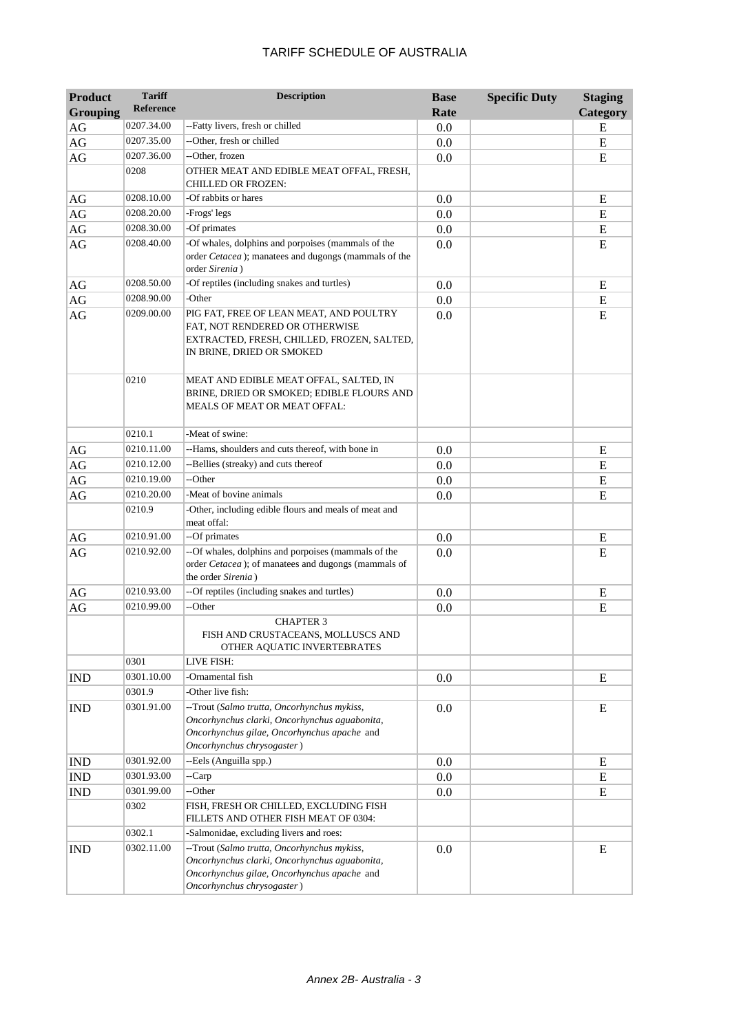| <b>Product</b>  | <b>Tariff</b> | <b>Description</b>                                                                                                                                                        | <b>Base</b> | <b>Specific Duty</b> | <b>Staging</b> |
|-----------------|---------------|---------------------------------------------------------------------------------------------------------------------------------------------------------------------------|-------------|----------------------|----------------|
| <b>Grouping</b> | Reference     |                                                                                                                                                                           | Rate        |                      | Category       |
| AG              | 0207.34.00    | --Fatty livers, fresh or chilled                                                                                                                                          | 0.0         |                      | E              |
| AG              | 0207.35.00    | --Other, fresh or chilled                                                                                                                                                 | 0.0         |                      | ${\bf E}$      |
| AG              | 0207.36.00    | --Other, frozen                                                                                                                                                           | 0.0         |                      | E              |
|                 | 0208          | OTHER MEAT AND EDIBLE MEAT OFFAL, FRESH,<br><b>CHILLED OR FROZEN:</b>                                                                                                     |             |                      |                |
| AG              | 0208.10.00    | -Of rabbits or hares                                                                                                                                                      | 0.0         |                      | E              |
| $\rm{AG}$       | 0208.20.00    | -Frogs' legs                                                                                                                                                              | 0.0         |                      | ${\bf E}$      |
| $\rm{AG}$       | 0208.30.00    | -Of primates                                                                                                                                                              | 0.0         |                      | E              |
| AG              | 0208.40.00    | -Of whales, dolphins and porpoises (mammals of the<br>order Cetacea); manatees and dugongs (mammals of the<br>order Sirenia)                                              | 0.0         |                      | E              |
| AG              | 0208.50.00    | -Of reptiles (including snakes and turtles)                                                                                                                               | 0.0         |                      | ${\bf E}$      |
| $\rm{AG}$       | 0208.90.00    | -Other                                                                                                                                                                    | 0.0         |                      | ${\bf E}$      |
| AG              | 0209.00.00    | PIG FAT, FREE OF LEAN MEAT, AND POULTRY<br>FAT, NOT RENDERED OR OTHERWISE<br>EXTRACTED, FRESH, CHILLED, FROZEN, SALTED,<br>IN BRINE, DRIED OR SMOKED                      | 0.0         |                      | E              |
|                 | 0210          | MEAT AND EDIBLE MEAT OFFAL, SALTED, IN<br>BRINE, DRIED OR SMOKED; EDIBLE FLOURS AND<br><b>MEALS OF MEAT OR MEAT OFFAL:</b>                                                |             |                      |                |
|                 | 0210.1        | -Meat of swine:                                                                                                                                                           |             |                      |                |
| AG              | 0210.11.00    | --Hams, shoulders and cuts thereof, with bone in                                                                                                                          | 0.0         |                      | E              |
| AG              | 0210.12.00    | --Bellies (streaky) and cuts thereof                                                                                                                                      | 0.0         |                      | E              |
| AG              | 0210.19.00    | --Other                                                                                                                                                                   | 0.0         |                      | E              |
| AG              | 0210.20.00    | -Meat of bovine animals                                                                                                                                                   | 0.0         |                      | E              |
|                 | 0210.9        | -Other, including edible flours and meals of meat and<br>meat offal:                                                                                                      |             |                      |                |
| AG              | 0210.91.00    | --Of primates                                                                                                                                                             | 0.0         |                      | E              |
| AG              | 0210.92.00    | --Of whales, dolphins and porpoises (mammals of the<br>order Cetacea); of manatees and dugongs (mammals of<br>the order Sirenia)                                          | 0.0         |                      | E              |
| AG              | 0210.93.00    | --Of reptiles (including snakes and turtles)                                                                                                                              | 0.0         |                      | E              |
| $\rm{AG}$       | 0210.99.00    | --Other                                                                                                                                                                   | 0.0         |                      | E              |
|                 |               | <b>CHAPTER 3</b><br>FISH AND CRUSTACEANS, MOLLUSCS AND<br>OTHER AQUATIC INVERTEBRATES                                                                                     |             |                      |                |
|                 | 0301          | LIVE FISH:                                                                                                                                                                |             |                      |                |
| <b>IND</b>      | 0301.10.00    | -Ornamental fish                                                                                                                                                          | 0.0         |                      | E              |
|                 | 0301.9        | -Other live fish:                                                                                                                                                         |             |                      |                |
| <b>IND</b>      | 0301.91.00    | --Trout (Salmo trutta, Oncorhynchus mykiss,<br>Oncorhynchus clarki, Oncorhynchus aguabonita,<br>Oncorhynchus gilae, Oncorhynchus apache and<br>Oncorhynchus chrysogaster) | 0.0         |                      | E              |
| <b>IND</b>      | 0301.92.00    | --Eels (Anguilla spp.)                                                                                                                                                    | 0.0         |                      | E              |
| <b>IND</b>      | 0301.93.00    | --Carp                                                                                                                                                                    | 0.0         |                      | ${\bf E}$      |
| <b>IND</b>      | 0301.99.00    | --Other                                                                                                                                                                   | 0.0         |                      | E              |
|                 | 0302          | FISH, FRESH OR CHILLED, EXCLUDING FISH<br>FILLETS AND OTHER FISH MEAT OF 0304:                                                                                            |             |                      |                |
|                 | 0302.1        | -Salmonidae, excluding livers and roes:                                                                                                                                   |             |                      |                |
| <b>IND</b>      | 0302.11.00    | --Trout (Salmo trutta, Oncorhynchus mykiss,<br>Oncorhynchus clarki, Oncorhynchus aguabonita,<br>Oncorhynchus gilae, Oncorhynchus apache and<br>Oncorhynchus chrysogaster) | 0.0         |                      | E              |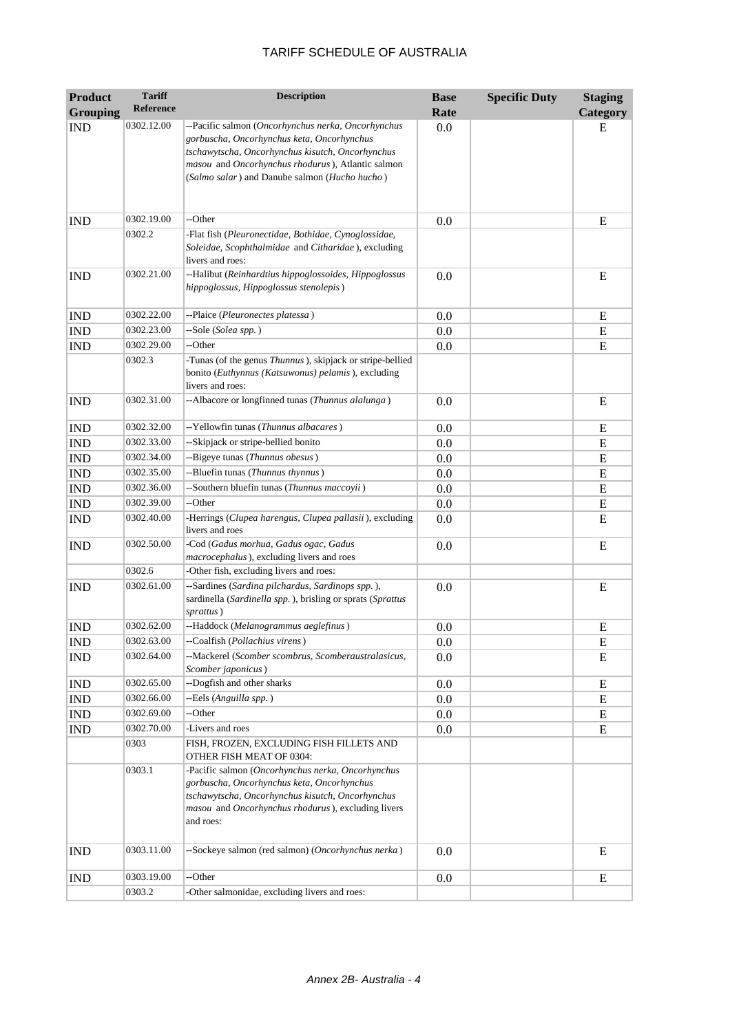| <b>Product</b>  | <b>Tariff</b>    | <b>Description</b>                                                                                                                                                                                                                                         | <b>Base</b> | <b>Specific Duty</b> | <b>Staging</b> |
|-----------------|------------------|------------------------------------------------------------------------------------------------------------------------------------------------------------------------------------------------------------------------------------------------------------|-------------|----------------------|----------------|
| <b>Grouping</b> | <b>Reference</b> |                                                                                                                                                                                                                                                            | Rate        |                      | Category       |
| <b>IND</b>      | 0302.12.00       | --Pacific salmon (Oncorhynchus nerka, Oncorhynchus<br>gorbuscha, Oncorhynchus keta, Oncorhynchus<br>tschawytscha, Oncorhynchus kisutch, Oncorhynchus<br>masou and Oncorhynchus rhodurus), Atlantic salmon<br>(Salmo salar) and Danube salmon (Hucho hucho) | 0.0         |                      | E              |
| <b>IND</b>      | 0302.19.00       | --Other                                                                                                                                                                                                                                                    | 0.0         |                      | E              |
|                 | 0302.2           | -Flat fish (Pleuronectidae, Bothidae, Cynoglossidae,<br>Soleidae, Scophthalmidae and Citharidae), excluding<br>livers and roes:                                                                                                                            |             |                      |                |
| <b>IND</b>      | 0302.21.00       | --Halibut (Reinhardtius hippoglossoides, Hippoglossus<br>hippoglossus, Hippoglossus stenolepis)                                                                                                                                                            | 0.0         |                      | Ε              |
| <b>IND</b>      | 0302.22.00       | --Plaice (Pleuronectes platessa)                                                                                                                                                                                                                           | 0.0         |                      | E              |
| <b>IND</b>      | 0302.23.00       | --Sole (Solea spp.)                                                                                                                                                                                                                                        | 0.0         |                      | E              |
| <b>IND</b>      | 0302.29.00       | --Other                                                                                                                                                                                                                                                    | 0.0         |                      | ${\bf E}$      |
|                 | 0302.3           | -Tunas (of the genus <i>Thunnus</i> ), skipjack or stripe-bellied<br>bonito (Euthynnus (Katsuwonus) pelamis), excluding<br>livers and roes:                                                                                                                |             |                      |                |
| <b>IND</b>      | 0302.31.00       | --Albacore or longfinned tunas (Thunnus alalunga)                                                                                                                                                                                                          | 0.0         |                      | E              |
| <b>IND</b>      | 0302.32.00       | --Yellowfin tunas (Thunnus albacares)                                                                                                                                                                                                                      | 0.0         |                      | E              |
| <b>IND</b>      | 0302.33.00       | --Skipjack or stripe-bellied bonito                                                                                                                                                                                                                        | 0.0         |                      | E              |
| <b>IND</b>      | 0302.34.00       | --Bigeye tunas (Thunnus obesus)                                                                                                                                                                                                                            | 0.0         |                      | E              |
| <b>IND</b>      | 0302.35.00       | --Bluefin tunas (Thunnus thynnus)                                                                                                                                                                                                                          | 0.0         |                      | ${\bf E}$      |
| <b>IND</b>      | 0302.36.00       | --Southern bluefin tunas (Thunnus maccoyii)                                                                                                                                                                                                                | 0.0         |                      | ${\bf E}$      |
| <b>IND</b>      | 0302.39.00       | --Other                                                                                                                                                                                                                                                    | 0.0         |                      | ${\bf E}$      |
| <b>IND</b>      | 0302.40.00       | -Herrings (Clupea harengus, Clupea pallasii), excluding<br>livers and roes                                                                                                                                                                                 | 0.0         |                      | E              |
| <b>IND</b>      | 0302.50.00       | -Cod (Gadus morhua, Gadus ogac, Gadus<br>macrocephalus), excluding livers and roes                                                                                                                                                                         | 0.0         |                      | E              |
|                 | 0302.6           | -Other fish, excluding livers and roes:                                                                                                                                                                                                                    |             |                      |                |
| <b>IND</b>      | 0302.61.00       | --Sardines (Sardina pilchardus, Sardinops spp.),<br>sardinella (Sardinella spp.), brisling or sprats (Sprattus<br>sprattus)                                                                                                                                | 0.0         |                      | E              |
| <b>IND</b>      | 0302.62.00       | --Haddock (Melanogrammus aeglefinus)                                                                                                                                                                                                                       | 0.0         |                      | Ε              |
| <b>IND</b>      | 0302.63.00       | --Coalfish (Pollachius virens)                                                                                                                                                                                                                             | 0.0         |                      | ${\bf E}$      |
| <b>IND</b>      | 0302.64.00       | --Mackerel (Scomber scombrus, Scomberaustralasicus,<br>Scomber japonicus)                                                                                                                                                                                  | 0.0         |                      | E              |
| <b>IND</b>      | 0302.65.00       | --Dogfish and other sharks                                                                                                                                                                                                                                 | 0.0         |                      | E              |
| <b>IND</b>      | 0302.66.00       | --Eels (Anguilla spp.)                                                                                                                                                                                                                                     | 0.0         |                      | E              |
| <b>IND</b>      | 0302.69.00       | --Other                                                                                                                                                                                                                                                    | 0.0         |                      | E              |
| <b>IND</b>      | 0302.70.00       | -Livers and roes                                                                                                                                                                                                                                           | 0.0         |                      | E              |
|                 | 0303             | FISH, FROZEN, EXCLUDING FISH FILLETS AND<br>OTHER FISH MEAT OF 0304:                                                                                                                                                                                       |             |                      |                |
|                 | 0303.1           | -Pacific salmon (Oncorhynchus nerka, Oncorhynchus<br>gorbuscha, Oncorhynchus keta, Oncorhynchus<br>tschawytscha, Oncorhynchus kisutch, Oncorhynchus<br>masou and Oncorhynchus rhodurus), excluding livers<br>and roes:                                     |             |                      |                |
| <b>IND</b>      | 0303.11.00       | --Sockeye salmon (red salmon) (Oncorhynchus nerka)                                                                                                                                                                                                         | 0.0         |                      | E              |
| <b>IND</b>      | 0303.19.00       | --Other                                                                                                                                                                                                                                                    | 0.0         |                      | E              |
|                 | 0303.2           | -Other salmonidae, excluding livers and roes:                                                                                                                                                                                                              |             |                      |                |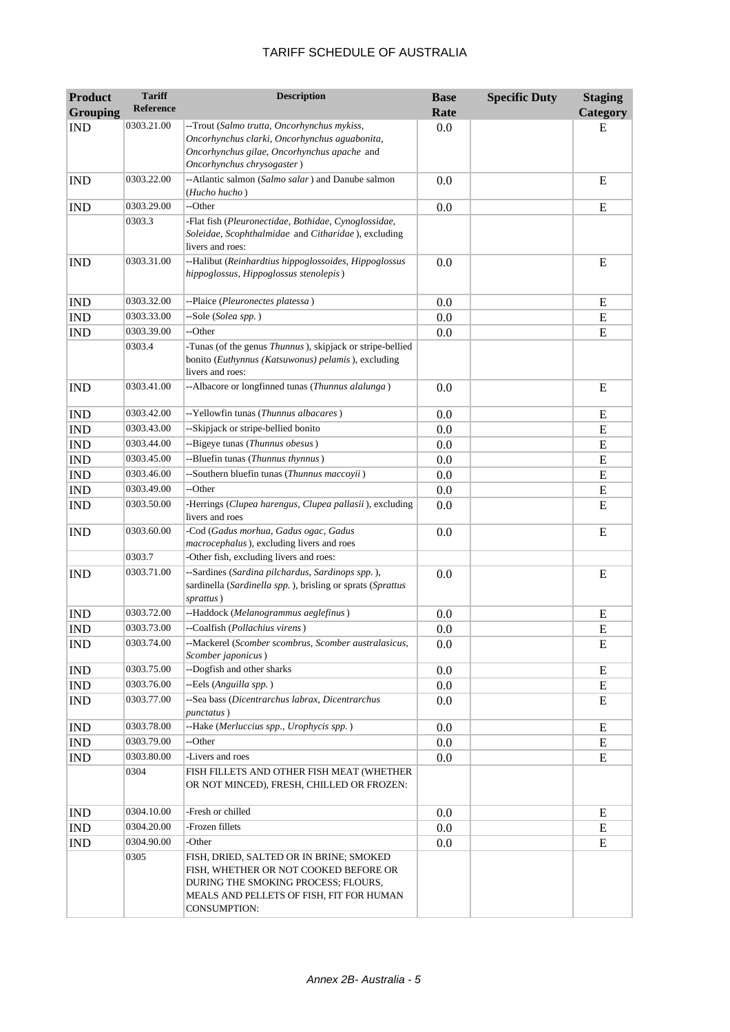| <b>Product</b><br><b>Grouping</b> | <b>Tariff</b><br><b>Reference</b> | <b>Description</b>                                                                                                                                                                         | <b>Base</b><br>Rate | <b>Specific Duty</b> | <b>Staging</b><br>Category |
|-----------------------------------|-----------------------------------|--------------------------------------------------------------------------------------------------------------------------------------------------------------------------------------------|---------------------|----------------------|----------------------------|
| <b>IND</b>                        | 0303.21.00                        | --Trout (Salmo trutta, Oncorhynchus mykiss,                                                                                                                                                | 0.0                 |                      | E                          |
|                                   |                                   | Oncorhynchus clarki, Oncorhynchus aguabonita,<br>Oncorhynchus gilae, Oncorhynchus apache and<br>Oncorhynchus chrysogaster)                                                                 |                     |                      |                            |
| <b>IND</b>                        | 0303.22.00                        | --Atlantic salmon (Salmo salar) and Danube salmon<br>(Hucho hucho)                                                                                                                         | 0.0                 |                      | E                          |
| <b>IND</b>                        | 0303.29.00                        | --Other                                                                                                                                                                                    | 0.0                 |                      | E                          |
|                                   | 0303.3                            | -Flat fish (Pleuronectidae, Bothidae, Cynoglossidae,<br>Soleidae, Scophthalmidae and Citharidae), excluding<br>livers and roes:                                                            |                     |                      |                            |
| <b>IND</b>                        | 0303.31.00                        | --Halibut (Reinhardtius hippoglossoides, Hippoglossus<br>hippoglossus, Hippoglossus stenolepis)                                                                                            | 0.0                 |                      | E                          |
| <b>IND</b>                        | 0303.32.00                        | --Plaice (Pleuronectes platessa)                                                                                                                                                           | 0.0                 |                      | E                          |
| <b>IND</b>                        | 0303.33.00                        | --Sole (Solea spp.)                                                                                                                                                                        | 0.0                 |                      | ${\bf E}$                  |
| <b>IND</b>                        | 0303.39.00                        | --Other                                                                                                                                                                                    | 0.0                 |                      | ${\bf E}$                  |
|                                   | 0303.4                            | -Tunas (of the genus Thunnus), skipjack or stripe-bellied<br>bonito (Euthynnus (Katsuwonus) pelamis), excluding<br>livers and roes:                                                        |                     |                      |                            |
| <b>IND</b>                        | 0303.41.00                        | --Albacore or longfinned tunas (Thunnus alalunga)                                                                                                                                          | 0.0                 |                      | E                          |
| <b>IND</b>                        | 0303.42.00                        | -- Yellowfin tunas (Thunnus albacares)                                                                                                                                                     | 0.0                 |                      | E                          |
| <b>IND</b>                        | 0303.43.00                        | --Skipjack or stripe-bellied bonito                                                                                                                                                        | 0.0                 |                      | E                          |
| <b>IND</b>                        | 0303.44.00                        | --Bigeye tunas (Thunnus obesus)                                                                                                                                                            | 0.0                 |                      | ${\bf E}$                  |
| <b>IND</b>                        | 0303.45.00                        | --Bluefin tunas (Thunnus thynnus)                                                                                                                                                          | 0.0                 |                      | ${\bf E}$                  |
| <b>IND</b>                        | 0303.46.00                        | --Southern bluefin tunas (Thunnus maccoyii)                                                                                                                                                | 0.0                 |                      | E                          |
| <b>IND</b>                        | 0303.49.00                        | --Other                                                                                                                                                                                    | 0.0                 |                      | E                          |
| <b>IND</b>                        | 0303.50.00                        | -Herrings (Clupea harengus, Clupea pallasii), excluding<br>livers and roes                                                                                                                 | 0.0                 |                      | E                          |
| <b>IND</b>                        | 0303.60.00                        | -Cod (Gadus morhua, Gadus ogac, Gadus<br>macrocephalus), excluding livers and roes                                                                                                         | 0.0                 |                      | E                          |
|                                   | 0303.7                            | -Other fish, excluding livers and roes:                                                                                                                                                    |                     |                      |                            |
| <b>IND</b>                        | 0303.71.00                        | --Sardines (Sardina pilchardus, Sardinops spp.),<br>sardinella (Sardinella spp.), brisling or sprats (Sprattus<br>sprattus)                                                                | 0.0                 |                      | E                          |
| <b>IND</b>                        | 0303.72.00                        | --Haddock (Melanogrammus aeglefinus)                                                                                                                                                       | 0.0                 |                      | Ε                          |
| <b>IND</b>                        | 0303.73.00                        | --Coalfish (Pollachius virens)                                                                                                                                                             | 0.0                 |                      | ${\bf E}$                  |
| $\mathop{\rm IND}\nolimits$       | 0303.74.00                        | --Mackerel (Scomber scombrus, Scomber australasicus,<br>Scomber japonicus)                                                                                                                 | 0.0                 |                      | E                          |
| <b>IND</b>                        | 0303.75.00                        | --Dogfish and other sharks                                                                                                                                                                 | 0.0                 |                      | E                          |
| <b>IND</b>                        | 0303.76.00                        | --Eels (Anguilla spp.)                                                                                                                                                                     | 0.0                 |                      | E                          |
| <b>IND</b>                        | 0303.77.00                        | --Sea bass (Dicentrarchus labrax, Dicentrarchus<br>punctatus)                                                                                                                              | 0.0                 |                      | E                          |
| <b>IND</b>                        | 0303.78.00                        | --Hake (Merluccius spp., Urophycis spp.)                                                                                                                                                   | 0.0                 |                      | ${\bf E}$                  |
| IND                               | 0303.79.00                        | --Other                                                                                                                                                                                    | $0.0\,$             |                      | E                          |
| <b>IND</b>                        | 0303.80.00                        | -Livers and roes                                                                                                                                                                           | 0.0                 |                      | ${\bf E}$                  |
|                                   | 0304                              | FISH FILLETS AND OTHER FISH MEAT (WHETHER<br>OR NOT MINCED), FRESH, CHILLED OR FROZEN:                                                                                                     |                     |                      |                            |
| <b>IND</b>                        | 0304.10.00                        | -Fresh or chilled                                                                                                                                                                          | 0.0                 |                      | E                          |
| <b>IND</b>                        | 0304.20.00                        | -Frozen fillets                                                                                                                                                                            | 0.0                 |                      | E                          |
| $\mathop{\rm IND}\nolimits$       | 0304.90.00                        | -Other                                                                                                                                                                                     | 0.0                 |                      | E                          |
|                                   | 0305                              | FISH, DRIED, SALTED OR IN BRINE; SMOKED<br>FISH, WHETHER OR NOT COOKED BEFORE OR<br>DURING THE SMOKING PROCESS; FLOURS,<br>MEALS AND PELLETS OF FISH, FIT FOR HUMAN<br><b>CONSUMPTION:</b> |                     |                      |                            |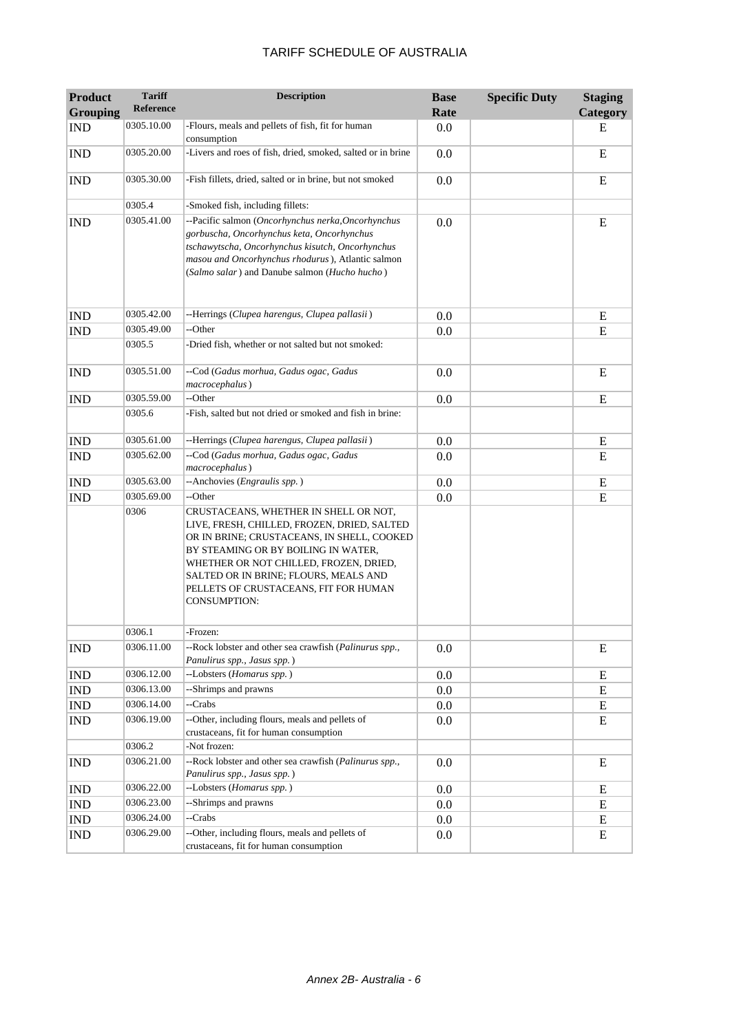| <b>Product</b>              | <b>Tariff</b><br>Reference | <b>Description</b>                                                                                                                                                                                                                                                                                                    | <b>Base</b> | <b>Specific Duty</b> | <b>Staging</b> |
|-----------------------------|----------------------------|-----------------------------------------------------------------------------------------------------------------------------------------------------------------------------------------------------------------------------------------------------------------------------------------------------------------------|-------------|----------------------|----------------|
| <b>Grouping</b>             | 0305.10.00                 |                                                                                                                                                                                                                                                                                                                       | Rate        |                      | Category       |
| <b>IND</b>                  |                            | -Flours, meals and pellets of fish, fit for human<br>consumption                                                                                                                                                                                                                                                      | 0.0         |                      | E              |
| <b>IND</b>                  | 0305.20.00                 | -Livers and roes of fish, dried, smoked, salted or in brine                                                                                                                                                                                                                                                           | 0.0         |                      | ${\bf E}$      |
| <b>IND</b>                  | 0305.30.00                 | -Fish fillets, dried, salted or in brine, but not smoked                                                                                                                                                                                                                                                              | 0.0         |                      | E              |
|                             | 0305.4                     | -Smoked fish, including fillets:                                                                                                                                                                                                                                                                                      |             |                      |                |
| <b>IND</b>                  | 0305.41.00                 | --Pacific salmon (Oncorhynchus nerka, Oncorhynchus<br>gorbuscha, Oncorhynchus keta, Oncorhynchus<br>tschawytscha, Oncorhynchus kisutch, Oncorhynchus<br>masou and Oncorhynchus rhodurus), Atlantic salmon<br>(Salmo salar) and Danube salmon (Hucho hucho)                                                            | 0.0         |                      | E              |
| <b>IND</b>                  | 0305.42.00                 | --Herrings (Clupea harengus, Clupea pallasii)                                                                                                                                                                                                                                                                         | 0.0         |                      | ${\bf E}$      |
| <b>IND</b>                  | 0305.49.00                 | --Other                                                                                                                                                                                                                                                                                                               | 0.0         |                      | ${\bf E}$      |
|                             | 0305.5                     | -Dried fish, whether or not salted but not smoked:                                                                                                                                                                                                                                                                    |             |                      |                |
| <b>IND</b>                  | 0305.51.00                 | --Cod (Gadus morhua, Gadus ogac, Gadus<br>macrocephalus)                                                                                                                                                                                                                                                              | 0.0         |                      | E              |
| <b>IND</b>                  | 0305.59.00                 | --Other                                                                                                                                                                                                                                                                                                               | 0.0         |                      | E              |
|                             | 0305.6                     | -Fish, salted but not dried or smoked and fish in brine:                                                                                                                                                                                                                                                              |             |                      |                |
| <b>IND</b>                  | 0305.61.00                 | --Herrings (Clupea harengus, Clupea pallasii)                                                                                                                                                                                                                                                                         | 0.0         |                      | E              |
| <b>IND</b>                  | 0305.62.00                 | --Cod (Gadus morhua, Gadus ogac, Gadus<br>macrocephalus)                                                                                                                                                                                                                                                              | 0.0         |                      | E              |
| <b>IND</b>                  | 0305.63.00                 | --Anchovies (Engraulis spp.)                                                                                                                                                                                                                                                                                          | 0.0         |                      | E              |
| <b>IND</b>                  | 0305.69.00                 | --Other                                                                                                                                                                                                                                                                                                               | 0.0         |                      | ${\bf E}$      |
|                             | 0306                       | CRUSTACEANS, WHETHER IN SHELL OR NOT,<br>LIVE, FRESH, CHILLED, FROZEN, DRIED, SALTED<br>OR IN BRINE; CRUSTACEANS, IN SHELL, COOKED<br>BY STEAMING OR BY BOILING IN WATER,<br>WHETHER OR NOT CHILLED, FROZEN, DRIED,<br>SALTED OR IN BRINE; FLOURS, MEALS AND<br>PELLETS OF CRUSTACEANS, FIT FOR HUMAN<br>CONSUMPTION: |             |                      |                |
|                             | 0306.1                     | -Frozen:                                                                                                                                                                                                                                                                                                              |             |                      |                |
| <b>IND</b>                  | 0306.11.00                 | --Rock lobster and other sea crawfish (Palinurus spp.,<br>Panulirus spp., Jasus spp.)                                                                                                                                                                                                                                 | 0.0         |                      | E              |
| <b>IND</b>                  | 0306.12.00                 | --Lobsters (Homarus spp.)                                                                                                                                                                                                                                                                                             | 0.0         |                      | E              |
| <b>IND</b>                  | 0306.13.00                 | --Shrimps and prawns                                                                                                                                                                                                                                                                                                  | 0.0         |                      | E              |
| $\mathop{\rm IND}\nolimits$ | 0306.14.00                 | --Crabs                                                                                                                                                                                                                                                                                                               | 0.0         |                      | E              |
| IND                         | 0306.19.00                 | --Other, including flours, meals and pellets of<br>crustaceans, fit for human consumption                                                                                                                                                                                                                             | 0.0         |                      | ${\bf E}$      |
|                             | 0306.2                     | -Not frozen:                                                                                                                                                                                                                                                                                                          |             |                      |                |
| <b>IND</b>                  | 0306.21.00                 | --Rock lobster and other sea crawfish (Palinurus spp.,<br>Panulirus spp., Jasus spp.)                                                                                                                                                                                                                                 | 0.0         |                      | E              |
| <b>IND</b>                  | 0306.22.00                 | --Lobsters (Homarus spp.)                                                                                                                                                                                                                                                                                             | 0.0         |                      | Ε              |
| <b>IND</b>                  | 0306.23.00                 | --Shrimps and prawns                                                                                                                                                                                                                                                                                                  | 0.0         |                      | Ε              |
| <b>IND</b>                  | 0306.24.00                 | --Crabs                                                                                                                                                                                                                                                                                                               | 0.0         |                      | Ε              |
| <b>IND</b>                  | 0306.29.00                 | --Other, including flours, meals and pellets of<br>crustaceans, fit for human consumption                                                                                                                                                                                                                             | 0.0         |                      | Ε              |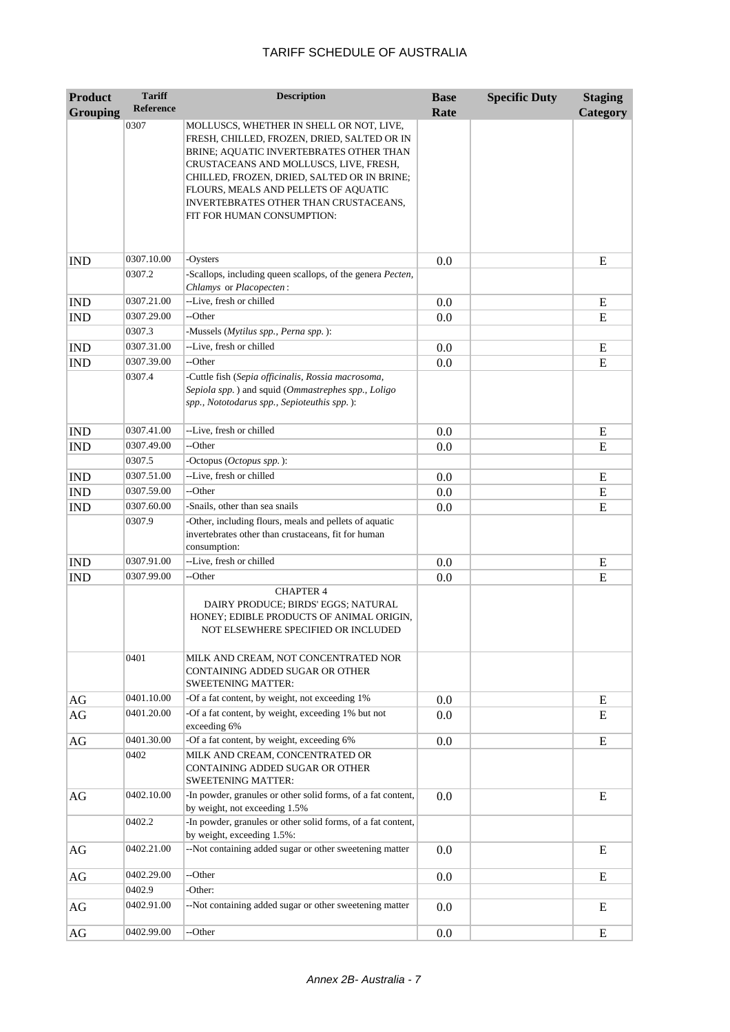| <b>Product</b>  | <b>Tariff</b>    | <b>Description</b>                                                                                                                                                                                                                                                  | <b>Base</b> | <b>Specific Duty</b> | <b>Staging</b> |
|-----------------|------------------|---------------------------------------------------------------------------------------------------------------------------------------------------------------------------------------------------------------------------------------------------------------------|-------------|----------------------|----------------|
| <b>Grouping</b> | <b>Reference</b> |                                                                                                                                                                                                                                                                     | Rate        |                      | Category       |
|                 | 0307             | MOLLUSCS, WHETHER IN SHELL OR NOT, LIVE,<br>FRESH, CHILLED, FROZEN, DRIED, SALTED OR IN<br>BRINE; AQUATIC INVERTEBRATES OTHER THAN<br>CRUSTACEANS AND MOLLUSCS, LIVE, FRESH,<br>CHILLED, FROZEN, DRIED, SALTED OR IN BRINE;<br>FLOURS, MEALS AND PELLETS OF AQUATIC |             |                      |                |
|                 |                  | INVERTEBRATES OTHER THAN CRUSTACEANS,<br>FIT FOR HUMAN CONSUMPTION:                                                                                                                                                                                                 |             |                      |                |
| <b>IND</b>      | 0307.10.00       | -Oysters                                                                                                                                                                                                                                                            | 0.0         |                      | E              |
|                 | 0307.2           | -Scallops, including queen scallops, of the genera Pecten,<br>Chlamys or Placopecten:                                                                                                                                                                               |             |                      |                |
| <b>IND</b>      | 0307.21.00       | --Live, fresh or chilled                                                                                                                                                                                                                                            | 0.0         |                      | E              |
| <b>IND</b>      | 0307.29.00       | --Other                                                                                                                                                                                                                                                             | 0.0         |                      | E              |
|                 | 0307.3           | -Mussels (Mytilus spp., Perna spp.):                                                                                                                                                                                                                                |             |                      |                |
| <b>IND</b>      | 0307.31.00       | --Live, fresh or chilled                                                                                                                                                                                                                                            | 0.0         |                      | E              |
| <b>IND</b>      | 0307.39.00       | --Other                                                                                                                                                                                                                                                             | 0.0         |                      | E              |
|                 | 0307.4           | -Cuttle fish (Sepia officinalis, Rossia macrosoma,<br>Sepiola spp.) and squid (Ommastrephes spp., Loligo<br>spp., Nototodarus spp., Sepioteuthis spp.):                                                                                                             |             |                      |                |
| <b>IND</b>      | 0307.41.00       | --Live, fresh or chilled                                                                                                                                                                                                                                            | 0.0         |                      | E              |
| <b>IND</b>      | 0307.49.00       | --Other                                                                                                                                                                                                                                                             | 0.0         |                      | E              |
|                 | 0307.5           | -Octopus (Octopus spp.):                                                                                                                                                                                                                                            |             |                      |                |
| <b>IND</b>      | 0307.51.00       | --Live, fresh or chilled                                                                                                                                                                                                                                            | 0.0         |                      | E              |
| <b>IND</b>      | 0307.59.00       | --Other                                                                                                                                                                                                                                                             | 0.0         |                      | E              |
| <b>IND</b>      | 0307.60.00       | -Snails, other than sea snails                                                                                                                                                                                                                                      | 0.0         |                      | E              |
|                 | 0307.9           | -Other, including flours, meals and pellets of aquatic<br>invertebrates other than crustaceans, fit for human<br>consumption:                                                                                                                                       |             |                      |                |
| <b>IND</b>      | 0307.91.00       | --Live, fresh or chilled                                                                                                                                                                                                                                            | 0.0         |                      | E              |
| <b>IND</b>      | 0307.99.00       | --Other                                                                                                                                                                                                                                                             | 0.0         |                      | E              |
|                 |                  | <b>CHAPTER 4</b><br>DAIRY PRODUCE; BIRDS' EGGS; NATURAL<br>HONEY; EDIBLE PRODUCTS OF ANIMAL ORIGIN,<br>NOT ELSEWHERE SPECIFIED OR INCLUDED                                                                                                                          |             |                      |                |
|                 | 0401             | MILK AND CREAM, NOT CONCENTRATED NOR<br>CONTAINING ADDED SUGAR OR OTHER<br><b>SWEETENING MATTER:</b>                                                                                                                                                                |             |                      |                |
| $\rm{AG}$       | 0401.10.00       | -Of a fat content, by weight, not exceeding 1%                                                                                                                                                                                                                      | 0.0         |                      | E              |
| AG              | 0401.20.00       | -Of a fat content, by weight, exceeding 1% but not<br>exceeding 6%                                                                                                                                                                                                  | 0.0         |                      | E              |
| AG              | 0401.30.00       | -Of a fat content, by weight, exceeding 6%                                                                                                                                                                                                                          | 0.0         |                      | E              |
|                 | 0402             | MILK AND CREAM, CONCENTRATED OR<br>CONTAINING ADDED SUGAR OR OTHER<br><b>SWEETENING MATTER:</b>                                                                                                                                                                     |             |                      |                |
| AG              | 0402.10.00       | -In powder, granules or other solid forms, of a fat content,<br>by weight, not exceeding 1.5%                                                                                                                                                                       | 0.0         |                      | E              |
|                 | 0402.2           | -In powder, granules or other solid forms, of a fat content,<br>by weight, exceeding 1.5%:                                                                                                                                                                          |             |                      |                |
| AG              | 0402.21.00       | --Not containing added sugar or other sweetening matter                                                                                                                                                                                                             | 0.0         |                      | E              |
| AG              | 0402.29.00       | --Other                                                                                                                                                                                                                                                             | 0.0         |                      | E              |
|                 | 0402.9           | -Other:                                                                                                                                                                                                                                                             |             |                      |                |
| AG              | 0402.91.00       | --Not containing added sugar or other sweetening matter                                                                                                                                                                                                             | 0.0         |                      | E              |
| $\rm{AG}$       | 0402.99.00       | --Other                                                                                                                                                                                                                                                             | 0.0         |                      | E              |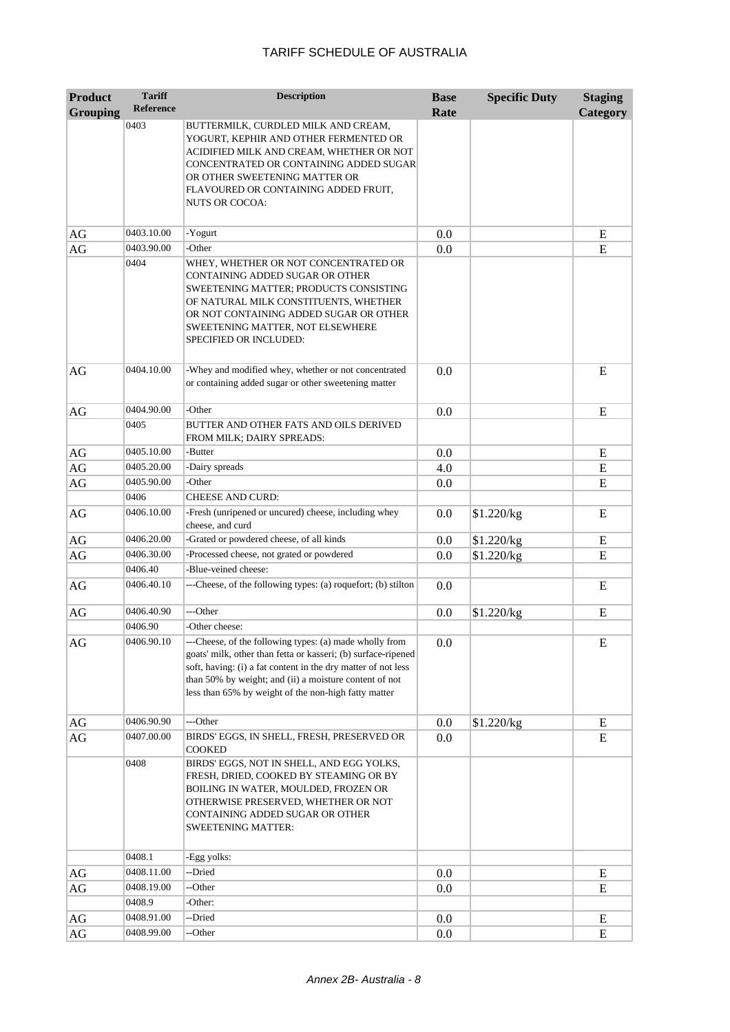| <b>Product</b>  | <b>Tariff</b>        | <b>Description</b>                                                                                                                                                                                                                                                                                          | <b>Base</b> | <b>Specific Duty</b> | <b>Staging</b> |
|-----------------|----------------------|-------------------------------------------------------------------------------------------------------------------------------------------------------------------------------------------------------------------------------------------------------------------------------------------------------------|-------------|----------------------|----------------|
| <b>Grouping</b> | <b>Reference</b>     |                                                                                                                                                                                                                                                                                                             | Rate        |                      | Category       |
|                 | 0403                 | BUTTERMILK, CURDLED MILK AND CREAM,<br>YOGURT, KEPHIR AND OTHER FERMENTED OR<br>ACIDIFIED MILK AND CREAM, WHETHER OR NOT<br>CONCENTRATED OR CONTAINING ADDED SUGAR<br>OR OTHER SWEETENING MATTER OR<br>FLAVOURED OR CONTAINING ADDED FRUIT,<br>NUTS OR COCOA:                                               |             |                      |                |
| AG              | 0403.10.00           | -Yogurt                                                                                                                                                                                                                                                                                                     | 0.0         |                      | E              |
| AG              | 0403.90.00           | -Other                                                                                                                                                                                                                                                                                                      | 0.0         |                      | E              |
|                 | 0404                 | WHEY, WHETHER OR NOT CONCENTRATED OR<br>CONTAINING ADDED SUGAR OR OTHER<br>SWEETENING MATTER; PRODUCTS CONSISTING<br>OF NATURAL MILK CONSTITUENTS, WHETHER<br>OR NOT CONTAINING ADDED SUGAR OR OTHER<br>SWEETENING MATTER, NOT ELSEWHERE<br><b>SPECIFIED OR INCLUDED:</b>                                   |             |                      |                |
| AG              | 0404.10.00           | -Whey and modified whey, whether or not concentrated<br>or containing added sugar or other sweetening matter                                                                                                                                                                                                | 0.0         |                      | E              |
| AG              | 0404.90.00           | -Other                                                                                                                                                                                                                                                                                                      | 0.0         |                      | E              |
|                 | 0405                 | BUTTER AND OTHER FATS AND OILS DERIVED<br>FROM MILK; DAIRY SPREADS:                                                                                                                                                                                                                                         |             |                      |                |
| $\rm{AG}$       | 0405.10.00           | -Butter                                                                                                                                                                                                                                                                                                     | 0.0         |                      | E              |
| AG              | 0405.20.00           | -Dairy spreads                                                                                                                                                                                                                                                                                              | 4.0         |                      | E              |
| AG              | 0405.90.00           | -Other                                                                                                                                                                                                                                                                                                      | 0.0         |                      | E              |
|                 | 0406                 | <b>CHEESE AND CURD:</b>                                                                                                                                                                                                                                                                                     |             |                      |                |
| AG              | 0406.10.00           | -Fresh (unripened or uncured) cheese, including whey<br>cheese, and curd                                                                                                                                                                                                                                    | 0.0         | \$1.220/kg           | E              |
| AG              | 0406.20.00           | -Grated or powdered cheese, of all kinds                                                                                                                                                                                                                                                                    | 0.0         | \$1.220/kg           | E              |
| AG              | 0406.30.00           | -Processed cheese, not grated or powdered                                                                                                                                                                                                                                                                   | 0.0         | \$1.220/kg           | E              |
|                 | 0406.40              | -Blue-veined cheese:                                                                                                                                                                                                                                                                                        |             |                      |                |
| AG              | 0406.40.10           | ---Cheese, of the following types: (a) roquefort; (b) stilton                                                                                                                                                                                                                                               | 0.0         |                      | E              |
| AG              | 0406.40.90           | ---Other                                                                                                                                                                                                                                                                                                    | 0.0         | \$1.220/kg           | E              |
|                 | 0406.90              | -Other cheese:                                                                                                                                                                                                                                                                                              |             |                      |                |
| AG              | 0406.90.10           | ---Cheese, of the following types: (a) made wholly from<br>goats' milk, other than fetta or kasseri; (b) surface-ripened<br>soft, having: (i) a fat content in the dry matter of not less<br>than 50% by weight; and (ii) a moisture content of not<br>less than 65% by weight of the non-high fatty matter | 0.0         |                      | E              |
| AG              | 0406.90.90           | ---Other                                                                                                                                                                                                                                                                                                    | 0.0         | \$1.220/kg           | E              |
| AG              | 0407.00.00           | BIRDS' EGGS, IN SHELL, FRESH, PRESERVED OR<br><b>COOKED</b>                                                                                                                                                                                                                                                 | 0.0         |                      | E              |
|                 | 0408                 | BIRDS' EGGS, NOT IN SHELL, AND EGG YOLKS,<br>FRESH, DRIED, COOKED BY STEAMING OR BY<br>BOILING IN WATER, MOULDED, FROZEN OR<br>OTHERWISE PRESERVED, WHETHER OR NOT<br>CONTAINING ADDED SUGAR OR OTHER<br><b>SWEETENING MATTER:</b>                                                                          |             |                      |                |
|                 | 0408.1               | -Egg yolks:                                                                                                                                                                                                                                                                                                 |             |                      |                |
| AG              | 0408.11.00           | --Dried                                                                                                                                                                                                                                                                                                     | 0.0         |                      | E              |
| AG              | 0408.19.00<br>0408.9 | --Other<br>-Other:                                                                                                                                                                                                                                                                                          | 0.0         |                      | E              |
| AG              | 0408.91.00           | --Dried                                                                                                                                                                                                                                                                                                     | 0.0         |                      | Ε              |
| AG              | 0408.99.00           | --Other                                                                                                                                                                                                                                                                                                     | 0.0         |                      | E              |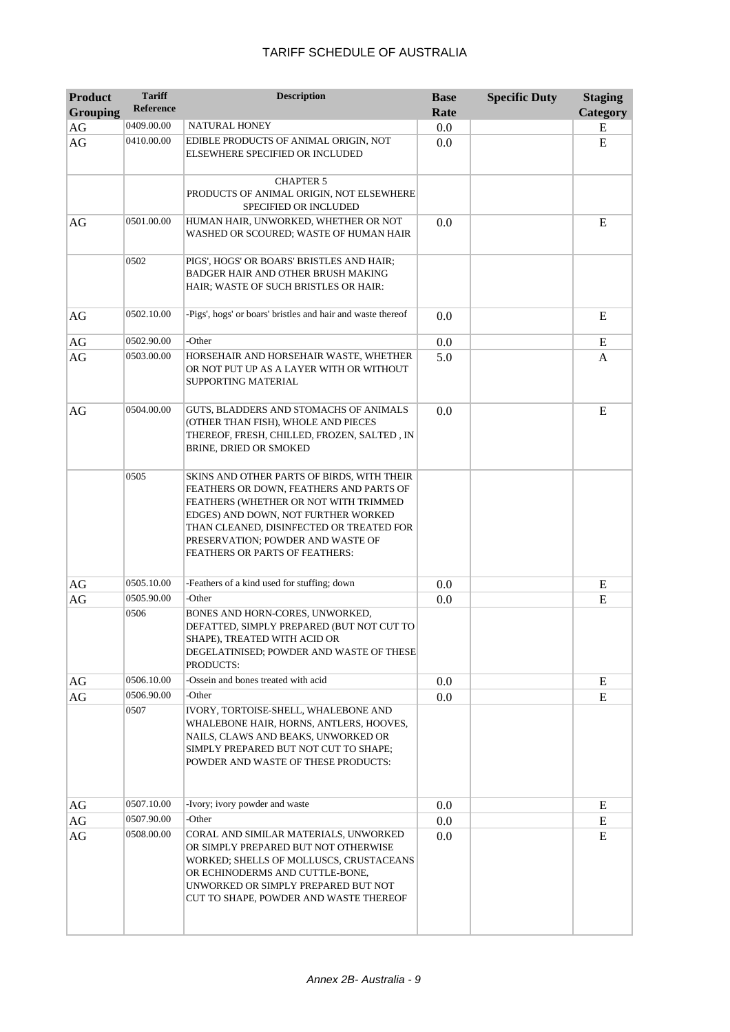| <b>Product</b>  | <b>Tariff</b><br><b>Reference</b> | <b>Description</b>                                                                                                                                                                                                                                                                       | <b>Base</b> | <b>Specific Duty</b> | <b>Staging</b> |
|-----------------|-----------------------------------|------------------------------------------------------------------------------------------------------------------------------------------------------------------------------------------------------------------------------------------------------------------------------------------|-------------|----------------------|----------------|
| <b>Grouping</b> |                                   |                                                                                                                                                                                                                                                                                          | Rate        |                      | Category       |
| $\rm{AG}$<br>AG | 0409.00.00<br>0410.00.00          | NATURAL HONEY<br>EDIBLE PRODUCTS OF ANIMAL ORIGIN, NOT                                                                                                                                                                                                                                   | 0.0<br>0.0  |                      | E<br>E         |
|                 |                                   | ELSEWHERE SPECIFIED OR INCLUDED                                                                                                                                                                                                                                                          |             |                      |                |
|                 |                                   | <b>CHAPTER 5</b>                                                                                                                                                                                                                                                                         |             |                      |                |
|                 |                                   | PRODUCTS OF ANIMAL ORIGIN, NOT ELSEWHERE<br>SPECIFIED OR INCLUDED                                                                                                                                                                                                                        |             |                      |                |
| AG              | 0501.00.00                        | HUMAN HAIR, UNWORKED, WHETHER OR NOT<br>WASHED OR SCOURED; WASTE OF HUMAN HAIR                                                                                                                                                                                                           | 0.0         |                      | E              |
|                 | 0502                              | PIGS', HOGS' OR BOARS' BRISTLES AND HAIR;<br>BADGER HAIR AND OTHER BRUSH MAKING<br>HAIR; WASTE OF SUCH BRISTLES OR HAIR:                                                                                                                                                                 |             |                      |                |
| AG              | 0502.10.00                        | -Pigs', hogs' or boars' bristles and hair and waste thereof                                                                                                                                                                                                                              | 0.0         |                      | E              |
| AG              | 0502.90.00                        | -Other                                                                                                                                                                                                                                                                                   | 0.0         |                      | E              |
| AG              | 0503.00.00                        | HORSEHAIR AND HORSEHAIR WASTE, WHETHER<br>OR NOT PUT UP AS A LAYER WITH OR WITHOUT<br>SUPPORTING MATERIAL                                                                                                                                                                                | 5.0         |                      | A              |
| AG              | 0504.00.00                        | GUTS, BLADDERS AND STOMACHS OF ANIMALS<br>(OTHER THAN FISH), WHOLE AND PIECES<br>THEREOF, FRESH, CHILLED, FROZEN, SALTED, IN<br>BRINE, DRIED OR SMOKED                                                                                                                                   | 0.0         |                      | E              |
|                 | 0505                              | SKINS AND OTHER PARTS OF BIRDS, WITH THEIR<br>FEATHERS OR DOWN, FEATHERS AND PARTS OF<br>FEATHERS (WHETHER OR NOT WITH TRIMMED<br>EDGES) AND DOWN, NOT FURTHER WORKED<br>THAN CLEANED, DISINFECTED OR TREATED FOR<br>PRESERVATION; POWDER AND WASTE OF<br>FEATHERS OR PARTS OF FEATHERS: |             |                      |                |
| AG              | 0505.10.00                        | -Feathers of a kind used for stuffing; down                                                                                                                                                                                                                                              | 0.0         |                      | E              |
| AG              | 0505.90.00                        | -Other                                                                                                                                                                                                                                                                                   | 0.0         |                      | E              |
|                 | 0506                              | BONES AND HORN-CORES, UNWORKED,<br>DEFATTED, SIMPLY PREPARED (BUT NOT CUT TO<br>SHAPE), TREATED WITH ACID OR<br>DEGELATINISED; POWDER AND WASTE OF THESE<br>PRODUCTS:                                                                                                                    |             |                      |                |
| AG              | 0506.10.00                        | -Ossein and bones treated with acid                                                                                                                                                                                                                                                      | 0.0         |                      | E              |
| AG              | 0506.90.00                        | -Other                                                                                                                                                                                                                                                                                   | 0.0         |                      | E              |
|                 | 0507                              | IVORY, TORTOISE-SHELL, WHALEBONE AND<br>WHALEBONE HAIR, HORNS, ANTLERS, HOOVES,<br>NAILS, CLAWS AND BEAKS, UNWORKED OR<br>SIMPLY PREPARED BUT NOT CUT TO SHAPE;<br>POWDER AND WASTE OF THESE PRODUCTS:                                                                                   |             |                      |                |
| AG              | 0507.10.00                        | -Ivory; ivory powder and waste                                                                                                                                                                                                                                                           | 0.0         |                      | Е              |
| AG              | 0507.90.00                        | -Other                                                                                                                                                                                                                                                                                   | 0.0         |                      | Ε              |
| AG              | 0508.00.00                        | CORAL AND SIMILAR MATERIALS, UNWORKED<br>OR SIMPLY PREPARED BUT NOT OTHERWISE<br>WORKED; SHELLS OF MOLLUSCS, CRUSTACEANS<br>OR ECHINODERMS AND CUTTLE-BONE,<br>UNWORKED OR SIMPLY PREPARED BUT NOT<br>CUT TO SHAPE, POWDER AND WASTE THEREOF                                             | 0.0         |                      | E              |
|                 |                                   |                                                                                                                                                                                                                                                                                          |             |                      |                |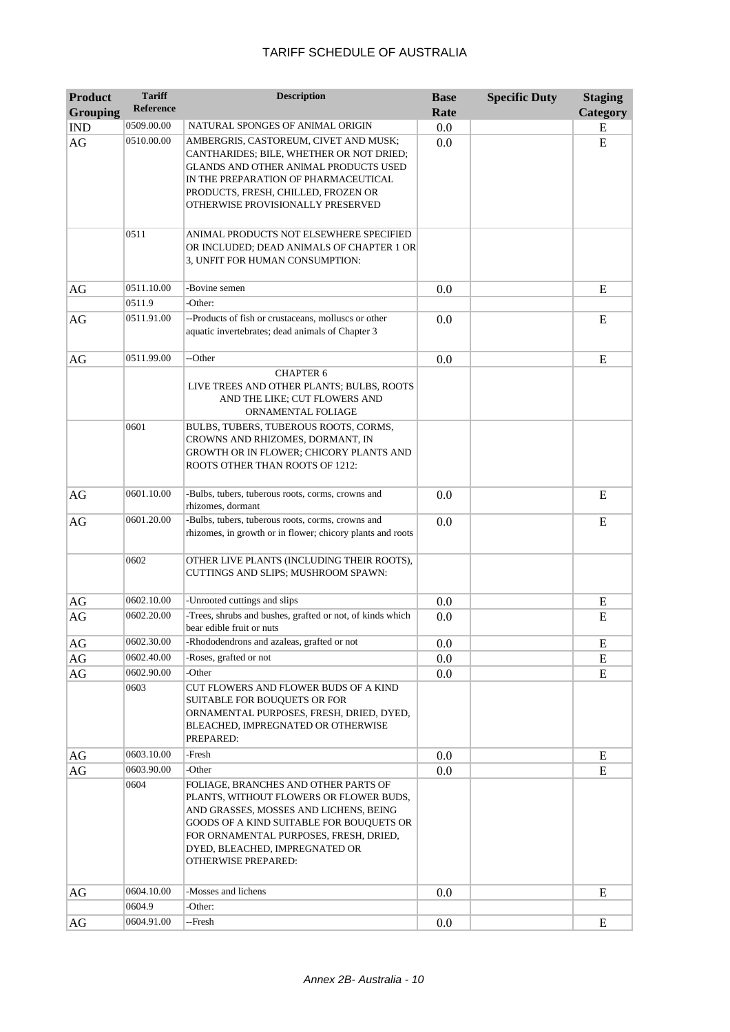| <b>Product</b>  | <b>Tariff</b><br><b>Reference</b> | <b>Description</b>                                                                                                                                                                                                                                                       | <b>Base</b> | <b>Specific Duty</b> | <b>Staging</b> |
|-----------------|-----------------------------------|--------------------------------------------------------------------------------------------------------------------------------------------------------------------------------------------------------------------------------------------------------------------------|-------------|----------------------|----------------|
| <b>Grouping</b> |                                   |                                                                                                                                                                                                                                                                          | Rate        |                      | Category       |
| <b>IND</b>      | 0509.00.00                        | NATURAL SPONGES OF ANIMAL ORIGIN                                                                                                                                                                                                                                         | 0.0         |                      | E              |
| AG              | 0510.00.00                        | AMBERGRIS, CASTOREUM, CIVET AND MUSK;<br>CANTHARIDES; BILE, WHETHER OR NOT DRIED;<br>GLANDS AND OTHER ANIMAL PRODUCTS USED<br>IN THE PREPARATION OF PHARMACEUTICAL<br>PRODUCTS, FRESH, CHILLED, FROZEN OR<br>OTHERWISE PROVISIONALLY PRESERVED                           | 0.0         |                      | E              |
|                 | 0511                              | ANIMAL PRODUCTS NOT ELSEWHERE SPECIFIED<br>OR INCLUDED; DEAD ANIMALS OF CHAPTER 1 OR<br>3, UNFIT FOR HUMAN CONSUMPTION:                                                                                                                                                  |             |                      |                |
| AG              | 0511.10.00                        | -Bovine semen                                                                                                                                                                                                                                                            | 0.0         |                      | E              |
|                 | 0511.9                            | -Other:                                                                                                                                                                                                                                                                  |             |                      |                |
| AG              | 0511.91.00                        | --Products of fish or crustaceans, molluscs or other<br>aquatic invertebrates; dead animals of Chapter 3                                                                                                                                                                 | 0.0         |                      | E              |
| AG              | 0511.99.00                        | --Other                                                                                                                                                                                                                                                                  | 0.0         |                      | E              |
|                 |                                   | <b>CHAPTER 6</b><br>LIVE TREES AND OTHER PLANTS; BULBS, ROOTS<br>AND THE LIKE; CUT FLOWERS AND<br>ORNAMENTAL FOLIAGE                                                                                                                                                     |             |                      |                |
|                 | 0601                              | BULBS, TUBERS, TUBEROUS ROOTS, CORMS,<br>CROWNS AND RHIZOMES, DORMANT, IN<br>GROWTH OR IN FLOWER; CHICORY PLANTS AND<br>ROOTS OTHER THAN ROOTS OF 1212:                                                                                                                  |             |                      |                |
| AG              | 0601.10.00                        | -Bulbs, tubers, tuberous roots, corms, crowns and<br>rhizomes, dormant                                                                                                                                                                                                   | 0.0         |                      | E              |
| AG              | 0601.20.00                        | -Bulbs, tubers, tuberous roots, corms, crowns and<br>rhizomes, in growth or in flower; chicory plants and roots                                                                                                                                                          | 0.0         |                      | E              |
|                 | 0602                              | OTHER LIVE PLANTS (INCLUDING THEIR ROOTS),<br>CUTTINGS AND SLIPS; MUSHROOM SPAWN:                                                                                                                                                                                        |             |                      |                |
| AG              | 0602.10.00                        | -Unrooted cuttings and slips                                                                                                                                                                                                                                             | 0.0         |                      | E              |
| AG              | 0602.20.00                        | -Trees, shrubs and bushes, grafted or not, of kinds which<br>bear edible fruit or nuts                                                                                                                                                                                   | 0.0         |                      | E              |
| $\rm{AG}$       | 0602.30.00                        | -Rhododendrons and azaleas, grafted or not                                                                                                                                                                                                                               | 0.0         |                      | ${\bf E}$      |
| AG              | 0602.40.00                        | -Roses, grafted or not                                                                                                                                                                                                                                                   | 0.0         |                      | E              |
| AG              | 0602.90.00                        | -Other                                                                                                                                                                                                                                                                   | 0.0         |                      | E              |
|                 | 0603                              | CUT FLOWERS AND FLOWER BUDS OF A KIND<br><b>SUITABLE FOR BOUQUETS OR FOR</b><br>ORNAMENTAL PURPOSES, FRESH, DRIED, DYED,<br>BLEACHED, IMPREGNATED OR OTHERWISE<br>PREPARED:                                                                                              |             |                      |                |
| AG              | 0603.10.00                        | -Fresh                                                                                                                                                                                                                                                                   | 0.0         |                      | E              |
| AG              | 0603.90.00                        | -Other                                                                                                                                                                                                                                                                   | 0.0         |                      | E              |
|                 | 0604                              | FOLIAGE, BRANCHES AND OTHER PARTS OF<br>PLANTS, WITHOUT FLOWERS OR FLOWER BUDS,<br>AND GRASSES, MOSSES AND LICHENS, BEING<br>GOODS OF A KIND SUITABLE FOR BOUQUETS OR<br>FOR ORNAMENTAL PURPOSES, FRESH, DRIED,<br>DYED, BLEACHED, IMPREGNATED OR<br>OTHERWISE PREPARED: |             |                      |                |
| AG              | 0604.10.00                        | -Mosses and lichens                                                                                                                                                                                                                                                      | 0.0         |                      | E              |
|                 | 0604.9                            | -Other:                                                                                                                                                                                                                                                                  |             |                      |                |
| AG              | 0604.91.00                        | --Fresh                                                                                                                                                                                                                                                                  | 0.0         |                      | E              |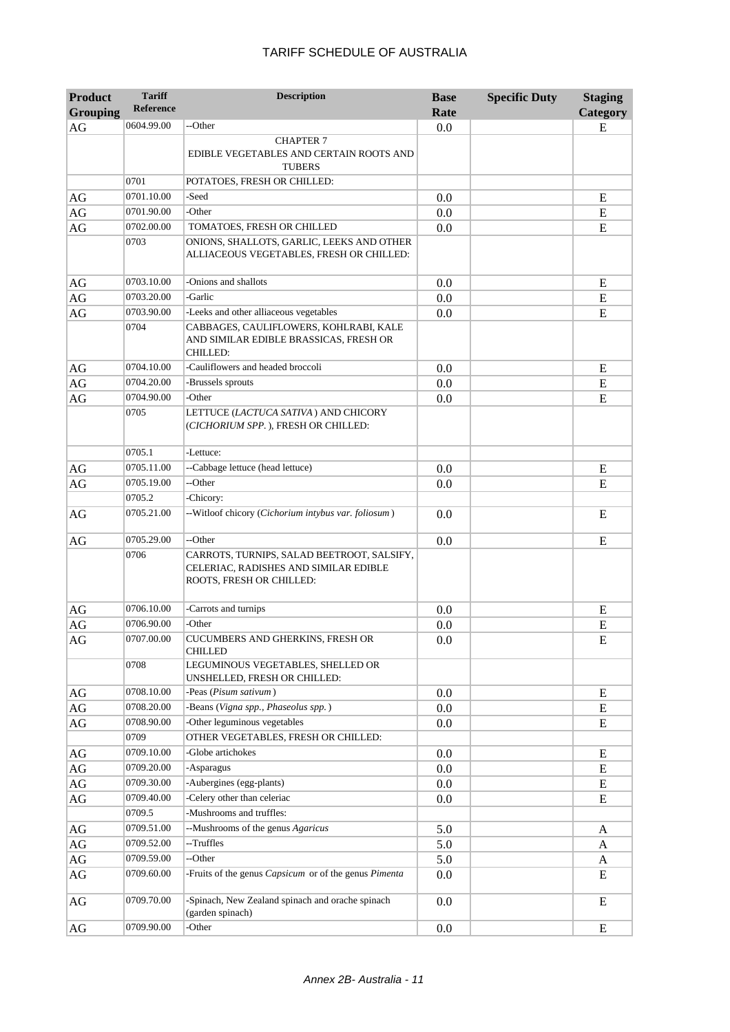| <b>Product</b><br><b>Grouping</b> | <b>Tariff</b><br><b>Reference</b> | <b>Description</b>                                                                                              | <b>Base</b><br>Rate | <b>Specific Duty</b> | <b>Staging</b><br>Category |
|-----------------------------------|-----------------------------------|-----------------------------------------------------------------------------------------------------------------|---------------------|----------------------|----------------------------|
| AG                                | 0604.99.00                        | --Other                                                                                                         | 0.0                 |                      | E                          |
|                                   |                                   | <b>CHAPTER 7</b><br>EDIBLE VEGETABLES AND CERTAIN ROOTS AND<br><b>TUBERS</b>                                    |                     |                      |                            |
|                                   | 0701                              | POTATOES, FRESH OR CHILLED:                                                                                     |                     |                      |                            |
| AG                                | 0701.10.00                        | -Seed                                                                                                           | 0.0                 |                      | E                          |
| $\rm{AG}$                         | 0701.90.00                        | -Other                                                                                                          | 0.0                 |                      | ${\bf E}$                  |
| $\rm{AG}$                         | 0702.00.00                        | TOMATOES, FRESH OR CHILLED                                                                                      | 0.0                 |                      | ${\bf E}$                  |
|                                   | 0703                              | ONIONS, SHALLOTS, GARLIC, LEEKS AND OTHER<br>ALLIACEOUS VEGETABLES, FRESH OR CHILLED:                           |                     |                      |                            |
| AG                                | 0703.10.00                        | -Onions and shallots                                                                                            | 0.0                 |                      | E                          |
| AG                                | 0703.20.00                        | -Garlic                                                                                                         | 0.0                 |                      | E                          |
| AG                                | 0703.90.00                        | -Leeks and other alliaceous vegetables                                                                          | 0.0                 |                      | E                          |
|                                   | 0704                              | CABBAGES, CAULIFLOWERS, KOHLRABI, KALE<br>AND SIMILAR EDIBLE BRASSICAS, FRESH OR<br><b>CHILLED:</b>             |                     |                      |                            |
| AG                                | 0704.10.00                        | -Cauliflowers and headed broccoli                                                                               | 0.0                 |                      | E                          |
| $\rm{AG}$                         | 0704.20.00                        | -Brussels sprouts                                                                                               | 0.0                 |                      | ${\bf E}$                  |
| AG                                | 0704.90.00                        | -Other                                                                                                          | 0.0                 |                      | ${\bf E}$                  |
|                                   | 0705                              | LETTUCE (LACTUCA SATIVA) AND CHICORY<br>(CICHORIUM SPP.), FRESH OR CHILLED:                                     |                     |                      |                            |
|                                   | 0705.1                            | -Lettuce:                                                                                                       |                     |                      |                            |
| AG                                | 0705.11.00                        | --Cabbage lettuce (head lettuce)                                                                                | 0.0                 |                      | Ε                          |
| $\rm{AG}$                         | 0705.19.00                        | --Other                                                                                                         | 0.0                 |                      | E                          |
|                                   | 0705.2                            | -Chicory:                                                                                                       |                     |                      |                            |
| AG                                | 0705.21.00                        | -- Witloof chicory (Cichorium intybus var. foliosum)                                                            | 0.0                 |                      | E                          |
| AG                                | 0705.29.00                        | --Other                                                                                                         | 0.0                 |                      | E                          |
|                                   | 0706                              | CARROTS, TURNIPS, SALAD BEETROOT, SALSIFY,<br>CELERIAC, RADISHES AND SIMILAR EDIBLE<br>ROOTS, FRESH OR CHILLED: |                     |                      |                            |
| AG                                | 0706.10.00                        | -Carrots and turnips                                                                                            | 0.0                 |                      | E                          |
| $\rm{AG}$                         | 0706.90.00                        | -Other                                                                                                          | 0.0                 |                      | E                          |
| $\rm{AG}$                         | 0707.00.00                        | CUCUMBERS AND GHERKINS, FRESH OR<br>CHILLED                                                                     | 0.0                 |                      | ${\bf E}$                  |
|                                   | 0708                              | LEGUMINOUS VEGETABLES, SHELLED OR<br>UNSHELLED, FRESH OR CHILLED:                                               |                     |                      |                            |
| AG                                | 0708.10.00                        | -Peas (Pisum sativum)                                                                                           | 0.0                 |                      | E                          |
| AG                                | 0708.20.00                        | -Beans (Vigna spp., Phaseolus spp.)                                                                             | 0.0                 |                      | E                          |
| AG                                | 0708.90.00                        | -Other leguminous vegetables                                                                                    | 0.0                 |                      | E                          |
|                                   | 0709                              | OTHER VEGETABLES, FRESH OR CHILLED:                                                                             |                     |                      |                            |
| AG                                | 0709.10.00                        | -Globe artichokes                                                                                               | 0.0                 |                      | E                          |
| AG                                | 0709.20.00                        | -Asparagus                                                                                                      | 0.0                 |                      | E                          |
| AG                                | 0709.30.00                        | -Aubergines (egg-plants)                                                                                        | 0.0                 |                      | E                          |
| AG                                | 0709.40.00                        | -Celery other than celeriac                                                                                     | 0.0                 |                      | ${\bf E}$                  |
|                                   | 0709.5                            | -Mushrooms and truffles:                                                                                        |                     |                      |                            |
| AG                                | 0709.51.00                        | --Mushrooms of the genus Agaricus                                                                               | 5.0                 |                      | A                          |
| $\rm{AG}$                         | 0709.52.00                        | --Truffles                                                                                                      | 5.0                 |                      | A                          |
| AG                                | 0709.59.00                        | --Other                                                                                                         | 5.0                 |                      | A                          |
| AG                                | 0709.60.00                        | -Fruits of the genus Capsicum or of the genus Pimenta                                                           | 0.0                 |                      | E                          |
| AG                                | 0709.70.00                        | -Spinach, New Zealand spinach and orache spinach<br>(garden spinach)                                            | 0.0                 |                      | E                          |
| AG                                | 0709.90.00                        | -Other                                                                                                          | 0.0                 |                      | ${\bf E}$                  |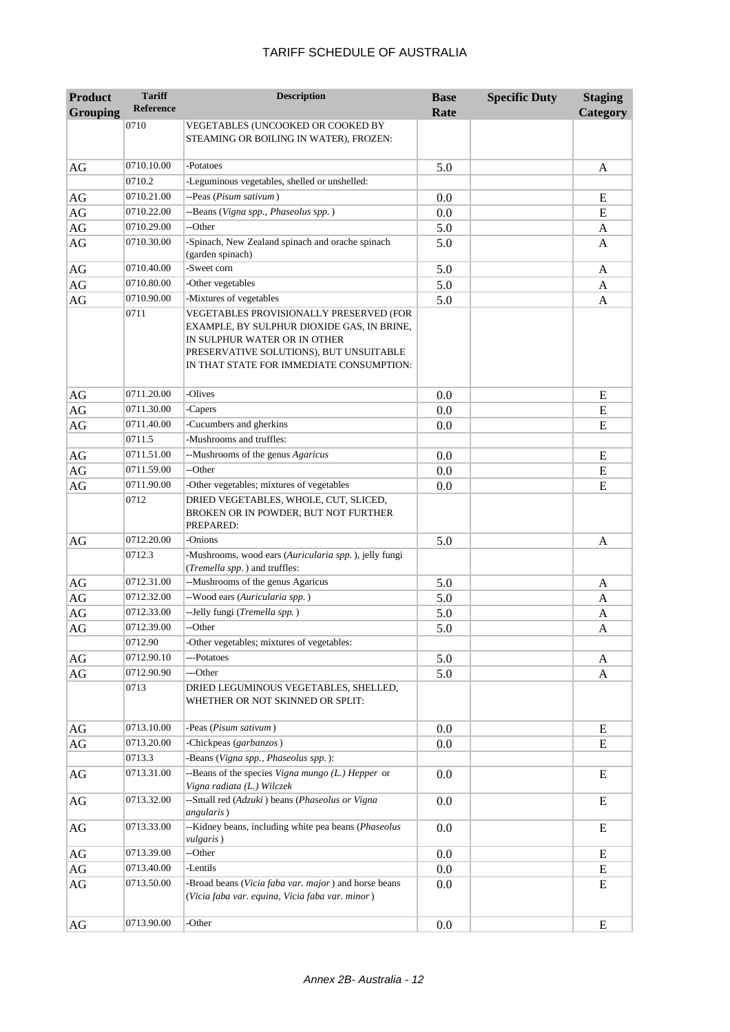| <b>Product</b>  | <b>Tariff</b><br><b>Reference</b> | <b>Description</b>                                                                                                                                                                                           | <b>Base</b> | <b>Specific Duty</b> | <b>Staging</b> |
|-----------------|-----------------------------------|--------------------------------------------------------------------------------------------------------------------------------------------------------------------------------------------------------------|-------------|----------------------|----------------|
| <b>Grouping</b> | 0710                              | VEGETABLES (UNCOOKED OR COOKED BY                                                                                                                                                                            | Rate        |                      | Category       |
|                 |                                   | STEAMING OR BOILING IN WATER), FROZEN:                                                                                                                                                                       |             |                      |                |
| AG              | 0710.10.00                        | -Potatoes                                                                                                                                                                                                    | 5.0         |                      | A              |
|                 | 0710.2                            | -Leguminous vegetables, shelled or unshelled:                                                                                                                                                                |             |                      |                |
| AG              | 0710.21.00                        | --Peas (Pisum sativum)                                                                                                                                                                                       | 0.0         |                      | E              |
| AG              | 0710.22.00                        | --Beans (Vigna spp., Phaseolus spp.)                                                                                                                                                                         | 0.0         |                      | E              |
| AG              | 0710.29.00                        | --Other                                                                                                                                                                                                      | 5.0         |                      | A              |
| AG              | 0710.30.00                        | -Spinach, New Zealand spinach and orache spinach<br>(garden spinach)                                                                                                                                         | 5.0         |                      | A              |
| AG              | 0710.40.00                        | -Sweet corn                                                                                                                                                                                                  | 5.0         |                      | A              |
| AG              | 0710.80.00                        | -Other vegetables                                                                                                                                                                                            | 5.0         |                      | A              |
| AG              | 0710.90.00                        | -Mixtures of vegetables                                                                                                                                                                                      | 5.0         |                      | A              |
|                 | 0711                              | VEGETABLES PROVISIONALLY PRESERVED (FOR<br>EXAMPLE, BY SULPHUR DIOXIDE GAS, IN BRINE,<br>IN SULPHUR WATER OR IN OTHER<br>PRESERVATIVE SOLUTIONS), BUT UNSUITABLE<br>IN THAT STATE FOR IMMEDIATE CONSUMPTION: |             |                      |                |
| AG              | 0711.20.00                        | -Olives                                                                                                                                                                                                      | 0.0         |                      | E              |
| AG              | 0711.30.00                        | -Capers                                                                                                                                                                                                      | 0.0         |                      | E              |
| AG              | 0711.40.00                        | -Cucumbers and gherkins                                                                                                                                                                                      | 0.0         |                      | E              |
|                 | 0711.5                            | -Mushrooms and truffles:                                                                                                                                                                                     |             |                      |                |
| AG              | 0711.51.00                        | --Mushrooms of the genus Agaricus                                                                                                                                                                            | 0.0         |                      | E              |
| AG              | 0711.59.00                        | --Other                                                                                                                                                                                                      | 0.0         |                      | ${\bf E}$      |
| AG              | 0711.90.00                        | -Other vegetables; mixtures of vegetables                                                                                                                                                                    | 0.0         |                      | E              |
|                 | 0712                              | DRIED VEGETABLES, WHOLE, CUT, SLICED,<br>BROKEN OR IN POWDER, BUT NOT FURTHER<br>PREPARED:                                                                                                                   |             |                      |                |
| AG              | 0712.20.00                        | -Onions                                                                                                                                                                                                      | 5.0         |                      | A              |
|                 | 0712.3                            | -Mushrooms, wood ears (Auricularia spp.), jelly fungi<br>(Tremella spp.) and truffles:                                                                                                                       |             |                      |                |
| AG              | 0712.31.00                        | --Mushrooms of the genus Agaricus                                                                                                                                                                            | 5.0         |                      | A              |
| AG              | 0712.32.00                        | --Wood ears (Auricularia spp.)                                                                                                                                                                               | 5.0         |                      | A              |
| AG              | 0712.33.00                        | --Jelly fungi (Tremella spp.)                                                                                                                                                                                | 5.0         |                      | A              |
| $\rm{AG}$       | 0712.39.00                        | --Other                                                                                                                                                                                                      | 5.0         |                      | A              |
|                 | 0712.90                           | -Other vegetables; mixtures of vegetables:                                                                                                                                                                   |             |                      |                |
| AG              | 0712.90.10                        | ---Potatoes                                                                                                                                                                                                  | 5.0         |                      | A              |
| AG              | 0712.90.90                        | ---Other                                                                                                                                                                                                     | 5.0         |                      | A              |
|                 | 0713                              | DRIED LEGUMINOUS VEGETABLES, SHELLED,<br>WHETHER OR NOT SKINNED OR SPLIT:                                                                                                                                    |             |                      |                |
| AG              | 0713.10.00                        | -Peas (Pisum sativum)                                                                                                                                                                                        | 0.0         |                      | E              |
| AG              | 0713.20.00                        | -Chickpeas (garbanzos)                                                                                                                                                                                       | 0.0         |                      | ${\bf E}$      |
|                 | 0713.3                            | -Beans (Vigna spp., Phaseolus spp.):                                                                                                                                                                         |             |                      |                |
| AG              | 0713.31.00                        | --Beans of the species Vigna mungo (L.) Hepper or<br>Vigna radiata (L.) Wilczek                                                                                                                              | 0.0         |                      | E              |
| AG              | 0713.32.00                        | --Small red (Adzuki) beans (Phaseolus or Vigna<br><i>angularis</i> )                                                                                                                                         | 0.0         |                      | ${\bf E}$      |
| AG              | 0713.33.00                        | --Kidney beans, including white pea beans (Phaseolus<br>vulgaris)                                                                                                                                            | 0.0         |                      | E              |
| AG              | 0713.39.00                        | --Other                                                                                                                                                                                                      | 0.0         |                      | E              |
| AG              | 0713.40.00                        | -Lentils                                                                                                                                                                                                     | 0.0         |                      | E              |
| AG              | 0713.50.00                        | -Broad beans (Vicia faba var. major) and horse beans<br>(Vicia faba var. equina, Vicia faba var. minor)                                                                                                      | 0.0         |                      | E              |
| AG              | 0713.90.00                        | -Other                                                                                                                                                                                                       | 0.0         |                      | E              |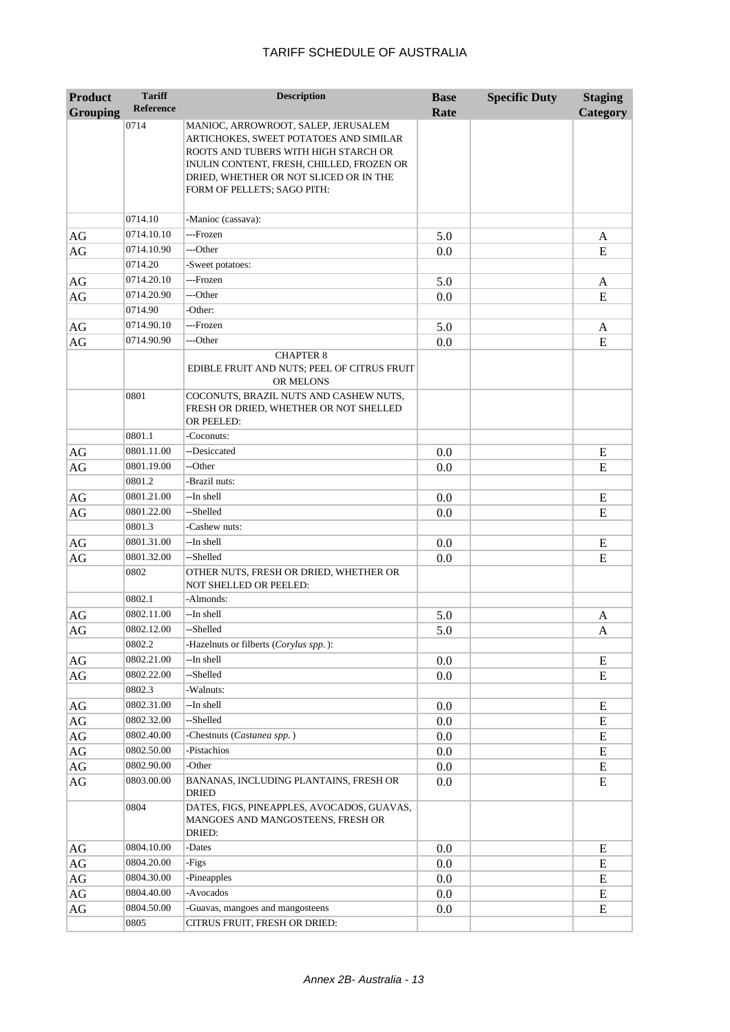| <b>Product</b>  | <b>Tariff</b>    | <b>Description</b>                                                                                                                                                                                                                          | <b>Base</b> | <b>Specific Duty</b> | <b>Staging</b> |
|-----------------|------------------|---------------------------------------------------------------------------------------------------------------------------------------------------------------------------------------------------------------------------------------------|-------------|----------------------|----------------|
| <b>Grouping</b> | <b>Reference</b> |                                                                                                                                                                                                                                             | Rate        |                      | Category       |
|                 | 0714             | MANIOC, ARROWROOT, SALEP, JERUSALEM<br>ARTICHOKES, SWEET POTATOES AND SIMILAR<br>ROOTS AND TUBERS WITH HIGH STARCH OR<br>INULIN CONTENT, FRESH, CHILLED, FROZEN OR<br>DRIED, WHETHER OR NOT SLICED OR IN THE<br>FORM OF PELLETS; SAGO PITH: |             |                      |                |
|                 | 0714.10          | -Manioc (cassava):                                                                                                                                                                                                                          |             |                      |                |
| AG              | 0714.10.10       | ---Frozen                                                                                                                                                                                                                                   | 5.0         |                      | A              |
| AG              | 0714.10.90       | ---Other                                                                                                                                                                                                                                    | 0.0         |                      | E              |
|                 | 0714.20          | -Sweet potatoes:                                                                                                                                                                                                                            |             |                      |                |
| AG              | 0714.20.10       | ---Frozen                                                                                                                                                                                                                                   | 5.0         |                      | A              |
| $\rm{AG}$       | 0714.20.90       | ---Other                                                                                                                                                                                                                                    | 0.0         |                      | E              |
|                 | 0714.90          | -Other:                                                                                                                                                                                                                                     |             |                      |                |
| AG              | 0714.90.10       | ---Frozen                                                                                                                                                                                                                                   | 5.0         |                      | A              |
| AG              | 0714.90.90       | ---Other                                                                                                                                                                                                                                    | 0.0         |                      | E              |
|                 | 0801             | <b>CHAPTER 8</b><br>EDIBLE FRUIT AND NUTS; PEEL OF CITRUS FRUIT<br>OR MELONS<br>COCONUTS, BRAZIL NUTS AND CASHEW NUTS,<br>FRESH OR DRIED, WHETHER OR NOT SHELLED                                                                            |             |                      |                |
|                 | 0801.1           | OR PEELED:<br>-Coconuts:                                                                                                                                                                                                                    |             |                      |                |
| AG              | 0801.11.00       | --Desiccated                                                                                                                                                                                                                                | 0.0         |                      | E              |
| AG              | 0801.19.00       | --Other                                                                                                                                                                                                                                     | 0.0         |                      | E              |
|                 | 0801.2           | -Brazil nuts:                                                                                                                                                                                                                               |             |                      |                |
| AG              | 0801.21.00       | --In shell                                                                                                                                                                                                                                  | 0.0         |                      | E              |
| $\rm{AG}$       | 0801.22.00       | --Shelled                                                                                                                                                                                                                                   | 0.0         |                      | E              |
|                 | 0801.3           | -Cashew nuts:                                                                                                                                                                                                                               |             |                      |                |
| AG              | 0801.31.00       | --In shell                                                                                                                                                                                                                                  | 0.0         |                      | E              |
| AG              | 0801.32.00       | --Shelled                                                                                                                                                                                                                                   | 0.0         |                      | E              |
|                 | 0802             | OTHER NUTS, FRESH OR DRIED, WHETHER OR<br><b>NOT SHELLED OR PEELED:</b>                                                                                                                                                                     |             |                      |                |
|                 | 0802.1           | -Almonds:                                                                                                                                                                                                                                   |             |                      |                |
| AG              | 0802.11.00       | --In shell                                                                                                                                                                                                                                  | 5.0         |                      | A              |
| AG              | 0802.12.00       | --Shelled                                                                                                                                                                                                                                   | 5.0         |                      | A              |
|                 | 0802.2           | -Hazelnuts or filberts (Corylus spp.):                                                                                                                                                                                                      |             |                      |                |
| AG              | 0802.21.00       | --In shell                                                                                                                                                                                                                                  | 0.0         |                      | ${\bf E}$      |
| $\rm{AG}$       | 0802.22.00       | --Shelled                                                                                                                                                                                                                                   | 0.0         |                      | ${\bf E}$      |
|                 | 0802.3           | -Walnuts:                                                                                                                                                                                                                                   |             |                      |                |
| AG              | 0802.31.00       | --In shell                                                                                                                                                                                                                                  | 0.0         |                      | ${\bf E}$      |
| $\rm{AG}$       | 0802.32.00       | --Shelled                                                                                                                                                                                                                                   | 0.0         |                      | ${\bf E}$      |
| AG              | 0802.40.00       | -Chestnuts (Castanea spp.)                                                                                                                                                                                                                  | 0.0         |                      | ${\bf E}$      |
| AG              | 0802.50.00       | -Pistachios                                                                                                                                                                                                                                 | 0.0         |                      | ${\bf E}$      |
| AG              | 0802.90.00       | -Other                                                                                                                                                                                                                                      | 0.0         |                      | ${\bf E}$      |
| AG              | 0803.00.00       | BANANAS, INCLUDING PLANTAINS, FRESH OR<br><b>DRIED</b>                                                                                                                                                                                      | 0.0         |                      | ${\bf E}$      |
|                 | 0804             | DATES, FIGS, PINEAPPLES, AVOCADOS, GUAVAS,<br>MANGOES AND MANGOSTEENS, FRESH OR<br>DRIED:                                                                                                                                                   |             |                      |                |
| AG              | 0804.10.00       | -Dates                                                                                                                                                                                                                                      | 0.0         |                      | E              |
| AG              | 0804.20.00       | -Figs                                                                                                                                                                                                                                       | 0.0         |                      | ${\bf E}$      |
| AG              | 0804.30.00       | -Pineapples                                                                                                                                                                                                                                 | 0.0         |                      | ${\bf E}$      |
| AG              | 0804.40.00       | -Avocados                                                                                                                                                                                                                                   | 0.0         |                      | E              |
| $\rm{AG}$       | 0804.50.00       | -Guavas, mangoes and mangosteens                                                                                                                                                                                                            | 0.0         |                      | ${\bf E}$      |
|                 | 0805             | CITRUS FRUIT, FRESH OR DRIED:                                                                                                                                                                                                               |             |                      |                |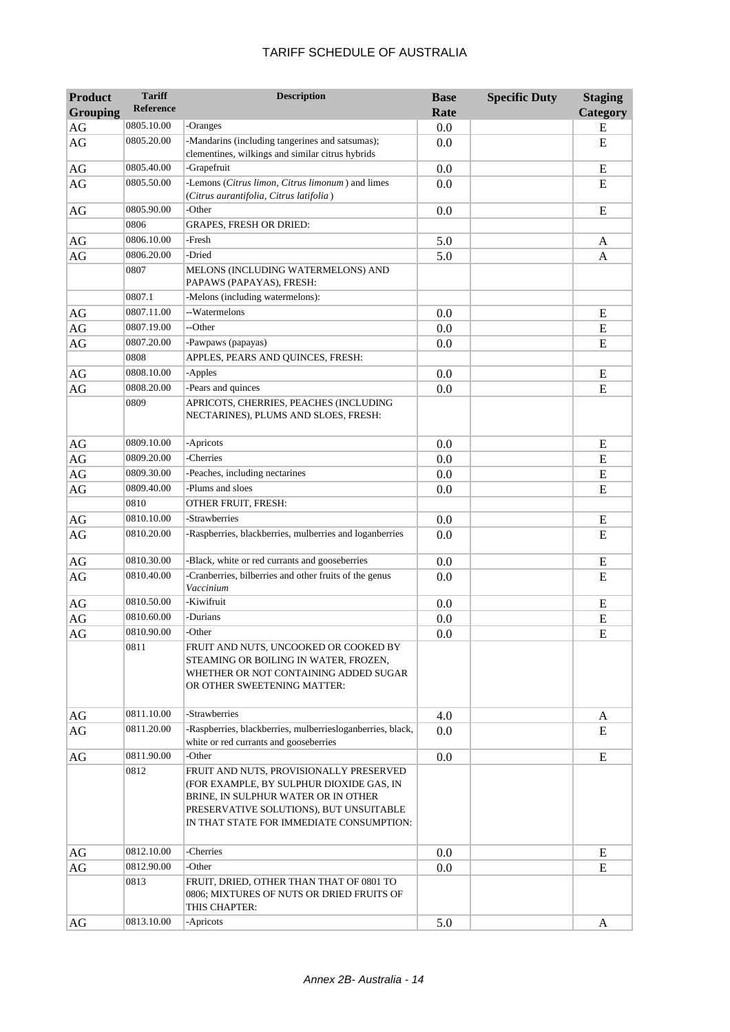| <b>Product</b>  | <b>Tariff</b><br><b>Reference</b> | <b>Description</b>                                                                                                                                                                                                | <b>Base</b> | <b>Specific Duty</b> | <b>Staging</b> |
|-----------------|-----------------------------------|-------------------------------------------------------------------------------------------------------------------------------------------------------------------------------------------------------------------|-------------|----------------------|----------------|
| <b>Grouping</b> |                                   |                                                                                                                                                                                                                   | Rate        |                      | Category       |
| AG              | 0805.10.00                        | -Oranges                                                                                                                                                                                                          | 0.0         |                      | ${\bf E}$      |
| $\rm{AG}$       | 0805.20.00                        | -Mandarins (including tangerines and satsumas);<br>clementines, wilkings and similar citrus hybrids                                                                                                               | 0.0         |                      | E              |
| AG              | 0805.40.00                        | -Grapefruit                                                                                                                                                                                                       | 0.0         |                      | E              |
| AG              | 0805.50.00                        | -Lemons (Citrus limon, Citrus limonum) and limes<br>(Citrus aurantifolia, Citrus latifolia)                                                                                                                       | 0.0         |                      | E              |
| AG              | 0805.90.00                        | -Other                                                                                                                                                                                                            | 0.0         |                      | E              |
|                 | 0806                              | <b>GRAPES, FRESH OR DRIED:</b>                                                                                                                                                                                    |             |                      |                |
| AG              | 0806.10.00                        | -Fresh                                                                                                                                                                                                            | 5.0         |                      | A              |
| $\rm{AG}$       | 0806.20.00                        | -Dried                                                                                                                                                                                                            | 5.0         |                      | A              |
|                 | 0807                              | MELONS (INCLUDING WATERMELONS) AND<br>PAPAWS (PAPAYAS), FRESH:                                                                                                                                                    |             |                      |                |
|                 | 0807.1                            | -Melons (including watermelons):                                                                                                                                                                                  |             |                      |                |
| AG              | 0807.11.00                        | --Watermelons                                                                                                                                                                                                     | 0.0         |                      | E              |
| AG              | 0807.19.00                        | --Other                                                                                                                                                                                                           | 0.0         |                      | E              |
| $\rm{AG}$       | 0807.20.00                        | -Pawpaws (papayas)                                                                                                                                                                                                | 0.0         |                      | E              |
|                 | 0808                              | APPLES, PEARS AND OUINCES, FRESH:                                                                                                                                                                                 |             |                      |                |
| $\rm{AG}$       | 0808.10.00                        | -Apples                                                                                                                                                                                                           | 0.0         |                      | E              |
| AG              | 0808.20.00                        | -Pears and quinces                                                                                                                                                                                                | 0.0         |                      | E              |
|                 | 0809                              | APRICOTS, CHERRIES, PEACHES (INCLUDING<br>NECTARINES), PLUMS AND SLOES, FRESH:                                                                                                                                    |             |                      |                |
| AG              | 0809.10.00                        | -Apricots                                                                                                                                                                                                         | 0.0         |                      | E              |
| AG              | 0809.20.00                        | -Cherries                                                                                                                                                                                                         | 0.0         |                      | E              |
| AG              | 0809.30.00                        | -Peaches, including nectarines                                                                                                                                                                                    | 0.0         |                      | E              |
| AG              | 0809.40.00                        | -Plums and sloes                                                                                                                                                                                                  | 0.0         |                      | ${\bf E}$      |
|                 | 0810                              | OTHER FRUIT, FRESH:                                                                                                                                                                                               |             |                      |                |
| AG              | 0810.10.00                        | -Strawberries                                                                                                                                                                                                     | 0.0         |                      | E              |
| $\rm{AG}$       | 0810.20.00                        | -Raspberries, blackberries, mulberries and loganberries                                                                                                                                                           | 0.0         |                      | E              |
| $\rm{AG}$       | 0810.30.00                        | -Black, white or red currants and gooseberries                                                                                                                                                                    | 0.0         |                      | E              |
| AG              | 0810.40.00                        | -Cranberries, bilberries and other fruits of the genus<br>Vaccinium                                                                                                                                               | 0.0         |                      | E              |
| AG              | 0810.50.00                        | -Kiwifruit                                                                                                                                                                                                        | 0.0         |                      | E              |
| $\rm{AG}$       | 0810.60.00                        | -Durians                                                                                                                                                                                                          | 0.0         |                      | E              |
| AG              | 0810.90.00                        | -Other                                                                                                                                                                                                            | 0.0         |                      | E              |
|                 | 0811                              | FRUIT AND NUTS, UNCOOKED OR COOKED BY<br>STEAMING OR BOILING IN WATER, FROZEN,<br>WHETHER OR NOT CONTAINING ADDED SUGAR<br>OR OTHER SWEETENING MATTER:                                                            |             |                      |                |
| AG              | 0811.10.00                        | -Strawberries                                                                                                                                                                                                     | 4.0         |                      | A              |
| AG              | 0811.20.00                        | -Raspberries, blackberries, mulberriesloganberries, black,<br>white or red currants and gooseberries                                                                                                              | 0.0         |                      | E              |
| AG              | 0811.90.00                        | -Other                                                                                                                                                                                                            | 0.0         |                      | E              |
|                 | 0812                              | FRUIT AND NUTS, PROVISIONALLY PRESERVED<br>(FOR EXAMPLE, BY SULPHUR DIOXIDE GAS, IN<br>BRINE, IN SULPHUR WATER OR IN OTHER<br>PRESERVATIVE SOLUTIONS), BUT UNSUITABLE<br>IN THAT STATE FOR IMMEDIATE CONSUMPTION: |             |                      |                |
| AG              | 0812.10.00                        | -Cherries                                                                                                                                                                                                         | 0.0         |                      | E              |
| $\rm{AG}$       | 0812.90.00                        | -Other                                                                                                                                                                                                            | 0.0         |                      | E              |
|                 | 0813                              | FRUIT, DRIED, OTHER THAN THAT OF 0801 TO<br>0806; MIXTURES OF NUTS OR DRIED FRUITS OF<br>THIS CHAPTER:                                                                                                            |             |                      |                |
| AG              | 0813.10.00                        | -Apricots                                                                                                                                                                                                         | 5.0         |                      | A              |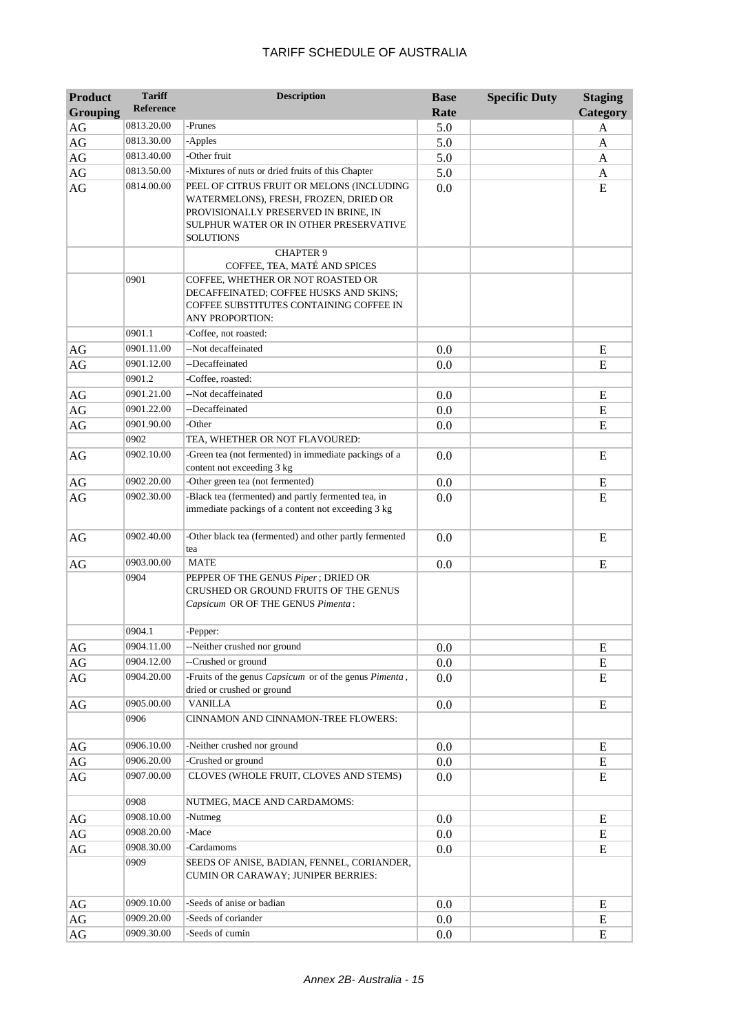| <b>Product</b>  | <b>Tariff</b><br><b>Reference</b> | <b>Description</b>                                                                                                                                                                       | <b>Base</b> | <b>Specific Duty</b> | <b>Staging</b> |
|-----------------|-----------------------------------|------------------------------------------------------------------------------------------------------------------------------------------------------------------------------------------|-------------|----------------------|----------------|
| <b>Grouping</b> |                                   |                                                                                                                                                                                          | Rate        |                      | Category       |
| AG              | 0813.20.00                        | -Prunes                                                                                                                                                                                  | 5.0         |                      | A              |
| AG              | 0813.30.00                        | -Apples                                                                                                                                                                                  | 5.0         |                      | A              |
| AG              | 0813.40.00                        | -Other fruit                                                                                                                                                                             | 5.0         |                      | A              |
| AG              | 0813.50.00                        | -Mixtures of nuts or dried fruits of this Chapter                                                                                                                                        | 5.0         |                      | A              |
| AG              | 0814.00.00                        | PEEL OF CITRUS FRUIT OR MELONS (INCLUDING<br>WATERMELONS), FRESH, FROZEN, DRIED OR<br>PROVISIONALLY PRESERVED IN BRINE, IN<br>SULPHUR WATER OR IN OTHER PRESERVATIVE<br><b>SOLUTIONS</b> | 0.0         |                      | E              |
|                 |                                   | <b>CHAPTER 9</b>                                                                                                                                                                         |             |                      |                |
|                 | 0901                              | COFFEE, TEA, MATÉ AND SPICES<br>COFFEE, WHETHER OR NOT ROASTED OR<br>DECAFFEINATED; COFFEE HUSKS AND SKINS;<br>COFFEE SUBSTITUTES CONTAINING COFFEE IN<br><b>ANY PROPORTION:</b>         |             |                      |                |
|                 | 0901.1                            | -Coffee, not roasted:                                                                                                                                                                    |             |                      |                |
| AG              | 0901.11.00                        | --Not decaffeinated                                                                                                                                                                      | 0.0         |                      | E              |
| AG              | 0901.12.00                        | --Decaffeinated                                                                                                                                                                          | 0.0         |                      | E              |
|                 | 0901.2                            | -Coffee, roasted:                                                                                                                                                                        |             |                      |                |
| $\rm{AG}$       | 0901.21.00                        | --Not decaffeinated                                                                                                                                                                      | 0.0         |                      | E              |
| AG              | 0901.22.00                        | --Decaffeinated                                                                                                                                                                          | 0.0         |                      | E              |
| AG              | 0901.90.00                        | -Other                                                                                                                                                                                   | 0.0         |                      | ${\bf E}$      |
|                 | 0902                              | TEA, WHETHER OR NOT FLAVOURED:                                                                                                                                                           |             |                      |                |
| AG              | 0902.10.00                        | -Green tea (not fermented) in immediate packings of a<br>content not exceeding 3 kg                                                                                                      | 0.0         |                      | E              |
| AG              | 0902.20.00                        | -Other green tea (not fermented)                                                                                                                                                         | 0.0         |                      | E              |
| AG              | 0902.30.00                        | -Black tea (fermented) and partly fermented tea, in<br>immediate packings of a content not exceeding 3 kg                                                                                | 0.0         |                      | E              |
| AG              | 0902.40.00                        | -Other black tea (fermented) and other partly fermented<br>tea                                                                                                                           | 0.0         |                      | E              |
| AG              | 0903.00.00                        | <b>MATE</b>                                                                                                                                                                              | 0.0         |                      | E              |
|                 | 0904                              | PEPPER OF THE GENUS Piper; DRIED OR<br>CRUSHED OR GROUND FRUITS OF THE GENUS<br>Capsicum OR OF THE GENUS Pimenta:                                                                        |             |                      |                |
|                 | 0904.1                            | -Pepper:                                                                                                                                                                                 |             |                      |                |
| $\rm{AG}$       | 0904.11.00                        | --Neither crushed nor ground                                                                                                                                                             | 0.0         |                      | E              |
| $\rm{AG}$       | 0904.12.00                        | --Crushed or ground                                                                                                                                                                      | 0.0         |                      | E              |
| AG              | 0904.20.00                        | -Fruits of the genus Capsicum or of the genus Pimenta,<br>dried or crushed or ground                                                                                                     | 0.0         |                      | E              |
| $\rm{AG}$       | 0905.00.00                        | <b>VANILLA</b>                                                                                                                                                                           | 0.0         |                      | E              |
|                 | 0906                              | CINNAMON AND CINNAMON-TREE FLOWERS:                                                                                                                                                      |             |                      |                |
| AG              | 0906.10.00                        | -Neither crushed nor ground                                                                                                                                                              | 0.0         |                      | E              |
| $\rm{AG}$       | 0906.20.00                        | -Crushed or ground                                                                                                                                                                       | 0.0         |                      | ${\bf E}$      |
| AG              | 0907.00.00                        | CLOVES (WHOLE FRUIT, CLOVES AND STEMS)                                                                                                                                                   | 0.0         |                      | E              |
|                 | 0908                              | NUTMEG, MACE AND CARDAMOMS:                                                                                                                                                              |             |                      |                |
| AG              | 0908.10.00                        | -Nutmeg                                                                                                                                                                                  | 0.0         |                      | E              |
| AG              | 0908.20.00                        | -Mace                                                                                                                                                                                    | 0.0         |                      | E              |
| AG              | 0908.30.00                        | -Cardamoms                                                                                                                                                                               | 0.0         |                      | E              |
|                 | 0909                              | SEEDS OF ANISE, BADIAN, FENNEL, CORIANDER,<br>CUMIN OR CARAWAY; JUNIPER BERRIES:                                                                                                         |             |                      |                |
| AG              | 0909.10.00                        | -Seeds of anise or badian                                                                                                                                                                | 0.0         |                      | E              |
| $\rm{AG}$       | 0909.20.00                        | -Seeds of coriander                                                                                                                                                                      | 0.0         |                      | ${\bf E}$      |
| AG              | 0909.30.00                        | -Seeds of cumin                                                                                                                                                                          | 0.0         |                      | ${\bf E}$      |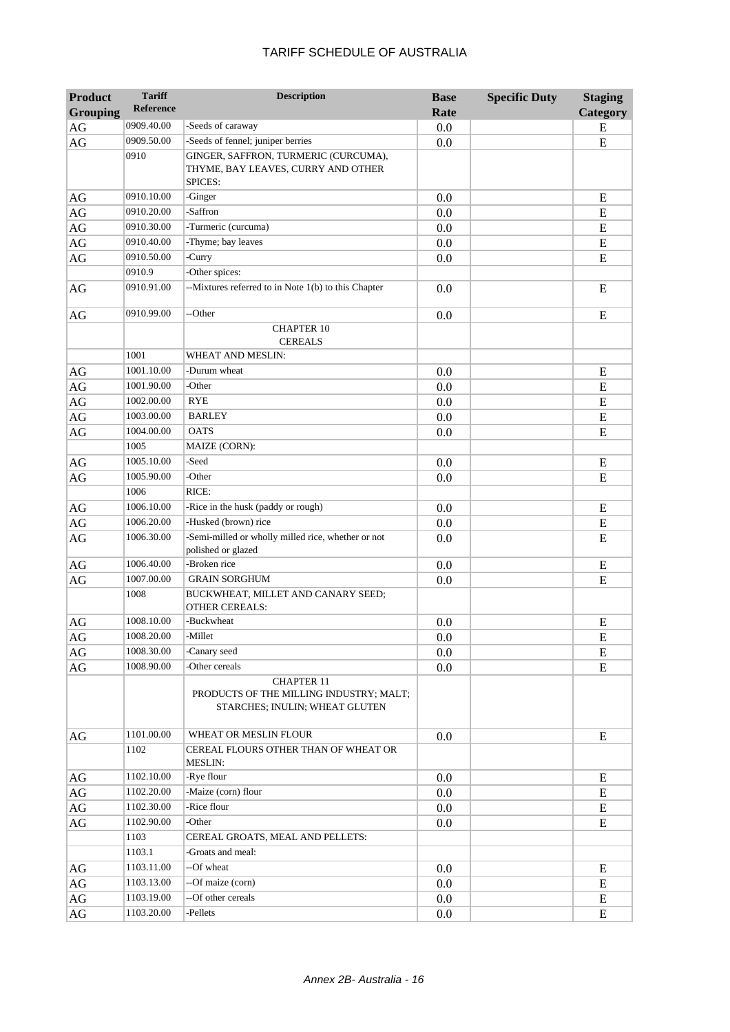| <b>Product</b>  | <b>Tariff</b>    | <b>Description</b>                                                                             | <b>Base</b> | <b>Specific Duty</b> | <b>Staging</b> |
|-----------------|------------------|------------------------------------------------------------------------------------------------|-------------|----------------------|----------------|
| <b>Grouping</b> | <b>Reference</b> |                                                                                                | Rate        |                      | Category       |
| $\rm{AG}$       | 0909.40.00       | -Seeds of caraway                                                                              | 0.0         |                      | E              |
| $\rm{AG}$       | 0909.50.00       | -Seeds of fennel; juniper berries                                                              | 0.0         |                      | ${\bf E}$      |
|                 | 0910             | GINGER, SAFFRON, TURMERIC (CURCUMA),<br>THYME, BAY LEAVES, CURRY AND OTHER<br>SPICES:          |             |                      |                |
| AG              | 0910.10.00       | -Ginger                                                                                        | 0.0         |                      | E              |
| AG              | 0910.20.00       | -Saffron                                                                                       | 0.0         |                      | ${\bf E}$      |
| $\rm{AG}$       | 0910.30.00       | -Turmeric (curcuma)                                                                            | 0.0         |                      | ${\bf E}$      |
| $\rm{AG}$       | 0910.40.00       | -Thyme; bay leaves                                                                             | 0.0         |                      | ${\bf E}$      |
| $\rm{AG}$       | 0910.50.00       | -Curry                                                                                         | 0.0         |                      | ${\bf E}$      |
|                 | 0910.9           | -Other spices:                                                                                 |             |                      |                |
| AG              | 0910.91.00       | --Mixtures referred to in Note 1(b) to this Chapter                                            | 0.0         |                      | E              |
| $\rm{AG}$       | 0910.99.00       | --Other                                                                                        | 0.0         |                      | E              |
|                 |                  | <b>CHAPTER 10</b><br><b>CEREALS</b>                                                            |             |                      |                |
|                 | 1001             | WHEAT AND MESLIN:                                                                              |             |                      |                |
| AG              | 1001.10.00       | -Durum wheat                                                                                   | 0.0         |                      | E              |
| $\rm{AG}$       | 1001.90.00       | -Other                                                                                         | 0.0         |                      | E              |
| $\rm{AG}$       | 1002.00.00       | <b>RYE</b>                                                                                     | 0.0         |                      | E              |
| AG              | 1003.00.00       | <b>BARLEY</b>                                                                                  | 0.0         |                      | ${\bf E}$      |
| $\rm{AG}$       | 1004.00.00       | <b>OATS</b>                                                                                    | 0.0         |                      | E              |
|                 | 1005             | <b>MAIZE (CORN):</b>                                                                           |             |                      |                |
| $\rm{AG}$       | 1005.10.00       | -Seed                                                                                          | 0.0         |                      | ${\bf E}$      |
| AG              | 1005.90.00       | -Other                                                                                         | 0.0         |                      | E              |
|                 | 1006             | RICE:                                                                                          |             |                      |                |
| AG              | 1006.10.00       | -Rice in the husk (paddy or rough)                                                             | 0.0         |                      | E              |
| $\rm{AG}$       | 1006.20.00       | -Husked (brown) rice                                                                           | 0.0         |                      | ${\bf E}$      |
| $\rm{AG}$       | 1006.30.00       | -Semi-milled or wholly milled rice, whether or not<br>polished or glazed                       | 0.0         |                      | E              |
| AG              | 1006.40.00       | -Broken rice                                                                                   | 0.0         |                      | E              |
| $\rm{AG}$       | 1007.00.00       | <b>GRAIN SORGHUM</b>                                                                           | 0.0         |                      | E              |
|                 | 1008             | BUCKWHEAT, MILLET AND CANARY SEED;<br><b>OTHER CEREALS:</b>                                    |             |                      |                |
| AG              | 1008.10.00       | -Buckwheat                                                                                     | 0.0         |                      | Ε              |
| $\rm{AG}$       | 1008.20.00       | -Millet                                                                                        | 0.0         |                      | E              |
| AG              | 1008.30.00       | -Canary seed                                                                                   | 0.0         |                      | E              |
| $\rm{AG}$       | 1008.90.00       | -Other cereals                                                                                 | 0.0         |                      | E              |
|                 |                  | <b>CHAPTER 11</b><br>PRODUCTS OF THE MILLING INDUSTRY; MALT;<br>STARCHES; INULIN; WHEAT GLUTEN |             |                      |                |
| AG              | 1101.00.00       | WHEAT OR MESLIN FLOUR                                                                          | 0.0         |                      | ${\bf E}$      |
|                 | 1102             | CEREAL FLOURS OTHER THAN OF WHEAT OR<br><b>MESLIN:</b>                                         |             |                      |                |
| AG              | 1102.10.00       | -Rye flour                                                                                     | 0.0         |                      | E              |
| $\rm{AG}$       | 1102.20.00       | -Maize (corn) flour                                                                            | 0.0         |                      | E              |
| $\rm{AG}$       | 1102.30.00       | -Rice flour                                                                                    | 0.0         |                      | E              |
| AG              | 1102.90.00       | -Other                                                                                         | 0.0         |                      | E              |
|                 | 1103             | CEREAL GROATS, MEAL AND PELLETS:                                                               |             |                      |                |
|                 | 1103.1           | -Groats and meal:                                                                              |             |                      |                |
| AG              | 1103.11.00       | --Of wheat                                                                                     | 0.0         |                      | Ε              |
| $\rm{AG}$       | 1103.13.00       | --Of maize (corn)                                                                              | 0.0         |                      | E              |
| $\rm{AG}$       | 1103.19.00       | --Of other cereals                                                                             | 0.0         |                      | E              |
| AG              | 1103.20.00       | -Pellets                                                                                       | 0.0         |                      | E              |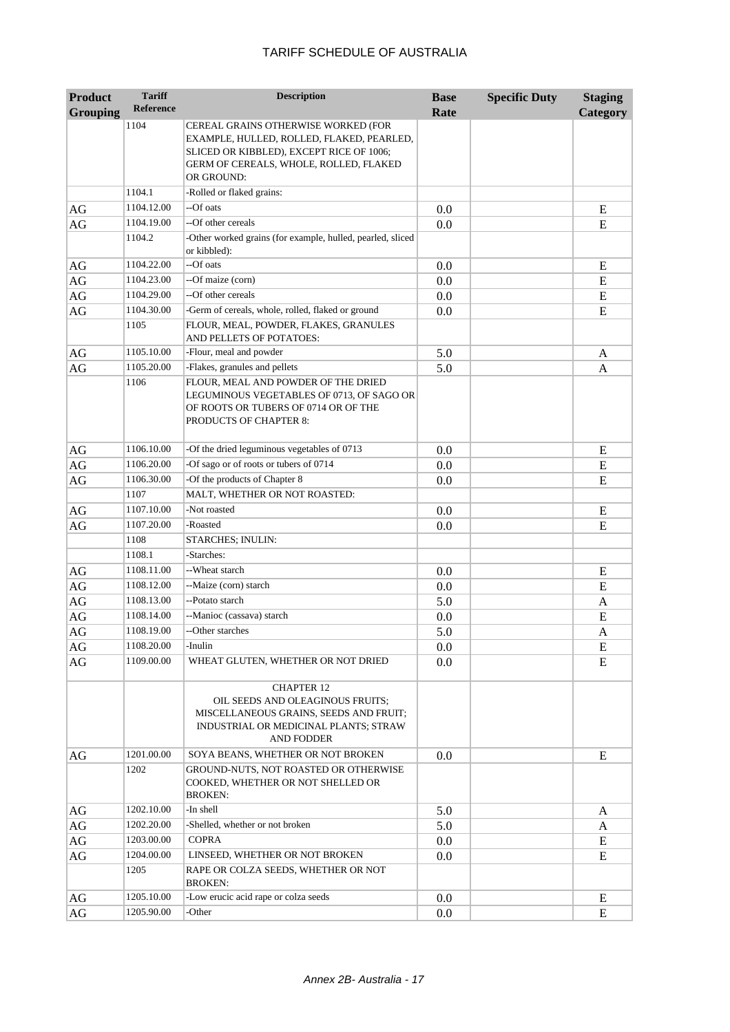| <b>Product</b><br><b>Grouping</b> | <b>Tariff</b><br><b>Reference</b> | <b>Description</b>                                                                                                                                                                   | <b>Base</b><br>Rate | <b>Specific Duty</b> | <b>Staging</b><br>Category |
|-----------------------------------|-----------------------------------|--------------------------------------------------------------------------------------------------------------------------------------------------------------------------------------|---------------------|----------------------|----------------------------|
|                                   | 1104                              | CEREAL GRAINS OTHERWISE WORKED (FOR<br>EXAMPLE, HULLED, ROLLED, FLAKED, PEARLED,<br>SLICED OR KIBBLED), EXCEPT RICE OF 1006;<br>GERM OF CEREALS, WHOLE, ROLLED, FLAKED<br>OR GROUND: |                     |                      |                            |
|                                   | 1104.1                            | -Rolled or flaked grains:                                                                                                                                                            |                     |                      |                            |
| AG                                | 1104.12.00                        | --Of oats                                                                                                                                                                            | 0.0                 |                      | E                          |
| AG                                | 1104.19.00                        | --Of other cereals                                                                                                                                                                   | 0.0                 |                      | E                          |
|                                   | 1104.2                            | -Other worked grains (for example, hulled, pearled, sliced<br>or kibbled):                                                                                                           |                     |                      |                            |
| AG                                | 1104.22.00                        | --Of oats                                                                                                                                                                            | 0.0                 |                      | E                          |
| AG                                | 1104.23.00                        | --Of maize (corn)                                                                                                                                                                    | 0.0                 |                      | E                          |
| AG                                | 1104.29.00                        | --Of other cereals                                                                                                                                                                   | 0.0                 |                      | E                          |
| AG                                | 1104.30.00                        | -Germ of cereals, whole, rolled, flaked or ground                                                                                                                                    | 0.0                 |                      | E                          |
|                                   | 1105                              | FLOUR, MEAL, POWDER, FLAKES, GRANULES<br>AND PELLETS OF POTATOES:                                                                                                                    |                     |                      |                            |
| AG                                | 1105.10.00                        | -Flour, meal and powder                                                                                                                                                              | 5.0                 |                      | A                          |
| AG                                | 1105.20.00                        | -Flakes, granules and pellets                                                                                                                                                        | 5.0                 |                      | A                          |
|                                   | 1106                              | FLOUR, MEAL AND POWDER OF THE DRIED<br>LEGUMINOUS VEGETABLES OF 0713, OF SAGO OR<br>OF ROOTS OR TUBERS OF 0714 OR OF THE<br>PRODUCTS OF CHAPTER 8:                                   |                     |                      |                            |
| AG                                | 1106.10.00                        | -Of the dried leguminous vegetables of 0713                                                                                                                                          | 0.0                 |                      | E                          |
| AG                                | 1106.20.00                        | -Of sago or of roots or tubers of 0714                                                                                                                                               | 0.0                 |                      | E                          |
| AG                                | 1106.30.00                        | -Of the products of Chapter 8                                                                                                                                                        | 0.0                 |                      | E                          |
|                                   | 1107                              | MALT, WHETHER OR NOT ROASTED:                                                                                                                                                        |                     |                      |                            |
| AG                                | 1107.10.00                        | -Not roasted                                                                                                                                                                         | 0.0                 |                      | Ε                          |
| AG                                | 1107.20.00                        | -Roasted                                                                                                                                                                             | 0.0                 |                      | E                          |
|                                   | 1108                              | STARCHES; INULIN:                                                                                                                                                                    |                     |                      |                            |
|                                   | 1108.1                            | -Starches:                                                                                                                                                                           |                     |                      |                            |
| AG                                | 1108.11.00                        | --Wheat starch                                                                                                                                                                       | 0.0                 |                      | E                          |
| AG                                | 1108.12.00                        | --Maize (corn) starch                                                                                                                                                                | 0.0                 |                      | E                          |
| AG                                | 1108.13.00                        | --Potato starch                                                                                                                                                                      | 5.0                 |                      | A                          |
| AG                                | 1108.14.00                        | --Manioc (cassava) starch                                                                                                                                                            | 0.0                 |                      | ${\bf E}$                  |
| AG                                | 1108.19.00                        | --Other starches                                                                                                                                                                     | 5.0                 |                      | A                          |
| AG                                | 1108.20.00                        | -Inulin                                                                                                                                                                              | 0.0                 |                      | E                          |
| AG                                | 1109.00.00                        | WHEAT GLUTEN, WHETHER OR NOT DRIED                                                                                                                                                   | 0.0                 |                      | E                          |
|                                   |                                   | <b>CHAPTER 12</b><br>OIL SEEDS AND OLEAGINOUS FRUITS;<br>MISCELLANEOUS GRAINS, SEEDS AND FRUIT;<br>INDUSTRIAL OR MEDICINAL PLANTS; STRAW<br>AND FODDER                               |                     |                      |                            |
| AG                                | 1201.00.00                        | SOYA BEANS, WHETHER OR NOT BROKEN                                                                                                                                                    | 0.0                 |                      | E                          |
|                                   | 1202                              | GROUND-NUTS, NOT ROASTED OR OTHERWISE<br>COOKED, WHETHER OR NOT SHELLED OR<br><b>BROKEN:</b>                                                                                         |                     |                      |                            |
| AG                                | 1202.10.00                        | -In shell                                                                                                                                                                            | 5.0                 |                      | A                          |
| AG                                | 1202.20.00                        | -Shelled, whether or not broken                                                                                                                                                      | 5.0                 |                      | A                          |
| AG                                | 1203.00.00                        | <b>COPRA</b>                                                                                                                                                                         | 0.0                 |                      | E                          |
| AG                                | 1204.00.00                        | LINSEED, WHETHER OR NOT BROKEN                                                                                                                                                       | 0.0                 |                      | E                          |
|                                   | 1205                              | RAPE OR COLZA SEEDS, WHETHER OR NOT<br><b>BROKEN:</b>                                                                                                                                |                     |                      |                            |
| AG                                | 1205.10.00                        | -Low erucic acid rape or colza seeds                                                                                                                                                 | 0.0                 |                      | E                          |
| AG                                | 1205.90.00                        | -Other                                                                                                                                                                               | 0.0                 |                      | E                          |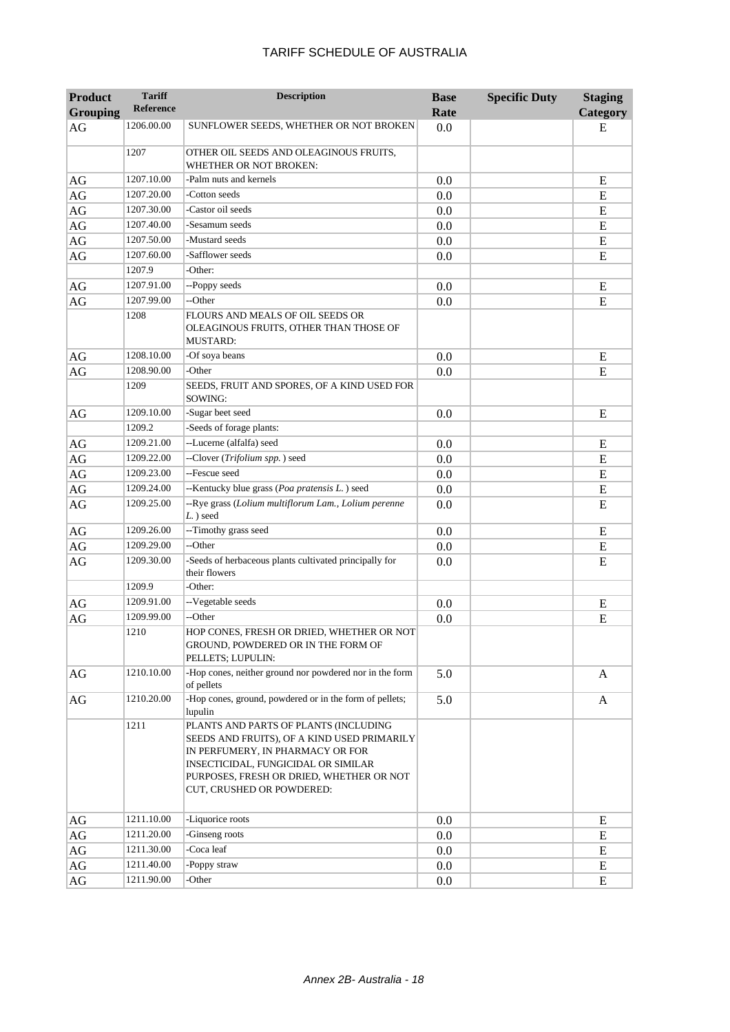| Product         | <b>Tariff</b>    | <b>Description</b>                                                                                                                                                                                                                       | <b>Base</b> | <b>Specific Duty</b> | <b>Staging</b> |
|-----------------|------------------|------------------------------------------------------------------------------------------------------------------------------------------------------------------------------------------------------------------------------------------|-------------|----------------------|----------------|
| <b>Grouping</b> | <b>Reference</b> |                                                                                                                                                                                                                                          | Rate        |                      | Category       |
| AG              | 1206.00.00       | SUNFLOWER SEEDS, WHETHER OR NOT BROKEN                                                                                                                                                                                                   | 0.0         |                      | E              |
|                 | 1207             | OTHER OIL SEEDS AND OLEAGINOUS FRUITS,<br><b>WHETHER OR NOT BROKEN:</b>                                                                                                                                                                  |             |                      |                |
| AG              | 1207.10.00       | -Palm nuts and kernels                                                                                                                                                                                                                   | 0.0         |                      | E              |
| $\rm{AG}$       | 1207.20.00       | -Cotton seeds                                                                                                                                                                                                                            | 0.0         |                      | E              |
| $\rm{AG}$       | 1207.30.00       | -Castor oil seeds                                                                                                                                                                                                                        | 0.0         |                      | E              |
| $\rm{AG}$       | 1207.40.00       | -Sesamum seeds                                                                                                                                                                                                                           | 0.0         |                      | ${\bf E}$      |
| $\rm{AG}$       | 1207.50.00       | -Mustard seeds                                                                                                                                                                                                                           | 0.0         |                      | ${\bf E}$      |
| AG              | 1207.60.00       | -Safflower seeds                                                                                                                                                                                                                         | 0.0         |                      | E              |
|                 | 1207.9           | -Other:                                                                                                                                                                                                                                  |             |                      |                |
| AG              | 1207.91.00       | --Poppy seeds                                                                                                                                                                                                                            | 0.0         |                      | E              |
| $\rm{AG}$       | 1207.99.00       | --Other                                                                                                                                                                                                                                  | 0.0         |                      | E              |
|                 | 1208             | FLOURS AND MEALS OF OIL SEEDS OR<br>OLEAGINOUS FRUITS, OTHER THAN THOSE OF<br><b>MUSTARD:</b>                                                                                                                                            |             |                      |                |
| AG              | 1208.10.00       | -Of soya beans                                                                                                                                                                                                                           | 0.0         |                      | E              |
| AG              | 1208.90.00       | -Other                                                                                                                                                                                                                                   | 0.0         |                      | E              |
|                 | 1209             | SEEDS, FRUIT AND SPORES, OF A KIND USED FOR<br>SOWING:                                                                                                                                                                                   |             |                      |                |
| AG              | 1209.10.00       | -Sugar beet seed                                                                                                                                                                                                                         | 0.0         |                      | E              |
|                 | 1209.2           | -Seeds of forage plants:                                                                                                                                                                                                                 |             |                      |                |
| AG              | 1209.21.00       | --Lucerne (alfalfa) seed                                                                                                                                                                                                                 | 0.0         |                      | E              |
| $\rm{AG}$       | 1209.22.00       | --Clover (Trifolium spp.) seed                                                                                                                                                                                                           | 0.0         |                      | E              |
| $\rm{AG}$       | 1209.23.00       | --Fescue seed                                                                                                                                                                                                                            | 0.0         |                      | E              |
| AG              | 1209.24.00       | --Kentucky blue grass (Poa pratensis L.) seed                                                                                                                                                                                            | 0.0         |                      | ${\bf E}$      |
| $\rm{AG}$       | 1209.25.00       | --Rye grass (Lolium multiflorum Lam., Lolium perenne<br>L.) seed                                                                                                                                                                         | 0.0         |                      | E              |
| $\rm{AG}$       | 1209.26.00       | --Timothy grass seed                                                                                                                                                                                                                     | 0.0         |                      | E              |
| AG              | 1209.29.00       | --Other                                                                                                                                                                                                                                  | 0.0         |                      | E              |
| AG              | 1209.30.00       | -Seeds of herbaceous plants cultivated principally for<br>their flowers                                                                                                                                                                  | 0.0         |                      | E              |
|                 | 1209.9           | -Other:                                                                                                                                                                                                                                  |             |                      |                |
| AG              | 1209.91.00       | --Vegetable seeds                                                                                                                                                                                                                        | 0.0         |                      | E              |
| AG              | 1209.99.00       | --Other                                                                                                                                                                                                                                  | 0.0         |                      | E              |
|                 | 1210             | HOP CONES, FRESH OR DRIED, WHETHER OR NOT<br>GROUND, POWDERED OR IN THE FORM OF<br>PELLETS; LUPULIN:                                                                                                                                     |             |                      |                |
| AG              | 1210.10.00       | -Hop cones, neither ground nor powdered nor in the form<br>of pellets                                                                                                                                                                    | 5.0         |                      | $\mathbf{A}$   |
| AG              | 1210.20.00       | -Hop cones, ground, powdered or in the form of pellets;<br>lupulin                                                                                                                                                                       | 5.0         |                      | A              |
|                 | 1211             | PLANTS AND PARTS OF PLANTS (INCLUDING<br>SEEDS AND FRUITS), OF A KIND USED PRIMARILY<br>IN PERFUMERY, IN PHARMACY OR FOR<br>INSECTICIDAL, FUNGICIDAL OR SIMILAR<br>PURPOSES, FRESH OR DRIED, WHETHER OR NOT<br>CUT, CRUSHED OR POWDERED: |             |                      |                |
| AG              | 1211.10.00       | -Liquorice roots                                                                                                                                                                                                                         | 0.0         |                      | E              |
| AG              | 1211.20.00       | -Ginseng roots                                                                                                                                                                                                                           | $0.0\,$     |                      | E              |
| AG              | 1211.30.00       | -Coca leaf                                                                                                                                                                                                                               | 0.0         |                      | E              |
| AG              | 1211.40.00       | -Poppy straw                                                                                                                                                                                                                             | 0.0         |                      | E              |
| AG              | 1211.90.00       | -Other                                                                                                                                                                                                                                   | 0.0         |                      | E              |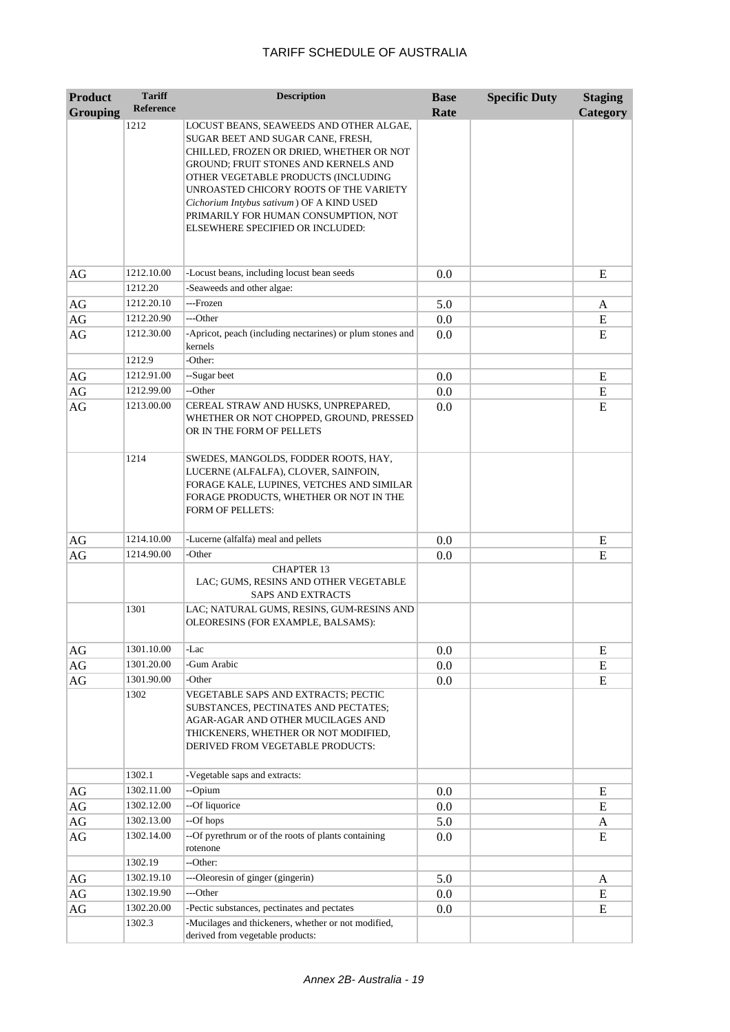| <b>Product</b>  | <b>Tariff</b><br><b>Reference</b> | <b>Description</b>                                                                                                                                                                                                                                                                                                                     | <b>Base</b> | <b>Specific Duty</b> | <b>Staging</b> |
|-----------------|-----------------------------------|----------------------------------------------------------------------------------------------------------------------------------------------------------------------------------------------------------------------------------------------------------------------------------------------------------------------------------------|-------------|----------------------|----------------|
| <b>Grouping</b> |                                   |                                                                                                                                                                                                                                                                                                                                        | Rate        |                      | Category       |
|                 | 1212                              | LOCUST BEANS, SEAWEEDS AND OTHER ALGAE,<br>SUGAR BEET AND SUGAR CANE, FRESH,<br>CHILLED, FROZEN OR DRIED, WHETHER OR NOT<br>GROUND; FRUIT STONES AND KERNELS AND<br>OTHER VEGETABLE PRODUCTS (INCLUDING<br>UNROASTED CHICORY ROOTS OF THE VARIETY<br>Cichorium Intybus sativum) OF A KIND USED<br>PRIMARILY FOR HUMAN CONSUMPTION, NOT |             |                      |                |
|                 |                                   | ELSEWHERE SPECIFIED OR INCLUDED:                                                                                                                                                                                                                                                                                                       |             |                      |                |
| AG              | 1212.10.00                        | -Locust beans, including locust bean seeds                                                                                                                                                                                                                                                                                             | 0.0         |                      | E              |
|                 | 1212.20                           | -Seaweeds and other algae:                                                                                                                                                                                                                                                                                                             |             |                      |                |
| AG              | 1212.20.10                        | ---Frozen                                                                                                                                                                                                                                                                                                                              | 5.0         |                      | A              |
| AG              | 1212.20.90                        | ---Other                                                                                                                                                                                                                                                                                                                               | 0.0         |                      | E              |
| AG              | 1212.30.00                        | -Apricot, peach (including nectarines) or plum stones and<br>kernels                                                                                                                                                                                                                                                                   | 0.0         |                      | E              |
|                 | 1212.9                            | -Other:                                                                                                                                                                                                                                                                                                                                |             |                      |                |
| AG              | 1212.91.00                        | --Sugar beet                                                                                                                                                                                                                                                                                                                           | 0.0         |                      | E              |
| AG              | 1212.99.00                        | --Other                                                                                                                                                                                                                                                                                                                                | 0.0         |                      | E              |
| AG              | 1213.00.00                        | CEREAL STRAW AND HUSKS, UNPREPARED,<br>WHETHER OR NOT CHOPPED, GROUND, PRESSED<br>OR IN THE FORM OF PELLETS                                                                                                                                                                                                                            | 0.0         |                      | E              |
|                 | 1214                              | SWEDES, MANGOLDS, FODDER ROOTS, HAY,<br>LUCERNE (ALFALFA), CLOVER, SAINFOIN,<br>FORAGE KALE, LUPINES, VETCHES AND SIMILAR<br>FORAGE PRODUCTS, WHETHER OR NOT IN THE<br><b>FORM OF PELLETS:</b>                                                                                                                                         |             |                      |                |
| AG              | 1214.10.00                        | -Lucerne (alfalfa) meal and pellets                                                                                                                                                                                                                                                                                                    | 0.0         |                      | Ε              |
| AG              | 1214.90.00                        | -Other                                                                                                                                                                                                                                                                                                                                 | 0.0         |                      | E              |
|                 |                                   | <b>CHAPTER 13</b><br>LAC; GUMS, RESINS AND OTHER VEGETABLE<br>SAPS AND EXTRACTS                                                                                                                                                                                                                                                        |             |                      |                |
|                 | 1301                              | LAC; NATURAL GUMS, RESINS, GUM-RESINS AND<br>OLEORESINS (FOR EXAMPLE, BALSAMS):                                                                                                                                                                                                                                                        |             |                      |                |
| AG              | 1301.10.00                        | -Lac                                                                                                                                                                                                                                                                                                                                   | 0.0         |                      | E              |
| AG              | 1301.20.00                        | -Gum Arabic                                                                                                                                                                                                                                                                                                                            | 0.0         |                      | E              |
| AG              | 1301.90.00                        | -Other                                                                                                                                                                                                                                                                                                                                 | 0.0         |                      | E              |
|                 | 1302                              | VEGETABLE SAPS AND EXTRACTS; PECTIC<br>SUBSTANCES, PECTINATES AND PECTATES;<br>AGAR-AGAR AND OTHER MUCILAGES AND<br>THICKENERS, WHETHER OR NOT MODIFIED,<br>DERIVED FROM VEGETABLE PRODUCTS:                                                                                                                                           |             |                      |                |
|                 | 1302.1                            | -Vegetable saps and extracts:                                                                                                                                                                                                                                                                                                          |             |                      |                |
| AG              | 1302.11.00                        | --Opium                                                                                                                                                                                                                                                                                                                                | 0.0         |                      | E              |
| $\rm{AG}$       | 1302.12.00                        | --Of liquorice                                                                                                                                                                                                                                                                                                                         | 0.0         |                      | E              |
| AG              | 1302.13.00                        | --Of hops                                                                                                                                                                                                                                                                                                                              | 5.0         |                      | A              |
| AG              | 1302.14.00                        | --Of pyrethrum or of the roots of plants containing<br>rotenone                                                                                                                                                                                                                                                                        | 0.0         |                      | Ε              |
|                 | 1302.19                           | --Other:                                                                                                                                                                                                                                                                                                                               |             |                      |                |
| AG              | 1302.19.10                        | ---Oleoresin of ginger (gingerin)                                                                                                                                                                                                                                                                                                      | 5.0         |                      | A              |
| AG              | 1302.19.90                        | ---Other                                                                                                                                                                                                                                                                                                                               | 0.0         |                      | E              |
| AG              | 1302.20.00                        | -Pectic substances, pectinates and pectates                                                                                                                                                                                                                                                                                            | 0.0         |                      | E              |
|                 | 1302.3                            | -Mucilages and thickeners, whether or not modified,<br>derived from vegetable products:                                                                                                                                                                                                                                                |             |                      |                |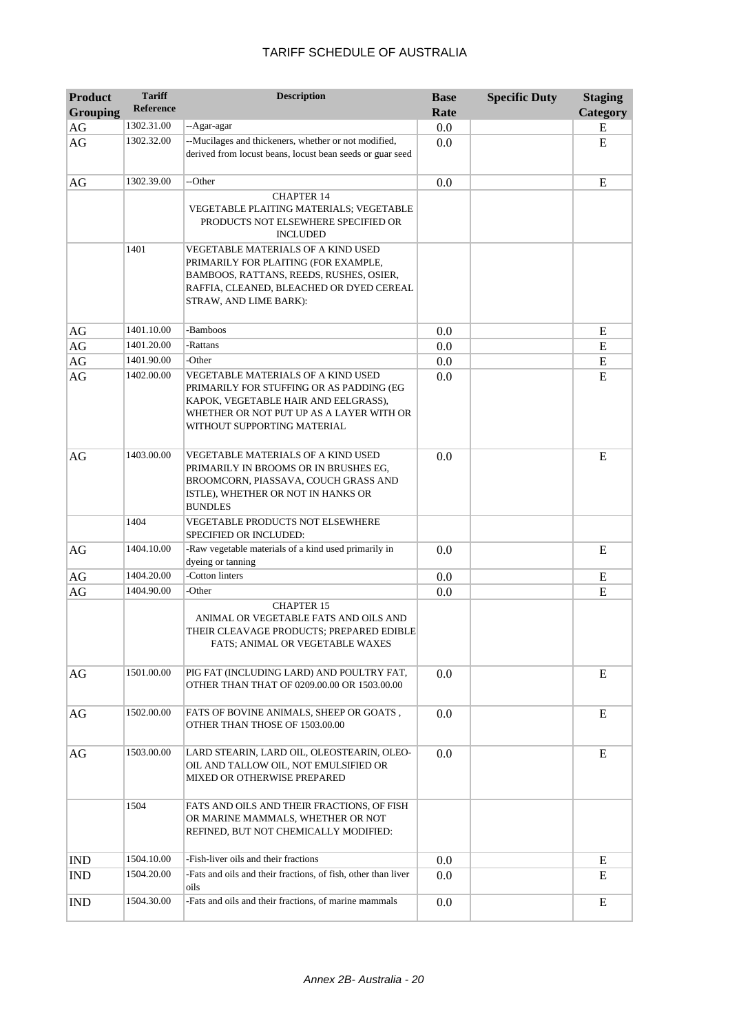| <b>Product</b><br><b>Grouping</b> | <b>Tariff</b><br><b>Reference</b> | <b>Description</b>                                                                                                                                                                                       | <b>Base</b><br>Rate | <b>Specific Duty</b> | <b>Staging</b><br>Category |
|-----------------------------------|-----------------------------------|----------------------------------------------------------------------------------------------------------------------------------------------------------------------------------------------------------|---------------------|----------------------|----------------------------|
| AG                                | 1302.31.00                        | --Agar-agar                                                                                                                                                                                              | 0.0                 |                      | E                          |
| AG                                | 1302.32.00                        | --Mucilages and thickeners, whether or not modified,<br>derived from locust beans, locust bean seeds or guar seed                                                                                        | 0.0                 |                      | E                          |
| AG                                | 1302.39.00                        | --Other                                                                                                                                                                                                  | 0.0                 |                      | E                          |
|                                   |                                   | <b>CHAPTER 14</b><br><b>VEGETABLE PLAITING MATERIALS; VEGETABLE</b><br>PRODUCTS NOT ELSEWHERE SPECIFIED OR<br><b>INCLUDED</b>                                                                            |                     |                      |                            |
|                                   | 1401                              | VEGETABLE MATERIALS OF A KIND USED<br>PRIMARILY FOR PLAITING (FOR EXAMPLE,<br>BAMBOOS, RATTANS, REEDS, RUSHES, OSIER,<br>RAFFIA, CLEANED, BLEACHED OR DYED CEREAL<br>STRAW, AND LIME BARK):              |                     |                      |                            |
| AG                                | 1401.10.00                        | -Bamboos                                                                                                                                                                                                 | 0.0                 |                      | E                          |
| $\rm{AG}$                         | 1401.20.00                        | -Rattans                                                                                                                                                                                                 | 0.0                 |                      | ${\bf E}$                  |
| $\rm{AG}$                         | 1401.90.00                        | -Other                                                                                                                                                                                                   | 0.0                 |                      | ${\bf E}$                  |
| AG                                | 1402.00.00                        | <b>VEGETABLE MATERIALS OF A KIND USED</b><br>PRIMARILY FOR STUFFING OR AS PADDING (EG<br>KAPOK, VEGETABLE HAIR AND EELGRASS),<br>WHETHER OR NOT PUT UP AS A LAYER WITH OR<br>WITHOUT SUPPORTING MATERIAL | 0.0                 |                      | E                          |
| AG                                | 1403.00.00                        | VEGETABLE MATERIALS OF A KIND USED<br>PRIMARILY IN BROOMS OR IN BRUSHES EG,<br>BROOMCORN, PIASSAVA, COUCH GRASS AND<br>ISTLE), WHETHER OR NOT IN HANKS OR<br><b>BUNDLES</b>                              | 0.0                 |                      | E                          |
|                                   | 1404                              | <b>VEGETABLE PRODUCTS NOT ELSEWHERE</b><br>SPECIFIED OR INCLUDED:                                                                                                                                        |                     |                      |                            |
| AG                                | 1404.10.00                        | -Raw vegetable materials of a kind used primarily in<br>dyeing or tanning                                                                                                                                | 0.0                 |                      | E                          |
| AG                                | 1404.20.00                        | -Cotton linters                                                                                                                                                                                          | 0.0                 |                      | E                          |
| AG                                | 1404.90.00                        | -Other                                                                                                                                                                                                   | 0.0                 |                      | E                          |
|                                   |                                   | <b>CHAPTER 15</b><br>ANIMAL OR VEGETABLE FATS AND OILS AND<br>THEIR CLEAVAGE PRODUCTS; PREPARED EDIBLE<br>FATS; ANIMAL OR VEGETABLE WAXES                                                                |                     |                      |                            |
| AG                                | 1501.00.00                        | PIG FAT (INCLUDING LARD) AND POULTRY FAT,<br>OTHER THAN THAT OF 0209.00.00 OR 1503.00.00                                                                                                                 | 0.0                 |                      | E                          |
| AG                                | 1502.00.00                        | FATS OF BOVINE ANIMALS, SHEEP OR GOATS ,<br>OTHER THAN THOSE OF 1503.00.00                                                                                                                               | 0.0                 |                      | E                          |
| AG                                | 1503.00.00                        | LARD STEARIN, LARD OIL, OLEOSTEARIN, OLEO-<br>OIL AND TALLOW OIL, NOT EMULSIFIED OR<br>MIXED OR OTHERWISE PREPARED                                                                                       | 0.0                 |                      | E                          |
|                                   | 1504                              | FATS AND OILS AND THEIR FRACTIONS, OF FISH<br>OR MARINE MAMMALS, WHETHER OR NOT<br>REFINED, BUT NOT CHEMICALLY MODIFIED:                                                                                 |                     |                      |                            |
| <b>IND</b>                        | 1504.10.00                        | -Fish-liver oils and their fractions                                                                                                                                                                     | 0.0                 |                      | E                          |
| <b>IND</b>                        | 1504.20.00                        | -Fats and oils and their fractions, of fish, other than liver<br>oils                                                                                                                                    | 0.0                 |                      | E                          |
| <b>IND</b>                        | 1504.30.00                        | -Fats and oils and their fractions, of marine mammals                                                                                                                                                    | 0.0                 |                      | Ε                          |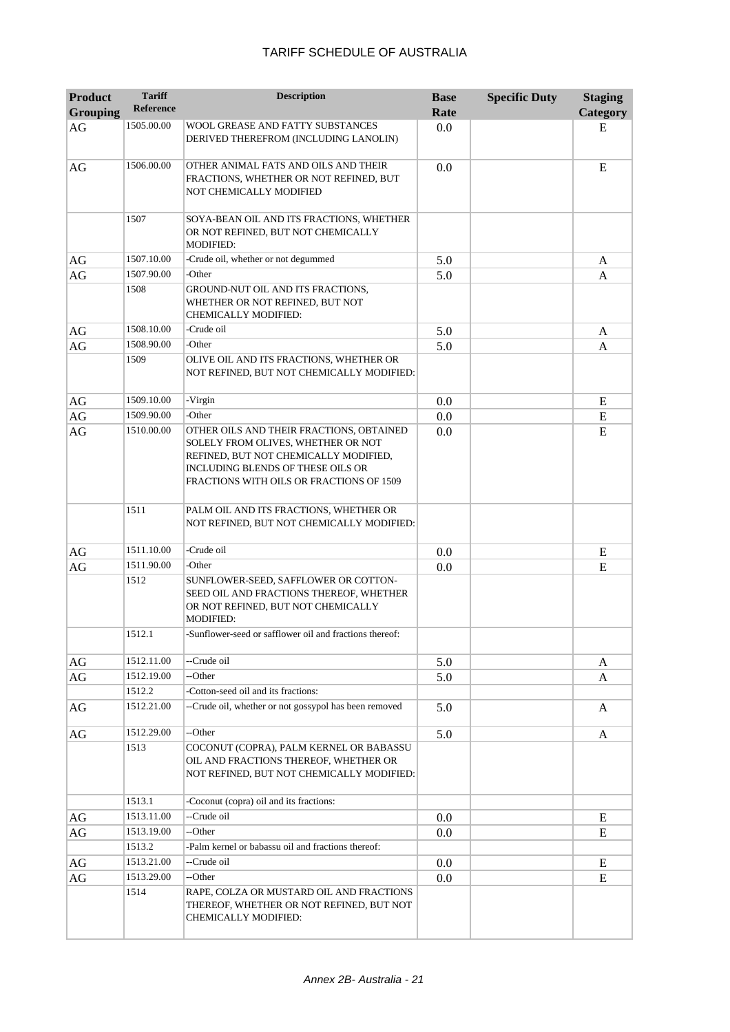| <b>Product</b><br><b>Grouping</b> | <b>Tariff</b><br><b>Reference</b> | <b>Description</b>                                                                                                                                                                                       | <b>Base</b><br>Rate | <b>Specific Duty</b> | <b>Staging</b><br>Category |
|-----------------------------------|-----------------------------------|----------------------------------------------------------------------------------------------------------------------------------------------------------------------------------------------------------|---------------------|----------------------|----------------------------|
| AG                                | 1505.00.00                        | <b>WOOL GREASE AND FATTY SUBSTANCES</b><br>DERIVED THEREFROM (INCLUDING LANOLIN)                                                                                                                         | 0.0                 |                      | E                          |
| AG                                | 1506.00.00                        | OTHER ANIMAL FATS AND OILS AND THEIR<br>FRACTIONS, WHETHER OR NOT REFINED, BUT<br>NOT CHEMICALLY MODIFIED                                                                                                | 0.0                 |                      | E                          |
|                                   | 1507                              | SOYA-BEAN OIL AND ITS FRACTIONS, WHETHER<br>OR NOT REFINED, BUT NOT CHEMICALLY<br><b>MODIFIED:</b>                                                                                                       |                     |                      |                            |
| AG                                | 1507.10.00                        | -Crude oil, whether or not degummed                                                                                                                                                                      | 5.0                 |                      | A                          |
| AG                                | 1507.90.00                        | -Other                                                                                                                                                                                                   | 5.0                 |                      | A                          |
|                                   | 1508                              | GROUND-NUT OIL AND ITS FRACTIONS,<br>WHETHER OR NOT REFINED, BUT NOT<br><b>CHEMICALLY MODIFIED:</b>                                                                                                      |                     |                      |                            |
| AG                                | 1508.10.00                        | -Crude oil                                                                                                                                                                                               | 5.0                 |                      | A                          |
| AG                                | 1508.90.00                        | -Other                                                                                                                                                                                                   | 5.0                 |                      | A                          |
|                                   | 1509                              | OLIVE OIL AND ITS FRACTIONS, WHETHER OR<br>NOT REFINED, BUT NOT CHEMICALLY MODIFIED:                                                                                                                     |                     |                      |                            |
| AG                                | 1509.10.00                        | -Virgin                                                                                                                                                                                                  | 0.0                 |                      | E                          |
| $\rm{AG}$                         | 1509.90.00                        | -Other                                                                                                                                                                                                   | 0.0                 |                      | ${\bf E}$                  |
| AG                                | 1510.00.00                        | OTHER OILS AND THEIR FRACTIONS, OBTAINED<br>SOLELY FROM OLIVES, WHETHER OR NOT<br>REFINED, BUT NOT CHEMICALLY MODIFIED,<br>INCLUDING BLENDS OF THESE OILS OR<br>FRACTIONS WITH OILS OR FRACTIONS OF 1509 | 0.0                 |                      | E                          |
|                                   | 1511                              | PALM OIL AND ITS FRACTIONS, WHETHER OR<br>NOT REFINED, BUT NOT CHEMICALLY MODIFIED:                                                                                                                      |                     |                      |                            |
| AG                                | 1511.10.00                        | -Crude oil                                                                                                                                                                                               | 0.0                 |                      | E                          |
| AG                                | 1511.90.00                        | -Other                                                                                                                                                                                                   | 0.0                 |                      | E                          |
|                                   | 1512                              | SUNFLOWER-SEED, SAFFLOWER OR COTTON-<br>SEED OIL AND FRACTIONS THEREOF, WHETHER<br>OR NOT REFINED, BUT NOT CHEMICALLY<br><b>MODIFIED:</b>                                                                |                     |                      |                            |
|                                   | 1512.1                            | -Sunflower-seed or safflower oil and fractions thereof:                                                                                                                                                  |                     |                      |                            |
| AG                                | 1512.11.00                        | --Crude oil                                                                                                                                                                                              | 5.0                 |                      | A                          |
| AG                                | 1512.19.00                        | --Other                                                                                                                                                                                                  | 5.0                 |                      | A                          |
|                                   | 1512.2                            | -Cotton-seed oil and its fractions:                                                                                                                                                                      |                     |                      |                            |
| AG                                | 1512.21.00                        | --Crude oil, whether or not gossypol has been removed                                                                                                                                                    | 5.0                 |                      | A                          |
| AG                                | 1512.29.00                        | --Other                                                                                                                                                                                                  | 5.0                 |                      | A                          |
|                                   | 1513                              | COCONUT (COPRA), PALM KERNEL OR BABASSU<br>OIL AND FRACTIONS THEREOF, WHETHER OR<br>NOT REFINED, BUT NOT CHEMICALLY MODIFIED:                                                                            |                     |                      |                            |
|                                   | 1513.1                            | -Coconut (copra) oil and its fractions:                                                                                                                                                                  |                     |                      |                            |
| AG                                | 1513.11.00                        | --Crude oil                                                                                                                                                                                              | $0.0\,$             |                      | E                          |
| AG                                | 1513.19.00                        | --Other                                                                                                                                                                                                  | 0.0                 |                      | E                          |
|                                   | 1513.2                            | -Palm kernel or babassu oil and fractions thereof:                                                                                                                                                       |                     |                      |                            |
| AG                                | 1513.21.00                        | --Crude oil                                                                                                                                                                                              | 0.0                 |                      | E                          |
| AG                                | 1513.29.00                        | --Other                                                                                                                                                                                                  | 0.0                 |                      | E                          |
|                                   | 1514                              | RAPE, COLZA OR MUSTARD OIL AND FRACTIONS<br>THEREOF, WHETHER OR NOT REFINED, BUT NOT<br>CHEMICALLY MODIFIED:                                                                                             |                     |                      |                            |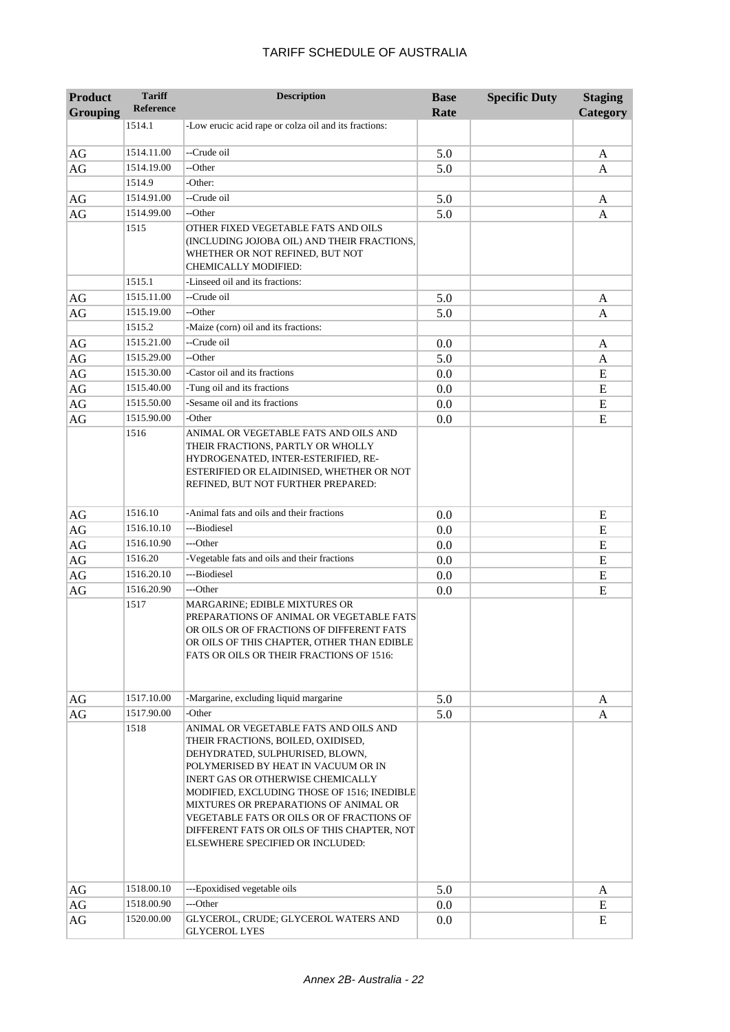| TARIFF SCHEDULE OF AUSTRALIA |
|------------------------------|
|------------------------------|

| <b>Product</b><br><b>Grouping</b> | <b>Tariff</b><br><b>Reference</b> | <b>Description</b>                                                                                                                                                                                                                                                                                                                                                                                                 | <b>Base</b><br>Rate | <b>Specific Duty</b> | <b>Staging</b><br>Category |
|-----------------------------------|-----------------------------------|--------------------------------------------------------------------------------------------------------------------------------------------------------------------------------------------------------------------------------------------------------------------------------------------------------------------------------------------------------------------------------------------------------------------|---------------------|----------------------|----------------------------|
|                                   | 1514.1                            | -Low erucic acid rape or colza oil and its fractions:                                                                                                                                                                                                                                                                                                                                                              |                     |                      |                            |
|                                   |                                   |                                                                                                                                                                                                                                                                                                                                                                                                                    |                     |                      |                            |
| $\rm{AG}$                         | 1514.11.00                        | --Crude oil                                                                                                                                                                                                                                                                                                                                                                                                        | 5.0                 |                      | A                          |
| AG                                | 1514.19.00                        | --Other                                                                                                                                                                                                                                                                                                                                                                                                            | 5.0                 |                      | A                          |
|                                   | 1514.9                            | -Other:                                                                                                                                                                                                                                                                                                                                                                                                            |                     |                      |                            |
| AG                                | 1514.91.00                        | --Crude oil                                                                                                                                                                                                                                                                                                                                                                                                        | 5.0                 |                      | A                          |
| AG                                | 1514.99.00                        | --Other                                                                                                                                                                                                                                                                                                                                                                                                            | 5.0                 |                      | A                          |
|                                   | 1515                              | OTHER FIXED VEGETABLE FATS AND OILS<br>(INCLUDING JOJOBA OIL) AND THEIR FRACTIONS,<br>WHETHER OR NOT REFINED, BUT NOT<br><b>CHEMICALLY MODIFIED:</b>                                                                                                                                                                                                                                                               |                     |                      |                            |
|                                   | 1515.1                            | -Linseed oil and its fractions:                                                                                                                                                                                                                                                                                                                                                                                    |                     |                      |                            |
| AG                                | 1515.11.00                        | --Crude oil                                                                                                                                                                                                                                                                                                                                                                                                        | 5.0                 |                      | A                          |
| $\rm{AG}$                         | 1515.19.00                        | --Other                                                                                                                                                                                                                                                                                                                                                                                                            | 5.0                 |                      | A                          |
|                                   | 1515.2                            | -Maize (corn) oil and its fractions:                                                                                                                                                                                                                                                                                                                                                                               |                     |                      |                            |
| AG                                | 1515.21.00                        | --Crude oil                                                                                                                                                                                                                                                                                                                                                                                                        | 0.0                 |                      | A                          |
| $\rm{AG}$                         | 1515.29.00                        | --Other                                                                                                                                                                                                                                                                                                                                                                                                            | 5.0                 |                      | A                          |
| $\rm{AG}$                         | 1515.30.00                        | -Castor oil and its fractions                                                                                                                                                                                                                                                                                                                                                                                      | 0.0                 |                      | E                          |
| $\rm{AG}$                         | 1515.40.00                        | -Tung oil and its fractions                                                                                                                                                                                                                                                                                                                                                                                        | 0.0                 |                      | E                          |
| $\rm{AG}$                         | 1515.50.00                        | -Sesame oil and its fractions                                                                                                                                                                                                                                                                                                                                                                                      | 0.0                 |                      | E                          |
| AG                                | 1515.90.00<br>1516                | -Other<br>ANIMAL OR VEGETABLE FATS AND OILS AND                                                                                                                                                                                                                                                                                                                                                                    | 0.0                 |                      | E                          |
|                                   |                                   | THEIR FRACTIONS, PARTLY OR WHOLLY<br>HYDROGENATED, INTER-ESTERIFIED, RE-<br>ESTERIFIED OR ELAIDINISED, WHETHER OR NOT<br>REFINED, BUT NOT FURTHER PREPARED:                                                                                                                                                                                                                                                        |                     |                      |                            |
| AG                                | 1516.10                           | -Animal fats and oils and their fractions                                                                                                                                                                                                                                                                                                                                                                          | 0.0                 |                      | E                          |
| $\rm{AG}$                         | 1516.10.10                        | ---Biodiesel                                                                                                                                                                                                                                                                                                                                                                                                       | 0.0                 |                      | E                          |
| $\rm{AG}$                         | 1516.10.90                        | ---Other                                                                                                                                                                                                                                                                                                                                                                                                           | 0.0                 |                      | E                          |
| $\rm{AG}$                         | 1516.20                           | -Vegetable fats and oils and their fractions                                                                                                                                                                                                                                                                                                                                                                       | 0.0                 |                      | E                          |
| $\rm{AG}$                         | 1516.20.10                        | ---Biodiesel                                                                                                                                                                                                                                                                                                                                                                                                       | 0.0                 |                      | E                          |
| AG                                | 1516.20.90<br>1517                | ---Other<br><b>MARGARINE; EDIBLE MIXTURES OR</b><br>PREPARATIONS OF ANIMAL OR VEGETABLE FATS<br>OR OILS OR OF FRACTIONS OF DIFFERENT FATS<br>OR OILS OF THIS CHAPTER, OTHER THAN EDIBLE<br>FATS OR OILS OR THEIR FRACTIONS OF 1516:                                                                                                                                                                                | 0.0                 |                      | E                          |
| AG                                | 1517.10.00                        | -Margarine, excluding liquid margarine                                                                                                                                                                                                                                                                                                                                                                             | 5.0                 |                      | A                          |
| AG                                | 1517.90.00                        | -Other                                                                                                                                                                                                                                                                                                                                                                                                             | 5.0                 |                      | A                          |
|                                   | 1518                              | ANIMAL OR VEGETABLE FATS AND OILS AND<br>THEIR FRACTIONS, BOILED, OXIDISED,<br>DEHYDRATED, SULPHURISED, BLOWN,<br>POLYMERISED BY HEAT IN VACUUM OR IN<br>INERT GAS OR OTHERWISE CHEMICALLY<br>MODIFIED, EXCLUDING THOSE OF 1516; INEDIBLE<br>MIXTURES OR PREPARATIONS OF ANIMAL OR<br>VEGETABLE FATS OR OILS OR OF FRACTIONS OF<br>DIFFERENT FATS OR OILS OF THIS CHAPTER, NOT<br>ELSEWHERE SPECIFIED OR INCLUDED: |                     |                      |                            |
| AG                                | 1518.00.10                        | ---Epoxidised vegetable oils                                                                                                                                                                                                                                                                                                                                                                                       | 5.0                 |                      | A                          |
| AG                                | 1518.00.90                        | ---Other                                                                                                                                                                                                                                                                                                                                                                                                           | $0.0\,$             |                      | E                          |
| AG                                | 1520.00.00                        | GLYCEROL, CRUDE; GLYCEROL WATERS AND<br><b>GLYCEROL LYES</b>                                                                                                                                                                                                                                                                                                                                                       | 0.0                 |                      | E                          |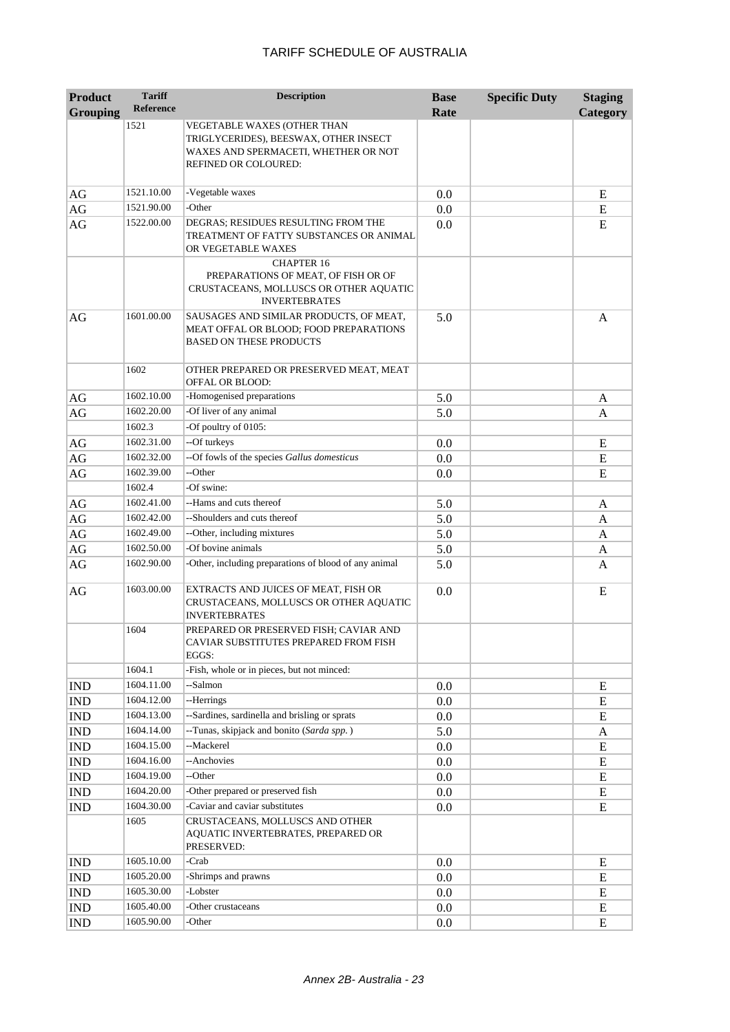| <b>Product</b>  | <b>Tariff</b>      | <b>Description</b>                                                                                                                   | <b>Base</b> | <b>Specific Duty</b> | <b>Staging</b> |
|-----------------|--------------------|--------------------------------------------------------------------------------------------------------------------------------------|-------------|----------------------|----------------|
| <b>Grouping</b> | <b>Reference</b>   |                                                                                                                                      | Rate        |                      | Category       |
|                 | 1521               | VEGETABLE WAXES (OTHER THAN<br>TRIGLYCERIDES), BEESWAX, OTHER INSECT<br>WAXES AND SPERMACETI, WHETHER OR NOT<br>REFINED OR COLOURED: |             |                      |                |
| AG              | 1521.10.00         | -Vegetable waxes                                                                                                                     | 0.0         |                      | E              |
| $\rm{AG}$       | 1521.90.00         | -Other                                                                                                                               | 0.0         |                      | E              |
| AG              | 1522.00.00         | DEGRAS; RESIDUES RESULTING FROM THE<br>TREATMENT OF FATTY SUBSTANCES OR ANIMAL<br>OR VEGETABLE WAXES                                 | 0.0         |                      | E              |
|                 |                    | <b>CHAPTER 16</b><br>PREPARATIONS OF MEAT, OF FISH OR OF<br>CRUSTACEANS, MOLLUSCS OR OTHER AQUATIC<br><b>INVERTEBRATES</b>           |             |                      |                |
| AG              | 1601.00.00         | SAUSAGES AND SIMILAR PRODUCTS, OF MEAT,<br>MEAT OFFAL OR BLOOD; FOOD PREPARATIONS<br><b>BASED ON THESE PRODUCTS</b>                  | 5.0         |                      | A              |
|                 | 1602               | OTHER PREPARED OR PRESERVED MEAT, MEAT<br>OFFAL OR BLOOD:                                                                            |             |                      |                |
| AG              | 1602.10.00         | -Homogenised preparations                                                                                                            | 5.0         |                      | A              |
| AG              | 1602.20.00         | -Of liver of any animal                                                                                                              | 5.0         |                      | A              |
|                 | 1602.3             | -Of poultry of 0105:                                                                                                                 |             |                      |                |
| AG              | 1602.31.00         | --Of turkeys                                                                                                                         | 0.0         |                      | E              |
| AG              | 1602.32.00         | --Of fowls of the species Gallus domesticus                                                                                          | 0.0         |                      | E              |
| AG              | 1602.39.00         | --Other                                                                                                                              | 0.0         |                      | E              |
|                 | 1602.4             | -Of swine:                                                                                                                           |             |                      |                |
| AG              | 1602.41.00         | --Hams and cuts thereof                                                                                                              | 5.0         |                      | A              |
| $\rm{AG}$       | 1602.42.00         | --Shoulders and cuts thereof                                                                                                         | 5.0         |                      | A              |
| $\rm{AG}$       | 1602.49.00         | --Other, including mixtures                                                                                                          | 5.0         |                      | A              |
| $\rm{AG}$       | 1602.50.00         | -Of bovine animals                                                                                                                   | 5.0         |                      | A              |
| $\rm{AG}$       | 1602.90.00         | -Other, including preparations of blood of any animal                                                                                | 5.0         |                      | A              |
| AG              | 1603.00.00         | EXTRACTS AND JUICES OF MEAT, FISH OR<br>CRUSTACEANS, MOLLUSCS OR OTHER AQUATIC<br><b>INVERTEBRATES</b>                               | 0.0         |                      | E              |
|                 | 1604               | PREPARED OR PRESERVED FISH; CAVIAR AND<br>CAVIAR SUBSTITUTES PREPARED FROM FISH<br>EGGS:                                             |             |                      |                |
|                 | 1604.1             | -Fish, whole or in pieces, but not minced:                                                                                           |             |                      |                |
| <b>IND</b>      | 1604.11.00         | --Salmon                                                                                                                             | 0.0         |                      | E              |
| <b>IND</b>      | 1604.12.00         | --Herrings                                                                                                                           | 0.0         |                      | E              |
| IND             | 1604.13.00         | --Sardines, sardinella and brisling or sprats                                                                                        | $0.0\,$     |                      | E              |
| <b>IND</b>      | 1604.14.00         | --Tunas, skipjack and bonito (Sarda spp.)                                                                                            | 5.0         |                      | A              |
| <b>IND</b>      | 1604.15.00         | --Mackerel                                                                                                                           | $0.0\,$     |                      | E              |
| <b>IND</b>      | 1604.16.00         | --Anchovies                                                                                                                          | 0.0         |                      | E              |
| <b>IND</b>      | 1604.19.00         | --Other                                                                                                                              | 0.0         |                      | E              |
| $\mathbf{IND}$  | 1604.20.00         | -Other prepared or preserved fish                                                                                                    | 0.0         |                      | E              |
| <b>IND</b>      | 1604.30.00<br>1605 | -Caviar and caviar substitutes<br>CRUSTACEANS, MOLLUSCS AND OTHER                                                                    | $0.0\,$     |                      | E              |
|                 |                    | AQUATIC INVERTEBRATES, PREPARED OR<br>PRESERVED:                                                                                     |             |                      |                |
| <b>IND</b>      | 1605.10.00         | -Crab                                                                                                                                | $0.0\,$     |                      | E              |
| <b>IND</b>      | 1605.20.00         | -Shrimps and prawns                                                                                                                  | 0.0         |                      | E              |
| <b>IND</b>      | 1605.30.00         | -Lobster                                                                                                                             | $0.0\,$     |                      | E              |
| IND             | 1605.40.00         | -Other crustaceans                                                                                                                   | $0.0\,$     |                      | E              |
| IND             | 1605.90.00         | -Other                                                                                                                               | 0.0         |                      | E              |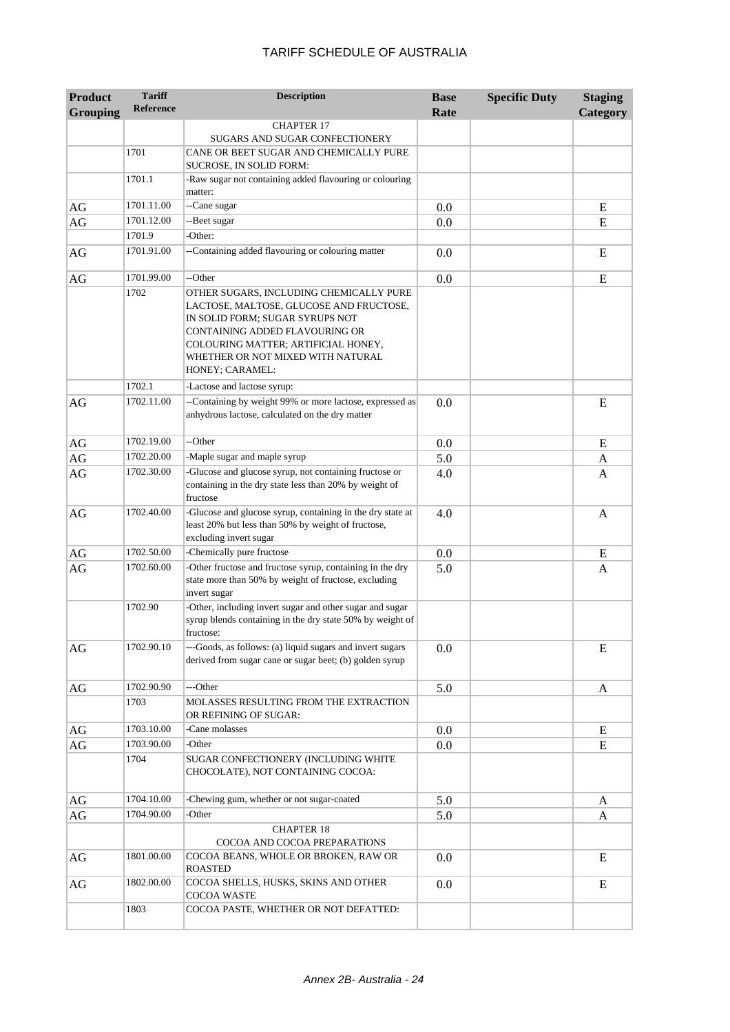| <b>Product</b>  | <b>Tariff</b>    | <b>Description</b>                                                                                                                                                                                                                                     | <b>Base</b> | <b>Specific Duty</b> | <b>Staging</b> |
|-----------------|------------------|--------------------------------------------------------------------------------------------------------------------------------------------------------------------------------------------------------------------------------------------------------|-------------|----------------------|----------------|
| <b>Grouping</b> | <b>Reference</b> |                                                                                                                                                                                                                                                        | Rate        |                      | Category       |
|                 |                  | <b>CHAPTER 17</b>                                                                                                                                                                                                                                      |             |                      |                |
|                 | 1701             | SUGARS AND SUGAR CONFECTIONERY<br>CANE OR BEET SUGAR AND CHEMICALLY PURE                                                                                                                                                                               |             |                      |                |
|                 |                  | <b>SUCROSE. IN SOLID FORM:</b>                                                                                                                                                                                                                         |             |                      |                |
|                 | 1701.1           | -Raw sugar not containing added flavouring or colouring<br>matter:                                                                                                                                                                                     |             |                      |                |
| AG              | 1701.11.00       | --Cane sugar                                                                                                                                                                                                                                           | 0.0         |                      | E              |
| AG              | 1701.12.00       | --Beet sugar                                                                                                                                                                                                                                           | 0.0         |                      | E              |
|                 | 1701.9           | -Other:                                                                                                                                                                                                                                                |             |                      |                |
| AG              | 1701.91.00       | --Containing added flavouring or colouring matter                                                                                                                                                                                                      | 0.0         |                      | E              |
| AG              | 1701.99.00       | --Other                                                                                                                                                                                                                                                | 0.0         |                      | E              |
|                 | 1702             | OTHER SUGARS, INCLUDING CHEMICALLY PURE<br>LACTOSE, MALTOSE, GLUCOSE AND FRUCTOSE,<br>IN SOLID FORM; SUGAR SYRUPS NOT<br>CONTAINING ADDED FLAVOURING OR<br>COLOURING MATTER; ARTIFICIAL HONEY,<br>WHETHER OR NOT MIXED WITH NATURAL<br>HONEY; CARAMEL: |             |                      |                |
|                 | 1702.1           | -Lactose and lactose syrup:                                                                                                                                                                                                                            |             |                      |                |
| AG              | 1702.11.00       | --Containing by weight 99% or more lactose, expressed as<br>anhydrous lactose, calculated on the dry matter                                                                                                                                            | 0.0         |                      | E              |
| AG              | 1702.19.00       | --Other                                                                                                                                                                                                                                                | 0.0         |                      | E              |
| AG              | 1702.20.00       | -Maple sugar and maple syrup                                                                                                                                                                                                                           | 5.0         |                      | A              |
| AG              | 1702.30.00       | -Glucose and glucose syrup, not containing fructose or<br>containing in the dry state less than 20% by weight of<br>fructose                                                                                                                           | 4.0         |                      | A              |
| AG              | 1702.40.00       | -Glucose and glucose syrup, containing in the dry state at<br>least 20% but less than 50% by weight of fructose,<br>excluding invert sugar                                                                                                             | 4.0         |                      | A              |
| AG              | 1702.50.00       | -Chemically pure fructose                                                                                                                                                                                                                              | 0.0         |                      | E              |
| AG              | 1702.60.00       | -Other fructose and fructose syrup, containing in the dry<br>state more than 50% by weight of fructose, excluding<br>invert sugar                                                                                                                      | 5.0         |                      | A              |
|                 | 1702.90          | -Other, including invert sugar and other sugar and sugar<br>syrup blends containing in the dry state 50% by weight of<br>fructose:                                                                                                                     |             |                      |                |
| AG              | 1702.90.10       | ---Goods, as follows: (a) liquid sugars and invert sugars<br>derived from sugar cane or sugar beet; (b) golden syrup                                                                                                                                   | 0.0         |                      | E              |
| AG              | 1702.90.90       | ---Other                                                                                                                                                                                                                                               | 5.0         |                      | A              |
|                 | 1703             | MOLASSES RESULTING FROM THE EXTRACTION<br>OR REFINING OF SUGAR:                                                                                                                                                                                        |             |                      |                |
| AG              | 1703.10.00       | -Cane molasses                                                                                                                                                                                                                                         | 0.0         |                      | E              |
| AG              | 1703.90.00       | -Other                                                                                                                                                                                                                                                 | 0.0         |                      | E              |
|                 | 1704             | SUGAR CONFECTIONERY (INCLUDING WHITE<br>CHOCOLATE), NOT CONTAINING COCOA:                                                                                                                                                                              |             |                      |                |
| AG              | 1704.10.00       | -Chewing gum, whether or not sugar-coated                                                                                                                                                                                                              | 5.0         |                      | A              |
| AG              | 1704.90.00       | -Other                                                                                                                                                                                                                                                 | 5.0         |                      | A              |
|                 |                  | <b>CHAPTER 18</b><br>COCOA AND COCOA PREPARATIONS                                                                                                                                                                                                      |             |                      |                |
| AG              | 1801.00.00       | COCOA BEANS, WHOLE OR BROKEN, RAW OR<br><b>ROASTED</b>                                                                                                                                                                                                 | 0.0         |                      | E              |
| AG              | 1802.00.00       | COCOA SHELLS, HUSKS, SKINS AND OTHER<br>COCOA WASTE                                                                                                                                                                                                    | 0.0         |                      | E              |
|                 | 1803             | COCOA PASTE, WHETHER OR NOT DEFATTED:                                                                                                                                                                                                                  |             |                      |                |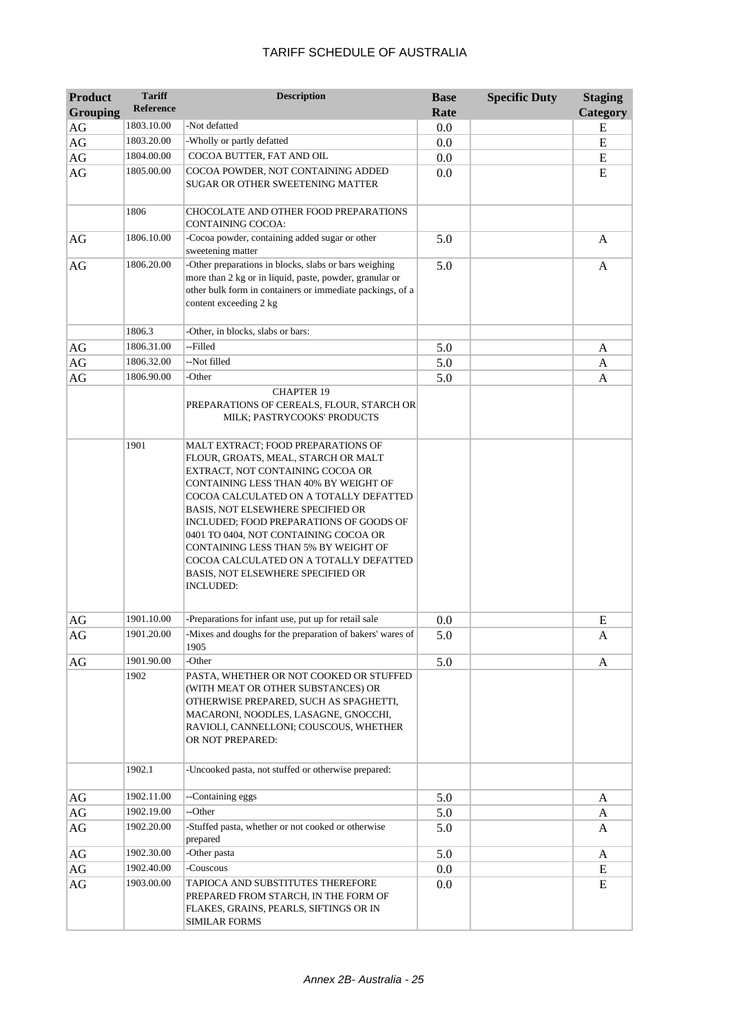| <b>Product</b><br><b>Grouping</b> | <b>Tariff</b><br>Reference | <b>Description</b>                                                                                                                                                                                                                                                                                                                                                                                                                                                   | <b>Base</b><br>Rate | <b>Specific Duty</b> | <b>Staging</b><br>Category |
|-----------------------------------|----------------------------|----------------------------------------------------------------------------------------------------------------------------------------------------------------------------------------------------------------------------------------------------------------------------------------------------------------------------------------------------------------------------------------------------------------------------------------------------------------------|---------------------|----------------------|----------------------------|
| AG                                | 1803.10.00                 | -Not defatted                                                                                                                                                                                                                                                                                                                                                                                                                                                        | 0.0                 |                      | E                          |
| AG                                | 1803.20.00                 | -Wholly or partly defatted                                                                                                                                                                                                                                                                                                                                                                                                                                           | 0.0                 |                      | E                          |
| AG                                | 1804.00.00                 | COCOA BUTTER, FAT AND OIL                                                                                                                                                                                                                                                                                                                                                                                                                                            | 0.0                 |                      | ${\bf E}$                  |
| AG                                | 1805.00.00                 | COCOA POWDER, NOT CONTAINING ADDED<br>SUGAR OR OTHER SWEETENING MATTER                                                                                                                                                                                                                                                                                                                                                                                               | 0.0                 |                      | E                          |
|                                   | 1806                       | CHOCOLATE AND OTHER FOOD PREPARATIONS<br>CONTAINING COCOA:                                                                                                                                                                                                                                                                                                                                                                                                           |                     |                      |                            |
| AG                                | 1806.10.00                 | -Cocoa powder, containing added sugar or other<br>sweetening matter                                                                                                                                                                                                                                                                                                                                                                                                  | 5.0                 |                      | A                          |
| AG                                | 1806.20.00                 | -Other preparations in blocks, slabs or bars weighing<br>more than 2 kg or in liquid, paste, powder, granular or<br>other bulk form in containers or immediate packings, of a<br>content exceeding 2 kg                                                                                                                                                                                                                                                              | 5.0                 |                      | A                          |
|                                   | 1806.3                     | -Other, in blocks, slabs or bars:                                                                                                                                                                                                                                                                                                                                                                                                                                    |                     |                      |                            |
| AG                                | 1806.31.00                 | --Filled                                                                                                                                                                                                                                                                                                                                                                                                                                                             | 5.0                 |                      | A                          |
| AG                                | 1806.32.00                 | --Not filled                                                                                                                                                                                                                                                                                                                                                                                                                                                         | 5.0                 |                      | A                          |
| AG                                | 1806.90.00                 | -Other<br><b>CHAPTER 19</b><br>PREPARATIONS OF CEREALS, FLOUR, STARCH OR<br>MILK; PASTRYCOOKS' PRODUCTS                                                                                                                                                                                                                                                                                                                                                              | 5.0                 |                      | A                          |
|                                   | 1901                       | MALT EXTRACT; FOOD PREPARATIONS OF<br>FLOUR, GROATS, MEAL, STARCH OR MALT<br>EXTRACT, NOT CONTAINING COCOA OR<br>CONTAINING LESS THAN 40% BY WEIGHT OF<br>COCOA CALCULATED ON A TOTALLY DEFATTED<br>BASIS, NOT ELSEWHERE SPECIFIED OR<br>INCLUDED; FOOD PREPARATIONS OF GOODS OF<br>0401 TO 0404, NOT CONTAINING COCOA OR<br>CONTAINING LESS THAN 5% BY WEIGHT OF<br>COCOA CALCULATED ON A TOTALLY DEFATTED<br>BASIS, NOT ELSEWHERE SPECIFIED OR<br><b>INCLUDED:</b> |                     |                      |                            |
| AG                                | 1901.10.00                 | -Preparations for infant use, put up for retail sale                                                                                                                                                                                                                                                                                                                                                                                                                 | 0.0                 |                      | E                          |
| AG                                | 1901.20.00                 | -Mixes and doughs for the preparation of bakers' wares of<br>1905                                                                                                                                                                                                                                                                                                                                                                                                    | 5.0                 |                      | A                          |
| AG                                | 1901.90.00                 | -Other                                                                                                                                                                                                                                                                                                                                                                                                                                                               | 5.0                 |                      | A                          |
|                                   | 1902                       | PASTA, WHETHER OR NOT COOKED OR STUFFED<br>(WITH MEAT OR OTHER SUBSTANCES) OR<br>OTHERWISE PREPARED, SUCH AS SPAGHETTI,<br>MACARONI, NOODLES, LASAGNE, GNOCCHI,<br>RAVIOLI, CANNELLONI; COUSCOUS, WHETHER<br>OR NOT PREPARED:                                                                                                                                                                                                                                        |                     |                      |                            |
|                                   | 1902.1                     | -Uncooked pasta, not stuffed or otherwise prepared:                                                                                                                                                                                                                                                                                                                                                                                                                  |                     |                      |                            |
| AG                                | 1902.11.00                 | --Containing eggs                                                                                                                                                                                                                                                                                                                                                                                                                                                    | 5.0                 |                      | A                          |
| AG                                | 1902.19.00                 | --Other                                                                                                                                                                                                                                                                                                                                                                                                                                                              | 5.0                 |                      | A                          |
| AG                                | 1902.20.00                 | -Stuffed pasta, whether or not cooked or otherwise<br>prepared                                                                                                                                                                                                                                                                                                                                                                                                       | 5.0                 |                      | A                          |
| AG                                | 1902.30.00                 | -Other pasta                                                                                                                                                                                                                                                                                                                                                                                                                                                         | 5.0                 |                      | A                          |
| AG                                | 1902.40.00                 | -Couscous                                                                                                                                                                                                                                                                                                                                                                                                                                                            | 0.0                 |                      | E                          |
| AG                                | 1903.00.00                 | TAPIOCA AND SUBSTITUTES THEREFORE<br>PREPARED FROM STARCH, IN THE FORM OF<br>FLAKES, GRAINS, PEARLS, SIFTINGS OR IN<br><b>SIMILAR FORMS</b>                                                                                                                                                                                                                                                                                                                          | 0.0                 |                      | E                          |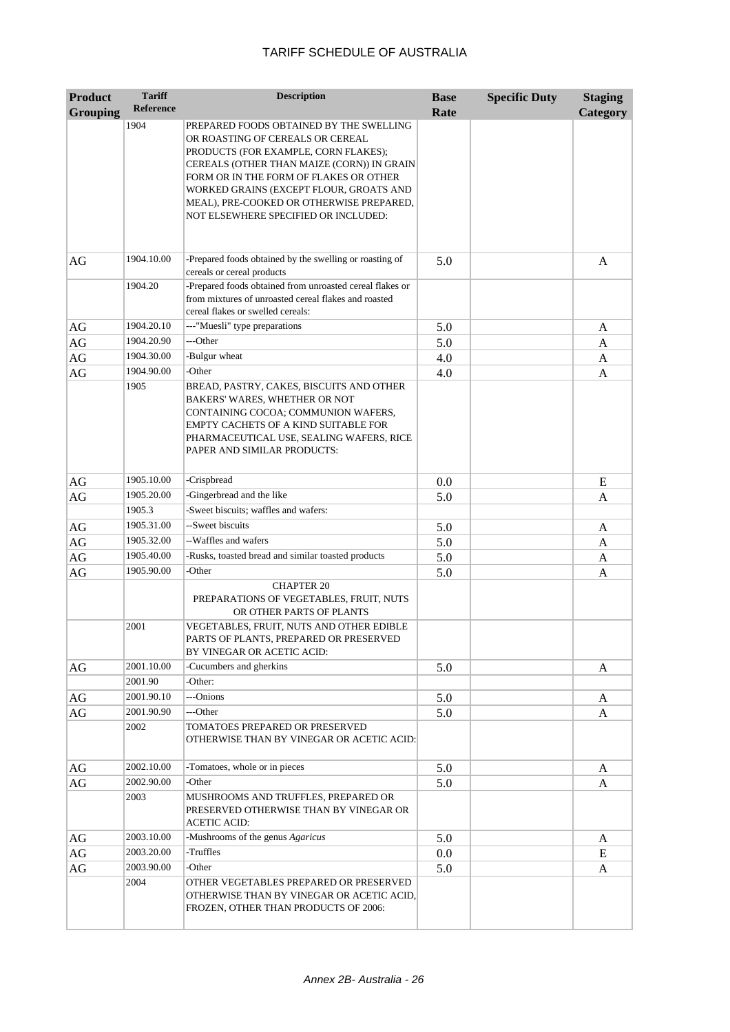| <b>Product</b><br><b>Grouping</b> | <b>Tariff</b><br><b>Reference</b> | <b>Description</b>                                                                                                                                                                                                                                                                                                                         | <b>Base</b><br>Rate | <b>Specific Duty</b> | <b>Staging</b><br>Category |
|-----------------------------------|-----------------------------------|--------------------------------------------------------------------------------------------------------------------------------------------------------------------------------------------------------------------------------------------------------------------------------------------------------------------------------------------|---------------------|----------------------|----------------------------|
|                                   | 1904                              | PREPARED FOODS OBTAINED BY THE SWELLING<br>OR ROASTING OF CEREALS OR CEREAL<br>PRODUCTS (FOR EXAMPLE, CORN FLAKES);<br>CEREALS (OTHER THAN MAIZE (CORN)) IN GRAIN<br>FORM OR IN THE FORM OF FLAKES OR OTHER<br>WORKED GRAINS (EXCEPT FLOUR, GROATS AND<br>MEAL), PRE-COOKED OR OTHERWISE PREPARED,<br>NOT ELSEWHERE SPECIFIED OR INCLUDED: |                     |                      |                            |
| AG                                | 1904.10.00                        | -Prepared foods obtained by the swelling or roasting of<br>cereals or cereal products                                                                                                                                                                                                                                                      | 5.0                 |                      | A                          |
|                                   | 1904.20                           | -Prepared foods obtained from unroasted cereal flakes or<br>from mixtures of unroasted cereal flakes and roasted<br>cereal flakes or swelled cereals:                                                                                                                                                                                      |                     |                      |                            |
| AG                                | 1904.20.10                        | ---"Muesli" type preparations                                                                                                                                                                                                                                                                                                              | 5.0                 |                      | A                          |
| $\rm{AG}$                         | 1904.20.90                        | ---Other                                                                                                                                                                                                                                                                                                                                   | 5.0                 |                      | A                          |
| $\rm{AG}$                         | 1904.30.00                        | -Bulgur wheat                                                                                                                                                                                                                                                                                                                              | 4.0                 |                      | A                          |
| $\rm{AG}$                         | 1904.90.00                        | -Other                                                                                                                                                                                                                                                                                                                                     | 4.0                 |                      | A                          |
|                                   | 1905                              | BREAD, PASTRY, CAKES, BISCUITS AND OTHER<br>BAKERS' WARES, WHETHER OR NOT<br>CONTAINING COCOA; COMMUNION WAFERS,<br>EMPTY CACHETS OF A KIND SUITABLE FOR<br>PHARMACEUTICAL USE, SEALING WAFERS, RICE<br>PAPER AND SIMILAR PRODUCTS:                                                                                                        |                     |                      |                            |
| AG                                | 1905.10.00                        | -Crispbread                                                                                                                                                                                                                                                                                                                                | 0.0                 |                      | Ε                          |
| $\rm{AG}$                         | 1905.20.00                        | -Gingerbread and the like                                                                                                                                                                                                                                                                                                                  | 5.0                 |                      | A                          |
|                                   | 1905.3                            | -Sweet biscuits; waffles and wafers:                                                                                                                                                                                                                                                                                                       |                     |                      |                            |
| AG                                | 1905.31.00                        | --Sweet biscuits                                                                                                                                                                                                                                                                                                                           | 5.0                 |                      | A                          |
| $\rm{AG}$                         | 1905.32.00                        | --Waffles and wafers                                                                                                                                                                                                                                                                                                                       | 5.0                 |                      | A                          |
| $\rm{AG}$                         | 1905.40.00                        | -Rusks, toasted bread and similar toasted products                                                                                                                                                                                                                                                                                         | 5.0                 |                      | A                          |
| AG                                | 1905.90.00                        | -Other                                                                                                                                                                                                                                                                                                                                     | 5.0                 |                      | A                          |
|                                   | 2001                              | <b>CHAPTER 20</b><br>PREPARATIONS OF VEGETABLES, FRUIT, NUTS<br>OR OTHER PARTS OF PLANTS<br>VEGETABLES, FRUIT, NUTS AND OTHER EDIBLE<br>PARTS OF PLANTS, PREPARED OR PRESERVED<br>BY VINEGAR OR ACETIC ACID:                                                                                                                               |                     |                      |                            |
| AG                                | 2001.10.00                        | -Cucumbers and gherkins                                                                                                                                                                                                                                                                                                                    | 5.0                 |                      | A                          |
|                                   | 2001.90                           | -Other:                                                                                                                                                                                                                                                                                                                                    |                     |                      |                            |
| AG                                | 2001.90.10                        | ---Onions                                                                                                                                                                                                                                                                                                                                  | 5.0                 |                      | A                          |
| AG                                | 2001.90.90                        | ---Other                                                                                                                                                                                                                                                                                                                                   | 5.0                 |                      | A                          |
|                                   | 2002                              | TOMATOES PREPARED OR PRESERVED<br>OTHERWISE THAN BY VINEGAR OR ACETIC ACID:                                                                                                                                                                                                                                                                |                     |                      |                            |
| AG                                | 2002.10.00                        | -Tomatoes, whole or in pieces                                                                                                                                                                                                                                                                                                              | 5.0                 |                      | A                          |
| AG                                | 2002.90.00                        | -Other                                                                                                                                                                                                                                                                                                                                     | 5.0                 |                      | A                          |
|                                   | 2003                              | MUSHROOMS AND TRUFFLES, PREPARED OR<br>PRESERVED OTHERWISE THAN BY VINEGAR OR<br><b>ACETIC ACID:</b>                                                                                                                                                                                                                                       |                     |                      |                            |
| AG                                | 2003.10.00                        | -Mushrooms of the genus Agaricus                                                                                                                                                                                                                                                                                                           | 5.0                 |                      | A                          |
| AG                                | 2003.20.00                        | -Truffles                                                                                                                                                                                                                                                                                                                                  | 0.0                 |                      | E                          |
| AG                                | 2003.90.00                        | -Other                                                                                                                                                                                                                                                                                                                                     | 5.0                 |                      | A                          |
|                                   | 2004                              | OTHER VEGETABLES PREPARED OR PRESERVED<br>OTHERWISE THAN BY VINEGAR OR ACETIC ACID,<br>FROZEN, OTHER THAN PRODUCTS OF 2006:                                                                                                                                                                                                                |                     |                      |                            |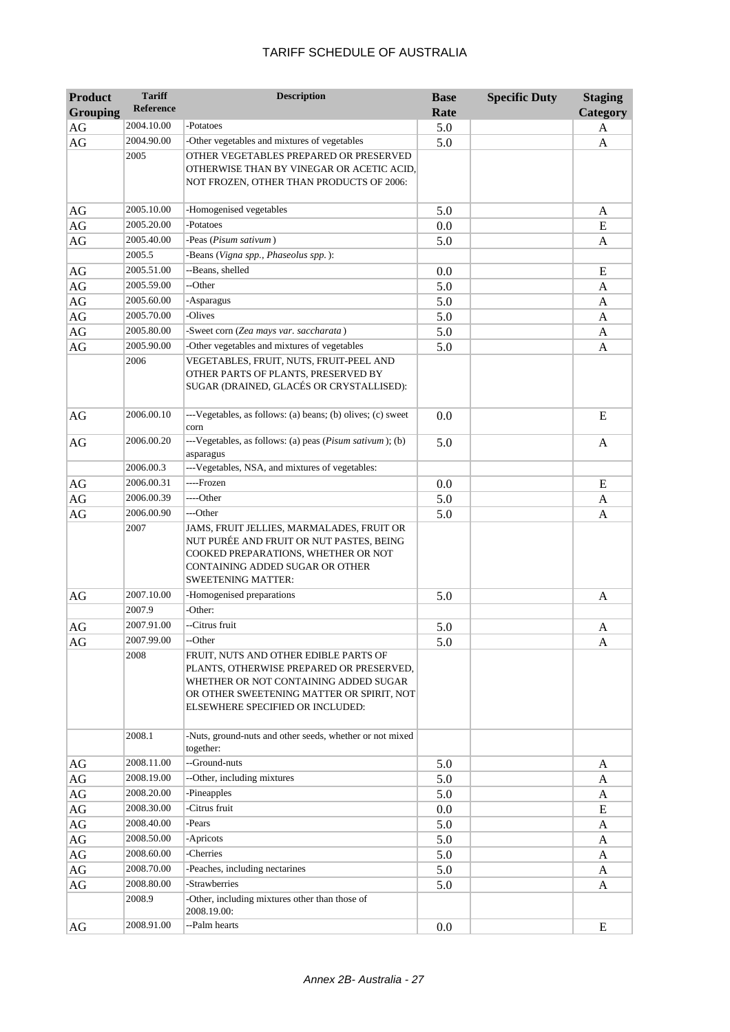| <b>Product</b><br><b>Grouping</b> | <b>Tariff</b><br><b>Reference</b> | <b>Description</b>                                                                                                                                                                                          | <b>Base</b><br>Rate | <b>Specific Duty</b> | <b>Staging</b><br>Category |
|-----------------------------------|-----------------------------------|-------------------------------------------------------------------------------------------------------------------------------------------------------------------------------------------------------------|---------------------|----------------------|----------------------------|
| AG                                | 2004.10.00                        | -Potatoes                                                                                                                                                                                                   | 5.0                 |                      | A                          |
| AG                                | 2004.90.00                        | -Other vegetables and mixtures of vegetables                                                                                                                                                                | 5.0                 |                      | A                          |
|                                   | 2005                              | OTHER VEGETABLES PREPARED OR PRESERVED<br>OTHERWISE THAN BY VINEGAR OR ACETIC ACID,<br>NOT FROZEN, OTHER THAN PRODUCTS OF 2006:                                                                             |                     |                      |                            |
| AG                                | 2005.10.00                        | -Homogenised vegetables                                                                                                                                                                                     | 5.0                 |                      | A                          |
| $\rm{AG}$                         | 2005.20.00                        | -Potatoes                                                                                                                                                                                                   | 0.0                 |                      | ${\bf E}$                  |
| AG                                | 2005.40.00                        | -Peas (Pisum sativum)                                                                                                                                                                                       | 5.0                 |                      | A                          |
|                                   | 2005.5                            | -Beans (Vigna spp., Phaseolus spp.):                                                                                                                                                                        |                     |                      |                            |
| AG                                | 2005.51.00                        | --Beans, shelled                                                                                                                                                                                            | 0.0                 |                      | E                          |
| $\rm{AG}$                         | 2005.59.00                        | --Other                                                                                                                                                                                                     | 5.0                 |                      | A                          |
| $\rm{AG}$                         | 2005.60.00                        | -Asparagus                                                                                                                                                                                                  | 5.0                 |                      | A                          |
| $\rm{AG}$                         | 2005.70.00                        | -Olives                                                                                                                                                                                                     | 5.0                 |                      | A                          |
| $\rm{AG}$                         | 2005.80.00                        | -Sweet corn (Zea mays var. saccharata)                                                                                                                                                                      | 5.0                 |                      | A                          |
| $\rm{AG}$                         | 2005.90.00                        | -Other vegetables and mixtures of vegetables                                                                                                                                                                | 5.0                 |                      | A                          |
|                                   | 2006                              | VEGETABLES, FRUIT, NUTS, FRUIT-PEEL AND<br>OTHER PARTS OF PLANTS, PRESERVED BY<br>SUGAR (DRAINED, GLACÉS OR CRYSTALLISED):                                                                                  |                     |                      |                            |
| AG                                | 2006.00.10                        | ---Vegetables, as follows: (a) beans; (b) olives; (c) sweet<br>corn                                                                                                                                         | 0.0                 |                      | E                          |
| AG                                | 2006.00.20                        | ---Vegetables, as follows: (a) peas (Pisum sativum); (b)<br>asparagus                                                                                                                                       | 5.0                 |                      | A                          |
|                                   | 2006.00.3                         | ---Vegetables, NSA, and mixtures of vegetables:                                                                                                                                                             |                     |                      |                            |
| $\rm{AG}$                         | 2006.00.31                        | ----Frozen                                                                                                                                                                                                  | 0.0                 |                      | E                          |
| $\rm{AG}$                         | 2006.00.39                        | ----Other                                                                                                                                                                                                   | 5.0                 |                      | A                          |
| AG                                | 2006.00.90                        | ---Other                                                                                                                                                                                                    | 5.0                 |                      | A                          |
|                                   | 2007                              | JAMS, FRUIT JELLIES, MARMALADES, FRUIT OR<br>NUT PURÉE AND FRUIT OR NUT PASTES, BEING<br>COOKED PREPARATIONS, WHETHER OR NOT<br>CONTAINING ADDED SUGAR OR OTHER<br><b>SWEETENING MATTER:</b>                |                     |                      |                            |
| AG                                | 2007.10.00                        | -Homogenised preparations                                                                                                                                                                                   | 5.0                 |                      | A                          |
|                                   | 2007.9                            | -Other:                                                                                                                                                                                                     |                     |                      |                            |
| AG                                | 2007.91.00                        | --Citrus fruit                                                                                                                                                                                              | 5.0                 |                      | A                          |
| AG                                | 2007.99.00                        | --Other                                                                                                                                                                                                     | 5.0                 |                      | A                          |
|                                   | 2008                              | FRUIT, NUTS AND OTHER EDIBLE PARTS OF<br>PLANTS, OTHERWISE PREPARED OR PRESERVED,<br>WHETHER OR NOT CONTAINING ADDED SUGAR<br>OR OTHER SWEETENING MATTER OR SPIRIT, NOT<br>ELSEWHERE SPECIFIED OR INCLUDED: |                     |                      |                            |
|                                   | 2008.1                            | -Nuts, ground-nuts and other seeds, whether or not mixed<br>together:                                                                                                                                       |                     |                      |                            |
| $\rm{AG}$                         | 2008.11.00                        | --Ground-nuts                                                                                                                                                                                               | 5.0                 |                      | A                          |
| $\rm{AG}$                         | 2008.19.00                        | --Other, including mixtures                                                                                                                                                                                 | 5.0                 |                      | A                          |
| $\rm{AG}$                         | 2008.20.00                        | -Pineapples                                                                                                                                                                                                 | 5.0                 |                      | A                          |
| AG                                | 2008.30.00                        | -Citrus fruit                                                                                                                                                                                               | 0.0                 |                      | E                          |
| AG                                | 2008.40.00                        | -Pears                                                                                                                                                                                                      | 5.0                 |                      | A                          |
| AG                                | 2008.50.00                        | -Apricots                                                                                                                                                                                                   | 5.0                 |                      | A                          |
| $\rm{AG}$                         | 2008.60.00                        | -Cherries                                                                                                                                                                                                   | 5.0                 |                      | A                          |
| AG                                | 2008.70.00<br>2008.80.00          | -Peaches, including nectarines<br>-Strawberries                                                                                                                                                             | 5.0                 |                      | A                          |
| AG                                | 2008.9                            | -Other, including mixtures other than those of<br>2008.19.00:                                                                                                                                               | 5.0                 |                      | A                          |
| AG                                | 2008.91.00                        | --Palm hearts                                                                                                                                                                                               | 0.0                 |                      | E                          |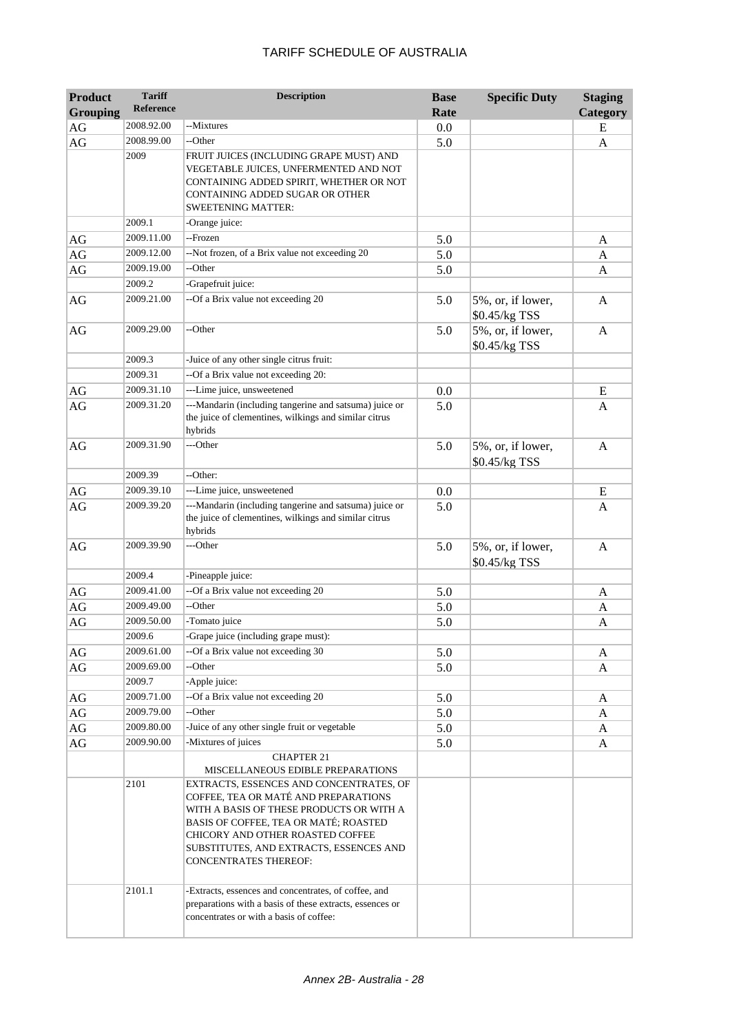| <b>Product</b><br><b>Grouping</b> | <b>Tariff</b><br><b>Reference</b> | <b>Description</b>                                                                                                                                                                                                                                                                                                                                                                                    | <b>Base</b><br>Rate | <b>Specific Duty</b>               | <b>Staging</b><br>Category |
|-----------------------------------|-----------------------------------|-------------------------------------------------------------------------------------------------------------------------------------------------------------------------------------------------------------------------------------------------------------------------------------------------------------------------------------------------------------------------------------------------------|---------------------|------------------------------------|----------------------------|
| AG                                | 2008.92.00                        | --Mixtures                                                                                                                                                                                                                                                                                                                                                                                            | 0.0                 |                                    | E                          |
| AG                                | 2008.99.00                        | --Other                                                                                                                                                                                                                                                                                                                                                                                               | 5.0                 |                                    | A                          |
|                                   | 2009                              | FRUIT JUICES (INCLUDING GRAPE MUST) AND<br>VEGETABLE JUICES, UNFERMENTED AND NOT<br>CONTAINING ADDED SPIRIT, WHETHER OR NOT<br>CONTAINING ADDED SUGAR OR OTHER<br><b>SWEETENING MATTER:</b>                                                                                                                                                                                                           |                     |                                    |                            |
|                                   | 2009.1                            | -Orange juice:                                                                                                                                                                                                                                                                                                                                                                                        |                     |                                    |                            |
| AG                                | 2009.11.00                        | --Frozen                                                                                                                                                                                                                                                                                                                                                                                              | 5.0                 |                                    | A                          |
| $\rm{AG}$                         | 2009.12.00                        | --Not frozen, of a Brix value not exceeding 20                                                                                                                                                                                                                                                                                                                                                        | 5.0                 |                                    | A                          |
| $\rm{AG}$                         | 2009.19.00                        | --Other                                                                                                                                                                                                                                                                                                                                                                                               | 5.0                 |                                    | A                          |
|                                   | 2009.2                            | -Grapefruit juice:                                                                                                                                                                                                                                                                                                                                                                                    |                     |                                    |                            |
| AG                                | 2009.21.00                        | --Of a Brix value not exceeding 20                                                                                                                                                                                                                                                                                                                                                                    | 5.0                 | 5%, or, if lower,<br>\$0.45/kg TSS | $\mathbf{A}$               |
| AG                                | 2009.29.00                        | --Other                                                                                                                                                                                                                                                                                                                                                                                               | 5.0                 | 5%, or, if lower,<br>\$0.45/kg TSS | $\mathbf{A}$               |
|                                   | 2009.3                            | -Juice of any other single citrus fruit:                                                                                                                                                                                                                                                                                                                                                              |                     |                                    |                            |
|                                   | 2009.31                           | --Of a Brix value not exceeding 20:                                                                                                                                                                                                                                                                                                                                                                   |                     |                                    |                            |
| AG                                | 2009.31.10                        | ---Lime juice, unsweetened                                                                                                                                                                                                                                                                                                                                                                            | 0.0                 |                                    | E                          |
| AG                                | 2009.31.20                        | ---Mandarin (including tangerine and satsuma) juice or<br>the juice of clementines, wilkings and similar citrus<br>hybrids                                                                                                                                                                                                                                                                            | 5.0                 |                                    | A                          |
| AG                                | 2009.31.90                        | ---Other                                                                                                                                                                                                                                                                                                                                                                                              | 5.0                 | 5%, or, if lower,<br>\$0.45/kg TSS | $\mathbf{A}$               |
|                                   | 2009.39                           | --Other:                                                                                                                                                                                                                                                                                                                                                                                              |                     |                                    |                            |
| AG                                | 2009.39.10                        | ---Lime juice, unsweetened                                                                                                                                                                                                                                                                                                                                                                            | 0.0                 |                                    | E                          |
| AG                                | 2009.39.20                        | ---Mandarin (including tangerine and satsuma) juice or<br>the juice of clementines, wilkings and similar citrus<br>hybrids                                                                                                                                                                                                                                                                            | 5.0                 |                                    | A                          |
| AG                                | 2009.39.90                        | ---Other                                                                                                                                                                                                                                                                                                                                                                                              | 5.0                 | 5%, or, if lower,<br>\$0.45/kg TSS | A                          |
|                                   | 2009.4                            | -Pineapple juice:                                                                                                                                                                                                                                                                                                                                                                                     |                     |                                    |                            |
| $\rm{AG}$                         | 2009.41.00                        | --Of a Brix value not exceeding 20                                                                                                                                                                                                                                                                                                                                                                    | 5.0                 |                                    | A                          |
| $\rm{AG}$                         | 2009.49.00                        | --Other                                                                                                                                                                                                                                                                                                                                                                                               | 5.0                 |                                    | A                          |
| $\rm{AG}$                         | 2009.50.00                        | -Tomato juice                                                                                                                                                                                                                                                                                                                                                                                         | 5.0                 |                                    | A                          |
|                                   | 2009.6                            | -Grape juice (including grape must):                                                                                                                                                                                                                                                                                                                                                                  |                     |                                    |                            |
| AG                                | 2009.61.00                        | --Of a Brix value not exceeding 30                                                                                                                                                                                                                                                                                                                                                                    | 5.0                 |                                    | A                          |
| AG                                | 2009.69.00                        | --Other                                                                                                                                                                                                                                                                                                                                                                                               | 5.0                 |                                    | A                          |
|                                   | 2009.7                            | -Apple juice:                                                                                                                                                                                                                                                                                                                                                                                         |                     |                                    |                            |
| AG                                | 2009.71.00                        | --Of a Brix value not exceeding 20                                                                                                                                                                                                                                                                                                                                                                    | 5.0                 |                                    | A                          |
| AG                                | 2009.79.00                        | --Other                                                                                                                                                                                                                                                                                                                                                                                               | 5.0                 |                                    | A                          |
| $\rm{AG}$                         | 2009.80.00                        | -Juice of any other single fruit or vegetable                                                                                                                                                                                                                                                                                                                                                         | 5.0                 |                                    | A                          |
| AG                                | 2009.90.00                        | -Mixtures of juices                                                                                                                                                                                                                                                                                                                                                                                   | 5.0                 |                                    | A                          |
|                                   | 2101<br>2101.1                    | <b>CHAPTER 21</b><br>MISCELLANEOUS EDIBLE PREPARATIONS<br>EXTRACTS, ESSENCES AND CONCENTRATES, OF<br>COFFEE, TEA OR MATÉ AND PREPARATIONS<br>WITH A BASIS OF THESE PRODUCTS OR WITH A<br>BASIS OF COFFEE, TEA OR MATÉ; ROASTED<br>CHICORY AND OTHER ROASTED COFFEE<br>SUBSTITUTES, AND EXTRACTS, ESSENCES AND<br><b>CONCENTRATES THEREOF:</b><br>-Extracts, essences and concentrates, of coffee, and |                     |                                    |                            |
|                                   |                                   | preparations with a basis of these extracts, essences or<br>concentrates or with a basis of coffee:                                                                                                                                                                                                                                                                                                   |                     |                                    |                            |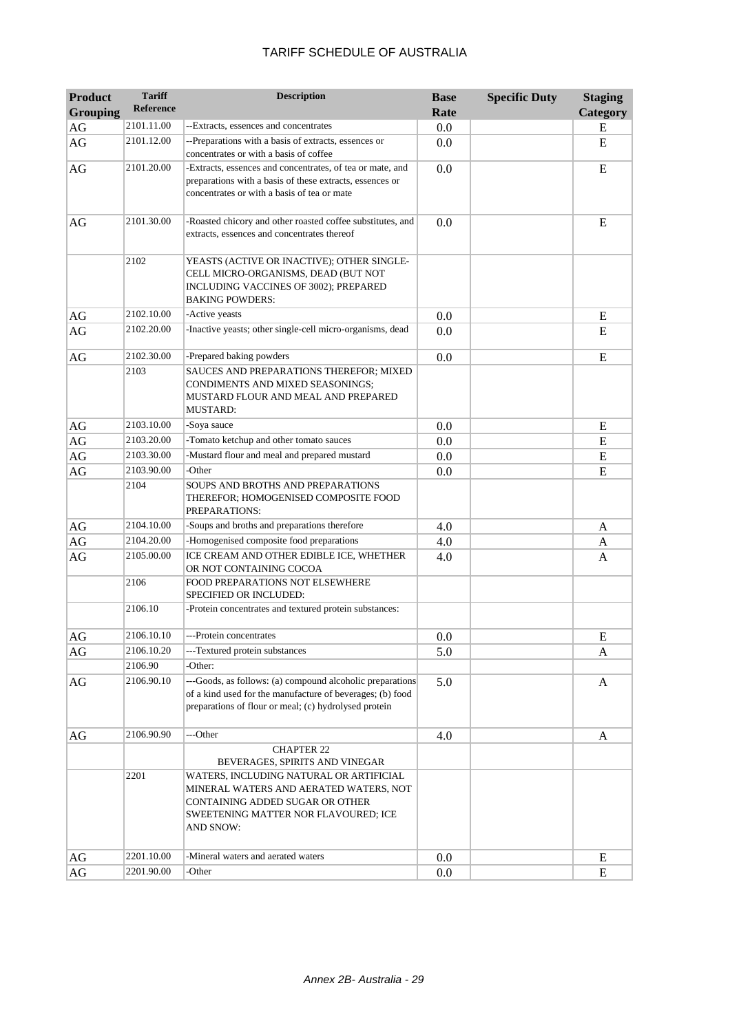| <b>Product</b>         | <b>Tariff</b>      | <b>Description</b>                                                                                                                                                              | <b>Base</b> | <b>Specific Duty</b> | <b>Staging</b> |
|------------------------|--------------------|---------------------------------------------------------------------------------------------------------------------------------------------------------------------------------|-------------|----------------------|----------------|
| <b>Grouping</b>        | <b>Reference</b>   |                                                                                                                                                                                 | Rate        |                      | Category       |
| $\rm{AG}$              | 2101.11.00         | --Extracts, essences and concentrates                                                                                                                                           | 0.0         |                      | E              |
| AG                     | 2101.12.00         | --Preparations with a basis of extracts, essences or<br>concentrates or with a basis of coffee                                                                                  | 0.0         |                      | E              |
| $\rm{AG}$              | 2101.20.00         | -Extracts, essences and concentrates, of tea or mate, and<br>preparations with a basis of these extracts, essences or<br>concentrates or with a basis of tea or mate            | 0.0         |                      | E              |
| AG                     | 2101.30.00         | -Roasted chicory and other roasted coffee substitutes, and<br>extracts, essences and concentrates thereof                                                                       | 0.0         |                      | E              |
|                        | 2102               | YEASTS (ACTIVE OR INACTIVE); OTHER SINGLE-<br>CELL MICRO-ORGANISMS, DEAD (BUT NOT<br>INCLUDING VACCINES OF 3002); PREPARED<br><b>BAKING POWDERS:</b>                            |             |                      |                |
| AG                     | 2102.10.00         | -Active yeasts                                                                                                                                                                  | 0.0         |                      | E              |
| AG                     | 2102.20.00         | -Inactive yeasts; other single-cell micro-organisms, dead                                                                                                                       | 0.0         |                      | E              |
| AG                     | 2102.30.00<br>2103 | -Prepared baking powders<br>SAUCES AND PREPARATIONS THEREFOR; MIXED<br>CONDIMENTS AND MIXED SEASONINGS;<br>MUSTARD FLOUR AND MEAL AND PREPARED<br><b>MUSTARD:</b>               | 0.0         |                      | E              |
| AG                     | 2103.10.00         | -Soya sauce                                                                                                                                                                     | 0.0         |                      | ${\bf E}$      |
| $\rm{AG}$              | 2103.20.00         | -Tomato ketchup and other tomato sauces                                                                                                                                         | 0.0         |                      | ${\bf E}$      |
| $\mathbf{A}\mathbf{G}$ | 2103.30.00         | -Mustard flour and meal and prepared mustard                                                                                                                                    | 0.0         |                      | E              |
| $\rm{AG}$              | 2103.90.00         | -Other                                                                                                                                                                          | 0.0         |                      | E              |
|                        | 2104               | SOUPS AND BROTHS AND PREPARATIONS<br>THEREFOR; HOMOGENISED COMPOSITE FOOD<br>PREPARATIONS:                                                                                      |             |                      |                |
| AG                     | 2104.10.00         | -Soups and broths and preparations therefore                                                                                                                                    | 4.0         |                      | A              |
| $\rm{AG}$              | 2104.20.00         | -Homogenised composite food preparations                                                                                                                                        | 4.0         |                      | A              |
| AG                     | 2105.00.00         | ICE CREAM AND OTHER EDIBLE ICE, WHETHER<br>OR NOT CONTAINING COCOA                                                                                                              | 4.0         |                      | A              |
|                        | 2106               | FOOD PREPARATIONS NOT ELSEWHERE<br>SPECIFIED OR INCLUDED:                                                                                                                       |             |                      |                |
|                        | 2106.10            | -Protein concentrates and textured protein substances:                                                                                                                          |             |                      |                |
| AG                     | 2106.10.10         | ---Protein concentrates                                                                                                                                                         | 0.0         |                      | E              |
| AG                     | 2106.10.20         | ---Textured protein substances                                                                                                                                                  | 5.0         |                      | A              |
|                        | 2106.90            | -Other:                                                                                                                                                                         |             |                      |                |
| AG                     | 2106.90.10         | ---Goods, as follows: (a) compound alcoholic preparations<br>of a kind used for the manufacture of beverages; (b) food<br>preparations of flour or meal; (c) hydrolysed protein | 5.0         |                      | A              |
| AG                     | 2106.90.90         | ---Other                                                                                                                                                                        | 4.0         |                      | A              |
|                        |                    | <b>CHAPTER 22</b><br>BEVERAGES, SPIRITS AND VINEGAR                                                                                                                             |             |                      |                |
|                        | 2201               | WATERS, INCLUDING NATURAL OR ARTIFICIAL<br>MINERAL WATERS AND AERATED WATERS, NOT<br>CONTAINING ADDED SUGAR OR OTHER<br>SWEETENING MATTER NOR FLAVOURED; ICE<br>AND SNOW:       |             |                      |                |
| AG                     | 2201.10.00         | -Mineral waters and aerated waters                                                                                                                                              | 0.0         |                      | E              |
| AG                     | 2201.90.00         | -Other                                                                                                                                                                          | 0.0         |                      | E              |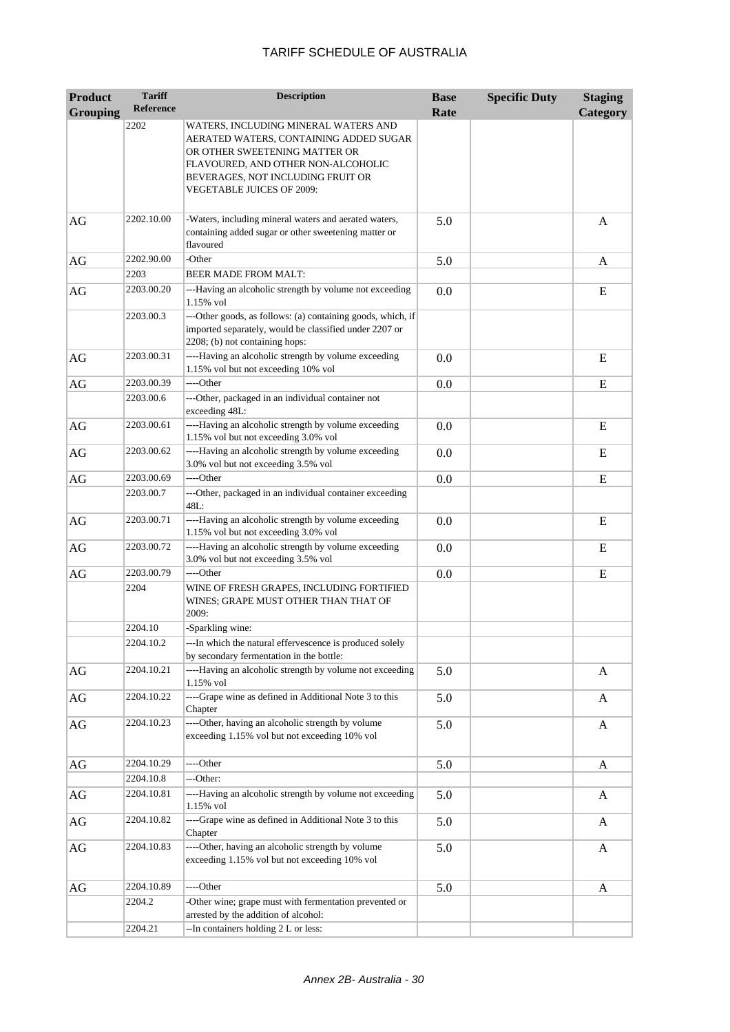| <b>Product</b>  | <b>Tariff</b>    | <b>Description</b>                                                                                                                                                                                                      | <b>Base</b> | <b>Specific Duty</b> | <b>Staging</b> |
|-----------------|------------------|-------------------------------------------------------------------------------------------------------------------------------------------------------------------------------------------------------------------------|-------------|----------------------|----------------|
| <b>Grouping</b> | <b>Reference</b> |                                                                                                                                                                                                                         | Rate        |                      | Category       |
|                 | 2202             | WATERS, INCLUDING MINERAL WATERS AND<br>AERATED WATERS, CONTAINING ADDED SUGAR<br>OR OTHER SWEETENING MATTER OR<br>FLAVOURED, AND OTHER NON-ALCOHOLIC<br>BEVERAGES, NOT INCLUDING FRUIT OR<br>VEGETABLE JUICES OF 2009: |             |                      |                |
| AG              | 2202.10.00       | -Waters, including mineral waters and aerated waters,<br>containing added sugar or other sweetening matter or<br>flavoured                                                                                              | 5.0         |                      | A              |
| AG              | 2202.90.00       | -Other                                                                                                                                                                                                                  | 5.0         |                      | A              |
|                 | 2203             | <b>BEER MADE FROM MALT:</b>                                                                                                                                                                                             |             |                      |                |
| AG              | 2203.00.20       | ---Having an alcoholic strength by volume not exceeding<br>1.15% vol                                                                                                                                                    | 0.0         |                      | E              |
|                 | 2203.00.3        | ---Other goods, as follows: (a) containing goods, which, if<br>imported separately, would be classified under 2207 or<br>2208; (b) not containing hops:                                                                 |             |                      |                |
| AG              | 2203.00.31       | ----Having an alcoholic strength by volume exceeding<br>1.15% vol but not exceeding 10% vol                                                                                                                             | 0.0         |                      | E              |
| AG              | 2203.00.39       | ----Other                                                                                                                                                                                                               | 0.0         |                      | E              |
|                 | 2203.00.6        | ---Other, packaged in an individual container not<br>exceeding 48L:                                                                                                                                                     |             |                      |                |
| AG              | 2203.00.61       | ----Having an alcoholic strength by volume exceeding<br>1.15% vol but not exceeding 3.0% vol                                                                                                                            | 0.0         |                      | E              |
| AG              | 2203.00.62       | ----Having an alcoholic strength by volume exceeding<br>3.0% vol but not exceeding 3.5% vol                                                                                                                             | 0.0         |                      | E              |
| AG              | 2203.00.69       | ----Other                                                                                                                                                                                                               | 0.0         |                      | E              |
|                 | 2203.00.7        | ---Other, packaged in an individual container exceeding<br>48L:                                                                                                                                                         |             |                      |                |
| AG              | 2203.00.71       | ----Having an alcoholic strength by volume exceeding<br>1.15% vol but not exceeding 3.0% vol                                                                                                                            | 0.0         |                      | E              |
| AG              | 2203.00.72       | ----Having an alcoholic strength by volume exceeding<br>3.0% vol but not exceeding 3.5% vol                                                                                                                             | 0.0         |                      | E              |
| AG              | 2203.00.79       | ----Other                                                                                                                                                                                                               | 0.0         |                      | E              |
|                 | 2204             | WINE OF FRESH GRAPES, INCLUDING FORTIFIED<br>WINES; GRAPE MUST OTHER THAN THAT OF<br>2009:                                                                                                                              |             |                      |                |
|                 | 2204.10          | -Sparkling wine:                                                                                                                                                                                                        |             |                      |                |
|                 | 2204.10.2        | ---In which the natural effervescence is produced solely<br>by secondary fermentation in the bottle:                                                                                                                    |             |                      |                |
| AG              | 2204.10.21       | ----Having an alcoholic strength by volume not exceeding<br>1.15% vol                                                                                                                                                   | 5.0         |                      | A              |
| $\rm{AG}$       | 2204.10.22       | ----Grape wine as defined in Additional Note 3 to this<br>Chapter                                                                                                                                                       | 5.0         |                      | A              |
| AG              | 2204.10.23       | ----Other, having an alcoholic strength by volume<br>exceeding 1.15% vol but not exceeding 10% vol                                                                                                                      | 5.0         |                      | A              |
| AG              | 2204.10.29       | ----Other                                                                                                                                                                                                               | 5.0         |                      | A              |
|                 | 2204.10.8        | ---Other:                                                                                                                                                                                                               |             |                      |                |
| AG              | 2204.10.81       | ----Having an alcoholic strength by volume not exceeding<br>1.15% vol                                                                                                                                                   | 5.0         |                      | A              |
| AG              | 2204.10.82       | ----Grape wine as defined in Additional Note 3 to this<br>Chapter                                                                                                                                                       | 5.0         |                      | A              |
| AG              | 2204.10.83       | ----Other, having an alcoholic strength by volume<br>exceeding 1.15% vol but not exceeding 10% vol                                                                                                                      | 5.0         |                      | A              |
| AG              | 2204.10.89       | ----Other                                                                                                                                                                                                               | 5.0         |                      | A              |
|                 | 2204.2           | -Other wine; grape must with fermentation prevented or<br>arrested by the addition of alcohol:                                                                                                                          |             |                      |                |
|                 | 2204.21          | --In containers holding 2 L or less:                                                                                                                                                                                    |             |                      |                |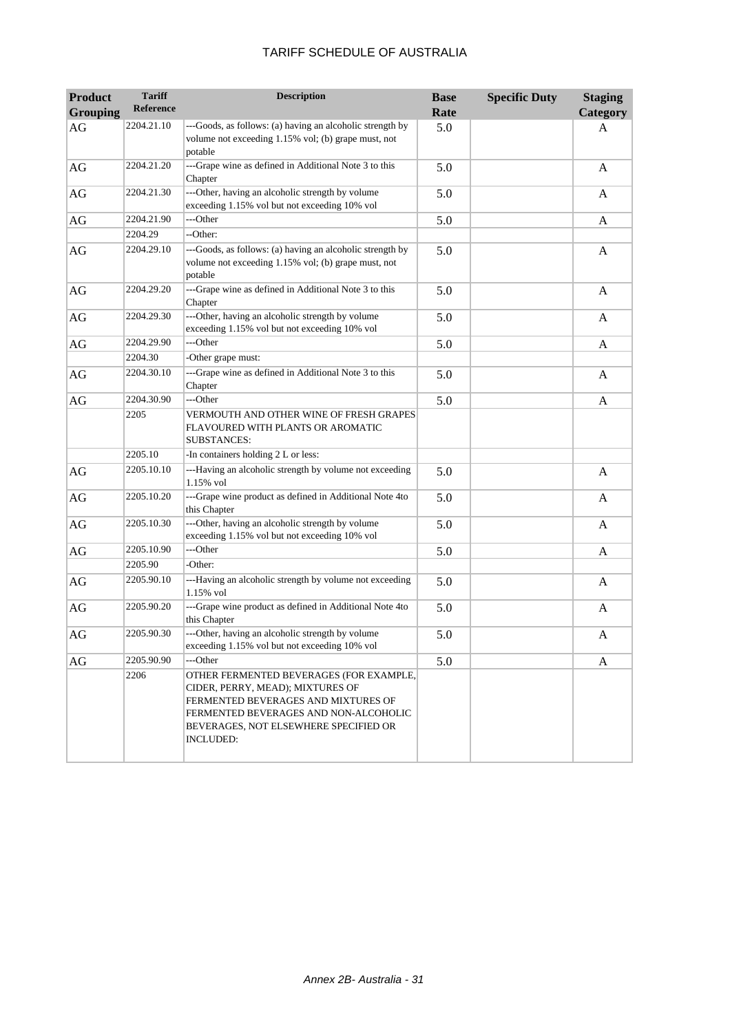| <b>Product</b>  | <b>Tariff</b><br>Reference | <b>Description</b>                                                                                                                                                                                                       | <b>Base</b> | <b>Specific Duty</b> | <b>Staging</b> |
|-----------------|----------------------------|--------------------------------------------------------------------------------------------------------------------------------------------------------------------------------------------------------------------------|-------------|----------------------|----------------|
| <b>Grouping</b> |                            |                                                                                                                                                                                                                          | Rate        |                      | Category       |
| AG              | 2204.21.10                 | ---Goods, as follows: (a) having an alcoholic strength by<br>volume not exceeding 1.15% vol; (b) grape must, not<br>potable                                                                                              | 5.0         |                      | A              |
| AG              | 2204.21.20                 | ---Grape wine as defined in Additional Note 3 to this<br>Chapter                                                                                                                                                         | 5.0         |                      | A              |
| AG              | 2204.21.30                 | ---Other, having an alcoholic strength by volume<br>exceeding 1.15% vol but not exceeding 10% vol                                                                                                                        | 5.0         |                      | A              |
| AG              | 2204.21.90                 | ---Other                                                                                                                                                                                                                 | 5.0         |                      | A              |
|                 | 2204.29                    | --Other:                                                                                                                                                                                                                 |             |                      |                |
| AG              | 2204.29.10                 | ---Goods, as follows: (a) having an alcoholic strength by<br>volume not exceeding 1.15% vol; (b) grape must, not<br>potable                                                                                              | 5.0         |                      | A              |
| AG              | 2204.29.20                 | ---Grape wine as defined in Additional Note 3 to this<br>Chapter                                                                                                                                                         | 5.0         |                      | A              |
| AG              | 2204.29.30                 | ---Other, having an alcoholic strength by volume<br>exceeding 1.15% vol but not exceeding 10% vol                                                                                                                        | 5.0         |                      | A              |
| AG              | 2204.29.90                 | ---Other                                                                                                                                                                                                                 | 5.0         |                      | A              |
|                 | 2204.30                    | -Other grape must:                                                                                                                                                                                                       |             |                      |                |
| AG              | 2204.30.10                 | ---Grape wine as defined in Additional Note 3 to this<br>Chapter                                                                                                                                                         | 5.0         |                      | A              |
| AG              | 2204.30.90                 | ---Other                                                                                                                                                                                                                 | 5.0         |                      | A              |
|                 | 2205                       | VERMOUTH AND OTHER WINE OF FRESH GRAPES<br>FLAVOURED WITH PLANTS OR AROMATIC<br><b>SUBSTANCES:</b>                                                                                                                       |             |                      |                |
|                 | 2205.10                    | -In containers holding 2 L or less:                                                                                                                                                                                      |             |                      |                |
| AG              | 2205.10.10                 | ---Having an alcoholic strength by volume not exceeding<br>1.15% vol                                                                                                                                                     | 5.0         |                      | A              |
| AG              | 2205.10.20                 | ---Grape wine product as defined in Additional Note 4to<br>this Chapter                                                                                                                                                  | 5.0         |                      | A              |
| AG              | 2205.10.30                 | ---Other, having an alcoholic strength by volume<br>exceeding 1.15% vol but not exceeding 10% vol                                                                                                                        | 5.0         |                      | A              |
| AG              | 2205.10.90                 | ---Other                                                                                                                                                                                                                 | 5.0         |                      | A              |
|                 | 2205.90                    | -Other:                                                                                                                                                                                                                  |             |                      |                |
| AG              | 2205.90.10                 | ---Having an alcoholic strength by volume not exceeding<br>1.15% vol                                                                                                                                                     | 5.0         |                      | A              |
| $\rm{AG}$       | 2205.90.20                 | ---Grape wine product as defined in Additional Note 4to<br>this Chapter                                                                                                                                                  | 5.0         |                      | A              |
| AG              | 2205.90.30                 | ---Other, having an alcoholic strength by volume<br>exceeding 1.15% vol but not exceeding 10% vol                                                                                                                        | 5.0         |                      | A              |
| AG              | 2205.90.90                 | ---Other                                                                                                                                                                                                                 | 5.0         |                      | A              |
|                 | 2206                       | OTHER FERMENTED BEVERAGES (FOR EXAMPLE,<br>CIDER, PERRY, MEAD); MIXTURES OF<br>FERMENTED BEVERAGES AND MIXTURES OF<br>FERMENTED BEVERAGES AND NON-ALCOHOLIC<br>BEVERAGES, NOT ELSEWHERE SPECIFIED OR<br><b>INCLUDED:</b> |             |                      |                |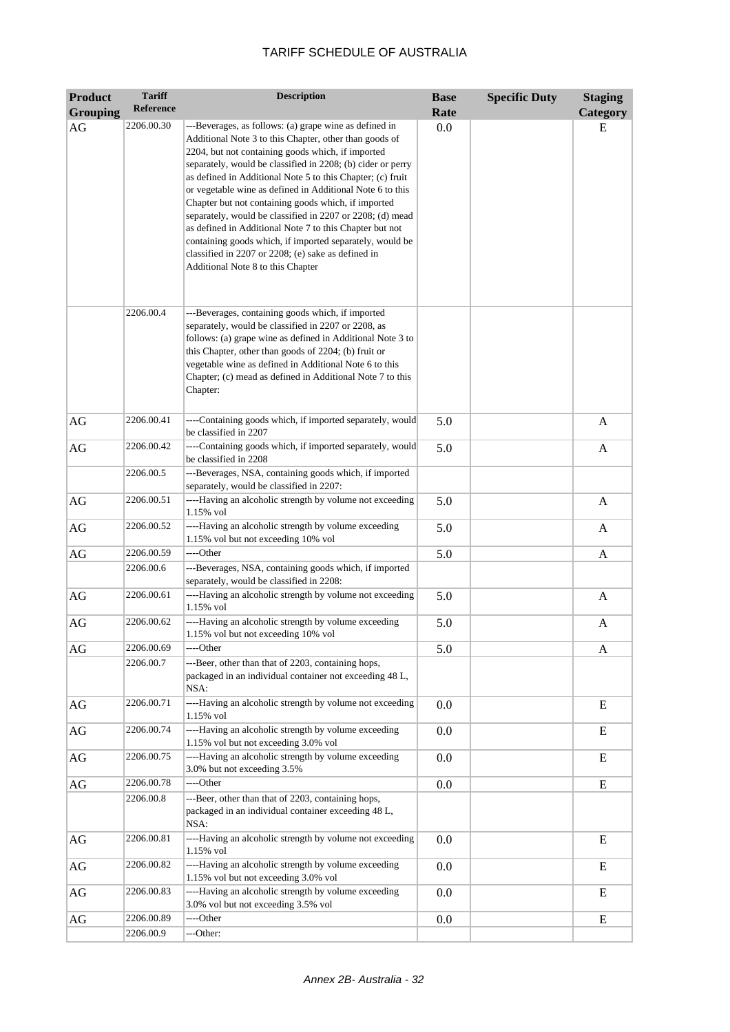| <b>Product</b>  | <b>Tariff</b>    | <b>Description</b>                                                                                                                                                                                                                                                                                                                                                                                                                                                                                                                                                                                                                                                                                    | <b>Base</b> | <b>Specific Duty</b> | <b>Staging</b> |
|-----------------|------------------|-------------------------------------------------------------------------------------------------------------------------------------------------------------------------------------------------------------------------------------------------------------------------------------------------------------------------------------------------------------------------------------------------------------------------------------------------------------------------------------------------------------------------------------------------------------------------------------------------------------------------------------------------------------------------------------------------------|-------------|----------------------|----------------|
| <b>Grouping</b> | <b>Reference</b> |                                                                                                                                                                                                                                                                                                                                                                                                                                                                                                                                                                                                                                                                                                       | Rate        |                      | Category       |
| AG              | 2206.00.30       | ---Beverages, as follows: (a) grape wine as defined in<br>Additional Note 3 to this Chapter, other than goods of<br>2204, but not containing goods which, if imported<br>separately, would be classified in 2208; (b) cider or perry<br>as defined in Additional Note 5 to this Chapter; (c) fruit<br>or vegetable wine as defined in Additional Note 6 to this<br>Chapter but not containing goods which, if imported<br>separately, would be classified in 2207 or 2208; (d) mead<br>as defined in Additional Note 7 to this Chapter but not<br>containing goods which, if imported separately, would be<br>classified in 2207 or 2208; (e) sake as defined in<br>Additional Note 8 to this Chapter | 0.0         |                      | E              |
|                 | 2206.00.4        | ---Beverages, containing goods which, if imported<br>separately, would be classified in 2207 or 2208, as<br>follows: (a) grape wine as defined in Additional Note 3 to<br>this Chapter, other than goods of 2204; (b) fruit or<br>vegetable wine as defined in Additional Note 6 to this<br>Chapter; (c) mead as defined in Additional Note 7 to this<br>Chapter:                                                                                                                                                                                                                                                                                                                                     |             |                      |                |
| AG              | 2206.00.41       | ----Containing goods which, if imported separately, would<br>be classified in 2207                                                                                                                                                                                                                                                                                                                                                                                                                                                                                                                                                                                                                    | 5.0         |                      | A              |
| AG              | 2206.00.42       | ----Containing goods which, if imported separately, would<br>be classified in 2208                                                                                                                                                                                                                                                                                                                                                                                                                                                                                                                                                                                                                    | 5.0         |                      | $\mathbf{A}$   |
|                 | 2206.00.5        | ---Beverages, NSA, containing goods which, if imported<br>separately, would be classified in 2207:                                                                                                                                                                                                                                                                                                                                                                                                                                                                                                                                                                                                    |             |                      |                |
| AG              | 2206.00.51       | ----Having an alcoholic strength by volume not exceeding<br>1.15% vol                                                                                                                                                                                                                                                                                                                                                                                                                                                                                                                                                                                                                                 | 5.0         |                      | A              |
| $\rm{AG}$       | 2206.00.52       | ----Having an alcoholic strength by volume exceeding<br>1.15% vol but not exceeding 10% vol                                                                                                                                                                                                                                                                                                                                                                                                                                                                                                                                                                                                           | 5.0         |                      | A              |
| AG              | 2206.00.59       | ----Other                                                                                                                                                                                                                                                                                                                                                                                                                                                                                                                                                                                                                                                                                             | 5.0         |                      | A              |
|                 | 2206.00.6        | ---Beverages, NSA, containing goods which, if imported<br>separately, would be classified in 2208:                                                                                                                                                                                                                                                                                                                                                                                                                                                                                                                                                                                                    |             |                      |                |
| AG              | 2206.00.61       | ----Having an alcoholic strength by volume not exceeding<br>1.15% vol                                                                                                                                                                                                                                                                                                                                                                                                                                                                                                                                                                                                                                 | 5.0         |                      | A              |
| AG              | 2206.00.62       | ----Having an alcoholic strength by volume exceeding<br>1.15% vol but not exceeding 10% vol                                                                                                                                                                                                                                                                                                                                                                                                                                                                                                                                                                                                           | 5.0         |                      | A              |
| AG              | 2206.00.69       | ----Other                                                                                                                                                                                                                                                                                                                                                                                                                                                                                                                                                                                                                                                                                             | 5.0         |                      | A              |
|                 | 2206.00.7        | ---Beer, other than that of 2203, containing hops,<br>packaged in an individual container not exceeding 48 L,<br>NSA:                                                                                                                                                                                                                                                                                                                                                                                                                                                                                                                                                                                 |             |                      |                |
| AG              | 2206.00.71       | ----Having an alcoholic strength by volume not exceeding<br>1.15% vol                                                                                                                                                                                                                                                                                                                                                                                                                                                                                                                                                                                                                                 | 0.0         |                      | ${\bf E}$      |
| $\rm{AG}$       | 2206.00.74       | ----Having an alcoholic strength by volume exceeding<br>1.15% vol but not exceeding 3.0% vol                                                                                                                                                                                                                                                                                                                                                                                                                                                                                                                                                                                                          | 0.0         |                      | E              |
| $\rm{AG}$       | 2206.00.75       | ----Having an alcoholic strength by volume exceeding<br>3.0% but not exceeding 3.5%                                                                                                                                                                                                                                                                                                                                                                                                                                                                                                                                                                                                                   | 0.0         |                      | E              |
| AG              | 2206.00.78       | ----Other                                                                                                                                                                                                                                                                                                                                                                                                                                                                                                                                                                                                                                                                                             | 0.0         |                      | ${\bf E}$      |
|                 | 2206.00.8        | ---Beer, other than that of 2203, containing hops,<br>packaged in an individual container exceeding 48 L,<br>NSA:                                                                                                                                                                                                                                                                                                                                                                                                                                                                                                                                                                                     |             |                      |                |
| AG              | 2206.00.81       | ----Having an alcoholic strength by volume not exceeding<br>1.15% vol                                                                                                                                                                                                                                                                                                                                                                                                                                                                                                                                                                                                                                 | 0.0         |                      | E              |
| AG              | 2206.00.82       | ----Having an alcoholic strength by volume exceeding<br>1.15% vol but not exceeding 3.0% vol                                                                                                                                                                                                                                                                                                                                                                                                                                                                                                                                                                                                          | 0.0         |                      | ${\bf E}$      |
| AG              | 2206.00.83       | ----Having an alcoholic strength by volume exceeding<br>3.0% vol but not exceeding 3.5% vol                                                                                                                                                                                                                                                                                                                                                                                                                                                                                                                                                                                                           | 0.0         |                      | Ε              |
| $\rm{AG}$       | 2206.00.89       | ---Other                                                                                                                                                                                                                                                                                                                                                                                                                                                                                                                                                                                                                                                                                              | 0.0         |                      | E              |
|                 | 2206.00.9        | ---Other:                                                                                                                                                                                                                                                                                                                                                                                                                                                                                                                                                                                                                                                                                             |             |                      |                |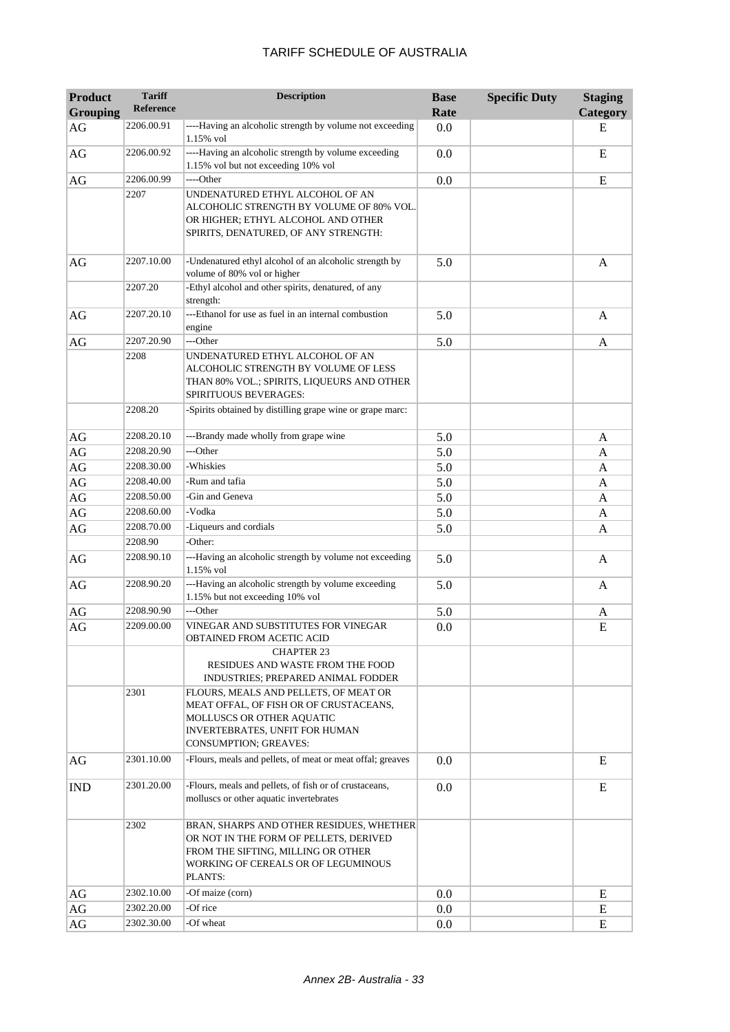| <b>Product</b><br><b>Grouping</b> | <b>Tariff</b><br><b>Reference</b> | <b>Description</b>                                                                                                                                                         | <b>Base</b><br>Rate | <b>Specific Duty</b> | <b>Staging</b><br>Category |
|-----------------------------------|-----------------------------------|----------------------------------------------------------------------------------------------------------------------------------------------------------------------------|---------------------|----------------------|----------------------------|
| AG                                | 2206.00.91                        | ----Having an alcoholic strength by volume not exceeding<br>1.15% vol                                                                                                      | 0.0                 |                      | Е                          |
| AG                                | 2206.00.92                        | ----Having an alcoholic strength by volume exceeding<br>1.15% vol but not exceeding 10% vol                                                                                | 0.0                 |                      | E                          |
| $\rm{AG}$                         | 2206.00.99                        | ----Other                                                                                                                                                                  | 0.0                 |                      | E                          |
|                                   | 2207                              | UNDENATURED ETHYL ALCOHOL OF AN<br>ALCOHOLIC STRENGTH BY VOLUME OF 80% VOL.<br>OR HIGHER; ETHYL ALCOHOL AND OTHER<br>SPIRITS, DENATURED, OF ANY STRENGTH:                  |                     |                      |                            |
| AG                                | 2207.10.00                        | -Undenatured ethyl alcohol of an alcoholic strength by<br>volume of 80% vol or higher                                                                                      | 5.0                 |                      | $\mathbf{A}$               |
|                                   | 2207.20                           | -Ethyl alcohol and other spirits, denatured, of any<br>strength:                                                                                                           |                     |                      |                            |
| AG                                | 2207.20.10                        | ---Ethanol for use as fuel in an internal combustion<br>engine                                                                                                             | 5.0                 |                      | A                          |
| AG                                | 2207.20.90                        | ---Other                                                                                                                                                                   | 5.0                 |                      | A                          |
|                                   | 2208                              | UNDENATURED ETHYL ALCOHOL OF AN<br>ALCOHOLIC STRENGTH BY VOLUME OF LESS<br>THAN 80% VOL.; SPIRITS, LIQUEURS AND OTHER<br><b>SPIRITUOUS BEVERAGES:</b>                      |                     |                      |                            |
|                                   | 2208.20                           | -Spirits obtained by distilling grape wine or grape marc:                                                                                                                  |                     |                      |                            |
| AG                                | 2208.20.10                        | ---Brandy made wholly from grape wine                                                                                                                                      | 5.0                 |                      | A                          |
| AG                                | 2208.20.90                        | ---Other                                                                                                                                                                   | 5.0                 |                      | A                          |
| $\rm{AG}$                         | 2208.30.00                        | -Whiskies                                                                                                                                                                  | 5.0                 |                      | A                          |
| $\rm{AG}$                         | 2208.40.00                        | -Rum and tafia                                                                                                                                                             | 5.0                 |                      | A                          |
| $\rm{AG}$                         | 2208.50.00                        | -Gin and Geneva                                                                                                                                                            | 5.0                 |                      | A                          |
| $\rm{AG}$                         | 2208.60.00                        | -Vodka                                                                                                                                                                     | 5.0                 |                      | A                          |
| AG                                | 2208.70.00                        | -Liqueurs and cordials                                                                                                                                                     | 5.0                 |                      | A                          |
|                                   | 2208.90                           | -Other:                                                                                                                                                                    |                     |                      |                            |
| AG                                | 2208.90.10                        | ---Having an alcoholic strength by volume not exceeding<br>1.15% vol                                                                                                       | 5.0                 |                      | A                          |
| AG                                | 2208.90.20                        | ---Having an alcoholic strength by volume exceeding<br>1.15% but not exceeding 10% vol                                                                                     | 5.0                 |                      | A                          |
| AG                                | 2208.90.90                        | ---Other                                                                                                                                                                   | 5.0                 |                      | A                          |
| AG                                | 2209.00.00                        | VINEGAR AND SUBSTITUTES FOR VINEGAR<br>OBTAINED FROM ACETIC ACID                                                                                                           | 0.0                 |                      | E                          |
|                                   |                                   | <b>CHAPTER 23</b><br>RESIDUES AND WASTE FROM THE FOOD<br>INDUSTRIES; PREPARED ANIMAL FODDER                                                                                |                     |                      |                            |
|                                   | 2301                              | FLOURS, MEALS AND PELLETS, OF MEAT OR<br>MEAT OFFAL, OF FISH OR OF CRUSTACEANS,<br>MOLLUSCS OR OTHER AQUATIC<br>INVERTEBRATES, UNFIT FOR HUMAN<br>CONSUMPTION; GREAVES:    |                     |                      |                            |
| AG                                | 2301.10.00                        | -Flours, meals and pellets, of meat or meat offal; greaves                                                                                                                 | 0.0                 |                      | E                          |
| <b>IND</b>                        | 2301.20.00                        | -Flours, meals and pellets, of fish or of crustaceans,<br>molluscs or other aquatic invertebrates                                                                          | 0.0                 |                      | E                          |
|                                   | 2302                              | BRAN, SHARPS AND OTHER RESIDUES, WHETHER<br>OR NOT IN THE FORM OF PELLETS, DERIVED<br>FROM THE SIFTING, MILLING OR OTHER<br>WORKING OF CEREALS OR OF LEGUMINOUS<br>PLANTS: |                     |                      |                            |
| AG                                | 2302.10.00                        | -Of maize (corn)                                                                                                                                                           | 0.0                 |                      | Ε                          |
| AG                                | 2302.20.00                        | -Of rice                                                                                                                                                                   | 0.0                 |                      | ${\bf E}$                  |
| AG                                | 2302.30.00                        | -Of wheat                                                                                                                                                                  | 0.0                 |                      | E                          |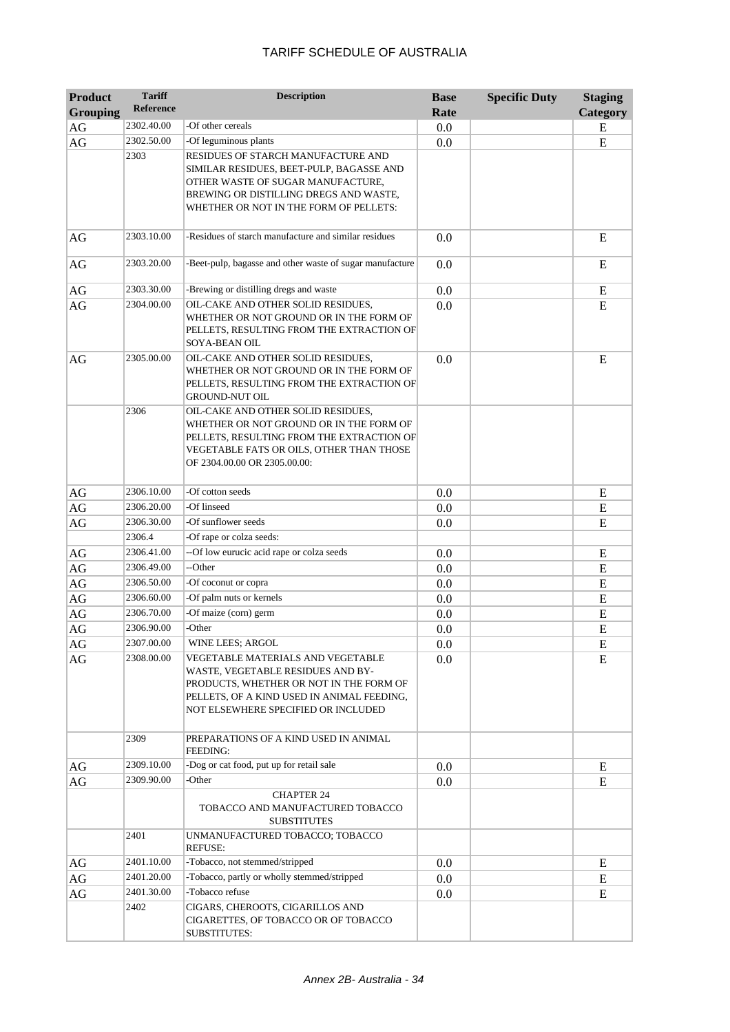| <b>Product</b><br><b>Grouping</b> | <b>Tariff</b><br><b>Reference</b> | <b>Description</b>                                                                                                                                                                                      | <b>Base</b><br>Rate | <b>Specific Duty</b> | <b>Staging</b><br>Category |
|-----------------------------------|-----------------------------------|---------------------------------------------------------------------------------------------------------------------------------------------------------------------------------------------------------|---------------------|----------------------|----------------------------|
| AG                                | 2302.40.00                        | -Of other cereals                                                                                                                                                                                       | 0.0                 |                      | E                          |
| AG                                | 2302.50.00                        | -Of leguminous plants                                                                                                                                                                                   | 0.0                 |                      | E                          |
|                                   | 2303                              | RESIDUES OF STARCH MANUFACTURE AND<br>SIMILAR RESIDUES, BEET-PULP, BAGASSE AND<br>OTHER WASTE OF SUGAR MANUFACTURE,<br>BREWING OR DISTILLING DREGS AND WASTE,<br>WHETHER OR NOT IN THE FORM OF PELLETS: |                     |                      |                            |
| AG                                | 2303.10.00                        | -Residues of starch manufacture and similar residues                                                                                                                                                    | 0.0                 |                      | E                          |
| AG                                | 2303.20.00                        | -Beet-pulp, bagasse and other waste of sugar manufacture                                                                                                                                                | 0.0                 |                      | E                          |
| AG                                | 2303.30.00                        | -Brewing or distilling dregs and waste                                                                                                                                                                  | 0.0                 |                      | E                          |
| AG                                | 2304.00.00                        | OIL-CAKE AND OTHER SOLID RESIDUES,<br>WHETHER OR NOT GROUND OR IN THE FORM OF<br>PELLETS, RESULTING FROM THE EXTRACTION OF<br>SOYA-BEAN OIL                                                             | 0.0                 |                      | E                          |
| AG                                | 2305.00.00                        | OIL-CAKE AND OTHER SOLID RESIDUES,<br>WHETHER OR NOT GROUND OR IN THE FORM OF<br>PELLETS, RESULTING FROM THE EXTRACTION OF<br><b>GROUND-NUT OIL</b>                                                     | 0.0                 |                      | E                          |
|                                   | 2306                              | OIL-CAKE AND OTHER SOLID RESIDUES,<br>WHETHER OR NOT GROUND OR IN THE FORM OF<br>PELLETS, RESULTING FROM THE EXTRACTION OF<br>VEGETABLE FATS OR OILS, OTHER THAN THOSE<br>OF 2304.00.00 OR 2305.00.00:  |                     |                      |                            |
| AG                                | 2306.10.00                        | -Of cotton seeds                                                                                                                                                                                        | 0.0                 |                      | E                          |
| $\rm{AG}$                         | 2306.20.00                        | -Of linseed                                                                                                                                                                                             | 0.0                 |                      | ${\bf E}$                  |
| $\rm{AG}$                         | 2306.30.00                        | -Of sunflower seeds                                                                                                                                                                                     | 0.0                 |                      | E                          |
|                                   | 2306.4                            | -Of rape or colza seeds:                                                                                                                                                                                |                     |                      |                            |
| AG                                | 2306.41.00                        | --Of low eurucic acid rape or colza seeds                                                                                                                                                               | 0.0                 |                      | E                          |
| AG                                | 2306.49.00                        | --Other                                                                                                                                                                                                 | 0.0                 |                      | E                          |
| AG                                | 2306.50.00                        | -Of coconut or copra                                                                                                                                                                                    | 0.0                 |                      | E                          |
| AG                                | 2306.60.00                        | -Of palm nuts or kernels                                                                                                                                                                                | 0.0                 |                      | ${\bf E}$                  |
| $\rm{AG}$                         | 2306.70.00                        | -Of maize (corn) germ                                                                                                                                                                                   | 0.0                 |                      | ${\bf E}$                  |
| AG                                | 2306.90.00                        | -Other                                                                                                                                                                                                  | 0.0                 |                      | E                          |
| AG                                | 2307.00.00                        | WINE LEES; ARGOL                                                                                                                                                                                        | 0.0                 |                      | Е                          |
| AG                                | 2308.00.00                        | VEGETABLE MATERIALS AND VEGETABLE<br>WASTE, VEGETABLE RESIDUES AND BY-<br>PRODUCTS, WHETHER OR NOT IN THE FORM OF<br>PELLETS, OF A KIND USED IN ANIMAL FEEDING,<br>NOT ELSEWHERE SPECIFIED OR INCLUDED  | 0.0                 |                      | E                          |
|                                   | 2309                              | PREPARATIONS OF A KIND USED IN ANIMAL<br><b>FEEDING:</b>                                                                                                                                                |                     |                      |                            |
| AG                                | 2309.10.00                        | -Dog or cat food, put up for retail sale                                                                                                                                                                | $0.0\,$             |                      | Ε                          |
| AG                                | 2309.90.00                        | -Other                                                                                                                                                                                                  | 0.0                 |                      | E                          |
|                                   |                                   | <b>CHAPTER 24</b><br>TOBACCO AND MANUFACTURED TOBACCO<br><b>SUBSTITUTES</b>                                                                                                                             |                     |                      |                            |
|                                   | 2401                              | UNMANUFACTURED TOBACCO; TOBACCO<br><b>REFUSE:</b>                                                                                                                                                       |                     |                      |                            |
| AG                                | 2401.10.00                        | -Tobacco, not stemmed/stripped                                                                                                                                                                          | 0.0                 |                      | E                          |
| AG                                | 2401.20.00                        | -Tobacco, partly or wholly stemmed/stripped                                                                                                                                                             | $0.0\,$             |                      | E                          |
| AG                                | 2401.30.00                        | -Tobacco refuse                                                                                                                                                                                         | $0.0\,$             |                      | E                          |
|                                   | 2402                              | CIGARS, CHEROOTS, CIGARILLOS AND<br>CIGARETTES, OF TOBACCO OR OF TOBACCO<br><b>SUBSTITUTES:</b>                                                                                                         |                     |                      |                            |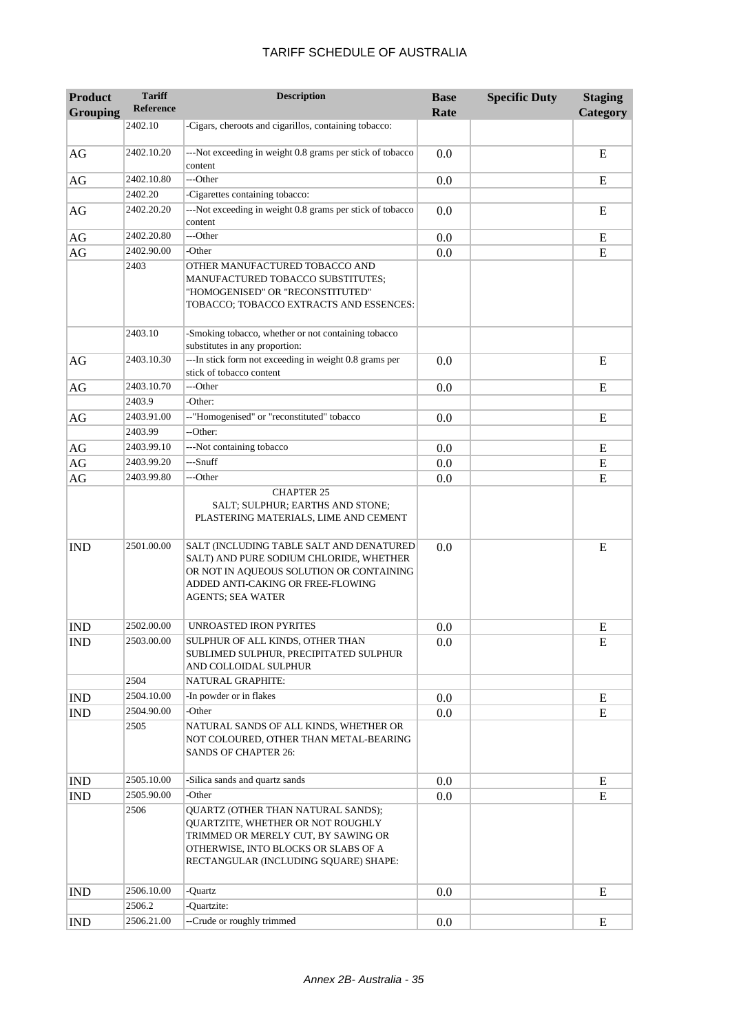| <b>Product</b><br><b>Grouping</b> | <b>Tariff</b><br><b>Reference</b> | <b>Description</b>                                                                                                                                                                               | <b>Base</b><br>Rate | <b>Specific Duty</b> | <b>Staging</b><br><b>Category</b> |
|-----------------------------------|-----------------------------------|--------------------------------------------------------------------------------------------------------------------------------------------------------------------------------------------------|---------------------|----------------------|-----------------------------------|
|                                   | 2402.10                           | -Cigars, cheroots and cigarillos, containing tobacco:                                                                                                                                            |                     |                      |                                   |
| AG                                | 2402.10.20                        | ---Not exceeding in weight 0.8 grams per stick of tobacco<br>content                                                                                                                             | 0.0                 |                      | E                                 |
| $\rm{AG}$                         | 2402.10.80                        | ---Other                                                                                                                                                                                         | 0.0                 |                      | E                                 |
|                                   | 2402.20                           | -Cigarettes containing tobacco:                                                                                                                                                                  |                     |                      |                                   |
| AG                                | 2402.20.20                        | ---Not exceeding in weight 0.8 grams per stick of tobacco<br>content                                                                                                                             | 0.0                 |                      | E                                 |
| AG                                | 2402.20.80                        | ---Other                                                                                                                                                                                         | 0.0                 |                      | E                                 |
| AG                                | 2402.90.00                        | -Other                                                                                                                                                                                           | 0.0                 |                      | E                                 |
|                                   | 2403                              | OTHER MANUFACTURED TOBACCO AND<br>MANUFACTURED TOBACCO SUBSTITUTES;<br>"HOMOGENISED" OR "RECONSTITUTED"<br>TOBACCO; TOBACCO EXTRACTS AND ESSENCES:                                               |                     |                      |                                   |
|                                   | 2403.10                           | -Smoking tobacco, whether or not containing tobacco<br>substitutes in any proportion:                                                                                                            |                     |                      |                                   |
| AG                                | 2403.10.30                        | ---In stick form not exceeding in weight 0.8 grams per<br>stick of tobacco content                                                                                                               | 0.0                 |                      | E                                 |
| AG                                | 2403.10.70                        | ---Other                                                                                                                                                                                         | 0.0                 |                      | E                                 |
|                                   | 2403.9                            | -Other:                                                                                                                                                                                          |                     |                      |                                   |
| AG                                | 2403.91.00                        | --"Homogenised" or "reconstituted" tobacco                                                                                                                                                       | 0.0                 |                      | E                                 |
|                                   | 2403.99                           | --Other:                                                                                                                                                                                         |                     |                      |                                   |
| AG                                | 2403.99.10                        | ---Not containing tobacco                                                                                                                                                                        | 0.0                 |                      | E                                 |
| AG                                | 2403.99.20                        | ---Snuff                                                                                                                                                                                         | 0.0                 |                      | E                                 |
| $\rm{AG}$                         | 2403.99.80                        | ---Other<br><b>CHAPTER 25</b><br>SALT; SULPHUR; EARTHS AND STONE;<br>PLASTERING MATERIALS, LIME AND CEMENT                                                                                       | 0.0                 |                      | E                                 |
| <b>IND</b>                        | 2501.00.00                        | SALT (INCLUDING TABLE SALT AND DENATURED<br>SALT) AND PURE SODIUM CHLORIDE, WHETHER<br>OR NOT IN AQUEOUS SOLUTION OR CONTAINING<br>ADDED ANTI-CAKING OR FREE-FLOWING<br><b>AGENTS; SEA WATER</b> | 0.0                 |                      | E                                 |
| <b>IND</b>                        | 2502.00.00                        | UNROASTED IRON PYRITES                                                                                                                                                                           | 0.0                 |                      | E                                 |
| <b>IND</b>                        | 2503.00.00                        | SULPHUR OF ALL KINDS, OTHER THAN<br>SUBLIMED SULPHUR, PRECIPITATED SULPHUR<br>AND COLLOIDAL SULPHUR                                                                                              | 0.0                 |                      | Е                                 |
|                                   | 2504                              | NATURAL GRAPHITE:                                                                                                                                                                                |                     |                      |                                   |
| <b>IND</b>                        | 2504.10.00                        | -In powder or in flakes                                                                                                                                                                          | 0.0                 |                      | E                                 |
| <b>IND</b>                        | 2504.90.00                        | -Other                                                                                                                                                                                           | 0.0                 |                      | E                                 |
|                                   | 2505                              | NATURAL SANDS OF ALL KINDS, WHETHER OR<br>NOT COLOURED, OTHER THAN METAL-BEARING<br>SANDS OF CHAPTER 26:                                                                                         |                     |                      |                                   |
| <b>IND</b>                        | 2505.10.00                        | -Silica sands and quartz sands                                                                                                                                                                   | 0.0                 |                      | E                                 |
| <b>IND</b>                        | 2505.90.00                        | -Other                                                                                                                                                                                           | 0.0                 |                      | E                                 |
|                                   | 2506                              | QUARTZ (OTHER THAN NATURAL SANDS);<br>QUARTZITE, WHETHER OR NOT ROUGHLY<br>TRIMMED OR MERELY CUT, BY SAWING OR<br>OTHERWISE, INTO BLOCKS OR SLABS OF A<br>RECTANGULAR (INCLUDING SQUARE) SHAPE:  |                     |                      |                                   |
| <b>IND</b>                        | 2506.10.00                        | -Quartz                                                                                                                                                                                          | 0.0                 |                      | E                                 |
|                                   | 2506.2                            | -Quartzite:                                                                                                                                                                                      |                     |                      |                                   |
| <b>IND</b>                        | 2506.21.00                        | --Crude or roughly trimmed                                                                                                                                                                       | 0.0                 |                      | E                                 |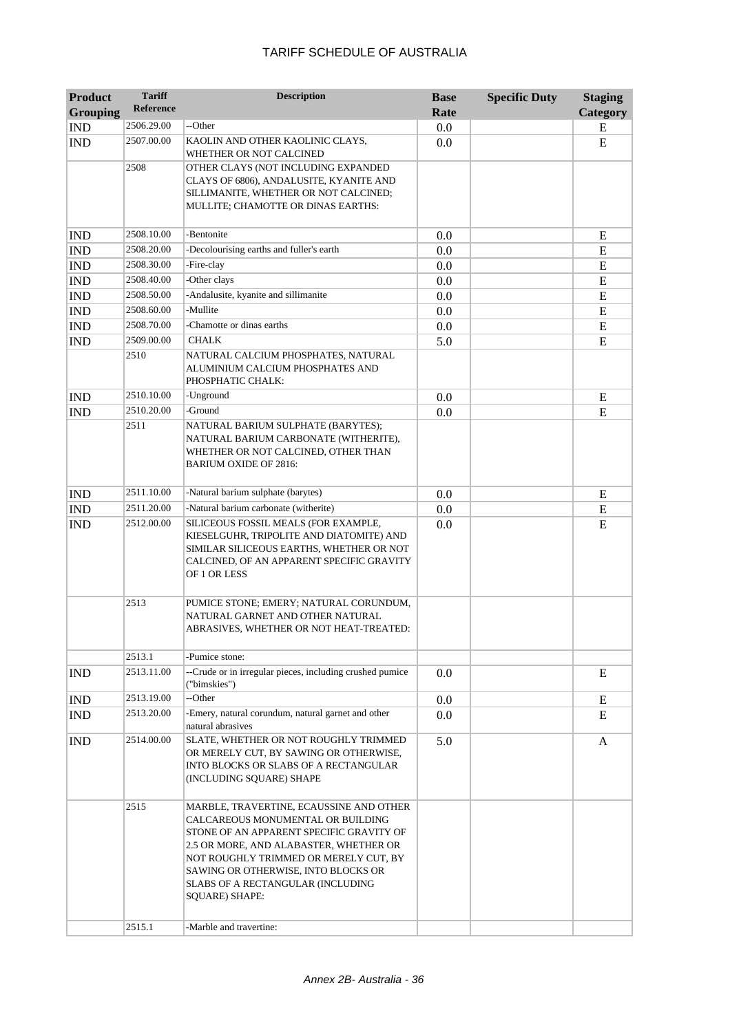| <b>Product</b>  | <b>Tariff</b>    | <b>Description</b>                                                                                                                                                                                                                                                                                                                          | <b>Base</b> | <b>Specific Duty</b> | <b>Staging</b> |
|-----------------|------------------|---------------------------------------------------------------------------------------------------------------------------------------------------------------------------------------------------------------------------------------------------------------------------------------------------------------------------------------------|-------------|----------------------|----------------|
| <b>Grouping</b> | <b>Reference</b> |                                                                                                                                                                                                                                                                                                                                             | Rate        |                      | Category       |
| <b>IND</b>      | 2506.29.00       | --Other                                                                                                                                                                                                                                                                                                                                     | 0.0         |                      | E              |
| <b>IND</b>      | 2507.00.00       | KAOLIN AND OTHER KAOLINIC CLAYS,<br>WHETHER OR NOT CALCINED                                                                                                                                                                                                                                                                                 | 0.0         |                      | E              |
|                 | 2508             | OTHER CLAYS (NOT INCLUDING EXPANDED<br>CLAYS OF 6806), ANDALUSITE, KYANITE AND<br>SILLIMANITE, WHETHER OR NOT CALCINED;<br>MULLITE; CHAMOTTE OR DINAS EARTHS:                                                                                                                                                                               |             |                      |                |
| <b>IND</b>      | 2508.10.00       | -Bentonite                                                                                                                                                                                                                                                                                                                                  | 0.0         |                      | E              |
| <b>IND</b>      | 2508.20.00       | -Decolourising earths and fuller's earth                                                                                                                                                                                                                                                                                                    | 0.0         |                      | ${\bf E}$      |
| <b>IND</b>      | 2508.30.00       | -Fire-clay                                                                                                                                                                                                                                                                                                                                  | 0.0         |                      | ${\bf E}$      |
| <b>IND</b>      | 2508.40.00       | -Other clays                                                                                                                                                                                                                                                                                                                                | 0.0         |                      | ${\bf E}$      |
| <b>IND</b>      | 2508.50.00       | -Andalusite, kyanite and sillimanite                                                                                                                                                                                                                                                                                                        | 0.0         |                      | E              |
| <b>IND</b>      | 2508.60.00       | -Mullite                                                                                                                                                                                                                                                                                                                                    | 0.0         |                      | E              |
| <b>IND</b>      | 2508.70.00       | -Chamotte or dinas earths                                                                                                                                                                                                                                                                                                                   | 0.0         |                      | E              |
| <b>IND</b>      | 2509.00.00       | <b>CHALK</b>                                                                                                                                                                                                                                                                                                                                | 5.0         |                      | E              |
|                 | 2510             | NATURAL CALCIUM PHOSPHATES, NATURAL<br>ALUMINIUM CALCIUM PHOSPHATES AND<br>PHOSPHATIC CHALK:                                                                                                                                                                                                                                                |             |                      |                |
| <b>IND</b>      | 2510.10.00       | -Unground                                                                                                                                                                                                                                                                                                                                   | 0.0         |                      | ${\bf E}$      |
| <b>IND</b>      | 2510.20.00       | -Ground                                                                                                                                                                                                                                                                                                                                     | 0.0         |                      | E              |
|                 | 2511             | NATURAL BARIUM SULPHATE (BARYTES);<br>NATURAL BARIUM CARBONATE (WITHERITE),<br>WHETHER OR NOT CALCINED, OTHER THAN<br><b>BARIUM OXIDE OF 2816:</b>                                                                                                                                                                                          |             |                      |                |
| <b>IND</b>      | 2511.10.00       | -Natural barium sulphate (barytes)                                                                                                                                                                                                                                                                                                          | 0.0         |                      | ${\bf E}$      |
| <b>IND</b>      | 2511.20.00       | -Natural barium carbonate (witherite)                                                                                                                                                                                                                                                                                                       | 0.0         |                      | ${\bf E}$      |
| <b>IND</b>      | 2512.00.00       | SILICEOUS FOSSIL MEALS (FOR EXAMPLE,<br>KIESELGUHR, TRIPOLITE AND DIATOMITE) AND<br>SIMILAR SILICEOUS EARTHS, WHETHER OR NOT<br>CALCINED, OF AN APPARENT SPECIFIC GRAVITY<br>OF 1 OR LESS                                                                                                                                                   | 0.0         |                      | E              |
|                 | 2513             | PUMICE STONE; EMERY; NATURAL CORUNDUM,<br>NATURAL GARNET AND OTHER NATURAL<br>ABRASIVES, WHETHER OR NOT HEAT-TREATED:                                                                                                                                                                                                                       |             |                      |                |
|                 | 2513.1           | -Pumice stone:                                                                                                                                                                                                                                                                                                                              |             |                      |                |
| <b>IND</b>      | 2513.11.00       | --Crude or in irregular pieces, including crushed pumice<br>("bimskies")                                                                                                                                                                                                                                                                    | 0.0         |                      | E              |
| <b>IND</b>      | 2513.19.00       | --Other                                                                                                                                                                                                                                                                                                                                     | 0.0         |                      | Ε              |
| <b>IND</b>      | 2513.20.00       | -Emery, natural corundum, natural garnet and other<br>natural abrasives                                                                                                                                                                                                                                                                     | 0.0         |                      | E              |
| <b>IND</b>      | 2514.00.00       | SLATE, WHETHER OR NOT ROUGHLY TRIMMED<br>OR MERELY CUT, BY SAWING OR OTHERWISE,<br>INTO BLOCKS OR SLABS OF A RECTANGULAR<br>(INCLUDING SQUARE) SHAPE                                                                                                                                                                                        | 5.0         |                      | A              |
|                 | 2515<br>2515.1   | MARBLE, TRAVERTINE, ECAUSSINE AND OTHER<br>CALCAREOUS MONUMENTAL OR BUILDING<br>STONE OF AN APPARENT SPECIFIC GRAVITY OF<br>2.5 OR MORE, AND ALABASTER, WHETHER OR<br>NOT ROUGHLY TRIMMED OR MERELY CUT, BY<br>SAWING OR OTHERWISE, INTO BLOCKS OR<br>SLABS OF A RECTANGULAR (INCLUDING<br><b>SQUARE) SHAPE:</b><br>-Marble and travertine: |             |                      |                |
|                 |                  |                                                                                                                                                                                                                                                                                                                                             |             |                      |                |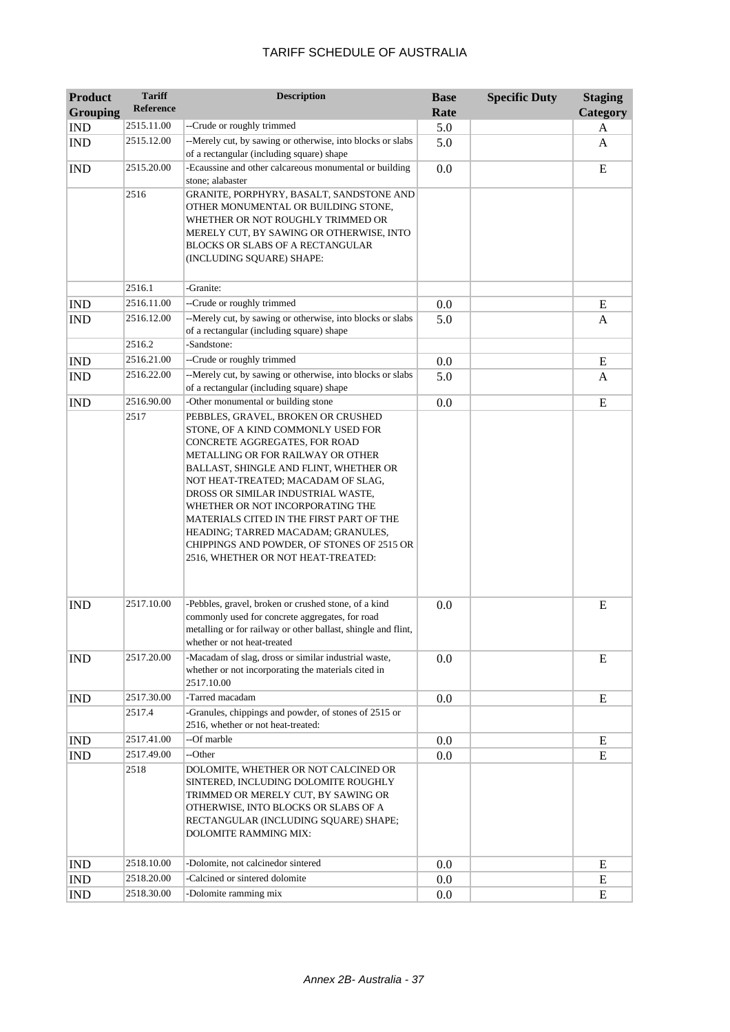| <b>Product</b><br><b>Grouping</b> | <b>Tariff</b><br><b>Reference</b> | <b>Description</b>                                                                                                                                                                                                                                                                                                                                                                                                                                                                               | <b>Base</b><br>Rate | <b>Specific Duty</b> | <b>Staging</b><br>Category |
|-----------------------------------|-----------------------------------|--------------------------------------------------------------------------------------------------------------------------------------------------------------------------------------------------------------------------------------------------------------------------------------------------------------------------------------------------------------------------------------------------------------------------------------------------------------------------------------------------|---------------------|----------------------|----------------------------|
| <b>IND</b>                        | 2515.11.00                        | --Crude or roughly trimmed                                                                                                                                                                                                                                                                                                                                                                                                                                                                       | 5.0                 |                      |                            |
|                                   | 2515.12.00                        | --Merely cut, by sawing or otherwise, into blocks or slabs                                                                                                                                                                                                                                                                                                                                                                                                                                       | 5.0                 |                      | A                          |
| <b>IND</b>                        |                                   | of a rectangular (including square) shape                                                                                                                                                                                                                                                                                                                                                                                                                                                        |                     |                      | A                          |
| <b>IND</b>                        | 2515.20.00                        | -Ecaussine and other calcareous monumental or building<br>stone; alabaster                                                                                                                                                                                                                                                                                                                                                                                                                       | 0.0                 |                      | E                          |
|                                   | 2516                              | GRANITE, PORPHYRY, BASALT, SANDSTONE AND<br>OTHER MONUMENTAL OR BUILDING STONE,<br>WHETHER OR NOT ROUGHLY TRIMMED OR<br>MERELY CUT, BY SAWING OR OTHERWISE, INTO<br>BLOCKS OR SLABS OF A RECTANGULAR<br>(INCLUDING SQUARE) SHAPE:                                                                                                                                                                                                                                                                |                     |                      |                            |
|                                   | 2516.1                            | -Granite:                                                                                                                                                                                                                                                                                                                                                                                                                                                                                        |                     |                      |                            |
| <b>IND</b>                        | 2516.11.00                        | --Crude or roughly trimmed                                                                                                                                                                                                                                                                                                                                                                                                                                                                       | 0.0                 |                      | E                          |
| <b>IND</b>                        | 2516.12.00                        | --Merely cut, by sawing or otherwise, into blocks or slabs<br>of a rectangular (including square) shape                                                                                                                                                                                                                                                                                                                                                                                          | 5.0                 |                      | A                          |
|                                   | 2516.2                            | -Sandstone:                                                                                                                                                                                                                                                                                                                                                                                                                                                                                      |                     |                      |                            |
| <b>IND</b>                        | 2516.21.00                        | --Crude or roughly trimmed                                                                                                                                                                                                                                                                                                                                                                                                                                                                       | 0.0                 |                      | E                          |
| <b>IND</b>                        | 2516.22.00                        | --Merely cut, by sawing or otherwise, into blocks or slabs<br>of a rectangular (including square) shape                                                                                                                                                                                                                                                                                                                                                                                          | 5.0                 |                      | A                          |
| <b>IND</b>                        | 2516.90.00                        | -Other monumental or building stone                                                                                                                                                                                                                                                                                                                                                                                                                                                              | 0.0                 |                      | ${\bf E}$                  |
| <b>IND</b>                        | 2517.10.00                        | STONE, OF A KIND COMMONLY USED FOR<br>CONCRETE AGGREGATES, FOR ROAD<br>METALLING OR FOR RAILWAY OR OTHER<br>BALLAST, SHINGLE AND FLINT, WHETHER OR<br>NOT HEAT-TREATED; MACADAM OF SLAG,<br>DROSS OR SIMILAR INDUSTRIAL WASTE,<br>WHETHER OR NOT INCORPORATING THE<br>MATERIALS CITED IN THE FIRST PART OF THE<br>HEADING; TARRED MACADAM; GRANULES,<br>CHIPPINGS AND POWDER, OF STONES OF 2515 OR<br>2516, WHETHER OR NOT HEAT-TREATED:<br>-Pebbles, gravel, broken or crushed stone, of a kind | 0.0                 |                      | E                          |
|                                   |                                   | commonly used for concrete aggregates, for road<br>metalling or for railway or other ballast, shingle and flint,<br>whether or not heat-treated                                                                                                                                                                                                                                                                                                                                                  |                     |                      |                            |
| <b>IND</b>                        | 2517.20.00                        | -Macadam of slag, dross or similar industrial waste,<br>whether or not incorporating the materials cited in<br>2517.10.00                                                                                                                                                                                                                                                                                                                                                                        | 0.0                 |                      | E                          |
| <b>IND</b>                        | 2517.30.00                        | -Tarred macadam                                                                                                                                                                                                                                                                                                                                                                                                                                                                                  | 0.0                 |                      | E                          |
|                                   | 2517.4                            | -Granules, chippings and powder, of stones of 2515 or<br>2516, whether or not heat-treated:                                                                                                                                                                                                                                                                                                                                                                                                      |                     |                      |                            |
| <b>IND</b>                        | 2517.41.00                        | --Of marble                                                                                                                                                                                                                                                                                                                                                                                                                                                                                      | 0.0                 |                      | E                          |
| <b>IND</b>                        | 2517.49.00                        | --Other                                                                                                                                                                                                                                                                                                                                                                                                                                                                                          | 0.0                 |                      | E                          |
|                                   | 2518                              | DOLOMITE, WHETHER OR NOT CALCINED OR<br>SINTERED, INCLUDING DOLOMITE ROUGHLY<br>TRIMMED OR MERELY CUT, BY SAWING OR<br>OTHERWISE, INTO BLOCKS OR SLABS OF A<br>RECTANGULAR (INCLUDING SQUARE) SHAPE;<br>DOLOMITE RAMMING MIX:                                                                                                                                                                                                                                                                    |                     |                      |                            |
| <b>IND</b>                        | 2518.10.00                        | -Dolomite, not calcinedor sintered                                                                                                                                                                                                                                                                                                                                                                                                                                                               | $0.0\,$             |                      | E                          |
| IND                               | 2518.20.00                        | -Calcined or sintered dolomite                                                                                                                                                                                                                                                                                                                                                                                                                                                                   | 0.0                 |                      | E                          |
| <b>IND</b>                        | 2518.30.00                        | -Dolomite ramming mix                                                                                                                                                                                                                                                                                                                                                                                                                                                                            | 0.0                 |                      | E                          |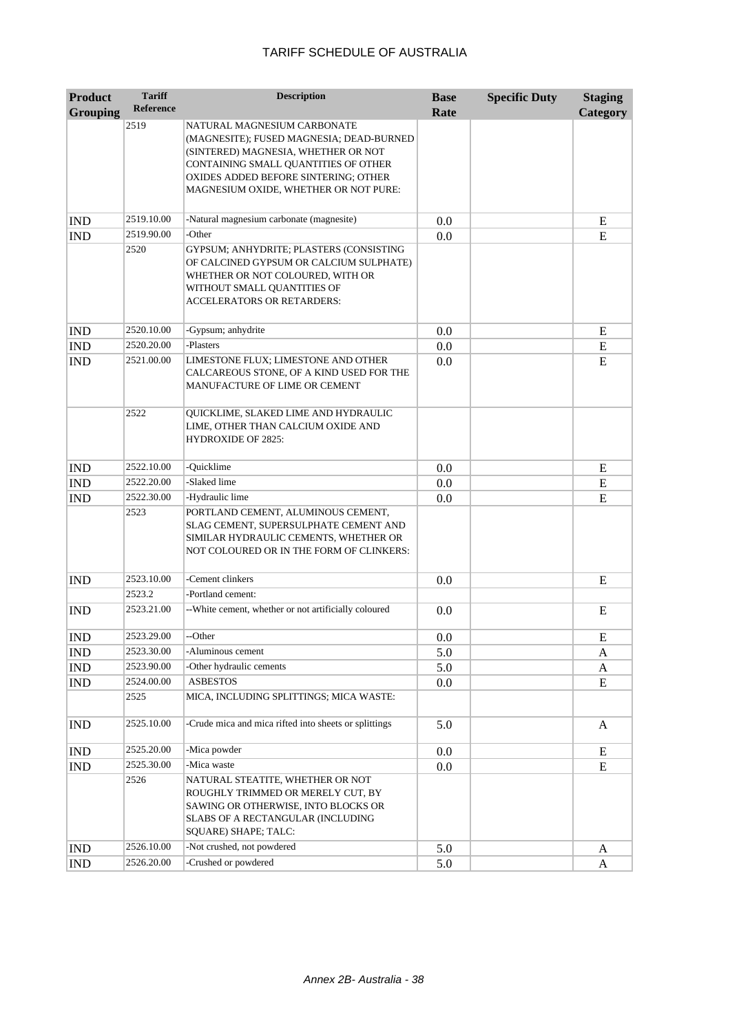| <b>Product</b>              | <b>Tariff</b>    | <b>Description</b>                                                                                                                                                                                                                      | <b>Base</b> | <b>Specific Duty</b> | <b>Staging</b> |
|-----------------------------|------------------|-----------------------------------------------------------------------------------------------------------------------------------------------------------------------------------------------------------------------------------------|-------------|----------------------|----------------|
| <b>Grouping</b>             | <b>Reference</b> |                                                                                                                                                                                                                                         | Rate        |                      | Category       |
|                             | 2519             | NATURAL MAGNESIUM CARBONATE<br>(MAGNESITE); FUSED MAGNESIA; DEAD-BURNED<br>(SINTERED) MAGNESIA, WHETHER OR NOT<br>CONTAINING SMALL QUANTITIES OF OTHER<br>OXIDES ADDED BEFORE SINTERING; OTHER<br>MAGNESIUM OXIDE, WHETHER OR NOT PURE: |             |                      |                |
| <b>IND</b>                  | 2519.10.00       | -Natural magnesium carbonate (magnesite)                                                                                                                                                                                                | 0.0         |                      | E              |
| <b>IND</b>                  | 2519.90.00       | -Other                                                                                                                                                                                                                                  | 0.0         |                      | E              |
|                             | 2520             | GYPSUM; ANHYDRITE; PLASTERS (CONSISTING<br>OF CALCINED GYPSUM OR CALCIUM SULPHATE)<br>WHETHER OR NOT COLOURED, WITH OR<br>WITHOUT SMALL QUANTITIES OF<br><b>ACCELERATORS OR RETARDERS:</b>                                              |             |                      |                |
| <b>IND</b>                  | 2520.10.00       | -Gypsum; anhydrite                                                                                                                                                                                                                      | 0.0         |                      | E              |
| $\mathop{\rm IND}\nolimits$ | 2520.20.00       | -Plasters                                                                                                                                                                                                                               | 0.0         |                      | ${\bf E}$      |
| <b>IND</b>                  | 2521.00.00       | LIMESTONE FLUX; LIMESTONE AND OTHER<br>CALCAREOUS STONE, OF A KIND USED FOR THE<br>MANUFACTURE OF LIME OR CEMENT                                                                                                                        | 0.0         |                      | E              |
|                             | 2522             | QUICKLIME, SLAKED LIME AND HYDRAULIC<br>LIME, OTHER THAN CALCIUM OXIDE AND<br><b>HYDROXIDE OF 2825:</b>                                                                                                                                 |             |                      |                |
| <b>IND</b>                  | 2522.10.00       | -Quicklime                                                                                                                                                                                                                              | 0.0         |                      | E              |
| <b>IND</b>                  | 2522.20.00       | -Slaked lime                                                                                                                                                                                                                            | 0.0         |                      | ${\bf E}$      |
| <b>IND</b>                  | 2522.30.00       | -Hydraulic lime                                                                                                                                                                                                                         | 0.0         |                      | ${\bf E}$      |
|                             | 2523             | PORTLAND CEMENT, ALUMINOUS CEMENT,<br>SLAG CEMENT, SUPERSULPHATE CEMENT AND<br>SIMILAR HYDRAULIC CEMENTS, WHETHER OR<br>NOT COLOURED OR IN THE FORM OF CLINKERS:                                                                        |             |                      |                |
| <b>IND</b>                  | 2523.10.00       | -Cement clinkers                                                                                                                                                                                                                        | 0.0         |                      | E              |
|                             | 2523.2           | -Portland cement:                                                                                                                                                                                                                       |             |                      |                |
| <b>IND</b>                  | 2523.21.00       | -- White cement, whether or not artificially coloured                                                                                                                                                                                   | 0.0         |                      | E              |
| <b>IND</b>                  | 2523.29.00       | --Other                                                                                                                                                                                                                                 | 0.0         |                      | E              |
| <b>IND</b>                  | 2523.30.00       | -Aluminous cement                                                                                                                                                                                                                       | 5.0         |                      | A              |
| $\mathop{\rm IND}\nolimits$ | 2523.90.00       | -Other hydraulic cements                                                                                                                                                                                                                | 5.0         |                      | A              |
| IND                         | 2524.00.00       | <b>ASBESTOS</b>                                                                                                                                                                                                                         | 0.0         |                      | ${\bf E}$      |
|                             | 2525             | MICA, INCLUDING SPLITTINGS; MICA WASTE:                                                                                                                                                                                                 |             |                      |                |
| <b>IND</b>                  | 2525.10.00       | -Crude mica and mica rifted into sheets or splittings                                                                                                                                                                                   | 5.0         |                      | A              |
| <b>IND</b>                  | 2525.20.00       | -Mica powder                                                                                                                                                                                                                            | 0.0         |                      | E              |
| IND                         | 2525.30.00       | -Mica waste                                                                                                                                                                                                                             | 0.0         |                      | E              |
|                             | 2526             | NATURAL STEATITE, WHETHER OR NOT<br>ROUGHLY TRIMMED OR MERELY CUT, BY<br>SAWING OR OTHERWISE, INTO BLOCKS OR<br>SLABS OF A RECTANGULAR (INCLUDING<br>SQUARE) SHAPE; TALC:                                                               |             |                      |                |
| <b>IND</b>                  | 2526.10.00       | -Not crushed, not powdered                                                                                                                                                                                                              | 5.0         |                      | A              |
| <b>IND</b>                  | 2526.20.00       | -Crushed or powdered                                                                                                                                                                                                                    | 5.0         |                      | A              |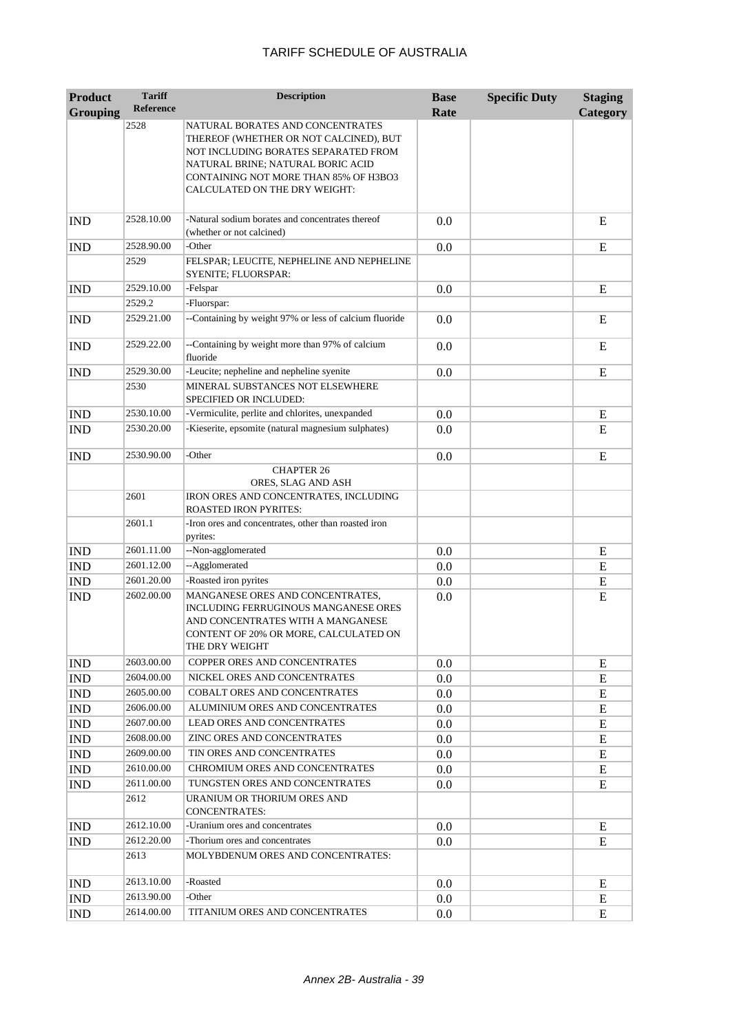| <b>Product</b>  | <b>Tariff</b>            | <b>Description</b>                                                                                                                                                                                                                       | <b>Base</b> | <b>Specific Duty</b> | <b>Staging</b> |
|-----------------|--------------------------|------------------------------------------------------------------------------------------------------------------------------------------------------------------------------------------------------------------------------------------|-------------|----------------------|----------------|
| <b>Grouping</b> | <b>Reference</b>         |                                                                                                                                                                                                                                          | Rate        |                      | Category       |
|                 | 2528                     | NATURAL BORATES AND CONCENTRATES<br>THEREOF (WHETHER OR NOT CALCINED), BUT<br>NOT INCLUDING BORATES SEPARATED FROM<br>NATURAL BRINE; NATURAL BORIC ACID<br><b>CONTAINING NOT MORE THAN 85% OF H3BO3</b><br>CALCULATED ON THE DRY WEIGHT: |             |                      |                |
| <b>IND</b>      | 2528.10.00               | -Natural sodium borates and concentrates thereof<br>(whether or not calcined)                                                                                                                                                            | 0.0         |                      | E              |
| <b>IND</b>      | 2528.90.00               | -Other                                                                                                                                                                                                                                   | 0.0         |                      | E              |
|                 | 2529                     | FELSPAR; LEUCITE, NEPHELINE AND NEPHELINE<br>SYENITE; FLUORSPAR:                                                                                                                                                                         |             |                      |                |
| <b>IND</b>      | 2529.10.00               | -Felspar                                                                                                                                                                                                                                 | 0.0         |                      | E              |
|                 | 2529.2                   | -Fluorspar:                                                                                                                                                                                                                              |             |                      |                |
| <b>IND</b>      | 2529.21.00               | --Containing by weight 97% or less of calcium fluoride                                                                                                                                                                                   | 0.0         |                      | E              |
| <b>IND</b>      | 2529.22.00               | --Containing by weight more than 97% of calcium<br>fluoride                                                                                                                                                                              | 0.0         |                      | E              |
| <b>IND</b>      | 2529.30.00               | -Leucite; nepheline and nepheline syenite                                                                                                                                                                                                | 0.0         |                      | E              |
|                 | 2530                     | MINERAL SUBSTANCES NOT ELSEWHERE<br>SPECIFIED OR INCLUDED:                                                                                                                                                                               |             |                      |                |
| <b>IND</b>      | 2530.10.00               | -Vermiculite, perlite and chlorites, unexpanded                                                                                                                                                                                          | 0.0         |                      | E              |
| <b>IND</b>      | 2530.20.00               | -Kieserite, epsomite (natural magnesium sulphates)                                                                                                                                                                                       | 0.0         |                      | E              |
| <b>IND</b>      | 2530.90.00               | -Other                                                                                                                                                                                                                                   | 0.0         |                      | E              |
|                 |                          | <b>CHAPTER 26</b>                                                                                                                                                                                                                        |             |                      |                |
|                 | 2601                     | ORES, SLAG AND ASH<br>IRON ORES AND CONCENTRATES, INCLUDING                                                                                                                                                                              |             |                      |                |
|                 |                          | <b>ROASTED IRON PYRITES:</b>                                                                                                                                                                                                             |             |                      |                |
|                 | 2601.1                   | -Iron ores and concentrates, other than roasted iron<br>pyrites:                                                                                                                                                                         |             |                      |                |
| <b>IND</b>      | 2601.11.00               | --Non-agglomerated                                                                                                                                                                                                                       | 0.0         |                      | E              |
| <b>IND</b>      | 2601.12.00               | --Agglomerated                                                                                                                                                                                                                           | 0.0         |                      | E              |
| <b>IND</b>      | 2601.20.00               | -Roasted iron pyrites                                                                                                                                                                                                                    | 0.0         |                      | E              |
| <b>IND</b>      | 2602.00.00               | MANGANESE ORES AND CONCENTRATES,<br><b>INCLUDING FERRUGINOUS MANGANESE ORES</b><br>AND CONCENTRATES WITH A MANGANESE<br>CONTENT OF 20% OR MORE, CALCULATED ON<br>THE DRY WEIGHT                                                          | 0.0         |                      | E              |
| <b>IND</b>      | 2603.00.00               | COPPER ORES AND CONCENTRATES                                                                                                                                                                                                             | 0.0         |                      | E              |
| <b>IND</b>      | 2604.00.00               | NICKEL ORES AND CONCENTRATES                                                                                                                                                                                                             | 0.0         |                      | E              |
| <b>IND</b>      | 2605.00.00               | COBALT ORES AND CONCENTRATES                                                                                                                                                                                                             | 0.0         |                      | E              |
| <b>IND</b>      | 2606.00.00               | ALUMINIUM ORES AND CONCENTRATES                                                                                                                                                                                                          | 0.0         |                      | E              |
| <b>IND</b>      | 2607.00.00               | <b>LEAD ORES AND CONCENTRATES</b>                                                                                                                                                                                                        | 0.0         |                      | E              |
| <b>IND</b>      | 2608.00.00               | <b>ZINC ORES AND CONCENTRATES</b>                                                                                                                                                                                                        | 0.0         |                      | E              |
| <b>IND</b>      | 2609.00.00               | TIN ORES AND CONCENTRATES<br>CHROMIUM ORES AND CONCENTRATES                                                                                                                                                                              | 0.0         |                      | E              |
| <b>IND</b>      | 2610.00.00<br>2611.00.00 | TUNGSTEN ORES AND CONCENTRATES                                                                                                                                                                                                           | 0.0         |                      | E              |
| <b>IND</b>      | 2612                     | URANIUM OR THORIUM ORES AND<br>CONCENTRATES:                                                                                                                                                                                             | 0.0         |                      | E              |
| <b>IND</b>      | 2612.10.00               | -Uranium ores and concentrates                                                                                                                                                                                                           | 0.0         |                      | Ε              |
| <b>IND</b>      | 2612.20.00               | -Thorium ores and concentrates                                                                                                                                                                                                           | 0.0         |                      | E              |
|                 | 2613                     | MOLYBDENUM ORES AND CONCENTRATES:                                                                                                                                                                                                        |             |                      |                |
| <b>IND</b>      | 2613.10.00               | -Roasted                                                                                                                                                                                                                                 | 0.0         |                      | E              |
| <b>IND</b>      | 2613.90.00               | -Other                                                                                                                                                                                                                                   | 0.0         |                      | E              |
| <b>IND</b>      | 2614.00.00               | TITANIUM ORES AND CONCENTRATES                                                                                                                                                                                                           | 0.0         |                      | E              |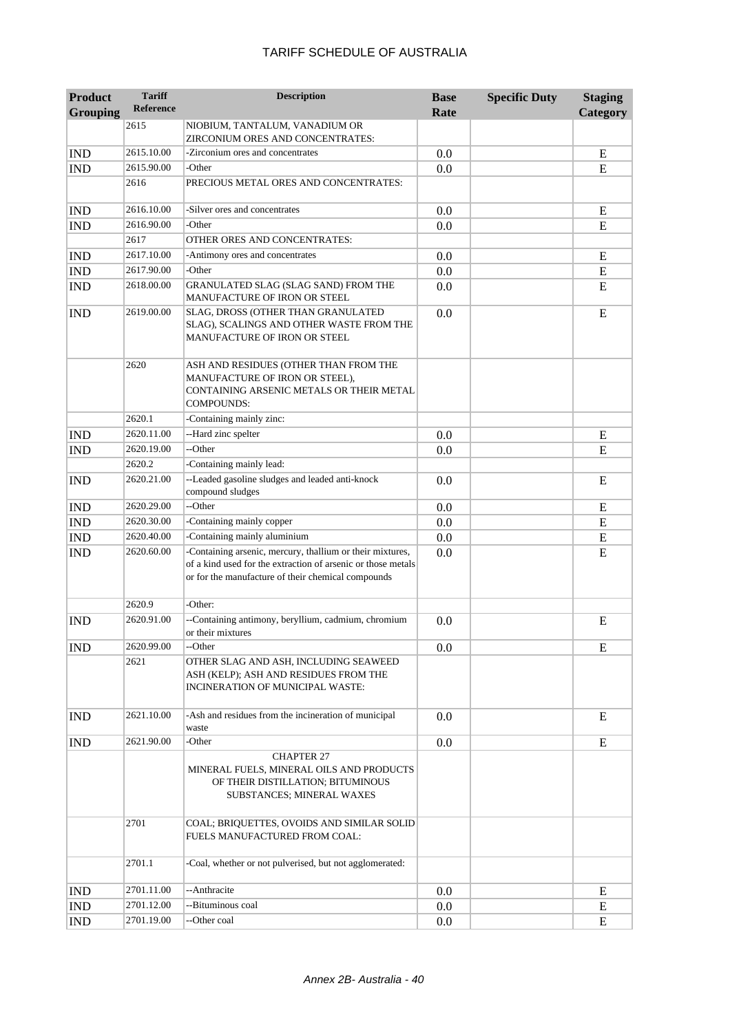| <b>Product</b><br><b>Grouping</b> | <b>Tariff</b><br><b>Reference</b> | <b>Description</b>                                                                                                                                                              | <b>Base</b><br>Rate | <b>Specific Duty</b> | <b>Staging</b><br>Category |
|-----------------------------------|-----------------------------------|---------------------------------------------------------------------------------------------------------------------------------------------------------------------------------|---------------------|----------------------|----------------------------|
|                                   | 2615                              | NIOBIUM, TANTALUM, VANADIUM OR<br>ZIRCONIUM ORES AND CONCENTRATES:                                                                                                              |                     |                      |                            |
| <b>IND</b>                        | 2615.10.00                        | -Zirconium ores and concentrates                                                                                                                                                | 0.0                 |                      | E                          |
| <b>IND</b>                        | 2615.90.00                        | -Other                                                                                                                                                                          | 0.0                 |                      | ${\bf E}$                  |
|                                   | 2616                              | PRECIOUS METAL ORES AND CONCENTRATES:                                                                                                                                           |                     |                      |                            |
| <b>IND</b>                        | 2616.10.00                        | -Silver ores and concentrates                                                                                                                                                   | 0.0                 |                      | E                          |
| <b>IND</b>                        | 2616.90.00                        | -Other                                                                                                                                                                          | 0.0                 |                      | E                          |
|                                   | 2617                              | OTHER ORES AND CONCENTRATES:                                                                                                                                                    |                     |                      |                            |
| <b>IND</b>                        | 2617.10.00                        | -Antimony ores and concentrates                                                                                                                                                 | 0.0                 |                      | E                          |
| <b>IND</b>                        | 2617.90.00                        | -Other                                                                                                                                                                          | 0.0                 |                      | ${\bf E}$                  |
| <b>IND</b>                        | 2618.00.00                        | GRANULATED SLAG (SLAG SAND) FROM THE<br>MANUFACTURE OF IRON OR STEEL                                                                                                            | 0.0                 |                      | E                          |
| <b>IND</b>                        | 2619.00.00                        | SLAG, DROSS (OTHER THAN GRANULATED<br>SLAG), SCALINGS AND OTHER WASTE FROM THE<br>MANUFACTURE OF IRON OR STEEL                                                                  | 0.0                 |                      | E                          |
|                                   | 2620                              | ASH AND RESIDUES (OTHER THAN FROM THE<br>MANUFACTURE OF IRON OR STEEL),<br>CONTAINING ARSENIC METALS OR THEIR METAL<br><b>COMPOUNDS:</b>                                        |                     |                      |                            |
|                                   | 2620.1                            | -Containing mainly zinc:                                                                                                                                                        |                     |                      |                            |
| <b>IND</b>                        | 2620.11.00                        | --Hard zinc spelter                                                                                                                                                             | 0.0                 |                      | E                          |
| <b>IND</b>                        | 2620.19.00                        | --Other                                                                                                                                                                         | 0.0                 |                      | E                          |
|                                   | 2620.2                            | -Containing mainly lead:                                                                                                                                                        |                     |                      |                            |
| <b>IND</b>                        | 2620.21.00                        | --Leaded gasoline sludges and leaded anti-knock<br>compound sludges                                                                                                             | 0.0                 |                      | E                          |
| <b>IND</b>                        | 2620.29.00                        | --Other                                                                                                                                                                         | 0.0                 |                      | E                          |
| <b>IND</b>                        | 2620.30.00                        | -Containing mainly copper                                                                                                                                                       | 0.0                 |                      | E                          |
| <b>IND</b>                        | 2620.40.00                        | -Containing mainly aluminium                                                                                                                                                    | 0.0                 |                      | E                          |
| <b>IND</b>                        | 2620.60.00                        | -Containing arsenic, mercury, thallium or their mixtures,<br>of a kind used for the extraction of arsenic or those metals<br>or for the manufacture of their chemical compounds | 0.0                 |                      | E                          |
|                                   | 2620.9                            | -Other:                                                                                                                                                                         |                     |                      |                            |
| <b>IND</b>                        | 2620.91.00                        | --Containing antimony, beryllium, cadmium, chromium<br>or their mixtures                                                                                                        | 0.0                 |                      | E                          |
| <b>IND</b>                        | 2620.99.00                        | --Other                                                                                                                                                                         | 0.0                 |                      | E                          |
|                                   | 2621                              | OTHER SLAG AND ASH, INCLUDING SEAWEED<br>ASH (KELP); ASH AND RESIDUES FROM THE<br>INCINERATION OF MUNICIPAL WASTE:                                                              |                     |                      |                            |
| <b>IND</b>                        | 2621.10.00                        | -Ash and residues from the incineration of municipal<br>waste                                                                                                                   | 0.0                 |                      | E                          |
| <b>IND</b>                        | 2621.90.00                        | -Other                                                                                                                                                                          | 0.0                 |                      | E                          |
|                                   |                                   | <b>CHAPTER 27</b><br>MINERAL FUELS, MINERAL OILS AND PRODUCTS<br>OF THEIR DISTILLATION; BITUMINOUS<br>SUBSTANCES; MINERAL WAXES                                                 |                     |                      |                            |
|                                   | 2701                              | COAL; BRIQUETTES, OVOIDS AND SIMILAR SOLID<br>FUELS MANUFACTURED FROM COAL:                                                                                                     |                     |                      |                            |
|                                   | 2701.1                            | -Coal, whether or not pulverised, but not agglomerated:                                                                                                                         |                     |                      |                            |
| <b>IND</b>                        | 2701.11.00                        | --Anthracite                                                                                                                                                                    | 0.0                 |                      | E                          |
| <b>IND</b>                        | 2701.12.00                        | --Bituminous coal                                                                                                                                                               | 0.0                 |                      | E                          |
| <b>IND</b>                        | 2701.19.00                        | --Other coal                                                                                                                                                                    | 0.0                 |                      | E                          |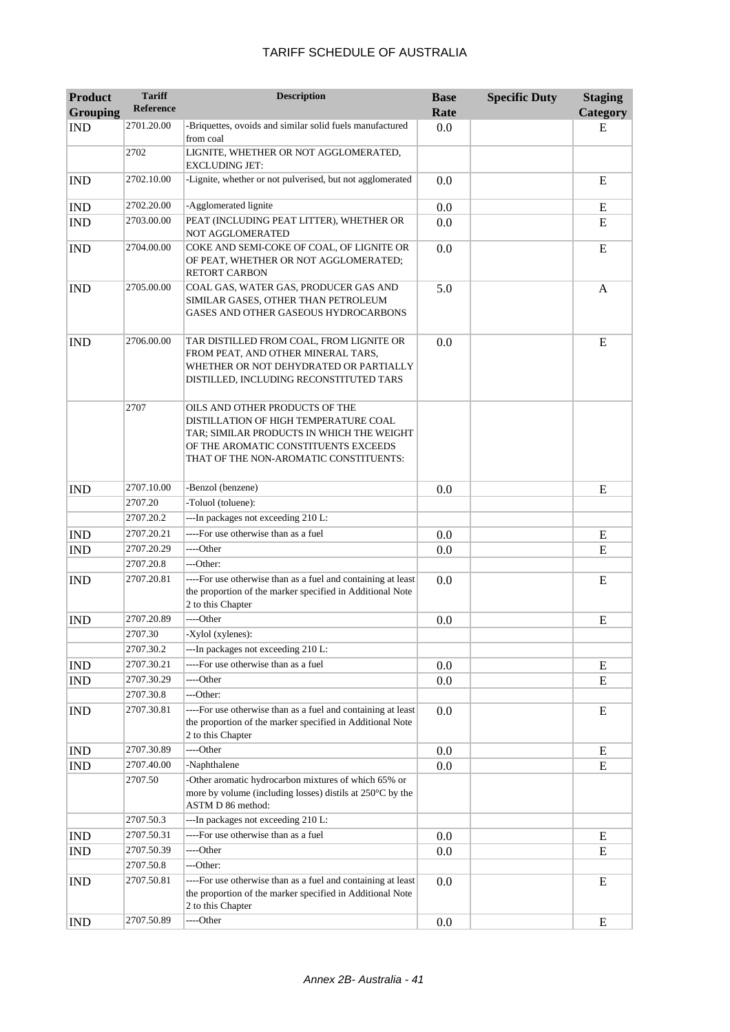| <b>Product</b><br><b>Grouping</b> | <b>Tariff</b><br><b>Reference</b> | <b>Description</b>                                                                                                                                                                                     | <b>Base</b><br>Rate | <b>Specific Duty</b> | <b>Staging</b><br>Category |
|-----------------------------------|-----------------------------------|--------------------------------------------------------------------------------------------------------------------------------------------------------------------------------------------------------|---------------------|----------------------|----------------------------|
| <b>IND</b>                        | 2701.20.00                        | -Briquettes, ovoids and similar solid fuels manufactured<br>from coal                                                                                                                                  | 0.0                 |                      | E                          |
|                                   | 2702                              | LIGNITE, WHETHER OR NOT AGGLOMERATED,<br><b>EXCLUDING JET:</b>                                                                                                                                         |                     |                      |                            |
| <b>IND</b>                        | 2702.10.00                        | -Lignite, whether or not pulverised, but not agglomerated                                                                                                                                              | 0.0                 |                      | E                          |
| <b>IND</b>                        | 2702.20.00                        | -Agglomerated lignite                                                                                                                                                                                  | 0.0                 |                      | E                          |
| <b>IND</b>                        | 2703.00.00                        | PEAT (INCLUDING PEAT LITTER), WHETHER OR<br>NOT AGGLOMERATED                                                                                                                                           | 0.0                 |                      | E                          |
| <b>IND</b>                        | 2704.00.00                        | COKE AND SEMI-COKE OF COAL, OF LIGNITE OR<br>OF PEAT, WHETHER OR NOT AGGLOMERATED;<br><b>RETORT CARBON</b>                                                                                             | 0.0                 |                      | E                          |
| <b>IND</b>                        | 2705.00.00                        | COAL GAS, WATER GAS, PRODUCER GAS AND<br>SIMILAR GASES, OTHER THAN PETROLEUM<br>GASES AND OTHER GASEOUS HYDROCARBONS                                                                                   | 5.0                 |                      | A                          |
| <b>IND</b>                        | 2706.00.00                        | TAR DISTILLED FROM COAL, FROM LIGNITE OR<br>FROM PEAT, AND OTHER MINERAL TARS,<br>WHETHER OR NOT DEHYDRATED OR PARTIALLY<br>DISTILLED, INCLUDING RECONSTITUTED TARS                                    | 0.0                 |                      | E                          |
|                                   | 2707                              | OILS AND OTHER PRODUCTS OF THE<br>DISTILLATION OF HIGH TEMPERATURE COAL<br>TAR; SIMILAR PRODUCTS IN WHICH THE WEIGHT<br>OF THE AROMATIC CONSTITUENTS EXCEEDS<br>THAT OF THE NON-AROMATIC CONSTITUENTS: |                     |                      |                            |
| <b>IND</b>                        | 2707.10.00                        | -Benzol (benzene)                                                                                                                                                                                      | 0.0                 |                      | E                          |
|                                   | 2707.20                           | -Toluol (toluene):                                                                                                                                                                                     |                     |                      |                            |
|                                   | 2707.20.2                         | ---In packages not exceeding 210 L:                                                                                                                                                                    |                     |                      |                            |
| <b>IND</b>                        | 2707.20.21                        | ----For use otherwise than as a fuel                                                                                                                                                                   | 0.0                 |                      | ${\bf E}$                  |
| <b>IND</b>                        | 2707.20.29                        | ----Other                                                                                                                                                                                              | 0.0                 |                      | E                          |
|                                   | 2707.20.8                         | ---Other:                                                                                                                                                                                              |                     |                      |                            |
| <b>IND</b>                        | 2707.20.81                        | ----For use otherwise than as a fuel and containing at least<br>the proportion of the marker specified in Additional Note<br>2 to this Chapter                                                         | 0.0                 |                      | E                          |
| <b>IND</b>                        | 2707.20.89                        | ----Other                                                                                                                                                                                              | 0.0                 |                      | E                          |
|                                   | 2707.30                           | -Xylol (xylenes):                                                                                                                                                                                      |                     |                      |                            |
|                                   | 2707.30.2                         | ---In packages not exceeding 210 L:                                                                                                                                                                    |                     |                      |                            |
| <b>IND</b>                        | 2707.30.21                        | ----For use otherwise than as a fuel                                                                                                                                                                   | 0.0                 |                      | Ε                          |
| <b>IND</b>                        | 2707.30.29                        | ----Other                                                                                                                                                                                              | 0.0                 |                      | E                          |
|                                   | 2707.30.8                         | ---Other:                                                                                                                                                                                              |                     |                      |                            |
| <b>IND</b>                        | 2707.30.81                        | ----For use otherwise than as a fuel and containing at least<br>the proportion of the marker specified in Additional Note<br>2 to this Chapter                                                         | 0.0                 |                      | ${\bf E}$                  |
| <b>IND</b>                        | 2707.30.89                        | ----Other                                                                                                                                                                                              | 0.0                 |                      | E                          |
| <b>IND</b>                        | 2707.40.00                        | -Naphthalene                                                                                                                                                                                           | 0.0                 |                      | ${\bf E}$                  |
|                                   | 2707.50                           | -Other aromatic hydrocarbon mixtures of which 65% or<br>more by volume (including losses) distils at 250°C by the<br>ASTM D 86 method:                                                                 |                     |                      |                            |
|                                   | 2707.50.3                         | ---In packages not exceeding 210 L:                                                                                                                                                                    |                     |                      |                            |
| <b>IND</b>                        | 2707.50.31                        | ----For use otherwise than as a fuel                                                                                                                                                                   | 0.0                 |                      | E                          |
| <b>IND</b>                        | 2707.50.39                        | ----Other                                                                                                                                                                                              | 0.0                 |                      | E                          |
|                                   | 2707.50.8                         | ---Other:                                                                                                                                                                                              |                     |                      |                            |
| <b>IND</b>                        | 2707.50.81                        | ----For use otherwise than as a fuel and containing at least<br>the proportion of the marker specified in Additional Note<br>2 to this Chapter                                                         | 0.0                 |                      | E                          |
| <b>IND</b>                        | 2707.50.89                        | ----Other                                                                                                                                                                                              | 0.0                 |                      | E                          |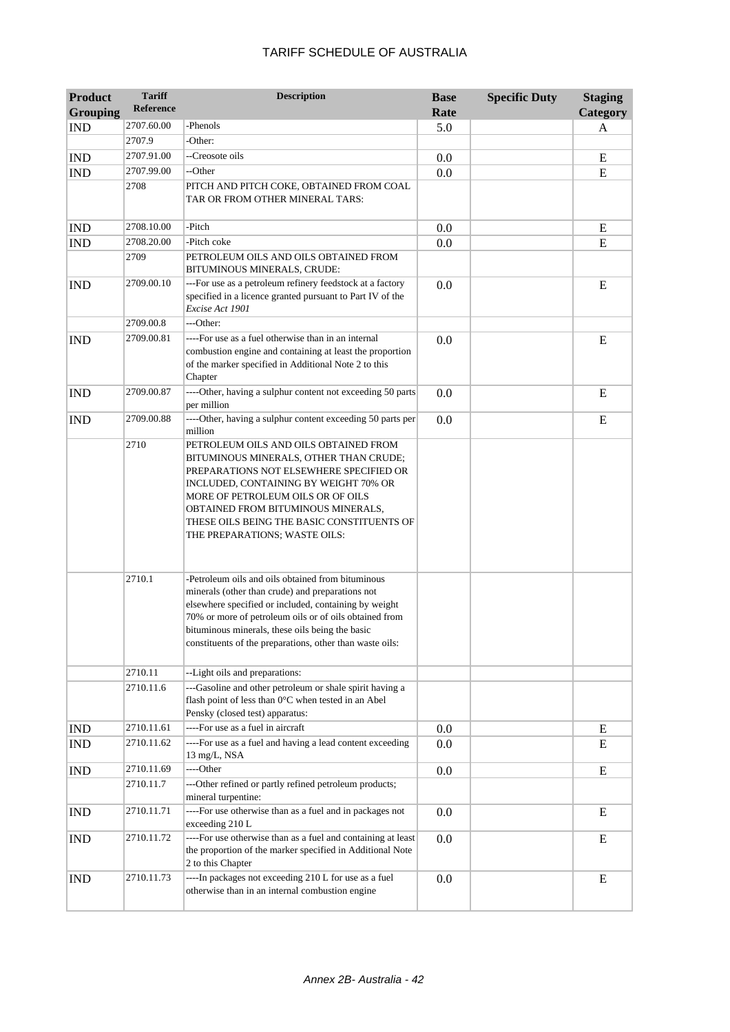| <b>Product</b>  | <b>Tariff</b><br><b>Reference</b> | <b>Description</b>                                                                                                                                                                                                                                                                                                                      | <b>Base</b> | <b>Specific Duty</b> | <b>Staging</b> |
|-----------------|-----------------------------------|-----------------------------------------------------------------------------------------------------------------------------------------------------------------------------------------------------------------------------------------------------------------------------------------------------------------------------------------|-------------|----------------------|----------------|
| <b>Grouping</b> |                                   |                                                                                                                                                                                                                                                                                                                                         | Rate        |                      | Category       |
| <b>IND</b>      | 2707.60.00                        | -Phenols                                                                                                                                                                                                                                                                                                                                | 5.0         |                      | A              |
|                 | 2707.9                            | -Other:                                                                                                                                                                                                                                                                                                                                 |             |                      |                |
| <b>IND</b>      | 2707.91.00                        | --Creosote oils                                                                                                                                                                                                                                                                                                                         | 0.0         |                      | E              |
| <b>IND</b>      | 2707.99.00                        | --Other                                                                                                                                                                                                                                                                                                                                 | 0.0         |                      | E              |
|                 | 2708                              | PITCH AND PITCH COKE, OBTAINED FROM COAL<br>TAR OR FROM OTHER MINERAL TARS:                                                                                                                                                                                                                                                             |             |                      |                |
| <b>IND</b>      | 2708.10.00                        | -Pitch                                                                                                                                                                                                                                                                                                                                  | 0.0         |                      | $\mathbf E$    |
| <b>IND</b>      | 2708.20.00                        | -Pitch coke                                                                                                                                                                                                                                                                                                                             | 0.0         |                      | E              |
|                 | 2709                              | PETROLEUM OILS AND OILS OBTAINED FROM<br>BITUMINOUS MINERALS, CRUDE:                                                                                                                                                                                                                                                                    |             |                      |                |
| <b>IND</b>      | 2709.00.10                        | ---For use as a petroleum refinery feedstock at a factory<br>specified in a licence granted pursuant to Part IV of the<br>Excise Act 1901                                                                                                                                                                                               | 0.0         |                      | E              |
|                 | 2709.00.8                         | ---Other:                                                                                                                                                                                                                                                                                                                               |             |                      |                |
| <b>IND</b>      | 2709.00.81                        | ----For use as a fuel otherwise than in an internal<br>combustion engine and containing at least the proportion<br>of the marker specified in Additional Note 2 to this<br>Chapter                                                                                                                                                      | 0.0         |                      | E              |
| <b>IND</b>      | 2709.00.87                        | ----Other, having a sulphur content not exceeding 50 parts<br>per million                                                                                                                                                                                                                                                               | 0.0         |                      | E              |
| <b>IND</b>      | 2709.00.88                        | ----Other, having a sulphur content exceeding 50 parts per<br>million                                                                                                                                                                                                                                                                   | 0.0         |                      | E              |
|                 | 2710                              | PETROLEUM OILS AND OILS OBTAINED FROM<br>BITUMINOUS MINERALS, OTHER THAN CRUDE;<br>PREPARATIONS NOT ELSEWHERE SPECIFIED OR<br>INCLUDED, CONTAINING BY WEIGHT 70% OR<br>MORE OF PETROLEUM OILS OR OF OILS<br>OBTAINED FROM BITUMINOUS MINERALS,<br>THESE OILS BEING THE BASIC CONSTITUENTS OF<br>THE PREPARATIONS; WASTE OILS:           |             |                      |                |
|                 | 2710.1                            | -Petroleum oils and oils obtained from bituminous<br>minerals (other than crude) and preparations not<br>elsewhere specified or included, containing by weight<br>70% or more of petroleum oils or of oils obtained from<br>bituminous minerals, these oils being the basic<br>constituents of the preparations, other than waste oils: |             |                      |                |
|                 | 2710.11                           | --Light oils and preparations:                                                                                                                                                                                                                                                                                                          |             |                      |                |
|                 | 2710.11.6                         | ---Gasoline and other petroleum or shale spirit having a<br>flash point of less than 0°C when tested in an Abel<br>Pensky (closed test) apparatus:                                                                                                                                                                                      |             |                      |                |
| <b>IND</b>      | 2710.11.61                        | ----For use as a fuel in aircraft                                                                                                                                                                                                                                                                                                       | 0.0         |                      | E              |
| IND             | 2710.11.62                        | ----For use as a fuel and having a lead content exceeding<br>13 mg/L, NSA                                                                                                                                                                                                                                                               | 0.0         |                      | E              |
| <b>IND</b>      | 2710.11.69                        | ---Other                                                                                                                                                                                                                                                                                                                                | 0.0         |                      | ${\bf E}$      |
|                 | 2710.11.7                         | ---Other refined or partly refined petroleum products;<br>mineral turpentine:                                                                                                                                                                                                                                                           |             |                      |                |
| <b>IND</b>      | 2710.11.71                        | ----For use otherwise than as a fuel and in packages not<br>exceeding 210 L                                                                                                                                                                                                                                                             | 0.0         |                      | E              |
| <b>IND</b>      | 2710.11.72                        | ----For use otherwise than as a fuel and containing at least<br>the proportion of the marker specified in Additional Note<br>2 to this Chapter                                                                                                                                                                                          | 0.0         |                      | E              |
| <b>IND</b>      | 2710.11.73                        | ----In packages not exceeding 210 L for use as a fuel<br>otherwise than in an internal combustion engine                                                                                                                                                                                                                                | 0.0         |                      | E              |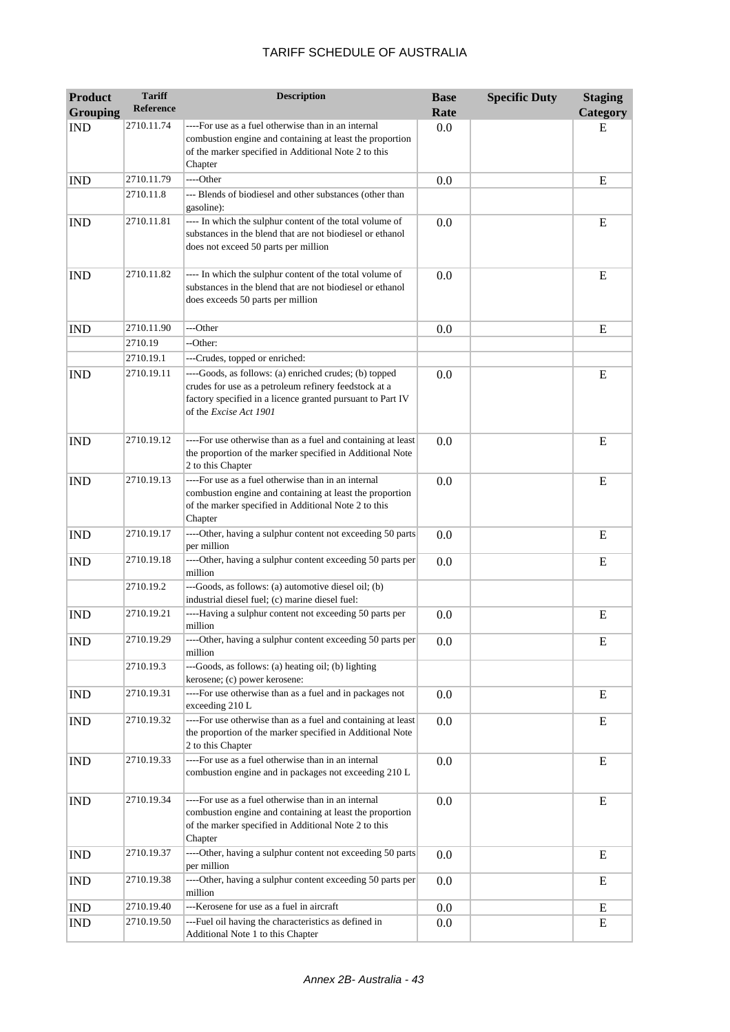| <b>Product</b><br><b>Grouping</b> | <b>Tariff</b><br><b>Reference</b> | <b>Description</b>                                                                                                                                                                                      | <b>Base</b><br>Rate | <b>Specific Duty</b> | <b>Staging</b><br>Category |
|-----------------------------------|-----------------------------------|---------------------------------------------------------------------------------------------------------------------------------------------------------------------------------------------------------|---------------------|----------------------|----------------------------|
| <b>IND</b>                        | 2710.11.74                        | ----For use as a fuel otherwise than in an internal<br>combustion engine and containing at least the proportion<br>of the marker specified in Additional Note 2 to this<br>Chapter                      | 0.0                 |                      | Е                          |
| <b>IND</b>                        | 2710.11.79                        | ----Other                                                                                                                                                                                               | 0.0                 |                      | E                          |
|                                   | 2710.11.8                         | --- Blends of biodiesel and other substances (other than<br>gasoline):                                                                                                                                  |                     |                      |                            |
| <b>IND</b>                        | 2710.11.81                        | ---- In which the sulphur content of the total volume of<br>substances in the blend that are not biodiesel or ethanol<br>does not exceed 50 parts per million                                           | 0.0                 |                      | E                          |
| <b>IND</b>                        | 2710.11.82                        | ---- In which the sulphur content of the total volume of<br>substances in the blend that are not biodiesel or ethanol<br>does exceeds 50 parts per million                                              | 0.0                 |                      | E                          |
| <b>IND</b>                        | 2710.11.90                        | ---Other                                                                                                                                                                                                | 0.0                 |                      | E                          |
|                                   | 2710.19                           | --Other:                                                                                                                                                                                                |                     |                      |                            |
|                                   | 2710.19.1                         | ---Crudes, topped or enriched:                                                                                                                                                                          |                     |                      |                            |
| <b>IND</b>                        | 2710.19.11                        | ----Goods, as follows: (a) enriched crudes; (b) topped<br>crudes for use as a petroleum refinery feedstock at a<br>factory specified in a licence granted pursuant to Part IV<br>of the Excise Act 1901 | 0.0                 |                      | E                          |
| <b>IND</b>                        | 2710.19.12                        | ----For use otherwise than as a fuel and containing at least<br>the proportion of the marker specified in Additional Note<br>2 to this Chapter                                                          | 0.0                 |                      | E                          |
| <b>IND</b>                        | 2710.19.13                        | ----For use as a fuel otherwise than in an internal<br>combustion engine and containing at least the proportion<br>of the marker specified in Additional Note 2 to this<br>Chapter                      | 0.0                 |                      | E                          |
| <b>IND</b>                        | 2710.19.17                        | ----Other, having a sulphur content not exceeding 50 parts<br>per million                                                                                                                               | 0.0                 |                      | E                          |
| <b>IND</b>                        | 2710.19.18                        | ----Other, having a sulphur content exceeding 50 parts per<br>million                                                                                                                                   | 0.0                 |                      | E                          |
|                                   | 2710.19.2                         | ---Goods, as follows: (a) automotive diesel oil; (b)<br>industrial diesel fuel; (c) marine diesel fuel:                                                                                                 |                     |                      |                            |
| <b>IND</b>                        | 2710.19.21                        | ----Having a sulphur content not exceeding 50 parts per<br>million                                                                                                                                      | 0.0                 |                      | E                          |
| <b>IND</b>                        | 2710.19.29                        | ----Other, having a sulphur content exceeding 50 parts per<br>million                                                                                                                                   | 0.0                 |                      | Е                          |
|                                   | 2710.19.3                         | ---Goods, as follows: (a) heating oil; (b) lighting<br>kerosene; (c) power kerosene:                                                                                                                    |                     |                      |                            |
| <b>IND</b>                        | 2710.19.31                        | ----For use otherwise than as a fuel and in packages not<br>exceeding 210 L                                                                                                                             | 0.0                 |                      | E                          |
| <b>IND</b>                        | 2710.19.32                        | ----For use otherwise than as a fuel and containing at least<br>the proportion of the marker specified in Additional Note<br>2 to this Chapter                                                          | 0.0                 |                      | E                          |
| <b>IND</b>                        | 2710.19.33                        | ----For use as a fuel otherwise than in an internal<br>combustion engine and in packages not exceeding 210 L                                                                                            | 0.0                 |                      | E                          |
| <b>IND</b>                        | 2710.19.34                        | ----For use as a fuel otherwise than in an internal<br>combustion engine and containing at least the proportion<br>of the marker specified in Additional Note 2 to this<br>Chapter                      | 0.0                 |                      | ${\bf E}$                  |
| <b>IND</b>                        | 2710.19.37                        | ----Other, having a sulphur content not exceeding 50 parts<br>per million                                                                                                                               | 0.0                 |                      | E                          |
| <b>IND</b>                        | 2710.19.38                        | ----Other, having a sulphur content exceeding 50 parts per<br>million                                                                                                                                   | 0.0                 |                      | E                          |
| <b>IND</b>                        | 2710.19.40                        | ---Kerosene for use as a fuel in aircraft                                                                                                                                                               | 0.0                 |                      | Ε                          |
| <b>IND</b>                        | 2710.19.50                        | ---Fuel oil having the characteristics as defined in<br>Additional Note 1 to this Chapter                                                                                                               | 0.0                 |                      | E                          |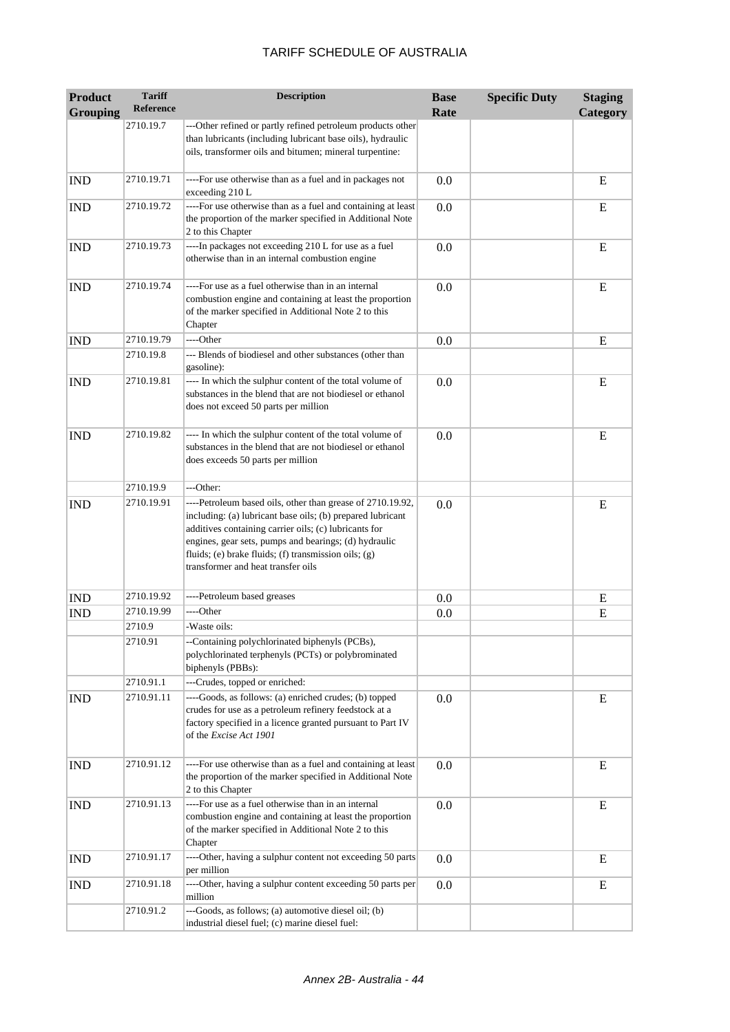| <b>Product</b><br><b>Grouping</b> | <b>Tariff</b><br><b>Reference</b> | <b>Description</b>                                                                                                                                                                                                                                                                                                                       | <b>Base</b><br>Rate | <b>Specific Duty</b> | <b>Staging</b><br>Category |
|-----------------------------------|-----------------------------------|------------------------------------------------------------------------------------------------------------------------------------------------------------------------------------------------------------------------------------------------------------------------------------------------------------------------------------------|---------------------|----------------------|----------------------------|
|                                   | 2710.19.7                         | ---Other refined or partly refined petroleum products other<br>than lubricants (including lubricant base oils), hydraulic<br>oils, transformer oils and bitumen; mineral turpentine:                                                                                                                                                     |                     |                      |                            |
| <b>IND</b>                        | 2710.19.71                        | ----For use otherwise than as a fuel and in packages not<br>exceeding 210 L                                                                                                                                                                                                                                                              | 0.0                 |                      | E                          |
| <b>IND</b>                        | 2710.19.72                        | ----For use otherwise than as a fuel and containing at least<br>the proportion of the marker specified in Additional Note<br>2 to this Chapter                                                                                                                                                                                           | 0.0                 |                      | E                          |
| <b>IND</b>                        | 2710.19.73                        | ----In packages not exceeding 210 L for use as a fuel<br>otherwise than in an internal combustion engine                                                                                                                                                                                                                                 | 0.0                 |                      | E                          |
| <b>IND</b>                        | 2710.19.74                        | ----For use as a fuel otherwise than in an internal<br>combustion engine and containing at least the proportion<br>of the marker specified in Additional Note 2 to this<br>Chapter                                                                                                                                                       | 0.0                 |                      | E                          |
| <b>IND</b>                        | 2710.19.79                        | ----Other                                                                                                                                                                                                                                                                                                                                | 0.0                 |                      | E                          |
|                                   | 2710.19.8                         | --- Blends of biodiesel and other substances (other than<br>gasoline):                                                                                                                                                                                                                                                                   |                     |                      |                            |
| <b>IND</b>                        | 2710.19.81                        | ---- In which the sulphur content of the total volume of<br>substances in the blend that are not biodiesel or ethanol<br>does not exceed 50 parts per million                                                                                                                                                                            | 0.0                 |                      | E                          |
| <b>IND</b>                        | 2710.19.82                        | ---- In which the sulphur content of the total volume of<br>substances in the blend that are not biodiesel or ethanol<br>does exceeds 50 parts per million                                                                                                                                                                               | 0.0                 |                      | E                          |
|                                   | 2710.19.9                         | ---Other:                                                                                                                                                                                                                                                                                                                                |                     |                      |                            |
| <b>IND</b>                        | 2710.19.91                        | ----Petroleum based oils, other than grease of 2710.19.92,<br>including: (a) lubricant base oils; (b) prepared lubricant<br>additives containing carrier oils; (c) lubricants for<br>engines, gear sets, pumps and bearings; (d) hydraulic<br>fluids; (e) brake fluids; (f) transmission oils; (g)<br>transformer and heat transfer oils | 0.0                 |                      | E                          |
| <b>IND</b>                        | 2710.19.92                        | ----Petroleum based greases                                                                                                                                                                                                                                                                                                              | 0.0                 |                      | E                          |
| <b>IND</b>                        | 2710.19.99                        | ----Other                                                                                                                                                                                                                                                                                                                                | 0.0                 |                      | E                          |
|                                   | 2710.9                            | -Waste oils:                                                                                                                                                                                                                                                                                                                             |                     |                      |                            |
|                                   | 2710.91                           | --Containing polychlorinated biphenyls (PCBs),<br>polychlorinated terphenyls (PCTs) or polybrominated<br>biphenyls (PBBs):                                                                                                                                                                                                               |                     |                      |                            |
|                                   | 2710.91.1                         | ---Crudes, topped or enriched:                                                                                                                                                                                                                                                                                                           |                     |                      |                            |
| <b>IND</b>                        | 2710.91.11                        | ----Goods, as follows: (a) enriched crudes; (b) topped<br>crudes for use as a petroleum refinery feedstock at a<br>factory specified in a licence granted pursuant to Part IV<br>of the Excise Act 1901                                                                                                                                  | 0.0                 |                      | E                          |
| <b>IND</b>                        | 2710.91.12                        | ----For use otherwise than as a fuel and containing at least<br>the proportion of the marker specified in Additional Note<br>2 to this Chapter                                                                                                                                                                                           | 0.0                 |                      | E                          |
| <b>IND</b>                        | 2710.91.13                        | ----For use as a fuel otherwise than in an internal<br>combustion engine and containing at least the proportion<br>of the marker specified in Additional Note 2 to this<br>Chapter                                                                                                                                                       | 0.0                 |                      | E                          |
| <b>IND</b>                        | 2710.91.17                        | ----Other, having a sulphur content not exceeding 50 parts<br>per million                                                                                                                                                                                                                                                                | 0.0                 |                      | E                          |
| <b>IND</b>                        | 2710.91.18                        | ----Other, having a sulphur content exceeding 50 parts per<br>million                                                                                                                                                                                                                                                                    | 0.0                 |                      | Ε                          |
|                                   | 2710.91.2                         | ---Goods, as follows; (a) automotive diesel oil; (b)<br>industrial diesel fuel; (c) marine diesel fuel:                                                                                                                                                                                                                                  |                     |                      |                            |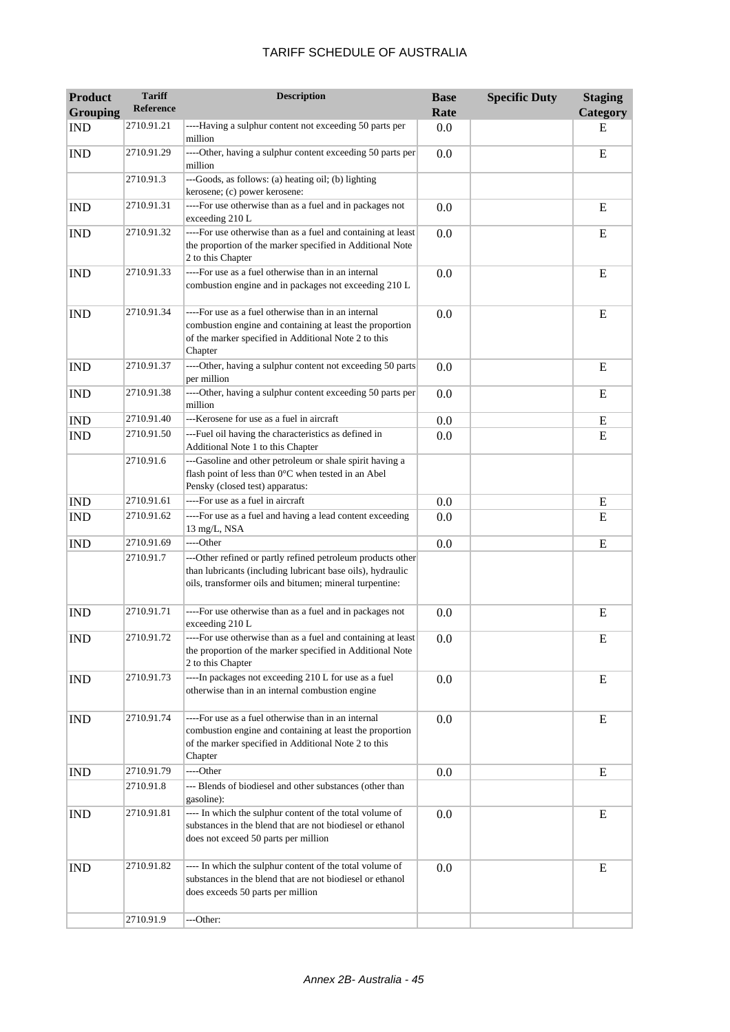| <b>Product</b><br><b>Grouping</b> | <b>Tariff</b><br>Reference | <b>Description</b>                                                                                                                                                                   | <b>Base</b><br>Rate | <b>Specific Duty</b> | <b>Staging</b><br>Category |
|-----------------------------------|----------------------------|--------------------------------------------------------------------------------------------------------------------------------------------------------------------------------------|---------------------|----------------------|----------------------------|
| <b>IND</b>                        | 2710.91.21                 | ----Having a sulphur content not exceeding 50 parts per<br>million                                                                                                                   | 0.0                 |                      | Е                          |
| <b>IND</b>                        | 2710.91.29                 | ----Other, having a sulphur content exceeding 50 parts per<br>million                                                                                                                | 0.0                 |                      | E                          |
|                                   | 2710.91.3                  | ---Goods, as follows: (a) heating oil; (b) lighting<br>kerosene; (c) power kerosene:                                                                                                 |                     |                      |                            |
| <b>IND</b>                        | 2710.91.31                 | ----For use otherwise than as a fuel and in packages not<br>exceeding 210 L                                                                                                          | 0.0                 |                      | E                          |
| <b>IND</b>                        | 2710.91.32                 | ----For use otherwise than as a fuel and containing at least<br>the proportion of the marker specified in Additional Note<br>2 to this Chapter                                       | 0.0                 |                      | E                          |
| <b>IND</b>                        | 2710.91.33                 | ----For use as a fuel otherwise than in an internal<br>combustion engine and in packages not exceeding 210 L                                                                         | 0.0                 |                      | E                          |
| <b>IND</b>                        | 2710.91.34                 | ----For use as a fuel otherwise than in an internal<br>combustion engine and containing at least the proportion<br>of the marker specified in Additional Note 2 to this<br>Chapter   | 0.0                 |                      | E                          |
| <b>IND</b>                        | 2710.91.37                 | ----Other, having a sulphur content not exceeding 50 parts<br>per million                                                                                                            | 0.0                 |                      | E                          |
| <b>IND</b>                        | 2710.91.38                 | ----Other, having a sulphur content exceeding 50 parts per<br>million                                                                                                                | 0.0                 |                      | E                          |
| <b>IND</b>                        | 2710.91.40                 | ---Kerosene for use as a fuel in aircraft                                                                                                                                            | 0.0                 |                      | E                          |
| <b>IND</b>                        | 2710.91.50                 | ---Fuel oil having the characteristics as defined in<br>Additional Note 1 to this Chapter                                                                                            | 0.0                 |                      | E                          |
|                                   | 2710.91.6                  | ---Gasoline and other petroleum or shale spirit having a<br>flash point of less than 0°C when tested in an Abel<br>Pensky (closed test) apparatus:                                   |                     |                      |                            |
| <b>IND</b>                        | 2710.91.61                 | ----For use as a fuel in aircraft                                                                                                                                                    | 0.0                 |                      | E                          |
| <b>IND</b>                        | 2710.91.62                 | ----For use as a fuel and having a lead content exceeding<br>13 mg/L, NSA                                                                                                            | 0.0                 |                      | E                          |
| <b>IND</b>                        | 2710.91.69                 | ----Other                                                                                                                                                                            | 0.0                 |                      | E                          |
|                                   | 2710.91.7                  | ---Other refined or partly refined petroleum products other<br>than lubricants (including lubricant base oils), hydraulic<br>oils, transformer oils and bitumen; mineral turpentine: |                     |                      |                            |
| <b>IND</b>                        | 2710.91.71                 | ----For use otherwise than as a fuel and in packages not<br>exceeding 210 L                                                                                                          | 0.0                 |                      | E                          |
| <b>IND</b>                        | 2710.91.72                 | For use otherwise than as a fuel and containing at least<br>the proportion of the marker specified in Additional Note<br>2 to this Chapter                                           | 0.0                 |                      | E                          |
| <b>IND</b>                        | 2710.91.73                 | ----In packages not exceeding 210 L for use as a fuel<br>otherwise than in an internal combustion engine                                                                             | 0.0                 |                      | E                          |
| <b>IND</b>                        | 2710.91.74                 | ----For use as a fuel otherwise than in an internal<br>combustion engine and containing at least the proportion<br>of the marker specified in Additional Note 2 to this<br>Chapter   | 0.0                 |                      | E                          |
| <b>IND</b>                        | 2710.91.79                 | ----Other                                                                                                                                                                            | 0.0                 |                      | E                          |
|                                   | 2710.91.8                  | --- Blends of biodiesel and other substances (other than<br>gasoline):                                                                                                               |                     |                      |                            |
| <b>IND</b>                        | 2710.91.81                 | ---- In which the sulphur content of the total volume of<br>substances in the blend that are not biodiesel or ethanol<br>does not exceed 50 parts per million                        | 0.0                 |                      | E                          |
| <b>IND</b>                        | 2710.91.82                 | ---- In which the sulphur content of the total volume of<br>substances in the blend that are not biodiesel or ethanol<br>does exceeds 50 parts per million                           | 0.0                 |                      | E                          |
|                                   | 2710.91.9                  | ---Other:                                                                                                                                                                            |                     |                      |                            |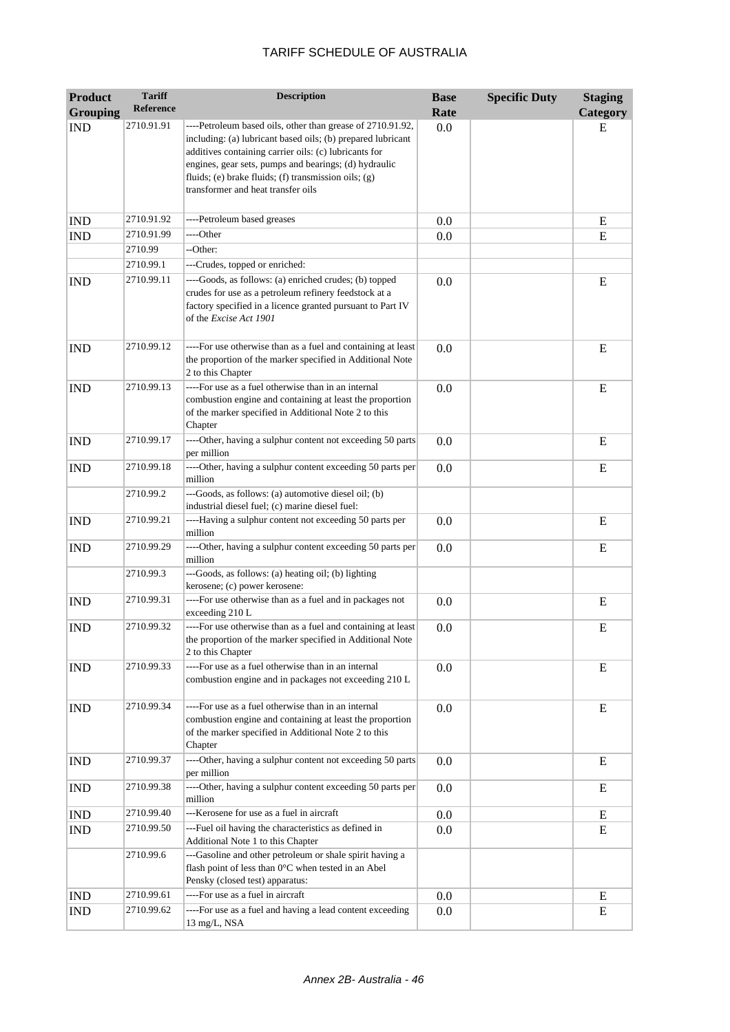| <b>Product</b>              | <b>Tariff</b>    | <b>Description</b>                                                                                                                                                                                                                                                                                                                        | <b>Base</b> | <b>Specific Duty</b> | <b>Staging</b> |
|-----------------------------|------------------|-------------------------------------------------------------------------------------------------------------------------------------------------------------------------------------------------------------------------------------------------------------------------------------------------------------------------------------------|-------------|----------------------|----------------|
| <b>Grouping</b>             | <b>Reference</b> |                                                                                                                                                                                                                                                                                                                                           | Rate        |                      | Category       |
| <b>IND</b>                  | 2710.91.91       | ----Petroleum based oils, other than grease of 2710.91.92,<br>including: (a) lubricant based oils; (b) prepared lubricant<br>additives containing carrier oils: (c) lubricants for<br>engines, gear sets, pumps and bearings; (d) hydraulic<br>fluids; (e) brake fluids; (f) transmission oils; (g)<br>transformer and heat transfer oils | 0.0         |                      | E              |
| <b>IND</b>                  | 2710.91.92       | ----Petroleum based greases                                                                                                                                                                                                                                                                                                               | 0.0         |                      | Ε              |
| <b>IND</b>                  | 2710.91.99       | ----Other                                                                                                                                                                                                                                                                                                                                 | 0.0         |                      | ${\bf E}$      |
|                             | 2710.99          | --Other:                                                                                                                                                                                                                                                                                                                                  |             |                      |                |
|                             | 2710.99.1        | ---Crudes, topped or enriched:                                                                                                                                                                                                                                                                                                            |             |                      |                |
| <b>IND</b>                  | 2710.99.11       | ----Goods, as follows: (a) enriched crudes; (b) topped<br>crudes for use as a petroleum refinery feedstock at a<br>factory specified in a licence granted pursuant to Part IV<br>of the <i>Excise Act 1901</i>                                                                                                                            | 0.0         |                      | E              |
| <b>IND</b>                  | 2710.99.12       | ----For use otherwise than as a fuel and containing at least<br>the proportion of the marker specified in Additional Note<br>2 to this Chapter                                                                                                                                                                                            | 0.0         |                      | E              |
| <b>IND</b>                  | 2710.99.13       | ----For use as a fuel otherwise than in an internal<br>combustion engine and containing at least the proportion<br>of the marker specified in Additional Note 2 to this<br>Chapter                                                                                                                                                        | 0.0         |                      | E              |
| <b>IND</b>                  | 2710.99.17       | ----Other, having a sulphur content not exceeding 50 parts<br>per million                                                                                                                                                                                                                                                                 | 0.0         |                      | E              |
| <b>IND</b>                  | 2710.99.18       | ----Other, having a sulphur content exceeding 50 parts per<br>million                                                                                                                                                                                                                                                                     | 0.0         |                      | E              |
|                             | 2710.99.2        | ---Goods, as follows: (a) automotive diesel oil; (b)<br>industrial diesel fuel; (c) marine diesel fuel:                                                                                                                                                                                                                                   |             |                      |                |
| <b>IND</b>                  | 2710.99.21       | ----Having a sulphur content not exceeding 50 parts per<br>million                                                                                                                                                                                                                                                                        | 0.0         |                      | E              |
| <b>IND</b>                  | 2710.99.29       | ----Other, having a sulphur content exceeding 50 parts per<br>million                                                                                                                                                                                                                                                                     | 0.0         |                      | E              |
|                             | 2710.99.3        | ---Goods, as follows: (a) heating oil; (b) lighting<br>kerosene; (c) power kerosene:                                                                                                                                                                                                                                                      |             |                      |                |
| <b>IND</b>                  | 2710.99.31       | ----For use otherwise than as a fuel and in packages not<br>exceeding 210 L                                                                                                                                                                                                                                                               | 0.0         |                      | E              |
| <b>IND</b>                  | 2710.99.32       | ----For use otherwise than as a fuel and containing at least<br>the proportion of the marker specified in Additional Note<br>2 to this Chapter                                                                                                                                                                                            | 0.0         |                      | Ε              |
| <b>IND</b>                  | 2710.99.33       | ----For use as a fuel otherwise than in an internal<br>combustion engine and in packages not exceeding 210 L                                                                                                                                                                                                                              | 0.0         |                      | E              |
| <b>IND</b>                  | 2710.99.34       | ----For use as a fuel otherwise than in an internal<br>combustion engine and containing at least the proportion<br>of the marker specified in Additional Note 2 to this<br>Chapter                                                                                                                                                        | 0.0         |                      | E              |
| <b>IND</b>                  | 2710.99.37       | ----Other, having a sulphur content not exceeding 50 parts<br>per million                                                                                                                                                                                                                                                                 | 0.0         |                      | E              |
| <b>IND</b>                  | 2710.99.38       | ----Other, having a sulphur content exceeding 50 parts per<br>million                                                                                                                                                                                                                                                                     | 0.0         |                      | E              |
| $\mathop{\rm IND}\nolimits$ | 2710.99.40       | ---Kerosene for use as a fuel in aircraft                                                                                                                                                                                                                                                                                                 | 0.0         |                      | E              |
| <b>IND</b>                  | 2710.99.50       | ---Fuel oil having the characteristics as defined in<br>Additional Note 1 to this Chapter                                                                                                                                                                                                                                                 | 0.0         |                      | E              |
|                             | 2710.99.6        | ---Gasoline and other petroleum or shale spirit having a<br>flash point of less than 0°C when tested in an Abel<br>Pensky (closed test) apparatus:                                                                                                                                                                                        |             |                      |                |
| <b>IND</b>                  | 2710.99.61       | ----For use as a fuel in aircraft                                                                                                                                                                                                                                                                                                         | 0.0         |                      | E              |
| <b>IND</b>                  | 2710.99.62       | ----For use as a fuel and having a lead content exceeding<br>13 mg/L, NSA                                                                                                                                                                                                                                                                 | 0.0         |                      | E              |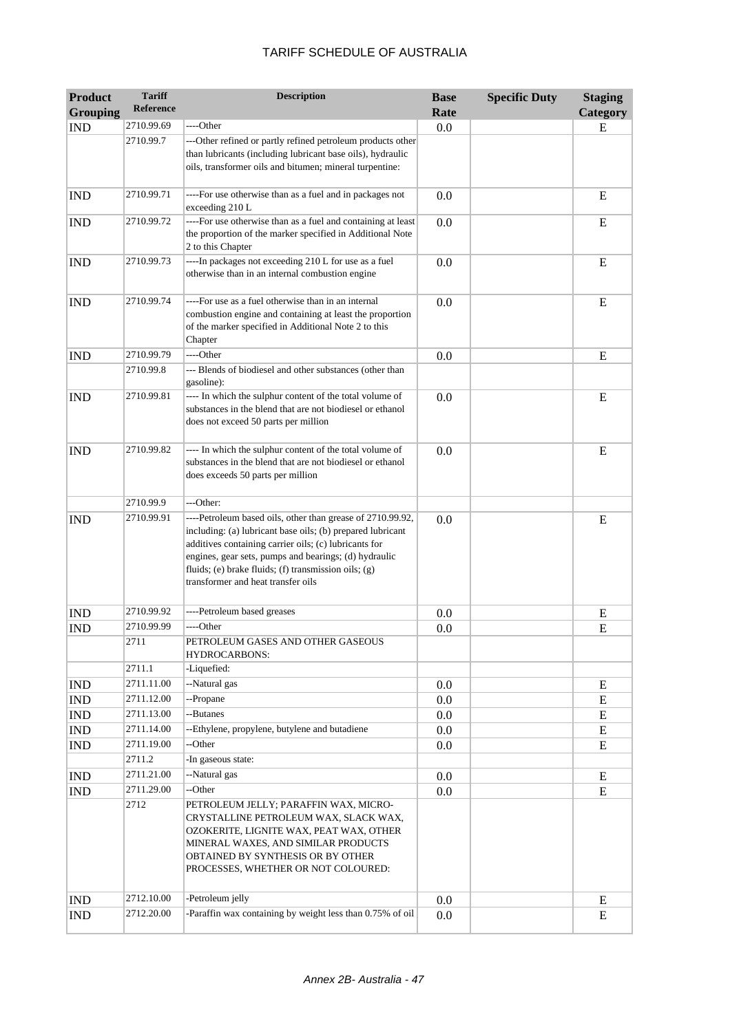| <b>Product</b><br><b>Grouping</b> | <b>Tariff</b><br>Reference | <b>Description</b>                                                                                                                                                                                                                                                                                                                       | <b>Base</b><br>Rate | <b>Specific Duty</b> | <b>Staging</b><br>Category |
|-----------------------------------|----------------------------|------------------------------------------------------------------------------------------------------------------------------------------------------------------------------------------------------------------------------------------------------------------------------------------------------------------------------------------|---------------------|----------------------|----------------------------|
| <b>IND</b>                        | 2710.99.69                 | ----Other                                                                                                                                                                                                                                                                                                                                | 0.0                 |                      | E                          |
|                                   | 2710.99.7                  | ---Other refined or partly refined petroleum products other<br>than lubricants (including lubricant base oils), hydraulic<br>oils, transformer oils and bitumen; mineral turpentine:                                                                                                                                                     |                     |                      |                            |
| <b>IND</b>                        | 2710.99.71                 | ----For use otherwise than as a fuel and in packages not<br>exceeding 210 L                                                                                                                                                                                                                                                              | 0.0                 |                      | E                          |
| <b>IND</b>                        | 2710.99.72                 | ----For use otherwise than as a fuel and containing at least<br>the proportion of the marker specified in Additional Note<br>2 to this Chapter                                                                                                                                                                                           | 0.0                 |                      | E                          |
| <b>IND</b>                        | 2710.99.73                 | ----In packages not exceeding 210 L for use as a fuel<br>otherwise than in an internal combustion engine                                                                                                                                                                                                                                 | 0.0                 |                      | E                          |
| <b>IND</b>                        | 2710.99.74                 | ----For use as a fuel otherwise than in an internal<br>combustion engine and containing at least the proportion<br>of the marker specified in Additional Note 2 to this<br>Chapter                                                                                                                                                       | 0.0                 |                      | E                          |
| <b>IND</b>                        | 2710.99.79                 | ----Other                                                                                                                                                                                                                                                                                                                                | 0.0                 |                      | E                          |
|                                   | 2710.99.8                  | --- Blends of biodiesel and other substances (other than<br>gasoline):                                                                                                                                                                                                                                                                   |                     |                      |                            |
| <b>IND</b>                        | 2710.99.81                 | ---- In which the sulphur content of the total volume of<br>substances in the blend that are not biodiesel or ethanol<br>does not exceed 50 parts per million                                                                                                                                                                            | 0.0                 |                      | E                          |
| <b>IND</b>                        | 2710.99.82                 | ---- In which the sulphur content of the total volume of<br>substances in the blend that are not biodiesel or ethanol<br>does exceeds 50 parts per million                                                                                                                                                                               | 0.0                 |                      | E                          |
|                                   | 2710.99.9                  | ---Other:                                                                                                                                                                                                                                                                                                                                |                     |                      |                            |
| <b>IND</b>                        | 2710.99.91                 | ----Petroleum based oils, other than grease of 2710.99.92,<br>including: (a) lubricant base oils; (b) prepared lubricant<br>additives containing carrier oils; (c) lubricants for<br>engines, gear sets, pumps and bearings; (d) hydraulic<br>fluids; (e) brake fluids; (f) transmission oils; (g)<br>transformer and heat transfer oils | 0.0                 |                      | E                          |
| <b>IND</b>                        | 2710.99.92                 | ----Petroleum based greases                                                                                                                                                                                                                                                                                                              | 0.0                 |                      | Ε                          |
| <b>IND</b>                        | 2710.99.99                 | ----Other                                                                                                                                                                                                                                                                                                                                | 0.0                 |                      | E                          |
|                                   | 2711                       | PETROLEUM GASES AND OTHER GASEOUS<br>HYDROCARBONS:                                                                                                                                                                                                                                                                                       |                     |                      |                            |
|                                   | 2711.1                     | -Liquefied:                                                                                                                                                                                                                                                                                                                              |                     |                      |                            |
| <b>IND</b>                        | 2711.11.00                 | --Natural gas                                                                                                                                                                                                                                                                                                                            | 0.0                 |                      | E                          |
| <b>IND</b>                        | 2711.12.00                 | --Propane                                                                                                                                                                                                                                                                                                                                | 0.0                 |                      | E                          |
| <b>IND</b>                        | 2711.13.00                 | --Butanes                                                                                                                                                                                                                                                                                                                                | 0.0                 |                      | E                          |
| <b>IND</b>                        | 2711.14.00                 | --Ethylene, propylene, butylene and butadiene                                                                                                                                                                                                                                                                                            | 0.0                 |                      | E                          |
| <b>IND</b>                        | 2711.19.00<br>2711.2       | --Other<br>-In gaseous state:                                                                                                                                                                                                                                                                                                            | 0.0                 |                      | E                          |
| <b>IND</b>                        | 2711.21.00                 | --Natural gas                                                                                                                                                                                                                                                                                                                            | 0.0                 |                      | E                          |
| IND                               | 2711.29.00                 | --Other                                                                                                                                                                                                                                                                                                                                  | 0.0                 |                      | E                          |
|                                   | 2712                       | PETROLEUM JELLY; PARAFFIN WAX, MICRO-<br>CRYSTALLINE PETROLEUM WAX, SLACK WAX,<br>OZOKERITE, LIGNITE WAX, PEAT WAX, OTHER<br>MINERAL WAXES, AND SIMILAR PRODUCTS<br>OBTAINED BY SYNTHESIS OR BY OTHER<br>PROCESSES, WHETHER OR NOT COLOURED:                                                                                             |                     |                      |                            |
| <b>IND</b>                        | 2712.10.00                 | -Petroleum jelly                                                                                                                                                                                                                                                                                                                         | 0.0                 |                      | E                          |
| <b>IND</b>                        | 2712.20.00                 | -Paraffin wax containing by weight less than 0.75% of oil                                                                                                                                                                                                                                                                                | 0.0                 |                      | E                          |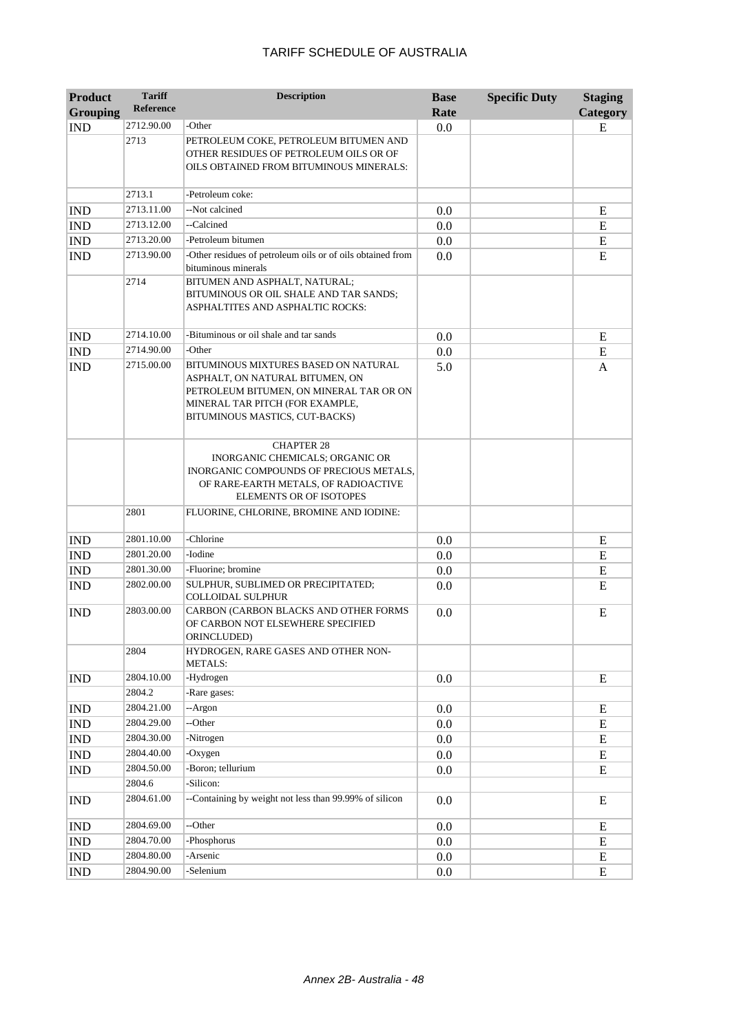| <b>Product</b>              | <b>Tariff</b>    | <b>Description</b>                                                                                                                                                                      | <b>Base</b> | <b>Specific Duty</b> | <b>Staging</b> |
|-----------------------------|------------------|-----------------------------------------------------------------------------------------------------------------------------------------------------------------------------------------|-------------|----------------------|----------------|
| <b>Grouping</b>             | <b>Reference</b> |                                                                                                                                                                                         | Rate        |                      | Category       |
| <b>IND</b>                  | 2712.90.00       | -Other                                                                                                                                                                                  | 0.0         |                      | E              |
|                             | 2713             | PETROLEUM COKE, PETROLEUM BITUMEN AND<br>OTHER RESIDUES OF PETROLEUM OILS OR OF<br>OILS OBTAINED FROM BITUMINOUS MINERALS:                                                              |             |                      |                |
|                             | 2713.1           | -Petroleum coke:                                                                                                                                                                        |             |                      |                |
| <b>IND</b>                  | 2713.11.00       | --Not calcined                                                                                                                                                                          | 0.0         |                      | E              |
| <b>IND</b>                  | 2713.12.00       | --Calcined                                                                                                                                                                              | 0.0         |                      | E              |
| <b>IND</b>                  | 2713.20.00       | -Petroleum bitumen                                                                                                                                                                      | 0.0         |                      | E              |
| <b>IND</b>                  | 2713.90.00       | -Other residues of petroleum oils or of oils obtained from<br>bituminous minerals                                                                                                       | 0.0         |                      | E              |
|                             | 2714             | BITUMEN AND ASPHALT, NATURAL;<br>BITUMINOUS OR OIL SHALE AND TAR SANDS;<br>ASPHALTITES AND ASPHALTIC ROCKS:                                                                             |             |                      |                |
| <b>IND</b>                  | 2714.10.00       | -Bituminous or oil shale and tar sands                                                                                                                                                  | 0.0         |                      | E              |
| <b>IND</b>                  | 2714.90.00       | -Other                                                                                                                                                                                  | 0.0         |                      | E              |
| <b>IND</b>                  | 2715.00.00       | BITUMINOUS MIXTURES BASED ON NATURAL<br>ASPHALT, ON NATURAL BITUMEN, ON<br>PETROLEUM BITUMEN, ON MINERAL TAR OR ON<br>MINERAL TAR PITCH (FOR EXAMPLE,<br>BITUMINOUS MASTICS, CUT-BACKS) | 5.0         |                      | A              |
|                             |                  | <b>CHAPTER 28</b><br>INORGANIC CHEMICALS; ORGANIC OR<br>INORGANIC COMPOUNDS OF PRECIOUS METALS,<br>OF RARE-EARTH METALS, OF RADIOACTIVE<br><b>ELEMENTS OR OF ISOTOPES</b>               |             |                      |                |
|                             | 2801             | FLUORINE, CHLORINE, BROMINE AND IODINE:                                                                                                                                                 |             |                      |                |
| <b>IND</b>                  | 2801.10.00       | -Chlorine                                                                                                                                                                               | 0.0         |                      | E              |
| <b>IND</b>                  | 2801.20.00       | -Iodine                                                                                                                                                                                 | 0.0         |                      | E              |
| <b>IND</b>                  | 2801.30.00       | -Fluorine; bromine                                                                                                                                                                      | 0.0         |                      | E              |
| <b>IND</b>                  | 2802.00.00       | SULPHUR, SUBLIMED OR PRECIPITATED;<br><b>COLLOIDAL SULPHUR</b>                                                                                                                          | 0.0         |                      | E              |
| <b>IND</b>                  | 2803.00.00       | CARBON (CARBON BLACKS AND OTHER FORMS<br>OF CARBON NOT ELSEWHERE SPECIFIED<br>ORINCLUDED)                                                                                               | 0.0         |                      | E              |
|                             | 2804             | HYDROGEN, RARE GASES AND OTHER NON-<br><b>METALS:</b>                                                                                                                                   |             |                      |                |
| <b>IND</b>                  | 2804.10.00       | -Hydrogen                                                                                                                                                                               | 0.0         |                      | E              |
|                             | 2804.2           | -Rare gases:                                                                                                                                                                            |             |                      |                |
| <b>IND</b>                  | 2804.21.00       | --Argon                                                                                                                                                                                 | 0.0         |                      | Ε              |
| <b>IND</b>                  | 2804.29.00       | --Other                                                                                                                                                                                 | 0.0         |                      | E              |
| $\mathop{\rm IND}\nolimits$ | 2804.30.00       | -Nitrogen                                                                                                                                                                               | 0.0         |                      | E              |
| <b>IND</b>                  | 2804.40.00       | -Oxygen                                                                                                                                                                                 | 0.0         |                      | E              |
| $\mathop{\rm IND}\nolimits$ | 2804.50.00       | -Boron; tellurium                                                                                                                                                                       | 0.0         |                      | E              |
|                             | 2804.6           | -Silicon:                                                                                                                                                                               |             |                      |                |
| <b>IND</b>                  | 2804.61.00       | --Containing by weight not less than 99.99% of silicon                                                                                                                                  | 0.0         |                      | E              |
| <b>IND</b>                  | 2804.69.00       | --Other                                                                                                                                                                                 | 0.0         |                      | E              |
| <b>IND</b>                  | 2804.70.00       | -Phosphorus                                                                                                                                                                             | 0.0         |                      | E              |
| IND                         | 2804.80.00       | -Arsenic                                                                                                                                                                                | 0.0         |                      | E              |
| $\mathop{\rm IND}\nolimits$ | 2804.90.00       | -Selenium                                                                                                                                                                               | 0.0         |                      | ${\bf E}$      |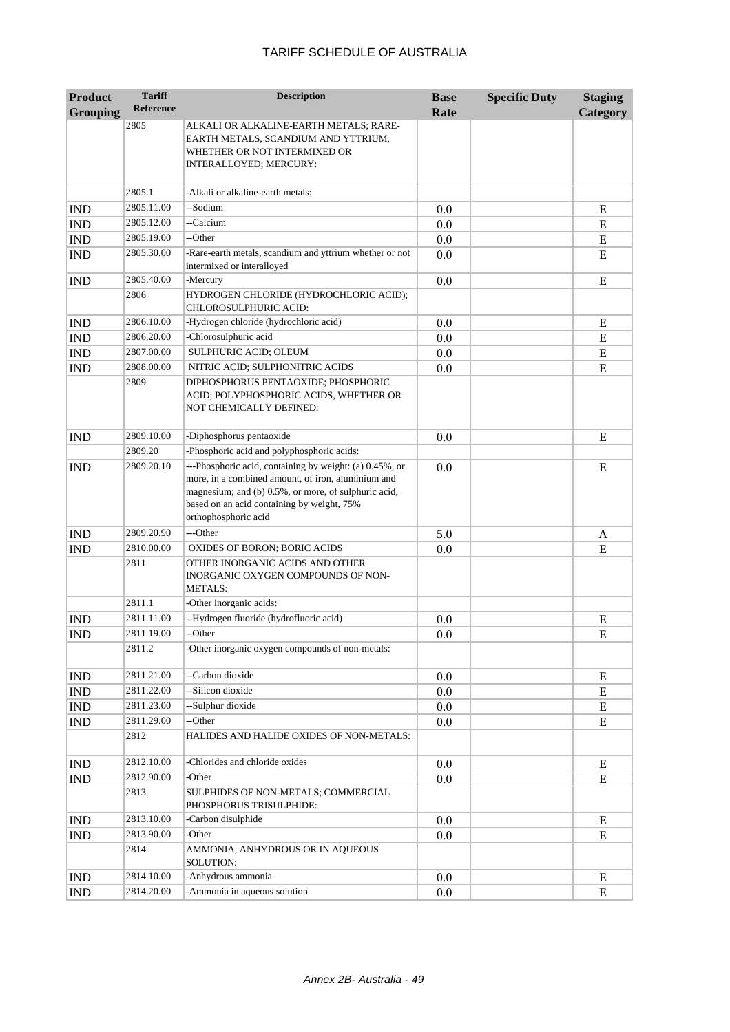| <b>Product</b>  | <b>Tariff</b>    | <b>Description</b>                                                                                                                                                                                                                          | <b>Base</b> | <b>Specific Duty</b> | <b>Staging</b> |
|-----------------|------------------|---------------------------------------------------------------------------------------------------------------------------------------------------------------------------------------------------------------------------------------------|-------------|----------------------|----------------|
| <b>Grouping</b> | <b>Reference</b> |                                                                                                                                                                                                                                             | Rate        |                      | Category       |
|                 | 2805             | ALKALI OR ALKALINE-EARTH METALS; RARE-<br>EARTH METALS, SCANDIUM AND YTTRIUM,<br>WHETHER OR NOT INTERMIXED OR                                                                                                                               |             |                      |                |
|                 |                  | INTERALLOYED; MERCURY:                                                                                                                                                                                                                      |             |                      |                |
|                 | 2805.1           | -Alkali or alkaline-earth metals:                                                                                                                                                                                                           |             |                      |                |
| <b>IND</b>      | 2805.11.00       | --Sodium                                                                                                                                                                                                                                    | 0.0         |                      | Ε              |
| <b>IND</b>      | 2805.12.00       | --Calcium                                                                                                                                                                                                                                   | 0.0         |                      | E              |
| <b>IND</b>      | 2805.19.00       | --Other                                                                                                                                                                                                                                     | 0.0         |                      | E              |
| <b>IND</b>      | 2805.30.00       | -Rare-earth metals, scandium and yttrium whether or not<br>intermixed or interalloyed                                                                                                                                                       | 0.0         |                      | E              |
| <b>IND</b>      | 2805.40.00       | -Mercury                                                                                                                                                                                                                                    | 0.0         |                      | E              |
|                 | 2806             | HYDROGEN CHLORIDE (HYDROCHLORIC ACID);<br>CHLOROSULPHURIC ACID:                                                                                                                                                                             |             |                      |                |
| <b>IND</b>      | 2806.10.00       | -Hydrogen chloride (hydrochloric acid)                                                                                                                                                                                                      | 0.0         |                      | E              |
| <b>IND</b>      | 2806.20.00       | -Chlorosulphuric acid                                                                                                                                                                                                                       | 0.0         |                      | E              |
| <b>IND</b>      | 2807.00.00       | SULPHURIC ACID; OLEUM                                                                                                                                                                                                                       | 0.0         |                      | E              |
| <b>IND</b>      | 2808.00.00       | NITRIC ACID; SULPHONITRIC ACIDS                                                                                                                                                                                                             | 0.0         |                      | E              |
|                 | 2809             | DIPHOSPHORUS PENTAOXIDE: PHOSPHORIC<br>ACID; POLYPHOSPHORIC ACIDS, WHETHER OR<br>NOT CHEMICALLY DEFINED:                                                                                                                                    |             |                      |                |
| <b>IND</b>      | 2809.10.00       | -Diphosphorus pentaoxide                                                                                                                                                                                                                    | $0.0\,$     |                      | E              |
|                 | 2809.20          | -Phosphoric acid and polyphosphoric acids:                                                                                                                                                                                                  |             |                      |                |
| <b>IND</b>      | 2809.20.10       | ---Phosphoric acid, containing by weight: (a) 0.45%, or<br>more, in a combined amount, of iron, aluminium and<br>magnesium; and (b) 0.5%, or more, of sulphuric acid,<br>based on an acid containing by weight, 75%<br>orthophosphoric acid | 0.0         |                      | E              |
| <b>IND</b>      | 2809.20.90       | ---Other                                                                                                                                                                                                                                    | 5.0         |                      | A              |
| <b>IND</b>      | 2810.00.00       | <b>OXIDES OF BORON; BORIC ACIDS</b>                                                                                                                                                                                                         | 0.0         |                      | E              |
|                 | 2811             | OTHER INORGANIC ACIDS AND OTHER<br>INORGANIC OXYGEN COMPOUNDS OF NON-<br><b>METALS:</b>                                                                                                                                                     |             |                      |                |
|                 | 2811.1           | -Other inorganic acids:                                                                                                                                                                                                                     |             |                      |                |
| <b>IND</b>      | 2811.11.00       | --Hydrogen fluoride (hydrofluoric acid)                                                                                                                                                                                                     | 0.0         |                      | E              |
| <b>IND</b>      | 2811.19.00       | --Other                                                                                                                                                                                                                                     | 0.0         |                      | E              |
|                 | 2811.2           | -Other inorganic oxygen compounds of non-metals:                                                                                                                                                                                            |             |                      |                |
| <b>IND</b>      | 2811.21.00       | --Carbon dioxide                                                                                                                                                                                                                            | 0.0         |                      | E              |
| IND             | 2811.22.00       | --Silicon dioxide                                                                                                                                                                                                                           | 0.0         |                      | E              |
| IND             | 2811.23.00       | --Sulphur dioxide                                                                                                                                                                                                                           | 0.0         |                      | E              |
| IND             | 2811.29.00       | --Other                                                                                                                                                                                                                                     | 0.0         |                      | E              |
|                 | 2812             | HALIDES AND HALIDE OXIDES OF NON-METALS:                                                                                                                                                                                                    |             |                      |                |
| <b>IND</b>      | 2812.10.00       | -Chlorides and chloride oxides                                                                                                                                                                                                              | 0.0         |                      | E              |
| <b>IND</b>      | 2812.90.00       | -Other                                                                                                                                                                                                                                      | 0.0         |                      | ${\bf E}$      |
|                 | 2813             | SULPHIDES OF NON-METALS; COMMERCIAL<br>PHOSPHORUS TRISULPHIDE:                                                                                                                                                                              |             |                      |                |
| <b>IND</b>      | 2813.10.00       | -Carbon disulphide                                                                                                                                                                                                                          | 0.0         |                      | E              |
| <b>IND</b>      | 2813.90.00       | -Other                                                                                                                                                                                                                                      | 0.0         |                      | E              |
|                 | 2814             | AMMONIA, ANHYDROUS OR IN AQUEOUS<br>SOLUTION:                                                                                                                                                                                               |             |                      |                |
| <b>IND</b>      | 2814.10.00       | -Anhydrous ammonia                                                                                                                                                                                                                          | 0.0         |                      | E              |
| <b>IND</b>      | 2814.20.00       | -Ammonia in aqueous solution                                                                                                                                                                                                                | 0.0         |                      | ${\bf E}$      |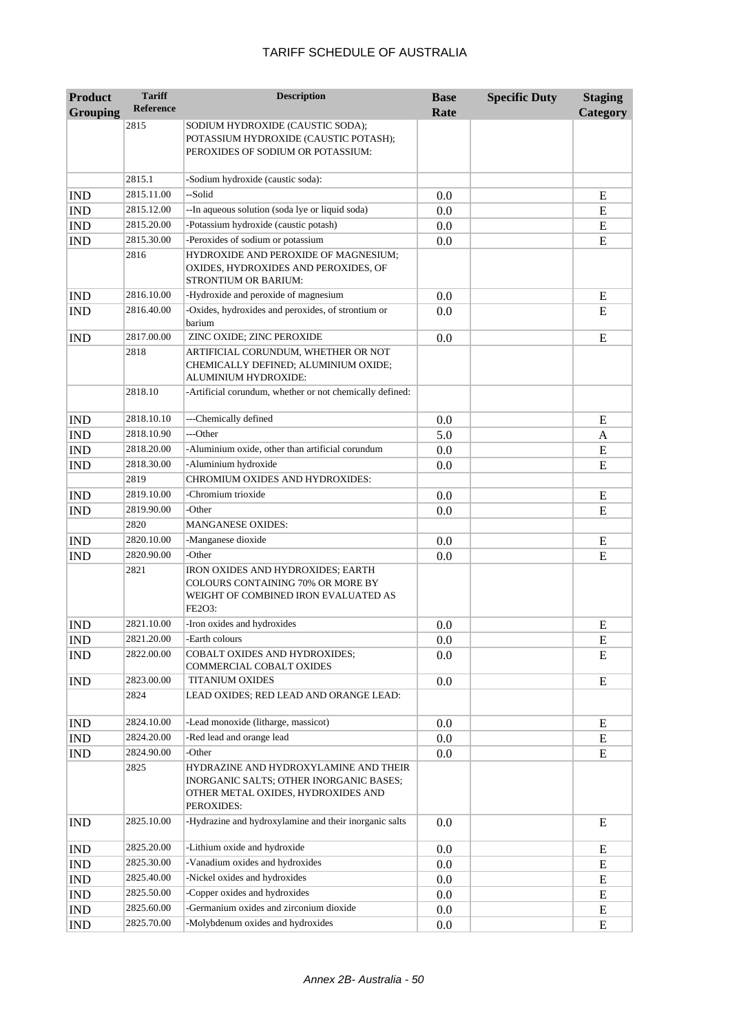| <b>Product</b>              | <b>Tariff</b>    | <b>Description</b>                                                                                                                   | <b>Base</b> | <b>Specific Duty</b> | <b>Staging</b> |
|-----------------------------|------------------|--------------------------------------------------------------------------------------------------------------------------------------|-------------|----------------------|----------------|
| <b>Grouping</b>             | <b>Reference</b> |                                                                                                                                      | Rate        |                      | Category       |
|                             | 2815             | SODIUM HYDROXIDE (CAUSTIC SODA);<br>POTASSIUM HYDROXIDE (CAUSTIC POTASH);<br>PEROXIDES OF SODIUM OR POTASSIUM:                       |             |                      |                |
|                             | 2815.1           | -Sodium hydroxide (caustic soda):                                                                                                    |             |                      |                |
| <b>IND</b>                  | 2815.11.00       | --Solid                                                                                                                              | 0.0         |                      | E              |
| <b>IND</b>                  | 2815.12.00       | --In aqueous solution (soda lye or liquid soda)                                                                                      | 0.0         |                      | E              |
| <b>IND</b>                  | 2815.20.00       | -Potassium hydroxide (caustic potash)                                                                                                | 0.0         |                      | E              |
| <b>IND</b>                  | 2815.30.00       | -Peroxides of sodium or potassium                                                                                                    | 0.0         |                      | E              |
|                             | 2816             | HYDROXIDE AND PEROXIDE OF MAGNESIUM;<br>OXIDES, HYDROXIDES AND PEROXIDES, OF<br><b>STRONTIUM OR BARIUM:</b>                          |             |                      |                |
| <b>IND</b>                  | 2816.10.00       | -Hydroxide and peroxide of magnesium                                                                                                 | 0.0         |                      | E              |
| <b>IND</b>                  | 2816.40.00       | -Oxides, hydroxides and peroxides, of strontium or<br>barium                                                                         | 0.0         |                      | E              |
| <b>IND</b>                  | 2817.00.00       | ZINC OXIDE; ZINC PEROXIDE                                                                                                            | 0.0         |                      | E              |
|                             | 2818             | ARTIFICIAL CORUNDUM, WHETHER OR NOT<br>CHEMICALLY DEFINED; ALUMINIUM OXIDE;<br>ALUMINIUM HYDROXIDE:                                  |             |                      |                |
|                             | 2818.10          | -Artificial corundum, whether or not chemically defined:                                                                             |             |                      |                |
| <b>IND</b>                  | 2818.10.10       | ---Chemically defined                                                                                                                | 0.0         |                      | E              |
| <b>IND</b>                  | 2818.10.90       | ---Other                                                                                                                             | 5.0         |                      | A              |
| <b>IND</b>                  | 2818.20.00       | -Aluminium oxide, other than artificial corundum                                                                                     | 0.0         |                      | E              |
| <b>IND</b>                  | 2818.30.00       | -Aluminium hydroxide                                                                                                                 | 0.0         |                      | E              |
|                             | 2819             | CHROMIUM OXIDES AND HYDROXIDES:                                                                                                      |             |                      |                |
| <b>IND</b>                  | 2819.10.00       | -Chromium trioxide                                                                                                                   | 0.0         |                      | E              |
| <b>IND</b>                  | 2819.90.00       | -Other                                                                                                                               | 0.0         |                      | E              |
|                             | 2820             | <b>MANGANESE OXIDES:</b>                                                                                                             |             |                      |                |
| <b>IND</b>                  | 2820.10.00       | -Manganese dioxide                                                                                                                   | 0.0         |                      | E              |
| <b>IND</b>                  | 2820.90.00       | -Other                                                                                                                               | 0.0         |                      | E              |
|                             | 2821             | <b>IRON OXIDES AND HYDROXIDES; EARTH</b><br>COLOURS CONTAINING 70% OR MORE BY<br>WEIGHT OF COMBINED IRON EVALUATED AS<br>FE2O3:      |             |                      |                |
| <b>IND</b>                  | 2821.10.00       | -Iron oxides and hydroxides                                                                                                          | 0.0         |                      | E              |
| $\mathop{\rm IND}\nolimits$ | 2821.20.00       | -Earth colours                                                                                                                       | $0.0\,$     |                      | ${\bf E}$      |
| <b>IND</b>                  | 2822.00.00       | <b>COBALT OXIDES AND HYDROXIDES;</b><br>COMMERCIAL COBALT OXIDES                                                                     | 0.0         |                      | E              |
| <b>IND</b>                  | 2823.00.00       | <b>TITANIUM OXIDES</b>                                                                                                               | 0.0         |                      | E              |
|                             | 2824             | LEAD OXIDES; RED LEAD AND ORANGE LEAD:                                                                                               |             |                      |                |
| <b>IND</b>                  | 2824.10.00       | -Lead monoxide (litharge, massicot)                                                                                                  | $0.0\,$     |                      | E              |
| IND                         | 2824.20.00       | -Red lead and orange lead                                                                                                            | 0.0         |                      | E              |
| IND                         | 2824.90.00       | -Other                                                                                                                               | $0.0\,$     |                      | E              |
|                             | 2825             | HYDRAZINE AND HYDROXYLAMINE AND THEIR<br>INORGANIC SALTS; OTHER INORGANIC BASES;<br>OTHER METAL OXIDES, HYDROXIDES AND<br>PEROXIDES: |             |                      |                |
| <b>IND</b>                  | 2825.10.00       | -Hydrazine and hydroxylamine and their inorganic salts                                                                               | 0.0         |                      | E              |
| <b>IND</b>                  | 2825.20.00       | -Lithium oxide and hydroxide                                                                                                         | 0.0         |                      | E              |
| IND                         | 2825.30.00       | -Vanadium oxides and hydroxides                                                                                                      | $0.0\,$     |                      | E              |
| <b>IND</b>                  | 2825.40.00       | -Nickel oxides and hydroxides                                                                                                        | $0.0\,$     |                      | E              |
| <b>IND</b>                  | 2825.50.00       | -Copper oxides and hydroxides                                                                                                        | $0.0\,$     |                      | E              |
| $\mathbf{IND}$              | 2825.60.00       | -Germanium oxides and zirconium dioxide                                                                                              | $0.0\,$     |                      | E              |
| IND                         | 2825.70.00       | -Molybdenum oxides and hydroxides                                                                                                    | $0.0\,$     |                      | E              |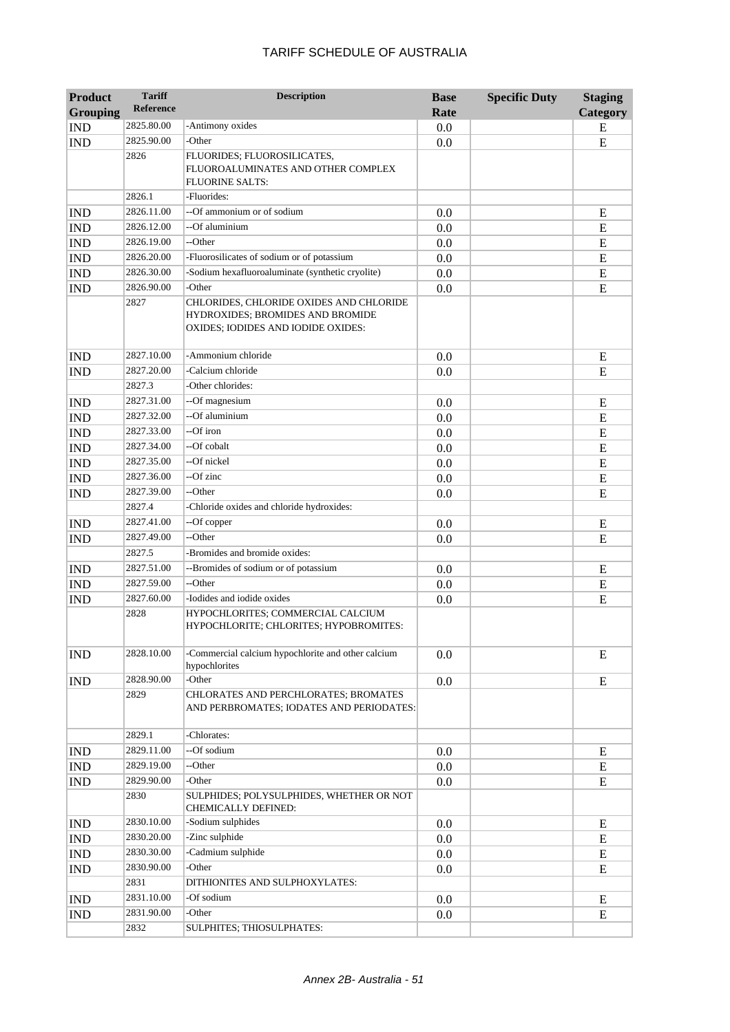| <b>Product</b>              | <b>Tariff</b> | <b>Description</b>                                                                                                | <b>Base</b> | <b>Specific Duty</b> | <b>Staging</b> |
|-----------------------------|---------------|-------------------------------------------------------------------------------------------------------------------|-------------|----------------------|----------------|
| <b>Grouping</b>             | Reference     |                                                                                                                   | Rate        |                      | Category       |
| <b>IND</b>                  | 2825.80.00    | -Antimony oxides                                                                                                  | 0.0         |                      | E              |
| <b>IND</b>                  | 2825.90.00    | -Other                                                                                                            | 0.0         |                      | E              |
|                             | 2826          | FLUORIDES; FLUOROSILICATES,                                                                                       |             |                      |                |
|                             |               | FLUOROALUMINATES AND OTHER COMPLEX                                                                                |             |                      |                |
|                             | 2826.1        | <b>FLUORINE SALTS:</b><br>-Fluorides:                                                                             |             |                      |                |
|                             | 2826.11.00    | --Of ammonium or of sodium                                                                                        |             |                      |                |
| <b>IND</b>                  | 2826.12.00    | --Of aluminium                                                                                                    | 0.0         |                      | E              |
| <b>IND</b>                  | 2826.19.00    | --Other                                                                                                           | 0.0         |                      | ${\bf E}$      |
| <b>IND</b>                  |               | -Fluorosilicates of sodium or of potassium                                                                        | 0.0         |                      | E              |
| <b>IND</b>                  | 2826.20.00    |                                                                                                                   | 0.0         |                      | E              |
| $\mathop{\rm IND}\nolimits$ | 2826.30.00    | -Sodium hexafluoroaluminate (synthetic cryolite)                                                                  | 0.0         |                      | ${\bf E}$      |
| <b>IND</b>                  | 2826.90.00    | -Other                                                                                                            | 0.0         |                      | E              |
|                             | 2827          | CHLORIDES, CHLORIDE OXIDES AND CHLORIDE<br>HYDROXIDES; BROMIDES AND BROMIDE<br>OXIDES; IODIDES AND IODIDE OXIDES: |             |                      |                |
| <b>IND</b>                  | 2827.10.00    | -Ammonium chloride                                                                                                | 0.0         |                      | E              |
| <b>IND</b>                  | 2827.20.00    | -Calcium chloride                                                                                                 | 0.0         |                      | E              |
|                             | 2827.3        | -Other chlorides:                                                                                                 |             |                      |                |
| <b>IND</b>                  | 2827.31.00    | --Of magnesium                                                                                                    | 0.0         |                      | E              |
| $\mathop{\rm IND}\nolimits$ | 2827.32.00    | --Of aluminium                                                                                                    | 0.0         |                      | E              |
| <b>IND</b>                  | 2827.33.00    | --Of iron                                                                                                         | 0.0         |                      | E              |
| <b>IND</b>                  | 2827.34.00    | --Of cobalt                                                                                                       | 0.0         |                      | E              |
| <b>IND</b>                  | 2827.35.00    | --Of nickel                                                                                                       | 0.0         |                      | E              |
| <b>IND</b>                  | 2827.36.00    | --Of zinc                                                                                                         | 0.0         |                      | E              |
| <b>IND</b>                  | 2827.39.00    | --Other                                                                                                           | 0.0         |                      | E              |
|                             | 2827.4        | -Chloride oxides and chloride hydroxides:                                                                         |             |                      |                |
| <b>IND</b>                  | 2827.41.00    | --Of copper                                                                                                       | 0.0         |                      | E              |
| <b>IND</b>                  | 2827.49.00    | --Other                                                                                                           | 0.0         |                      | E              |
|                             | 2827.5        | -Bromides and bromide oxides:                                                                                     |             |                      |                |
| <b>IND</b>                  | 2827.51.00    | --Bromides of sodium or of potassium                                                                              | 0.0         |                      | E              |
| <b>IND</b>                  | 2827.59.00    | --Other                                                                                                           | 0.0         |                      | E              |
| <b>IND</b>                  | 2827.60.00    | -Iodides and iodide oxides                                                                                        | 0.0         |                      | E              |
|                             | 2828          | HYPOCHLORITES; COMMERCIAL CALCIUM<br>HYPOCHLORITE; CHLORITES; HYPOBROMITES:                                       |             |                      |                |
| <b>IND</b>                  | 2828.10.00    | -Commercial calcium hypochlorite and other calcium<br>hypochlorites                                               | 0.0         |                      | E              |
| <b>IND</b>                  | 2828.90.00    | -Other                                                                                                            | 0.0         |                      | E              |
|                             | 2829          | CHLORATES AND PERCHLORATES; BROMATES<br>AND PERBROMATES; IODATES AND PERIODATES:                                  |             |                      |                |
|                             | 2829.1        | -Chlorates:                                                                                                       |             |                      |                |
| <b>IND</b>                  | 2829.11.00    | --Of sodium                                                                                                       | 0.0         |                      | E              |
| <b>IND</b>                  | 2829.19.00    | --Other                                                                                                           | 0.0         |                      | E              |
| <b>IND</b>                  | 2829.90.00    | -Other                                                                                                            | 0.0         |                      | E              |
|                             | 2830          | SULPHIDES; POLYSULPHIDES, WHETHER OR NOT<br><b>CHEMICALLY DEFINED:</b>                                            |             |                      |                |
| <b>IND</b>                  | 2830.10.00    | -Sodium sulphides                                                                                                 | 0.0         |                      | E              |
| <b>IND</b>                  | 2830.20.00    | -Zinc sulphide                                                                                                    | 0.0         |                      | E              |
| <b>IND</b>                  | 2830.30.00    | -Cadmium sulphide                                                                                                 | 0.0         |                      | E              |
| <b>IND</b>                  | 2830.90.00    | -Other                                                                                                            | 0.0         |                      | E              |
|                             | 2831          | DITHIONITES AND SULPHOXYLATES:                                                                                    |             |                      |                |
| <b>IND</b>                  | 2831.10.00    | -Of sodium                                                                                                        | 0.0         |                      | E              |
| <b>IND</b>                  | 2831.90.00    | -Other                                                                                                            | 0.0         |                      | E              |
|                             | 2832          | SULPHITES; THIOSULPHATES:                                                                                         |             |                      |                |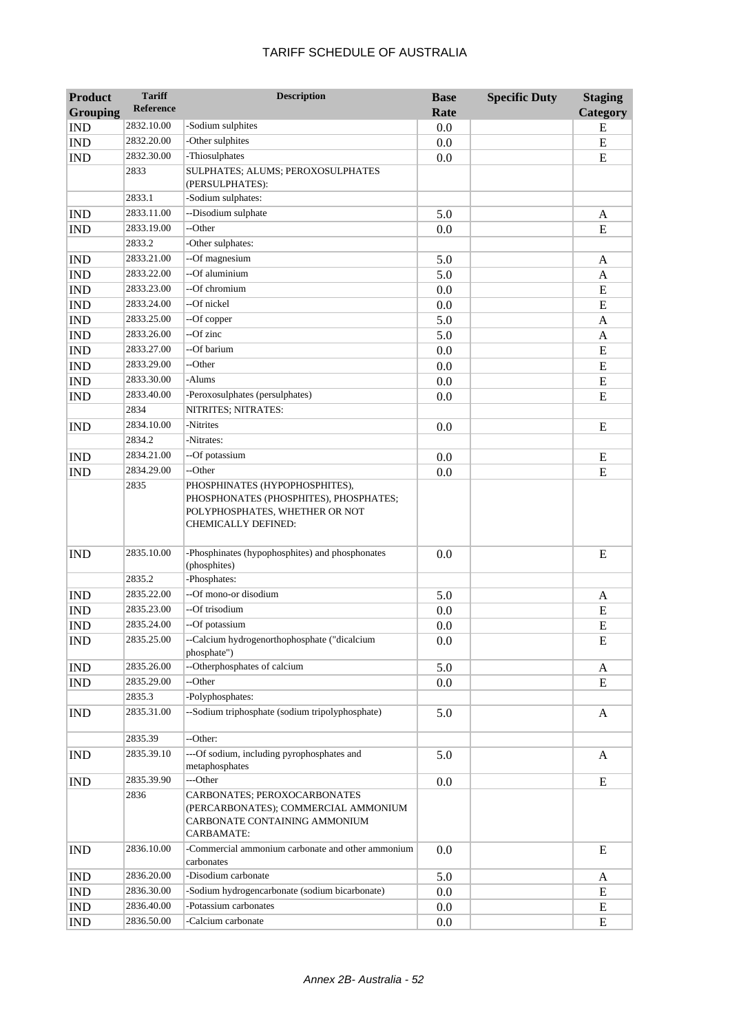| <b>Product</b><br><b>Grouping</b> | <b>Tariff</b><br><b>Reference</b> | <b>Description</b>                                                                                                                | <b>Base</b><br>Rate | <b>Specific Duty</b> | <b>Staging</b> |
|-----------------------------------|-----------------------------------|-----------------------------------------------------------------------------------------------------------------------------------|---------------------|----------------------|----------------|
|                                   | 2832.10.00                        | -Sodium sulphites                                                                                                                 |                     |                      | Category       |
| <b>IND</b>                        | 2832.20.00                        | -Other sulphites                                                                                                                  | 0.0                 |                      | E              |
| <b>IND</b><br><b>IND</b>          | 2832.30.00                        | -Thiosulphates                                                                                                                    | 0.0                 |                      | ${\bf E}$<br>E |
|                                   | 2833                              | SULPHATES; ALUMS; PEROXOSULPHATES                                                                                                 | 0.0                 |                      |                |
|                                   |                                   | (PERSULPHATES):                                                                                                                   |                     |                      |                |
|                                   | 2833.1                            | -Sodium sulphates:                                                                                                                |                     |                      |                |
| <b>IND</b>                        | 2833.11.00                        | --Disodium sulphate                                                                                                               | 5.0                 |                      | A              |
| <b>IND</b>                        | 2833.19.00                        | --Other                                                                                                                           | 0.0                 |                      | E              |
|                                   | 2833.2                            | -Other sulphates:                                                                                                                 |                     |                      |                |
| <b>IND</b>                        | 2833.21.00                        | --Of magnesium                                                                                                                    | 5.0                 |                      | A              |
| <b>IND</b>                        | 2833.22.00                        | --Of aluminium                                                                                                                    | 5.0                 |                      | A              |
| <b>IND</b>                        | 2833.23.00                        | --Of chromium                                                                                                                     | 0.0                 |                      | E              |
| <b>IND</b>                        | 2833.24.00                        | --Of nickel                                                                                                                       | 0.0                 |                      | E              |
| <b>IND</b>                        | 2833.25.00                        | --Of copper                                                                                                                       | 5.0                 |                      | A              |
| <b>IND</b>                        | 2833.26.00                        | $-$ Of zinc                                                                                                                       | 5.0                 |                      | A              |
| <b>IND</b>                        | 2833.27.00                        | --Of barium                                                                                                                       | 0.0                 |                      | E              |
| <b>IND</b>                        | 2833.29.00                        | --Other                                                                                                                           | 0.0                 |                      | E              |
| <b>IND</b>                        | 2833.30.00                        | -Alums                                                                                                                            | 0.0                 |                      | ${\bf E}$      |
| <b>IND</b>                        | 2833.40.00                        | -Peroxosulphates (persulphates)                                                                                                   | 0.0                 |                      | E              |
|                                   | 2834                              | NITRITES; NITRATES:                                                                                                               |                     |                      |                |
| <b>IND</b>                        | 2834.10.00                        | -Nitrites                                                                                                                         | 0.0                 |                      | E              |
|                                   | 2834.2                            | -Nitrates:                                                                                                                        |                     |                      |                |
| <b>IND</b>                        | 2834.21.00                        | --Of potassium                                                                                                                    | 0.0                 |                      | E              |
| <b>IND</b>                        | 2834.29.00                        | --Other                                                                                                                           | 0.0                 |                      | E              |
|                                   | 2835                              | PHOSPHINATES (HYPOPHOSPHITES),<br>PHOSPHONATES (PHOSPHITES), PHOSPHATES;<br>POLYPHOSPHATES, WHETHER OR NOT<br>CHEMICALLY DEFINED: |                     |                      |                |
| <b>IND</b>                        | 2835.10.00                        | -Phosphinates (hypophosphites) and phosphonates<br>(phosphites)                                                                   | 0.0                 |                      | ${\bf E}$      |
|                                   | 2835.2                            | -Phosphates:                                                                                                                      |                     |                      |                |
| <b>IND</b>                        | 2835.22.00                        | --Of mono-or disodium                                                                                                             | 5.0                 |                      | A              |
| <b>IND</b>                        | 2835.23.00                        | --Of trisodium                                                                                                                    | 0.0                 |                      | E              |
| <b>IND</b>                        | 2835.24.00                        | --Of potassium                                                                                                                    | 0.0                 |                      | E              |
| <b>IND</b>                        | 2835.25.00                        | --Calcium hydrogenorthophosphate ("dicalcium<br>phosphate")                                                                       | 0.0                 |                      | $\overline{E}$ |
| <b>IND</b>                        | 2835.26.00                        | --Otherphosphates of calcium                                                                                                      | 5.0                 |                      | A              |
| <b>IND</b>                        | 2835.29.00                        | --Other                                                                                                                           | 0.0                 |                      | E              |
|                                   | 2835.3                            | -Polyphosphates:                                                                                                                  |                     |                      |                |
| <b>IND</b>                        | 2835.31.00                        | --Sodium triphosphate (sodium tripolyphosphate)                                                                                   | 5.0                 |                      | A              |
|                                   | 2835.39                           | --Other:                                                                                                                          |                     |                      |                |
| <b>IND</b>                        | 2835.39.10                        | ---Of sodium, including pyrophosphates and<br>metaphosphates                                                                      | 5.0                 |                      | A              |
| <b>IND</b>                        | 2835.39.90                        | ---Other                                                                                                                          | 0.0                 |                      | ${\bf E}$      |
|                                   | 2836                              | CARBONATES; PEROXOCARBONATES<br>(PERCARBONATES); COMMERCIAL AMMONIUM<br>CARBONATE CONTAINING AMMONIUM<br>CARBAMATE:               |                     |                      |                |
| <b>IND</b>                        | 2836.10.00                        | -Commercial ammonium carbonate and other ammonium<br>carbonates                                                                   | 0.0                 |                      | E              |
| <b>IND</b>                        | 2836.20.00                        | -Disodium carbonate                                                                                                               | 5.0                 |                      | A              |
| <b>IND</b>                        | 2836.30.00                        | -Sodium hydrogencarbonate (sodium bicarbonate)                                                                                    | 0.0                 |                      | E              |
| IND                               | 2836.40.00                        | -Potassium carbonates                                                                                                             | 0.0                 |                      | E              |
| <b>IND</b>                        | 2836.50.00                        | -Calcium carbonate                                                                                                                | 0.0                 |                      | E              |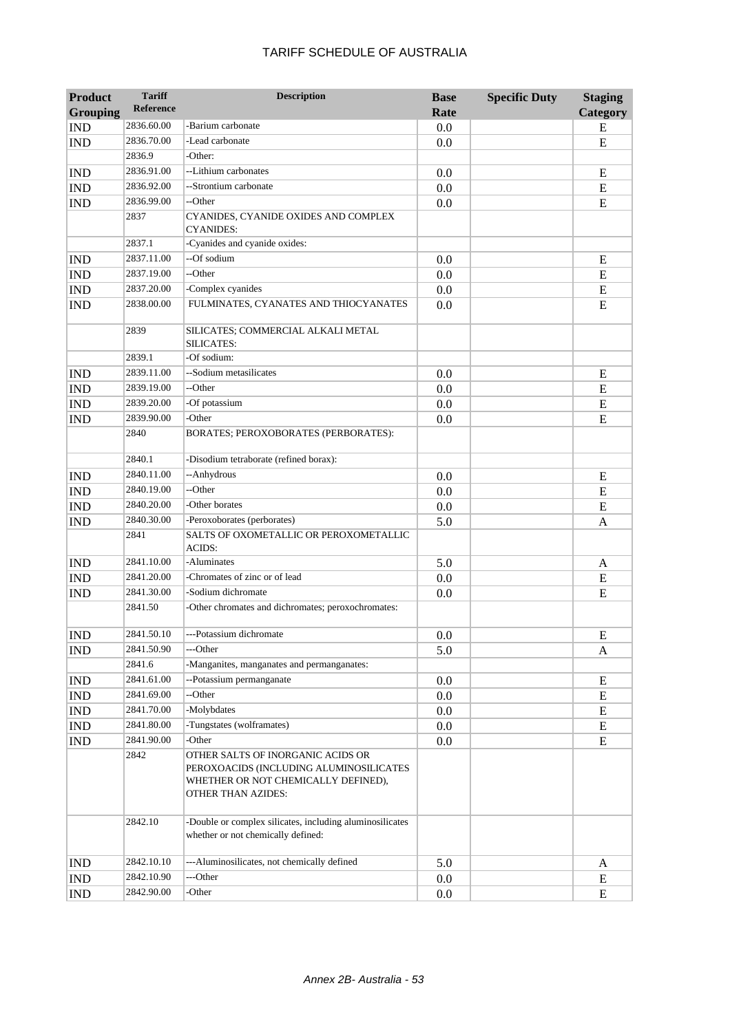| <b>Reference</b><br><b>Grouping</b><br>Category<br>Rate<br>2836.60.00<br>-Barium carbonate<br><b>IND</b><br>0.0<br>E<br>-Lead carbonate<br>2836.70.00<br><b>IND</b><br>0.0<br>E<br>2836.9<br>-Other:<br>--Lithium carbonates<br>2836.91.00<br><b>IND</b><br>0.0<br>E<br>2836.92.00<br>--Strontium carbonate<br><b>IND</b><br>0.0<br>E<br>--Other<br>2836.99.00<br><b>IND</b><br>E<br>0.0<br>2837<br>CYANIDES, CYANIDE OXIDES AND COMPLEX<br><b>CYANIDES:</b><br>-Cyanides and cyanide oxides:<br>2837.1<br>--Of sodium<br>2837.11.00<br>0.0<br><b>IND</b><br>E<br>--Other<br>2837.19.00<br><b>IND</b><br>0.0<br>E<br>-Complex cyanides<br>2837.20.00<br><b>IND</b><br>E<br>0.0<br>2838.00.00<br>FULMINATES, CYANATES AND THIOCYANATES<br>E<br><b>IND</b><br>0.0 | <b>Staging</b> |
|-----------------------------------------------------------------------------------------------------------------------------------------------------------------------------------------------------------------------------------------------------------------------------------------------------------------------------------------------------------------------------------------------------------------------------------------------------------------------------------------------------------------------------------------------------------------------------------------------------------------------------------------------------------------------------------------------------------------------------------------------------------------|----------------|
|                                                                                                                                                                                                                                                                                                                                                                                                                                                                                                                                                                                                                                                                                                                                                                 |                |
|                                                                                                                                                                                                                                                                                                                                                                                                                                                                                                                                                                                                                                                                                                                                                                 |                |
|                                                                                                                                                                                                                                                                                                                                                                                                                                                                                                                                                                                                                                                                                                                                                                 |                |
|                                                                                                                                                                                                                                                                                                                                                                                                                                                                                                                                                                                                                                                                                                                                                                 |                |
|                                                                                                                                                                                                                                                                                                                                                                                                                                                                                                                                                                                                                                                                                                                                                                 |                |
|                                                                                                                                                                                                                                                                                                                                                                                                                                                                                                                                                                                                                                                                                                                                                                 |                |
|                                                                                                                                                                                                                                                                                                                                                                                                                                                                                                                                                                                                                                                                                                                                                                 |                |
|                                                                                                                                                                                                                                                                                                                                                                                                                                                                                                                                                                                                                                                                                                                                                                 |                |
|                                                                                                                                                                                                                                                                                                                                                                                                                                                                                                                                                                                                                                                                                                                                                                 |                |
|                                                                                                                                                                                                                                                                                                                                                                                                                                                                                                                                                                                                                                                                                                                                                                 |                |
|                                                                                                                                                                                                                                                                                                                                                                                                                                                                                                                                                                                                                                                                                                                                                                 |                |
|                                                                                                                                                                                                                                                                                                                                                                                                                                                                                                                                                                                                                                                                                                                                                                 |                |
|                                                                                                                                                                                                                                                                                                                                                                                                                                                                                                                                                                                                                                                                                                                                                                 |                |
|                                                                                                                                                                                                                                                                                                                                                                                                                                                                                                                                                                                                                                                                                                                                                                 |                |
|                                                                                                                                                                                                                                                                                                                                                                                                                                                                                                                                                                                                                                                                                                                                                                 |                |
| 2839<br>SILICATES; COMMERCIAL ALKALI METAL<br><b>SILICATES:</b>                                                                                                                                                                                                                                                                                                                                                                                                                                                                                                                                                                                                                                                                                                 |                |
| -Of sodium:<br>2839.1                                                                                                                                                                                                                                                                                                                                                                                                                                                                                                                                                                                                                                                                                                                                           |                |
| --Sodium metasilicates<br>2839.11.00<br><b>IND</b><br>0.0<br>E                                                                                                                                                                                                                                                                                                                                                                                                                                                                                                                                                                                                                                                                                                  |                |
| --Other<br>2839.19.00<br><b>IND</b><br>0.0<br>E                                                                                                                                                                                                                                                                                                                                                                                                                                                                                                                                                                                                                                                                                                                 |                |
| 2839.20.00<br>-Of potassium<br><b>IND</b><br>0.0<br>E                                                                                                                                                                                                                                                                                                                                                                                                                                                                                                                                                                                                                                                                                                           |                |
| 2839.90.00<br>-Other<br><b>IND</b><br>E<br>0.0                                                                                                                                                                                                                                                                                                                                                                                                                                                                                                                                                                                                                                                                                                                  |                |
| 2840<br>BORATES; PEROXOBORATES (PERBORATES):                                                                                                                                                                                                                                                                                                                                                                                                                                                                                                                                                                                                                                                                                                                    |                |
| 2840.1<br>-Disodium tetraborate (refined borax):                                                                                                                                                                                                                                                                                                                                                                                                                                                                                                                                                                                                                                                                                                                |                |
| 2840.11.00<br>--Anhydrous<br><b>IND</b><br>0.0<br>E                                                                                                                                                                                                                                                                                                                                                                                                                                                                                                                                                                                                                                                                                                             |                |
| --Other<br>2840.19.00<br><b>IND</b><br>0.0<br>E                                                                                                                                                                                                                                                                                                                                                                                                                                                                                                                                                                                                                                                                                                                 |                |
| 2840.20.00<br>-Other borates<br><b>IND</b><br>E<br>0.0                                                                                                                                                                                                                                                                                                                                                                                                                                                                                                                                                                                                                                                                                                          |                |
| 2840.30.00<br>-Peroxoborates (perborates)<br>5.0<br><b>IND</b><br>A                                                                                                                                                                                                                                                                                                                                                                                                                                                                                                                                                                                                                                                                                             |                |
| 2841<br>SALTS OF OXOMETALLIC OR PEROXOMETALLIC<br><b>ACIDS:</b>                                                                                                                                                                                                                                                                                                                                                                                                                                                                                                                                                                                                                                                                                                 |                |
| 2841.10.00<br>-Aluminates<br><b>IND</b><br>5.0<br>A                                                                                                                                                                                                                                                                                                                                                                                                                                                                                                                                                                                                                                                                                                             |                |
| -Chromates of zinc or of lead<br>2841.20.00<br><b>IND</b><br>0.0<br>E                                                                                                                                                                                                                                                                                                                                                                                                                                                                                                                                                                                                                                                                                           |                |
| -Sodium dichromate<br>2841.30.00<br><b>IND</b><br>E<br>0.0                                                                                                                                                                                                                                                                                                                                                                                                                                                                                                                                                                                                                                                                                                      |                |
| 2841.50<br>-Other chromates and dichromates; peroxochromates:                                                                                                                                                                                                                                                                                                                                                                                                                                                                                                                                                                                                                                                                                                   |                |
|                                                                                                                                                                                                                                                                                                                                                                                                                                                                                                                                                                                                                                                                                                                                                                 |                |
| ---Potassium dichromate<br>2841.50.10<br>0.0<br>Ε<br>$\overline{\text{IND}}$                                                                                                                                                                                                                                                                                                                                                                                                                                                                                                                                                                                                                                                                                    |                |
| 2841.50.90<br>---Other<br>5.0<br><b>IND</b><br>A                                                                                                                                                                                                                                                                                                                                                                                                                                                                                                                                                                                                                                                                                                                |                |
| 2841.6<br>-Manganites, manganates and permanganates:                                                                                                                                                                                                                                                                                                                                                                                                                                                                                                                                                                                                                                                                                                            |                |
| 2841.61.00<br>--Potassium permanganate<br><b>IND</b><br>$0.0\,$<br>E                                                                                                                                                                                                                                                                                                                                                                                                                                                                                                                                                                                                                                                                                            |                |
| --Other<br>2841.69.00<br>IND<br>0.0<br>E                                                                                                                                                                                                                                                                                                                                                                                                                                                                                                                                                                                                                                                                                                                        |                |
| 2841.70.00<br>-Molybdates<br>IND<br>$0.0\,$<br>E                                                                                                                                                                                                                                                                                                                                                                                                                                                                                                                                                                                                                                                                                                                |                |
| -Tungstates (wolframates)<br>2841.80.00<br>IND<br>0.0<br>E                                                                                                                                                                                                                                                                                                                                                                                                                                                                                                                                                                                                                                                                                                      |                |
| 2841.90.00<br>-Other<br>IND<br>0.0<br>E                                                                                                                                                                                                                                                                                                                                                                                                                                                                                                                                                                                                                                                                                                                         |                |
| 2842<br>OTHER SALTS OF INORGANIC ACIDS OR<br>PEROXOACIDS (INCLUDING ALUMINOSILICATES<br>WHETHER OR NOT CHEMICALLY DEFINED),<br><b>OTHER THAN AZIDES:</b>                                                                                                                                                                                                                                                                                                                                                                                                                                                                                                                                                                                                        |                |
| 2842.10<br>-Double or complex silicates, including aluminosilicates<br>whether or not chemically defined:                                                                                                                                                                                                                                                                                                                                                                                                                                                                                                                                                                                                                                                       |                |
| ---Aluminosilicates, not chemically defined<br>2842.10.10<br>5.0<br><b>IND</b><br>A                                                                                                                                                                                                                                                                                                                                                                                                                                                                                                                                                                                                                                                                             |                |
| 2842.10.90<br>---Other<br>IND<br>$0.0\,$<br>E                                                                                                                                                                                                                                                                                                                                                                                                                                                                                                                                                                                                                                                                                                                   |                |
| 2842.90.00<br>-Other<br>E<br><b>IND</b><br>0.0                                                                                                                                                                                                                                                                                                                                                                                                                                                                                                                                                                                                                                                                                                                  |                |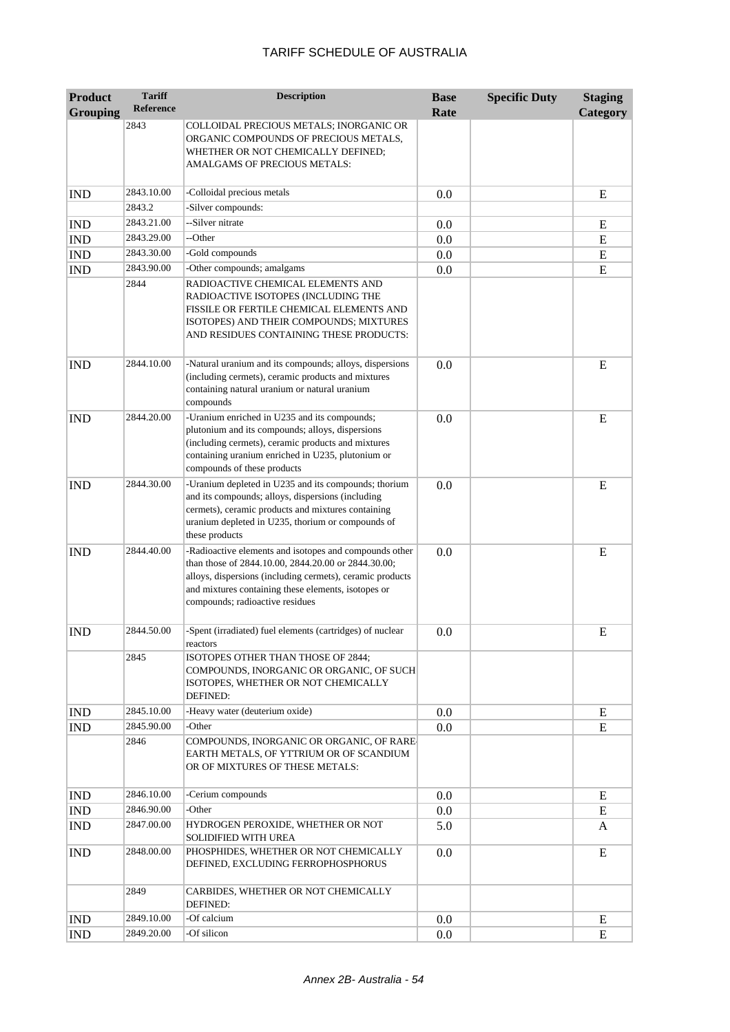| <b>Product</b>  | <b>Tariff</b>    | <b>Description</b>                                                                                                                                                                                                                                                   | <b>Base</b> | <b>Specific Duty</b> | <b>Staging</b> |
|-----------------|------------------|----------------------------------------------------------------------------------------------------------------------------------------------------------------------------------------------------------------------------------------------------------------------|-------------|----------------------|----------------|
| <b>Grouping</b> | <b>Reference</b> |                                                                                                                                                                                                                                                                      | Rate        |                      | Category       |
|                 | 2843             | COLLOIDAL PRECIOUS METALS; INORGANIC OR<br>ORGANIC COMPOUNDS OF PRECIOUS METALS,<br>WHETHER OR NOT CHEMICALLY DEFINED;<br>AMALGAMS OF PRECIOUS METALS:                                                                                                               |             |                      |                |
| <b>IND</b>      | 2843.10.00       | -Colloidal precious metals                                                                                                                                                                                                                                           | 0.0         |                      | E              |
|                 | 2843.2           | -Silver compounds:                                                                                                                                                                                                                                                   |             |                      |                |
| <b>IND</b>      | 2843.21.00       | --Silver nitrate                                                                                                                                                                                                                                                     | 0.0         |                      | Ε              |
| <b>IND</b>      | 2843.29.00       | --Other                                                                                                                                                                                                                                                              | 0.0         |                      | E              |
| <b>IND</b>      | 2843.30.00       | -Gold compounds                                                                                                                                                                                                                                                      | 0.0         |                      | E              |
| <b>IND</b>      | 2843.90.00       | -Other compounds; amalgams                                                                                                                                                                                                                                           | 0.0         |                      | ${\bf E}$      |
|                 | 2844             | RADIOACTIVE CHEMICAL ELEMENTS AND<br>RADIOACTIVE ISOTOPES (INCLUDING THE<br>FISSILE OR FERTILE CHEMICAL ELEMENTS AND<br>ISOTOPES) AND THEIR COMPOUNDS; MIXTURES<br>AND RESIDUES CONTAINING THESE PRODUCTS:                                                           |             |                      |                |
| <b>IND</b>      | 2844.10.00       | -Natural uranium and its compounds; alloys, dispersions<br>(including cermets), ceramic products and mixtures<br>containing natural uranium or natural uranium<br>compounds                                                                                          | 0.0         |                      | E              |
| <b>IND</b>      | 2844.20.00       | -Uranium enriched in U235 and its compounds;<br>plutonium and its compounds; alloys, dispersions<br>(including cermets), ceramic products and mixtures<br>containing uranium enriched in U235, plutonium or<br>compounds of these products                           | 0.0         |                      | E              |
| <b>IND</b>      | 2844.30.00       | -Uranium depleted in U235 and its compounds; thorium<br>and its compounds; alloys, dispersions (including<br>cermets), ceramic products and mixtures containing<br>uranium depleted in U235, thorium or compounds of<br>these products                               | 0.0         |                      | E              |
| <b>IND</b>      | 2844.40.00       | -Radioactive elements and isotopes and compounds other<br>than those of 2844.10.00, 2844.20.00 or 2844.30.00;<br>alloys, dispersions (including cermets), ceramic products<br>and mixtures containing these elements, isotopes or<br>compounds; radioactive residues | 0.0         |                      | E              |
| <b>IND</b>      | 2844.50.00       | -Spent (irradiated) fuel elements (cartridges) of nuclear<br>reactors                                                                                                                                                                                                | 0.0         |                      | E              |
|                 | 2845             | ISOTOPES OTHER THAN THOSE OF 2844;<br>COMPOUNDS, INORGANIC OR ORGANIC, OF SUCH<br>ISOTOPES, WHETHER OR NOT CHEMICALLY<br>DEFINED:                                                                                                                                    |             |                      |                |
| <b>IND</b>      | 2845.10.00       | -Heavy water (deuterium oxide)                                                                                                                                                                                                                                       | 0.0         |                      | E              |
| <b>IND</b>      | 2845.90.00       | -Other                                                                                                                                                                                                                                                               | 0.0         |                      | ${\bf E}$      |
|                 | 2846             | COMPOUNDS, INORGANIC OR ORGANIC, OF RARE-<br>EARTH METALS, OF YTTRIUM OR OF SCANDIUM<br>OR OF MIXTURES OF THESE METALS:                                                                                                                                              |             |                      |                |
| <b>IND</b>      | 2846.10.00       | -Cerium compounds                                                                                                                                                                                                                                                    | 0.0         |                      | E              |
| <b>IND</b>      | 2846.90.00       | -Other                                                                                                                                                                                                                                                               | 0.0         |                      | E              |
| <b>IND</b>      | 2847.00.00       | HYDROGEN PEROXIDE, WHETHER OR NOT<br>SOLIDIFIED WITH UREA                                                                                                                                                                                                            | 5.0         |                      | A              |
| <b>IND</b>      | 2848.00.00       | PHOSPHIDES, WHETHER OR NOT CHEMICALLY<br>DEFINED, EXCLUDING FERROPHOSPHORUS                                                                                                                                                                                          | 0.0         |                      | E              |
|                 | 2849             | CARBIDES, WHETHER OR NOT CHEMICALLY<br>DEFINED:                                                                                                                                                                                                                      |             |                      |                |
| <b>IND</b>      | 2849.10.00       | -Of calcium                                                                                                                                                                                                                                                          | 0.0         |                      | E              |
| <b>IND</b>      | 2849.20.00       | -Of silicon                                                                                                                                                                                                                                                          | 0.0         |                      | E              |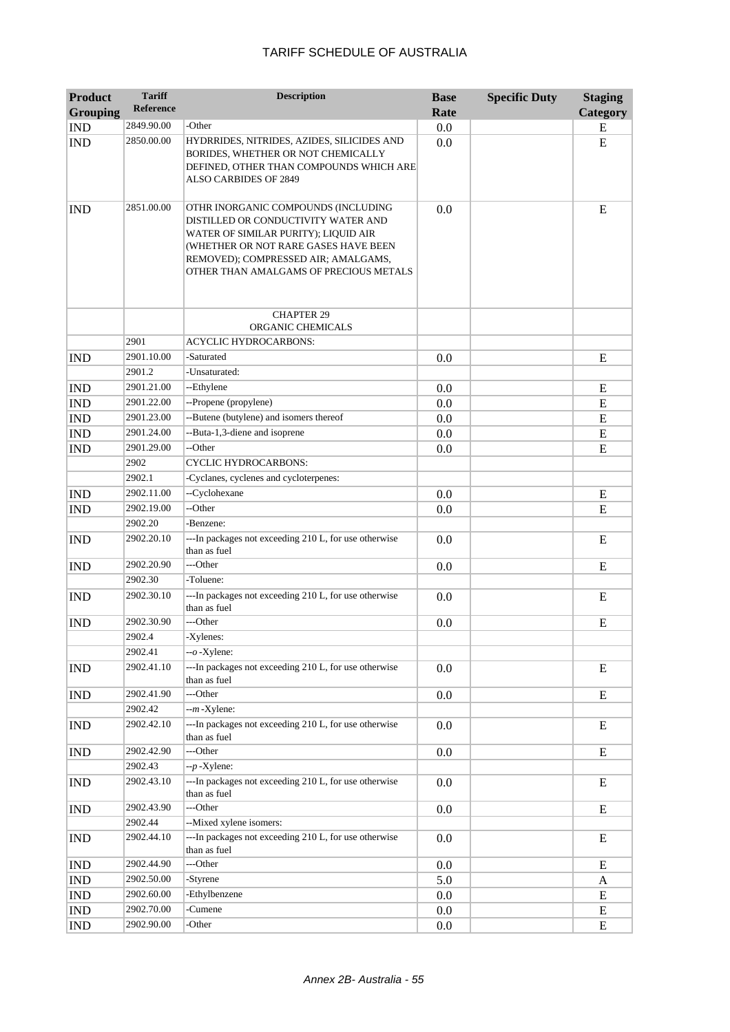| Product                     | <b>Tariff</b>    | <b>Description</b>                                                                                                                                                                                                                          | <b>Base</b> | <b>Specific Duty</b> | <b>Staging</b> |
|-----------------------------|------------------|---------------------------------------------------------------------------------------------------------------------------------------------------------------------------------------------------------------------------------------------|-------------|----------------------|----------------|
| <b>Grouping</b>             | <b>Reference</b> |                                                                                                                                                                                                                                             | Rate        |                      | Category       |
| <b>IND</b>                  | 2849.90.00       | -Other                                                                                                                                                                                                                                      | 0.0         |                      | E              |
| <b>IND</b>                  | 2850.00.00       | HYDRRIDES, NITRIDES, AZIDES, SILICIDES AND<br>BORIDES, WHETHER OR NOT CHEMICALLY<br>DEFINED, OTHER THAN COMPOUNDS WHICH ARE<br>ALSO CARBIDES OF 2849                                                                                        | 0.0         |                      | E              |
| <b>IND</b>                  | 2851.00.00       | OTHR INORGANIC COMPOUNDS (INCLUDING<br>DISTILLED OR CONDUCTIVITY WATER AND<br>WATER OF SIMILAR PURITY); LIQUID AIR<br>(WHETHER OR NOT RARE GASES HAVE BEEN<br>REMOVED); COMPRESSED AIR; AMALGAMS,<br>OTHER THAN AMALGAMS OF PRECIOUS METALS | 0.0         |                      | E              |
|                             |                  | <b>CHAPTER 29</b><br>ORGANIC CHEMICALS                                                                                                                                                                                                      |             |                      |                |
|                             | 2901             | <b>ACYCLIC HYDROCARBONS:</b>                                                                                                                                                                                                                |             |                      |                |
| <b>IND</b>                  | 2901.10.00       | -Saturated                                                                                                                                                                                                                                  | 0.0         |                      | E              |
|                             | 2901.2           | -Unsaturated:                                                                                                                                                                                                                               |             |                      |                |
| <b>IND</b>                  | 2901.21.00       | --Ethylene                                                                                                                                                                                                                                  | 0.0         |                      | E              |
| <b>IND</b>                  | 2901.22.00       | --Propene (propylene)                                                                                                                                                                                                                       | 0.0         |                      | ${\bf E}$      |
| <b>IND</b>                  | 2901.23.00       | --Butene (butylene) and isomers thereof                                                                                                                                                                                                     | 0.0         |                      | E              |
| <b>IND</b>                  | 2901.24.00       | --Buta-1,3-diene and isoprene                                                                                                                                                                                                               | 0.0         |                      | ${\bf E}$      |
| <b>IND</b>                  | 2901.29.00       | --Other                                                                                                                                                                                                                                     | 0.0         |                      | E              |
|                             | 2902             | <b>CYCLIC HYDROCARBONS:</b>                                                                                                                                                                                                                 |             |                      |                |
|                             | 2902.1           | -Cyclanes, cyclenes and cycloterpenes:                                                                                                                                                                                                      |             |                      |                |
| <b>IND</b>                  | 2902.11.00       | --Cyclohexane                                                                                                                                                                                                                               | 0.0         |                      | E              |
| <b>IND</b>                  | 2902.19.00       | --Other                                                                                                                                                                                                                                     | 0.0         |                      | E              |
|                             | 2902.20          | -Benzene:                                                                                                                                                                                                                                   |             |                      |                |
| <b>IND</b>                  | 2902.20.10       | ---In packages not exceeding 210 L, for use otherwise<br>than as fuel                                                                                                                                                                       | 0.0         |                      | E              |
| <b>IND</b>                  | 2902.20.90       | ---Other                                                                                                                                                                                                                                    | 0.0         |                      | E              |
|                             | 2902.30          | -Toluene:                                                                                                                                                                                                                                   |             |                      |                |
| <b>IND</b>                  | 2902.30.10       | ---In packages not exceeding 210 L, for use otherwise<br>than as fuel                                                                                                                                                                       | 0.0         |                      | E              |
| <b>IND</b>                  | 2902.30.90       | ---Other                                                                                                                                                                                                                                    | 0.0         |                      | E              |
|                             | 2902.4           | -Xylenes:                                                                                                                                                                                                                                   |             |                      |                |
|                             | 2902.41          | $-o$ -Xylene:                                                                                                                                                                                                                               |             |                      |                |
| <b>IND</b>                  | 2902.41.10       | ---In packages not exceeding 210 L, for use otherwise<br>than as fuel                                                                                                                                                                       | 0.0         |                      | E              |
| <b>IND</b>                  | 2902.41.90       | ---Other                                                                                                                                                                                                                                    | 0.0         |                      | ${\bf E}$      |
|                             | 2902.42          | $-m$ -Xylene:                                                                                                                                                                                                                               |             |                      |                |
| <b>IND</b>                  | 2902.42.10       | ---In packages not exceeding 210 L, for use otherwise<br>than as fuel                                                                                                                                                                       | 0.0         |                      | E              |
| <b>IND</b>                  | 2902.42.90       | ---Other                                                                                                                                                                                                                                    | 0.0         |                      | E              |
|                             | 2902.43          | $-p$ -Xylene:                                                                                                                                                                                                                               |             |                      |                |
| <b>IND</b>                  | 2902.43.10       | ---In packages not exceeding 210 L, for use otherwise<br>than as fuel                                                                                                                                                                       | 0.0         |                      | E              |
| <b>IND</b>                  | 2902.43.90       | ---Other                                                                                                                                                                                                                                    | 0.0         |                      | E              |
|                             | 2902.44          | --Mixed xylene isomers:                                                                                                                                                                                                                     |             |                      |                |
| <b>IND</b>                  | 2902.44.10       | ---In packages not exceeding 210 L, for use otherwise<br>than as fuel                                                                                                                                                                       | 0.0         |                      | E              |
| <b>IND</b>                  | 2902.44.90       | ---Other                                                                                                                                                                                                                                    | 0.0         |                      | E              |
| <b>IND</b>                  | 2902.50.00       | -Styrene                                                                                                                                                                                                                                    | 5.0         |                      | A              |
| $\mathop{\rm IND}\nolimits$ | 2902.60.00       | -Ethylbenzene                                                                                                                                                                                                                               | 0.0         |                      | E              |
| $\mathop{\rm IND}\nolimits$ | 2902.70.00       | -Cumene                                                                                                                                                                                                                                     | 0.0         |                      | E              |
| <b>IND</b>                  | 2902.90.00       | -Other                                                                                                                                                                                                                                      | 0.0         |                      | E              |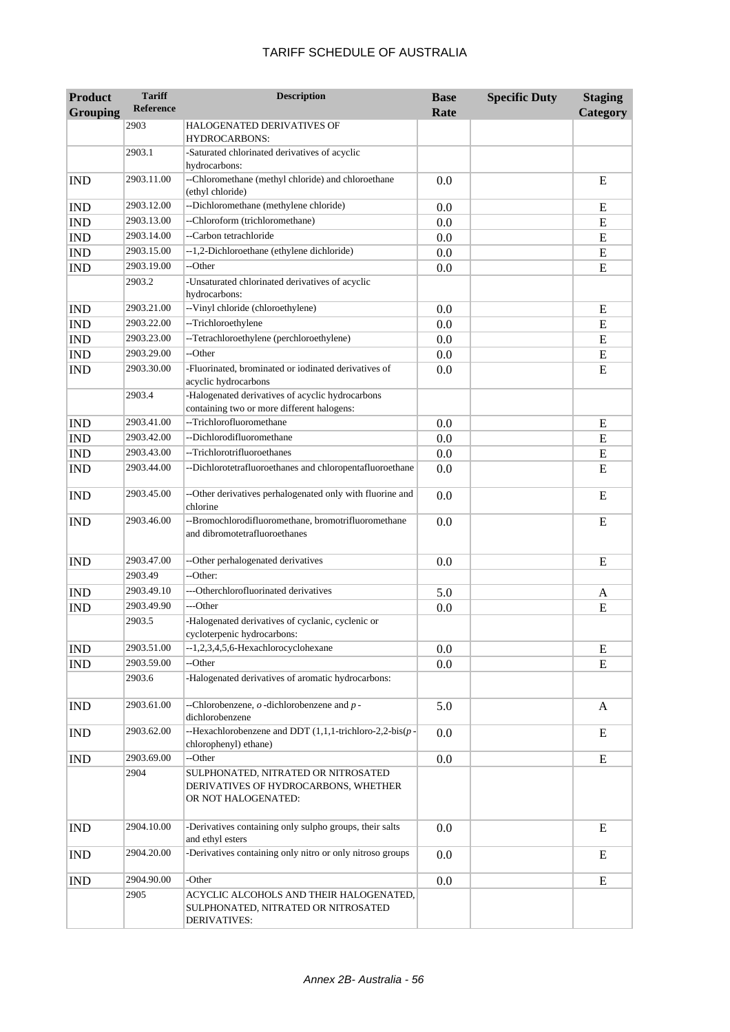| <b>Product</b><br><b>Grouping</b> | <b>Tariff</b><br><b>Reference</b> | <b>Description</b>                                                                                    | <b>Base</b><br>Rate | <b>Specific Duty</b> | <b>Staging</b><br>Category |
|-----------------------------------|-----------------------------------|-------------------------------------------------------------------------------------------------------|---------------------|----------------------|----------------------------|
|                                   | 2903                              | <b>HALOGENATED DERIVATIVES OF</b><br><b>HYDROCARBONS:</b>                                             |                     |                      |                            |
|                                   | 2903.1                            | -Saturated chlorinated derivatives of acyclic<br>hydrocarbons:                                        |                     |                      |                            |
| <b>IND</b>                        | 2903.11.00                        | --Chloromethane (methyl chloride) and chloroethane<br>(ethyl chloride)                                | 0.0                 |                      | E                          |
| <b>IND</b>                        | 2903.12.00                        | --Dichloromethane (methylene chloride)                                                                | 0.0                 |                      | E                          |
| <b>IND</b>                        | 2903.13.00                        | --Chloroform (trichloromethane)                                                                       | 0.0                 |                      | E                          |
| <b>IND</b>                        | 2903.14.00                        | --Carbon tetrachloride                                                                                | 0.0                 |                      | E                          |
| <b>IND</b>                        | 2903.15.00                        | --1,2-Dichloroethane (ethylene dichloride)                                                            | 0.0                 |                      | E                          |
| <b>IND</b>                        | 2903.19.00                        | --Other                                                                                               | 0.0                 |                      | E                          |
|                                   | 2903.2                            | -Unsaturated chlorinated derivatives of acyclic<br>hydrocarbons:                                      |                     |                      |                            |
| <b>IND</b>                        | 2903.21.00                        | -- Vinyl chloride (chloroethylene)                                                                    | 0.0                 |                      | E                          |
| <b>IND</b>                        | 2903.22.00                        | --Trichloroethylene                                                                                   | 0.0                 |                      | E                          |
| <b>IND</b>                        | 2903.23.00                        | --Tetrachloroethylene (perchloroethylene)                                                             | 0.0                 |                      | E                          |
| <b>IND</b>                        | 2903.29.00                        | --Other                                                                                               | 0.0                 |                      | E                          |
| <b>IND</b>                        | 2903.30.00                        | -Fluorinated, brominated or iodinated derivatives of<br>acyclic hydrocarbons                          | 0.0                 |                      | E                          |
|                                   | 2903.4                            | -Halogenated derivatives of acyclic hydrocarbons<br>containing two or more different halogens:        |                     |                      |                            |
| <b>IND</b>                        | 2903.41.00                        | --Trichlorofluoromethane                                                                              | 0.0                 |                      | E                          |
| <b>IND</b>                        | 2903.42.00                        | --Dichlorodifluoromethane                                                                             | 0.0                 |                      | E                          |
| <b>IND</b>                        | 2903.43.00                        | --Trichlorotrifluoroethanes                                                                           | 0.0                 |                      | E                          |
| <b>IND</b>                        | 2903.44.00                        | --Dichlorotetrafluoroethanes and chloropentafluoroethane                                              | 0.0                 |                      | E                          |
| <b>IND</b>                        | 2903.45.00                        | --Other derivatives perhalogenated only with fluorine and<br>chlorine                                 | 0.0                 |                      | E                          |
| <b>IND</b>                        | 2903.46.00                        | --Bromochlorodifluoromethane, bromotrifluoromethane<br>and dibromotetrafluoroethanes                  | 0.0                 |                      | E                          |
| <b>IND</b>                        | 2903.47.00                        | --Other perhalogenated derivatives                                                                    | 0.0                 |                      | E                          |
|                                   | 2903.49                           | --Other:                                                                                              |                     |                      |                            |
| <b>IND</b>                        | 2903.49.10                        | ---Otherchlorofluorinated derivatives                                                                 | 5.0                 |                      | A                          |
| <b>IND</b>                        | 2903.49.90                        | ---Other                                                                                              | 0.0                 |                      | E                          |
|                                   | 2903.5                            | -Halogenated derivatives of cyclanic, cyclenic or<br>cycloterpenic hydrocarbons:                      |                     |                      |                            |
| <b>IND</b>                        | 2903.51.00                        | --1,2,3,4,5,6-Hexachlorocyclohexane                                                                   | 0.0                 |                      | E                          |
| <b>IND</b>                        | 2903.59.00                        | --Other                                                                                               | 0.0                 |                      | E                          |
|                                   | 2903.6                            | -Halogenated derivatives of aromatic hydrocarbons:                                                    |                     |                      |                            |
| <b>IND</b>                        | 2903.61.00                        | --Chlorobenzene, $o$ -dichlorobenzene and $p$ -<br>dichlorobenzene                                    | 5.0                 |                      | A                          |
| <b>IND</b>                        | 2903.62.00                        | --Hexachlorobenzene and DDT $(1,1,1$ -trichloro-2,2-bis $(p -$<br>chlorophenyl) ethane)               | 0.0                 |                      | E                          |
| <b>IND</b>                        | 2903.69.00                        | --Other                                                                                               | 0.0                 |                      | E                          |
|                                   | 2904                              | SULPHONATED, NITRATED OR NITROSATED<br>DERIVATIVES OF HYDROCARBONS, WHETHER<br>OR NOT HALOGENATED:    |                     |                      |                            |
| <b>IND</b>                        | 2904.10.00                        | -Derivatives containing only sulpho groups, their salts<br>and ethyl esters                           | 0.0                 |                      | E                          |
| <b>IND</b>                        | 2904.20.00                        | -Derivatives containing only nitro or only nitroso groups                                             | 0.0                 |                      | E                          |
| $\mathop{\rm IND}\nolimits$       | 2904.90.00                        | -Other                                                                                                | 0.0                 |                      | ${\bf E}$                  |
|                                   | 2905                              | ACYCLIC ALCOHOLS AND THEIR HALOGENATED,<br>SULPHONATED, NITRATED OR NITROSATED<br><b>DERIVATIVES:</b> |                     |                      |                            |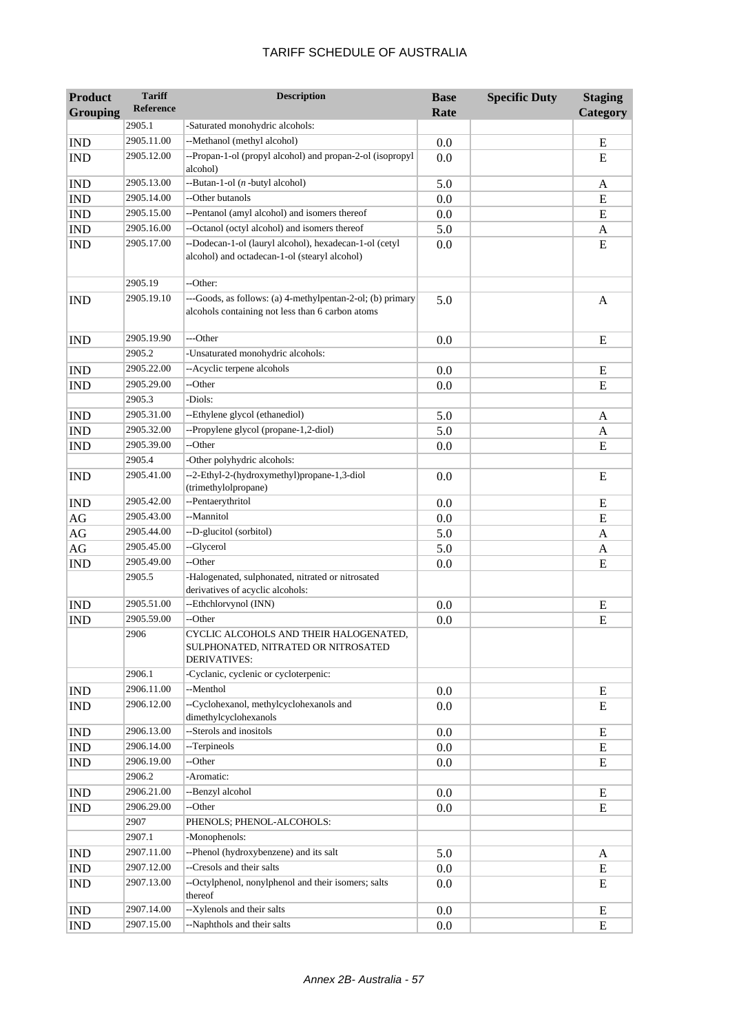| <b>Product</b><br><b>Grouping</b> | <b>Tariff</b><br>Reference | <b>Description</b>                                                                                              | <b>Base</b><br>Rate | <b>Specific Duty</b> | <b>Staging</b><br>Category |
|-----------------------------------|----------------------------|-----------------------------------------------------------------------------------------------------------------|---------------------|----------------------|----------------------------|
|                                   | 2905.1                     | -Saturated monohydric alcohols:                                                                                 |                     |                      |                            |
| <b>IND</b>                        | 2905.11.00                 | --Methanol (methyl alcohol)                                                                                     | 0.0                 |                      | E                          |
| <b>IND</b>                        | 2905.12.00                 | --Propan-1-ol (propyl alcohol) and propan-2-ol (isopropyl<br>alcohol)                                           | 0.0                 |                      | E                          |
| <b>IND</b>                        | 2905.13.00                 | --Butan-1-ol ( <i>n</i> -butyl alcohol)                                                                         | 5.0                 |                      | A                          |
| <b>IND</b>                        | 2905.14.00                 | --Other butanols                                                                                                | 0.0                 |                      | E                          |
| <b>IND</b>                        | 2905.15.00                 | --Pentanol (amyl alcohol) and isomers thereof                                                                   | 0.0                 |                      | ${\bf E}$                  |
| <b>IND</b>                        | 2905.16.00                 | --Octanol (octyl alcohol) and isomers thereof                                                                   | 5.0                 |                      | A                          |
| <b>IND</b>                        | 2905.17.00                 | --Dodecan-1-ol (lauryl alcohol), hexadecan-1-ol (cetyl<br>alcohol) and octadecan-1-ol (stearyl alcohol)         | 0.0                 |                      | E                          |
|                                   | 2905.19                    | --Other:                                                                                                        |                     |                      |                            |
| <b>IND</b>                        | 2905.19.10                 | ---Goods, as follows: (a) 4-methylpentan-2-ol; (b) primary<br>alcohols containing not less than 6 carbon atoms  | 5.0                 |                      | $\mathbf{A}$               |
| <b>IND</b>                        | 2905.19.90                 | ---Other                                                                                                        | 0.0                 |                      | E                          |
|                                   | 2905.2                     | -Unsaturated monohydric alcohols:                                                                               |                     |                      |                            |
| <b>IND</b>                        | 2905.22.00                 | -- Acyclic terpene alcohols                                                                                     | 0.0                 |                      | E                          |
| <b>IND</b>                        | 2905.29.00                 | --Other                                                                                                         | 0.0                 |                      | E                          |
|                                   | 2905.3                     | -Diols:                                                                                                         |                     |                      |                            |
| <b>IND</b>                        | 2905.31.00                 | --Ethylene glycol (ethanediol)                                                                                  | 5.0                 |                      | A                          |
| <b>IND</b>                        | 2905.32.00                 | --Propylene glycol (propane-1,2-diol)                                                                           | 5.0                 |                      | A                          |
| <b>IND</b>                        | 2905.39.00                 | --Other                                                                                                         | 0.0                 |                      | E                          |
|                                   | 2905.4                     | -Other polyhydric alcohols:                                                                                     |                     |                      |                            |
| <b>IND</b>                        | 2905.41.00                 | --2-Ethyl-2-(hydroxymethyl)propane-1,3-diol<br>(trimethylolpropane)                                             | 0.0                 |                      | E                          |
| <b>IND</b>                        | 2905.42.00                 | --Pentaerythritol                                                                                               | 0.0                 |                      | E                          |
| $\rm{AG}$                         | 2905.43.00                 | --Mannitol                                                                                                      | 0.0                 |                      | E                          |
| $\rm{AG}$                         | 2905.44.00                 | --D-glucitol (sorbitol)                                                                                         | 5.0                 |                      | A                          |
| $\rm{AG}$                         | 2905.45.00                 | --Glycerol                                                                                                      | 5.0                 |                      | A                          |
| <b>IND</b>                        | 2905.49.00                 | --Other                                                                                                         | 0.0                 |                      | E                          |
|                                   | 2905.5                     | -Halogenated, sulphonated, nitrated or nitrosated<br>derivatives of acyclic alcohols:                           |                     |                      |                            |
| <b>IND</b>                        | 2905.51.00                 | --Ethchlorvynol (INN)                                                                                           | 0.0                 |                      | E                          |
| <b>IND</b>                        | 2905.59.00<br>2906         | --Other<br>CYCLIC ALCOHOLS AND THEIR HALOGENATED,<br>SULPHONATED, NITRATED OR NITROSATED<br><b>DERIVATIVES:</b> | 0.0                 |                      | E                          |
|                                   | 2906.1                     | -Cyclanic, cyclenic or cycloterpenic:                                                                           |                     |                      |                            |
| <b>IND</b>                        | 2906.11.00                 | --Menthol                                                                                                       | 0.0                 |                      | E                          |
| <b>IND</b>                        | 2906.12.00                 | --Cyclohexanol, methylcyclohexanols and<br>dimethylcyclohexanols                                                | 0.0                 |                      | E                          |
| <b>IND</b>                        | 2906.13.00                 | --Sterols and inositols                                                                                         | 0.0                 |                      | E                          |
| IND                               | 2906.14.00                 | --Terpineols                                                                                                    | 0.0                 |                      | ${\bf E}$                  |
| <b>IND</b>                        | 2906.19.00                 | --Other                                                                                                         | 0.0                 |                      | ${\bf E}$                  |
|                                   | 2906.2                     | -Aromatic:                                                                                                      |                     |                      |                            |
| <b>IND</b>                        | 2906.21.00                 | --Benzyl alcohol                                                                                                | 0.0                 |                      | E                          |
| IND                               | 2906.29.00                 | --Other                                                                                                         | 0.0                 |                      | E                          |
|                                   | 2907                       | PHENOLS; PHENOL-ALCOHOLS:                                                                                       |                     |                      |                            |
|                                   | 2907.1                     | -Monophenols:                                                                                                   |                     |                      |                            |
| <b>IND</b>                        | 2907.11.00                 | --Phenol (hydroxybenzene) and its salt                                                                          | 5.0                 |                      | A                          |
| <b>IND</b>                        | 2907.12.00                 | --Cresols and their salts                                                                                       | 0.0                 |                      | E                          |
| <b>IND</b>                        | 2907.13.00                 | --Octylphenol, nonylphenol and their isomers; salts<br>thereof                                                  | 0.0                 |                      | E                          |
| <b>IND</b>                        | 2907.14.00                 | --Xylenols and their salts                                                                                      | 0.0                 |                      | E                          |
| <b>IND</b>                        | 2907.15.00                 | --Naphthols and their salts                                                                                     | 0.0                 |                      | ${\bf E}$                  |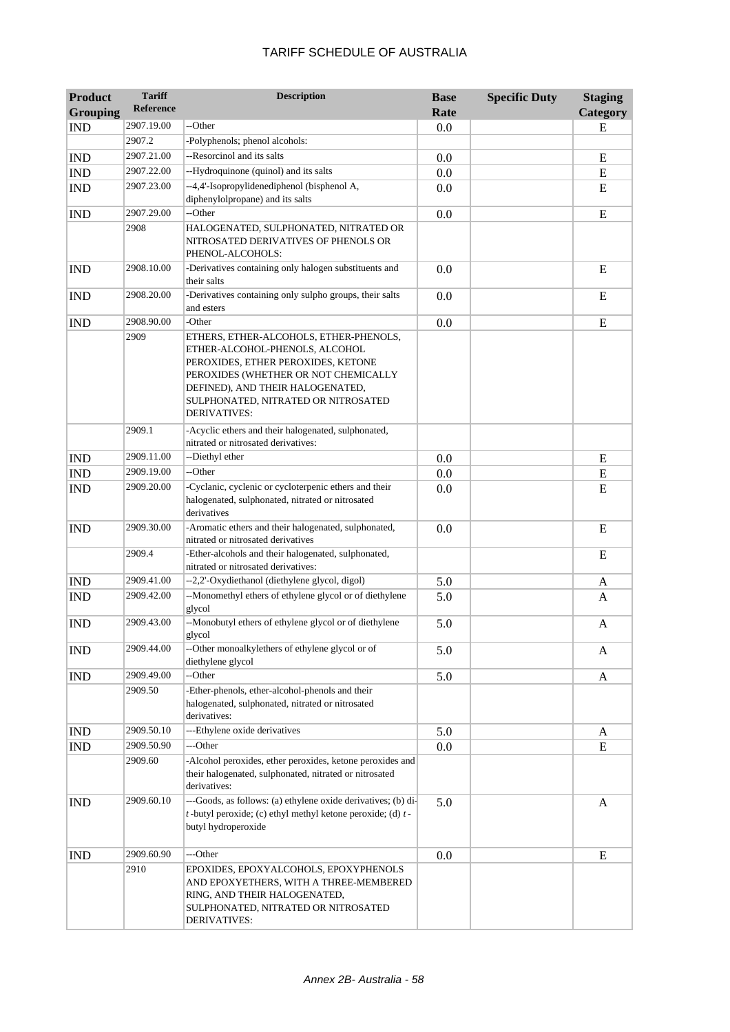| <b>Product</b><br><b>Grouping</b> | <b>Tariff</b><br>Reference | <b>Description</b>                                                                                                                                                                                                                                | <b>Base</b><br>Rate | <b>Specific Duty</b> | <b>Staging</b><br>Category |
|-----------------------------------|----------------------------|---------------------------------------------------------------------------------------------------------------------------------------------------------------------------------------------------------------------------------------------------|---------------------|----------------------|----------------------------|
| <b>IND</b>                        | 2907.19.00                 | --Other                                                                                                                                                                                                                                           | 0.0                 |                      | ${\bf E}$                  |
|                                   | 2907.2                     | -Polyphenols; phenol alcohols:                                                                                                                                                                                                                    |                     |                      |                            |
| <b>IND</b>                        | 2907.21.00                 | --Resorcinol and its salts                                                                                                                                                                                                                        | 0.0                 |                      | E                          |
| <b>IND</b>                        | 2907.22.00                 | --Hydroquinone (quinol) and its salts                                                                                                                                                                                                             | 0.0                 |                      | ${\bf E}$                  |
| <b>IND</b>                        | 2907.23.00                 | --4,4'-Isopropylidenediphenol (bisphenol A,                                                                                                                                                                                                       | 0.0                 |                      | E                          |
|                                   |                            | diphenylolpropane) and its salts                                                                                                                                                                                                                  |                     |                      |                            |
| <b>IND</b>                        | 2907.29.00                 | --Other                                                                                                                                                                                                                                           | 0.0                 |                      | ${\bf E}$                  |
|                                   | 2908                       | HALOGENATED, SULPHONATED, NITRATED OR<br>NITROSATED DERIVATIVES OF PHENOLS OR<br>PHENOL-ALCOHOLS:                                                                                                                                                 |                     |                      |                            |
| <b>IND</b>                        | 2908.10.00                 | -Derivatives containing only halogen substituents and<br>their salts                                                                                                                                                                              | 0.0                 |                      | E                          |
| <b>IND</b>                        | 2908.20.00                 | -Derivatives containing only sulpho groups, their salts<br>and esters                                                                                                                                                                             | 0.0                 |                      | E                          |
| <b>IND</b>                        | 2908.90.00                 | -Other                                                                                                                                                                                                                                            | 0.0                 |                      | ${\bf E}$                  |
|                                   | 2909                       | ETHERS, ETHER-ALCOHOLS, ETHER-PHENOLS,<br>ETHER-ALCOHOL-PHENOLS, ALCOHOL<br>PEROXIDES, ETHER PEROXIDES, KETONE<br>PEROXIDES (WHETHER OR NOT CHEMICALLY<br>DEFINED), AND THEIR HALOGENATED,<br>SULPHONATED, NITRATED OR NITROSATED<br>DERIVATIVES: |                     |                      |                            |
|                                   | 2909.1                     | -Acyclic ethers and their halogenated, sulphonated,<br>nitrated or nitrosated derivatives:                                                                                                                                                        |                     |                      |                            |
| <b>IND</b>                        | 2909.11.00                 | --Diethyl ether                                                                                                                                                                                                                                   | 0.0                 |                      | E                          |
| <b>IND</b>                        | 2909.19.00                 | --Other                                                                                                                                                                                                                                           | 0.0                 |                      | ${\bf E}$                  |
| <b>IND</b>                        | 2909.20.00                 | -Cyclanic, cyclenic or cycloterpenic ethers and their<br>halogenated, sulphonated, nitrated or nitrosated<br>derivatives                                                                                                                          | 0.0                 |                      | E                          |
| <b>IND</b>                        | 2909.30.00                 | -Aromatic ethers and their halogenated, sulphonated,<br>nitrated or nitrosated derivatives                                                                                                                                                        | 0.0                 |                      | E                          |
|                                   | 2909.4                     | -Ether-alcohols and their halogenated, sulphonated,<br>nitrated or nitrosated derivatives:                                                                                                                                                        |                     |                      | ${\bf E}$                  |
| <b>IND</b>                        | 2909.41.00                 | --2,2'-Oxydiethanol (diethylene glycol, digol)                                                                                                                                                                                                    | 5.0                 |                      | A                          |
| <b>IND</b>                        | 2909.42.00                 | --Monomethyl ethers of ethylene glycol or of diethylene<br>glycol                                                                                                                                                                                 | 5.0                 |                      | A                          |
| <b>IND</b>                        | 2909.43.00                 | --Monobutyl ethers of ethylene glycol or of diethylene<br>glycol                                                                                                                                                                                  | 5.0                 |                      | A                          |
| <b>IND</b>                        | 2909.44.00                 | --Other monoalkylethers of ethylene glycol or of<br>diethylene glycol                                                                                                                                                                             | 5.0                 |                      | A                          |
| <b>IND</b>                        | 2909.49.00                 | --Other                                                                                                                                                                                                                                           | 5.0                 |                      | A                          |
|                                   | 2909.50                    | -Ether-phenols, ether-alcohol-phenols and their<br>halogenated, sulphonated, nitrated or nitrosated<br>derivatives:                                                                                                                               |                     |                      |                            |
| <b>IND</b>                        | 2909.50.10                 | ---Ethylene oxide derivatives                                                                                                                                                                                                                     | 5.0                 |                      | A                          |
| <b>IND</b>                        | 2909.50.90                 | ---Other                                                                                                                                                                                                                                          | 0.0                 |                      | ${\bf E}$                  |
|                                   | 2909.60                    | -Alcohol peroxides, ether peroxides, ketone peroxides and<br>their halogenated, sulphonated, nitrated or nitrosated<br>derivatives:                                                                                                               |                     |                      |                            |
| <b>IND</b>                        | 2909.60.10                 | ---Goods, as follows: (a) ethylene oxide derivatives; (b) di-<br>$t$ -butyl peroxide; (c) ethyl methyl ketone peroxide; (d) $t$ -<br>butyl hydroperoxide                                                                                          | 5.0                 |                      | A                          |
| <b>IND</b>                        | 2909.60.90                 | ---Other                                                                                                                                                                                                                                          | 0.0                 |                      | E                          |
|                                   | 2910                       | EPOXIDES, EPOXYALCOHOLS, EPOXYPHENOLS<br>AND EPOXYETHERS, WITH A THREE-MEMBERED<br>RING, AND THEIR HALOGENATED,<br>SULPHONATED, NITRATED OR NITROSATED<br>DERIVATIVES:                                                                            |                     |                      |                            |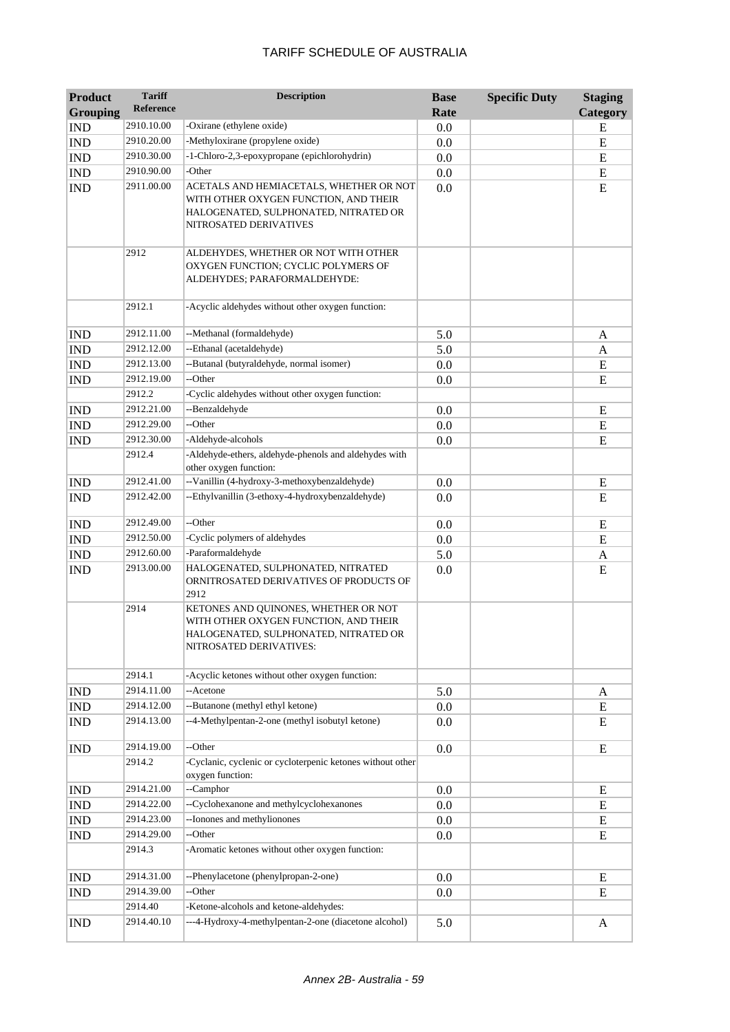| <b>Product</b>                | <b>Tariff</b><br><b>Reference</b> | <b>Description</b>                                                                                                                                  | <b>Base</b><br>Rate | <b>Specific Duty</b> | <b>Staging</b><br>Category |
|-------------------------------|-----------------------------------|-----------------------------------------------------------------------------------------------------------------------------------------------------|---------------------|----------------------|----------------------------|
| <b>Grouping</b><br><b>IND</b> | 2910.10.00                        | -Oxirane (ethylene oxide)                                                                                                                           |                     |                      | E                          |
| <b>IND</b>                    | 2910.20.00                        | -Methyloxirane (propylene oxide)                                                                                                                    | 0.0                 |                      | E                          |
|                               | 2910.30.00                        | -1-Chloro-2,3-epoxypropane (epichlorohydrin)                                                                                                        | 0.0                 |                      |                            |
| <b>IND</b>                    | 2910.90.00                        | -Other                                                                                                                                              | 0.0                 |                      | ${\bf E}$                  |
| <b>IND</b>                    |                                   |                                                                                                                                                     | 0.0                 |                      | ${\bf E}$                  |
| <b>IND</b>                    | 2911.00.00                        | ACETALS AND HEMIACETALS, WHETHER OR NOT<br>WITH OTHER OXYGEN FUNCTION, AND THEIR<br>HALOGENATED, SULPHONATED, NITRATED OR<br>NITROSATED DERIVATIVES | 0.0                 |                      | E                          |
|                               | 2912                              | ALDEHYDES, WHETHER OR NOT WITH OTHER<br>OXYGEN FUNCTION; CYCLIC POLYMERS OF<br>ALDEHYDES; PARAFORMALDEHYDE:                                         |                     |                      |                            |
|                               | 2912.1                            | -Acyclic aldehydes without other oxygen function:                                                                                                   |                     |                      |                            |
| <b>IND</b>                    | 2912.11.00                        | --Methanal (formaldehyde)                                                                                                                           | 5.0                 |                      | A                          |
| <b>IND</b>                    | 2912.12.00                        | --Ethanal (acetaldehyde)                                                                                                                            | 5.0                 |                      | $\mathbf{A}$               |
| <b>IND</b>                    | 2912.13.00                        | --Butanal (butyraldehyde, normal isomer)                                                                                                            | 0.0                 |                      | E                          |
| <b>IND</b>                    | 2912.19.00                        | --Other                                                                                                                                             | 0.0                 |                      | ${\bf E}$                  |
|                               | 2912.2                            | -Cyclic aldehydes without other oxygen function:                                                                                                    |                     |                      |                            |
| <b>IND</b>                    | 2912.21.00                        | --Benzaldehyde                                                                                                                                      | 0.0                 |                      | E                          |
| <b>IND</b>                    | 2912.29.00                        | --Other                                                                                                                                             | 0.0                 |                      | ${\bf E}$                  |
| <b>IND</b>                    | 2912.30.00                        | -Aldehyde-alcohols                                                                                                                                  | 0.0                 |                      | ${\bf E}$                  |
|                               | 2912.4                            | -Aldehyde-ethers, aldehyde-phenols and aldehydes with<br>other oxygen function:                                                                     |                     |                      |                            |
| <b>IND</b>                    | 2912.41.00                        | --Vanillin (4-hydroxy-3-methoxybenzaldehyde)                                                                                                        | 0.0                 |                      | E                          |
| <b>IND</b>                    | 2912.42.00                        | --Ethylvanillin (3-ethoxy-4-hydroxybenzaldehyde)                                                                                                    | 0.0                 |                      | E                          |
| <b>IND</b>                    | 2912.49.00                        | --Other                                                                                                                                             | 0.0                 |                      | E                          |
| <b>IND</b>                    | 2912.50.00                        | -Cyclic polymers of aldehydes                                                                                                                       | 0.0                 |                      | E                          |
| <b>IND</b>                    | 2912.60.00                        | -Paraformaldehyde                                                                                                                                   | 5.0                 |                      | A                          |
| <b>IND</b>                    | 2913.00.00                        | HALOGENATED, SULPHONATED, NITRATED<br>ORNITROSATED DERIVATIVES OF PRODUCTS OF<br>2912                                                               | 0.0                 |                      | ${\bf E}$                  |
|                               | 2914                              | KETONES AND QUINONES, WHETHER OR NOT<br>WITH OTHER OXYGEN FUNCTION, AND THEIR<br>HALOGENATED, SULPHONATED, NITRATED OR<br>NITROSATED DERIVATIVES:   |                     |                      |                            |
|                               | 2914.1                            | -Acyclic ketones without other oxygen function:                                                                                                     |                     |                      |                            |
| $\mathop{\rm IND}\nolimits$   | 2914.11.00                        | --Acetone                                                                                                                                           | 5.0                 |                      | A                          |
| IND                           | 2914.12.00                        | --Butanone (methyl ethyl ketone)                                                                                                                    | 0.0                 |                      | E                          |
| <b>IND</b>                    | 2914.13.00                        | --4-Methylpentan-2-one (methyl isobutyl ketone)                                                                                                     | 0.0                 |                      | E                          |
| <b>IND</b>                    | 2914.19.00                        | --Other                                                                                                                                             | 0.0                 |                      | $\mathbf E$                |
|                               | 2914.2                            | -Cyclanic, cyclenic or cycloterpenic ketones without other<br>oxygen function:                                                                      |                     |                      |                            |
| <b>IND</b>                    | 2914.21.00                        | --Camphor                                                                                                                                           | 0.0                 |                      | Е                          |
| <b>IND</b>                    | 2914.22.00                        | --Cyclohexanone and methylcyclohexanones                                                                                                            | 0.0                 |                      | E                          |
| <b>IND</b>                    | 2914.23.00                        | --Ionones and methylionones                                                                                                                         | 0.0                 |                      | E                          |
| <b>IND</b>                    | 2914.29.00                        | --Other                                                                                                                                             | 0.0                 |                      | E                          |
|                               | 2914.3                            | -Aromatic ketones without other oxygen function:                                                                                                    |                     |                      |                            |
| <b>IND</b>                    | 2914.31.00                        | --Phenylacetone (phenylpropan-2-one)                                                                                                                | 0.0                 |                      | E                          |
| <b>IND</b>                    | 2914.39.00                        | --Other                                                                                                                                             | 0.0                 |                      | E                          |
|                               | 2914.40                           | -Ketone-alcohols and ketone-aldehydes:                                                                                                              |                     |                      |                            |
| <b>IND</b>                    | 2914.40.10                        | ---4-Hydroxy-4-methylpentan-2-one (diacetone alcohol)                                                                                               | 5.0                 |                      | A                          |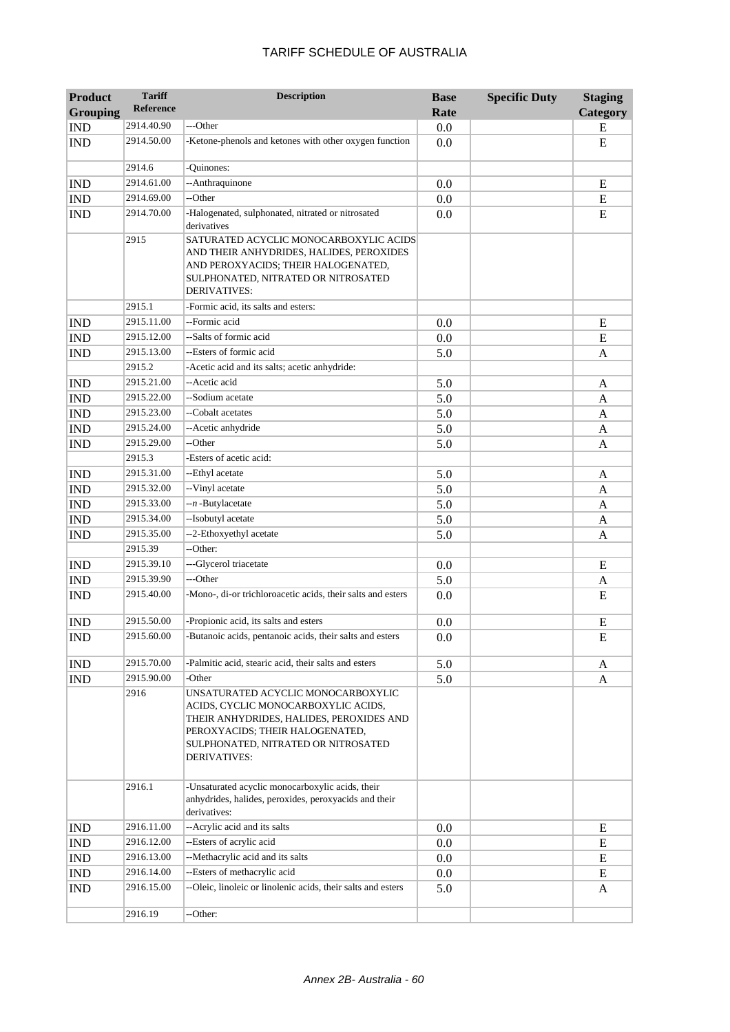| <b>Product</b>              | <b>Tariff</b>    | <b>Description</b>                                                                                                                                                                                              | <b>Base</b> | <b>Specific Duty</b> | <b>Staging</b> |
|-----------------------------|------------------|-----------------------------------------------------------------------------------------------------------------------------------------------------------------------------------------------------------------|-------------|----------------------|----------------|
| <b>Grouping</b>             | <b>Reference</b> |                                                                                                                                                                                                                 | Rate        |                      | Category       |
| <b>IND</b>                  | 2914.40.90       | ---Other                                                                                                                                                                                                        | 0.0         |                      | E              |
| <b>IND</b>                  | 2914.50.00       | -Ketone-phenols and ketones with other oxygen function                                                                                                                                                          | 0.0         |                      | E              |
|                             | 2914.6           | -Quinones:                                                                                                                                                                                                      |             |                      |                |
| <b>IND</b>                  | 2914.61.00       | --Anthraquinone                                                                                                                                                                                                 | 0.0         |                      | E              |
| <b>IND</b>                  | 2914.69.00       | --Other                                                                                                                                                                                                         | 0.0         |                      | ${\bf E}$      |
| <b>IND</b>                  | 2914.70.00       | -Halogenated, sulphonated, nitrated or nitrosated<br>derivatives                                                                                                                                                | 0.0         |                      | ${\bf E}$      |
|                             | 2915             | SATURATED ACYCLIC MONOCARBOXYLIC ACIDS<br>AND THEIR ANHYDRIDES, HALIDES, PEROXIDES<br>AND PEROXYACIDS; THEIR HALOGENATED,<br>SULPHONATED, NITRATED OR NITROSATED<br>DERIVATIVES:                                |             |                      |                |
|                             | 2915.1           | -Formic acid, its salts and esters:                                                                                                                                                                             |             |                      |                |
| <b>IND</b>                  | 2915.11.00       | --Formic acid                                                                                                                                                                                                   | 0.0         |                      | ${\bf E}$      |
| <b>IND</b>                  | 2915.12.00       | --Salts of formic acid                                                                                                                                                                                          | 0.0         |                      | E              |
| <b>IND</b>                  | 2915.13.00       | --Esters of formic acid                                                                                                                                                                                         | 5.0         |                      | A              |
|                             | 2915.2           | -Acetic acid and its salts; acetic anhydride:                                                                                                                                                                   |             |                      |                |
| $\mathop{\rm IND}\nolimits$ | 2915.21.00       | --Acetic acid                                                                                                                                                                                                   | 5.0         |                      | A              |
| $\mathop{\rm IND}\nolimits$ | 2915.22.00       | --Sodium acetate                                                                                                                                                                                                | 5.0         |                      | A              |
| <b>IND</b>                  | 2915.23.00       | --Cobalt acetates                                                                                                                                                                                               | 5.0         |                      | A              |
| <b>IND</b>                  | 2915.24.00       | --Acetic anhydride                                                                                                                                                                                              | 5.0         |                      | A              |
| <b>IND</b>                  | 2915.29.00       | --Other                                                                                                                                                                                                         | 5.0         |                      | A              |
|                             | 2915.3           | -Esters of acetic acid:                                                                                                                                                                                         |             |                      |                |
| <b>IND</b>                  | 2915.31.00       | --Ethyl acetate                                                                                                                                                                                                 | 5.0         |                      | A              |
| <b>IND</b>                  | 2915.32.00       | --Vinyl acetate                                                                                                                                                                                                 | 5.0         |                      | A              |
| <b>IND</b>                  | 2915.33.00       | --n-Butylacetate                                                                                                                                                                                                | 5.0         |                      | A              |
| <b>IND</b>                  | 2915.34.00       | --Isobutyl acetate                                                                                                                                                                                              | 5.0         |                      | A              |
| <b>IND</b>                  | 2915.35.00       | --2-Ethoxyethyl acetate                                                                                                                                                                                         | 5.0         |                      | A              |
|                             | 2915.39          | --Other:                                                                                                                                                                                                        |             |                      |                |
| <b>IND</b>                  | 2915.39.10       | ---Glycerol triacetate                                                                                                                                                                                          | 0.0         |                      | E              |
| <b>IND</b>                  | 2915.39.90       | ---Other                                                                                                                                                                                                        | 5.0         |                      | A              |
| <b>IND</b>                  | 2915.40.00       | -Mono-, di-or trichloroacetic acids, their salts and esters                                                                                                                                                     | 0.0         |                      | E              |
| <b>IND</b>                  | 2915.50.00       | -Propionic acid, its salts and esters                                                                                                                                                                           | 0.0         |                      | E              |
| <b>IND</b>                  | 2915.60.00       | -Butanoic acids, pentanoic acids, their salts and esters                                                                                                                                                        | 0.0         |                      | E              |
| <b>IND</b>                  | 2915.70.00       | -Palmitic acid, stearic acid, their salts and esters                                                                                                                                                            | 5.0         |                      | A              |
| <b>IND</b>                  | 2915.90.00       | -Other                                                                                                                                                                                                          | 5.0         |                      | A              |
|                             | 2916             | UNSATURATED ACYCLIC MONOCARBOXYLIC<br>ACIDS, CYCLIC MONOCARBOXYLIC ACIDS,<br>THEIR ANHYDRIDES, HALIDES, PEROXIDES AND<br>PEROXYACIDS; THEIR HALOGENATED,<br>SULPHONATED, NITRATED OR NITROSATED<br>DERIVATIVES: |             |                      |                |
|                             | 2916.1           | -Unsaturated acyclic monocarboxylic acids, their<br>anhydrides, halides, peroxides, peroxyacids and their<br>derivatives:                                                                                       |             |                      |                |
| <b>IND</b>                  | 2916.11.00       | -- Acrylic acid and its salts                                                                                                                                                                                   | 0.0         |                      | E              |
| <b>IND</b>                  | 2916.12.00       | --Esters of acrylic acid                                                                                                                                                                                        | 0.0         |                      | E              |
| <b>IND</b>                  | 2916.13.00       | --Methacrylic acid and its salts                                                                                                                                                                                | 0.0         |                      | E              |
| <b>IND</b>                  | 2916.14.00       | --Esters of methacrylic acid                                                                                                                                                                                    | 0.0         |                      | E              |
| <b>IND</b>                  | 2916.15.00       | --Oleic, linoleic or linolenic acids, their salts and esters                                                                                                                                                    | 5.0         |                      | A              |
|                             | 2916.19          | --Other:                                                                                                                                                                                                        |             |                      |                |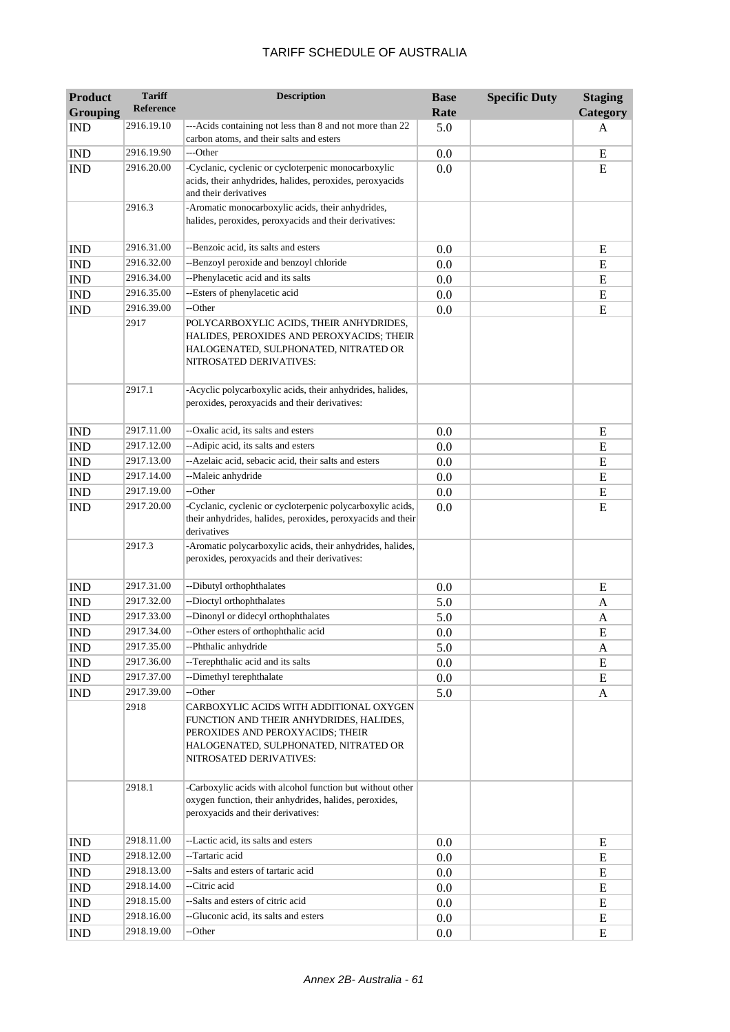| <b>Product</b>              | <b>Tariff</b><br><b>Reference</b> | <b>Description</b>                                                                                                                                                                         | <b>Base</b> | <b>Specific Duty</b> | <b>Staging</b> |
|-----------------------------|-----------------------------------|--------------------------------------------------------------------------------------------------------------------------------------------------------------------------------------------|-------------|----------------------|----------------|
| <b>Grouping</b>             |                                   | ---Acids containing not less than 8 and not more than 22                                                                                                                                   | Rate        |                      | Category       |
| <b>IND</b>                  | 2916.19.10                        | carbon atoms, and their salts and esters                                                                                                                                                   | 5.0         |                      | A              |
| <b>IND</b>                  | 2916.19.90                        | ---Other                                                                                                                                                                                   | 0.0         |                      | ${\bf E}$      |
| <b>IND</b>                  | 2916.20.00                        | -Cyclanic, cyclenic or cycloterpenic monocarboxylic<br>acids, their anhydrides, halides, peroxides, peroxyacids<br>and their derivatives                                                   | 0.0         |                      | E              |
|                             | 2916.3                            | -Aromatic monocarboxylic acids, their anhydrides,<br>halides, peroxides, peroxyacids and their derivatives:                                                                                |             |                      |                |
| <b>IND</b>                  | 2916.31.00                        | --Benzoic acid, its salts and esters                                                                                                                                                       | 0.0         |                      | E              |
| <b>IND</b>                  | 2916.32.00                        | --Benzoyl peroxide and benzoyl chloride                                                                                                                                                    | 0.0         |                      | ${\bf E}$      |
| <b>IND</b>                  | 2916.34.00                        | --Phenylacetic acid and its salts                                                                                                                                                          | 0.0         |                      | ${\bf E}$      |
| <b>IND</b>                  | 2916.35.00                        | --Esters of phenylacetic acid                                                                                                                                                              | 0.0         |                      | ${\bf E}$      |
| <b>IND</b>                  | 2916.39.00                        | --Other                                                                                                                                                                                    | 0.0         |                      | E              |
|                             | 2917                              | POLYCARBOXYLIC ACIDS, THEIR ANHYDRIDES,<br>HALIDES, PEROXIDES AND PEROXYACIDS; THEIR<br>HALOGENATED, SULPHONATED, NITRATED OR<br>NITROSATED DERIVATIVES:                                   |             |                      |                |
|                             | 2917.1                            | -Acyclic polycarboxylic acids, their anhydrides, halides,<br>peroxides, peroxyacids and their derivatives:                                                                                 |             |                      |                |
| <b>IND</b>                  | 2917.11.00                        | --Oxalic acid, its salts and esters                                                                                                                                                        | 0.0         |                      | Ε              |
| <b>IND</b>                  | 2917.12.00                        | --Adipic acid, its salts and esters                                                                                                                                                        | 0.0         |                      | ${\bf E}$      |
| <b>IND</b>                  | 2917.13.00                        | --Azelaic acid, sebacic acid, their salts and esters                                                                                                                                       | 0.0         |                      | ${\bf E}$      |
| <b>IND</b>                  | 2917.14.00                        | --Maleic anhydride                                                                                                                                                                         | 0.0         |                      | E              |
| <b>IND</b>                  | 2917.19.00                        | --Other                                                                                                                                                                                    | 0.0         |                      | ${\bf E}$      |
| <b>IND</b>                  | 2917.20.00                        | -Cyclanic, cyclenic or cycloterpenic polycarboxylic acids,<br>their anhydrides, halides, peroxides, peroxyacids and their<br>derivatives                                                   | 0.0         |                      | E              |
|                             | 2917.3                            | -Aromatic polycarboxylic acids, their anhydrides, halides,<br>peroxides, peroxyacids and their derivatives:                                                                                |             |                      |                |
| <b>IND</b>                  | 2917.31.00                        | --Dibutyl orthophthalates                                                                                                                                                                  | 0.0         |                      | E              |
| <b>IND</b>                  | 2917.32.00                        | --Dioctyl orthophthalates                                                                                                                                                                  | 5.0         |                      | A              |
| <b>IND</b>                  | 2917.33.00                        | --Dinonyl or didecyl orthophthalates                                                                                                                                                       | 5.0         |                      | A              |
| <b>IND</b>                  | 2917.34.00                        | --Other esters of orthophthalic acid                                                                                                                                                       | 0.0         |                      | E              |
| <b>IND</b>                  | 2917.35.00                        | --Phthalic anhydride                                                                                                                                                                       | 5.0         |                      | A              |
| <b>IND</b>                  | 2917.36.00                        | --Terephthalic acid and its salts                                                                                                                                                          | 0.0         |                      | E              |
| <b>IND</b>                  | 2917.37.00                        | --Dimethyl terephthalate                                                                                                                                                                   | $0.0\,$     |                      | E              |
| <b>IND</b>                  | 2917.39.00                        | --Other                                                                                                                                                                                    | 5.0         |                      | A              |
|                             | 2918                              | CARBOXYLIC ACIDS WITH ADDITIONAL OXYGEN<br>FUNCTION AND THEIR ANHYDRIDES, HALIDES,<br>PEROXIDES AND PEROXYACIDS; THEIR<br>HALOGENATED, SULPHONATED, NITRATED OR<br>NITROSATED DERIVATIVES: |             |                      |                |
|                             | 2918.1                            | -Carboxylic acids with alcohol function but without other<br>oxygen function, their anhydrides, halides, peroxides,<br>peroxyacids and their derivatives:                                  |             |                      |                |
| <b>IND</b>                  | 2918.11.00                        | --Lactic acid, its salts and esters                                                                                                                                                        | 0.0         |                      | Е              |
| <b>IND</b>                  | 2918.12.00                        | --Tartaric acid                                                                                                                                                                            | 0.0         |                      | Ε              |
| <b>IND</b>                  | 2918.13.00                        | --Salts and esters of tartaric acid                                                                                                                                                        | 0.0         |                      | E              |
| $\mathop{\rm IND}\nolimits$ | 2918.14.00                        | --Citric acid                                                                                                                                                                              | 0.0         |                      | E              |
| $\mathop{\rm IND}\nolimits$ | 2918.15.00                        | --Salts and esters of citric acid                                                                                                                                                          | 0.0         |                      | E              |
| IND                         | 2918.16.00                        | --Gluconic acid, its salts and esters                                                                                                                                                      | $0.0\,$     |                      | E              |
| <b>IND</b>                  | 2918.19.00                        | --Other                                                                                                                                                                                    | 0.0         |                      | E              |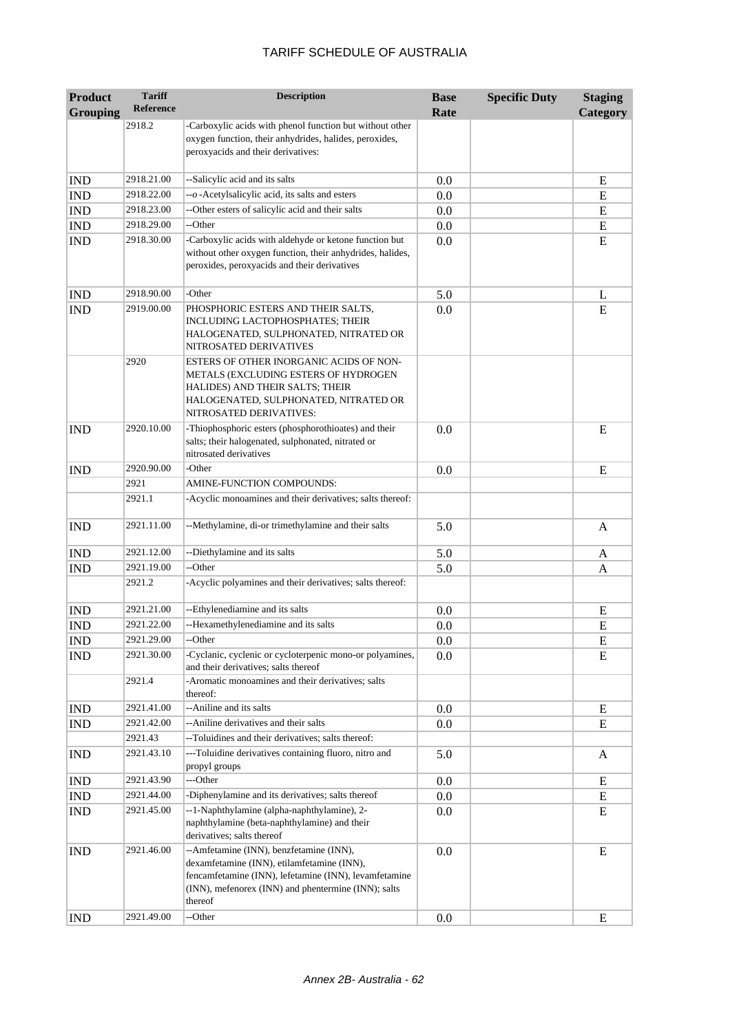| <b>Product</b><br><b>Grouping</b> | <b>Tariff</b><br><b>Reference</b> | <b>Description</b>                                                                                                                                                                                               | <b>Base</b><br>Rate | <b>Specific Duty</b> | <b>Staging</b><br>Category |
|-----------------------------------|-----------------------------------|------------------------------------------------------------------------------------------------------------------------------------------------------------------------------------------------------------------|---------------------|----------------------|----------------------------|
|                                   | 2918.2                            | -Carboxylic acids with phenol function but without other<br>oxygen function, their anhydrides, halides, peroxides,<br>peroxyacids and their derivatives:                                                         |                     |                      |                            |
| <b>IND</b>                        | 2918.21.00                        | --Salicylic acid and its salts                                                                                                                                                                                   | 0.0                 |                      | E                          |
| <b>IND</b>                        | 2918.22.00                        | -- o-Acetylsalicylic acid, its salts and esters                                                                                                                                                                  | 0.0                 |                      | E                          |
| <b>IND</b>                        | 2918.23.00                        | --Other esters of salicylic acid and their salts                                                                                                                                                                 | 0.0                 |                      | E                          |
| <b>IND</b>                        | 2918.29.00                        | --Other                                                                                                                                                                                                          | 0.0                 |                      | E                          |
| <b>IND</b>                        | 2918.30.00                        | -Carboxylic acids with aldehyde or ketone function but<br>without other oxygen function, their anhydrides, halides,<br>peroxides, peroxyacids and their derivatives                                              | 0.0                 |                      | E                          |
| <b>IND</b>                        | 2918.90.00                        | -Other                                                                                                                                                                                                           | 5.0                 |                      | L                          |
| <b>IND</b>                        | 2919.00.00                        | PHOSPHORIC ESTERS AND THEIR SALTS,<br>INCLUDING LACTOPHOSPHATES; THEIR<br>HALOGENATED, SULPHONATED, NITRATED OR<br>NITROSATED DERIVATIVES                                                                        | 0.0                 |                      | E                          |
|                                   | 2920                              | ESTERS OF OTHER INORGANIC ACIDS OF NON-<br>METALS (EXCLUDING ESTERS OF HYDROGEN<br>HALIDES) AND THEIR SALTS; THEIR<br>HALOGENATED, SULPHONATED, NITRATED OR<br>NITROSATED DERIVATIVES:                           |                     |                      |                            |
| <b>IND</b>                        | 2920.10.00                        | -Thiophosphoric esters (phosphorothioates) and their<br>salts; their halogenated, sulphonated, nitrated or<br>nitrosated derivatives                                                                             | 0.0                 |                      | E                          |
| <b>IND</b>                        | 2920.90.00                        | -Other                                                                                                                                                                                                           | 0.0                 |                      | E                          |
|                                   | 2921                              | AMINE-FUNCTION COMPOUNDS:                                                                                                                                                                                        |                     |                      |                            |
|                                   | 2921.1                            | -Acyclic monoamines and their derivatives; salts thereof:                                                                                                                                                        |                     |                      |                            |
| <b>IND</b>                        | 2921.11.00                        | --Methylamine, di-or trimethylamine and their salts                                                                                                                                                              | 5.0                 |                      | A                          |
| <b>IND</b>                        | 2921.12.00                        | --Diethylamine and its salts                                                                                                                                                                                     | 5.0                 |                      | A                          |
| <b>IND</b>                        | 2921.19.00                        | --Other                                                                                                                                                                                                          | 5.0                 |                      | A                          |
|                                   | 2921.2                            | -Acyclic polyamines and their derivatives; salts thereof:                                                                                                                                                        |                     |                      |                            |
| <b>IND</b>                        | 2921.21.00                        | --Ethylenediamine and its salts                                                                                                                                                                                  | 0.0                 |                      | E                          |
| <b>IND</b>                        | 2921.22.00                        | --Hexamethylenediamine and its salts                                                                                                                                                                             | 0.0                 |                      | E                          |
| <b>IND</b>                        | 2921.29.00                        | -Other                                                                                                                                                                                                           | 0.0                 |                      | ${\bf E}$                  |
| <b>IND</b>                        | 2921.30.00                        | -Cyclanic, cyclenic or cycloterpenic mono-or polyamines,<br>and their derivatives; salts thereof                                                                                                                 | 0.0                 |                      | ${\bf E}$                  |
|                                   | 2921.4                            | -Aromatic monoamines and their derivatives; salts<br>thereof:                                                                                                                                                    |                     |                      |                            |
| <b>IND</b>                        | 2921.41.00                        | --Aniline and its salts                                                                                                                                                                                          | 0.0                 |                      | E                          |
| <b>IND</b>                        | 2921.42.00                        | -- Aniline derivatives and their salts                                                                                                                                                                           | 0.0                 |                      | E                          |
|                                   | 2921.43                           | --Toluidines and their derivatives; salts thereof:                                                                                                                                                               |                     |                      |                            |
| <b>IND</b>                        | 2921.43.10                        | ---Toluidine derivatives containing fluoro, nitro and<br>propyl groups                                                                                                                                           | 5.0                 |                      | A                          |
| <b>IND</b>                        | 2921.43.90                        | ---Other                                                                                                                                                                                                         | 0.0                 |                      | ${\bf E}$                  |
| IND                               | 2921.44.00                        | -Diphenylamine and its derivatives; salts thereof                                                                                                                                                                | 0.0                 |                      | E                          |
| <b>IND</b>                        | 2921.45.00                        | --1-Naphthylamine (alpha-naphthylamine), 2-<br>naphthylamine (beta-naphthylamine) and their<br>derivatives; salts thereof                                                                                        | 0.0                 |                      | E                          |
| <b>IND</b>                        | 2921.46.00                        | --Amfetamine (INN), benzfetamine (INN),<br>dexamfetamine (INN), etilamfetamine (INN),<br>fencamfetamine (INN), lefetamine (INN), levamfetamine<br>(INN), mefenorex (INN) and phentermine (INN); salts<br>thereof | 0.0                 |                      | E                          |
| <b>IND</b>                        | 2921.49.00                        | --Other                                                                                                                                                                                                          | 0.0                 |                      | E                          |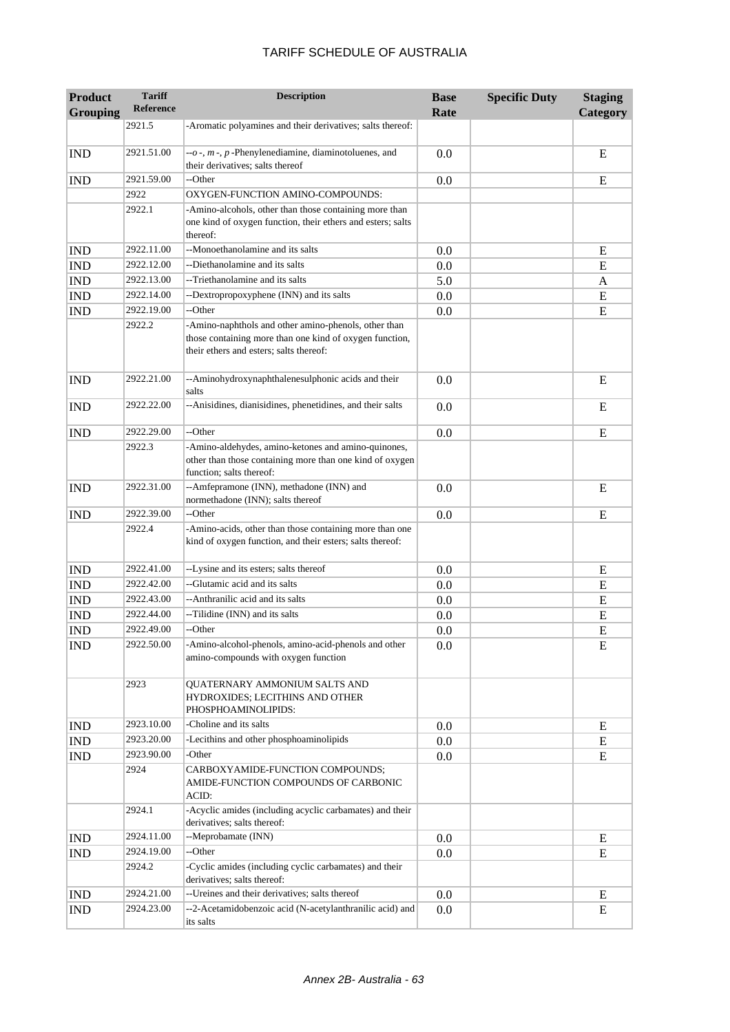| <b>Product</b><br><b>Grouping</b> | <b>Tariff</b><br><b>Reference</b> | <b>Description</b>                                                                                                                                         | <b>Base</b><br>Rate | <b>Specific Duty</b> | <b>Staging</b><br>Category |
|-----------------------------------|-----------------------------------|------------------------------------------------------------------------------------------------------------------------------------------------------------|---------------------|----------------------|----------------------------|
|                                   | 2921.5                            | -Aromatic polyamines and their derivatives; salts thereof:                                                                                                 |                     |                      |                            |
| <b>IND</b>                        | 2921.51.00                        | $-0$ -, $m$ -, $p$ -Phenylenediamine, diaminotoluenes, and<br>their derivatives; salts thereof                                                             | 0.0                 |                      | E                          |
| <b>IND</b>                        | 2921.59.00                        | --Other                                                                                                                                                    | 0.0                 |                      | E                          |
|                                   | 2922                              | OXYGEN-FUNCTION AMINO-COMPOUNDS:                                                                                                                           |                     |                      |                            |
|                                   | 2922.1                            | -Amino-alcohols, other than those containing more than<br>one kind of oxygen function, their ethers and esters; salts<br>thereof:                          |                     |                      |                            |
| <b>IND</b>                        | 2922.11.00                        | --Monoethanolamine and its salts                                                                                                                           | 0.0                 |                      | E                          |
| <b>IND</b>                        | 2922.12.00                        | --Diethanolamine and its salts                                                                                                                             | 0.0                 |                      | E                          |
| <b>IND</b>                        | 2922.13.00                        | --Triethanolamine and its salts                                                                                                                            | 5.0                 |                      | A                          |
| <b>IND</b>                        | 2922.14.00                        | --Dextropropoxyphene (INN) and its salts                                                                                                                   | 0.0                 |                      | E                          |
| <b>IND</b>                        | 2922.19.00                        | --Other                                                                                                                                                    | 0.0                 |                      | E                          |
|                                   | 2922.2                            | -Amino-naphthols and other amino-phenols, other than<br>those containing more than one kind of oxygen function,<br>their ethers and esters; salts thereof: |                     |                      |                            |
| <b>IND</b>                        | 2922.21.00                        | --Aminohydroxynaphthalenesulphonic acids and their<br>salts                                                                                                | 0.0                 |                      | E                          |
| <b>IND</b>                        | 2922.22.00                        | --Anisidines, dianisidines, phenetidines, and their salts                                                                                                  | 0.0                 |                      | E                          |
| <b>IND</b>                        | 2922.29.00                        | --Other                                                                                                                                                    | 0.0                 |                      | E                          |
|                                   | 2922.3                            | -Amino-aldehydes, amino-ketones and amino-quinones,<br>other than those containing more than one kind of oxygen<br>function; salts thereof:                |                     |                      |                            |
| <b>IND</b>                        | 2922.31.00                        | --Amfepramone (INN), methadone (INN) and<br>normethadone (INN); salts thereof                                                                              | 0.0                 |                      | E                          |
| <b>IND</b>                        | 2922.39.00                        | --Other                                                                                                                                                    | 0.0                 |                      | E                          |
|                                   | 2922.4                            | -Amino-acids, other than those containing more than one<br>kind of oxygen function, and their esters; salts thereof:                                       |                     |                      |                            |
| <b>IND</b>                        | 2922.41.00                        | --Lysine and its esters; salts thereof                                                                                                                     | 0.0                 |                      | E                          |
| <b>IND</b>                        | 2922.42.00                        | --Glutamic acid and its salts                                                                                                                              | 0.0                 |                      | E                          |
| <b>IND</b>                        | 2922.43.00                        | --Anthranilic acid and its salts                                                                                                                           | 0.0                 |                      | E                          |
| <b>IND</b>                        | 2922.44.00                        | --Tilidine (INN) and its salts                                                                                                                             | 0.0                 |                      | ${\bf E}$                  |
| <b>IND</b>                        | 2922.49.00                        | --Other                                                                                                                                                    | 0.0                 |                      | E                          |
| <b>IND</b>                        | 2922.50.00                        | -Amino-alcohol-phenols, amino-acid-phenols and other<br>amino-compounds with oxygen function                                                               | 0.0                 |                      | E                          |
|                                   | 2923                              | QUATERNARY AMMONIUM SALTS AND<br>HYDROXIDES; LECITHINS AND OTHER<br>PHOSPHOAMINOLIPIDS:                                                                    |                     |                      |                            |
| <b>IND</b>                        | 2923.10.00                        | -Choline and its salts                                                                                                                                     | 0.0                 |                      | E                          |
| <b>IND</b>                        | 2923.20.00                        | -Lecithins and other phosphoaminolipids                                                                                                                    | $0.0\,$             |                      | E                          |
| <b>IND</b>                        | 2923.90.00                        | -Other                                                                                                                                                     | 0.0                 |                      | E                          |
|                                   | 2924                              | CARBOXYAMIDE-FUNCTION COMPOUNDS;<br>AMIDE-FUNCTION COMPOUNDS OF CARBONIC<br>ACID:                                                                          |                     |                      |                            |
|                                   | 2924.1                            | -Acyclic amides (including acyclic carbamates) and their<br>derivatives; salts thereof:                                                                    |                     |                      |                            |
| <b>IND</b>                        | 2924.11.00                        | --Meprobamate (INN)                                                                                                                                        | $0.0\,$             |                      | Ε                          |
| <b>IND</b>                        | 2924.19.00                        | --Other                                                                                                                                                    | 0.0                 |                      | E                          |
|                                   | 2924.2                            | -Cyclic amides (including cyclic carbamates) and their<br>derivatives; salts thereof:                                                                      |                     |                      |                            |
| <b>IND</b>                        | 2924.21.00                        | -- Ureines and their derivatives; salts thereof                                                                                                            | 0.0                 |                      | E                          |
| <b>IND</b>                        | 2924.23.00                        | --2-Acetamidobenzoic acid (N-acetylanthranilic acid) and<br>its salts                                                                                      | 0.0                 |                      | E                          |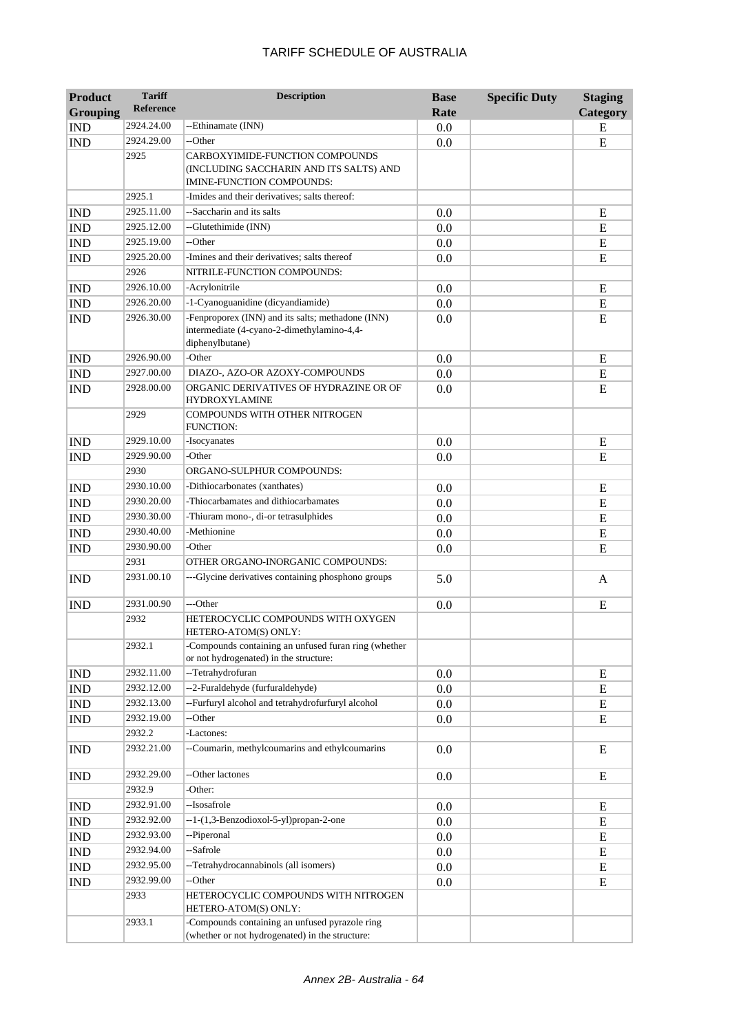| <b>Product</b><br><b>Grouping</b> | <b>Tariff</b><br><b>Reference</b> | <b>Description</b>                                                                                                 | <b>Base</b><br>Rate | <b>Specific Duty</b> | <b>Staging</b><br>Category |
|-----------------------------------|-----------------------------------|--------------------------------------------------------------------------------------------------------------------|---------------------|----------------------|----------------------------|
| <b>IND</b>                        | 2924.24.00                        | --Ethinamate (INN)                                                                                                 | 0.0                 |                      | E                          |
| <b>IND</b>                        | 2924.29.00                        | --Other                                                                                                            | 0.0                 |                      | E                          |
|                                   | 2925                              | CARBOXYIMIDE-FUNCTION COMPOUNDS<br>(INCLUDING SACCHARIN AND ITS SALTS) AND<br><b>IMINE-FUNCTION COMPOUNDS:</b>     |                     |                      |                            |
|                                   | 2925.1                            | -Imides and their derivatives; salts thereof:                                                                      |                     |                      |                            |
| <b>IND</b>                        | 2925.11.00                        | --Saccharin and its salts                                                                                          | 0.0                 |                      | ${\bf E}$                  |
| <b>IND</b>                        | 2925.12.00                        | --Glutethimide (INN)                                                                                               | 0.0                 |                      | ${\bf E}$                  |
| <b>IND</b>                        | 2925.19.00                        | --Other                                                                                                            | 0.0                 |                      | ${\bf E}$                  |
| <b>IND</b>                        | 2925.20.00                        | -Imines and their derivatives; salts thereof                                                                       | 0.0                 |                      | E                          |
|                                   | 2926                              | NITRILE-FUNCTION COMPOUNDS:                                                                                        |                     |                      |                            |
| <b>IND</b>                        | 2926.10.00                        | -Acrylonitrile                                                                                                     | 0.0                 |                      | E                          |
| <b>IND</b>                        | 2926.20.00                        | -1-Cyanoguanidine (dicyandiamide)                                                                                  | 0.0                 |                      | E                          |
| <b>IND</b>                        | 2926.30.00                        | -Fenproporex (INN) and its salts; methadone (INN)<br>intermediate (4-cyano-2-dimethylamino-4,4-<br>diphenylbutane) | 0.0                 |                      | E                          |
| <b>IND</b>                        | 2926.90.00                        | -Other                                                                                                             | 0.0                 |                      | E                          |
| <b>IND</b>                        | 2927.00.00                        | DIAZO-, AZO-OR AZOXY-COMPOUNDS                                                                                     | 0.0                 |                      | ${\bf E}$                  |
| <b>IND</b>                        | 2928.00.00                        | ORGANIC DERIVATIVES OF HYDRAZINE OR OF<br><b>HYDROXYLAMINE</b>                                                     | 0.0                 |                      | E                          |
|                                   | 2929                              | COMPOUNDS WITH OTHER NITROGEN<br><b>FUNCTION:</b>                                                                  |                     |                      |                            |
| <b>IND</b>                        | 2929.10.00                        | -Isocyanates                                                                                                       | 0.0                 |                      | E                          |
| <b>IND</b>                        | 2929.90.00                        | -Other                                                                                                             | 0.0                 |                      | E                          |
|                                   | 2930                              | ORGANO-SULPHUR COMPOUNDS:                                                                                          |                     |                      |                            |
| <b>IND</b>                        | 2930.10.00                        | -Dithiocarbonates (xanthates)                                                                                      | 0.0                 |                      | E                          |
| <b>IND</b>                        | 2930.20.00                        | -Thiocarbamates and dithiocarbamates                                                                               | 0.0                 |                      | E                          |
| <b>IND</b>                        | 2930.30.00                        | -Thiuram mono-, di-or tetrasulphides                                                                               | 0.0                 |                      | E                          |
| <b>IND</b>                        | 2930.40.00                        | -Methionine                                                                                                        | 0.0                 |                      | E                          |
| <b>IND</b>                        | 2930.90.00                        | -Other                                                                                                             | 0.0                 |                      | E                          |
|                                   | 2931                              | OTHER ORGANO-INORGANIC COMPOUNDS:                                                                                  |                     |                      |                            |
| <b>IND</b>                        | 2931.00.10                        | ---Glycine derivatives containing phosphono groups                                                                 | 5.0                 |                      | A                          |
| <b>IND</b>                        | 2931.00.90                        | ---Other                                                                                                           | 0.0                 |                      | E                          |
|                                   | 2932                              | HETEROCYCLIC COMPOUNDS WITH OXYGEN<br>HETERO-ATOM(S) ONLY:                                                         |                     |                      |                            |
|                                   | 2932.1                            | -Compounds containing an unfused furan ring (whether<br>or not hydrogenated) in the structure:                     |                     |                      |                            |
| <b>IND</b>                        | 2932.11.00                        | --Tetrahydrofuran                                                                                                  | 0.0                 |                      | E                          |
| <b>IND</b>                        | 2932.12.00                        | --2-Furaldehyde (furfuraldehyde)                                                                                   | 0.0                 |                      | ${\bf E}$                  |
| <b>IND</b>                        | 2932.13.00                        | --Furfuryl alcohol and tetrahydrofurfuryl alcohol                                                                  | $0.0\,$             |                      | E                          |
| <b>IND</b>                        | 2932.19.00                        | --Other                                                                                                            | 0.0                 |                      | ${\bf E}$                  |
|                                   | 2932.2                            | -Lactones:                                                                                                         |                     |                      |                            |
| <b>IND</b>                        | 2932.21.00                        | --Coumarin, methylcoumarins and ethylcoumarins                                                                     | 0.0                 |                      | E                          |
| <b>IND</b>                        | 2932.29.00                        | --Other lactones                                                                                                   | 0.0                 |                      | Ε                          |
|                                   | 2932.9                            | -Other:                                                                                                            |                     |                      |                            |
| <b>IND</b>                        | 2932.91.00                        | --Isosafrole                                                                                                       | 0.0                 |                      | E                          |
| <b>IND</b>                        | 2932.92.00                        | --1-(1,3-Benzodioxol-5-yl)propan-2-one                                                                             | 0.0                 |                      | E                          |
| <b>IND</b>                        | 2932.93.00                        | --Piperonal                                                                                                        | 0.0                 |                      | E                          |
| <b>IND</b>                        | 2932.94.00                        | --Safrole                                                                                                          | 0.0                 |                      | E                          |
| <b>IND</b>                        | 2932.95.00                        | --Tetrahydrocannabinols (all isomers)                                                                              | 0.0                 |                      | E                          |
| <b>IND</b>                        | 2932.99.00                        | --Other                                                                                                            | 0.0                 |                      | ${\bf E}$                  |
|                                   | 2933                              | HETEROCYCLIC COMPOUNDS WITH NITROGEN<br>HETERO-ATOM(S) ONLY:                                                       |                     |                      |                            |
|                                   | 2933.1                            | -Compounds containing an unfused pyrazole ring<br>(whether or not hydrogenated) in the structure:                  |                     |                      |                            |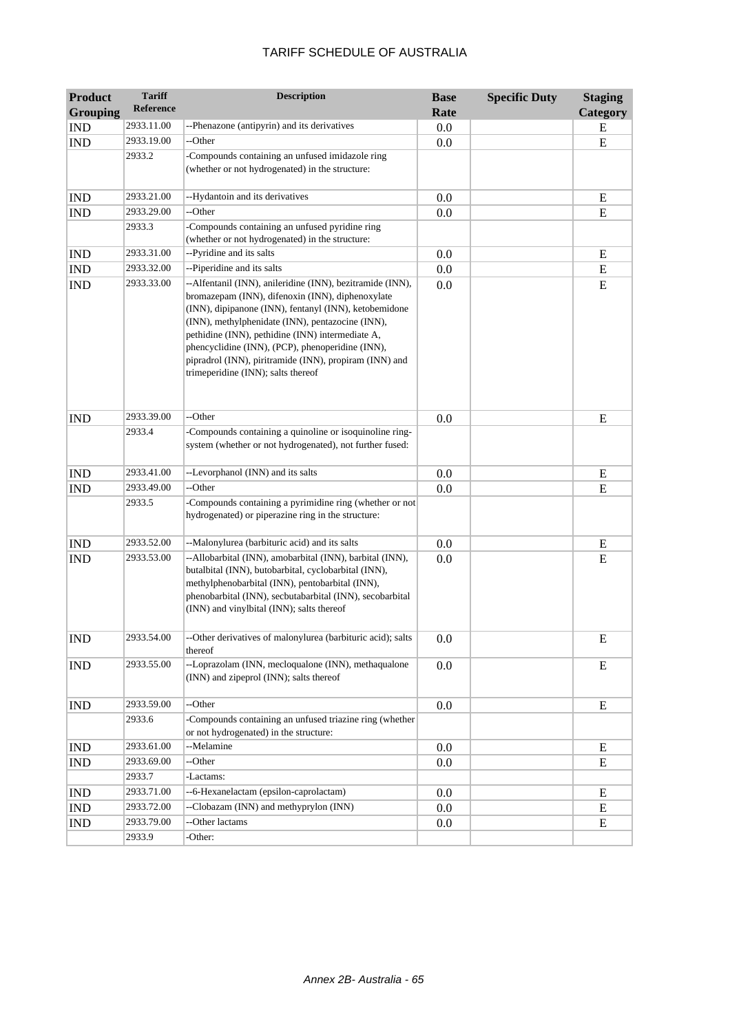| <b>Product</b>              | <b>Tariff</b> | <b>Description</b>                                                                                                                                                                                                                                                                                                                                                                                                                 | <b>Base</b> | <b>Specific Duty</b> | <b>Staging</b> |
|-----------------------------|---------------|------------------------------------------------------------------------------------------------------------------------------------------------------------------------------------------------------------------------------------------------------------------------------------------------------------------------------------------------------------------------------------------------------------------------------------|-------------|----------------------|----------------|
| <b>Grouping</b>             | Reference     |                                                                                                                                                                                                                                                                                                                                                                                                                                    | Rate        |                      | Category       |
| <b>IND</b>                  | 2933.11.00    | --Phenazone (antipyrin) and its derivatives                                                                                                                                                                                                                                                                                                                                                                                        | 0.0         |                      | E              |
| <b>IND</b>                  | 2933.19.00    | --Other                                                                                                                                                                                                                                                                                                                                                                                                                            | 0.0         |                      | E              |
|                             | 2933.2        | -Compounds containing an unfused imidazole ring<br>(whether or not hydrogenated) in the structure:                                                                                                                                                                                                                                                                                                                                 |             |                      |                |
| <b>IND</b>                  | 2933.21.00    | --Hydantoin and its derivatives                                                                                                                                                                                                                                                                                                                                                                                                    | 0.0         |                      | ${\bf E}$      |
| <b>IND</b>                  | 2933.29.00    | --Other                                                                                                                                                                                                                                                                                                                                                                                                                            | 0.0         |                      | E              |
|                             | 2933.3        | -Compounds containing an unfused pyridine ring<br>(whether or not hydrogenated) in the structure:                                                                                                                                                                                                                                                                                                                                  |             |                      |                |
| <b>IND</b>                  | 2933.31.00    | --Pyridine and its salts                                                                                                                                                                                                                                                                                                                                                                                                           | 0.0         |                      | E              |
| <b>IND</b>                  | 2933.32.00    | --Piperidine and its salts                                                                                                                                                                                                                                                                                                                                                                                                         | 0.0         |                      | E              |
| <b>IND</b>                  | 2933.33.00    | --Alfentanil (INN), anileridine (INN), bezitramide (INN),<br>bromazepam (INN), difenoxin (INN), diphenoxylate<br>(INN), dipipanone (INN), fentanyl (INN), ketobemidone<br>(INN), methylphenidate (INN), pentazocine (INN),<br>pethidine (INN), pethidine (INN) intermediate A,<br>phencyclidine (INN), (PCP), phenoperidine (INN),<br>pipradrol (INN), piritramide (INN), propiram (INN) and<br>trimeperidine (INN); salts thereof | 0.0         |                      | E              |
| <b>IND</b>                  | 2933.39.00    | --Other                                                                                                                                                                                                                                                                                                                                                                                                                            | 0.0         |                      | E              |
|                             | 2933.4        | -Compounds containing a quinoline or isoquinoline ring-<br>system (whether or not hydrogenated), not further fused:                                                                                                                                                                                                                                                                                                                |             |                      |                |
| <b>IND</b>                  | 2933.41.00    | --Levorphanol (INN) and its salts                                                                                                                                                                                                                                                                                                                                                                                                  | 0.0         |                      | E              |
| <b>IND</b>                  | 2933.49.00    | --Other                                                                                                                                                                                                                                                                                                                                                                                                                            | 0.0         |                      | E              |
|                             | 2933.5        | -Compounds containing a pyrimidine ring (whether or not<br>hydrogenated) or piperazine ring in the structure:                                                                                                                                                                                                                                                                                                                      |             |                      |                |
| $\mathop{\rm IND}\nolimits$ | 2933.52.00    | --Malonylurea (barbituric acid) and its salts                                                                                                                                                                                                                                                                                                                                                                                      | 0.0         |                      | E              |
| <b>IND</b>                  | 2933.53.00    | --Allobarbital (INN), amobarbital (INN), barbital (INN),<br>butalbital (INN), butobarbital, cyclobarbital (INN),<br>methylphenobarbital (INN), pentobarbital (INN),<br>phenobarbital (INN), secbutabarbital (INN), secobarbital<br>(INN) and vinylbital (INN); salts thereof                                                                                                                                                       | 0.0         |                      | E              |
| <b>IND</b>                  | 2933.54.00    | -Other derivatives of malonylurea (barbituric acid); salts<br>thereof                                                                                                                                                                                                                                                                                                                                                              | $0.0\,$     |                      | E              |
| <b>IND</b>                  | 2933.55.00    | --Loprazolam (INN, mecloqualone (INN), methaqualone<br>(INN) and zipeprol (INN); salts thereof                                                                                                                                                                                                                                                                                                                                     | 0.0         |                      | E              |
| <b>IND</b>                  | 2933.59.00    | --Other                                                                                                                                                                                                                                                                                                                                                                                                                            | 0.0         |                      | E              |
|                             | 2933.6        | -Compounds containing an unfused triazine ring (whether<br>or not hydrogenated) in the structure:                                                                                                                                                                                                                                                                                                                                  |             |                      |                |
| <b>IND</b>                  | 2933.61.00    | --Melamine                                                                                                                                                                                                                                                                                                                                                                                                                         | 0.0         |                      | E              |
| IND                         | 2933.69.00    | --Other                                                                                                                                                                                                                                                                                                                                                                                                                            | 0.0         |                      | ${\bf E}$      |
|                             | 2933.7        | -Lactams:                                                                                                                                                                                                                                                                                                                                                                                                                          |             |                      |                |
| <b>IND</b>                  | 2933.71.00    | --6-Hexanelactam (epsilon-caprolactam)                                                                                                                                                                                                                                                                                                                                                                                             | 0.0         |                      | E              |
| IND                         | 2933.72.00    | --Clobazam (INN) and methyprylon (INN)                                                                                                                                                                                                                                                                                                                                                                                             | 0.0         |                      | E              |
| IND                         | 2933.79.00    | --Other lactams                                                                                                                                                                                                                                                                                                                                                                                                                    | 0.0         |                      | ${\bf E}$      |
|                             | 2933.9        | -Other:                                                                                                                                                                                                                                                                                                                                                                                                                            |             |                      |                |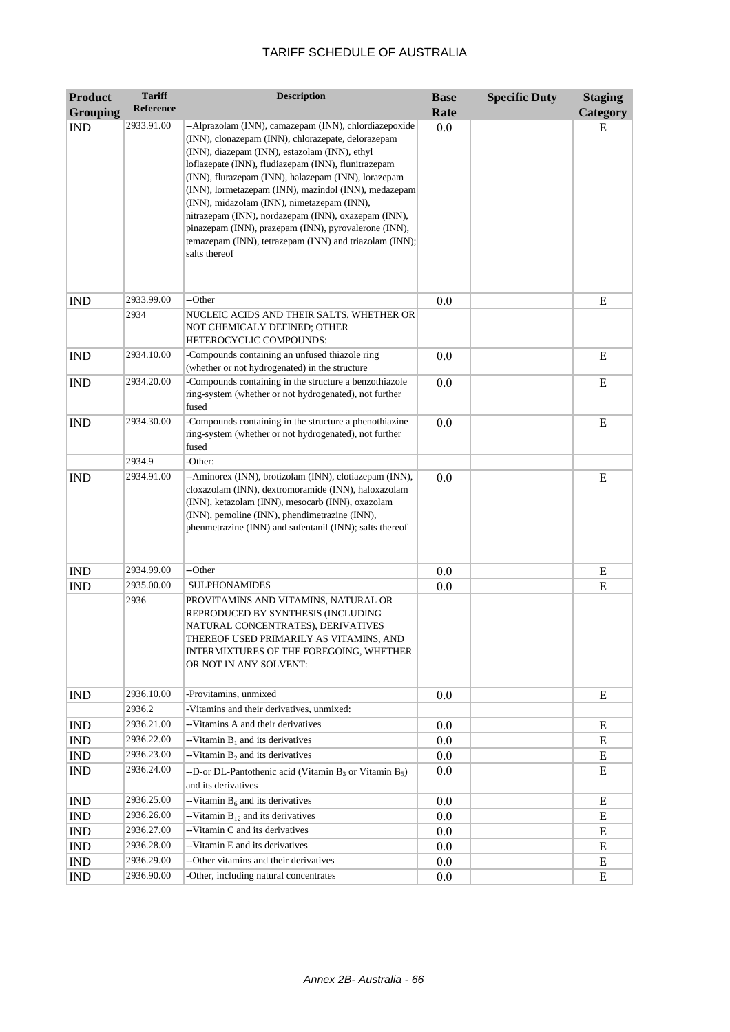| <b>Product</b>  | <b>Tariff</b>    | <b>Description</b>                                                                                                                                                                                                                                                                                                                                                                                                                                                                                                                                                         | <b>Base</b> | <b>Specific Duty</b> | <b>Staging</b> |
|-----------------|------------------|----------------------------------------------------------------------------------------------------------------------------------------------------------------------------------------------------------------------------------------------------------------------------------------------------------------------------------------------------------------------------------------------------------------------------------------------------------------------------------------------------------------------------------------------------------------------------|-------------|----------------------|----------------|
| <b>Grouping</b> | <b>Reference</b> |                                                                                                                                                                                                                                                                                                                                                                                                                                                                                                                                                                            | Rate        |                      | Category       |
| <b>IND</b>      | 2933.91.00       | --Alprazolam (INN), camazepam (INN), chlordiazepoxide<br>(INN), clonazepam (INN), chlorazepate, delorazepam<br>(INN), diazepam (INN), estazolam (INN), ethyl<br>loflazepate (INN), fludiazepam (INN), flunitrazepam<br>(INN), flurazepam (INN), halazepam (INN), lorazepam<br>(INN), lormetazepam (INN), mazindol (INN), medazepam<br>(INN), midazolam (INN), nimetazepam (INN),<br>nitrazepam (INN), nordazepam (INN), oxazepam (INN),<br>pinazepam (INN), prazepam (INN), pyrovalerone (INN),<br>temazepam (INN), tetrazepam (INN) and triazolam (INN);<br>salts thereof | 0.0         |                      | E              |
| <b>IND</b>      | 2933.99.00       | --Other                                                                                                                                                                                                                                                                                                                                                                                                                                                                                                                                                                    | 0.0         |                      | E              |
|                 | 2934             | NUCLEIC ACIDS AND THEIR SALTS, WHETHER OR<br>NOT CHEMICALY DEFINED; OTHER<br>HETEROCYCLIC COMPOUNDS:                                                                                                                                                                                                                                                                                                                                                                                                                                                                       |             |                      |                |
| <b>IND</b>      | 2934.10.00       | -Compounds containing an unfused thiazole ring<br>(whether or not hydrogenated) in the structure                                                                                                                                                                                                                                                                                                                                                                                                                                                                           | 0.0         |                      | E              |
| <b>IND</b>      | 2934.20.00       | -Compounds containing in the structure a benzothiazole<br>ring-system (whether or not hydrogenated), not further<br>fused                                                                                                                                                                                                                                                                                                                                                                                                                                                  | 0.0         |                      | E              |
| <b>IND</b>      | 2934.30.00       | -Compounds containing in the structure a phenothiazine<br>ring-system (whether or not hydrogenated), not further<br>fused                                                                                                                                                                                                                                                                                                                                                                                                                                                  | 0.0         |                      | E              |
|                 | 2934.9           | -Other:                                                                                                                                                                                                                                                                                                                                                                                                                                                                                                                                                                    |             |                      |                |
| <b>IND</b>      | 2934.91.00       | --Aminorex (INN), brotizolam (INN), clotiazepam (INN),<br>cloxazolam (INN), dextromoramide (INN), haloxazolam<br>(INN), ketazolam (INN), mesocarb (INN), oxazolam<br>(INN), pemoline (INN), phendimetrazine (INN),<br>phenmetrazine (INN) and sufentanil (INN); salts thereof                                                                                                                                                                                                                                                                                              | 0.0         |                      | E              |
| <b>IND</b>      | 2934.99.00       | --Other                                                                                                                                                                                                                                                                                                                                                                                                                                                                                                                                                                    | 0.0         |                      | ${\bf E}$      |
| <b>IND</b>      | 2935.00.00       | <b>SULPHONAMIDES</b>                                                                                                                                                                                                                                                                                                                                                                                                                                                                                                                                                       | 0.0         |                      | E              |
|                 | 2936             | PROVITAMINS AND VITAMINS, NATURAL OR<br>REPRODUCED BY SYNTHESIS (INCLUDING<br>NATURAL CONCENTRATES), DERIVATIVES<br>THEREOF USED PRIMARILY AS VITAMINS, AND<br>INTERMIXTURES OF THE FOREGOING, WHETHER<br>OR NOT IN ANY SOLVENT:                                                                                                                                                                                                                                                                                                                                           |             |                      |                |
| <b>IND</b>      | 2936.10.00       | -Provitamins, unmixed                                                                                                                                                                                                                                                                                                                                                                                                                                                                                                                                                      | 0.0         |                      | E              |
|                 | 2936.2           | -Vitamins and their derivatives, unmixed:                                                                                                                                                                                                                                                                                                                                                                                                                                                                                                                                  |             |                      |                |
| <b>IND</b>      | 2936.21.00       | --Vitamins A and their derivatives                                                                                                                                                                                                                                                                                                                                                                                                                                                                                                                                         | 0.0         |                      | E              |
| <b>IND</b>      | 2936.22.00       | --Vitamin $B_1$ and its derivatives                                                                                                                                                                                                                                                                                                                                                                                                                                                                                                                                        | 0.0         |                      | Ε              |
| <b>IND</b>      | 2936.23.00       | --Vitamin $B_2$ and its derivatives                                                                                                                                                                                                                                                                                                                                                                                                                                                                                                                                        | 0.0         |                      | E              |
| <b>IND</b>      | 2936.24.00       | --D-or DL-Pantothenic acid (Vitamin $B_3$ or Vitamin $B_5$ )<br>and its derivatives                                                                                                                                                                                                                                                                                                                                                                                                                                                                                        | 0.0         |                      | E              |
| <b>IND</b>      | 2936.25.00       | --Vitamin $B_6$ and its derivatives                                                                                                                                                                                                                                                                                                                                                                                                                                                                                                                                        | 0.0         |                      | E              |
| <b>IND</b>      | 2936.26.00       | --Vitamin $B_{12}$ and its derivatives                                                                                                                                                                                                                                                                                                                                                                                                                                                                                                                                     | 0.0         |                      | E              |
| <b>IND</b>      | 2936.27.00       | --Vitamin C and its derivatives                                                                                                                                                                                                                                                                                                                                                                                                                                                                                                                                            | 0.0         |                      | E              |
| <b>IND</b>      | 2936.28.00       | --Vitamin E and its derivatives                                                                                                                                                                                                                                                                                                                                                                                                                                                                                                                                            | 0.0         |                      | E              |
| IND             | 2936.29.00       | --Other vitamins and their derivatives                                                                                                                                                                                                                                                                                                                                                                                                                                                                                                                                     | 0.0         |                      | E              |
| <b>IND</b>      | 2936.90.00       | -Other, including natural concentrates                                                                                                                                                                                                                                                                                                                                                                                                                                                                                                                                     | 0.0         |                      | Ε              |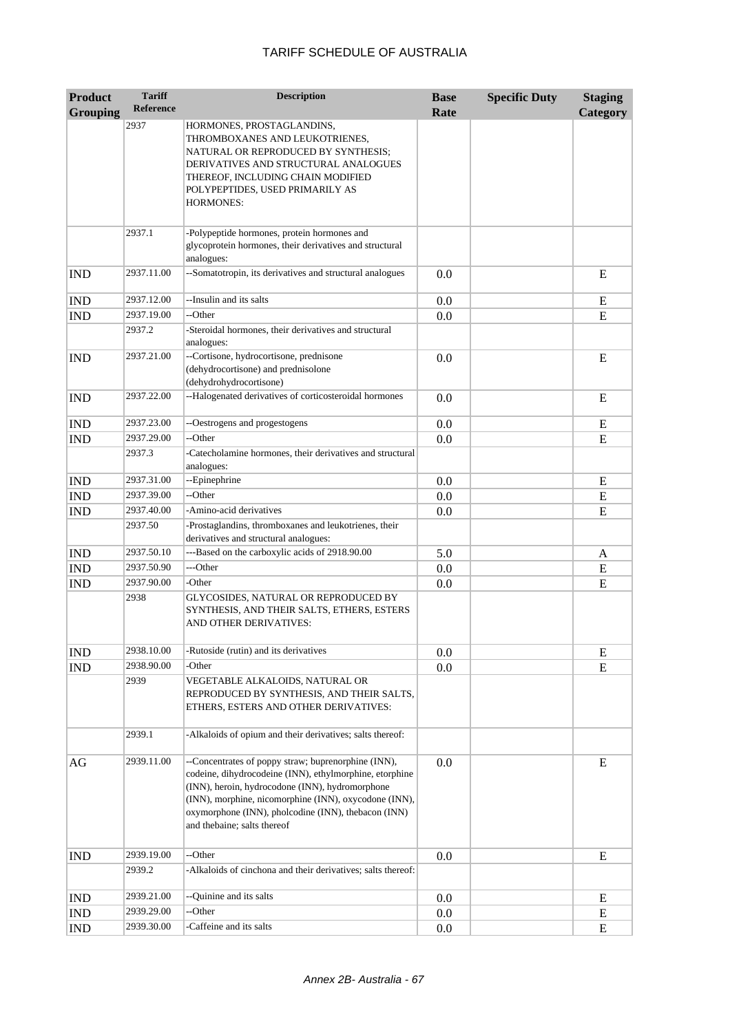| <b>Product</b><br><b>Grouping</b> | <b>Tariff</b><br><b>Reference</b> | <b>Description</b>                                                                                                                                                                                                                                                                                               | <b>Base</b><br>Rate | <b>Specific Duty</b> | <b>Staging</b><br>Category |
|-----------------------------------|-----------------------------------|------------------------------------------------------------------------------------------------------------------------------------------------------------------------------------------------------------------------------------------------------------------------------------------------------------------|---------------------|----------------------|----------------------------|
|                                   | 2937                              | HORMONES, PROSTAGLANDINS,<br>THROMBOXANES AND LEUKOTRIENES,<br>NATURAL OR REPRODUCED BY SYNTHESIS;<br>DERIVATIVES AND STRUCTURAL ANALOGUES<br>THEREOF, INCLUDING CHAIN MODIFIED<br>POLYPEPTIDES, USED PRIMARILY AS<br><b>HORMONES:</b>                                                                           |                     |                      |                            |
|                                   | 2937.1                            | -Polypeptide hormones, protein hormones and<br>glycoprotein hormones, their derivatives and structural<br>analogues:                                                                                                                                                                                             |                     |                      |                            |
| <b>IND</b>                        | 2937.11.00                        | --Somatotropin, its derivatives and structural analogues                                                                                                                                                                                                                                                         | 0.0                 |                      | E                          |
| <b>IND</b>                        | 2937.12.00                        | --Insulin and its salts                                                                                                                                                                                                                                                                                          | 0.0                 |                      | E                          |
| <b>IND</b>                        | 2937.19.00                        | --Other                                                                                                                                                                                                                                                                                                          | 0.0                 |                      | ${\bf E}$                  |
|                                   | 2937.2                            | -Steroidal hormones, their derivatives and structural<br>analogues:                                                                                                                                                                                                                                              |                     |                      |                            |
| <b>IND</b>                        | 2937.21.00                        | --Cortisone, hydrocortisone, prednisone<br>(dehydrocortisone) and prednisolone<br>(dehydrohydrocortisone)                                                                                                                                                                                                        | 0.0                 |                      | E                          |
| <b>IND</b>                        | 2937.22.00                        | --Halogenated derivatives of corticosteroidal hormones                                                                                                                                                                                                                                                           | 0.0                 |                      | E                          |
| <b>IND</b>                        | 2937.23.00                        | --Oestrogens and progestogens                                                                                                                                                                                                                                                                                    | 0.0                 |                      | E                          |
| <b>IND</b>                        | 2937.29.00                        | --Other                                                                                                                                                                                                                                                                                                          | 0.0                 |                      | ${\bf E}$                  |
|                                   | 2937.3                            | -Catecholamine hormones, their derivatives and structural<br>analogues:                                                                                                                                                                                                                                          |                     |                      |                            |
| <b>IND</b>                        | 2937.31.00                        | --Epinephrine                                                                                                                                                                                                                                                                                                    | 0.0                 |                      | E                          |
| <b>IND</b>                        | 2937.39.00                        | --Other                                                                                                                                                                                                                                                                                                          | 0.0                 |                      | ${\bf E}$                  |
| <b>IND</b>                        | 2937.40.00                        | -Amino-acid derivatives                                                                                                                                                                                                                                                                                          | 0.0                 |                      | ${\bf E}$                  |
|                                   | 2937.50                           | -Prostaglandins, thromboxanes and leukotrienes, their<br>derivatives and structural analogues:                                                                                                                                                                                                                   |                     |                      |                            |
| <b>IND</b>                        | 2937.50.10                        | ---Based on the carboxylic acids of 2918.90.00                                                                                                                                                                                                                                                                   | 5.0                 |                      | A                          |
| <b>IND</b>                        | 2937.50.90                        | ---Other                                                                                                                                                                                                                                                                                                         | 0.0                 |                      | E                          |
| <b>IND</b>                        | 2937.90.00                        | -Other                                                                                                                                                                                                                                                                                                           | 0.0                 |                      | E                          |
|                                   | 2938                              | GLYCOSIDES, NATURAL OR REPRODUCED BY<br>SYNTHESIS, AND THEIR SALTS, ETHERS, ESTERS<br>AND OTHER DERIVATIVES:                                                                                                                                                                                                     |                     |                      |                            |
| $\mathop{\rm IND}\nolimits$       | 2938.10.00                        | -Rutoside (rutin) and its derivatives                                                                                                                                                                                                                                                                            | 0.0                 |                      | E                          |
| IND                               | 2938.90.00                        | -Other                                                                                                                                                                                                                                                                                                           | 0.0                 |                      | E                          |
|                                   | 2939                              | VEGETABLE ALKALOIDS, NATURAL OR<br>REPRODUCED BY SYNTHESIS, AND THEIR SALTS,<br>ETHERS, ESTERS AND OTHER DERIVATIVES:                                                                                                                                                                                            |                     |                      |                            |
|                                   | 2939.1                            | -Alkaloids of opium and their derivatives; salts thereof:                                                                                                                                                                                                                                                        |                     |                      |                            |
| AG                                | 2939.11.00                        | --Concentrates of poppy straw; buprenorphine (INN),<br>codeine, dihydrocodeine (INN), ethylmorphine, etorphine<br>(INN), heroin, hydrocodone (INN), hydromorphone<br>(INN), morphine, nicomorphine (INN), oxycodone (INN),<br>oxymorphone (INN), pholcodine (INN), thebacon (INN)<br>and thebaine; salts thereof | 0.0                 |                      | E                          |
| <b>IND</b>                        | 2939.19.00                        | --Other                                                                                                                                                                                                                                                                                                          | 0.0                 |                      | E                          |
|                                   | 2939.2                            | -Alkaloids of cinchona and their derivatives; salts thereof:                                                                                                                                                                                                                                                     |                     |                      |                            |
| <b>IND</b>                        | 2939.21.00                        | --Quinine and its salts                                                                                                                                                                                                                                                                                          | 0.0                 |                      | E                          |
| <b>IND</b>                        | 2939.29.00                        | --Other                                                                                                                                                                                                                                                                                                          | 0.0                 |                      | ${\bf E}$                  |
| IND                               | 2939.30.00                        | Caffeine and its salts                                                                                                                                                                                                                                                                                           | 0.0                 |                      | E                          |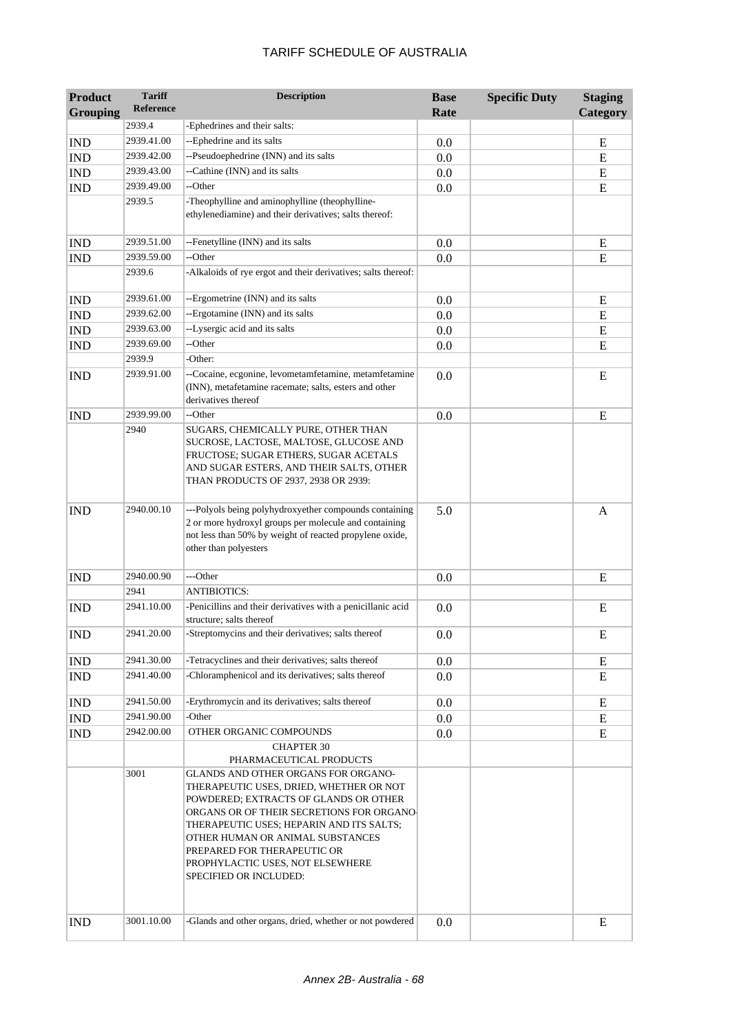| <b>Product</b>  | <b>Tariff</b>    | <b>Description</b>                                                                                                                                                                                                                                                                                                                                | <b>Base</b> | <b>Specific Duty</b> | <b>Staging</b> |
|-----------------|------------------|---------------------------------------------------------------------------------------------------------------------------------------------------------------------------------------------------------------------------------------------------------------------------------------------------------------------------------------------------|-------------|----------------------|----------------|
| <b>Grouping</b> | <b>Reference</b> |                                                                                                                                                                                                                                                                                                                                                   | Rate        |                      | Category       |
|                 | 2939.4           | -Ephedrines and their salts:                                                                                                                                                                                                                                                                                                                      |             |                      |                |
| <b>IND</b>      | 2939.41.00       | --Ephedrine and its salts                                                                                                                                                                                                                                                                                                                         | 0.0         |                      | E              |
| <b>IND</b>      | 2939.42.00       | --Pseudoephedrine (INN) and its salts                                                                                                                                                                                                                                                                                                             | 0.0         |                      | E              |
| <b>IND</b>      | 2939.43.00       | --Cathine (INN) and its salts                                                                                                                                                                                                                                                                                                                     | 0.0         |                      | E              |
| <b>IND</b>      | 2939.49.00       | --Other                                                                                                                                                                                                                                                                                                                                           | 0.0         |                      | ${\bf E}$      |
|                 | 2939.5           | -Theophylline and aminophylline (theophylline-<br>ethylenediamine) and their derivatives; salts thereof:                                                                                                                                                                                                                                          |             |                      |                |
| <b>IND</b>      | 2939.51.00       | --Fenetylline (INN) and its salts                                                                                                                                                                                                                                                                                                                 | 0.0         |                      | E              |
| <b>IND</b>      | 2939.59.00       | --Other                                                                                                                                                                                                                                                                                                                                           | 0.0         |                      | ${\bf E}$      |
|                 | 2939.6           | -Alkaloids of rye ergot and their derivatives; salts thereof:                                                                                                                                                                                                                                                                                     |             |                      |                |
| <b>IND</b>      | 2939.61.00       | --Ergometrine (INN) and its salts                                                                                                                                                                                                                                                                                                                 | 0.0         |                      | ${\bf E}$      |
| <b>IND</b>      | 2939.62.00       | --Ergotamine (INN) and its salts                                                                                                                                                                                                                                                                                                                  | 0.0         |                      | E              |
| <b>IND</b>      | 2939.63.00       | --Lysergic acid and its salts                                                                                                                                                                                                                                                                                                                     | 0.0         |                      | E              |
| <b>IND</b>      | 2939.69.00       | --Other                                                                                                                                                                                                                                                                                                                                           | 0.0         |                      | E              |
|                 | 2939.9           | -Other:                                                                                                                                                                                                                                                                                                                                           |             |                      |                |
| <b>IND</b>      | 2939.91.00       | --Cocaine, ecgonine, levometamfetamine, metamfetamine<br>(INN), metafetamine racemate; salts, esters and other<br>derivatives thereof                                                                                                                                                                                                             | 0.0         |                      | E              |
| <b>IND</b>      | 2939.99.00       | --Other                                                                                                                                                                                                                                                                                                                                           | 0.0         |                      | E              |
|                 | 2940             | SUGARS, CHEMICALLY PURE, OTHER THAN<br>SUCROSE, LACTOSE, MALTOSE, GLUCOSE AND<br>FRUCTOSE; SUGAR ETHERS, SUGAR ACETALS<br>AND SUGAR ESTERS, AND THEIR SALTS, OTHER<br>THAN PRODUCTS OF 2937, 2938 OR 2939:                                                                                                                                        |             |                      |                |
| <b>IND</b>      | 2940.00.10       | ---Polyols being polyhydroxyether compounds containing<br>2 or more hydroxyl groups per molecule and containing<br>not less than 50% by weight of reacted propylene oxide,<br>other than polyesters                                                                                                                                               | 5.0         |                      | A              |
| <b>IND</b>      | 2940.00.90       | ---Other                                                                                                                                                                                                                                                                                                                                          | 0.0         |                      | E              |
|                 | 2941             | <b>ANTIBIOTICS:</b>                                                                                                                                                                                                                                                                                                                               |             |                      |                |
| <b>IND</b>      | 2941.10.00       | -Penicillins and their derivatives with a penicillanic acid<br>structure; salts thereof                                                                                                                                                                                                                                                           | 0.0         |                      | E              |
| <b>IND</b>      | 2941.20.00       | -Streptomycins and their derivatives; salts thereof                                                                                                                                                                                                                                                                                               | 0.0         |                      | E              |
| <b>IND</b>      | 2941.30.00       | -Tetracyclines and their derivatives; salts thereof                                                                                                                                                                                                                                                                                               | 0.0         |                      | E              |
| <b>IND</b>      | 2941.40.00       | -Chloramphenicol and its derivatives; salts thereof                                                                                                                                                                                                                                                                                               | 0.0         |                      | E              |
| <b>IND</b>      | 2941.50.00       | -Erythromycin and its derivatives; salts thereof                                                                                                                                                                                                                                                                                                  | 0.0         |                      | E              |
| <b>IND</b>      | 2941.90.00       | -Other                                                                                                                                                                                                                                                                                                                                            | 0.0         |                      | ${\bf E}$      |
| <b>IND</b>      | 2942.00.00       | OTHER ORGANIC COMPOUNDS                                                                                                                                                                                                                                                                                                                           | 0.0         |                      | E              |
|                 |                  | <b>CHAPTER 30</b><br>PHARMACEUTICAL PRODUCTS                                                                                                                                                                                                                                                                                                      |             |                      |                |
|                 | 3001             | GLANDS AND OTHER ORGANS FOR ORGANO-<br>THERAPEUTIC USES, DRIED, WHETHER OR NOT<br>POWDERED; EXTRACTS OF GLANDS OR OTHER<br>ORGANS OR OF THEIR SECRETIONS FOR ORGANO-<br>THERAPEUTIC USES; HEPARIN AND ITS SALTS;<br>OTHER HUMAN OR ANIMAL SUBSTANCES<br>PREPARED FOR THERAPEUTIC OR<br>PROPHYLACTIC USES, NOT ELSEWHERE<br>SPECIFIED OR INCLUDED: |             |                      |                |
| <b>IND</b>      | 3001.10.00       | -Glands and other organs, dried, whether or not powdered                                                                                                                                                                                                                                                                                          | 0.0         |                      | E              |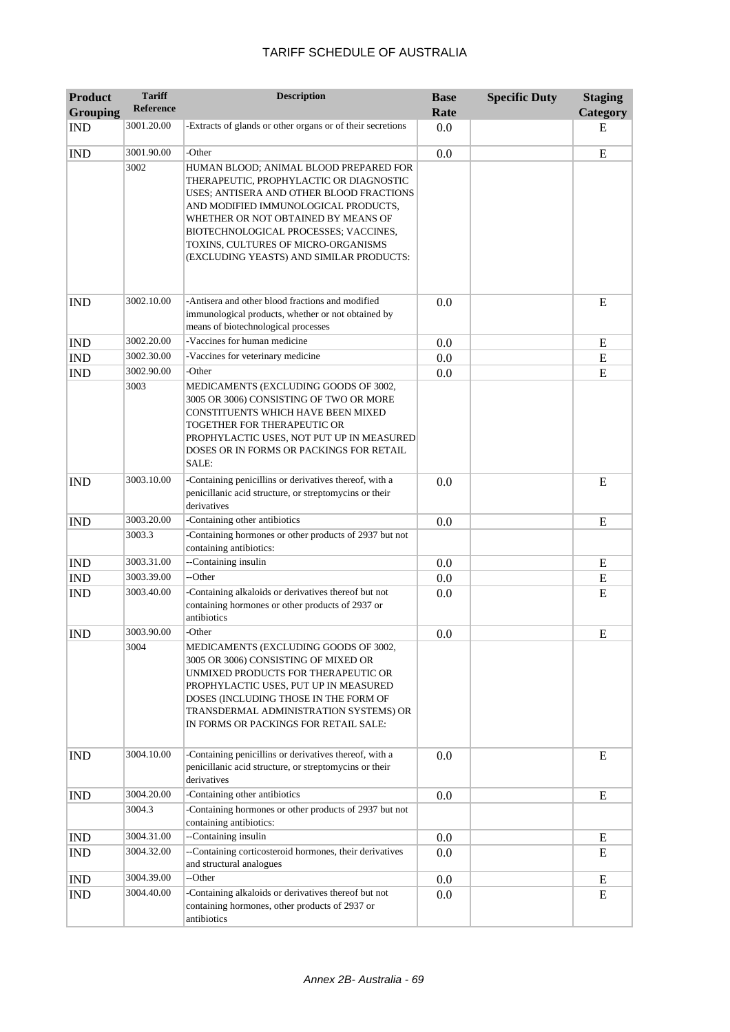| <b>Product</b><br><b>Grouping</b> | <b>Tariff</b><br>Reference | <b>Description</b>                                                                                                                                                                                                                                                                                                                       | <b>Base</b><br>Rate | <b>Specific Duty</b> | <b>Staging</b><br>Category |
|-----------------------------------|----------------------------|------------------------------------------------------------------------------------------------------------------------------------------------------------------------------------------------------------------------------------------------------------------------------------------------------------------------------------------|---------------------|----------------------|----------------------------|
| <b>IND</b>                        | 3001.20.00                 | -Extracts of glands or other organs or of their secretions                                                                                                                                                                                                                                                                               | 0.0                 |                      | Е                          |
| <b>IND</b>                        | 3001.90.00                 | -Other                                                                                                                                                                                                                                                                                                                                   | 0.0                 |                      | ${\bf E}$                  |
|                                   | 3002                       | HUMAN BLOOD; ANIMAL BLOOD PREPARED FOR<br>THERAPEUTIC, PROPHYLACTIC OR DIAGNOSTIC<br>USES; ANTISERA AND OTHER BLOOD FRACTIONS<br>AND MODIFIED IMMUNOLOGICAL PRODUCTS,<br>WHETHER OR NOT OBTAINED BY MEANS OF<br>BIOTECHNOLOGICAL PROCESSES; VACCINES,<br>TOXINS, CULTURES OF MICRO-ORGANISMS<br>(EXCLUDING YEASTS) AND SIMILAR PRODUCTS: |                     |                      |                            |
| <b>IND</b>                        | 3002.10.00                 | -Antisera and other blood fractions and modified<br>immunological products, whether or not obtained by<br>means of biotechnological processes                                                                                                                                                                                            | 0.0                 |                      | E                          |
| <b>IND</b>                        | 3002.20.00                 | -Vaccines for human medicine                                                                                                                                                                                                                                                                                                             | 0.0                 |                      | E                          |
| <b>IND</b>                        | 3002.30.00                 | -Vaccines for veterinary medicine                                                                                                                                                                                                                                                                                                        | 0.0                 |                      | E                          |
| <b>IND</b>                        | 3002.90.00                 | -Other                                                                                                                                                                                                                                                                                                                                   | 0.0                 |                      | ${\bf E}$                  |
|                                   | 3003                       | MEDICAMENTS (EXCLUDING GOODS OF 3002,<br>3005 OR 3006) CONSISTING OF TWO OR MORE<br>CONSTITUENTS WHICH HAVE BEEN MIXED<br>TOGETHER FOR THERAPEUTIC OR<br>PROPHYLACTIC USES, NOT PUT UP IN MEASURED<br>DOSES OR IN FORMS OR PACKINGS FOR RETAIL<br>SALE:                                                                                  |                     |                      |                            |
| <b>IND</b>                        | 3003.10.00                 | -Containing penicillins or derivatives thereof, with a<br>penicillanic acid structure, or streptomycins or their<br>derivatives                                                                                                                                                                                                          | 0.0                 |                      | E                          |
| <b>IND</b>                        | 3003.20.00                 | -Containing other antibiotics                                                                                                                                                                                                                                                                                                            | 0.0                 |                      | E                          |
|                                   | 3003.3                     | -Containing hormones or other products of 2937 but not<br>containing antibiotics:                                                                                                                                                                                                                                                        |                     |                      |                            |
| <b>IND</b>                        | 3003.31.00                 | --Containing insulin                                                                                                                                                                                                                                                                                                                     | 0.0                 |                      | E                          |
| <b>IND</b>                        | 3003.39.00                 | --Other                                                                                                                                                                                                                                                                                                                                  | 0.0                 |                      | ${\bf E}$                  |
| <b>IND</b>                        | 3003.40.00                 | -Containing alkaloids or derivatives thereof but not<br>containing hormones or other products of 2937 or<br>antibiotics                                                                                                                                                                                                                  | 0.0                 |                      | E                          |
| <b>IND</b>                        | 3003.90.00                 | -Other                                                                                                                                                                                                                                                                                                                                   | 0.0                 |                      | E                          |
|                                   | 3004                       | MEDICAMENTS (EXCLUDING GOODS OF 3002,<br>3005 OR 3006) CONSISTING OF MIXED OR<br>UNMIXED PRODUCTS FOR THERAPEUTIC OR<br>PROPHYLACTIC USES, PUT UP IN MEASURED<br>DOSES (INCLUDING THOSE IN THE FORM OF<br>TRANSDERMAL ADMINISTRATION SYSTEMS) OR<br>IN FORMS OR PACKINGS FOR RETAIL SALE:                                                |                     |                      |                            |
| <b>IND</b>                        | 3004.10.00                 | -Containing penicillins or derivatives thereof, with a<br>penicillanic acid structure, or streptomycins or their<br>derivatives                                                                                                                                                                                                          | 0.0                 |                      | E                          |
| <b>IND</b>                        | 3004.20.00                 | -Containing other antibiotics                                                                                                                                                                                                                                                                                                            | 0.0                 |                      | E                          |
|                                   | 3004.3                     | -Containing hormones or other products of 2937 but not<br>containing antibiotics:                                                                                                                                                                                                                                                        |                     |                      |                            |
| <b>IND</b>                        | 3004.31.00                 | --Containing insulin                                                                                                                                                                                                                                                                                                                     | 0.0                 |                      | E                          |
| <b>IND</b>                        | 3004.32.00                 | --Containing corticosteroid hormones, their derivatives<br>and structural analogues                                                                                                                                                                                                                                                      | 0.0                 |                      | E                          |
| <b>IND</b>                        | 3004.39.00                 | --Other                                                                                                                                                                                                                                                                                                                                  | 0.0                 |                      | E                          |
| <b>IND</b>                        | 3004.40.00                 | -Containing alkaloids or derivatives thereof but not<br>containing hormones, other products of 2937 or<br>antibiotics                                                                                                                                                                                                                    | 0.0                 |                      | E                          |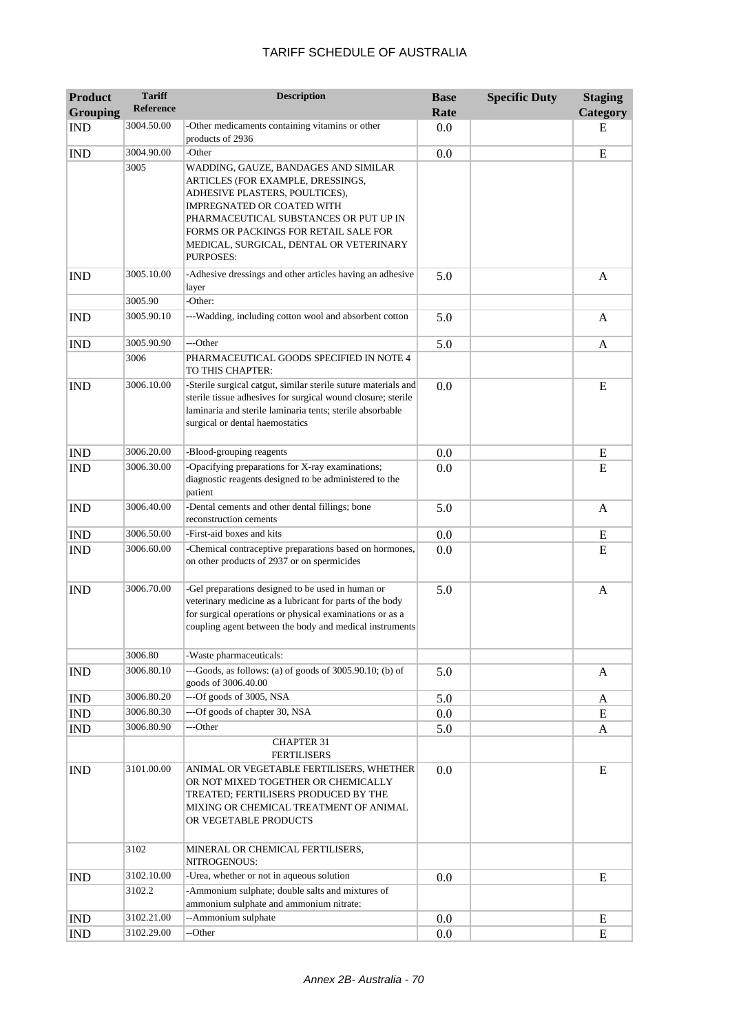| <b>Product</b><br><b>Grouping</b> | <b>Tariff</b><br>Reference | <b>Description</b>                                                                                                                                                                                                                                                                          | <b>Base</b><br>Rate | <b>Specific Duty</b> | <b>Staging</b><br>Category |
|-----------------------------------|----------------------------|---------------------------------------------------------------------------------------------------------------------------------------------------------------------------------------------------------------------------------------------------------------------------------------------|---------------------|----------------------|----------------------------|
| <b>IND</b>                        | 3004.50.00                 | -Other medicaments containing vitamins or other<br>products of 2936                                                                                                                                                                                                                         | 0.0                 |                      | E                          |
| <b>IND</b>                        | 3004.90.00                 | -Other                                                                                                                                                                                                                                                                                      | 0.0                 |                      | ${\bf E}$                  |
|                                   | 3005                       | WADDING, GAUZE, BANDAGES AND SIMILAR<br>ARTICLES (FOR EXAMPLE, DRESSINGS,<br>ADHESIVE PLASTERS, POULTICES),<br>IMPREGNATED OR COATED WITH<br>PHARMACEUTICAL SUBSTANCES OR PUT UP IN<br>FORMS OR PACKINGS FOR RETAIL SALE FOR<br>MEDICAL, SURGICAL, DENTAL OR VETERINARY<br><b>PURPOSES:</b> |                     |                      |                            |
| <b>IND</b>                        | 3005.10.00                 | -Adhesive dressings and other articles having an adhesive<br>layer                                                                                                                                                                                                                          | 5.0                 |                      | A                          |
|                                   | 3005.90<br>3005.90.10      | -Other:<br>---Wadding, including cotton wool and absorbent cotton                                                                                                                                                                                                                           | 5.0                 |                      |                            |
| <b>IND</b>                        |                            |                                                                                                                                                                                                                                                                                             |                     |                      | A                          |
| <b>IND</b>                        | 3005.90.90                 | ---Other                                                                                                                                                                                                                                                                                    | 5.0                 |                      | A                          |
|                                   | 3006                       | PHARMACEUTICAL GOODS SPECIFIED IN NOTE 4<br>TO THIS CHAPTER:                                                                                                                                                                                                                                |                     |                      |                            |
| <b>IND</b>                        | 3006.10.00                 | -Sterile surgical catgut, similar sterile suture materials and<br>sterile tissue adhesives for surgical wound closure; sterile<br>laminaria and sterile laminaria tents; sterile absorbable<br>surgical or dental haemostatics                                                              | 0.0                 |                      | E                          |
| <b>IND</b>                        | 3006.20.00                 | -Blood-grouping reagents                                                                                                                                                                                                                                                                    | 0.0                 |                      | Ε                          |
| <b>IND</b>                        | 3006.30.00                 | -Opacifying preparations for X-ray examinations;<br>diagnostic reagents designed to be administered to the<br>patient                                                                                                                                                                       | 0.0                 |                      | E                          |
| <b>IND</b>                        | 3006.40.00                 | -Dental cements and other dental fillings; bone<br>reconstruction cements                                                                                                                                                                                                                   | 5.0                 |                      | A                          |
| <b>IND</b>                        | 3006.50.00                 | -First-aid boxes and kits                                                                                                                                                                                                                                                                   | 0.0                 |                      | E                          |
| <b>IND</b>                        | 3006.60.00                 | -Chemical contraceptive preparations based on hormones,<br>on other products of 2937 or on spermicides                                                                                                                                                                                      | 0.0                 |                      | E                          |
| <b>IND</b>                        | 3006.70.00                 | -Gel preparations designed to be used in human or<br>veterinary medicine as a lubricant for parts of the body<br>for surgical operations or physical examinations or as a<br>coupling agent between the body and medical instruments                                                        | 5.0                 |                      | A                          |
|                                   | 3006.80                    | -Waste pharmaceuticals:                                                                                                                                                                                                                                                                     |                     |                      |                            |
| <b>IND</b>                        | 3006.80.10                 | ---Goods, as follows: (a) of goods of 3005.90.10; (b) of<br>goods of 3006.40.00                                                                                                                                                                                                             | 5.0                 |                      | A                          |
| <b>IND</b>                        | 3006.80.20                 | ---Of goods of 3005, NSA                                                                                                                                                                                                                                                                    | 5.0                 |                      | A                          |
| IND                               | 3006.80.30                 | ---Of goods of chapter 30, NSA                                                                                                                                                                                                                                                              | 0.0                 |                      | E                          |
| $\mathop{\rm IND}\nolimits$       | 3006.80.90                 | ---Other                                                                                                                                                                                                                                                                                    | 5.0                 |                      | A                          |
|                                   |                            | <b>CHAPTER 31</b><br><b>FERTILISERS</b>                                                                                                                                                                                                                                                     |                     |                      |                            |
| <b>IND</b>                        | 3101.00.00                 | ANIMAL OR VEGETABLE FERTILISERS, WHETHER<br>OR NOT MIXED TOGETHER OR CHEMICALLY<br>TREATED; FERTILISERS PRODUCED BY THE<br>MIXING OR CHEMICAL TREATMENT OF ANIMAL<br>OR VEGETABLE PRODUCTS                                                                                                  | 0.0                 |                      | E                          |
|                                   | 3102                       | MINERAL OR CHEMICAL FERTILISERS,<br>NITROGENOUS:                                                                                                                                                                                                                                            |                     |                      |                            |
| <b>IND</b>                        | 3102.10.00                 | -Urea, whether or not in aqueous solution                                                                                                                                                                                                                                                   | 0.0                 |                      | E                          |
|                                   | 3102.2                     | -Ammonium sulphate; double salts and mixtures of<br>ammonium sulphate and ammonium nitrate:                                                                                                                                                                                                 |                     |                      |                            |
| <b>IND</b>                        | 3102.21.00                 | --Ammonium sulphate                                                                                                                                                                                                                                                                         | 0.0                 |                      | E                          |
| <b>IND</b>                        | 3102.29.00                 | --Other                                                                                                                                                                                                                                                                                     | 0.0                 |                      | ${\bf E}$                  |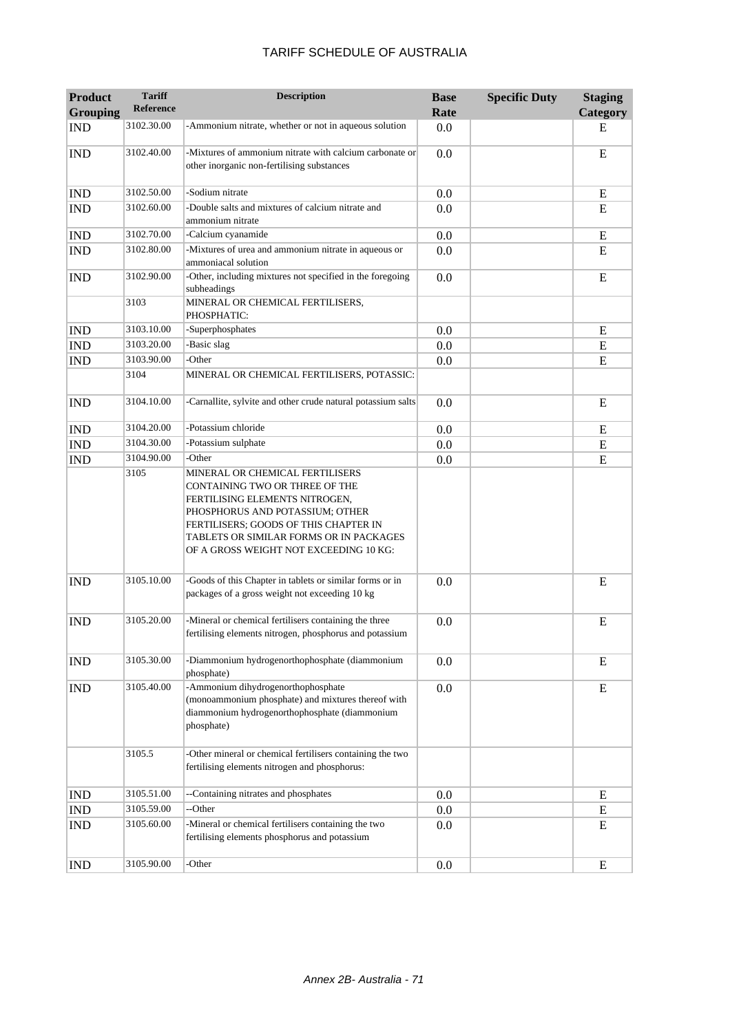| <b>Product</b><br><b>Grouping</b> | <b>Tariff</b><br><b>Reference</b> | <b>Description</b>                                                                                                                                                                                                                                                   | <b>Base</b><br>Rate | <b>Specific Duty</b> | <b>Staging</b><br>Category |
|-----------------------------------|-----------------------------------|----------------------------------------------------------------------------------------------------------------------------------------------------------------------------------------------------------------------------------------------------------------------|---------------------|----------------------|----------------------------|
| <b>IND</b>                        | 3102.30.00                        | -Ammonium nitrate, whether or not in aqueous solution                                                                                                                                                                                                                | 0.0                 |                      | E                          |
| <b>IND</b>                        | 3102.40.00                        | -Mixtures of ammonium nitrate with calcium carbonate or<br>other inorganic non-fertilising substances                                                                                                                                                                | 0.0                 |                      | ${\bf E}$                  |
| <b>IND</b>                        | 3102.50.00                        | -Sodium nitrate                                                                                                                                                                                                                                                      | 0.0                 |                      | E                          |
| <b>IND</b>                        | 3102.60.00                        | -Double salts and mixtures of calcium nitrate and<br>ammonium nitrate                                                                                                                                                                                                | 0.0                 |                      | E                          |
| <b>IND</b>                        | 3102.70.00                        | -Calcium cyanamide                                                                                                                                                                                                                                                   | 0.0                 |                      | E                          |
| <b>IND</b>                        | 3102.80.00                        | -Mixtures of urea and ammonium nitrate in aqueous or<br>ammoniacal solution                                                                                                                                                                                          | 0.0                 |                      | E                          |
| <b>IND</b>                        | 3102.90.00                        | -Other, including mixtures not specified in the foregoing<br>subheadings                                                                                                                                                                                             | 0.0                 |                      | E                          |
|                                   | 3103                              | MINERAL OR CHEMICAL FERTILISERS,<br>PHOSPHATIC:                                                                                                                                                                                                                      |                     |                      |                            |
| <b>IND</b>                        | 3103.10.00                        | -Superphosphates                                                                                                                                                                                                                                                     | 0.0                 |                      | ${\bf E}$                  |
| <b>IND</b>                        | 3103.20.00                        | -Basic slag                                                                                                                                                                                                                                                          | 0.0                 |                      | E                          |
| <b>IND</b>                        | 3103.90.00                        | -Other                                                                                                                                                                                                                                                               | 0.0                 |                      | ${\bf E}$                  |
|                                   | 3104                              | MINERAL OR CHEMICAL FERTILISERS, POTASSIC:                                                                                                                                                                                                                           |                     |                      |                            |
| <b>IND</b>                        | 3104.10.00                        | -Carnallite, sylvite and other crude natural potassium salts                                                                                                                                                                                                         | 0.0                 |                      | E                          |
| <b>IND</b>                        | 3104.20.00                        | -Potassium chloride                                                                                                                                                                                                                                                  | 0.0                 |                      | E                          |
| <b>IND</b>                        | 3104.30.00                        | -Potassium sulphate                                                                                                                                                                                                                                                  | 0.0                 |                      | E                          |
| <b>IND</b>                        | 3104.90.00                        | -Other                                                                                                                                                                                                                                                               | 0.0                 |                      | ${\bf E}$                  |
|                                   | 3105                              | MINERAL OR CHEMICAL FERTILISERS<br>CONTAINING TWO OR THREE OF THE<br>FERTILISING ELEMENTS NITROGEN,<br>PHOSPHORUS AND POTASSIUM; OTHER<br>FERTILISERS; GOODS OF THIS CHAPTER IN<br>TABLETS OR SIMILAR FORMS OR IN PACKAGES<br>OF A GROSS WEIGHT NOT EXCEEDING 10 KG: |                     |                      |                            |
| <b>IND</b>                        | 3105.10.00                        | -Goods of this Chapter in tablets or similar forms or in<br>packages of a gross weight not exceeding 10 kg                                                                                                                                                           | 0.0                 |                      | E                          |
| <b>IND</b>                        | 3105.20.00                        | -Mineral or chemical fertilisers containing the three<br>fertilising elements nitrogen, phosphorus and potassium                                                                                                                                                     | 0.0                 |                      | E                          |
| <b>IND</b>                        | 3105.30.00                        | -Diammonium hydrogenorthophosphate (diammonium<br>phosphate)                                                                                                                                                                                                         | 0.0                 |                      | E                          |
| <b>IND</b>                        | 3105.40.00                        | -Ammonium dihydrogenorthophosphate<br>(monoammonium phosphate) and mixtures thereof with<br>diammonium hydrogenorthophosphate (diammonium<br>phosphate)                                                                                                              | 0.0                 |                      | E                          |
|                                   | 3105.5                            | -Other mineral or chemical fertilisers containing the two<br>fertilising elements nitrogen and phosphorus:                                                                                                                                                           |                     |                      |                            |
| $\mathop{\rm IND}\nolimits$       | 3105.51.00                        | --Containing nitrates and phosphates                                                                                                                                                                                                                                 | 0.0                 |                      | E                          |
| <b>IND</b>                        | 3105.59.00                        | --Other                                                                                                                                                                                                                                                              | 0.0                 |                      | E                          |
| <b>IND</b>                        | 3105.60.00                        | -Mineral or chemical fertilisers containing the two<br>fertilising elements phosphorus and potassium                                                                                                                                                                 | 0.0                 |                      | E                          |
| <b>IND</b>                        | 3105.90.00                        | -Other                                                                                                                                                                                                                                                               | 0.0                 |                      | E                          |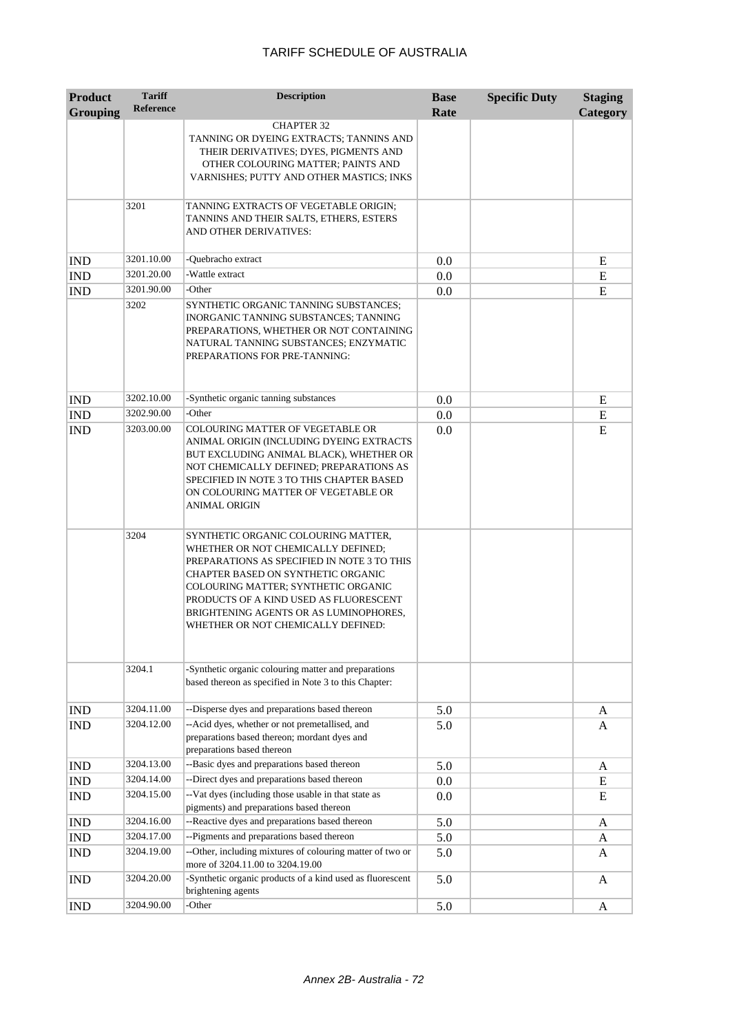| <b>Product</b><br><b>Grouping</b> | <b>Tariff</b><br><b>Reference</b> | <b>Description</b>                                                                                                                                                                                                                                                                                                              | <b>Base</b><br>Rate | <b>Specific Duty</b> | <b>Staging</b><br>Category |
|-----------------------------------|-----------------------------------|---------------------------------------------------------------------------------------------------------------------------------------------------------------------------------------------------------------------------------------------------------------------------------------------------------------------------------|---------------------|----------------------|----------------------------|
|                                   |                                   | <b>CHAPTER 32</b><br>TANNING OR DYEING EXTRACTS; TANNINS AND<br>THEIR DERIVATIVES; DYES, PIGMENTS AND<br>OTHER COLOURING MATTER; PAINTS AND<br>VARNISHES; PUTTY AND OTHER MASTICS; INKS                                                                                                                                         |                     |                      |                            |
|                                   | 3201                              | TANNING EXTRACTS OF VEGETABLE ORIGIN;<br>TANNINS AND THEIR SALTS, ETHERS, ESTERS<br>AND OTHER DERIVATIVES:                                                                                                                                                                                                                      |                     |                      |                            |
| <b>IND</b>                        | 3201.10.00                        | -Ouebracho extract                                                                                                                                                                                                                                                                                                              | 0.0                 |                      | Ε                          |
| <b>IND</b>                        | 3201.20.00                        | -Wattle extract                                                                                                                                                                                                                                                                                                                 | 0.0                 |                      | E                          |
| <b>IND</b>                        | 3201.90.00                        | -Other                                                                                                                                                                                                                                                                                                                          | 0.0                 |                      | E                          |
|                                   | 3202                              | SYNTHETIC ORGANIC TANNING SUBSTANCES;<br>INORGANIC TANNING SUBSTANCES; TANNING<br>PREPARATIONS, WHETHER OR NOT CONTAINING<br>NATURAL TANNING SUBSTANCES; ENZYMATIC<br>PREPARATIONS FOR PRE-TANNING:                                                                                                                             |                     |                      |                            |
| <b>IND</b>                        | 3202.10.00                        | -Synthetic organic tanning substances                                                                                                                                                                                                                                                                                           | 0.0                 |                      | E                          |
| <b>IND</b>                        | 3202.90.00                        | -Other                                                                                                                                                                                                                                                                                                                          | 0.0                 |                      | E                          |
| <b>IND</b>                        | 3203.00.00                        | COLOURING MATTER OF VEGETABLE OR<br>ANIMAL ORIGIN (INCLUDING DYEING EXTRACTS<br>BUT EXCLUDING ANIMAL BLACK), WHETHER OR<br>NOT CHEMICALLY DEFINED; PREPARATIONS AS<br>SPECIFIED IN NOTE 3 TO THIS CHAPTER BASED<br>ON COLOURING MATTER OF VEGETABLE OR<br><b>ANIMAL ORIGIN</b>                                                  | 0.0                 |                      | E                          |
|                                   | 3204                              | SYNTHETIC ORGANIC COLOURING MATTER,<br>WHETHER OR NOT CHEMICALLY DEFINED;<br>PREPARATIONS AS SPECIFIED IN NOTE 3 TO THIS<br>CHAPTER BASED ON SYNTHETIC ORGANIC<br>COLOURING MATTER; SYNTHETIC ORGANIC<br>PRODUCTS OF A KIND USED AS FLUORESCENT<br>BRIGHTENING AGENTS OR AS LUMINOPHORES,<br>WHETHER OR NOT CHEMICALLY DEFINED: |                     |                      |                            |
|                                   | 3204.1                            | -Synthetic organic colouring matter and preparations<br>based thereon as specified in Note 3 to this Chapter:                                                                                                                                                                                                                   |                     |                      |                            |
| <b>IND</b>                        | 3204.11.00                        | --Disperse dyes and preparations based thereon                                                                                                                                                                                                                                                                                  | 5.0                 |                      | A                          |
| IND                               | 3204.12.00                        | --Acid dyes, whether or not premetallised, and<br>preparations based thereon; mordant dyes and<br>preparations based thereon                                                                                                                                                                                                    | 5.0                 |                      | A                          |
| <b>IND</b>                        | 3204.13.00                        | --Basic dyes and preparations based thereon                                                                                                                                                                                                                                                                                     | 5.0                 |                      | A                          |
| IND                               | 3204.14.00                        | --Direct dyes and preparations based thereon                                                                                                                                                                                                                                                                                    | $0.0\,$             |                      | Ε                          |
| <b>IND</b>                        | 3204.15.00                        | --Vat dyes (including those usable in that state as<br>pigments) and preparations based thereon                                                                                                                                                                                                                                 | 0.0                 |                      | E                          |
| <b>IND</b>                        | 3204.16.00                        | --Reactive dyes and preparations based thereon                                                                                                                                                                                                                                                                                  | 5.0                 |                      | A                          |
| <b>IND</b>                        | 3204.17.00                        | --Pigments and preparations based thereon                                                                                                                                                                                                                                                                                       | 5.0                 |                      | A                          |
| <b>IND</b>                        | 3204.19.00                        | --Other, including mixtures of colouring matter of two or<br>more of 3204.11.00 to 3204.19.00                                                                                                                                                                                                                                   | 5.0                 |                      | A                          |
| <b>IND</b>                        | 3204.20.00                        | -Synthetic organic products of a kind used as fluorescent<br>brightening agents                                                                                                                                                                                                                                                 | 5.0                 |                      | A                          |
| <b>IND</b>                        | 3204.90.00                        | -Other                                                                                                                                                                                                                                                                                                                          | 5.0                 |                      | A                          |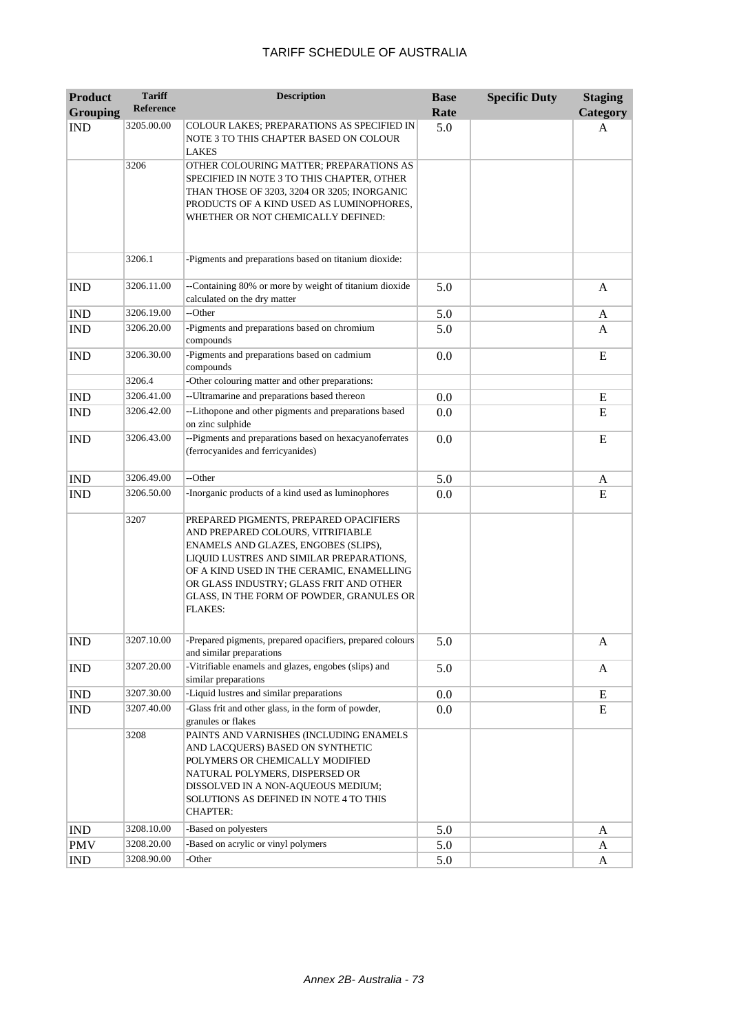| <b>Product</b>              | <b>Tariff</b>    | <b>Description</b>                                                                                                                                                                                                                                                                                                     | <b>Base</b> | <b>Specific Duty</b> | <b>Staging</b> |
|-----------------------------|------------------|------------------------------------------------------------------------------------------------------------------------------------------------------------------------------------------------------------------------------------------------------------------------------------------------------------------------|-------------|----------------------|----------------|
| <b>Grouping</b>             | <b>Reference</b> |                                                                                                                                                                                                                                                                                                                        | Rate        |                      | Category       |
| <b>IND</b>                  | 3205.00.00       | COLOUR LAKES; PREPARATIONS AS SPECIFIED IN<br>NOTE 3 TO THIS CHAPTER BASED ON COLOUR<br><b>LAKES</b>                                                                                                                                                                                                                   | 5.0         |                      | A              |
|                             | 3206             | OTHER COLOURING MATTER; PREPARATIONS AS<br>SPECIFIED IN NOTE 3 TO THIS CHAPTER, OTHER<br>THAN THOSE OF 3203, 3204 OR 3205; INORGANIC<br>PRODUCTS OF A KIND USED AS LUMINOPHORES,<br>WHETHER OR NOT CHEMICALLY DEFINED:                                                                                                 |             |                      |                |
|                             | 3206.1           | -Pigments and preparations based on titanium dioxide:                                                                                                                                                                                                                                                                  |             |                      |                |
| <b>IND</b>                  | 3206.11.00       | --Containing 80% or more by weight of titanium dioxide<br>calculated on the dry matter                                                                                                                                                                                                                                 | 5.0         |                      | A              |
| <b>IND</b>                  | 3206.19.00       | --Other                                                                                                                                                                                                                                                                                                                | 5.0         |                      | A              |
| <b>IND</b>                  | 3206.20.00       | -Pigments and preparations based on chromium<br>compounds                                                                                                                                                                                                                                                              | 5.0         |                      | A              |
| <b>IND</b>                  | 3206.30.00       | -Pigments and preparations based on cadmium<br>compounds                                                                                                                                                                                                                                                               | 0.0         |                      | E              |
|                             | 3206.4           | -Other colouring matter and other preparations:                                                                                                                                                                                                                                                                        |             |                      |                |
| <b>IND</b>                  | 3206.41.00       | -- Ultramarine and preparations based thereon                                                                                                                                                                                                                                                                          | 0.0         |                      | E              |
| <b>IND</b>                  | 3206.42.00       | --Lithopone and other pigments and preparations based<br>on zinc sulphide                                                                                                                                                                                                                                              | 0.0         |                      | E              |
| <b>IND</b>                  | 3206.43.00       | -- Pigments and preparations based on hexacyanoferrates<br>(ferrocyanides and ferricyanides)                                                                                                                                                                                                                           | 0.0         |                      | E              |
| <b>IND</b>                  | 3206.49.00       | --Other                                                                                                                                                                                                                                                                                                                | 5.0         |                      | A              |
| <b>IND</b>                  | 3206.50.00       | -Inorganic products of a kind used as luminophores                                                                                                                                                                                                                                                                     | 0.0         |                      | E              |
|                             | 3207             | PREPARED PIGMENTS, PREPARED OPACIFIERS<br>AND PREPARED COLOURS, VITRIFIABLE<br>ENAMELS AND GLAZES, ENGOBES (SLIPS),<br>LIQUID LUSTRES AND SIMILAR PREPARATIONS,<br>OF A KIND USED IN THE CERAMIC, ENAMELLING<br>OR GLASS INDUSTRY; GLASS FRIT AND OTHER<br>GLASS, IN THE FORM OF POWDER, GRANULES OR<br><b>FLAKES:</b> |             |                      |                |
| <b>IND</b>                  | 3207.10.00       | -Prepared pigments, prepared opacifiers, prepared colours<br>and similar preparations                                                                                                                                                                                                                                  | 5.0         |                      | A              |
| <b>IND</b>                  | 3207.20.00       | -Vitrifiable enamels and glazes, engobes (slips) and<br>similar preparations                                                                                                                                                                                                                                           | 5.0         |                      | A              |
| <b>IND</b>                  | 3207.30.00       | -Liquid lustres and similar preparations                                                                                                                                                                                                                                                                               | 0.0         |                      | E              |
| $\mathop{\rm IND}\nolimits$ | 3207.40.00       | -Glass frit and other glass, in the form of powder,<br>granules or flakes                                                                                                                                                                                                                                              | 0.0         |                      | E              |
|                             | 3208             | PAINTS AND VARNISHES (INCLUDING ENAMELS<br>AND LACQUERS) BASED ON SYNTHETIC<br>POLYMERS OR CHEMICALLY MODIFIED<br>NATURAL POLYMERS, DISPERSED OR<br>DISSOLVED IN A NON-AQUEOUS MEDIUM;<br>SOLUTIONS AS DEFINED IN NOTE 4 TO THIS<br><b>CHAPTER:</b>                                                                    |             |                      |                |
| <b>IND</b>                  | 3208.10.00       | -Based on polyesters                                                                                                                                                                                                                                                                                                   | 5.0         |                      | A              |
| <b>PMV</b>                  | 3208.20.00       | -Based on acrylic or vinyl polymers                                                                                                                                                                                                                                                                                    | 5.0         |                      | A              |
| <b>IND</b>                  | 3208.90.00       | -Other                                                                                                                                                                                                                                                                                                                 | 5.0         |                      | A              |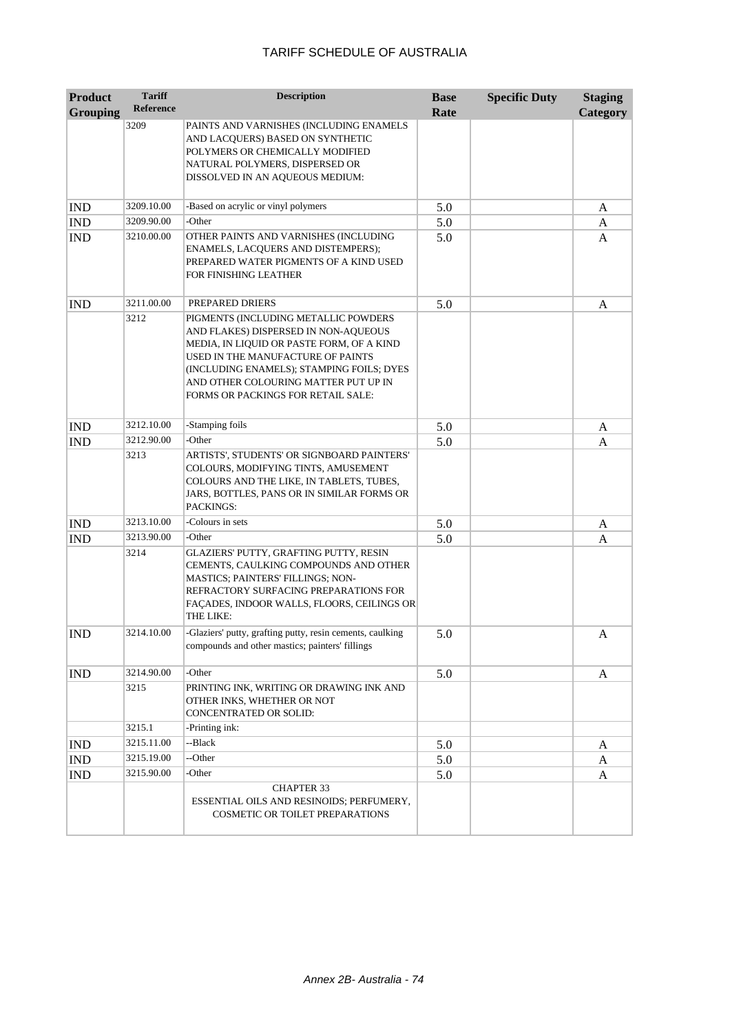| <b>Product</b>  | <b>Tariff</b>    | <b>Description</b>                                                                                                                                                                                                                                                                        | <b>Base</b> | <b>Specific Duty</b> | <b>Staging</b> |
|-----------------|------------------|-------------------------------------------------------------------------------------------------------------------------------------------------------------------------------------------------------------------------------------------------------------------------------------------|-------------|----------------------|----------------|
| <b>Grouping</b> | <b>Reference</b> |                                                                                                                                                                                                                                                                                           | Rate        |                      | Category       |
|                 | 3209             | PAINTS AND VARNISHES (INCLUDING ENAMELS                                                                                                                                                                                                                                                   |             |                      |                |
|                 |                  | AND LACQUERS) BASED ON SYNTHETIC                                                                                                                                                                                                                                                          |             |                      |                |
|                 |                  | POLYMERS OR CHEMICALLY MODIFIED                                                                                                                                                                                                                                                           |             |                      |                |
|                 |                  | NATURAL POLYMERS, DISPERSED OR<br>DISSOLVED IN AN AQUEOUS MEDIUM:                                                                                                                                                                                                                         |             |                      |                |
|                 |                  |                                                                                                                                                                                                                                                                                           |             |                      |                |
| <b>IND</b>      | 3209.10.00       | -Based on acrylic or vinyl polymers                                                                                                                                                                                                                                                       | 5.0         |                      | A              |
| <b>IND</b>      | 3209.90.00       | -Other                                                                                                                                                                                                                                                                                    | 5.0         |                      | A              |
| <b>IND</b>      | 3210.00.00       | OTHER PAINTS AND VARNISHES (INCLUDING<br>ENAMELS, LACQUERS AND DISTEMPERS);<br>PREPARED WATER PIGMENTS OF A KIND USED<br>FOR FINISHING LEATHER                                                                                                                                            | 5.0         |                      | A              |
| <b>IND</b>      | 3211.00.00       | PREPARED DRIERS                                                                                                                                                                                                                                                                           | 5.0         |                      | A              |
|                 | 3212             | PIGMENTS (INCLUDING METALLIC POWDERS<br>AND FLAKES) DISPERSED IN NON-AQUEOUS<br>MEDIA, IN LIQUID OR PASTE FORM, OF A KIND<br>USED IN THE MANUFACTURE OF PAINTS<br>(INCLUDING ENAMELS); STAMPING FOILS; DYES<br>AND OTHER COLOURING MATTER PUT UP IN<br>FORMS OR PACKINGS FOR RETAIL SALE: |             |                      |                |
| <b>IND</b>      | 3212.10.00       | -Stamping foils                                                                                                                                                                                                                                                                           | 5.0         |                      | A              |
| <b>IND</b>      | 3212.90.00       | -Other                                                                                                                                                                                                                                                                                    | 5.0         |                      | A              |
|                 | 3213             | ARTISTS', STUDENTS' OR SIGNBOARD PAINTERS'<br>COLOURS, MODIFYING TINTS, AMUSEMENT<br>COLOURS AND THE LIKE, IN TABLETS, TUBES,<br>JARS, BOTTLES, PANS OR IN SIMILAR FORMS OR<br>PACKINGS:                                                                                                  |             |                      |                |
| <b>IND</b>      | 3213.10.00       | -Colours in sets                                                                                                                                                                                                                                                                          | 5.0         |                      | A              |
| <b>IND</b>      | 3213.90.00       | -Other                                                                                                                                                                                                                                                                                    | 5.0         |                      | A              |
|                 | 3214             | GLAZIERS' PUTTY, GRAFTING PUTTY, RESIN<br>CEMENTS, CAULKING COMPOUNDS AND OTHER<br>MASTICS; PAINTERS' FILLINGS; NON-<br>REFRACTORY SURFACING PREPARATIONS FOR<br>FAÇADES, INDOOR WALLS, FLOORS, CEILINGS OR<br>THE LIKE:                                                                  |             |                      |                |
| <b>IND</b>      | 3214.10.00       | -Glaziers' putty, grafting putty, resin cements, caulking<br>compounds and other mastics; painters' fillings                                                                                                                                                                              | 5.0         |                      | A              |
| <b>IND</b>      | 3214.90.00       | -Other                                                                                                                                                                                                                                                                                    | 5.0         |                      | A              |
|                 | 3215             | PRINTING INK, WRITING OR DRAWING INK AND<br>OTHER INKS, WHETHER OR NOT<br>CONCENTRATED OR SOLID:                                                                                                                                                                                          |             |                      |                |
|                 | 3215.1           | -Printing ink:                                                                                                                                                                                                                                                                            |             |                      |                |
| <b>IND</b>      | 3215.11.00       | --Black                                                                                                                                                                                                                                                                                   | 5.0         |                      | A              |
| <b>IND</b>      | 3215.19.00       | --Other                                                                                                                                                                                                                                                                                   | 5.0         |                      | A              |
| <b>IND</b>      | 3215.90.00       | -Other                                                                                                                                                                                                                                                                                    | 5.0         |                      | A              |
|                 |                  | <b>CHAPTER 33</b><br>ESSENTIAL OILS AND RESINOIDS; PERFUMERY,<br>COSMETIC OR TOILET PREPARATIONS                                                                                                                                                                                          |             |                      |                |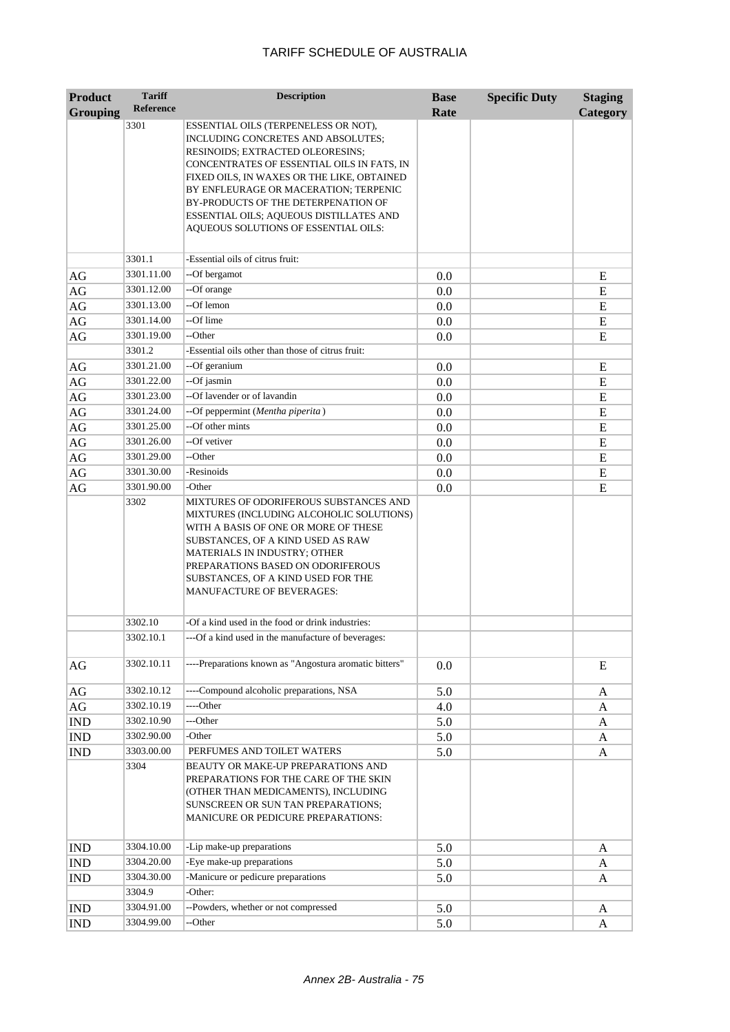| <b>Product</b>  | <b>Tariff</b>            | <b>Description</b>                                                                                                                                                                                                                                                                                                                                                            | <b>Base</b> | <b>Specific Duty</b> | <b>Staging</b> |
|-----------------|--------------------------|-------------------------------------------------------------------------------------------------------------------------------------------------------------------------------------------------------------------------------------------------------------------------------------------------------------------------------------------------------------------------------|-------------|----------------------|----------------|
| <b>Grouping</b> | <b>Reference</b>         |                                                                                                                                                                                                                                                                                                                                                                               | Rate        |                      | Category       |
|                 | 3301                     | ESSENTIAL OILS (TERPENELESS OR NOT),<br>INCLUDING CONCRETES AND ABSOLUTES;<br>RESINOIDS; EXTRACTED OLEORESINS;<br>CONCENTRATES OF ESSENTIAL OILS IN FATS, IN<br>FIXED OILS, IN WAXES OR THE LIKE, OBTAINED<br>BY ENFLEURAGE OR MACERATION; TERPENIC<br>BY-PRODUCTS OF THE DETERPENATION OF<br>ESSENTIAL OILS; AQUEOUS DISTILLATES AND<br>AQUEOUS SOLUTIONS OF ESSENTIAL OILS: |             |                      |                |
|                 |                          |                                                                                                                                                                                                                                                                                                                                                                               |             |                      |                |
|                 | 3301.1                   | -Essential oils of citrus fruit:                                                                                                                                                                                                                                                                                                                                              |             |                      |                |
| AG              | 3301.11.00               | --Of bergamot                                                                                                                                                                                                                                                                                                                                                                 | 0.0         |                      | E              |
| $\rm{AG}$       | 3301.12.00               | --Of orange                                                                                                                                                                                                                                                                                                                                                                   | 0.0         |                      | E              |
| $\rm{AG}$       | 3301.13.00               | --Of lemon                                                                                                                                                                                                                                                                                                                                                                    | 0.0         |                      | E              |
| $\rm{AG}$       | 3301.14.00               | --Of lime<br>--Other                                                                                                                                                                                                                                                                                                                                                          | 0.0         |                      | E              |
| AG              | 3301.19.00               |                                                                                                                                                                                                                                                                                                                                                                               | 0.0         |                      | E              |
|                 | 3301.2                   | -Essential oils other than those of citrus fruit:                                                                                                                                                                                                                                                                                                                             |             |                      |                |
| AG              | 3301.21.00<br>3301.22.00 | --Of geranium                                                                                                                                                                                                                                                                                                                                                                 | 0.0         |                      | E              |
| $\rm{AG}$       |                          | --Of jasmin<br>--Of lavender or of lavandin                                                                                                                                                                                                                                                                                                                                   | 0.0         |                      | ${\bf E}$      |
| $\rm{AG}$       | 3301.23.00<br>3301.24.00 |                                                                                                                                                                                                                                                                                                                                                                               | 0.0         |                      | E              |
| $\rm{AG}$       | 3301.25.00               | --Of peppermint (Mentha piperita)<br>--Of other mints                                                                                                                                                                                                                                                                                                                         | 0.0         |                      | E              |
| $\rm{AG}$       | 3301.26.00               | --Of vetiver                                                                                                                                                                                                                                                                                                                                                                  | 0.0         |                      | E              |
| AG<br>AG        | 3301.29.00               | --Other                                                                                                                                                                                                                                                                                                                                                                       | 0.0<br>0.0  |                      | E<br>${\bf E}$ |
|                 | 3301.30.00               | -Resinoids                                                                                                                                                                                                                                                                                                                                                                    | 0.0         |                      | E              |
| AG              | 3301.90.00               | -Other                                                                                                                                                                                                                                                                                                                                                                        |             |                      | E              |
| AG              | 3302                     | MIXTURES OF ODORIFEROUS SUBSTANCES AND                                                                                                                                                                                                                                                                                                                                        | 0.0         |                      |                |
|                 |                          | MIXTURES (INCLUDING ALCOHOLIC SOLUTIONS)<br>WITH A BASIS OF ONE OR MORE OF THESE<br>SUBSTANCES, OF A KIND USED AS RAW<br>MATERIALS IN INDUSTRY; OTHER<br>PREPARATIONS BASED ON ODORIFEROUS<br>SUBSTANCES, OF A KIND USED FOR THE<br><b>MANUFACTURE OF BEVERAGES:</b>                                                                                                          |             |                      |                |
|                 | 3302.10                  | -Of a kind used in the food or drink industries:                                                                                                                                                                                                                                                                                                                              |             |                      |                |
|                 | 3302.10.1                | --Of a kind used in the manufacture of beverages:                                                                                                                                                                                                                                                                                                                             |             |                      |                |
| AG              | 3302.10.11               | ----Preparations known as "Angostura aromatic bitters"                                                                                                                                                                                                                                                                                                                        | 0.0         |                      | E              |
| AG              | 3302.10.12               | ----Compound alcoholic preparations, NSA                                                                                                                                                                                                                                                                                                                                      | 5.0         |                      | A              |
| $\rm{AG}$       | 3302.10.19               | ----Other                                                                                                                                                                                                                                                                                                                                                                     | 4.0         |                      | A              |
| <b>IND</b>      | 3302.10.90               | ---Other                                                                                                                                                                                                                                                                                                                                                                      | 5.0         |                      | A              |
| <b>IND</b>      | 3302.90.00               | -Other                                                                                                                                                                                                                                                                                                                                                                        | 5.0         |                      | A              |
| <b>IND</b>      | 3303.00.00               | PERFUMES AND TOILET WATERS                                                                                                                                                                                                                                                                                                                                                    | 5.0         |                      | A              |
|                 | 3304                     | BEAUTY OR MAKE-UP PREPARATIONS AND<br>PREPARATIONS FOR THE CARE OF THE SKIN<br>(OTHER THAN MEDICAMENTS), INCLUDING<br>SUNSCREEN OR SUN TAN PREPARATIONS;<br>MANICURE OR PEDICURE PREPARATIONS:                                                                                                                                                                                |             |                      |                |
| <b>IND</b>      | 3304.10.00               | -Lip make-up preparations                                                                                                                                                                                                                                                                                                                                                     | 5.0         |                      | A              |
| <b>IND</b>      | 3304.20.00               | -Eye make-up preparations                                                                                                                                                                                                                                                                                                                                                     | 5.0         |                      | A              |
| <b>IND</b>      | 3304.30.00               | -Manicure or pedicure preparations                                                                                                                                                                                                                                                                                                                                            | 5.0         |                      | A              |
|                 | 3304.9                   | -Other:                                                                                                                                                                                                                                                                                                                                                                       |             |                      |                |
| <b>IND</b>      | 3304.91.00               | --Powders, whether or not compressed                                                                                                                                                                                                                                                                                                                                          | 5.0         |                      | A              |
| IND             | 3304.99.00               | --Other                                                                                                                                                                                                                                                                                                                                                                       | 5.0         |                      | A              |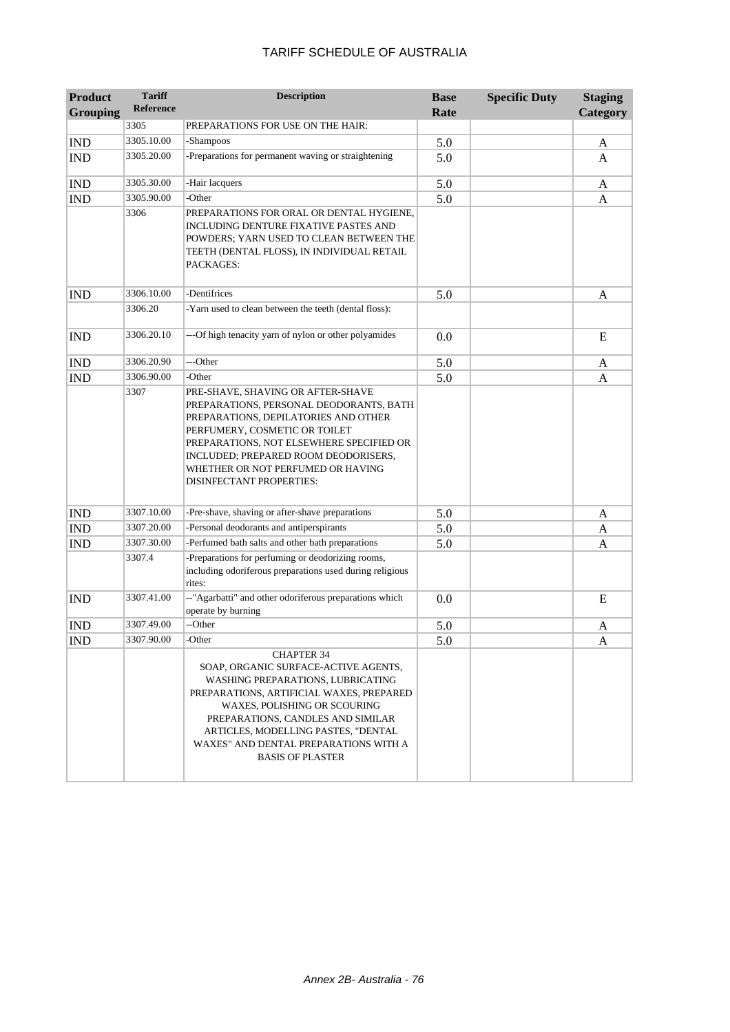| <b>Product</b><br><b>Grouping</b> | <b>Tariff</b><br>Reference | <b>Description</b>                                                                                                                                                                                                                                                                                                                | <b>Base</b><br>Rate | <b>Specific Duty</b> | <b>Staging</b><br><b>Category</b> |
|-----------------------------------|----------------------------|-----------------------------------------------------------------------------------------------------------------------------------------------------------------------------------------------------------------------------------------------------------------------------------------------------------------------------------|---------------------|----------------------|-----------------------------------|
|                                   | 3305                       | PREPARATIONS FOR USE ON THE HAIR:                                                                                                                                                                                                                                                                                                 |                     |                      |                                   |
| <b>IND</b>                        | 3305.10.00                 | -Shampoos                                                                                                                                                                                                                                                                                                                         | 5.0                 |                      | A                                 |
| <b>IND</b>                        | 3305.20.00                 | -Preparations for permanent waving or straightening                                                                                                                                                                                                                                                                               | 5.0                 |                      | A                                 |
| <b>IND</b>                        | 3305.30.00                 | -Hair lacquers                                                                                                                                                                                                                                                                                                                    | 5.0                 |                      | A                                 |
| <b>IND</b>                        | 3305.90.00                 | -Other                                                                                                                                                                                                                                                                                                                            | 5.0                 |                      | A                                 |
|                                   | 3306                       | PREPARATIONS FOR ORAL OR DENTAL HYGIENE,<br>INCLUDING DENTURE FIXATIVE PASTES AND<br>POWDERS; YARN USED TO CLEAN BETWEEN THE<br>TEETH (DENTAL FLOSS), IN INDIVIDUAL RETAIL<br>PACKAGES:                                                                                                                                           |                     |                      |                                   |
| <b>IND</b>                        | 3306.10.00                 | -Dentifrices                                                                                                                                                                                                                                                                                                                      | 5.0                 |                      | A                                 |
|                                   | 3306.20                    | -Yarn used to clean between the teeth (dental floss):                                                                                                                                                                                                                                                                             |                     |                      |                                   |
| <b>IND</b>                        | 3306.20.10                 | ---Of high tenacity yarn of nylon or other polyamides                                                                                                                                                                                                                                                                             | 0.0                 |                      | E                                 |
| <b>IND</b>                        | 3306.20.90                 | ---Other                                                                                                                                                                                                                                                                                                                          | 5.0                 |                      | A                                 |
| <b>IND</b>                        | 3306.90.00                 | -Other                                                                                                                                                                                                                                                                                                                            | 5.0                 |                      | A                                 |
|                                   | 3307                       | PRE-SHAVE, SHAVING OR AFTER-SHAVE<br>PREPARATIONS, PERSONAL DEODORANTS, BATH<br>PREPARATIONS, DEPILATORIES AND OTHER<br>PERFUMERY, COSMETIC OR TOILET<br>PREPARATIONS, NOT ELSEWHERE SPECIFIED OR<br>INCLUDED; PREPARED ROOM DEODORISERS,<br>WHETHER OR NOT PERFUMED OR HAVING<br>DISINFECTANT PROPERTIES:                        |                     |                      |                                   |
| <b>IND</b>                        | 3307.10.00                 | -Pre-shave, shaving or after-shave preparations                                                                                                                                                                                                                                                                                   | 5.0                 |                      | A                                 |
| <b>IND</b>                        | 3307.20.00                 | -Personal deodorants and antiperspirants                                                                                                                                                                                                                                                                                          | 5.0                 |                      | A                                 |
| <b>IND</b>                        | 3307.30.00                 | -Perfumed bath salts and other bath preparations                                                                                                                                                                                                                                                                                  | 5.0                 |                      | A                                 |
|                                   | 3307.4                     | -Preparations for perfuming or deodorizing rooms,<br>including odoriferous preparations used during religious<br>rites:                                                                                                                                                                                                           |                     |                      |                                   |
| <b>IND</b>                        | 3307.41.00                 | --"Agarbatti" and other odoriferous preparations which<br>operate by burning                                                                                                                                                                                                                                                      | 0.0                 |                      | E                                 |
| <b>IND</b>                        | 3307.49.00                 | --Other                                                                                                                                                                                                                                                                                                                           | 5.0                 |                      | A                                 |
| <b>IND</b>                        | 3307.90.00                 | -Other                                                                                                                                                                                                                                                                                                                            | 5.0                 |                      | A                                 |
|                                   |                            | <b>CHAPTER 34</b><br>SOAP, ORGANIC SURFACE-ACTIVE AGENTS,<br><b>WASHING PREPARATIONS, LUBRICATING</b><br>PREPARATIONS, ARTIFICIAL WAXES, PREPARED<br>WAXES, POLISHING OR SCOURING<br>PREPARATIONS, CANDLES AND SIMILAR<br>ARTICLES, MODELLING PASTES, "DENTAL<br>WAXES" AND DENTAL PREPARATIONS WITH A<br><b>BASIS OF PLASTER</b> |                     |                      |                                   |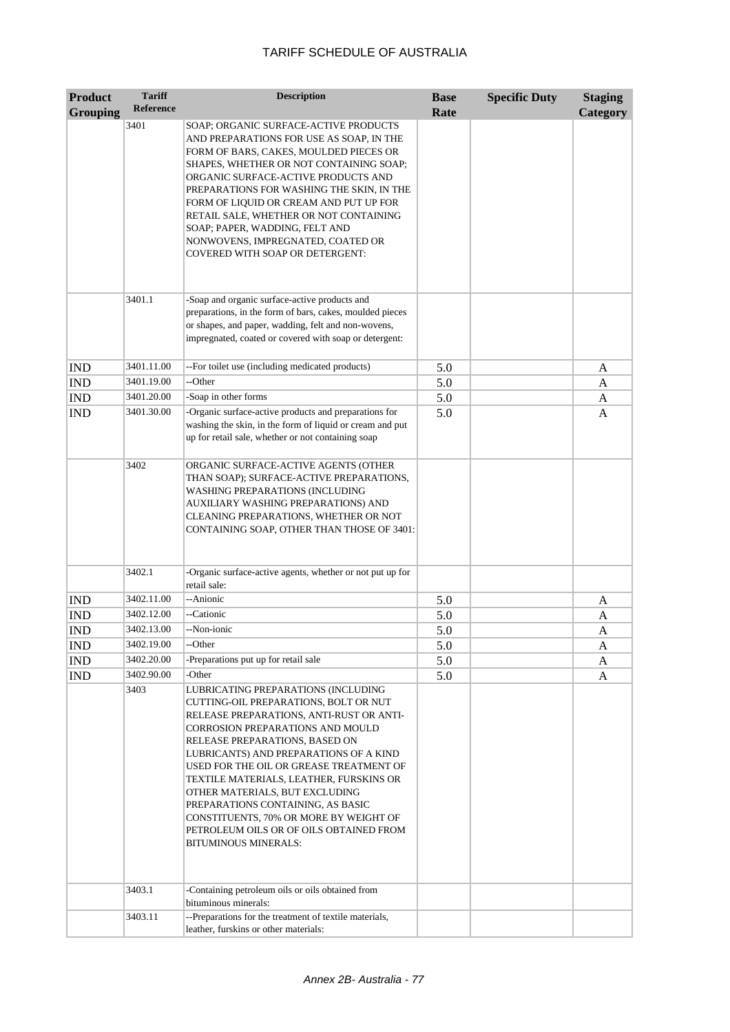| <b>Product</b><br><b>Grouping</b> | <b>Tariff</b><br><b>Reference</b> | <b>Description</b>                                                                                                                                                                                                                                                                                                                                                                                                                                                                                                               | <b>Base</b><br>Rate | <b>Specific Duty</b> | <b>Staging</b><br>Category |
|-----------------------------------|-----------------------------------|----------------------------------------------------------------------------------------------------------------------------------------------------------------------------------------------------------------------------------------------------------------------------------------------------------------------------------------------------------------------------------------------------------------------------------------------------------------------------------------------------------------------------------|---------------------|----------------------|----------------------------|
|                                   | 3401                              | SOAP; ORGANIC SURFACE-ACTIVE PRODUCTS<br>AND PREPARATIONS FOR USE AS SOAP, IN THE<br>FORM OF BARS, CAKES, MOULDED PIECES OR<br>SHAPES, WHETHER OR NOT CONTAINING SOAP;<br>ORGANIC SURFACE-ACTIVE PRODUCTS AND<br>PREPARATIONS FOR WASHING THE SKIN, IN THE<br>FORM OF LIQUID OR CREAM AND PUT UP FOR<br>RETAIL SALE, WHETHER OR NOT CONTAINING<br>SOAP; PAPER, WADDING, FELT AND<br>NONWOVENS, IMPREGNATED, COATED OR<br><b>COVERED WITH SOAP OR DETERGENT:</b>                                                                  |                     |                      |                            |
|                                   | 3401.1                            | -Soap and organic surface-active products and<br>preparations, in the form of bars, cakes, moulded pieces<br>or shapes, and paper, wadding, felt and non-wovens,<br>impregnated, coated or covered with soap or detergent:                                                                                                                                                                                                                                                                                                       |                     |                      |                            |
| <b>IND</b>                        | 3401.11.00                        | --For toilet use (including medicated products)                                                                                                                                                                                                                                                                                                                                                                                                                                                                                  | 5.0                 |                      | A                          |
| <b>IND</b>                        | 3401.19.00                        | --Other                                                                                                                                                                                                                                                                                                                                                                                                                                                                                                                          | 5.0                 |                      | A                          |
| <b>IND</b>                        | 3401.20.00                        | -Soap in other forms                                                                                                                                                                                                                                                                                                                                                                                                                                                                                                             | 5.0                 |                      | A                          |
| <b>IND</b>                        | 3401.30.00                        | -Organic surface-active products and preparations for<br>washing the skin, in the form of liquid or cream and put<br>up for retail sale, whether or not containing soap                                                                                                                                                                                                                                                                                                                                                          | 5.0                 |                      | A                          |
|                                   | 3402                              | ORGANIC SURFACE-ACTIVE AGENTS (OTHER<br>THAN SOAP); SURFACE-ACTIVE PREPARATIONS,<br>WASHING PREPARATIONS (INCLUDING<br>AUXILIARY WASHING PREPARATIONS) AND<br>CLEANING PREPARATIONS, WHETHER OR NOT<br>CONTAINING SOAP, OTHER THAN THOSE OF 3401:                                                                                                                                                                                                                                                                                |                     |                      |                            |
|                                   | 3402.1                            | -Organic surface-active agents, whether or not put up for<br>retail sale:                                                                                                                                                                                                                                                                                                                                                                                                                                                        |                     |                      |                            |
| <b>IND</b>                        | 3402.11.00                        | --Anionic                                                                                                                                                                                                                                                                                                                                                                                                                                                                                                                        | 5.0                 |                      | A                          |
| <b>IND</b>                        | 3402.12.00                        | --Cationic                                                                                                                                                                                                                                                                                                                                                                                                                                                                                                                       | 5.0                 |                      | A                          |
| <b>IND</b>                        | 3402.13.00                        | --Non-ionic                                                                                                                                                                                                                                                                                                                                                                                                                                                                                                                      | 5.0                 |                      | A                          |
| <b>IND</b>                        | 3402.19.00                        | --Other                                                                                                                                                                                                                                                                                                                                                                                                                                                                                                                          | 5.0                 |                      | A                          |
| IND                               | 3402.20.00                        | -Preparations put up for retail sale                                                                                                                                                                                                                                                                                                                                                                                                                                                                                             | 5.0                 |                      | A                          |
| <b>IND</b>                        | 3402.90.00                        | -Other                                                                                                                                                                                                                                                                                                                                                                                                                                                                                                                           | 5.0                 |                      | A                          |
|                                   | 3403                              | LUBRICATING PREPARATIONS (INCLUDING<br>CUTTING-OIL PREPARATIONS, BOLT OR NUT<br>RELEASE PREPARATIONS, ANTI-RUST OR ANTI-<br><b>CORROSION PREPARATIONS AND MOULD</b><br>RELEASE PREPARATIONS, BASED ON<br>LUBRICANTS) AND PREPARATIONS OF A KIND<br>USED FOR THE OIL OR GREASE TREATMENT OF<br>TEXTILE MATERIALS, LEATHER, FURSKINS OR<br>OTHER MATERIALS, BUT EXCLUDING<br>PREPARATIONS CONTAINING, AS BASIC<br>CONSTITUENTS, 70% OR MORE BY WEIGHT OF<br>PETROLEUM OILS OR OF OILS OBTAINED FROM<br><b>BITUMINOUS MINERALS:</b> |                     |                      |                            |
|                                   | 3403.1                            | -Containing petroleum oils or oils obtained from<br>bituminous minerals:                                                                                                                                                                                                                                                                                                                                                                                                                                                         |                     |                      |                            |
|                                   | 3403.11                           | --Preparations for the treatment of textile materials,<br>leather, furskins or other materials:                                                                                                                                                                                                                                                                                                                                                                                                                                  |                     |                      |                            |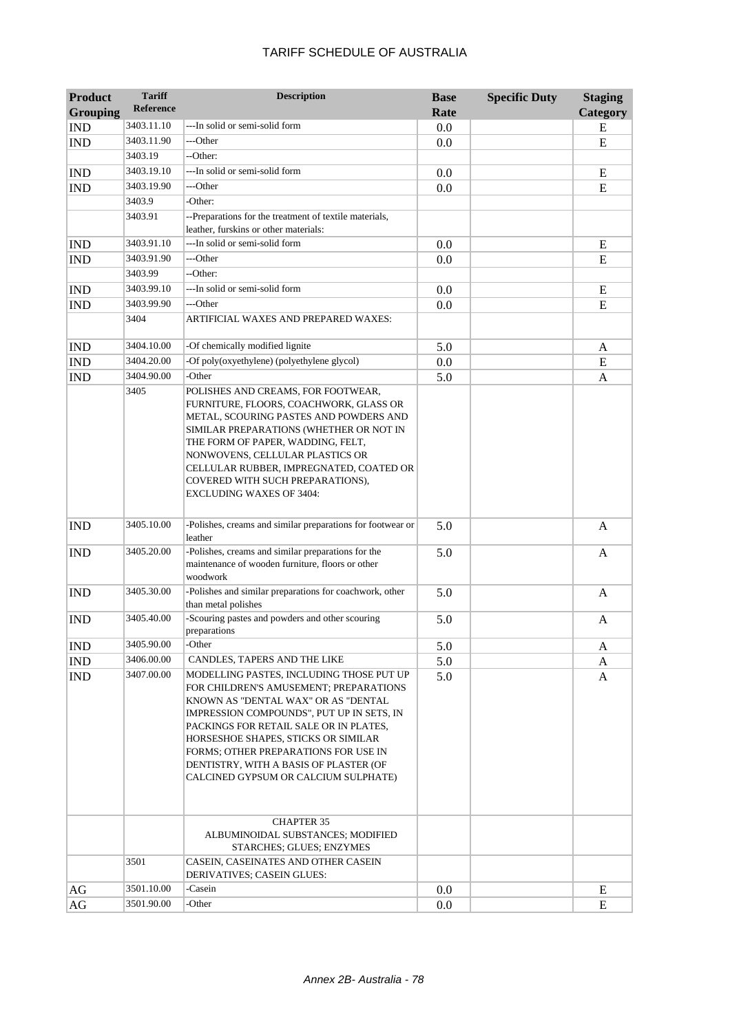| TARIFF SCHEDULE OF AUSTRALIA |
|------------------------------|
|------------------------------|

| <b>Product</b><br><b>Grouping</b> | <b>Tariff</b><br><b>Reference</b> | <b>Description</b>                                                                                                                                                                                                                                                                                                                                                                | <b>Base</b> | <b>Specific Duty</b> | <b>Staging</b>  |
|-----------------------------------|-----------------------------------|-----------------------------------------------------------------------------------------------------------------------------------------------------------------------------------------------------------------------------------------------------------------------------------------------------------------------------------------------------------------------------------|-------------|----------------------|-----------------|
|                                   | 3403.11.10                        | ---In solid or semi-solid form                                                                                                                                                                                                                                                                                                                                                    | Rate        |                      | <b>Category</b> |
| <b>IND</b>                        | 3403.11.90                        | ---Other                                                                                                                                                                                                                                                                                                                                                                          | 0.0         |                      | E               |
| <b>IND</b>                        | 3403.19                           | --Other:                                                                                                                                                                                                                                                                                                                                                                          | 0.0         |                      | E               |
| <b>IND</b>                        | 3403.19.10                        | ---In solid or semi-solid form                                                                                                                                                                                                                                                                                                                                                    | 0.0         |                      | E               |
| <b>IND</b>                        | 3403.19.90                        | ---Other                                                                                                                                                                                                                                                                                                                                                                          | 0.0         |                      | E               |
|                                   | 3403.9                            | -Other:                                                                                                                                                                                                                                                                                                                                                                           |             |                      |                 |
|                                   | 3403.91                           | --Preparations for the treatment of textile materials,                                                                                                                                                                                                                                                                                                                            |             |                      |                 |
|                                   |                                   | leather, furskins or other materials:                                                                                                                                                                                                                                                                                                                                             |             |                      |                 |
| <b>IND</b>                        | 3403.91.10                        | ---In solid or semi-solid form                                                                                                                                                                                                                                                                                                                                                    | 0.0         |                      | E               |
| <b>IND</b>                        | 3403.91.90                        | ---Other                                                                                                                                                                                                                                                                                                                                                                          | 0.0         |                      | E               |
|                                   | 3403.99                           | --Other:                                                                                                                                                                                                                                                                                                                                                                          |             |                      |                 |
| <b>IND</b>                        | 3403.99.10                        | ---In solid or semi-solid form                                                                                                                                                                                                                                                                                                                                                    | 0.0         |                      | E               |
| <b>IND</b>                        | 3403.99.90                        | ---Other                                                                                                                                                                                                                                                                                                                                                                          | 0.0         |                      | E               |
|                                   | 3404                              | ARTIFICIAL WAXES AND PREPARED WAXES:                                                                                                                                                                                                                                                                                                                                              |             |                      |                 |
| <b>IND</b>                        | 3404.10.00                        | -Of chemically modified lignite                                                                                                                                                                                                                                                                                                                                                   | 5.0         |                      | A               |
| <b>IND</b>                        | 3404.20.00                        | -Of poly(oxyethylene) (polyethylene glycol)                                                                                                                                                                                                                                                                                                                                       | 0.0         |                      | E               |
| <b>IND</b>                        | 3404.90.00                        | -Other                                                                                                                                                                                                                                                                                                                                                                            | 5.0         |                      | A               |
|                                   | 3405                              | POLISHES AND CREAMS, FOR FOOTWEAR,<br>FURNITURE, FLOORS, COACHWORK, GLASS OR<br>METAL, SCOURING PASTES AND POWDERS AND<br>SIMILAR PREPARATIONS (WHETHER OR NOT IN<br>THE FORM OF PAPER, WADDING, FELT,<br>NONWOVENS, CELLULAR PLASTICS OR<br>CELLULAR RUBBER, IMPREGNATED, COATED OR<br>COVERED WITH SUCH PREPARATIONS),<br><b>EXCLUDING WAXES OF 3404:</b>                       |             |                      |                 |
| <b>IND</b>                        | 3405.10.00                        | -Polishes, creams and similar preparations for footwear or<br>leather                                                                                                                                                                                                                                                                                                             | 5.0         |                      | A               |
| <b>IND</b>                        | 3405.20.00                        | -Polishes, creams and similar preparations for the<br>maintenance of wooden furniture, floors or other<br>woodwork                                                                                                                                                                                                                                                                | 5.0         |                      | A               |
| <b>IND</b>                        | 3405.30.00                        | -Polishes and similar preparations for coachwork, other<br>than metal polishes                                                                                                                                                                                                                                                                                                    | 5.0         |                      | A               |
| <b>IND</b>                        | 3405.40.00                        | -Scouring pastes and powders and other scouring<br>preparations                                                                                                                                                                                                                                                                                                                   | 5.0         |                      | A               |
| <b>IND</b>                        | 3405.90.00                        | -Other                                                                                                                                                                                                                                                                                                                                                                            | 5.0         |                      | A               |
| <b>IND</b>                        | 3406.00.00                        | CANDLES, TAPERS AND THE LIKE                                                                                                                                                                                                                                                                                                                                                      | 5.0         |                      | A               |
| <b>IND</b>                        | 3407.00.00                        | MODELLING PASTES, INCLUDING THOSE PUT UP<br>FOR CHILDREN'S AMUSEMENT; PREPARATIONS<br>KNOWN AS "DENTAL WAX" OR AS "DENTAL<br>IMPRESSION COMPOUNDS", PUT UP IN SETS, IN<br>PACKINGS FOR RETAIL SALE OR IN PLATES.<br>HORSESHOE SHAPES, STICKS OR SIMILAR<br>FORMS; OTHER PREPARATIONS FOR USE IN<br>DENTISTRY, WITH A BASIS OF PLASTER (OF<br>CALCINED GYPSUM OR CALCIUM SULPHATE) | 5.0         |                      | A               |
|                                   | 3501                              | <b>CHAPTER 35</b><br>ALBUMINOIDAL SUBSTANCES; MODIFIED<br>STARCHES; GLUES; ENZYMES<br>CASEIN, CASEINATES AND OTHER CASEIN                                                                                                                                                                                                                                                         |             |                      |                 |
|                                   |                                   | DERIVATIVES; CASEIN GLUES:                                                                                                                                                                                                                                                                                                                                                        |             |                      |                 |
| AG                                | 3501.10.00                        | -Casein                                                                                                                                                                                                                                                                                                                                                                           | 0.0         |                      | E               |
| AG                                | 3501.90.00                        | -Other                                                                                                                                                                                                                                                                                                                                                                            | 0.0         |                      | E               |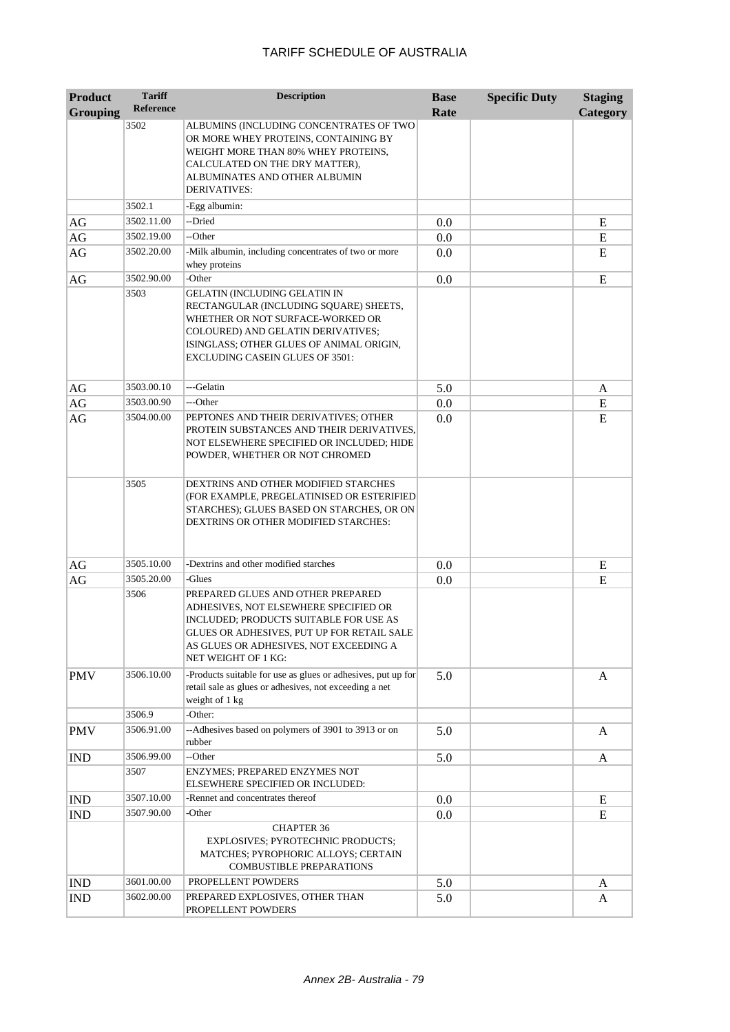| <b>Product</b>  | <b>Tariff</b>    | <b>Description</b>                                                                                                                                                                                                                      | <b>Base</b> | <b>Specific Duty</b> | <b>Staging</b> |
|-----------------|------------------|-----------------------------------------------------------------------------------------------------------------------------------------------------------------------------------------------------------------------------------------|-------------|----------------------|----------------|
| <b>Grouping</b> | <b>Reference</b> |                                                                                                                                                                                                                                         | Rate        |                      | Category       |
|                 | 3502             | ALBUMINS (INCLUDING CONCENTRATES OF TWO<br>OR MORE WHEY PROTEINS, CONTAINING BY<br>WEIGHT MORE THAN 80% WHEY PROTEINS,<br>CALCULATED ON THE DRY MATTER),<br>ALBUMINATES AND OTHER ALBUMIN<br>DERIVATIVES:                               |             |                      |                |
|                 | 3502.1           | -Egg albumin:                                                                                                                                                                                                                           |             |                      |                |
| AG              | 3502.11.00       | --Dried                                                                                                                                                                                                                                 | 0.0         |                      | E              |
| AG              | 3502.19.00       | --Other                                                                                                                                                                                                                                 | 0.0         |                      | E              |
| AG              | 3502.20.00       | -Milk albumin, including concentrates of two or more<br>whey proteins                                                                                                                                                                   | 0.0         |                      | E              |
| AG              | 3502.90.00       | -Other                                                                                                                                                                                                                                  | 0.0         |                      | E              |
|                 | 3503             | GELATIN (INCLUDING GELATIN IN<br>RECTANGULAR (INCLUDING SQUARE) SHEETS,<br>WHETHER OR NOT SURFACE-WORKED OR<br>COLOURED) AND GELATIN DERIVATIVES;<br>ISINGLASS; OTHER GLUES OF ANIMAL ORIGIN,<br><b>EXCLUDING CASEIN GLUES OF 3501:</b> |             |                      |                |
| AG              | 3503.00.10       | ---Gelatin                                                                                                                                                                                                                              | 5.0         |                      | A              |
| AG              | 3503.00.90       | ---Other                                                                                                                                                                                                                                | 0.0         |                      | E              |
| AG              | 3504.00.00       | PEPTONES AND THEIR DERIVATIVES; OTHER<br>PROTEIN SUBSTANCES AND THEIR DERIVATIVES,<br>NOT ELSEWHERE SPECIFIED OR INCLUDED; HIDE<br>POWDER, WHETHER OR NOT CHROMED                                                                       | 0.0         |                      | E              |
|                 | 3505             | DEXTRINS AND OTHER MODIFIED STARCHES<br>(FOR EXAMPLE, PREGELATINISED OR ESTERIFIED<br>STARCHES); GLUES BASED ON STARCHES, OR ON<br>DEXTRINS OR OTHER MODIFIED STARCHES:                                                                 |             |                      |                |
| AG              | 3505.10.00       | -Dextrins and other modified starches                                                                                                                                                                                                   | 0.0         |                      | E              |
| AG              | 3505.20.00       | -Glues                                                                                                                                                                                                                                  | 0.0         |                      | E              |
|                 | 3506             | PREPARED GLUES AND OTHER PREPARED<br>ADHESIVES, NOT ELSEWHERE SPECIFIED OR<br>INCLUDED; PRODUCTS SUITABLE FOR USE AS<br>GLUES OR ADHESIVES, PUT UP FOR RETAIL SALE<br>AS GLUES OR ADHESIVES, NOT EXCEEDING A<br>NET WEIGHT OF 1 KG:     |             |                      |                |
| <b>PMV</b>      | 3506.10.00       | -Products suitable for use as glues or adhesives, put up for<br>retail sale as glues or adhesives, not exceeding a net<br>weight of 1 kg                                                                                                | 5.0         |                      | A              |
|                 | 3506.9           | -Other:                                                                                                                                                                                                                                 |             |                      |                |
| <b>PMV</b>      | 3506.91.00       | --Adhesives based on polymers of 3901 to 3913 or on<br>rubber                                                                                                                                                                           | 5.0         |                      | A              |
| <b>IND</b>      | 3506.99.00       | --Other                                                                                                                                                                                                                                 | 5.0         |                      | A              |
|                 | 3507             | ENZYMES; PREPARED ENZYMES NOT<br>ELSEWHERE SPECIFIED OR INCLUDED:                                                                                                                                                                       |             |                      |                |
| <b>IND</b>      | 3507.10.00       | -Rennet and concentrates thereof                                                                                                                                                                                                        | 0.0         |                      | E              |
| <b>IND</b>      | 3507.90.00       | -Other                                                                                                                                                                                                                                  | 0.0         |                      | E              |
|                 |                  | <b>CHAPTER 36</b><br>EXPLOSIVES; PYROTECHNIC PRODUCTS;<br>MATCHES; PYROPHORIC ALLOYS; CERTAIN<br>COMBUSTIBLE PREPARATIONS                                                                                                               |             |                      |                |
| <b>IND</b>      | 3601.00.00       | PROPELLENT POWDERS                                                                                                                                                                                                                      | 5.0         |                      | A              |
| <b>IND</b>      | 3602.00.00       | PREPARED EXPLOSIVES, OTHER THAN<br>PROPELLENT POWDERS                                                                                                                                                                                   | 5.0         |                      | A              |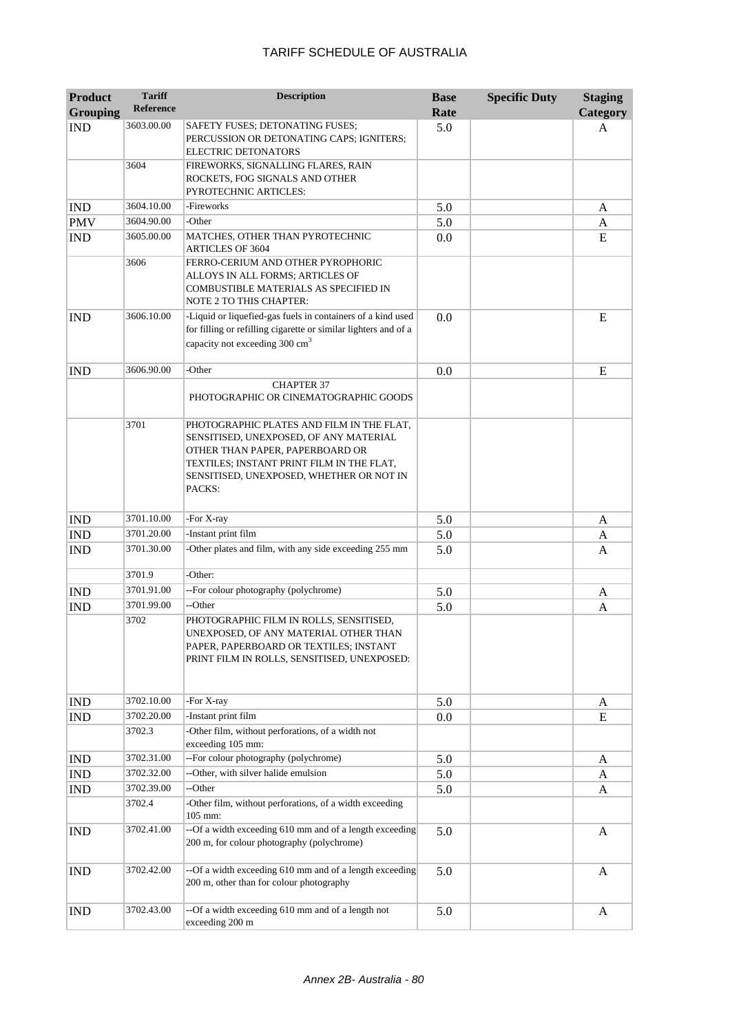| <b>Product</b><br><b>Grouping</b> | <b>Tariff</b><br><b>Reference</b> | <b>Description</b>                                                                                                                                                                                                        | <b>Base</b><br>Rate | <b>Specific Duty</b> | <b>Staging</b><br>Category |
|-----------------------------------|-----------------------------------|---------------------------------------------------------------------------------------------------------------------------------------------------------------------------------------------------------------------------|---------------------|----------------------|----------------------------|
| <b>IND</b>                        | 3603.00.00                        | SAFETY FUSES; DETONATING FUSES;                                                                                                                                                                                           | 5.0                 |                      | A                          |
|                                   |                                   | PERCUSSION OR DETONATING CAPS; IGNITERS;<br><b>ELECTRIC DETONATORS</b>                                                                                                                                                    |                     |                      |                            |
|                                   | 3604                              | FIREWORKS, SIGNALLING FLARES, RAIN<br>ROCKETS, FOG SIGNALS AND OTHER                                                                                                                                                      |                     |                      |                            |
|                                   |                                   | PYROTECHNIC ARTICLES:                                                                                                                                                                                                     |                     |                      |                            |
| <b>IND</b>                        | 3604.10.00                        | -Fireworks                                                                                                                                                                                                                | 5.0                 |                      | A                          |
| <b>PMV</b>                        | 3604.90.00                        | -Other                                                                                                                                                                                                                    | 5.0                 |                      | A                          |
| <b>IND</b>                        | 3605.00.00                        | MATCHES, OTHER THAN PYROTECHNIC<br><b>ARTICLES OF 3604</b>                                                                                                                                                                | 0.0                 |                      | E                          |
|                                   | 3606                              | FERRO-CERIUM AND OTHER PYROPHORIC<br>ALLOYS IN ALL FORMS; ARTICLES OF<br>COMBUSTIBLE MATERIALS AS SPECIFIED IN<br>NOTE 2 TO THIS CHAPTER:                                                                                 |                     |                      |                            |
| <b>IND</b>                        | 3606.10.00                        | -Liquid or liquefied-gas fuels in containers of a kind used<br>for filling or refilling cigarette or similar lighters and of a<br>capacity not exceeding 300 cm <sup>3</sup>                                              | 0.0                 |                      | E                          |
| <b>IND</b>                        | 3606.90.00                        | -Other                                                                                                                                                                                                                    | 0.0                 |                      | E                          |
|                                   |                                   | <b>CHAPTER 37</b><br>PHOTOGRAPHIC OR CINEMATOGRAPHIC GOODS                                                                                                                                                                |                     |                      |                            |
|                                   | 3701                              | PHOTOGRAPHIC PLATES AND FILM IN THE FLAT,<br>SENSITISED, UNEXPOSED, OF ANY MATERIAL<br>OTHER THAN PAPER, PAPERBOARD OR<br>TEXTILES; INSTANT PRINT FILM IN THE FLAT,<br>SENSITISED, UNEXPOSED, WHETHER OR NOT IN<br>PACKS: |                     |                      |                            |
| <b>IND</b>                        | 3701.10.00                        | -For X-ray                                                                                                                                                                                                                | 5.0                 |                      | A                          |
| <b>IND</b>                        | 3701.20.00                        | -Instant print film                                                                                                                                                                                                       | 5.0                 |                      | A                          |
| <b>IND</b>                        | 3701.30.00                        | -Other plates and film, with any side exceeding 255 mm                                                                                                                                                                    | 5.0                 |                      | A                          |
|                                   | 3701.9                            | -Other:                                                                                                                                                                                                                   |                     |                      |                            |
| <b>IND</b>                        | 3701.91.00                        | --For colour photography (polychrome)                                                                                                                                                                                     | 5.0                 |                      |                            |
| <b>IND</b>                        | 3701.99.00                        | --Other                                                                                                                                                                                                                   | 5.0                 |                      | A<br>A                     |
|                                   | 3702                              | PHOTOGRAPHIC FILM IN ROLLS, SENSITISED,<br>UNEXPOSED, OF ANY MATERIAL OTHER THAN<br>PAPER, PAPERBOARD OR TEXTILES; INSTANT<br>PRINT FILM IN ROLLS, SENSITISED, UNEXPOSED:                                                 |                     |                      |                            |
| <b>IND</b>                        | 3702.10.00                        | -For X-ray                                                                                                                                                                                                                | 5.0                 |                      | A                          |
| IND                               | 3702.20.00                        | -Instant print film                                                                                                                                                                                                       | 0.0                 |                      | ${\bf E}$                  |
|                                   | 3702.3                            | -Other film, without perforations, of a width not<br>exceeding 105 mm:                                                                                                                                                    |                     |                      |                            |
| <b>IND</b>                        | 3702.31.00                        | --For colour photography (polychrome)                                                                                                                                                                                     | 5.0                 |                      | A                          |
| <b>IND</b>                        | 3702.32.00                        | --Other, with silver halide emulsion                                                                                                                                                                                      | 5.0                 |                      | A                          |
| <b>IND</b>                        | 3702.39.00                        | --Other                                                                                                                                                                                                                   | 5.0                 |                      | A                          |
|                                   | 3702.4                            | -Other film, without perforations, of a width exceeding<br>105 mm:                                                                                                                                                        |                     |                      |                            |
| <b>IND</b>                        | 3702.41.00                        | --Of a width exceeding 610 mm and of a length exceeding<br>200 m, for colour photography (polychrome)                                                                                                                     | 5.0                 |                      | A                          |
| <b>IND</b>                        | 3702.42.00                        | --Of a width exceeding 610 mm and of a length exceeding<br>200 m, other than for colour photography                                                                                                                       | 5.0                 |                      | A                          |
| <b>IND</b>                        | 3702.43.00                        | --Of a width exceeding 610 mm and of a length not<br>exceeding 200 m                                                                                                                                                      | 5.0                 |                      | A                          |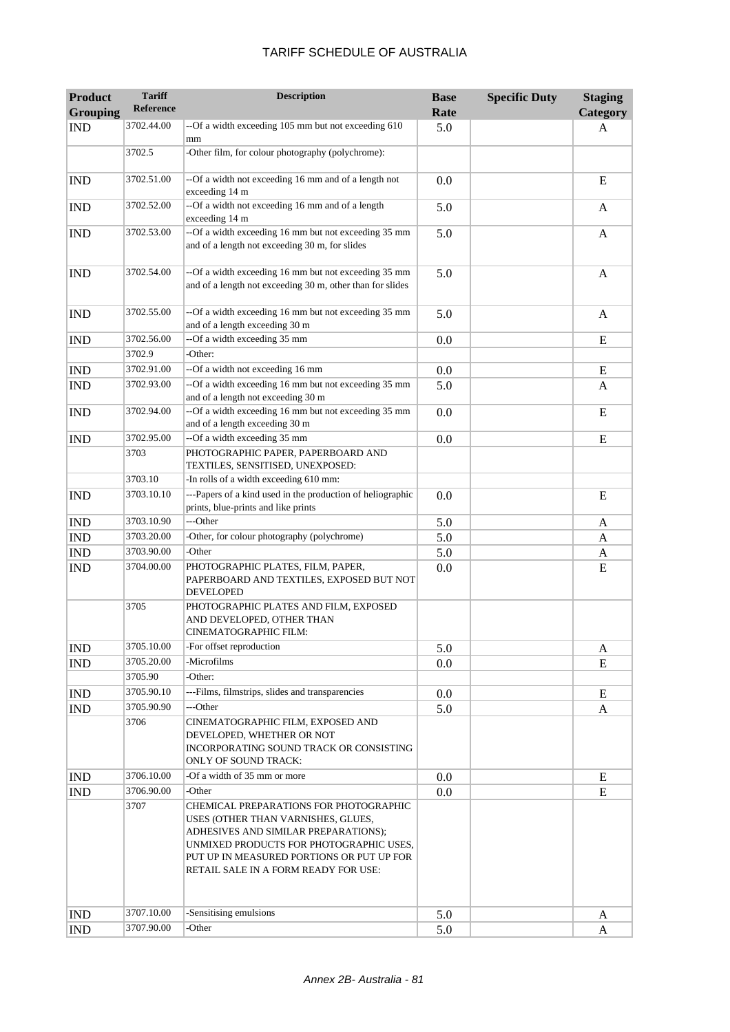| <b>Product</b><br><b>Grouping</b> | <b>Tariff</b><br><b>Reference</b> | <b>Description</b>                                                                                                                                                                                                                                   | <b>Base</b><br>Rate | <b>Specific Duty</b> | <b>Staging</b><br>Category |
|-----------------------------------|-----------------------------------|------------------------------------------------------------------------------------------------------------------------------------------------------------------------------------------------------------------------------------------------------|---------------------|----------------------|----------------------------|
| <b>IND</b>                        | 3702.44.00                        | --Of a width exceeding 105 mm but not exceeding 610<br>mm                                                                                                                                                                                            | 5.0                 |                      | A                          |
|                                   | 3702.5                            | -Other film, for colour photography (polychrome):                                                                                                                                                                                                    |                     |                      |                            |
| <b>IND</b>                        | 3702.51.00                        | --Of a width not exceeding 16 mm and of a length not<br>exceeding 14 m                                                                                                                                                                               | 0.0                 |                      | E                          |
| <b>IND</b>                        | 3702.52.00                        | --Of a width not exceeding 16 mm and of a length<br>exceeding 14 m                                                                                                                                                                                   | 5.0                 |                      | A                          |
| <b>IND</b>                        | 3702.53.00                        | --Of a width exceeding 16 mm but not exceeding 35 mm<br>and of a length not exceeding 30 m, for slides                                                                                                                                               | 5.0                 |                      | A                          |
| <b>IND</b>                        | 3702.54.00                        | --Of a width exceeding 16 mm but not exceeding 35 mm<br>and of a length not exceeding 30 m, other than for slides                                                                                                                                    | 5.0                 |                      | A                          |
| <b>IND</b>                        | 3702.55.00                        | --Of a width exceeding 16 mm but not exceeding 35 mm<br>and of a length exceeding 30 m                                                                                                                                                               | 5.0                 |                      | A                          |
| <b>IND</b>                        | 3702.56.00                        | --Of a width exceeding 35 mm                                                                                                                                                                                                                         | 0.0                 |                      | E                          |
|                                   | 3702.9                            | -Other:                                                                                                                                                                                                                                              |                     |                      |                            |
| <b>IND</b>                        | 3702.91.00                        | --Of a width not exceeding 16 mm                                                                                                                                                                                                                     | 0.0                 |                      | E                          |
| <b>IND</b>                        | 3702.93.00                        | --Of a width exceeding 16 mm but not exceeding 35 mm<br>and of a length not exceeding 30 m                                                                                                                                                           | 5.0                 |                      | A                          |
| <b>IND</b>                        | 3702.94.00                        | --Of a width exceeding 16 mm but not exceeding 35 mm<br>and of a length exceeding 30 m                                                                                                                                                               | 0.0                 |                      | E                          |
| <b>IND</b>                        | 3702.95.00                        | --Of a width exceeding 35 mm                                                                                                                                                                                                                         | 0.0                 |                      | ${\bf E}$                  |
|                                   | 3703                              | PHOTOGRAPHIC PAPER, PAPERBOARD AND<br>TEXTILES, SENSITISED, UNEXPOSED:                                                                                                                                                                               |                     |                      |                            |
|                                   | 3703.10                           | -In rolls of a width exceeding 610 mm:                                                                                                                                                                                                               |                     |                      |                            |
| <b>IND</b>                        | 3703.10.10                        | ---Papers of a kind used in the production of heliographic<br>prints, blue-prints and like prints                                                                                                                                                    | 0.0                 |                      | ${\bf E}$                  |
| <b>IND</b>                        | 3703.10.90                        | ---Other                                                                                                                                                                                                                                             | 5.0                 |                      | A                          |
| <b>IND</b>                        | 3703.20.00                        | -Other, for colour photography (polychrome)                                                                                                                                                                                                          | 5.0                 |                      | A                          |
| <b>IND</b>                        | 3703.90.00                        | -Other                                                                                                                                                                                                                                               | 5.0                 |                      | A                          |
| <b>IND</b>                        | 3704.00.00                        | PHOTOGRAPHIC PLATES, FILM, PAPER,<br>PAPERBOARD AND TEXTILES, EXPOSED BUT NOT<br><b>DEVELOPED</b>                                                                                                                                                    | 0.0                 |                      | E                          |
|                                   | 3705                              | PHOTOGRAPHIC PLATES AND FILM, EXPOSED<br>AND DEVELOPED, OTHER THAN<br>CINEMATOGRAPHIC FILM:                                                                                                                                                          |                     |                      |                            |
| <b>IND</b>                        | 3705.10.00                        | -For offset reproduction                                                                                                                                                                                                                             | 5.0                 |                      | A                          |
| <b>IND</b>                        | 3705.20.00                        | -Microfilms                                                                                                                                                                                                                                          | 0.0                 |                      | E                          |
|                                   | 3705.90                           | -Other:                                                                                                                                                                                                                                              |                     |                      |                            |
| <b>IND</b>                        | 3705.90.10                        | ---Films, filmstrips, slides and transparencies                                                                                                                                                                                                      | 0.0                 |                      | E                          |
| <b>IND</b>                        | 3705.90.90                        | ---Other                                                                                                                                                                                                                                             | 5.0                 |                      | A                          |
|                                   | 3706                              | CINEMATOGRAPHIC FILM, EXPOSED AND<br>DEVELOPED, WHETHER OR NOT<br>INCORPORATING SOUND TRACK OR CONSISTING<br><b>ONLY OF SOUND TRACK:</b>                                                                                                             |                     |                      |                            |
| <b>IND</b>                        | 3706.10.00                        | -Of a width of 35 mm or more                                                                                                                                                                                                                         | 0.0                 |                      | E                          |
| <b>IND</b>                        | 3706.90.00                        | -Other                                                                                                                                                                                                                                               | 0.0                 |                      | ${\bf E}$                  |
|                                   | 3707                              | CHEMICAL PREPARATIONS FOR PHOTOGRAPHIC<br>USES (OTHER THAN VARNISHES, GLUES,<br>ADHESIVES AND SIMILAR PREPARATIONS);<br>UNMIXED PRODUCTS FOR PHOTOGRAPHIC USES,<br>PUT UP IN MEASURED PORTIONS OR PUT UP FOR<br>RETAIL SALE IN A FORM READY FOR USE: |                     |                      |                            |
| <b>IND</b>                        | 3707.10.00                        | -Sensitising emulsions                                                                                                                                                                                                                               | 5.0                 |                      | A                          |
| <b>IND</b>                        | 3707.90.00                        | -Other                                                                                                                                                                                                                                               | 5.0                 |                      | A                          |
|                                   |                                   |                                                                                                                                                                                                                                                      |                     |                      |                            |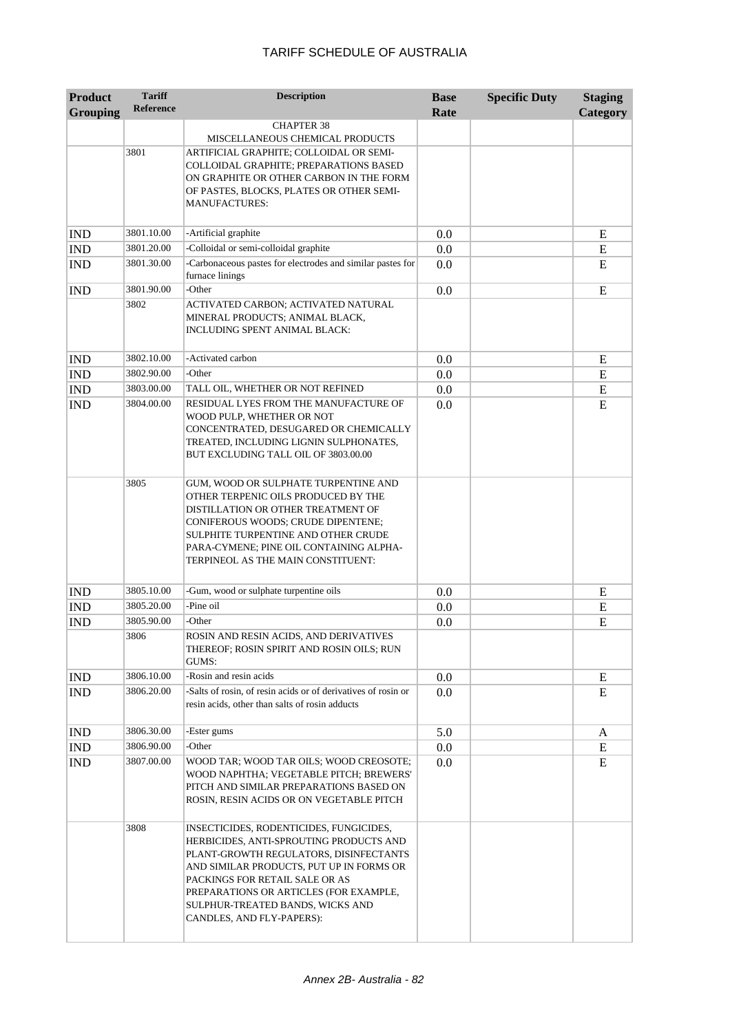| <b>Product</b><br><b>Grouping</b> | <b>Tariff</b><br><b>Reference</b> | <b>Description</b>                                                                                                                                                                                                                                                                                                    | <b>Base</b><br>Rate | <b>Specific Duty</b> | <b>Staging</b><br>Category |
|-----------------------------------|-----------------------------------|-----------------------------------------------------------------------------------------------------------------------------------------------------------------------------------------------------------------------------------------------------------------------------------------------------------------------|---------------------|----------------------|----------------------------|
|                                   |                                   | <b>CHAPTER 38</b>                                                                                                                                                                                                                                                                                                     |                     |                      |                            |
|                                   | 3801                              | MISCELLANEOUS CHEMICAL PRODUCTS<br>ARTIFICIAL GRAPHITE; COLLOIDAL OR SEMI-<br>COLLOIDAL GRAPHITE; PREPARATIONS BASED<br>ON GRAPHITE OR OTHER CARBON IN THE FORM<br>OF PASTES, BLOCKS, PLATES OR OTHER SEMI-<br><b>MANUFACTURES:</b>                                                                                   |                     |                      |                            |
| <b>IND</b>                        | 3801.10.00                        | -Artificial graphite                                                                                                                                                                                                                                                                                                  | 0.0                 |                      | E                          |
| <b>IND</b>                        | 3801.20.00                        | -Colloidal or semi-colloidal graphite                                                                                                                                                                                                                                                                                 | 0.0                 |                      | E                          |
| <b>IND</b>                        | 3801.30.00                        | -Carbonaceous pastes for electrodes and similar pastes for<br>furnace linings                                                                                                                                                                                                                                         | 0.0                 |                      | E                          |
| <b>IND</b>                        | 3801.90.00                        | -Other                                                                                                                                                                                                                                                                                                                | 0.0                 |                      | E                          |
|                                   | 3802                              | ACTIVATED CARBON; ACTIVATED NATURAL<br>MINERAL PRODUCTS; ANIMAL BLACK,<br><b>INCLUDING SPENT ANIMAL BLACK:</b>                                                                                                                                                                                                        |                     |                      |                            |
| <b>IND</b>                        | 3802.10.00                        | -Activated carbon                                                                                                                                                                                                                                                                                                     | 0.0                 |                      | E                          |
| <b>IND</b>                        | 3802.90.00                        | -Other                                                                                                                                                                                                                                                                                                                | 0.0                 |                      | E                          |
| <b>IND</b>                        | 3803.00.00                        | TALL OIL, WHETHER OR NOT REFINED                                                                                                                                                                                                                                                                                      | 0.0                 |                      | ${\bf E}$                  |
| <b>IND</b>                        | 3804.00.00                        | RESIDUAL LYES FROM THE MANUFACTURE OF<br>WOOD PULP, WHETHER OR NOT<br>CONCENTRATED, DESUGARED OR CHEMICALLY<br>TREATED, INCLUDING LIGNIN SULPHONATES,<br>BUT EXCLUDING TALL OIL OF 3803.00.00                                                                                                                         | 0.0                 |                      | E                          |
|                                   | 3805                              | GUM, WOOD OR SULPHATE TURPENTINE AND<br>OTHER TERPENIC OILS PRODUCED BY THE<br>DISTILLATION OR OTHER TREATMENT OF<br>CONIFEROUS WOODS; CRUDE DIPENTENE;<br>SULPHITE TURPENTINE AND OTHER CRUDE<br>PARA-CYMENE; PINE OIL CONTAINING ALPHA-<br>TERPINEOL AS THE MAIN CONSTITUENT:                                       |                     |                      |                            |
| <b>IND</b>                        | 3805.10.00                        | -Gum, wood or sulphate turpentine oils                                                                                                                                                                                                                                                                                | 0.0                 |                      | Ε                          |
| <b>IND</b>                        | 3805.20.00                        | -Pine oil                                                                                                                                                                                                                                                                                                             | 0.0                 |                      | E                          |
| <b>IND</b>                        | 3805.90.00                        | -Other                                                                                                                                                                                                                                                                                                                | 0.0                 |                      | E                          |
|                                   | 3806                              | ROSIN AND RESIN ACIDS. AND DERIVATIVES<br>THEREOF; ROSIN SPIRIT AND ROSIN OILS; RUN<br>GUMS:                                                                                                                                                                                                                          |                     |                      |                            |
| <b>IND</b>                        | 3806.10.00                        | -Rosin and resin acids                                                                                                                                                                                                                                                                                                | 0.0                 |                      | E                          |
| <b>IND</b>                        | 3806.20.00                        | -Salts of rosin, of resin acids or of derivatives of rosin or<br>resin acids, other than salts of rosin adducts                                                                                                                                                                                                       | 0.0                 |                      | E                          |
| <b>IND</b>                        | 3806.30.00                        | -Ester gums                                                                                                                                                                                                                                                                                                           | 5.0                 |                      | A                          |
| <b>IND</b>                        | 3806.90.00                        | -Other                                                                                                                                                                                                                                                                                                                | 0.0                 |                      | ${\bf E}$                  |
| <b>IND</b>                        | 3807.00.00                        | WOOD TAR; WOOD TAR OILS; WOOD CREOSOTE;<br>WOOD NAPHTHA; VEGETABLE PITCH; BREWERS'<br>PITCH AND SIMILAR PREPARATIONS BASED ON<br>ROSIN, RESIN ACIDS OR ON VEGETABLE PITCH                                                                                                                                             | 0.0                 |                      | E                          |
|                                   | 3808                              | INSECTICIDES, RODENTICIDES, FUNGICIDES,<br>HERBICIDES, ANTI-SPROUTING PRODUCTS AND<br>PLANT-GROWTH REGULATORS, DISINFECTANTS<br>AND SIMILAR PRODUCTS, PUT UP IN FORMS OR<br>PACKINGS FOR RETAIL SALE OR AS<br>PREPARATIONS OR ARTICLES (FOR EXAMPLE,<br>SULPHUR-TREATED BANDS, WICKS AND<br>CANDLES, AND FLY-PAPERS): |                     |                      |                            |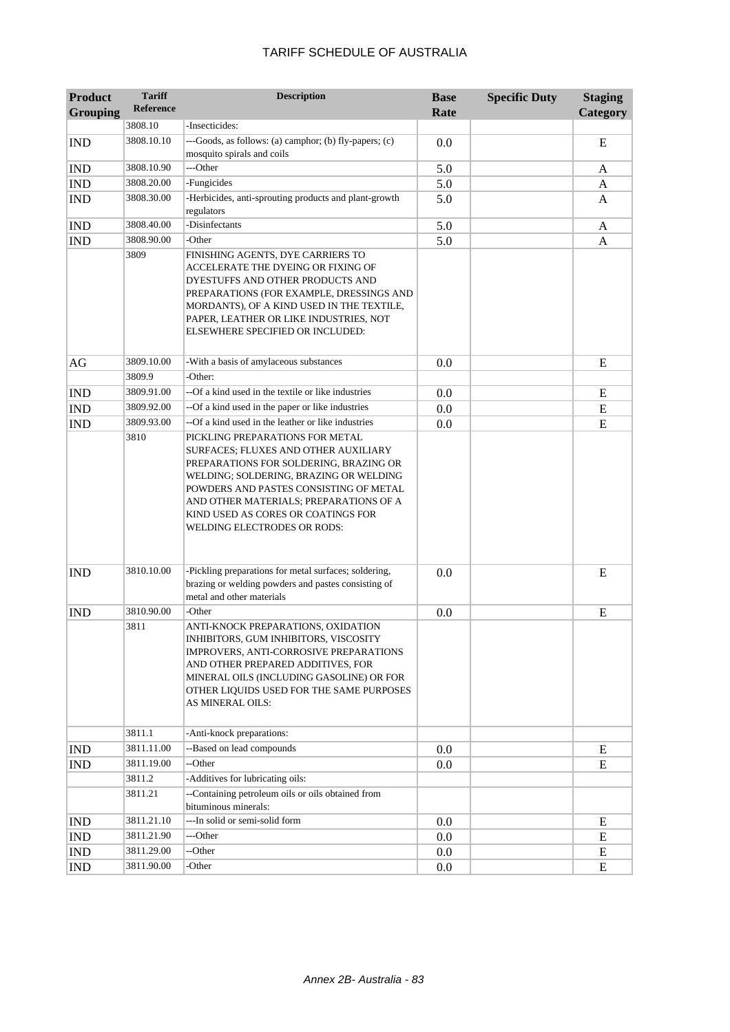| <b>Product</b>              | <b>Tariff</b>    | <b>Description</b>                                                                                                                                                                                                                                                                 | <b>Base</b> | <b>Specific Duty</b> | <b>Staging</b> |
|-----------------------------|------------------|------------------------------------------------------------------------------------------------------------------------------------------------------------------------------------------------------------------------------------------------------------------------------------|-------------|----------------------|----------------|
| <b>Grouping</b>             | <b>Reference</b> |                                                                                                                                                                                                                                                                                    | Rate        |                      | Category       |
|                             | 3808.10          | -Insecticides:                                                                                                                                                                                                                                                                     |             |                      |                |
| <b>IND</b>                  | 3808.10.10       | ---Goods, as follows: (a) camphor; (b) fly-papers; (c)<br>mosquito spirals and coils                                                                                                                                                                                               | 0.0         |                      | ${\bf E}$      |
| <b>IND</b>                  | 3808.10.90       | ---Other                                                                                                                                                                                                                                                                           | 5.0         |                      | A              |
| $\mathop{\rm IND}\nolimits$ | 3808.20.00       | -Fungicides                                                                                                                                                                                                                                                                        | 5.0         |                      | A              |
| <b>IND</b>                  | 3808.30.00       | -Herbicides, anti-sprouting products and plant-growth<br>regulators                                                                                                                                                                                                                | 5.0         |                      | A              |
| <b>IND</b>                  | 3808.40.00       | -Disinfectants                                                                                                                                                                                                                                                                     | 5.0         |                      | A              |
| <b>IND</b>                  | 3808.90.00       | -Other                                                                                                                                                                                                                                                                             | 5.0         |                      | A              |
|                             | 3809             | FINISHING AGENTS, DYE CARRIERS TO<br>ACCELERATE THE DYEING OR FIXING OF<br>DYESTUFFS AND OTHER PRODUCTS AND<br>PREPARATIONS (FOR EXAMPLE, DRESSINGS AND<br>MORDANTS), OF A KIND USED IN THE TEXTILE,<br>PAPER, LEATHER OR LIKE INDUSTRIES, NOT<br>ELSEWHERE SPECIFIED OR INCLUDED: |             |                      |                |
| AG                          | 3809.10.00       | -With a basis of amylaceous substances                                                                                                                                                                                                                                             | 0.0         |                      | E              |
|                             | 3809.9           | -Other:                                                                                                                                                                                                                                                                            |             |                      |                |
| <b>IND</b>                  | 3809.91.00       | --Of a kind used in the textile or like industries                                                                                                                                                                                                                                 | 0.0         |                      | E              |
| IND                         | 3809.92.00       | --Of a kind used in the paper or like industries                                                                                                                                                                                                                                   | 0.0         |                      | E              |
| <b>IND</b>                  | 3809.93.00       | --Of a kind used in the leather or like industries                                                                                                                                                                                                                                 | 0.0         |                      | E              |
|                             |                  | SURFACES; FLUXES AND OTHER AUXILIARY<br>PREPARATIONS FOR SOLDERING, BRAZING OR<br>WELDING; SOLDERING, BRAZING OR WELDING<br>POWDERS AND PASTES CONSISTING OF METAL<br>AND OTHER MATERIALS; PREPARATIONS OF A<br>KIND USED AS CORES OR COATINGS FOR<br>WELDING ELECTRODES OR RODS:  |             |                      |                |
| <b>IND</b>                  | 3810.10.00       | -Pickling preparations for metal surfaces; soldering,<br>brazing or welding powders and pastes consisting of<br>metal and other materials                                                                                                                                          | 0.0         |                      | E              |
| <b>IND</b>                  | 3810.90.00       | -Other                                                                                                                                                                                                                                                                             | 0.0         |                      | E              |
|                             | 3811             | ANTI-KNOCK PREPARATIONS, OXIDATION<br>INHIBITORS, GUM INHIBITORS, VISCOSITY<br>IMPROVERS, ANTI-CORROSIVE PREPARATIONS<br>AND OTHER PREPARED ADDITIVES, FOR<br>MINERAL OILS (INCLUDING GASOLINE) OR FOR<br>OTHER LIQUIDS USED FOR THE SAME PURPOSES<br>AS MINERAL OILS:             |             |                      |                |
|                             | 3811.1           | -Anti-knock preparations:                                                                                                                                                                                                                                                          |             |                      |                |
| <b>IND</b>                  | 3811.11.00       | --Based on lead compounds                                                                                                                                                                                                                                                          | 0.0         |                      | E              |
| IND                         | 3811.19.00       | --Other                                                                                                                                                                                                                                                                            | 0.0         |                      | E              |
|                             | 3811.2           | -Additives for lubricating oils:                                                                                                                                                                                                                                                   |             |                      |                |
|                             | 3811.21          | --Containing petroleum oils or oils obtained from<br>bituminous minerals:                                                                                                                                                                                                          |             |                      |                |
| <b>IND</b>                  | 3811.21.10       | ---In solid or semi-solid form                                                                                                                                                                                                                                                     | 0.0         |                      | E              |
| <b>IND</b>                  | 3811.21.90       | ---Other                                                                                                                                                                                                                                                                           | 0.0         |                      | E              |
| <b>IND</b>                  | 3811.29.00       | --Other                                                                                                                                                                                                                                                                            | 0.0         |                      | E              |
| <b>IND</b>                  | 3811.90.00       | -Other                                                                                                                                                                                                                                                                             | 0.0         |                      | E              |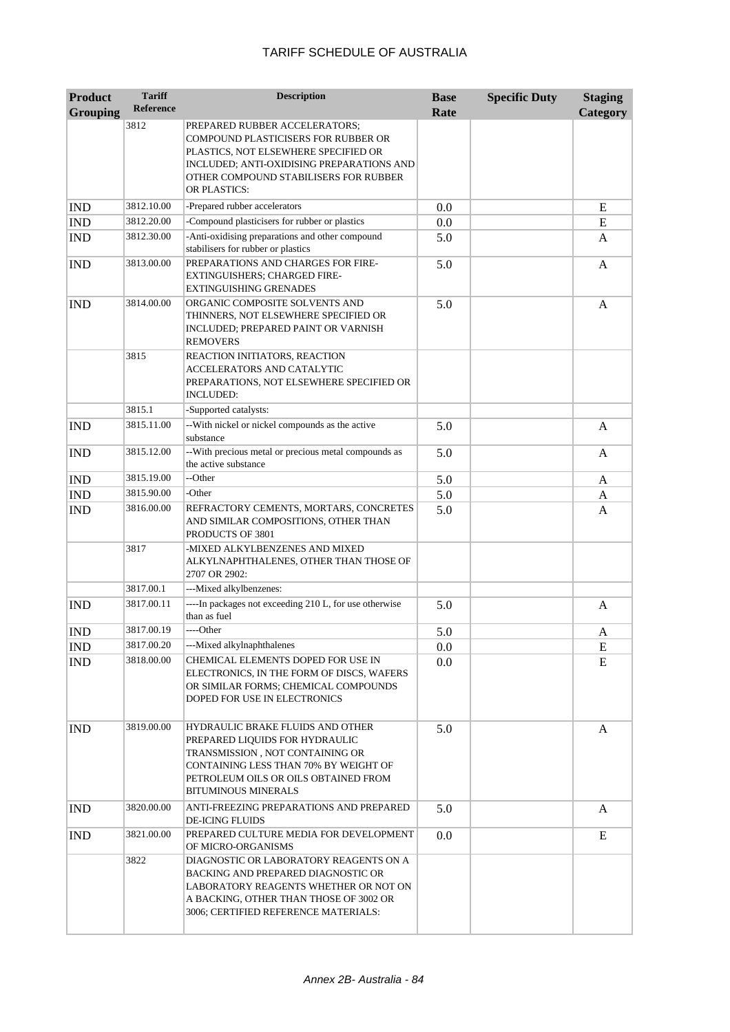| <b>Product</b><br><b>Grouping</b> | <b>Tariff</b><br><b>Reference</b> | <b>Description</b>                                                                                                                                                                                                   | <b>Base</b><br>Rate | <b>Specific Duty</b> | <b>Staging</b><br>Category |
|-----------------------------------|-----------------------------------|----------------------------------------------------------------------------------------------------------------------------------------------------------------------------------------------------------------------|---------------------|----------------------|----------------------------|
|                                   | 3812                              | PREPARED RUBBER ACCELERATORS;<br>COMPOUND PLASTICISERS FOR RUBBER OR<br>PLASTICS, NOT ELSEWHERE SPECIFIED OR<br>INCLUDED; ANTI-OXIDISING PREPARATIONS AND<br>OTHER COMPOUND STABILISERS FOR RUBBER<br>OR PLASTICS:   |                     |                      |                            |
| <b>IND</b>                        | 3812.10.00                        | -Prepared rubber accelerators                                                                                                                                                                                        | 0.0                 |                      | E                          |
| IND                               | 3812.20.00                        | -Compound plasticisers for rubber or plastics                                                                                                                                                                        | 0.0                 |                      | E                          |
| <b>IND</b>                        | 3812.30.00                        | -Anti-oxidising preparations and other compound<br>stabilisers for rubber or plastics                                                                                                                                | 5.0                 |                      | A                          |
| <b>IND</b>                        | 3813.00.00                        | PREPARATIONS AND CHARGES FOR FIRE-<br><b>EXTINGUISHERS; CHARGED FIRE-</b><br>EXTINGUISHING GRENADES                                                                                                                  | 5.0                 |                      | A                          |
| <b>IND</b>                        | 3814.00.00                        | ORGANIC COMPOSITE SOLVENTS AND<br>THINNERS, NOT ELSEWHERE SPECIFIED OR<br>INCLUDED; PREPARED PAINT OR VARNISH<br><b>REMOVERS</b>                                                                                     | 5.0                 |                      | A                          |
|                                   | 3815                              | REACTION INITIATORS, REACTION<br>ACCELERATORS AND CATALYTIC<br>PREPARATIONS, NOT ELSEWHERE SPECIFIED OR<br><b>INCLUDED:</b>                                                                                          |                     |                      |                            |
|                                   | 3815.1                            | -Supported catalysts:                                                                                                                                                                                                |                     |                      |                            |
| <b>IND</b>                        | 3815.11.00                        | -- With nickel or nickel compounds as the active<br>substance                                                                                                                                                        | 5.0                 |                      | $\mathbf{A}$               |
| <b>IND</b>                        | 3815.12.00                        | -- With precious metal or precious metal compounds as<br>the active substance                                                                                                                                        | 5.0                 |                      | A                          |
| <b>IND</b>                        | 3815.19.00                        | --Other                                                                                                                                                                                                              | 5.0                 |                      | A                          |
| <b>IND</b>                        | 3815.90.00                        | -Other                                                                                                                                                                                                               | 5.0                 |                      | A                          |
| <b>IND</b>                        | 3816.00.00                        | REFRACTORY CEMENTS, MORTARS, CONCRETES<br>AND SIMILAR COMPOSITIONS, OTHER THAN<br>PRODUCTS OF 3801                                                                                                                   | 5.0                 |                      | A                          |
|                                   | 3817                              | -MIXED ALKYLBENZENES AND MIXED<br>ALKYLNAPHTHALENES, OTHER THAN THOSE OF<br>2707 OR 2902:                                                                                                                            |                     |                      |                            |
|                                   | 3817.00.1                         | ---Mixed alkylbenzenes:                                                                                                                                                                                              |                     |                      |                            |
| <b>IND</b>                        | 3817.00.11                        | ----In packages not exceeding 210 L, for use otherwise<br>than as fuel                                                                                                                                               | 5.0                 |                      | A                          |
| <b>IND</b>                        | 3817.00.19                        | ----Other                                                                                                                                                                                                            | 5.0                 |                      | A                          |
| <b>IND</b>                        | 3817.00.20                        | ---Mixed alkylnaphthalenes                                                                                                                                                                                           | 0.0                 |                      | E                          |
| <b>IND</b>                        | 3818.00.00                        | CHEMICAL ELEMENTS DOPED FOR USE IN<br>ELECTRONICS, IN THE FORM OF DISCS, WAFERS<br>OR SIMILAR FORMS; CHEMICAL COMPOUNDS<br>DOPED FOR USE IN ELECTRONICS                                                              | 0.0                 |                      | E                          |
| <b>IND</b>                        | 3819.00.00                        | HYDRAULIC BRAKE FLUIDS AND OTHER<br>PREPARED LIQUIDS FOR HYDRAULIC<br>TRANSMISSION, NOT CONTAINING OR<br>CONTAINING LESS THAN 70% BY WEIGHT OF<br>PETROLEUM OILS OR OILS OBTAINED FROM<br><b>BITUMINOUS MINERALS</b> | 5.0                 |                      | A                          |
| <b>IND</b>                        | 3820.00.00                        | ANTI-FREEZING PREPARATIONS AND PREPARED<br><b>DE-ICING FLUIDS</b>                                                                                                                                                    | 5.0                 |                      | A                          |
| <b>IND</b>                        | 3821.00.00                        | PREPARED CULTURE MEDIA FOR DEVELOPMENT<br>OF MICRO-ORGANISMS                                                                                                                                                         | 0.0                 |                      | E                          |
|                                   | 3822                              | DIAGNOSTIC OR LABORATORY REAGENTS ON A<br>BACKING AND PREPARED DIAGNOSTIC OR<br>LABORATORY REAGENTS WHETHER OR NOT ON<br>A BACKING, OTHER THAN THOSE OF 3002 OR<br>3006; CERTIFIED REFERENCE MATERIALS:              |                     |                      |                            |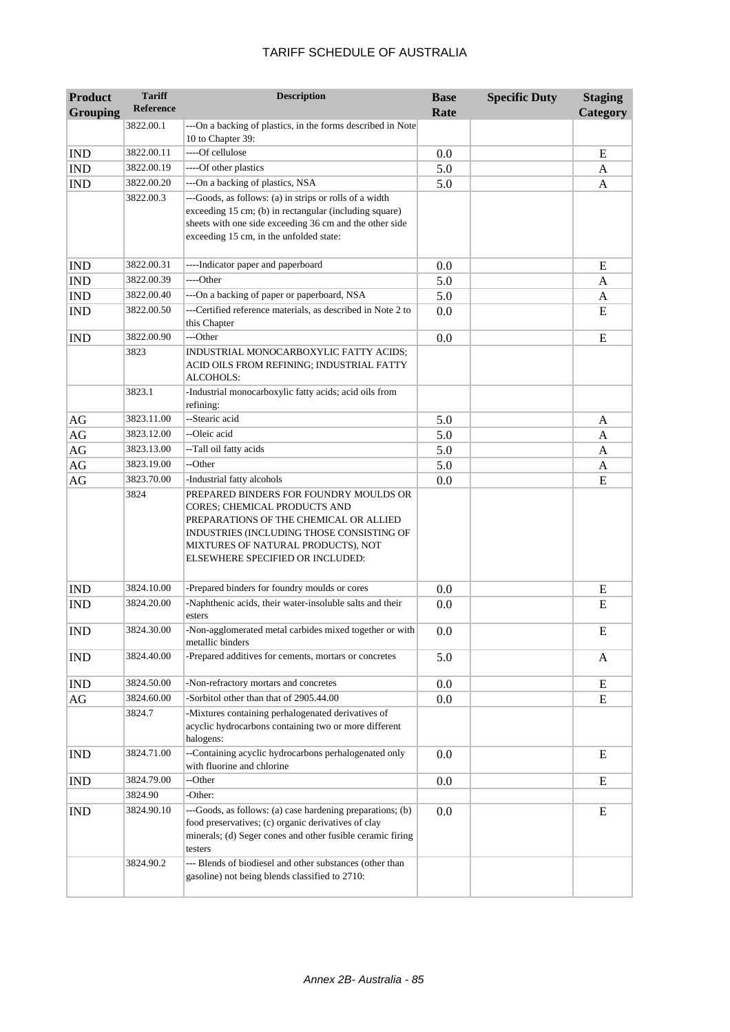| <b>Product</b>  | <b>Tariff</b>            | <b>Description</b>                                                                                                                                                                                                                      | <b>Base</b> | <b>Specific Duty</b> | <b>Staging</b> |
|-----------------|--------------------------|-----------------------------------------------------------------------------------------------------------------------------------------------------------------------------------------------------------------------------------------|-------------|----------------------|----------------|
| <b>Grouping</b> | <b>Reference</b>         |                                                                                                                                                                                                                                         | Rate        |                      | Category       |
|                 | 3822.00.1                | ---On a backing of plastics, in the forms described in Note<br>10 to Chapter 39:                                                                                                                                                        |             |                      |                |
| <b>IND</b>      | 3822.00.11               | ----Of cellulose                                                                                                                                                                                                                        | 0.0         |                      | E              |
| IND             | 3822.00.19               | ----Of other plastics                                                                                                                                                                                                                   | 5.0         |                      | A              |
| <b>IND</b>      | 3822.00.20               | --- On a backing of plastics, NSA                                                                                                                                                                                                       | 5.0         |                      | A              |
|                 | 3822.00.3                | ---Goods, as follows: (a) in strips or rolls of a width<br>exceeding 15 cm; (b) in rectangular (including square)<br>sheets with one side exceeding 36 cm and the other side<br>exceeding 15 cm, in the unfolded state:                 |             |                      |                |
| <b>IND</b>      | 3822.00.31               | ----Indicator paper and paperboard                                                                                                                                                                                                      | 0.0         |                      | E              |
| <b>IND</b>      | 3822.00.39               | ----Other                                                                                                                                                                                                                               | 5.0         |                      | A              |
| <b>IND</b>      | 3822.00.40               | --- On a backing of paper or paperboard, NSA                                                                                                                                                                                            | 5.0         |                      | A              |
| <b>IND</b>      | 3822.00.50               | ---Certified reference materials, as described in Note 2 to<br>this Chapter                                                                                                                                                             | 0.0         |                      | E              |
| <b>IND</b>      | 3822.00.90               | ---Other                                                                                                                                                                                                                                | 0.0         |                      | E              |
|                 | 3823<br>3823.1           | INDUSTRIAL MONOCARBOXYLIC FATTY ACIDS;<br>ACID OILS FROM REFINING; INDUSTRIAL FATTY<br>ALCOHOLS:<br>-Industrial monocarboxylic fatty acids; acid oils from                                                                              |             |                      |                |
|                 |                          | refining:<br>--Stearic acid                                                                                                                                                                                                             |             |                      |                |
| AG              | 3823.11.00               |                                                                                                                                                                                                                                         | 5.0         |                      | A              |
| AG              | 3823.12.00               | --Oleic acid                                                                                                                                                                                                                            | 5.0         |                      | A              |
| AG              | 3823.13.00               | --Tall oil fatty acids                                                                                                                                                                                                                  | 5.0         |                      | A              |
| AG<br>AG        | 3823.19.00<br>3823.70.00 | --Other<br>-Industrial fatty alcohols                                                                                                                                                                                                   | 5.0<br>0.0  |                      | A<br>E         |
|                 | 3824                     | PREPARED BINDERS FOR FOUNDRY MOULDS OR<br>CORES; CHEMICAL PRODUCTS AND<br>PREPARATIONS OF THE CHEMICAL OR ALLIED<br>INDUSTRIES (INCLUDING THOSE CONSISTING OF<br>MIXTURES OF NATURAL PRODUCTS), NOT<br>ELSEWHERE SPECIFIED OR INCLUDED: |             |                      |                |
| <b>IND</b>      | 3824.10.00               | -Prepared binders for foundry moulds or cores                                                                                                                                                                                           | 0.0         |                      | E              |
| <b>IND</b>      | 3824.20.00               | -Naphthenic acids, their water-insoluble salts and their<br>esters                                                                                                                                                                      | 0.0         |                      | E              |
| <b>IND</b>      | 3824.30.00               | -Non-agglomerated metal carbides mixed together or with<br>metallic binders                                                                                                                                                             | 0.0         |                      | E              |
| <b>IND</b>      | 3824.40.00               | -Prepared additives for cements, mortars or concretes                                                                                                                                                                                   | 5.0         |                      | A              |
| <b>IND</b>      | 3824.50.00               | -Non-refractory mortars and concretes                                                                                                                                                                                                   | 0.0         |                      | E              |
| AG              | 3824.60.00               | -Sorbitol other than that of 2905.44.00                                                                                                                                                                                                 | 0.0         |                      | E              |
|                 | 3824.7                   | -Mixtures containing perhalogenated derivatives of<br>acyclic hydrocarbons containing two or more different<br>halogens:                                                                                                                |             |                      |                |
| <b>IND</b>      | 3824.71.00               | --Containing acyclic hydrocarbons perhalogenated only<br>with fluorine and chlorine                                                                                                                                                     | 0.0         |                      | E              |
| <b>IND</b>      | 3824.79.00               | --Other                                                                                                                                                                                                                                 | 0.0         |                      | E              |
|                 | 3824.90                  | -Other:                                                                                                                                                                                                                                 |             |                      |                |
| <b>IND</b>      | 3824.90.10               | ---Goods, as follows: (a) case hardening preparations; (b)<br>food preservatives; (c) organic derivatives of clay<br>minerals; (d) Seger cones and other fusible ceramic firing<br>testers                                              | 0.0         |                      | E              |
|                 | 3824.90.2                | --- Blends of biodiesel and other substances (other than<br>gasoline) not being blends classified to 2710:                                                                                                                              |             |                      |                |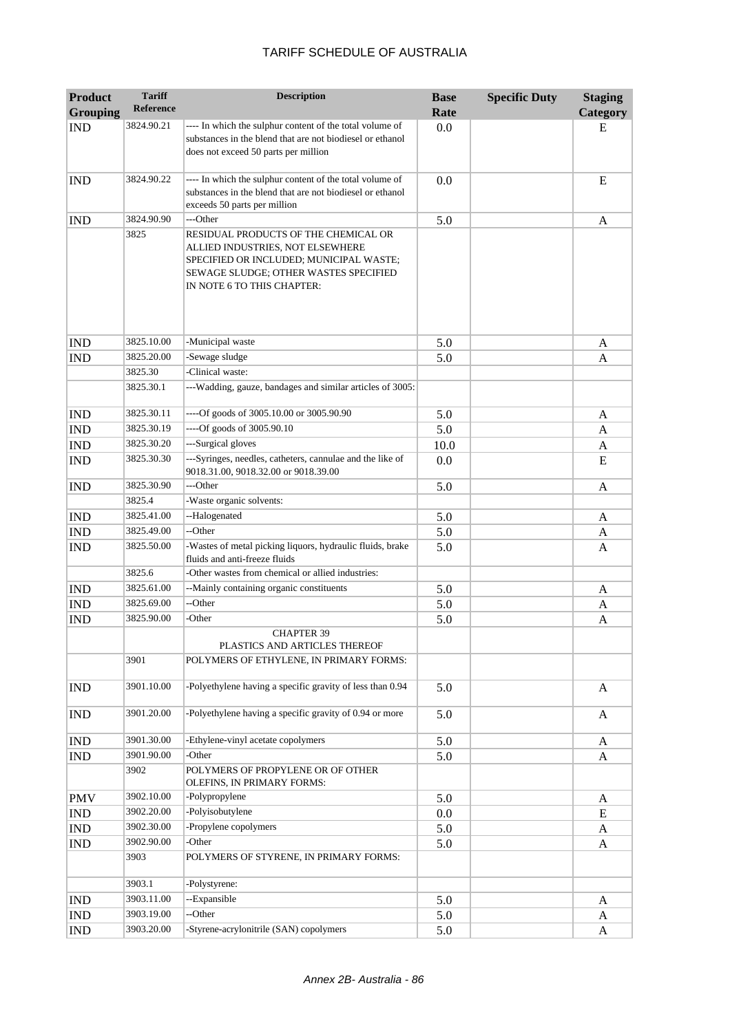| <b>Product</b>              | <b>Tariff</b><br><b>Reference</b> | <b>Description</b>                                                                                                                                                                         | <b>Base</b> | <b>Specific Duty</b> | <b>Staging</b> |
|-----------------------------|-----------------------------------|--------------------------------------------------------------------------------------------------------------------------------------------------------------------------------------------|-------------|----------------------|----------------|
| <b>Grouping</b>             |                                   |                                                                                                                                                                                            | Rate        |                      | Category       |
| <b>IND</b>                  | 3824.90.21                        | ---- In which the sulphur content of the total volume of<br>substances in the blend that are not biodiesel or ethanol<br>does not exceed 50 parts per million                              | 0.0         |                      | E              |
| <b>IND</b>                  | 3824.90.22                        | ---- In which the sulphur content of the total volume of<br>substances in the blend that are not biodiesel or ethanol<br>exceeds 50 parts per million                                      | 0.0         |                      | E              |
| <b>IND</b>                  | 3824.90.90                        | ---Other                                                                                                                                                                                   | 5.0         |                      | A              |
|                             | 3825                              | RESIDUAL PRODUCTS OF THE CHEMICAL OR<br>ALLIED INDUSTRIES, NOT ELSEWHERE<br>SPECIFIED OR INCLUDED; MUNICIPAL WASTE;<br>SEWAGE SLUDGE; OTHER WASTES SPECIFIED<br>IN NOTE 6 TO THIS CHAPTER: |             |                      |                |
| <b>IND</b>                  | 3825.10.00                        | -Municipal waste                                                                                                                                                                           | 5.0         |                      | A              |
| <b>IND</b>                  | 3825.20.00                        | -Sewage sludge                                                                                                                                                                             | 5.0         |                      | A              |
|                             | 3825.30                           | -Clinical waste:                                                                                                                                                                           |             |                      |                |
|                             | 3825.30.1                         | ---Wadding, gauze, bandages and similar articles of 3005:                                                                                                                                  |             |                      |                |
| <b>IND</b>                  | 3825.30.11                        | ----Of goods of 3005.10.00 or 3005.90.90                                                                                                                                                   | 5.0         |                      | A              |
| <b>IND</b>                  | 3825.30.19                        | ----Of goods of 3005.90.10                                                                                                                                                                 | 5.0         |                      | A              |
| <b>IND</b>                  | 3825.30.20                        | ---Surgical gloves                                                                                                                                                                         | 10.0        |                      | A              |
| <b>IND</b>                  | 3825.30.30                        | ---Syringes, needles, catheters, cannulae and the like of<br>9018.31.00, 9018.32.00 or 9018.39.00                                                                                          | 0.0         |                      | E              |
| <b>IND</b>                  | 3825.30.90                        | ---Other                                                                                                                                                                                   | 5.0         |                      | A              |
|                             | 3825.4                            | -Waste organic solvents:                                                                                                                                                                   |             |                      |                |
| <b>IND</b>                  | 3825.41.00                        | --Halogenated                                                                                                                                                                              | 5.0         |                      | A              |
| <b>IND</b>                  | 3825.49.00                        | --Other                                                                                                                                                                                    | 5.0         |                      | A              |
| <b>IND</b>                  | 3825.50.00                        | -Wastes of metal picking liquors, hydraulic fluids, brake<br>fluids and anti-freeze fluids                                                                                                 | 5.0         |                      | A              |
|                             | 3825.6                            | -Other wastes from chemical or allied industries:                                                                                                                                          |             |                      |                |
| <b>IND</b>                  | 3825.61.00                        | --Mainly containing organic constituents                                                                                                                                                   | 5.0         |                      | A              |
| <b>IND</b>                  | 3825.69.00                        | --Other                                                                                                                                                                                    | 5.0         |                      | A              |
| <b>IND</b>                  | 3825.90.00                        | -Other                                                                                                                                                                                     | 5.0         |                      | A              |
|                             |                                   | <b>CHAPTER 39</b><br>PLASTICS AND ARTICLES THEREOF                                                                                                                                         |             |                      |                |
|                             | 3901                              | POLYMERS OF ETHYLENE, IN PRIMARY FORMS:                                                                                                                                                    |             |                      |                |
| <b>IND</b>                  | 3901.10.00                        | -Polyethylene having a specific gravity of less than 0.94                                                                                                                                  | 5.0         |                      | A              |
| <b>IND</b>                  | 3901.20.00                        | -Polyethylene having a specific gravity of 0.94 or more                                                                                                                                    | 5.0         |                      | A              |
| $\mathop{\rm IND}\nolimits$ | 3901.30.00                        | -Ethylene-vinyl acetate copolymers                                                                                                                                                         | 5.0         |                      | A              |
| IND                         | 3901.90.00                        | -Other                                                                                                                                                                                     | 5.0         |                      | A              |
|                             | 3902                              | POLYMERS OF PROPYLENE OR OF OTHER<br>OLEFINS, IN PRIMARY FORMS:                                                                                                                            |             |                      |                |
| <b>PMV</b>                  | 3902.10.00                        | -Polypropylene                                                                                                                                                                             | 5.0         |                      | A              |
| $\mathop{\rm IND}\nolimits$ | 3902.20.00                        | -Polyisobutylene                                                                                                                                                                           | 0.0         |                      | E              |
| $\mathop{\rm IND}\nolimits$ | 3902.30.00                        | -Propylene copolymers                                                                                                                                                                      | 5.0         |                      | A              |
| IND                         | 3902.90.00                        | -Other                                                                                                                                                                                     | 5.0         |                      | A              |
|                             | 3903                              | POLYMERS OF STYRENE, IN PRIMARY FORMS:                                                                                                                                                     |             |                      |                |
|                             | 3903.1                            | -Polystyrene:                                                                                                                                                                              |             |                      |                |
| IND                         | 3903.11.00                        | --Expansible                                                                                                                                                                               | 5.0         |                      | A              |
| IND                         | 3903.19.00                        | --Other                                                                                                                                                                                    | 5.0         |                      | A              |
| IND                         | 3903.20.00                        | -Styrene-acrylonitrile (SAN) copolymers                                                                                                                                                    | 5.0         |                      | A              |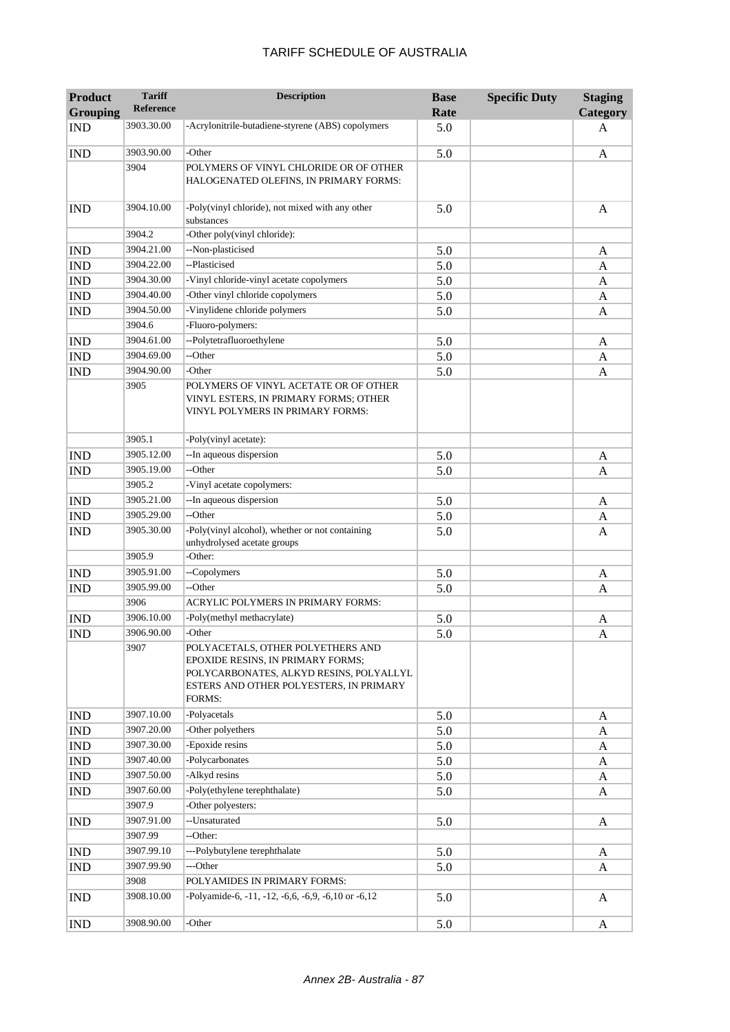| <b>Product</b>  | <b>Tariff</b><br><b>Reference</b> | <b>Description</b>                                                                                                                                                     | <b>Base</b> | <b>Specific Duty</b> | <b>Staging</b> |
|-----------------|-----------------------------------|------------------------------------------------------------------------------------------------------------------------------------------------------------------------|-------------|----------------------|----------------|
| <b>Grouping</b> |                                   |                                                                                                                                                                        | Rate        |                      | Category       |
| <b>IND</b>      | 3903.30.00                        | -Acrylonitrile-butadiene-styrene (ABS) copolymers                                                                                                                      | 5.0         |                      | A              |
| <b>IND</b>      | 3903.90.00                        | -Other                                                                                                                                                                 | 5.0         |                      | A              |
|                 | 3904                              | POLYMERS OF VINYL CHLORIDE OR OF OTHER<br>HALOGENATED OLEFINS, IN PRIMARY FORMS:                                                                                       |             |                      |                |
| <b>IND</b>      | 3904.10.00                        | -Poly(vinyl chloride), not mixed with any other<br>substances                                                                                                          | 5.0         |                      | $\mathbf{A}$   |
|                 | 3904.2                            | -Other poly(vinyl chloride):                                                                                                                                           |             |                      |                |
| <b>IND</b>      | 3904.21.00                        | --Non-plasticised                                                                                                                                                      | 5.0         |                      | A              |
| <b>IND</b>      | 3904.22.00                        | --Plasticised                                                                                                                                                          | 5.0         |                      | A              |
| <b>IND</b>      | 3904.30.00                        | -Vinyl chloride-vinyl acetate copolymers                                                                                                                               | 5.0         |                      | A              |
| <b>IND</b>      | 3904.40.00                        | -Other vinyl chloride copolymers                                                                                                                                       | 5.0         |                      | A              |
| <b>IND</b>      | 3904.50.00                        | -Vinylidene chloride polymers                                                                                                                                          | 5.0         |                      | A              |
|                 | 3904.6                            | -Fluoro-polymers:                                                                                                                                                      |             |                      |                |
| <b>IND</b>      | 3904.61.00                        | --Polytetrafluoroethylene                                                                                                                                              | 5.0         |                      | A              |
| <b>IND</b>      | 3904.69.00                        | --Other                                                                                                                                                                | 5.0         |                      | A              |
| <b>IND</b>      | 3904.90.00<br>3905                | -Other<br>POLYMERS OF VINYL ACETATE OR OF OTHER<br>VINYL ESTERS, IN PRIMARY FORMS; OTHER<br>VINYL POLYMERS IN PRIMARY FORMS:                                           | 5.0         |                      | A              |
|                 | 3905.1                            | -Poly(vinyl acetate):                                                                                                                                                  |             |                      |                |
| <b>IND</b>      | 3905.12.00                        | -- In aqueous dispersion                                                                                                                                               | 5.0         |                      | A              |
| <b>IND</b>      | 3905.19.00                        | --Other                                                                                                                                                                | 5.0         |                      | A              |
|                 | 3905.2                            | -Vinyl acetate copolymers:                                                                                                                                             |             |                      |                |
| <b>IND</b>      | 3905.21.00                        | --In aqueous dispersion                                                                                                                                                | 5.0         |                      | A              |
| <b>IND</b>      | 3905.29.00                        | --Other                                                                                                                                                                | 5.0         |                      | A              |
| <b>IND</b>      | 3905.30.00                        | -Poly(vinyl alcohol), whether or not containing<br>unhydrolysed acetate groups                                                                                         | 5.0         |                      | A              |
|                 | 3905.9                            | -Other:                                                                                                                                                                |             |                      |                |
| <b>IND</b>      | 3905.91.00                        | --Copolymers                                                                                                                                                           | 5.0         |                      | A              |
| <b>IND</b>      | 3905.99.00                        | --Other                                                                                                                                                                | 5.0         |                      | A              |
|                 | 3906                              | <b>ACRYLIC POLYMERS IN PRIMARY FORMS:</b>                                                                                                                              |             |                      |                |
| <b>IND</b>      | 3906.10.00                        | -Poly(methyl methacrylate)                                                                                                                                             | 5.0         |                      | A              |
| <b>IND</b>      | 3906.90.00                        | -Other                                                                                                                                                                 | 5.0         |                      | A              |
|                 | 3907                              | POLYACETALS, OTHER POLYETHERS AND<br>EPOXIDE RESINS, IN PRIMARY FORMS;<br>POLYCARBONATES, ALKYD RESINS, POLYALLYL<br>ESTERS AND OTHER POLYESTERS, IN PRIMARY<br>FORMS: |             |                      |                |
| <b>IND</b>      | 3907.10.00                        | -Polyacetals                                                                                                                                                           | 5.0         |                      | A              |
| <b>IND</b>      | 3907.20.00                        | -Other polyethers                                                                                                                                                      | 5.0         |                      | A              |
| IND             | 3907.30.00                        | -Epoxide resins                                                                                                                                                        | 5.0         |                      | A              |
| <b>IND</b>      | 3907.40.00                        | -Polycarbonates                                                                                                                                                        | 5.0         |                      | A              |
| IND             | 3907.50.00                        | -Alkyd resins                                                                                                                                                          | 5.0         |                      | A              |
| <b>IND</b>      | 3907.60.00                        | -Poly(ethylene terephthalate)                                                                                                                                          | 5.0         |                      | A              |
|                 | 3907.9                            | -Other polyesters:                                                                                                                                                     |             |                      |                |
| <b>IND</b>      | 3907.91.00                        | --Unsaturated                                                                                                                                                          | 5.0         |                      | A              |
|                 | 3907.99                           | --Other:                                                                                                                                                               |             |                      |                |
| <b>IND</b>      | 3907.99.10                        | ---Polybutylene terephthalate                                                                                                                                          | 5.0         |                      | A              |
| <b>IND</b>      | 3907.99.90                        | ---Other                                                                                                                                                               | 5.0         |                      | A              |
|                 | 3908                              | POLYAMIDES IN PRIMARY FORMS:                                                                                                                                           |             |                      |                |
| <b>IND</b>      | 3908.10.00                        | -Polyamide-6, -11, -12, -6,6, -6,9, -6,10 or -6,12                                                                                                                     | 5.0         |                      | A              |
| <b>IND</b>      | 3908.90.00                        | -Other                                                                                                                                                                 | 5.0         |                      | A              |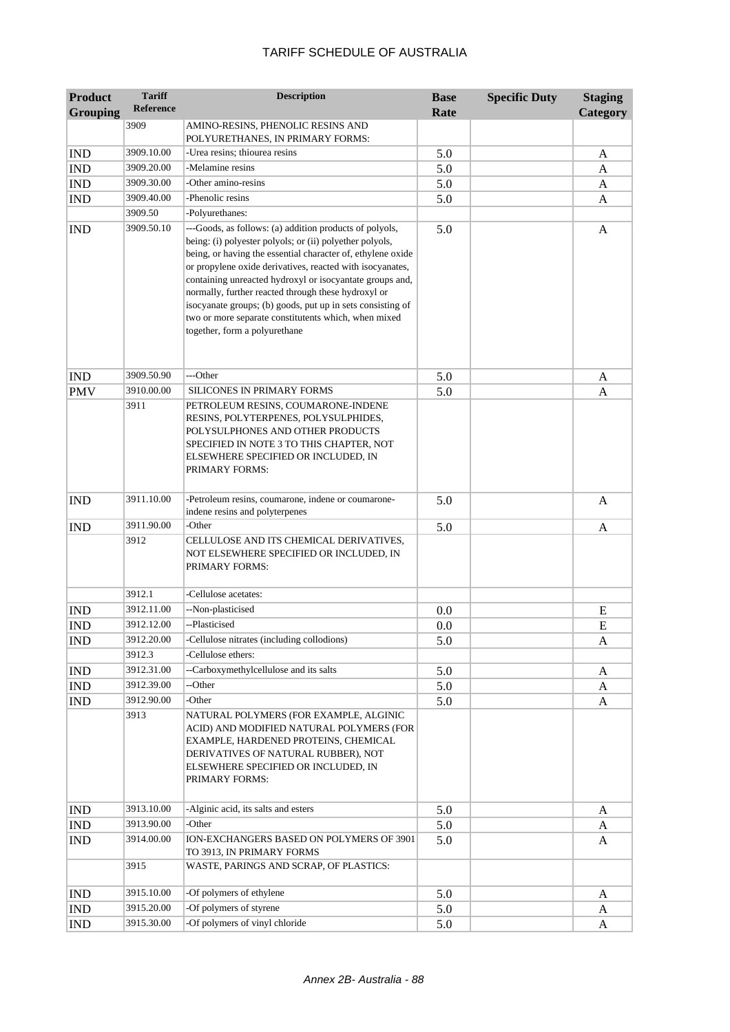| <b>Product</b><br><b>Grouping</b> | <b>Tariff</b><br><b>Reference</b> | <b>Description</b>                                                                                                                                                                                                                                                                                                                                                                                                                                                                                                        | <b>Base</b><br>Rate | <b>Specific Duty</b> | <b>Staging</b><br>Category |
|-----------------------------------|-----------------------------------|---------------------------------------------------------------------------------------------------------------------------------------------------------------------------------------------------------------------------------------------------------------------------------------------------------------------------------------------------------------------------------------------------------------------------------------------------------------------------------------------------------------------------|---------------------|----------------------|----------------------------|
|                                   | 3909                              | AMINO-RESINS, PHENOLIC RESINS AND<br>POLYURETHANES, IN PRIMARY FORMS:                                                                                                                                                                                                                                                                                                                                                                                                                                                     |                     |                      |                            |
| <b>IND</b>                        | 3909.10.00                        | -Urea resins; thiourea resins                                                                                                                                                                                                                                                                                                                                                                                                                                                                                             | 5.0                 |                      | A                          |
| $\mathop{\rm IND}\nolimits$       | 3909.20.00                        | -Melamine resins                                                                                                                                                                                                                                                                                                                                                                                                                                                                                                          | 5.0                 |                      | A                          |
| <b>IND</b>                        | 3909.30.00                        | -Other amino-resins                                                                                                                                                                                                                                                                                                                                                                                                                                                                                                       | 5.0                 |                      | A                          |
| <b>IND</b>                        | 3909.40.00                        | -Phenolic resins                                                                                                                                                                                                                                                                                                                                                                                                                                                                                                          | 5.0                 |                      | A                          |
|                                   | 3909.50                           | -Polyurethanes:                                                                                                                                                                                                                                                                                                                                                                                                                                                                                                           |                     |                      |                            |
| <b>IND</b>                        | 3909.50.10                        | ---Goods, as follows: (a) addition products of polyols,<br>being: (i) polyester polyols; or (ii) polyether polyols,<br>being, or having the essential character of, ethylene oxide<br>or propylene oxide derivatives, reacted with isocyanates,<br>containing unreacted hydroxyl or isocyantate groups and,<br>normally, further reacted through these hydroxyl or<br>isocyanate groups; (b) goods, put up in sets consisting of<br>two or more separate constitutents which, when mixed<br>together, form a polyurethane | 5.0                 |                      | A                          |
| <b>IND</b>                        | 3909.50.90                        | ---Other                                                                                                                                                                                                                                                                                                                                                                                                                                                                                                                  | 5.0                 |                      | A                          |
| <b>PMV</b>                        | 3910.00.00                        | <b>SILICONES IN PRIMARY FORMS</b>                                                                                                                                                                                                                                                                                                                                                                                                                                                                                         | 5.0                 |                      | A                          |
|                                   | 3911                              | PETROLEUM RESINS, COUMARONE-INDENE<br>RESINS, POLYTERPENES, POLYSULPHIDES,<br>POLYSULPHONES AND OTHER PRODUCTS<br>SPECIFIED IN NOTE 3 TO THIS CHAPTER, NOT<br>ELSEWHERE SPECIFIED OR INCLUDED, IN<br>PRIMARY FORMS:                                                                                                                                                                                                                                                                                                       |                     |                      |                            |
| <b>IND</b>                        | 3911.10.00                        | -Petroleum resins, coumarone, indene or coumarone-<br>indene resins and polyterpenes                                                                                                                                                                                                                                                                                                                                                                                                                                      | 5.0                 |                      | A                          |
| <b>IND</b>                        | 3911.90.00                        | -Other                                                                                                                                                                                                                                                                                                                                                                                                                                                                                                                    | 5.0                 |                      | A                          |
|                                   | 3912<br>3912.1                    | CELLULOSE AND ITS CHEMICAL DERIVATIVES,<br>NOT ELSEWHERE SPECIFIED OR INCLUDED, IN<br>PRIMARY FORMS:<br>-Cellulose acetates:                                                                                                                                                                                                                                                                                                                                                                                              |                     |                      |                            |
|                                   | 3912.11.00                        | --Non-plasticised                                                                                                                                                                                                                                                                                                                                                                                                                                                                                                         |                     |                      |                            |
| <b>IND</b>                        | 3912.12.00                        | --Plasticised                                                                                                                                                                                                                                                                                                                                                                                                                                                                                                             | 0.0                 |                      | E<br>E                     |
| <b>IND</b><br><b>IND</b>          | 3912.20.00                        | -Cellulose nitrates (including collodions)                                                                                                                                                                                                                                                                                                                                                                                                                                                                                | 0.0<br>5.0          |                      |                            |
|                                   | 3912.3                            | -Cellulose ethers:                                                                                                                                                                                                                                                                                                                                                                                                                                                                                                        |                     |                      | A                          |
| <b>IND</b>                        | 3912.31.00                        | --Carboxymethylcellulose and its salts                                                                                                                                                                                                                                                                                                                                                                                                                                                                                    | 5.0                 |                      | A                          |
| <b>IND</b>                        | 3912.39.00                        | --Other                                                                                                                                                                                                                                                                                                                                                                                                                                                                                                                   | 5.0                 |                      | A                          |
| <b>IND</b>                        | 3912.90.00                        | -Other                                                                                                                                                                                                                                                                                                                                                                                                                                                                                                                    | 5.0                 |                      | A                          |
|                                   | 3913                              | NATURAL POLYMERS (FOR EXAMPLE, ALGINIC<br>ACID) AND MODIFIED NATURAL POLYMERS (FOR<br>EXAMPLE, HARDENED PROTEINS, CHEMICAL<br>DERIVATIVES OF NATURAL RUBBER), NOT<br>ELSEWHERE SPECIFIED OR INCLUDED, IN<br>PRIMARY FORMS:                                                                                                                                                                                                                                                                                                |                     |                      |                            |
| <b>IND</b>                        | 3913.10.00                        | -Alginic acid, its salts and esters                                                                                                                                                                                                                                                                                                                                                                                                                                                                                       | 5.0                 |                      | A                          |
| IND                               | 3913.90.00                        | -Other                                                                                                                                                                                                                                                                                                                                                                                                                                                                                                                    | 5.0                 |                      | A                          |
| <b>IND</b>                        | 3914.00.00                        | ION-EXCHANGERS BASED ON POLYMERS OF 3901<br>TO 3913, IN PRIMARY FORMS                                                                                                                                                                                                                                                                                                                                                                                                                                                     | 5.0                 |                      | A                          |
|                                   | 3915                              | WASTE, PARINGS AND SCRAP, OF PLASTICS:                                                                                                                                                                                                                                                                                                                                                                                                                                                                                    |                     |                      |                            |
| <b>IND</b>                        | 3915.10.00                        | -Of polymers of ethylene                                                                                                                                                                                                                                                                                                                                                                                                                                                                                                  | 5.0                 |                      | A                          |
| <b>IND</b>                        | 3915.20.00                        | -Of polymers of styrene                                                                                                                                                                                                                                                                                                                                                                                                                                                                                                   | 5.0                 |                      | A                          |
| $\mathop{\rm IND}\nolimits$       | 3915.30.00                        | -Of polymers of vinyl chloride                                                                                                                                                                                                                                                                                                                                                                                                                                                                                            | 5.0                 |                      | A                          |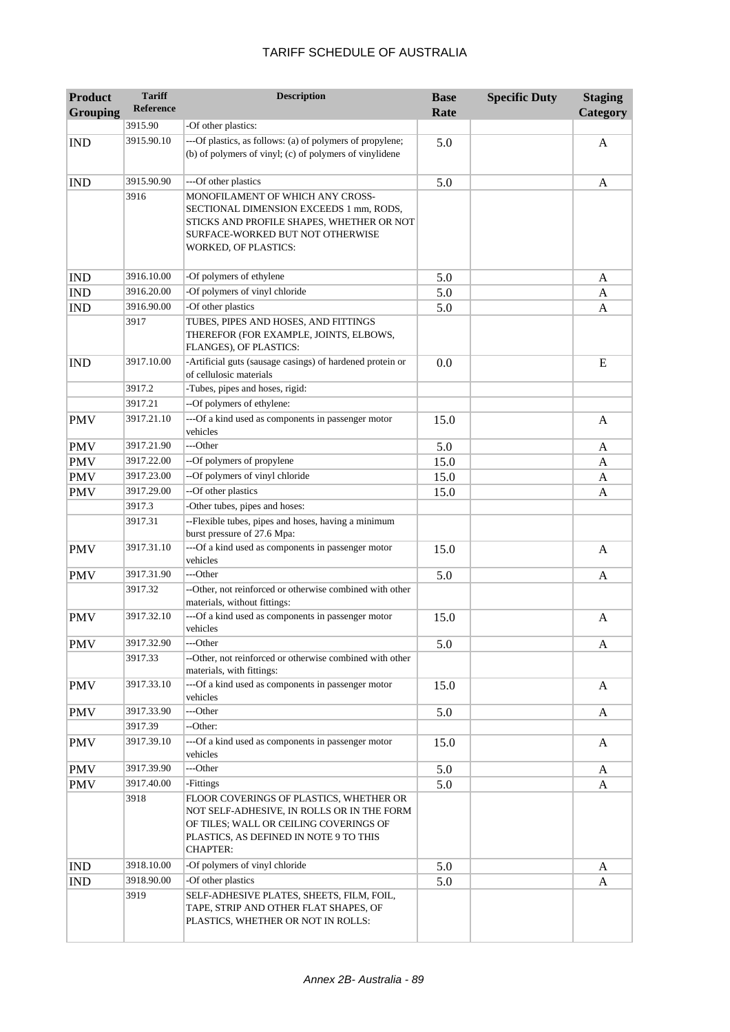| <b>Product</b><br><b>Grouping</b> | <b>Tariff</b><br><b>Reference</b> | <b>Description</b>                                                                                                                                                                           | <b>Base</b><br>Rate | <b>Specific Duty</b> | <b>Staging</b><br>Category |
|-----------------------------------|-----------------------------------|----------------------------------------------------------------------------------------------------------------------------------------------------------------------------------------------|---------------------|----------------------|----------------------------|
|                                   | 3915.90                           | -Of other plastics:                                                                                                                                                                          |                     |                      |                            |
| <b>IND</b>                        | 3915.90.10                        | ---Of plastics, as follows: (a) of polymers of propylene;<br>(b) of polymers of vinyl; (c) of polymers of vinylidene                                                                         | 5.0                 |                      | A                          |
| <b>IND</b>                        | 3915.90.90                        | ---Of other plastics                                                                                                                                                                         | 5.0                 |                      | A                          |
|                                   | 3916                              | MONOFILAMENT OF WHICH ANY CROSS-<br>SECTIONAL DIMENSION EXCEEDS 1 mm, RODS,<br>STICKS AND PROFILE SHAPES, WHETHER OR NOT<br>SURFACE-WORKED BUT NOT OTHERWISE<br><b>WORKED, OF PLASTICS:</b>  |                     |                      |                            |
| <b>IND</b>                        | 3916.10.00                        | -Of polymers of ethylene                                                                                                                                                                     | 5.0                 |                      | A                          |
| <b>IND</b>                        | 3916.20.00                        | -Of polymers of vinyl chloride                                                                                                                                                               | 5.0                 |                      | A                          |
| <b>IND</b>                        | 3916.90.00                        | -Of other plastics                                                                                                                                                                           | 5.0                 |                      | A                          |
|                                   | 3917                              | TUBES, PIPES AND HOSES, AND FITTINGS<br>THEREFOR (FOR EXAMPLE, JOINTS, ELBOWS,<br>FLANGES), OF PLASTICS:                                                                                     |                     |                      |                            |
| <b>IND</b>                        | 3917.10.00                        | -Artificial guts (sausage casings) of hardened protein or<br>of cellulosic materials                                                                                                         | 0.0                 |                      | E                          |
|                                   | 3917.2                            | -Tubes, pipes and hoses, rigid:                                                                                                                                                              |                     |                      |                            |
|                                   | 3917.21                           | --Of polymers of ethylene:                                                                                                                                                                   |                     |                      |                            |
| <b>PMV</b>                        | 3917.21.10                        | ---Of a kind used as components in passenger motor<br>vehicles                                                                                                                               | 15.0                |                      | A                          |
| <b>PMV</b>                        | 3917.21.90                        | ---Other                                                                                                                                                                                     | 5.0                 |                      | A                          |
| <b>PMV</b>                        | 3917.22.00                        | --Of polymers of propylene                                                                                                                                                                   | 15.0                |                      | A                          |
| <b>PMV</b>                        | 3917.23.00                        | --Of polymers of vinyl chloride                                                                                                                                                              | 15.0                |                      | A                          |
| <b>PMV</b>                        | 3917.29.00                        | --Of other plastics                                                                                                                                                                          | 15.0                |                      | A                          |
|                                   | 3917.3                            | -Other tubes, pipes and hoses:                                                                                                                                                               |                     |                      |                            |
|                                   | 3917.31                           | --Flexible tubes, pipes and hoses, having a minimum<br>burst pressure of 27.6 Mpa:                                                                                                           |                     |                      |                            |
| <b>PMV</b>                        | 3917.31.10                        | ---Of a kind used as components in passenger motor<br>vehicles                                                                                                                               | 15.0                |                      | $\mathbf{A}$               |
| <b>PMV</b>                        | 3917.31.90                        | ---Other                                                                                                                                                                                     | 5.0                 |                      | A                          |
|                                   | 3917.32                           | --Other, not reinforced or otherwise combined with other<br>materials, without fittings:                                                                                                     |                     |                      |                            |
| <b>PMV</b>                        | 3917.32.10                        | ---Of a kind used as components in passenger motor<br>vehicles                                                                                                                               | 15.0                |                      | A                          |
| <b>PMV</b>                        | 3917.32.90                        | ---Other                                                                                                                                                                                     | 5.0                 |                      | A                          |
|                                   | 3917.33                           | --Other, not reinforced or otherwise combined with other                                                                                                                                     |                     |                      |                            |
| <b>PMV</b>                        | 3917.33.10                        | materials, with fittings:<br>---Of a kind used as components in passenger motor                                                                                                              | 15.0                |                      | A                          |
| <b>PMV</b>                        | 3917.33.90                        | vehicles<br>---Other                                                                                                                                                                         | 5.0                 |                      | A                          |
|                                   | 3917.39                           | --Other:                                                                                                                                                                                     |                     |                      |                            |
| <b>PMV</b>                        | 3917.39.10                        | ---Of a kind used as components in passenger motor<br>vehicles                                                                                                                               | 15.0                |                      | A                          |
| <b>PMV</b>                        | 3917.39.90                        | ---Other                                                                                                                                                                                     | 5.0                 |                      | A                          |
| <b>PMV</b>                        | 3917.40.00                        | -Fittings                                                                                                                                                                                    | 5.0                 |                      | A                          |
|                                   | 3918                              | FLOOR COVERINGS OF PLASTICS, WHETHER OR<br>NOT SELF-ADHESIVE, IN ROLLS OR IN THE FORM<br>OF TILES; WALL OR CEILING COVERINGS OF<br>PLASTICS, AS DEFINED IN NOTE 9 TO THIS<br><b>CHAPTER:</b> |                     |                      |                            |
| <b>IND</b>                        | 3918.10.00                        | -Of polymers of vinyl chloride                                                                                                                                                               | 5.0                 |                      | A                          |
| <b>IND</b>                        | 3918.90.00                        | -Of other plastics                                                                                                                                                                           | 5.0                 |                      | A                          |
|                                   | 3919                              | SELF-ADHESIVE PLATES, SHEETS, FILM, FOIL,<br>TAPE, STRIP AND OTHER FLAT SHAPES, OF<br>PLASTICS, WHETHER OR NOT IN ROLLS:                                                                     |                     |                      |                            |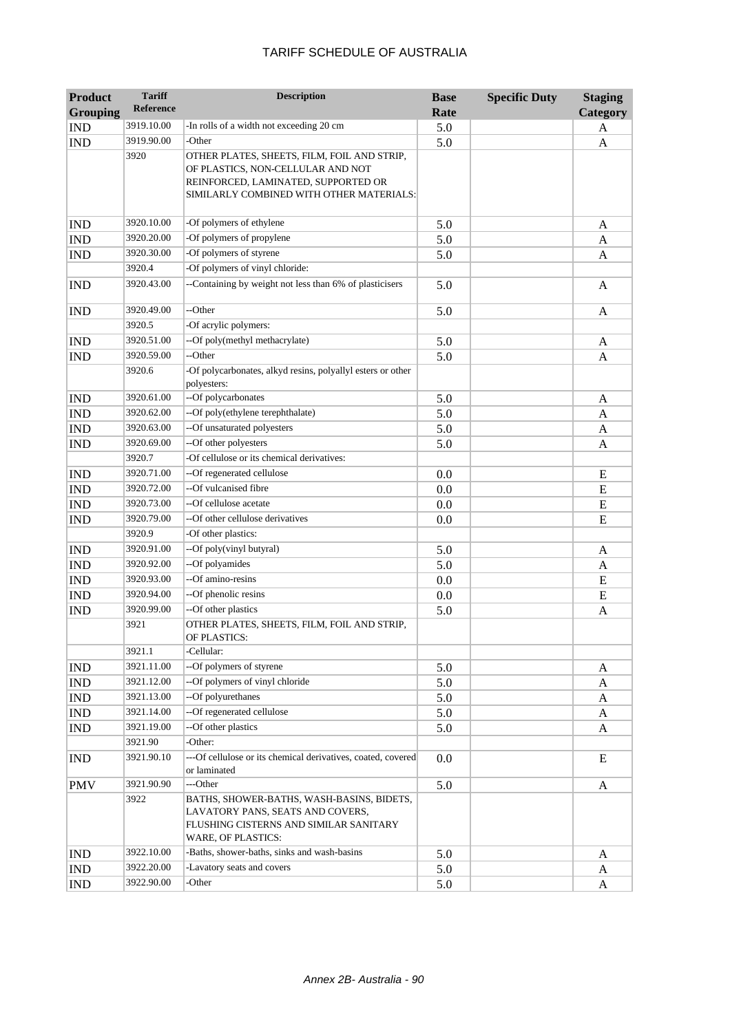| <b>Product</b>              | <b>Tariff</b>    | <b>Description</b>                                                                                                                                                  | <b>Base</b> | <b>Specific Duty</b> | <b>Staging</b> |
|-----------------------------|------------------|---------------------------------------------------------------------------------------------------------------------------------------------------------------------|-------------|----------------------|----------------|
| <b>Grouping</b>             | <b>Reference</b> |                                                                                                                                                                     | Rate        |                      | Category       |
| <b>IND</b>                  | 3919.10.00       | -In rolls of a width not exceeding 20 cm                                                                                                                            | 5.0         |                      | A              |
| <b>IND</b>                  | 3919.90.00       | -Other                                                                                                                                                              | 5.0         |                      | A              |
|                             | 3920             | OTHER PLATES, SHEETS, FILM, FOIL AND STRIP,<br>OF PLASTICS, NON-CELLULAR AND NOT<br>REINFORCED, LAMINATED, SUPPORTED OR<br>SIMILARLY COMBINED WITH OTHER MATERIALS: |             |                      |                |
| <b>IND</b>                  | 3920.10.00       | -Of polymers of ethylene                                                                                                                                            | 5.0         |                      | A              |
| <b>IND</b>                  | 3920.20.00       | -Of polymers of propylene                                                                                                                                           | 5.0         |                      | A              |
| <b>IND</b>                  | 3920.30.00       | -Of polymers of styrene                                                                                                                                             | 5.0         |                      | A              |
|                             | 3920.4           | -Of polymers of vinyl chloride:                                                                                                                                     |             |                      |                |
| <b>IND</b>                  | 3920.43.00       | --Containing by weight not less than 6% of plasticisers                                                                                                             | 5.0         |                      | A              |
| <b>IND</b>                  | 3920.49.00       | --Other                                                                                                                                                             | 5.0         |                      | A              |
|                             | 3920.5           | -Of acrylic polymers:                                                                                                                                               |             |                      |                |
| <b>IND</b>                  | 3920.51.00       | --Of poly(methyl methacrylate)                                                                                                                                      | 5.0         |                      | A              |
| <b>IND</b>                  | 3920.59.00       | --Other                                                                                                                                                             | 5.0         |                      | A              |
|                             | 3920.6           | -Of polycarbonates, alkyd resins, polyallyl esters or other<br>polyesters:                                                                                          |             |                      |                |
| <b>IND</b>                  | 3920.61.00       | --Of polycarbonates                                                                                                                                                 | 5.0         |                      | A              |
| <b>IND</b>                  | 3920.62.00       | --Of poly(ethylene terephthalate)                                                                                                                                   | 5.0         |                      | A              |
| <b>IND</b>                  | 3920.63.00       | --Of unsaturated polyesters                                                                                                                                         | 5.0         |                      | A              |
| <b>IND</b>                  | 3920.69.00       | --Of other polyesters                                                                                                                                               | 5.0         |                      | A              |
|                             | 3920.7           | -Of cellulose or its chemical derivatives:                                                                                                                          |             |                      |                |
| <b>IND</b>                  | 3920.71.00       | --Of regenerated cellulose                                                                                                                                          | 0.0         |                      | ${\bf E}$      |
| <b>IND</b>                  | 3920.72.00       | --Of vulcanised fibre                                                                                                                                               | 0.0         |                      | ${\bf E}$      |
| <b>IND</b>                  | 3920.73.00       | --Of cellulose acetate                                                                                                                                              | 0.0         |                      | ${\bf E}$      |
| <b>IND</b>                  | 3920.79.00       | --Of other cellulose derivatives                                                                                                                                    | 0.0         |                      | E              |
|                             | 3920.9           | -Of other plastics:                                                                                                                                                 |             |                      |                |
| <b>IND</b>                  | 3920.91.00       | --Of poly(vinyl butyral)                                                                                                                                            | 5.0         |                      | A              |
| $\mathop{\rm IND}\nolimits$ | 3920.92.00       | --Of polyamides                                                                                                                                                     | 5.0         |                      | A              |
| <b>IND</b>                  | 3920.93.00       | --Of amino-resins                                                                                                                                                   | 0.0         |                      | E              |
| <b>IND</b>                  | 3920.94.00       | --Of phenolic resins                                                                                                                                                | 0.0         |                      | ${\bf E}$      |
| <b>IND</b>                  | 3920.99.00       | --Of other plastics                                                                                                                                                 | 5.0         |                      | A              |
|                             | 3921             | OTHER PLATES, SHEETS, FILM, FOIL AND STRIP,<br>OF PLASTICS:                                                                                                         |             |                      |                |
|                             | 3921.1           | -Cellular:                                                                                                                                                          |             |                      |                |
| <b>IND</b>                  | 3921.11.00       | --Of polymers of styrene                                                                                                                                            | 5.0         |                      | A              |
| IND                         | 3921.12.00       | --Of polymers of vinyl chloride                                                                                                                                     | 5.0         |                      | A              |
| IND                         | 3921.13.00       | --Of polyurethanes                                                                                                                                                  | 5.0         |                      | A              |
| IND                         | 3921.14.00       | --Of regenerated cellulose                                                                                                                                          | 5.0         |                      | A              |
| <b>IND</b>                  | 3921.19.00       | --Of other plastics                                                                                                                                                 | 5.0         |                      | A              |
|                             | 3921.90          | -Other:                                                                                                                                                             |             |                      |                |
| <b>IND</b>                  | 3921.90.10       | ---Of cellulose or its chemical derivatives, coated, covered<br>or laminated                                                                                        | 0.0         |                      | E              |
| <b>PMV</b>                  | 3921.90.90       | ---Other                                                                                                                                                            | 5.0         |                      | A              |
|                             | 3922             | BATHS, SHOWER-BATHS, WASH-BASINS, BIDETS,<br>LAVATORY PANS, SEATS AND COVERS,<br>FLUSHING CISTERNS AND SIMILAR SANITARY<br>WARE, OF PLASTICS:                       |             |                      |                |
| <b>IND</b>                  | 3922.10.00       | -Baths, shower-baths, sinks and wash-basins                                                                                                                         | 5.0         |                      | A              |
| <b>IND</b>                  | 3922.20.00       | -Lavatory seats and covers                                                                                                                                          | 5.0         |                      | A              |
| <b>IND</b>                  | 3922.90.00       | -Other                                                                                                                                                              | 5.0         |                      | A              |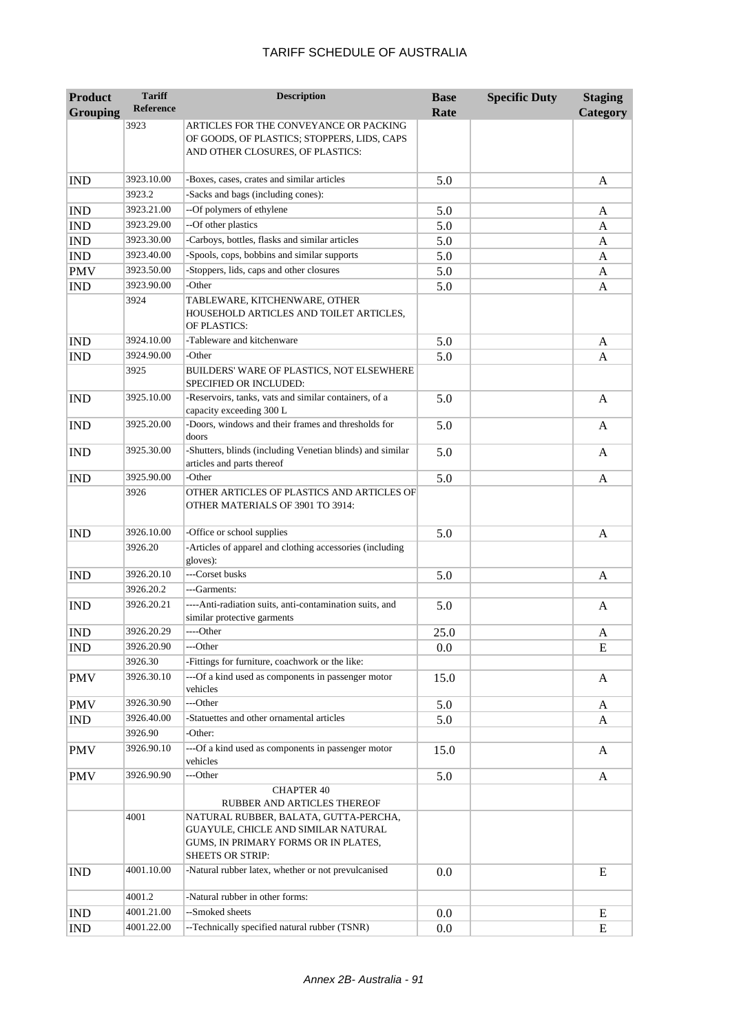| <b>Product</b>  | <b>Tariff</b><br><b>Reference</b> | <b>Description</b>                                                                                                                              | <b>Base</b> | <b>Specific Duty</b> | <b>Staging</b> |
|-----------------|-----------------------------------|-------------------------------------------------------------------------------------------------------------------------------------------------|-------------|----------------------|----------------|
| <b>Grouping</b> |                                   |                                                                                                                                                 | Rate        |                      | Category       |
|                 | 3923                              | ARTICLES FOR THE CONVEYANCE OR PACKING<br>OF GOODS, OF PLASTICS; STOPPERS, LIDS, CAPS<br>AND OTHER CLOSURES, OF PLASTICS:                       |             |                      |                |
| <b>IND</b>      | 3923.10.00                        | -Boxes, cases, crates and similar articles                                                                                                      | 5.0         |                      | A              |
|                 | 3923.2                            | -Sacks and bags (including cones):                                                                                                              |             |                      |                |
| <b>IND</b>      | 3923.21.00                        | --Of polymers of ethylene                                                                                                                       | 5.0         |                      | A              |
| <b>IND</b>      | 3923.29.00                        | --Of other plastics                                                                                                                             | 5.0         |                      | A              |
| <b>IND</b>      | 3923.30.00                        | -Carboys, bottles, flasks and similar articles                                                                                                  | 5.0         |                      | A              |
| <b>IND</b>      | 3923.40.00                        | -Spools, cops, bobbins and similar supports                                                                                                     | 5.0         |                      | A              |
| <b>PMV</b>      | 3923.50.00                        | -Stoppers, lids, caps and other closures                                                                                                        | 5.0         |                      | A              |
| <b>IND</b>      | 3923.90.00                        | -Other                                                                                                                                          | 5.0         |                      | A              |
|                 | 3924                              | TABLEWARE, KITCHENWARE, OTHER<br>HOUSEHOLD ARTICLES AND TOILET ARTICLES,<br>OF PLASTICS:                                                        |             |                      |                |
| <b>IND</b>      | 3924.10.00                        | -Tableware and kitchenware                                                                                                                      | 5.0         |                      | A              |
| <b>IND</b>      | 3924.90.00                        | -Other                                                                                                                                          | 5.0         |                      | A              |
|                 | 3925                              | <b>BUILDERS' WARE OF PLASTICS, NOT ELSEWHERE</b><br>SPECIFIED OR INCLUDED:                                                                      |             |                      |                |
| <b>IND</b>      | 3925.10.00                        | -Reservoirs, tanks, vats and similar containers, of a<br>capacity exceeding 300 L                                                               | 5.0         |                      | A              |
| <b>IND</b>      | 3925.20.00                        | -Doors, windows and their frames and thresholds for<br>doors                                                                                    | 5.0         |                      | A              |
| <b>IND</b>      | 3925.30.00                        | -Shutters, blinds (including Venetian blinds) and similar<br>articles and parts thereof                                                         | 5.0         |                      | A              |
| <b>IND</b>      | 3925.90.00                        | -Other                                                                                                                                          | 5.0         |                      | A              |
|                 | 3926                              | OTHER ARTICLES OF PLASTICS AND ARTICLES OF<br>OTHER MATERIALS OF 3901 TO 3914:                                                                  |             |                      |                |
| <b>IND</b>      | 3926.10.00                        | -Office or school supplies                                                                                                                      | 5.0         |                      | A              |
|                 | 3926.20                           | -Articles of apparel and clothing accessories (including<br>gloves):                                                                            |             |                      |                |
| <b>IND</b>      | 3926.20.10                        | ---Corset busks                                                                                                                                 | 5.0         |                      | A              |
|                 | 3926.20.2                         | ---Garments:                                                                                                                                    |             |                      |                |
| <b>IND</b>      | 3926.20.21                        | ----Anti-radiation suits, anti-contamination suits, and<br>similar protective garments                                                          | 5.0         |                      | A              |
| <b>IND</b>      | 3926.20.29                        | ----Other                                                                                                                                       | 25.0        |                      | A              |
| <b>IND</b>      | 3926.20.90                        | ---Other                                                                                                                                        | 0.0         |                      | E              |
|                 | 3926.30                           | -Fittings for furniture, coachwork or the like:                                                                                                 |             |                      |                |
| <b>PMV</b>      | 3926.30.10                        | ---Of a kind used as components in passenger motor<br>vehicles                                                                                  | 15.0        |                      | A              |
| <b>PMV</b>      | 3926.30.90                        | ---Other                                                                                                                                        | 5.0         |                      | A              |
| <b>IND</b>      | 3926.40.00                        | -Statuettes and other ornamental articles                                                                                                       | 5.0         |                      | A              |
|                 | 3926.90                           | -Other:                                                                                                                                         |             |                      |                |
| <b>PMV</b>      | 3926.90.10                        | ---Of a kind used as components in passenger motor<br>vehicles                                                                                  | 15.0        |                      | A              |
| <b>PMV</b>      | 3926.90.90                        | ---Other                                                                                                                                        | 5.0         |                      | A              |
|                 |                                   | <b>CHAPTER 40</b><br>RUBBER AND ARTICLES THEREOF                                                                                                |             |                      |                |
|                 | 4001                              | NATURAL RUBBER, BALATA, GUTTA-PERCHA,<br>GUAYULE, CHICLE AND SIMILAR NATURAL<br>GUMS, IN PRIMARY FORMS OR IN PLATES,<br><b>SHEETS OR STRIP:</b> |             |                      |                |
| <b>IND</b>      | 4001.10.00                        | -Natural rubber latex, whether or not prevulcanised                                                                                             | 0.0         |                      | E              |
|                 | 4001.2                            | -Natural rubber in other forms:                                                                                                                 |             |                      |                |
| <b>IND</b>      | 4001.21.00                        | --Smoked sheets                                                                                                                                 | 0.0         |                      | E              |
| <b>IND</b>      | 4001.22.00                        | --Technically specified natural rubber (TSNR)                                                                                                   | 0.0         |                      | E              |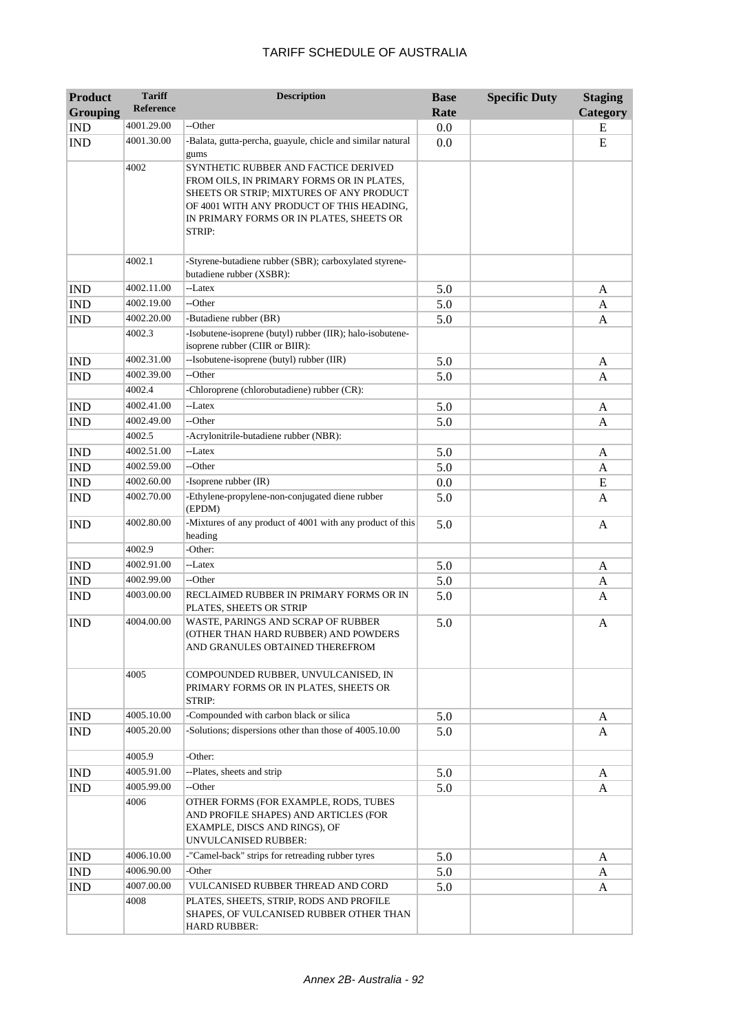| <b>Product</b>              | <b>Tariff</b> | <b>Description</b>                                                                                                                                                                                                               | <b>Base</b> | <b>Specific Duty</b> | <b>Staging</b> |
|-----------------------------|---------------|----------------------------------------------------------------------------------------------------------------------------------------------------------------------------------------------------------------------------------|-------------|----------------------|----------------|
| <b>Grouping</b>             | Reference     |                                                                                                                                                                                                                                  | Rate        |                      | Category       |
| <b>IND</b>                  | 4001.29.00    | --Other                                                                                                                                                                                                                          | 0.0         |                      | E              |
| <b>IND</b>                  | 4001.30.00    | -Balata, gutta-percha, guayule, chicle and similar natural<br>gums                                                                                                                                                               | 0.0         |                      | ${\bf E}$      |
|                             | 4002          | SYNTHETIC RUBBER AND FACTICE DERIVED<br>FROM OILS, IN PRIMARY FORMS OR IN PLATES,<br>SHEETS OR STRIP; MIXTURES OF ANY PRODUCT<br>OF 4001 WITH ANY PRODUCT OF THIS HEADING,<br>IN PRIMARY FORMS OR IN PLATES, SHEETS OR<br>STRIP: |             |                      |                |
|                             | 4002.1        | -Styrene-butadiene rubber (SBR); carboxylated styrene-<br>butadiene rubber (XSBR):                                                                                                                                               |             |                      |                |
| <b>IND</b>                  | 4002.11.00    | --Latex                                                                                                                                                                                                                          | 5.0         |                      | A              |
| <b>IND</b>                  | 4002.19.00    | --Other                                                                                                                                                                                                                          | 5.0         |                      | A              |
| <b>IND</b>                  | 4002.20.00    | -Butadiene rubber (BR)                                                                                                                                                                                                           | 5.0         |                      | A              |
|                             | 4002.3        | -Isobutene-isoprene (butyl) rubber (IIR); halo-isobutene-<br>isoprene rubber (CIIR or BIIR):                                                                                                                                     |             |                      |                |
| <b>IND</b>                  | 4002.31.00    | --Isobutene-isoprene (butyl) rubber (IIR)                                                                                                                                                                                        | 5.0         |                      | A              |
| <b>IND</b>                  | 4002.39.00    | --Other                                                                                                                                                                                                                          | 5.0         |                      | A              |
|                             | 4002.4        | -Chloroprene (chlorobutadiene) rubber (CR):                                                                                                                                                                                      |             |                      |                |
| <b>IND</b>                  | 4002.41.00    | --Latex                                                                                                                                                                                                                          | 5.0         |                      | A              |
| <b>IND</b>                  | 4002.49.00    | --Other                                                                                                                                                                                                                          | 5.0         |                      | A              |
|                             | 4002.5        | -Acrylonitrile-butadiene rubber (NBR):                                                                                                                                                                                           |             |                      |                |
| <b>IND</b>                  | 4002.51.00    | --Latex                                                                                                                                                                                                                          | 5.0         |                      | A              |
| <b>IND</b>                  | 4002.59.00    | --Other                                                                                                                                                                                                                          | 5.0         |                      | A              |
| <b>IND</b>                  | 4002.60.00    | -Isoprene rubber (IR)                                                                                                                                                                                                            | 0.0         |                      | ${\bf E}$      |
| <b>IND</b>                  | 4002.70.00    | -Ethylene-propylene-non-conjugated diene rubber<br>(EPDM)                                                                                                                                                                        | 5.0         |                      | A              |
| <b>IND</b>                  | 4002.80.00    | -Mixtures of any product of 4001 with any product of this<br>heading                                                                                                                                                             | 5.0         |                      | A              |
|                             | 4002.9        | -Other:                                                                                                                                                                                                                          |             |                      |                |
| <b>IND</b>                  | 4002.91.00    | --Latex                                                                                                                                                                                                                          | 5.0         |                      | A              |
| <b>IND</b>                  | 4002.99.00    | --Other                                                                                                                                                                                                                          | 5.0         |                      | A              |
| <b>IND</b>                  | 4003.00.00    | RECLAIMED RUBBER IN PRIMARY FORMS OR IN<br>PLATES, SHEETS OR STRIP                                                                                                                                                               | 5.0         |                      | A              |
| <b>IND</b>                  | 4004.00.00    | WASTE, PARINGS AND SCRAP OF RUBBER<br>(OTHER THAN HARD RUBBER) AND POWDERS<br>AND GRANULES OBTAINED THEREFROM                                                                                                                    | 5.0         |                      | A              |
|                             | 4005          | COMPOUNDED RUBBER, UNVULCANISED, IN<br>PRIMARY FORMS OR IN PLATES, SHEETS OR<br>STRIP:                                                                                                                                           |             |                      |                |
| <b>IND</b>                  | 4005.10.00    | -Compounded with carbon black or silica                                                                                                                                                                                          | 5.0         |                      | A              |
| <b>IND</b>                  | 4005.20.00    | -Solutions; dispersions other than those of 4005.10.00                                                                                                                                                                           | 5.0         |                      | A              |
|                             | 4005.9        | -Other:                                                                                                                                                                                                                          |             |                      |                |
| $\mathop{\rm IND}\nolimits$ | 4005.91.00    | --Plates, sheets and strip                                                                                                                                                                                                       | 5.0         |                      | A              |
| <b>IND</b>                  | 4005.99.00    | --Other                                                                                                                                                                                                                          | 5.0         |                      | A              |
|                             | 4006          | OTHER FORMS (FOR EXAMPLE, RODS, TUBES<br>AND PROFILE SHAPES) AND ARTICLES (FOR<br>EXAMPLE, DISCS AND RINGS), OF<br>UNVULCANISED RUBBER:                                                                                          |             |                      |                |
| <b>IND</b>                  | 4006.10.00    | -"Camel-back" strips for retreading rubber tyres                                                                                                                                                                                 | 5.0         |                      | A              |
| IND                         | 4006.90.00    | -Other                                                                                                                                                                                                                           | 5.0         |                      | A              |
| IND                         | 4007.00.00    | VULCANISED RUBBER THREAD AND CORD                                                                                                                                                                                                | 5.0         |                      | A              |
|                             | 4008          | PLATES, SHEETS, STRIP, RODS AND PROFILE<br>SHAPES, OF VULCANISED RUBBER OTHER THAN<br><b>HARD RUBBER:</b>                                                                                                                        |             |                      |                |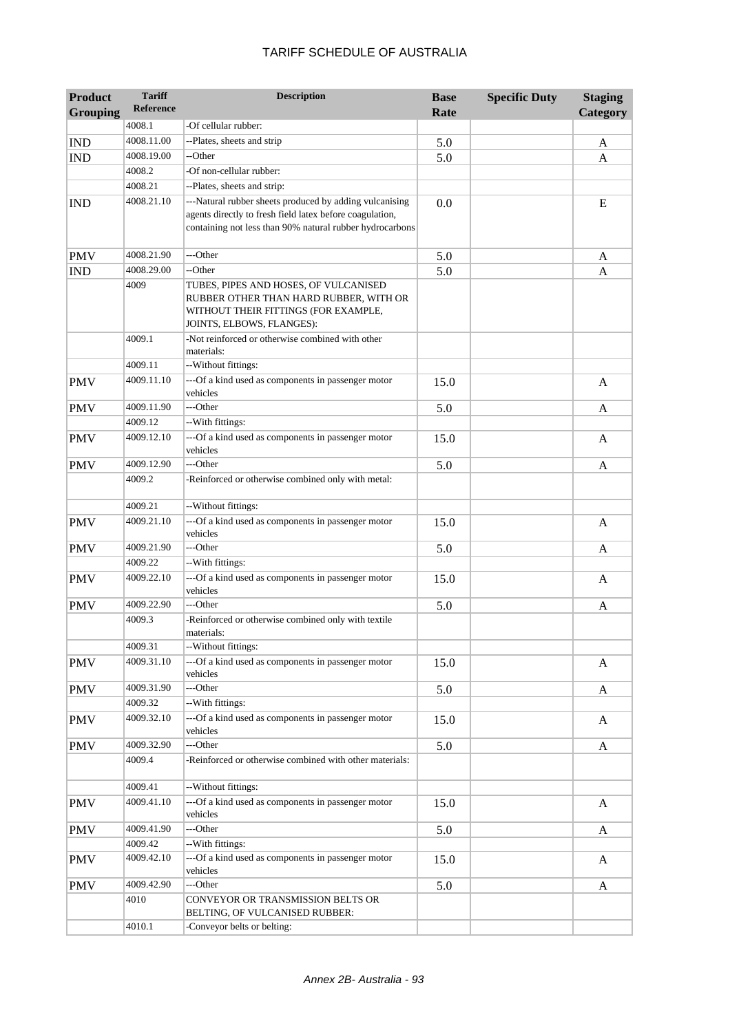| <b>Product</b>  | <b>Tariff</b>    | <b>Description</b>                                                                                                                                                              | <b>Base</b> | <b>Specific Duty</b> | <b>Staging</b> |
|-----------------|------------------|---------------------------------------------------------------------------------------------------------------------------------------------------------------------------------|-------------|----------------------|----------------|
| <b>Grouping</b> | <b>Reference</b> |                                                                                                                                                                                 | Rate        |                      | Category       |
|                 | 4008.1           | -Of cellular rubber:                                                                                                                                                            |             |                      |                |
| <b>IND</b>      | 4008.11.00       | --Plates, sheets and strip                                                                                                                                                      | 5.0         |                      | A              |
| <b>IND</b>      | 4008.19.00       | --Other                                                                                                                                                                         | 5.0         |                      | A              |
|                 | 4008.2           | -Of non-cellular rubber:                                                                                                                                                        |             |                      |                |
|                 | 4008.21          | --Plates, sheets and strip:                                                                                                                                                     |             |                      |                |
| <b>IND</b>      | 4008.21.10       | ---Natural rubber sheets produced by adding vulcanising<br>agents directly to fresh field latex before coagulation,<br>containing not less than 90% natural rubber hydrocarbons | 0.0         |                      | E              |
| <b>PMV</b>      | 4008.21.90       | ---Other                                                                                                                                                                        | 5.0         |                      | A              |
| <b>IND</b>      | 4008.29.00       | --Other                                                                                                                                                                         | 5.0         |                      | A              |
|                 | 4009             | TUBES, PIPES AND HOSES, OF VULCANISED<br>RUBBER OTHER THAN HARD RUBBER, WITH OR<br>WITHOUT THEIR FITTINGS (FOR EXAMPLE,<br>JOINTS, ELBOWS, FLANGES):                            |             |                      |                |
|                 | 4009.1           | -Not reinforced or otherwise combined with other<br>materials:                                                                                                                  |             |                      |                |
|                 | 4009.11          | --Without fittings:                                                                                                                                                             |             |                      |                |
| <b>PMV</b>      | 4009.11.10       | ---Of a kind used as components in passenger motor<br>vehicles                                                                                                                  | 15.0        |                      | $\mathbf{A}$   |
| <b>PMV</b>      | 4009.11.90       | ---Other                                                                                                                                                                        | 5.0         |                      | A              |
|                 | 4009.12          | --With fittings:                                                                                                                                                                |             |                      |                |
| <b>PMV</b>      | 4009.12.10       | ---Of a kind used as components in passenger motor<br>vehicles                                                                                                                  | 15.0        |                      | A              |
| <b>PMV</b>      | 4009.12.90       | ---Other                                                                                                                                                                        | 5.0         |                      | A              |
|                 | 4009.2           | -Reinforced or otherwise combined only with metal:                                                                                                                              |             |                      |                |
|                 | 4009.21          | --Without fittings:                                                                                                                                                             |             |                      |                |
| <b>PMV</b>      | 4009.21.10       | ---Of a kind used as components in passenger motor<br>vehicles                                                                                                                  | 15.0        |                      | $\mathbf{A}$   |
| <b>PMV</b>      | 4009.21.90       | ---Other                                                                                                                                                                        | 5.0         |                      | A              |
|                 | 4009.22          | --With fittings:                                                                                                                                                                |             |                      |                |
| <b>PMV</b>      | 4009.22.10       | ---Of a kind used as components in passenger motor<br>vehicles                                                                                                                  | 15.0        |                      | A              |
| <b>PMV</b>      | 4009.22.90       | ---Other                                                                                                                                                                        | 5.0         |                      | A              |
|                 | 4009.3           | -Reinforced or otherwise combined only with textile<br>materials:                                                                                                               |             |                      |                |
|                 | 4009.31          | --Without fittings:                                                                                                                                                             |             |                      |                |
| <b>PMV</b>      | 4009.31.10       | ---Of a kind used as components in passenger motor<br>vehicles                                                                                                                  | 15.0        |                      | A              |
| <b>PMV</b>      | 4009.31.90       | ---Other                                                                                                                                                                        | 5.0         |                      | $\mathbf{A}$   |
|                 | 4009.32          | --With fittings:                                                                                                                                                                |             |                      |                |
| <b>PMV</b>      | 4009.32.10       | ---Of a kind used as components in passenger motor<br>vehicles                                                                                                                  | 15.0        |                      | A              |
| <b>PMV</b>      | 4009.32.90       | ---Other                                                                                                                                                                        | 5.0         |                      | A              |
|                 | 4009.4           | -Reinforced or otherwise combined with other materials:                                                                                                                         |             |                      |                |
|                 | 4009.41          | --Without fittings:                                                                                                                                                             |             |                      |                |
| <b>PMV</b>      | 4009.41.10       | ---Of a kind used as components in passenger motor<br>vehicles                                                                                                                  | 15.0        |                      | A              |
| <b>PMV</b>      | 4009.41.90       | ---Other                                                                                                                                                                        | 5.0         |                      | A              |
|                 | 4009.42          | --With fittings:                                                                                                                                                                |             |                      |                |
| <b>PMV</b>      | 4009.42.10       | ---Of a kind used as components in passenger motor<br>vehicles                                                                                                                  | 15.0        |                      | A              |
| <b>PMV</b>      | 4009.42.90       | ---Other                                                                                                                                                                        | 5.0         |                      | A              |
|                 | 4010             | CONVEYOR OR TRANSMISSION BELTS OR<br>BELTING, OF VULCANISED RUBBER:                                                                                                             |             |                      |                |
|                 | 4010.1           | -Conveyor belts or belting:                                                                                                                                                     |             |                      |                |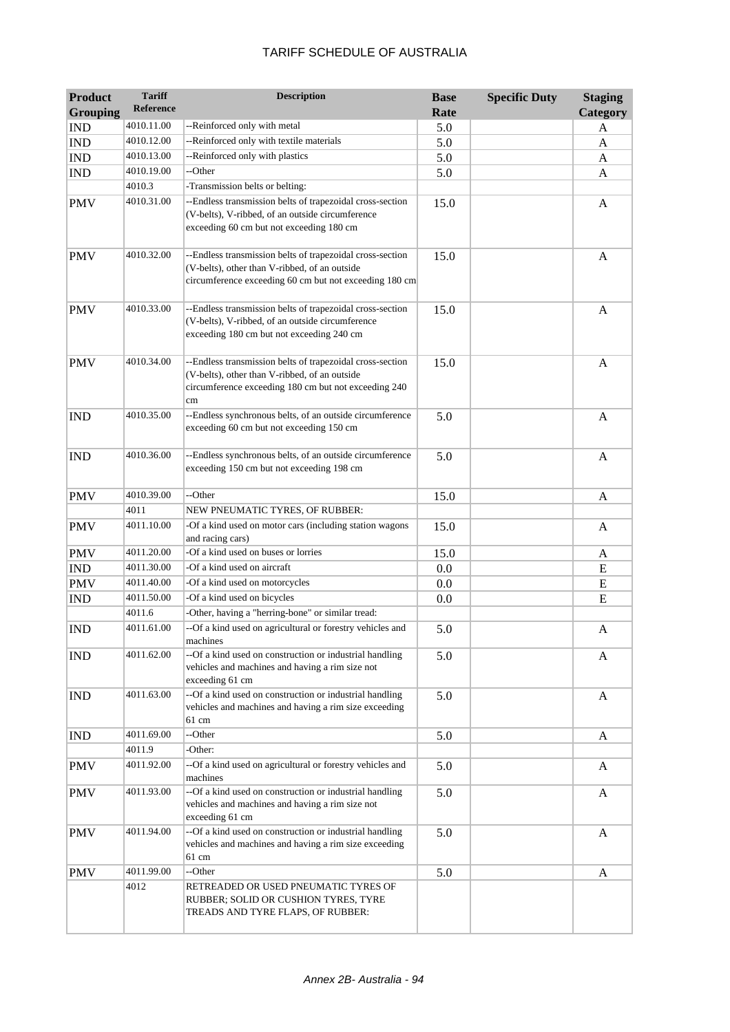| <b>Product</b><br><b>Grouping</b> | <b>Tariff</b><br>Reference | <b>Description</b>                                                                                                                                                       | <b>Base</b><br>Rate | <b>Specific Duty</b> | <b>Staging</b><br>Category |
|-----------------------------------|----------------------------|--------------------------------------------------------------------------------------------------------------------------------------------------------------------------|---------------------|----------------------|----------------------------|
| <b>IND</b>                        | 4010.11.00                 | --Reinforced only with metal                                                                                                                                             | 5.0                 |                      | A                          |
| <b>IND</b>                        | 4010.12.00                 | --Reinforced only with textile materials                                                                                                                                 | 5.0                 |                      | A                          |
| <b>IND</b>                        | 4010.13.00                 | --Reinforced only with plastics                                                                                                                                          | 5.0                 |                      | A                          |
| <b>IND</b>                        | 4010.19.00                 | --Other                                                                                                                                                                  | 5.0                 |                      | A                          |
|                                   | 4010.3                     | -Transmission belts or belting:                                                                                                                                          |                     |                      |                            |
| <b>PMV</b>                        | 4010.31.00                 | --Endless transmission belts of trapezoidal cross-section<br>(V-belts), V-ribbed, of an outside circumference<br>exceeding 60 cm but not exceeding 180 cm                | 15.0                |                      | A                          |
| <b>PMV</b>                        | 4010.32.00                 | --Endless transmission belts of trapezoidal cross-section<br>(V-belts), other than V-ribbed, of an outside<br>circumference exceeding 60 cm but not exceeding 180 cm     | 15.0                |                      | A                          |
| <b>PMV</b>                        | 4010.33.00                 | --Endless transmission belts of trapezoidal cross-section<br>(V-belts), V-ribbed, of an outside circumference<br>exceeding 180 cm but not exceeding 240 cm               | 15.0                |                      | A                          |
| <b>PMV</b>                        | 4010.34.00                 | --Endless transmission belts of trapezoidal cross-section<br>(V-belts), other than V-ribbed, of an outside<br>circumference exceeding 180 cm but not exceeding 240<br>cm | 15.0                |                      | A                          |
| <b>IND</b>                        | 4010.35.00                 | --Endless synchronous belts, of an outside circumference<br>exceeding 60 cm but not exceeding 150 cm                                                                     | 5.0                 |                      | $\mathbf{A}$               |
| <b>IND</b>                        | 4010.36.00                 | --Endless synchronous belts, of an outside circumference<br>exceeding 150 cm but not exceeding 198 cm                                                                    | 5.0                 |                      | A                          |
| <b>PMV</b>                        | 4010.39.00                 | --Other                                                                                                                                                                  | 15.0                |                      | A                          |
|                                   | 4011                       | NEW PNEUMATIC TYRES, OF RUBBER:                                                                                                                                          |                     |                      |                            |
| <b>PMV</b>                        | 4011.10.00                 | -Of a kind used on motor cars (including station wagons<br>and racing cars)                                                                                              | 15.0                |                      | A                          |
| <b>PMV</b>                        | 4011.20.00                 | -Of a kind used on buses or lorries                                                                                                                                      | 15.0                |                      | A                          |
| <b>IND</b>                        | 4011.30.00                 | -Of a kind used on aircraft                                                                                                                                              | 0.0                 |                      | E                          |
| <b>PMV</b>                        | 4011.40.00                 | -Of a kind used on motorcycles                                                                                                                                           | 0.0                 |                      | E                          |
| <b>IND</b>                        | 4011.50.00                 | -Of a kind used on bicycles                                                                                                                                              | 0.0                 |                      | E                          |
|                                   | 4011.6                     | -Other, having a "herring-bone" or similar tread:                                                                                                                        |                     |                      |                            |
| <b>IND</b>                        | 4011.61.00                 | --Of a kind used on agricultural or forestry vehicles and<br>machines                                                                                                    | 5.0                 |                      | A                          |
| <b>IND</b>                        | 4011.62.00                 | --Of a kind used on construction or industrial handling<br>vehicles and machines and having a rim size not<br>exceeding 61 cm                                            | 5.0                 |                      | A                          |
| <b>IND</b>                        | 4011.63.00                 | --Of a kind used on construction or industrial handling<br>vehicles and machines and having a rim size exceeding<br>61 cm                                                | 5.0                 |                      | A                          |
| <b>IND</b>                        | 4011.69.00                 | --Other                                                                                                                                                                  | 5.0                 |                      | A                          |
|                                   | 4011.9                     | -Other:                                                                                                                                                                  |                     |                      |                            |
| <b>PMV</b>                        | 4011.92.00                 | --Of a kind used on agricultural or forestry vehicles and<br>machines                                                                                                    | 5.0                 |                      | A                          |
| <b>PMV</b>                        | 4011.93.00                 | --Of a kind used on construction or industrial handling<br>vehicles and machines and having a rim size not<br>exceeding 61 cm                                            | 5.0                 |                      | A                          |
| <b>PMV</b>                        | 4011.94.00                 | --Of a kind used on construction or industrial handling<br>vehicles and machines and having a rim size exceeding<br>61 cm                                                | 5.0                 |                      | A                          |
| <b>PMV</b>                        | 4011.99.00                 | --Other                                                                                                                                                                  | 5.0                 |                      | A                          |
|                                   | 4012                       | RETREADED OR USED PNEUMATIC TYRES OF<br>RUBBER; SOLID OR CUSHION TYRES, TYRE<br>TREADS AND TYRE FLAPS, OF RUBBER:                                                        |                     |                      |                            |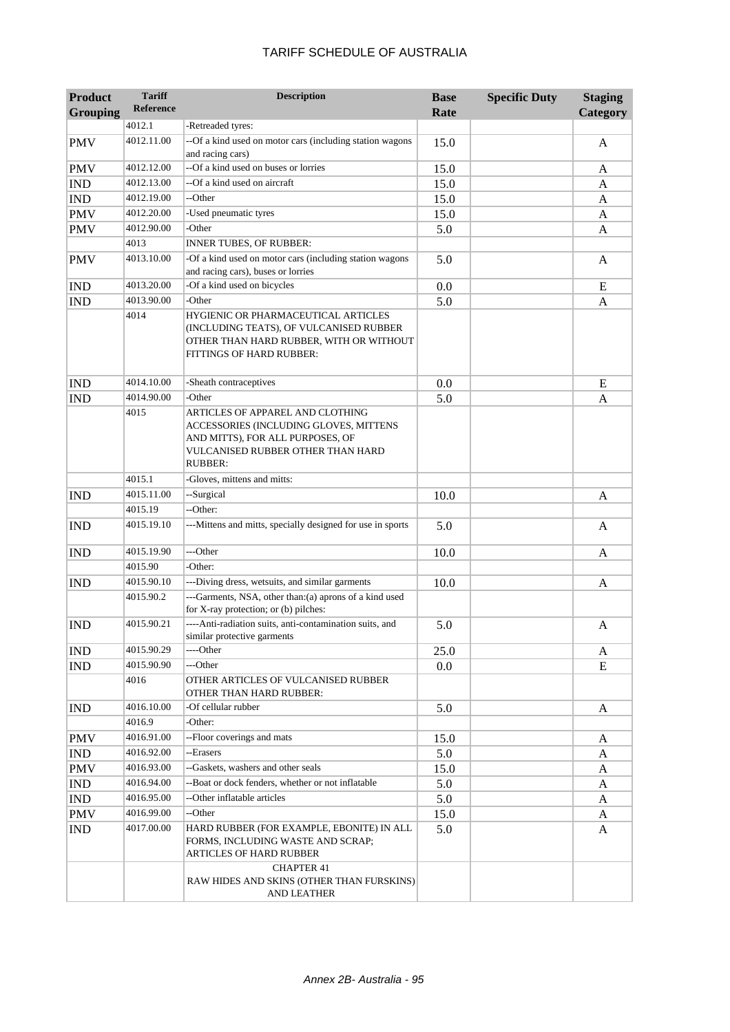| <b>Product</b>              | <b>Tariff</b>    | <b>Description</b>                                                                                                                                                    | <b>Base</b> | <b>Specific Duty</b> | <b>Staging</b> |
|-----------------------------|------------------|-----------------------------------------------------------------------------------------------------------------------------------------------------------------------|-------------|----------------------|----------------|
| <b>Grouping</b>             | <b>Reference</b> |                                                                                                                                                                       | Rate        |                      | Category       |
|                             | 4012.1           | -Retreaded tyres:                                                                                                                                                     |             |                      |                |
| <b>PMV</b>                  | 4012.11.00       | --Of a kind used on motor cars (including station wagons<br>and racing cars)                                                                                          | 15.0        |                      | A              |
| <b>PMV</b>                  | 4012.12.00       | --Of a kind used on buses or lorries                                                                                                                                  | 15.0        |                      | A              |
| <b>IND</b>                  | 4012.13.00       | --Of a kind used on aircraft                                                                                                                                          | 15.0        |                      | A              |
| $\mathop{\rm IND}\nolimits$ | 4012.19.00       | --Other                                                                                                                                                               | 15.0        |                      | A              |
| <b>PMV</b>                  | 4012.20.00       | -Used pneumatic tyres                                                                                                                                                 | 15.0        |                      | A              |
| <b>PMV</b>                  | 4012.90.00       | -Other                                                                                                                                                                | 5.0         |                      | A              |
|                             | 4013             | <b>INNER TUBES, OF RUBBER:</b>                                                                                                                                        |             |                      |                |
| <b>PMV</b>                  | 4013.10.00       | -Of a kind used on motor cars (including station wagons<br>and racing cars), buses or lorries                                                                         | 5.0         |                      | A              |
| <b>IND</b>                  | 4013.20.00       | -Of a kind used on bicycles                                                                                                                                           | 0.0         |                      | E              |
| <b>IND</b>                  | 4013.90.00       | -Other                                                                                                                                                                | 5.0         |                      | A              |
|                             | 4014             | HYGIENIC OR PHARMACEUTICAL ARTICLES<br>(INCLUDING TEATS), OF VULCANISED RUBBER<br>OTHER THAN HARD RUBBER, WITH OR WITHOUT<br>FITTINGS OF HARD RUBBER:                 |             |                      |                |
| <b>IND</b>                  | 4014.10.00       | -Sheath contraceptives                                                                                                                                                | 0.0         |                      | E              |
| <b>IND</b>                  | 4014.90.00       | -Other                                                                                                                                                                | 5.0         |                      | A              |
|                             | 4015             | ARTICLES OF APPAREL AND CLOTHING<br>ACCESSORIES (INCLUDING GLOVES, MITTENS<br>AND MITTS), FOR ALL PURPOSES, OF<br>VULCANISED RUBBER OTHER THAN HARD<br><b>RUBBER:</b> |             |                      |                |
|                             | 4015.1           | -Gloves, mittens and mitts:                                                                                                                                           |             |                      |                |
| <b>IND</b>                  | 4015.11.00       | --Surgical                                                                                                                                                            | 10.0        |                      | A              |
|                             | 4015.19          | --Other:                                                                                                                                                              |             |                      |                |
| <b>IND</b>                  | 4015.19.10       | ---Mittens and mitts, specially designed for use in sports                                                                                                            | 5.0         |                      | A              |
| <b>IND</b>                  | 4015.19.90       | ---Other                                                                                                                                                              | 10.0        |                      | A              |
|                             | 4015.90          | -Other:                                                                                                                                                               |             |                      |                |
| <b>IND</b>                  | 4015.90.10       | ---Diving dress, wetsuits, and similar garments                                                                                                                       | 10.0        |                      | A              |
|                             | 4015.90.2        | ---Garments, NSA, other than:(a) aprons of a kind used<br>for X-ray protection; or (b) pilches:                                                                       |             |                      |                |
| <b>IND</b>                  | 4015.90.21       | ----Anti-radiation suits, anti-contamination suits, and<br>similar protective garments                                                                                | 5.0         |                      | A              |
| <b>IND</b>                  | 4015.90.29       | ----Other                                                                                                                                                             | 25.0        |                      | A              |
| <b>IND</b>                  | 4015.90.90       | ---Other                                                                                                                                                              | 0.0         |                      | E              |
|                             | 4016             | OTHER ARTICLES OF VULCANISED RUBBER<br>OTHER THAN HARD RUBBER:                                                                                                        |             |                      |                |
| <b>IND</b>                  | 4016.10.00       | -Of cellular rubber                                                                                                                                                   | 5.0         |                      | A              |
|                             | 4016.9           | -Other:                                                                                                                                                               |             |                      |                |
| <b>PMV</b>                  | 4016.91.00       | --Floor coverings and mats                                                                                                                                            | 15.0        |                      | A              |
| $\mathop{\rm IND}\nolimits$ | 4016.92.00       | --Erasers                                                                                                                                                             | 5.0         |                      | A              |
| <b>PMV</b>                  | 4016.93.00       | --Gaskets, washers and other seals                                                                                                                                    | 15.0        |                      | A              |
| $\mathop{\rm IND}\nolimits$ | 4016.94.00       | --Boat or dock fenders, whether or not inflatable                                                                                                                     | 5.0         |                      | A              |
| $\mathop{\rm IND}\nolimits$ | 4016.95.00       | --Other inflatable articles                                                                                                                                           | 5.0         |                      | A              |
| <b>PMV</b>                  | 4016.99.00       | --Other                                                                                                                                                               | 15.0        |                      | A              |
| <b>IND</b>                  | 4017.00.00       | HARD RUBBER (FOR EXAMPLE, EBONITE) IN ALL<br>FORMS, INCLUDING WASTE AND SCRAP;<br>ARTICLES OF HARD RUBBER                                                             | 5.0         |                      | A              |
|                             |                  | <b>CHAPTER 41</b><br>RAW HIDES AND SKINS (OTHER THAN FURSKINS)<br>AND LEATHER                                                                                         |             |                      |                |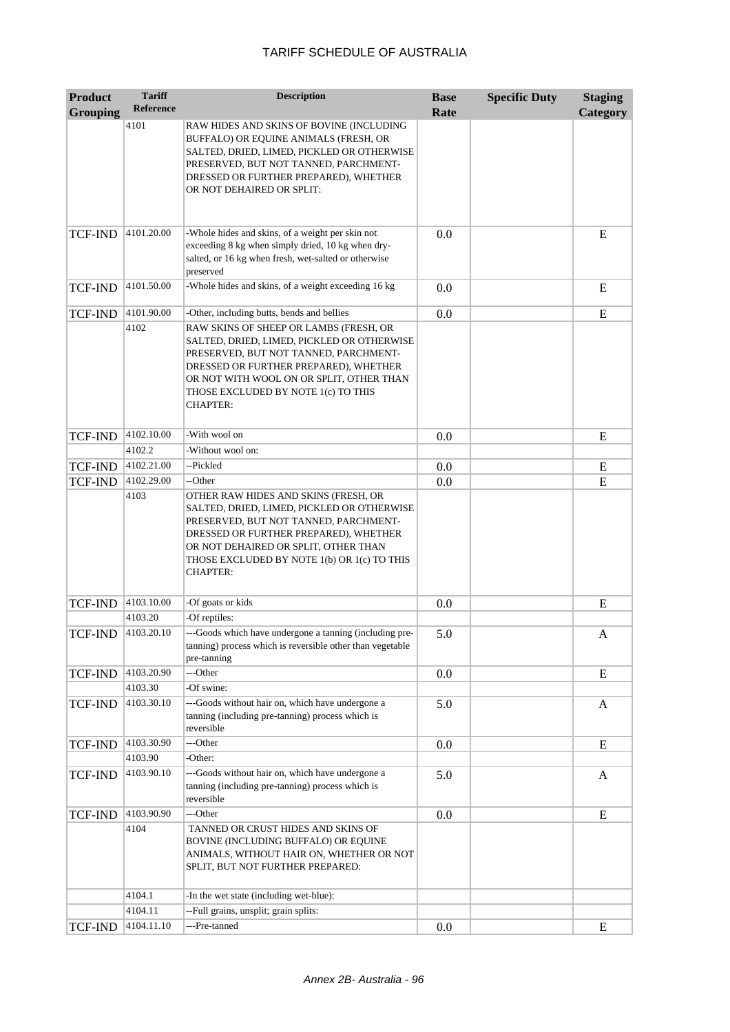| <b>Product</b>  | <b>Tariff</b>    | <b>Description</b>                                                                                                                                                                                                                                                             | <b>Base</b> | <b>Specific Duty</b> | <b>Staging</b> |
|-----------------|------------------|--------------------------------------------------------------------------------------------------------------------------------------------------------------------------------------------------------------------------------------------------------------------------------|-------------|----------------------|----------------|
| <b>Grouping</b> | <b>Reference</b> |                                                                                                                                                                                                                                                                                | Rate        |                      | Category       |
|                 | 4101             | RAW HIDES AND SKINS OF BOVINE (INCLUDING<br>BUFFALO) OR EQUINE ANIMALS (FRESH, OR<br>SALTED, DRIED, LIMED, PICKLED OR OTHERWISE<br>PRESERVED, BUT NOT TANNED, PARCHMENT-<br>DRESSED OR FURTHER PREPARED), WHETHER<br>OR NOT DEHAIRED OR SPLIT:                                 |             |                      |                |
| <b>TCF-IND</b>  | 4101.20.00       | -Whole hides and skins, of a weight per skin not<br>exceeding 8 kg when simply dried, 10 kg when dry-<br>salted, or 16 kg when fresh, wet-salted or otherwise<br>preserved                                                                                                     | 0.0         |                      | E              |
| <b>TCF-IND</b>  | 4101.50.00       | -Whole hides and skins, of a weight exceeding 16 kg                                                                                                                                                                                                                            | 0.0         |                      | E              |
| <b>TCF-IND</b>  | 4101.90.00       | -Other, including butts, bends and bellies                                                                                                                                                                                                                                     | 0.0         |                      | ${\bf E}$      |
|                 | 4102             | RAW SKINS OF SHEEP OR LAMBS (FRESH, OR<br>SALTED, DRIED, LIMED, PICKLED OR OTHERWISE<br>PRESERVED, BUT NOT TANNED, PARCHMENT-<br>DRESSED OR FURTHER PREPARED), WHETHER<br>OR NOT WITH WOOL ON OR SPLIT, OTHER THAN<br>THOSE EXCLUDED BY NOTE 1(c) TO THIS<br><b>CHAPTER:</b>   |             |                      |                |
| <b>TCF-IND</b>  | 4102.10.00       | -With wool on                                                                                                                                                                                                                                                                  | 0.0         |                      | E              |
|                 | 4102.2           | -Without wool on:                                                                                                                                                                                                                                                              |             |                      |                |
| TCF-IND         | 4102.21.00       | --Pickled                                                                                                                                                                                                                                                                      | 0.0         |                      | E              |
| TCF-IND         | 4102.29.00       | --Other                                                                                                                                                                                                                                                                        | 0.0         |                      | E              |
|                 | 4103             | OTHER RAW HIDES AND SKINS (FRESH, OR<br>SALTED, DRIED, LIMED, PICKLED OR OTHERWISE<br>PRESERVED, BUT NOT TANNED, PARCHMENT-<br>DRESSED OR FURTHER PREPARED), WHETHER<br>OR NOT DEHAIRED OR SPLIT, OTHER THAN<br>THOSE EXCLUDED BY NOTE 1(b) OR 1(c) TO THIS<br><b>CHAPTER:</b> |             |                      |                |
| <b>TCF-IND</b>  | 4103.10.00       | -Of goats or kids                                                                                                                                                                                                                                                              | 0.0         |                      | E              |
|                 | 4103.20          | -Of reptiles:                                                                                                                                                                                                                                                                  |             |                      |                |
| <b>TCF-IND</b>  | 4103.20.10       | ---Goods which have undergone a tanning (including pre-<br>tanning) process which is reversible other than vegetable<br>pre-tanning                                                                                                                                            | 5.0         |                      | A              |
| TCF-IND         | 4103.20.90       | ---Other                                                                                                                                                                                                                                                                       | 0.0         |                      | E              |
|                 | 4103.30          | -Of swine:                                                                                                                                                                                                                                                                     |             |                      |                |
| <b>TCF-IND</b>  | 4103.30.10       | ---Goods without hair on, which have undergone a<br>tanning (including pre-tanning) process which is<br>reversible                                                                                                                                                             | 5.0         |                      | A              |
| <b>TCF-IND</b>  | 4103.30.90       | ---Other                                                                                                                                                                                                                                                                       | 0.0         |                      | E              |
|                 | 4103.90          | -Other:                                                                                                                                                                                                                                                                        |             |                      |                |
| <b>TCF-IND</b>  | 4103.90.10       | ---Goods without hair on, which have undergone a<br>tanning (including pre-tanning) process which is<br>reversible                                                                                                                                                             | 5.0         |                      | A              |
| <b>TCF-IND</b>  | 4103.90.90       | ---Other                                                                                                                                                                                                                                                                       | 0.0         |                      | E              |
|                 | 4104             | TANNED OR CRUST HIDES AND SKINS OF<br>BOVINE (INCLUDING BUFFALO) OR EQUINE<br>ANIMALS, WITHOUT HAIR ON, WHETHER OR NOT<br>SPLIT, BUT NOT FURTHER PREPARED:                                                                                                                     |             |                      |                |
|                 | 4104.1           | -In the wet state (including wet-blue):                                                                                                                                                                                                                                        |             |                      |                |
|                 | 4104.11          | --Full grains, unsplit; grain splits:                                                                                                                                                                                                                                          |             |                      |                |
| <b>TCF-IND</b>  | 4104.11.10       | ---Pre-tanned                                                                                                                                                                                                                                                                  | 0.0         |                      | E              |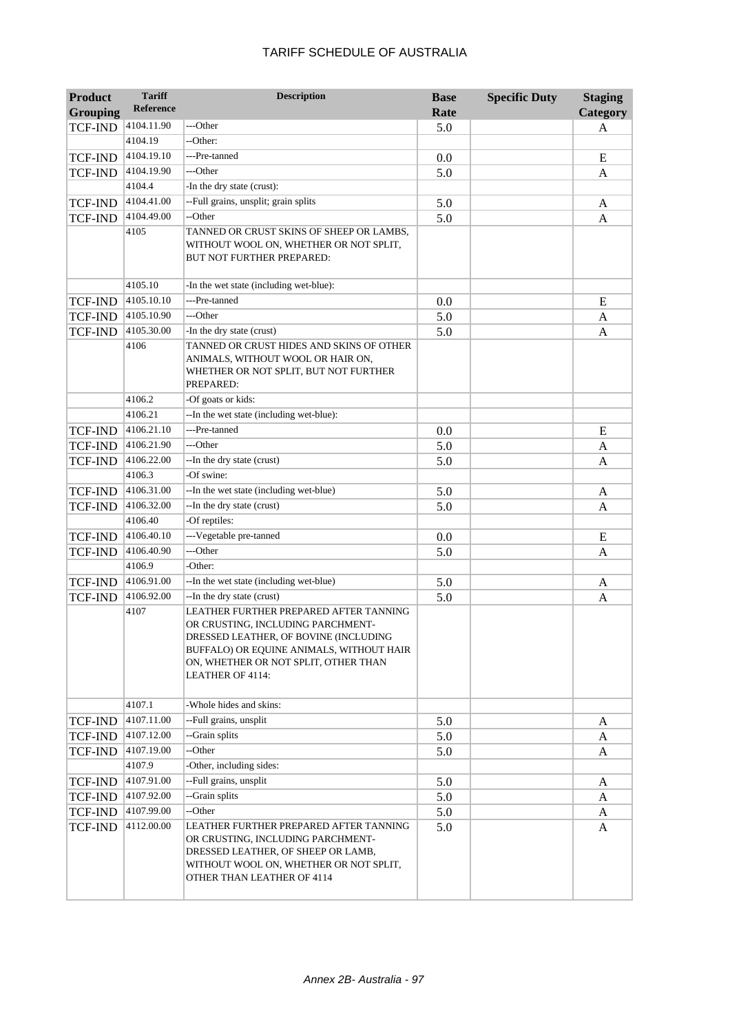| <b>Product</b><br><b>Grouping</b> | <b>Tariff</b><br><b>Reference</b> | <b>Description</b>                                                                                                                                                                                                           | <b>Base</b><br>Rate | <b>Specific Duty</b> | <b>Staging</b><br>Category |
|-----------------------------------|-----------------------------------|------------------------------------------------------------------------------------------------------------------------------------------------------------------------------------------------------------------------------|---------------------|----------------------|----------------------------|
| <b>TCF-IND</b>                    | 4104.11.90                        | ---Other                                                                                                                                                                                                                     | 5.0                 |                      | A                          |
|                                   | 4104.19                           | --Other:                                                                                                                                                                                                                     |                     |                      |                            |
| <b>TCF-IND</b>                    | 4104.19.10                        | ---Pre-tanned                                                                                                                                                                                                                | 0.0                 |                      | E                          |
| TCF-IND                           | 4104.19.90                        | ---Other                                                                                                                                                                                                                     | 5.0                 |                      | A                          |
|                                   | 4104.4                            | -In the dry state (crust):                                                                                                                                                                                                   |                     |                      |                            |
| <b>TCF-IND</b>                    | 4104.41.00                        | --Full grains, unsplit; grain splits                                                                                                                                                                                         | 5.0                 |                      | A                          |
| <b>TCF-IND</b>                    | 4104.49.00                        | --Other                                                                                                                                                                                                                      | 5.0                 |                      | A                          |
|                                   | 4105                              | TANNED OR CRUST SKINS OF SHEEP OR LAMBS,<br>WITHOUT WOOL ON, WHETHER OR NOT SPLIT,<br>BUT NOT FURTHER PREPARED:                                                                                                              |                     |                      |                            |
|                                   | 4105.10                           | -In the wet state (including wet-blue):                                                                                                                                                                                      |                     |                      |                            |
| <b>TCF-IND</b>                    | 4105.10.10                        | ---Pre-tanned                                                                                                                                                                                                                | 0.0                 |                      | E                          |
| <b>TCF-IND</b>                    | 4105.10.90                        | ---Other                                                                                                                                                                                                                     | 5.0                 |                      | A                          |
| <b>TCF-IND</b>                    | 4105.30.00                        | -In the dry state (crust)                                                                                                                                                                                                    | 5.0                 |                      | A                          |
|                                   | 4106                              | TANNED OR CRUST HIDES AND SKINS OF OTHER<br>ANIMALS, WITHOUT WOOL OR HAIR ON,<br>WHETHER OR NOT SPLIT, BUT NOT FURTHER<br>PREPARED:                                                                                          |                     |                      |                            |
|                                   | 4106.2                            | -Of goats or kids:                                                                                                                                                                                                           |                     |                      |                            |
|                                   | 4106.21                           | --In the wet state (including wet-blue):                                                                                                                                                                                     |                     |                      |                            |
| <b>TCF-IND</b>                    | 4106.21.10                        | ---Pre-tanned                                                                                                                                                                                                                | 0.0                 |                      | E                          |
| TCF-IND                           | 4106.21.90                        | ---Other                                                                                                                                                                                                                     | 5.0                 |                      | A                          |
| <b>TCF-IND</b>                    | 4106.22.00                        | --In the dry state (crust)<br>-Of swine:                                                                                                                                                                                     | 5.0                 |                      | A                          |
|                                   | 4106.3<br>4106.31.00              |                                                                                                                                                                                                                              |                     |                      |                            |
| <b>TCF-IND</b>                    | 4106.32.00                        | --In the wet state (including wet-blue)                                                                                                                                                                                      | 5.0                 |                      | A                          |
| <b>TCF-IND</b>                    | 4106.40                           | -- In the dry state (crust)                                                                                                                                                                                                  | 5.0                 |                      | A                          |
|                                   | 4106.40.10                        | -Of reptiles:<br>---Vegetable pre-tanned                                                                                                                                                                                     |                     |                      |                            |
| <b>TCF-IND</b>                    | 4106.40.90                        | ---Other                                                                                                                                                                                                                     | 0.0                 |                      | E                          |
| <b>TCF-IND</b>                    | 4106.9                            | -Other:                                                                                                                                                                                                                      | 5.0                 |                      | A                          |
|                                   | 4106.91.00                        | --In the wet state (including wet-blue)                                                                                                                                                                                      |                     |                      |                            |
| <b>TCF-IND</b>                    | 4106.92.00                        | --In the dry state (crust)                                                                                                                                                                                                   | 5.0                 |                      | A                          |
| <b>TCF-IND</b>                    | 4107                              | LEATHER FURTHER PREPARED AFTER TANNING<br>OR CRUSTING, INCLUDING PARCHMENT-<br>DRESSED LEATHER, OF BOVINE (INCLUDING<br>BUFFALO) OR EQUINE ANIMALS, WITHOUT HAIR<br>ON, WHETHER OR NOT SPLIT, OTHER THAN<br>LEATHER OF 4114: | 5.0                 |                      | A                          |
|                                   | 4107.1                            | -Whole hides and skins:                                                                                                                                                                                                      |                     |                      |                            |
| TCF-IND                           | 4107.11.00                        | --Full grains, unsplit                                                                                                                                                                                                       | 5.0                 |                      | A                          |
| <b>TCF-IND</b>                    | 4107.12.00                        | --Grain splits                                                                                                                                                                                                               | 5.0                 |                      | A                          |
| TCF-IND                           | 4107.19.00                        | --Other                                                                                                                                                                                                                      | 5.0                 |                      | A                          |
|                                   | 4107.9                            | -Other, including sides:                                                                                                                                                                                                     |                     |                      |                            |
| <b>TCF-IND</b>                    | 4107.91.00                        | --Full grains, unsplit                                                                                                                                                                                                       | 5.0                 |                      | A                          |
| TCF-IND                           | 4107.92.00                        | --Grain splits                                                                                                                                                                                                               | 5.0                 |                      | A                          |
| TCF-IND                           | 4107.99.00                        | --Other                                                                                                                                                                                                                      | 5.0                 |                      | A                          |
| TCF-IND                           | 4112.00.00                        | LEATHER FURTHER PREPARED AFTER TANNING<br>OR CRUSTING, INCLUDING PARCHMENT-<br>DRESSED LEATHER, OF SHEEP OR LAMB,<br>WITHOUT WOOL ON, WHETHER OR NOT SPLIT,<br>OTHER THAN LEATHER OF 4114                                    | 5.0                 |                      | A                          |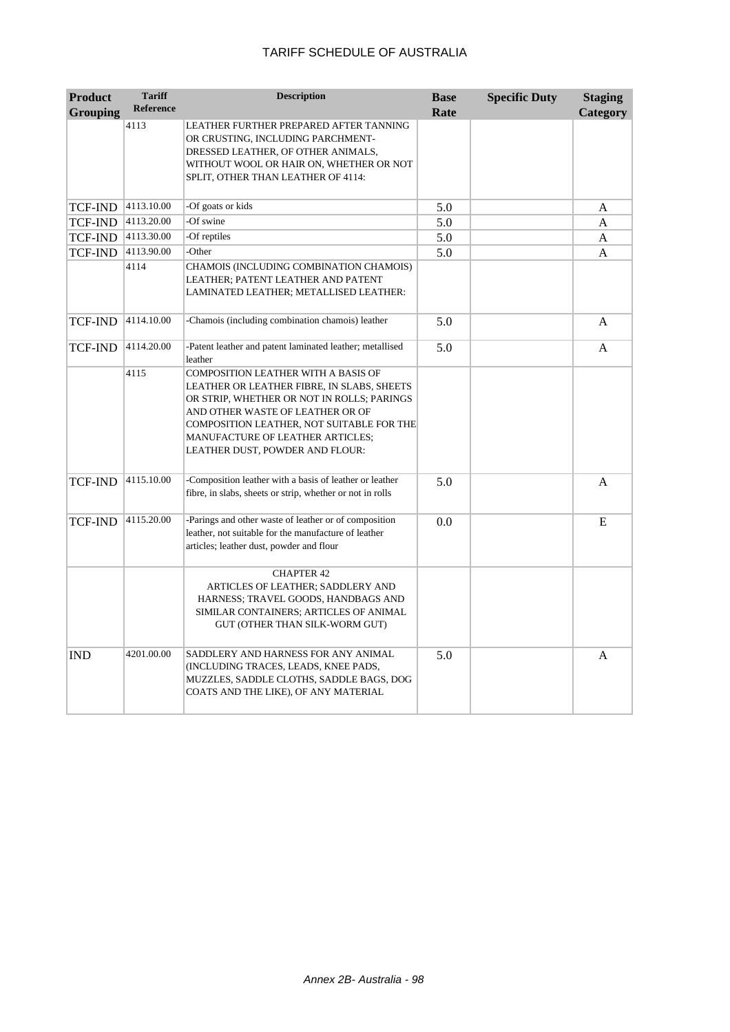| <b>Product</b>  | <b>Tariff</b><br><b>Reference</b> | <b>Description</b>                                                                                                                                                                                                                                                                                    | <b>Base</b> | <b>Specific Duty</b> | <b>Staging</b> |
|-----------------|-----------------------------------|-------------------------------------------------------------------------------------------------------------------------------------------------------------------------------------------------------------------------------------------------------------------------------------------------------|-------------|----------------------|----------------|
| <b>Grouping</b> | 4113                              | LEATHER FURTHER PREPARED AFTER TANNING<br>OR CRUSTING, INCLUDING PARCHMENT-<br>DRESSED LEATHER, OF OTHER ANIMALS,<br>WITHOUT WOOL OR HAIR ON, WHETHER OR NOT<br>SPLIT, OTHER THAN LEATHER OF 4114:                                                                                                    | Rate        |                      | Category       |
| TCF-IND         | 4113.10.00                        | -Of goats or kids                                                                                                                                                                                                                                                                                     | 5.0         |                      | A              |
| <b>TCF-IND</b>  | 4113.20.00                        | -Of swine                                                                                                                                                                                                                                                                                             | 5.0         |                      | A              |
| TCF-IND         | 4113.30.00                        | -Of reptiles                                                                                                                                                                                                                                                                                          | 5.0         |                      | A              |
| TCF-IND         | 4113.90.00                        | -Other                                                                                                                                                                                                                                                                                                | 5.0         |                      | A              |
|                 | 4114                              | CHAMOIS (INCLUDING COMBINATION CHAMOIS)<br>LEATHER; PATENT LEATHER AND PATENT<br>LAMINATED LEATHER; METALLISED LEATHER:                                                                                                                                                                               |             |                      |                |
| TCF-IND         | 4114.10.00                        | -Chamois (including combination chamois) leather                                                                                                                                                                                                                                                      | 5.0         |                      | A              |
| TCF-IND         | 4114.20.00                        | -Patent leather and patent laminated leather; metallised<br>leather                                                                                                                                                                                                                                   | 5.0         |                      | A              |
|                 | 4115                              | <b>COMPOSITION LEATHER WITH A BASIS OF</b><br>LEATHER OR LEATHER FIBRE, IN SLABS, SHEETS<br>OR STRIP, WHETHER OR NOT IN ROLLS; PARINGS<br>AND OTHER WASTE OF LEATHER OR OF<br>COMPOSITION LEATHER, NOT SUITABLE FOR THE<br><b>MANUFACTURE OF LEATHER ARTICLES;</b><br>LEATHER DUST, POWDER AND FLOUR: |             |                      |                |
| TCF-IND         | 4115.10.00                        | -Composition leather with a basis of leather or leather<br>fibre, in slabs, sheets or strip, whether or not in rolls                                                                                                                                                                                  | 5.0         |                      | A              |
| TCF-IND         | 4115.20.00                        | -Parings and other waste of leather or of composition<br>leather, not suitable for the manufacture of leather<br>articles; leather dust, powder and flour                                                                                                                                             | 0.0         |                      | E              |
|                 |                                   | <b>CHAPTER 42</b><br>ARTICLES OF LEATHER; SADDLERY AND<br>HARNESS; TRAVEL GOODS, HANDBAGS AND<br>SIMILAR CONTAINERS; ARTICLES OF ANIMAL<br>GUT (OTHER THAN SILK-WORM GUT)                                                                                                                             |             |                      |                |
| <b>IND</b>      | 4201.00.00                        | SADDLERY AND HARNESS FOR ANY ANIMAL<br>(INCLUDING TRACES, LEADS, KNEE PADS,<br>MUZZLES, SADDLE CLOTHS, SADDLE BAGS, DOG<br>COATS AND THE LIKE), OF ANY MATERIAL                                                                                                                                       | 5.0         |                      | A              |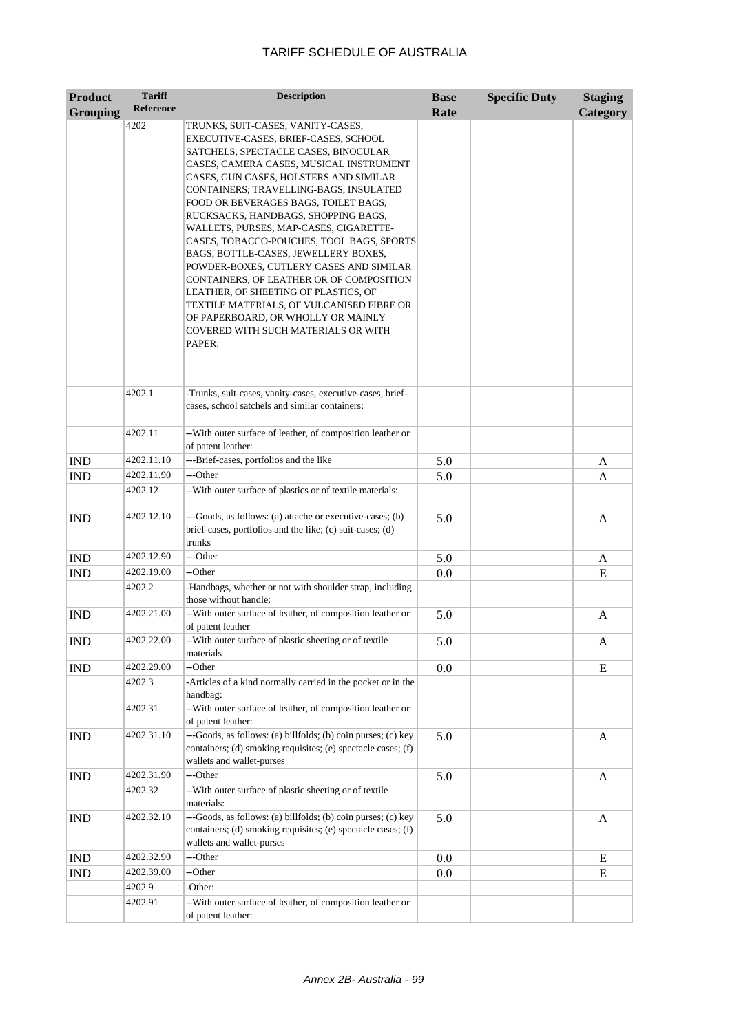| <b>Product</b>  | <b>Tariff</b>     | <b>Description</b>                                                                                                                                                                                                                                                                                                                                                                                                                                                                                                                                                                                                                                                                                                                | <b>Base</b> | <b>Specific Duty</b> | <b>Staging</b> |
|-----------------|-------------------|-----------------------------------------------------------------------------------------------------------------------------------------------------------------------------------------------------------------------------------------------------------------------------------------------------------------------------------------------------------------------------------------------------------------------------------------------------------------------------------------------------------------------------------------------------------------------------------------------------------------------------------------------------------------------------------------------------------------------------------|-------------|----------------------|----------------|
| <b>Grouping</b> | <b>Reference</b>  |                                                                                                                                                                                                                                                                                                                                                                                                                                                                                                                                                                                                                                                                                                                                   | Rate        |                      | Category       |
|                 | 4202              | TRUNKS, SUIT-CASES, VANITY-CASES,<br>EXECUTIVE-CASES, BRIEF-CASES, SCHOOL<br>SATCHELS, SPECTACLE CASES, BINOCULAR<br>CASES, CAMERA CASES, MUSICAL INSTRUMENT<br>CASES, GUN CASES, HOLSTERS AND SIMILAR<br>CONTAINERS; TRAVELLING-BAGS, INSULATED<br>FOOD OR BEVERAGES BAGS, TOILET BAGS,<br>RUCKSACKS, HANDBAGS, SHOPPING BAGS,<br>WALLETS, PURSES, MAP-CASES, CIGARETTE-<br>CASES, TOBACCO-POUCHES, TOOL BAGS, SPORTS<br>BAGS, BOTTLE-CASES, JEWELLERY BOXES,<br>POWDER-BOXES, CUTLERY CASES AND SIMILAR<br>CONTAINERS, OF LEATHER OR OF COMPOSITION<br>LEATHER, OF SHEETING OF PLASTICS, OF<br>TEXTILE MATERIALS, OF VULCANISED FIBRE OR<br>OF PAPERBOARD, OR WHOLLY OR MAINLY<br>COVERED WITH SUCH MATERIALS OR WITH<br>PAPER: |             |                      |                |
|                 | 4202.1            | -Trunks, suit-cases, vanity-cases, executive-cases, brief-<br>cases, school satchels and similar containers:                                                                                                                                                                                                                                                                                                                                                                                                                                                                                                                                                                                                                      |             |                      |                |
|                 | 4202.11           | -- With outer surface of leather, of composition leather or<br>of patent leather:                                                                                                                                                                                                                                                                                                                                                                                                                                                                                                                                                                                                                                                 |             |                      |                |
| <b>IND</b>      | 4202.11.10        | ---Brief-cases, portfolios and the like                                                                                                                                                                                                                                                                                                                                                                                                                                                                                                                                                                                                                                                                                           | 5.0         |                      | A              |
| <b>IND</b>      | 4202.11.90        | ---Other                                                                                                                                                                                                                                                                                                                                                                                                                                                                                                                                                                                                                                                                                                                          | 5.0         |                      | A              |
|                 | 4202.12           | -- With outer surface of plastics or of textile materials:                                                                                                                                                                                                                                                                                                                                                                                                                                                                                                                                                                                                                                                                        |             |                      |                |
| <b>IND</b>      | 4202.12.10        | ---Goods, as follows: (a) attache or executive-cases; (b)<br>brief-cases, portfolios and the like; (c) suit-cases; (d)<br>trunks                                                                                                                                                                                                                                                                                                                                                                                                                                                                                                                                                                                                  | 5.0         |                      | A              |
| <b>IND</b>      | 4202.12.90        | ---Other                                                                                                                                                                                                                                                                                                                                                                                                                                                                                                                                                                                                                                                                                                                          | 5.0         |                      | A              |
| <b>IND</b>      | 4202.19.00        | --Other                                                                                                                                                                                                                                                                                                                                                                                                                                                                                                                                                                                                                                                                                                                           | 0.0         |                      | E              |
|                 | 4202.2            | -Handbags, whether or not with shoulder strap, including<br>those without handle:                                                                                                                                                                                                                                                                                                                                                                                                                                                                                                                                                                                                                                                 |             |                      |                |
| <b>IND</b>      | 4202.21.00        | -- With outer surface of leather, of composition leather or<br>of patent leather                                                                                                                                                                                                                                                                                                                                                                                                                                                                                                                                                                                                                                                  | 5.0         |                      | A              |
| <b>IND</b>      | 4202.22.00        | -- With outer surface of plastic sheeting or of textile<br>materials                                                                                                                                                                                                                                                                                                                                                                                                                                                                                                                                                                                                                                                              | 5.0         |                      | A              |
| <b>IND</b>      | 4202.29.00        | --Other                                                                                                                                                                                                                                                                                                                                                                                                                                                                                                                                                                                                                                                                                                                           | 0.0         |                      | E              |
|                 | 4202.3            | -Articles of a kind normally carried in the pocket or in the<br>handbag:                                                                                                                                                                                                                                                                                                                                                                                                                                                                                                                                                                                                                                                          |             |                      |                |
|                 | 4202.31           | -- With outer surface of leather, of composition leather or<br>of patent leather:                                                                                                                                                                                                                                                                                                                                                                                                                                                                                                                                                                                                                                                 |             |                      |                |
| <b>IND</b>      | 4202.31.10        | ---Goods, as follows: (a) billfolds; (b) coin purses; (c) key<br>containers; (d) smoking requisites; (e) spectacle cases; (f)<br>wallets and wallet-purses                                                                                                                                                                                                                                                                                                                                                                                                                                                                                                                                                                        | 5.0         |                      | A              |
| IND             | 4202.31.90        | ---Other                                                                                                                                                                                                                                                                                                                                                                                                                                                                                                                                                                                                                                                                                                                          | 5.0         |                      | A              |
|                 | 4202.32           | -- With outer surface of plastic sheeting or of textile<br>materials:                                                                                                                                                                                                                                                                                                                                                                                                                                                                                                                                                                                                                                                             |             |                      |                |
| <b>IND</b>      | 4202.32.10        | ---Goods, as follows: (a) billfolds; (b) coin purses; (c) key<br>containers; (d) smoking requisites; (e) spectacle cases; (f)<br>wallets and wallet-purses                                                                                                                                                                                                                                                                                                                                                                                                                                                                                                                                                                        | 5.0         |                      | A              |
| IND             | 4202.32.90        | ---Other                                                                                                                                                                                                                                                                                                                                                                                                                                                                                                                                                                                                                                                                                                                          | 0.0         |                      | E              |
| <b>IND</b>      | 4202.39.00        | --Other                                                                                                                                                                                                                                                                                                                                                                                                                                                                                                                                                                                                                                                                                                                           | 0.0         |                      | E              |
|                 | 4202.9<br>4202.91 | -Other:<br>-- With outer surface of leather, of composition leather or<br>of patent leather:                                                                                                                                                                                                                                                                                                                                                                                                                                                                                                                                                                                                                                      |             |                      |                |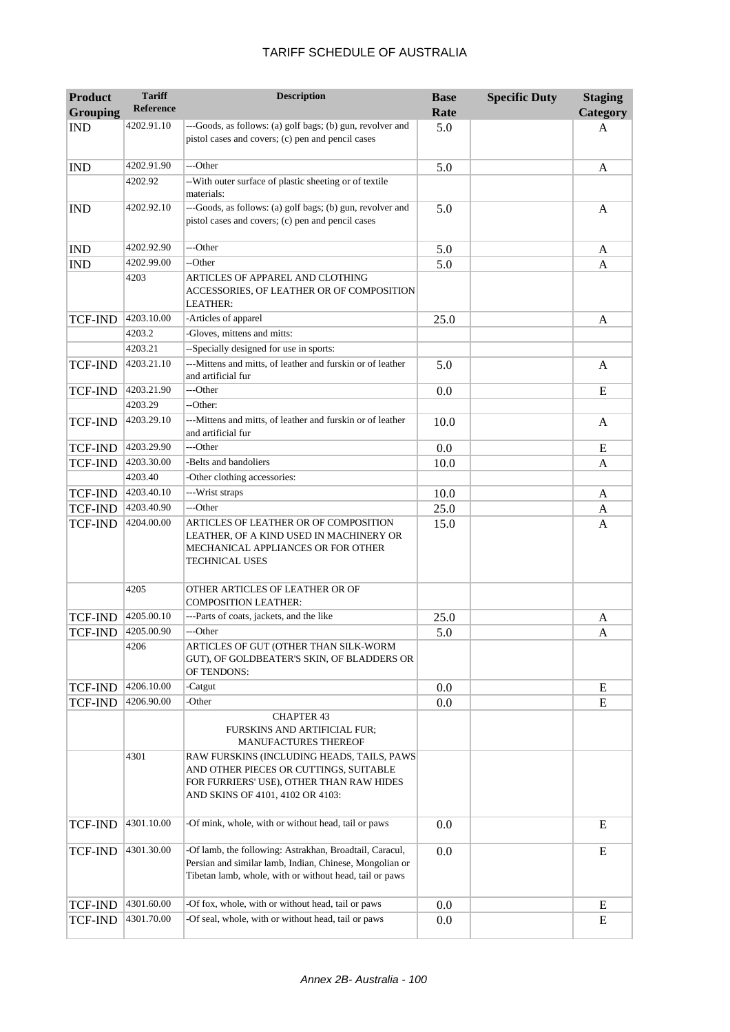| <b>Product</b>  | <b>Tariff</b>    | <b>Description</b>                                                                                                                                                            | <b>Base</b> | <b>Specific Duty</b> | <b>Staging</b> |
|-----------------|------------------|-------------------------------------------------------------------------------------------------------------------------------------------------------------------------------|-------------|----------------------|----------------|
| <b>Grouping</b> | <b>Reference</b> |                                                                                                                                                                               | Rate        |                      | Category       |
| <b>IND</b>      | 4202.91.10       | ---Goods, as follows: (a) golf bags; (b) gun, revolver and<br>pistol cases and covers; (c) pen and pencil cases                                                               | 5.0         |                      | A              |
| <b>IND</b>      | 4202.91.90       | ---Other                                                                                                                                                                      | 5.0         |                      | A              |
|                 | 4202.92          | -- With outer surface of plastic sheeting or of textile<br>materials:                                                                                                         |             |                      |                |
| <b>IND</b>      | 4202.92.10       | ---Goods, as follows: (a) golf bags; (b) gun, revolver and<br>pistol cases and covers; (c) pen and pencil cases                                                               | 5.0         |                      | A              |
| <b>IND</b>      | 4202.92.90       | ---Other                                                                                                                                                                      | 5.0         |                      | A              |
| <b>IND</b>      | 4202.99.00       | --Other                                                                                                                                                                       | 5.0         |                      | A              |
|                 | 4203             | ARTICLES OF APPAREL AND CLOTHING<br>ACCESSORIES, OF LEATHER OR OF COMPOSITION<br><b>LEATHER:</b>                                                                              |             |                      |                |
| <b>TCF-IND</b>  | 4203.10.00       | -Articles of apparel                                                                                                                                                          | 25.0        |                      | A              |
|                 | 4203.2           | -Gloves, mittens and mitts:                                                                                                                                                   |             |                      |                |
|                 | 4203.21          | --Specially designed for use in sports:                                                                                                                                       |             |                      |                |
| <b>TCF-IND</b>  | 4203.21.10       | ---Mittens and mitts, of leather and furskin or of leather<br>and artificial fur                                                                                              | 5.0         |                      | A              |
| <b>TCF-IND</b>  | 4203.21.90       | ---Other                                                                                                                                                                      | 0.0         |                      | E              |
|                 | 4203.29          | --Other:                                                                                                                                                                      |             |                      |                |
| <b>TCF-IND</b>  | 4203.29.10       | ---Mittens and mitts, of leather and furskin or of leather<br>and artificial fur                                                                                              | 10.0        |                      | A              |
| TCF-IND         | 4203.29.90       | ---Other                                                                                                                                                                      | 0.0         |                      | E              |
| TCF-IND         | 4203.30.00       | -Belts and bandoliers                                                                                                                                                         | 10.0        |                      | A              |
|                 | 4203.40          | -Other clothing accessories:                                                                                                                                                  |             |                      |                |
| <b>TCF-IND</b>  | 4203.40.10       | ---Wrist straps                                                                                                                                                               | 10.0        |                      | A              |
| <b>TCF-IND</b>  | 4203.40.90       | ---Other                                                                                                                                                                      | 25.0        |                      | A              |
| <b>TCF-IND</b>  | 4204.00.00       | ARTICLES OF LEATHER OR OF COMPOSITION<br>LEATHER, OF A KIND USED IN MACHINERY OR<br>MECHANICAL APPLIANCES OR FOR OTHER<br>TECHNICAL USES                                      | 15.0        |                      | A              |
|                 | 4205             | OTHER ARTICLES OF LEATHER OR OF<br><b>COMPOSITION LEATHER:</b>                                                                                                                |             |                      |                |
| TCF-IND         | 4205.00.10       | ---Parts of coats, jackets, and the like                                                                                                                                      | 25.0        |                      | A              |
| TCF-IND         | 4205.00.90       | ---Other                                                                                                                                                                      | 5.0         |                      | A              |
|                 | 4206             | ARTICLES OF GUT (OTHER THAN SILK-WORM<br>GUT), OF GOLDBEATER'S SKIN, OF BLADDERS OR<br>OF TENDONS:                                                                            |             |                      |                |
| <b>TCF-IND</b>  | 4206.10.00       | -Catgut                                                                                                                                                                       | 0.0         |                      | E              |
| TCF-IND         | 4206.90.00       | -Other                                                                                                                                                                        | 0.0         |                      | E              |
|                 |                  | <b>CHAPTER 43</b><br>FURSKINS AND ARTIFICIAL FUR;<br><b>MANUFACTURES THEREOF</b>                                                                                              |             |                      |                |
|                 | 4301             | RAW FURSKINS (INCLUDING HEADS, TAILS, PAWS<br>AND OTHER PIECES OR CUTTINGS, SUITABLE<br>FOR FURRIERS' USE), OTHER THAN RAW HIDES<br>AND SKINS OF 4101, 4102 OR 4103:          |             |                      |                |
| <b>TCF-IND</b>  | 4301.10.00       | -Of mink, whole, with or without head, tail or paws                                                                                                                           | 0.0         |                      | E              |
| <b>TCF-IND</b>  | 4301.30.00       | -Of lamb, the following: Astrakhan, Broadtail, Caracul,<br>Persian and similar lamb, Indian, Chinese, Mongolian or<br>Tibetan lamb, whole, with or without head, tail or paws | 0.0         |                      | E              |
| <b>TCF-IND</b>  | 4301.60.00       | -Of fox, whole, with or without head, tail or paws                                                                                                                            | 0.0         |                      | E              |
| <b>TCF-IND</b>  | 4301.70.00       | -Of seal, whole, with or without head, tail or paws                                                                                                                           | 0.0         |                      | ${\bf E}$      |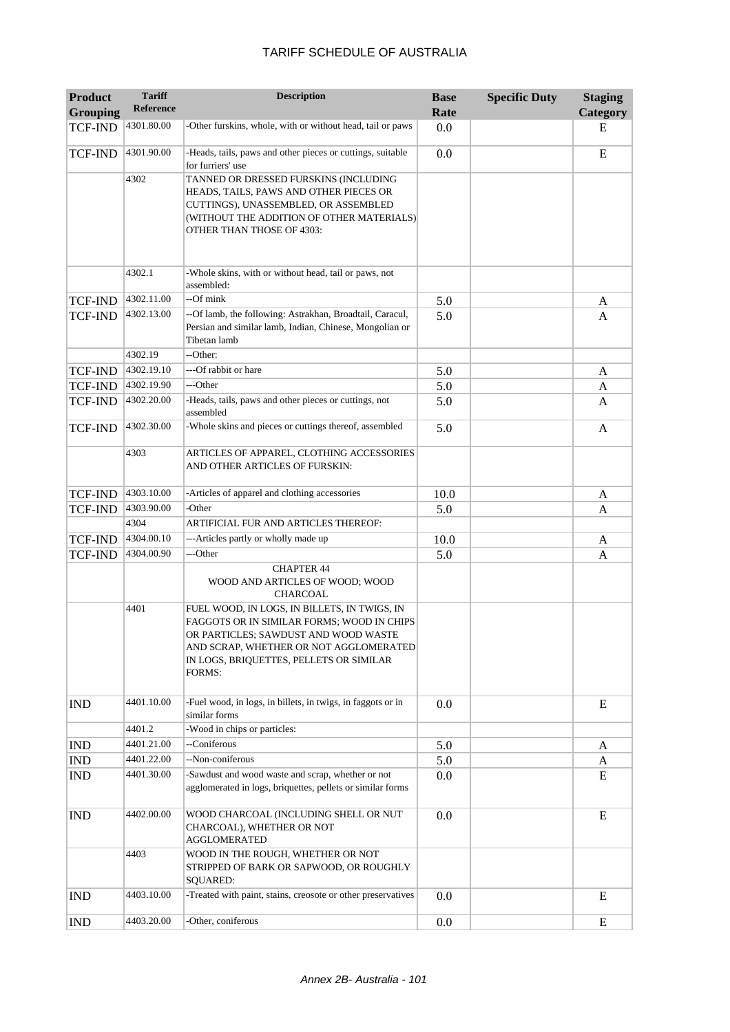| <b>Product</b><br><b>Grouping</b> | <b>Tariff</b><br><b>Reference</b> | <b>Description</b>                                                                                                                                                                                                                | <b>Base</b><br>Rate | <b>Specific Duty</b> | <b>Staging</b><br>Category |
|-----------------------------------|-----------------------------------|-----------------------------------------------------------------------------------------------------------------------------------------------------------------------------------------------------------------------------------|---------------------|----------------------|----------------------------|
| <b>TCF-IND</b>                    | 4301.80.00                        | -Other furskins, whole, with or without head, tail or paws                                                                                                                                                                        | 0.0                 |                      | E                          |
| <b>TCF-IND</b>                    | 4301.90.00                        | -Heads, tails, paws and other pieces or cuttings, suitable<br>for furriers' use                                                                                                                                                   | 0.0                 |                      | E                          |
|                                   | 4302                              | TANNED OR DRESSED FURSKINS (INCLUDING<br>HEADS, TAILS, PAWS AND OTHER PIECES OR<br>CUTTINGS), UNASSEMBLED, OR ASSEMBLED<br>(WITHOUT THE ADDITION OF OTHER MATERIALS)<br><b>OTHER THAN THOSE OF 4303:</b>                          |                     |                      |                            |
|                                   | 4302.1                            | -Whole skins, with or without head, tail or paws, not<br>assembled:                                                                                                                                                               |                     |                      |                            |
| <b>TCF-IND</b>                    | 4302.11.00                        | --Of mink                                                                                                                                                                                                                         | 5.0                 |                      | A                          |
| <b>TCF-IND</b>                    | 4302.13.00                        | --Of lamb, the following: Astrakhan, Broadtail, Caracul,<br>Persian and similar lamb, Indian, Chinese, Mongolian or<br>Tibetan lamb                                                                                               | 5.0                 |                      | A                          |
|                                   | 4302.19                           | --Other:                                                                                                                                                                                                                          |                     |                      |                            |
| TCF-IND                           | 4302.19.10                        | ---Of rabbit or hare                                                                                                                                                                                                              | 5.0                 |                      | A                          |
| <b>TCF-IND</b>                    | 4302.19.90                        | ---Other                                                                                                                                                                                                                          | 5.0                 |                      | A                          |
| TCF-IND                           | 4302.20.00                        | -Heads, tails, paws and other pieces or cuttings, not<br>assembled                                                                                                                                                                | 5.0                 |                      | A                          |
| <b>TCF-IND</b>                    | 4302.30.00                        | -Whole skins and pieces or cuttings thereof, assembled                                                                                                                                                                            | 5.0                 |                      | A                          |
|                                   | 4303                              | ARTICLES OF APPAREL, CLOTHING ACCESSORIES<br>AND OTHER ARTICLES OF FURSKIN:                                                                                                                                                       |                     |                      |                            |
| <b>TCF-IND</b>                    | 4303.10.00                        | -Articles of apparel and clothing accessories                                                                                                                                                                                     | 10.0                |                      | A                          |
| TCF-IND                           | 4303.90.00                        | -Other                                                                                                                                                                                                                            | 5.0                 |                      | A                          |
|                                   | 4304                              | ARTIFICIAL FUR AND ARTICLES THEREOF:                                                                                                                                                                                              |                     |                      |                            |
| TCF-IND                           | 4304.00.10                        | ---Articles partly or wholly made up                                                                                                                                                                                              | 10.0                |                      | A                          |
| TCF-IND                           | 4304.00.90                        | ---Other                                                                                                                                                                                                                          | 5.0                 |                      | A                          |
|                                   |                                   | <b>CHAPTER 44</b><br>WOOD AND ARTICLES OF WOOD; WOOD<br><b>CHARCOAL</b>                                                                                                                                                           |                     |                      |                            |
|                                   | 4401                              | FUEL WOOD, IN LOGS, IN BILLETS, IN TWIGS, IN<br>FAGGOTS OR IN SIMILAR FORMS; WOOD IN CHIPS<br>OR PARTICLES; SAWDUST AND WOOD WASTE<br>AND SCRAP, WHETHER OR NOT AGGLOMERATED<br>IN LOGS, BRIQUETTES, PELLETS OR SIMILAR<br>FORMS: |                     |                      |                            |
| <b>IND</b>                        | 4401.10.00                        | -Fuel wood, in logs, in billets, in twigs, in faggots or in<br>similar forms                                                                                                                                                      | 0.0                 |                      | E                          |
|                                   | 4401.2                            | -Wood in chips or particles:                                                                                                                                                                                                      |                     |                      |                            |
| <b>IND</b>                        | 4401.21.00                        | --Coniferous                                                                                                                                                                                                                      | 5.0                 |                      | A                          |
| IND                               | 4401.22.00                        | --Non-coniferous                                                                                                                                                                                                                  | 5.0                 |                      | A                          |
| <b>IND</b>                        | 4401.30.00                        | -Sawdust and wood waste and scrap, whether or not<br>agglomerated in logs, briquettes, pellets or similar forms                                                                                                                   | 0.0                 |                      | E                          |
| <b>IND</b>                        | 4402.00.00                        | WOOD CHARCOAL (INCLUDING SHELL OR NUT<br>CHARCOAL), WHETHER OR NOT<br>AGGLOMERATED                                                                                                                                                | 0.0                 |                      | E                          |
|                                   | 4403                              | WOOD IN THE ROUGH, WHETHER OR NOT<br>STRIPPED OF BARK OR SAPWOOD, OR ROUGHLY<br><b>SQUARED:</b>                                                                                                                                   |                     |                      |                            |
| <b>IND</b>                        | 4403.10.00                        | -Treated with paint, stains, creosote or other preservatives                                                                                                                                                                      | 0.0                 |                      | E                          |
| <b>IND</b>                        | 4403.20.00                        | -Other, coniferous                                                                                                                                                                                                                | 0.0                 |                      | E                          |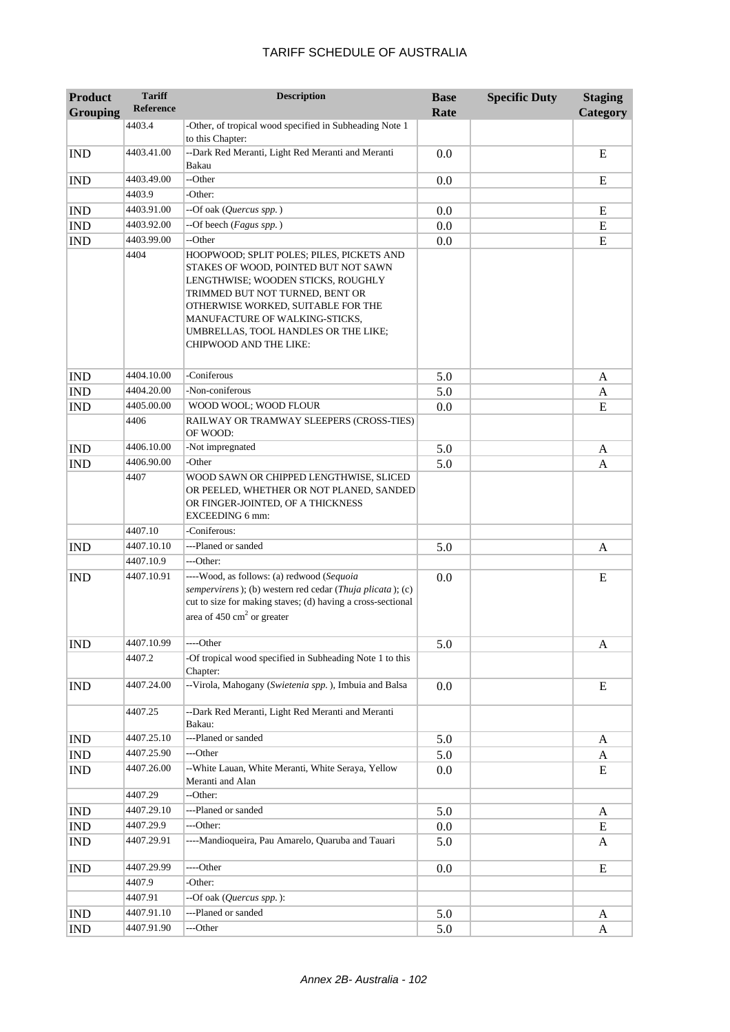| <b>Product</b><br><b>Grouping</b> | <b>Tariff</b><br><b>Reference</b> | <b>Description</b>                                                                                                                                                                                                                                                                                          | <b>Base</b><br>Rate | <b>Specific Duty</b> | <b>Staging</b><br>Category |
|-----------------------------------|-----------------------------------|-------------------------------------------------------------------------------------------------------------------------------------------------------------------------------------------------------------------------------------------------------------------------------------------------------------|---------------------|----------------------|----------------------------|
|                                   | 4403.4                            | -Other, of tropical wood specified in Subheading Note 1<br>to this Chapter:                                                                                                                                                                                                                                 |                     |                      |                            |
| <b>IND</b>                        | 4403.41.00                        | --Dark Red Meranti, Light Red Meranti and Meranti<br>Bakau                                                                                                                                                                                                                                                  | 0.0                 |                      | E                          |
| <b>IND</b>                        | 4403.49.00                        | --Other                                                                                                                                                                                                                                                                                                     | 0.0                 |                      | E                          |
|                                   | 4403.9                            | -Other:                                                                                                                                                                                                                                                                                                     |                     |                      |                            |
| <b>IND</b>                        | 4403.91.00                        | --Of oak (Quercus spp.)                                                                                                                                                                                                                                                                                     | 0.0                 |                      | ${\bf E}$                  |
| <b>IND</b>                        | 4403.92.00                        | --Of beech (Fagus spp.)                                                                                                                                                                                                                                                                                     | 0.0                 |                      | ${\bf E}$                  |
| <b>IND</b>                        | 4403.99.00                        | --Other                                                                                                                                                                                                                                                                                                     | 0.0                 |                      | ${\bf E}$                  |
|                                   | 4404                              | HOOPWOOD; SPLIT POLES; PILES, PICKETS AND<br>STAKES OF WOOD, POINTED BUT NOT SAWN<br>LENGTHWISE; WOODEN STICKS, ROUGHLY<br>TRIMMED BUT NOT TURNED, BENT OR<br>OTHERWISE WORKED, SUITABLE FOR THE<br>MANUFACTURE OF WALKING-STICKS,<br>UMBRELLAS, TOOL HANDLES OR THE LIKE;<br><b>CHIPWOOD AND THE LIKE:</b> |                     |                      |                            |
| <b>IND</b>                        | 4404.10.00                        | -Coniferous                                                                                                                                                                                                                                                                                                 | 5.0                 |                      | A                          |
| <b>IND</b>                        | 4404.20.00                        | -Non-coniferous                                                                                                                                                                                                                                                                                             | 5.0                 |                      | A                          |
| <b>IND</b>                        | 4405.00.00                        | WOOD WOOL; WOOD FLOUR                                                                                                                                                                                                                                                                                       | 0.0                 |                      | E                          |
|                                   | 4406                              | RAILWAY OR TRAMWAY SLEEPERS (CROSS-TIES)<br>OF WOOD:                                                                                                                                                                                                                                                        |                     |                      |                            |
| <b>IND</b>                        | 4406.10.00                        | -Not impregnated                                                                                                                                                                                                                                                                                            | 5.0                 |                      | A                          |
| <b>IND</b>                        | 4406.90.00                        | -Other                                                                                                                                                                                                                                                                                                      | 5.0                 |                      | A                          |
|                                   | 4407                              | WOOD SAWN OR CHIPPED LENGTHWISE, SLICED<br>OR PEELED, WHETHER OR NOT PLANED, SANDED<br>OR FINGER-JOINTED, OF A THICKNESS<br><b>EXCEEDING 6 mm:</b>                                                                                                                                                          |                     |                      |                            |
|                                   | 4407.10                           | -Coniferous:                                                                                                                                                                                                                                                                                                |                     |                      |                            |
| <b>IND</b>                        | 4407.10.10                        | ---Planed or sanded                                                                                                                                                                                                                                                                                         | 5.0                 |                      | A                          |
|                                   | 4407.10.9                         | ---Other:                                                                                                                                                                                                                                                                                                   |                     |                      |                            |
| <b>IND</b>                        | 4407.10.91                        | ----Wood, as follows: (a) redwood (Sequoia<br>sempervirens); (b) western red cedar (Thuja plicata); (c)<br>cut to size for making staves; (d) having a cross-sectional<br>area of $450 \text{ cm}^2$ or greater                                                                                             | 0.0                 |                      | E                          |
| <b>IND</b>                        | 4407.10.99                        | ---Other                                                                                                                                                                                                                                                                                                    | 5.0                 |                      | A                          |
|                                   | 4407.2                            | -Of tropical wood specified in Subheading Note 1 to this<br>Chapter:                                                                                                                                                                                                                                        |                     |                      |                            |
| <b>IND</b>                        | 4407.24.00                        | --Virola, Mahogany (Swietenia spp.), Imbuia and Balsa                                                                                                                                                                                                                                                       | 0.0                 |                      | E                          |
|                                   | 4407.25                           | --Dark Red Meranti, Light Red Meranti and Meranti<br>Bakau:                                                                                                                                                                                                                                                 |                     |                      |                            |
| <b>IND</b>                        | 4407.25.10                        | ---Planed or sanded                                                                                                                                                                                                                                                                                         | 5.0                 |                      | A                          |
| <b>IND</b>                        | 4407.25.90                        | ---Other                                                                                                                                                                                                                                                                                                    | 5.0                 |                      | A                          |
| <b>IND</b>                        | 4407.26.00                        | -- White Lauan, White Meranti, White Seraya, Yellow<br>Meranti and Alan                                                                                                                                                                                                                                     | 0.0                 |                      | E                          |
|                                   | 4407.29                           | --Other:                                                                                                                                                                                                                                                                                                    |                     |                      |                            |
| <b>IND</b>                        | 4407.29.10                        | ---Planed or sanded                                                                                                                                                                                                                                                                                         | 5.0                 |                      | A                          |
| <b>IND</b>                        | 4407.29.9                         | ---Other:                                                                                                                                                                                                                                                                                                   | 0.0                 |                      | E                          |
| <b>IND</b>                        | 4407.29.91                        | ----Mandioqueira, Pau Amarelo, Quaruba and Tauari                                                                                                                                                                                                                                                           | 5.0                 |                      | A                          |
| $\mathop{\rm IND}\nolimits$       | 4407.29.99                        | ---Other                                                                                                                                                                                                                                                                                                    | 0.0                 |                      | E                          |
|                                   | 4407.9                            | -Other:                                                                                                                                                                                                                                                                                                     |                     |                      |                            |
|                                   | 4407.91                           | --Of oak (Quercus spp.):                                                                                                                                                                                                                                                                                    |                     |                      |                            |
| <b>IND</b>                        | 4407.91.10                        | ---Planed or sanded                                                                                                                                                                                                                                                                                         | 5.0                 |                      | A                          |
| <b>IND</b>                        | 4407.91.90                        | ---Other                                                                                                                                                                                                                                                                                                    | 5.0                 |                      | A                          |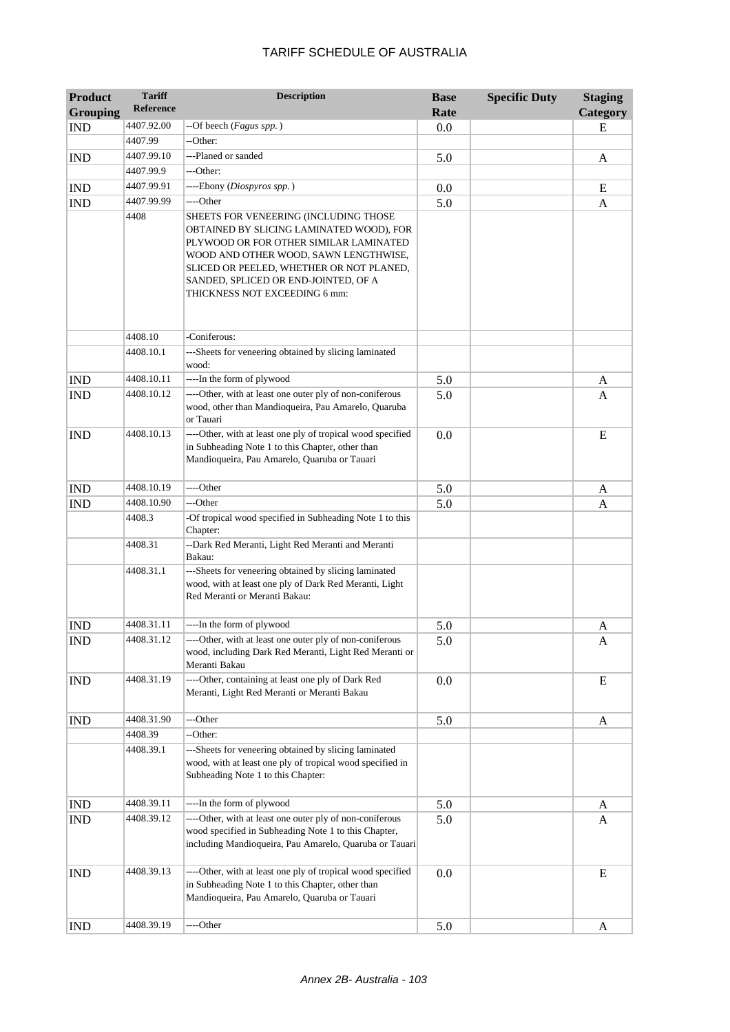| <b>Product</b>  | <b>Tariff</b> | <b>Description</b>                                                                                                                                                                                                                                                                        | <b>Base</b> | <b>Specific Duty</b> | <b>Staging</b> |
|-----------------|---------------|-------------------------------------------------------------------------------------------------------------------------------------------------------------------------------------------------------------------------------------------------------------------------------------------|-------------|----------------------|----------------|
| <b>Grouping</b> | Reference     |                                                                                                                                                                                                                                                                                           | Rate        |                      | Category       |
| <b>IND</b>      | 4407.92.00    | --Of beech (Fagus spp.)                                                                                                                                                                                                                                                                   | 0.0         |                      | E              |
|                 | 4407.99       | --Other:                                                                                                                                                                                                                                                                                  |             |                      |                |
| <b>IND</b>      | 4407.99.10    | ---Planed or sanded                                                                                                                                                                                                                                                                       | 5.0         |                      | A              |
|                 | 4407.99.9     | ---Other:                                                                                                                                                                                                                                                                                 |             |                      |                |
| <b>IND</b>      | 4407.99.91    | ----Ebony (Diospyros spp.)                                                                                                                                                                                                                                                                | 0.0         |                      | E              |
| <b>IND</b>      | 4407.99.99    | ----Other                                                                                                                                                                                                                                                                                 | 5.0         |                      | A              |
|                 | 4408          | SHEETS FOR VENEERING (INCLUDING THOSE<br>OBTAINED BY SLICING LAMINATED WOOD), FOR<br>PLYWOOD OR FOR OTHER SIMILAR LAMINATED<br>WOOD AND OTHER WOOD, SAWN LENGTHWISE,<br>SLICED OR PEELED, WHETHER OR NOT PLANED,<br>SANDED, SPLICED OR END-JOINTED, OF A<br>THICKNESS NOT EXCEEDING 6 mm: |             |                      |                |
|                 | 4408.10       | -Coniferous:                                                                                                                                                                                                                                                                              |             |                      |                |
|                 | 4408.10.1     | ---Sheets for veneering obtained by slicing laminated<br>wood:                                                                                                                                                                                                                            |             |                      |                |
| <b>IND</b>      | 4408.10.11    | ----In the form of plywood                                                                                                                                                                                                                                                                | 5.0         |                      | A              |
| <b>IND</b>      | 4408.10.12    | ----Other, with at least one outer ply of non-coniferous<br>wood, other than Mandioqueira, Pau Amarelo, Quaruba<br>or Tauari                                                                                                                                                              | 5.0         |                      | A              |
| <b>IND</b>      | 4408.10.13    | ----Other, with at least one ply of tropical wood specified<br>in Subheading Note 1 to this Chapter, other than<br>Mandioqueira, Pau Amarelo, Quaruba or Tauari                                                                                                                           | 0.0         |                      | E              |
| <b>IND</b>      | 4408.10.19    | ----Other                                                                                                                                                                                                                                                                                 | 5.0         |                      | A              |
| <b>IND</b>      | 4408.10.90    | ---Other                                                                                                                                                                                                                                                                                  | 5.0         |                      | A              |
|                 | 4408.3        | -Of tropical wood specified in Subheading Note 1 to this<br>Chapter:                                                                                                                                                                                                                      |             |                      |                |
|                 | 4408.31       | --Dark Red Meranti, Light Red Meranti and Meranti<br>Bakau:                                                                                                                                                                                                                               |             |                      |                |
|                 | 4408.31.1     | ---Sheets for veneering obtained by slicing laminated<br>wood, with at least one ply of Dark Red Meranti, Light<br>Red Meranti or Meranti Bakau:                                                                                                                                          |             |                      |                |
| <b>IND</b>      | 4408.31.11    | ----In the form of plywood                                                                                                                                                                                                                                                                | 5.0         |                      | A              |
| <b>IND</b>      | 4408.31.12    | -Other, with at least one outer ply of non-coniferous<br>wood, including Dark Red Meranti, Light Red Meranti or<br>Meranti Bakau                                                                                                                                                          | 5.0         |                      | A              |
| <b>IND</b>      | 4408.31.19    | ----Other, containing at least one ply of Dark Red<br>Meranti, Light Red Meranti or Meranti Bakau                                                                                                                                                                                         | 0.0         |                      | E              |
| <b>IND</b>      | 4408.31.90    | ---Other                                                                                                                                                                                                                                                                                  | 5.0         |                      | A              |
|                 | 4408.39       | --Other:                                                                                                                                                                                                                                                                                  |             |                      |                |
|                 | 4408.39.1     | ---Sheets for veneering obtained by slicing laminated<br>wood, with at least one ply of tropical wood specified in<br>Subheading Note 1 to this Chapter:                                                                                                                                  |             |                      |                |
| <b>IND</b>      | 4408.39.11    | ----In the form of plywood                                                                                                                                                                                                                                                                | 5.0         |                      | A              |
| <b>IND</b>      | 4408.39.12    | ----Other, with at least one outer ply of non-coniferous<br>wood specified in Subheading Note 1 to this Chapter,<br>including Mandioqueira, Pau Amarelo, Quaruba or Tauari                                                                                                                | 5.0         |                      | A              |
| <b>IND</b>      | 4408.39.13    | ----Other, with at least one ply of tropical wood specified<br>in Subheading Note 1 to this Chapter, other than<br>Mandioqueira, Pau Amarelo, Quaruba or Tauari                                                                                                                           | 0.0         |                      | E              |
| <b>IND</b>      | 4408.39.19    | ----Other                                                                                                                                                                                                                                                                                 | 5.0         |                      | A              |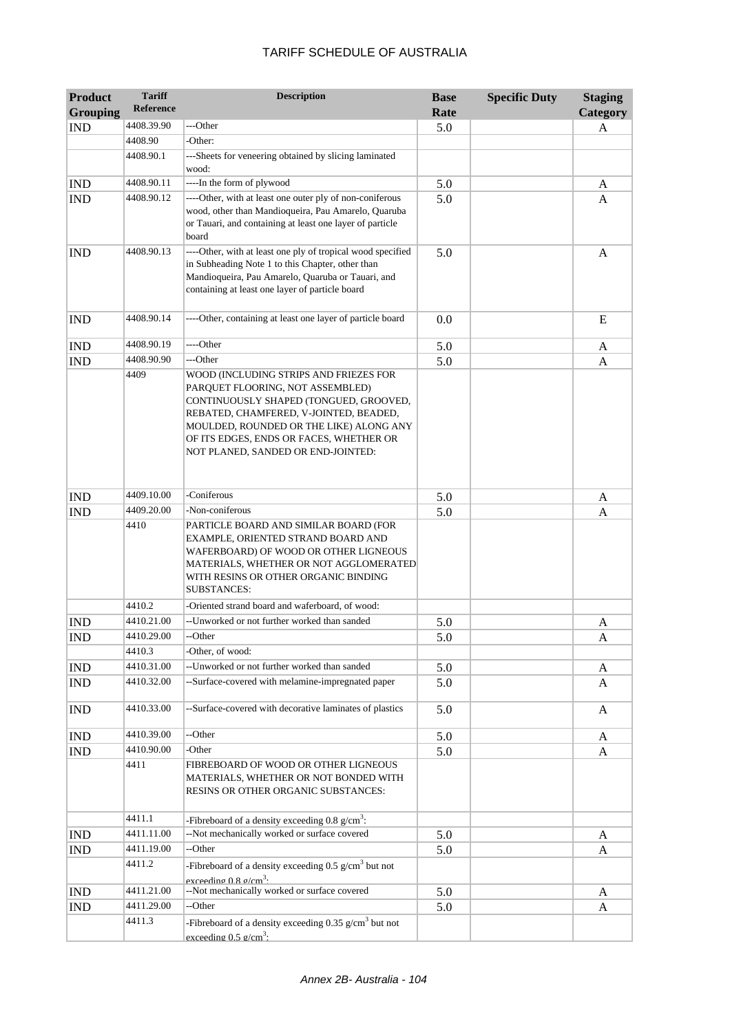| <b>Product</b><br><b>Grouping</b> | <b>Tariff</b><br>Reference | <b>Description</b>                                                                                                                                                                                                                                                                         | <b>Base</b><br>Rate | <b>Specific Duty</b> | <b>Staging</b><br>Category |
|-----------------------------------|----------------------------|--------------------------------------------------------------------------------------------------------------------------------------------------------------------------------------------------------------------------------------------------------------------------------------------|---------------------|----------------------|----------------------------|
| <b>IND</b>                        | 4408.39.90                 | ---Other                                                                                                                                                                                                                                                                                   | 5.0                 |                      | A                          |
|                                   | 4408.90                    | -Other:                                                                                                                                                                                                                                                                                    |                     |                      |                            |
|                                   | 4408.90.1                  | ---Sheets for veneering obtained by slicing laminated                                                                                                                                                                                                                                      |                     |                      |                            |
|                                   |                            | wood:                                                                                                                                                                                                                                                                                      |                     |                      |                            |
| <b>IND</b>                        | 4408.90.11                 | ----In the form of plywood                                                                                                                                                                                                                                                                 | 5.0                 |                      | A                          |
| <b>IND</b>                        | 4408.90.12                 | ----Other, with at least one outer ply of non-coniferous<br>wood, other than Mandioqueira, Pau Amarelo, Quaruba<br>or Tauari, and containing at least one layer of particle<br>board                                                                                                       | 5.0                 |                      | A                          |
| <b>IND</b>                        | 4408.90.13                 | ----Other, with at least one ply of tropical wood specified<br>in Subheading Note 1 to this Chapter, other than<br>Mandioqueira, Pau Amarelo, Quaruba or Tauari, and<br>containing at least one layer of particle board                                                                    | 5.0                 |                      | A                          |
| <b>IND</b>                        | 4408.90.14                 | ----Other, containing at least one layer of particle board                                                                                                                                                                                                                                 | 0.0                 |                      | E                          |
| <b>IND</b>                        | 4408.90.19                 | ----Other                                                                                                                                                                                                                                                                                  | 5.0                 |                      | A                          |
| <b>IND</b>                        | 4408.90.90                 | ---Other                                                                                                                                                                                                                                                                                   | 5.0                 |                      | A                          |
|                                   | 4409                       | WOOD (INCLUDING STRIPS AND FRIEZES FOR<br>PARQUET FLOORING, NOT ASSEMBLED)<br>CONTINUOUSLY SHAPED (TONGUED, GROOVED,<br>REBATED, CHAMFERED, V-JOINTED, BEADED,<br>MOULDED, ROUNDED OR THE LIKE) ALONG ANY<br>OF ITS EDGES, ENDS OR FACES, WHETHER OR<br>NOT PLANED, SANDED OR END-JOINTED: |                     |                      |                            |
| <b>IND</b>                        | 4409.10.00                 | -Coniferous                                                                                                                                                                                                                                                                                | 5.0                 |                      | A                          |
| <b>IND</b>                        | 4409.20.00                 | -Non-coniferous                                                                                                                                                                                                                                                                            | 5.0                 |                      | A                          |
|                                   | 4410                       | PARTICLE BOARD AND SIMILAR BOARD (FOR<br>EXAMPLE, ORIENTED STRAND BOARD AND<br>WAFERBOARD) OF WOOD OR OTHER LIGNEOUS<br>MATERIALS, WHETHER OR NOT AGGLOMERATED<br>WITH RESINS OR OTHER ORGANIC BINDING<br><b>SUBSTANCES:</b>                                                               |                     |                      |                            |
|                                   | 4410.2                     | -Oriented strand board and waferboard, of wood:                                                                                                                                                                                                                                            |                     |                      |                            |
| <b>IND</b>                        | 4410.21.00                 | --Unworked or not further worked than sanded                                                                                                                                                                                                                                               | 5.0                 |                      | A                          |
| <b>IND</b>                        | 4410.29.00                 | --Other                                                                                                                                                                                                                                                                                    | 5.0                 |                      | A                          |
|                                   | 4410.3                     | -Other, of wood:                                                                                                                                                                                                                                                                           |                     |                      |                            |
| <b>IND</b>                        | 4410.31.00                 | --Unworked or not further worked than sanded                                                                                                                                                                                                                                               | 5.0                 |                      | A                          |
| <b>IND</b>                        | 4410.32.00                 | --Surface-covered with melamine-impregnated paper                                                                                                                                                                                                                                          | 5.0                 |                      | A                          |
| <b>IND</b>                        | 4410.33.00                 | --Surface-covered with decorative laminates of plastics                                                                                                                                                                                                                                    | 5.0                 |                      | A                          |
| <b>IND</b>                        | 4410.39.00                 | --Other                                                                                                                                                                                                                                                                                    | 5.0                 |                      | A                          |
| <b>IND</b>                        | 4410.90.00                 | -Other                                                                                                                                                                                                                                                                                     | 5.0                 |                      | A                          |
|                                   | 4411                       | FIBREBOARD OF WOOD OR OTHER LIGNEOUS<br>MATERIALS, WHETHER OR NOT BONDED WITH<br>RESINS OR OTHER ORGANIC SUBSTANCES:                                                                                                                                                                       |                     |                      |                            |
|                                   | 4411.1                     | -Fibreboard of a density exceeding $0.8 \text{ g/cm}^3$ :                                                                                                                                                                                                                                  |                     |                      |                            |
| <b>IND</b>                        | 4411.11.00                 | --Not mechanically worked or surface covered                                                                                                                                                                                                                                               | 5.0                 |                      | A                          |
| <b>IND</b>                        | 4411.19.00                 | --Other                                                                                                                                                                                                                                                                                    | 5.0                 |                      | A                          |
|                                   | 4411.2                     | -Fibreboard of a density exceeding $0.5$ g/cm <sup>3</sup> but not<br>exceeding 0.8 g/cm <sup>3</sup> .                                                                                                                                                                                    |                     |                      |                            |
| <b>IND</b>                        | 4411.21.00                 | --Not mechanically worked or surface covered                                                                                                                                                                                                                                               | 5.0                 |                      | A                          |
| <b>IND</b>                        | 4411.29.00                 | --Other                                                                                                                                                                                                                                                                                    | 5.0                 |                      | A                          |
|                                   | 4411.3                     | -Fibreboard of a density exceeding 0.35 $g/cm3$ but not<br>exceeding 0.5 g/cm <sup>3</sup> .                                                                                                                                                                                               |                     |                      |                            |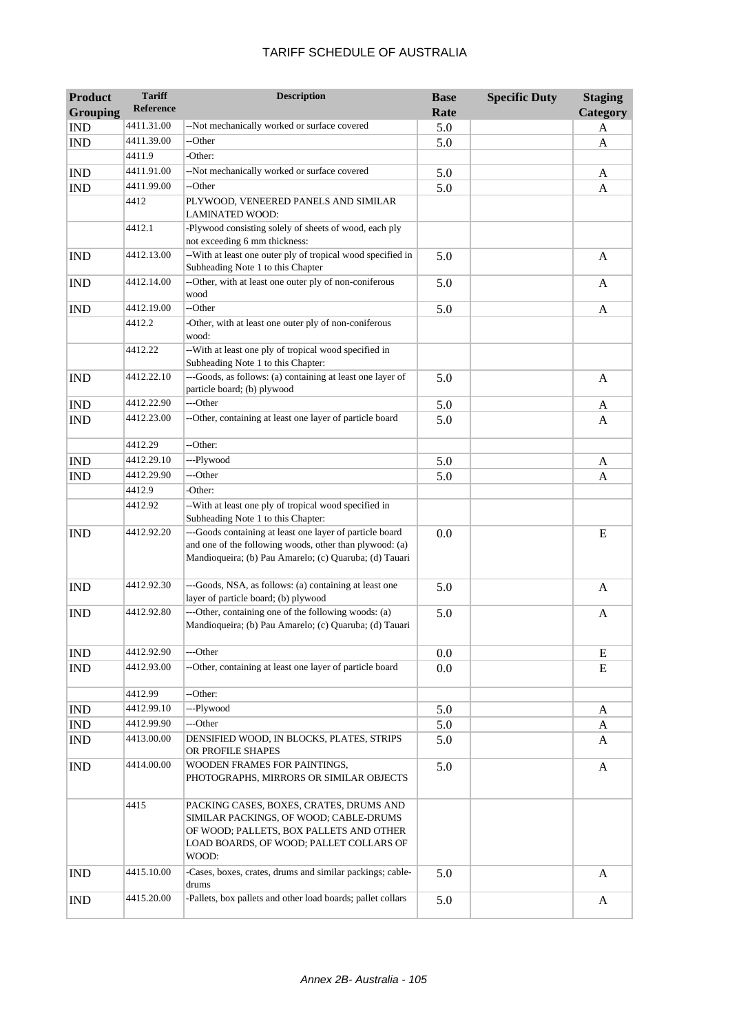| <b>Product</b><br><b>Grouping</b> | <b>Tariff</b><br><b>Reference</b> | <b>Description</b>                                                                                                                                                               | <b>Base</b><br>Rate | <b>Specific Duty</b> | <b>Staging</b><br>Category |
|-----------------------------------|-----------------------------------|----------------------------------------------------------------------------------------------------------------------------------------------------------------------------------|---------------------|----------------------|----------------------------|
| <b>IND</b>                        | 4411.31.00                        | --Not mechanically worked or surface covered                                                                                                                                     | 5.0                 |                      | A                          |
| <b>IND</b>                        | 4411.39.00                        | --Other                                                                                                                                                                          | 5.0                 |                      | A                          |
|                                   | 4411.9                            | -Other:                                                                                                                                                                          |                     |                      |                            |
| <b>IND</b>                        | 4411.91.00                        | --Not mechanically worked or surface covered                                                                                                                                     | 5.0                 |                      | A                          |
| <b>IND</b>                        | 4411.99.00                        | --Other                                                                                                                                                                          | 5.0                 |                      | A                          |
|                                   | 4412                              | PLYWOOD, VENEERED PANELS AND SIMILAR                                                                                                                                             |                     |                      |                            |
|                                   |                                   | <b>LAMINATED WOOD:</b>                                                                                                                                                           |                     |                      |                            |
|                                   | 4412.1                            | -Plywood consisting solely of sheets of wood, each ply<br>not exceeding 6 mm thickness:                                                                                          |                     |                      |                            |
| <b>IND</b>                        | 4412.13.00                        | -- With at least one outer ply of tropical wood specified in<br>Subheading Note 1 to this Chapter                                                                                | 5.0                 |                      | A                          |
| <b>IND</b>                        | 4412.14.00                        | --Other, with at least one outer ply of non-coniferous<br>wood                                                                                                                   | 5.0                 |                      | A                          |
| <b>IND</b>                        | 4412.19.00                        | --Other                                                                                                                                                                          | 5.0                 |                      | A                          |
|                                   | 4412.2                            | -Other, with at least one outer ply of non-coniferous<br>wood:                                                                                                                   |                     |                      |                            |
|                                   | 4412.22                           | -- With at least one ply of tropical wood specified in<br>Subheading Note 1 to this Chapter:                                                                                     |                     |                      |                            |
| <b>IND</b>                        | 4412.22.10                        | ---Goods, as follows: (a) containing at least one layer of<br>particle board; (b) plywood                                                                                        | 5.0                 |                      | A                          |
| <b>IND</b>                        | 4412.22.90                        | ---Other                                                                                                                                                                         | 5.0                 |                      | A                          |
| <b>IND</b>                        | 4412.23.00                        | --Other, containing at least one layer of particle board                                                                                                                         | 5.0                 |                      | A                          |
|                                   |                                   |                                                                                                                                                                                  |                     |                      |                            |
|                                   | 4412.29                           | --Other:                                                                                                                                                                         |                     |                      |                            |
| <b>IND</b>                        | 4412.29.10                        | ---Plywood                                                                                                                                                                       | 5.0                 |                      | A                          |
| <b>IND</b>                        | 4412.29.90                        | ---Other                                                                                                                                                                         | 5.0                 |                      | A                          |
|                                   | 4412.9                            | -Other:                                                                                                                                                                          |                     |                      |                            |
|                                   | 4412.92                           | -- With at least one ply of tropical wood specified in<br>Subheading Note 1 to this Chapter:                                                                                     |                     |                      |                            |
| <b>IND</b>                        | 4412.92.20                        | ---Goods containing at least one layer of particle board<br>and one of the following woods, other than plywood: (a)<br>Mandioqueira; (b) Pau Amarelo; (c) Quaruba; (d) Tauari    | 0.0                 |                      | E                          |
| <b>IND</b>                        | 4412.92.30                        | ---Goods, NSA, as follows: (a) containing at least one<br>layer of particle board; (b) plywood                                                                                   | 5.0                 |                      | $\mathbf{A}$               |
| <b>IND</b>                        | 4412.92.80                        | ---Other, containing one of the following woods: (a)<br>Mandioqueira; (b) Pau Amarelo; (c) Quaruba; (d) Tauari                                                                   | 5.0                 |                      | A                          |
| <b>IND</b>                        | 4412.92.90                        | ---Other                                                                                                                                                                         | 0.0                 |                      | ${\bf E}$                  |
| <b>IND</b>                        | 4412.93.00                        | --Other, containing at least one layer of particle board                                                                                                                         | 0.0                 |                      | E                          |
|                                   | 4412.99                           | --Other:                                                                                                                                                                         |                     |                      |                            |
| <b>IND</b>                        | 4412.99.10                        | ---Plywood                                                                                                                                                                       | 5.0                 |                      | A                          |
| IND                               | 4412.99.90                        | ---Other                                                                                                                                                                         | 5.0                 |                      | A                          |
| <b>IND</b>                        | 4413.00.00                        | DENSIFIED WOOD, IN BLOCKS, PLATES, STRIPS<br>OR PROFILE SHAPES                                                                                                                   | 5.0                 |                      | A                          |
| <b>IND</b>                        | 4414.00.00                        | WOODEN FRAMES FOR PAINTINGS,<br>PHOTOGRAPHS, MIRRORS OR SIMILAR OBJECTS                                                                                                          | 5.0                 |                      | A                          |
|                                   | 4415                              | PACKING CASES, BOXES, CRATES, DRUMS AND<br>SIMILAR PACKINGS, OF WOOD; CABLE-DRUMS<br>OF WOOD; PALLETS, BOX PALLETS AND OTHER<br>LOAD BOARDS, OF WOOD; PALLET COLLARS OF<br>WOOD: |                     |                      |                            |
| <b>IND</b>                        | 4415.10.00                        | -Cases, boxes, crates, drums and similar packings; cable-<br>drums                                                                                                               | 5.0                 |                      | A                          |
| <b>IND</b>                        | 4415.20.00                        | -Pallets, box pallets and other load boards; pallet collars                                                                                                                      | 5.0                 |                      | A                          |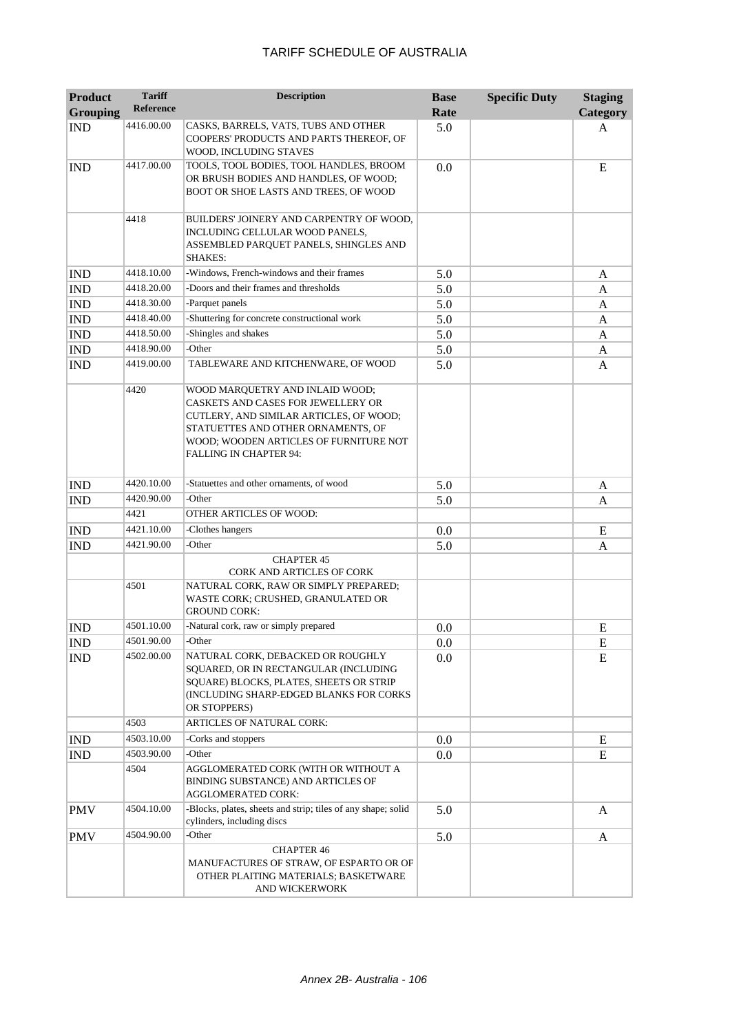| <b>Product</b><br><b>Grouping</b> | <b>Tariff</b><br><b>Reference</b> | <b>Description</b>                                                                                                                                                                                                         | <b>Base</b><br>Rate | <b>Specific Duty</b> | <b>Staging</b><br>Category |
|-----------------------------------|-----------------------------------|----------------------------------------------------------------------------------------------------------------------------------------------------------------------------------------------------------------------------|---------------------|----------------------|----------------------------|
| <b>IND</b>                        | 4416.00.00                        | CASKS, BARRELS, VATS, TUBS AND OTHER<br>COOPERS' PRODUCTS AND PARTS THEREOF, OF<br>WOOD, INCLUDING STAVES                                                                                                                  | 5.0                 |                      | A                          |
| <b>IND</b>                        | 4417.00.00                        | TOOLS, TOOL BODIES, TOOL HANDLES, BROOM<br>OR BRUSH BODIES AND HANDLES, OF WOOD;<br>BOOT OR SHOE LASTS AND TREES, OF WOOD                                                                                                  | 0.0                 |                      | E                          |
|                                   | 4418                              | BUILDERS' JOINERY AND CARPENTRY OF WOOD,<br>INCLUDING CELLULAR WOOD PANELS,<br>ASSEMBLED PARQUET PANELS, SHINGLES AND<br><b>SHAKES:</b>                                                                                    |                     |                      |                            |
| <b>IND</b>                        | 4418.10.00                        | -Windows, French-windows and their frames                                                                                                                                                                                  | 5.0                 |                      | A                          |
| <b>IND</b>                        | 4418.20.00                        | -Doors and their frames and thresholds                                                                                                                                                                                     | 5.0                 |                      | A                          |
| <b>IND</b>                        | 4418.30.00                        | -Parquet panels                                                                                                                                                                                                            | 5.0                 |                      | A                          |
| <b>IND</b>                        | 4418.40.00                        | -Shuttering for concrete constructional work                                                                                                                                                                               | 5.0                 |                      | A                          |
| <b>IND</b>                        | 4418.50.00                        | -Shingles and shakes                                                                                                                                                                                                       | 5.0                 |                      | A                          |
| <b>IND</b>                        | 4418.90.00                        | -Other                                                                                                                                                                                                                     | 5.0                 |                      | A                          |
| <b>IND</b>                        | 4419.00.00                        | TABLEWARE AND KITCHENWARE, OF WOOD                                                                                                                                                                                         | 5.0                 |                      | A                          |
|                                   | 4420                              | WOOD MARQUETRY AND INLAID WOOD;<br>CASKETS AND CASES FOR JEWELLERY OR<br>CUTLERY, AND SIMILAR ARTICLES, OF WOOD;<br>STATUETTES AND OTHER ORNAMENTS, OF<br>WOOD; WOODEN ARTICLES OF FURNITURE NOT<br>FALLING IN CHAPTER 94: |                     |                      |                            |
| <b>IND</b>                        | 4420.10.00                        | -Statuettes and other ornaments, of wood                                                                                                                                                                                   | 5.0                 |                      | A                          |
| <b>IND</b>                        | 4420.90.00                        | -Other                                                                                                                                                                                                                     | 5.0                 |                      | A                          |
|                                   | 4421                              | OTHER ARTICLES OF WOOD:                                                                                                                                                                                                    |                     |                      |                            |
| <b>IND</b>                        | 4421.10.00                        | -Clothes hangers                                                                                                                                                                                                           | 0.0                 |                      | E                          |
| <b>IND</b>                        | 4421.90.00                        | -Other                                                                                                                                                                                                                     | 5.0                 |                      | A                          |
|                                   |                                   | <b>CHAPTER 45</b><br><b>CORK AND ARTICLES OF CORK</b>                                                                                                                                                                      |                     |                      |                            |
|                                   | 4501                              | NATURAL CORK, RAW OR SIMPLY PREPARED;<br>WASTE CORK; CRUSHED, GRANULATED OR<br><b>GROUND CORK:</b>                                                                                                                         |                     |                      |                            |
| <b>IND</b>                        | 4501.10.00                        | -Natural cork, raw or simply prepared                                                                                                                                                                                      | 0.0                 |                      | E                          |
| <b>IND</b>                        | 4501.90.00                        | -Other                                                                                                                                                                                                                     | 0.0                 |                      | E                          |
| <b>IND</b>                        | 4502.00.00                        | NATURAL CORK, DEBACKED OR ROUGHLY<br>SQUARED, OR IN RECTANGULAR (INCLUDING<br>SQUARE) BLOCKS, PLATES, SHEETS OR STRIP<br>(INCLUDING SHARP-EDGED BLANKS FOR CORKS<br>OR STOPPERS)                                           | 0.0                 |                      | E                          |
|                                   | 4503                              | <b>ARTICLES OF NATURAL CORK:</b>                                                                                                                                                                                           |                     |                      |                            |
| <b>IND</b>                        | 4503.10.00                        | -Corks and stoppers                                                                                                                                                                                                        | 0.0                 |                      | E                          |
| <b>IND</b>                        | 4503.90.00                        | -Other                                                                                                                                                                                                                     | 0.0                 |                      | E                          |
|                                   | 4504                              | AGGLOMERATED CORK (WITH OR WITHOUT A<br>BINDING SUBSTANCE) AND ARTICLES OF<br><b>AGGLOMERATED CORK:</b>                                                                                                                    |                     |                      |                            |
| <b>PMV</b>                        | 4504.10.00                        | -Blocks, plates, sheets and strip; tiles of any shape; solid<br>cylinders, including discs                                                                                                                                 | 5.0                 |                      | A                          |
| <b>PMV</b>                        | 4504.90.00                        | -Other                                                                                                                                                                                                                     | 5.0                 |                      | A                          |
|                                   |                                   | <b>CHAPTER 46</b><br>MANUFACTURES OF STRAW, OF ESPARTO OR OF<br>OTHER PLAITING MATERIALS; BASKETWARE<br>AND WICKERWORK                                                                                                     |                     |                      |                            |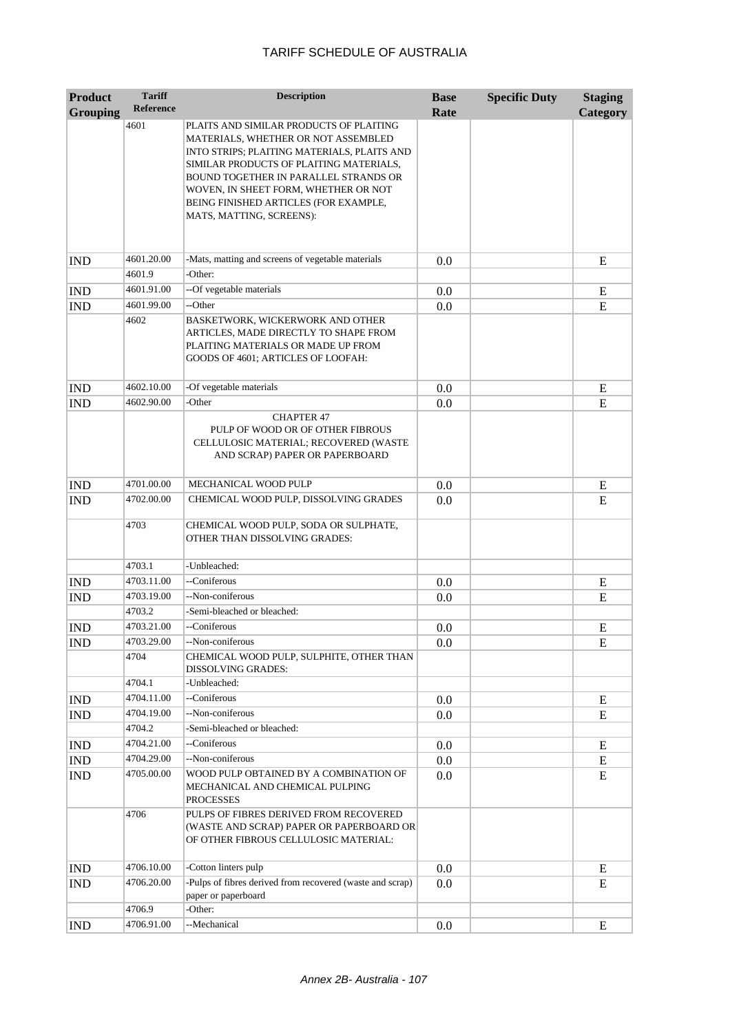| <b>Reference</b><br>Rate<br><b>Grouping</b><br>4601<br>PLAITS AND SIMILAR PRODUCTS OF PLAITING<br>MATERIALS, WHETHER OR NOT ASSEMBLED | <b>Category</b> |
|---------------------------------------------------------------------------------------------------------------------------------------|-----------------|
|                                                                                                                                       |                 |
|                                                                                                                                       |                 |
| INTO STRIPS; PLAITING MATERIALS, PLAITS AND                                                                                           |                 |
| SIMILAR PRODUCTS OF PLAITING MATERIALS,                                                                                               |                 |
| BOUND TOGETHER IN PARALLEL STRANDS OR<br>WOVEN, IN SHEET FORM, WHETHER OR NOT                                                         |                 |
| BEING FINISHED ARTICLES (FOR EXAMPLE,                                                                                                 |                 |
| MATS, MATTING, SCREENS):                                                                                                              |                 |
|                                                                                                                                       |                 |
|                                                                                                                                       |                 |
| -Mats, matting and screens of vegetable materials<br>4601.20.00<br><b>IND</b><br>0.0<br>4601.9<br>-Other:                             | E               |
| --Of vegetable materials<br>4601.91.00                                                                                                |                 |
| <b>IND</b><br>0.0<br>4601.99.00<br>--Other<br><b>IND</b><br>0.0                                                                       | E<br>E          |
| 4602<br>BASKETWORK, WICKERWORK AND OTHER                                                                                              |                 |
| ARTICLES, MADE DIRECTLY TO SHAPE FROM                                                                                                 |                 |
| PLAITING MATERIALS OR MADE UP FROM                                                                                                    |                 |
| GOODS OF 4601; ARTICLES OF LOOFAH:                                                                                                    |                 |
| 4602.10.00<br>-Of vegetable materials<br><b>IND</b><br>0.0                                                                            | E               |
| 4602.90.00<br>-Other<br>0.0<br><b>IND</b>                                                                                             | E               |
| <b>CHAPTER 47</b>                                                                                                                     |                 |
| PULP OF WOOD OR OF OTHER FIBROUS                                                                                                      |                 |
| CELLULOSIC MATERIAL; RECOVERED (WASTE                                                                                                 |                 |
| AND SCRAP) PAPER OR PAPERBOARD                                                                                                        |                 |
| 4701.00.00<br>MECHANICAL WOOD PULP<br><b>IND</b><br>0.0                                                                               | E               |
| 4702.00.00<br>CHEMICAL WOOD PULP, DISSOLVING GRADES<br><b>IND</b><br>0.0                                                              | E               |
|                                                                                                                                       |                 |
| 4703<br>CHEMICAL WOOD PULP, SODA OR SULPHATE,<br>OTHER THAN DISSOLVING GRADES:                                                        |                 |
| -Unbleached:<br>4703.1                                                                                                                |                 |
| --Coniferous<br>4703.11.00<br><b>IND</b><br>0.0                                                                                       | E               |
| --Non-coniferous<br>4703.19.00<br><b>IND</b><br>0.0                                                                                   | E               |
| 4703.2<br>-Semi-bleached or bleached:                                                                                                 |                 |
| --Coniferous<br>4703.21.00<br><b>IND</b><br>0.0                                                                                       | E               |
| <b>IND</b><br>4703.29.00<br>--Non-coniferous<br>0.0                                                                                   | E               |
| 4704<br>CHEMICAL WOOD PULP, SULPHITE, OTHER THAN<br><b>DISSOLVING GRADES:</b>                                                         |                 |
| 4704.1<br>-Unbleached:                                                                                                                |                 |
| --Coniferous<br>4704.11.00<br>0.0<br><b>IND</b>                                                                                       | E               |
| --Non-coniferous<br>4704.19.00<br><b>IND</b><br>0.0                                                                                   | E               |
| 4704.2<br>-Semi-bleached or bleached:                                                                                                 |                 |
| --Coniferous<br>4704.21.00<br><b>IND</b><br>0.0                                                                                       | E               |
| 4704.29.00<br>--Non-coniferous<br>IND<br>0.0                                                                                          | E               |
| WOOD PULP OBTAINED BY A COMBINATION OF<br>4705.00.00<br>IND<br>0.0                                                                    | E               |
| MECHANICAL AND CHEMICAL PULPING                                                                                                       |                 |
| PROCESSES<br>4706<br>PULPS OF FIBRES DERIVED FROM RECOVERED                                                                           |                 |
| (WASTE AND SCRAP) PAPER OR PAPERBOARD OR                                                                                              |                 |
| OF OTHER FIBROUS CELLULOSIC MATERIAL:                                                                                                 |                 |
|                                                                                                                                       |                 |
| 4706.10.00<br>-Cotton linters pulp<br><b>IND</b><br>0.0                                                                               | E               |
| -Pulps of fibres derived from recovered (waste and scrap)<br>4706.20.00<br>0.0<br><b>IND</b>                                          | E               |
| paper or paperboard<br>4706.9<br>-Other:                                                                                              |                 |
| 4706.91.00<br>--Mechanical<br>0.0<br><b>IND</b>                                                                                       | E               |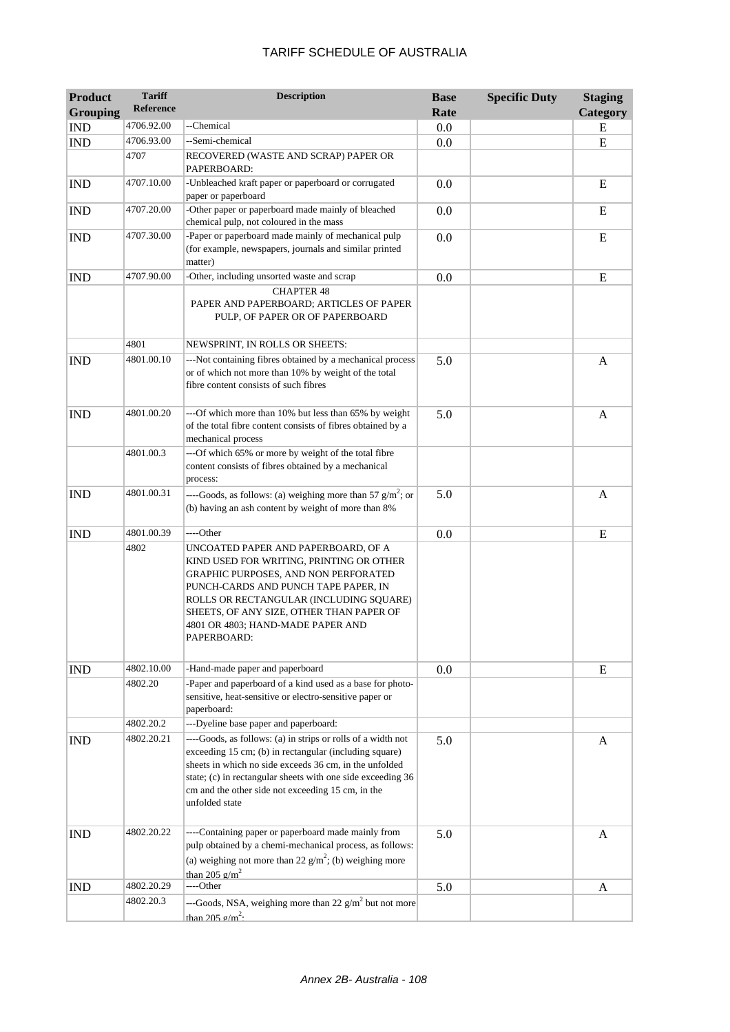| <b>Product</b><br><b>Grouping</b> | <b>Tariff</b><br>Reference | <b>Description</b>                                                                                                                                                                                                                                                                                                     | <b>Base</b><br>Rate | <b>Specific Duty</b> | <b>Staging</b><br>Category |
|-----------------------------------|----------------------------|------------------------------------------------------------------------------------------------------------------------------------------------------------------------------------------------------------------------------------------------------------------------------------------------------------------------|---------------------|----------------------|----------------------------|
| <b>IND</b>                        | 4706.92.00                 | --Chemical                                                                                                                                                                                                                                                                                                             | 0.0                 |                      | E                          |
| <b>IND</b>                        | 4706.93.00                 | --Semi-chemical                                                                                                                                                                                                                                                                                                        | 0.0                 |                      | E                          |
|                                   | 4707                       | RECOVERED (WASTE AND SCRAP) PAPER OR<br>PAPERBOARD:                                                                                                                                                                                                                                                                    |                     |                      |                            |
| <b>IND</b>                        | 4707.10.00                 | -Unbleached kraft paper or paperboard or corrugated<br>paper or paperboard                                                                                                                                                                                                                                             | 0.0                 |                      | E                          |
| <b>IND</b>                        | 4707.20.00                 | -Other paper or paperboard made mainly of bleached<br>chemical pulp, not coloured in the mass                                                                                                                                                                                                                          | 0.0                 |                      | E                          |
| <b>IND</b>                        | 4707.30.00                 | -Paper or paperboard made mainly of mechanical pulp<br>(for example, newspapers, journals and similar printed<br>matter)                                                                                                                                                                                               | 0.0                 |                      | E                          |
| <b>IND</b>                        | 4707.90.00                 | -Other, including unsorted waste and scrap                                                                                                                                                                                                                                                                             | 0.0                 |                      | E                          |
|                                   |                            | <b>CHAPTER 48</b><br>PAPER AND PAPERBOARD; ARTICLES OF PAPER<br>PULP, OF PAPER OR OF PAPERBOARD                                                                                                                                                                                                                        |                     |                      |                            |
|                                   | 4801                       | NEWSPRINT, IN ROLLS OR SHEETS:                                                                                                                                                                                                                                                                                         |                     |                      |                            |
| <b>IND</b>                        | 4801.00.10                 | ---Not containing fibres obtained by a mechanical process<br>or of which not more than 10% by weight of the total<br>fibre content consists of such fibres                                                                                                                                                             | 5.0                 |                      | A                          |
| <b>IND</b>                        | 4801.00.20                 | ---Of which more than 10% but less than 65% by weight<br>of the total fibre content consists of fibres obtained by a<br>mechanical process                                                                                                                                                                             | 5.0                 |                      | A                          |
|                                   | 4801.00.3                  | ---Of which 65% or more by weight of the total fibre<br>content consists of fibres obtained by a mechanical<br>process:                                                                                                                                                                                                |                     |                      |                            |
| <b>IND</b>                        | 4801.00.31                 | ----Goods, as follows: (a) weighing more than 57 $g/m^2$ ; or<br>(b) having an ash content by weight of more than 8%                                                                                                                                                                                                   | 5.0                 |                      | A                          |
| <b>IND</b>                        | 4801.00.39                 | ----Other                                                                                                                                                                                                                                                                                                              | 0.0                 |                      | E                          |
|                                   | 4802                       | UNCOATED PAPER AND PAPERBOARD, OF A<br>KIND USED FOR WRITING, PRINTING OR OTHER<br>GRAPHIC PURPOSES, AND NON PERFORATED<br>PUNCH-CARDS AND PUNCH TAPE PAPER, IN<br>ROLLS OR RECTANGULAR (INCLUDING SQUARE)<br>SHEETS, OF ANY SIZE, OTHER THAN PAPER OF<br>4801 OR 4803; HAND-MADE PAPER AND<br>PAPERBOARD:             |                     |                      |                            |
| <b>IND</b>                        | 4802.10.00                 | -Hand-made paper and paperboard                                                                                                                                                                                                                                                                                        | 0.0                 |                      | E                          |
|                                   | 4802.20                    | -Paper and paperboard of a kind used as a base for photo-<br>sensitive, heat-sensitive or electro-sensitive paper or<br>paperboard:                                                                                                                                                                                    |                     |                      |                            |
|                                   | 4802.20.2                  | ---Dyeline base paper and paperboard:                                                                                                                                                                                                                                                                                  |                     |                      |                            |
| <b>IND</b>                        | 4802.20.21                 | ----Goods, as follows: (a) in strips or rolls of a width not<br>exceeding 15 cm; (b) in rectangular (including square)<br>sheets in which no side exceeds 36 cm, in the unfolded<br>state; (c) in rectangular sheets with one side exceeding 36<br>cm and the other side not exceeding 15 cm, in the<br>unfolded state | 5.0                 |                      | A                          |
| <b>IND</b>                        | 4802.20.22                 | ----Containing paper or paperboard made mainly from<br>pulp obtained by a chemi-mechanical process, as follows:<br>(a) weighing not more than 22 $g/m^2$ ; (b) weighing more<br>than 205 $\text{g/m}^2$                                                                                                                | 5.0                 |                      | A                          |
| <b>IND</b>                        | 4802.20.29                 | ----Other                                                                                                                                                                                                                                                                                                              | 5.0                 |                      | A                          |
|                                   | 4802.20.3                  | ---Goods, NSA, weighing more than 22 $g/m^2$ but not more<br>than 205 $\sigma/m^2$ .                                                                                                                                                                                                                                   |                     |                      |                            |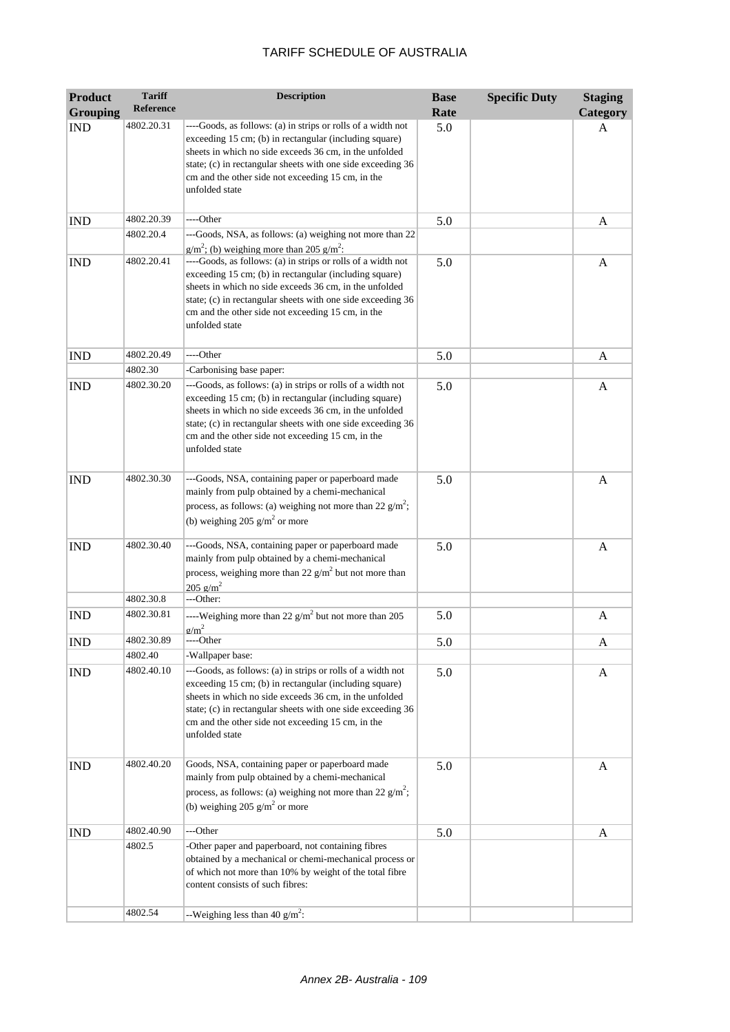| <b>Product</b>  | <b>Tariff</b>    | <b>Description</b>                                                                                                                                                                                                                                                                                                     | <b>Base</b> | <b>Specific Duty</b> | <b>Staging</b> |
|-----------------|------------------|------------------------------------------------------------------------------------------------------------------------------------------------------------------------------------------------------------------------------------------------------------------------------------------------------------------------|-------------|----------------------|----------------|
| <b>Grouping</b> | <b>Reference</b> |                                                                                                                                                                                                                                                                                                                        | Rate        |                      | Category       |
| <b>IND</b>      | 4802.20.31       | ----Goods, as follows: (a) in strips or rolls of a width not<br>exceeding 15 cm; (b) in rectangular (including square)<br>sheets in which no side exceeds 36 cm, in the unfolded<br>state; (c) in rectangular sheets with one side exceeding 36<br>cm and the other side not exceeding 15 cm, in the<br>unfolded state | 5.0         |                      | A              |
| <b>IND</b>      | 4802.20.39       | ----Other                                                                                                                                                                                                                                                                                                              | 5.0         |                      | A              |
|                 | 4802.20.4        | ---Goods, NSA, as follows: (a) weighing not more than 22<br>$g/m^2$ ; (b) weighing more than 205 $g/m^2$ :                                                                                                                                                                                                             |             |                      |                |
| <b>IND</b>      | 4802.20.41       | ----Goods, as follows: (a) in strips or rolls of a width not<br>exceeding 15 cm; (b) in rectangular (including square)<br>sheets in which no side exceeds 36 cm, in the unfolded<br>state; (c) in rectangular sheets with one side exceeding 36<br>cm and the other side not exceeding 15 cm, in the<br>unfolded state | 5.0         |                      | A              |
| <b>IND</b>      | 4802.20.49       | ----Other                                                                                                                                                                                                                                                                                                              | 5.0         |                      | A              |
|                 | 4802.30          | -Carbonising base paper:                                                                                                                                                                                                                                                                                               |             |                      |                |
| <b>IND</b>      | 4802.30.20       | ---Goods, as follows: (a) in strips or rolls of a width not<br>exceeding 15 cm; (b) in rectangular (including square)<br>sheets in which no side exceeds 36 cm, in the unfolded<br>state; (c) in rectangular sheets with one side exceeding 36<br>cm and the other side not exceeding 15 cm, in the<br>unfolded state  | 5.0         |                      | A              |
| <b>IND</b>      | 4802.30.30       | ---Goods, NSA, containing paper or paperboard made<br>mainly from pulp obtained by a chemi-mechanical<br>process, as follows: (a) weighing not more than 22 $g/m^2$ ;<br>(b) weighing 205 $g/m2$ or more                                                                                                               | 5.0         |                      | A              |
| <b>IND</b>      | 4802.30.40       | ---Goods, NSA, containing paper or paperboard made<br>mainly from pulp obtained by a chemi-mechanical<br>process, weighing more than 22 $g/m^2$ but not more than<br>$205 \text{ g/m}^2$                                                                                                                               | 5.0         |                      | A              |
|                 | 4802.30.8        | ---Other:                                                                                                                                                                                                                                                                                                              |             |                      |                |
| <b>IND</b>      | 4802.30.81       | ----Weighing more than 22 $g/m^2$ but not more than 205<br>$\sigma/m^2$                                                                                                                                                                                                                                                | 5.0         |                      | A              |
| <b>IND</b>      | 4802.30.89       | ----Other                                                                                                                                                                                                                                                                                                              | 5.0         |                      | A              |
|                 | 4802.40          | -Wallpaper base:                                                                                                                                                                                                                                                                                                       |             |                      |                |
| <b>IND</b>      | 4802.40.10       | ---Goods, as follows: (a) in strips or rolls of a width not<br>exceeding 15 cm; (b) in rectangular (including square)<br>sheets in which no side exceeds 36 cm, in the unfolded<br>state; (c) in rectangular sheets with one side exceeding 36<br>cm and the other side not exceeding 15 cm, in the<br>unfolded state  | 5.0         |                      | A              |
| <b>IND</b>      | 4802.40.20       | Goods, NSA, containing paper or paperboard made<br>mainly from pulp obtained by a chemi-mechanical<br>process, as follows: (a) weighing not more than 22 $g/m^2$ ;<br>(b) weighing 205 $g/m^2$ or more                                                                                                                 | 5.0         |                      | A              |
| IND             | 4802.40.90       | ---Other                                                                                                                                                                                                                                                                                                               | 5.0         |                      | A              |
|                 | 4802.5           | -Other paper and paperboard, not containing fibres<br>obtained by a mechanical or chemi-mechanical process or<br>of which not more than 10% by weight of the total fibre<br>content consists of such fibres:                                                                                                           |             |                      |                |
|                 | 4802.54          | --Weighing less than 40 $g/m^2$ :                                                                                                                                                                                                                                                                                      |             |                      |                |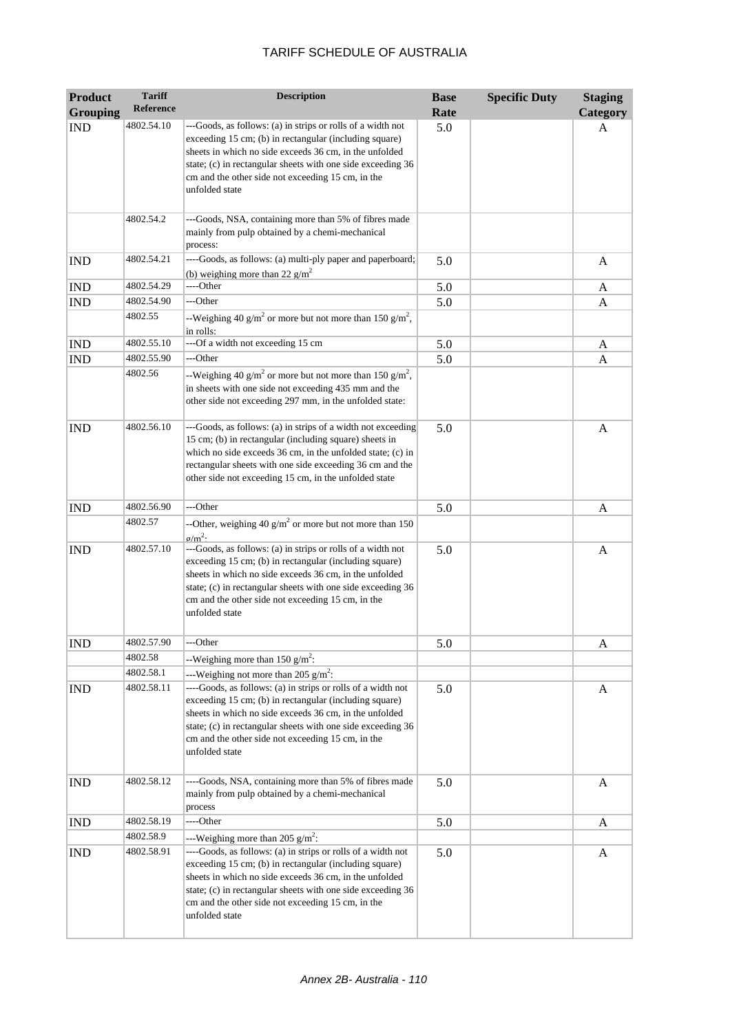| <b>Product</b>  | <b>Tariff</b>    | <b>Description</b>                                                                                                                                                                                                                                                                                                     | <b>Base</b> | <b>Specific Duty</b> | <b>Staging</b> |
|-----------------|------------------|------------------------------------------------------------------------------------------------------------------------------------------------------------------------------------------------------------------------------------------------------------------------------------------------------------------------|-------------|----------------------|----------------|
| <b>Grouping</b> | <b>Reference</b> |                                                                                                                                                                                                                                                                                                                        | Rate        |                      | Category       |
| <b>IND</b>      | 4802.54.10       | ---Goods, as follows: (a) in strips or rolls of a width not<br>exceeding 15 cm; (b) in rectangular (including square)<br>sheets in which no side exceeds 36 cm, in the unfolded<br>state; (c) in rectangular sheets with one side exceeding 36<br>cm and the other side not exceeding 15 cm, in the<br>unfolded state  | 5.0         |                      | A              |
|                 | 4802.54.2        | ---Goods, NSA, containing more than 5% of fibres made<br>mainly from pulp obtained by a chemi-mechanical<br>process:                                                                                                                                                                                                   |             |                      |                |
| <b>IND</b>      | 4802.54.21       | ----Goods, as follows: (a) multi-ply paper and paperboard;<br>(b) weighing more than 22 $g/m^2$                                                                                                                                                                                                                        | 5.0         |                      | A              |
| <b>IND</b>      | 4802.54.29       | ----Other                                                                                                                                                                                                                                                                                                              | 5.0         |                      | A              |
| <b>IND</b>      | 4802.54.90       | ---Other                                                                                                                                                                                                                                                                                                               | 5.0         |                      | A              |
|                 | 4802.55          | --Weighing 40 g/m <sup>2</sup> or more but not more than 150 g/m <sup>2</sup> ,<br>in rolls:                                                                                                                                                                                                                           |             |                      |                |
| <b>IND</b>      | 4802.55.10       | ---Of a width not exceeding 15 cm                                                                                                                                                                                                                                                                                      | 5.0         |                      | A              |
| <b>IND</b>      | 4802.55.90       | ---Other                                                                                                                                                                                                                                                                                                               | 5.0         |                      | A              |
|                 | 4802.56          | --Weighing 40 g/m <sup>2</sup> or more but not more than 150 g/m <sup>2</sup> ,<br>in sheets with one side not exceeding 435 mm and the<br>other side not exceeding 297 mm, in the unfolded state:                                                                                                                     |             |                      |                |
| <b>IND</b>      | 4802.56.10       | ---Goods, as follows: (a) in strips of a width not exceeding<br>15 cm; (b) in rectangular (including square) sheets in<br>which no side exceeds 36 cm, in the unfolded state; (c) in<br>rectangular sheets with one side exceeding 36 cm and the<br>other side not exceeding 15 cm, in the unfolded state              | 5.0         |                      | A              |
| <b>IND</b>      | 4802.56.90       | ---Other                                                                                                                                                                                                                                                                                                               | 5.0         |                      | A              |
|                 | 4802.57          | --Other, weighing 40 $g/m^2$ or more but not more than 150<br>$\sigma/m^2$                                                                                                                                                                                                                                             |             |                      |                |
| <b>IND</b>      | 4802.57.10       | ---Goods, as follows: (a) in strips or rolls of a width not<br>exceeding 15 cm; (b) in rectangular (including square)<br>sheets in which no side exceeds 36 cm, in the unfolded<br>state; (c) in rectangular sheets with one side exceeding 36<br>cm and the other side not exceeding 15 cm, in the<br>unfolded state  | 5.0         |                      | A              |
| <b>IND</b>      | 4802.57.90       | ---Other                                                                                                                                                                                                                                                                                                               | 5.0         |                      | A              |
|                 | 4802.58          | --Weighing more than 150 $g/m^2$ :                                                                                                                                                                                                                                                                                     |             |                      |                |
|                 | 4802.58.1        | ---Weighing not more than 205 $g/m^2$ :                                                                                                                                                                                                                                                                                |             |                      |                |
| <b>IND</b>      | 4802.58.11       | ----Goods, as follows: (a) in strips or rolls of a width not<br>exceeding 15 cm; (b) in rectangular (including square)<br>sheets in which no side exceeds 36 cm, in the unfolded<br>state; (c) in rectangular sheets with one side exceeding 36<br>cm and the other side not exceeding 15 cm, in the<br>unfolded state | 5.0         |                      | A              |
| <b>IND</b>      | 4802.58.12       | ----Goods, NSA, containing more than 5% of fibres made<br>mainly from pulp obtained by a chemi-mechanical<br>process                                                                                                                                                                                                   | 5.0         |                      | A              |
| <b>IND</b>      | 4802.58.19       | ----Other                                                                                                                                                                                                                                                                                                              | 5.0         |                      | A              |
|                 | 4802.58.9        | ---Weighing more than 205 $g/m^2$ :                                                                                                                                                                                                                                                                                    |             |                      |                |
| <b>IND</b>      | 4802.58.91       | ----Goods, as follows: (a) in strips or rolls of a width not<br>exceeding 15 cm; (b) in rectangular (including square)<br>sheets in which no side exceeds 36 cm, in the unfolded<br>state; (c) in rectangular sheets with one side exceeding 36<br>cm and the other side not exceeding 15 cm, in the<br>unfolded state | 5.0         |                      | A              |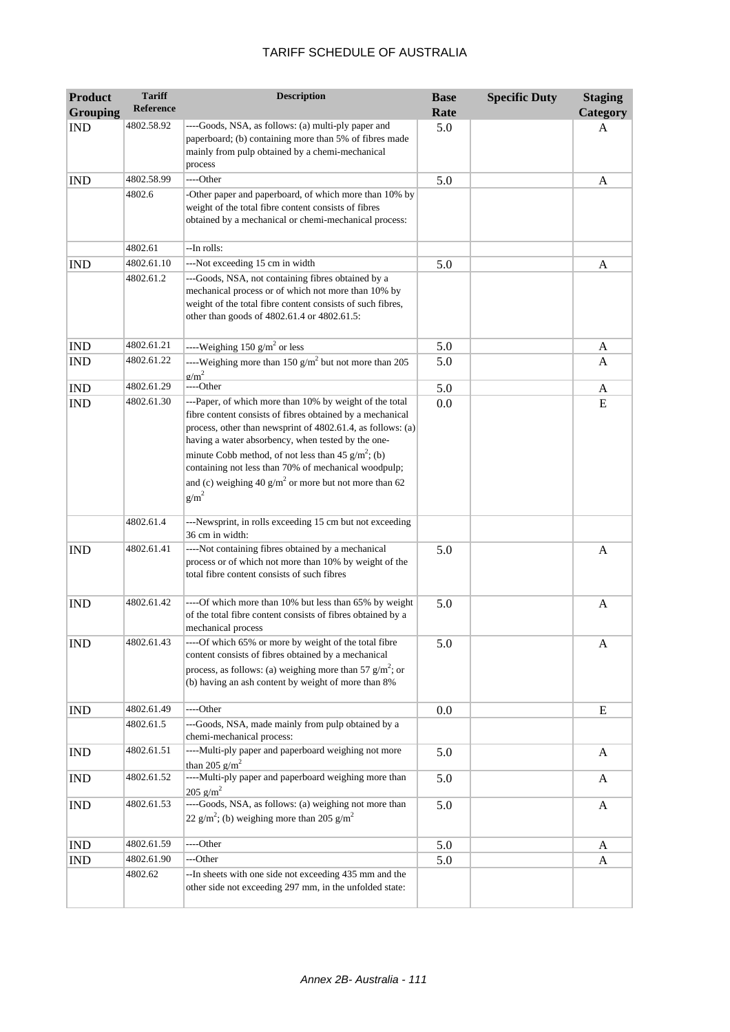| <b>Product</b><br><b>Grouping</b> | <b>Tariff</b><br>Reference | <b>Description</b>                                                                                                                                                                                                                                                                                                                                                                                                               | <b>Base</b><br>Rate | <b>Specific Duty</b> | <b>Staging</b><br>Category |
|-----------------------------------|----------------------------|----------------------------------------------------------------------------------------------------------------------------------------------------------------------------------------------------------------------------------------------------------------------------------------------------------------------------------------------------------------------------------------------------------------------------------|---------------------|----------------------|----------------------------|
| <b>IND</b>                        | 4802.58.92                 | ----Goods, NSA, as follows: (a) multi-ply paper and<br>paperboard; (b) containing more than 5% of fibres made<br>mainly from pulp obtained by a chemi-mechanical<br>process                                                                                                                                                                                                                                                      | 5.0                 |                      | A                          |
| <b>IND</b>                        | 4802.58.99                 | ----Other                                                                                                                                                                                                                                                                                                                                                                                                                        | 5.0                 |                      | A                          |
|                                   | 4802.6                     | -Other paper and paperboard, of which more than 10% by<br>weight of the total fibre content consists of fibres<br>obtained by a mechanical or chemi-mechanical process:                                                                                                                                                                                                                                                          |                     |                      |                            |
|                                   | 4802.61                    | --In rolls:                                                                                                                                                                                                                                                                                                                                                                                                                      |                     |                      |                            |
| <b>IND</b>                        | 4802.61.10                 | ---Not exceeding 15 cm in width                                                                                                                                                                                                                                                                                                                                                                                                  | 5.0                 |                      | A                          |
|                                   | 4802.61.2                  | ---Goods, NSA, not containing fibres obtained by a<br>mechanical process or of which not more than 10% by<br>weight of the total fibre content consists of such fibres,<br>other than goods of 4802.61.4 or 4802.61.5:                                                                                                                                                                                                           |                     |                      |                            |
| <b>IND</b>                        | 4802.61.21                 | ----Weighing 150 $g/m^2$ or less                                                                                                                                                                                                                                                                                                                                                                                                 | 5.0                 |                      | A                          |
| <b>IND</b>                        | 4802.61.22                 | ----Weighing more than 150 $g/m^2$ but not more than 205<br>$\sigma/m^2$                                                                                                                                                                                                                                                                                                                                                         | 5.0                 |                      | A                          |
| <b>IND</b>                        | 4802.61.29                 | ----Other                                                                                                                                                                                                                                                                                                                                                                                                                        | 5.0                 |                      | A                          |
| <b>IND</b>                        | 4802.61.30                 | ---Paper, of which more than 10% by weight of the total<br>fibre content consists of fibres obtained by a mechanical<br>process, other than newsprint of 4802.61.4, as follows: (a)<br>having a water absorbency, when tested by the one-<br>minute Cobb method, of not less than 45 $g/m^2$ ; (b)<br>containing not less than 70% of mechanical woodpulp;<br>and (c) weighing 40 $g/m2$ or more but not more than 62<br>$g/m^2$ | 0.0                 |                      | E                          |
|                                   | 4802.61.4                  | ---Newsprint, in rolls exceeding 15 cm but not exceeding<br>36 cm in width:                                                                                                                                                                                                                                                                                                                                                      |                     |                      |                            |
| <b>IND</b>                        | 4802.61.41                 | ----Not containing fibres obtained by a mechanical<br>process or of which not more than 10% by weight of the<br>total fibre content consists of such fibres                                                                                                                                                                                                                                                                      | 5.0                 |                      | A                          |
| <b>IND</b>                        | 4802.61.42                 | ----Of which more than 10% but less than 65% by weight<br>of the total fibre content consists of fibres obtained by a<br>mechanical process                                                                                                                                                                                                                                                                                      | 5.0                 |                      | A                          |
| <b>IND</b>                        | 4802.61.43                 | ----Of which 65% or more by weight of the total fibre<br>content consists of fibres obtained by a mechanical<br>process, as follows: (a) weighing more than 57 $g/m^2$ ; or<br>(b) having an ash content by weight of more than 8%                                                                                                                                                                                               | 5.0                 |                      | A                          |
| <b>IND</b>                        | 4802.61.49                 | ----Other                                                                                                                                                                                                                                                                                                                                                                                                                        | 0.0                 |                      | Ε                          |
|                                   | 4802.61.5                  | ---Goods, NSA, made mainly from pulp obtained by a<br>chemi-mechanical process:                                                                                                                                                                                                                                                                                                                                                  |                     |                      |                            |
| <b>IND</b>                        | 4802.61.51                 | ----Multi-ply paper and paperboard weighing not more<br>than 205 $g/m^2$                                                                                                                                                                                                                                                                                                                                                         | 5.0                 |                      | A                          |
| <b>IND</b>                        | 4802.61.52                 | ----Multi-ply paper and paperboard weighing more than<br>$205$ g/m <sup>2</sup>                                                                                                                                                                                                                                                                                                                                                  | 5.0                 |                      | A                          |
| <b>IND</b>                        | 4802.61.53                 | ----Goods, NSA, as follows: (a) weighing not more than<br>22 g/m <sup>2</sup> ; (b) weighing more than 205 g/m <sup>2</sup>                                                                                                                                                                                                                                                                                                      | 5.0                 |                      | A                          |
| <b>IND</b>                        | 4802.61.59                 | ----Other                                                                                                                                                                                                                                                                                                                                                                                                                        | 5.0                 |                      | A                          |
| <b>IND</b>                        | 4802.61.90                 | ---Other                                                                                                                                                                                                                                                                                                                                                                                                                         | 5.0                 |                      | A                          |
|                                   | 4802.62                    | -- In sheets with one side not exceeding 435 mm and the<br>other side not exceeding 297 mm, in the unfolded state:                                                                                                                                                                                                                                                                                                               |                     |                      |                            |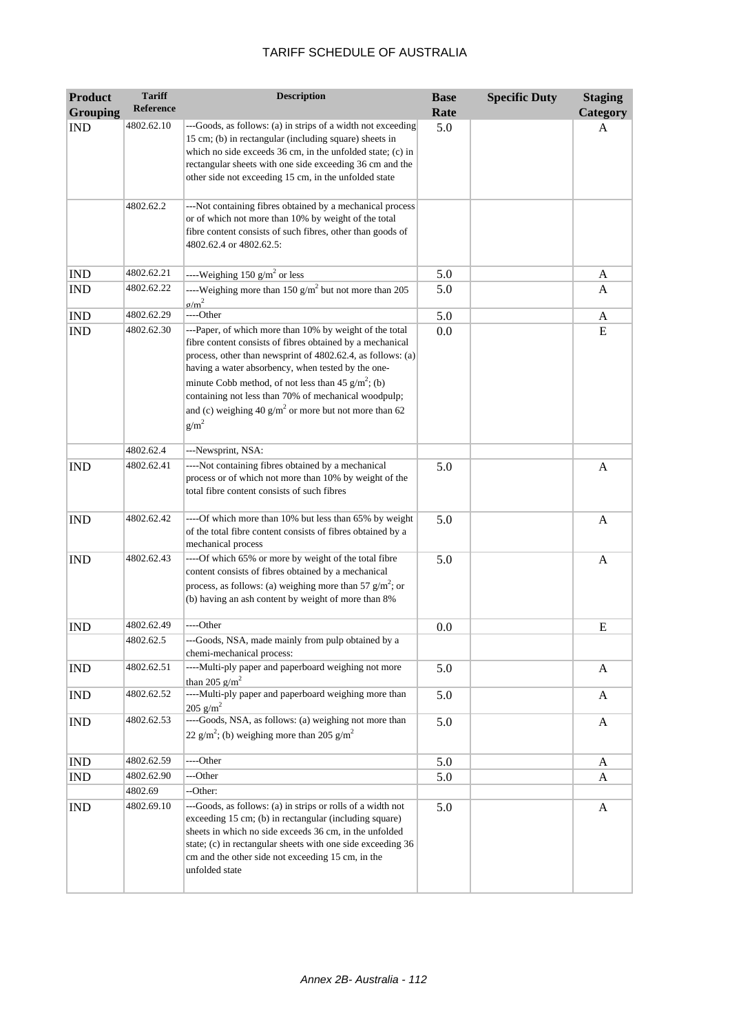| <b>Product</b>  | <b>Tariff</b> | <b>Description</b>                                                                                                                                                                                                                                                                                                                                                                                                               | <b>Base</b> | <b>Specific Duty</b> | <b>Staging</b> |
|-----------------|---------------|----------------------------------------------------------------------------------------------------------------------------------------------------------------------------------------------------------------------------------------------------------------------------------------------------------------------------------------------------------------------------------------------------------------------------------|-------------|----------------------|----------------|
| <b>Grouping</b> | Reference     |                                                                                                                                                                                                                                                                                                                                                                                                                                  | Rate        |                      | Category       |
| <b>IND</b>      | 4802.62.10    | ---Goods, as follows: (a) in strips of a width not exceeding<br>15 cm; (b) in rectangular (including square) sheets in<br>which no side exceeds 36 cm, in the unfolded state; (c) in<br>rectangular sheets with one side exceeding 36 cm and the<br>other side not exceeding 15 cm, in the unfolded state                                                                                                                        | 5.0         |                      | A              |
|                 | 4802.62.2     | ---Not containing fibres obtained by a mechanical process<br>or of which not more than 10% by weight of the total<br>fibre content consists of such fibres, other than goods of<br>4802.62.4 or 4802.62.5:                                                                                                                                                                                                                       |             |                      |                |
| <b>IND</b>      | 4802.62.21    | ----Weighing 150 $g/m^2$ or less                                                                                                                                                                                                                                                                                                                                                                                                 | 5.0         |                      | A              |
| <b>IND</b>      | 4802.62.22    | ----Weighing more than 150 $g/m^2$ but not more than 205<br>$\sigma/m^2$                                                                                                                                                                                                                                                                                                                                                         | 5.0         |                      | A              |
| <b>IND</b>      | 4802.62.29    | ----Other                                                                                                                                                                                                                                                                                                                                                                                                                        | 5.0         |                      | A              |
| <b>IND</b>      | 4802.62.30    | ---Paper, of which more than 10% by weight of the total<br>fibre content consists of fibres obtained by a mechanical<br>process, other than newsprint of 4802.62.4, as follows: (a)<br>having a water absorbency, when tested by the one-<br>minute Cobb method, of not less than 45 $g/m^2$ ; (b)<br>containing not less than 70% of mechanical woodpulp;<br>and (c) weighing 40 $g/m2$ or more but not more than 62<br>$g/m^2$ | 0.0         |                      | E              |
|                 | 4802.62.4     | ---Newsprint, NSA:                                                                                                                                                                                                                                                                                                                                                                                                               |             |                      |                |
| <b>IND</b>      | 4802.62.41    | ----Not containing fibres obtained by a mechanical<br>process or of which not more than 10% by weight of the<br>total fibre content consists of such fibres                                                                                                                                                                                                                                                                      | 5.0         |                      | A              |
| <b>IND</b>      | 4802.62.42    | ----Of which more than 10% but less than 65% by weight<br>of the total fibre content consists of fibres obtained by a<br>mechanical process                                                                                                                                                                                                                                                                                      | 5.0         |                      | A              |
| <b>IND</b>      | 4802.62.43    | ----Of which 65% or more by weight of the total fibre<br>content consists of fibres obtained by a mechanical<br>process, as follows: (a) weighing more than 57 $g/m^2$ ; or<br>(b) having an ash content by weight of more than 8%                                                                                                                                                                                               | 5.0         |                      | $\mathbf{A}$   |
| <b>IND</b>      | 4802.62.49    | ----Other                                                                                                                                                                                                                                                                                                                                                                                                                        | 0.0         |                      | E              |
|                 | 4802.62.5     | ---Goods, NSA, made mainly from pulp obtained by a<br>chemi-mechanical process:                                                                                                                                                                                                                                                                                                                                                  |             |                      |                |
| <b>IND</b>      | 4802.62.51    | ----Multi-ply paper and paperboard weighing not more<br>than 205 $g/m^2$                                                                                                                                                                                                                                                                                                                                                         | 5.0         |                      | A              |
| <b>IND</b>      | 4802.62.52    | ----Multi-ply paper and paperboard weighing more than<br>$205$ g/m <sup>2</sup>                                                                                                                                                                                                                                                                                                                                                  | 5.0         |                      | A              |
| <b>IND</b>      | 4802.62.53    | ----Goods, NSA, as follows: (a) weighing not more than<br>22 g/m <sup>2</sup> ; (b) weighing more than 205 g/m <sup>2</sup>                                                                                                                                                                                                                                                                                                      | 5.0         |                      | A              |
| <b>IND</b>      | 4802.62.59    | ----Other                                                                                                                                                                                                                                                                                                                                                                                                                        | 5.0         |                      | A              |
| <b>IND</b>      | 4802.62.90    | ---Other                                                                                                                                                                                                                                                                                                                                                                                                                         | 5.0         |                      | A              |
|                 | 4802.69       | --Other:                                                                                                                                                                                                                                                                                                                                                                                                                         |             |                      |                |
| <b>IND</b>      | 4802.69.10    | ---Goods, as follows: (a) in strips or rolls of a width not<br>exceeding 15 cm; (b) in rectangular (including square)<br>sheets in which no side exceeds 36 cm, in the unfolded<br>state; (c) in rectangular sheets with one side exceeding 36<br>cm and the other side not exceeding 15 cm, in the<br>unfolded state                                                                                                            | 5.0         |                      | A              |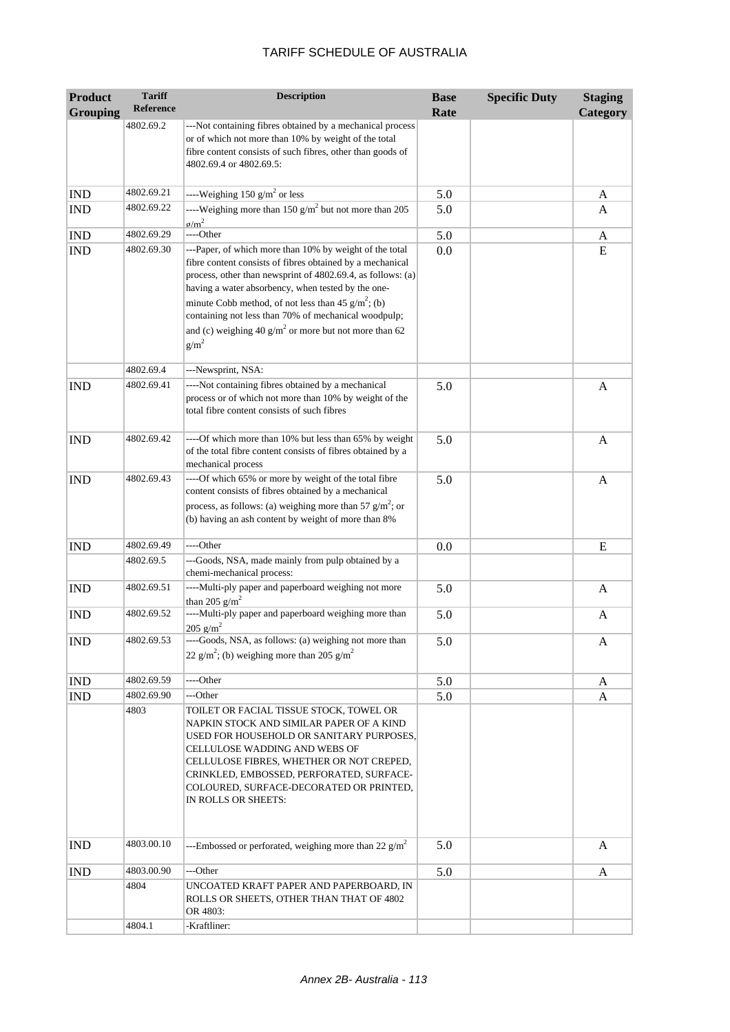| <b>Product</b>  | <b>Tariff</b>      | <b>Description</b>                                                                                                                                                                                                                                                                                                                                                                                                               | <b>Base</b> | <b>Specific Duty</b> | <b>Staging</b> |
|-----------------|--------------------|----------------------------------------------------------------------------------------------------------------------------------------------------------------------------------------------------------------------------------------------------------------------------------------------------------------------------------------------------------------------------------------------------------------------------------|-------------|----------------------|----------------|
| <b>Grouping</b> | Reference          |                                                                                                                                                                                                                                                                                                                                                                                                                                  | Rate        |                      | Category       |
|                 | 4802.69.2          | ---Not containing fibres obtained by a mechanical process<br>or of which not more than 10% by weight of the total<br>fibre content consists of such fibres, other than goods of<br>4802.69.4 or 4802.69.5:                                                                                                                                                                                                                       |             |                      |                |
| <b>IND</b>      | 4802.69.21         | ----Weighing 150 $g/m^2$ or less                                                                                                                                                                                                                                                                                                                                                                                                 | 5.0         |                      | A              |
| <b>IND</b>      | 4802.69.22         | ----Weighing more than 150 $g/m^2$ but not more than 205<br>$g/m^2$                                                                                                                                                                                                                                                                                                                                                              | 5.0         |                      | A              |
| <b>IND</b>      | 4802.69.29         | ----Other                                                                                                                                                                                                                                                                                                                                                                                                                        | 5.0         |                      | A              |
| <b>IND</b>      | 4802.69.30         | ---Paper, of which more than 10% by weight of the total<br>fibre content consists of fibres obtained by a mechanical<br>process, other than newsprint of 4802.69.4, as follows: (a)<br>having a water absorbency, when tested by the one-<br>minute Cobb method, of not less than 45 $g/m^2$ ; (b)<br>containing not less than 70% of mechanical woodpulp;<br>and (c) weighing 40 $g/m2$ or more but not more than 62<br>$g/m^2$ | 0.0         |                      | E              |
|                 | 4802.69.4          | ---Newsprint, NSA:                                                                                                                                                                                                                                                                                                                                                                                                               |             |                      |                |
| <b>IND</b>      | 4802.69.41         | ----Not containing fibres obtained by a mechanical<br>process or of which not more than 10% by weight of the<br>total fibre content consists of such fibres                                                                                                                                                                                                                                                                      | 5.0         |                      | $\mathbf{A}$   |
| <b>IND</b>      | 4802.69.42         | ----Of which more than 10% but less than 65% by weight<br>of the total fibre content consists of fibres obtained by a<br>mechanical process                                                                                                                                                                                                                                                                                      | 5.0         |                      | $\mathbf{A}$   |
| <b>IND</b>      | 4802.69.43         | ----Of which 65% or more by weight of the total fibre<br>content consists of fibres obtained by a mechanical<br>process, as follows: (a) weighing more than 57 $g/m^2$ ; or<br>(b) having an ash content by weight of more than 8%                                                                                                                                                                                               | 5.0         |                      | A              |
| <b>IND</b>      | 4802.69.49         | ----Other                                                                                                                                                                                                                                                                                                                                                                                                                        | 0.0         |                      | E              |
|                 | 4802.69.5          | ---Goods, NSA, made mainly from pulp obtained by a<br>chemi-mechanical process:                                                                                                                                                                                                                                                                                                                                                  |             |                      |                |
| <b>IND</b>      | 4802.69.51         | ----Multi-ply paper and paperboard weighing not more<br>than 205 $g/m^2$                                                                                                                                                                                                                                                                                                                                                         | 5.0         |                      | A              |
| <b>IND</b>      | 4802.69.52         | ----Multi-ply paper and paperboard weighing more than<br>$205$ g/m <sup>2</sup>                                                                                                                                                                                                                                                                                                                                                  | 5.0         |                      | A              |
| <b>IND</b>      | 4802.69.53         | ----Goods, NSA, as follows: (a) weighing not more than<br>22 g/m <sup>2</sup> ; (b) weighing more than 205 g/m <sup>2</sup>                                                                                                                                                                                                                                                                                                      | 5.0         |                      | A              |
| <b>IND</b>      | 4802.69.59         | ----Other                                                                                                                                                                                                                                                                                                                                                                                                                        | 5.0         |                      | A              |
| <b>IND</b>      | 4802.69.90<br>4803 | ---Other<br>TOILET OR FACIAL TISSUE STOCK, TOWEL OR<br>NAPKIN STOCK AND SIMILAR PAPER OF A KIND<br>USED FOR HOUSEHOLD OR SANITARY PURPOSES,<br>CELLULOSE WADDING AND WEBS OF<br>CELLULOSE FIBRES, WHETHER OR NOT CREPED,<br>CRINKLED, EMBOSSED, PERFORATED, SURFACE-<br>COLOURED, SURFACE-DECORATED OR PRINTED,<br>IN ROLLS OR SHEETS:                                                                                           | 5.0         |                      | A              |
| <b>IND</b>      | 4803.00.10         | ---Embossed or perforated, weighing more than 22 $g/m^2$                                                                                                                                                                                                                                                                                                                                                                         | 5.0         |                      | A              |
| <b>IND</b>      | 4803.00.90         | ---Other                                                                                                                                                                                                                                                                                                                                                                                                                         | 5.0         |                      | A              |
|                 | 4804               | UNCOATED KRAFT PAPER AND PAPERBOARD, IN<br>ROLLS OR SHEETS, OTHER THAN THAT OF 4802<br>OR 4803:                                                                                                                                                                                                                                                                                                                                  |             |                      |                |
|                 | 4804.1             | -Kraftliner:                                                                                                                                                                                                                                                                                                                                                                                                                     |             |                      |                |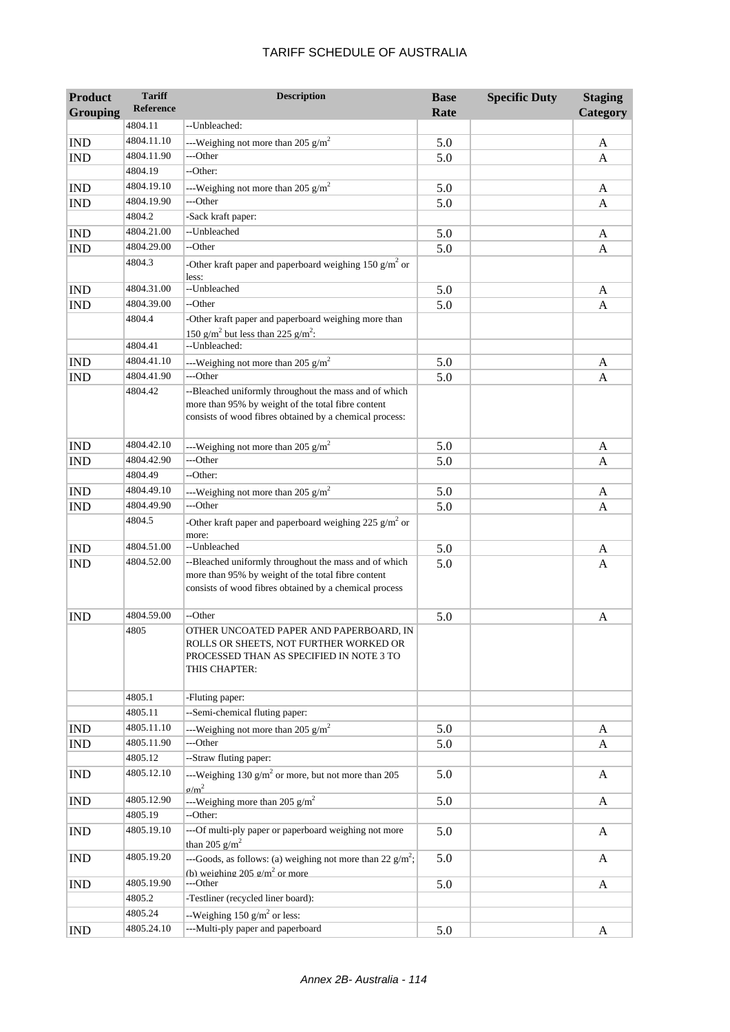| <b>Product</b>  | <b>Tariff</b>    | <b>Description</b>                                                                                                                                                     | <b>Base</b> | <b>Specific Duty</b> | <b>Staging</b> |
|-----------------|------------------|------------------------------------------------------------------------------------------------------------------------------------------------------------------------|-------------|----------------------|----------------|
| <b>Grouping</b> | <b>Reference</b> |                                                                                                                                                                        | Rate        |                      | Category       |
|                 | 4804.11          | --Unbleached:                                                                                                                                                          |             |                      |                |
| <b>IND</b>      | 4804.11.10       | ---Weighing not more than 205 $\text{g/m}^2$                                                                                                                           | 5.0         |                      | A              |
| <b>IND</b>      | 4804.11.90       | ---Other                                                                                                                                                               | 5.0         |                      | A              |
|                 | 4804.19          | --Other:                                                                                                                                                               |             |                      |                |
| <b>IND</b>      | 4804.19.10       | ---Weighing not more than 205 $g/m^2$                                                                                                                                  | 5.0         |                      | A              |
| <b>IND</b>      | 4804.19.90       | ---Other                                                                                                                                                               | 5.0         |                      | A              |
|                 | 4804.2           | -Sack kraft paper:                                                                                                                                                     |             |                      |                |
| <b>IND</b>      | 4804.21.00       | --Unbleached                                                                                                                                                           | 5.0         |                      | A              |
| <b>IND</b>      | 4804.29.00       | --Other                                                                                                                                                                | 5.0         |                      | A              |
|                 | 4804.3           | -Other kraft paper and paperboard weighing 150 $\text{g/m}^2$ or<br>less:                                                                                              |             |                      |                |
| <b>IND</b>      | 4804.31.00       | --Unbleached                                                                                                                                                           | 5.0         |                      | A              |
| <b>IND</b>      | 4804.39.00       | --Other                                                                                                                                                                | 5.0         |                      | A              |
|                 | 4804.4           | -Other kraft paper and paperboard weighing more than                                                                                                                   |             |                      |                |
|                 |                  | 150 g/m <sup>2</sup> but less than 225 g/m <sup>2</sup> :                                                                                                              |             |                      |                |
|                 | 4804.41          | --Unbleached:                                                                                                                                                          |             |                      |                |
| <b>IND</b>      | 4804.41.10       | ---Weighing not more than 205 $g/m^2$                                                                                                                                  | 5.0         |                      | A              |
| <b>IND</b>      | 4804.41.90       | ---Other                                                                                                                                                               | 5.0         |                      | A              |
|                 | 4804.42          | --Bleached uniformly throughout the mass and of which<br>more than 95% by weight of the total fibre content<br>consists of wood fibres obtained by a chemical process: |             |                      |                |
| <b>IND</b>      | 4804.42.10       | ---Weighing not more than 205 $g/m^2$                                                                                                                                  | 5.0         |                      | A              |
| <b>IND</b>      | 4804.42.90       | ---Other                                                                                                                                                               | 5.0         |                      | A              |
|                 | 4804.49          | --Other:                                                                                                                                                               |             |                      |                |
| <b>IND</b>      | 4804.49.10       | ---Weighing not more than 205 $g/m^2$                                                                                                                                  | 5.0         |                      | A              |
| <b>IND</b>      | 4804.49.90       | ---Other                                                                                                                                                               | 5.0         |                      | A              |
|                 | 4804.5           | -Other kraft paper and paperboard weighing 225 $g/m^2$ or<br>more:                                                                                                     |             |                      |                |
| <b>IND</b>      | 4804.51.00       | --Unbleached                                                                                                                                                           | 5.0         |                      | A              |
| <b>IND</b>      | 4804.52.00       | --Bleached uniformly throughout the mass and of which<br>more than 95% by weight of the total fibre content<br>consists of wood fibres obtained by a chemical process  | 5.0         |                      | A              |
| <b>IND</b>      | 4804.59.00       | --Other                                                                                                                                                                | 5.0         |                      | A              |
|                 | 4805             | OTHER UNCOATED PAPER AND PAPERBOARD, IN<br>ROLLS OR SHEETS, NOT FURTHER WORKED OR<br>PROCESSED THAN AS SPECIFIED IN NOTE 3 TO<br>THIS CHAPTER:                         |             |                      |                |
|                 | 4805.1           | -Fluting paper:                                                                                                                                                        |             |                      |                |
|                 | 4805.11          | --Semi-chemical fluting paper:                                                                                                                                         |             |                      |                |
| IND             | 4805.11.10       | ---Weighing not more than 205 $g/m^2$                                                                                                                                  | 5.0         |                      | A              |
| <b>IND</b>      | 4805.11.90       | ---Other                                                                                                                                                               | 5.0         |                      | A              |
|                 | 4805.12          | --Straw fluting paper:                                                                                                                                                 |             |                      |                |
| <b>IND</b>      | 4805.12.10       | ---Weighing 130 $g/m^2$ or more, but not more than 205<br>$\sigma/m^2$                                                                                                 | 5.0         |                      | A              |
| <b>IND</b>      | 4805.12.90       | ---Weighing more than 205 $g/m^2$                                                                                                                                      | 5.0         |                      | A              |
|                 | 4805.19          | --Other:                                                                                                                                                               |             |                      |                |
| <b>IND</b>      | 4805.19.10       | ---Of multi-ply paper or paperboard weighing not more<br>than 205 $g/m^2$                                                                                              | 5.0         |                      | A              |
| <b>IND</b>      | 4805.19.20       | ---Goods, as follows: (a) weighing not more than 22 $g/m^2$ ;<br>(h) weighing 205 $\sigma/m^2$ or more.                                                                | 5.0         |                      | A              |
| <b>IND</b>      | 4805.19.90       | ---Other                                                                                                                                                               | 5.0         |                      | A              |
|                 | 4805.2           | -Testliner (recycled liner board):                                                                                                                                     |             |                      |                |
|                 | 4805.24          | --Weighing 150 $g/m^2$ or less:                                                                                                                                        |             |                      |                |
| <b>IND</b>      | 4805.24.10       | ---Multi-ply paper and paperboard                                                                                                                                      | 5.0         |                      | A              |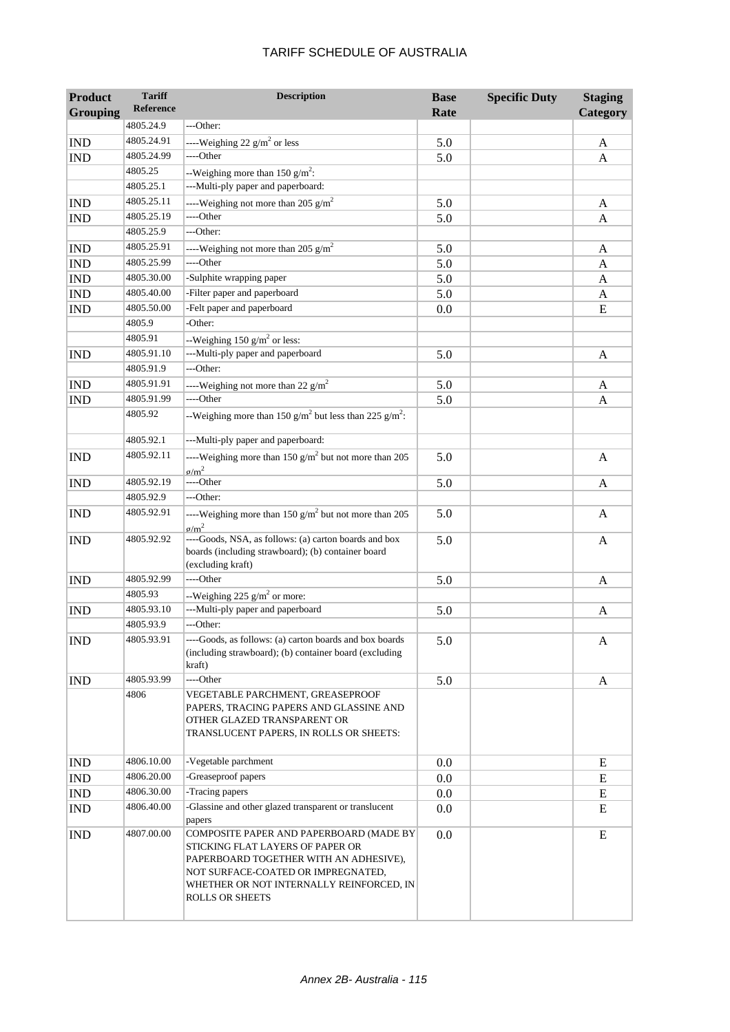| <b>Product</b><br><b>Grouping</b> | <b>Tariff</b><br><b>Reference</b> | <b>Description</b>                                                                                                                                                                                                                | <b>Base</b><br>Rate | <b>Specific Duty</b> | <b>Staging</b><br>Category |
|-----------------------------------|-----------------------------------|-----------------------------------------------------------------------------------------------------------------------------------------------------------------------------------------------------------------------------------|---------------------|----------------------|----------------------------|
|                                   | 4805.24.9                         | ---Other:                                                                                                                                                                                                                         |                     |                      |                            |
| <b>IND</b>                        | 4805.24.91                        | ----Weighing 22 $g/m^2$ or less                                                                                                                                                                                                   | 5.0                 |                      | A                          |
| <b>IND</b>                        | 4805.24.99                        | ----Other                                                                                                                                                                                                                         | 5.0                 |                      | A                          |
|                                   | 4805.25                           | --Weighing more than 150 $g/m^2$ :                                                                                                                                                                                                |                     |                      |                            |
|                                   | 4805.25.1                         | ---Multi-ply paper and paperboard:                                                                                                                                                                                                |                     |                      |                            |
| <b>IND</b>                        | 4805.25.11                        | ----Weighing not more than 205 $g/m^2$                                                                                                                                                                                            | 5.0                 |                      | A                          |
| <b>IND</b>                        | 4805.25.19                        | ----Other                                                                                                                                                                                                                         | 5.0                 |                      | A                          |
|                                   | 4805.25.9                         | ---Other:                                                                                                                                                                                                                         |                     |                      |                            |
| <b>IND</b>                        | 4805.25.91                        | ----Weighing not more than 205 $g/m^2$                                                                                                                                                                                            | 5.0                 |                      | A                          |
| <b>IND</b>                        | 4805.25.99                        | ----Other                                                                                                                                                                                                                         | 5.0                 |                      | A                          |
| <b>IND</b>                        | 4805.30.00                        | -Sulphite wrapping paper                                                                                                                                                                                                          | 5.0                 |                      | A                          |
| <b>IND</b>                        | 4805.40.00                        | -Filter paper and paperboard                                                                                                                                                                                                      | 5.0                 |                      | A                          |
| $\mathop{\rm IND}\nolimits$       | 4805.50.00                        | -Felt paper and paperboard                                                                                                                                                                                                        | 0.0                 |                      | E                          |
|                                   | 4805.9                            | -Other:                                                                                                                                                                                                                           |                     |                      |                            |
|                                   | 4805.91                           | --Weighing 150 $g/m^2$ or less:                                                                                                                                                                                                   |                     |                      |                            |
| <b>IND</b>                        | 4805.91.10                        | ---Multi-ply paper and paperboard                                                                                                                                                                                                 | 5.0                 |                      | A                          |
|                                   | 4805.91.9                         | ---Other:                                                                                                                                                                                                                         |                     |                      |                            |
| <b>IND</b>                        | 4805.91.91                        | ----Weighing not more than 22 $g/m^2$                                                                                                                                                                                             | 5.0                 |                      | A                          |
| <b>IND</b>                        | 4805.91.99                        | ----Other                                                                                                                                                                                                                         | 5.0                 |                      | A                          |
|                                   | 4805.92                           | --Weighing more than 150 $g/m^2$ but less than 225 $g/m^2$ :                                                                                                                                                                      |                     |                      |                            |
|                                   | 4805.92.1                         | ---Multi-ply paper and paperboard:                                                                                                                                                                                                |                     |                      |                            |
| <b>IND</b>                        | 4805.92.11                        | ----Weighing more than 150 $g/m^2$ but not more than 205<br>$g/m^2$                                                                                                                                                               | 5.0                 |                      | $\mathbf{A}$               |
| <b>IND</b>                        | 4805.92.19                        | ----Other                                                                                                                                                                                                                         | 5.0                 |                      | A                          |
|                                   | 4805.92.9                         | ---Other:                                                                                                                                                                                                                         |                     |                      |                            |
| <b>IND</b>                        | 4805.92.91                        | ----Weighing more than 150 $g/m^2$ but not more than 205<br>$\sigma/m^2$                                                                                                                                                          | 5.0                 |                      | A                          |
| <b>IND</b>                        | 4805.92.92                        | ----Goods, NSA, as follows: (a) carton boards and box<br>boards (including strawboard); (b) container board<br>(excluding kraft)                                                                                                  | 5.0                 |                      | A                          |
| <b>IND</b>                        | 4805.92.99                        | ----Other                                                                                                                                                                                                                         | 5.0                 |                      | A                          |
|                                   | 4805.93                           | --Weighing 225 $g/m^2$ or more:                                                                                                                                                                                                   |                     |                      |                            |
| <b>IND</b>                        | 4805.93.10                        | ---Multi-ply paper and paperboard                                                                                                                                                                                                 | 5.0                 |                      | A                          |
|                                   | 4805.93.9                         | ---Other:                                                                                                                                                                                                                         |                     |                      |                            |
| <b>IND</b>                        | 4805.93.91                        | ----Goods, as follows: (a) carton boards and box boards<br>(including strawboard); (b) container board (excluding<br>kraft)                                                                                                       | 5.0                 |                      | A                          |
| <b>IND</b>                        | 4805.93.99                        | ----Other                                                                                                                                                                                                                         | 5.0                 |                      | A                          |
|                                   | 4806                              | VEGETABLE PARCHMENT, GREASEPROOF<br>PAPERS, TRACING PAPERS AND GLASSINE AND<br>OTHER GLAZED TRANSPARENT OR<br>TRANSLUCENT PAPERS, IN ROLLS OR SHEETS:                                                                             |                     |                      |                            |
| <b>IND</b>                        | 4806.10.00                        | -Vegetable parchment                                                                                                                                                                                                              | 0.0                 |                      | ${\bf E}$                  |
| <b>IND</b>                        | 4806.20.00                        | -Greaseproof papers                                                                                                                                                                                                               | 0.0                 |                      | ${\bf E}$                  |
| <b>IND</b>                        | 4806.30.00                        | -Tracing papers                                                                                                                                                                                                                   | 0.0                 |                      | E                          |
| <b>IND</b>                        | 4806.40.00                        | -Glassine and other glazed transparent or translucent<br>papers                                                                                                                                                                   | 0.0                 |                      | E                          |
| <b>IND</b>                        | 4807.00.00                        | COMPOSITE PAPER AND PAPERBOARD (MADE BY<br>STICKING FLAT LAYERS OF PAPER OR<br>PAPERBOARD TOGETHER WITH AN ADHESIVE),<br>NOT SURFACE-COATED OR IMPREGNATED,<br>WHETHER OR NOT INTERNALLY REINFORCED, IN<br><b>ROLLS OR SHEETS</b> | 0.0                 |                      | E                          |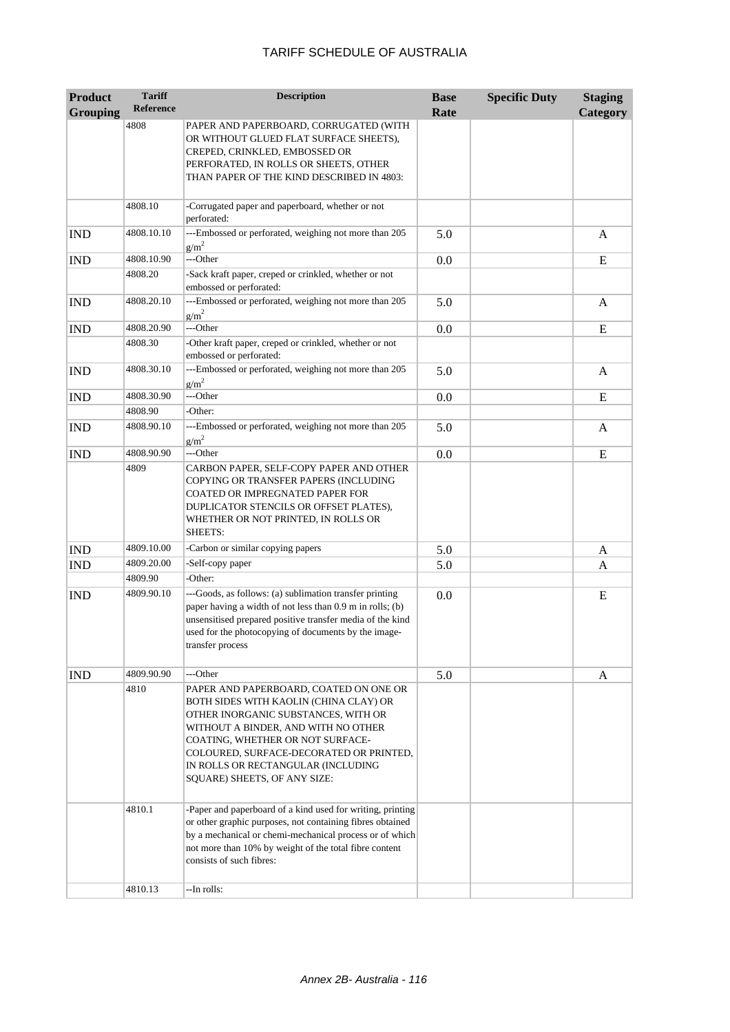| <b>Product</b>  | <b>Tariff</b><br><b>Reference</b> | <b>Description</b>                                                                                                                                                                                                                                                                                                  | <b>Base</b> | <b>Specific Duty</b> | <b>Staging</b>  |
|-----------------|-----------------------------------|---------------------------------------------------------------------------------------------------------------------------------------------------------------------------------------------------------------------------------------------------------------------------------------------------------------------|-------------|----------------------|-----------------|
| <b>Grouping</b> |                                   |                                                                                                                                                                                                                                                                                                                     | Rate        |                      | <b>Category</b> |
|                 | 4808                              | PAPER AND PAPERBOARD, CORRUGATED (WITH<br>OR WITHOUT GLUED FLAT SURFACE SHEETS),<br>CREPED, CRINKLED, EMBOSSED OR                                                                                                                                                                                                   |             |                      |                 |
|                 |                                   | PERFORATED, IN ROLLS OR SHEETS, OTHER<br>THAN PAPER OF THE KIND DESCRIBED IN 4803:                                                                                                                                                                                                                                  |             |                      |                 |
|                 | 4808.10                           | -Corrugated paper and paperboard, whether or not<br>perforated:                                                                                                                                                                                                                                                     |             |                      |                 |
| <b>IND</b>      | 4808.10.10                        | ---Embossed or perforated, weighing not more than 205<br>$g/m^2$                                                                                                                                                                                                                                                    | 5.0         |                      | $\mathbf{A}$    |
| <b>IND</b>      | 4808.10.90                        | ---Other                                                                                                                                                                                                                                                                                                            | 0.0         |                      | E               |
|                 | 4808.20                           | -Sack kraft paper, creped or crinkled, whether or not<br>embossed or perforated:                                                                                                                                                                                                                                    |             |                      |                 |
| <b>IND</b>      | 4808.20.10                        | ---Embossed or perforated, weighing not more than 205<br>$g/m^2$                                                                                                                                                                                                                                                    | 5.0         |                      | A               |
| <b>IND</b>      | 4808.20.90                        | ---Other                                                                                                                                                                                                                                                                                                            | 0.0         |                      | E               |
|                 | 4808.30                           | -Other kraft paper, creped or crinkled, whether or not<br>embossed or perforated:                                                                                                                                                                                                                                   |             |                      |                 |
| <b>IND</b>      | 4808.30.10                        | ---Embossed or perforated, weighing not more than 205<br>$g/m^2$                                                                                                                                                                                                                                                    | 5.0         |                      | A               |
| <b>IND</b>      | 4808.30.90                        | ---Other                                                                                                                                                                                                                                                                                                            | 0.0         |                      | E               |
|                 | 4808.90                           | -Other:                                                                                                                                                                                                                                                                                                             |             |                      |                 |
| <b>IND</b>      | 4808.90.10                        | ---Embossed or perforated, weighing not more than 205<br>$g/m^2$                                                                                                                                                                                                                                                    | 5.0         |                      | A               |
| <b>IND</b>      | 4808.90.90                        | ---Other                                                                                                                                                                                                                                                                                                            | 0.0         |                      | E               |
|                 | 4809                              | CARBON PAPER, SELF-COPY PAPER AND OTHER<br>COPYING OR TRANSFER PAPERS (INCLUDING<br>COATED OR IMPREGNATED PAPER FOR<br>DUPLICATOR STENCILS OR OFFSET PLATES),<br>WHETHER OR NOT PRINTED, IN ROLLS OR<br><b>SHEETS:</b>                                                                                              |             |                      |                 |
| <b>IND</b>      | 4809.10.00                        | -Carbon or similar copying papers                                                                                                                                                                                                                                                                                   | 5.0         |                      | A               |
| <b>IND</b>      | 4809.20.00                        | -Self-copy paper                                                                                                                                                                                                                                                                                                    | 5.0         |                      | A               |
|                 | 4809.90                           | -Other:                                                                                                                                                                                                                                                                                                             |             |                      |                 |
| <b>IND</b>      | 4809.90.10                        | ---Goods, as follows: (a) sublimation transfer printing<br>paper having a width of not less than 0.9 m in rolls; (b)<br>unsensitised prepared positive transfer media of the kind<br>used for the photocopying of documents by the image-<br>transfer process                                                       | 0.0         |                      | E               |
| <b>IND</b>      | 4809.90.90                        | ---Other                                                                                                                                                                                                                                                                                                            | 5.0         |                      | A               |
|                 | 4810                              | PAPER AND PAPERBOARD, COATED ON ONE OR<br>BOTH SIDES WITH KAOLIN (CHINA CLAY) OR<br>OTHER INORGANIC SUBSTANCES, WITH OR<br>WITHOUT A BINDER, AND WITH NO OTHER<br>COATING, WHETHER OR NOT SURFACE-<br>COLOURED, SURFACE-DECORATED OR PRINTED,<br>IN ROLLS OR RECTANGULAR (INCLUDING<br>SQUARE) SHEETS, OF ANY SIZE: |             |                      |                 |
|                 | 4810.1                            | -Paper and paperboard of a kind used for writing, printing<br>or other graphic purposes, not containing fibres obtained<br>by a mechanical or chemi-mechanical process or of which<br>not more than 10% by weight of the total fibre content<br>consists of such fibres:                                            |             |                      |                 |
|                 | 4810.13                           | --In rolls:                                                                                                                                                                                                                                                                                                         |             |                      |                 |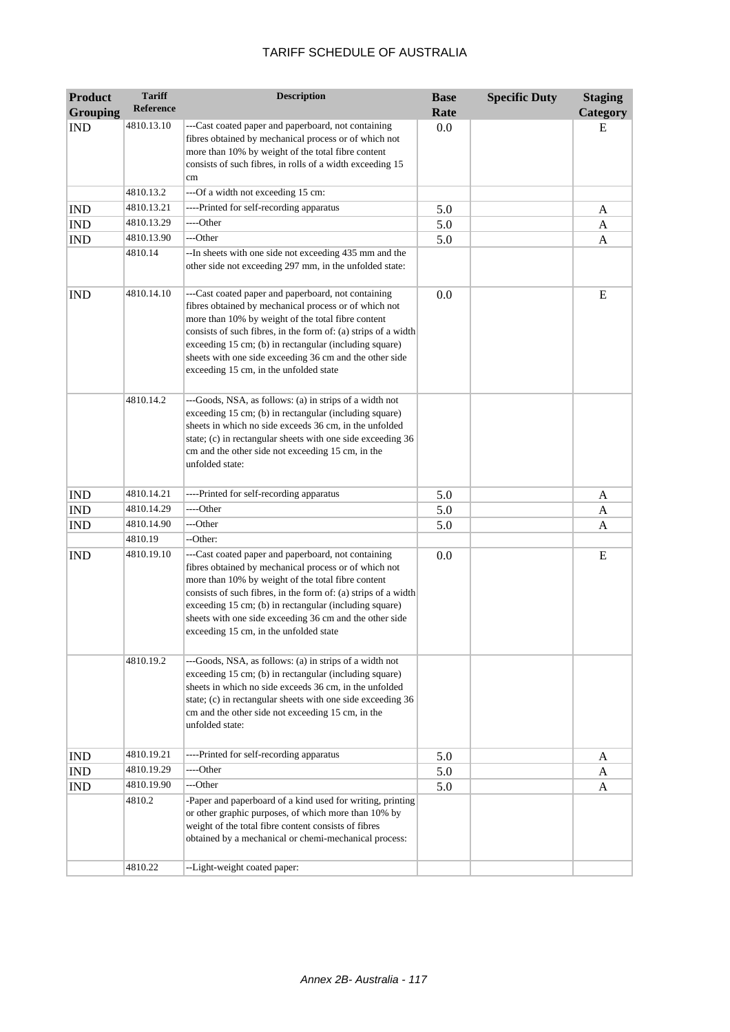| <b>Product</b>  | <b>Tariff</b><br>Reference | <b>Description</b>                                                                                                                                                                                                                                                                                                                                                                                  | <b>Base</b> | <b>Specific Duty</b> | <b>Staging</b> |
|-----------------|----------------------------|-----------------------------------------------------------------------------------------------------------------------------------------------------------------------------------------------------------------------------------------------------------------------------------------------------------------------------------------------------------------------------------------------------|-------------|----------------------|----------------|
| <b>Grouping</b> |                            |                                                                                                                                                                                                                                                                                                                                                                                                     | Rate        |                      | Category       |
| <b>IND</b>      | 4810.13.10                 | ---Cast coated paper and paperboard, not containing<br>fibres obtained by mechanical process or of which not<br>more than 10% by weight of the total fibre content<br>consists of such fibres, in rolls of a width exceeding 15                                                                                                                                                                     | 0.0         |                      | E              |
|                 |                            | cm                                                                                                                                                                                                                                                                                                                                                                                                  |             |                      |                |
|                 | 4810.13.2                  | --- Of a width not exceeding 15 cm:                                                                                                                                                                                                                                                                                                                                                                 |             |                      |                |
| <b>IND</b>      | 4810.13.21                 | ----Printed for self-recording apparatus                                                                                                                                                                                                                                                                                                                                                            | 5.0         |                      | A              |
| <b>IND</b>      | 4810.13.29                 | ----Other                                                                                                                                                                                                                                                                                                                                                                                           | 5.0         |                      | A              |
| <b>IND</b>      | 4810.13.90                 | ---Other                                                                                                                                                                                                                                                                                                                                                                                            | 5.0         |                      | A              |
|                 | 4810.14                    | --In sheets with one side not exceeding 435 mm and the<br>other side not exceeding 297 mm, in the unfolded state:                                                                                                                                                                                                                                                                                   |             |                      |                |
| <b>IND</b>      | 4810.14.10                 | ---Cast coated paper and paperboard, not containing<br>fibres obtained by mechanical process or of which not<br>more than 10% by weight of the total fibre content<br>consists of such fibres, in the form of: (a) strips of a width<br>exceeding 15 cm; (b) in rectangular (including square)<br>sheets with one side exceeding 36 cm and the other side<br>exceeding 15 cm, in the unfolded state | 0.0         |                      | E              |
|                 | 4810.14.2                  | ---Goods, NSA, as follows: (a) in strips of a width not<br>exceeding 15 cm; (b) in rectangular (including square)<br>sheets in which no side exceeds 36 cm, in the unfolded<br>state; (c) in rectangular sheets with one side exceeding 36<br>cm and the other side not exceeding 15 cm, in the<br>unfolded state:                                                                                  |             |                      |                |
| <b>IND</b>      | 4810.14.21                 | ----Printed for self-recording apparatus                                                                                                                                                                                                                                                                                                                                                            | 5.0         |                      | A              |
| <b>IND</b>      | 4810.14.29                 | ----Other                                                                                                                                                                                                                                                                                                                                                                                           | 5.0         |                      | A              |
| <b>IND</b>      | 4810.14.90                 | ---Other                                                                                                                                                                                                                                                                                                                                                                                            | 5.0         |                      | A              |
|                 | 4810.19                    | --Other:                                                                                                                                                                                                                                                                                                                                                                                            |             |                      |                |
| <b>IND</b>      | 4810.19.10                 | ---Cast coated paper and paperboard, not containing<br>fibres obtained by mechanical process or of which not<br>more than 10% by weight of the total fibre content<br>consists of such fibres, in the form of: (a) strips of a width<br>exceeding 15 cm; (b) in rectangular (including square)<br>sheets with one side exceeding 36 cm and the other side<br>exceeding 15 cm, in the unfolded state | 0.0         |                      | E              |
|                 | 4810.19.2                  | ---Goods, NSA, as follows: (a) in strips of a width not<br>exceeding 15 cm; (b) in rectangular (including square)<br>sheets in which no side exceeds 36 cm, in the unfolded<br>state; (c) in rectangular sheets with one side exceeding 36<br>cm and the other side not exceeding 15 cm, in the<br>unfolded state:                                                                                  |             |                      |                |
| <b>IND</b>      | 4810.19.21                 | ----Printed for self-recording apparatus                                                                                                                                                                                                                                                                                                                                                            | 5.0         |                      | A              |
| <b>IND</b>      | 4810.19.29                 | ----Other                                                                                                                                                                                                                                                                                                                                                                                           | 5.0         |                      | A              |
| <b>IND</b>      | 4810.19.90                 | ---Other                                                                                                                                                                                                                                                                                                                                                                                            | 5.0         |                      | A              |
|                 | 4810.2                     | -Paper and paperboard of a kind used for writing, printing<br>or other graphic purposes, of which more than 10% by<br>weight of the total fibre content consists of fibres<br>obtained by a mechanical or chemi-mechanical process:                                                                                                                                                                 |             |                      |                |
|                 | 4810.22                    | --Light-weight coated paper:                                                                                                                                                                                                                                                                                                                                                                        |             |                      |                |
|                 |                            |                                                                                                                                                                                                                                                                                                                                                                                                     |             |                      |                |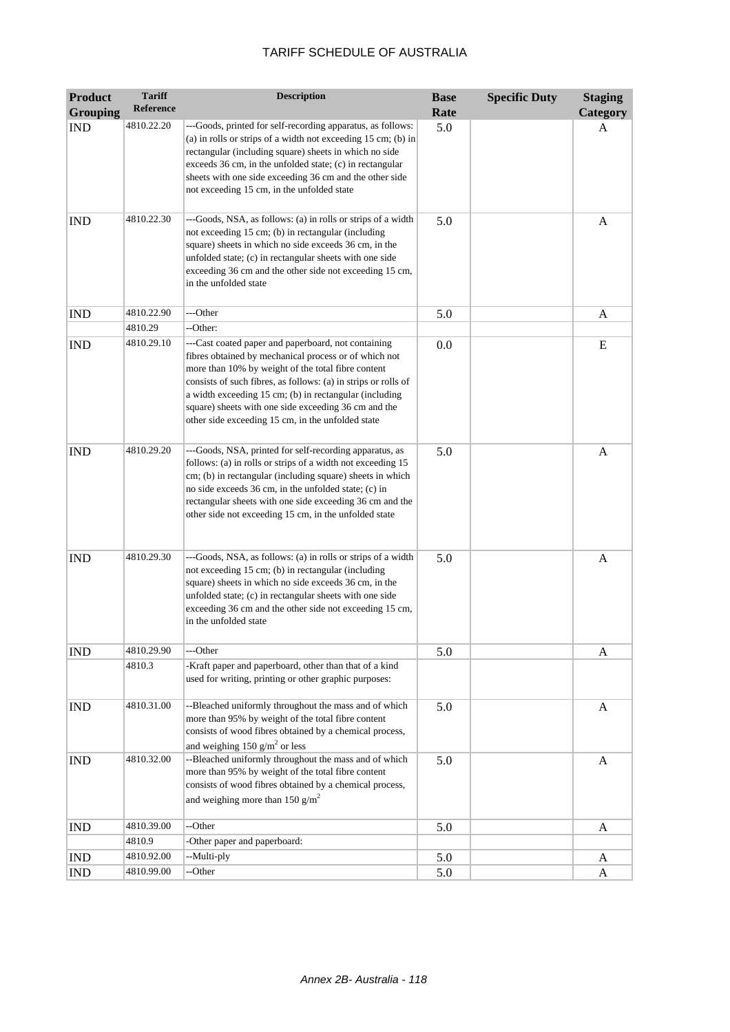| <b>Product</b>  | <b>Tariff</b> | <b>Description</b>                                                                                                                                                                                                                                                                                                                                                                                          | <b>Base</b> | <b>Specific Duty</b> | <b>Staging</b> |
|-----------------|---------------|-------------------------------------------------------------------------------------------------------------------------------------------------------------------------------------------------------------------------------------------------------------------------------------------------------------------------------------------------------------------------------------------------------------|-------------|----------------------|----------------|
| <b>Grouping</b> | Reference     |                                                                                                                                                                                                                                                                                                                                                                                                             | Rate        |                      | Category       |
| <b>IND</b>      | 4810.22.20    | ---Goods, printed for self-recording apparatus, as follows:<br>(a) in rolls or strips of a width not exceeding $15 \text{ cm}$ ; (b) in<br>rectangular (including square) sheets in which no side<br>exceeds 36 cm, in the unfolded state; (c) in rectangular<br>sheets with one side exceeding 36 cm and the other side<br>not exceeding 15 cm, in the unfolded state                                      | 5.0         |                      | A              |
| <b>IND</b>      | 4810.22.30    | ---Goods, NSA, as follows: (a) in rolls or strips of a width<br>not exceeding 15 cm; (b) in rectangular (including<br>square) sheets in which no side exceeds 36 cm, in the<br>unfolded state; (c) in rectangular sheets with one side<br>exceeding 36 cm and the other side not exceeding 15 cm,<br>in the unfolded state                                                                                  | 5.0         |                      | A              |
| <b>IND</b>      | 4810.22.90    | ---Other                                                                                                                                                                                                                                                                                                                                                                                                    | 5.0         |                      | A              |
|                 | 4810.29       | --Other:                                                                                                                                                                                                                                                                                                                                                                                                    |             |                      |                |
| <b>IND</b>      | 4810.29.10    | ---Cast coated paper and paperboard, not containing<br>fibres obtained by mechanical process or of which not<br>more than 10% by weight of the total fibre content<br>consists of such fibres, as follows: (a) in strips or rolls of<br>a width exceeding 15 cm; (b) in rectangular (including<br>square) sheets with one side exceeding 36 cm and the<br>other side exceeding 15 cm, in the unfolded state | 0.0         |                      | E              |
| <b>IND</b>      | 4810.29.20    | ---Goods, NSA, printed for self-recording apparatus, as<br>follows: (a) in rolls or strips of a width not exceeding 15<br>cm; (b) in rectangular (including square) sheets in which<br>no side exceeds 36 cm, in the unfolded state; (c) in<br>rectangular sheets with one side exceeding 36 cm and the<br>other side not exceeding 15 cm, in the unfolded state                                            | 5.0         |                      | A              |
| <b>IND</b>      | 4810.29.30    | ---Goods, NSA, as follows: (a) in rolls or strips of a width<br>not exceeding 15 cm; (b) in rectangular (including<br>square) sheets in which no side exceeds 36 cm, in the<br>unfolded state; (c) in rectangular sheets with one side<br>exceeding 36 cm and the other side not exceeding 15 cm,<br>in the unfolded state                                                                                  | 5.0         |                      | A              |
| <b>IND</b>      | 4810.29.90    | ---Other                                                                                                                                                                                                                                                                                                                                                                                                    | 5.0         |                      | A              |
|                 | 4810.3        | -Kraft paper and paperboard, other than that of a kind<br>used for writing, printing or other graphic purposes:                                                                                                                                                                                                                                                                                             |             |                      |                |
| <b>IND</b>      | 4810.31.00    | --Bleached uniformly throughout the mass and of which<br>more than 95% by weight of the total fibre content<br>consists of wood fibres obtained by a chemical process,<br>and weighing 150 $g/m^2$ or less                                                                                                                                                                                                  | 5.0         |                      | A              |
| <b>IND</b>      | 4810.32.00    | --Bleached uniformly throughout the mass and of which<br>more than 95% by weight of the total fibre content<br>consists of wood fibres obtained by a chemical process,<br>and weighing more than 150 $g/m2$                                                                                                                                                                                                 | 5.0         |                      | A              |
| <b>IND</b>      | 4810.39.00    | --Other                                                                                                                                                                                                                                                                                                                                                                                                     | 5.0         |                      | A              |
|                 | 4810.9        | -Other paper and paperboard:                                                                                                                                                                                                                                                                                                                                                                                |             |                      |                |
| <b>IND</b>      | 4810.92.00    | --Multi-ply                                                                                                                                                                                                                                                                                                                                                                                                 | 5.0         |                      | A              |
| <b>IND</b>      | 4810.99.00    | --Other                                                                                                                                                                                                                                                                                                                                                                                                     | 5.0         |                      | A              |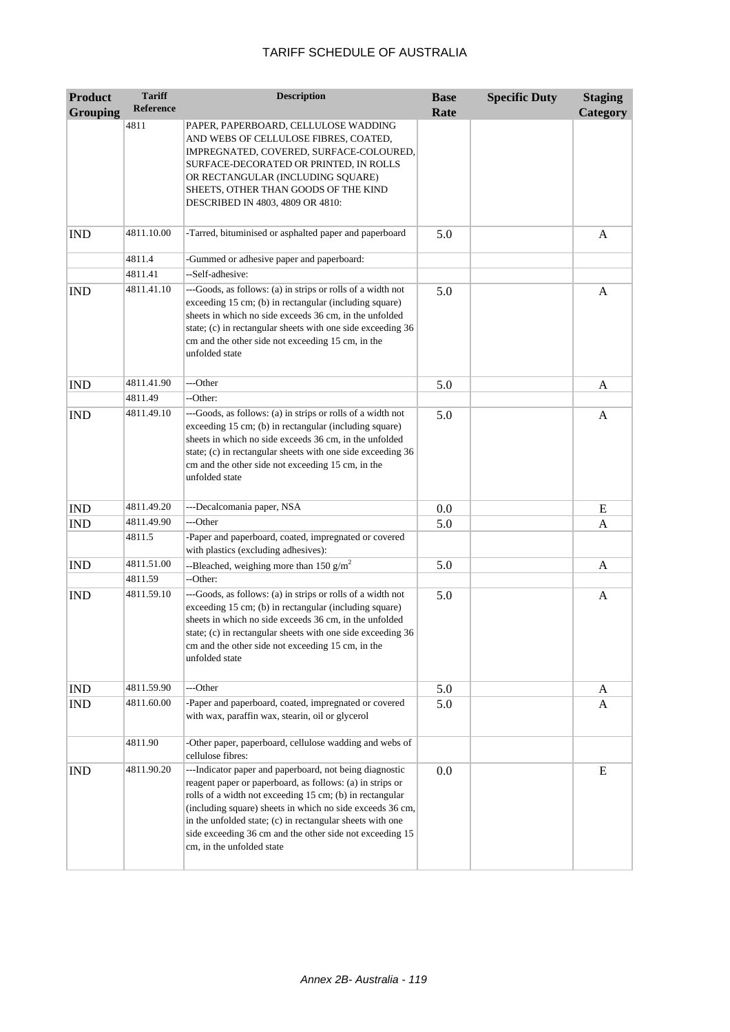| <b>Product</b>  | <b>Tariff</b>    | <b>Description</b>                                                                                                                                                                                                                                                                                                                                                                                  | <b>Base</b> | <b>Specific Duty</b> | <b>Staging</b> |
|-----------------|------------------|-----------------------------------------------------------------------------------------------------------------------------------------------------------------------------------------------------------------------------------------------------------------------------------------------------------------------------------------------------------------------------------------------------|-------------|----------------------|----------------|
| <b>Grouping</b> | <b>Reference</b> |                                                                                                                                                                                                                                                                                                                                                                                                     | Rate        |                      | Category       |
|                 | 4811             | PAPER, PAPERBOARD, CELLULOSE WADDING<br>AND WEBS OF CELLULOSE FIBRES, COATED,<br>IMPREGNATED, COVERED, SURFACE-COLOURED,<br>SURFACE-DECORATED OR PRINTED, IN ROLLS<br>OR RECTANGULAR (INCLUDING SQUARE)<br>SHEETS, OTHER THAN GOODS OF THE KIND<br>DESCRIBED IN 4803, 4809 OR 4810:                                                                                                                 |             |                      |                |
| <b>IND</b>      | 4811.10.00       | -Tarred, bituminised or asphalted paper and paperboard                                                                                                                                                                                                                                                                                                                                              | 5.0         |                      | A              |
|                 | 4811.4           | -Gummed or adhesive paper and paperboard:                                                                                                                                                                                                                                                                                                                                                           |             |                      |                |
|                 | 4811.41          | --Self-adhesive:                                                                                                                                                                                                                                                                                                                                                                                    |             |                      |                |
| <b>IND</b>      | 4811.41.10       | ---Goods, as follows: (a) in strips or rolls of a width not<br>exceeding 15 cm; (b) in rectangular (including square)<br>sheets in which no side exceeds 36 cm, in the unfolded<br>state; (c) in rectangular sheets with one side exceeding 36<br>cm and the other side not exceeding 15 cm, in the<br>unfolded state                                                                               | 5.0         |                      | A              |
| <b>IND</b>      | 4811.41.90       | ---Other                                                                                                                                                                                                                                                                                                                                                                                            | 5.0         |                      | A              |
|                 | 4811.49          | --Other:                                                                                                                                                                                                                                                                                                                                                                                            |             |                      |                |
| <b>IND</b>      | 4811.49.10       | ---Goods, as follows: (a) in strips or rolls of a width not<br>exceeding 15 cm; (b) in rectangular (including square)<br>sheets in which no side exceeds 36 cm, in the unfolded<br>state; (c) in rectangular sheets with one side exceeding 36<br>cm and the other side not exceeding 15 cm, in the<br>unfolded state                                                                               | 5.0         |                      | A              |
| <b>IND</b>      | 4811.49.20       | ---Decalcomania paper, NSA                                                                                                                                                                                                                                                                                                                                                                          | 0.0         |                      | E              |
| <b>IND</b>      | 4811.49.90       | ---Other                                                                                                                                                                                                                                                                                                                                                                                            | 5.0         |                      | A              |
|                 | 4811.5           | -Paper and paperboard, coated, impregnated or covered<br>with plastics (excluding adhesives):                                                                                                                                                                                                                                                                                                       |             |                      |                |
| <b>IND</b>      | 4811.51.00       | --Bleached, weighing more than 150 $g/m^2$                                                                                                                                                                                                                                                                                                                                                          | 5.0         |                      | A              |
|                 | 4811.59          | --Other:                                                                                                                                                                                                                                                                                                                                                                                            |             |                      |                |
| <b>IND</b>      | 4811.59.10       | ---Goods, as follows: (a) in strips or rolls of a width not<br>exceeding 15 cm; (b) in rectangular (including square)<br>sheets in which no side exceeds 36 cm, in the unfolded<br>state; (c) in rectangular sheets with one side exceeding 36<br>cm and the other side not exceeding 15 cm, in the<br>unfolded state                                                                               | 5.0         |                      | A              |
| <b>IND</b>      | 4811.59.90       | ---Other                                                                                                                                                                                                                                                                                                                                                                                            | 5.0         |                      | A              |
| IND             | 4811.60.00       | -Paper and paperboard, coated, impregnated or covered<br>with wax, paraffin wax, stearin, oil or glycerol                                                                                                                                                                                                                                                                                           | 5.0         |                      | A              |
|                 | 4811.90          | -Other paper, paperboard, cellulose wadding and webs of<br>cellulose fibres:                                                                                                                                                                                                                                                                                                                        |             |                      |                |
| IND             | 4811.90.20       | ---Indicator paper and paperboard, not being diagnostic<br>reagent paper or paperboard, as follows: (a) in strips or<br>rolls of a width not exceeding 15 cm; (b) in rectangular<br>(including square) sheets in which no side exceeds 36 cm,<br>in the unfolded state; (c) in rectangular sheets with one<br>side exceeding 36 cm and the other side not exceeding 15<br>cm, in the unfolded state | 0.0         |                      | E              |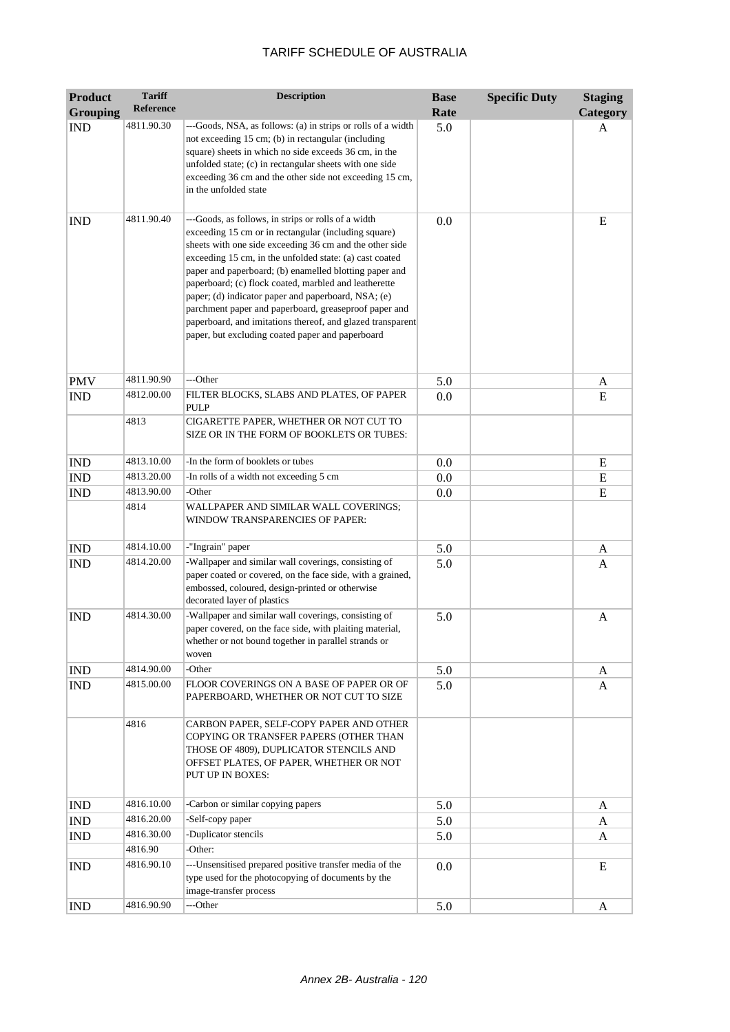| <b>Product</b>  | <b>Tariff</b>    | <b>Description</b>                                                                                                                                                                                                                                                                                                                                                                                                                                                                                                                                                                     | <b>Base</b> | <b>Specific Duty</b> | <b>Staging</b> |
|-----------------|------------------|----------------------------------------------------------------------------------------------------------------------------------------------------------------------------------------------------------------------------------------------------------------------------------------------------------------------------------------------------------------------------------------------------------------------------------------------------------------------------------------------------------------------------------------------------------------------------------------|-------------|----------------------|----------------|
| <b>Grouping</b> | <b>Reference</b> |                                                                                                                                                                                                                                                                                                                                                                                                                                                                                                                                                                                        | Rate        |                      | Category       |
| <b>IND</b>      | 4811.90.30       | ---Goods, NSA, as follows: (a) in strips or rolls of a width<br>not exceeding 15 cm; (b) in rectangular (including<br>square) sheets in which no side exceeds 36 cm, in the<br>unfolded state; (c) in rectangular sheets with one side<br>exceeding 36 cm and the other side not exceeding 15 cm,<br>in the unfolded state                                                                                                                                                                                                                                                             | 5.0         |                      | A              |
| <b>IND</b>      | 4811.90.40       | ---Goods, as follows, in strips or rolls of a width<br>exceeding 15 cm or in rectangular (including square)<br>sheets with one side exceeding 36 cm and the other side<br>exceeding 15 cm, in the unfolded state: (a) cast coated<br>paper and paperboard; (b) enamelled blotting paper and<br>paperboard; (c) flock coated, marbled and leatherette<br>paper; (d) indicator paper and paperboard, NSA; (e)<br>parchment paper and paperboard, greaseproof paper and<br>paperboard, and imitations thereof, and glazed transparent<br>paper, but excluding coated paper and paperboard | 0.0         |                      | E              |
| <b>PMV</b>      | 4811.90.90       | ---Other                                                                                                                                                                                                                                                                                                                                                                                                                                                                                                                                                                               | 5.0         |                      | A              |
| <b>IND</b>      | 4812.00.00       | FILTER BLOCKS, SLABS AND PLATES, OF PAPER<br>PULP                                                                                                                                                                                                                                                                                                                                                                                                                                                                                                                                      | 0.0         |                      | ${\bf E}$      |
|                 | 4813             | CIGARETTE PAPER, WHETHER OR NOT CUT TO<br>SIZE OR IN THE FORM OF BOOKLETS OR TUBES:                                                                                                                                                                                                                                                                                                                                                                                                                                                                                                    |             |                      |                |
| <b>IND</b>      | 4813.10.00       | -In the form of booklets or tubes                                                                                                                                                                                                                                                                                                                                                                                                                                                                                                                                                      | 0.0         |                      | ${\bf E}$      |
| IND             | 4813.20.00       | -In rolls of a width not exceeding 5 cm                                                                                                                                                                                                                                                                                                                                                                                                                                                                                                                                                | 0.0         |                      | ${\bf E}$      |
| <b>IND</b>      | 4813.90.00       | -Other                                                                                                                                                                                                                                                                                                                                                                                                                                                                                                                                                                                 | 0.0         |                      | E              |
|                 | 4814             | WALLPAPER AND SIMILAR WALL COVERINGS;<br>WINDOW TRANSPARENCIES OF PAPER:                                                                                                                                                                                                                                                                                                                                                                                                                                                                                                               |             |                      |                |
| <b>IND</b>      | 4814.10.00       | -"Ingrain" paper                                                                                                                                                                                                                                                                                                                                                                                                                                                                                                                                                                       | 5.0         |                      | A              |
| <b>IND</b>      | 4814.20.00       | -Wallpaper and similar wall coverings, consisting of<br>paper coated or covered, on the face side, with a grained,<br>embossed, coloured, design-printed or otherwise<br>decorated layer of plastics                                                                                                                                                                                                                                                                                                                                                                                   | 5.0         |                      | A              |
| <b>IND</b>      | 4814.30.00       | -Wallpaper and similar wall coverings, consisting of<br>paper covered, on the face side, with plaiting material,<br>whether or not bound together in parallel strands or<br>woven                                                                                                                                                                                                                                                                                                                                                                                                      | 5.0         |                      | A              |
| <b>IND</b>      | 4814.90.00       | -Other                                                                                                                                                                                                                                                                                                                                                                                                                                                                                                                                                                                 | 5.0         |                      | A              |
| <b>IND</b>      | 4815.00.00       | FLOOR COVERINGS ON A BASE OF PAPER OR OF<br>PAPERBOARD, WHETHER OR NOT CUT TO SIZE                                                                                                                                                                                                                                                                                                                                                                                                                                                                                                     | 5.0         |                      | A              |
|                 | 4816             | CARBON PAPER, SELF-COPY PAPER AND OTHER<br>COPYING OR TRANSFER PAPERS (OTHER THAN<br>THOSE OF 4809), DUPLICATOR STENCILS AND<br>OFFSET PLATES, OF PAPER, WHETHER OR NOT<br>PUT UP IN BOXES:                                                                                                                                                                                                                                                                                                                                                                                            |             |                      |                |
| <b>IND</b>      | 4816.10.00       | -Carbon or similar copying papers                                                                                                                                                                                                                                                                                                                                                                                                                                                                                                                                                      | 5.0         |                      | A              |
| IND             | 4816.20.00       | -Self-copy paper                                                                                                                                                                                                                                                                                                                                                                                                                                                                                                                                                                       | 5.0         |                      | A              |
| <b>IND</b>      | 4816.30.00       | -Duplicator stencils                                                                                                                                                                                                                                                                                                                                                                                                                                                                                                                                                                   | 5.0         |                      | A              |
|                 | 4816.90          | -Other:                                                                                                                                                                                                                                                                                                                                                                                                                                                                                                                                                                                |             |                      |                |
| <b>IND</b>      | 4816.90.10       | ---Unsensitised prepared positive transfer media of the<br>type used for the photocopying of documents by the<br>image-transfer process                                                                                                                                                                                                                                                                                                                                                                                                                                                | 0.0         |                      | ${\bf E}$      |
| <b>IND</b>      | 4816.90.90       | ---Other                                                                                                                                                                                                                                                                                                                                                                                                                                                                                                                                                                               | 5.0         |                      | A              |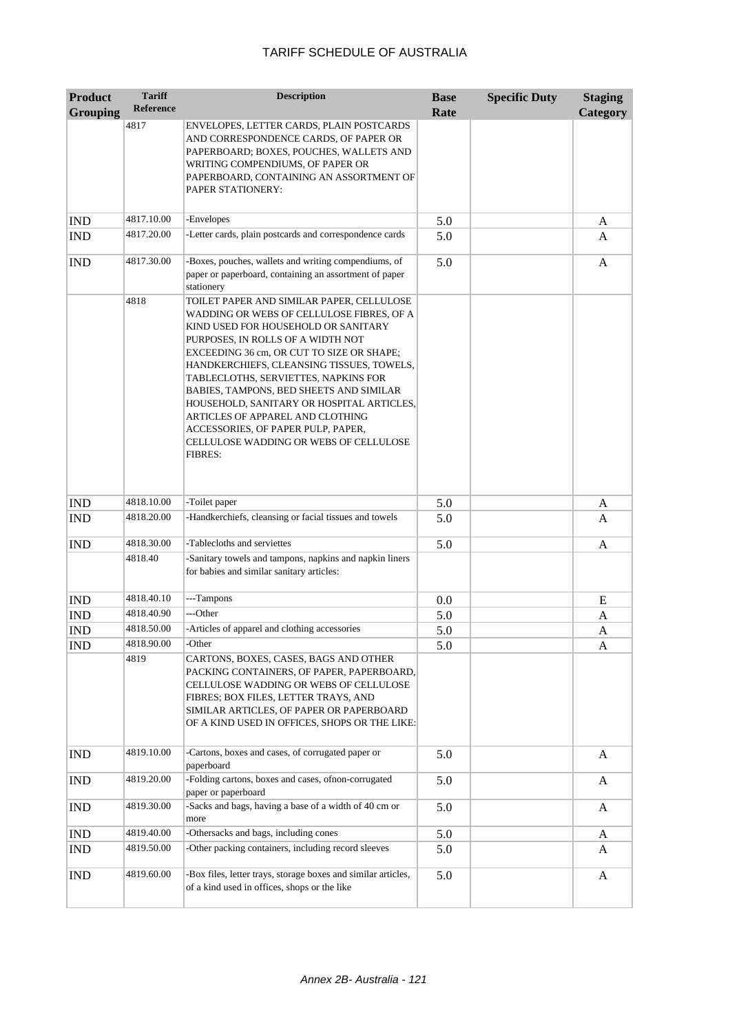| <b>Product</b>              | <b>Tariff</b>    | <b>Description</b>                                                                                                                                                                                                                                                                                                                                                                                                                                                                                                                 | <b>Base</b> | <b>Specific Duty</b> | <b>Staging</b> |
|-----------------------------|------------------|------------------------------------------------------------------------------------------------------------------------------------------------------------------------------------------------------------------------------------------------------------------------------------------------------------------------------------------------------------------------------------------------------------------------------------------------------------------------------------------------------------------------------------|-------------|----------------------|----------------|
| <b>Grouping</b>             | <b>Reference</b> |                                                                                                                                                                                                                                                                                                                                                                                                                                                                                                                                    | Rate        |                      | Category       |
|                             | 4817             | ENVELOPES, LETTER CARDS, PLAIN POSTCARDS<br>AND CORRESPONDENCE CARDS, OF PAPER OR<br>PAPERBOARD; BOXES, POUCHES, WALLETS AND<br>WRITING COMPENDIUMS, OF PAPER OR<br>PAPERBOARD, CONTAINING AN ASSORTMENT OF<br>PAPER STATIONERY:                                                                                                                                                                                                                                                                                                   |             |                      |                |
| <b>IND</b>                  | 4817.10.00       | -Envelopes                                                                                                                                                                                                                                                                                                                                                                                                                                                                                                                         | 5.0         |                      | A              |
| <b>IND</b>                  | 4817.20.00       | -Letter cards, plain postcards and correspondence cards                                                                                                                                                                                                                                                                                                                                                                                                                                                                            | 5.0         |                      | A              |
| <b>IND</b>                  | 4817.30.00       | -Boxes, pouches, wallets and writing compendiums, of<br>paper or paperboard, containing an assortment of paper<br>stationery                                                                                                                                                                                                                                                                                                                                                                                                       | 5.0         |                      | A              |
|                             | 4818             | TOILET PAPER AND SIMILAR PAPER, CELLULOSE<br>WADDING OR WEBS OF CELLULOSE FIBRES, OF A<br>KIND USED FOR HOUSEHOLD OR SANITARY<br>PURPOSES, IN ROLLS OF A WIDTH NOT<br>EXCEEDING 36 cm, OR CUT TO SIZE OR SHAPE;<br>HANDKERCHIEFS, CLEANSING TISSUES, TOWELS,<br>TABLECLOTHS, SERVIETTES, NAPKINS FOR<br>BABIES, TAMPONS, BED SHEETS AND SIMILAR<br>HOUSEHOLD, SANITARY OR HOSPITAL ARTICLES,<br>ARTICLES OF APPAREL AND CLOTHING<br>ACCESSORIES, OF PAPER PULP, PAPER,<br>CELLULOSE WADDING OR WEBS OF CELLULOSE<br><b>FIBRES:</b> |             |                      |                |
| <b>IND</b>                  | 4818.10.00       | -Toilet paper                                                                                                                                                                                                                                                                                                                                                                                                                                                                                                                      | 5.0         |                      | A              |
| <b>IND</b>                  | 4818.20.00       | -Handkerchiefs, cleansing or facial tissues and towels                                                                                                                                                                                                                                                                                                                                                                                                                                                                             | 5.0         |                      | A              |
| <b>IND</b>                  | 4818.30.00       | -Tablecloths and serviettes                                                                                                                                                                                                                                                                                                                                                                                                                                                                                                        | 5.0         |                      | A              |
|                             | 4818.40          | -Sanitary towels and tampons, napkins and napkin liners<br>for babies and similar sanitary articles:                                                                                                                                                                                                                                                                                                                                                                                                                               |             |                      |                |
| <b>IND</b>                  | 4818.40.10       | ---Tampons                                                                                                                                                                                                                                                                                                                                                                                                                                                                                                                         | 0.0         |                      | E              |
| $\mathop{\rm IND}\nolimits$ | 4818.40.90       | ---Other                                                                                                                                                                                                                                                                                                                                                                                                                                                                                                                           | 5.0         |                      | A              |
| <b>IND</b>                  | 4818.50.00       | -Articles of apparel and clothing accessories                                                                                                                                                                                                                                                                                                                                                                                                                                                                                      | 5.0         |                      | A              |
| <b>IND</b>                  | 4818.90.00       | -Other                                                                                                                                                                                                                                                                                                                                                                                                                                                                                                                             | 5.0         |                      | A              |
|                             | 4819             | CARTONS, BOXES, CASES, BAGS AND OTHER<br>PACKING CONTAINERS, OF PAPER, PAPERBOARD,<br>CELLULOSE WADDING OR WEBS OF CELLULOSE<br>FIBRES; BOX FILES, LETTER TRAYS, AND<br>SIMILAR ARTICLES, OF PAPER OR PAPERBOARD<br>OF A KIND USED IN OFFICES, SHOPS OR THE LIKE:                                                                                                                                                                                                                                                                  |             |                      |                |
| <b>IND</b>                  | 4819.10.00       | -Cartons, boxes and cases, of corrugated paper or<br>paperboard                                                                                                                                                                                                                                                                                                                                                                                                                                                                    | 5.0         |                      | A              |
| <b>IND</b>                  | 4819.20.00       | -Folding cartons, boxes and cases, ofnon-corrugated<br>paper or paperboard                                                                                                                                                                                                                                                                                                                                                                                                                                                         | 5.0         |                      | A              |
| <b>IND</b>                  | 4819.30.00       | -Sacks and bags, having a base of a width of 40 cm or<br>more                                                                                                                                                                                                                                                                                                                                                                                                                                                                      | 5.0         |                      | A              |
| <b>IND</b>                  | 4819.40.00       | -Othersacks and bags, including cones                                                                                                                                                                                                                                                                                                                                                                                                                                                                                              | 5.0         |                      | A              |
| IND                         | 4819.50.00       | -Other packing containers, including record sleeves                                                                                                                                                                                                                                                                                                                                                                                                                                                                                | 5.0         |                      | A              |
| <b>IND</b>                  | 4819.60.00       | -Box files, letter trays, storage boxes and similar articles,<br>of a kind used in offices, shops or the like                                                                                                                                                                                                                                                                                                                                                                                                                      | 5.0         |                      | A              |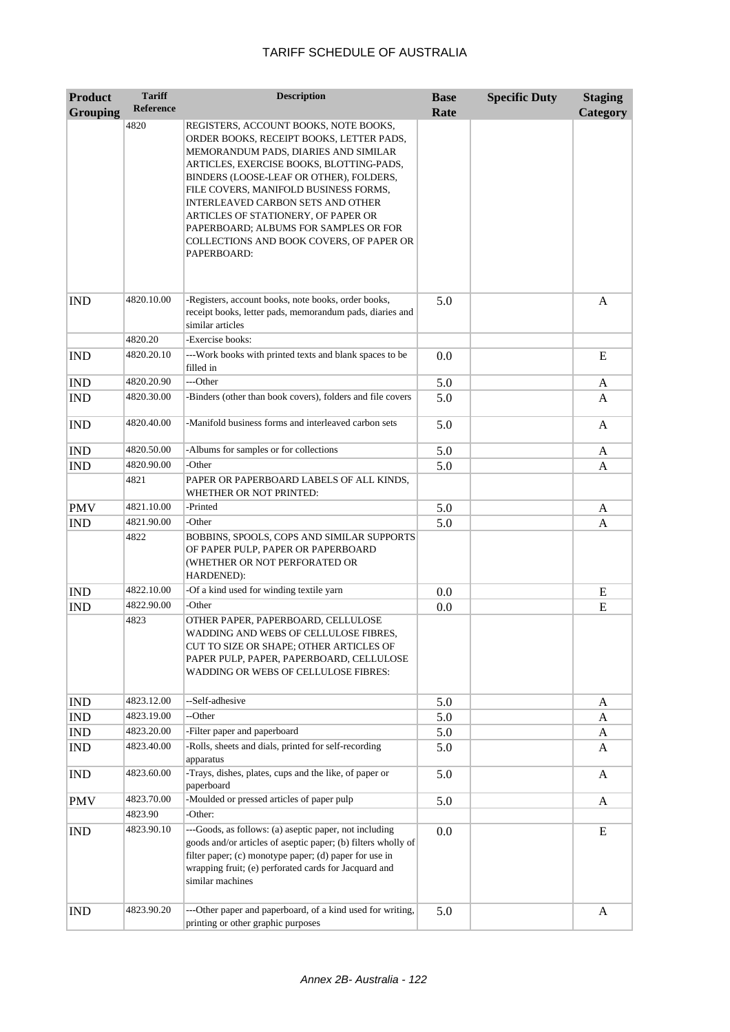| <b>Product</b>  | <b>Tariff</b><br><b>Reference</b> | <b>Description</b>                                                                                                                                                                                                                                                                                                                                                                                                         | <b>Base</b> | <b>Specific Duty</b> | <b>Staging</b> |
|-----------------|-----------------------------------|----------------------------------------------------------------------------------------------------------------------------------------------------------------------------------------------------------------------------------------------------------------------------------------------------------------------------------------------------------------------------------------------------------------------------|-------------|----------------------|----------------|
| <b>Grouping</b> |                                   |                                                                                                                                                                                                                                                                                                                                                                                                                            | Rate        |                      | Category       |
|                 | 4820                              | REGISTERS, ACCOUNT BOOKS, NOTE BOOKS,<br>ORDER BOOKS, RECEIPT BOOKS, LETTER PADS,<br>MEMORANDUM PADS, DIARIES AND SIMILAR<br>ARTICLES, EXERCISE BOOKS, BLOTTING-PADS,<br>BINDERS (LOOSE-LEAF OR OTHER), FOLDERS,<br>FILE COVERS, MANIFOLD BUSINESS FORMS,<br>INTERLEAVED CARBON SETS AND OTHER<br>ARTICLES OF STATIONERY, OF PAPER OR<br>PAPERBOARD; ALBUMS FOR SAMPLES OR FOR<br>COLLECTIONS AND BOOK COVERS, OF PAPER OR |             |                      |                |
| <b>IND</b>      | 4820.10.00                        | PAPERBOARD:<br>-Registers, account books, note books, order books,                                                                                                                                                                                                                                                                                                                                                         | 5.0         |                      | $\mathbf{A}$   |
|                 |                                   | receipt books, letter pads, memorandum pads, diaries and<br>similar articles                                                                                                                                                                                                                                                                                                                                               |             |                      |                |
|                 | 4820.20                           | -Exercise books:                                                                                                                                                                                                                                                                                                                                                                                                           |             |                      |                |
| <b>IND</b>      | 4820.20.10                        | ---Work books with printed texts and blank spaces to be<br>filled in                                                                                                                                                                                                                                                                                                                                                       | 0.0         |                      | E              |
| <b>IND</b>      | 4820.20.90                        | ---Other                                                                                                                                                                                                                                                                                                                                                                                                                   | 5.0         |                      | A              |
| <b>IND</b>      | 4820.30.00                        | -Binders (other than book covers), folders and file covers                                                                                                                                                                                                                                                                                                                                                                 | 5.0         |                      | A              |
| <b>IND</b>      | 4820.40.00                        | -Manifold business forms and interleaved carbon sets                                                                                                                                                                                                                                                                                                                                                                       | 5.0         |                      | A              |
| <b>IND</b>      | 4820.50.00                        | -Albums for samples or for collections                                                                                                                                                                                                                                                                                                                                                                                     | 5.0         |                      | A              |
| <b>IND</b>      | 4820.90.00                        | -Other                                                                                                                                                                                                                                                                                                                                                                                                                     | 5.0         |                      | A              |
|                 | 4821                              | PAPER OR PAPERBOARD LABELS OF ALL KINDS,<br>WHETHER OR NOT PRINTED:                                                                                                                                                                                                                                                                                                                                                        |             |                      |                |
| <b>PMV</b>      | 4821.10.00                        | -Printed                                                                                                                                                                                                                                                                                                                                                                                                                   | 5.0         |                      | A              |
| <b>IND</b>      | 4821.90.00                        | -Other                                                                                                                                                                                                                                                                                                                                                                                                                     | 5.0         |                      | A              |
|                 | 4822                              | BOBBINS, SPOOLS, COPS AND SIMILAR SUPPORTS<br>OF PAPER PULP, PAPER OR PAPERBOARD<br>(WHETHER OR NOT PERFORATED OR<br>HARDENED):                                                                                                                                                                                                                                                                                            |             |                      |                |
| <b>IND</b>      | 4822.10.00                        | -Of a kind used for winding textile yarn                                                                                                                                                                                                                                                                                                                                                                                   | 0.0         |                      | E              |
| <b>IND</b>      | 4822.90.00                        | -Other                                                                                                                                                                                                                                                                                                                                                                                                                     | 0.0         |                      | E              |
|                 | 4823                              | OTHER PAPER, PAPERBOARD, CELLULOSE<br>WADDING AND WEBS OF CELLULOSE FIBRES,<br>CUT TO SIZE OR SHAPE; OTHER ARTICLES OF<br>PAPER PULP, PAPER, PAPERBOARD, CELLULOSE<br>WADDING OR WEBS OF CELLULOSE FIBRES:                                                                                                                                                                                                                 |             |                      |                |
| <b>IND</b>      | 4823.12.00                        | --Self-adhesive                                                                                                                                                                                                                                                                                                                                                                                                            | 5.0         |                      | A              |
| IND             | 4823.19.00                        | --Other                                                                                                                                                                                                                                                                                                                                                                                                                    | 5.0         |                      | A              |
| <b>IND</b>      | 4823.20.00                        | -Filter paper and paperboard                                                                                                                                                                                                                                                                                                                                                                                               | 5.0         |                      | A              |
| <b>IND</b>      | 4823.40.00                        | -Rolls, sheets and dials, printed for self-recording<br>apparatus                                                                                                                                                                                                                                                                                                                                                          | 5.0         |                      | A              |
| <b>IND</b>      | 4823.60.00                        | -Trays, dishes, plates, cups and the like, of paper or<br>paperboard                                                                                                                                                                                                                                                                                                                                                       | 5.0         |                      | A              |
| <b>PMV</b>      | 4823.70.00                        | -Moulded or pressed articles of paper pulp                                                                                                                                                                                                                                                                                                                                                                                 | 5.0         |                      | A              |
|                 | 4823.90                           | -Other:                                                                                                                                                                                                                                                                                                                                                                                                                    |             |                      |                |
| <b>IND</b>      | 4823.90.10                        | ---Goods, as follows: (a) aseptic paper, not including<br>goods and/or articles of aseptic paper; (b) filters wholly of<br>filter paper; (c) monotype paper; (d) paper for use in<br>wrapping fruit; (e) perforated cards for Jacquard and<br>similar machines                                                                                                                                                             | 0.0         |                      | E              |
| <b>IND</b>      | 4823.90.20                        | ---Other paper and paperboard, of a kind used for writing,<br>printing or other graphic purposes                                                                                                                                                                                                                                                                                                                           | 5.0         |                      | A              |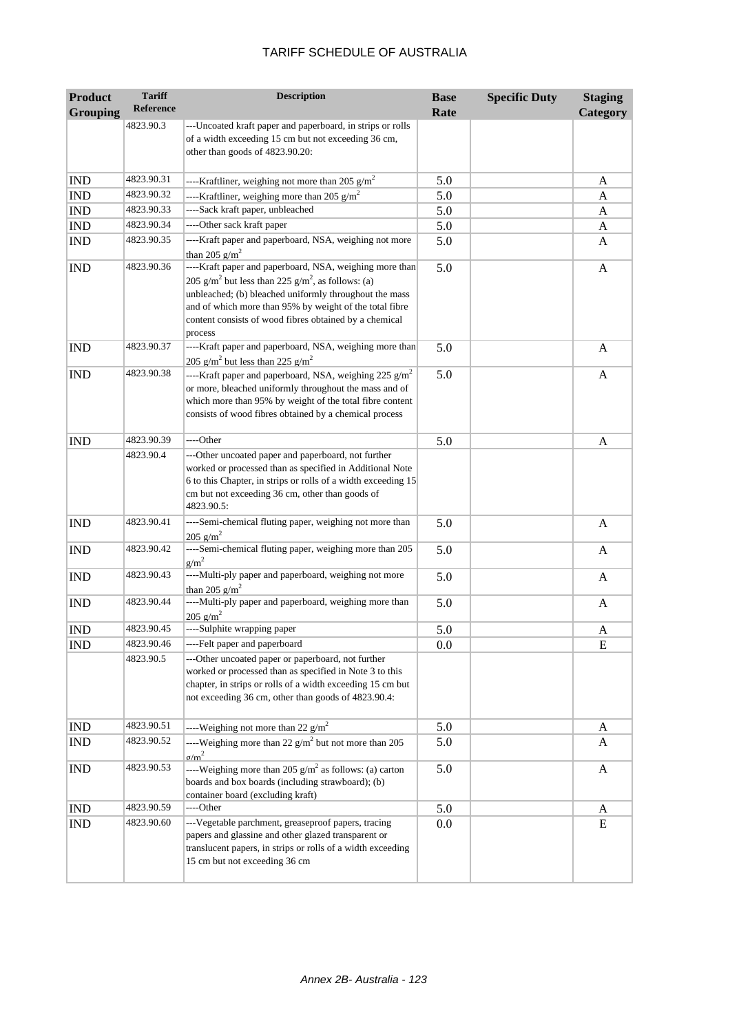| <b>Product</b>  | <b>Tariff</b><br><b>Reference</b> | <b>Description</b>                                                                                                                                                                                                                                                                                                             | <b>Base</b> | <b>Specific Duty</b> | <b>Staging</b> |
|-----------------|-----------------------------------|--------------------------------------------------------------------------------------------------------------------------------------------------------------------------------------------------------------------------------------------------------------------------------------------------------------------------------|-------------|----------------------|----------------|
| <b>Grouping</b> |                                   |                                                                                                                                                                                                                                                                                                                                | Rate        |                      | Category       |
|                 | 4823.90.3                         | ---Uncoated kraft paper and paperboard, in strips or rolls<br>of a width exceeding 15 cm but not exceeding 36 cm,<br>other than goods of 4823.90.20:                                                                                                                                                                           |             |                      |                |
| <b>IND</b>      | 4823.90.31                        | ----Kraftliner, weighing not more than 205 $g/m^2$                                                                                                                                                                                                                                                                             | 5.0         |                      | A              |
| <b>IND</b>      | 4823.90.32                        | ----Kraftliner, weighing more than 205 $g/m^2$                                                                                                                                                                                                                                                                                 | 5.0         |                      | A              |
| <b>IND</b>      | 4823.90.33                        | ----Sack kraft paper, unbleached                                                                                                                                                                                                                                                                                               | 5.0         |                      | A              |
| <b>IND</b>      | 4823.90.34                        | ----Other sack kraft paper                                                                                                                                                                                                                                                                                                     | 5.0         |                      | A              |
| <b>IND</b>      | 4823.90.35                        | ----Kraft paper and paperboard, NSA, weighing not more<br>than 205 $g/m^2$                                                                                                                                                                                                                                                     | 5.0         |                      | A              |
| <b>IND</b>      | 4823.90.36                        | ----Kraft paper and paperboard, NSA, weighing more than<br>205 g/m <sup>2</sup> but less than 225 g/m <sup>2</sup> , as follows: (a)<br>unbleached; (b) bleached uniformly throughout the mass<br>and of which more than 95% by weight of the total fibre<br>content consists of wood fibres obtained by a chemical<br>process | 5.0         |                      | A              |
| <b>IND</b>      | 4823.90.37                        | ----Kraft paper and paperboard, NSA, weighing more than<br>205 g/m <sup>2</sup> but less than 225 g/m <sup>2</sup>                                                                                                                                                                                                             | 5.0         |                      | A              |
| <b>IND</b>      | 4823.90.38                        | ----Kraft paper and paperboard, NSA, weighing 225 $g/m^2$<br>or more, bleached uniformly throughout the mass and of<br>which more than 95% by weight of the total fibre content<br>consists of wood fibres obtained by a chemical process                                                                                      | 5.0         |                      | A              |
| <b>IND</b>      | 4823.90.39                        | ----Other                                                                                                                                                                                                                                                                                                                      | 5.0         |                      | A              |
|                 | 4823.90.4                         | ---Other uncoated paper and paperboard, not further<br>worked or processed than as specified in Additional Note<br>6 to this Chapter, in strips or rolls of a width exceeding 15<br>cm but not exceeding 36 cm, other than goods of<br>4823.90.5:                                                                              |             |                      |                |
| <b>IND</b>      | 4823.90.41                        | ----Semi-chemical fluting paper, weighing not more than<br>205 $g/m^2$                                                                                                                                                                                                                                                         | 5.0         |                      | A              |
| <b>IND</b>      | 4823.90.42                        | ----Semi-chemical fluting paper, weighing more than 205<br>$g/m^2$                                                                                                                                                                                                                                                             | 5.0         |                      | A              |
| <b>IND</b>      | 4823.90.43                        | ----Multi-ply paper and paperboard, weighing not more<br>than 205 $g/m^2$                                                                                                                                                                                                                                                      | 5.0         |                      | A              |
| <b>IND</b>      | 4823.90.44                        | ----Multi-ply paper and paperboard, weighing more than<br>$205$ g/m <sup>2</sup>                                                                                                                                                                                                                                               | 5.0         |                      | A              |
| <b>IND</b>      | 4823.90.45                        | ----Sulphite wrapping paper                                                                                                                                                                                                                                                                                                    | 5.0         |                      | A              |
| <b>IND</b>      | 4823.90.46                        | ----Felt paper and paperboard                                                                                                                                                                                                                                                                                                  | 0.0         |                      | ${\bf E}$      |
|                 | 4823.90.5                         | ---Other uncoated paper or paperboard, not further<br>worked or processed than as specified in Note 3 to this<br>chapter, in strips or rolls of a width exceeding 15 cm but<br>not exceeding 36 cm, other than goods of 4823.90.4:                                                                                             |             |                      |                |
| <b>IND</b>      | 4823.90.51                        | ----Weighing not more than 22 $g/m^2$                                                                                                                                                                                                                                                                                          | 5.0         |                      | A              |
| <b>IND</b>      | 4823.90.52                        | ----Weighing more than 22 $g/m^2$ but not more than 205<br>$\sigma/m^2$                                                                                                                                                                                                                                                        | 5.0         |                      | A              |
| <b>IND</b>      | 4823.90.53                        | ----Weighing more than 205 $g/m^2$ as follows: (a) carton<br>boards and box boards (including strawboard); (b)<br>container board (excluding kraft)                                                                                                                                                                            | 5.0         |                      | A              |
| <b>IND</b>      | 4823.90.59                        | ----Other                                                                                                                                                                                                                                                                                                                      | 5.0         |                      | A              |
| <b>IND</b>      | 4823.90.60                        | ---Vegetable parchment, greaseproof papers, tracing<br>papers and glassine and other glazed transparent or<br>translucent papers, in strips or rolls of a width exceeding<br>15 cm but not exceeding 36 cm                                                                                                                     | 0.0         |                      | E              |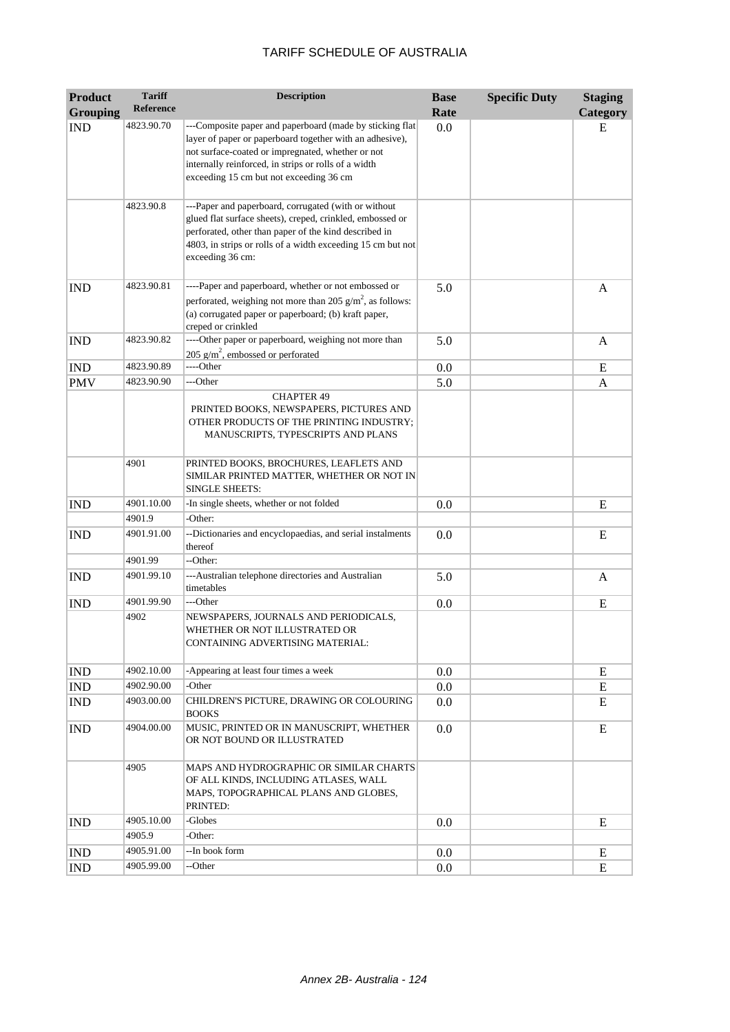| <b>Product</b>  | <b>Tariff</b>    | <b>Description</b>                                                                                                                                                                                                                                                           | <b>Base</b> | <b>Specific Duty</b> | <b>Staging</b> |
|-----------------|------------------|------------------------------------------------------------------------------------------------------------------------------------------------------------------------------------------------------------------------------------------------------------------------------|-------------|----------------------|----------------|
| <b>Grouping</b> | <b>Reference</b> |                                                                                                                                                                                                                                                                              | Rate        |                      | Category       |
| <b>IND</b>      | 4823.90.70       | ---Composite paper and paperboard (made by sticking flat<br>layer of paper or paperboard together with an adhesive),<br>not surface-coated or impregnated, whether or not<br>internally reinforced, in strips or rolls of a width<br>exceeding 15 cm but not exceeding 36 cm | 0.0         |                      | E              |
|                 | 4823.90.8        | ---Paper and paperboard, corrugated (with or without<br>glued flat surface sheets), creped, crinkled, embossed or<br>perforated, other than paper of the kind described in<br>4803, in strips or rolls of a width exceeding 15 cm but not<br>exceeding 36 cm:                |             |                      |                |
| <b>IND</b>      | 4823.90.81       | ----Paper and paperboard, whether or not embossed or<br>perforated, weighing not more than 205 $g/m^2$ , as follows:<br>(a) corrugated paper or paperboard; (b) kraft paper,<br>creped or crinkled                                                                           | 5.0         |                      | A              |
| <b>IND</b>      | 4823.90.82       | ----Other paper or paperboard, weighing not more than<br>205 $g/m^2$ , embossed or perforated                                                                                                                                                                                | 5.0         |                      | A              |
| <b>IND</b>      | 4823.90.89       | ----Other                                                                                                                                                                                                                                                                    | 0.0         |                      | E              |
| <b>PMV</b>      | 4823.90.90       | ---Other                                                                                                                                                                                                                                                                     | 5.0         |                      | A              |
|                 |                  | <b>CHAPTER 49</b><br>PRINTED BOOKS, NEWSPAPERS, PICTURES AND<br>OTHER PRODUCTS OF THE PRINTING INDUSTRY;<br>MANUSCRIPTS, TYPESCRIPTS AND PLANS                                                                                                                               |             |                      |                |
|                 | 4901             | PRINTED BOOKS, BROCHURES, LEAFLETS AND<br>SIMILAR PRINTED MATTER, WHETHER OR NOT IN<br><b>SINGLE SHEETS:</b>                                                                                                                                                                 |             |                      |                |
| <b>IND</b>      | 4901.10.00       | -In single sheets, whether or not folded                                                                                                                                                                                                                                     | 0.0         |                      | E              |
|                 | 4901.9           | -Other:                                                                                                                                                                                                                                                                      |             |                      |                |
| <b>IND</b>      | 4901.91.00       | --Dictionaries and encyclopaedias, and serial instalments<br>thereof                                                                                                                                                                                                         | 0.0         |                      | E              |
|                 | 4901.99          | --Other:                                                                                                                                                                                                                                                                     |             |                      |                |
| <b>IND</b>      | 4901.99.10       | ---Australian telephone directories and Australian<br>timetables                                                                                                                                                                                                             | 5.0         |                      | A              |
| <b>IND</b>      | 4901.99.90       | ---Other                                                                                                                                                                                                                                                                     | 0.0         |                      | E              |
|                 | 4902             | NEWSPAPERS, JOURNALS AND PERIODICALS,<br>WHETHER OR NOT ILLUSTRATED OR<br>CONTAINING ADVERTISING MATERIAL:                                                                                                                                                                   |             |                      |                |
| <b>IND</b>      | 4902.10.00       | -Appearing at least four times a week                                                                                                                                                                                                                                        | 0.0         |                      | E              |
| <b>IND</b>      | 4902.90.00       | -Other                                                                                                                                                                                                                                                                       | 0.0         |                      | E              |
| IND             | 4903.00.00       | CHILDREN'S PICTURE, DRAWING OR COLOURING<br><b>BOOKS</b>                                                                                                                                                                                                                     | 0.0         |                      | E              |
| <b>IND</b>      | 4904.00.00       | MUSIC, PRINTED OR IN MANUSCRIPT, WHETHER<br>OR NOT BOUND OR ILLUSTRATED                                                                                                                                                                                                      | 0.0         |                      | E              |
|                 | 4905             | MAPS AND HYDROGRAPHIC OR SIMILAR CHARTS<br>OF ALL KINDS, INCLUDING ATLASES, WALL<br>MAPS, TOPOGRAPHICAL PLANS AND GLOBES,<br>PRINTED:                                                                                                                                        |             |                      |                |
| <b>IND</b>      | 4905.10.00       | -Globes                                                                                                                                                                                                                                                                      | 0.0         |                      | E              |
|                 | 4905.9           | -Other:                                                                                                                                                                                                                                                                      |             |                      |                |
| <b>IND</b>      | 4905.91.00       | --In book form                                                                                                                                                                                                                                                               | 0.0         |                      | Ε              |
| IND             | 4905.99.00       | --Other                                                                                                                                                                                                                                                                      | 0.0         |                      | E              |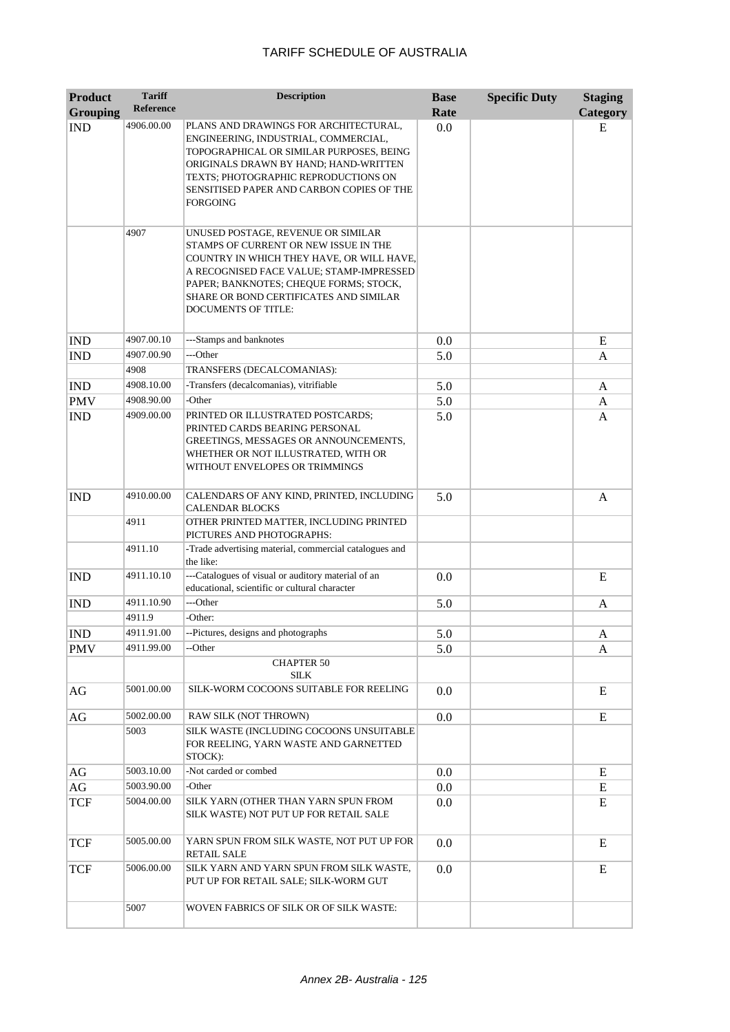| <b>Product</b><br><b>Grouping</b> | <b>Tariff</b><br>Reference | <b>Description</b>                                                                                                                                                                                                                                                                            | <b>Base</b><br>Rate | <b>Specific Duty</b> | <b>Staging</b><br>Category |
|-----------------------------------|----------------------------|-----------------------------------------------------------------------------------------------------------------------------------------------------------------------------------------------------------------------------------------------------------------------------------------------|---------------------|----------------------|----------------------------|
| <b>IND</b>                        | 4906.00.00                 | PLANS AND DRAWINGS FOR ARCHITECTURAL,<br>ENGINEERING, INDUSTRIAL, COMMERCIAL,<br>TOPOGRAPHICAL OR SIMILAR PURPOSES, BEING<br>ORIGINALS DRAWN BY HAND; HAND-WRITTEN<br>TEXTS; PHOTOGRAPHIC REPRODUCTIONS ON<br>SENSITISED PAPER AND CARBON COPIES OF THE<br>FORGOING                           | 0.0                 |                      | E                          |
|                                   | 4907                       | UNUSED POSTAGE, REVENUE OR SIMILAR<br>STAMPS OF CURRENT OR NEW ISSUE IN THE<br>COUNTRY IN WHICH THEY HAVE, OR WILL HAVE,<br>A RECOGNISED FACE VALUE; STAMP-IMPRESSED<br>PAPER; BANKNOTES; CHEQUE FORMS; STOCK,<br><b>SHARE OR BOND CERTIFICATES AND SIMILAR</b><br><b>DOCUMENTS OF TITLE:</b> |                     |                      |                            |
| <b>IND</b>                        | 4907.00.10                 | ---Stamps and banknotes                                                                                                                                                                                                                                                                       | 0.0                 |                      | E                          |
| <b>IND</b>                        | 4907.00.90                 | ---Other                                                                                                                                                                                                                                                                                      | 5.0                 |                      | A                          |
|                                   | 4908                       | TRANSFERS (DECALCOMANIAS):                                                                                                                                                                                                                                                                    |                     |                      |                            |
| <b>IND</b>                        | 4908.10.00                 | -Transfers (decalcomanias), vitrifiable                                                                                                                                                                                                                                                       | 5.0                 |                      | A                          |
| <b>PMV</b>                        | 4908.90.00                 | -Other                                                                                                                                                                                                                                                                                        | 5.0                 |                      | A                          |
| <b>IND</b>                        | 4909.00.00                 | PRINTED OR ILLUSTRATED POSTCARDS;<br>PRINTED CARDS BEARING PERSONAL<br>GREETINGS, MESSAGES OR ANNOUNCEMENTS,<br>WHETHER OR NOT ILLUSTRATED, WITH OR<br>WITHOUT ENVELOPES OR TRIMMINGS                                                                                                         | 5.0                 |                      | A                          |
| <b>IND</b>                        | 4910.00.00                 | CALENDARS OF ANY KIND, PRINTED, INCLUDING<br>CALENDAR BLOCKS                                                                                                                                                                                                                                  | 5.0                 |                      | A                          |
|                                   | 4911                       | OTHER PRINTED MATTER, INCLUDING PRINTED<br>PICTURES AND PHOTOGRAPHS:                                                                                                                                                                                                                          |                     |                      |                            |
|                                   | 4911.10                    | -Trade advertising material, commercial catalogues and<br>the like:                                                                                                                                                                                                                           |                     |                      |                            |
| <b>IND</b>                        | 4911.10.10                 | ---Catalogues of visual or auditory material of an<br>educational, scientific or cultural character                                                                                                                                                                                           | 0.0                 |                      | E                          |
| <b>IND</b>                        | 4911.10.90<br>4911.9       | ---Other<br>-Other:                                                                                                                                                                                                                                                                           | 5.0                 |                      | A                          |
| <b>IND</b>                        | 4911.91.00                 | --Pictures, designs and photographs                                                                                                                                                                                                                                                           |                     |                      |                            |
| <b>PMV</b>                        | 4911.99.00                 | --Other                                                                                                                                                                                                                                                                                       | 5.0<br>5.0          |                      | A<br>A                     |
|                                   |                            | <b>CHAPTER 50</b><br>SILK                                                                                                                                                                                                                                                                     |                     |                      |                            |
| AG                                | 5001.00.00                 | SILK-WORM COCOONS SUITABLE FOR REELING                                                                                                                                                                                                                                                        | 0.0                 |                      | E                          |
| AG                                | 5002.00.00                 | RAW SILK (NOT THROWN)                                                                                                                                                                                                                                                                         | 0.0                 |                      | E                          |
|                                   | 5003                       | SILK WASTE (INCLUDING COCOONS UNSUITABLE<br>FOR REELING, YARN WASTE AND GARNETTED<br>STOCK):                                                                                                                                                                                                  |                     |                      |                            |
| AG                                | 5003.10.00                 | -Not carded or combed                                                                                                                                                                                                                                                                         | 0.0                 |                      | E                          |
| AG                                | 5003.90.00                 | -Other                                                                                                                                                                                                                                                                                        | 0.0                 |                      | E                          |
| <b>TCF</b>                        | 5004.00.00                 | SILK YARN (OTHER THAN YARN SPUN FROM<br>SILK WASTE) NOT PUT UP FOR RETAIL SALE                                                                                                                                                                                                                | 0.0                 |                      | ${\bf E}$                  |
| <b>TCF</b>                        | 5005.00.00                 | YARN SPUN FROM SILK WASTE, NOT PUT UP FOR<br><b>RETAIL SALE</b>                                                                                                                                                                                                                               | 0.0                 |                      | E                          |
| <b>TCF</b>                        | 5006.00.00                 | SILK YARN AND YARN SPUN FROM SILK WASTE,<br>PUT UP FOR RETAIL SALE; SILK-WORM GUT                                                                                                                                                                                                             | 0.0                 |                      | ${\bf E}$                  |
|                                   | 5007                       | WOVEN FABRICS OF SILK OR OF SILK WASTE:                                                                                                                                                                                                                                                       |                     |                      |                            |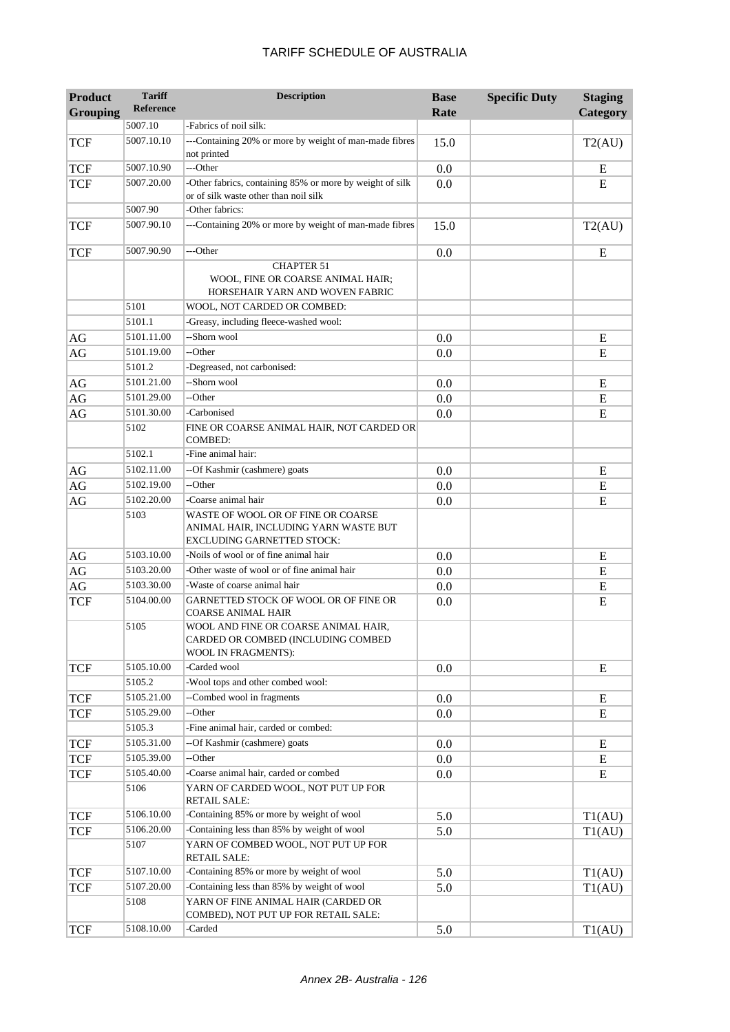| <b>Product</b><br><b>Grouping</b> | <b>Tariff</b><br><b>Reference</b> | <b>Description</b>                                                                                        | <b>Base</b><br>Rate | <b>Specific Duty</b> | <b>Staging</b><br>Category |
|-----------------------------------|-----------------------------------|-----------------------------------------------------------------------------------------------------------|---------------------|----------------------|----------------------------|
|                                   | 5007.10                           | -Fabrics of noil silk:                                                                                    |                     |                      |                            |
| <b>TCF</b>                        | 5007.10.10                        | ---Containing 20% or more by weight of man-made fibres<br>not printed                                     | 15.0                |                      | T2(AU)                     |
| <b>TCF</b>                        | 5007.10.90                        | ---Other                                                                                                  | 0.0                 |                      | E                          |
| <b>TCF</b>                        | 5007.20.00                        | -Other fabrics, containing 85% or more by weight of silk<br>or of silk waste other than noil silk         | 0.0                 |                      | E                          |
|                                   | 5007.90                           | -Other fabrics:                                                                                           |                     |                      |                            |
| <b>TCF</b>                        | 5007.90.10                        | ---Containing 20% or more by weight of man-made fibres                                                    | 15.0                |                      | T2(AU)                     |
| <b>TCF</b>                        | 5007.90.90                        | ---Other                                                                                                  | 0.0                 |                      | E                          |
|                                   |                                   | <b>CHAPTER 51</b><br>WOOL, FINE OR COARSE ANIMAL HAIR;<br>HORSEHAIR YARN AND WOVEN FABRIC                 |                     |                      |                            |
|                                   | 5101                              | WOOL, NOT CARDED OR COMBED:                                                                               |                     |                      |                            |
|                                   | 5101.1                            | -Greasy, including fleece-washed wool:                                                                    |                     |                      |                            |
| AG                                | 5101.11.00                        | --Shorn wool                                                                                              | 0.0                 |                      | E                          |
| $\rm{AG}$                         | 5101.19.00                        | --Other                                                                                                   | 0.0                 |                      | E                          |
|                                   | 5101.2                            | -Degreased, not carbonised:                                                                               |                     |                      |                            |
| AG                                | 5101.21.00                        | --Shorn wool                                                                                              | 0.0                 |                      | E                          |
| AG                                | 5101.29.00                        | --Other                                                                                                   | 0.0                 |                      | ${\bf E}$                  |
| AG                                | 5101.30.00                        | -Carbonised                                                                                               | 0.0                 |                      | E                          |
|                                   | 5102                              | FINE OR COARSE ANIMAL HAIR, NOT CARDED OR<br><b>COMBED:</b>                                               |                     |                      |                            |
|                                   | 5102.1                            | -Fine animal hair:                                                                                        |                     |                      |                            |
| AG                                | 5102.11.00                        | --Of Kashmir (cashmere) goats                                                                             | 0.0                 |                      | E                          |
| $\rm{AG}$                         | 5102.19.00                        | --Other                                                                                                   | 0.0                 |                      | E                          |
| AG                                | 5102.20.00                        | -Coarse animal hair                                                                                       | 0.0                 |                      | E                          |
|                                   | 5103                              | WASTE OF WOOL OR OF FINE OR COARSE<br>ANIMAL HAIR, INCLUDING YARN WASTE BUT<br>EXCLUDING GARNETTED STOCK: |                     |                      |                            |
| AG                                | 5103.10.00                        | -Noils of wool or of fine animal hair                                                                     | 0.0                 |                      | E                          |
| $\rm{AG}$                         | 5103.20.00                        | -Other waste of wool or of fine animal hair                                                               | 0.0                 |                      | E                          |
| $\rm{AG}$                         | 5103.30.00                        | -Waste of coarse animal hair                                                                              | 0.0                 |                      | E                          |
| <b>TCF</b>                        | 5104.00.00                        | GARNETTED STOCK OF WOOL OR OF FINE OR<br>COARSE ANIMAL HAIR                                               | 0.0                 |                      | E                          |
|                                   | 5105                              | WOOL AND FINE OR COARSE ANIMAL HAIR,<br>CARDED OR COMBED (INCLUDING COMBED<br>WOOL IN FRAGMENTS):         |                     |                      |                            |
| <b>TCF</b>                        | 5105.10.00                        | -Carded wool                                                                                              | 0.0                 |                      | ${\bf E}$                  |
|                                   | 5105.2                            | -Wool tops and other combed wool:                                                                         |                     |                      |                            |
| <b>TCF</b>                        | 5105.21.00                        | --Combed wool in fragments                                                                                | 0.0                 |                      | E                          |
| <b>TCF</b>                        | 5105.29.00                        | --Other                                                                                                   | 0.0                 |                      | E                          |
|                                   | 5105.3                            | -Fine animal hair, carded or combed:                                                                      |                     |                      |                            |
| <b>TCF</b>                        | 5105.31.00                        | --Of Kashmir (cashmere) goats                                                                             | 0.0                 |                      | E                          |
| TCF                               | 5105.39.00                        | --Other                                                                                                   | $0.0\,$             |                      | Ε                          |
| TCF                               | 5105.40.00                        | -Coarse animal hair, carded or combed                                                                     | 0.0                 |                      | E                          |
|                                   | 5106                              | YARN OF CARDED WOOL, NOT PUT UP FOR<br><b>RETAIL SALE:</b>                                                |                     |                      |                            |
| <b>TCF</b>                        | 5106.10.00                        | -Containing 85% or more by weight of wool                                                                 | 5.0                 |                      | T1(AU)                     |
| <b>TCF</b>                        | 5106.20.00                        | -Containing less than 85% by weight of wool                                                               | 5.0                 |                      | T1(AU)                     |
|                                   | 5107                              | YARN OF COMBED WOOL, NOT PUT UP FOR<br><b>RETAIL SALE:</b>                                                |                     |                      |                            |
| <b>TCF</b>                        | 5107.10.00                        | -Containing 85% or more by weight of wool                                                                 | 5.0                 |                      | T1(AU)                     |
| TCF                               | 5107.20.00                        | -Containing less than 85% by weight of wool                                                               | 5.0                 |                      | T1(AU)                     |
|                                   | 5108                              | YARN OF FINE ANIMAL HAIR (CARDED OR<br>COMBED), NOT PUT UP FOR RETAIL SALE:                               |                     |                      |                            |
| <b>TCF</b>                        | 5108.10.00                        | -Carded                                                                                                   | 5.0                 |                      | T1(AU)                     |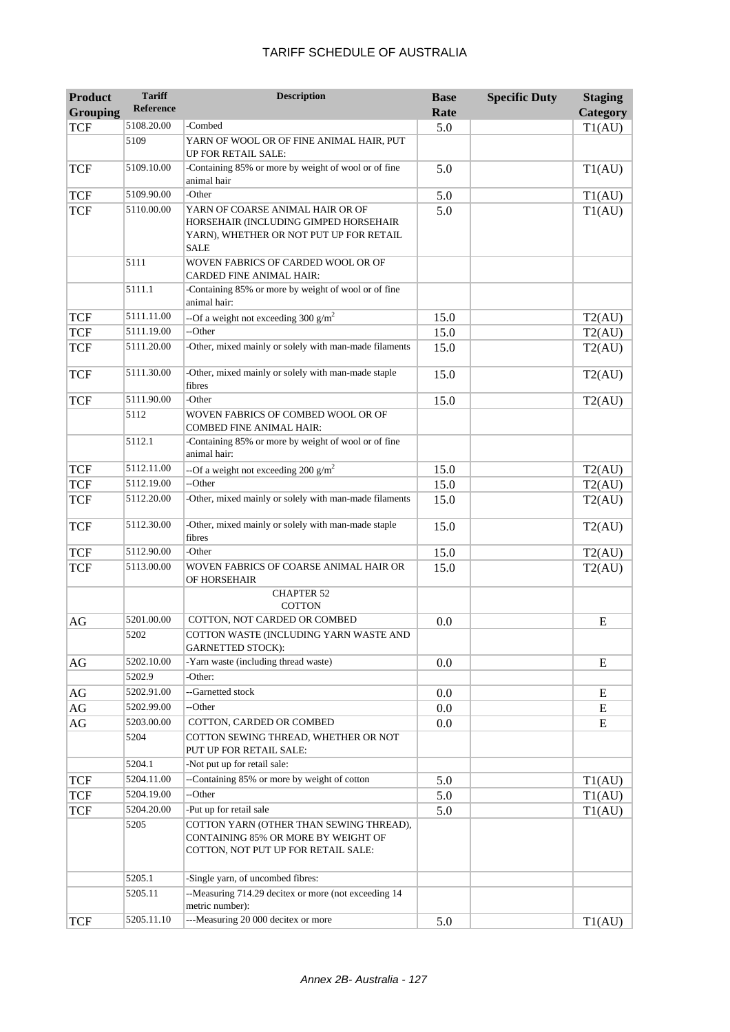| <b>Product</b><br><b>Grouping</b> | <b>Tariff</b><br><b>Reference</b> | <b>Description</b>                                                                                                                               | <b>Base</b><br>Rate | <b>Specific Duty</b> | <b>Staging</b><br>Category |
|-----------------------------------|-----------------------------------|--------------------------------------------------------------------------------------------------------------------------------------------------|---------------------|----------------------|----------------------------|
| <b>TCF</b>                        | 5108.20.00                        | -Combed                                                                                                                                          | 5.0                 |                      | T1(AU)                     |
|                                   | 5109                              | YARN OF WOOL OR OF FINE ANIMAL HAIR, PUT<br>UP FOR RETAIL SALE:                                                                                  |                     |                      |                            |
| <b>TCF</b>                        | 5109.10.00                        | -Containing 85% or more by weight of wool or of fine<br>animal hair                                                                              | 5.0                 |                      | T1(AU)                     |
| <b>TCF</b>                        | 5109.90.00                        | -Other                                                                                                                                           | 5.0                 |                      | T1(AU)                     |
| <b>TCF</b>                        | 5110.00.00                        | YARN OF COARSE ANIMAL HAIR OR OF<br>HORSEHAIR (INCLUDING GIMPED HORSEHAIR<br>YARN), WHETHER OR NOT PUT UP FOR RETAIL<br><b>SALE</b>              | 5.0                 |                      | T1(AU)                     |
|                                   | 5111                              | WOVEN FABRICS OF CARDED WOOL OR OF<br><b>CARDED FINE ANIMAL HAIR:</b>                                                                            |                     |                      |                            |
|                                   | 5111.1                            | -Containing 85% or more by weight of wool or of fine<br>animal hair:                                                                             |                     |                      |                            |
| <b>TCF</b>                        | 5111.11.00                        | --Of a weight not exceeding 300 $g/m^2$                                                                                                          | 15.0                |                      | T2(AU)                     |
| <b>TCF</b>                        | 5111.19.00                        | --Other                                                                                                                                          | 15.0                |                      | T2(AU)                     |
| <b>TCF</b>                        | 5111.20.00                        | -Other, mixed mainly or solely with man-made filaments                                                                                           | 15.0                |                      | T2(AU)                     |
| <b>TCF</b>                        | 5111.30.00                        | -Other, mixed mainly or solely with man-made staple<br>fibres                                                                                    | 15.0                |                      | T2(AU)                     |
| <b>TCF</b>                        | 5111.90.00                        | -Other                                                                                                                                           | 15.0                |                      | T2(AU)                     |
|                                   | 5112                              | WOVEN FABRICS OF COMBED WOOL OR OF<br><b>COMBED FINE ANIMAL HAIR:</b>                                                                            |                     |                      |                            |
|                                   | 5112.1                            | -Containing 85% or more by weight of wool or of fine<br>animal hair:                                                                             |                     |                      |                            |
| <b>TCF</b>                        | 5112.11.00                        | --Of a weight not exceeding 200 $\text{g/m}^2$                                                                                                   | 15.0                |                      | T2(AU)                     |
| <b>TCF</b>                        | 5112.19.00                        | --Other                                                                                                                                          | 15.0                |                      | T2(AU)                     |
| <b>TCF</b>                        | 5112.20.00                        | -Other, mixed mainly or solely with man-made filaments                                                                                           | 15.0                |                      | T2(AU)                     |
| <b>TCF</b>                        | 5112.30.00                        | -Other, mixed mainly or solely with man-made staple<br>fibres                                                                                    | 15.0                |                      | T2(AU)                     |
| <b>TCF</b>                        | 5112.90.00                        | -Other                                                                                                                                           | 15.0                |                      | T2(AU)                     |
| <b>TCF</b>                        | 5113.00.00                        | WOVEN FABRICS OF COARSE ANIMAL HAIR OR<br>OF HORSEHAIR                                                                                           | 15.0                |                      | T2(AU)                     |
|                                   |                                   | <b>CHAPTER 52</b><br><b>COTTON</b>                                                                                                               |                     |                      |                            |
| AG                                | 5201.00.00                        | COTTON, NOT CARDED OR COMBED                                                                                                                     | 0.0                 |                      | E                          |
|                                   | 5202                              | COTTON WASTE (INCLUDING YARN WASTE AND<br><b>GARNETTED STOCK):</b>                                                                               |                     |                      |                            |
| AG                                | 5202.10.00                        | -Yarn waste (including thread waste)                                                                                                             | 0.0                 |                      | E                          |
|                                   | 5202.9                            | Other:                                                                                                                                           |                     |                      |                            |
| AG                                | 5202.91.00                        | --Garnetted stock                                                                                                                                | 0.0                 |                      | E                          |
| AG                                | 5202.99.00                        | --Other                                                                                                                                          | 0.0                 |                      | Ε                          |
| AG                                | 5203.00.00<br>5204                | COTTON, CARDED OR COMBED<br>COTTON SEWING THREAD, WHETHER OR NOT                                                                                 | 0.0                 |                      | E                          |
|                                   |                                   | PUT UP FOR RETAIL SALE:                                                                                                                          |                     |                      |                            |
|                                   | 5204.1                            | -Not put up for retail sale:                                                                                                                     |                     |                      |                            |
| <b>TCF</b>                        | 5204.11.00                        | --Containing 85% or more by weight of cotton                                                                                                     | 5.0                 |                      | T1(AU)                     |
| <b>TCF</b>                        | 5204.19.00                        | --Other                                                                                                                                          | 5.0                 |                      | T1(AU)                     |
| <b>TCF</b>                        | 5204.20.00<br>5205                | -Put up for retail sale<br>COTTON YARN (OTHER THAN SEWING THREAD),<br>CONTAINING 85% OR MORE BY WEIGHT OF<br>COTTON, NOT PUT UP FOR RETAIL SALE: | 5.0                 |                      | T1(AU)                     |
|                                   | 5205.1                            | -Single yarn, of uncombed fibres:                                                                                                                |                     |                      |                            |
|                                   | 5205.11                           | --Measuring 714.29 decitex or more (not exceeding 14<br>metric number):                                                                          |                     |                      |                            |
| <b>TCF</b>                        | 5205.11.10                        | ---Measuring 20 000 decitex or more                                                                                                              | 5.0                 |                      | T1(AU)                     |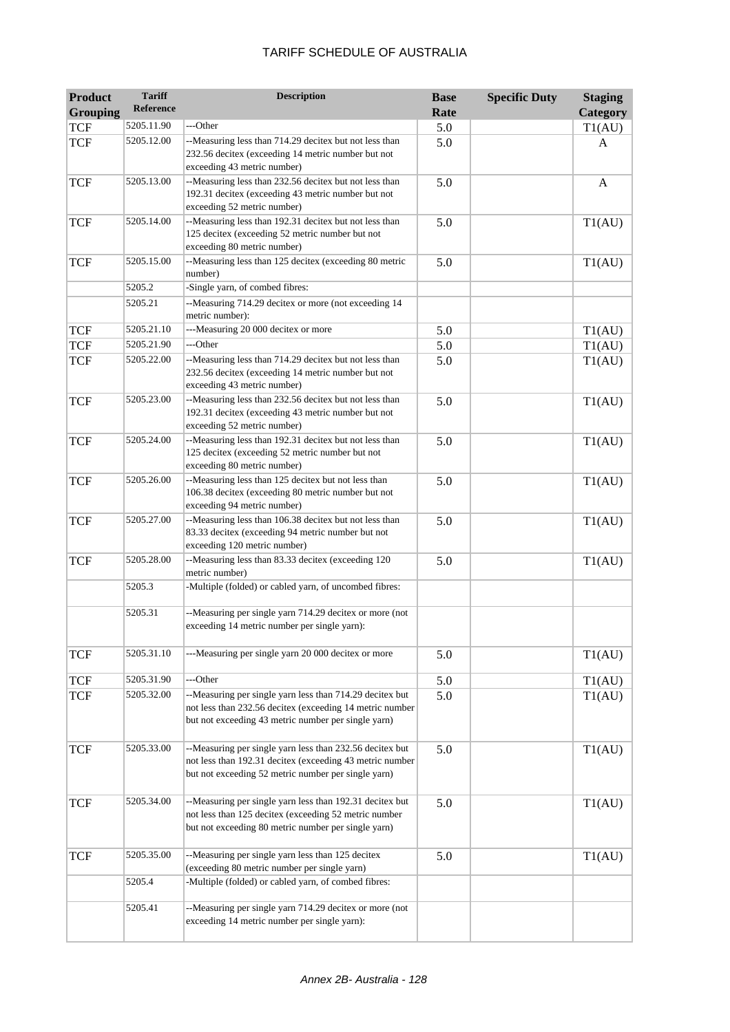| <b>Product</b><br><b>Grouping</b> | <b>Tariff</b><br><b>Reference</b> | <b>Description</b>                                                                                                                                                          | <b>Base</b><br>Rate | <b>Specific Duty</b> | <b>Staging</b><br>Category |
|-----------------------------------|-----------------------------------|-----------------------------------------------------------------------------------------------------------------------------------------------------------------------------|---------------------|----------------------|----------------------------|
| <b>TCF</b>                        | 5205.11.90                        | ---Other                                                                                                                                                                    | 5.0                 |                      | T1(AU)                     |
| <b>TCF</b>                        | 5205.12.00                        | --Measuring less than 714.29 decitex but not less than<br>232.56 decitex (exceeding 14 metric number but not<br>exceeding 43 metric number)                                 | 5.0                 |                      | A                          |
| <b>TCF</b>                        | 5205.13.00                        | --Measuring less than 232.56 decitex but not less than<br>192.31 decitex (exceeding 43 metric number but not<br>exceeding 52 metric number)                                 | 5.0                 |                      | A                          |
| <b>TCF</b>                        | 5205.14.00                        | --Measuring less than 192.31 decitex but not less than<br>125 decitex (exceeding 52 metric number but not<br>exceeding 80 metric number)                                    | 5.0                 |                      | T1(AU)                     |
| <b>TCF</b>                        | 5205.15.00                        | --Measuring less than 125 decitex (exceeding 80 metric<br>number)                                                                                                           | 5.0                 |                      | T1(AU)                     |
|                                   | 5205.2                            | -Single yarn, of combed fibres:                                                                                                                                             |                     |                      |                            |
|                                   | 5205.21                           | --Measuring 714.29 decitex or more (not exceeding 14<br>metric number):                                                                                                     |                     |                      |                            |
| <b>TCF</b>                        | 5205.21.10                        | ---Measuring 20 000 decitex or more                                                                                                                                         | 5.0                 |                      | T1(AU)                     |
| <b>TCF</b>                        | 5205.21.90                        | ---Other                                                                                                                                                                    | 5.0                 |                      | T1(AU)                     |
| <b>TCF</b>                        | 5205.22.00                        | --Measuring less than 714.29 decitex but not less than<br>232.56 decitex (exceeding 14 metric number but not<br>exceeding 43 metric number)                                 | 5.0                 |                      | T1(AU)                     |
| <b>TCF</b>                        | 5205.23.00                        | --Measuring less than 232.56 decitex but not less than<br>192.31 decitex (exceeding 43 metric number but not<br>exceeding 52 metric number)                                 | 5.0                 |                      | T1(AU)                     |
| <b>TCF</b>                        | 5205.24.00                        | --Measuring less than 192.31 decitex but not less than<br>125 decitex (exceeding 52 metric number but not<br>exceeding 80 metric number)                                    | 5.0                 |                      | T1(AU)                     |
| <b>TCF</b>                        | 5205.26.00                        | --Measuring less than 125 decitex but not less than<br>106.38 decitex (exceeding 80 metric number but not<br>exceeding 94 metric number)                                    | 5.0                 |                      | T1(AU)                     |
| <b>TCF</b>                        | 5205.27.00                        | --Measuring less than 106.38 decitex but not less than<br>83.33 decitex (exceeding 94 metric number but not<br>exceeding 120 metric number)                                 | 5.0                 |                      | T1(AU)                     |
| <b>TCF</b>                        | 5205.28.00                        | --Measuring less than 83.33 decitex (exceeding 120<br>metric number)                                                                                                        | 5.0                 |                      | T1(AU)                     |
|                                   | 5205.3                            | -Multiple (folded) or cabled yarn, of uncombed fibres:                                                                                                                      |                     |                      |                            |
|                                   | 5205.31                           | --Measuring per single yarn 714.29 decitex or more (not<br>exceeding 14 metric number per single yarn):                                                                     |                     |                      |                            |
| <b>TCF</b>                        | 5205.31.10                        | ---Measuring per single yarn 20 000 decitex or more                                                                                                                         | 5.0                 |                      | T1(AU)                     |
| <b>TCF</b>                        | 5205.31.90                        | ---Other                                                                                                                                                                    | 5.0                 |                      | T1(AU)                     |
| <b>TCF</b>                        | 5205.32.00                        | --Measuring per single yarn less than 714.29 decitex but<br>not less than 232.56 decitex (exceeding 14 metric number<br>but not exceeding 43 metric number per single yarn) | 5.0                 |                      | T1(AU)                     |
| <b>TCF</b>                        | 5205.33.00                        | --Measuring per single yarn less than 232.56 decitex but<br>not less than 192.31 decitex (exceeding 43 metric number<br>but not exceeding 52 metric number per single yarn) | 5.0                 |                      | T1(AU)                     |
| <b>TCF</b>                        | 5205.34.00                        | --Measuring per single yarn less than 192.31 decitex but<br>not less than 125 decitex (exceeding 52 metric number<br>but not exceeding 80 metric number per single yarn)    | 5.0                 |                      | T1(AU)                     |
| <b>TCF</b>                        | 5205.35.00                        | --Measuring per single yarn less than 125 decitex<br>(exceeding 80 metric number per single yarn)                                                                           | 5.0                 |                      | T1(AU)                     |
|                                   | 5205.4                            | -Multiple (folded) or cabled yarn, of combed fibres:                                                                                                                        |                     |                      |                            |
|                                   | 5205.41                           | --Measuring per single yarn 714.29 decitex or more (not<br>exceeding 14 metric number per single yarn):                                                                     |                     |                      |                            |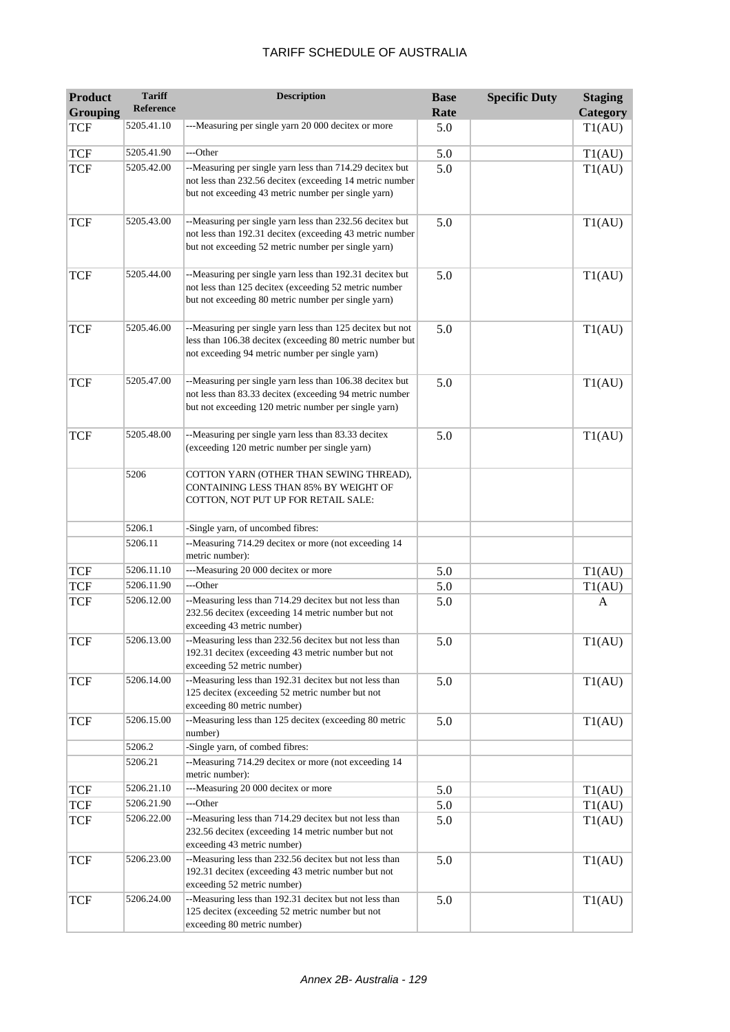| <b>Product</b><br><b>Grouping</b> | <b>Tariff</b><br>Reference | <b>Description</b>                                                                                                                                                          | <b>Base</b><br>Rate | <b>Specific Duty</b> | <b>Staging</b><br>Category |
|-----------------------------------|----------------------------|-----------------------------------------------------------------------------------------------------------------------------------------------------------------------------|---------------------|----------------------|----------------------------|
| <b>TCF</b>                        | 5205.41.10                 | ---Measuring per single yarn 20 000 decitex or more                                                                                                                         | 5.0                 |                      | T1(AU)                     |
|                                   |                            |                                                                                                                                                                             |                     |                      |                            |
| <b>TCF</b>                        | 5205.41.90                 | ---Other                                                                                                                                                                    | 5.0                 |                      | T1(AU)                     |
| <b>TCF</b>                        | 5205.42.00                 | --Measuring per single yarn less than 714.29 decitex but<br>not less than 232.56 decitex (exceeding 14 metric number<br>but not exceeding 43 metric number per single yarn) | 5.0                 |                      | T1(AU)                     |
| <b>TCF</b>                        | 5205.43.00                 | --Measuring per single yarn less than 232.56 decitex but<br>not less than 192.31 decitex (exceeding 43 metric number<br>but not exceeding 52 metric number per single yarn) | 5.0                 |                      | T1(AU)                     |
| <b>TCF</b>                        | 5205.44.00                 | --Measuring per single yarn less than 192.31 decitex but<br>not less than 125 decitex (exceeding 52 metric number<br>but not exceeding 80 metric number per single yarn)    | 5.0                 |                      | T1(AU)                     |
| <b>TCF</b>                        | 5205.46.00                 | --Measuring per single yarn less than 125 decitex but not<br>less than 106.38 decitex (exceeding 80 metric number but<br>not exceeding 94 metric number per single yarn)    | 5.0                 |                      | T1(AU)                     |
| <b>TCF</b>                        | 5205.47.00                 | --Measuring per single yarn less than 106.38 decitex but<br>not less than 83.33 decitex (exceeding 94 metric number<br>but not exceeding 120 metric number per single yarn) | 5.0                 |                      | T1(AU)                     |
| <b>TCF</b>                        | 5205.48.00                 | --Measuring per single yarn less than 83.33 decitex<br>(exceeding 120 metric number per single yarn)                                                                        | 5.0                 |                      | T1(AU)                     |
|                                   | 5206                       | COTTON YARN (OTHER THAN SEWING THREAD),<br>CONTAINING LESS THAN 85% BY WEIGHT OF<br>COTTON, NOT PUT UP FOR RETAIL SALE:                                                     |                     |                      |                            |
|                                   | 5206.1                     | -Single yarn, of uncombed fibres:                                                                                                                                           |                     |                      |                            |
|                                   | 5206.11                    | --Measuring 714.29 decitex or more (not exceeding 14<br>metric number):                                                                                                     |                     |                      |                            |
| <b>TCF</b>                        | 5206.11.10                 | ---Measuring 20 000 decitex or more                                                                                                                                         | 5.0                 |                      | T1(AU)                     |
| <b>TCF</b>                        | 5206.11.90                 | ---Other                                                                                                                                                                    | 5.0                 |                      | T1(AU)                     |
| <b>TCF</b>                        | 5206.12.00                 | --Measuring less than 714.29 decitex but not less than<br>232.56 decitex (exceeding 14 metric number but not<br>exceeding 43 metric number)                                 | 5.0                 |                      | A                          |
| TCF                               | 5206.13.00                 | --Measuring less than 232.56 decitex but not less than<br>192.31 decitex (exceeding 43 metric number but not<br>exceeding 52 metric number)                                 | 5.0                 |                      | T1(AU)                     |
| <b>TCF</b>                        | 5206.14.00                 | --Measuring less than 192.31 decitex but not less than<br>125 decitex (exceeding 52 metric number but not<br>exceeding 80 metric number)                                    | 5.0                 |                      | T1(AU)                     |
| <b>TCF</b>                        | 5206.15.00                 | --Measuring less than 125 decitex (exceeding 80 metric<br>number)                                                                                                           | 5.0                 |                      | T1(AU)                     |
|                                   | 5206.2                     | -Single yarn, of combed fibres:                                                                                                                                             |                     |                      |                            |
|                                   | 5206.21                    | --Measuring 714.29 decitex or more (not exceeding 14<br>metric number):                                                                                                     |                     |                      |                            |
| <b>TCF</b>                        | 5206.21.10                 | ---Measuring 20 000 decitex or more                                                                                                                                         | 5.0                 |                      | T1(AU)                     |
| <b>TCF</b>                        | 5206.21.90                 | ---Other                                                                                                                                                                    | 5.0                 |                      | T1(AU)                     |
| <b>TCF</b>                        | 5206.22.00                 | --Measuring less than 714.29 decitex but not less than<br>232.56 decitex (exceeding 14 metric number but not<br>exceeding 43 metric number)                                 | 5.0                 |                      | T1(AU)                     |
| <b>TCF</b>                        | 5206.23.00                 | --Measuring less than 232.56 decitex but not less than<br>192.31 decitex (exceeding 43 metric number but not<br>exceeding 52 metric number)                                 | 5.0                 |                      | T1(AU)                     |
| <b>TCF</b>                        | 5206.24.00                 | --Measuring less than 192.31 decitex but not less than<br>125 decitex (exceeding 52 metric number but not<br>exceeding 80 metric number)                                    | 5.0                 |                      | T1(AU)                     |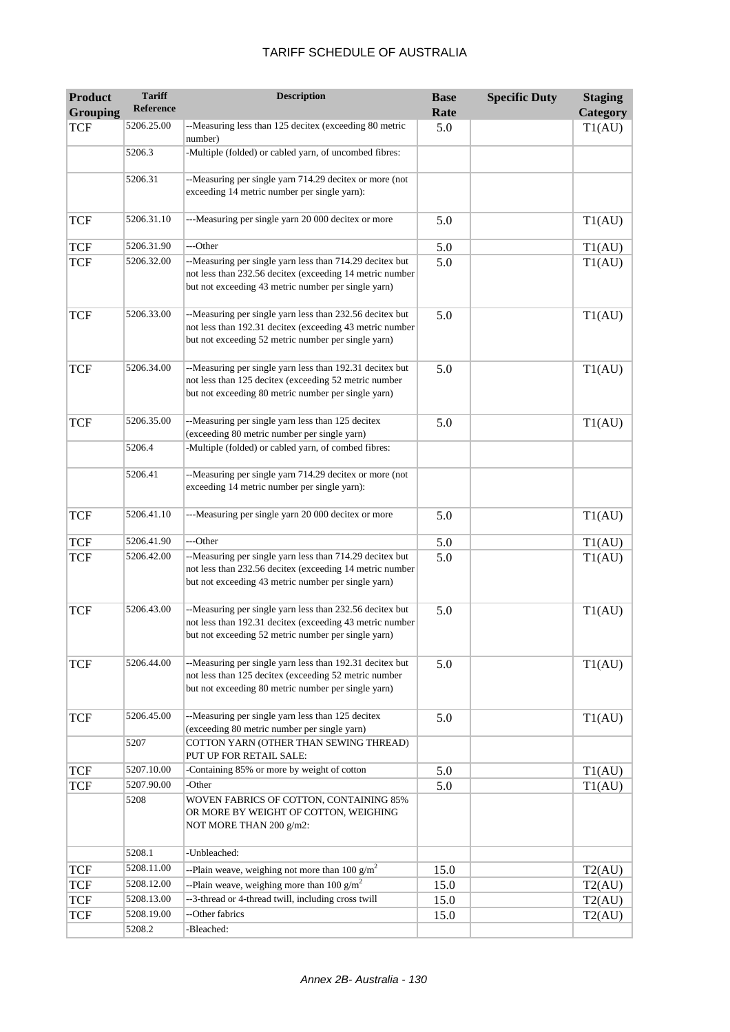| <b>Product</b><br><b>Grouping</b> | <b>Tariff</b><br><b>Reference</b> | <b>Description</b>                                                                                                                                                          | <b>Base</b><br>Rate | <b>Specific Duty</b> | <b>Staging</b><br>Category |
|-----------------------------------|-----------------------------------|-----------------------------------------------------------------------------------------------------------------------------------------------------------------------------|---------------------|----------------------|----------------------------|
| <b>TCF</b>                        | 5206.25.00                        | --Measuring less than 125 decitex (exceeding 80 metric<br>number)                                                                                                           | 5.0                 |                      | T1(AU)                     |
|                                   | 5206.3                            | -Multiple (folded) or cabled yarn, of uncombed fibres:                                                                                                                      |                     |                      |                            |
|                                   | 5206.31                           | --Measuring per single yarn 714.29 decitex or more (not<br>exceeding 14 metric number per single yarn):                                                                     |                     |                      |                            |
| <b>TCF</b>                        | 5206.31.10                        | ---Measuring per single yarn 20 000 decitex or more                                                                                                                         | 5.0                 |                      | T1(AU)                     |
| <b>TCF</b>                        | 5206.31.90                        | ---Other                                                                                                                                                                    | 5.0                 |                      | T1(AU)                     |
| <b>TCF</b>                        | 5206.32.00                        | --Measuring per single yarn less than 714.29 decitex but<br>not less than 232.56 decitex (exceeding 14 metric number<br>but not exceeding 43 metric number per single yarn) | 5.0                 |                      | T1(AU)                     |
| <b>TCF</b>                        | 5206.33.00                        | --Measuring per single yarn less than 232.56 decitex but<br>not less than 192.31 decitex (exceeding 43 metric number<br>but not exceeding 52 metric number per single yarn) | 5.0                 |                      | T1(AU)                     |
| <b>TCF</b>                        | 5206.34.00                        | --Measuring per single yarn less than 192.31 decitex but<br>not less than 125 decitex (exceeding 52 metric number<br>but not exceeding 80 metric number per single yarn)    | 5.0                 |                      | T1(AU)                     |
| <b>TCF</b>                        | 5206.35.00                        | --Measuring per single yarn less than 125 decitex<br>(exceeding 80 metric number per single yarn)                                                                           | 5.0                 |                      | T1(AU)                     |
|                                   | 5206.4                            | -Multiple (folded) or cabled yarn, of combed fibres:                                                                                                                        |                     |                      |                            |
|                                   | 5206.41                           | --Measuring per single yarn 714.29 decitex or more (not<br>exceeding 14 metric number per single yarn):                                                                     |                     |                      |                            |
| <b>TCF</b>                        | 5206.41.10                        | ---Measuring per single yarn 20 000 decitex or more                                                                                                                         | 5.0                 |                      | T1(AU)                     |
| <b>TCF</b>                        | 5206.41.90                        | ---Other                                                                                                                                                                    | 5.0                 |                      | T1(AU)                     |
| <b>TCF</b>                        | 5206.42.00                        | --Measuring per single yarn less than 714.29 decitex but<br>not less than 232.56 decitex (exceeding 14 metric number<br>but not exceeding 43 metric number per single yarn) | 5.0                 |                      | T1(AU)                     |
| <b>TCF</b>                        | 5206.43.00                        | --Measuring per single yarn less than 232.56 decitex but<br>not less than 192.31 decitex (exceeding 43 metric number<br>but not exceeding 52 metric number per single yarn) | 5.0                 |                      | T1(AU)                     |
| <b>TCF</b>                        | 5206.44.00                        | --Measuring per single yarn less than 192.31 decitex but<br>not less than 125 decitex (exceeding 52 metric number<br>but not exceeding 80 metric number per single yarn)    | 5.0                 |                      | T1(AU)                     |
| <b>TCF</b>                        | 5206.45.00                        | --Measuring per single yarn less than 125 decitex<br>(exceeding 80 metric number per single yarn)                                                                           | 5.0                 |                      | T1(AU)                     |
|                                   | 5207                              | COTTON YARN (OTHER THAN SEWING THREAD)<br>PUT UP FOR RETAIL SALE:                                                                                                           |                     |                      |                            |
| <b>TCF</b>                        | 5207.10.00                        | -Containing 85% or more by weight of cotton                                                                                                                                 | 5.0                 |                      | T1(AU)                     |
| TCF                               | 5207.90.00                        | -Other                                                                                                                                                                      | 5.0                 |                      | T1(AU)                     |
|                                   | 5208                              | WOVEN FABRICS OF COTTON, CONTAINING 85%<br>OR MORE BY WEIGHT OF COTTON, WEIGHING<br>NOT MORE THAN 200 g/m2:                                                                 |                     |                      |                            |
|                                   | 5208.1                            | -Unbleached:                                                                                                                                                                |                     |                      |                            |
| <b>TCF</b>                        | 5208.11.00                        | --Plain weave, weighing not more than 100 $\text{g/m}^2$                                                                                                                    | 15.0                |                      | T2(AU)                     |
| <b>TCF</b>                        | 5208.12.00                        | --Plain weave, weighing more than 100 $g/m^2$                                                                                                                               | 15.0                |                      | T2(AU)                     |
| <b>TCF</b>                        | 5208.13.00                        | --3-thread or 4-thread twill, including cross twill                                                                                                                         | 15.0                |                      | T2(AU)                     |
| <b>TCF</b>                        | 5208.19.00                        | --Other fabrics                                                                                                                                                             | 15.0                |                      | T2(AU)                     |
|                                   | 5208.2                            | -Bleached:                                                                                                                                                                  |                     |                      |                            |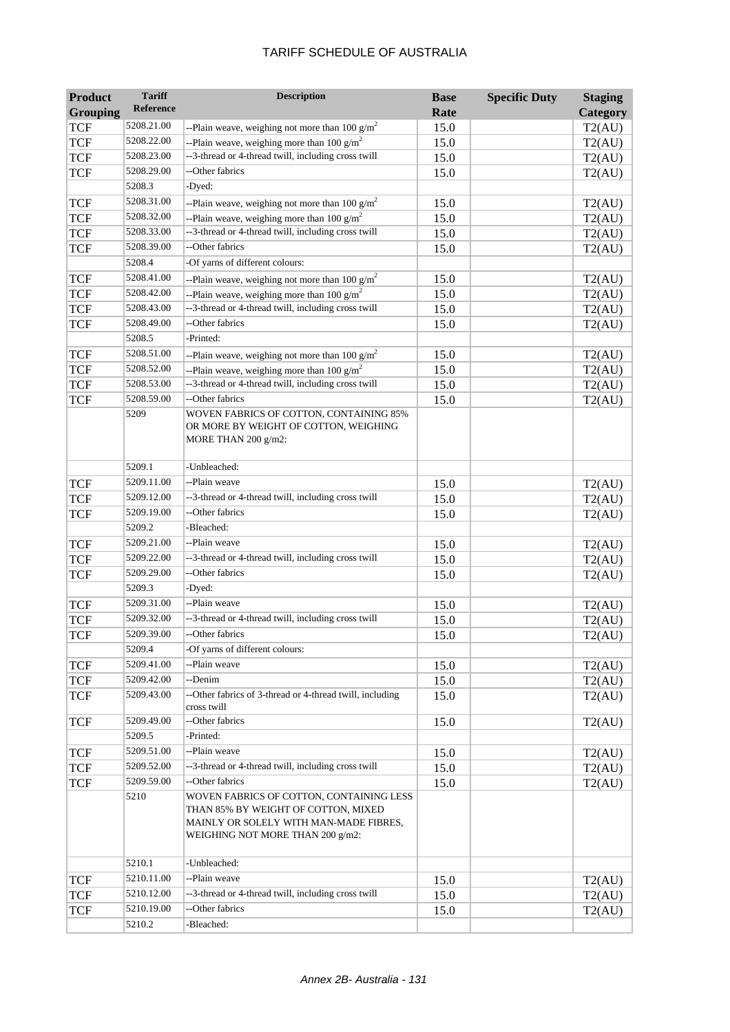| <b>Product</b>  | <b>Tariff</b>    | <b>Description</b>                                                                                                                                            | <b>Base</b> | <b>Specific Duty</b> | <b>Staging</b> |
|-----------------|------------------|---------------------------------------------------------------------------------------------------------------------------------------------------------------|-------------|----------------------|----------------|
| <b>Grouping</b> | <b>Reference</b> |                                                                                                                                                               | Rate        |                      | Category       |
| <b>TCF</b>      | 5208.21.00       | --Plain weave, weighing not more than 100 $g/m^2$                                                                                                             | 15.0        |                      | T2(AU)         |
| <b>TCF</b>      | 5208.22.00       | --Plain weave, weighing more than 100 $g/m^2$                                                                                                                 | 15.0        |                      | T2(AU)         |
| <b>TCF</b>      | 5208.23.00       | --3-thread or 4-thread twill, including cross twill                                                                                                           | 15.0        |                      | T2(AU)         |
| <b>TCF</b>      | 5208.29.00       | --Other fabrics                                                                                                                                               | 15.0        |                      | T2(AU)         |
|                 | 5208.3           | -Dyed:                                                                                                                                                        |             |                      |                |
| <b>TCF</b>      | 5208.31.00       | --Plain weave, weighing not more than 100 $g/m^2$                                                                                                             | 15.0        |                      | T2(AU)         |
| <b>TCF</b>      | 5208.32.00       | --Plain weave, weighing more than 100 $g/m^2$                                                                                                                 | 15.0        |                      | T2(AU)         |
| <b>TCF</b>      | 5208.33.00       | --3-thread or 4-thread twill, including cross twill                                                                                                           | 15.0        |                      | T2(AU)         |
| <b>TCF</b>      | 5208.39.00       | --Other fabrics                                                                                                                                               | 15.0        |                      | T2(AU)         |
|                 | 5208.4           | -Of yarns of different colours:                                                                                                                               |             |                      |                |
| <b>TCF</b>      | 5208.41.00       | --Plain weave, weighing not more than 100 $g/m^2$                                                                                                             | 15.0        |                      | T2(AU)         |
| <b>TCF</b>      | 5208.42.00       | --Plain weave, weighing more than 100 $g/m^2$                                                                                                                 | 15.0        |                      | T2(AU)         |
| <b>TCF</b>      | 5208.43.00       | --3-thread or 4-thread twill, including cross twill                                                                                                           | 15.0        |                      | T2(AU)         |
| <b>TCF</b>      | 5208.49.00       | --Other fabrics                                                                                                                                               | 15.0        |                      | T2(AU)         |
|                 | 5208.5           | -Printed:                                                                                                                                                     |             |                      |                |
| <b>TCF</b>      | 5208.51.00       | --Plain weave, weighing not more than 100 $g/m^2$                                                                                                             | 15.0        |                      | T2(AU)         |
| <b>TCF</b>      | 5208.52.00       | --Plain weave, weighing more than 100 $g/m^2$                                                                                                                 | 15.0        |                      | T2(AU)         |
| <b>TCF</b>      | 5208.53.00       | --3-thread or 4-thread twill, including cross twill                                                                                                           | 15.0        |                      | T2(AU)         |
| <b>TCF</b>      | 5208.59.00       | --Other fabrics                                                                                                                                               | 15.0        |                      | T2(AU)         |
|                 | 5209             | WOVEN FABRICS OF COTTON, CONTAINING 85%<br>OR MORE BY WEIGHT OF COTTON, WEIGHING<br>MORE THAN $200$ g/m2:                                                     |             |                      |                |
|                 | 5209.1           | -Unbleached:                                                                                                                                                  |             |                      |                |
| <b>TCF</b>      | 5209.11.00       | --Plain weave                                                                                                                                                 | 15.0        |                      | T2(AU)         |
| <b>TCF</b>      | 5209.12.00       | --3-thread or 4-thread twill, including cross twill                                                                                                           | 15.0        |                      | T2(AU)         |
| <b>TCF</b>      | 5209.19.00       | --Other fabrics                                                                                                                                               | 15.0        |                      | T2(AU)         |
|                 | 5209.2           | -Bleached:                                                                                                                                                    |             |                      |                |
| <b>TCF</b>      | 5209.21.00       | --Plain weave                                                                                                                                                 | 15.0        |                      | T2(AU)         |
| <b>TCF</b>      | 5209.22.00       | --3-thread or 4-thread twill, including cross twill                                                                                                           | 15.0        |                      | T2(AU)         |
| <b>TCF</b>      | 5209.29.00       | --Other fabrics                                                                                                                                               | 15.0        |                      | T2(AU)         |
|                 | 5209.3           | -Dyed:                                                                                                                                                        |             |                      |                |
| <b>TCF</b>      | 5209.31.00       | --Plain weave                                                                                                                                                 | 15.0        |                      | T2(AU)         |
| <b>TCF</b>      | 5209.32.00       | --3-thread or 4-thread twill, including cross twill                                                                                                           | 15.0        |                      | T2(AU)         |
| <b>TCF</b>      | 5209.39.00       | --Other fabrics                                                                                                                                               | 15.0        |                      | T2(AU)         |
|                 | 5209.4           | -Of yarns of different colours:                                                                                                                               |             |                      |                |
| <b>TCF</b>      | 5209.41.00       | --Plain weave                                                                                                                                                 | 15.0        |                      | T2(AU)         |
| <b>TCF</b>      | 5209.42.00       | --Denim                                                                                                                                                       | 15.0        |                      | T2(AU)         |
| <b>TCF</b>      | 5209.43.00       | --Other fabrics of 3-thread or 4-thread twill, including<br>cross twill                                                                                       | 15.0        |                      | T2(AU)         |
| <b>TCF</b>      | 5209.49.00       | --Other fabrics                                                                                                                                               | 15.0        |                      | T2(AU)         |
|                 | 5209.5           | -Printed:                                                                                                                                                     |             |                      |                |
| <b>TCF</b>      | 5209.51.00       | --Plain weave                                                                                                                                                 | 15.0        |                      | T2(AU)         |
| <b>TCF</b>      | 5209.52.00       | --3-thread or 4-thread twill, including cross twill                                                                                                           | 15.0        |                      | T2(AU)         |
| <b>TCF</b>      | 5209.59.00       | --Other fabrics                                                                                                                                               | 15.0        |                      | T2(AU)         |
|                 | 5210             | WOVEN FABRICS OF COTTON, CONTAINING LESS<br>THAN 85% BY WEIGHT OF COTTON, MIXED<br>MAINLY OR SOLELY WITH MAN-MADE FIBRES,<br>WEIGHING NOT MORE THAN 200 g/m2: |             |                      |                |
|                 | 5210.1           | -Unbleached:                                                                                                                                                  |             |                      |                |
| <b>TCF</b>      | 5210.11.00       | --Plain weave                                                                                                                                                 | 15.0        |                      | T2(AU)         |
| <b>TCF</b>      | 5210.12.00       | --3-thread or 4-thread twill, including cross twill                                                                                                           | 15.0        |                      | T2(AU)         |
| <b>TCF</b>      | 5210.19.00       | --Other fabrics                                                                                                                                               | 15.0        |                      | T2(AU)         |
|                 | 5210.2           | -Bleached:                                                                                                                                                    |             |                      |                |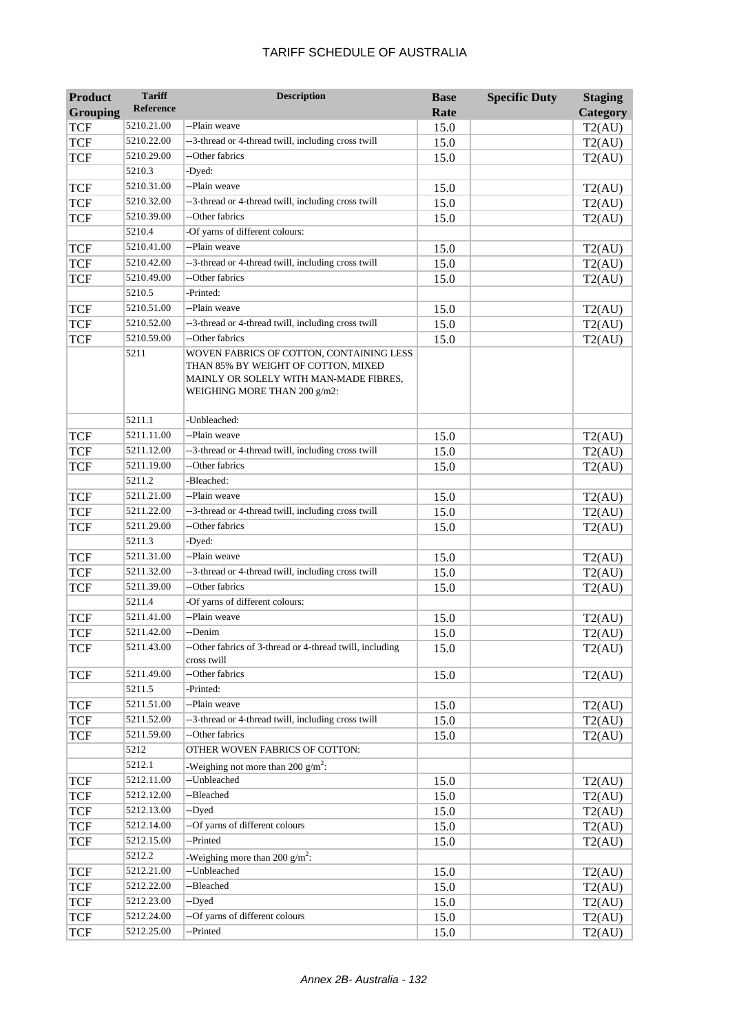| <b>Product</b>  | <b>Tariff</b>    | <b>Description</b>                                                                                                                                        | <b>Base</b> | <b>Specific Duty</b> | <b>Staging</b> |
|-----------------|------------------|-----------------------------------------------------------------------------------------------------------------------------------------------------------|-------------|----------------------|----------------|
| <b>Grouping</b> | <b>Reference</b> |                                                                                                                                                           | Rate        |                      | Category       |
| <b>TCF</b>      | 5210.21.00       | --Plain weave                                                                                                                                             | 15.0        |                      | T2(AU)         |
| <b>TCF</b>      | 5210.22.00       | --3-thread or 4-thread twill, including cross twill                                                                                                       | 15.0        |                      | T2(AU)         |
| <b>TCF</b>      | 5210.29.00       | --Other fabrics                                                                                                                                           | 15.0        |                      | T2(AU)         |
|                 | 5210.3           | -Dyed:                                                                                                                                                    |             |                      |                |
| <b>TCF</b>      | 5210.31.00       | --Plain weave                                                                                                                                             | 15.0        |                      | T2(AU)         |
| <b>TCF</b>      | 5210.32.00       | --3-thread or 4-thread twill, including cross twill                                                                                                       | 15.0        |                      | T2(AU)         |
| <b>TCF</b>      | 5210.39.00       | --Other fabrics                                                                                                                                           | 15.0        |                      | T2(AU)         |
|                 | 5210.4           | -Of yarns of different colours:                                                                                                                           |             |                      |                |
| <b>TCF</b>      | 5210.41.00       | --Plain weave                                                                                                                                             | 15.0        |                      | T2(AU)         |
| <b>TCF</b>      | 5210.42.00       | --3-thread or 4-thread twill, including cross twill                                                                                                       | 15.0        |                      | T2(AU)         |
| <b>TCF</b>      | 5210.49.00       | --Other fabrics                                                                                                                                           | 15.0        |                      | T2(AU)         |
|                 | 5210.5           | -Printed:                                                                                                                                                 |             |                      |                |
| <b>TCF</b>      | 5210.51.00       | --Plain weave                                                                                                                                             | 15.0        |                      | T2(AU)         |
| <b>TCF</b>      | 5210.52.00       | --3-thread or 4-thread twill, including cross twill                                                                                                       | 15.0        |                      | T2(AU)         |
| <b>TCF</b>      | 5210.59.00       | --Other fabrics                                                                                                                                           | 15.0        |                      | T2(AU)         |
|                 | 5211             | WOVEN FABRICS OF COTTON, CONTAINING LESS<br>THAN 85% BY WEIGHT OF COTTON, MIXED<br>MAINLY OR SOLELY WITH MAN-MADE FIBRES,<br>WEIGHING MORE THAN 200 g/m2: |             |                      |                |
|                 | 5211.1           | -Unbleached:                                                                                                                                              |             |                      |                |
| TCF             | 5211.11.00       | --Plain weave                                                                                                                                             | 15.0        |                      | T2(AU)         |
| <b>TCF</b>      | 5211.12.00       | --3-thread or 4-thread twill, including cross twill                                                                                                       | 15.0        |                      | T2(AU)         |
| <b>TCF</b>      | 5211.19.00       | --Other fabrics                                                                                                                                           | 15.0        |                      | T2(AU)         |
|                 | 5211.2           | -Bleached:                                                                                                                                                |             |                      |                |
| <b>TCF</b>      | 5211.21.00       | --Plain weave                                                                                                                                             | 15.0        |                      | T2(AU)         |
| <b>TCF</b>      | 5211.22.00       | --3-thread or 4-thread twill, including cross twill                                                                                                       | 15.0        |                      | T2(AU)         |
| <b>TCF</b>      | 5211.29.00       | --Other fabrics                                                                                                                                           | 15.0        |                      | T2(AU)         |
|                 | 5211.3           | -Dyed:                                                                                                                                                    |             |                      |                |
| <b>TCF</b>      | 5211.31.00       | --Plain weave                                                                                                                                             | 15.0        |                      | T2(AU)         |
| <b>TCF</b>      | 5211.32.00       | --3-thread or 4-thread twill, including cross twill                                                                                                       | 15.0        |                      | T2(AU)         |
| <b>TCF</b>      | 5211.39.00       | --Other fabrics                                                                                                                                           | 15.0        |                      | T2(AU)         |
|                 | 5211.4           | -Of yarns of different colours:                                                                                                                           |             |                      |                |
| TCF             | 5211.41.00       | --Plain weave                                                                                                                                             | 15.0        |                      | T2(AU)         |
| <b>TCF</b>      | 5211.42.00       | --Denim                                                                                                                                                   | 15.0        |                      | T2(AU)         |
| <b>TCF</b>      | 5211.43.00       | --Other fabrics of 3-thread or 4-thread twill, including<br>cross twill                                                                                   | 15.0        |                      | T2(AU)         |
| <b>TCF</b>      | 5211.49.00       | --Other fabrics                                                                                                                                           | 15.0        |                      | T2(AU)         |
|                 | 5211.5           | -Printed:                                                                                                                                                 |             |                      |                |
| TCF             | 5211.51.00       | --Plain weave                                                                                                                                             | 15.0        |                      | T2(AU)         |
| <b>TCF</b>      | 5211.52.00       | --3-thread or 4-thread twill, including cross twill                                                                                                       | 15.0        |                      | T2(AU)         |
| TCF             | 5211.59.00       | --Other fabrics                                                                                                                                           | 15.0        |                      | T2(AU)         |
|                 | 5212             | OTHER WOVEN FABRICS OF COTTON:                                                                                                                            |             |                      |                |
|                 | 5212.1           | -Weighing not more than 200 $g/m^2$ :                                                                                                                     |             |                      |                |
| <b>TCF</b>      | 5212.11.00       | --Unbleached                                                                                                                                              | 15.0        |                      | T2(AU)         |
| <b>TCF</b>      | 5212.12.00       | --Bleached                                                                                                                                                | 15.0        |                      | T2(AU)         |
| <b>TCF</b>      | 5212.13.00       | --Dyed                                                                                                                                                    | 15.0        |                      | T2(AU)         |
| <b>TCF</b>      | 5212.14.00       | --Of yarns of different colours                                                                                                                           | 15.0        |                      | T2(AU)         |
| <b>TCF</b>      | 5212.15.00       | --Printed                                                                                                                                                 | 15.0        |                      | T2(AU)         |
|                 | 5212.2           | -Weighing more than 200 $g/m^2$ :                                                                                                                         |             |                      |                |
| <b>TCF</b>      | 5212.21.00       | --Unbleached                                                                                                                                              | 15.0        |                      | T2(AU)         |
| <b>TCF</b>      | 5212.22.00       | --Bleached                                                                                                                                                | 15.0        |                      | T2(AU)         |
| <b>TCF</b>      | 5212.23.00       | --Dyed                                                                                                                                                    | 15.0        |                      | T2(AU)         |
| <b>TCF</b>      | 5212.24.00       | --Of yarns of different colours                                                                                                                           | 15.0        |                      | T2(AU)         |
| <b>TCF</b>      | 5212.25.00       | --Printed                                                                                                                                                 | 15.0        |                      | T2(AU)         |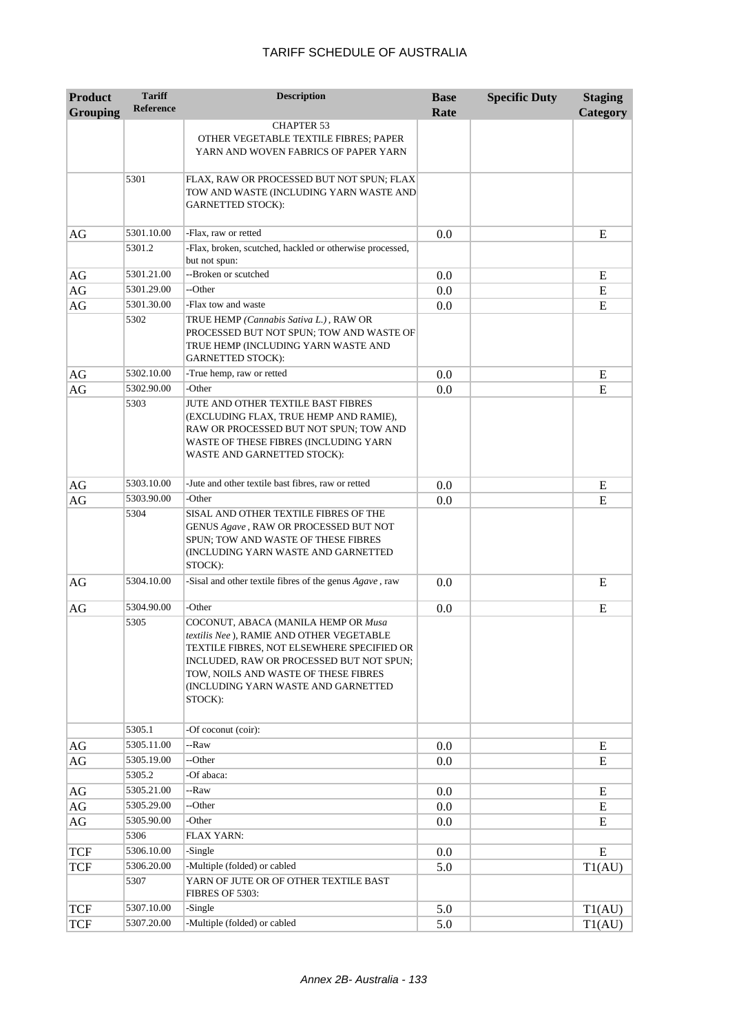| <b>Product</b><br><b>Grouping</b> | <b>Tariff</b><br><b>Reference</b> | <b>Description</b>                                                                                                                                                                                                                                                  | <b>Base</b><br>Rate | <b>Specific Duty</b> | <b>Staging</b><br>Category |
|-----------------------------------|-----------------------------------|---------------------------------------------------------------------------------------------------------------------------------------------------------------------------------------------------------------------------------------------------------------------|---------------------|----------------------|----------------------------|
|                                   |                                   | <b>CHAPTER 53</b><br>OTHER VEGETABLE TEXTILE FIBRES; PAPER<br>YARN AND WOVEN FABRICS OF PAPER YARN                                                                                                                                                                  |                     |                      |                            |
|                                   | 5301                              | FLAX, RAW OR PROCESSED BUT NOT SPUN; FLAX<br>TOW AND WASTE (INCLUDING YARN WASTE AND<br><b>GARNETTED STOCK):</b>                                                                                                                                                    |                     |                      |                            |
| AG                                | 5301.10.00                        | -Flax, raw or retted                                                                                                                                                                                                                                                | 0.0                 |                      | E                          |
|                                   | 5301.2                            | -Flax, broken, scutched, hackled or otherwise processed,<br>but not spun:                                                                                                                                                                                           |                     |                      |                            |
| AG                                | 5301.21.00                        | --Broken or scutched                                                                                                                                                                                                                                                | 0.0                 |                      | E                          |
| AG                                | 5301.29.00                        | --Other                                                                                                                                                                                                                                                             | 0.0                 |                      | E                          |
| AG                                | 5301.30.00                        | -Flax tow and waste                                                                                                                                                                                                                                                 | 0.0                 |                      | E                          |
|                                   | 5302                              | TRUE HEMP (Cannabis Sativa L.), RAW OR<br>PROCESSED BUT NOT SPUN; TOW AND WASTE OF<br>TRUE HEMP (INCLUDING YARN WASTE AND<br><b>GARNETTED STOCK):</b>                                                                                                               |                     |                      |                            |
| AG                                | 5302.10.00                        | -True hemp, raw or retted                                                                                                                                                                                                                                           | 0.0                 |                      | E                          |
| AG                                | 5302.90.00                        | -Other                                                                                                                                                                                                                                                              | 0.0                 |                      | E                          |
|                                   | 5303                              | JUTE AND OTHER TEXTILE BAST FIBRES<br>(EXCLUDING FLAX, TRUE HEMP AND RAMIE),<br>RAW OR PROCESSED BUT NOT SPUN; TOW AND<br>WASTE OF THESE FIBRES (INCLUDING YARN<br>WASTE AND GARNETTED STOCK):                                                                      |                     |                      |                            |
| AG                                | 5303.10.00                        | -Jute and other textile bast fibres, raw or retted                                                                                                                                                                                                                  | 0.0                 |                      | E                          |
| AG                                | 5303.90.00                        | -Other                                                                                                                                                                                                                                                              | 0.0                 |                      | E                          |
|                                   | 5304                              | SISAL AND OTHER TEXTILE FIBRES OF THE<br>GENUS Agave, RAW OR PROCESSED BUT NOT<br>SPUN; TOW AND WASTE OF THESE FIBRES<br>(INCLUDING YARN WASTE AND GARNETTED<br>STOCK):                                                                                             |                     |                      |                            |
| AG                                | 5304.10.00                        | -Sisal and other textile fibres of the genus Agave, raw                                                                                                                                                                                                             | 0.0                 |                      | E                          |
| AG                                | 5304.90.00                        | -Other                                                                                                                                                                                                                                                              | 0.0                 |                      | E                          |
|                                   | 5305                              | COCONUT, ABACA (MANILA HEMP OR Musa<br>textilis Nee), RAMIE AND OTHER VEGETABLE<br>TEXTILE FIBRES, NOT ELSEWHERE SPECIFIED OR<br>INCLUDED, RAW OR PROCESSED BUT NOT SPUN;<br>TOW, NOILS AND WASTE OF THESE FIBRES<br>(INCLUDING YARN WASTE AND GARNETTED<br>STOCK): |                     |                      |                            |
|                                   | 5305.1                            | -Of coconut (coir):                                                                                                                                                                                                                                                 |                     |                      |                            |
| AG                                | 5305.11.00                        | --Raw                                                                                                                                                                                                                                                               | 0.0                 |                      | E                          |
| AG                                | 5305.19.00                        | --Other                                                                                                                                                                                                                                                             | 0.0                 |                      | E                          |
|                                   | 5305.2                            | -Of abaca:                                                                                                                                                                                                                                                          |                     |                      |                            |
| $\rm{AG}$                         | 5305.21.00                        | --Raw                                                                                                                                                                                                                                                               | 0.0                 |                      | E                          |
| AG                                | 5305.29.00                        | --Other                                                                                                                                                                                                                                                             | 0.0                 |                      | E                          |
| $\rm{AG}$                         | 5305.90.00                        | -Other                                                                                                                                                                                                                                                              | 0.0                 |                      | E                          |
|                                   | 5306                              | <b>FLAX YARN:</b>                                                                                                                                                                                                                                                   |                     |                      |                            |
| <b>TCF</b>                        | 5306.10.00                        | -Single                                                                                                                                                                                                                                                             | 0.0                 |                      | ${\bf E}$                  |
| <b>TCF</b>                        | 5306.20.00                        | -Multiple (folded) or cabled                                                                                                                                                                                                                                        | 5.0                 |                      | T1(AU)                     |
|                                   | 5307                              | YARN OF JUTE OR OF OTHER TEXTILE BAST<br>FIBRES OF 5303:                                                                                                                                                                                                            |                     |                      |                            |
| <b>TCF</b>                        | 5307.10.00                        | -Single                                                                                                                                                                                                                                                             | 5.0                 |                      | T1(AU)                     |
| <b>TCF</b>                        | 5307.20.00                        | -Multiple (folded) or cabled                                                                                                                                                                                                                                        | 5.0                 |                      | T1(AU)                     |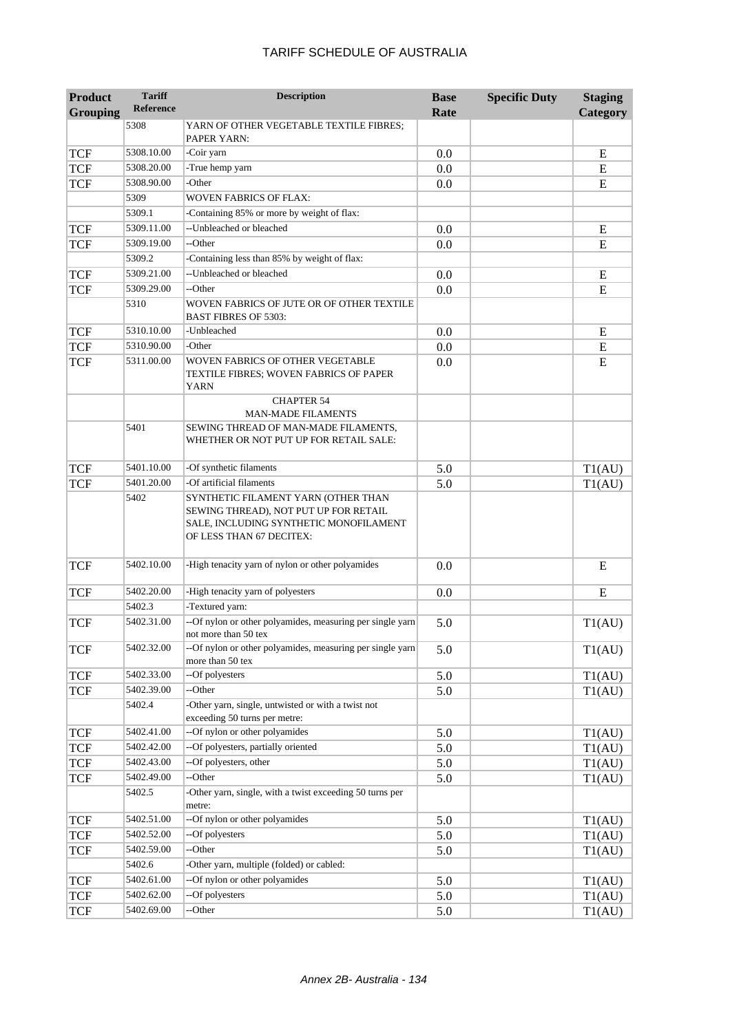| <b>Product</b>  | <b>Tariff</b><br><b>Reference</b> | <b>Description</b>                                                                                                                                 | <b>Base</b> | <b>Specific Duty</b> | <b>Staging</b> |
|-----------------|-----------------------------------|----------------------------------------------------------------------------------------------------------------------------------------------------|-------------|----------------------|----------------|
| <b>Grouping</b> |                                   |                                                                                                                                                    | Rate        |                      | Category       |
|                 | 5308                              | YARN OF OTHER VEGETABLE TEXTILE FIBRES;<br>PAPER YARN:                                                                                             |             |                      |                |
| <b>TCF</b>      | 5308.10.00                        | -Coir yarn                                                                                                                                         | 0.0         |                      | E              |
| <b>TCF</b>      | 5308.20.00                        | -True hemp yarn                                                                                                                                    | 0.0         |                      | ${\bf E}$      |
| <b>TCF</b>      | 5308.90.00                        | -Other                                                                                                                                             | 0.0         |                      | ${\bf E}$      |
|                 | 5309                              | WOVEN FABRICS OF FLAX:                                                                                                                             |             |                      |                |
|                 | 5309.1                            | -Containing 85% or more by weight of flax:                                                                                                         |             |                      |                |
| <b>TCF</b>      | 5309.11.00                        | -- Unbleached or bleached                                                                                                                          | 0.0         |                      | E              |
| <b>TCF</b>      | 5309.19.00                        | --Other                                                                                                                                            | 0.0         |                      | E              |
|                 | 5309.2                            | -Containing less than 85% by weight of flax:                                                                                                       |             |                      |                |
| <b>TCF</b>      | 5309.21.00                        | --Unbleached or bleached                                                                                                                           | 0.0         |                      | E              |
| <b>TCF</b>      | 5309.29.00                        | --Other                                                                                                                                            | 0.0         |                      | E              |
|                 | 5310                              | WOVEN FABRICS OF JUTE OR OF OTHER TEXTILE<br><b>BAST FIBRES OF 5303:</b>                                                                           |             |                      |                |
| <b>TCF</b>      | 5310.10.00                        | -Unbleached                                                                                                                                        | 0.0         |                      | E              |
| <b>TCF</b>      | 5310.90.00                        | -Other                                                                                                                                             | 0.0         |                      | ${\bf E}$      |
| <b>TCF</b>      | 5311.00.00                        | WOVEN FABRICS OF OTHER VEGETABLE<br>TEXTILE FIBRES; WOVEN FABRICS OF PAPER<br><b>YARN</b>                                                          | 0.0         |                      | ${\bf E}$      |
|                 |                                   | <b>CHAPTER 54</b><br><b>MAN-MADE FILAMENTS</b>                                                                                                     |             |                      |                |
|                 | 5401                              | SEWING THREAD OF MAN-MADE FILAMENTS,<br>WHETHER OR NOT PUT UP FOR RETAIL SALE:                                                                     |             |                      |                |
| <b>TCF</b>      | 5401.10.00                        | -Of synthetic filaments                                                                                                                            | 5.0         |                      | T1(AU)         |
| <b>TCF</b>      | 5401.20.00                        | -Of artificial filaments                                                                                                                           | 5.0         |                      | T1(AU)         |
|                 | 5402                              | SYNTHETIC FILAMENT YARN (OTHER THAN<br>SEWING THREAD), NOT PUT UP FOR RETAIL<br>SALE, INCLUDING SYNTHETIC MONOFILAMENT<br>OF LESS THAN 67 DECITEX: |             |                      |                |
| <b>TCF</b>      | 5402.10.00                        | -High tenacity yarn of nylon or other polyamides                                                                                                   | 0.0         |                      | E              |
| <b>TCF</b>      | 5402.20.00                        | -High tenacity yarn of polyesters                                                                                                                  | 0.0         |                      | E              |
|                 | 5402.3                            | -Textured yarn:                                                                                                                                    |             |                      |                |
| <b>TCF</b>      | 5402.31.00                        | --Of nylon or other polyamides, measuring per single yarn<br>not more than 50 tex                                                                  | 5.0         |                      | T1(AU)         |
| <b>TCF</b>      | 5402.32.00                        | --Of nylon or other polyamides, measuring per single yarn<br>more than 50 tex                                                                      | 5.0         |                      | T1(AU)         |
| <b>TCF</b>      | 5402.33.00                        | --Of polyesters                                                                                                                                    | 5.0         |                      | T1(AU)         |
| <b>TCF</b>      | 5402.39.00                        | --Other                                                                                                                                            | 5.0         |                      | T1(AU)         |
|                 | 5402.4                            | -Other yarn, single, untwisted or with a twist not<br>exceeding 50 turns per metre:                                                                |             |                      |                |
| <b>TCF</b>      | 5402.41.00                        | --Of nylon or other polyamides                                                                                                                     | 5.0         |                      | T1(AU)         |
| <b>TCF</b>      | 5402.42.00                        | --Of polyesters, partially oriented                                                                                                                | 5.0         |                      | T1(AU)         |
| <b>TCF</b>      | 5402.43.00                        | --Of polyesters, other                                                                                                                             | 5.0         |                      | T1(AU)         |
| <b>TCF</b>      | 5402.49.00                        | --Other                                                                                                                                            | 5.0         |                      | T1(AU)         |
|                 | 5402.5                            | -Other yarn, single, with a twist exceeding 50 turns per<br>metre:                                                                                 |             |                      |                |
| <b>TCF</b>      | 5402.51.00                        | --Of nylon or other polyamides                                                                                                                     | 5.0         |                      | T1(AU)         |
| <b>TCF</b>      | 5402.52.00                        | --Of polyesters                                                                                                                                    | 5.0         |                      | T1(AU)         |
| <b>TCF</b>      | 5402.59.00                        | --Other                                                                                                                                            | 5.0         |                      | T1(AU)         |
|                 | 5402.6                            | -Other yarn, multiple (folded) or cabled:                                                                                                          |             |                      |                |
| <b>TCF</b>      | 5402.61.00                        | --Of nylon or other polyamides                                                                                                                     | 5.0         |                      | T1(AU)         |
| <b>TCF</b>      | 5402.62.00                        | --Of polyesters                                                                                                                                    | 5.0         |                      | T1(AU)         |
| <b>TCF</b>      | 5402.69.00                        | --Other                                                                                                                                            | 5.0         |                      | T1(AU)         |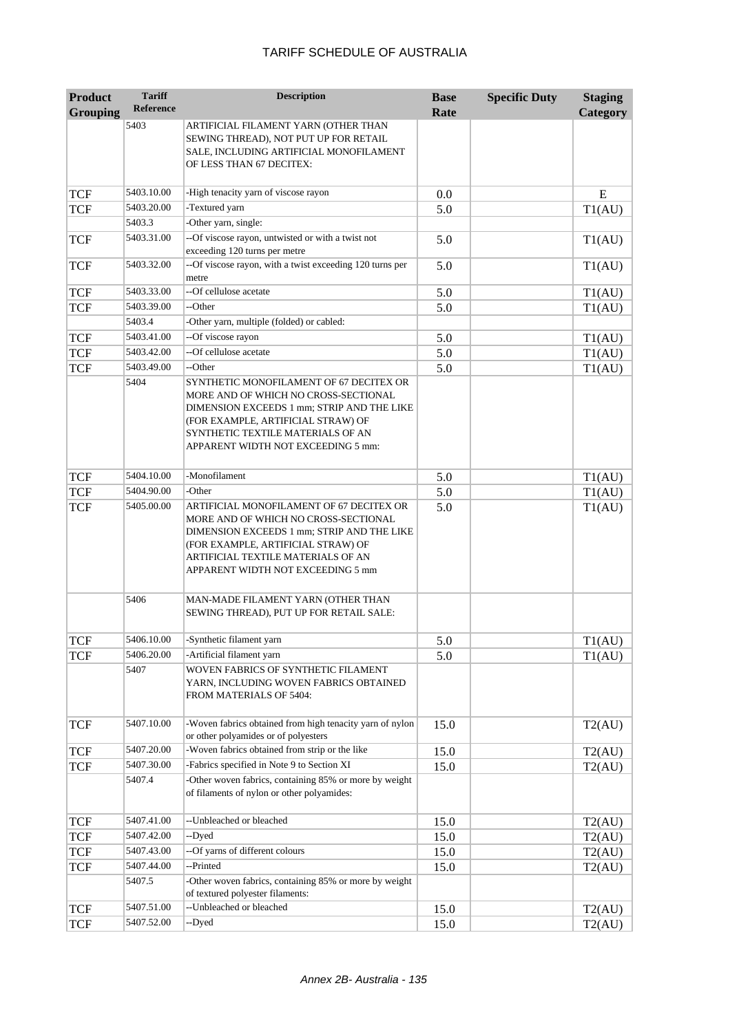| <b>Product</b>  | <b>Tariff</b>    | <b>Description</b>                                                                                                                                                                                                                              | <b>Base</b> | <b>Specific Duty</b> | <b>Staging</b> |
|-----------------|------------------|-------------------------------------------------------------------------------------------------------------------------------------------------------------------------------------------------------------------------------------------------|-------------|----------------------|----------------|
| <b>Grouping</b> | <b>Reference</b> |                                                                                                                                                                                                                                                 | Rate        |                      | Category       |
|                 | 5403             | ARTIFICIAL FILAMENT YARN (OTHER THAN<br>SEWING THREAD), NOT PUT UP FOR RETAIL<br>SALE, INCLUDING ARTIFICIAL MONOFILAMENT<br>OF LESS THAN 67 DECITEX:                                                                                            |             |                      |                |
| <b>TCF</b>      | 5403.10.00       | -High tenacity yarn of viscose rayon                                                                                                                                                                                                            | 0.0         |                      | E              |
| <b>TCF</b>      | 5403.20.00       | -Textured yarn                                                                                                                                                                                                                                  | 5.0         |                      | T1(AU)         |
|                 | 5403.3           | -Other yarn, single:                                                                                                                                                                                                                            |             |                      |                |
| <b>TCF</b>      | 5403.31.00       | --Of viscose rayon, untwisted or with a twist not<br>exceeding 120 turns per metre                                                                                                                                                              | 5.0         |                      | T1(AU)         |
| <b>TCF</b>      | 5403.32.00       | --Of viscose rayon, with a twist exceeding 120 turns per<br>metre                                                                                                                                                                               | 5.0         |                      | T1(AU)         |
| <b>TCF</b>      | 5403.33.00       | --Of cellulose acetate                                                                                                                                                                                                                          | 5.0         |                      | T1(AU)         |
| <b>TCF</b>      | 5403.39.00       | --Other                                                                                                                                                                                                                                         | 5.0         |                      | T1(AU)         |
|                 | 5403.4           | -Other yarn, multiple (folded) or cabled:                                                                                                                                                                                                       |             |                      |                |
| <b>TCF</b>      | 5403.41.00       | --Of viscose rayon                                                                                                                                                                                                                              | 5.0         |                      | T1(AU)         |
| <b>TCF</b>      | 5403.42.00       | --Of cellulose acetate                                                                                                                                                                                                                          | 5.0         |                      | T1(AU)         |
| <b>TCF</b>      | 5403.49.00       | --Other                                                                                                                                                                                                                                         | 5.0         |                      | T1(AU)         |
|                 | 5404             | SYNTHETIC MONOFILAMENT OF 67 DECITEX OR<br>MORE AND OF WHICH NO CROSS-SECTIONAL<br>DIMENSION EXCEEDS 1 mm; STRIP AND THE LIKE<br>(FOR EXAMPLE, ARTIFICIAL STRAW) OF<br>SYNTHETIC TEXTILE MATERIALS OF AN<br>APPARENT WIDTH NOT EXCEEDING 5 mm:  |             |                      |                |
| <b>TCF</b>      | 5404.10.00       | -Monofilament                                                                                                                                                                                                                                   | 5.0         |                      | T1(AU)         |
| <b>TCF</b>      | 5404.90.00       | -Other                                                                                                                                                                                                                                          | 5.0         |                      | T1(AU)         |
| <b>TCF</b>      | 5405.00.00       | ARTIFICIAL MONOFILAMENT OF 67 DECITEX OR<br>MORE AND OF WHICH NO CROSS-SECTIONAL<br>DIMENSION EXCEEDS 1 mm; STRIP AND THE LIKE<br>(FOR EXAMPLE, ARTIFICIAL STRAW) OF<br>ARTIFICIAL TEXTILE MATERIALS OF AN<br>APPARENT WIDTH NOT EXCEEDING 5 mm | 5.0         |                      | T1(AU)         |
|                 | 5406             | MAN-MADE FILAMENT YARN (OTHER THAN<br>SEWING THREAD), PUT UP FOR RETAIL SALE:                                                                                                                                                                   |             |                      |                |
| TCF             | 5406.10.00       | -Synthetic filament yarn                                                                                                                                                                                                                        | 5.0         |                      | T1(AU)         |
| <b>TCF</b>      | 5406.20.00       | -Artificial filament yarn                                                                                                                                                                                                                       | 5.0         |                      | T1(AU)         |
|                 | 5407             | WOVEN FABRICS OF SYNTHETIC FILAMENT<br>YARN, INCLUDING WOVEN FABRICS OBTAINED<br>FROM MATERIALS OF 5404:                                                                                                                                        |             |                      |                |
| <b>TCF</b>      | 5407.10.00       | -Woven fabrics obtained from high tenacity yarn of nylon<br>or other polyamides or of polyesters                                                                                                                                                | 15.0        |                      | T2(AU)         |
| <b>TCF</b>      | 5407.20.00       | -Woven fabrics obtained from strip or the like                                                                                                                                                                                                  | 15.0        |                      | T2(AU)         |
| <b>TCF</b>      | 5407.30.00       | -Fabrics specified in Note 9 to Section XI                                                                                                                                                                                                      | 15.0        |                      | T2(AU)         |
|                 | 5407.4           | -Other woven fabrics, containing 85% or more by weight<br>of filaments of nylon or other polyamides:                                                                                                                                            |             |                      |                |
| <b>TCF</b>      | 5407.41.00       | --Unbleached or bleached                                                                                                                                                                                                                        | 15.0        |                      | T2(AU)         |
| <b>TCF</b>      | 5407.42.00       | --Dyed                                                                                                                                                                                                                                          | 15.0        |                      | T2(AU)         |
| <b>TCF</b>      | 5407.43.00       | --Of yarns of different colours                                                                                                                                                                                                                 | 15.0        |                      | T2(AU)         |
| <b>TCF</b>      | 5407.44.00       | --Printed                                                                                                                                                                                                                                       | 15.0        |                      | T2(AU)         |
|                 | 5407.5           | -Other woven fabrics, containing 85% or more by weight<br>of textured polyester filaments:                                                                                                                                                      |             |                      |                |
| <b>TCF</b>      | 5407.51.00       | --Unbleached or bleached                                                                                                                                                                                                                        | 15.0        |                      | T2(AU)         |
| <b>TCF</b>      | 5407.52.00       | --Dyed                                                                                                                                                                                                                                          | 15.0        |                      | T2(AU)         |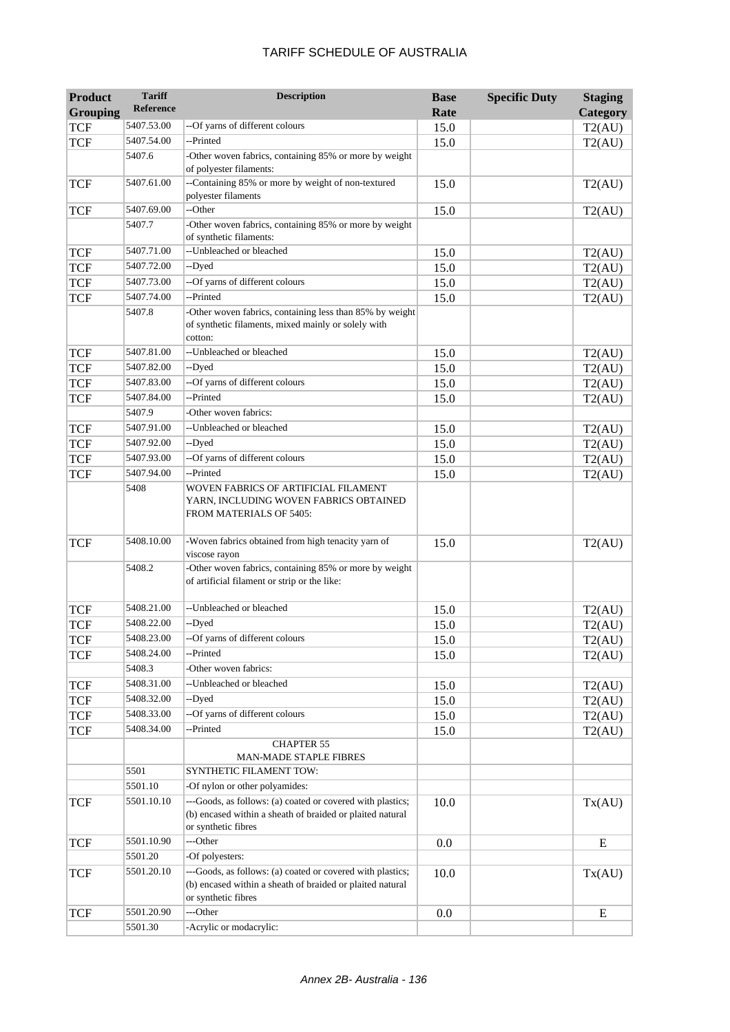| <b>Product</b>  | <b>Tariff</b><br>Reference | <b>Description</b>                                                                                                                             | <b>Base</b> | <b>Specific Duty</b> | <b>Staging</b> |
|-----------------|----------------------------|------------------------------------------------------------------------------------------------------------------------------------------------|-------------|----------------------|----------------|
| <b>Grouping</b> |                            |                                                                                                                                                | Rate        |                      | Category       |
| <b>TCF</b>      | 5407.53.00                 | --Of yarns of different colours<br>--Printed                                                                                                   | 15.0        |                      | T2(AU)         |
| <b>TCF</b>      | 5407.54.00                 |                                                                                                                                                | 15.0        |                      | T2(AU)         |
|                 | 5407.6                     | -Other woven fabrics, containing 85% or more by weight<br>of polyester filaments:                                                              |             |                      |                |
| <b>TCF</b>      | 5407.61.00                 | --Containing 85% or more by weight of non-textured                                                                                             | 15.0        |                      | T2(AU)         |
|                 |                            | polyester filaments                                                                                                                            |             |                      |                |
| <b>TCF</b>      | 5407.69.00                 | --Other                                                                                                                                        | 15.0        |                      | T2(AU)         |
|                 | 5407.7                     | -Other woven fabrics, containing 85% or more by weight                                                                                         |             |                      |                |
|                 |                            | of synthetic filaments:                                                                                                                        |             |                      |                |
| <b>TCF</b>      | 5407.71.00                 | --Unbleached or bleached                                                                                                                       | 15.0        |                      | T2(AU)         |
| <b>TCF</b>      | 5407.72.00                 | --Dyed                                                                                                                                         | 15.0        |                      | T2(AU)         |
| <b>TCF</b>      | 5407.73.00                 | --Of yarns of different colours                                                                                                                | 15.0        |                      | T2(AU)         |
| <b>TCF</b>      | 5407.74.00                 | --Printed                                                                                                                                      | 15.0        |                      | T2(AU)         |
|                 | 5407.8                     | -Other woven fabrics, containing less than 85% by weight<br>of synthetic filaments, mixed mainly or solely with<br>cotton:                     |             |                      |                |
| <b>TCF</b>      | 5407.81.00                 | --Unbleached or bleached                                                                                                                       | 15.0        |                      | T2(AU)         |
| <b>TCF</b>      | 5407.82.00                 | --Dyed                                                                                                                                         | 15.0        |                      | T2(AU)         |
| <b>TCF</b>      | 5407.83.00                 | --Of yarns of different colours                                                                                                                | 15.0        |                      | T2(AU)         |
| <b>TCF</b>      | 5407.84.00                 | --Printed                                                                                                                                      | 15.0        |                      | T2(AU)         |
|                 | 5407.9                     | -Other woven fabrics:                                                                                                                          |             |                      |                |
| <b>TCF</b>      | 5407.91.00                 | --Unbleached or bleached                                                                                                                       | 15.0        |                      | T2(AU)         |
| <b>TCF</b>      | 5407.92.00                 | --Dyed                                                                                                                                         | 15.0        |                      | T2(AU)         |
| <b>TCF</b>      | 5407.93.00                 | --Of yarns of different colours                                                                                                                | 15.0        |                      | T2(AU)         |
| <b>TCF</b>      | 5407.94.00                 | --Printed                                                                                                                                      | 15.0        |                      | T2(AU)         |
|                 | 5408                       | WOVEN FABRICS OF ARTIFICIAL FILAMENT<br>YARN, INCLUDING WOVEN FABRICS OBTAINED<br>FROM MATERIALS OF 5405:                                      |             |                      |                |
| <b>TCF</b>      | 5408.10.00                 | -Woven fabrics obtained from high tenacity yarn of<br>viscose rayon                                                                            | 15.0        |                      | T2(AU)         |
|                 | 5408.2                     | -Other woven fabrics, containing 85% or more by weight<br>of artificial filament or strip or the like:                                         |             |                      |                |
| <b>TCF</b>      | 5408.21.00                 | --Unbleached or bleached                                                                                                                       | 15.0        |                      | T2(AU)         |
| <b>TCF</b>      | 5408.22.00                 | --Dyed                                                                                                                                         | 15.0        |                      | T2(AU)         |
| <b>TCF</b>      | 5408.23.00                 | --Of yarns of different colours                                                                                                                | 15.0        |                      | T2(AU)         |
| TCF             | 5408.24.00                 | --Printed                                                                                                                                      | 15.0        |                      | T2(AU)         |
|                 | 5408.3                     | -Other woven fabrics:                                                                                                                          |             |                      |                |
| <b>TCF</b>      | 5408.31.00                 | --Unbleached or bleached                                                                                                                       | 15.0        |                      | T2(AU)         |
| <b>TCF</b>      | 5408.32.00                 | --Dyed                                                                                                                                         | 15.0        |                      | T2(AU)         |
| <b>TCF</b>      | 5408.33.00                 | --Of yarns of different colours                                                                                                                | 15.0        |                      | T2(AU)         |
| <b>TCF</b>      | 5408.34.00                 | --Printed                                                                                                                                      | 15.0        |                      | T2(AU)         |
|                 |                            | <b>CHAPTER 55</b><br>MAN-MADE STAPLE FIBRES                                                                                                    |             |                      |                |
|                 | 5501                       | SYNTHETIC FILAMENT TOW:                                                                                                                        |             |                      |                |
|                 | 5501.10                    | -Of nylon or other polyamides:                                                                                                                 |             |                      |                |
| <b>TCF</b>      | 5501.10.10                 | ---Goods, as follows: (a) coated or covered with plastics;<br>(b) encased within a sheath of braided or plaited natural<br>or synthetic fibres | 10.0        |                      | Tx(AU)         |
| <b>TCF</b>      | 5501.10.90                 | ---Other                                                                                                                                       | 0.0         |                      | ${\bf E}$      |
|                 | 5501.20                    | -Of polyesters:                                                                                                                                |             |                      |                |
| <b>TCF</b>      | 5501.20.10                 | ---Goods, as follows: (a) coated or covered with plastics;<br>(b) encased within a sheath of braided or plaited natural<br>or synthetic fibres | 10.0        |                      | Tx(AU)         |
| <b>TCF</b>      | 5501.20.90                 | ---Other                                                                                                                                       | 0.0         |                      | E              |
|                 | 5501.30                    | -Acrylic or modacrylic:                                                                                                                        |             |                      |                |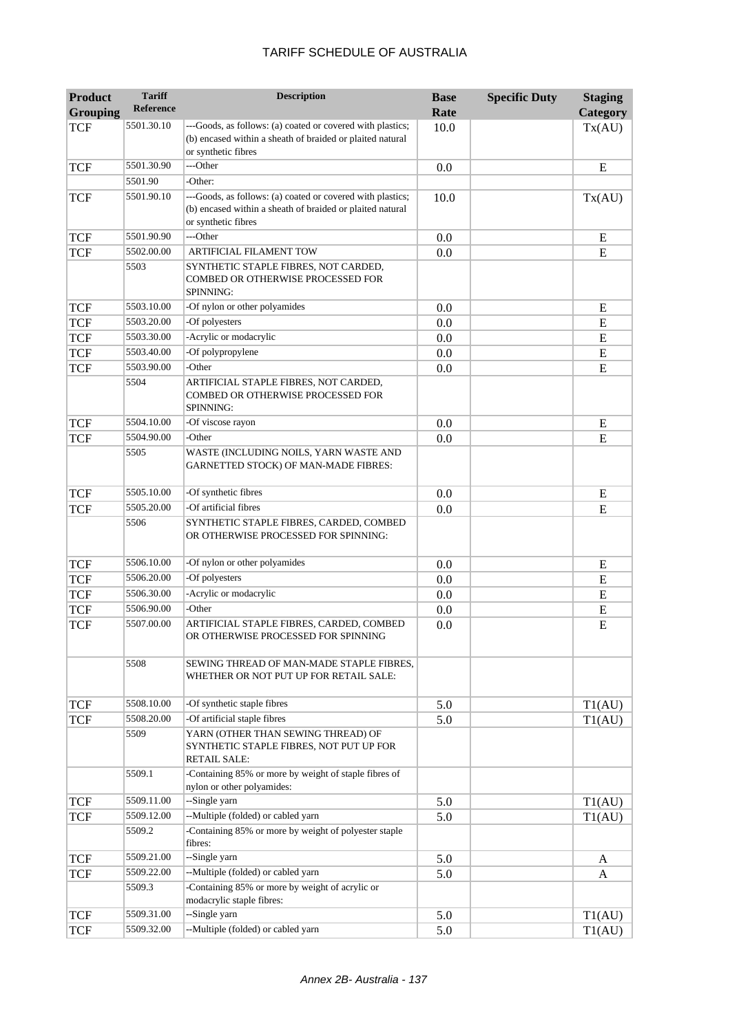| <b>Product</b><br><b>Grouping</b> | <b>Tariff</b><br><b>Reference</b> | <b>Description</b>                                                                                                                             | <b>Base</b><br>Rate | <b>Specific Duty</b> | <b>Staging</b><br>Category |
|-----------------------------------|-----------------------------------|------------------------------------------------------------------------------------------------------------------------------------------------|---------------------|----------------------|----------------------------|
| <b>TCF</b>                        | 5501.30.10                        | ---Goods, as follows: (a) coated or covered with plastics;<br>(b) encased within a sheath of braided or plaited natural<br>or synthetic fibres | 10.0                |                      | Tx(AU)                     |
| <b>TCF</b>                        | 5501.30.90                        | ---Other                                                                                                                                       | 0.0                 |                      | E                          |
|                                   | 5501.90                           | -Other:                                                                                                                                        |                     |                      |                            |
| <b>TCF</b>                        | 5501.90.10                        | ---Goods, as follows: (a) coated or covered with plastics;<br>(b) encased within a sheath of braided or plaited natural<br>or synthetic fibres | 10.0                |                      | Tx(AU)                     |
| <b>TCF</b>                        | 5501.90.90                        | ---Other                                                                                                                                       | 0.0                 |                      | E                          |
| <b>TCF</b>                        | 5502.00.00                        | <b>ARTIFICIAL FILAMENT TOW</b>                                                                                                                 | 0.0                 |                      | E                          |
|                                   | 5503                              | SYNTHETIC STAPLE FIBRES, NOT CARDED,<br>COMBED OR OTHERWISE PROCESSED FOR<br><b>SPINNING:</b>                                                  |                     |                      |                            |
| <b>TCF</b>                        | 5503.10.00                        | -Of nylon or other polyamides                                                                                                                  | 0.0                 |                      | E                          |
| <b>TCF</b>                        | 5503.20.00                        | -Of polyesters                                                                                                                                 | 0.0                 |                      | ${\bf E}$                  |
| <b>TCF</b>                        | 5503.30.00                        | -Acrylic or modacrylic                                                                                                                         | 0.0                 |                      | E                          |
| <b>TCF</b>                        | 5503.40.00                        | -Of polypropylene                                                                                                                              | 0.0                 |                      | E                          |
| <b>TCF</b>                        | 5503.90.00                        | -Other                                                                                                                                         | 0.0                 |                      | E                          |
|                                   | 5504                              | ARTIFICIAL STAPLE FIBRES, NOT CARDED,<br>COMBED OR OTHERWISE PROCESSED FOR<br>SPINNING:                                                        |                     |                      |                            |
| <b>TCF</b>                        | 5504.10.00                        | -Of viscose rayon                                                                                                                              | 0.0                 |                      | E                          |
| <b>TCF</b>                        | 5504.90.00                        | -Other                                                                                                                                         | 0.0                 |                      | E                          |
|                                   | 5505                              | WASTE (INCLUDING NOILS, YARN WASTE AND<br>GARNETTED STOCK) OF MAN-MADE FIBRES:                                                                 |                     |                      |                            |
| <b>TCF</b>                        | 5505.10.00                        | -Of synthetic fibres                                                                                                                           | 0.0                 |                      | ${\bf E}$                  |
| <b>TCF</b>                        | 5505.20.00                        | -Of artificial fibres                                                                                                                          | 0.0                 |                      | E                          |
|                                   | 5506                              | SYNTHETIC STAPLE FIBRES, CARDED, COMBED<br>OR OTHERWISE PROCESSED FOR SPINNING:                                                                |                     |                      |                            |
| <b>TCF</b>                        | 5506.10.00                        | -Of nylon or other polyamides                                                                                                                  | 0.0                 |                      | E                          |
| <b>TCF</b>                        | 5506.20.00                        | -Of polyesters                                                                                                                                 | 0.0                 |                      | ${\bf E}$                  |
| <b>TCF</b>                        | 5506.30.00                        | -Acrylic or modacrylic                                                                                                                         | 0.0                 |                      | E                          |
| <b>TCF</b>                        | 5506.90.00                        | -Other                                                                                                                                         | 0.0                 |                      | ${\bf E}$                  |
| <b>TCF</b>                        | 5507.00.00                        | ARTIFICIAL STAPLE FIBRES, CARDED, COMBED<br>OR OTHERWISE PROCESSED FOR SPINNING                                                                | 0.0                 |                      | E                          |
|                                   | 5508                              | SEWING THREAD OF MAN-MADE STAPLE FIBRES,<br>WHETHER OR NOT PUT UP FOR RETAIL SALE:                                                             |                     |                      |                            |
| <b>TCF</b>                        | 5508.10.00                        | -Of synthetic staple fibres                                                                                                                    | 5.0                 |                      | T1(AU)                     |
| <b>TCF</b>                        | 5508.20.00                        | -Of artificial staple fibres                                                                                                                   | 5.0                 |                      | T1(AU)                     |
|                                   | 5509                              | YARN (OTHER THAN SEWING THREAD) OF<br>SYNTHETIC STAPLE FIBRES, NOT PUT UP FOR<br><b>RETAIL SALE:</b>                                           |                     |                      |                            |
|                                   | 5509.1                            | -Containing 85% or more by weight of staple fibres of<br>nylon or other polyamides:                                                            |                     |                      |                            |
| <b>TCF</b>                        | 5509.11.00                        | --Single yarn                                                                                                                                  | 5.0                 |                      | T1(AU)                     |
| <b>TCF</b>                        | 5509.12.00                        | --Multiple (folded) or cabled yarn                                                                                                             | 5.0                 |                      | T1(AU)                     |
|                                   | 5509.2                            | -Containing 85% or more by weight of polyester staple<br>fibres:                                                                               |                     |                      |                            |
| <b>TCF</b>                        | 5509.21.00                        | --Single yarn                                                                                                                                  | 5.0                 |                      | A                          |
| <b>TCF</b>                        | 5509.22.00                        | --Multiple (folded) or cabled yarn                                                                                                             | 5.0                 |                      | A                          |
|                                   | 5509.3                            | -Containing 85% or more by weight of acrylic or<br>modacrylic staple fibres:                                                                   |                     |                      |                            |
| <b>TCF</b>                        | 5509.31.00                        | --Single yarn                                                                                                                                  | 5.0                 |                      | T1(AU)                     |
| <b>TCF</b>                        | 5509.32.00                        | --Multiple (folded) or cabled yarn                                                                                                             | 5.0                 |                      | T1(AU)                     |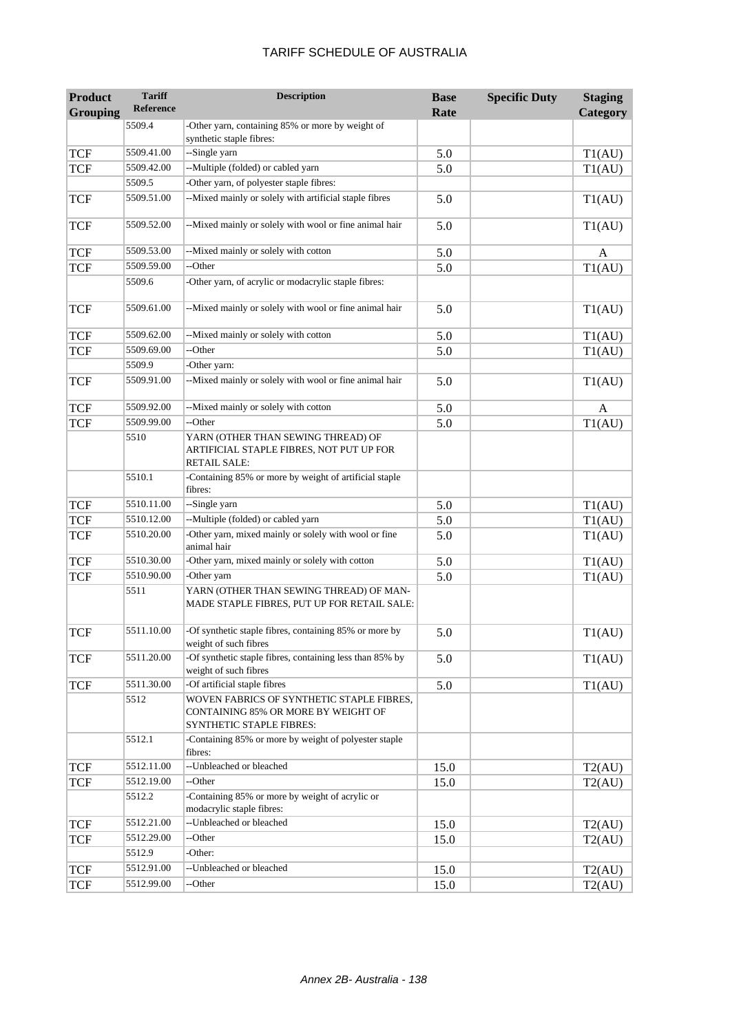| <b>Grouping</b><br>Category<br>5509.4<br>-Other yarn, containing 85% or more by weight of<br>synthetic staple fibres:<br>5509.41.00<br><b>TCF</b><br>--Single yarn<br>T1(AU)<br>5.0<br>--Multiple (folded) or cabled yarn<br>5509.42.00<br><b>TCF</b><br>5.0<br>T1(AU)<br>-Other yarn, of polyester staple fibres:<br>5509.5<br>--Mixed mainly or solely with artificial staple fibres<br>5509.51.00<br><b>TCF</b><br>5.0<br>T1(AU)<br>--Mixed mainly or solely with wool or fine animal hair<br>5509.52.00<br><b>TCF</b><br>5.0<br>T1(AU)<br>--Mixed mainly or solely with cotton<br><b>TCF</b><br>5509.53.00<br>5.0<br>A<br>--Other<br><b>TCF</b><br>5509.59.00<br>T1(AU)<br>5.0<br>-Other yarn, of acrylic or modacrylic staple fibres:<br>5509.6<br>--Mixed mainly or solely with wool or fine animal hair<br>5509.61.00<br><b>TCF</b><br>5.0<br>T1(AU)<br>--Mixed mainly or solely with cotton<br><b>TCF</b><br>5509.62.00<br>5.0<br>T1(AU)<br>5509.69.00<br>--Other<br><b>TCF</b><br>5.0<br>T1(AU)<br>5509.9<br>-Other yarn:<br>--Mixed mainly or solely with wool or fine animal hair<br>5509.91.00<br><b>TCF</b><br>5.0<br>T1(AU)<br>--Mixed mainly or solely with cotton<br><b>TCF</b><br>5509.92.00<br>5.0<br>A<br><b>TCF</b><br>5509.99.00<br>--Other<br>5.0<br>T1(AU)<br>5510<br>YARN (OTHER THAN SEWING THREAD) OF<br>ARTIFICIAL STAPLE FIBRES, NOT PUT UP FOR<br><b>RETAIL SALE:</b><br>5510.1<br>-Containing 85% or more by weight of artificial staple<br>fibres:<br><b>TCF</b><br>5510.11.00<br>--Single yarn<br>5.0<br>T1(AU)<br>--Multiple (folded) or cabled yarn<br><b>TCF</b><br>5510.12.00<br>5.0<br>T1(AU)<br>-Other yarn, mixed mainly or solely with wool or fine<br>5510.20.00<br><b>TCF</b><br>5.0<br>T1(AU)<br>animal hair<br>5510.30.00<br>-Other yarn, mixed mainly or solely with cotton<br><b>TCF</b><br>5.0<br>T1(AU)<br>-Other yarn<br>5510.90.00<br><b>TCF</b><br>5.0<br>T1(AU)<br>5511<br>YARN (OTHER THAN SEWING THREAD) OF MAN-<br>MADE STAPLE FIBRES, PUT UP FOR RETAIL SALE:<br>-Of synthetic staple fibres, containing 85% or more by<br>5511.10.00<br><b>TCF</b><br>5.0<br>T1(AU)<br>weight of such fibres<br>-Of synthetic staple fibres, containing less than 85% by<br>5511.20.00<br>5.0<br><b>TCF</b><br>T1(AU)<br>weight of such fibres<br>-Of artificial staple fibres<br>5511.30.00<br><b>TCF</b><br>5.0<br>T1(AU)<br>5512<br>WOVEN FABRICS OF SYNTHETIC STAPLE FIBRES,<br>CONTAINING 85% OR MORE BY WEIGHT OF<br>SYNTHETIC STAPLE FIBRES:<br>5512.1<br>-Containing 85% or more by weight of polyester staple<br>fibres:<br>--Unbleached or bleached<br>5512.11.00<br><b>TCF</b><br>15.0<br>T2(AU)<br>--Other<br>5512.19.00<br><b>TCF</b><br>15.0<br>T2(AU)<br>-Containing 85% or more by weight of acrylic or<br>5512.2<br>modacrylic staple fibres:<br>--Unbleached or bleached<br>5512.21.00<br><b>TCF</b><br>15.0<br>T2(AU)<br>--Other<br>5512.29.00<br><b>TCF</b><br>15.0<br>T2(AU)<br>5512.9<br>-Other:<br>5512.91.00<br>--Unbleached or bleached<br><b>TCF</b><br>15.0<br>T2(AU)<br>5512.99.00<br>--Other<br><b>TCF</b><br>15.0<br>T2(AU) | <b>Product</b> | <b>Tariff</b> | <b>Description</b> | <b>Base</b> | <b>Specific Duty</b> | <b>Staging</b> |
|----------------------------------------------------------------------------------------------------------------------------------------------------------------------------------------------------------------------------------------------------------------------------------------------------------------------------------------------------------------------------------------------------------------------------------------------------------------------------------------------------------------------------------------------------------------------------------------------------------------------------------------------------------------------------------------------------------------------------------------------------------------------------------------------------------------------------------------------------------------------------------------------------------------------------------------------------------------------------------------------------------------------------------------------------------------------------------------------------------------------------------------------------------------------------------------------------------------------------------------------------------------------------------------------------------------------------------------------------------------------------------------------------------------------------------------------------------------------------------------------------------------------------------------------------------------------------------------------------------------------------------------------------------------------------------------------------------------------------------------------------------------------------------------------------------------------------------------------------------------------------------------------------------------------------------------------------------------------------------------------------------------------------------------------------------------------------------------------------------------------------------------------------------------------------------------------------------------------------------------------------------------------------------------------------------------------------------------------------------------------------------------------------------------------------------------------------------------------------------------------------------------------------------------------------------------------------------------------------------------------------------------------------------------------------------------------------------------------------------------------------------------------------------------------------------------------------------------------------------------------------------------------------------------------------------------------------------------------------------------------------------------------------------------------------------------------------------------------------|----------------|---------------|--------------------|-------------|----------------------|----------------|
|                                                                                                                                                                                                                                                                                                                                                                                                                                                                                                                                                                                                                                                                                                                                                                                                                                                                                                                                                                                                                                                                                                                                                                                                                                                                                                                                                                                                                                                                                                                                                                                                                                                                                                                                                                                                                                                                                                                                                                                                                                                                                                                                                                                                                                                                                                                                                                                                                                                                                                                                                                                                                                                                                                                                                                                                                                                                                                                                                                                                                                                                                                    |                | Reference     |                    | Rate        |                      |                |
|                                                                                                                                                                                                                                                                                                                                                                                                                                                                                                                                                                                                                                                                                                                                                                                                                                                                                                                                                                                                                                                                                                                                                                                                                                                                                                                                                                                                                                                                                                                                                                                                                                                                                                                                                                                                                                                                                                                                                                                                                                                                                                                                                                                                                                                                                                                                                                                                                                                                                                                                                                                                                                                                                                                                                                                                                                                                                                                                                                                                                                                                                                    |                |               |                    |             |                      |                |
|                                                                                                                                                                                                                                                                                                                                                                                                                                                                                                                                                                                                                                                                                                                                                                                                                                                                                                                                                                                                                                                                                                                                                                                                                                                                                                                                                                                                                                                                                                                                                                                                                                                                                                                                                                                                                                                                                                                                                                                                                                                                                                                                                                                                                                                                                                                                                                                                                                                                                                                                                                                                                                                                                                                                                                                                                                                                                                                                                                                                                                                                                                    |                |               |                    |             |                      |                |
|                                                                                                                                                                                                                                                                                                                                                                                                                                                                                                                                                                                                                                                                                                                                                                                                                                                                                                                                                                                                                                                                                                                                                                                                                                                                                                                                                                                                                                                                                                                                                                                                                                                                                                                                                                                                                                                                                                                                                                                                                                                                                                                                                                                                                                                                                                                                                                                                                                                                                                                                                                                                                                                                                                                                                                                                                                                                                                                                                                                                                                                                                                    |                |               |                    |             |                      |                |
|                                                                                                                                                                                                                                                                                                                                                                                                                                                                                                                                                                                                                                                                                                                                                                                                                                                                                                                                                                                                                                                                                                                                                                                                                                                                                                                                                                                                                                                                                                                                                                                                                                                                                                                                                                                                                                                                                                                                                                                                                                                                                                                                                                                                                                                                                                                                                                                                                                                                                                                                                                                                                                                                                                                                                                                                                                                                                                                                                                                                                                                                                                    |                |               |                    |             |                      |                |
|                                                                                                                                                                                                                                                                                                                                                                                                                                                                                                                                                                                                                                                                                                                                                                                                                                                                                                                                                                                                                                                                                                                                                                                                                                                                                                                                                                                                                                                                                                                                                                                                                                                                                                                                                                                                                                                                                                                                                                                                                                                                                                                                                                                                                                                                                                                                                                                                                                                                                                                                                                                                                                                                                                                                                                                                                                                                                                                                                                                                                                                                                                    |                |               |                    |             |                      |                |
|                                                                                                                                                                                                                                                                                                                                                                                                                                                                                                                                                                                                                                                                                                                                                                                                                                                                                                                                                                                                                                                                                                                                                                                                                                                                                                                                                                                                                                                                                                                                                                                                                                                                                                                                                                                                                                                                                                                                                                                                                                                                                                                                                                                                                                                                                                                                                                                                                                                                                                                                                                                                                                                                                                                                                                                                                                                                                                                                                                                                                                                                                                    |                |               |                    |             |                      |                |
|                                                                                                                                                                                                                                                                                                                                                                                                                                                                                                                                                                                                                                                                                                                                                                                                                                                                                                                                                                                                                                                                                                                                                                                                                                                                                                                                                                                                                                                                                                                                                                                                                                                                                                                                                                                                                                                                                                                                                                                                                                                                                                                                                                                                                                                                                                                                                                                                                                                                                                                                                                                                                                                                                                                                                                                                                                                                                                                                                                                                                                                                                                    |                |               |                    |             |                      |                |
|                                                                                                                                                                                                                                                                                                                                                                                                                                                                                                                                                                                                                                                                                                                                                                                                                                                                                                                                                                                                                                                                                                                                                                                                                                                                                                                                                                                                                                                                                                                                                                                                                                                                                                                                                                                                                                                                                                                                                                                                                                                                                                                                                                                                                                                                                                                                                                                                                                                                                                                                                                                                                                                                                                                                                                                                                                                                                                                                                                                                                                                                                                    |                |               |                    |             |                      |                |
|                                                                                                                                                                                                                                                                                                                                                                                                                                                                                                                                                                                                                                                                                                                                                                                                                                                                                                                                                                                                                                                                                                                                                                                                                                                                                                                                                                                                                                                                                                                                                                                                                                                                                                                                                                                                                                                                                                                                                                                                                                                                                                                                                                                                                                                                                                                                                                                                                                                                                                                                                                                                                                                                                                                                                                                                                                                                                                                                                                                                                                                                                                    |                |               |                    |             |                      |                |
|                                                                                                                                                                                                                                                                                                                                                                                                                                                                                                                                                                                                                                                                                                                                                                                                                                                                                                                                                                                                                                                                                                                                                                                                                                                                                                                                                                                                                                                                                                                                                                                                                                                                                                                                                                                                                                                                                                                                                                                                                                                                                                                                                                                                                                                                                                                                                                                                                                                                                                                                                                                                                                                                                                                                                                                                                                                                                                                                                                                                                                                                                                    |                |               |                    |             |                      |                |
|                                                                                                                                                                                                                                                                                                                                                                                                                                                                                                                                                                                                                                                                                                                                                                                                                                                                                                                                                                                                                                                                                                                                                                                                                                                                                                                                                                                                                                                                                                                                                                                                                                                                                                                                                                                                                                                                                                                                                                                                                                                                                                                                                                                                                                                                                                                                                                                                                                                                                                                                                                                                                                                                                                                                                                                                                                                                                                                                                                                                                                                                                                    |                |               |                    |             |                      |                |
|                                                                                                                                                                                                                                                                                                                                                                                                                                                                                                                                                                                                                                                                                                                                                                                                                                                                                                                                                                                                                                                                                                                                                                                                                                                                                                                                                                                                                                                                                                                                                                                                                                                                                                                                                                                                                                                                                                                                                                                                                                                                                                                                                                                                                                                                                                                                                                                                                                                                                                                                                                                                                                                                                                                                                                                                                                                                                                                                                                                                                                                                                                    |                |               |                    |             |                      |                |
|                                                                                                                                                                                                                                                                                                                                                                                                                                                                                                                                                                                                                                                                                                                                                                                                                                                                                                                                                                                                                                                                                                                                                                                                                                                                                                                                                                                                                                                                                                                                                                                                                                                                                                                                                                                                                                                                                                                                                                                                                                                                                                                                                                                                                                                                                                                                                                                                                                                                                                                                                                                                                                                                                                                                                                                                                                                                                                                                                                                                                                                                                                    |                |               |                    |             |                      |                |
|                                                                                                                                                                                                                                                                                                                                                                                                                                                                                                                                                                                                                                                                                                                                                                                                                                                                                                                                                                                                                                                                                                                                                                                                                                                                                                                                                                                                                                                                                                                                                                                                                                                                                                                                                                                                                                                                                                                                                                                                                                                                                                                                                                                                                                                                                                                                                                                                                                                                                                                                                                                                                                                                                                                                                                                                                                                                                                                                                                                                                                                                                                    |                |               |                    |             |                      |                |
|                                                                                                                                                                                                                                                                                                                                                                                                                                                                                                                                                                                                                                                                                                                                                                                                                                                                                                                                                                                                                                                                                                                                                                                                                                                                                                                                                                                                                                                                                                                                                                                                                                                                                                                                                                                                                                                                                                                                                                                                                                                                                                                                                                                                                                                                                                                                                                                                                                                                                                                                                                                                                                                                                                                                                                                                                                                                                                                                                                                                                                                                                                    |                |               |                    |             |                      |                |
|                                                                                                                                                                                                                                                                                                                                                                                                                                                                                                                                                                                                                                                                                                                                                                                                                                                                                                                                                                                                                                                                                                                                                                                                                                                                                                                                                                                                                                                                                                                                                                                                                                                                                                                                                                                                                                                                                                                                                                                                                                                                                                                                                                                                                                                                                                                                                                                                                                                                                                                                                                                                                                                                                                                                                                                                                                                                                                                                                                                                                                                                                                    |                |               |                    |             |                      |                |
|                                                                                                                                                                                                                                                                                                                                                                                                                                                                                                                                                                                                                                                                                                                                                                                                                                                                                                                                                                                                                                                                                                                                                                                                                                                                                                                                                                                                                                                                                                                                                                                                                                                                                                                                                                                                                                                                                                                                                                                                                                                                                                                                                                                                                                                                                                                                                                                                                                                                                                                                                                                                                                                                                                                                                                                                                                                                                                                                                                                                                                                                                                    |                |               |                    |             |                      |                |
|                                                                                                                                                                                                                                                                                                                                                                                                                                                                                                                                                                                                                                                                                                                                                                                                                                                                                                                                                                                                                                                                                                                                                                                                                                                                                                                                                                                                                                                                                                                                                                                                                                                                                                                                                                                                                                                                                                                                                                                                                                                                                                                                                                                                                                                                                                                                                                                                                                                                                                                                                                                                                                                                                                                                                                                                                                                                                                                                                                                                                                                                                                    |                |               |                    |             |                      |                |
|                                                                                                                                                                                                                                                                                                                                                                                                                                                                                                                                                                                                                                                                                                                                                                                                                                                                                                                                                                                                                                                                                                                                                                                                                                                                                                                                                                                                                                                                                                                                                                                                                                                                                                                                                                                                                                                                                                                                                                                                                                                                                                                                                                                                                                                                                                                                                                                                                                                                                                                                                                                                                                                                                                                                                                                                                                                                                                                                                                                                                                                                                                    |                |               |                    |             |                      |                |
|                                                                                                                                                                                                                                                                                                                                                                                                                                                                                                                                                                                                                                                                                                                                                                                                                                                                                                                                                                                                                                                                                                                                                                                                                                                                                                                                                                                                                                                                                                                                                                                                                                                                                                                                                                                                                                                                                                                                                                                                                                                                                                                                                                                                                                                                                                                                                                                                                                                                                                                                                                                                                                                                                                                                                                                                                                                                                                                                                                                                                                                                                                    |                |               |                    |             |                      |                |
|                                                                                                                                                                                                                                                                                                                                                                                                                                                                                                                                                                                                                                                                                                                                                                                                                                                                                                                                                                                                                                                                                                                                                                                                                                                                                                                                                                                                                                                                                                                                                                                                                                                                                                                                                                                                                                                                                                                                                                                                                                                                                                                                                                                                                                                                                                                                                                                                                                                                                                                                                                                                                                                                                                                                                                                                                                                                                                                                                                                                                                                                                                    |                |               |                    |             |                      |                |
|                                                                                                                                                                                                                                                                                                                                                                                                                                                                                                                                                                                                                                                                                                                                                                                                                                                                                                                                                                                                                                                                                                                                                                                                                                                                                                                                                                                                                                                                                                                                                                                                                                                                                                                                                                                                                                                                                                                                                                                                                                                                                                                                                                                                                                                                                                                                                                                                                                                                                                                                                                                                                                                                                                                                                                                                                                                                                                                                                                                                                                                                                                    |                |               |                    |             |                      |                |
|                                                                                                                                                                                                                                                                                                                                                                                                                                                                                                                                                                                                                                                                                                                                                                                                                                                                                                                                                                                                                                                                                                                                                                                                                                                                                                                                                                                                                                                                                                                                                                                                                                                                                                                                                                                                                                                                                                                                                                                                                                                                                                                                                                                                                                                                                                                                                                                                                                                                                                                                                                                                                                                                                                                                                                                                                                                                                                                                                                                                                                                                                                    |                |               |                    |             |                      |                |
|                                                                                                                                                                                                                                                                                                                                                                                                                                                                                                                                                                                                                                                                                                                                                                                                                                                                                                                                                                                                                                                                                                                                                                                                                                                                                                                                                                                                                                                                                                                                                                                                                                                                                                                                                                                                                                                                                                                                                                                                                                                                                                                                                                                                                                                                                                                                                                                                                                                                                                                                                                                                                                                                                                                                                                                                                                                                                                                                                                                                                                                                                                    |                |               |                    |             |                      |                |
|                                                                                                                                                                                                                                                                                                                                                                                                                                                                                                                                                                                                                                                                                                                                                                                                                                                                                                                                                                                                                                                                                                                                                                                                                                                                                                                                                                                                                                                                                                                                                                                                                                                                                                                                                                                                                                                                                                                                                                                                                                                                                                                                                                                                                                                                                                                                                                                                                                                                                                                                                                                                                                                                                                                                                                                                                                                                                                                                                                                                                                                                                                    |                |               |                    |             |                      |                |
|                                                                                                                                                                                                                                                                                                                                                                                                                                                                                                                                                                                                                                                                                                                                                                                                                                                                                                                                                                                                                                                                                                                                                                                                                                                                                                                                                                                                                                                                                                                                                                                                                                                                                                                                                                                                                                                                                                                                                                                                                                                                                                                                                                                                                                                                                                                                                                                                                                                                                                                                                                                                                                                                                                                                                                                                                                                                                                                                                                                                                                                                                                    |                |               |                    |             |                      |                |
|                                                                                                                                                                                                                                                                                                                                                                                                                                                                                                                                                                                                                                                                                                                                                                                                                                                                                                                                                                                                                                                                                                                                                                                                                                                                                                                                                                                                                                                                                                                                                                                                                                                                                                                                                                                                                                                                                                                                                                                                                                                                                                                                                                                                                                                                                                                                                                                                                                                                                                                                                                                                                                                                                                                                                                                                                                                                                                                                                                                                                                                                                                    |                |               |                    |             |                      |                |
|                                                                                                                                                                                                                                                                                                                                                                                                                                                                                                                                                                                                                                                                                                                                                                                                                                                                                                                                                                                                                                                                                                                                                                                                                                                                                                                                                                                                                                                                                                                                                                                                                                                                                                                                                                                                                                                                                                                                                                                                                                                                                                                                                                                                                                                                                                                                                                                                                                                                                                                                                                                                                                                                                                                                                                                                                                                                                                                                                                                                                                                                                                    |                |               |                    |             |                      |                |
|                                                                                                                                                                                                                                                                                                                                                                                                                                                                                                                                                                                                                                                                                                                                                                                                                                                                                                                                                                                                                                                                                                                                                                                                                                                                                                                                                                                                                                                                                                                                                                                                                                                                                                                                                                                                                                                                                                                                                                                                                                                                                                                                                                                                                                                                                                                                                                                                                                                                                                                                                                                                                                                                                                                                                                                                                                                                                                                                                                                                                                                                                                    |                |               |                    |             |                      |                |
|                                                                                                                                                                                                                                                                                                                                                                                                                                                                                                                                                                                                                                                                                                                                                                                                                                                                                                                                                                                                                                                                                                                                                                                                                                                                                                                                                                                                                                                                                                                                                                                                                                                                                                                                                                                                                                                                                                                                                                                                                                                                                                                                                                                                                                                                                                                                                                                                                                                                                                                                                                                                                                                                                                                                                                                                                                                                                                                                                                                                                                                                                                    |                |               |                    |             |                      |                |
|                                                                                                                                                                                                                                                                                                                                                                                                                                                                                                                                                                                                                                                                                                                                                                                                                                                                                                                                                                                                                                                                                                                                                                                                                                                                                                                                                                                                                                                                                                                                                                                                                                                                                                                                                                                                                                                                                                                                                                                                                                                                                                                                                                                                                                                                                                                                                                                                                                                                                                                                                                                                                                                                                                                                                                                                                                                                                                                                                                                                                                                                                                    |                |               |                    |             |                      |                |
|                                                                                                                                                                                                                                                                                                                                                                                                                                                                                                                                                                                                                                                                                                                                                                                                                                                                                                                                                                                                                                                                                                                                                                                                                                                                                                                                                                                                                                                                                                                                                                                                                                                                                                                                                                                                                                                                                                                                                                                                                                                                                                                                                                                                                                                                                                                                                                                                                                                                                                                                                                                                                                                                                                                                                                                                                                                                                                                                                                                                                                                                                                    |                |               |                    |             |                      |                |
|                                                                                                                                                                                                                                                                                                                                                                                                                                                                                                                                                                                                                                                                                                                                                                                                                                                                                                                                                                                                                                                                                                                                                                                                                                                                                                                                                                                                                                                                                                                                                                                                                                                                                                                                                                                                                                                                                                                                                                                                                                                                                                                                                                                                                                                                                                                                                                                                                                                                                                                                                                                                                                                                                                                                                                                                                                                                                                                                                                                                                                                                                                    |                |               |                    |             |                      |                |
|                                                                                                                                                                                                                                                                                                                                                                                                                                                                                                                                                                                                                                                                                                                                                                                                                                                                                                                                                                                                                                                                                                                                                                                                                                                                                                                                                                                                                                                                                                                                                                                                                                                                                                                                                                                                                                                                                                                                                                                                                                                                                                                                                                                                                                                                                                                                                                                                                                                                                                                                                                                                                                                                                                                                                                                                                                                                                                                                                                                                                                                                                                    |                |               |                    |             |                      |                |
|                                                                                                                                                                                                                                                                                                                                                                                                                                                                                                                                                                                                                                                                                                                                                                                                                                                                                                                                                                                                                                                                                                                                                                                                                                                                                                                                                                                                                                                                                                                                                                                                                                                                                                                                                                                                                                                                                                                                                                                                                                                                                                                                                                                                                                                                                                                                                                                                                                                                                                                                                                                                                                                                                                                                                                                                                                                                                                                                                                                                                                                                                                    |                |               |                    |             |                      |                |
|                                                                                                                                                                                                                                                                                                                                                                                                                                                                                                                                                                                                                                                                                                                                                                                                                                                                                                                                                                                                                                                                                                                                                                                                                                                                                                                                                                                                                                                                                                                                                                                                                                                                                                                                                                                                                                                                                                                                                                                                                                                                                                                                                                                                                                                                                                                                                                                                                                                                                                                                                                                                                                                                                                                                                                                                                                                                                                                                                                                                                                                                                                    |                |               |                    |             |                      |                |
|                                                                                                                                                                                                                                                                                                                                                                                                                                                                                                                                                                                                                                                                                                                                                                                                                                                                                                                                                                                                                                                                                                                                                                                                                                                                                                                                                                                                                                                                                                                                                                                                                                                                                                                                                                                                                                                                                                                                                                                                                                                                                                                                                                                                                                                                                                                                                                                                                                                                                                                                                                                                                                                                                                                                                                                                                                                                                                                                                                                                                                                                                                    |                |               |                    |             |                      |                |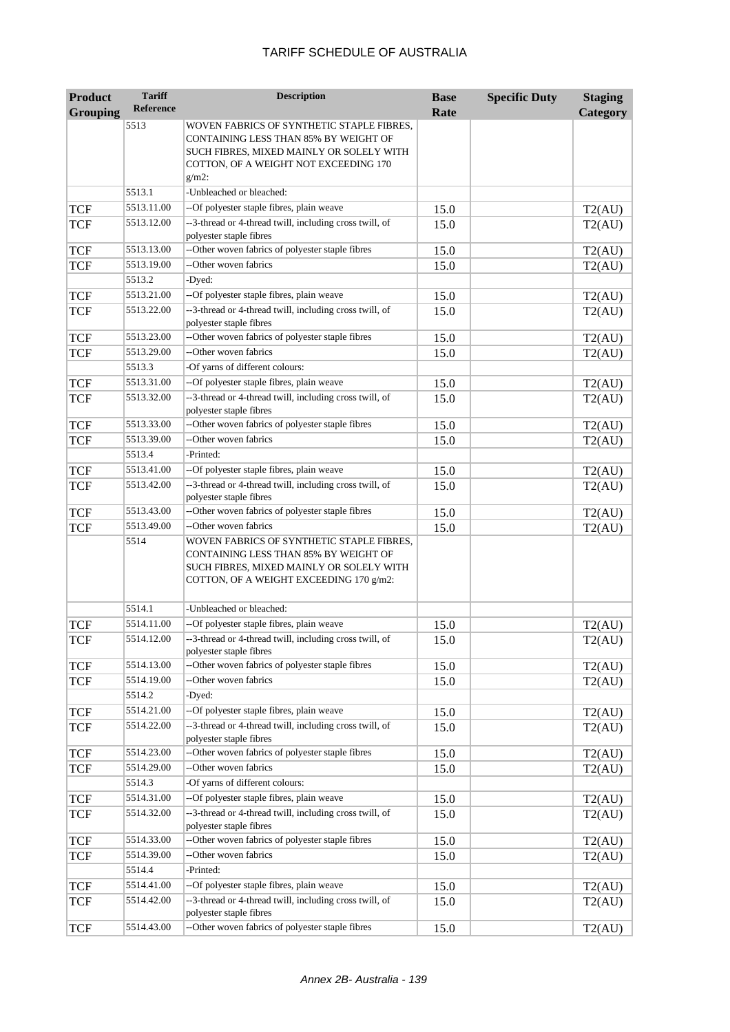| <b>Product</b>  | <b>Tariff</b>    | <b>Description</b>                                                                                                                                                                  | <b>Base</b> | <b>Specific Duty</b> | <b>Staging</b> |
|-----------------|------------------|-------------------------------------------------------------------------------------------------------------------------------------------------------------------------------------|-------------|----------------------|----------------|
| <b>Grouping</b> | <b>Reference</b> |                                                                                                                                                                                     | Rate        |                      | Category       |
|                 | 5513             | WOVEN FABRICS OF SYNTHETIC STAPLE FIBRES,<br>CONTAINING LESS THAN 85% BY WEIGHT OF<br>SUCH FIBRES, MIXED MAINLY OR SOLELY WITH<br>COTTON, OF A WEIGHT NOT EXCEEDING 170<br>$g/m2$ : |             |                      |                |
|                 | 5513.1           | -Unbleached or bleached:                                                                                                                                                            |             |                      |                |
| <b>TCF</b>      | 5513.11.00       | --Of polyester staple fibres, plain weave                                                                                                                                           | 15.0        |                      | T2(AU)         |
| <b>TCF</b>      | 5513.12.00       | --3-thread or 4-thread twill, including cross twill, of<br>polyester staple fibres                                                                                                  | 15.0        |                      | T2(AU)         |
| <b>TCF</b>      | 5513.13.00       | --Other woven fabrics of polyester staple fibres                                                                                                                                    | 15.0        |                      | T2(AU)         |
| <b>TCF</b>      | 5513.19.00       | --Other woven fabrics                                                                                                                                                               | 15.0        |                      | T2(AU)         |
|                 | 5513.2           | -Dyed:                                                                                                                                                                              |             |                      |                |
| <b>TCF</b>      | 5513.21.00       | --Of polyester staple fibres, plain weave                                                                                                                                           | 15.0        |                      | T2(AU)         |
| <b>TCF</b>      | 5513.22.00       | --3-thread or 4-thread twill, including cross twill, of<br>polyester staple fibres                                                                                                  | 15.0        |                      | T2(AU)         |
| <b>TCF</b>      | 5513.23.00       | --Other woven fabrics of polyester staple fibres                                                                                                                                    | 15.0        |                      | T2(AU)         |
| <b>TCF</b>      | 5513.29.00       | --Other woven fabrics                                                                                                                                                               | 15.0        |                      | T2(AU)         |
|                 | 5513.3           | -Of yarns of different colours:                                                                                                                                                     |             |                      |                |
| <b>TCF</b>      | 5513.31.00       | --Of polyester staple fibres, plain weave                                                                                                                                           | 15.0        |                      | T2(AU)         |
| <b>TCF</b>      | 5513.32.00       | --3-thread or 4-thread twill, including cross twill, of<br>polyester staple fibres                                                                                                  | 15.0        |                      | T2(AU)         |
| <b>TCF</b>      | 5513.33.00       | --Other woven fabrics of polyester staple fibres                                                                                                                                    | 15.0        |                      | T2(AU)         |
| <b>TCF</b>      | 5513.39.00       | --Other woven fabrics                                                                                                                                                               | 15.0        |                      | T2(AU)         |
|                 | 5513.4           | -Printed:                                                                                                                                                                           |             |                      |                |
| <b>TCF</b>      | 5513.41.00       | --Of polyester staple fibres, plain weave                                                                                                                                           | 15.0        |                      | T2(AU)         |
| <b>TCF</b>      | 5513.42.00       | --3-thread or 4-thread twill, including cross twill, of<br>polyester staple fibres                                                                                                  | 15.0        |                      | T2(AU)         |
| <b>TCF</b>      | 5513.43.00       | --Other woven fabrics of polyester staple fibres                                                                                                                                    | 15.0        |                      | T2(AU)         |
| <b>TCF</b>      | 5513.49.00       | --Other woven fabrics                                                                                                                                                               | 15.0        |                      | T2(AU)         |
|                 | 5514             | WOVEN FABRICS OF SYNTHETIC STAPLE FIBRES,<br>CONTAINING LESS THAN 85% BY WEIGHT OF<br>SUCH FIBRES, MIXED MAINLY OR SOLELY WITH<br>COTTON, OF A WEIGHT EXCEEDING 170 g/m2:           |             |                      |                |
|                 | 5514.1           | -Unbleached or bleached:                                                                                                                                                            |             |                      |                |
| TCF             | 5514.11.00       | --Of polyester staple fibres, plain weave                                                                                                                                           | 15.0        |                      | T2(AU)         |
| <b>TCF</b>      | 5514.12.00       | --3-thread or 4-thread twill, including cross twill, of<br>polyester staple fibres                                                                                                  | 15.0        |                      | T2(AU)         |
| <b>TCF</b>      | 5514.13.00       | --Other woven fabrics of polyester staple fibres                                                                                                                                    | 15.0        |                      | T2(AU)         |
| <b>TCF</b>      | 5514.19.00       | --Other woven fabrics                                                                                                                                                               | 15.0        |                      | T2(AU)         |
|                 | 5514.2           | -Dyed:                                                                                                                                                                              |             |                      |                |
| <b>TCF</b>      | 5514.21.00       | --Of polyester staple fibres, plain weave                                                                                                                                           | 15.0        |                      | T2(AU)         |
| <b>TCF</b>      | 5514.22.00       | --3-thread or 4-thread twill, including cross twill, of<br>polyester staple fibres                                                                                                  | 15.0        |                      | T2(AU)         |
| <b>TCF</b>      | 5514.23.00       | --Other woven fabrics of polyester staple fibres                                                                                                                                    | 15.0        |                      | T2(AU)         |
| <b>TCF</b>      | 5514.29.00       | --Other woven fabrics                                                                                                                                                               | 15.0        |                      | T2(AU)         |
|                 | 5514.3           | -Of yarns of different colours:                                                                                                                                                     |             |                      |                |
| <b>TCF</b>      | 5514.31.00       | --Of polyester staple fibres, plain weave                                                                                                                                           | 15.0        |                      | T2(AU)         |
| <b>TCF</b>      | 5514.32.00       | --3-thread or 4-thread twill, including cross twill, of<br>polyester staple fibres                                                                                                  | 15.0        |                      | T2(AU)         |
| <b>TCF</b>      | 5514.33.00       | --Other woven fabrics of polyester staple fibres                                                                                                                                    | 15.0        |                      | T2(AU)         |
| <b>TCF</b>      | 5514.39.00       | --Other woven fabrics                                                                                                                                                               | 15.0        |                      | T2(AU)         |
|                 | 5514.4           | -Printed:                                                                                                                                                                           |             |                      |                |
| <b>TCF</b>      | 5514.41.00       | --Of polyester staple fibres, plain weave                                                                                                                                           | 15.0        |                      | T2(AU)         |
| <b>TCF</b>      | 5514.42.00       | --3-thread or 4-thread twill, including cross twill, of<br>polyester staple fibres                                                                                                  | 15.0        |                      | T2(AU)         |
| <b>TCF</b>      | 5514.43.00       | --Other woven fabrics of polyester staple fibres                                                                                                                                    | 15.0        |                      | T2(AU)         |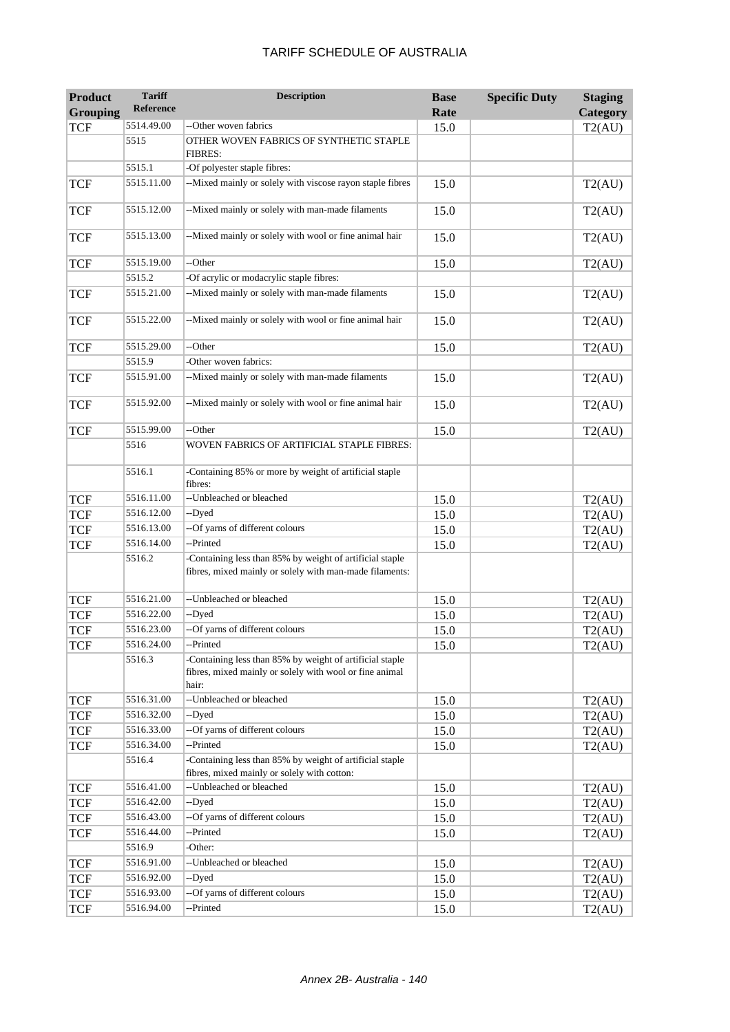#### **Product Grouping Tariff Reference Description Base Rate Specific Duty Staging Category**  $TCF$  5514.49.00 --Other woven fabrics 15.0 15.0 T2(AU) 5515 OTHER WOVEN FABRICS OF SYNTHETIC STAPLE FIBRES: 5515.1 -Of polyester staple fibres: TCF 5515.11.00 --Mixed mainly or solely with viscose rayon staple fibres 15.0 T2(AU) TCF 5515.12.00 --Mixed mainly or solely with man-made filaments 15.0 T2(AU) TCF 5515.13.00 --Mixed mainly or solely with wool or fine animal hair 15.0 T2(AU) TCF 5515.19.00 --Other 15.0 15.0 T2(AU) 5515.2 -Of acrylic or modacrylic staple fibres: TCF 5515.21.00 --Mixed mainly or solely with man-made filaments 15.0 T2(AU) TCF 5515.22.00 --Mixed mainly or solely with wool or fine animal hair 15.0 T2(AU) TCF 5515.29.00 --Other 15.0 15.0 T2(AU) 5515.9 -Other woven fabrics: TCF 5515.91.00 --Mixed mainly or solely with man-made filaments 15.0 T2(AU) TCF 5515.92.00 --Mixed mainly or solely with wool or fine animal hair 15.0 T2(AU) TCF 5515.99.00 --Other 15.0 15.0 T2(AU) 5516 WOVEN FABRICS OF ARTIFICIAL STAPLE FIBRES: 5516.1 -Containing 85% or more by weight of artificial staple fibres:  $TCF$  5516.11.00 --Unbleached or bleached 15.0 15.0 T2(AU) TCF 5516.12.00 --Dyed 15.0 15.0 T2(AU)  $TCF$  5516.13.00 --Of yarns of different colours 15.0 T2(AU) TCF 5516.14.00 --Printed 15.0 15.0 T2(AU) 5516.2 -Containing less than 85% by weight of artificial staple fibres, mixed mainly or solely with man-made filaments: TCF 5516.21.00 --Unbleached or bleached 15.0 T2(AU)<br>TCF 5516.22.00 --Dved 15.0 T2(AU)  $TCF$  5516.22.00 --Dyed 15.0 15.0 T2(AU) TCF 5516.23.00 --Of yarns of different colours 15.0 T2(AU) TCF  $5516.24.00$  --Printed 15.0 15.0 T2(AU) 5516.3 -Containing less than 85% by weight of artificial staple fibres, mixed mainly or solely with wool or fine animal hair: TCF 5516.31.00 --Unbleached or bleached 15.0 15.0 T2(AU) TCF 5516.32.00 --Dyed 15.0 15.0 T2(AU) TCF 5516.33.00 --Of yarns of different colours 15.0 T2(AU)<br>TCF 5516.34.00 --Printed 15.0 T2(AU) TCF 5516.34.00 --Printed 15.0 15.0 T2(AU) 5516.4 -Containing less than 85% by weight of artificial staple fibres, mixed mainly or solely with cotton: TCF 5516.41.00 --Unbleached or bleached 15.0 15.0 T2(AU) TCF 5516.42.00 --Dyed 15.0 15.0 T2(AU)  $TCF$  5516.43.00 --Of yarns of different colours 15.0 T2(AU) TCF 5516.44.00 --Printed 15.0 15.0 T2(AU) 5516.9 -Other: TCF 5516.91.00 --Unbleached or bleached 15.0 T2(AU) TCF 5516.92.00 --Dyed 15.0 15.0 T2(AU)  $TCF$  5516.93.00 --Of yarns of different colours 15.0 T2(AU) TCF 5516.94.00 --Printed 15.0 15.0 T2(AU)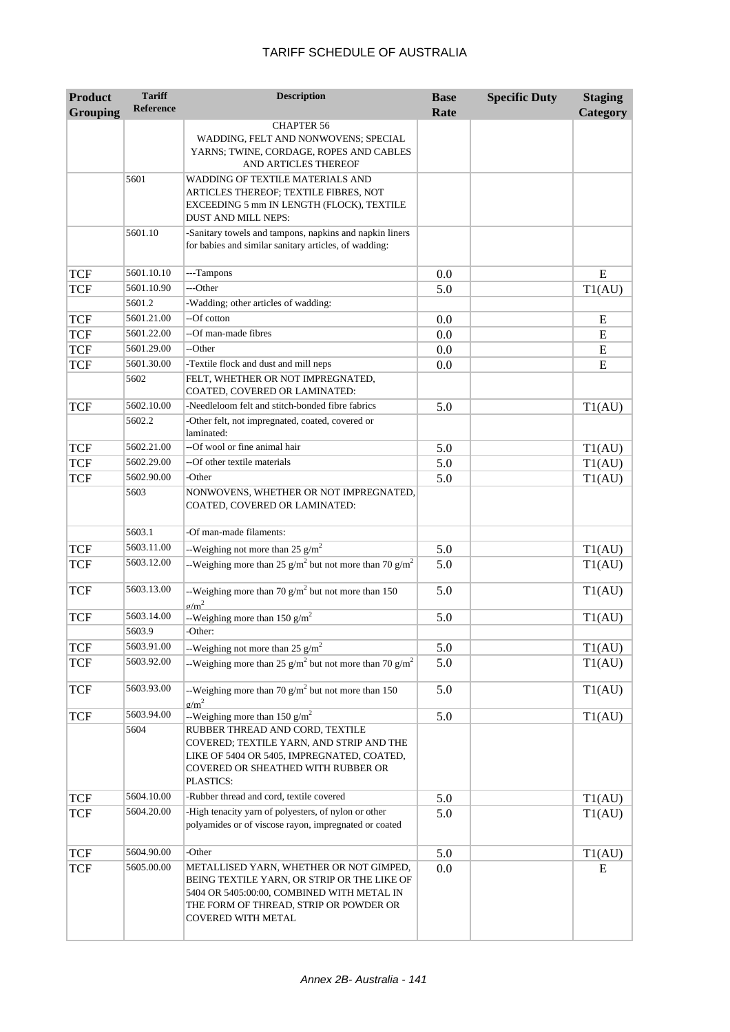| <b>Product</b>  | <b>Tariff</b>    | <b>Description</b>                                                                                                                                                           | <b>Base</b> | <b>Specific Duty</b> | <b>Staging</b> |
|-----------------|------------------|------------------------------------------------------------------------------------------------------------------------------------------------------------------------------|-------------|----------------------|----------------|
| <b>Grouping</b> | <b>Reference</b> |                                                                                                                                                                              | Rate        |                      | Category       |
|                 |                  | <b>CHAPTER 56</b><br>WADDING, FELT AND NONWOVENS; SPECIAL<br>YARNS; TWINE, CORDAGE, ROPES AND CABLES<br>AND ARTICLES THEREOF                                                 |             |                      |                |
|                 | 5601             | WADDING OF TEXTILE MATERIALS AND<br>ARTICLES THEREOF; TEXTILE FIBRES, NOT<br>EXCEEDING 5 mm IN LENGTH (FLOCK), TEXTILE<br><b>DUST AND MILL NEPS:</b>                         |             |                      |                |
|                 | 5601.10          | -Sanitary towels and tampons, napkins and napkin liners<br>for babies and similar sanitary articles, of wadding:                                                             |             |                      |                |
| <b>TCF</b>      | 5601.10.10       | ---Tampons                                                                                                                                                                   | 0.0         |                      | E              |
| <b>TCF</b>      | 5601.10.90       | ---Other                                                                                                                                                                     | 5.0         |                      | T1(AU)         |
|                 | 5601.2           | -Wadding; other articles of wadding:                                                                                                                                         |             |                      |                |
| <b>TCF</b>      | 5601.21.00       | --Of cotton                                                                                                                                                                  | 0.0         |                      | E              |
| <b>TCF</b>      | 5601.22.00       | --Of man-made fibres                                                                                                                                                         | 0.0         |                      | E              |
| <b>TCF</b>      | 5601.29.00       | --Other                                                                                                                                                                      | 0.0         |                      | E              |
| <b>TCF</b>      | 5601.30.00       | -Textile flock and dust and mill neps                                                                                                                                        | 0.0         |                      | E              |
|                 | 5602             | FELT, WHETHER OR NOT IMPREGNATED,<br>COATED, COVERED OR LAMINATED:                                                                                                           |             |                      |                |
| <b>TCF</b>      | 5602.10.00       | -Needleloom felt and stitch-bonded fibre fabrics                                                                                                                             | 5.0         |                      | T1(AU)         |
|                 | 5602.2           | -Other felt, not impregnated, coated, covered or<br>laminated:                                                                                                               |             |                      |                |
| <b>TCF</b>      | 5602.21.00       | --Of wool or fine animal hair                                                                                                                                                | 5.0         |                      | T1(AU)         |
| <b>TCF</b>      | 5602.29.00       | --Of other textile materials                                                                                                                                                 | 5.0         |                      | T1(AU)         |
| <b>TCF</b>      | 5602.90.00       | -Other                                                                                                                                                                       | 5.0         |                      | T1(AU)         |
|                 | 5603             | NONWOVENS, WHETHER OR NOT IMPREGNATED,<br>COATED, COVERED OR LAMINATED:                                                                                                      |             |                      |                |
|                 | 5603.1           | -Of man-made filaments:                                                                                                                                                      |             |                      |                |
| <b>TCF</b>      | 5603.11.00       | --Weighing not more than 25 $g/m^2$                                                                                                                                          | 5.0         |                      | T1(AU)         |
| <b>TCF</b>      | 5603.12.00       | --Weighing more than 25 $g/m^2$ but not more than 70 $g/m^2$                                                                                                                 | 5.0         |                      | T1(AU)         |
| <b>TCF</b>      | 5603.13.00       | --Weighing more than 70 $g/m^2$ but not more than 150<br>$\sigma/m^2$                                                                                                        | 5.0         |                      | T1(AU)         |
| <b>TCF</b>      | 5603.14.00       | --Weighing more than 150 $g/m^2$                                                                                                                                             | 5.0         |                      | T1(AU)         |
|                 | 5603.9           | -Other:                                                                                                                                                                      |             |                      |                |
| <b>TCF</b>      | 5603.91.00       | --Weighing not more than 25 $g/m^2$                                                                                                                                          | 5.0         |                      | T1(AU)         |
| <b>TCF</b>      | 5603.92.00       | --Weighing more than 25 g/m <sup>2</sup> but not more than 70 g/m <sup>2</sup>                                                                                               | 5.0         |                      | T1(AU)         |
| <b>TCF</b>      | 5603.93.00       | --Weighing more than 70 $g/m^2$ but not more than 150<br>$\sigma/m^2$                                                                                                        | 5.0         |                      | T1(AU)         |
| <b>TCF</b>      | 5603.94.00       | --Weighing more than 150 $g/m^2$                                                                                                                                             | 5.0         |                      | T1(AU)         |
|                 | 5604             | RUBBER THREAD AND CORD, TEXTILE<br>COVERED; TEXTILE YARN, AND STRIP AND THE<br>LIKE OF 5404 OR 5405, IMPREGNATED, COATED,<br>COVERED OR SHEATHED WITH RUBBER OR<br>PLASTICS: |             |                      |                |
| <b>TCF</b>      | 5604.10.00       | -Rubber thread and cord, textile covered                                                                                                                                     | 5.0         |                      | T1(AU)         |
| <b>TCF</b>      | 5604.20.00       | -High tenacity yarn of polyesters, of nylon or other<br>polyamides or of viscose rayon, impregnated or coated                                                                | 5.0         |                      | T1(AU)         |
| <b>TCF</b>      | 5604.90.00       | -Other                                                                                                                                                                       | 5.0         |                      | T1(AU)         |
| <b>TCF</b>      | 5605.00.00       | METALLISED YARN, WHETHER OR NOT GIMPED,                                                                                                                                      | 0.0         |                      | E              |
|                 |                  | BEING TEXTILE YARN, OR STRIP OR THE LIKE OF<br>5404 OR 5405:00:00, COMBINED WITH METAL IN<br>THE FORM OF THREAD, STRIP OR POWDER OR<br><b>COVERED WITH METAL</b>             |             |                      |                |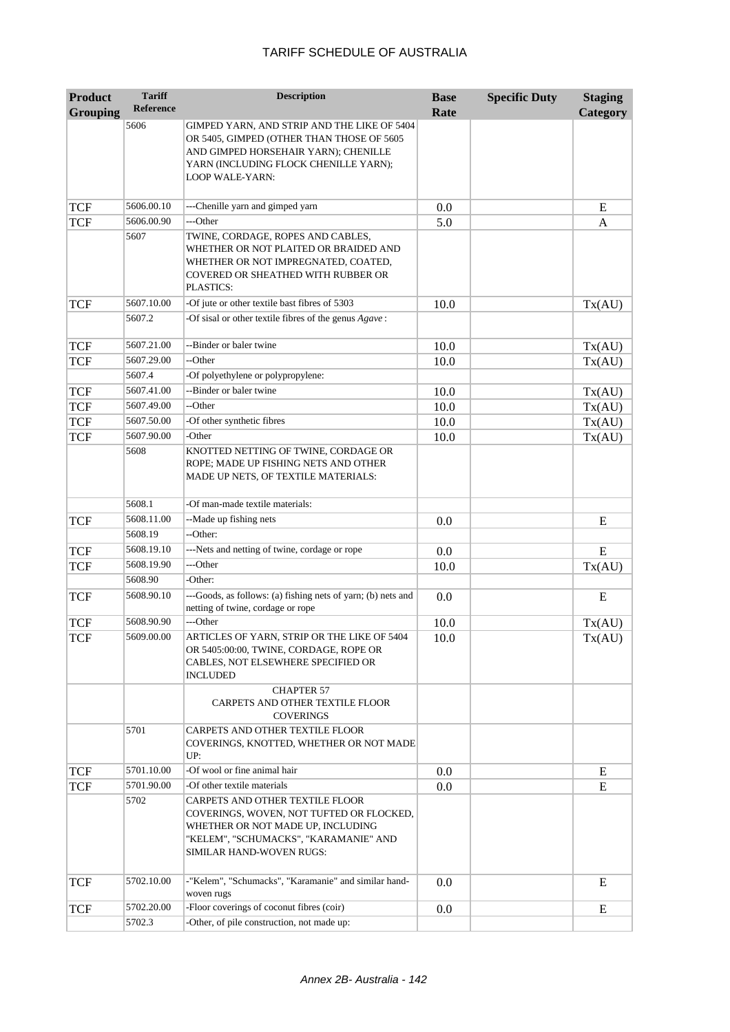| <b>Product</b>  | <b>Tariff</b>    | <b>Description</b>                                                                                                                                                                           | <b>Base</b> | <b>Specific Duty</b> | <b>Staging</b> |
|-----------------|------------------|----------------------------------------------------------------------------------------------------------------------------------------------------------------------------------------------|-------------|----------------------|----------------|
| <b>Grouping</b> | <b>Reference</b> |                                                                                                                                                                                              | Rate        |                      | Category       |
|                 | 5606             | GIMPED YARN, AND STRIP AND THE LIKE OF 5404<br>OR 5405, GIMPED (OTHER THAN THOSE OF 5605<br>AND GIMPED HORSEHAIR YARN); CHENILLE<br>YARN (INCLUDING FLOCK CHENILLE YARN);<br>LOOP WALE-YARN: |             |                      |                |
| <b>TCF</b>      | 5606.00.10       | ---Chenille yarn and gimped yarn                                                                                                                                                             | 0.0         |                      | E              |
| <b>TCF</b>      | 5606.00.90       | ---Other                                                                                                                                                                                     | 5.0         |                      | A              |
|                 | 5607             | TWINE, CORDAGE, ROPES AND CABLES,<br>WHETHER OR NOT PLAITED OR BRAIDED AND<br>WHETHER OR NOT IMPREGNATED, COATED,<br>COVERED OR SHEATHED WITH RUBBER OR<br>PLASTICS:                         |             |                      |                |
| <b>TCF</b>      | 5607.10.00       | -Of jute or other textile bast fibres of 5303                                                                                                                                                | 10.0        |                      | Tx(AU)         |
|                 | 5607.2           | -Of sisal or other textile fibres of the genus Agave:                                                                                                                                        |             |                      |                |
| <b>TCF</b>      | 5607.21.00       | --Binder or baler twine                                                                                                                                                                      | 10.0        |                      | Tx(AU)         |
| <b>TCF</b>      | 5607.29.00       | --Other                                                                                                                                                                                      | 10.0        |                      | Tx(AU)         |
|                 | 5607.4           | -Of polyethylene or polypropylene:                                                                                                                                                           |             |                      |                |
| <b>TCF</b>      | 5607.41.00       | --Binder or baler twine                                                                                                                                                                      | 10.0        |                      | Tx(AU)         |
| <b>TCF</b>      | 5607.49.00       | --Other                                                                                                                                                                                      | 10.0        |                      | Tx(AU)         |
| <b>TCF</b>      | 5607.50.00       | -Of other synthetic fibres                                                                                                                                                                   | 10.0        |                      | Tx(AU)         |
| <b>TCF</b>      | 5607.90.00       | -Other                                                                                                                                                                                       | 10.0        |                      | Tx(AU)         |
|                 | 5608             | KNOTTED NETTING OF TWINE, CORDAGE OR<br>ROPE; MADE UP FISHING NETS AND OTHER<br>MADE UP NETS, OF TEXTILE MATERIALS:                                                                          |             |                      |                |
|                 | 5608.1           | -Of man-made textile materials:                                                                                                                                                              |             |                      |                |
| <b>TCF</b>      | 5608.11.00       | --Made up fishing nets                                                                                                                                                                       | 0.0         |                      | E              |
|                 | 5608.19          | --Other:                                                                                                                                                                                     |             |                      |                |
| <b>TCF</b>      | 5608.19.10       | ---Nets and netting of twine, cordage or rope                                                                                                                                                | 0.0         |                      | E              |
| <b>TCF</b>      | 5608.19.90       | ---Other                                                                                                                                                                                     | 10.0        |                      | Tx(AU)         |
|                 | 5608.90          | -Other:                                                                                                                                                                                      |             |                      |                |
| <b>TCF</b>      | 5608.90.10       | ---Goods, as follows: (a) fishing nets of yarn; (b) nets and<br>netting of twine, cordage or rope                                                                                            | 0.0         |                      | E              |
| <b>TCF</b>      | 5608.90.90       | ---Other                                                                                                                                                                                     | 10.0        |                      | Tx(AU)         |
| <b>TCF</b>      | 5609.00.00       | ARTICLES OF YARN, STRIP OR THE LIKE OF 5404<br>OR 5405:00:00, TWINE, CORDAGE, ROPE OR<br>CABLES, NOT ELSEWHERE SPECIFIED OR<br><b>INCLUDED</b>                                               | 10.0        |                      | Tx(AU)         |
|                 |                  | <b>CHAPTER 57</b><br>CARPETS AND OTHER TEXTILE FLOOR<br><b>COVERINGS</b>                                                                                                                     |             |                      |                |
|                 | 5701             | CARPETS AND OTHER TEXTILE FLOOR<br>COVERINGS, KNOTTED, WHETHER OR NOT MADE<br>UP:                                                                                                            |             |                      |                |
| <b>TCF</b>      | 5701.10.00       | -Of wool or fine animal hair                                                                                                                                                                 | 0.0         |                      | E              |
| <b>TCF</b>      | 5701.90.00       | -Of other textile materials                                                                                                                                                                  | 0.0         |                      | E              |
|                 | 5702             | CARPETS AND OTHER TEXTILE FLOOR<br>COVERINGS, WOVEN, NOT TUFTED OR FLOCKED,<br>WHETHER OR NOT MADE UP, INCLUDING<br>"KELEM", "SCHUMACKS", "KARAMANIE" AND<br>SIMILAR HAND-WOVEN RUGS:        |             |                      |                |
| <b>TCF</b>      | 5702.10.00       | -"Kelem", "Schumacks", "Karamanie" and similar hand-<br>woven rugs                                                                                                                           | 0.0         |                      | E              |
| <b>TCF</b>      | 5702.20.00       | -Floor coverings of coconut fibres (coir)                                                                                                                                                    | 0.0         |                      | ${\bf E}$      |
|                 | 5702.3           | -Other, of pile construction, not made up:                                                                                                                                                   |             |                      |                |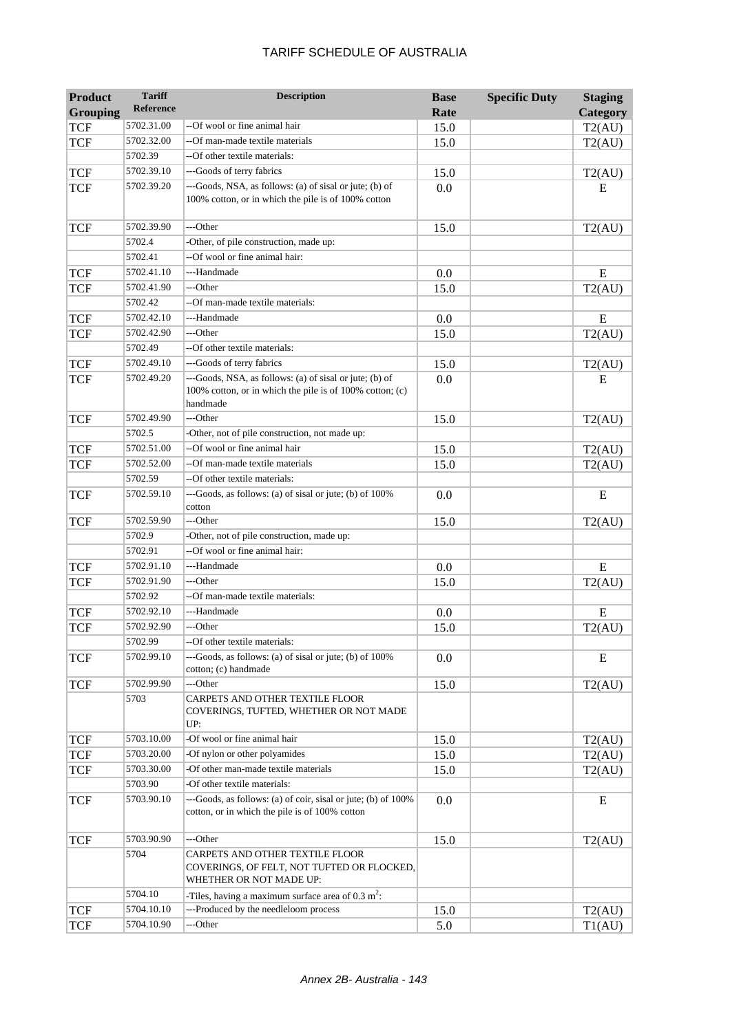| Product<br><b>Grouping</b> | <b>Tariff</b><br>Reference | <b>Description</b>                                                                                                              | <b>Base</b><br>Rate | <b>Specific Duty</b> | <b>Staging</b><br>Category |
|----------------------------|----------------------------|---------------------------------------------------------------------------------------------------------------------------------|---------------------|----------------------|----------------------------|
| <b>TCF</b>                 | 5702.31.00                 | --Of wool or fine animal hair                                                                                                   | 15.0                |                      | T2(AU)                     |
| <b>TCF</b>                 | 5702.32.00                 | --Of man-made textile materials                                                                                                 | 15.0                |                      | T2(AU)                     |
|                            | 5702.39                    | --Of other textile materials:                                                                                                   |                     |                      |                            |
| <b>TCF</b>                 | 5702.39.10                 | ---Goods of terry fabrics                                                                                                       | 15.0                |                      | T2(AU)                     |
| <b>TCF</b>                 | 5702.39.20                 | ---Goods, NSA, as follows: (a) of sisal or jute; (b) of<br>100% cotton, or in which the pile is of 100% cotton                  | 0.0                 |                      | E                          |
| <b>TCF</b>                 | 5702.39.90                 | ---Other                                                                                                                        | 15.0                |                      | T2(AU)                     |
|                            | 5702.4                     | -Other, of pile construction, made up:                                                                                          |                     |                      |                            |
|                            | 5702.41                    | --Of wool or fine animal hair:                                                                                                  |                     |                      |                            |
| <b>TCF</b>                 | 5702.41.10                 | ---Handmade                                                                                                                     | 0.0                 |                      | E                          |
| <b>TCF</b>                 | 5702.41.90                 | ---Other                                                                                                                        | 15.0                |                      | T2(AU)                     |
|                            | 5702.42                    | --Of man-made textile materials:                                                                                                |                     |                      |                            |
| <b>TCF</b>                 | 5702.42.10                 | ---Handmade                                                                                                                     | 0.0                 |                      | E                          |
| <b>TCF</b>                 | 5702.42.90                 | ---Other                                                                                                                        | 15.0                |                      | T2(AU)                     |
|                            | 5702.49                    | --Of other textile materials:                                                                                                   |                     |                      |                            |
| <b>TCF</b>                 | 5702.49.10                 | ---Goods of terry fabrics                                                                                                       | 15.0                |                      | T2(AU)                     |
| <b>TCF</b>                 | 5702.49.20                 | ---Goods, NSA, as follows: (a) of sisal or jute; (b) of<br>100% cotton, or in which the pile is of 100% cotton; (c)<br>handmade | 0.0                 |                      | E                          |
| <b>TCF</b>                 | 5702.49.90                 | ---Other                                                                                                                        | 15.0                |                      | T2(AU)                     |
|                            | 5702.5                     | -Other, not of pile construction, not made up:                                                                                  |                     |                      |                            |
| <b>TCF</b>                 | 5702.51.00                 | --Of wool or fine animal hair                                                                                                   | 15.0                |                      | T2(AU)                     |
| <b>TCF</b>                 | 5702.52.00                 | --Of man-made textile materials                                                                                                 | 15.0                |                      | T2(AU)                     |
|                            | 5702.59                    | --Of other textile materials:                                                                                                   |                     |                      |                            |
| <b>TCF</b>                 | 5702.59.10                 | ---Goods, as follows: (a) of sisal or jute; (b) of 100%<br>cotton                                                               | 0.0                 |                      | ${\bf E}$                  |
| <b>TCF</b>                 | 5702.59.90                 | ---Other                                                                                                                        | 15.0                |                      | T2(AU)                     |
|                            | 5702.9                     | -Other, not of pile construction, made up:                                                                                      |                     |                      |                            |
|                            | 5702.91                    | --Of wool or fine animal hair:                                                                                                  |                     |                      |                            |
| <b>TCF</b>                 | 5702.91.10                 | ---Handmade                                                                                                                     | 0.0                 |                      | E                          |
| <b>TCF</b>                 | 5702.91.90                 | ---Other                                                                                                                        | 15.0                |                      | T2(AU)                     |
|                            | 5702.92                    | --Of man-made textile materials:                                                                                                |                     |                      |                            |
| <b>TCF</b>                 | 5702.92.10                 | ---Handmade                                                                                                                     | 0.0                 |                      | E                          |
| <b>TCF</b>                 | 5702.92.90                 | ---Other                                                                                                                        | 15.0                |                      | T2(AU)                     |
|                            | 5702.99                    | --Of other textile materials:                                                                                                   |                     |                      |                            |
| <b>TCF</b>                 | 5702.99.10                 | ---Goods, as follows: (a) of sisal or jute; (b) of 100%<br>cotton; (c) handmade                                                 | 0.0                 |                      | E                          |
| <b>TCF</b>                 | 5702.99.90                 | ---Other                                                                                                                        | 15.0                |                      | T2(AU)                     |
|                            | 5703                       | CARPETS AND OTHER TEXTILE FLOOR<br>COVERINGS, TUFTED, WHETHER OR NOT MADE<br>UP:                                                |                     |                      |                            |
| <b>TCF</b>                 | 5703.10.00                 | -Of wool or fine animal hair                                                                                                    | 15.0                |                      | T2(AU)                     |
| <b>TCF</b>                 | 5703.20.00                 | -Of nylon or other polyamides                                                                                                   | 15.0                |                      | T2(AU)                     |
| <b>TCF</b>                 | 5703.30.00                 | -Of other man-made textile materials                                                                                            | 15.0                |                      | T2(AU)                     |
|                            | 5703.90                    | -Of other textile materials:                                                                                                    |                     |                      |                            |
| <b>TCF</b>                 | 5703.90.10                 | ---Goods, as follows: (a) of coir, sisal or jute; (b) of 100%<br>cotton, or in which the pile is of 100% cotton                 | 0.0                 |                      | E                          |
| <b>TCF</b>                 | 5703.90.90                 | ---Other                                                                                                                        | 15.0                |                      | T2(AU)                     |
|                            | 5704                       | CARPETS AND OTHER TEXTILE FLOOR<br>COVERINGS, OF FELT, NOT TUFTED OR FLOCKED,<br>WHETHER OR NOT MADE UP:                        |                     |                      |                            |
|                            | 5704.10                    | -Tiles, having a maximum surface area of $0.3 \text{ m}^2$ :                                                                    |                     |                      |                            |
| <b>TCF</b>                 | 5704.10.10                 | ---Produced by the needleloom process                                                                                           | 15.0                |                      | T2(AU)                     |
| <b>TCF</b>                 | 5704.10.90                 | ---Other                                                                                                                        | 5.0                 |                      | T1(AU)                     |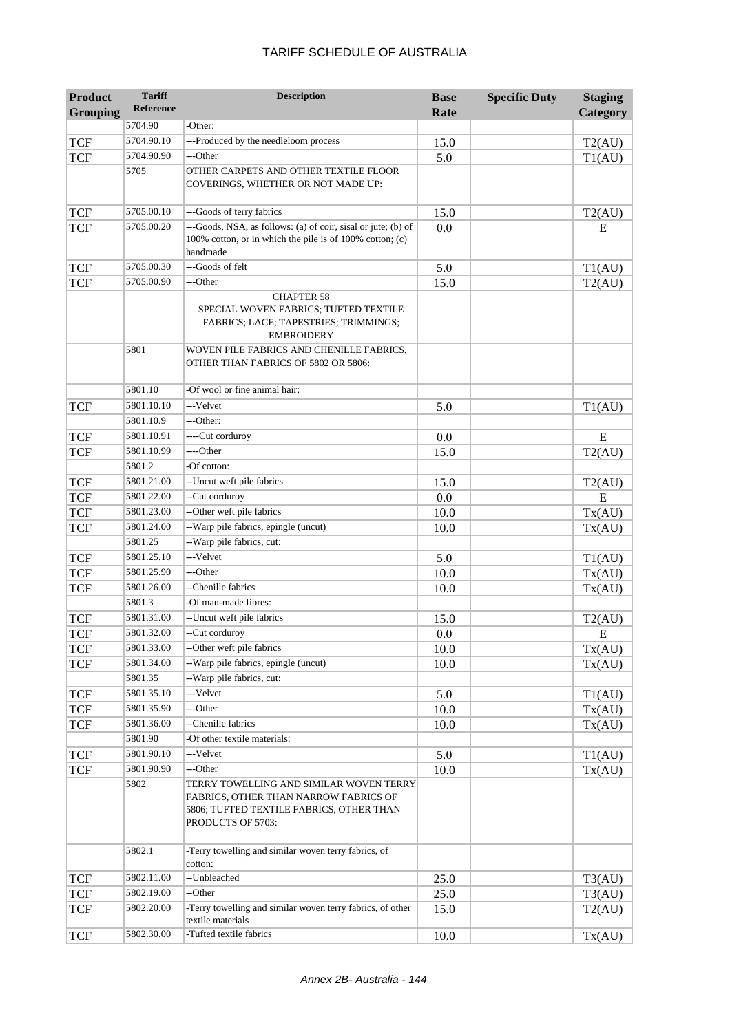| <b>Product</b>  | <b>Tariff</b>    | <b>Description</b>                                                                                                                                | <b>Base</b> | <b>Specific Duty</b> | <b>Staging</b> |
|-----------------|------------------|---------------------------------------------------------------------------------------------------------------------------------------------------|-------------|----------------------|----------------|
| <b>Grouping</b> | <b>Reference</b> |                                                                                                                                                   | Rate        |                      | Category       |
|                 | 5704.90          | -Other:                                                                                                                                           |             |                      |                |
| <b>TCF</b>      | 5704.90.10       | ---Produced by the needleloom process                                                                                                             | 15.0        |                      | T2(AU)         |
| <b>TCF</b>      | 5704.90.90       | ---Other                                                                                                                                          | 5.0         |                      | T1(AU)         |
|                 | 5705             | OTHER CARPETS AND OTHER TEXTILE FLOOR<br>COVERINGS, WHETHER OR NOT MADE UP:                                                                       |             |                      |                |
| <b>TCF</b>      | 5705.00.10       | ---Goods of terry fabrics                                                                                                                         | 15.0        |                      | T2(AU)         |
| <b>TCF</b>      | 5705.00.20       | ---Goods, NSA, as follows: (a) of coir, sisal or jute; (b) of<br>100% cotton, or in which the pile is of 100% cotton; (c)<br>handmade             | 0.0         |                      | E              |
| <b>TCF</b>      | 5705.00.30       | ---Goods of felt                                                                                                                                  | 5.0         |                      | T1(AU)         |
| <b>TCF</b>      | 5705.00.90       | ---Other                                                                                                                                          | 15.0        |                      | T2(AU)         |
|                 |                  | <b>CHAPTER 58</b><br>SPECIAL WOVEN FABRICS; TUFTED TEXTILE<br>FABRICS; LACE; TAPESTRIES; TRIMMINGS;<br><b>EMBROIDERY</b>                          |             |                      |                |
|                 | 5801             | WOVEN PILE FABRICS AND CHENILLE FABRICS,<br>OTHER THAN FABRICS OF 5802 OR 5806:                                                                   |             |                      |                |
|                 | 5801.10          | -Of wool or fine animal hair:                                                                                                                     |             |                      |                |
| <b>TCF</b>      | 5801.10.10       | ---Velvet                                                                                                                                         | 5.0         |                      | T1(AU)         |
|                 | 5801.10.9        | ---Other:                                                                                                                                         |             |                      |                |
| <b>TCF</b>      | 5801.10.91       | ----Cut corduroy                                                                                                                                  | 0.0         |                      | E              |
| <b>TCF</b>      | 5801.10.99       | ----Other                                                                                                                                         | 15.0        |                      | T2(AU)         |
|                 | 5801.2           | -Of cotton:                                                                                                                                       |             |                      |                |
| <b>TCF</b>      | 5801.21.00       | --Uncut weft pile fabrics                                                                                                                         | 15.0        |                      | T2(AU)         |
| <b>TCF</b>      | 5801.22.00       | --Cut corduroy                                                                                                                                    | 0.0         |                      | E              |
| <b>TCF</b>      | 5801.23.00       | --Other weft pile fabrics                                                                                                                         | 10.0        |                      | Tx(AU)         |
| <b>TCF</b>      | 5801.24.00       | --Warp pile fabrics, epingle (uncut)                                                                                                              | 10.0        |                      | Tx(AU)         |
|                 | 5801.25          | --Warp pile fabrics, cut:                                                                                                                         |             |                      |                |
| <b>TCF</b>      | 5801.25.10       | ---Velvet                                                                                                                                         | 5.0         |                      | T1(AU)         |
| <b>TCF</b>      | 5801.25.90       | ---Other                                                                                                                                          | 10.0        |                      | Tx(AU)         |
| <b>TCF</b>      | 5801.26.00       | --Chenille fabrics                                                                                                                                | 10.0        |                      | Tx(AU)         |
|                 | 5801.3           | -Of man-made fibres:                                                                                                                              |             |                      |                |
| <b>TCF</b>      | 5801.31.00       | --Uncut weft pile fabrics                                                                                                                         | 15.0        |                      | T2(AU)         |
| <b>TCF</b>      | 5801.32.00       | --Cut corduroy                                                                                                                                    | 0.0         |                      | E              |
| <b>TCF</b>      | 5801.33.00       | --Other weft pile fabrics                                                                                                                         | 10.0        |                      | Tx(AU)         |
| <b>TCF</b>      | 5801.34.00       | --Warp pile fabrics, epingle (uncut)                                                                                                              | 10.0        |                      | Tx(AU)         |
|                 | 5801.35          | --Warp pile fabrics, cut:                                                                                                                         |             |                      |                |
| <b>TCF</b>      | 5801.35.10       | ---Velvet                                                                                                                                         | 5.0         |                      | T1(AU)         |
| <b>TCF</b>      | 5801.35.90       | ---Other                                                                                                                                          | 10.0        |                      | Tx(AU)         |
| <b>TCF</b>      | 5801.36.00       | --Chenille fabrics                                                                                                                                | 10.0        |                      | Tx(AU)         |
|                 | 5801.90          | -Of other textile materials:                                                                                                                      |             |                      |                |
| <b>TCF</b>      | 5801.90.10       | ---Velvet                                                                                                                                         | 5.0         |                      | T1(AU)         |
| <b>TCF</b>      | 5801.90.90       | ---Other                                                                                                                                          | 10.0        |                      | Tx(AU)         |
|                 | 5802             | TERRY TOWELLING AND SIMILAR WOVEN TERRY<br>FABRICS, OTHER THAN NARROW FABRICS OF<br>5806; TUFTED TEXTILE FABRICS, OTHER THAN<br>PRODUCTS OF 5703: |             |                      |                |
|                 | 5802.1           | -Terry towelling and similar woven terry fabrics, of<br>cotton:                                                                                   |             |                      |                |
| <b>TCF</b>      | 5802.11.00       | --Unbleached                                                                                                                                      | 25.0        |                      | T3(AU)         |
| <b>TCF</b>      | 5802.19.00       | --Other                                                                                                                                           | 25.0        |                      | T3(AU)         |
| <b>TCF</b>      | 5802.20.00       | -Terry towelling and similar woven terry fabrics, of other<br>textile materials                                                                   | 15.0        |                      | T2(AU)         |
| <b>TCF</b>      | 5802.30.00       | -Tufted textile fabrics                                                                                                                           | 10.0        |                      | Tx(AU)         |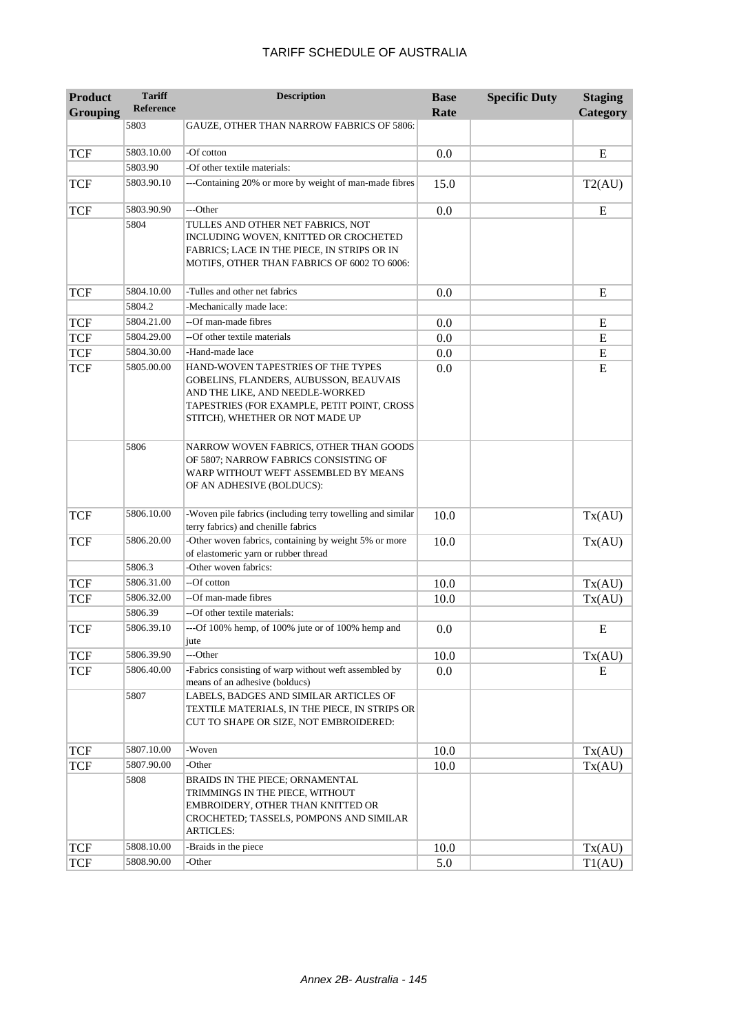| <b>Grouping</b> | <b>Reference</b> |                                                                                                                                                                                                   | Rate | Category |
|-----------------|------------------|---------------------------------------------------------------------------------------------------------------------------------------------------------------------------------------------------|------|----------|
|                 | 5803             | GAUZE, OTHER THAN NARROW FABRICS OF 5806:                                                                                                                                                         |      |          |
|                 | 5803.10.00       | -Of cotton                                                                                                                                                                                        |      |          |
| TCF             |                  |                                                                                                                                                                                                   | 0.0  | E        |
|                 | 5803.90          | -Of other textile materials:                                                                                                                                                                      |      |          |
| TCF             | 5803.90.10       | ---Containing 20% or more by weight of man-made fibres                                                                                                                                            | 15.0 | T2(AU)   |
| <b>TCF</b>      | 5803.90.90       | ---Other                                                                                                                                                                                          | 0.0  | E        |
|                 | 5804             | TULLES AND OTHER NET FABRICS, NOT<br>INCLUDING WOVEN, KNITTED OR CROCHETED<br>FABRICS; LACE IN THE PIECE, IN STRIPS OR IN<br>MOTIFS, OTHER THAN FABRICS OF 6002 TO 6006:                          |      |          |
| <b>TCF</b>      | 5804.10.00       | -Tulles and other net fabrics                                                                                                                                                                     | 0.0  | E        |
|                 | 5804.2           | -Mechanically made lace:                                                                                                                                                                          |      |          |
| <b>TCF</b>      | 5804.21.00       | --Of man-made fibres                                                                                                                                                                              | 0.0  | E        |
| TCF             | 5804.29.00       | --Of other textile materials                                                                                                                                                                      | 0.0  | E        |
| TCF             | 5804.30.00       | -Hand-made lace                                                                                                                                                                                   | 0.0  | E        |
| <b>TCF</b>      | 5805.00.00       | HAND-WOVEN TAPESTRIES OF THE TYPES<br>GOBELINS, FLANDERS, AUBUSSON, BEAUVAIS<br>AND THE LIKE, AND NEEDLE-WORKED<br>TAPESTRIES (FOR EXAMPLE, PETIT POINT, CROSS<br>STITCH), WHETHER OR NOT MADE UP | 0.0  | E        |
|                 | 5806             | NARROW WOVEN FABRICS, OTHER THAN GOODS<br>OF 5807; NARROW FABRICS CONSISTING OF<br>WARP WITHOUT WEFT ASSEMBLED BY MEANS<br>OF AN ADHESIVE (BOLDUCS):                                              |      |          |
| <b>TCF</b>      | 5806.10.00       | -Woven pile fabrics (including terry towelling and similar<br>terry fabrics) and chenille fabrics                                                                                                 | 10.0 | Tx(AU)   |
| TCF             | 5806.20.00       | -Other woven fabrics, containing by weight 5% or more<br>of elastomeric yarn or rubber thread                                                                                                     | 10.0 | Tx(AU)   |
|                 | 5806.3           | -Other woven fabrics:                                                                                                                                                                             |      |          |
| TCF             | 5806.31.00       | --Of cotton                                                                                                                                                                                       | 10.0 | Tx(AU)   |
| <b>TCF</b>      | 5806.32.00       | --Of man-made fibres                                                                                                                                                                              | 10.0 | Tx(AU)   |
|                 | 5806.39          | --Of other textile materials:                                                                                                                                                                     |      |          |
| <b>TCF</b>      | 5806.39.10       | ---Of 100% hemp, of 100% jute or of 100% hemp and<br>jute                                                                                                                                         | 0.0  | E        |
| TCF             | 5806.39.90       | ---Other                                                                                                                                                                                          | 10.0 | Tx(AU)   |
| <b>TCF</b>      | 5806.40.00       | -Fabrics consisting of warp without weft assembled by<br>means of an adhesive (bolducs)                                                                                                           | 0.0  | E        |
|                 | 5807             | LABELS, BADGES AND SIMILAR ARTICLES OF<br>TEXTILE MATERIALS, IN THE PIECE, IN STRIPS OR<br>CUT TO SHAPE OR SIZE, NOT EMBROIDERED:                                                                 |      |          |
| TCF             | 5807.10.00       | -Woven                                                                                                                                                                                            | 10.0 | Tx(AU)   |
| TCF             | 5807.90.00       | -Other                                                                                                                                                                                            | 10.0 | Tx(AU)   |
|                 | 5808             | BRAIDS IN THE PIECE; ORNAMENTAL<br>TRIMMINGS IN THE PIECE, WITHOUT<br>EMBROIDERY, OTHER THAN KNITTED OR<br>CROCHETED; TASSELS, POMPONS AND SIMILAR<br><b>ARTICLES:</b>                            |      |          |
| <b>TCF</b>      | 5808.10.00       | -Braids in the piece                                                                                                                                                                              | 10.0 | Tx(AU)   |

**Description Base** 

**Specific Duty Staging** 

**Product** 

**Tariff** 

 $TCF$   $5808.90.00$   $-Other$  5.0 T1(AU)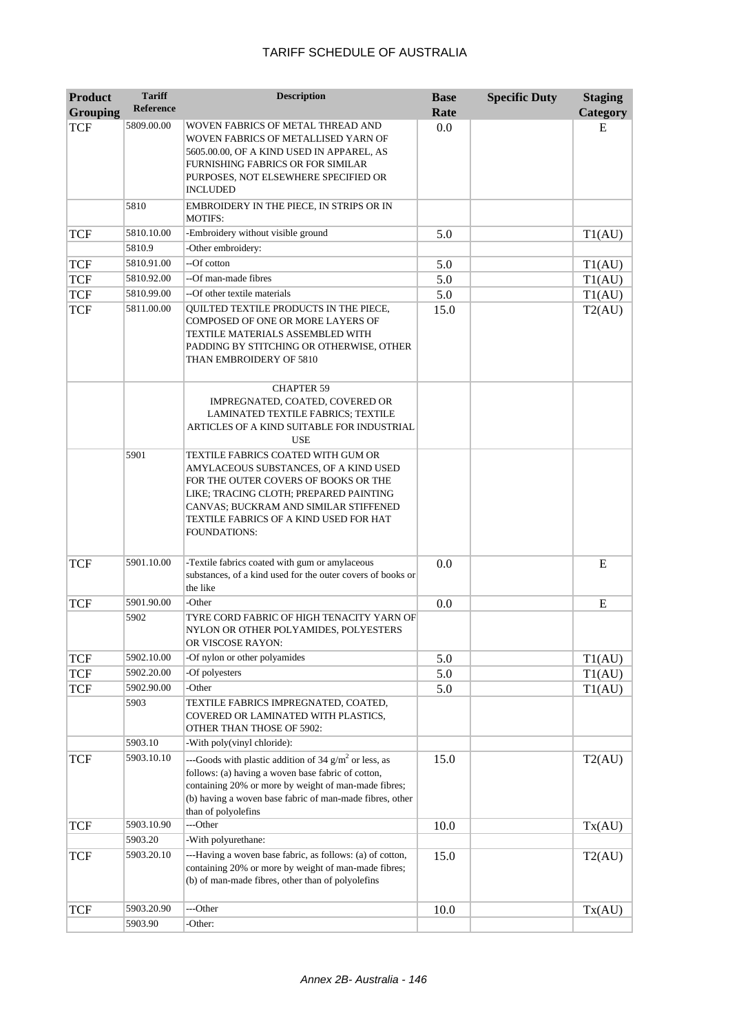| <b>Product</b><br><b>Grouping</b> | <b>Tariff</b><br><b>Reference</b> | <b>Description</b>                                                                                                                                                                                                                                               | <b>Base</b><br>Rate | <b>Specific Duty</b> | <b>Staging</b><br><b>Category</b> |
|-----------------------------------|-----------------------------------|------------------------------------------------------------------------------------------------------------------------------------------------------------------------------------------------------------------------------------------------------------------|---------------------|----------------------|-----------------------------------|
| <b>TCF</b>                        | 5809.00.00                        | WOVEN FABRICS OF METAL THREAD AND<br>WOVEN FABRICS OF METALLISED YARN OF<br>5605.00.00, OF A KIND USED IN APPAREL, AS<br>FURNISHING FABRICS OR FOR SIMILAR<br>PURPOSES, NOT ELSEWHERE SPECIFIED OR<br>INCLUDED                                                   | 0.0                 |                      | E                                 |
|                                   | 5810                              | EMBROIDERY IN THE PIECE, IN STRIPS OR IN<br><b>MOTIFS:</b>                                                                                                                                                                                                       |                     |                      |                                   |
| <b>TCF</b>                        | 5810.10.00                        | -Embroidery without visible ground                                                                                                                                                                                                                               | 5.0                 |                      | T1(AU)                            |
|                                   | 5810.9                            | -Other embroidery:                                                                                                                                                                                                                                               |                     |                      |                                   |
| <b>TCF</b>                        | 5810.91.00                        | --Of cotton                                                                                                                                                                                                                                                      | 5.0                 |                      | T1(AU)                            |
| <b>TCF</b>                        | 5810.92.00                        | --Of man-made fibres                                                                                                                                                                                                                                             | 5.0                 |                      | T1(AU)                            |
| <b>TCF</b>                        | 5810.99.00                        | --Of other textile materials                                                                                                                                                                                                                                     | 5.0                 |                      | T1(AU)                            |
| <b>TCF</b>                        | 5811.00.00                        | QUILTED TEXTILE PRODUCTS IN THE PIECE,<br>COMPOSED OF ONE OR MORE LAYERS OF<br>TEXTILE MATERIALS ASSEMBLED WITH<br>PADDING BY STITCHING OR OTHERWISE, OTHER<br>THAN EMBROIDERY OF 5810                                                                           | 15.0                |                      | T2(AU)                            |
|                                   |                                   | <b>CHAPTER 59</b><br>IMPREGNATED, COATED, COVERED OR<br>LAMINATED TEXTILE FABRICS; TEXTILE<br>ARTICLES OF A KIND SUITABLE FOR INDUSTRIAL<br><b>USE</b>                                                                                                           |                     |                      |                                   |
|                                   | 5901                              | TEXTILE FABRICS COATED WITH GUM OR<br>AMYLACEOUS SUBSTANCES, OF A KIND USED<br>FOR THE OUTER COVERS OF BOOKS OR THE<br>LIKE; TRACING CLOTH; PREPARED PAINTING<br>CANVAS; BUCKRAM AND SIMILAR STIFFENED<br>TEXTILE FABRICS OF A KIND USED FOR HAT<br>FOUNDATIONS: |                     |                      |                                   |
| <b>TCF</b>                        | 5901.10.00                        | -Textile fabrics coated with gum or amylaceous<br>substances, of a kind used for the outer covers of books or<br>the like                                                                                                                                        | 0.0                 |                      | E                                 |
| <b>TCF</b>                        | 5901.90.00                        | -Other                                                                                                                                                                                                                                                           | 0.0                 |                      | E                                 |
|                                   | 5902                              | TYRE CORD FABRIC OF HIGH TENACITY YARN OF<br>NYLON OR OTHER POLYAMIDES, POLYESTERS<br>OR VISCOSE RAYON:                                                                                                                                                          |                     |                      |                                   |
| <b>TCF</b>                        | 5902.10.00                        | -Of nylon or other polyamides                                                                                                                                                                                                                                    | 5.0                 |                      | T1(AU)                            |
| <b>TCF</b>                        | 5902.20.00                        | -Of polyesters                                                                                                                                                                                                                                                   | 5.0                 |                      | T1(AU)                            |
| <b>TCF</b>                        | 5902.90.00                        | -Other                                                                                                                                                                                                                                                           | 5.0                 |                      | T1(AU)                            |
|                                   | 5903                              | TEXTILE FABRICS IMPREGNATED, COATED,<br>COVERED OR LAMINATED WITH PLASTICS,<br>OTHER THAN THOSE OF 5902:                                                                                                                                                         |                     |                      |                                   |
|                                   | 5903.10                           | -With poly(vinyl chloride):                                                                                                                                                                                                                                      |                     |                      |                                   |
| <b>TCF</b>                        | 5903.10.10                        | ---Goods with plastic addition of 34 $g/m2$ or less, as<br>follows: (a) having a woven base fabric of cotton,<br>containing 20% or more by weight of man-made fibres;<br>(b) having a woven base fabric of man-made fibres, other<br>than of polyolefins         | 15.0                |                      | T2(AU)                            |
| <b>TCF</b>                        | 5903.10.90                        | ---Other                                                                                                                                                                                                                                                         | 10.0                |                      | Tx(AU)                            |
|                                   | 5903.20                           | -With polyurethane:                                                                                                                                                                                                                                              |                     |                      |                                   |
| <b>TCF</b>                        | 5903.20.10                        | ---Having a woven base fabric, as follows: (a) of cotton,<br>containing 20% or more by weight of man-made fibres;<br>(b) of man-made fibres, other than of polyolefins                                                                                           | 15.0                |                      | T2(AU)                            |
| <b>TCF</b>                        | 5903.20.90                        | ---Other                                                                                                                                                                                                                                                         | 10.0                |                      | Tx(AU)                            |
|                                   | 5903.90                           | -Other:                                                                                                                                                                                                                                                          |                     |                      |                                   |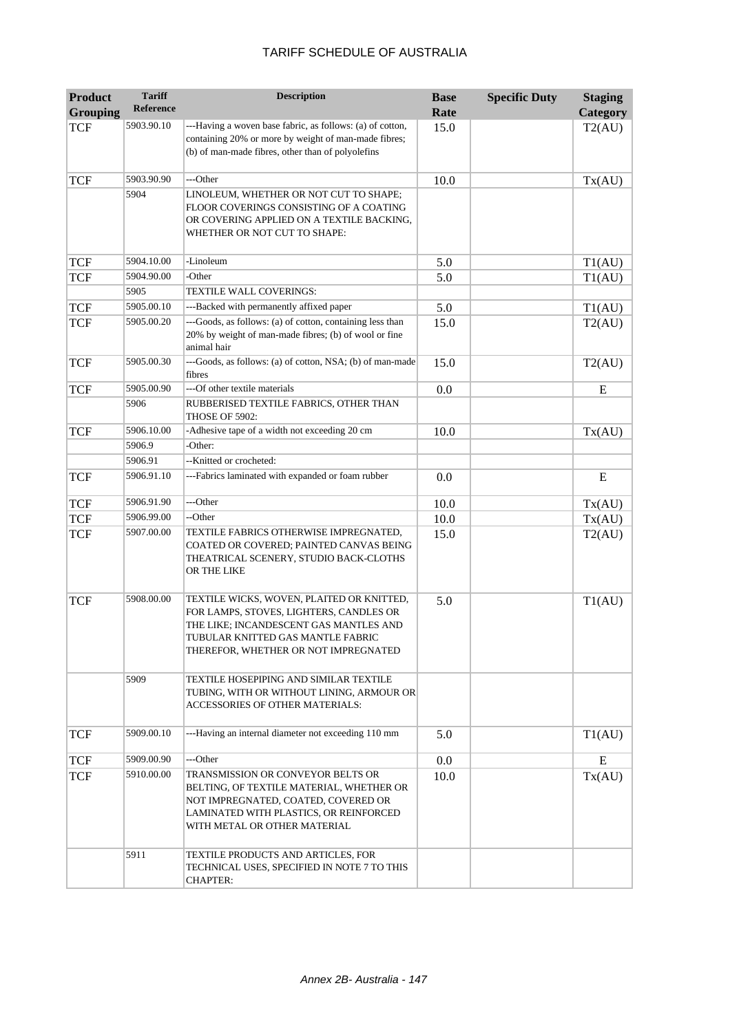| <b>Product</b>  | <b>Tariff</b> | <b>Description</b>                                                                                                                                                                                          | <b>Base</b> | <b>Specific Duty</b> | <b>Staging</b> |
|-----------------|---------------|-------------------------------------------------------------------------------------------------------------------------------------------------------------------------------------------------------------|-------------|----------------------|----------------|
| <b>Grouping</b> | Reference     |                                                                                                                                                                                                             | Rate        |                      | Category       |
| <b>TCF</b>      | 5903.90.10    | ---Having a woven base fabric, as follows: (a) of cotton,<br>containing 20% or more by weight of man-made fibres;<br>(b) of man-made fibres, other than of polyolefins                                      | 15.0        |                      | T2(AU)         |
| <b>TCF</b>      | 5903.90.90    | ---Other                                                                                                                                                                                                    | 10.0        |                      | Tx(AU)         |
|                 | 5904          | LINOLEUM, WHETHER OR NOT CUT TO SHAPE;<br>FLOOR COVERINGS CONSISTING OF A COATING<br>OR COVERING APPLIED ON A TEXTILE BACKING,<br>WHETHER OR NOT CUT TO SHAPE:                                              |             |                      |                |
| <b>TCF</b>      | 5904.10.00    | -Linoleum                                                                                                                                                                                                   | 5.0         |                      | T1(AU)         |
| <b>TCF</b>      | 5904.90.00    | -Other                                                                                                                                                                                                      | 5.0         |                      | T1(AU)         |
|                 | 5905          | TEXTILE WALL COVERINGS:                                                                                                                                                                                     |             |                      |                |
| <b>TCF</b>      | 5905.00.10    | ---Backed with permanently affixed paper                                                                                                                                                                    | 5.0         |                      | T1(AU)         |
| <b>TCF</b>      | 5905.00.20    | ---Goods, as follows: (a) of cotton, containing less than<br>20% by weight of man-made fibres; (b) of wool or fine<br>animal hair                                                                           | 15.0        |                      | T2(AU)         |
| <b>TCF</b>      | 5905.00.30    | ---Goods, as follows: (a) of cotton, NSA; (b) of man-made<br>fibres                                                                                                                                         | 15.0        |                      | T2(AU)         |
| <b>TCF</b>      | 5905.00.90    | ---Of other textile materials                                                                                                                                                                               | 0.0         |                      | E              |
|                 | 5906          | RUBBERISED TEXTILE FABRICS, OTHER THAN<br>THOSE OF 5902:                                                                                                                                                    |             |                      |                |
| <b>TCF</b>      | 5906.10.00    | -Adhesive tape of a width not exceeding 20 cm                                                                                                                                                               | 10.0        |                      | Tx(AU)         |
|                 | 5906.9        | -Other:                                                                                                                                                                                                     |             |                      |                |
|                 | 5906.91       | --Knitted or crocheted:                                                                                                                                                                                     |             |                      |                |
| <b>TCF</b>      | 5906.91.10    | ---Fabrics laminated with expanded or foam rubber                                                                                                                                                           | 0.0         |                      | ${\bf E}$      |
| <b>TCF</b>      | 5906.91.90    | ---Other                                                                                                                                                                                                    | 10.0        |                      | Tx(AU)         |
| <b>TCF</b>      | 5906.99.00    | --Other                                                                                                                                                                                                     | 10.0        |                      | Tx(AU)         |
| <b>TCF</b>      | 5907.00.00    | TEXTILE FABRICS OTHERWISE IMPREGNATED,<br>COATED OR COVERED; PAINTED CANVAS BEING<br>THEATRICAL SCENERY, STUDIO BACK-CLOTHS<br>OR THE LIKE                                                                  | 15.0        |                      | T2(AU)         |
| <b>TCF</b>      | 5908.00.00    | TEXTILE WICKS, WOVEN, PLAITED OR KNITTED,<br>FOR LAMPS, STOVES, LIGHTERS, CANDLES OR<br>THE LIKE; INCANDESCENT GAS MANTLES AND<br>TUBULAR KNITTED GAS MANTLE FABRIC<br>THEREFOR, WHETHER OR NOT IMPREGNATED | 5.0         |                      | T1(AU)         |
|                 | 5909          | TEXTILE HOSEPIPING AND SIMILAR TEXTILE<br>TUBING, WITH OR WITHOUT LINING, ARMOUR OR<br>ACCESSORIES OF OTHER MATERIALS:                                                                                      |             |                      |                |
| <b>TCF</b>      | 5909.00.10    | ---Having an internal diameter not exceeding 110 mm                                                                                                                                                         | 5.0         |                      | T1(AU)         |
| <b>TCF</b>      | 5909.00.90    | ---Other                                                                                                                                                                                                    | $0.0\,$     |                      | E              |
| <b>TCF</b>      | 5910.00.00    | TRANSMISSION OR CONVEYOR BELTS OR<br>BELTING, OF TEXTILE MATERIAL, WHETHER OR<br>NOT IMPREGNATED, COATED, COVERED OR<br>LAMINATED WITH PLASTICS, OR REINFORCED<br>WITH METAL OR OTHER MATERIAL              | 10.0        |                      | Tx(AU)         |
|                 | 5911          | TEXTILE PRODUCTS AND ARTICLES, FOR<br>TECHNICAL USES, SPECIFIED IN NOTE 7 TO THIS<br><b>CHAPTER:</b>                                                                                                        |             |                      |                |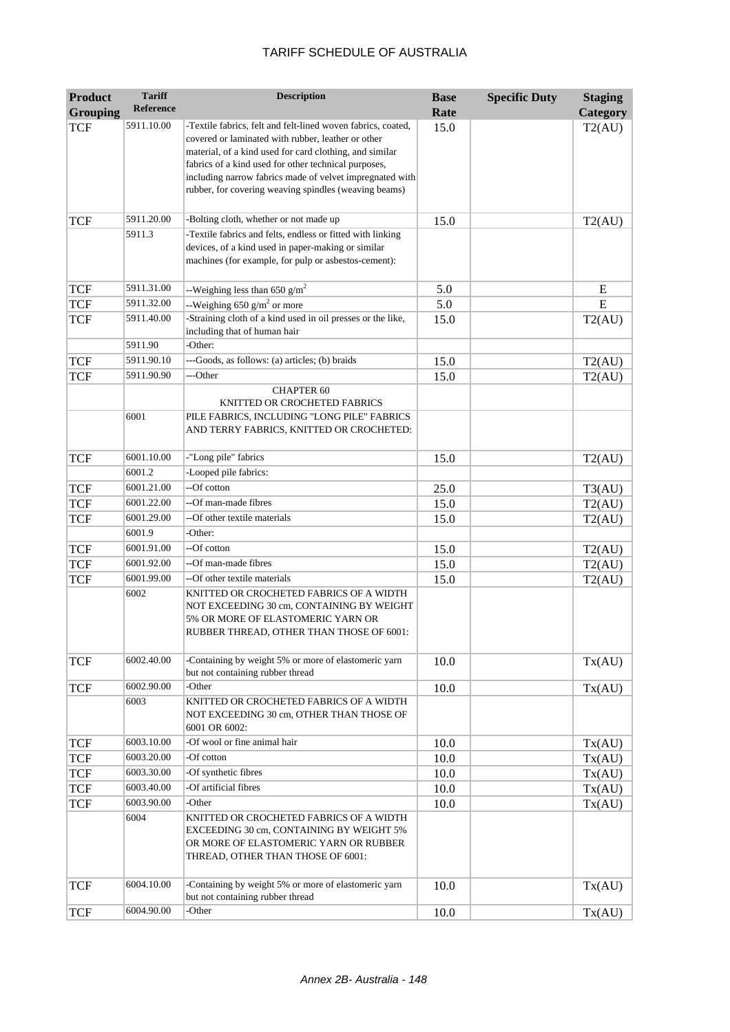| <b>Product</b>  | <b>Tariff</b> | <b>Description</b>                                                                                                                                                                                                                                                                                                                                         | <b>Base</b> | <b>Specific Duty</b> | <b>Staging</b> |
|-----------------|---------------|------------------------------------------------------------------------------------------------------------------------------------------------------------------------------------------------------------------------------------------------------------------------------------------------------------------------------------------------------------|-------------|----------------------|----------------|
| <b>Grouping</b> | Reference     |                                                                                                                                                                                                                                                                                                                                                            | Rate        |                      | Category       |
| <b>TCF</b>      | 5911.10.00    | -Textile fabrics, felt and felt-lined woven fabrics, coated,<br>covered or laminated with rubber, leather or other<br>material, of a kind used for card clothing, and similar<br>fabrics of a kind used for other technical purposes,<br>including narrow fabrics made of velvet impregnated with<br>rubber, for covering weaving spindles (weaving beams) | 15.0        |                      | T2(AU)         |
| <b>TCF</b>      | 5911.20.00    | -Bolting cloth, whether or not made up                                                                                                                                                                                                                                                                                                                     | 15.0        |                      | T2(AU)         |
|                 | 5911.3        | -Textile fabrics and felts, endless or fitted with linking<br>devices, of a kind used in paper-making or similar<br>machines (for example, for pulp or asbestos-cement):                                                                                                                                                                                   |             |                      |                |
| <b>TCF</b>      | 5911.31.00    | --Weighing less than 650 $g/m^2$                                                                                                                                                                                                                                                                                                                           | 5.0         |                      | E              |
| <b>TCF</b>      | 5911.32.00    | --Weighing 650 $g/m^2$ or more                                                                                                                                                                                                                                                                                                                             | 5.0         |                      | E              |
| <b>TCF</b>      | 5911.40.00    | -Straining cloth of a kind used in oil presses or the like,<br>including that of human hair                                                                                                                                                                                                                                                                | 15.0        |                      | T2(AU)         |
|                 | 5911.90       | -Other:                                                                                                                                                                                                                                                                                                                                                    |             |                      |                |
| <b>TCF</b>      | 5911.90.10    | ---Goods, as follows: (a) articles; (b) braids                                                                                                                                                                                                                                                                                                             | 15.0        |                      | T2(AU)         |
| <b>TCF</b>      | 5911.90.90    | ---Other                                                                                                                                                                                                                                                                                                                                                   | 15.0        |                      | T2(AU)         |
|                 |               | <b>CHAPTER 60</b><br>KNITTED OR CROCHETED FABRICS                                                                                                                                                                                                                                                                                                          |             |                      |                |
|                 | 6001          | PILE FABRICS, INCLUDING "LONG PILE" FABRICS<br>AND TERRY FABRICS, KNITTED OR CROCHETED:                                                                                                                                                                                                                                                                    |             |                      |                |
| <b>TCF</b>      | 6001.10.00    | -"Long pile" fabrics                                                                                                                                                                                                                                                                                                                                       | 15.0        |                      | T2(AU)         |
|                 | 6001.2        | -Looped pile fabrics:                                                                                                                                                                                                                                                                                                                                      |             |                      |                |
| <b>TCF</b>      | 6001.21.00    | --Of cotton                                                                                                                                                                                                                                                                                                                                                | 25.0        |                      | T3(AU)         |
| <b>TCF</b>      | 6001.22.00    | --Of man-made fibres                                                                                                                                                                                                                                                                                                                                       | 15.0        |                      | T2(AU)         |
| <b>TCF</b>      | 6001.29.00    | --Of other textile materials                                                                                                                                                                                                                                                                                                                               | 15.0        |                      | T2(AU)         |
|                 | 6001.9        | -Other:                                                                                                                                                                                                                                                                                                                                                    |             |                      |                |
| <b>TCF</b>      | 6001.91.00    | --Of cotton                                                                                                                                                                                                                                                                                                                                                | 15.0        |                      | T2(AU)         |
| <b>TCF</b>      | 6001.92.00    | --Of man-made fibres                                                                                                                                                                                                                                                                                                                                       | 15.0        |                      | T2(AU)         |
| <b>TCF</b>      | 6001.99.00    | --Of other textile materials                                                                                                                                                                                                                                                                                                                               | 15.0        |                      | T2(AU)         |
|                 | 6002          | KNITTED OR CROCHETED FABRICS OF A WIDTH<br>NOT EXCEEDING 30 cm, CONTAINING BY WEIGHT<br>5% OR MORE OF ELASTOMERIC YARN OR<br>RUBBER THREAD, OTHER THAN THOSE OF 6001:                                                                                                                                                                                      |             |                      |                |
| <b>TCF</b>      | 6002.40.00    | -Containing by weight 5% or more of elastomeric yarn<br>but not containing rubber thread                                                                                                                                                                                                                                                                   | 10.0        |                      | Tx(AU)         |
| <b>TCF</b>      | 6002.90.00    | -Other                                                                                                                                                                                                                                                                                                                                                     | 10.0        |                      | Tx(AU)         |
|                 | 6003          | KNITTED OR CROCHETED FABRICS OF A WIDTH<br>NOT EXCEEDING 30 cm, OTHER THAN THOSE OF<br>6001 OR 6002:                                                                                                                                                                                                                                                       |             |                      |                |
| <b>TCF</b>      | 6003.10.00    | -Of wool or fine animal hair                                                                                                                                                                                                                                                                                                                               | 10.0        |                      | Tx(AU)         |
| <b>TCF</b>      | 6003.20.00    | -Of cotton                                                                                                                                                                                                                                                                                                                                                 | 10.0        |                      | Tx(AU)         |
| <b>TCF</b>      | 6003.30.00    | -Of synthetic fibres                                                                                                                                                                                                                                                                                                                                       | 10.0        |                      | Tx(AU)         |
| <b>TCF</b>      | 6003.40.00    | -Of artificial fibres                                                                                                                                                                                                                                                                                                                                      | 10.0        |                      | Tx(AU)         |
| <b>TCF</b>      | 6003.90.00    | -Other                                                                                                                                                                                                                                                                                                                                                     | 10.0        |                      | Tx(AU)         |
|                 | 6004          | KNITTED OR CROCHETED FABRICS OF A WIDTH<br>EXCEEDING 30 cm, CONTAINING BY WEIGHT 5%<br>OR MORE OF ELASTOMERIC YARN OR RUBBER<br>THREAD, OTHER THAN THOSE OF 6001:                                                                                                                                                                                          |             |                      |                |
| <b>TCF</b>      | 6004.10.00    | -Containing by weight 5% or more of elastomeric yarn<br>but not containing rubber thread                                                                                                                                                                                                                                                                   | 10.0        |                      | Tx(AU)         |
| <b>TCF</b>      | 6004.90.00    | -Other                                                                                                                                                                                                                                                                                                                                                     | 10.0        |                      | Tx(AU)         |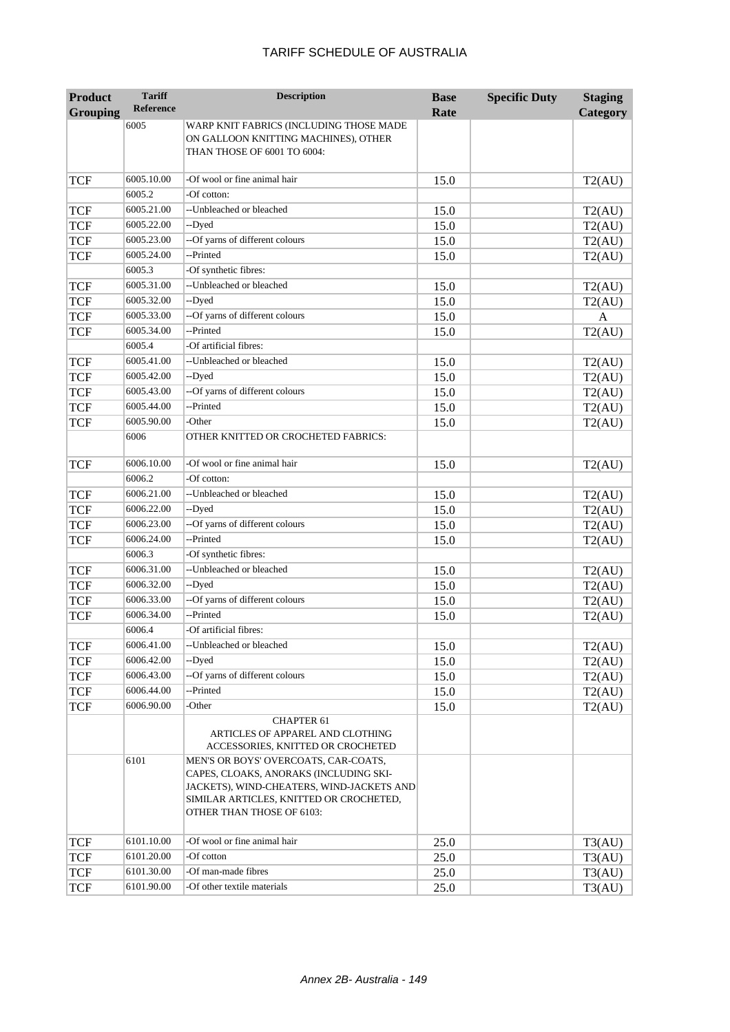| <b>Product</b>  | <b>Tariff</b>    | <b>Description</b>                                                    | <b>Base</b> | <b>Specific Duty</b> | <b>Staging</b> |
|-----------------|------------------|-----------------------------------------------------------------------|-------------|----------------------|----------------|
| <b>Grouping</b> | <b>Reference</b> |                                                                       | Rate        |                      | Category       |
|                 | 6005             | WARP KNIT FABRICS (INCLUDING THOSE MADE                               |             |                      |                |
|                 |                  | ON GALLOON KNITTING MACHINES), OTHER<br>THAN THOSE OF 6001 TO 6004:   |             |                      |                |
|                 |                  |                                                                       |             |                      |                |
| <b>TCF</b>      | 6005.10.00       | -Of wool or fine animal hair                                          | 15.0        |                      | T2(AU)         |
|                 | 6005.2           | -Of cotton:                                                           |             |                      |                |
| <b>TCF</b>      | 6005.21.00       | --Unbleached or bleached                                              | 15.0        |                      | T2(AU)         |
| <b>TCF</b>      | 6005.22.00       | --Dyed                                                                | 15.0        |                      | T2(AU)         |
| <b>TCF</b>      | 6005.23.00       | --Of yarns of different colours                                       | 15.0        |                      | T2(AU)         |
| <b>TCF</b>      | 6005.24.00       | --Printed                                                             | 15.0        |                      | T2(AU)         |
|                 | 6005.3           | -Of synthetic fibres:                                                 |             |                      |                |
| <b>TCF</b>      | 6005.31.00       | --Unbleached or bleached                                              | 15.0        |                      | T2(AU)         |
| <b>TCF</b>      | 6005.32.00       | --Dyed                                                                | 15.0        |                      | T2(AU)         |
| <b>TCF</b>      | 6005.33.00       | -- Of yarns of different colours                                      | 15.0        |                      | A              |
| <b>TCF</b>      | 6005.34.00       | --Printed                                                             | 15.0        |                      | T2(AU)         |
|                 | 6005.4           | -Of artificial fibres:                                                |             |                      |                |
| <b>TCF</b>      | 6005.41.00       | --Unbleached or bleached                                              | 15.0        |                      | T2(AU)         |
| <b>TCF</b>      | 6005.42.00       | --Dyed                                                                | 15.0        |                      | T2(AU)         |
| <b>TCF</b>      | 6005.43.00       | --Of yarns of different colours                                       | 15.0        |                      | T2(AU)         |
| <b>TCF</b>      | 6005.44.00       | --Printed                                                             | 15.0        |                      | T2(AU)         |
| <b>TCF</b>      | 6005.90.00       | -Other                                                                | 15.0        |                      | T2(AU)         |
|                 | 6006             | OTHER KNITTED OR CROCHETED FABRICS:                                   |             |                      |                |
|                 |                  |                                                                       |             |                      |                |
| <b>TCF</b>      | 6006.10.00       | -Of wool or fine animal hair                                          | 15.0        |                      | T2(AU)         |
|                 | 6006.2           | -Of cotton:                                                           |             |                      |                |
| <b>TCF</b>      | 6006.21.00       | -- Unbleached or bleached                                             | 15.0        |                      | T2(AU)         |
| <b>TCF</b>      | 6006.22.00       | --Dyed                                                                | 15.0        |                      | T2(AU)         |
| <b>TCF</b>      | 6006.23.00       | -- Of yarns of different colours                                      | 15.0        |                      | T2(AU)         |
| <b>TCF</b>      | 6006.24.00       | --Printed                                                             | 15.0        |                      | T2(AU)         |
|                 | 6006.3           | -Of synthetic fibres:                                                 |             |                      |                |
| <b>TCF</b>      | 6006.31.00       | --Unbleached or bleached                                              | 15.0        |                      | T2(AU)         |
| <b>TCF</b>      | 6006.32.00       | --Dyed                                                                | 15.0        |                      | T2(AU)         |
| <b>TCF</b>      | 6006.33.00       | --Of yarns of different colours                                       | 15.0        |                      | T2(AU)         |
| <b>TCF</b>      | 6006.34.00       | --Printed                                                             | 15.0        |                      | T2(AU)         |
|                 | 6006.4           | -Of artificial fibres:                                                |             |                      |                |
| <b>TCF</b>      | 6006.41.00       | --Unbleached or bleached                                              | 15.0        |                      | T2(AU)         |
| <b>TCF</b>      | 6006.42.00       | --Dyed                                                                | 15.0        |                      | T2(AU)         |
| <b>TCF</b>      | 6006.43.00       | -- Of yarns of different colours                                      | 15.0        |                      | T2(AU)         |
| <b>TCF</b>      | 6006.44.00       | --Printed                                                             | 15.0        |                      | T2(AU)         |
| <b>TCF</b>      | 6006.90.00       | -Other                                                                | 15.0        |                      | T2(AU)         |
|                 |                  | <b>CHAPTER 61</b>                                                     |             |                      |                |
|                 |                  | ARTICLES OF APPAREL AND CLOTHING<br>ACCESSORIES, KNITTED OR CROCHETED |             |                      |                |
|                 | 6101             | MEN'S OR BOYS' OVERCOATS, CAR-COATS,                                  |             |                      |                |
|                 |                  | CAPES, CLOAKS, ANORAKS (INCLUDING SKI-                                |             |                      |                |
|                 |                  | JACKETS), WIND-CHEATERS, WIND-JACKETS AND                             |             |                      |                |
|                 |                  | SIMILAR ARTICLES, KNITTED OR CROCHETED,                               |             |                      |                |
|                 |                  | OTHER THAN THOSE OF 6103:                                             |             |                      |                |
|                 |                  |                                                                       |             |                      |                |
| <b>TCF</b>      | 6101.10.00       | -Of wool or fine animal hair                                          | 25.0        |                      | T3(AU)         |
| <b>TCF</b>      | 6101.20.00       | -Of cotton                                                            | 25.0        |                      | T3(AU)         |
| <b>TCF</b>      | 6101.30.00       | -Of man-made fibres                                                   | 25.0        |                      | T3(AU)         |
| <b>TCF</b>      | 6101.90.00       | -Of other textile materials                                           | 25.0        |                      | T3(AU)         |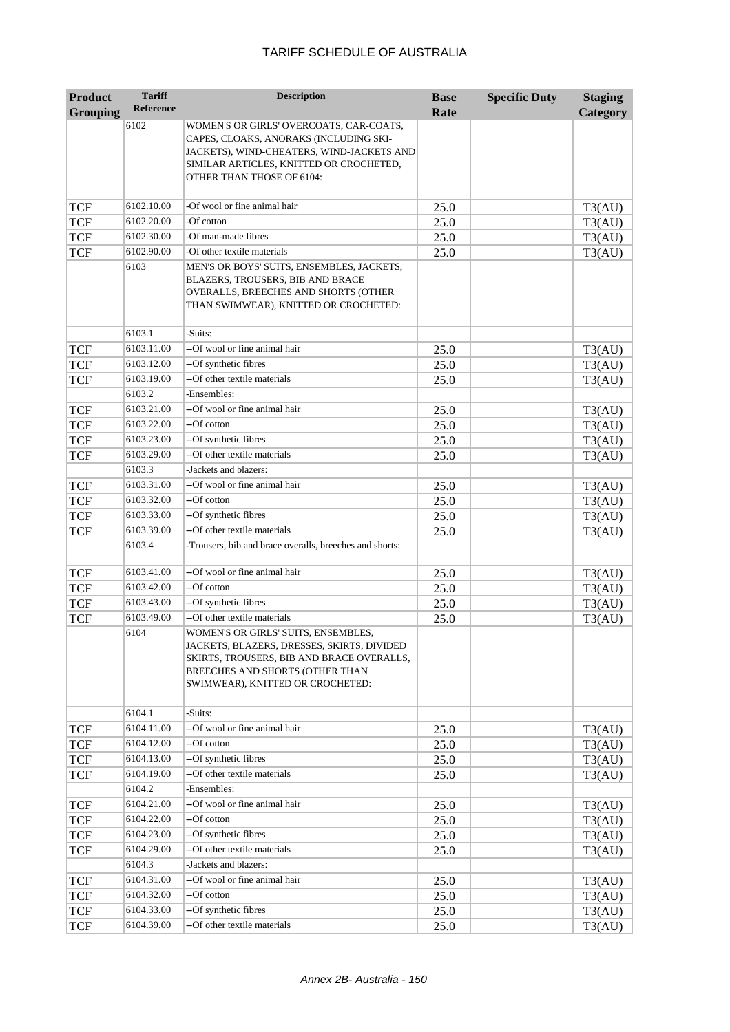| <b>Product</b>  | <b>Tariff</b>        | <b>Description</b>                                                                                                                                                                                     | <b>Base</b> | <b>Specific Duty</b> | <b>Staging</b> |
|-----------------|----------------------|--------------------------------------------------------------------------------------------------------------------------------------------------------------------------------------------------------|-------------|----------------------|----------------|
| <b>Grouping</b> | <b>Reference</b>     |                                                                                                                                                                                                        | Rate        |                      | Category       |
|                 | 6102                 | WOMEN'S OR GIRLS' OVERCOATS, CAR-COATS,<br>CAPES, CLOAKS, ANORAKS (INCLUDING SKI-<br>JACKETS), WIND-CHEATERS, WIND-JACKETS AND<br>SIMILAR ARTICLES, KNITTED OR CROCHETED,<br>OTHER THAN THOSE OF 6104: |             |                      |                |
| <b>TCF</b>      | 6102.10.00           | -Of wool or fine animal hair                                                                                                                                                                           | 25.0        |                      | T3(AU)         |
| <b>TCF</b>      | 6102.20.00           | -Of cotton                                                                                                                                                                                             | 25.0        |                      | T3(AU)         |
| <b>TCF</b>      | 6102.30.00           | -Of man-made fibres                                                                                                                                                                                    | 25.0        |                      | T3(AU)         |
| <b>TCF</b>      | 6102.90.00           | -Of other textile materials                                                                                                                                                                            | 25.0        |                      | T3(AU)         |
|                 | 6103                 | MEN'S OR BOYS' SUITS, ENSEMBLES, JACKETS,<br>BLAZERS, TROUSERS, BIB AND BRACE<br>OVERALLS, BREECHES AND SHORTS (OTHER<br>THAN SWIMWEAR), KNITTED OR CROCHETED:                                         |             |                      |                |
|                 | 6103.1               | -Suits:                                                                                                                                                                                                |             |                      |                |
| <b>TCF</b>      | 6103.11.00           | --Of wool or fine animal hair                                                                                                                                                                          | 25.0        |                      | T3(AU)         |
| <b>TCF</b>      | 6103.12.00           | --Of synthetic fibres                                                                                                                                                                                  | 25.0        |                      | T3(AU)         |
| <b>TCF</b>      | 6103.19.00           | --Of other textile materials                                                                                                                                                                           | 25.0        |                      | T3(AU)         |
|                 | 6103.2               | Ensembles:                                                                                                                                                                                             |             |                      |                |
| <b>TCF</b>      | 6103.21.00           | --Of wool or fine animal hair                                                                                                                                                                          | 25.0        |                      | T3(AU)         |
| <b>TCF</b>      | 6103.22.00           | --Of cotton                                                                                                                                                                                            | 25.0        |                      | T3(AU)         |
| <b>TCF</b>      | 6103.23.00           | --Of synthetic fibres                                                                                                                                                                                  | 25.0        |                      | T3(AU)         |
| <b>TCF</b>      | 6103.29.00           | --Of other textile materials                                                                                                                                                                           | 25.0        |                      | T3(AU)         |
|                 | 6103.3               | -Jackets and blazers:                                                                                                                                                                                  |             |                      |                |
| <b>TCF</b>      | 6103.31.00           | --Of wool or fine animal hair                                                                                                                                                                          | 25.0        |                      | T3(AU)         |
| <b>TCF</b>      | 6103.32.00           | --Of cotton                                                                                                                                                                                            | 25.0        |                      | T3(AU)         |
| <b>TCF</b>      | 6103.33.00           | --Of synthetic fibres                                                                                                                                                                                  | 25.0        |                      | T3(AU)         |
| <b>TCF</b>      | 6103.39.00<br>6103.4 | --Of other textile materials<br>-Trousers, bib and brace overalls, breeches and shorts:                                                                                                                | 25.0        |                      | T3(AU)         |
| <b>TCF</b>      | 6103.41.00           | --Of wool or fine animal hair                                                                                                                                                                          | 25.0        |                      | T3(AU)         |
| <b>TCF</b>      | 6103.42.00           | --Of cotton                                                                                                                                                                                            | 25.0        |                      | T3(AU)         |
| <b>TCF</b>      | 6103.43.00           | --Of synthetic fibres                                                                                                                                                                                  | 25.0        |                      | T3(AU)         |
| <b>TCF</b>      | 6103.49.00           | --Of other textile materials                                                                                                                                                                           | 25.0        |                      | T3(AU)         |
|                 | 6104                 | WOMEN'S OR GIRLS' SUITS, ENSEMBLES,<br>JACKETS, BLAZERS, DRESSES, SKIRTS, DIVIDED<br>SKIRTS, TROUSERS, BIB AND BRACE OVERALLS,<br>BREECHES AND SHORTS (OTHER THAN<br>SWIMWEAR), KNITTED OR CROCHETED:  |             |                      |                |
|                 | 6104.1               | -Suits:                                                                                                                                                                                                |             |                      |                |
| <b>TCF</b>      | 6104.11.00           | --Of wool or fine animal hair                                                                                                                                                                          | 25.0        |                      | T3(AU)         |
| <b>TCF</b>      | 6104.12.00           | --Of cotton                                                                                                                                                                                            | 25.0        |                      | T3(AU)         |
| <b>TCF</b>      | 6104.13.00           | --Of synthetic fibres                                                                                                                                                                                  | 25.0        |                      | T3(AU)         |
| <b>TCF</b>      | 6104.19.00           | --Of other textile materials                                                                                                                                                                           | 25.0        |                      | T3(AU)         |
|                 | 6104.2               | -Ensembles:                                                                                                                                                                                            |             |                      |                |
| <b>TCF</b>      | 6104.21.00           | --Of wool or fine animal hair                                                                                                                                                                          | 25.0        |                      | T3(AU)         |
| <b>TCF</b>      | 6104.22.00           | --Of cotton                                                                                                                                                                                            | 25.0        |                      | T3(AU)         |
| <b>TCF</b>      | 6104.23.00           | --Of synthetic fibres                                                                                                                                                                                  | 25.0        |                      | T3(AU)         |
| <b>TCF</b>      | 6104.29.00           | --Of other textile materials                                                                                                                                                                           | 25.0        |                      | T3(AU)         |
|                 | 6104.3               | -Jackets and blazers:                                                                                                                                                                                  |             |                      |                |
| <b>TCF</b>      | 6104.31.00           | --Of wool or fine animal hair                                                                                                                                                                          | 25.0        |                      | T3(AU)         |
| <b>TCF</b>      | 6104.32.00           | --Of cotton                                                                                                                                                                                            | 25.0        |                      | T3(AU)         |
| <b>TCF</b>      | 6104.33.00           | --Of synthetic fibres                                                                                                                                                                                  | 25.0        |                      | T3(AU)         |
| <b>TCF</b>      | 6104.39.00           | --Of other textile materials                                                                                                                                                                           | 25.0        |                      | T3(AU)         |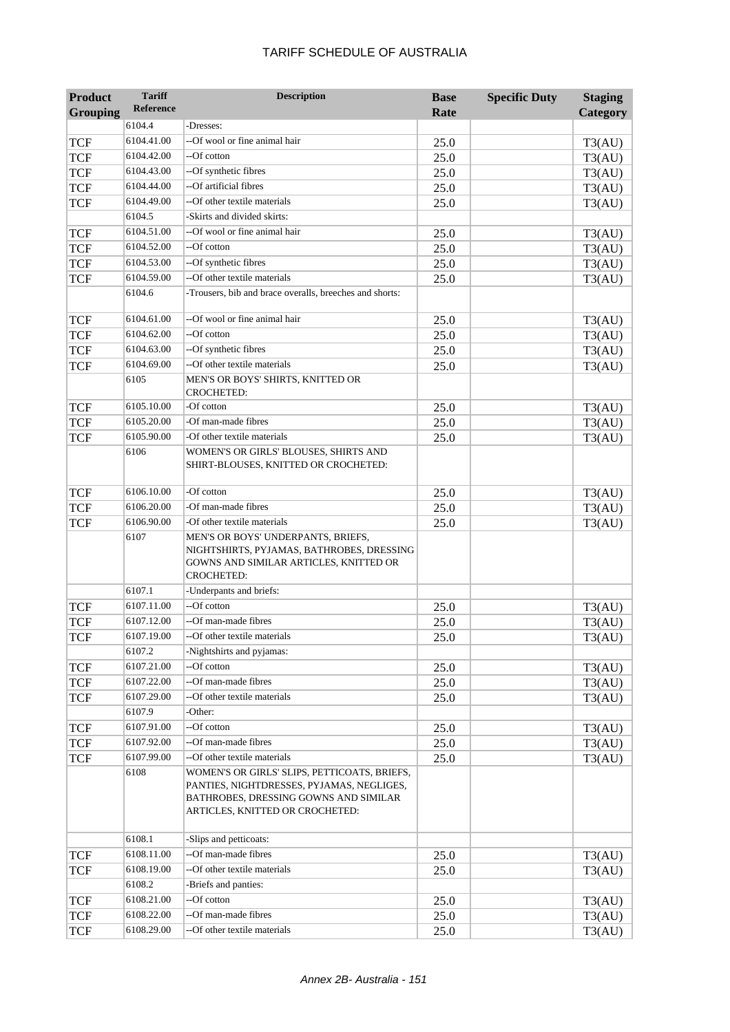| <b>Product</b>    | <b>Tariff</b> | <b>Description</b>                                                                                                                             | <b>Base</b>  | <b>Specific Duty</b> | <b>Staging</b> |
|-------------------|---------------|------------------------------------------------------------------------------------------------------------------------------------------------|--------------|----------------------|----------------|
| Grouping          | Reference     |                                                                                                                                                | Rate         |                      | Category       |
|                   | 6104.4        | -Dresses:                                                                                                                                      |              |                      |                |
| <b>TCF</b>        | 6104.41.00    | --Of wool or fine animal hair                                                                                                                  | 25.0         |                      | T3(AU)         |
| <b>TCF</b>        | 6104.42.00    | --Of cotton                                                                                                                                    | 25.0         |                      | T3(AU)         |
| <b>TCF</b>        | 6104.43.00    | --Of synthetic fibres                                                                                                                          | 25.0         |                      | T3(AU)         |
| TCF               | 6104.44.00    | --Of artificial fibres                                                                                                                         | 25.0         |                      | T3(AU)         |
| <b>TCF</b>        | 6104.49.00    | --Of other textile materials                                                                                                                   | 25.0         |                      | T3(AU)         |
|                   | 6104.5        | -Skirts and divided skirts:                                                                                                                    |              |                      |                |
| <b>TCF</b>        | 6104.51.00    | --Of wool or fine animal hair                                                                                                                  | 25.0         |                      | T3(AU)         |
| <b>TCF</b>        | 6104.52.00    | --Of cotton                                                                                                                                    | 25.0         |                      | T3(AU)         |
| <b>TCF</b>        | 6104.53.00    | --Of synthetic fibres                                                                                                                          | 25.0         |                      | T3(AU)         |
| <b>TCF</b>        | 6104.59.00    | --Of other textile materials                                                                                                                   | 25.0         |                      | T3(AU)         |
|                   | 6104.6        | -Trousers, bib and brace overalls, breeches and shorts:                                                                                        |              |                      |                |
| TCF               | 6104.61.00    | --Of wool or fine animal hair                                                                                                                  | 25.0         |                      | T3(AU)         |
| <b>TCF</b>        | 6104.62.00    | --Of cotton                                                                                                                                    | 25.0         |                      | T3(AU)         |
| <b>TCF</b>        | 6104.63.00    | --Of synthetic fibres                                                                                                                          | 25.0         |                      | T3(AU)         |
| <b>TCF</b>        | 6104.69.00    | --Of other textile materials                                                                                                                   | 25.0         |                      | T3(AU)         |
|                   | 6105          | MEN'S OR BOYS' SHIRTS, KNITTED OR<br><b>CROCHETED:</b>                                                                                         |              |                      |                |
| <b>TCF</b>        | 6105.10.00    | -Of cotton                                                                                                                                     | 25.0         |                      | T3(AU)         |
| <b>TCF</b>        | 6105.20.00    | -Of man-made fibres                                                                                                                            | 25.0         |                      | T3(AU)         |
| <b>TCF</b>        | 6105.90.00    | -Of other textile materials                                                                                                                    | 25.0         |                      | T3(AU)         |
|                   | 6106          | WOMEN'S OR GIRLS' BLOUSES, SHIRTS AND                                                                                                          |              |                      |                |
|                   |               | SHIRT-BLOUSES, KNITTED OR CROCHETED:                                                                                                           |              |                      |                |
| <b>TCF</b>        | 6106.10.00    | $-Ofcotton$                                                                                                                                    | 25.0         |                      | T3(AU)         |
| <b>TCF</b>        | 6106.20.00    | -Of man-made fibres                                                                                                                            | 25.0         |                      | T3(AU)         |
| <b>TCF</b>        | 6106.90.00    | -Of other textile materials                                                                                                                    | 25.0         |                      | T3(AU)         |
|                   | 6107          | MEN'S OR BOYS' UNDERPANTS, BRIEFS,<br>NIGHTSHIRTS, PYJAMAS, BATHROBES, DRESSING<br>GOWNS AND SIMILAR ARTICLES, KNITTED OR<br><b>CROCHETED:</b> |              |                      |                |
|                   | 6107.1        | -Underpants and briefs:                                                                                                                        |              |                      |                |
|                   | 6107.11.00    | --Of cotton                                                                                                                                    |              |                      |                |
| TCF<br><b>TCF</b> | 6107.12.00    | --Of man-made fibres                                                                                                                           | 25.0<br>25.0 |                      | T3(AU)         |
|                   | 6107.19.00    | --Of other textile materials                                                                                                                   |              |                      | T3(AU)         |
| <b>TCF</b>        | 6107.2        | -Nightshirts and pyjamas:                                                                                                                      | 25.0         |                      | T3(AU)         |
|                   | 6107.21.00    | --Of cotton                                                                                                                                    |              |                      |                |
| <b>TCF</b>        | 6107.22.00    | --Of man-made fibres                                                                                                                           | 25.0         |                      | T3(AU)         |
| <b>TCF</b>        | 6107.29.00    | --Of other textile materials                                                                                                                   | 25.0         |                      | T3(AU)         |
| <b>TCF</b>        | 6107.9        | -Other:                                                                                                                                        | 25.0         |                      | T3(AU)         |
| <b>TCF</b>        | 6107.91.00    | --Of cotton                                                                                                                                    | 25.0         |                      | T3(AU)         |
| <b>TCF</b>        | 6107.92.00    | --Of man-made fibres                                                                                                                           | 25.0         |                      | T3(AU)         |
| <b>TCF</b>        | 6107.99.00    | --Of other textile materials                                                                                                                   | 25.0         |                      |                |
|                   | 6108          | WOMEN'S OR GIRLS' SLIPS, PETTICOATS, BRIEFS,                                                                                                   |              |                      | T3(AU)         |
|                   |               | PANTIES, NIGHTDRESSES, PYJAMAS, NEGLIGES,<br>BATHROBES, DRESSING GOWNS AND SIMILAR<br>ARTICLES, KNITTED OR CROCHETED:                          |              |                      |                |
|                   | 6108.1        | -Slips and petticoats:                                                                                                                         |              |                      |                |
| <b>TCF</b>        | 6108.11.00    | --Of man-made fibres                                                                                                                           | 25.0         |                      | T3(AU)         |
| <b>TCF</b>        | 6108.19.00    | --Of other textile materials                                                                                                                   | 25.0         |                      | T3(AU)         |
|                   | 6108.2        | -Briefs and panties:                                                                                                                           |              |                      |                |
| <b>TCF</b>        | 6108.21.00    | --Of cotton                                                                                                                                    | 25.0         |                      | T3(AU)         |
| <b>TCF</b>        | 6108.22.00    | --Of man-made fibres                                                                                                                           | 25.0         |                      | T3(AU)         |
| <b>TCF</b>        | 6108.29.00    | -- Of other textile materials                                                                                                                  | 25.0         |                      | T3(AU)         |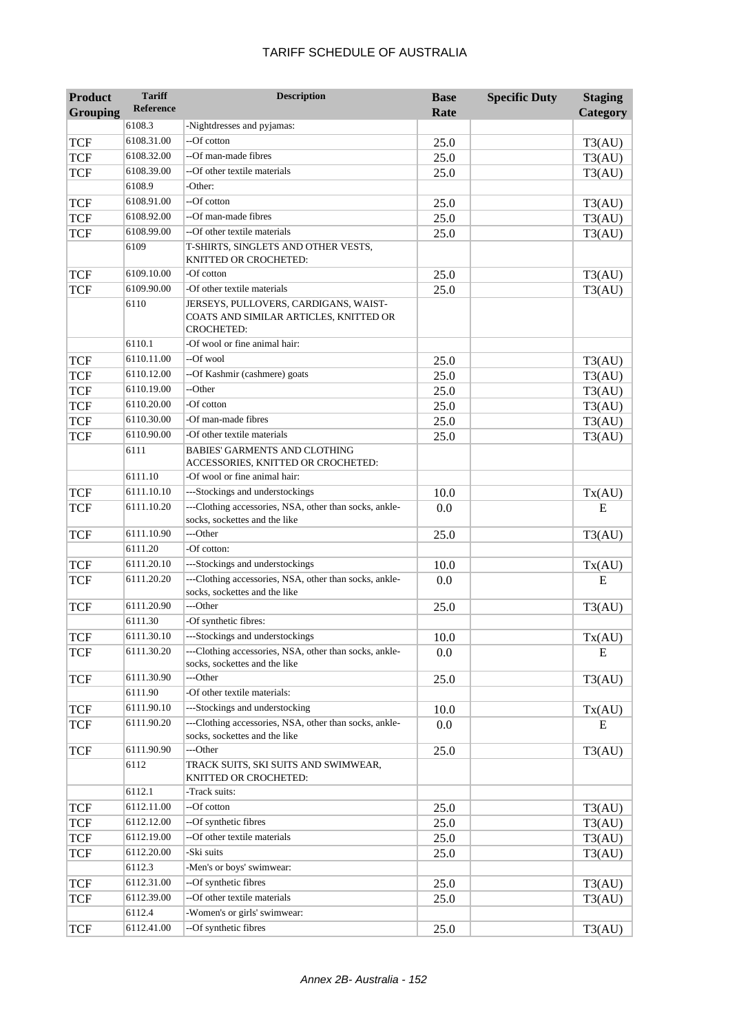| <b>Product</b> | <b>Tariff</b>    | <b>Description</b>                                                                                   | <b>Base</b> | <b>Specific Duty</b> | <b>Staging</b> |
|----------------|------------------|------------------------------------------------------------------------------------------------------|-------------|----------------------|----------------|
| Grouping       | <b>Reference</b> |                                                                                                      | Rate        |                      | Category       |
|                | 6108.3           | -Nightdresses and pyjamas:                                                                           |             |                      |                |
| <b>TCF</b>     | 6108.31.00       | --Of cotton                                                                                          | 25.0        |                      | T3(AU)         |
| <b>TCF</b>     | 6108.32.00       | --Of man-made fibres                                                                                 | 25.0        |                      | T3(AU)         |
| <b>TCF</b>     | 6108.39.00       | --Of other textile materials                                                                         | 25.0        |                      | T3(AU)         |
|                | 6108.9           | -Other:                                                                                              |             |                      |                |
| <b>TCF</b>     | 6108.91.00       | --Of cotton                                                                                          | 25.0        |                      | T3(AU)         |
| <b>TCF</b>     | 6108.92.00       | --Of man-made fibres                                                                                 | 25.0        |                      | T3(AU)         |
| <b>TCF</b>     | 6108.99.00       | --Of other textile materials                                                                         | 25.0        |                      | T3(AU)         |
|                | 6109             | T-SHIRTS, SINGLETS AND OTHER VESTS,<br>KNITTED OR CROCHETED:                                         |             |                      |                |
| <b>TCF</b>     | 6109.10.00       | -Of cotton                                                                                           | 25.0        |                      | T3(AU)         |
| <b>TCF</b>     | 6109.90.00       | -Of other textile materials                                                                          | 25.0        |                      | T3(AU)         |
|                | 6110             | JERSEYS, PULLOVERS, CARDIGANS, WAIST-<br>COATS AND SIMILAR ARTICLES, KNITTED OR<br><b>CROCHETED:</b> |             |                      |                |
|                | 6110.1           | -Of wool or fine animal hair:                                                                        |             |                      |                |
| <b>TCF</b>     | 6110.11.00       | --Of wool                                                                                            | 25.0        |                      | T3(AU)         |
| <b>TCF</b>     | 6110.12.00       | --Of Kashmir (cashmere) goats                                                                        | 25.0        |                      | T3(AU)         |
| <b>TCF</b>     | 6110.19.00       | --Other                                                                                              | 25.0        |                      | T3(AU)         |
| <b>TCF</b>     | 6110.20.00       | -Of cotton                                                                                           | 25.0        |                      | T3(AU)         |
| <b>TCF</b>     | 6110.30.00       | -Of man-made fibres                                                                                  | 25.0        |                      | T3(AU)         |
| <b>TCF</b>     | 6110.90.00       | -Of other textile materials                                                                          | 25.0        |                      | T3(AU)         |
|                | 6111             | <b>BABIES' GARMENTS AND CLOTHING</b><br>ACCESSORIES, KNITTED OR CROCHETED:                           |             |                      |                |
|                | 6111.10          | -Of wool or fine animal hair:                                                                        |             |                      |                |
| <b>TCF</b>     | 6111.10.10       | ---Stockings and understockings                                                                      | 10.0        |                      | Tx(AU)         |
| TCF            | 6111.10.20       | ---Clothing accessories, NSA, other than socks, ankle-<br>socks, sockettes and the like              | 0.0         |                      | E              |
| <b>TCF</b>     | 6111.10.90       | ---Other                                                                                             | 25.0        |                      | T3(AU)         |
|                | 6111.20          | -Of cotton:                                                                                          |             |                      |                |
| <b>TCF</b>     | 6111.20.10       | ---Stockings and understockings                                                                      | 10.0        |                      | Tx(AU)         |
| <b>TCF</b>     | 6111.20.20       | ---Clothing accessories, NSA, other than socks, ankle-<br>socks, sockettes and the like              | 0.0         |                      | E              |
| TCF            | 6111.20.90       | ---Other                                                                                             | 25.0        |                      | T3(AU)         |
|                | 6111.30          | -Of synthetic fibres:                                                                                |             |                      |                |
| <b>TCF</b>     | 6111.30.10       | ---Stockings and understockings                                                                      | 10.0        |                      | Tx(AU)         |
| TCF            | 6111.30.20       | ---Clothing accessories, NSA, other than socks, ankle-<br>socks, sockettes and the like              | 0.0         |                      | E              |
| <b>TCF</b>     | 6111.30.90       | ---Other                                                                                             | 25.0        |                      | T3(AU)         |
|                | 6111.90          | -Of other textile materials:                                                                         |             |                      |                |
| <b>TCF</b>     | 6111.90.10       | ---Stockings and understocking                                                                       | 10.0        |                      | Tx(AU)         |
| <b>TCF</b>     | 6111.90.20       | ---Clothing accessories, NSA, other than socks, ankle-<br>socks, sockettes and the like              | 0.0         |                      | Ε              |
| TCF            | 6111.90.90       | ---Other                                                                                             | 25.0        |                      | T3(AU)         |
|                | 6112             | TRACK SUITS, SKI SUITS AND SWIMWEAR,<br>KNITTED OR CROCHETED:                                        |             |                      |                |
|                | 6112.1           | -Track suits:                                                                                        |             |                      |                |
| <b>TCF</b>     | 6112.11.00       | --Of cotton                                                                                          | 25.0        |                      | T3(AU)         |
| <b>TCF</b>     | 6112.12.00       | --Of synthetic fibres                                                                                | 25.0        |                      | T3(AU)         |
| <b>TCF</b>     | 6112.19.00       | --Of other textile materials                                                                         | 25.0        |                      | T3(AU)         |
| <b>TCF</b>     | 6112.20.00       | -Ski suits                                                                                           | 25.0        |                      | T3(AU)         |
|                | 6112.3           | -Men's or boys' swimwear:                                                                            |             |                      |                |
| <b>TCF</b>     | 6112.31.00       | --Of synthetic fibres                                                                                | 25.0        |                      | T3(AU)         |
| <b>TCF</b>     | 6112.39.00       | -- Of other textile materials                                                                        | 25.0        |                      | T3(AU)         |
|                | 6112.4           | -Women's or girls' swimwear:                                                                         |             |                      |                |
| TCF            | 6112.41.00       | --Of synthetic fibres                                                                                | 25.0        |                      | T3(AU)         |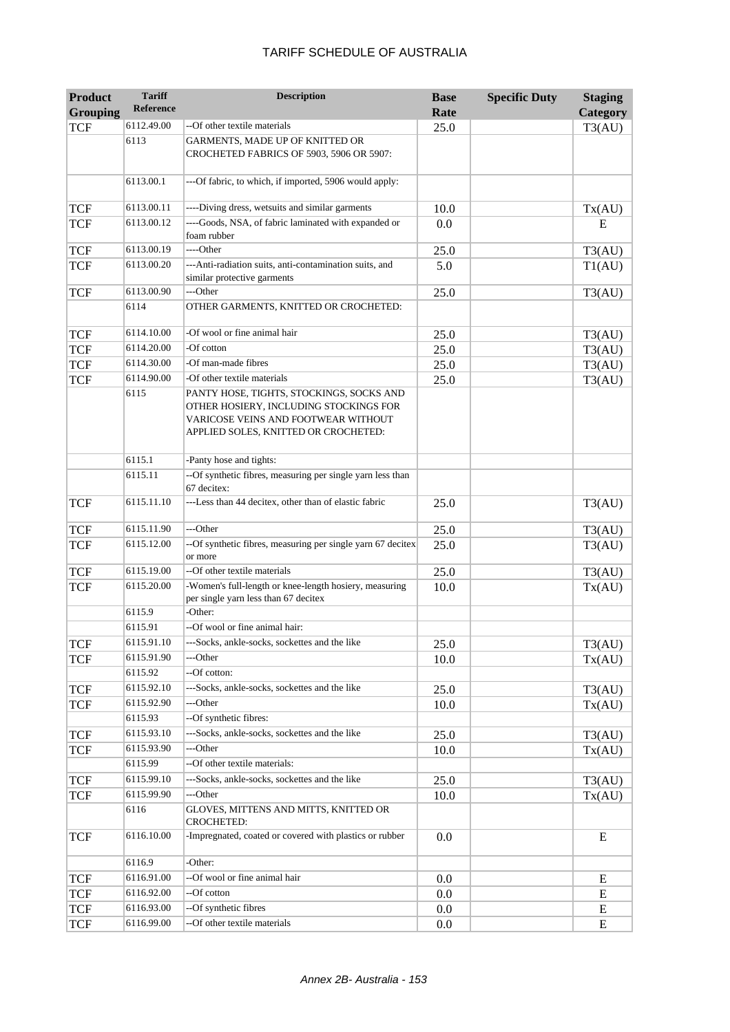| <b>Product</b><br><b>Grouping</b> | <b>Tariff</b><br><b>Reference</b> | <b>Description</b>                                                                                                                                                | <b>Base</b><br>Rate | <b>Specific Duty</b> | <b>Staging</b><br>Category |
|-----------------------------------|-----------------------------------|-------------------------------------------------------------------------------------------------------------------------------------------------------------------|---------------------|----------------------|----------------------------|
| <b>TCF</b>                        | 6112.49.00                        | --Of other textile materials                                                                                                                                      | 25.0                |                      | T3(AU)                     |
|                                   | 6113                              | GARMENTS, MADE UP OF KNITTED OR<br>CROCHETED FABRICS OF 5903, 5906 OR 5907:                                                                                       |                     |                      |                            |
|                                   | 6113.00.1                         | ---Of fabric, to which, if imported, 5906 would apply:                                                                                                            |                     |                      |                            |
| <b>TCF</b>                        | 6113.00.11                        | ----Diving dress, wetsuits and similar garments                                                                                                                   | 10.0                |                      | Tx(AU)                     |
| <b>TCF</b>                        | 6113.00.12                        | ----Goods, NSA, of fabric laminated with expanded or<br>foam rubber                                                                                               | 0.0                 |                      | E                          |
| <b>TCF</b>                        | 6113.00.19                        | ----Other                                                                                                                                                         | 25.0                |                      | T3(AU)                     |
| <b>TCF</b>                        | 6113.00.20                        | ---Anti-radiation suits, anti-contamination suits, and<br>similar protective garments                                                                             | 5.0                 |                      | T1(AU)                     |
| <b>TCF</b>                        | 6113.00.90                        | ---Other                                                                                                                                                          | 25.0                |                      | T3(AU)                     |
|                                   | 6114                              | OTHER GARMENTS, KNITTED OR CROCHETED:                                                                                                                             |                     |                      |                            |
| <b>TCF</b>                        | 6114.10.00                        | -Of wool or fine animal hair                                                                                                                                      | 25.0                |                      | T3(AU)                     |
| <b>TCF</b>                        | 6114.20.00                        | -Of cotton                                                                                                                                                        | 25.0                |                      | T3(AU)                     |
| <b>TCF</b>                        | 6114.30.00                        | -Of man-made fibres                                                                                                                                               | 25.0                |                      | T3(AU)                     |
| <b>TCF</b>                        | 6114.90.00                        | -Of other textile materials                                                                                                                                       | 25.0                |                      | T3(AU)                     |
|                                   | 6115                              | PANTY HOSE, TIGHTS, STOCKINGS, SOCKS AND<br>OTHER HOSIERY, INCLUDING STOCKINGS FOR<br>VARICOSE VEINS AND FOOTWEAR WITHOUT<br>APPLIED SOLES, KNITTED OR CROCHETED: |                     |                      |                            |
|                                   | 6115.1                            | -Panty hose and tights:                                                                                                                                           |                     |                      |                            |
|                                   | 6115.11                           | --Of synthetic fibres, measuring per single yarn less than<br>67 decitex:                                                                                         |                     |                      |                            |
| <b>TCF</b>                        | 6115.11.10                        | ---Less than 44 decitex, other than of elastic fabric                                                                                                             | 25.0                |                      | T3(AU)                     |
| <b>TCF</b>                        | 6115.11.90                        | ---Other                                                                                                                                                          | 25.0                |                      | T3(AU)                     |
| <b>TCF</b>                        | 6115.12.00                        | --Of synthetic fibres, measuring per single yarn 67 decitex<br>or more                                                                                            | 25.0                |                      | T3(AU)                     |
| <b>TCF</b>                        | 6115.19.00                        | --Of other textile materials                                                                                                                                      | 25.0                |                      | T3(AU)                     |
| <b>TCF</b>                        | 6115.20.00                        | -Women's full-length or knee-length hosiery, measuring<br>per single yarn less than 67 decitex                                                                    | 10.0                |                      | Tx(AU)                     |
|                                   | 6115.9                            | -Other:                                                                                                                                                           |                     |                      |                            |
|                                   | 6115.91                           | --Of wool or fine animal hair:                                                                                                                                    |                     |                      |                            |
| <b>TCF</b>                        | 6115.91.10                        | ---Socks, ankle-socks, sockettes and the like                                                                                                                     | 25.0                |                      | T3(AU)                     |
| <b>TCF</b>                        | 6115.91.90                        | ---Other                                                                                                                                                          | 10.0                |                      | Tx(AU)                     |
|                                   | 6115.92                           | --Of cotton:                                                                                                                                                      |                     |                      |                            |
| <b>TCF</b>                        | 6115.92.10                        | ---Socks, ankle-socks, sockettes and the like                                                                                                                     | 25.0                |                      | T3(AU)                     |
| <b>TCF</b>                        | 6115.92.90                        | ---Other                                                                                                                                                          | 10.0                |                      | Tx(AU)                     |
|                                   | 6115.93                           | --Of synthetic fibres:                                                                                                                                            |                     |                      |                            |
| <b>TCF</b>                        | 6115.93.10                        | ---Socks, ankle-socks, sockettes and the like                                                                                                                     | 25.0                |                      | T3(AU)                     |
| <b>TCF</b>                        | 6115.93.90                        | ---Other                                                                                                                                                          | 10.0                |                      | Tx(AU)                     |
|                                   | 6115.99                           | --Of other textile materials:                                                                                                                                     |                     |                      |                            |
| <b>TCF</b>                        | 6115.99.10                        | ---Socks, ankle-socks, sockettes and the like                                                                                                                     | 25.0                |                      | T3(AU)                     |
| TCF                               | 6115.99.90                        | ---Other                                                                                                                                                          | 10.0                |                      | Tx(AU)                     |
|                                   | 6116                              | GLOVES, MITTENS AND MITTS, KNITTED OR<br><b>CROCHETED:</b>                                                                                                        |                     |                      |                            |
| <b>TCF</b>                        | 6116.10.00                        | -Impregnated, coated or covered with plastics or rubber                                                                                                           | 0.0                 |                      | $\mathbf E$                |
|                                   | 6116.9                            | -Other:                                                                                                                                                           |                     |                      |                            |
| <b>TCF</b>                        | 6116.91.00                        | --Of wool or fine animal hair                                                                                                                                     | 0.0                 |                      | E                          |
| <b>TCF</b>                        | 6116.92.00                        | --Of cotton                                                                                                                                                       | 0.0                 |                      | Ε                          |
| <b>TCF</b>                        | 6116.93.00                        | --Of synthetic fibres                                                                                                                                             | 0.0                 |                      | Ε                          |
| <b>TCF</b>                        | 6116.99.00                        | --Of other textile materials                                                                                                                                      | 0.0                 |                      | E                          |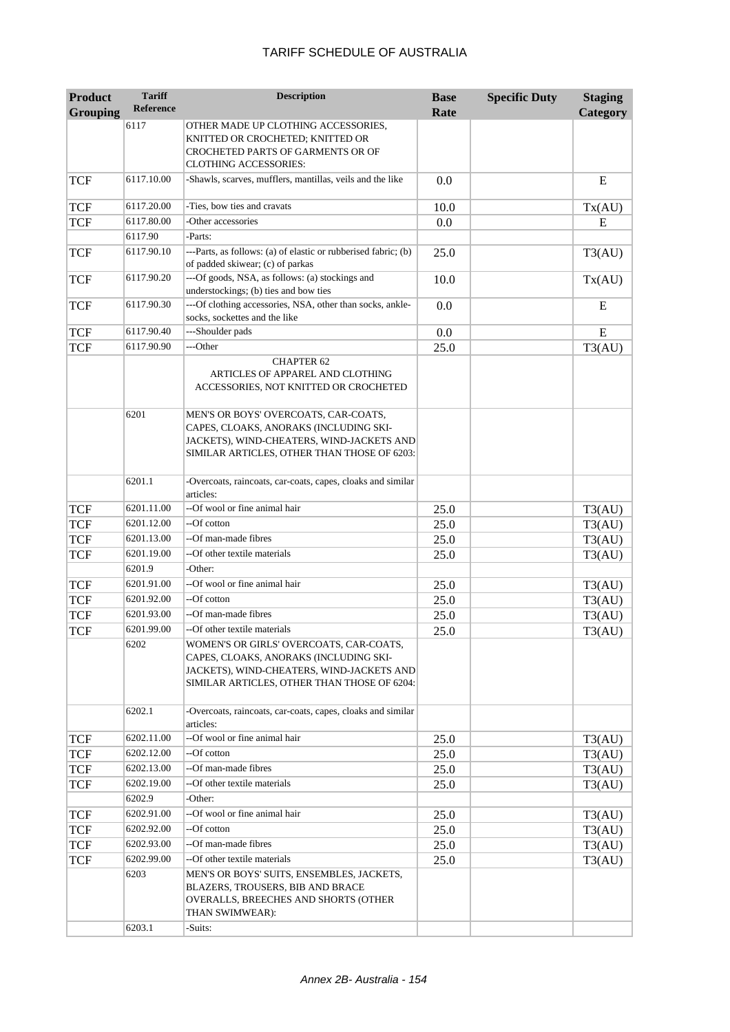| <b>Product</b>  | <b>Tariff</b><br><b>Reference</b> | <b>Description</b>                                                                                                                                                            | <b>Base</b> | <b>Specific Duty</b> | <b>Staging</b> |
|-----------------|-----------------------------------|-------------------------------------------------------------------------------------------------------------------------------------------------------------------------------|-------------|----------------------|----------------|
| <b>Grouping</b> |                                   | OTHER MADE UP CLOTHING ACCESSORIES,                                                                                                                                           | Rate        |                      | Category       |
|                 | 6117                              | KNITTED OR CROCHETED; KNITTED OR<br>CROCHETED PARTS OF GARMENTS OR OF                                                                                                         |             |                      |                |
|                 |                                   | <b>CLOTHING ACCESSORIES:</b>                                                                                                                                                  |             |                      |                |
| <b>TCF</b>      | 6117.10.00                        | -Shawls, scarves, mufflers, mantillas, veils and the like                                                                                                                     | 0.0         |                      | E              |
| <b>TCF</b>      | 6117.20.00                        | -Ties, bow ties and cravats                                                                                                                                                   | 10.0        |                      | Tx(AU)         |
| <b>TCF</b>      | 6117.80.00                        | -Other accessories                                                                                                                                                            | 0.0         |                      | E              |
|                 | 6117.90                           | -Parts:                                                                                                                                                                       |             |                      |                |
| <b>TCF</b>      | 6117.90.10                        | ---Parts, as follows: (a) of elastic or rubberised fabric; (b)<br>of padded skiwear; (c) of parkas                                                                            | 25.0        |                      | T3(AU)         |
| <b>TCF</b>      | 6117.90.20                        | ---Of goods, NSA, as follows: (a) stockings and<br>understockings; (b) ties and bow ties                                                                                      | 10.0        |                      | Tx(AU)         |
| <b>TCF</b>      | 6117.90.30                        | ---Of clothing accessories, NSA, other than socks, ankle-<br>socks, sockettes and the like                                                                                    | 0.0         |                      | E              |
| <b>TCF</b>      | 6117.90.40                        | ---Shoulder pads                                                                                                                                                              | 0.0         |                      | E              |
| <b>TCF</b>      | 6117.90.90                        | ---Other                                                                                                                                                                      | 25.0        |                      | T3(AU)         |
|                 |                                   | <b>CHAPTER 62</b><br>ARTICLES OF APPAREL AND CLOTHING<br>ACCESSORIES, NOT KNITTED OR CROCHETED                                                                                |             |                      |                |
|                 | 6201                              | MEN'S OR BOYS' OVERCOATS, CAR-COATS,<br>CAPES, CLOAKS, ANORAKS (INCLUDING SKI-<br>JACKETS), WIND-CHEATERS, WIND-JACKETS AND<br>SIMILAR ARTICLES, OTHER THAN THOSE OF 6203:    |             |                      |                |
|                 | 6201.1                            | -Overcoats, raincoats, car-coats, capes, cloaks and similar<br>articles:                                                                                                      |             |                      |                |
| <b>TCF</b>      | 6201.11.00                        | --Of wool or fine animal hair                                                                                                                                                 | 25.0        |                      | T3(AU)         |
| <b>TCF</b>      | 6201.12.00                        | --Of cotton                                                                                                                                                                   | 25.0        |                      | T3(AU)         |
| <b>TCF</b>      | 6201.13.00                        | --Of man-made fibres                                                                                                                                                          | 25.0        |                      | T3(AU)         |
| <b>TCF</b>      | 6201.19.00                        | --Of other textile materials                                                                                                                                                  | 25.0        |                      | T3(AU)         |
|                 | 6201.9                            | -Other:                                                                                                                                                                       |             |                      |                |
| <b>TCF</b>      | 6201.91.00                        | --Of wool or fine animal hair                                                                                                                                                 | 25.0        |                      | T3(AU)         |
| <b>TCF</b>      | 6201.92.00                        | --Of cotton                                                                                                                                                                   | 25.0        |                      | T3(AU)         |
| <b>TCF</b>      | 6201.93.00                        | --Of man-made fibres                                                                                                                                                          | 25.0        |                      | T3(AU)         |
| <b>TCF</b>      | 6201.99.00                        | --Of other textile materials                                                                                                                                                  | 25.0        |                      | T3(AU)         |
|                 | 6202                              | WOMEN'S OR GIRLS' OVERCOATS, CAR-COATS,<br>CAPES, CLOAKS, ANORAKS (INCLUDING SKI-<br>JACKETS), WIND-CHEATERS, WIND-JACKETS AND<br>SIMILAR ARTICLES, OTHER THAN THOSE OF 6204: |             |                      |                |
|                 | 6202.1                            | -Overcoats, raincoats, car-coats, capes, cloaks and similar<br>articles:                                                                                                      |             |                      |                |
| <b>TCF</b>      | 6202.11.00                        | --Of wool or fine animal hair                                                                                                                                                 | 25.0        |                      | T3(AU)         |
| <b>TCF</b>      | 6202.12.00                        | --Of cotton                                                                                                                                                                   | 25.0        |                      | T3(AU)         |
| <b>TCF</b>      | 6202.13.00                        | --Of man-made fibres                                                                                                                                                          | 25.0        |                      | T3(AU)         |
| <b>TCF</b>      | 6202.19.00                        | --Of other textile materials                                                                                                                                                  | 25.0        |                      | T3(AU)         |
|                 | 6202.9                            | -Other:                                                                                                                                                                       |             |                      |                |
| <b>TCF</b>      | 6202.91.00                        | --Of wool or fine animal hair                                                                                                                                                 | 25.0        |                      | T3(AU)         |
| <b>TCF</b>      | 6202.92.00                        | --Of cotton                                                                                                                                                                   | 25.0        |                      | T3(AU)         |
| TCF             | 6202.93.00                        | --Of man-made fibres                                                                                                                                                          | 25.0        |                      | T3(AU)         |
| TCF             | 6202.99.00                        | --Of other textile materials                                                                                                                                                  | 25.0        |                      | T3(AU)         |
|                 | 6203                              | MEN'S OR BOYS' SUITS, ENSEMBLES, JACKETS,<br>BLAZERS, TROUSERS, BIB AND BRACE<br>OVERALLS, BREECHES AND SHORTS (OTHER<br>THAN SWIMWEAR):                                      |             |                      |                |
|                 | 6203.1                            | -Suits:                                                                                                                                                                       |             |                      |                |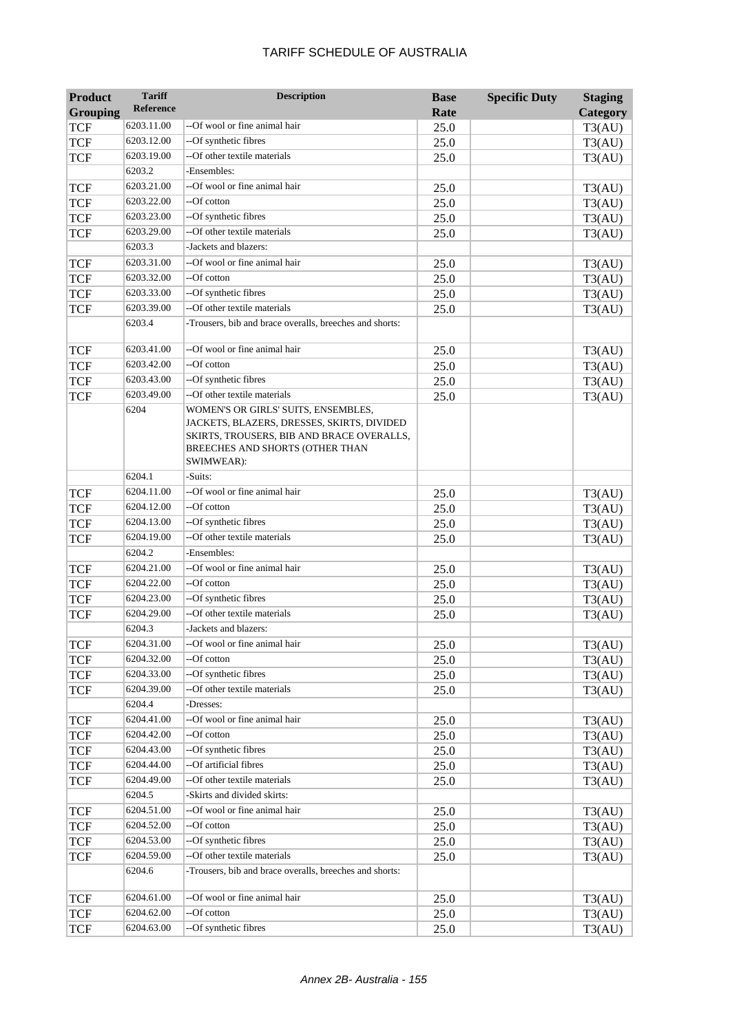| <b>Product</b> | <b>Tariff</b> | <b>Description</b>                                                                                                                                                              | <b>Base</b> | <b>Specific Duty</b> | <b>Staging</b> |
|----------------|---------------|---------------------------------------------------------------------------------------------------------------------------------------------------------------------------------|-------------|----------------------|----------------|
| Grouping       | Reference     |                                                                                                                                                                                 | Rate        |                      | Category       |
| <b>TCF</b>     | 6203.11.00    | --Of wool or fine animal hair                                                                                                                                                   | 25.0        |                      | T3(AU)         |
| <b>TCF</b>     | 6203.12.00    | --Of synthetic fibres                                                                                                                                                           | 25.0        |                      | T3(AU)         |
| <b>TCF</b>     | 6203.19.00    | --Of other textile materials                                                                                                                                                    | 25.0        |                      | T3(AU)         |
|                | 6203.2        | -Ensembles:                                                                                                                                                                     |             |                      |                |
| <b>TCF</b>     | 6203.21.00    | --Of wool or fine animal hair                                                                                                                                                   | 25.0        |                      | T3(AU)         |
| <b>TCF</b>     | 6203.22.00    | --Of cotton                                                                                                                                                                     | 25.0        |                      | T3(AU)         |
| <b>TCF</b>     | 6203.23.00    | --Of synthetic fibres                                                                                                                                                           | 25.0        |                      | T3(AU)         |
| <b>TCF</b>     | 6203.29.00    | --Of other textile materials                                                                                                                                                    | 25.0        |                      | T3(AU)         |
|                | 6203.3        | -Jackets and blazers:                                                                                                                                                           |             |                      |                |
| <b>TCF</b>     | 6203.31.00    | --Of wool or fine animal hair                                                                                                                                                   | 25.0        |                      | T3(AU)         |
| <b>TCF</b>     | 6203.32.00    | --Of cotton                                                                                                                                                                     | 25.0        |                      | T3(AU)         |
| <b>TCF</b>     | 6203.33.00    | --Of synthetic fibres                                                                                                                                                           | 25.0        |                      | T3(AU)         |
| <b>TCF</b>     | 6203.39.00    | --Of other textile materials                                                                                                                                                    | 25.0        |                      | T3(AU)         |
|                | 6203.4        | -Trousers, bib and brace overalls, breeches and shorts:                                                                                                                         |             |                      |                |
| TCF            | 6203.41.00    | --Of wool or fine animal hair                                                                                                                                                   | 25.0        |                      | T3(AU)         |
| <b>TCF</b>     | 6203.42.00    | --Of cotton                                                                                                                                                                     | 25.0        |                      | T3(AU)         |
| <b>TCF</b>     | 6203.43.00    | --Of synthetic fibres                                                                                                                                                           | 25.0        |                      | T3(AU)         |
| <b>TCF</b>     | 6203.49.00    | --Of other textile materials                                                                                                                                                    | 25.0        |                      | T3(AU)         |
|                | 6204          | WOMEN'S OR GIRLS' SUITS, ENSEMBLES,<br>JACKETS, BLAZERS, DRESSES, SKIRTS, DIVIDED<br>SKIRTS, TROUSERS, BIB AND BRACE OVERALLS,<br>BREECHES AND SHORTS (OTHER THAN<br>SWIMWEAR): |             |                      |                |
|                | 6204.1        | -Suits:                                                                                                                                                                         |             |                      |                |
| <b>TCF</b>     | 6204.11.00    | --Of wool or fine animal hair                                                                                                                                                   | 25.0        |                      | T3(AU)         |
| <b>TCF</b>     | 6204.12.00    | --Of cotton                                                                                                                                                                     | 25.0        |                      | T3(AU)         |
| <b>TCF</b>     | 6204.13.00    | --Of synthetic fibres                                                                                                                                                           | 25.0        |                      | T3(AU)         |
| <b>TCF</b>     | 6204.19.00    | --Of other textile materials                                                                                                                                                    | 25.0        |                      | T3(AU)         |
|                | 6204.2        | -Ensembles:                                                                                                                                                                     |             |                      |                |
| <b>TCF</b>     | 6204.21.00    | --Of wool or fine animal hair                                                                                                                                                   | 25.0        |                      | T3(AU)         |
| <b>TCF</b>     | 6204.22.00    | --Of cotton                                                                                                                                                                     | 25.0        |                      | T3(AU)         |
| <b>TCF</b>     | 6204.23.00    | --Of synthetic fibres                                                                                                                                                           | 25.0        |                      | T3(AU)         |
| <b>TCF</b>     | 6204.29.00    | --Of other textile materials                                                                                                                                                    | 25.0        |                      | T3(AU)         |
|                | 6204.3        | Jackets and blazers:                                                                                                                                                            |             |                      |                |
| <b>TCF</b>     | 6204.31.00    | --Of wool or fine animal hair                                                                                                                                                   | 25.0        |                      | T3(AU)         |
| <b>TCF</b>     | 6204.32.00    | --Of cotton                                                                                                                                                                     | 25.0        |                      | T3(AU)         |
| <b>TCF</b>     | 6204.33.00    | --Of synthetic fibres                                                                                                                                                           | 25.0        |                      | T3(AU)         |
| <b>TCF</b>     | 6204.39.00    | --Of other textile materials                                                                                                                                                    | 25.0        |                      | T3(AU)         |
|                | 6204.4        | -Dresses:                                                                                                                                                                       |             |                      |                |
| TCF            | 6204.41.00    | --Of wool or fine animal hair                                                                                                                                                   | 25.0        |                      | T3(AU)         |
| <b>TCF</b>     | 6204.42.00    | --Of cotton                                                                                                                                                                     | 25.0        |                      | T3(AU)         |
| <b>TCF</b>     | 6204.43.00    | --Of synthetic fibres                                                                                                                                                           | 25.0        |                      | T3(AU)         |
| <b>TCF</b>     | 6204.44.00    | --Of artificial fibres                                                                                                                                                          | 25.0        |                      | T3(AU)         |
| <b>TCF</b>     | 6204.49.00    | --Of other textile materials                                                                                                                                                    | 25.0        |                      | T3(AU)         |
|                | 6204.5        | -Skirts and divided skirts:                                                                                                                                                     |             |                      |                |
| <b>TCF</b>     | 6204.51.00    | --Of wool or fine animal hair                                                                                                                                                   | 25.0        |                      | T3(AU)         |
| <b>TCF</b>     | 6204.52.00    | --Of cotton                                                                                                                                                                     | 25.0        |                      | T3(AU)         |
| <b>TCF</b>     | 6204.53.00    | --Of synthetic fibres                                                                                                                                                           | 25.0        |                      | T3(AU)         |
| <b>TCF</b>     | 6204.59.00    | --Of other textile materials                                                                                                                                                    | 25.0        |                      | T3(AU)         |
|                | 6204.6        | -Trousers, bib and brace overalls, breeches and shorts:                                                                                                                         |             |                      |                |
| <b>TCF</b>     | 6204.61.00    | --Of wool or fine animal hair                                                                                                                                                   | 25.0        |                      | T3(AU)         |
| TCF            | 6204.62.00    | --Of cotton                                                                                                                                                                     | 25.0        |                      | T3(AU)         |
| <b>TCF</b>     | 6204.63.00    | --Of synthetic fibres                                                                                                                                                           | 25.0        |                      | T3(AU)         |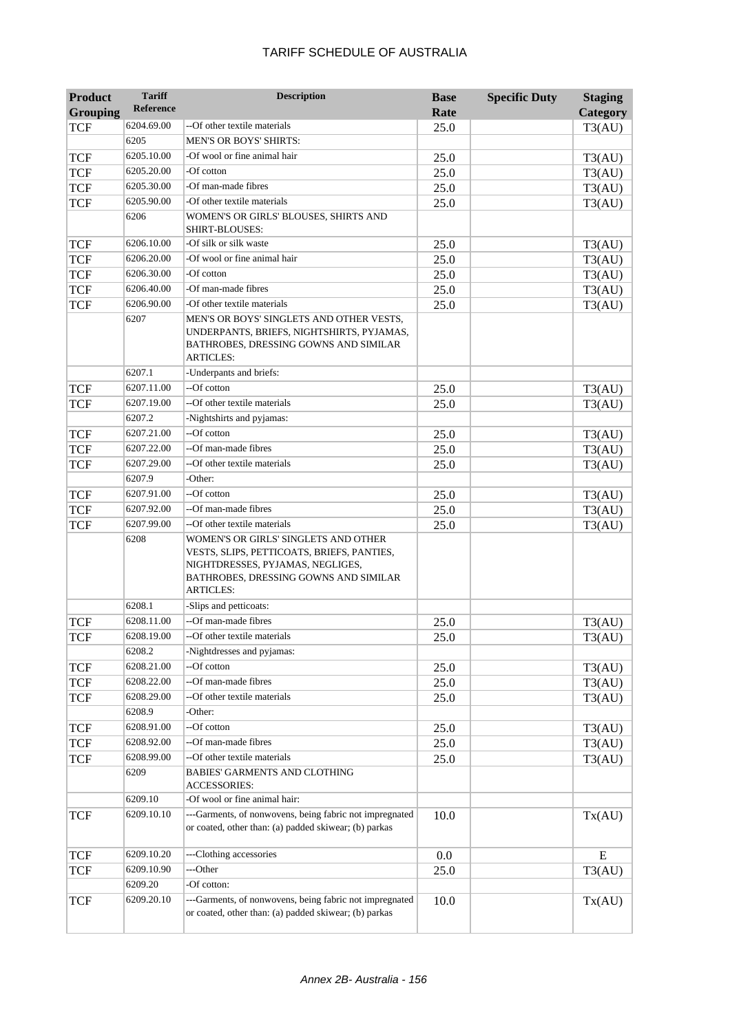| <b>Product</b>  | <b>Tariff</b>    | <b>Description</b>                                                                                                                                                                  | <b>Base</b> | <b>Specific Duty</b> | <b>Staging</b> |
|-----------------|------------------|-------------------------------------------------------------------------------------------------------------------------------------------------------------------------------------|-------------|----------------------|----------------|
| <b>Grouping</b> | <b>Reference</b> |                                                                                                                                                                                     | Rate        |                      | Category       |
| <b>TCF</b>      | 6204.69.00       | --Of other textile materials                                                                                                                                                        | 25.0        |                      | T3(AU)         |
|                 | 6205             | <b>MEN'S OR BOYS' SHIRTS:</b>                                                                                                                                                       |             |                      |                |
| <b>TCF</b>      | 6205.10.00       | -Of wool or fine animal hair                                                                                                                                                        | 25.0        |                      | T3(AU)         |
| <b>TCF</b>      | 6205.20.00       | -Of cotton                                                                                                                                                                          | 25.0        |                      | T3(AU)         |
| <b>TCF</b>      | 6205.30.00       | -Of man-made fibres                                                                                                                                                                 | 25.0        |                      | T3(AU)         |
| <b>TCF</b>      | 6205.90.00       | -Of other textile materials                                                                                                                                                         | 25.0        |                      | T3(AU)         |
|                 | 6206             | WOMEN'S OR GIRLS' BLOUSES, SHIRTS AND<br>SHIRT-BLOUSES:                                                                                                                             |             |                      |                |
| <b>TCF</b>      | 6206.10.00       | -Of silk or silk waste                                                                                                                                                              | 25.0        |                      | T3(AU)         |
| <b>TCF</b>      | 6206.20.00       | -Of wool or fine animal hair                                                                                                                                                        | 25.0        |                      | T3(AU)         |
| <b>TCF</b>      | 6206.30.00       | -Of cotton                                                                                                                                                                          | 25.0        |                      | T3(AU)         |
| <b>TCF</b>      | 6206.40.00       | -Of man-made fibres                                                                                                                                                                 | 25.0        |                      | T3(AU)         |
| <b>TCF</b>      | 6206.90.00       | -Of other textile materials                                                                                                                                                         | 25.0        |                      | T3(AU)         |
|                 | 6207             | MEN'S OR BOYS' SINGLETS AND OTHER VESTS,<br>UNDERPANTS, BRIEFS, NIGHTSHIRTS, PYJAMAS,<br>BATHROBES, DRESSING GOWNS AND SIMILAR<br><b>ARTICLES:</b>                                  |             |                      |                |
|                 | 6207.1           | -Underpants and briefs:                                                                                                                                                             |             |                      |                |
| <b>TCF</b>      | 6207.11.00       | --Of cotton                                                                                                                                                                         | 25.0        |                      | T3(AU)         |
| <b>TCF</b>      | 6207.19.00       | --Of other textile materials                                                                                                                                                        | 25.0        |                      | T3(AU)         |
|                 | 6207.2           | -Nightshirts and pyjamas:                                                                                                                                                           |             |                      |                |
| <b>TCF</b>      | 6207.21.00       | --Of cotton                                                                                                                                                                         | 25.0        |                      | T3(AU)         |
| <b>TCF</b>      | 6207.22.00       | --Of man-made fibres                                                                                                                                                                | 25.0        |                      | T3(AU)         |
| <b>TCF</b>      | 6207.29.00       | --Of other textile materials                                                                                                                                                        | 25.0        |                      | T3(AU)         |
|                 | 6207.9           | -Other:                                                                                                                                                                             |             |                      |                |
| <b>TCF</b>      | 6207.91.00       | --Of cotton                                                                                                                                                                         | 25.0        |                      | T3(AU)         |
| <b>TCF</b>      | 6207.92.00       | --Of man-made fibres                                                                                                                                                                | 25.0        |                      | T3(AU)         |
| <b>TCF</b>      | 6207.99.00       | --Of other textile materials                                                                                                                                                        | 25.0        |                      | T3(AU)         |
|                 | 6208             | WOMEN'S OR GIRLS' SINGLETS AND OTHER<br>VESTS, SLIPS, PETTICOATS, BRIEFS, PANTIES,<br>NIGHTDRESSES, PYJAMAS, NEGLIGES,<br>BATHROBES, DRESSING GOWNS AND SIMILAR<br><b>ARTICLES:</b> |             |                      |                |
|                 | 6208.1           | -Slips and petticoats:                                                                                                                                                              |             |                      |                |
| <b>TCF</b>      | 6208.11.00       | --Of man-made fibres                                                                                                                                                                | 25.0        |                      | T3(AU)         |
| <b>TCF</b>      | 6208.19.00       | --Of other textile materials                                                                                                                                                        | 25.0        |                      | T3(AU)         |
|                 | 6208.2           | -Nightdresses and pyjamas:                                                                                                                                                          |             |                      |                |
| <b>TCF</b>      | 6208.21.00       | --Of cotton                                                                                                                                                                         | 25.0        |                      | T3(AU)         |
| <b>TCF</b>      | 6208.22.00       | --Of man-made fibres                                                                                                                                                                | 25.0        |                      | T3(AU)         |
| <b>TCF</b>      | 6208.29.00       | --Of other textile materials                                                                                                                                                        | 25.0        |                      | T3(AU)         |
|                 | 6208.9           | -Other:                                                                                                                                                                             |             |                      |                |
| <b>TCF</b>      | 6208.91.00       | --Of cotton                                                                                                                                                                         | 25.0        |                      | T3(AU)         |
| TCF             | 6208.92.00       | --Of man-made fibres                                                                                                                                                                | 25.0        |                      | T3(AU)         |
| <b>TCF</b>      | 6208.99.00       | --Of other textile materials                                                                                                                                                        | 25.0        |                      | T3(AU)         |
|                 | 6209             | <b>BABIES' GARMENTS AND CLOTHING</b><br><b>ACCESSORIES:</b>                                                                                                                         |             |                      |                |
|                 | 6209.10          | -Of wool or fine animal hair:                                                                                                                                                       |             |                      |                |
| <b>TCF</b>      | 6209.10.10       | ---Garments, of nonwovens, being fabric not impregnated<br>or coated, other than: (a) padded skiwear; (b) parkas                                                                    | 10.0        |                      | Tx(AU)         |
| <b>TCF</b>      | 6209.10.20       | ---Clothing accessories                                                                                                                                                             | 0.0         |                      | E              |
| <b>TCF</b>      | 6209.10.90       | ---Other                                                                                                                                                                            | 25.0        |                      | T3(AU)         |
|                 | 6209.20          | -Of cotton:                                                                                                                                                                         |             |                      |                |
| <b>TCF</b>      | 6209.20.10       | ---Garments, of nonwovens, being fabric not impregnated<br>or coated, other than: (a) padded skiwear; (b) parkas                                                                    | 10.0        |                      | Tx(AU)         |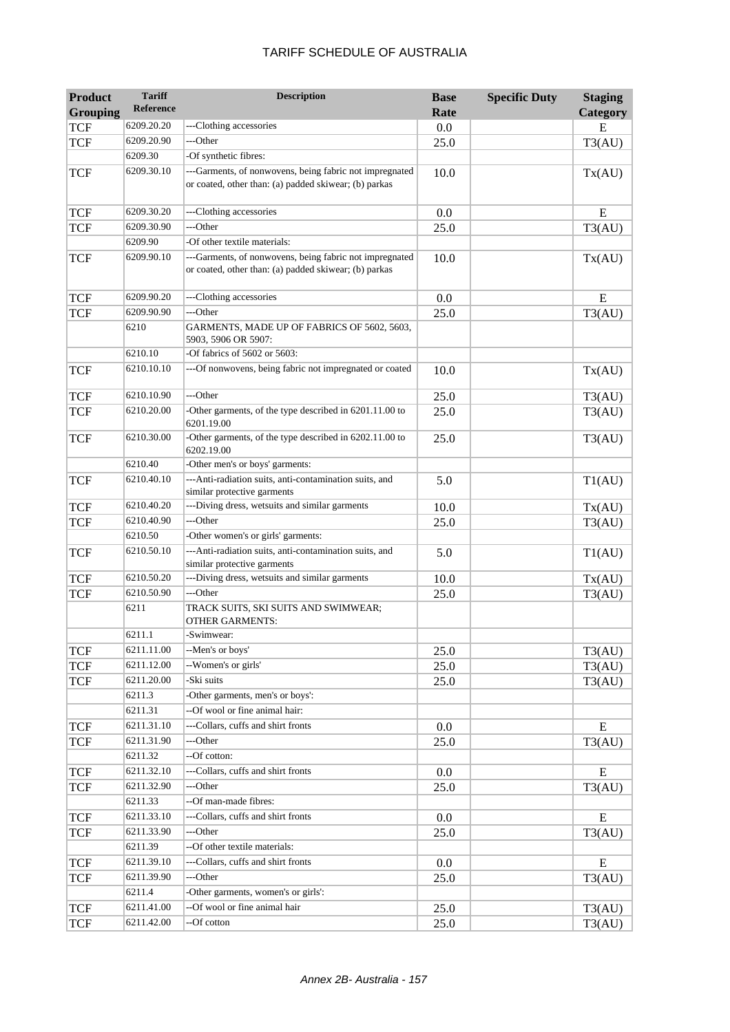| <b>Product</b><br><b>Grouping</b> | <b>Tariff</b><br>Reference | <b>Description</b>                                                                                               | <b>Base</b><br>Rate | <b>Specific Duty</b> | <b>Staging</b><br>Category |
|-----------------------------------|----------------------------|------------------------------------------------------------------------------------------------------------------|---------------------|----------------------|----------------------------|
| <b>TCF</b>                        | 6209.20.20                 | ---Clothing accessories                                                                                          | 0.0                 |                      | E                          |
| <b>TCF</b>                        | 6209.20.90                 | ---Other                                                                                                         | 25.0                |                      | T3(AU)                     |
|                                   | 6209.30                    | -Of synthetic fibres:                                                                                            |                     |                      |                            |
| <b>TCF</b>                        | 6209.30.10                 | ---Garments, of nonwovens, being fabric not impregnated<br>or coated, other than: (a) padded skiwear; (b) parkas | 10.0                |                      | Tx(AU)                     |
| <b>TCF</b>                        | 6209.30.20                 | ---Clothing accessories                                                                                          | 0.0                 |                      | ${\bf E}$                  |
| TCF                               | 6209.30.90                 | ---Other                                                                                                         | 25.0                |                      | T3(AU)                     |
|                                   | 6209.90                    | -Of other textile materials:                                                                                     |                     |                      |                            |
| TCF                               | 6209.90.10                 | ---Garments, of nonwovens, being fabric not impregnated<br>or coated, other than: (a) padded skiwear; (b) parkas | 10.0                |                      | Tx(AU)                     |
| <b>TCF</b>                        | 6209.90.20                 | ---Clothing accessories                                                                                          | 0.0                 |                      | E                          |
| <b>TCF</b>                        | 6209.90.90                 | ---Other                                                                                                         | 25.0                |                      | T3(AU)                     |
|                                   | 6210                       | GARMENTS, MADE UP OF FABRICS OF 5602, 5603,<br>5903, 5906 OR 5907:                                               |                     |                      |                            |
|                                   | 6210.10                    | -Of fabrics of 5602 or 5603:                                                                                     |                     |                      |                            |
| <b>TCF</b>                        | 6210.10.10                 | ---Of nonwovens, being fabric not impregnated or coated                                                          | 10.0                |                      | Tx(AU)                     |
| <b>TCF</b>                        | 6210.10.90                 | ---Other                                                                                                         | 25.0                |                      | T3(AU)                     |
| <b>TCF</b>                        | 6210.20.00                 | -Other garments, of the type described in 6201.11.00 to<br>6201.19.00                                            | 25.0                |                      | T3(AU)                     |
| <b>TCF</b>                        | 6210.30.00                 | -Other garments, of the type described in 6202.11.00 to<br>6202.19.00                                            | 25.0                |                      | T3(AU)                     |
|                                   | 6210.40                    | -Other men's or boys' garments:                                                                                  |                     |                      |                            |
| <b>TCF</b>                        | 6210.40.10                 | --- Anti-radiation suits, anti-contamination suits, and<br>similar protective garments                           | 5.0                 |                      | T1(AU)                     |
| <b>TCF</b>                        | 6210.40.20                 | ---Diving dress, wetsuits and similar garments                                                                   | 10.0                |                      | Tx(AU)                     |
| <b>TCF</b>                        | 6210.40.90                 | ---Other                                                                                                         | 25.0                |                      | T3(AU)                     |
|                                   | 6210.50                    | -Other women's or girls' garments:                                                                               |                     |                      |                            |
| <b>TCF</b>                        | 6210.50.10                 | --- Anti-radiation suits, anti-contamination suits, and<br>similar protective garments                           | 5.0                 |                      | T1(AU)                     |
| <b>TCF</b>                        | 6210.50.20                 | ---Diving dress, wetsuits and similar garments                                                                   | 10.0                |                      | Tx(AU)                     |
| <b>TCF</b>                        | 6210.50.90                 | ---Other                                                                                                         | 25.0                |                      | T3(AU)                     |
|                                   | 6211                       | TRACK SUITS, SKI SUITS AND SWIMWEAR;<br><b>OTHER GARMENTS:</b>                                                   |                     |                      |                            |
|                                   | 6211.1                     | -Swimwear:                                                                                                       |                     |                      |                            |
| <b>TCF</b>                        | 6211.11.00                 | --Men's or boys'                                                                                                 | 25.0                |                      | T3(AU)                     |
| <b>TCF</b>                        | 6211.12.00                 | --Women's or girls'                                                                                              | 25.0                |                      | T3(AU)                     |
| <b>TCF</b>                        | 6211.20.00                 | -Ski suits                                                                                                       | 25.0                |                      | T3(AU)                     |
|                                   | 6211.3                     | -Other garments, men's or boys':                                                                                 |                     |                      |                            |
|                                   | 6211.31                    | --Of wool or fine animal hair:                                                                                   |                     |                      |                            |
| <b>TCF</b>                        | 6211.31.10                 | ---Collars, cuffs and shirt fronts                                                                               | $0.0\,$             |                      | E                          |
| <b>TCF</b>                        | 6211.31.90<br>6211.32      | ---Other<br>--Of cotton:                                                                                         | 25.0                |                      | T3(AU)                     |
| <b>TCF</b>                        | 6211.32.10                 | ---Collars, cuffs and shirt fronts                                                                               | 0.0                 |                      | E                          |
| <b>TCF</b>                        | 6211.32.90                 | ---Other                                                                                                         | 25.0                |                      | T3(AU)                     |
|                                   | 6211.33                    | --Of man-made fibres:                                                                                            |                     |                      |                            |
| <b>TCF</b>                        | 6211.33.10                 | ---Collars, cuffs and shirt fronts                                                                               | $0.0\,$             |                      | E                          |
| TCF                               | 6211.33.90                 | ---Other                                                                                                         | 25.0                |                      | T3(AU)                     |
|                                   | 6211.39                    | --Of other textile materials:                                                                                    |                     |                      |                            |
| <b>TCF</b>                        | 6211.39.10                 | ---Collars, cuffs and shirt fronts                                                                               | $0.0\,$             |                      | E                          |
| <b>TCF</b>                        | 6211.39.90                 | ---Other                                                                                                         | 25.0                |                      | T3(AU)                     |
|                                   | 6211.4                     | -Other garments, women's or girls':                                                                              |                     |                      |                            |
| <b>TCF</b>                        | 6211.41.00                 | --Of wool or fine animal hair                                                                                    | 25.0                |                      | T3(AU)                     |
| <b>TCF</b>                        | 6211.42.00                 | --Of cotton                                                                                                      | 25.0                |                      | T3(AU)                     |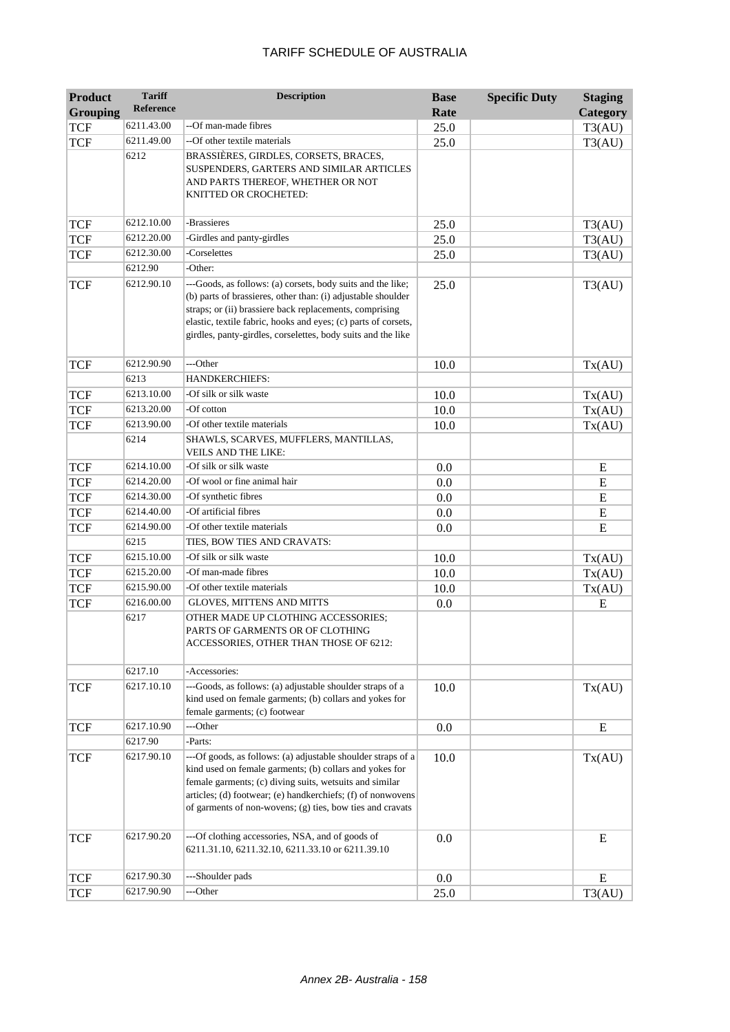| <b>Product</b>  | <b>Tariff</b>    | <b>Description</b>                                                                                                                                                                                                                                                                                                       | <b>Base</b> | <b>Specific Duty</b> | <b>Staging</b> |
|-----------------|------------------|--------------------------------------------------------------------------------------------------------------------------------------------------------------------------------------------------------------------------------------------------------------------------------------------------------------------------|-------------|----------------------|----------------|
| <b>Grouping</b> | <b>Reference</b> |                                                                                                                                                                                                                                                                                                                          | Rate        |                      | Category       |
| <b>TCF</b>      | 6211.43.00       | --Of man-made fibres                                                                                                                                                                                                                                                                                                     | 25.0        |                      | T3(AU)         |
| <b>TCF</b>      | 6211.49.00       | --Of other textile materials                                                                                                                                                                                                                                                                                             | 25.0        |                      | T3(AU)         |
|                 | 6212             | BRASSIÈRES, GIRDLES, CORSETS, BRACES,<br>SUSPENDERS, GARTERS AND SIMILAR ARTICLES<br>AND PARTS THEREOF, WHETHER OR NOT<br>KNITTED OR CROCHETED:                                                                                                                                                                          |             |                      |                |
| <b>TCF</b>      | 6212.10.00       | -Brassieres                                                                                                                                                                                                                                                                                                              | 25.0        |                      | T3(AU)         |
| <b>TCF</b>      | 6212.20.00       | -Girdles and panty-girdles                                                                                                                                                                                                                                                                                               | 25.0        |                      | T3(AU)         |
| <b>TCF</b>      | 6212.30.00       | -Corselettes                                                                                                                                                                                                                                                                                                             | 25.0        |                      | T3(AU)         |
|                 | 6212.90          | -Other:                                                                                                                                                                                                                                                                                                                  |             |                      |                |
| <b>TCF</b>      | 6212.90.10       | ---Goods, as follows: (a) corsets, body suits and the like;<br>(b) parts of brassieres, other than: (i) adjustable shoulder<br>straps; or (ii) brassiere back replacements, comprising<br>elastic, textile fabric, hooks and eyes; (c) parts of corsets,<br>girdles, panty-girdles, corselettes, body suits and the like | 25.0        |                      | T3(AU)         |
| <b>TCF</b>      | 6212.90.90       | ---Other                                                                                                                                                                                                                                                                                                                 | 10.0        |                      | Tx(AU)         |
|                 | 6213             | <b>HANDKERCHIEFS:</b>                                                                                                                                                                                                                                                                                                    |             |                      |                |
| <b>TCF</b>      | 6213.10.00       | -Of silk or silk waste                                                                                                                                                                                                                                                                                                   | 10.0        |                      | Tx(AU)         |
| <b>TCF</b>      | 6213.20.00       | -Of cotton                                                                                                                                                                                                                                                                                                               | 10.0        |                      | Tx(AU)         |
| <b>TCF</b>      | 6213.90.00       | -Of other textile materials                                                                                                                                                                                                                                                                                              | 10.0        |                      | Tx(AU)         |
|                 | 6214             | SHAWLS, SCARVES, MUFFLERS, MANTILLAS,<br><b>VEILS AND THE LIKE:</b>                                                                                                                                                                                                                                                      |             |                      |                |
| <b>TCF</b>      | 6214.10.00       | -Of silk or silk waste                                                                                                                                                                                                                                                                                                   | 0.0         |                      | ${\bf E}$      |
| <b>TCF</b>      | 6214.20.00       | -Of wool or fine animal hair                                                                                                                                                                                                                                                                                             | 0.0         |                      | E              |
| <b>TCF</b>      | 6214.30.00       | -Of synthetic fibres                                                                                                                                                                                                                                                                                                     | 0.0         |                      | ${\bf E}$      |
| <b>TCF</b>      | 6214.40.00       | -Of artificial fibres                                                                                                                                                                                                                                                                                                    | 0.0         |                      | E              |
| <b>TCF</b>      | 6214.90.00       | -Of other textile materials                                                                                                                                                                                                                                                                                              | 0.0         |                      | ${\bf E}$      |
|                 | 6215             | TIES, BOW TIES AND CRAVATS:                                                                                                                                                                                                                                                                                              |             |                      |                |
| <b>TCF</b>      | 6215.10.00       | -Of silk or silk waste                                                                                                                                                                                                                                                                                                   | 10.0        |                      | Tx(AU)         |
| <b>TCF</b>      | 6215.20.00       | -Of man-made fibres                                                                                                                                                                                                                                                                                                      | 10.0        |                      | Tx(AU)         |
| <b>TCF</b>      | 6215.90.00       | -Of other textile materials                                                                                                                                                                                                                                                                                              | 10.0        |                      | Tx(AU)         |
| <b>TCF</b>      | 6216.00.00       | <b>GLOVES, MITTENS AND MITTS</b>                                                                                                                                                                                                                                                                                         | 0.0         |                      | E              |
|                 | 6217<br>6217.10  | OTHER MADE UP CLOTHING ACCESSORIES;<br>PARTS OF GARMENTS OR OF CLOTHING<br>ACCESSORIES, OTHER THAN THOSE OF 6212:<br>-Accessories:                                                                                                                                                                                       |             |                      |                |
| <b>TCF</b>      | 6217.10.10       | ---Goods, as follows: (a) adjustable shoulder straps of a                                                                                                                                                                                                                                                                | 10.0        |                      |                |
|                 |                  | kind used on female garments; (b) collars and yokes for<br>female garments; (c) footwear                                                                                                                                                                                                                                 |             |                      | Tx(AU)         |
| <b>TCF</b>      | 6217.10.90       | ---Other                                                                                                                                                                                                                                                                                                                 | 0.0         |                      | E              |
|                 | 6217.90          | -Parts:                                                                                                                                                                                                                                                                                                                  |             |                      |                |
| <b>TCF</b>      | 6217.90.10       | ---Of goods, as follows: (a) adjustable shoulder straps of a<br>kind used on female garments; (b) collars and yokes for<br>female garments; (c) diving suits, wetsuits and similar<br>articles; (d) footwear; (e) handkerchiefs; (f) of nonwovens<br>of garments of non-wovens; (g) ties, bow ties and cravats           | 10.0        |                      | Tx(AU)         |
| <b>TCF</b>      | 6217.90.20       | ---Of clothing accessories, NSA, and of goods of<br>6211.31.10, 6211.32.10, 6211.33.10 or 6211.39.10                                                                                                                                                                                                                     | 0.0         |                      | E              |
| <b>TCF</b>      | 6217.90.30       | ---Shoulder pads                                                                                                                                                                                                                                                                                                         | 0.0         |                      | Ε              |
| <b>TCF</b>      | 6217.90.90       | ---Other                                                                                                                                                                                                                                                                                                                 | 25.0        |                      | T3(AU)         |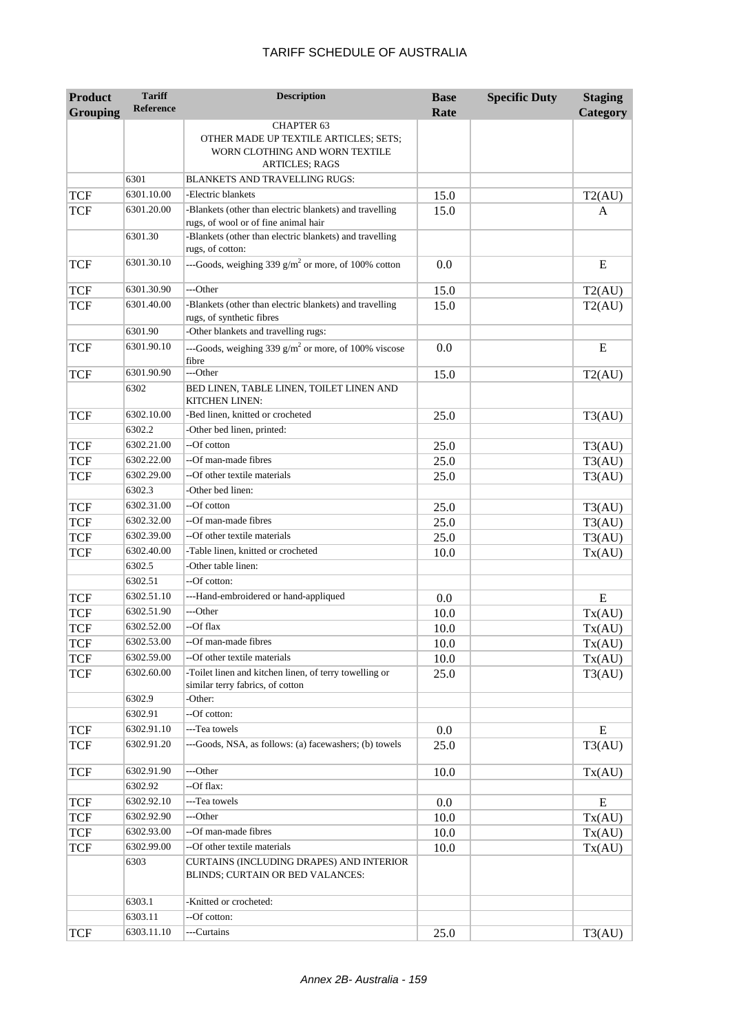| <b>Product</b><br><b>Grouping</b> | <b>Tariff</b><br><b>Reference</b> | <b>Description</b>                                                                              | <b>Base</b><br>Rate | <b>Specific Duty</b> | <b>Staging</b><br>Category |
|-----------------------------------|-----------------------------------|-------------------------------------------------------------------------------------------------|---------------------|----------------------|----------------------------|
|                                   |                                   | <b>CHAPTER 63</b>                                                                               |                     |                      |                            |
|                                   |                                   | OTHER MADE UP TEXTILE ARTICLES; SETS;<br>WORN CLOTHING AND WORN TEXTILE                         |                     |                      |                            |
|                                   |                                   | <b>ARTICLES; RAGS</b>                                                                           |                     |                      |                            |
|                                   | 6301                              | <b>BLANKETS AND TRAVELLING RUGS:</b>                                                            |                     |                      |                            |
| <b>TCF</b>                        | 6301.10.00                        | -Electric blankets                                                                              | 15.0                |                      | T2(AU)                     |
| <b>TCF</b>                        | 6301.20.00                        | -Blankets (other than electric blankets) and travelling<br>rugs, of wool or of fine animal hair | 15.0                |                      | A                          |
|                                   | 6301.30                           | -Blankets (other than electric blankets) and travelling<br>rugs, of cotton:                     |                     |                      |                            |
| <b>TCF</b>                        | 6301.30.10                        | ---Goods, weighing 339 $g/m^2$ or more, of 100% cotton                                          | 0.0                 |                      | E                          |
| <b>TCF</b>                        | 6301.30.90                        | ---Other                                                                                        | 15.0                |                      | T2(AU)                     |
| <b>TCF</b>                        | 6301.40.00                        | -Blankets (other than electric blankets) and travelling<br>rugs, of synthetic fibres            | 15.0                |                      | T2(AU)                     |
|                                   | 6301.90                           | -Other blankets and travelling rugs:                                                            |                     |                      |                            |
| <b>TCF</b>                        | 6301.90.10                        | ---Goods, weighing 339 $g/m^2$ or more, of 100% viscose<br>fibre                                | 0.0                 |                      | E                          |
| <b>TCF</b>                        | 6301.90.90                        | ---Other                                                                                        | 15.0                |                      | T2(AU)                     |
|                                   | 6302                              | BED LINEN, TABLE LINEN, TOILET LINEN AND<br>KITCHEN LINEN:                                      |                     |                      |                            |
| <b>TCF</b>                        | 6302.10.00                        | -Bed linen, knitted or crocheted                                                                | 25.0                |                      | T3(AU)                     |
|                                   | 6302.2                            | -Other bed linen, printed:                                                                      |                     |                      |                            |
| <b>TCF</b>                        | 6302.21.00                        | --Of cotton                                                                                     | 25.0                |                      | T3(AU)                     |
| <b>TCF</b>                        | 6302.22.00                        | --Of man-made fibres                                                                            | 25.0                |                      | T3(AU)                     |
| <b>TCF</b>                        | 6302.29.00                        | --Of other textile materials                                                                    | 25.0                |                      | T3(AU)                     |
|                                   | 6302.3                            | -Other bed linen:                                                                               |                     |                      |                            |
| <b>TCF</b>                        | 6302.31.00                        | --Of cotton                                                                                     | 25.0                |                      | T3(AU)                     |
| <b>TCF</b>                        | 6302.32.00                        | --Of man-made fibres                                                                            | 25.0                |                      | T3(AU)                     |
| <b>TCF</b>                        | 6302.39.00                        | --Of other textile materials                                                                    | 25.0                |                      | T3(AU)                     |
| <b>TCF</b>                        | 6302.40.00                        | -Table linen, knitted or crocheted                                                              | 10.0                |                      | Tx(AU)                     |
|                                   | 6302.5                            | -Other table linen:                                                                             |                     |                      |                            |
|                                   | 6302.51                           | --Of cotton:                                                                                    |                     |                      |                            |
| <b>TCF</b>                        | 6302.51.10                        | ---Hand-embroidered or hand-appliqued                                                           | 0.0                 |                      | E                          |
| <b>TCF</b>                        | 6302.51.90                        | ---Other                                                                                        | 10.0                |                      | Tx(AU)                     |
| <b>TCF</b>                        | 6302.52.00                        | --Of flax                                                                                       | 10.0                |                      | Tx(AU)                     |
| <b>TCF</b>                        | 6302.53.00                        | --Of man-made fibres                                                                            | 10.0                |                      | Tx(AU)                     |
| <b>TCF</b>                        | 6302.59.00                        | --Of other textile materials                                                                    | 10.0                |                      | Tx(AU)                     |
| <b>TCF</b>                        | 6302.60.00                        | -Toilet linen and kitchen linen, of terry towelling or<br>similar terry fabrics, of cotton      | 25.0                |                      | T3(AU)                     |
|                                   | 6302.9                            | -Other:                                                                                         |                     |                      |                            |
|                                   | 6302.91                           | --Of cotton:                                                                                    |                     |                      |                            |
| <b>TCF</b>                        | 6302.91.10                        | ---Tea towels                                                                                   | 0.0                 |                      | E                          |
| <b>TCF</b>                        | 6302.91.20                        | ---Goods, NSA, as follows: (a) facewashers; (b) towels                                          | 25.0                |                      | T3(AU)                     |
| <b>TCF</b>                        | 6302.91.90<br>6302.92             | ---Other<br>--Of flax:                                                                          | 10.0                |                      | Tx(AU)                     |
|                                   | 6302.92.10                        | ---Tea towels                                                                                   |                     |                      |                            |
| <b>TCF</b><br><b>TCF</b>          | 6302.92.90                        | ---Other                                                                                        | 0.0<br>10.0         |                      | E<br>Tx(AU)                |
| <b>TCF</b>                        | 6302.93.00                        | --Of man-made fibres                                                                            | 10.0                |                      | Tx(AU)                     |
| <b>TCF</b>                        | 6302.99.00                        | --Of other textile materials                                                                    | 10.0                |                      | Tx(AU)                     |
|                                   | 6303                              | CURTAINS (INCLUDING DRAPES) AND INTERIOR<br>BLINDS; CURTAIN OR BED VALANCES:                    |                     |                      |                            |
|                                   | 6303.1                            | -Knitted or crocheted:                                                                          |                     |                      |                            |
|                                   | 6303.11                           | --Of cotton:                                                                                    |                     |                      |                            |
| <b>TCF</b>                        | 6303.11.10                        | ---Curtains                                                                                     | 25.0                |                      | T3(AU)                     |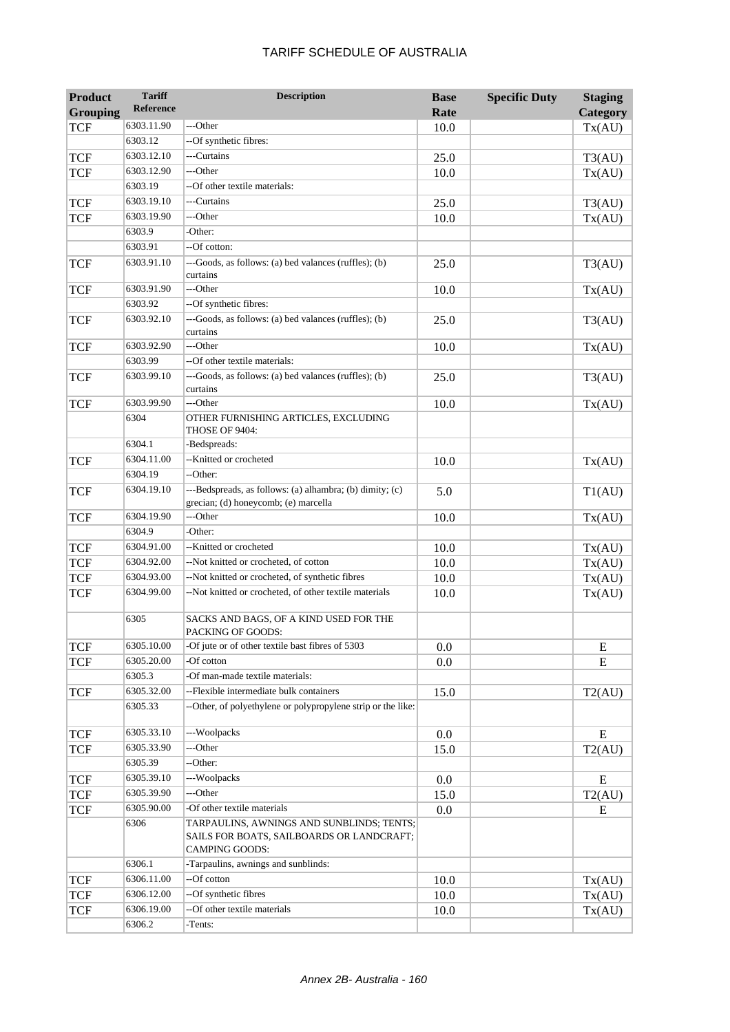#### TCF  $6303.11.90$  ---Other 10.0 10.0 Tx(AU) 6303.12 --Of synthetic fibres: TCF 6303.12.10 ---Curtains 25.0 73(AU) TCF  $6303.12.90$  ---Other 10.0 10.0 Tx(AU) 6303.19 --Of other textile materials: TCF 6303.19.10 ---Curtains 25.0 73(AU) TCF  $6303.19.90$  ---Other 10.0 10.0 Tx(AU) 6303.9 -Other: 6303.91 --Of cotton:  $TCF$  6303.91.10 ---Goods, as follows: (a) bed valances (ruffles); (b) curtains 25.0 T3(AU) TCF  $6303.91.90$  ---Other 10.0 10.0 Tx(AU) 6303.92 --Of synthetic fibres:  $TCF$  6303.92.10 ---Goods, as follows: (a) bed valances (ruffles); (b) curtains 25.0 T3(AU) TCF  $|6303.92.90|$  ---Other 10.0 10.0 Tx(AU) 6303.99 --Of other textile materials: TCF  $\qquad$  6303.99.10  $\qquad$  ---Goods, as follows: (a) bed valances (ruffles); (b) curtains 25.0 T3(AU) TCF  $\begin{array}{|c|c|c|c|c|c|c|c|} \hline \text{5303.99.90} & \text{---Other} & & & 10.0 & & & \text{Tx(AU)} \ \hline \end{array}$ 6304 OTHER FURNISHING ARTICLES, EXCLUDING THOSE OF 9404: 6304.1 -Bedspreads: TCF 6304.11.00 --Knitted or crocheted 10.0 Tx(AU) 6304.19 -- Other: TCF  $\begin{array}{|c|c|c|c|c|c|}\hline 6304.19.10 & \text{---Bedspreads, as follows: (a) alhambra; (b) dimity; (c)}\hline \end{array}$ grecian; (d) honeycomb; (e) marcella 5.0 T1(AU) TCF  $|6304.19.90|$  ---Other 10.0 10.0 Tx(AU) 6304.9 - Other: TCF 6304.91.00 --Knitted or crocheted 10.0 Tx(AU) TCF 6304.92.00 --Not knitted or crocheted, of cotton 10.0 Tx(AU) TCF 6304.93.00 --Not knitted or crocheted, of synthetic fibres 10.0 Tx(AU) TCF 6304.99.00 --Not knitted or crocheted, of other textile materials 10.0 Tx(AU) 6305 SACKS AND BAGS, OF A KIND USED FOR THE PACKING OF GOODS:  $TCF$   $\overline{6305.10.00}$   $\overline{Of}$  jute or  $\overline{of}$  other textile bast fibres of 5303 0.0 0.0 E TCF  $|6305.20.00|$  -Of cotton  $\qquad 0.0$   $\qquad 0.0$  E 6305.3 -Of man-made textile materials: TCF 6305.32.00 --Flexible intermediate bulk containers 15.0 T2(AU) 6305.33 --Other, of polyethylene or polypropylene strip or the like: TCF 6305.33.10 ---Woolpacks 0.0 E  $TCF$  6305.33.90 ---Other 15.0 15.0 T2(AU) 6305.39 -- Other: TCF 6305.39.10 ---Woolpacks 0.0 E TCF 6305.39.90 ---Other 15.0 15.0 T2(AU) TCF 6305.90.00 -Of other textile materials 0.0 E 6306 TARPAULINS, AWNINGS AND SUNBLINDS; TENTS; SAILS FOR BOATS, SAILBOARDS OR LANDCRAFT; CAMPING GOODS: 6306.1 -Tarpaulins, awnings and sunblinds:  $TCF$  6306.11.00 --Of cotton 10.0 10.0 Tx(AU)  $TCF$  6306.12.00 --Of synthetic fibres 10.0 Tx(AU) TCF 6306.19.00 --Of other textile materials 10.0 Tx(AU)

#### TARIFF SCHEDULE OF AUSTRALIA

**Description Base** 

**Rate**

**Specific Duty Staging** 

**Category**

**Product Grouping**

**Tariff Reference**

6306.2 -Tents: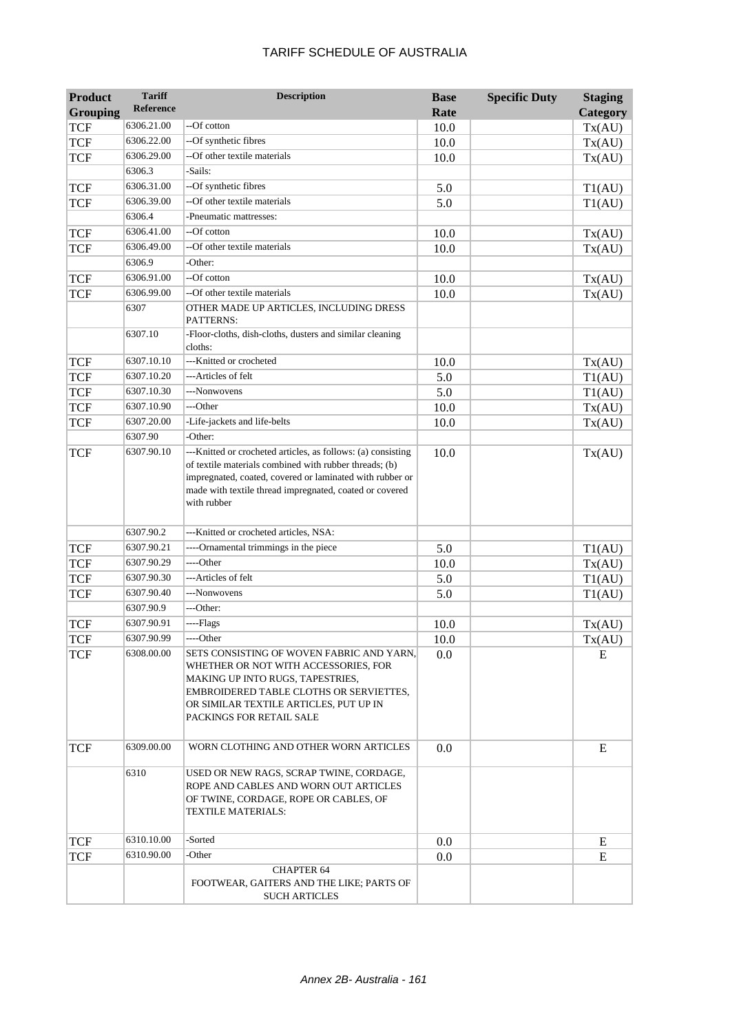| <b>Product</b>  | <b>Tariff</b>         | <b>Description</b>                                                                                                                                                                                                                     | <b>Base</b> | <b>Specific Duty</b> | <b>Staging</b> |
|-----------------|-----------------------|----------------------------------------------------------------------------------------------------------------------------------------------------------------------------------------------------------------------------------------|-------------|----------------------|----------------|
| <b>Grouping</b> | <b>Reference</b>      |                                                                                                                                                                                                                                        | Rate        |                      | Category       |
| <b>TCF</b>      | 6306.21.00            | --Of cotton                                                                                                                                                                                                                            | 10.0        |                      | Tx(AU)         |
| <b>TCF</b>      | 6306.22.00            | --Of synthetic fibres                                                                                                                                                                                                                  | 10.0        |                      | Tx(AU)         |
| <b>TCF</b>      | 6306.29.00            | --Of other textile materials                                                                                                                                                                                                           | 10.0        |                      | Tx(AU)         |
|                 | 6306.3                | -Sails:                                                                                                                                                                                                                                |             |                      |                |
| <b>TCF</b>      | 6306.31.00            | --Of synthetic fibres                                                                                                                                                                                                                  | 5.0         |                      | T1(AU)         |
| <b>TCF</b>      | 6306.39.00            | --Of other textile materials                                                                                                                                                                                                           | 5.0         |                      | T1(AU)         |
|                 | 6306.4                | -Pneumatic mattresses:                                                                                                                                                                                                                 |             |                      |                |
| <b>TCF</b>      | 6306.41.00            | --Of cotton                                                                                                                                                                                                                            | 10.0        |                      | Tx(AU)         |
| <b>TCF</b>      | 6306.49.00            | --Of other textile materials                                                                                                                                                                                                           | 10.0        |                      | Tx(AU)         |
|                 | 6306.9                | -Other:                                                                                                                                                                                                                                |             |                      |                |
| <b>TCF</b>      | 6306.91.00            | --Of cotton                                                                                                                                                                                                                            | 10.0        |                      | Tx(AU)         |
| <b>TCF</b>      | 6306.99.00            | --Of other textile materials                                                                                                                                                                                                           | 10.0        |                      | Tx(AU)         |
|                 | 6307                  | OTHER MADE UP ARTICLES, INCLUDING DRESS<br>PATTERNS:                                                                                                                                                                                   |             |                      |                |
|                 | 6307.10               | -Floor-cloths, dish-cloths, dusters and similar cleaning<br>cloths:                                                                                                                                                                    |             |                      |                |
| <b>TCF</b>      | 6307.10.10            | ---Knitted or crocheted                                                                                                                                                                                                                | 10.0        |                      | Tx(AU)         |
| <b>TCF</b>      | 6307.10.20            | ---Articles of felt                                                                                                                                                                                                                    | 5.0         |                      | T1(AU)         |
| <b>TCF</b>      | 6307.10.30            | ---Nonwovens                                                                                                                                                                                                                           | 5.0         |                      | T1(AU)         |
| <b>TCF</b>      | 6307.10.90            | ---Other                                                                                                                                                                                                                               | 10.0        |                      | Tx(AU)         |
| <b>TCF</b>      | 6307.20.00            | -Life-jackets and life-belts                                                                                                                                                                                                           | 10.0        |                      | Tx(AU)         |
|                 | 6307.90<br>6307.90.10 | -Other:<br>---Knitted or crocheted articles, as follows: (a) consisting                                                                                                                                                                |             |                      |                |
| <b>TCF</b>      |                       | of textile materials combined with rubber threads; (b)<br>impregnated, coated, covered or laminated with rubber or<br>made with textile thread impregnated, coated or covered<br>with rubber                                           | 10.0        |                      | Tx(AU)         |
|                 | 6307.90.2             | ---Knitted or crocheted articles, NSA:                                                                                                                                                                                                 |             |                      |                |
| <b>TCF</b>      | 6307.90.21            | ----Ornamental trimmings in the piece                                                                                                                                                                                                  | 5.0         |                      | T1(AU)         |
| <b>TCF</b>      | 6307.90.29            | ----Other                                                                                                                                                                                                                              | 10.0        |                      | Tx(AU)         |
| <b>TCF</b>      | 6307.90.30            | ---Articles of felt                                                                                                                                                                                                                    | 5.0         |                      | T1(AU)         |
| <b>TCF</b>      | 6307.90.40            | ---Nonwovens                                                                                                                                                                                                                           | 5.0         |                      | T1(AU)         |
|                 | 6307.90.9             | ---Other:                                                                                                                                                                                                                              |             |                      |                |
| <b>TCF</b>      | 6307.90.91            | ----Flags                                                                                                                                                                                                                              | 10.0        |                      | Tx(AU)         |
| <b>TCF</b>      | 6307.90.99            | -Other                                                                                                                                                                                                                                 | 10.0        |                      | Tx(AU)         |
| <b>TCF</b>      | 6308.00.00            | SETS CONSISTING OF WOVEN FABRIC AND YARN,<br>WHETHER OR NOT WITH ACCESSORIES, FOR<br>MAKING UP INTO RUGS, TAPESTRIES,<br>EMBROIDERED TABLE CLOTHS OR SERVIETTES,<br>OR SIMILAR TEXTILE ARTICLES, PUT UP IN<br>PACKINGS FOR RETAIL SALE | 0.0         |                      | E              |
| <b>TCF</b>      | 6309.00.00            | WORN CLOTHING AND OTHER WORN ARTICLES                                                                                                                                                                                                  | 0.0         |                      | E              |
|                 | 6310                  | USED OR NEW RAGS, SCRAP TWINE, CORDAGE,<br>ROPE AND CABLES AND WORN OUT ARTICLES<br>OF TWINE, CORDAGE, ROPE OR CABLES, OF<br>TEXTILE MATERIALS:                                                                                        |             |                      |                |
| TCF             | 6310.10.00            | -Sorted                                                                                                                                                                                                                                | 0.0         |                      | E              |
| <b>TCF</b>      | 6310.90.00            | -Other                                                                                                                                                                                                                                 | 0.0         |                      | E              |
|                 |                       | <b>CHAPTER 64</b><br>FOOTWEAR, GAITERS AND THE LIKE; PARTS OF<br><b>SUCH ARTICLES</b>                                                                                                                                                  |             |                      |                |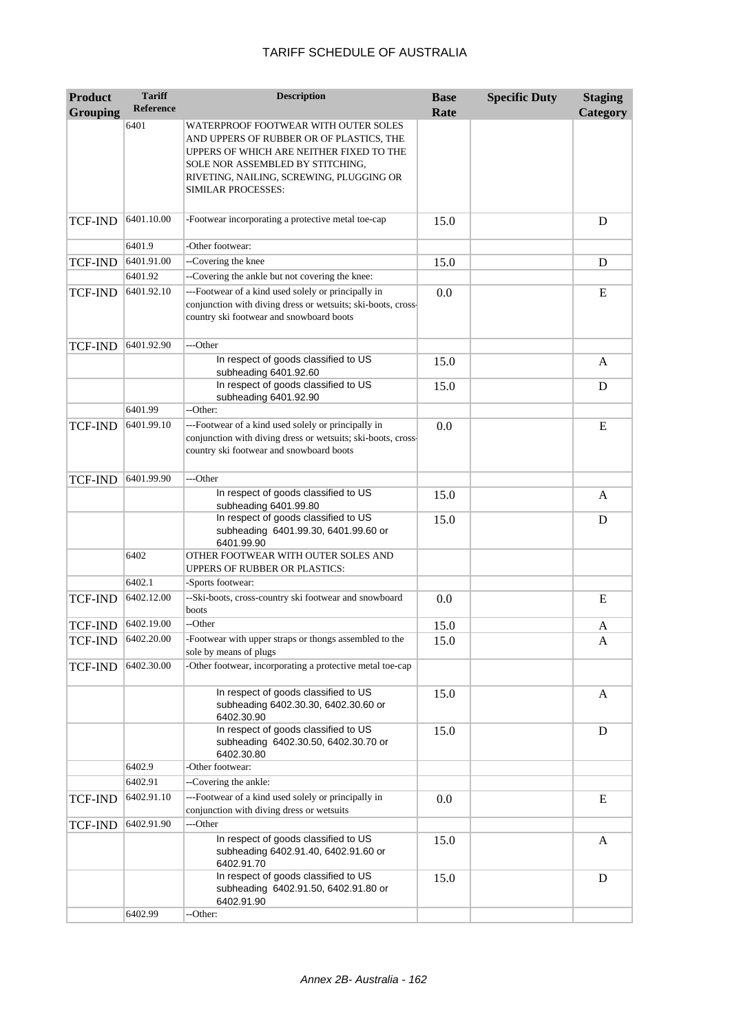| <b>Product</b>  | <b>Tariff</b>    | <b>Description</b>                                                                                                                                                                                                                 | <b>Base</b> | <b>Specific Duty</b> | <b>Staging</b> |
|-----------------|------------------|------------------------------------------------------------------------------------------------------------------------------------------------------------------------------------------------------------------------------------|-------------|----------------------|----------------|
| <b>Grouping</b> | <b>Reference</b> |                                                                                                                                                                                                                                    | Rate        |                      | Category       |
|                 | 6401             | WATERPROOF FOOTWEAR WITH OUTER SOLES<br>AND UPPERS OF RUBBER OR OF PLASTICS, THE<br>UPPERS OF WHICH ARE NEITHER FIXED TO THE<br>SOLE NOR ASSEMBLED BY STITCHING,<br>RIVETING, NAILING, SCREWING, PLUGGING OR<br>SIMILAR PROCESSES: |             |                      |                |
| <b>TCF-IND</b>  | 6401.10.00       | -Footwear incorporating a protective metal toe-cap                                                                                                                                                                                 | 15.0        |                      | D              |
|                 | 6401.9           | -Other footwear:                                                                                                                                                                                                                   |             |                      |                |
| <b>TCF-IND</b>  | 6401.91.00       | --Covering the knee                                                                                                                                                                                                                | 15.0        |                      | D              |
|                 | 6401.92          | --Covering the ankle but not covering the knee:                                                                                                                                                                                    |             |                      |                |
| <b>TCF-IND</b>  | 6401.92.10       | ---Footwear of a kind used solely or principally in<br>conjunction with diving dress or wetsuits; ski-boots, cross-<br>country ski footwear and snowboard boots                                                                    | 0.0         |                      | E              |
| <b>TCF-IND</b>  | 6401.92.90       | ---Other                                                                                                                                                                                                                           |             |                      |                |
|                 |                  | In respect of goods classified to US<br>subheading 6401.92.60                                                                                                                                                                      | 15.0        |                      | A              |
|                 |                  | In respect of goods classified to US<br>subheading 6401.92.90                                                                                                                                                                      | 15.0        |                      | D              |
|                 | 6401.99          | --Other:                                                                                                                                                                                                                           |             |                      |                |
| <b>TCF-IND</b>  | 6401.99.10       | ---Footwear of a kind used solely or principally in<br>conjunction with diving dress or wetsuits; ski-boots, cross-<br>country ski footwear and snowboard boots                                                                    | 0.0         |                      | E              |
| <b>TCF-IND</b>  | 6401.99.90       | ---Other                                                                                                                                                                                                                           |             |                      |                |
|                 |                  | In respect of goods classified to US<br>subheading 6401.99.80                                                                                                                                                                      | 15.0        |                      | A              |
|                 |                  | In respect of goods classified to US<br>subheading 6401.99.30, 6401.99.60 or<br>6401.99.90                                                                                                                                         | 15.0        |                      | D              |
|                 | 6402             | OTHER FOOTWEAR WITH OUTER SOLES AND<br><b>UPPERS OF RUBBER OR PLASTICS:</b>                                                                                                                                                        |             |                      |                |
|                 | 6402.1           | -Sports footwear:                                                                                                                                                                                                                  |             |                      |                |
| TCF-IND         | 6402.12.00       | --Ski-boots, cross-country ski footwear and snowboard<br>boots                                                                                                                                                                     | 0.0         |                      | E              |
| <b>TCF-IND</b>  | 6402.19.00       | --Other                                                                                                                                                                                                                            | 15.0        |                      | A              |
| TCF-IND         | 6402.20.00       | -Footwear with upper straps or thongs assembled to the<br>sole by means of plugs                                                                                                                                                   | 15.0        |                      | A              |
| TCF-IND         | 6402.30.00       | -Other footwear, incorporating a protective metal toe-cap                                                                                                                                                                          |             |                      |                |
|                 |                  | In respect of goods classified to US<br>subheading 6402.30.30, 6402.30.60 or<br>6402.30.90                                                                                                                                         | 15.0        |                      | A              |
|                 |                  | In respect of goods classified to US<br>subheading 6402.30.50, 6402.30.70 or<br>6402.30.80                                                                                                                                         | 15.0        |                      | D              |
|                 | 6402.9           | -Other footwear:                                                                                                                                                                                                                   |             |                      |                |
|                 | 6402.91          | --Covering the ankle:                                                                                                                                                                                                              |             |                      |                |
| TCF-IND         | 6402.91.10       | ---Footwear of a kind used solely or principally in<br>conjunction with diving dress or wetsuits                                                                                                                                   | 0.0         |                      | E              |
| <b>TCF-IND</b>  | 6402.91.90       | ---Other                                                                                                                                                                                                                           |             |                      |                |
|                 |                  | In respect of goods classified to US<br>subheading 6402.91.40, 6402.91.60 or<br>6402.91.70                                                                                                                                         | 15.0        |                      | A              |
|                 |                  | In respect of goods classified to US<br>subheading 6402.91.50, 6402.91.80 or<br>6402.91.90                                                                                                                                         | 15.0        |                      | D              |
|                 | 6402.99          | --Other:                                                                                                                                                                                                                           |             |                      |                |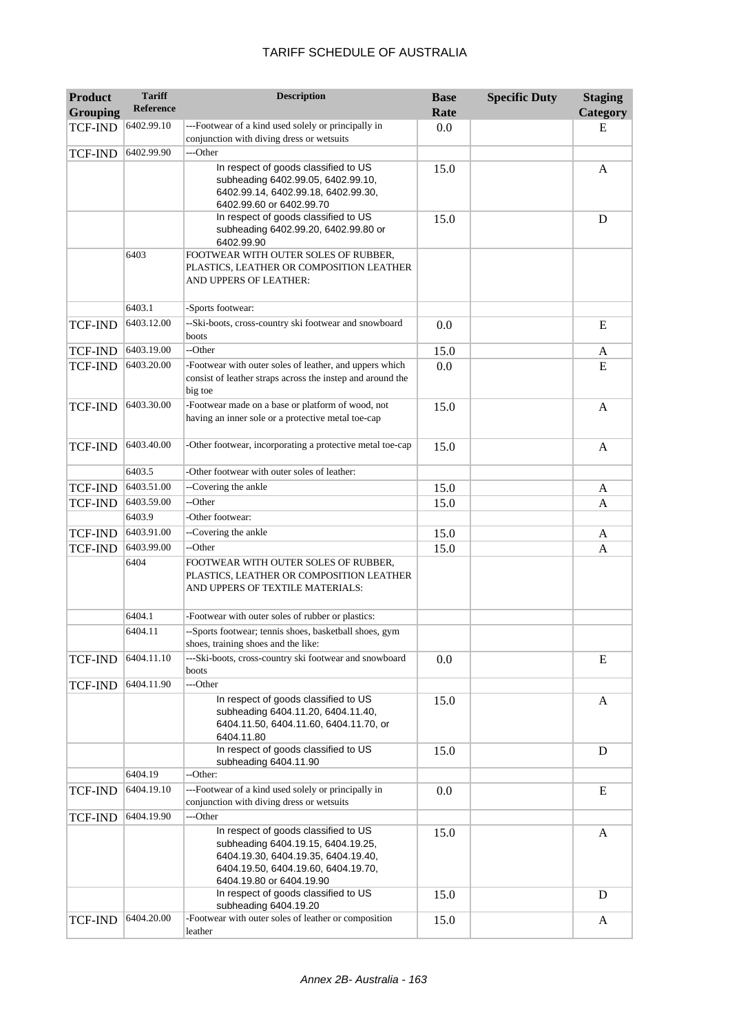| <b>Product</b><br><b>Grouping</b> | <b>Tariff</b><br><b>Reference</b> | <b>Description</b>                                                                                                                                                                   | <b>Base</b><br>Rate | <b>Specific Duty</b> | <b>Staging</b><br>Category |
|-----------------------------------|-----------------------------------|--------------------------------------------------------------------------------------------------------------------------------------------------------------------------------------|---------------------|----------------------|----------------------------|
| <b>TCF-IND</b>                    | 6402.99.10                        | ---Footwear of a kind used solely or principally in                                                                                                                                  | 0.0                 |                      | E                          |
|                                   |                                   | conjunction with diving dress or wetsuits                                                                                                                                            |                     |                      |                            |
| <b>TCF-IND</b>                    | 6402.99.90                        | ---Other                                                                                                                                                                             |                     |                      |                            |
|                                   |                                   | In respect of goods classified to US<br>subheading 6402.99.05, 6402.99.10,<br>6402.99.14, 6402.99.18, 6402.99.30,<br>6402.99.60 or 6402.99.70                                        | 15.0                |                      | A                          |
|                                   |                                   | In respect of goods classified to US<br>subheading 6402.99.20, 6402.99.80 or<br>6402.99.90                                                                                           | 15.0                |                      | D                          |
|                                   | 6403                              | FOOTWEAR WITH OUTER SOLES OF RUBBER,<br>PLASTICS, LEATHER OR COMPOSITION LEATHER<br>AND UPPERS OF LEATHER:                                                                           |                     |                      |                            |
|                                   | 6403.1                            | -Sports footwear:                                                                                                                                                                    |                     |                      |                            |
| <b>TCF-IND</b>                    | 6403.12.00                        | --Ski-boots, cross-country ski footwear and snowboard<br>boots                                                                                                                       | 0.0                 |                      | E                          |
| TCF-IND                           | 6403.19.00                        | --Other                                                                                                                                                                              | 15.0                |                      | A                          |
| <b>TCF-IND</b>                    | 6403.20.00                        | -Footwear with outer soles of leather, and uppers which<br>consist of leather straps across the instep and around the<br>big toe                                                     | 0.0                 |                      | E                          |
| <b>TCF-IND</b>                    | 6403.30.00                        | -Footwear made on a base or platform of wood, not<br>having an inner sole or a protective metal toe-cap                                                                              | 15.0                |                      | A                          |
| <b>TCF-IND</b>                    | 6403.40.00                        | -Other footwear, incorporating a protective metal toe-cap                                                                                                                            | 15.0                |                      | A                          |
|                                   | 6403.5                            | -Other footwear with outer soles of leather:                                                                                                                                         |                     |                      |                            |
| <b>TCF-IND</b>                    | 6403.51.00                        | --Covering the ankle                                                                                                                                                                 | 15.0                |                      | A                          |
| TCF-IND                           | 6403.59.00                        | --Other                                                                                                                                                                              | 15.0                |                      | A                          |
|                                   | 6403.9                            | -Other footwear:                                                                                                                                                                     |                     |                      |                            |
| TCF-IND                           | 6403.91.00                        | --Covering the ankle                                                                                                                                                                 | 15.0                |                      | A                          |
| TCF-IND                           | 6403.99.00                        | --Other                                                                                                                                                                              | 15.0                |                      | A                          |
|                                   | 6404                              | FOOTWEAR WITH OUTER SOLES OF RUBBER,<br>PLASTICS, LEATHER OR COMPOSITION LEATHER<br>AND UPPERS OF TEXTILE MATERIALS:                                                                 |                     |                      |                            |
|                                   | 6404.1                            | -Footwear with outer soles of rubber or plastics:                                                                                                                                    |                     |                      |                            |
|                                   | 6404.11                           | --Sports footwear; tennis shoes, basketball shoes, gym<br>shoes, training shoes and the like:                                                                                        |                     |                      |                            |
| <b>TCF-IND</b>                    | 6404.11.10                        | ---Ski-boots, cross-country ski footwear and snowboard<br>boots                                                                                                                      | 0.0                 |                      | E                          |
| <b>TCF-IND</b>                    | 6404.11.90                        | ---Other                                                                                                                                                                             |                     |                      |                            |
|                                   |                                   | In respect of goods classified to US<br>subheading 6404.11.20, 6404.11.40,<br>6404.11.50, 6404.11.60, 6404.11.70, or<br>6404.11.80                                                   | 15.0                |                      | A                          |
|                                   |                                   | In respect of goods classified to US<br>subheading 6404.11.90                                                                                                                        | 15.0                |                      | D                          |
|                                   | 6404.19                           | --Other:                                                                                                                                                                             |                     |                      |                            |
| <b>TCF-IND</b>                    | 6404.19.10                        | ---Footwear of a kind used solely or principally in<br>conjunction with diving dress or wetsuits                                                                                     | 0.0                 |                      | E                          |
| <b>TCF-IND</b>                    | 6404.19.90                        | ---Other                                                                                                                                                                             |                     |                      |                            |
|                                   |                                   | In respect of goods classified to US<br>subheading 6404.19.15, 6404.19.25,<br>6404.19.30, 6404.19.35, 6404.19.40,<br>6404.19.50, 6404.19.60, 6404.19.70,<br>6404.19.80 or 6404.19.90 | 15.0                |                      | A                          |
|                                   |                                   | In respect of goods classified to US<br>subheading 6404.19.20                                                                                                                        | 15.0                |                      | D                          |
| <b>TCF-IND</b>                    | 6404.20.00                        | -Footwear with outer soles of leather or composition<br>leather                                                                                                                      | 15.0                |                      | A                          |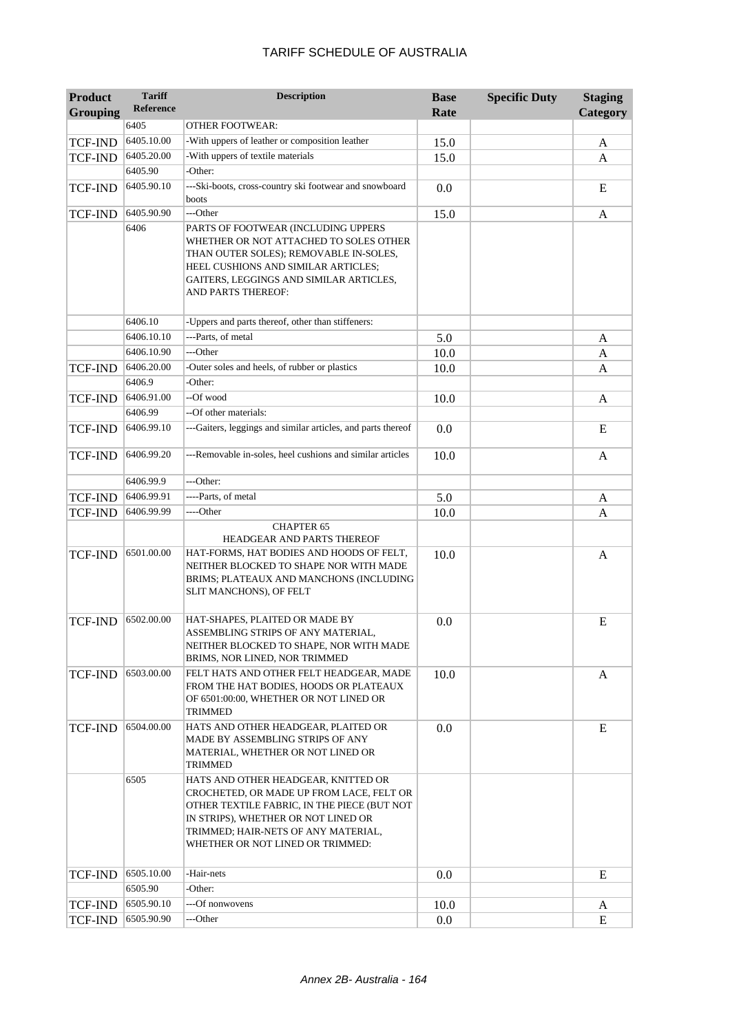| <b>Product</b>  | <b>Tariff</b>    | <b>Description</b>                                                                                                                                                                                                                               | <b>Base</b> | <b>Specific Duty</b> | <b>Staging</b> |
|-----------------|------------------|--------------------------------------------------------------------------------------------------------------------------------------------------------------------------------------------------------------------------------------------------|-------------|----------------------|----------------|
| <b>Grouping</b> | <b>Reference</b> |                                                                                                                                                                                                                                                  | Rate        |                      | Category       |
|                 | 6405             | <b>OTHER FOOTWEAR:</b>                                                                                                                                                                                                                           |             |                      |                |
| <b>TCF-IND</b>  | 6405.10.00       | -With uppers of leather or composition leather                                                                                                                                                                                                   | 15.0        |                      | A              |
| <b>TCF-IND</b>  | 6405.20.00       | -With uppers of textile materials                                                                                                                                                                                                                | 15.0        |                      | A              |
|                 | 6405.90          | -Other:                                                                                                                                                                                                                                          |             |                      |                |
| <b>TCF-IND</b>  | 6405.90.10       | ---Ski-boots, cross-country ski footwear and snowboard<br>boots                                                                                                                                                                                  | 0.0         |                      | E              |
| TCF-IND         | 6405.90.90       | ---Other                                                                                                                                                                                                                                         | 15.0        |                      | A              |
|                 | 6406             | PARTS OF FOOTWEAR (INCLUDING UPPERS<br>WHETHER OR NOT ATTACHED TO SOLES OTHER<br>THAN OUTER SOLES); REMOVABLE IN-SOLES,<br>HEEL CUSHIONS AND SIMILAR ARTICLES;<br>GAITERS, LEGGINGS AND SIMILAR ARTICLES,<br>AND PARTS THEREOF:                  |             |                      |                |
|                 | 6406.10          | -Uppers and parts thereof, other than stiffeners:                                                                                                                                                                                                |             |                      |                |
|                 | 6406.10.10       | ---Parts, of metal                                                                                                                                                                                                                               | 5.0         |                      | A              |
|                 | 6406.10.90       | ---Other                                                                                                                                                                                                                                         | 10.0        |                      | A              |
| <b>TCF-IND</b>  | 6406.20.00       | -Outer soles and heels, of rubber or plastics                                                                                                                                                                                                    | 10.0        |                      | A              |
|                 | 6406.9           | -Other:                                                                                                                                                                                                                                          |             |                      |                |
| <b>TCF-IND</b>  | 6406.91.00       | --Of wood                                                                                                                                                                                                                                        | 10.0        |                      | A              |
|                 | 6406.99          | --Of other materials:                                                                                                                                                                                                                            |             |                      |                |
| <b>TCF-IND</b>  | 6406.99.10       | ---Gaiters, leggings and similar articles, and parts thereof                                                                                                                                                                                     | 0.0         |                      | E              |
| <b>TCF-IND</b>  | 6406.99.20       | ---Removable in-soles, heel cushions and similar articles                                                                                                                                                                                        | 10.0        |                      | A              |
|                 | 6406.99.9        | ---Other:                                                                                                                                                                                                                                        |             |                      |                |
| <b>TCF-IND</b>  | 6406.99.91       | ----Parts, of metal                                                                                                                                                                                                                              | 5.0         |                      | A              |
| <b>TCF-IND</b>  | 6406.99.99       | ----Other                                                                                                                                                                                                                                        | 10.0        |                      | A              |
|                 |                  | <b>CHAPTER 65</b>                                                                                                                                                                                                                                |             |                      |                |
|                 | 6501.00.00       | HEADGEAR AND PARTS THEREOF                                                                                                                                                                                                                       |             |                      |                |
| <b>TCF-IND</b>  |                  | HAT-FORMS, HAT BODIES AND HOODS OF FELT,<br>NEITHER BLOCKED TO SHAPE NOR WITH MADE<br>BRIMS; PLATEAUX AND MANCHONS (INCLUDING<br>SLIT MANCHONS), OF FELT                                                                                         | 10.0        |                      | A              |
| <b>TCF-IND</b>  | 6502.00.00       | HAT-SHAPES, PLAITED OR MADE BY<br>ASSEMBLING STRIPS OF ANY MATERIAL,<br>NEITHER BLOCKED TO SHAPE, NOR WITH MADE<br>BRIMS, NOR LINED, NOR TRIMMED                                                                                                 | 0.0         |                      | E              |
| <b>TCF-IND</b>  | 6503.00.00       | FELT HATS AND OTHER FELT HEADGEAR, MADE<br>FROM THE HAT BODIES, HOODS OR PLATEAUX<br>OF 6501:00:00, WHETHER OR NOT LINED OR<br>TRIMMED                                                                                                           | 10.0        |                      | A              |
| <b>TCF-IND</b>  | 6504.00.00       | HATS AND OTHER HEADGEAR, PLAITED OR<br>MADE BY ASSEMBLING STRIPS OF ANY<br>MATERIAL, WHETHER OR NOT LINED OR<br>TRIMMED                                                                                                                          | 0.0         |                      | E              |
|                 | 6505             | HATS AND OTHER HEADGEAR, KNITTED OR<br>CROCHETED, OR MADE UP FROM LACE, FELT OR<br>OTHER TEXTILE FABRIC, IN THE PIECE (BUT NOT<br>IN STRIPS), WHETHER OR NOT LINED OR<br>TRIMMED; HAIR-NETS OF ANY MATERIAL,<br>WHETHER OR NOT LINED OR TRIMMED: |             |                      |                |
| <b>TCF-IND</b>  | 6505.10.00       | -Hair-nets                                                                                                                                                                                                                                       | 0.0         |                      | E              |
|                 | 6505.90          | -Other:                                                                                                                                                                                                                                          |             |                      |                |
| <b>TCF-IND</b>  | 6505.90.10       | ---Of nonwovens                                                                                                                                                                                                                                  | 10.0        |                      | A              |
| <b>TCF-IND</b>  | 6505.90.90       | ---Other                                                                                                                                                                                                                                         | 0.0         |                      | E              |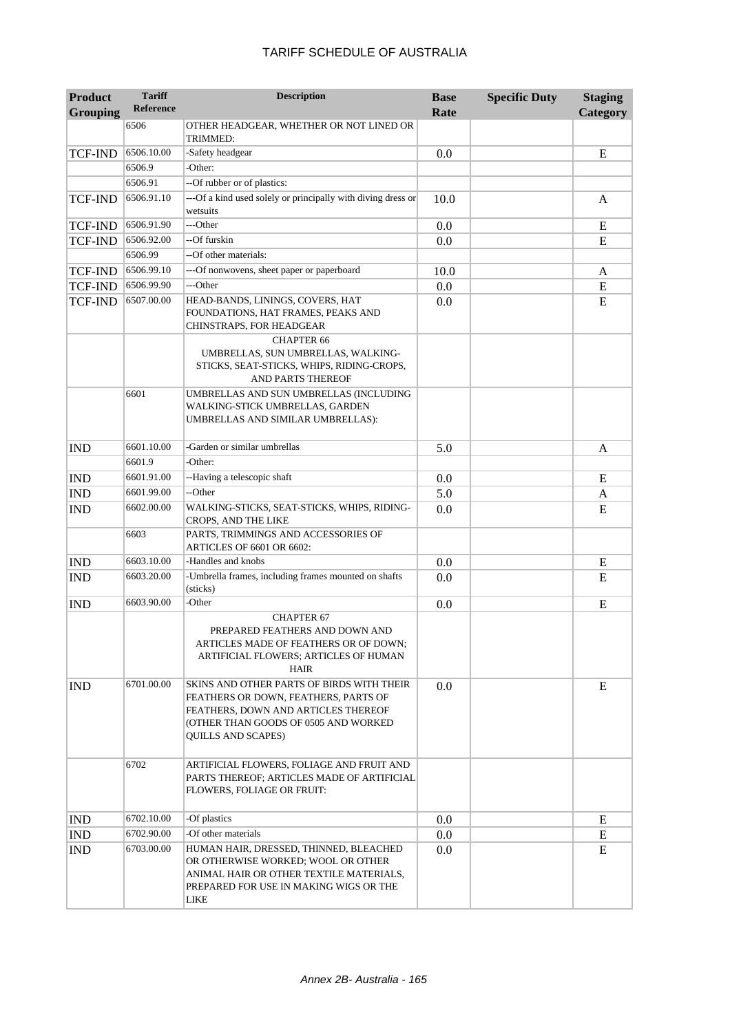| <b>Product</b>  | <b>Tariff</b>    | <b>Description</b>                                                                                                                                                                     | <b>Base</b> | <b>Specific Duty</b> | <b>Staging</b> |
|-----------------|------------------|----------------------------------------------------------------------------------------------------------------------------------------------------------------------------------------|-------------|----------------------|----------------|
| <b>Grouping</b> | <b>Reference</b> |                                                                                                                                                                                        | Rate        |                      | Category       |
|                 | 6506             | OTHER HEADGEAR, WHETHER OR NOT LINED OR<br>TRIMMED:                                                                                                                                    |             |                      |                |
| <b>TCF-IND</b>  | 6506.10.00       | -Safety headgear                                                                                                                                                                       | 0.0         |                      | E              |
|                 | 6506.9           | -Other:                                                                                                                                                                                |             |                      |                |
|                 | 6506.91          | --Of rubber or of plastics:                                                                                                                                                            |             |                      |                |
| <b>TCF-IND</b>  | 6506.91.10       | ---Of a kind used solely or principally with diving dress or                                                                                                                           | 10.0        |                      | A              |
|                 |                  | wetsuits                                                                                                                                                                               |             |                      |                |
| <b>TCF-IND</b>  | 6506.91.90       | ---Other                                                                                                                                                                               | 0.0         |                      | E              |
| TCF-IND         | 6506.92.00       | --Of furskin                                                                                                                                                                           | 0.0         |                      | ${\bf E}$      |
|                 | 6506.99          | --Of other materials:                                                                                                                                                                  |             |                      |                |
| <b>TCF-IND</b>  | 6506.99.10       | ---Of nonwovens, sheet paper or paperboard                                                                                                                                             | 10.0        |                      | A              |
| <b>TCF-IND</b>  | 6506.99.90       | ---Other                                                                                                                                                                               | 0.0         |                      | ${\bf E}$      |
| <b>TCF-IND</b>  | 6507.00.00       | HEAD-BANDS, LININGS, COVERS, HAT<br>FOUNDATIONS, HAT FRAMES, PEAKS AND<br>CHINSTRAPS, FOR HEADGEAR                                                                                     | 0.0         |                      | ${\bf E}$      |
|                 |                  | <b>CHAPTER 66</b><br>UMBRELLAS, SUN UMBRELLAS, WALKING-<br>STICKS, SEAT-STICKS, WHIPS, RIDING-CROPS,<br>AND PARTS THEREOF                                                              |             |                      |                |
|                 | 6601             | UMBRELLAS AND SUN UMBRELLAS (INCLUDING<br>WALKING-STICK UMBRELLAS, GARDEN<br>UMBRELLAS AND SIMILAR UMBRELLAS):                                                                         |             |                      |                |
| <b>IND</b>      | 6601.10.00       | -Garden or similar umbrellas                                                                                                                                                           | 5.0         |                      | A              |
|                 | 6601.9           | -Other:                                                                                                                                                                                |             |                      |                |
| <b>IND</b>      | 6601.91.00       | --Having a telescopic shaft                                                                                                                                                            | 0.0         |                      | E              |
| <b>IND</b>      | 6601.99.00       | --Other                                                                                                                                                                                | 5.0         |                      | A              |
| <b>IND</b>      | 6602.00.00       | WALKING-STICKS, SEAT-STICKS, WHIPS, RIDING-<br>CROPS, AND THE LIKE                                                                                                                     | 0.0         |                      | E              |
|                 | 6603             | PARTS, TRIMMINGS AND ACCESSORIES OF<br>ARTICLES OF 6601 OR 6602:                                                                                                                       |             |                      |                |
| <b>IND</b>      | 6603.10.00       | -Handles and knobs                                                                                                                                                                     | 0.0         |                      | E              |
| <b>IND</b>      | 6603.20.00       | -Umbrella frames, including frames mounted on shafts<br>(sticks)                                                                                                                       | 0.0         |                      | E              |
| <b>IND</b>      | 6603.90.00       | -Other                                                                                                                                                                                 | 0.0         |                      | E              |
|                 |                  | <b>CHAPTER 67</b><br>PREPARED FEATHERS AND DOWN AND<br>ARTICLES MADE OF FEATHERS OR OF DOWN;<br>ARTIFICIAL FLOWERS; ARTICLES OF HUMAN<br>HAIR                                          |             |                      |                |
| <b>IND</b>      | 6701.00.00       | SKINS AND OTHER PARTS OF BIRDS WITH THEIR<br>FEATHERS OR DOWN, FEATHERS, PARTS OF<br>FEATHERS, DOWN AND ARTICLES THEREOF<br>(OTHER THAN GOODS OF 0505 AND WORKED<br>QUILLS AND SCAPES) | 0.0         |                      | E              |
|                 | 6702             | ARTIFICIAL FLOWERS, FOLIAGE AND FRUIT AND<br>PARTS THEREOF; ARTICLES MADE OF ARTIFICIAL<br>FLOWERS, FOLIAGE OR FRUIT:                                                                  |             |                      |                |
| <b>IND</b>      | 6702.10.00       | -Of plastics                                                                                                                                                                           | 0.0         |                      | E              |
| <b>IND</b>      | 6702.90.00       | -Of other materials                                                                                                                                                                    | 0.0         |                      | E              |
| <b>IND</b>      | 6703.00.00       | HUMAN HAIR, DRESSED, THINNED, BLEACHED<br>OR OTHERWISE WORKED; WOOL OR OTHER<br>ANIMAL HAIR OR OTHER TEXTILE MATERIALS,<br>PREPARED FOR USE IN MAKING WIGS OR THE<br>LIKE              | 0.0         |                      | E              |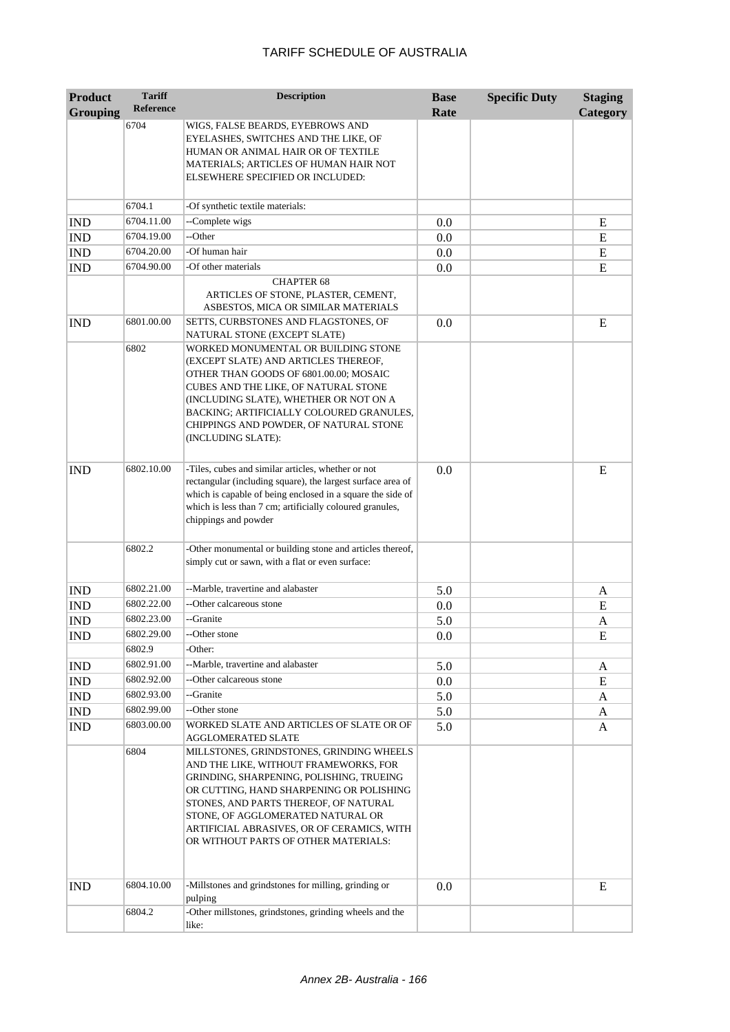| <b>Product</b>              | <b>Tariff</b><br><b>Reference</b> | <b>Description</b>                                                                                                                                                                                                                                                                                                                            | <b>Base</b> | <b>Specific Duty</b> | <b>Staging</b> |
|-----------------------------|-----------------------------------|-----------------------------------------------------------------------------------------------------------------------------------------------------------------------------------------------------------------------------------------------------------------------------------------------------------------------------------------------|-------------|----------------------|----------------|
| <b>Grouping</b>             |                                   |                                                                                                                                                                                                                                                                                                                                               | Rate        |                      | Category       |
|                             | 6704                              | WIGS, FALSE BEARDS, EYEBROWS AND<br>EYELASHES, SWITCHES AND THE LIKE, OF<br>HUMAN OR ANIMAL HAIR OR OF TEXTILE<br>MATERIALS; ARTICLES OF HUMAN HAIR NOT<br>ELSEWHERE SPECIFIED OR INCLUDED:                                                                                                                                                   |             |                      |                |
|                             | 6704.1                            | -Of synthetic textile materials:                                                                                                                                                                                                                                                                                                              |             |                      |                |
| <b>IND</b>                  | 6704.11.00                        | --Complete wigs                                                                                                                                                                                                                                                                                                                               | 0.0         |                      | Ε              |
| <b>IND</b>                  | 6704.19.00                        | --Other                                                                                                                                                                                                                                                                                                                                       | 0.0         |                      | E              |
| <b>IND</b>                  | 6704.20.00                        | -Of human hair                                                                                                                                                                                                                                                                                                                                | 0.0         |                      | E              |
| <b>IND</b>                  | 6704.90.00                        | -Of other materials                                                                                                                                                                                                                                                                                                                           | 0.0         |                      | E              |
|                             |                                   | <b>CHAPTER 68</b><br>ARTICLES OF STONE, PLASTER, CEMENT,<br>ASBESTOS, MICA OR SIMILAR MATERIALS                                                                                                                                                                                                                                               |             |                      |                |
| <b>IND</b>                  | 6801.00.00                        | SETTS, CURBSTONES AND FLAGSTONES, OF<br>NATURAL STONE (EXCEPT SLATE)                                                                                                                                                                                                                                                                          | 0.0         |                      | E              |
|                             | 6802                              | WORKED MONUMENTAL OR BUILDING STONE<br>(EXCEPT SLATE) AND ARTICLES THEREOF,<br>OTHER THAN GOODS OF 6801.00.00; MOSAIC<br>CUBES AND THE LIKE, OF NATURAL STONE<br>(INCLUDING SLATE), WHETHER OR NOT ON A<br>BACKING; ARTIFICIALLY COLOURED GRANULES,<br>CHIPPINGS AND POWDER, OF NATURAL STONE<br>(INCLUDING SLATE):                           |             |                      |                |
| <b>IND</b>                  | 6802.10.00                        | -Tiles, cubes and similar articles, whether or not<br>rectangular (including square), the largest surface area of<br>which is capable of being enclosed in a square the side of<br>which is less than 7 cm; artificially coloured granules,<br>chippings and powder                                                                           | 0.0         |                      | E              |
|                             | 6802.2                            | -Other monumental or building stone and articles thereof,<br>simply cut or sawn, with a flat or even surface:                                                                                                                                                                                                                                 |             |                      |                |
| <b>IND</b>                  | 6802.21.00                        | --Marble, travertine and alabaster                                                                                                                                                                                                                                                                                                            | 5.0         |                      | A              |
| <b>IND</b>                  | 6802.22.00                        | --Other calcareous stone                                                                                                                                                                                                                                                                                                                      | 0.0         |                      | E              |
| <b>IND</b>                  | 6802.23.00                        | --Granite                                                                                                                                                                                                                                                                                                                                     | 5.0         |                      | A              |
| <b>IND</b>                  | 6802.29.00                        | --Other stone                                                                                                                                                                                                                                                                                                                                 | 0.0         |                      | E              |
|                             | 6802.9                            | -Other:                                                                                                                                                                                                                                                                                                                                       |             |                      |                |
| <b>IND</b>                  | 6802.91.00                        | --Marble, travertine and alabaster                                                                                                                                                                                                                                                                                                            | 5.0         |                      | A              |
| <b>IND</b>                  | 6802.92.00                        | --Other calcareous stone                                                                                                                                                                                                                                                                                                                      | 0.0         |                      | E              |
| <b>IND</b>                  | 6802.93.00                        | --Granite                                                                                                                                                                                                                                                                                                                                     | 5.0         |                      | A              |
| $\mathop{\rm IND}\nolimits$ | 6802.99.00                        | --Other stone                                                                                                                                                                                                                                                                                                                                 | 5.0         |                      | A              |
| <b>IND</b>                  | 6803.00.00                        | WORKED SLATE AND ARTICLES OF SLATE OR OF<br><b>AGGLOMERATED SLATE</b>                                                                                                                                                                                                                                                                         | 5.0         |                      | A              |
|                             | 6804                              | MILLSTONES, GRINDSTONES, GRINDING WHEELS<br>AND THE LIKE, WITHOUT FRAMEWORKS, FOR<br>GRINDING, SHARPENING, POLISHING, TRUEING<br>OR CUTTING, HAND SHARPENING OR POLISHING<br>STONES, AND PARTS THEREOF, OF NATURAL<br>STONE, OF AGGLOMERATED NATURAL OR<br>ARTIFICIAL ABRASIVES, OR OF CERAMICS, WITH<br>OR WITHOUT PARTS OF OTHER MATERIALS: |             |                      |                |
| <b>IND</b>                  | 6804.10.00                        | -Millstones and grindstones for milling, grinding or<br>pulping                                                                                                                                                                                                                                                                               | 0.0         |                      | E              |
|                             | 6804.2                            | -Other millstones, grindstones, grinding wheels and the<br>like:                                                                                                                                                                                                                                                                              |             |                      |                |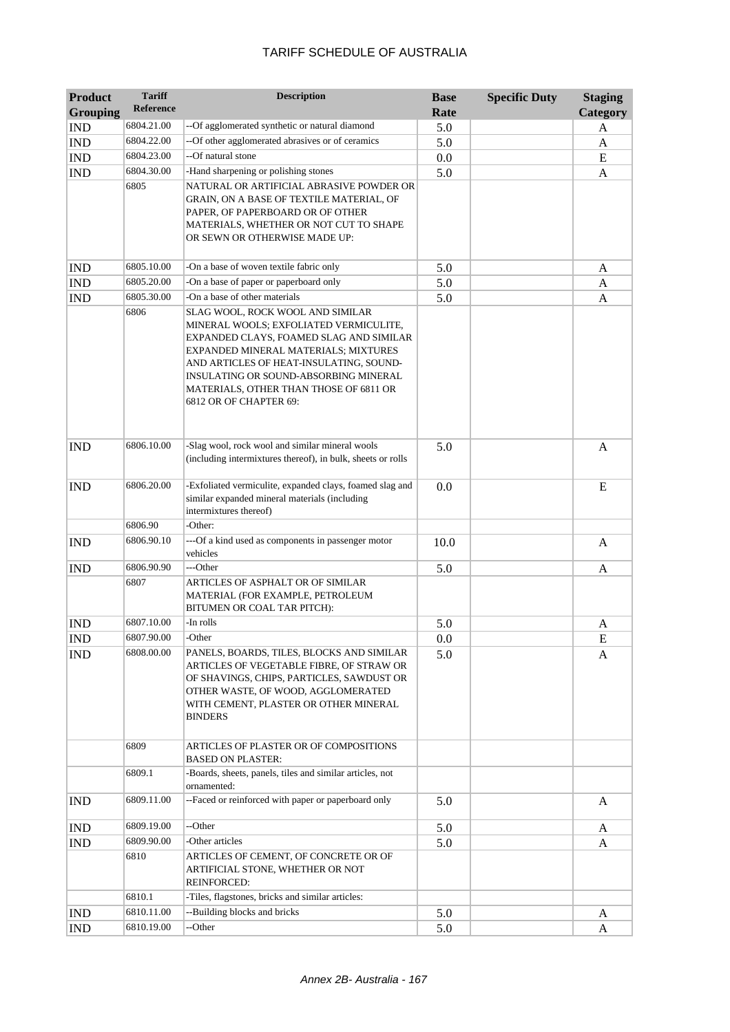| <b>Product</b><br><b>Grouping</b> | <b>Tariff</b><br>Reference | <b>Description</b>                                                                                                                                                                                                                                                                                                    | <b>Base</b><br>Rate | <b>Specific Duty</b> | <b>Staging</b><br>Category |
|-----------------------------------|----------------------------|-----------------------------------------------------------------------------------------------------------------------------------------------------------------------------------------------------------------------------------------------------------------------------------------------------------------------|---------------------|----------------------|----------------------------|
| <b>IND</b>                        | 6804.21.00                 | -- Of agglomerated synthetic or natural diamond                                                                                                                                                                                                                                                                       | 5.0                 |                      | A                          |
| <b>IND</b>                        | 6804.22.00                 | -- Of other agglomerated abrasives or of ceramics                                                                                                                                                                                                                                                                     | 5.0                 |                      | A                          |
| <b>IND</b>                        | 6804.23.00                 | --Of natural stone                                                                                                                                                                                                                                                                                                    | 0.0                 |                      | E                          |
| <b>IND</b>                        | 6804.30.00                 | -Hand sharpening or polishing stones                                                                                                                                                                                                                                                                                  | 5.0                 |                      | A                          |
|                                   | 6805                       | NATURAL OR ARTIFICIAL ABRASIVE POWDER OR<br>GRAIN, ON A BASE OF TEXTILE MATERIAL, OF<br>PAPER, OF PAPERBOARD OR OF OTHER<br>MATERIALS, WHETHER OR NOT CUT TO SHAPE<br>OR SEWN OR OTHERWISE MADE UP:                                                                                                                   |                     |                      |                            |
| <b>IND</b>                        | 6805.10.00                 | -On a base of woven textile fabric only                                                                                                                                                                                                                                                                               | 5.0                 |                      | A                          |
| <b>IND</b>                        | 6805.20.00                 | -On a base of paper or paperboard only                                                                                                                                                                                                                                                                                | 5.0                 |                      | A                          |
| <b>IND</b>                        | 6805.30.00                 | -On a base of other materials                                                                                                                                                                                                                                                                                         | 5.0                 |                      | A                          |
|                                   | 6806                       | SLAG WOOL, ROCK WOOL AND SIMILAR<br>MINERAL WOOLS; EXFOLIATED VERMICULITE,<br>EXPANDED CLAYS, FOAMED SLAG AND SIMILAR<br>EXPANDED MINERAL MATERIALS; MIXTURES<br>AND ARTICLES OF HEAT-INSULATING, SOUND-<br>INSULATING OR SOUND-ABSORBING MINERAL<br>MATERIALS, OTHER THAN THOSE OF 6811 OR<br>6812 OR OF CHAPTER 69: |                     |                      |                            |
| <b>IND</b>                        | 6806.10.00                 | -Slag wool, rock wool and similar mineral wools<br>(including intermixtures thereof), in bulk, sheets or rolls                                                                                                                                                                                                        | 5.0                 |                      | $\mathbf{A}$               |
| <b>IND</b>                        | 6806.20.00                 | -Exfoliated vermiculite, expanded clays, foamed slag and<br>similar expanded mineral materials (including<br>intermixtures thereof)                                                                                                                                                                                   | 0.0                 |                      | E                          |
|                                   | 6806.90                    | -Other:                                                                                                                                                                                                                                                                                                               |                     |                      |                            |
| <b>IND</b>                        | 6806.90.10                 | ---Of a kind used as components in passenger motor<br>vehicles                                                                                                                                                                                                                                                        | 10.0                |                      | $\mathbf{A}$               |
| <b>IND</b>                        | 6806.90.90                 | ---Other                                                                                                                                                                                                                                                                                                              | 5.0                 |                      | A                          |
|                                   | 6807                       | ARTICLES OF ASPHALT OR OF SIMILAR<br>MATERIAL (FOR EXAMPLE, PETROLEUM<br>BITUMEN OR COAL TAR PITCH):                                                                                                                                                                                                                  |                     |                      |                            |
| <b>IND</b>                        | 6807.10.00                 | -In rolls                                                                                                                                                                                                                                                                                                             | 5.0                 |                      | A                          |
| <b>IND</b>                        | 6807.90.00                 | -Other                                                                                                                                                                                                                                                                                                                | 0.0                 |                      | ${\bf E}$                  |
| $\overline{\text{IND}}$           | 6808.00.00                 | PANELS, BOARDS, TILES, BLOCKS AND SIMILAR<br>ARTICLES OF VEGETABLE FIBRE, OF STRAW OR<br>OF SHAVINGS, CHIPS, PARTICLES, SAWDUST OR<br>OTHER WASTE, OF WOOD, AGGLOMERATED<br>WITH CEMENT, PLASTER OR OTHER MINERAL<br><b>BINDERS</b>                                                                                   | 5.0                 |                      | A                          |
|                                   | 6809                       | ARTICLES OF PLASTER OR OF COMPOSITIONS<br><b>BASED ON PLASTER:</b>                                                                                                                                                                                                                                                    |                     |                      |                            |
|                                   | 6809.1                     | -Boards, sheets, panels, tiles and similar articles, not<br>ornamented:                                                                                                                                                                                                                                               |                     |                      |                            |
| <b>IND</b>                        | 6809.11.00                 | --Faced or reinforced with paper or paperboard only                                                                                                                                                                                                                                                                   | 5.0                 |                      | A                          |
| <b>IND</b>                        | 6809.19.00                 | --Other                                                                                                                                                                                                                                                                                                               | 5.0                 |                      | A                          |
| <b>IND</b>                        | 6809.90.00                 | -Other articles                                                                                                                                                                                                                                                                                                       | 5.0                 |                      | A                          |
|                                   | 6810                       | ARTICLES OF CEMENT, OF CONCRETE OR OF<br>ARTIFICIAL STONE, WHETHER OR NOT<br><b>REINFORCED:</b>                                                                                                                                                                                                                       |                     |                      |                            |
|                                   | 6810.1                     | -Tiles, flagstones, bricks and similar articles:                                                                                                                                                                                                                                                                      |                     |                      |                            |
| <b>IND</b>                        | 6810.11.00                 | --Building blocks and bricks                                                                                                                                                                                                                                                                                          | 5.0                 |                      | A                          |
| <b>IND</b>                        | 6810.19.00                 | --Other                                                                                                                                                                                                                                                                                                               | 5.0                 |                      | A                          |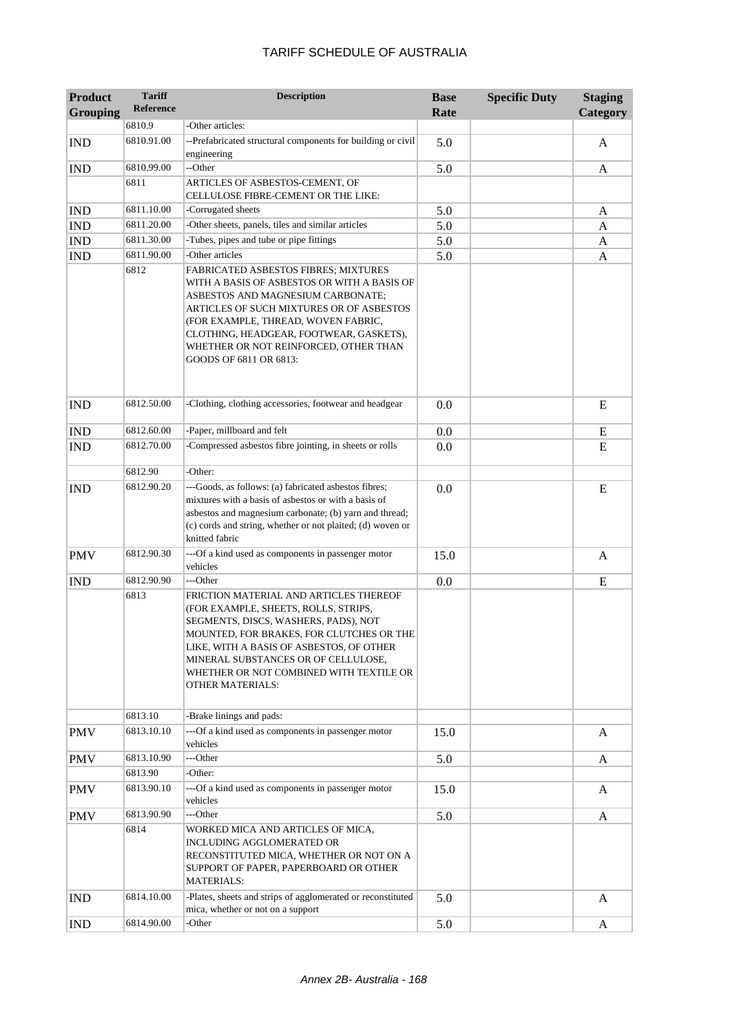| <b>Product</b>  | <b>Tariff</b><br><b>Reference</b> | <b>Description</b>                                                                                                                                                                                                                                                                                                        | <b>Base</b> | <b>Specific Duty</b> | <b>Staging</b> |
|-----------------|-----------------------------------|---------------------------------------------------------------------------------------------------------------------------------------------------------------------------------------------------------------------------------------------------------------------------------------------------------------------------|-------------|----------------------|----------------|
| <b>Grouping</b> | 6810.9                            | -Other articles:                                                                                                                                                                                                                                                                                                          | Rate        |                      | Category       |
|                 | 6810.91.00                        | --Prefabricated structural components for building or civil                                                                                                                                                                                                                                                               |             |                      |                |
| <b>IND</b>      |                                   | engineering                                                                                                                                                                                                                                                                                                               | 5.0         |                      | A              |
| <b>IND</b>      | 6810.99.00                        | --Other                                                                                                                                                                                                                                                                                                                   | 5.0         |                      | $\mathbf{A}$   |
|                 | 6811                              | ARTICLES OF ASBESTOS-CEMENT, OF                                                                                                                                                                                                                                                                                           |             |                      |                |
|                 |                                   | CELLULOSE FIBRE-CEMENT OR THE LIKE:                                                                                                                                                                                                                                                                                       |             |                      |                |
| <b>IND</b>      | 6811.10.00                        | -Corrugated sheets                                                                                                                                                                                                                                                                                                        | 5.0         |                      | A              |
| <b>IND</b>      | 6811.20.00                        | -Other sheets, panels, tiles and similar articles                                                                                                                                                                                                                                                                         | 5.0         |                      | A              |
| <b>IND</b>      | 6811.30.00                        | -Tubes, pipes and tube or pipe fittings                                                                                                                                                                                                                                                                                   | 5.0         |                      | A              |
| <b>IND</b>      | 6811.90.00                        | -Other articles                                                                                                                                                                                                                                                                                                           | 5.0         |                      | A              |
|                 | 6812                              | FABRICATED ASBESTOS FIBRES; MIXTURES<br>WITH A BASIS OF ASBESTOS OR WITH A BASIS OF<br>ASBESTOS AND MAGNESIUM CARBONATE;<br>ARTICLES OF SUCH MIXTURES OR OF ASBESTOS<br>(FOR EXAMPLE, THREAD, WOVEN FABRIC,<br>CLOTHING, HEADGEAR, FOOTWEAR, GASKETS),<br>WHETHER OR NOT REINFORCED, OTHER THAN<br>GOODS OF 6811 OR 6813: |             |                      |                |
| <b>IND</b>      | 6812.50.00                        | -Clothing, clothing accessories, footwear and headgear                                                                                                                                                                                                                                                                    | 0.0         |                      | E              |
| <b>IND</b>      | 6812.60.00                        | -Paper, millboard and felt                                                                                                                                                                                                                                                                                                | 0.0         |                      | Ε              |
| <b>IND</b>      | 6812.70.00                        | -Compressed asbestos fibre jointing, in sheets or rolls                                                                                                                                                                                                                                                                   | 0.0         |                      | E              |
|                 | 6812.90                           | -Other:                                                                                                                                                                                                                                                                                                                   |             |                      |                |
| <b>IND</b>      | 6812.90.20                        | ---Goods, as follows: (a) fabricated asbestos fibres;<br>mixtures with a basis of asbestos or with a basis of<br>asbestos and magnesium carbonate; (b) yarn and thread;<br>(c) cords and string, whether or not plaited; (d) woven or<br>knitted fabric                                                                   | 0.0         |                      | E              |
| <b>PMV</b>      | 6812.90.30                        | ---Of a kind used as components in passenger motor<br>vehicles                                                                                                                                                                                                                                                            | 15.0        |                      | $\mathbf{A}$   |
| <b>IND</b>      | 6812.90.90                        | ---Other                                                                                                                                                                                                                                                                                                                  | 0.0         |                      | E              |
|                 | 6813                              | FRICTION MATERIAL AND ARTICLES THEREOF<br>(FOR EXAMPLE, SHEETS, ROLLS, STRIPS,<br>SEGMENTS, DISCS, WASHERS, PADS), NOT<br>MOUNTED, FOR BRAKES, FOR CLUTCHES OR THE<br>LIKE, WITH A BASIS OF ASBESTOS, OF OTHER<br>MINERAL SUBSTANCES OR OF CELLULOSE,<br>WHETHER OR NOT COMBINED WITH TEXTILE OR<br>OTHER MATERIALS:      |             |                      |                |
|                 | 6813.10                           | -Brake linings and pads:                                                                                                                                                                                                                                                                                                  |             |                      |                |
| <b>PMV</b>      | 6813.10.10                        | ---Of a kind used as components in passenger motor<br>vehicles                                                                                                                                                                                                                                                            | 15.0        |                      | A              |
| <b>PMV</b>      | 6813.10.90                        | ---Other                                                                                                                                                                                                                                                                                                                  | 5.0         |                      | A              |
|                 | 6813.90                           | -Other:                                                                                                                                                                                                                                                                                                                   |             |                      |                |
| <b>PMV</b>      | 6813.90.10                        | ---Of a kind used as components in passenger motor<br>vehicles                                                                                                                                                                                                                                                            | 15.0        |                      | A              |
| <b>PMV</b>      | 6813.90.90                        | ---Other                                                                                                                                                                                                                                                                                                                  | 5.0         |                      | A              |
|                 | 6814                              | WORKED MICA AND ARTICLES OF MICA,<br>INCLUDING AGGLOMERATED OR<br>RECONSTITUTED MICA, WHETHER OR NOT ON A<br>SUPPORT OF PAPER, PAPERBOARD OR OTHER<br><b>MATERIALS:</b>                                                                                                                                                   |             |                      |                |
| <b>IND</b>      | 6814.10.00                        | -Plates, sheets and strips of agglomerated or reconstituted<br>mica, whether or not on a support                                                                                                                                                                                                                          | 5.0         |                      | A              |
| <b>IND</b>      | 6814.90.00                        | -Other                                                                                                                                                                                                                                                                                                                    | 5.0         |                      | $\mathbf{A}$   |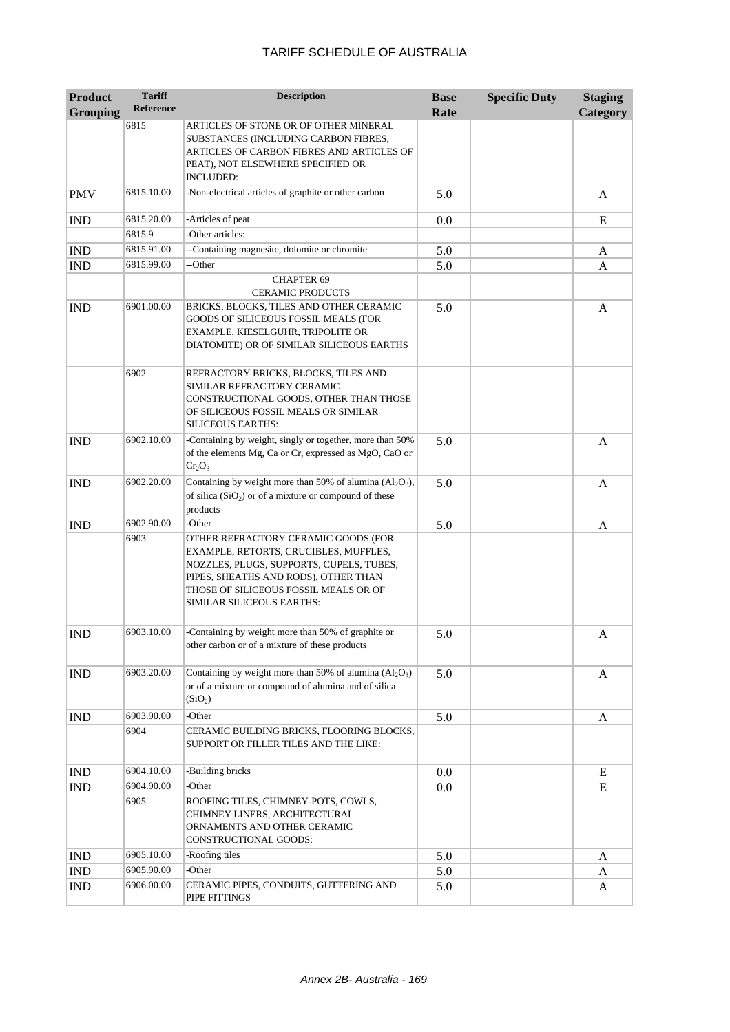| <b>Product</b><br><b>Grouping</b> | <b>Tariff</b><br><b>Reference</b> | <b>Description</b>                                                                                                                                                                                                                     | <b>Base</b><br>Rate | <b>Specific Duty</b> | <b>Staging</b><br>Category |
|-----------------------------------|-----------------------------------|----------------------------------------------------------------------------------------------------------------------------------------------------------------------------------------------------------------------------------------|---------------------|----------------------|----------------------------|
|                                   | 6815                              | ARTICLES OF STONE OR OF OTHER MINERAL<br>SUBSTANCES (INCLUDING CARBON FIBRES,<br>ARTICLES OF CARBON FIBRES AND ARTICLES OF<br>PEAT), NOT ELSEWHERE SPECIFIED OR<br><b>INCLUDED:</b>                                                    |                     |                      |                            |
| <b>PMV</b>                        | 6815.10.00                        | -Non-electrical articles of graphite or other carbon                                                                                                                                                                                   | 5.0                 |                      | A                          |
| <b>IND</b>                        | 6815.20.00                        | -Articles of peat                                                                                                                                                                                                                      | 0.0                 |                      | E                          |
|                                   | 6815.9                            | -Other articles:                                                                                                                                                                                                                       |                     |                      |                            |
| <b>IND</b>                        | 6815.91.00                        | --Containing magnesite, dolomite or chromite                                                                                                                                                                                           | 5.0                 |                      | A                          |
| <b>IND</b>                        | 6815.99.00                        | --Other                                                                                                                                                                                                                                | 5.0                 |                      | A                          |
|                                   |                                   | <b>CHAPTER 69</b><br><b>CERAMIC PRODUCTS</b>                                                                                                                                                                                           |                     |                      |                            |
| <b>IND</b>                        | 6901.00.00                        | BRICKS, BLOCKS, TILES AND OTHER CERAMIC<br>GOODS OF SILICEOUS FOSSIL MEALS (FOR<br>EXAMPLE, KIESELGUHR, TRIPOLITE OR<br>DIATOMITE) OR OF SIMILAR SILICEOUS EARTHS                                                                      | 5.0                 |                      | A                          |
|                                   | 6902                              | REFRACTORY BRICKS, BLOCKS, TILES AND<br>SIMILAR REFRACTORY CERAMIC<br>CONSTRUCTIONAL GOODS, OTHER THAN THOSE<br>OF SILICEOUS FOSSIL MEALS OR SIMILAR<br><b>SILICEOUS EARTHS:</b>                                                       |                     |                      |                            |
| <b>IND</b>                        | 6902.10.00                        | -Containing by weight, singly or together, more than 50%<br>of the elements Mg, Ca or Cr, expressed as MgO, CaO or<br>$Cr_2O_3$                                                                                                        | 5.0                 |                      | A                          |
| <b>IND</b>                        | 6902.20.00                        | Containing by weight more than 50% of alumina $(Al_2O_3)$ ,<br>of silica $(SiO2)$ or of a mixture or compound of these<br>products                                                                                                     | 5.0                 |                      | A                          |
| <b>IND</b>                        | 6902.90.00                        | -Other                                                                                                                                                                                                                                 | 5.0                 |                      | A                          |
|                                   | 6903                              | OTHER REFRACTORY CERAMIC GOODS (FOR<br>EXAMPLE, RETORTS, CRUCIBLES, MUFFLES,<br>NOZZLES, PLUGS, SUPPORTS, CUPELS, TUBES,<br>PIPES, SHEATHS AND RODS), OTHER THAN<br>THOSE OF SILICEOUS FOSSIL MEALS OR OF<br>SIMILAR SILICEOUS EARTHS: |                     |                      |                            |
| <b>IND</b>                        | 6903.10.00                        | -Containing by weight more than 50% of graphite or<br>other carbon or of a mixture of these products                                                                                                                                   | 5.0                 |                      | A                          |
| <b>IND</b>                        | 6903.20.00                        | Containing by weight more than 50% of alumina $(Al_2O_3)$<br>or of a mixture or compound of alumina and of silica<br>(SiO <sub>2</sub> )                                                                                               | 5.0                 |                      | A                          |
| <b>IND</b>                        | 6903.90.00                        | -Other                                                                                                                                                                                                                                 | 5.0                 |                      | A                          |
|                                   | 6904                              | CERAMIC BUILDING BRICKS, FLOORING BLOCKS,<br>SUPPORT OR FILLER TILES AND THE LIKE:                                                                                                                                                     |                     |                      |                            |
| <b>IND</b>                        | 6904.10.00                        | -Building bricks                                                                                                                                                                                                                       | 0.0                 |                      | E                          |
| <b>IND</b>                        | 6904.90.00                        | -Other                                                                                                                                                                                                                                 | 0.0                 |                      | E                          |
|                                   | 6905                              | ROOFING TILES, CHIMNEY-POTS, COWLS,<br>CHIMNEY LINERS, ARCHITECTURAL<br>ORNAMENTS AND OTHER CERAMIC<br>CONSTRUCTIONAL GOODS:                                                                                                           |                     |                      |                            |
| <b>IND</b>                        | 6905.10.00                        | -Roofing tiles                                                                                                                                                                                                                         | 5.0                 |                      | A                          |
| <b>IND</b>                        | 6905.90.00                        | -Other                                                                                                                                                                                                                                 | 5.0                 |                      | A                          |
| <b>IND</b>                        | 6906.00.00                        | CERAMIC PIPES, CONDUITS, GUTTERING AND<br>PIPE FITTINGS                                                                                                                                                                                | 5.0                 |                      | A                          |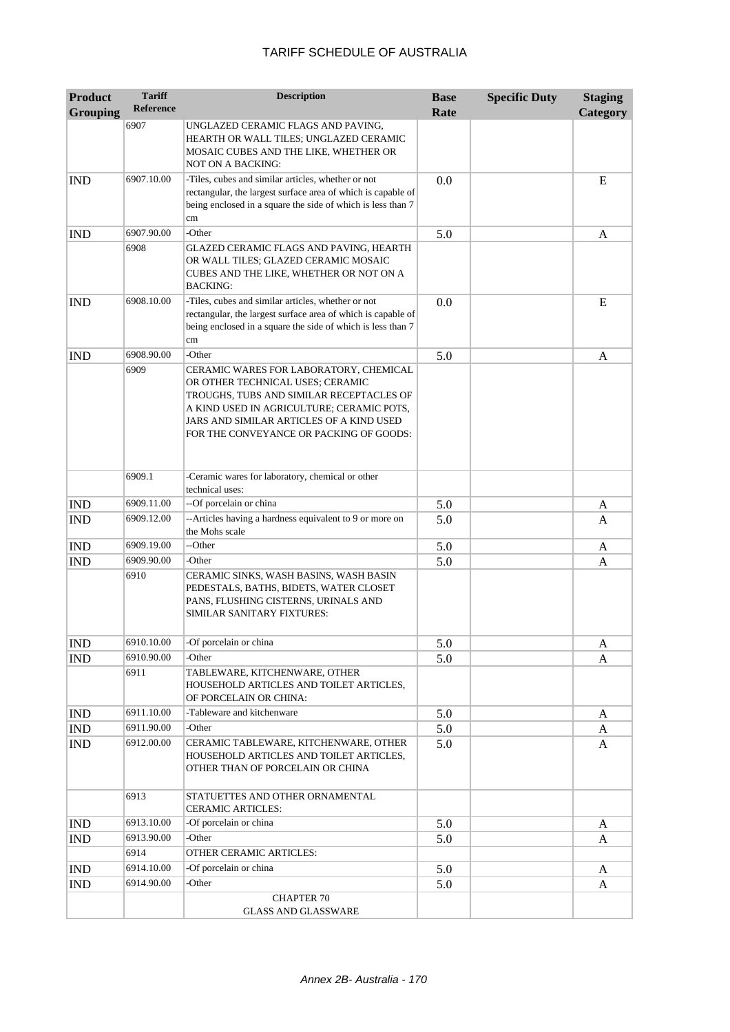| <b>Product</b>  | <b>Tariff</b>      | <b>Description</b>                                                                                                                                                                                                                                         | <b>Base</b> | <b>Specific Duty</b> | <b>Staging</b> |
|-----------------|--------------------|------------------------------------------------------------------------------------------------------------------------------------------------------------------------------------------------------------------------------------------------------------|-------------|----------------------|----------------|
| <b>Grouping</b> | <b>Reference</b>   |                                                                                                                                                                                                                                                            | Rate        |                      | Category       |
|                 | 6907               | UNGLAZED CERAMIC FLAGS AND PAVING,<br>HEARTH OR WALL TILES; UNGLAZED CERAMIC<br>MOSAIC CUBES AND THE LIKE, WHETHER OR<br><b>NOT ON A BACKING:</b>                                                                                                          |             |                      |                |
| <b>IND</b>      | 6907.10.00         | -Tiles, cubes and similar articles, whether or not<br>rectangular, the largest surface area of which is capable of<br>being enclosed in a square the side of which is less than 7<br>cm                                                                    | 0.0         |                      | E              |
| <b>IND</b>      | 6907.90.00         | -Other                                                                                                                                                                                                                                                     | 5.0         |                      | A              |
|                 | 6908               | GLAZED CERAMIC FLAGS AND PAVING, HEARTH<br>OR WALL TILES; GLAZED CERAMIC MOSAIC<br>CUBES AND THE LIKE, WHETHER OR NOT ON A<br><b>BACKING:</b>                                                                                                              |             |                      |                |
| <b>IND</b>      | 6908.10.00         | -Tiles, cubes and similar articles, whether or not<br>rectangular, the largest surface area of which is capable of<br>being enclosed in a square the side of which is less than 7<br>cm                                                                    | 0.0         |                      | E              |
| <b>IND</b>      | 6908.90.00         | -Other                                                                                                                                                                                                                                                     | 5.0         |                      | A              |
|                 | 6909               | CERAMIC WARES FOR LABORATORY, CHEMICAL<br>OR OTHER TECHNICAL USES; CERAMIC<br>TROUGHS, TUBS AND SIMILAR RECEPTACLES OF<br>A KIND USED IN AGRICULTURE; CERAMIC POTS,<br>JARS AND SIMILAR ARTICLES OF A KIND USED<br>FOR THE CONVEYANCE OR PACKING OF GOODS: |             |                      |                |
|                 | 6909.1             | -Ceramic wares for laboratory, chemical or other<br>technical uses:                                                                                                                                                                                        |             |                      |                |
| <b>IND</b>      | 6909.11.00         | --Of porcelain or china                                                                                                                                                                                                                                    | 5.0         |                      | A              |
| <b>IND</b>      | 6909.12.00         | --Articles having a hardness equivalent to 9 or more on<br>the Mohs scale                                                                                                                                                                                  | 5.0         |                      | A              |
| <b>IND</b>      | 6909.19.00         | --Other                                                                                                                                                                                                                                                    | 5.0         |                      | A              |
| <b>IND</b>      | 6909.90.00         | -Other                                                                                                                                                                                                                                                     | 5.0         |                      | A              |
|                 | 6910               | CERAMIC SINKS, WASH BASINS, WASH BASIN<br>PEDESTALS, BATHS, BIDETS, WATER CLOSET<br>PANS, FLUSHING CISTERNS, URINALS AND<br>SIMILAR SANITARY FIXTURES:                                                                                                     |             |                      |                |
| $\mathbb{IND}$  | 6910.10.00         | -Of porcelain or china                                                                                                                                                                                                                                     | 5.0         |                      | A              |
| <b>IND</b>      | 6910.90.00         | -Other                                                                                                                                                                                                                                                     | 5.0         |                      | A              |
|                 | 6911               | TABLEWARE, KITCHENWARE, OTHER<br>HOUSEHOLD ARTICLES AND TOILET ARTICLES,<br>OF PORCELAIN OR CHINA:                                                                                                                                                         |             |                      |                |
| <b>IND</b>      | 6911.10.00         | -Tableware and kitchenware                                                                                                                                                                                                                                 | 5.0         |                      | A              |
| IND             | 6911.90.00         | -Other                                                                                                                                                                                                                                                     | 5.0         |                      | A              |
| IND             | 6912.00.00         | CERAMIC TABLEWARE, KITCHENWARE, OTHER<br>HOUSEHOLD ARTICLES AND TOILET ARTICLES,<br>OTHER THAN OF PORCELAIN OR CHINA                                                                                                                                       | 5.0         |                      | A              |
|                 | 6913               | STATUETTES AND OTHER ORNAMENTAL<br><b>CERAMIC ARTICLES:</b>                                                                                                                                                                                                |             |                      |                |
| <b>IND</b>      | 6913.10.00         | -Of porcelain or china                                                                                                                                                                                                                                     | 5.0         |                      | A              |
| <b>IND</b>      | 6913.90.00<br>6914 | -Other<br>OTHER CERAMIC ARTICLES:                                                                                                                                                                                                                          | 5.0         |                      | A              |
|                 | 6914.10.00         | -Of porcelain or china                                                                                                                                                                                                                                     |             |                      |                |
| <b>IND</b>      | 6914.90.00         | -Other                                                                                                                                                                                                                                                     | 5.0         |                      | A              |
| <b>IND</b>      |                    | <b>CHAPTER 70</b><br><b>GLASS AND GLASSWARE</b>                                                                                                                                                                                                            | 5.0         |                      | A              |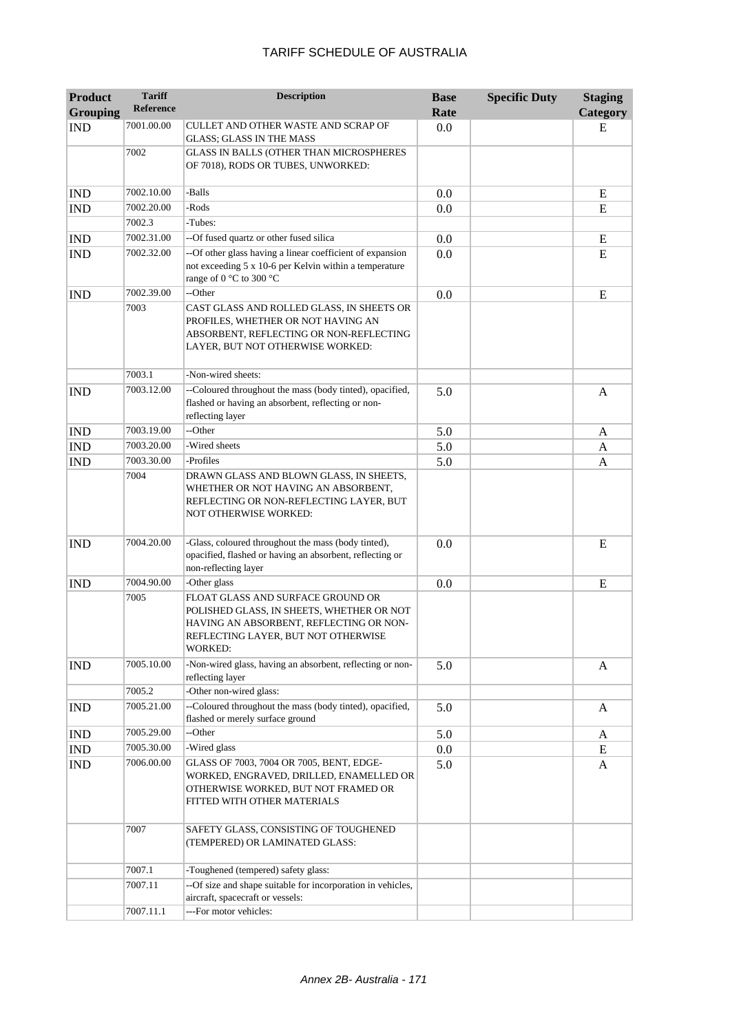| <b>Product</b><br><b>Grouping</b> | <b>Tariff</b><br><b>Reference</b> | <b>Description</b>                                                                                                                                                                 | <b>Base</b><br>Rate | <b>Specific Duty</b> | <b>Staging</b><br>Category |
|-----------------------------------|-----------------------------------|------------------------------------------------------------------------------------------------------------------------------------------------------------------------------------|---------------------|----------------------|----------------------------|
| <b>IND</b>                        | 7001.00.00                        | CULLET AND OTHER WASTE AND SCRAP OF<br><b>GLASS; GLASS IN THE MASS</b>                                                                                                             | 0.0                 |                      | E                          |
|                                   | 7002                              | GLASS IN BALLS (OTHER THAN MICROSPHERES<br>OF 7018), RODS OR TUBES, UNWORKED:                                                                                                      |                     |                      |                            |
| <b>IND</b>                        | 7002.10.00                        | -Balls                                                                                                                                                                             | 0.0                 |                      | E                          |
| <b>IND</b>                        | 7002.20.00                        | -Rods                                                                                                                                                                              | 0.0                 |                      | E                          |
|                                   | 7002.3                            | -Tubes:                                                                                                                                                                            |                     |                      |                            |
| <b>IND</b>                        | 7002.31.00                        | --Of fused quartz or other fused silica                                                                                                                                            | 0.0                 |                      | E                          |
| <b>IND</b>                        | 7002.32.00                        | --Of other glass having a linear coefficient of expansion<br>not exceeding 5 x 10-6 per Kelvin within a temperature<br>range of 0 °C to 300 °C                                     | 0.0                 |                      | E                          |
| <b>IND</b>                        | 7002.39.00                        | --Other                                                                                                                                                                            | 0.0                 |                      | E                          |
|                                   | 7003                              | CAST GLASS AND ROLLED GLASS, IN SHEETS OR<br>PROFILES, WHETHER OR NOT HAVING AN<br>ABSORBENT, REFLECTING OR NON-REFLECTING<br>LAYER, BUT NOT OTHERWISE WORKED:                     |                     |                      |                            |
|                                   | 7003.1                            | -Non-wired sheets:                                                                                                                                                                 |                     |                      |                            |
| <b>IND</b>                        | 7003.12.00                        | --Coloured throughout the mass (body tinted), opacified,<br>flashed or having an absorbent, reflecting or non-<br>reflecting layer                                                 | 5.0                 |                      | A                          |
| <b>IND</b>                        | 7003.19.00                        | --Other                                                                                                                                                                            | 5.0                 |                      | A                          |
| <b>IND</b>                        | 7003.20.00                        | -Wired sheets                                                                                                                                                                      | 5.0                 |                      | A                          |
| <b>IND</b>                        | 7003.30.00                        | -Profiles                                                                                                                                                                          | 5.0                 |                      | A                          |
|                                   | 7004                              | DRAWN GLASS AND BLOWN GLASS, IN SHEETS,<br>WHETHER OR NOT HAVING AN ABSORBENT,<br>REFLECTING OR NON-REFLECTING LAYER, BUT<br>NOT OTHERWISE WORKED:                                 |                     |                      |                            |
| <b>IND</b>                        | 7004.20.00                        | -Glass, coloured throughout the mass (body tinted),<br>opacified, flashed or having an absorbent, reflecting or<br>non-reflecting layer                                            | 0.0                 |                      | E                          |
| <b>IND</b>                        | 7004.90.00                        | -Other glass                                                                                                                                                                       | 0.0                 |                      | E                          |
|                                   | 7005                              | FLOAT GLASS AND SURFACE GROUND OR<br>POLISHED GLASS, IN SHEETS, WHETHER OR NOT<br>HAVING AN ABSORBENT, REFLECTING OR NON-<br>REFLECTING LAYER, BUT NOT OTHERWISE<br><b>WORKED:</b> |                     |                      |                            |
| <b>IND</b>                        | 7005.10.00                        | -Non-wired glass, having an absorbent, reflecting or non-<br>reflecting layer                                                                                                      | 5.0                 |                      | A                          |
|                                   | 7005.2                            | -Other non-wired glass:                                                                                                                                                            |                     |                      |                            |
| <b>IND</b>                        | 7005.21.00                        | --Coloured throughout the mass (body tinted), opacified,<br>flashed or merely surface ground                                                                                       | 5.0                 |                      | A                          |
| <b>IND</b>                        | 7005.29.00                        | --Other                                                                                                                                                                            | 5.0                 |                      | A                          |
| <b>IND</b>                        | 7005.30.00                        | -Wired glass                                                                                                                                                                       | 0.0                 |                      | E                          |
| <b>IND</b>                        | 7006.00.00                        | GLASS OF 7003, 7004 OR 7005, BENT, EDGE-<br>WORKED, ENGRAVED, DRILLED, ENAMELLED OR<br>OTHERWISE WORKED, BUT NOT FRAMED OR<br>FITTED WITH OTHER MATERIALS                          | 5.0                 |                      | A                          |
|                                   | 7007                              | SAFETY GLASS, CONSISTING OF TOUGHENED<br>(TEMPERED) OR LAMINATED GLASS:                                                                                                            |                     |                      |                            |
|                                   | 7007.1                            | -Toughened (tempered) safety glass:                                                                                                                                                |                     |                      |                            |
|                                   | 7007.11                           | --Of size and shape suitable for incorporation in vehicles,<br>aircraft, spacecraft or vessels:                                                                                    |                     |                      |                            |
|                                   | 7007.11.1                         | ---For motor vehicles:                                                                                                                                                             |                     |                      |                            |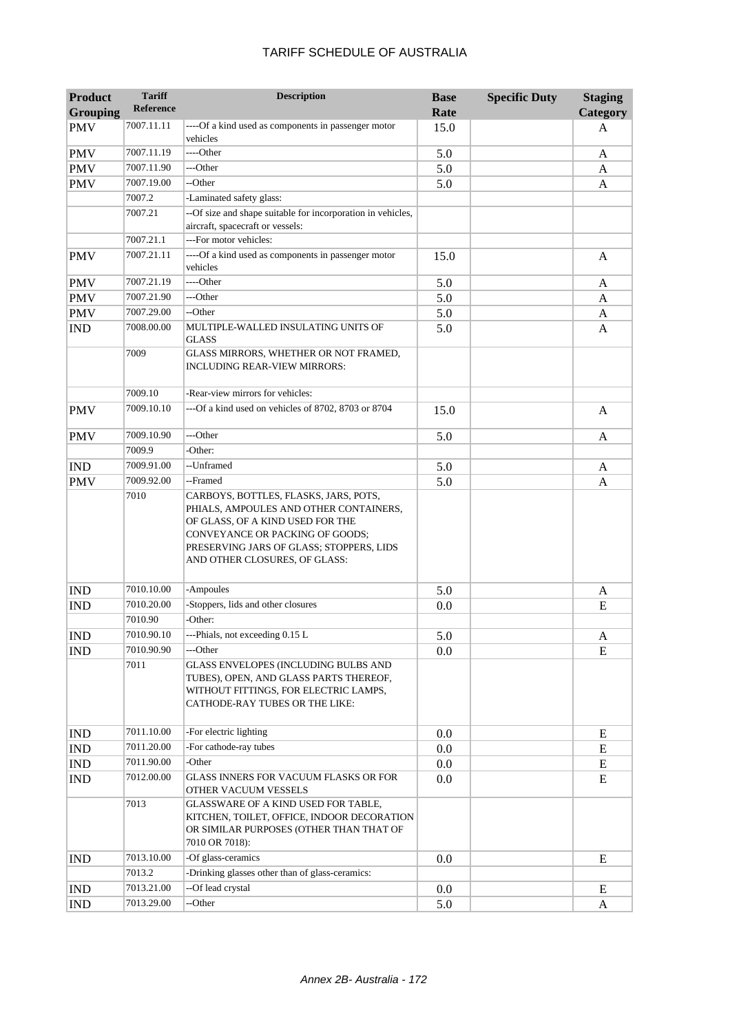| Product                     | <b>Tariff</b>    | <b>Description</b>                                                                                                                                                                         | <b>Base</b> | <b>Specific Duty</b> | <b>Staging</b> |
|-----------------------------|------------------|--------------------------------------------------------------------------------------------------------------------------------------------------------------------------------------------|-------------|----------------------|----------------|
| <b>Grouping</b>             | <b>Reference</b> |                                                                                                                                                                                            | Rate        |                      | Category       |
| <b>PMV</b>                  | 7007.11.11       | ----Of a kind used as components in passenger motor<br>vehicles                                                                                                                            | 15.0        |                      | A              |
| <b>PMV</b>                  | 7007.11.19       | ----Other                                                                                                                                                                                  | 5.0         |                      | A              |
| <b>PMV</b>                  | 7007.11.90       | ---Other                                                                                                                                                                                   | 5.0         |                      | A              |
| <b>PMV</b>                  | 7007.19.00       | --Other                                                                                                                                                                                    | 5.0         |                      | A              |
|                             | 7007.2           | -Laminated safety glass:                                                                                                                                                                   |             |                      |                |
|                             | 7007.21          | --Of size and shape suitable for incorporation in vehicles,                                                                                                                                |             |                      |                |
|                             |                  | aircraft, spacecraft or vessels:                                                                                                                                                           |             |                      |                |
|                             | 7007.21.1        | ---For motor vehicles:                                                                                                                                                                     |             |                      |                |
| PMV                         | 7007.21.11       | ----Of a kind used as components in passenger motor<br>vehicles                                                                                                                            | 15.0        |                      | A              |
| <b>PMV</b>                  | 7007.21.19       | ----Other                                                                                                                                                                                  | 5.0         |                      | A              |
| <b>PMV</b>                  | 7007.21.90       | ---Other                                                                                                                                                                                   | 5.0         |                      | A              |
| <b>PMV</b>                  | 7007.29.00       | --Other                                                                                                                                                                                    | 5.0         |                      | A              |
| <b>IND</b>                  | 7008.00.00       | MULTIPLE-WALLED INSULATING UNITS OF<br><b>GLASS</b>                                                                                                                                        | 5.0         |                      | A              |
|                             | 7009             | GLASS MIRRORS, WHETHER OR NOT FRAMED,<br>INCLUDING REAR-VIEW MIRRORS:                                                                                                                      |             |                      |                |
|                             | 7009.10          | -Rear-view mirrors for vehicles:                                                                                                                                                           |             |                      |                |
| <b>PMV</b>                  | 7009.10.10       | ---Of a kind used on vehicles of 8702, 8703 or 8704                                                                                                                                        | 15.0        |                      | A              |
| <b>PMV</b>                  | 7009.10.90       | ---Other                                                                                                                                                                                   | 5.0         |                      | A              |
|                             | 7009.9           | -Other:                                                                                                                                                                                    |             |                      |                |
| <b>IND</b>                  | 7009.91.00       | --Unframed                                                                                                                                                                                 | 5.0         |                      | A              |
| <b>PMV</b>                  | 7009.92.00       | --Framed                                                                                                                                                                                   | 5.0         |                      | A              |
|                             |                  | PHIALS, AMPOULES AND OTHER CONTAINERS,<br>OF GLASS, OF A KIND USED FOR THE<br>CONVEYANCE OR PACKING OF GOODS;<br>PRESERVING JARS OF GLASS; STOPPERS, LIDS<br>AND OTHER CLOSURES, OF GLASS: |             |                      |                |
| <b>IND</b>                  | 7010.10.00       | -Ampoules                                                                                                                                                                                  | 5.0         |                      | A              |
| <b>IND</b>                  | 7010.20.00       | -Stoppers, lids and other closures                                                                                                                                                         | 0.0         |                      | E              |
|                             | 7010.90          | -Other:                                                                                                                                                                                    |             |                      |                |
| <b>IND</b>                  | 7010.90.10       | ---Phials, not exceeding 0.15 L                                                                                                                                                            | 5.0         |                      | A              |
| <b>IND</b>                  | 7010.90.90       | ---Other                                                                                                                                                                                   | 0.0         |                      | E              |
|                             | 7011             | <b>GLASS ENVELOPES (INCLUDING BULBS AND</b><br>TUBES), OPEN, AND GLASS PARTS THEREOF,<br>WITHOUT FITTINGS, FOR ELECTRIC LAMPS,<br>CATHODE-RAY TUBES OR THE LIKE:                           |             |                      |                |
| <b>IND</b>                  | 7011.10.00       | -For electric lighting                                                                                                                                                                     | 0.0         |                      | E              |
| <b>IND</b>                  | 7011.20.00       | -For cathode-ray tubes                                                                                                                                                                     | 0.0         |                      | E              |
| IND                         | 7011.90.00       | -Other                                                                                                                                                                                     | 0.0         |                      | E              |
| IND                         | 7012.00.00       | GLASS INNERS FOR VACUUM FLASKS OR FOR<br>OTHER VACUUM VESSELS                                                                                                                              | 0.0         |                      | E              |
|                             | 7013             | GLASSWARE OF A KIND USED FOR TABLE,<br>KITCHEN, TOILET, OFFICE, INDOOR DECORATION<br>OR SIMILAR PURPOSES (OTHER THAN THAT OF<br>7010 OR 7018):                                             |             |                      |                |
| <b>IND</b>                  | 7013.10.00       | -Of glass-ceramics                                                                                                                                                                         | 0.0         |                      | E              |
|                             | 7013.2           | -Drinking glasses other than of glass-ceramics:                                                                                                                                            |             |                      |                |
| <b>IND</b>                  | 7013.21.00       | --Of lead crystal                                                                                                                                                                          | 0.0         |                      | E              |
| $\mathop{\rm IND}\nolimits$ | 7013.29.00       | --Other                                                                                                                                                                                    | 5.0         |                      | A              |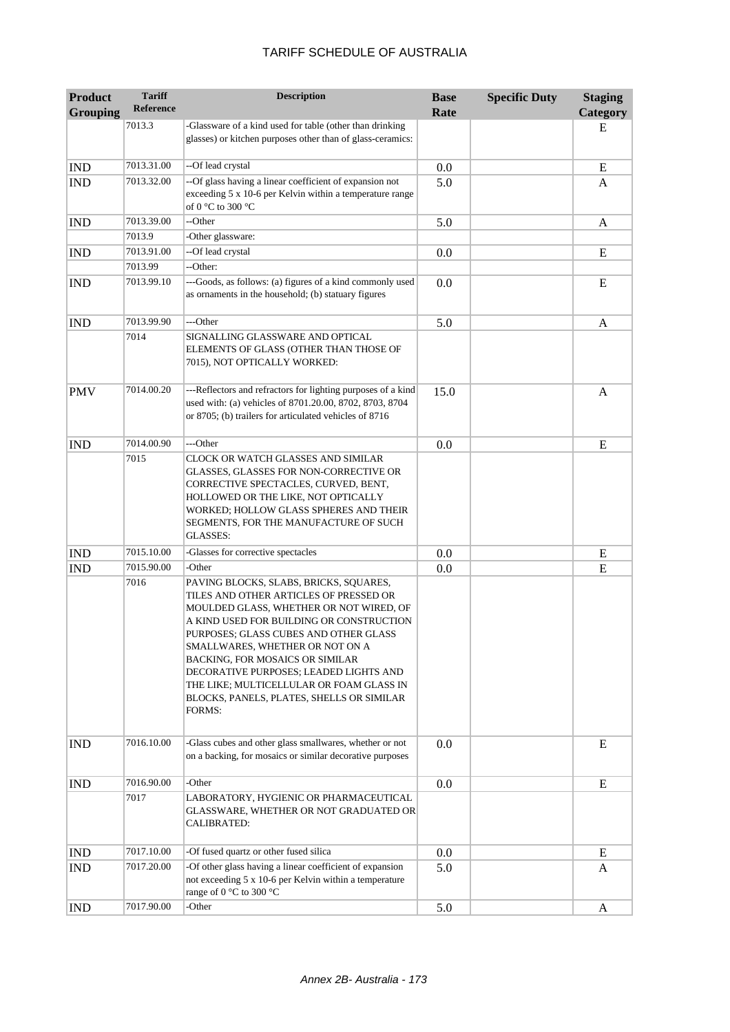| <b>Product</b><br><b>Grouping</b> | <b>Tariff</b><br><b>Reference</b> | <b>Description</b>                                                                                                                                                                                                                                                                                                                                                                                                                                | <b>Base</b><br>Rate | <b>Specific Duty</b> | <b>Staging</b><br>Category |
|-----------------------------------|-----------------------------------|---------------------------------------------------------------------------------------------------------------------------------------------------------------------------------------------------------------------------------------------------------------------------------------------------------------------------------------------------------------------------------------------------------------------------------------------------|---------------------|----------------------|----------------------------|
|                                   | 7013.3                            | -Glassware of a kind used for table (other than drinking<br>glasses) or kitchen purposes other than of glass-ceramics:                                                                                                                                                                                                                                                                                                                            |                     |                      | E                          |
| <b>IND</b>                        | 7013.31.00                        | --Of lead crystal                                                                                                                                                                                                                                                                                                                                                                                                                                 | 0.0                 |                      | E                          |
| <b>IND</b>                        | 7013.32.00                        | --Of glass having a linear coefficient of expansion not<br>exceeding 5 x 10-6 per Kelvin within a temperature range<br>of 0 °C to 300 °C                                                                                                                                                                                                                                                                                                          | 5.0                 |                      | A                          |
| <b>IND</b>                        | 7013.39.00                        | --Other                                                                                                                                                                                                                                                                                                                                                                                                                                           | 5.0                 |                      | A                          |
|                                   | 7013.9                            | -Other glassware:                                                                                                                                                                                                                                                                                                                                                                                                                                 |                     |                      |                            |
| <b>IND</b>                        | 7013.91.00                        | --Of lead crystal                                                                                                                                                                                                                                                                                                                                                                                                                                 | 0.0                 |                      | E                          |
|                                   | 7013.99                           | --Other:                                                                                                                                                                                                                                                                                                                                                                                                                                          |                     |                      |                            |
| <b>IND</b>                        | 7013.99.10                        | ---Goods, as follows: (a) figures of a kind commonly used<br>as ornaments in the household; (b) statuary figures                                                                                                                                                                                                                                                                                                                                  | 0.0                 |                      | E                          |
| <b>IND</b>                        | 7013.99.90                        | ---Other                                                                                                                                                                                                                                                                                                                                                                                                                                          | 5.0                 |                      | A                          |
|                                   | 7014                              | SIGNALLING GLASSWARE AND OPTICAL<br>ELEMENTS OF GLASS (OTHER THAN THOSE OF<br>7015), NOT OPTICALLY WORKED:                                                                                                                                                                                                                                                                                                                                        |                     |                      |                            |
| <b>PMV</b>                        | 7014.00.20                        | ---Reflectors and refractors for lighting purposes of a kind<br>used with: (a) vehicles of 8701.20.00, 8702, 8703, 8704<br>or 8705; (b) trailers for articulated vehicles of 8716                                                                                                                                                                                                                                                                 | 15.0                |                      | A                          |
| <b>IND</b>                        | 7014.00.90                        | ---Other                                                                                                                                                                                                                                                                                                                                                                                                                                          | 0.0                 |                      | E                          |
|                                   | 7015                              | CLOCK OR WATCH GLASSES AND SIMILAR<br>GLASSES, GLASSES FOR NON-CORRECTIVE OR<br>CORRECTIVE SPECTACLES, CURVED, BENT,<br>HOLLOWED OR THE LIKE, NOT OPTICALLY<br>WORKED; HOLLOW GLASS SPHERES AND THEIR<br>SEGMENTS, FOR THE MANUFACTURE OF SUCH<br><b>GLASSES:</b>                                                                                                                                                                                 |                     |                      |                            |
| <b>IND</b>                        | 7015.10.00                        | -Glasses for corrective spectacles                                                                                                                                                                                                                                                                                                                                                                                                                | 0.0                 |                      | E                          |
| <b>IND</b>                        | 7015.90.00                        | -Other                                                                                                                                                                                                                                                                                                                                                                                                                                            | 0.0                 |                      | E                          |
|                                   | 7016                              | PAVING BLOCKS, SLABS, BRICKS, SQUARES,<br>TILES AND OTHER ARTICLES OF PRESSED OR<br>MOULDED GLASS, WHETHER OR NOT WIRED, OF<br>A KIND USED FOR BUILDING OR CONSTRUCTION<br>PURPOSES; GLASS CUBES AND OTHER GLASS<br>SMALLWARES, WHETHER OR NOT ON A<br><b>BACKING, FOR MOSAICS OR SIMILAR</b><br>DECORATIVE PURPOSES; LEADED LIGHTS AND<br>THE LIKE; MULTICELLULAR OR FOAM GLASS IN<br>BLOCKS, PANELS, PLATES, SHELLS OR SIMILAR<br><b>FORMS:</b> |                     |                      |                            |
| <b>IND</b>                        | 7016.10.00                        | -Glass cubes and other glass smallwares, whether or not<br>on a backing, for mosaics or similar decorative purposes                                                                                                                                                                                                                                                                                                                               | 0.0                 |                      | E                          |
| <b>IND</b>                        | 7016.90.00                        | -Other                                                                                                                                                                                                                                                                                                                                                                                                                                            | 0.0                 |                      | E                          |
|                                   | 7017                              | LABORATORY, HYGIENIC OR PHARMACEUTICAL<br>GLASSWARE, WHETHER OR NOT GRADUATED OR<br><b>CALIBRATED:</b>                                                                                                                                                                                                                                                                                                                                            |                     |                      |                            |
| <b>IND</b>                        | 7017.10.00                        | -Of fused quartz or other fused silica                                                                                                                                                                                                                                                                                                                                                                                                            | 0.0                 |                      | E                          |
| <b>IND</b>                        | 7017.20.00                        | -Of other glass having a linear coefficient of expansion<br>not exceeding 5 x 10-6 per Kelvin within a temperature<br>range of 0 °C to 300 °C                                                                                                                                                                                                                                                                                                     | 5.0                 |                      | A                          |
| <b>IND</b>                        | 7017.90.00                        | -Other                                                                                                                                                                                                                                                                                                                                                                                                                                            | 5.0                 |                      | A                          |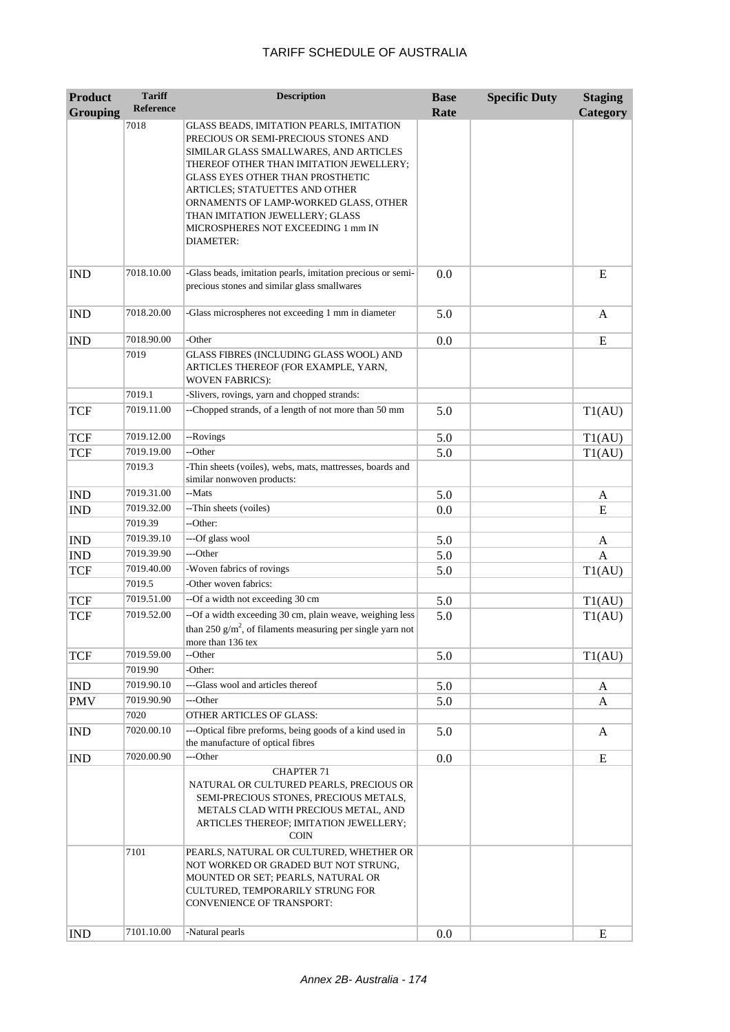| <b>Product</b>  | <b>Tariff</b><br>Reference | <b>Description</b>                                                                                                                                                                            | <b>Base</b> | <b>Specific Duty</b> | <b>Staging</b> |
|-----------------|----------------------------|-----------------------------------------------------------------------------------------------------------------------------------------------------------------------------------------------|-------------|----------------------|----------------|
| <b>Grouping</b> | 7018                       | GLASS BEADS, IMITATION PEARLS, IMITATION                                                                                                                                                      | Rate        |                      | Category       |
|                 |                            | PRECIOUS OR SEMI-PRECIOUS STONES AND<br>SIMILAR GLASS SMALLWARES, AND ARTICLES<br>THEREOF OTHER THAN IMITATION JEWELLERY;                                                                     |             |                      |                |
|                 |                            | GLASS EYES OTHER THAN PROSTHETIC<br>ARTICLES; STATUETTES AND OTHER<br>ORNAMENTS OF LAMP-WORKED GLASS, OTHER<br>THAN IMITATION JEWELLERY; GLASS                                                |             |                      |                |
|                 |                            | MICROSPHERES NOT EXCEEDING 1 mm IN<br><b>DIAMETER:</b>                                                                                                                                        |             |                      |                |
| <b>IND</b>      | 7018.10.00                 | -Glass beads, imitation pearls, imitation precious or semi-<br>precious stones and similar glass smallwares                                                                                   | 0.0         |                      | E              |
| <b>IND</b>      | 7018.20.00                 | -Glass microspheres not exceeding 1 mm in diameter                                                                                                                                            | 5.0         |                      | A              |
| <b>IND</b>      | 7018.90.00                 | -Other                                                                                                                                                                                        | 0.0         |                      | E              |
|                 | 7019                       | GLASS FIBRES (INCLUDING GLASS WOOL) AND<br>ARTICLES THEREOF (FOR EXAMPLE, YARN,<br><b>WOVEN FABRICS:</b>                                                                                      |             |                      |                |
|                 | 7019.1                     | -Slivers, rovings, yarn and chopped strands:                                                                                                                                                  |             |                      |                |
| <b>TCF</b>      | 7019.11.00                 | --Chopped strands, of a length of not more than 50 mm                                                                                                                                         | 5.0         |                      | T1(AU)         |
| <b>TCF</b>      | 7019.12.00                 | --Rovings                                                                                                                                                                                     | 5.0         |                      | T1(AU)         |
| <b>TCF</b>      | 7019.19.00                 | --Other                                                                                                                                                                                       | 5.0         |                      | T1(AU)         |
|                 | 7019.3                     | -Thin sheets (voiles), webs, mats, mattresses, boards and<br>similar nonwoven products:                                                                                                       |             |                      |                |
| <b>IND</b>      | 7019.31.00                 | --Mats                                                                                                                                                                                        | 5.0         |                      | A              |
| <b>IND</b>      | 7019.32.00                 | --Thin sheets (voiles)                                                                                                                                                                        | 0.0         |                      | E              |
|                 | 7019.39                    | --Other:                                                                                                                                                                                      |             |                      |                |
| <b>IND</b>      | 7019.39.10                 | ---Of glass wool                                                                                                                                                                              | 5.0         |                      | A              |
| <b>IND</b>      | 7019.39.90                 | ---Other                                                                                                                                                                                      | 5.0         |                      | $\mathbf{A}$   |
| <b>TCF</b>      | 7019.40.00                 | -Woven fabrics of rovings                                                                                                                                                                     | 5.0         |                      | T1(AU)         |
|                 | 7019.5                     | -Other woven fabrics:                                                                                                                                                                         |             |                      |                |
| <b>TCF</b>      | 7019.51.00                 | --Of a width not exceeding 30 cm                                                                                                                                                              | 5.0         |                      | T1(AU)         |
| <b>TCF</b>      | 7019.52.00                 | --Of a width exceeding 30 cm, plain weave, weighing less<br>than 250 g/m <sup>2</sup> , of filaments measuring per single yarn not<br>more than 136 tex                                       | 5.0         |                      | T1(AU)         |
| <b>TCF</b>      | 7019.59.00                 | --Other                                                                                                                                                                                       | 5.0         |                      | T1(AU)         |
|                 | 7019.90                    | -Other:                                                                                                                                                                                       |             |                      |                |
| <b>IND</b>      | 7019.90.10                 | ---Glass wool and articles thereof                                                                                                                                                            | 5.0         |                      | A              |
| <b>PMV</b>      | 7019.90.90                 | ---Other                                                                                                                                                                                      | 5.0         |                      | A              |
|                 | 7020                       | OTHER ARTICLES OF GLASS:                                                                                                                                                                      |             |                      |                |
| <b>IND</b>      | 7020.00.10                 | ---Optical fibre preforms, being goods of a kind used in<br>the manufacture of optical fibres                                                                                                 | 5.0         |                      | A              |
| <b>IND</b>      | 7020.00.90                 | ---Other                                                                                                                                                                                      | 0.0         |                      | E              |
|                 |                            | <b>CHAPTER 71</b><br>NATURAL OR CULTURED PEARLS, PRECIOUS OR                                                                                                                                  |             |                      |                |
|                 |                            | SEMI-PRECIOUS STONES, PRECIOUS METALS,<br>METALS CLAD WITH PRECIOUS METAL, AND<br>ARTICLES THEREOF; IMITATION JEWELLERY;<br><b>COIN</b>                                                       |             |                      |                |
|                 | 7101                       | PEARLS, NATURAL OR CULTURED, WHETHER OR<br>NOT WORKED OR GRADED BUT NOT STRUNG,<br>MOUNTED OR SET; PEARLS, NATURAL OR<br>CULTURED, TEMPORARILY STRUNG FOR<br><b>CONVENIENCE OF TRANSPORT:</b> |             |                      |                |
| <b>IND</b>      | 7101.10.00                 | -Natural pearls                                                                                                                                                                               | 0.0         |                      | ${\bf E}$      |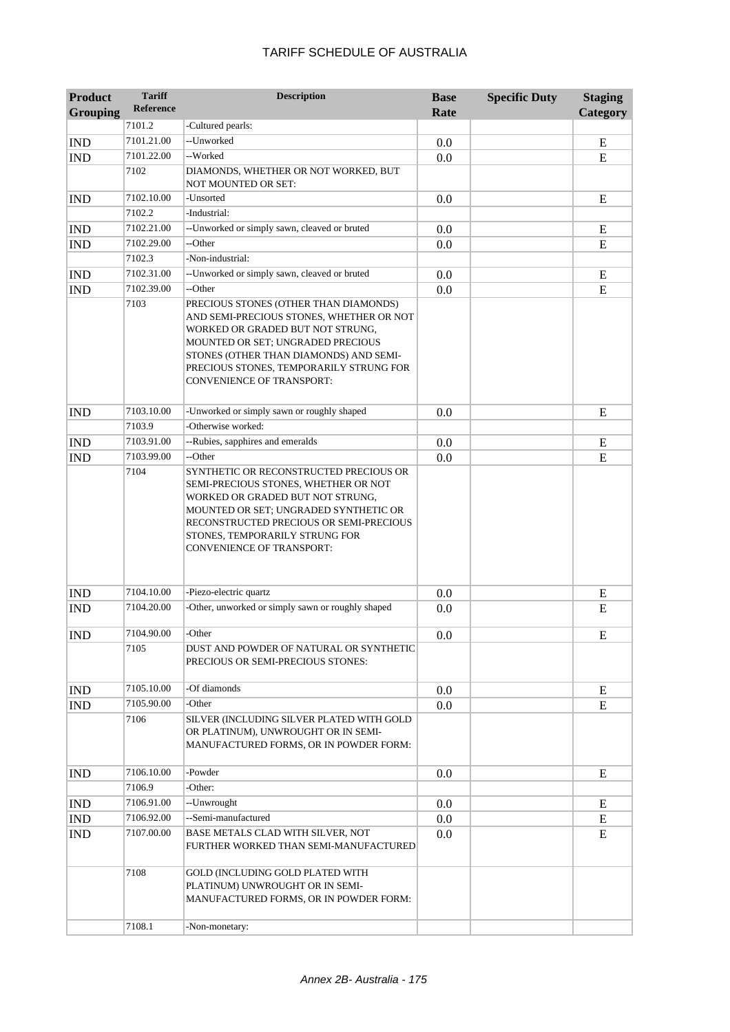| <b>Product</b><br><b>Grouping</b> | <b>Tariff</b><br><b>Reference</b> | <b>Description</b>                                                                                                                                                                                                                                                                  | <b>Base</b><br>Rate | <b>Specific Duty</b> | <b>Staging</b><br>Category |
|-----------------------------------|-----------------------------------|-------------------------------------------------------------------------------------------------------------------------------------------------------------------------------------------------------------------------------------------------------------------------------------|---------------------|----------------------|----------------------------|
|                                   | 7101.2                            | -Cultured pearls:                                                                                                                                                                                                                                                                   |                     |                      |                            |
| <b>IND</b>                        | 7101.21.00                        | --Unworked                                                                                                                                                                                                                                                                          | 0.0                 |                      | E                          |
| <b>IND</b>                        | 7101.22.00                        | --Worked                                                                                                                                                                                                                                                                            | 0.0                 |                      | E                          |
|                                   | 7102                              | DIAMONDS, WHETHER OR NOT WORKED, BUT<br>NOT MOUNTED OR SET:                                                                                                                                                                                                                         |                     |                      |                            |
| <b>IND</b>                        | 7102.10.00                        | -Unsorted                                                                                                                                                                                                                                                                           | 0.0                 |                      | E                          |
|                                   | 7102.2                            | -Industrial:                                                                                                                                                                                                                                                                        |                     |                      |                            |
| <b>IND</b>                        | 7102.21.00                        | --Unworked or simply sawn, cleaved or bruted                                                                                                                                                                                                                                        | 0.0                 |                      | E                          |
| <b>IND</b>                        | 7102.29.00                        | --Other                                                                                                                                                                                                                                                                             | 0.0                 |                      | E                          |
|                                   | 7102.3                            | -Non-industrial:                                                                                                                                                                                                                                                                    |                     |                      |                            |
| <b>IND</b>                        | 7102.31.00                        | --Unworked or simply sawn, cleaved or bruted                                                                                                                                                                                                                                        | 0.0                 |                      | E                          |
| <b>IND</b>                        | 7102.39.00                        | --Other                                                                                                                                                                                                                                                                             | 0.0                 |                      | E                          |
|                                   | 7103                              | PRECIOUS STONES (OTHER THAN DIAMONDS)<br>AND SEMI-PRECIOUS STONES, WHETHER OR NOT<br>WORKED OR GRADED BUT NOT STRUNG,<br>MOUNTED OR SET; UNGRADED PRECIOUS<br>STONES (OTHER THAN DIAMONDS) AND SEMI-<br>PRECIOUS STONES, TEMPORARILY STRUNG FOR<br><b>CONVENIENCE OF TRANSPORT:</b> |                     |                      |                            |
| <b>IND</b>                        | 7103.10.00                        | -Unworked or simply sawn or roughly shaped                                                                                                                                                                                                                                          | 0.0                 |                      | E                          |
|                                   | 7103.9                            | -Otherwise worked:                                                                                                                                                                                                                                                                  |                     |                      |                            |
| <b>IND</b>                        | 7103.91.00                        | --Rubies, sapphires and emeralds                                                                                                                                                                                                                                                    | 0.0                 |                      | E                          |
| <b>IND</b>                        | 7103.99.00                        | --Other                                                                                                                                                                                                                                                                             | 0.0                 |                      | E                          |
|                                   |                                   | SEMI-PRECIOUS STONES, WHETHER OR NOT<br>WORKED OR GRADED BUT NOT STRUNG,<br>MOUNTED OR SET; UNGRADED SYNTHETIC OR<br>RECONSTRUCTED PRECIOUS OR SEMI-PRECIOUS<br>STONES, TEMPORARILY STRUNG FOR<br><b>CONVENIENCE OF TRANSPORT:</b>                                                  |                     |                      |                            |
| <b>IND</b>                        | 7104.10.00                        | -Piezo-electric quartz                                                                                                                                                                                                                                                              | 0.0                 |                      | Е                          |
| <b>IND</b>                        | 7104.20.00                        | -Other, unworked or simply sawn or roughly shaped                                                                                                                                                                                                                                   | 0.0                 |                      | E                          |
| <b>IND</b>                        | 7104.90.00                        | -Other                                                                                                                                                                                                                                                                              | 0.0                 |                      | E                          |
|                                   | 7105                              | DUST AND POWDER OF NATURAL OR SYNTHETIC<br>PRECIOUS OR SEMI-PRECIOUS STONES:                                                                                                                                                                                                        |                     |                      |                            |
| $\mathop{\rm IND}\nolimits$       | 7105.10.00                        | -Of diamonds                                                                                                                                                                                                                                                                        | 0.0                 |                      | E                          |
| <b>IND</b>                        | 7105.90.00                        | -Other                                                                                                                                                                                                                                                                              | 0.0                 |                      | ${\bf E}$                  |
|                                   | 7106                              | SILVER (INCLUDING SILVER PLATED WITH GOLD<br>OR PLATINUM), UNWROUGHT OR IN SEMI-<br>MANUFACTURED FORMS, OR IN POWDER FORM:                                                                                                                                                          |                     |                      |                            |
| <b>IND</b>                        | 7106.10.00                        | -Powder                                                                                                                                                                                                                                                                             | 0.0                 |                      | E                          |
|                                   | 7106.9                            | -Other:                                                                                                                                                                                                                                                                             |                     |                      |                            |
| <b>IND</b>                        | 7106.91.00                        | --Unwrought                                                                                                                                                                                                                                                                         | 0.0                 |                      | E                          |
| <b>IND</b>                        | 7106.92.00                        | --Semi-manufactured                                                                                                                                                                                                                                                                 | 0.0                 |                      | ${\bf E}$                  |
| <b>IND</b>                        | 7107.00.00                        | BASE METALS CLAD WITH SILVER, NOT<br>FURTHER WORKED THAN SEMI-MANUFACTURED                                                                                                                                                                                                          | 0.0                 |                      | E                          |
|                                   | 7108                              | GOLD (INCLUDING GOLD PLATED WITH<br>PLATINUM) UNWROUGHT OR IN SEMI-<br>MANUFACTURED FORMS, OR IN POWDER FORM:                                                                                                                                                                       |                     |                      |                            |
|                                   | 7108.1                            | -Non-monetary:                                                                                                                                                                                                                                                                      |                     |                      |                            |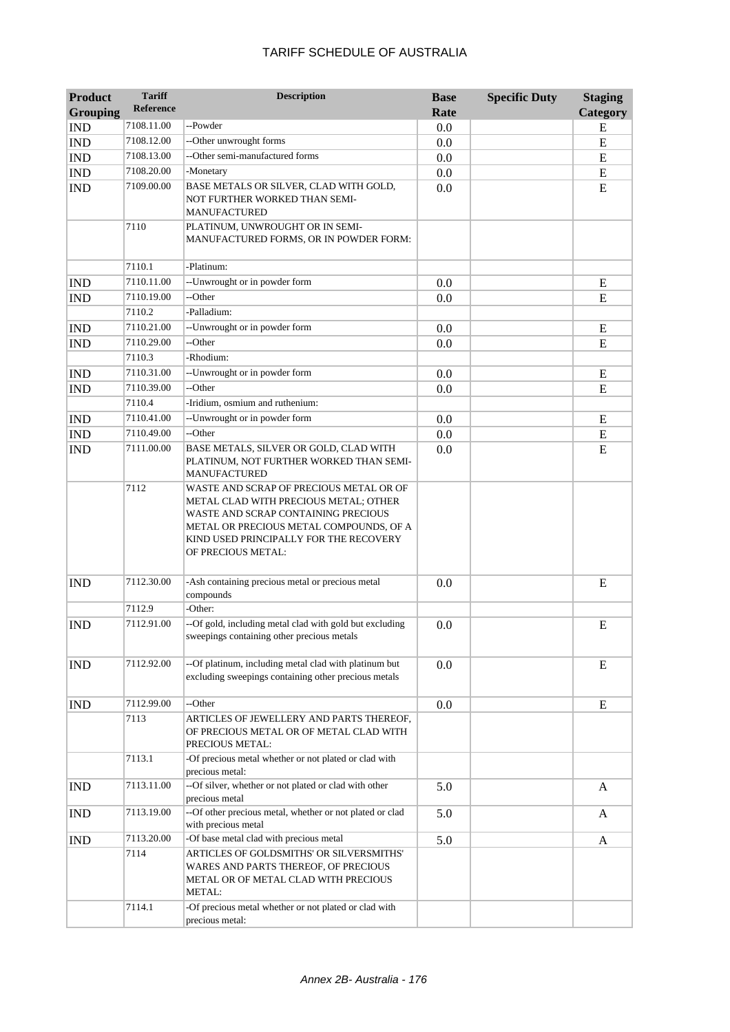| <b>Product</b>  | <b>Tariff</b>    | <b>Description</b>                                                                                                                                                                                                                 | <b>Base</b> | <b>Specific Duty</b> | <b>Staging</b> |
|-----------------|------------------|------------------------------------------------------------------------------------------------------------------------------------------------------------------------------------------------------------------------------------|-------------|----------------------|----------------|
| <b>Grouping</b> | <b>Reference</b> |                                                                                                                                                                                                                                    | Rate        |                      | Category       |
| <b>IND</b>      | 7108.11.00       | --Powder                                                                                                                                                                                                                           | 0.0         |                      | E              |
| <b>IND</b>      | 7108.12.00       | --Other unwrought forms                                                                                                                                                                                                            | 0.0         |                      | E              |
| <b>IND</b>      | 7108.13.00       | --Other semi-manufactured forms                                                                                                                                                                                                    | 0.0         |                      | E              |
| <b>IND</b>      | 7108.20.00       | -Monetary                                                                                                                                                                                                                          | 0.0         |                      | E              |
| <b>IND</b>      | 7109.00.00       | BASE METALS OR SILVER, CLAD WITH GOLD,<br>NOT FURTHER WORKED THAN SEMI-<br><b>MANUFACTURED</b>                                                                                                                                     | 0.0         |                      | E              |
|                 | 7110             | PLATINUM, UNWROUGHT OR IN SEMI-<br>MANUFACTURED FORMS, OR IN POWDER FORM:                                                                                                                                                          |             |                      |                |
|                 | 7110.1           | -Platinum:                                                                                                                                                                                                                         |             |                      |                |
| <b>IND</b>      | 7110.11.00       | --Unwrought or in powder form                                                                                                                                                                                                      | 0.0         |                      | E              |
| <b>IND</b>      | 7110.19.00       | --Other                                                                                                                                                                                                                            | 0.0         |                      | E              |
|                 | 7110.2           | -Palladium:                                                                                                                                                                                                                        |             |                      |                |
| <b>IND</b>      | 7110.21.00       | --Unwrought or in powder form                                                                                                                                                                                                      | 0.0         |                      | Ε              |
| <b>IND</b>      | 7110.29.00       | --Other                                                                                                                                                                                                                            | 0.0         |                      | E              |
|                 | 7110.3           | -Rhodium:                                                                                                                                                                                                                          |             |                      |                |
| <b>IND</b>      | 7110.31.00       | --Unwrought or in powder form                                                                                                                                                                                                      | 0.0         |                      | E              |
| <b>IND</b>      | 7110.39.00       | --Other                                                                                                                                                                                                                            | 0.0         |                      | E              |
|                 | 7110.4           | -Iridium, osmium and ruthenium:                                                                                                                                                                                                    |             |                      |                |
| <b>IND</b>      | 7110.41.00       | --Unwrought or in powder form                                                                                                                                                                                                      | 0.0         |                      | E              |
| <b>IND</b>      | 7110.49.00       | --Other                                                                                                                                                                                                                            | 0.0         |                      | ${\bf E}$      |
| <b>IND</b>      | 7111.00.00       | BASE METALS, SILVER OR GOLD, CLAD WITH<br>PLATINUM, NOT FURTHER WORKED THAN SEMI-<br>MANUFACTURED                                                                                                                                  | 0.0         |                      | E              |
|                 | 7112             | WASTE AND SCRAP OF PRECIOUS METAL OR OF<br>METAL CLAD WITH PRECIOUS METAL; OTHER<br>WASTE AND SCRAP CONTAINING PRECIOUS<br>METAL OR PRECIOUS METAL COMPOUNDS, OF A<br>KIND USED PRINCIPALLY FOR THE RECOVERY<br>OF PRECIOUS METAL: |             |                      |                |
| <b>IND</b>      | 7112.30.00       | -Ash containing precious metal or precious metal<br>compounds                                                                                                                                                                      | 0.0         |                      | E              |
|                 | 7112.9           | -Other:                                                                                                                                                                                                                            |             |                      |                |
| <b>IND</b>      | 7112.91.00       | --Of gold, including metal clad with gold but excluding<br>sweepings containing other precious metals                                                                                                                              | 0.0         |                      | E              |
| <b>IND</b>      | 7112.92.00       | --Of platinum, including metal clad with platinum but<br>excluding sweepings containing other precious metals                                                                                                                      | 0.0         |                      | E              |
| IND             | 7112.99.00       | --Other                                                                                                                                                                                                                            | 0.0         |                      | E              |
|                 | 7113             | ARTICLES OF JEWELLERY AND PARTS THEREOF,<br>OF PRECIOUS METAL OR OF METAL CLAD WITH<br>PRECIOUS METAL:                                                                                                                             |             |                      |                |
|                 | 7113.1           | -Of precious metal whether or not plated or clad with<br>precious metal:                                                                                                                                                           |             |                      |                |
| <b>IND</b>      | 7113.11.00       | --Of silver, whether or not plated or clad with other<br>precious metal                                                                                                                                                            | 5.0         |                      | $\mathbf{A}$   |
| <b>IND</b>      | 7113.19.00       | --Of other precious metal, whether or not plated or clad<br>with precious metal                                                                                                                                                    | 5.0         |                      | A              |
| <b>IND</b>      | 7113.20.00       | -Of base metal clad with precious metal                                                                                                                                                                                            | 5.0         |                      | A              |
|                 | 7114             | ARTICLES OF GOLDSMITHS' OR SILVERSMITHS'<br>WARES AND PARTS THEREOF, OF PRECIOUS<br>METAL OR OF METAL CLAD WITH PRECIOUS<br><b>METAL:</b>                                                                                          |             |                      |                |
|                 | 7114.1           | -Of precious metal whether or not plated or clad with<br>precious metal:                                                                                                                                                           |             |                      |                |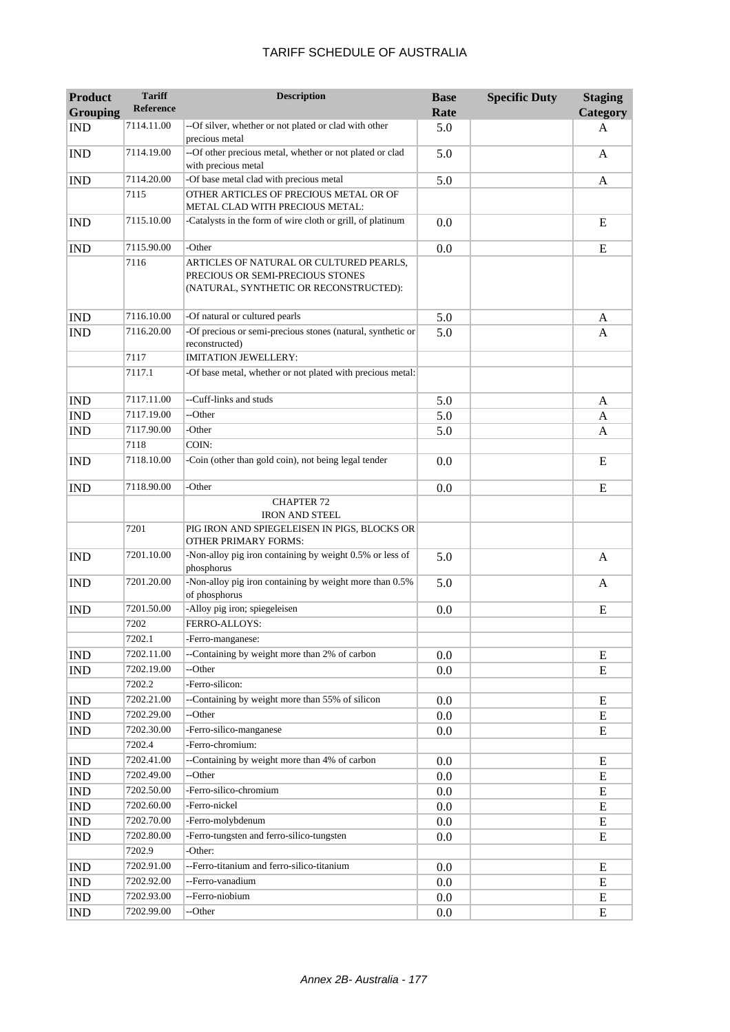| <b>Product</b><br><b>Grouping</b> | <b>Tariff</b><br><b>Reference</b> | <b>Description</b>                                                                                                    | <b>Base</b><br>Rate | <b>Specific Duty</b> | <b>Staging</b><br>Category |
|-----------------------------------|-----------------------------------|-----------------------------------------------------------------------------------------------------------------------|---------------------|----------------------|----------------------------|
| <b>IND</b>                        | 7114.11.00                        | --Of silver, whether or not plated or clad with other                                                                 | 5.0                 |                      | A                          |
|                                   |                                   | precious metal                                                                                                        |                     |                      |                            |
| <b>IND</b>                        | 7114.19.00                        | --Of other precious metal, whether or not plated or clad<br>with precious metal                                       | 5.0                 |                      | A                          |
| <b>IND</b>                        | 7114.20.00                        | -Of base metal clad with precious metal                                                                               | 5.0                 |                      | A                          |
|                                   | 7115                              | OTHER ARTICLES OF PRECIOUS METAL OR OF<br>METAL CLAD WITH PRECIOUS METAL:                                             |                     |                      |                            |
| <b>IND</b>                        | 7115.10.00                        | -Catalysts in the form of wire cloth or grill, of platinum                                                            | 0.0                 |                      | E                          |
| <b>IND</b>                        | 7115.90.00                        | -Other                                                                                                                | 0.0                 |                      | E                          |
|                                   | 7116                              | ARTICLES OF NATURAL OR CULTURED PEARLS,<br>PRECIOUS OR SEMI-PRECIOUS STONES<br>(NATURAL, SYNTHETIC OR RECONSTRUCTED): |                     |                      |                            |
| <b>IND</b>                        | 7116.10.00                        | -Of natural or cultured pearls                                                                                        | 5.0                 |                      | A                          |
| <b>IND</b>                        | 7116.20.00                        | -Of precious or semi-precious stones (natural, synthetic or<br>reconstructed)                                         | 5.0                 |                      | A                          |
|                                   | 7117                              | <b>IMITATION JEWELLERY:</b>                                                                                           |                     |                      |                            |
|                                   | 7117.1                            | -Of base metal, whether or not plated with precious metal:                                                            |                     |                      |                            |
| <b>IND</b>                        | 7117.11.00                        | --Cuff-links and studs                                                                                                | 5.0                 |                      | A                          |
| <b>IND</b>                        | 7117.19.00                        | --Other                                                                                                               | 5.0                 |                      | A                          |
| <b>IND</b>                        | 7117.90.00                        | -Other                                                                                                                | 5.0                 |                      | A                          |
|                                   | 7118                              | COIN:                                                                                                                 |                     |                      |                            |
| <b>IND</b>                        | 7118.10.00                        | -Coin (other than gold coin), not being legal tender                                                                  | 0.0                 |                      | E                          |
| <b>IND</b>                        | 7118.90.00                        | -Other                                                                                                                | 0.0                 |                      | E                          |
|                                   |                                   | <b>CHAPTER 72</b><br><b>IRON AND STEEL</b>                                                                            |                     |                      |                            |
|                                   | 7201                              | PIG IRON AND SPIEGELEISEN IN PIGS, BLOCKS OR<br><b>OTHER PRIMARY FORMS:</b>                                           |                     |                      |                            |
| <b>IND</b>                        | 7201.10.00                        | -Non-alloy pig iron containing by weight 0.5% or less of<br>phosphorus                                                | 5.0                 |                      | $\mathbf{A}$               |
| <b>IND</b>                        | 7201.20.00                        | -Non-alloy pig iron containing by weight more than 0.5%<br>of phosphorus                                              | 5.0                 |                      | A                          |
| <b>IND</b>                        | 7201.50.00                        | -Alloy pig iron; spiegeleisen                                                                                         | 0.0                 |                      | E                          |
|                                   | 7202                              | FERRO-ALLOYS:                                                                                                         |                     |                      |                            |
|                                   | 7202.1                            | -Ferro-manganese:                                                                                                     |                     |                      |                            |
| <b>IND</b>                        | 7202.11.00                        | --Containing by weight more than 2% of carbon                                                                         | 0.0                 |                      | E                          |
| <b>IND</b>                        | 7202.19.00                        | --Other                                                                                                               | 0.0                 |                      | E                          |
|                                   | 7202.2                            | -Ferro-silicon:                                                                                                       |                     |                      |                            |
| <b>IND</b>                        | 7202.21.00                        | --Containing by weight more than 55% of silicon                                                                       | 0.0                 |                      | E                          |
| <b>IND</b>                        | 7202.29.00                        | --Other                                                                                                               | 0.0                 |                      | E                          |
| <b>IND</b>                        | 7202.30.00                        | -Ferro-silico-manganese                                                                                               | 0.0                 |                      | E                          |
|                                   | 7202.4                            | -Ferro-chromium:                                                                                                      |                     |                      |                            |
| <b>IND</b>                        | 7202.41.00                        | --Containing by weight more than 4% of carbon                                                                         | 0.0                 |                      | Е                          |
| IND                               | 7202.49.00                        | --Other                                                                                                               | 0.0                 |                      | E                          |
| IND                               | 7202.50.00                        | -Ferro-silico-chromium                                                                                                | $0.0\,$             |                      | E                          |
| <b>IND</b>                        | 7202.60.00                        | -Ferro-nickel                                                                                                         | 0.0                 |                      | E                          |
| IND                               | 7202.70.00                        | -Ferro-molybdenum                                                                                                     | 0.0                 |                      | E                          |
| <b>IND</b>                        | 7202.80.00                        | -Ferro-tungsten and ferro-silico-tungsten                                                                             | 0.0                 |                      | E                          |
|                                   | 7202.9                            | -Other:                                                                                                               |                     |                      |                            |
| <b>IND</b>                        | 7202.91.00                        | --Ferro-titanium and ferro-silico-titanium                                                                            | 0.0                 |                      | E                          |
| IND                               | 7202.92.00                        | --Ferro-vanadium                                                                                                      | 0.0                 |                      | E                          |
| IND                               | 7202.93.00                        | --Ferro-niobium                                                                                                       | 0.0                 |                      | E                          |
| IND                               | 7202.99.00                        | --Other                                                                                                               | 0.0                 |                      | E                          |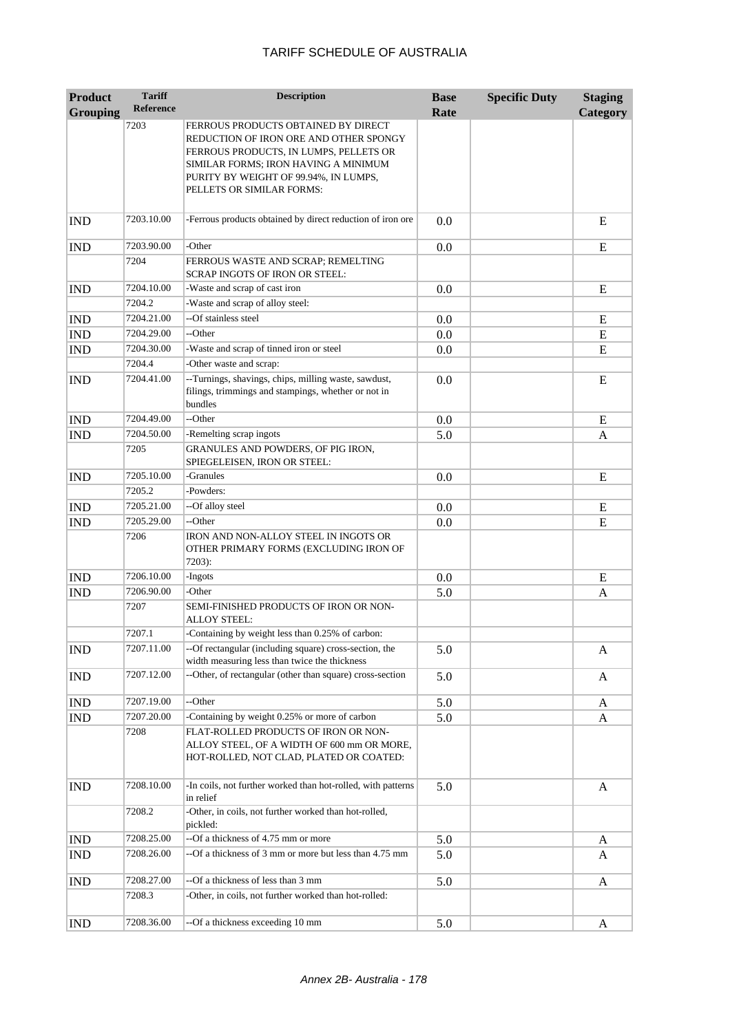| <b>Product</b>  | <b>Tariff</b>    | <b>Description</b>                                                                                                                                                                                                                    | <b>Base</b> | <b>Specific Duty</b> | <b>Staging</b> |
|-----------------|------------------|---------------------------------------------------------------------------------------------------------------------------------------------------------------------------------------------------------------------------------------|-------------|----------------------|----------------|
| <b>Grouping</b> | <b>Reference</b> |                                                                                                                                                                                                                                       | Rate        |                      | Category       |
|                 | 7203             | FERROUS PRODUCTS OBTAINED BY DIRECT<br>REDUCTION OF IRON ORE AND OTHER SPONGY<br>FERROUS PRODUCTS, IN LUMPS, PELLETS OR<br>SIMILAR FORMS; IRON HAVING A MINIMUM<br>PURITY BY WEIGHT OF 99.94%, IN LUMPS,<br>PELLETS OR SIMILAR FORMS: |             |                      |                |
| <b>IND</b>      | 7203.10.00       | -Ferrous products obtained by direct reduction of iron ore                                                                                                                                                                            | 0.0         |                      | E              |
| <b>IND</b>      | 7203.90.00       | -Other                                                                                                                                                                                                                                | 0.0         |                      | E              |
|                 | 7204             | FERROUS WASTE AND SCRAP; REMELTING<br>SCRAP INGOTS OF IRON OR STEEL:                                                                                                                                                                  |             |                      |                |
| <b>IND</b>      | 7204.10.00       | -Waste and scrap of cast iron                                                                                                                                                                                                         | 0.0         |                      | E              |
|                 | 7204.2           | -Waste and scrap of alloy steel:                                                                                                                                                                                                      |             |                      |                |
| <b>IND</b>      | 7204.21.00       | --Of stainless steel                                                                                                                                                                                                                  | 0.0         |                      | E              |
| <b>IND</b>      | 7204.29.00       | --Other                                                                                                                                                                                                                               | 0.0         |                      | E              |
| <b>IND</b>      | 7204.30.00       | -Waste and scrap of tinned iron or steel                                                                                                                                                                                              | 0.0         |                      | E              |
|                 | 7204.4           | -Other waste and scrap:                                                                                                                                                                                                               |             |                      |                |
| <b>IND</b>      | 7204.41.00       | --Turnings, shavings, chips, milling waste, sawdust,<br>filings, trimmings and stampings, whether or not in<br>bundles                                                                                                                | 0.0         |                      | E              |
| <b>IND</b>      | 7204.49.00       | --Other                                                                                                                                                                                                                               | 0.0         |                      | E              |
| <b>IND</b>      | 7204.50.00       | -Remelting scrap ingots                                                                                                                                                                                                               | 5.0         |                      | A              |
|                 | 7205             | GRANULES AND POWDERS, OF PIG IRON,<br>SPIEGELEISEN, IRON OR STEEL:                                                                                                                                                                    |             |                      |                |
| <b>IND</b>      | 7205.10.00       | -Granules                                                                                                                                                                                                                             | 0.0         |                      | E              |
|                 | 7205.2           | -Powders:                                                                                                                                                                                                                             |             |                      |                |
| <b>IND</b>      | 7205.21.00       | --Of alloy steel                                                                                                                                                                                                                      | 0.0         |                      | E              |
| <b>IND</b>      | 7205.29.00       | --Other                                                                                                                                                                                                                               | 0.0         |                      | E              |
|                 | 7206             | IRON AND NON-ALLOY STEEL IN INGOTS OR<br>OTHER PRIMARY FORMS (EXCLUDING IRON OF<br>7203):                                                                                                                                             |             |                      |                |
| <b>IND</b>      | 7206.10.00       | -Ingots                                                                                                                                                                                                                               | 0.0         |                      | E              |
| <b>IND</b>      | 7206.90.00       | -Other                                                                                                                                                                                                                                | 5.0         |                      | A              |
|                 | 7207             | SEMI-FINISHED PRODUCTS OF IRON OR NON-<br><b>ALLOY STEEL:</b>                                                                                                                                                                         |             |                      |                |
|                 | 7207.1           | Containing by weight less than 0.25% of carbon:                                                                                                                                                                                       |             |                      |                |
| <b>IND</b>      | 7207.11.00       | --Of rectangular (including square) cross-section, the<br>width measuring less than twice the thickness                                                                                                                               | 5.0         |                      | A              |
| <b>IND</b>      | 7207.12.00       | --Other, of rectangular (other than square) cross-section                                                                                                                                                                             | 5.0         |                      | A              |
| <b>IND</b>      | 7207.19.00       | --Other                                                                                                                                                                                                                               | 5.0         |                      | A              |
| IND             | 7207.20.00       | -Containing by weight 0.25% or more of carbon                                                                                                                                                                                         | 5.0         |                      | A              |
|                 | 7208             | FLAT-ROLLED PRODUCTS OF IRON OR NON-<br>ALLOY STEEL, OF A WIDTH OF 600 mm OR MORE,<br>HOT-ROLLED, NOT CLAD, PLATED OR COATED:                                                                                                         |             |                      |                |
| <b>IND</b>      | 7208.10.00       | -In coils, not further worked than hot-rolled, with patterns<br>in relief                                                                                                                                                             | 5.0         |                      | A              |
|                 | 7208.2           | -Other, in coils, not further worked than hot-rolled,<br>pickled:                                                                                                                                                                     |             |                      |                |
| <b>IND</b>      | 7208.25.00       | --Of a thickness of 4.75 mm or more                                                                                                                                                                                                   | 5.0         |                      | A              |
| <b>IND</b>      | 7208.26.00       | --Of a thickness of 3 mm or more but less than 4.75 mm                                                                                                                                                                                | 5.0         |                      | A              |
| <b>IND</b>      | 7208.27.00       | --Of a thickness of less than 3 mm                                                                                                                                                                                                    | 5.0         |                      | A              |
|                 | 7208.3           | -Other, in coils, not further worked than hot-rolled:                                                                                                                                                                                 |             |                      |                |
| <b>IND</b>      | 7208.36.00       | --Of a thickness exceeding 10 mm                                                                                                                                                                                                      | 5.0         |                      | A              |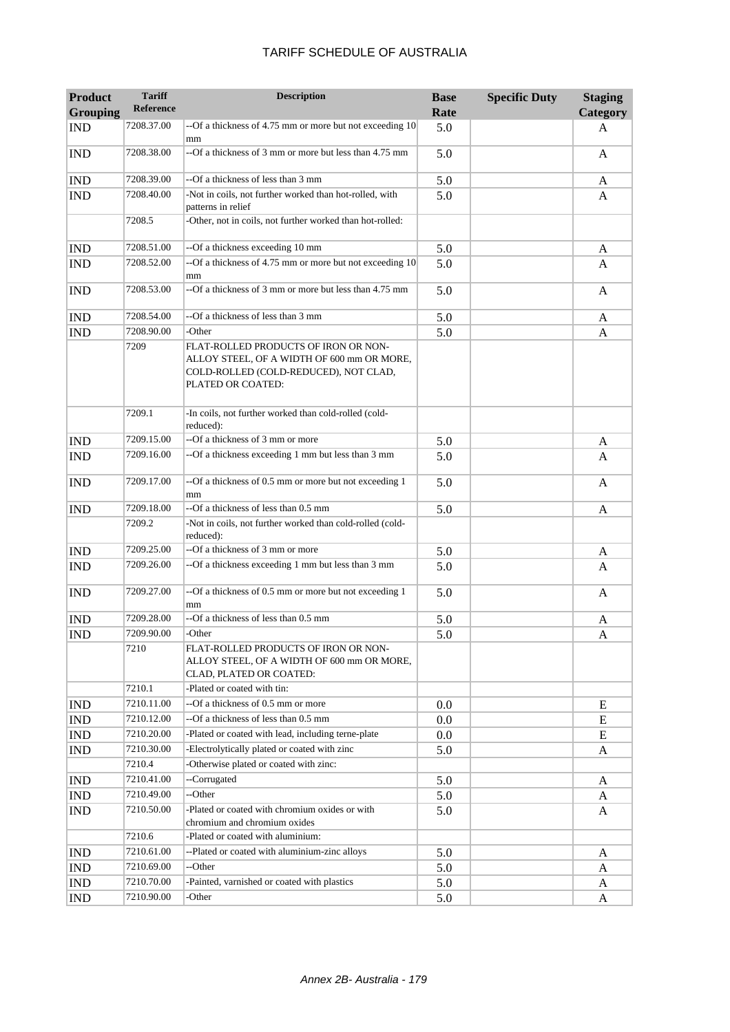| <b>Product</b><br><b>Grouping</b> | <b>Tariff</b><br>Reference | <b>Description</b>                                                                                                                               | <b>Base</b><br>Rate | <b>Specific Duty</b> | <b>Staging</b><br>Category |
|-----------------------------------|----------------------------|--------------------------------------------------------------------------------------------------------------------------------------------------|---------------------|----------------------|----------------------------|
| <b>IND</b>                        | 7208.37.00                 | --Of a thickness of 4.75 mm or more but not exceeding 10                                                                                         | 5.0                 |                      | A                          |
| <b>IND</b>                        | 7208.38.00                 | mm<br>--Of a thickness of 3 mm or more but less than 4.75 mm                                                                                     | 5.0                 |                      | A                          |
| <b>IND</b>                        | 7208.39.00                 | --Of a thickness of less than 3 mm                                                                                                               | 5.0                 |                      | A                          |
| <b>IND</b>                        | 7208.40.00                 | -Not in coils, not further worked than hot-rolled, with<br>patterns in relief                                                                    | 5.0                 |                      | A                          |
|                                   | 7208.5                     | -Other, not in coils, not further worked than hot-rolled:                                                                                        |                     |                      |                            |
| <b>IND</b>                        | 7208.51.00                 | --Of a thickness exceeding 10 mm                                                                                                                 | 5.0                 |                      | A                          |
| <b>IND</b>                        | 7208.52.00                 | --Of a thickness of 4.75 mm or more but not exceeding 10<br>mm                                                                                   | 5.0                 |                      | A                          |
| <b>IND</b>                        | 7208.53.00                 | --Of a thickness of 3 mm or more but less than 4.75 mm                                                                                           | 5.0                 |                      | A                          |
| <b>IND</b>                        | 7208.54.00                 | --Of a thickness of less than 3 mm                                                                                                               | 5.0                 |                      | A                          |
| <b>IND</b>                        | 7208.90.00                 | -Other                                                                                                                                           | 5.0                 |                      | A                          |
|                                   | 7209                       | FLAT-ROLLED PRODUCTS OF IRON OR NON-<br>ALLOY STEEL, OF A WIDTH OF 600 mm OR MORE,<br>COLD-ROLLED (COLD-REDUCED), NOT CLAD,<br>PLATED OR COATED: |                     |                      |                            |
|                                   | 7209.1                     | -In coils, not further worked than cold-rolled (cold-<br>reduced):                                                                               |                     |                      |                            |
| <b>IND</b>                        | 7209.15.00                 | --Of a thickness of 3 mm or more                                                                                                                 | 5.0                 |                      | A                          |
| <b>IND</b>                        | 7209.16.00                 | --Of a thickness exceeding 1 mm but less than 3 mm                                                                                               | 5.0                 |                      | A                          |
| <b>IND</b>                        | 7209.17.00                 | --Of a thickness of 0.5 mm or more but not exceeding 1<br>mm                                                                                     | 5.0                 |                      | A                          |
| <b>IND</b>                        | 7209.18.00                 | --Of a thickness of less than 0.5 mm                                                                                                             | 5.0                 |                      | A                          |
|                                   | 7209.2                     | -Not in coils, not further worked than cold-rolled (cold-<br>reduced):                                                                           |                     |                      |                            |
| $\mathbf{IND}$                    | 7209.25.00                 | --Of a thickness of 3 mm or more                                                                                                                 | 5.0                 |                      | A                          |
| <b>IND</b>                        | 7209.26.00                 | --Of a thickness exceeding 1 mm but less than 3 mm                                                                                               | 5.0                 |                      | A                          |
| <b>IND</b>                        | 7209.27.00                 | --Of a thickness of 0.5 mm or more but not exceeding 1<br>mm                                                                                     | 5.0                 |                      | A                          |
| <b>IND</b>                        | 7209.28.00                 | --Of a thickness of less than 0.5 mm                                                                                                             | 5.0                 |                      | A                          |
| <b>IND</b>                        | 7209.90.00                 | -Other                                                                                                                                           | 5.0                 |                      | A                          |
|                                   | 7210                       | FLAT-ROLLED PRODUCTS OF IRON OR NON-<br>ALLOY STEEL, OF A WIDTH OF 600 mm OR MORE,<br>CLAD, PLATED OR COATED:                                    |                     |                      |                            |
|                                   | 7210.1                     | -Plated or coated with tin:                                                                                                                      |                     |                      |                            |
| <b>IND</b>                        | 7210.11.00                 | --Of a thickness of 0.5 mm or more                                                                                                               | 0.0                 |                      | E                          |
| <b>IND</b>                        | 7210.12.00                 | --Of a thickness of less than 0.5 mm                                                                                                             | $0.0\,$             |                      | E                          |
| IND                               | 7210.20.00                 | -Plated or coated with lead, including terne-plate                                                                                               | 0.0                 |                      | E                          |
| IND                               | 7210.30.00                 | -Electrolytically plated or coated with zinc                                                                                                     | 5.0                 |                      | A                          |
|                                   | 7210.4                     | -Otherwise plated or coated with zinc:                                                                                                           |                     |                      |                            |
| <b>IND</b>                        | 7210.41.00                 | --Corrugated                                                                                                                                     | 5.0                 |                      | A                          |
| IND                               | 7210.49.00                 | --Other                                                                                                                                          | 5.0                 |                      | A                          |
| <b>IND</b>                        | 7210.50.00                 | -Plated or coated with chromium oxides or with<br>chromium and chromium oxides                                                                   | 5.0                 |                      | A                          |
|                                   | 7210.6                     | -Plated or coated with aluminium:                                                                                                                |                     |                      |                            |
| <b>IND</b>                        | 7210.61.00                 | --Plated or coated with aluminium-zinc alloys                                                                                                    | 5.0                 |                      | A                          |
| $\mathop{\rm IND}\nolimits$       | 7210.69.00                 | --Other                                                                                                                                          | 5.0                 |                      | A                          |
| IND                               | 7210.70.00                 | -Painted, varnished or coated with plastics                                                                                                      | 5.0                 |                      | A                          |
| <b>IND</b>                        | 7210.90.00                 | -Other                                                                                                                                           | 5.0                 |                      | A                          |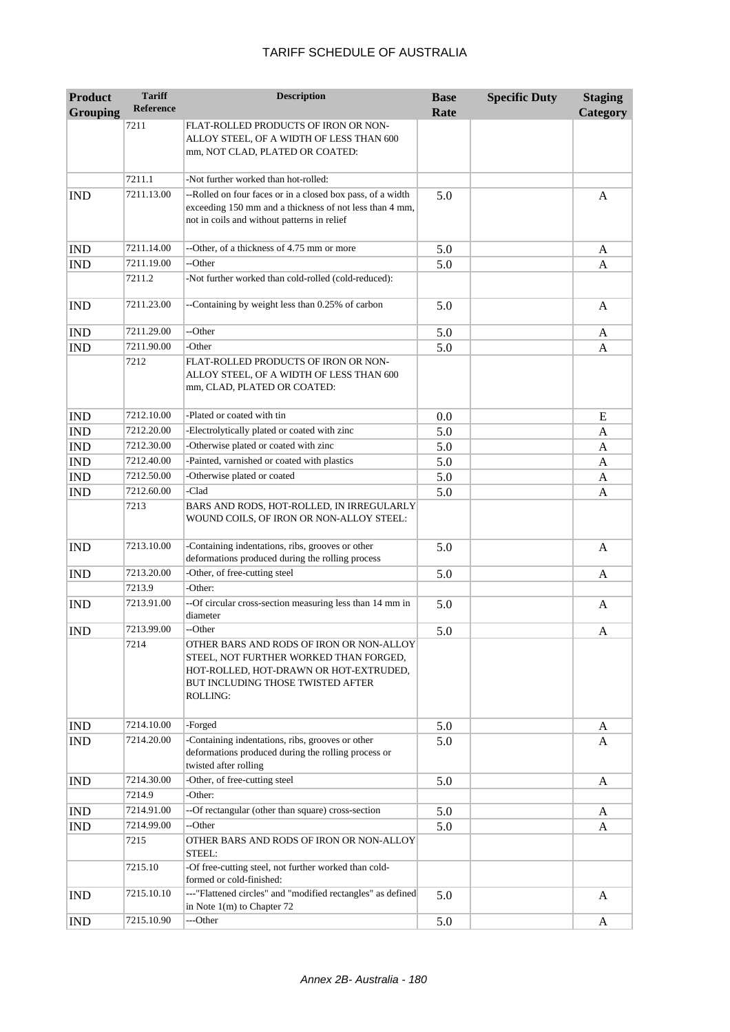| <b>Product</b>  | <b>Tariff</b>    | <b>Description</b>                                                                                                                                                            | <b>Base</b> | <b>Specific Duty</b> | <b>Staging</b> |
|-----------------|------------------|-------------------------------------------------------------------------------------------------------------------------------------------------------------------------------|-------------|----------------------|----------------|
| <b>Grouping</b> | <b>Reference</b> |                                                                                                                                                                               | Rate        |                      | Category       |
|                 | 7211             | FLAT-ROLLED PRODUCTS OF IRON OR NON-<br>ALLOY STEEL, OF A WIDTH OF LESS THAN 600<br>mm, NOT CLAD, PLATED OR COATED:                                                           |             |                      |                |
|                 | 7211.1           | -Not further worked than hot-rolled:                                                                                                                                          |             |                      |                |
| <b>IND</b>      | 7211.13.00       | --Rolled on four faces or in a closed box pass, of a width<br>exceeding 150 mm and a thickness of not less than 4 mm,<br>not in coils and without patterns in relief          | 5.0         |                      | A              |
| <b>IND</b>      | 7211.14.00       | --Other, of a thickness of 4.75 mm or more                                                                                                                                    | 5.0         |                      | A              |
| <b>IND</b>      | 7211.19.00       | --Other                                                                                                                                                                       | 5.0         |                      | A              |
|                 | 7211.2           | -Not further worked than cold-rolled (cold-reduced):                                                                                                                          |             |                      |                |
| <b>IND</b>      | 7211.23.00       | --Containing by weight less than 0.25% of carbon                                                                                                                              | 5.0         |                      | A              |
| <b>IND</b>      | 7211.29.00       | --Other                                                                                                                                                                       | 5.0         |                      | A              |
| <b>IND</b>      | 7211.90.00       | -Other                                                                                                                                                                        | 5.0         |                      | A              |
|                 | 7212             | FLAT-ROLLED PRODUCTS OF IRON OR NON-<br>ALLOY STEEL, OF A WIDTH OF LESS THAN 600<br>mm, CLAD, PLATED OR COATED:                                                               |             |                      |                |
| <b>IND</b>      | 7212.10.00       | -Plated or coated with tin                                                                                                                                                    | 0.0         |                      | E              |
| <b>IND</b>      | 7212.20.00       | -Electrolytically plated or coated with zinc                                                                                                                                  | 5.0         |                      | A              |
| <b>IND</b>      | 7212.30.00       | -Otherwise plated or coated with zinc                                                                                                                                         | 5.0         |                      | A              |
| <b>IND</b>      | 7212.40.00       | -Painted, varnished or coated with plastics                                                                                                                                   | 5.0         |                      | A              |
| <b>IND</b>      | 7212.50.00       | -Otherwise plated or coated                                                                                                                                                   | 5.0         |                      | A              |
| <b>IND</b>      | 7212.60.00       | -Clad                                                                                                                                                                         | 5.0         |                      | A              |
|                 | 7213             | BARS AND RODS, HOT-ROLLED, IN IRREGULARLY<br>WOUND COILS, OF IRON OR NON-ALLOY STEEL:                                                                                         |             |                      |                |
| <b>IND</b>      | 7213.10.00       | -Containing indentations, ribs, grooves or other<br>deformations produced during the rolling process                                                                          | 5.0         |                      | A              |
| <b>IND</b>      | 7213.20.00       | -Other, of free-cutting steel                                                                                                                                                 | 5.0         |                      | A              |
|                 | 7213.9           | -Other:                                                                                                                                                                       |             |                      |                |
| <b>IND</b>      | 7213.91.00       | --Of circular cross-section measuring less than 14 mm in<br>diameter                                                                                                          | 5.0         |                      | A              |
| <b>IND</b>      | 7213.99.00       | --Other                                                                                                                                                                       | 5.0         |                      | A              |
|                 | 7214             | OTHER BARS AND RODS OF IRON OR NON-ALLOY<br>STEEL, NOT FURTHER WORKED THAN FORGED,<br>HOT-ROLLED, HOT-DRAWN OR HOT-EXTRUDED,<br>BUT INCLUDING THOSE TWISTED AFTER<br>ROLLING: |             |                      |                |
| <b>IND</b>      | 7214.10.00       | -Forged                                                                                                                                                                       | 5.0         |                      | A              |
| <b>IND</b>      | 7214.20.00       | -Containing indentations, ribs, grooves or other<br>deformations produced during the rolling process or<br>twisted after rolling                                              | 5.0         |                      | A              |
| <b>IND</b>      | 7214.30.00       | -Other, of free-cutting steel                                                                                                                                                 | 5.0         |                      | A              |
|                 | 7214.9           | -Other:                                                                                                                                                                       |             |                      |                |
| <b>IND</b>      | 7214.91.00       | --Of rectangular (other than square) cross-section                                                                                                                            | 5.0         |                      | A              |
| <b>IND</b>      | 7214.99.00       | --Other                                                                                                                                                                       | 5.0         |                      | A              |
|                 | 7215             | OTHER BARS AND RODS OF IRON OR NON-ALLOY<br>STEEL:                                                                                                                            |             |                      |                |
|                 | 7215.10          | -Of free-cutting steel, not further worked than cold-<br>formed or cold-finished:                                                                                             |             |                      |                |
| <b>IND</b>      | 7215.10.10       | ---"Flattened circles" and "modified rectangles" as defined<br>in Note $1(m)$ to Chapter 72                                                                                   | 5.0         |                      | A              |
| <b>IND</b>      | 7215.10.90       | ---Other                                                                                                                                                                      | 5.0         |                      | A              |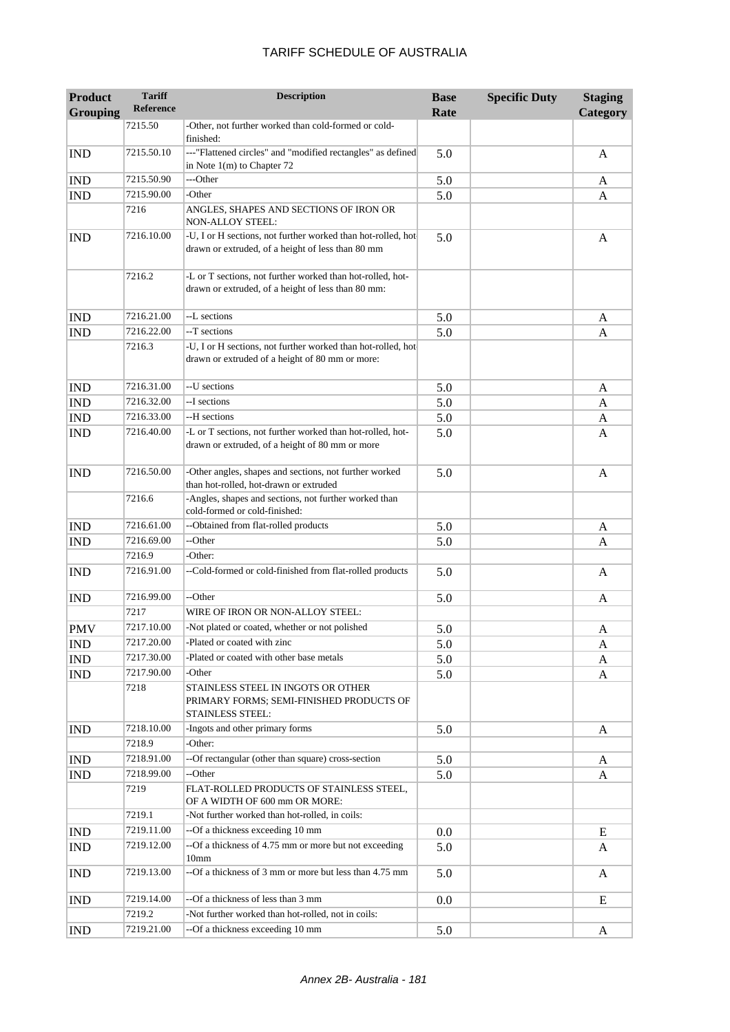| <b>Product</b><br><b>Grouping</b> | <b>Tariff</b><br><b>Reference</b> | <b>Description</b>                                                                                                | <b>Base</b><br>Rate | <b>Specific Duty</b> | <b>Staging</b><br>Category |
|-----------------------------------|-----------------------------------|-------------------------------------------------------------------------------------------------------------------|---------------------|----------------------|----------------------------|
|                                   | 7215.50                           | -Other, not further worked than cold-formed or cold-<br>finished:                                                 |                     |                      |                            |
| <b>IND</b>                        | 7215.50.10                        | ---"Flattened circles" and "modified rectangles" as defined<br>in Note $1(m)$ to Chapter 72                       | 5.0                 |                      | A                          |
| <b>IND</b>                        | 7215.50.90                        | ---Other                                                                                                          | 5.0                 |                      | A                          |
| <b>IND</b>                        | 7215.90.00                        | -Other                                                                                                            | 5.0                 |                      | A                          |
|                                   | 7216                              | ANGLES, SHAPES AND SECTIONS OF IRON OR<br>NON-ALLOY STEEL:                                                        |                     |                      |                            |
| <b>IND</b>                        | 7216.10.00                        | -U, I or H sections, not further worked than hot-rolled, hot<br>drawn or extruded, of a height of less than 80 mm | 5.0                 |                      | A                          |
|                                   | 7216.2                            | -L or T sections, not further worked than hot-rolled, hot-<br>drawn or extruded, of a height of less than 80 mm:  |                     |                      |                            |
| <b>IND</b>                        | 7216.21.00                        | --L sections                                                                                                      | 5.0                 |                      | A                          |
| <b>IND</b>                        | 7216.22.00                        | --T sections                                                                                                      | 5.0                 |                      | A                          |
|                                   | 7216.3                            | -U, I or H sections, not further worked than hot-rolled, hot<br>drawn or extruded of a height of 80 mm or more:   |                     |                      |                            |
| <b>IND</b>                        | 7216.31.00                        | --U sections                                                                                                      | 5.0                 |                      | A                          |
| <b>IND</b>                        | 7216.32.00                        | --I sections                                                                                                      | 5.0                 |                      | A                          |
| <b>IND</b>                        | 7216.33.00                        | --H sections                                                                                                      | 5.0                 |                      | A                          |
| <b>IND</b>                        | 7216.40.00                        | -L or T sections, not further worked than hot-rolled, hot-<br>drawn or extruded, of a height of 80 mm or more     | 5.0                 |                      | A                          |
| <b>IND</b>                        | 7216.50.00                        | -Other angles, shapes and sections, not further worked<br>than hot-rolled, hot-drawn or extruded                  | 5.0                 |                      | A                          |
|                                   | 7216.6                            | -Angles, shapes and sections, not further worked than<br>cold-formed or cold-finished:                            |                     |                      |                            |
| <b>IND</b>                        | 7216.61.00                        | --Obtained from flat-rolled products                                                                              | 5.0                 |                      | A                          |
| <b>IND</b>                        | 7216.69.00                        | --Other                                                                                                           | 5.0                 |                      | A                          |
|                                   | 7216.9                            | -Other:                                                                                                           |                     |                      |                            |
| <b>IND</b>                        | 7216.91.00                        | --Cold-formed or cold-finished from flat-rolled products                                                          | 5.0                 |                      | A                          |
| <b>IND</b>                        | 7216.99.00                        | --Other                                                                                                           | 5.0                 |                      | A                          |
|                                   | 7217                              | WIRE OF IRON OR NON-ALLOY STEEL:                                                                                  |                     |                      |                            |
| <b>PMV</b>                        | 7217.10.00                        | -Not plated or coated, whether or not polished                                                                    | 5.0                 |                      | A                          |
| $\mathbf{IND}$                    | 7217.20.00                        | -Plated or coated with zinc                                                                                       | 5.0                 |                      | A                          |
| IND                               | 7217.30.00                        | -Plated or coated with other base metals                                                                          | 5.0                 |                      | A                          |
| <b>IND</b>                        | 7217.90.00                        | -Other                                                                                                            | 5.0                 |                      | A                          |
|                                   | 7218                              | STAINLESS STEEL IN INGOTS OR OTHER<br>PRIMARY FORMS; SEMI-FINISHED PRODUCTS OF<br>STAINLESS STEEL:                |                     |                      |                            |
| <b>IND</b>                        | 7218.10.00                        | -Ingots and other primary forms                                                                                   | 5.0                 |                      | A                          |
|                                   | 7218.9                            | -Other:                                                                                                           |                     |                      |                            |
| <b>IND</b>                        | 7218.91.00                        | --Of rectangular (other than square) cross-section                                                                | 5.0                 |                      | A                          |
| <b>IND</b>                        | 7218.99.00                        | --Other                                                                                                           | 5.0                 |                      | A                          |
|                                   | 7219                              | FLAT-ROLLED PRODUCTS OF STAINLESS STEEL,<br>OF A WIDTH OF 600 mm OR MORE:                                         |                     |                      |                            |
|                                   | 7219.1                            | -Not further worked than hot-rolled, in coils:                                                                    |                     |                      |                            |
| <b>IND</b>                        | 7219.11.00                        | --Of a thickness exceeding 10 mm                                                                                  | 0.0                 |                      | E                          |
| <b>IND</b>                        | 7219.12.00                        | --Of a thickness of 4.75 mm or more but not exceeding<br>10 <sub>mm</sub>                                         | 5.0                 |                      | A                          |
| <b>IND</b>                        | 7219.13.00                        | --Of a thickness of 3 mm or more but less than 4.75 mm                                                            | 5.0                 |                      | A                          |
| <b>IND</b>                        | 7219.14.00                        | --Of a thickness of less than 3 mm                                                                                | 0.0                 |                      | E                          |
|                                   | 7219.2                            | -Not further worked than hot-rolled, not in coils:                                                                |                     |                      |                            |
| <b>IND</b>                        | 7219.21.00                        | --Of a thickness exceeding 10 mm                                                                                  | 5.0                 |                      | A                          |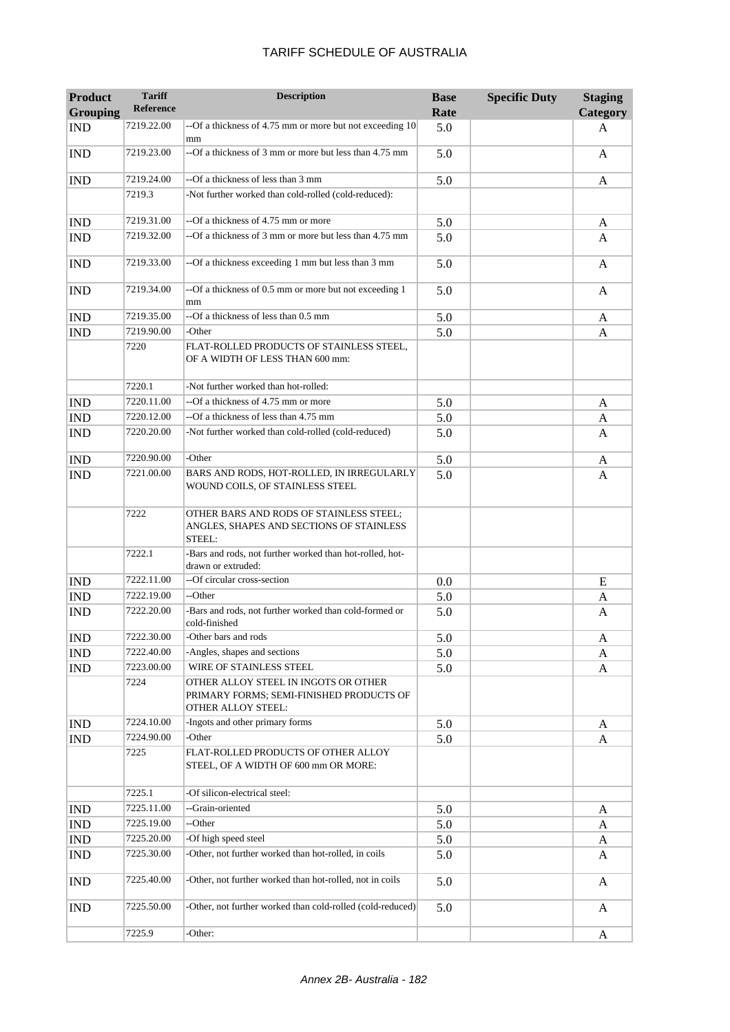| <b>Product</b><br><b>Grouping</b> | <b>Tariff</b><br>Reference | <b>Description</b>                                                                                            | <b>Base</b><br>Rate | <b>Specific Duty</b> | <b>Staging</b><br>Category |
|-----------------------------------|----------------------------|---------------------------------------------------------------------------------------------------------------|---------------------|----------------------|----------------------------|
| <b>IND</b>                        | 7219.22.00                 | --Of a thickness of 4.75 mm or more but not exceeding 10                                                      | 5.0                 |                      | A                          |
| <b>IND</b>                        | 7219.23.00                 | mm<br>--Of a thickness of 3 mm or more but less than 4.75 mm                                                  | 5.0                 |                      | A                          |
| <b>IND</b>                        | 7219.24.00                 | --Of a thickness of less than 3 mm                                                                            | 5.0                 |                      | A                          |
|                                   | 7219.3                     | -Not further worked than cold-rolled (cold-reduced):                                                          |                     |                      |                            |
| <b>IND</b>                        | 7219.31.00                 | --Of a thickness of 4.75 mm or more                                                                           | 5.0                 |                      | A                          |
| <b>IND</b>                        | 7219.32.00                 | --Of a thickness of 3 mm or more but less than 4.75 mm                                                        | 5.0                 |                      | A                          |
| <b>IND</b>                        | 7219.33.00                 | --Of a thickness exceeding 1 mm but less than 3 mm                                                            | 5.0                 |                      | A                          |
| <b>IND</b>                        | 7219.34.00                 | --Of a thickness of 0.5 mm or more but not exceeding 1<br>mm                                                  | 5.0                 |                      | A                          |
| <b>IND</b>                        | 7219.35.00                 | --Of a thickness of less than 0.5 mm                                                                          | 5.0                 |                      | A                          |
| <b>IND</b>                        | 7219.90.00                 | -Other                                                                                                        | 5.0                 |                      | A                          |
|                                   | 7220                       | FLAT-ROLLED PRODUCTS OF STAINLESS STEEL,<br>OF A WIDTH OF LESS THAN 600 mm:                                   |                     |                      |                            |
|                                   | 7220.1                     | -Not further worked than hot-rolled:                                                                          |                     |                      |                            |
| <b>IND</b>                        | 7220.11.00                 | --Of a thickness of 4.75 mm or more                                                                           | 5.0                 |                      | A                          |
| <b>IND</b>                        | 7220.12.00                 | --Of a thickness of less than 4.75 mm                                                                         | 5.0                 |                      | A                          |
| <b>IND</b>                        | 7220.20.00                 | -Not further worked than cold-rolled (cold-reduced)                                                           | 5.0                 |                      | A                          |
| <b>IND</b>                        | 7220.90.00                 | -Other                                                                                                        | 5.0                 |                      | A                          |
| <b>IND</b>                        | 7221.00.00                 | BARS AND RODS, HOT-ROLLED, IN IRREGULARLY<br>WOUND COILS, OF STAINLESS STEEL                                  | 5.0                 |                      | A                          |
|                                   | 7222                       | OTHER BARS AND RODS OF STAINLESS STEEL;<br>ANGLES, SHAPES AND SECTIONS OF STAINLESS<br>STEEL:                 |                     |                      |                            |
|                                   | 7222.1                     | -Bars and rods, not further worked than hot-rolled, hot-<br>drawn or extruded:                                |                     |                      |                            |
| <b>IND</b>                        | 7222.11.00                 | --Of circular cross-section                                                                                   | 0.0                 |                      | E                          |
| <b>IND</b>                        | 7222.19.00                 | --Other                                                                                                       | 5.0                 |                      | A                          |
| <b>IND</b>                        | 7222.20.00                 | -Bars and rods, not further worked than cold-formed or<br>cold-finished                                       | 5.0                 |                      | A                          |
| <b>IND</b>                        | 7222.30.00                 | -Other bars and rods                                                                                          | 5.0                 |                      | A                          |
| <b>IND</b>                        | 7222.40.00                 | -Angles, shapes and sections                                                                                  | 5.0                 |                      | A                          |
| <b>IND</b>                        | 7223.00.00                 | WIRE OF STAINLESS STEEL                                                                                       | 5.0                 |                      | A                          |
|                                   | 7224                       | OTHER ALLOY STEEL IN INGOTS OR OTHER<br>PRIMARY FORMS; SEMI-FINISHED PRODUCTS OF<br><b>OTHER ALLOY STEEL:</b> |                     |                      |                            |
| <b>IND</b>                        | 7224.10.00                 | -Ingots and other primary forms                                                                               | 5.0                 |                      | A                          |
| <b>IND</b>                        | 7224.90.00                 | -Other                                                                                                        | 5.0                 |                      | A                          |
|                                   | 7225                       | FLAT-ROLLED PRODUCTS OF OTHER ALLOY<br>STEEL, OF A WIDTH OF 600 mm OR MORE:                                   |                     |                      |                            |
|                                   | 7225.1                     | -Of silicon-electrical steel:                                                                                 |                     |                      |                            |
| <b>IND</b>                        | 7225.11.00                 | --Grain-oriented                                                                                              | 5.0                 |                      | A                          |
| <b>IND</b>                        | 7225.19.00                 | --Other                                                                                                       | 5.0                 |                      | A                          |
| <b>IND</b>                        | 7225.20.00                 | -Of high speed steel                                                                                          | 5.0                 |                      | A                          |
| <b>IND</b>                        | 7225.30.00                 | -Other, not further worked than hot-rolled, in coils                                                          | 5.0                 |                      | A                          |
| <b>IND</b>                        | 7225.40.00                 | -Other, not further worked than hot-rolled, not in coils                                                      | 5.0                 |                      | A                          |
| <b>IND</b>                        | 7225.50.00                 | -Other, not further worked than cold-rolled (cold-reduced)                                                    | 5.0                 |                      | A                          |
|                                   | 7225.9                     | -Other:                                                                                                       |                     |                      | A                          |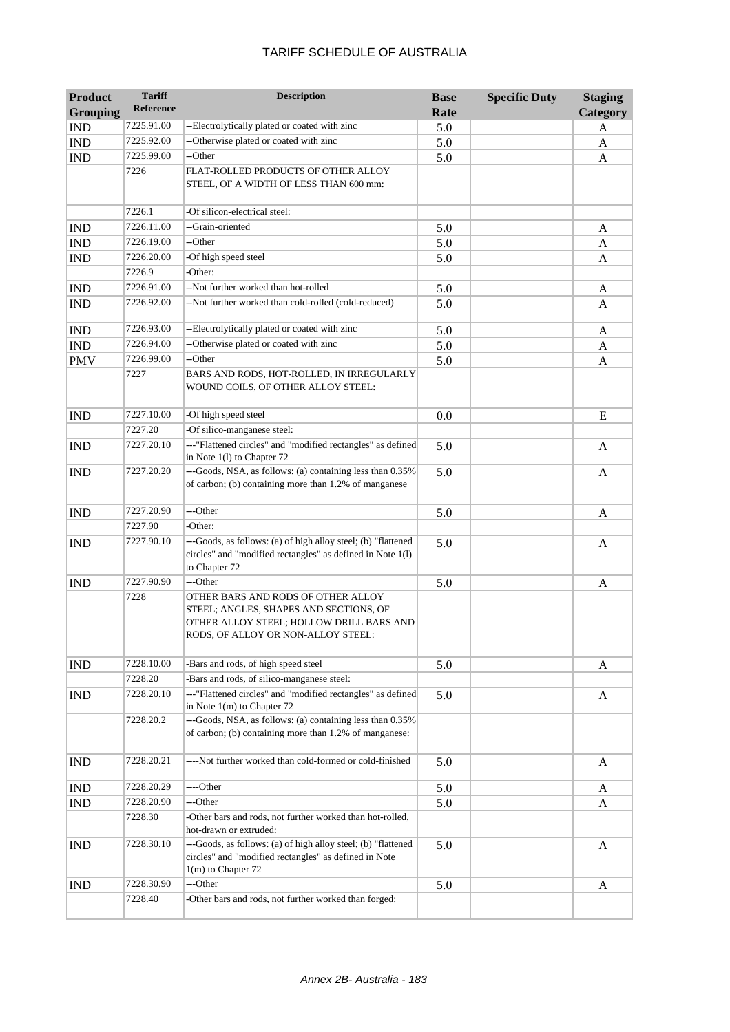| <b>Product</b>              | <b>Tariff</b><br><b>Reference</b> | <b>Description</b>                                                                                                                                             | <b>Base</b> | <b>Specific Duty</b> | <b>Staging</b> |
|-----------------------------|-----------------------------------|----------------------------------------------------------------------------------------------------------------------------------------------------------------|-------------|----------------------|----------------|
| <b>Grouping</b>             |                                   |                                                                                                                                                                | Rate        |                      | Category       |
| <b>IND</b>                  | 7225.91.00                        | --Electrolytically plated or coated with zinc                                                                                                                  | 5.0         |                      | A              |
| <b>IND</b>                  | 7225.92.00                        | --Otherwise plated or coated with zinc                                                                                                                         | 5.0         |                      | A              |
| <b>IND</b>                  | 7225.99.00                        | --Other                                                                                                                                                        | 5.0         |                      | A              |
|                             | 7226                              | FLAT-ROLLED PRODUCTS OF OTHER ALLOY<br>STEEL, OF A WIDTH OF LESS THAN 600 mm:                                                                                  |             |                      |                |
|                             | 7226.1                            | -Of silicon-electrical steel:                                                                                                                                  |             |                      |                |
| $\mathop{\rm IND}\nolimits$ | 7226.11.00                        | --Grain-oriented                                                                                                                                               | 5.0         |                      | A              |
| <b>IND</b>                  | 7226.19.00                        | --Other                                                                                                                                                        | 5.0         |                      | A              |
| <b>IND</b>                  | 7226.20.00                        | -Of high speed steel                                                                                                                                           | 5.0         |                      | A              |
|                             | 7226.9                            | -Other:                                                                                                                                                        |             |                      |                |
| <b>IND</b>                  | 7226.91.00                        | --Not further worked than hot-rolled                                                                                                                           | 5.0         |                      | A              |
| <b>IND</b>                  | 7226.92.00                        | --Not further worked than cold-rolled (cold-reduced)                                                                                                           | 5.0         |                      | A              |
| <b>IND</b>                  | 7226.93.00                        | --Electrolytically plated or coated with zinc                                                                                                                  | 5.0         |                      | A              |
| <b>IND</b>                  | 7226.94.00                        | --Otherwise plated or coated with zinc                                                                                                                         | 5.0         |                      | A              |
| <b>PMV</b>                  | 7226.99.00                        | --Other                                                                                                                                                        | 5.0         |                      | A              |
|                             | 7227                              | BARS AND RODS, HOT-ROLLED, IN IRREGULARLY<br>WOUND COILS, OF OTHER ALLOY STEEL:                                                                                |             |                      |                |
| <b>IND</b>                  | 7227.10.00                        | -Of high speed steel                                                                                                                                           | 0.0         |                      | E              |
|                             | 7227.20                           | -Of silico-manganese steel:                                                                                                                                    |             |                      |                |
| <b>IND</b>                  | 7227.20.10                        | ---"Flattened circles" and "modified rectangles" as defined<br>in Note 1(1) to Chapter 72                                                                      | 5.0         |                      | A              |
| <b>IND</b>                  | 7227.20.20                        | ---Goods, NSA, as follows: (a) containing less than 0.35%<br>of carbon; (b) containing more than 1.2% of manganese                                             | 5.0         |                      | A              |
| <b>IND</b>                  | 7227.20.90                        | ---Other                                                                                                                                                       | 5.0         |                      | A              |
|                             | 7227.90                           | -Other:                                                                                                                                                        |             |                      |                |
| <b>IND</b>                  | 7227.90.10                        | ---Goods, as follows: (a) of high alloy steel; (b) "flattened<br>circles" and "modified rectangles" as defined in Note 1(1)<br>to Chapter 72                   | 5.0         |                      | A              |
| <b>IND</b>                  | 7227.90.90                        | ---Other                                                                                                                                                       | 5.0         |                      | A              |
|                             | 7228                              | OTHER BARS AND RODS OF OTHER ALLOY<br>STEEL; ANGLES, SHAPES AND SECTIONS, OF<br>OTHER ALLOY STEEL; HOLLOW DRILL BARS AND<br>RODS, OF ALLOY OR NON-ALLOY STEEL: |             |                      |                |
| <b>IND</b>                  | 7228.10.00<br>7228.20             | -Bars and rods, of high speed steel<br>-Bars and rods, of silico-manganese steel:                                                                              | 5.0         |                      | A              |
| <b>IND</b>                  | 7228.20.10                        | ---"Flattened circles" and "modified rectangles" as defined                                                                                                    | 5.0         |                      | A              |
|                             |                                   | in Note 1(m) to Chapter 72                                                                                                                                     |             |                      |                |
|                             | 7228.20.2                         | ---Goods, NSA, as follows: (a) containing less than 0.35%<br>of carbon; (b) containing more than 1.2% of manganese:                                            |             |                      |                |
| <b>IND</b>                  | 7228.20.21                        | ----Not further worked than cold-formed or cold-finished                                                                                                       | 5.0         |                      | A              |
| <b>IND</b>                  | 7228.20.29                        | ----Other                                                                                                                                                      | 5.0         |                      | A              |
| <b>IND</b>                  | 7228.20.90                        | ---Other                                                                                                                                                       | 5.0         |                      | A              |
|                             | 7228.30                           | -Other bars and rods, not further worked than hot-rolled,<br>hot-drawn or extruded:                                                                            |             |                      |                |
| <b>IND</b>                  | 7228.30.10                        | ---Goods, as follows: (a) of high alloy steel; (b) "flattened<br>circles" and "modified rectangles" as defined in Note<br>$1(m)$ to Chapter 72                 | 5.0         |                      | A              |
| <b>IND</b>                  | 7228.30.90                        | ---Other                                                                                                                                                       | 5.0         |                      | A              |
|                             | 7228.40                           | -Other bars and rods, not further worked than forged:                                                                                                          |             |                      |                |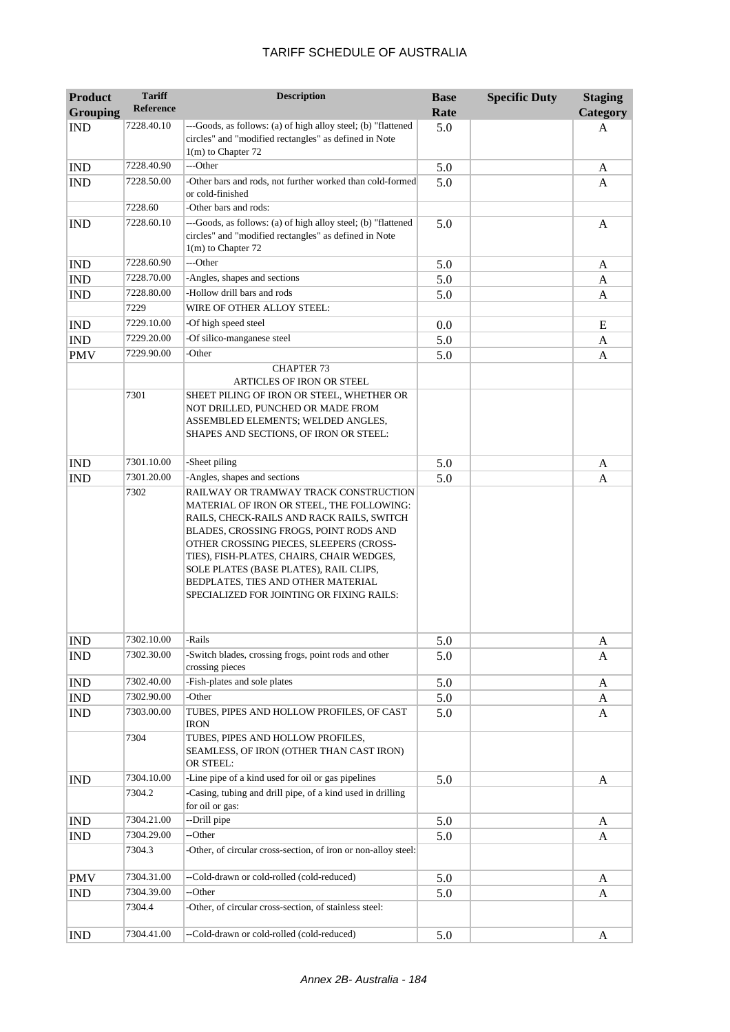| <b>Product</b>  | <b>Tariff</b>    | <b>Description</b>                                                                                                                                                                                                                                                                                                                                                                             | <b>Base</b> | <b>Specific Duty</b> | <b>Staging</b> |
|-----------------|------------------|------------------------------------------------------------------------------------------------------------------------------------------------------------------------------------------------------------------------------------------------------------------------------------------------------------------------------------------------------------------------------------------------|-------------|----------------------|----------------|
| <b>Grouping</b> | <b>Reference</b> |                                                                                                                                                                                                                                                                                                                                                                                                | Rate        |                      | Category       |
| <b>IND</b>      | 7228.40.10       | ---Goods, as follows: (a) of high alloy steel; (b) "flattened<br>circles" and "modified rectangles" as defined in Note<br>$1(m)$ to Chapter 72                                                                                                                                                                                                                                                 | 5.0         |                      | A              |
| <b>IND</b>      | 7228.40.90       | ---Other                                                                                                                                                                                                                                                                                                                                                                                       | 5.0         |                      | A              |
| <b>IND</b>      | 7228.50.00       | -Other bars and rods, not further worked than cold-formed                                                                                                                                                                                                                                                                                                                                      | 5.0         |                      | A              |
|                 |                  | or cold-finished                                                                                                                                                                                                                                                                                                                                                                               |             |                      |                |
|                 | 7228.60          | -Other bars and rods:                                                                                                                                                                                                                                                                                                                                                                          |             |                      |                |
| <b>IND</b>      | 7228.60.10       | ---Goods, as follows: (a) of high alloy steel; (b) "flattened<br>circles" and "modified rectangles" as defined in Note<br>$1(m)$ to Chapter 72                                                                                                                                                                                                                                                 | 5.0         |                      | A              |
| <b>IND</b>      | 7228.60.90       | $-$ -Other                                                                                                                                                                                                                                                                                                                                                                                     | 5.0         |                      | A              |
| <b>IND</b>      | 7228.70.00       | -Angles, shapes and sections                                                                                                                                                                                                                                                                                                                                                                   | 5.0         |                      | A              |
| <b>IND</b>      | 7228.80.00       | -Hollow drill bars and rods                                                                                                                                                                                                                                                                                                                                                                    | 5.0         |                      | A              |
|                 | 7229             | WIRE OF OTHER ALLOY STEEL:                                                                                                                                                                                                                                                                                                                                                                     |             |                      |                |
| <b>IND</b>      | 7229.10.00       | -Of high speed steel                                                                                                                                                                                                                                                                                                                                                                           | 0.0         |                      | E              |
| <b>IND</b>      | 7229.20.00       | -Of silico-manganese steel                                                                                                                                                                                                                                                                                                                                                                     | 5.0         |                      | A              |
| <b>PMV</b>      | 7229.90.00       | -Other                                                                                                                                                                                                                                                                                                                                                                                         | 5.0         |                      | A              |
|                 |                  | <b>CHAPTER 73</b>                                                                                                                                                                                                                                                                                                                                                                              |             |                      |                |
|                 | 7301             | ARTICLES OF IRON OR STEEL<br>SHEET PILING OF IRON OR STEEL, WHETHER OR<br>NOT DRILLED, PUNCHED OR MADE FROM<br>ASSEMBLED ELEMENTS; WELDED ANGLES,<br>SHAPES AND SECTIONS, OF IRON OR STEEL:                                                                                                                                                                                                    |             |                      |                |
| <b>IND</b>      | 7301.10.00       | -Sheet piling                                                                                                                                                                                                                                                                                                                                                                                  | 5.0         |                      | A              |
| <b>IND</b>      | 7301.20.00       | -Angles, shapes and sections                                                                                                                                                                                                                                                                                                                                                                   | 5.0         |                      | A              |
|                 |                  | RAILWAY OR TRAMWAY TRACK CONSTRUCTION<br>MATERIAL OF IRON OR STEEL, THE FOLLOWING:<br>RAILS, CHECK-RAILS AND RACK RAILS, SWITCH<br>BLADES, CROSSING FROGS, POINT RODS AND<br>OTHER CROSSING PIECES, SLEEPERS (CROSS-<br>TIES), FISH-PLATES, CHAIRS, CHAIR WEDGES,<br>SOLE PLATES (BASE PLATES), RAIL CLIPS,<br>BEDPLATES, TIES AND OTHER MATERIAL<br>SPECIALIZED FOR JOINTING OR FIXING RAILS: |             |                      |                |
| <b>IND</b>      | 7302.10.00       | -Rails                                                                                                                                                                                                                                                                                                                                                                                         | 5.0         |                      | A              |
| <b>IND</b>      | 7302.30.00       | -Switch blades, crossing frogs, point rods and other<br>crossing pieces                                                                                                                                                                                                                                                                                                                        | 5.0         |                      | A              |
| <b>IND</b>      | 7302.40.00       | -Fish-plates and sole plates                                                                                                                                                                                                                                                                                                                                                                   | 5.0         |                      | A              |
| <b>IND</b>      | 7302.90.00       | -Other                                                                                                                                                                                                                                                                                                                                                                                         | 5.0         |                      | A              |
| <b>IND</b>      | 7303.00.00       | TUBES, PIPES AND HOLLOW PROFILES, OF CAST<br>IRON                                                                                                                                                                                                                                                                                                                                              | 5.0         |                      | A              |
|                 | 7304             | TUBES, PIPES AND HOLLOW PROFILES,<br>SEAMLESS, OF IRON (OTHER THAN CAST IRON)<br>OR STEEL:                                                                                                                                                                                                                                                                                                     |             |                      |                |
| <b>IND</b>      | 7304.10.00       | -Line pipe of a kind used for oil or gas pipelines                                                                                                                                                                                                                                                                                                                                             | 5.0         |                      | A              |
|                 | 7304.2           | -Casing, tubing and drill pipe, of a kind used in drilling<br>for oil or gas:                                                                                                                                                                                                                                                                                                                  |             |                      |                |
| <b>IND</b>      | 7304.21.00       | --Drill pipe                                                                                                                                                                                                                                                                                                                                                                                   | 5.0         |                      | A              |
| <b>IND</b>      | 7304.29.00       | --Other                                                                                                                                                                                                                                                                                                                                                                                        | 5.0         |                      | A              |
|                 | 7304.3           | -Other, of circular cross-section, of iron or non-alloy steel:                                                                                                                                                                                                                                                                                                                                 |             |                      |                |
| <b>PMV</b>      | 7304.31.00       | --Cold-drawn or cold-rolled (cold-reduced)                                                                                                                                                                                                                                                                                                                                                     | 5.0         |                      | A              |
| <b>IND</b>      | 7304.39.00       | --Other                                                                                                                                                                                                                                                                                                                                                                                        | 5.0         |                      | A              |
|                 | 7304.4           | -Other, of circular cross-section, of stainless steel:                                                                                                                                                                                                                                                                                                                                         |             |                      |                |
| <b>IND</b>      | 7304.41.00       | --Cold-drawn or cold-rolled (cold-reduced)                                                                                                                                                                                                                                                                                                                                                     | 5.0         |                      | A              |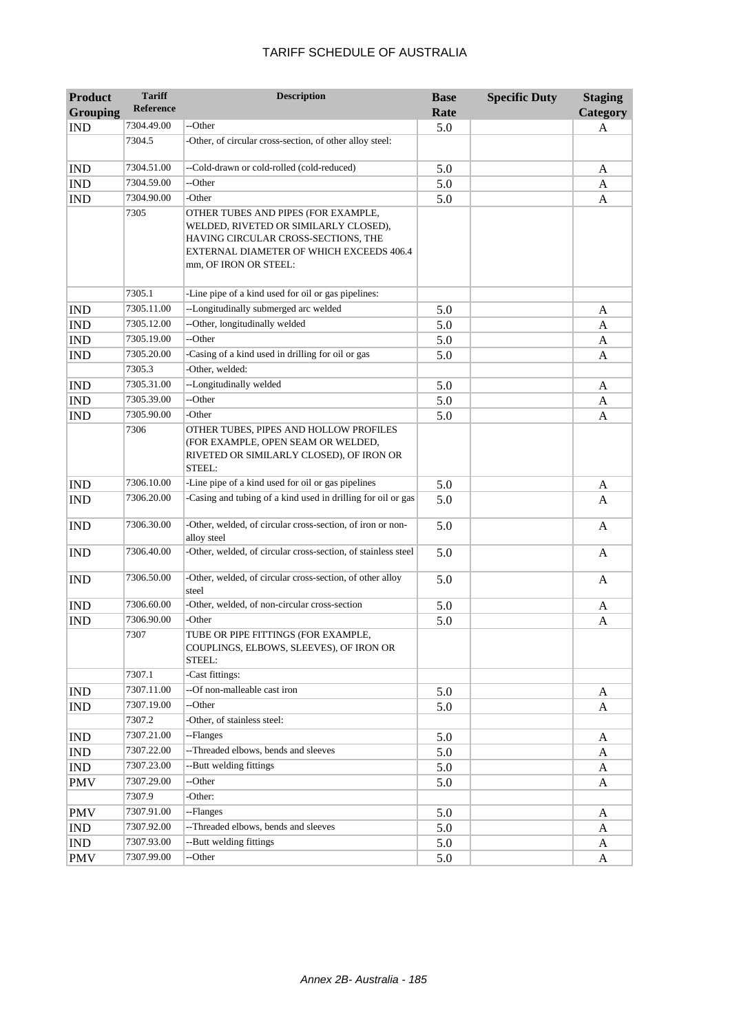| <b>Product</b>              | <b>Tariff</b><br><b>Reference</b> | <b>Description</b>                                                                                                                                                                       | <b>Base</b> | <b>Specific Duty</b> | <b>Staging</b>  |
|-----------------------------|-----------------------------------|------------------------------------------------------------------------------------------------------------------------------------------------------------------------------------------|-------------|----------------------|-----------------|
| <b>Grouping</b>             |                                   |                                                                                                                                                                                          | Rate        |                      | <b>Category</b> |
| <b>IND</b>                  | 7304.49.00                        | --Other                                                                                                                                                                                  | 5.0         |                      | A               |
|                             | 7304.5                            | -Other, of circular cross-section, of other alloy steel:                                                                                                                                 |             |                      |                 |
| <b>IND</b>                  | 7304.51.00                        | --Cold-drawn or cold-rolled (cold-reduced)                                                                                                                                               | 5.0         |                      | A               |
| <b>IND</b>                  | 7304.59.00                        | --Other                                                                                                                                                                                  | 5.0         |                      | A               |
| <b>IND</b>                  | 7304.90.00                        | -Other                                                                                                                                                                                   | 5.0         |                      | A               |
|                             | 7305                              | OTHER TUBES AND PIPES (FOR EXAMPLE,<br>WELDED, RIVETED OR SIMILARLY CLOSED),<br>HAVING CIRCULAR CROSS-SECTIONS, THE<br>EXTERNAL DIAMETER OF WHICH EXCEEDS 406.4<br>mm, OF IRON OR STEEL: |             |                      |                 |
|                             | 7305.1                            | -Line pipe of a kind used for oil or gas pipelines:                                                                                                                                      |             |                      |                 |
| <b>IND</b>                  | 7305.11.00                        | --Longitudinally submerged arc welded                                                                                                                                                    | 5.0         |                      | A               |
| <b>IND</b>                  | 7305.12.00                        | --Other, longitudinally welded                                                                                                                                                           | 5.0         |                      | A               |
| <b>IND</b>                  | 7305.19.00                        | --Other                                                                                                                                                                                  | 5.0         |                      | A               |
| <b>IND</b>                  | 7305.20.00                        | -Casing of a kind used in drilling for oil or gas                                                                                                                                        | 5.0         |                      | A               |
|                             | 7305.3                            | -Other, welded:                                                                                                                                                                          |             |                      |                 |
| <b>IND</b>                  | 7305.31.00                        | --Longitudinally welded                                                                                                                                                                  | 5.0         |                      | A               |
| <b>IND</b>                  | 7305.39.00                        | --Other                                                                                                                                                                                  | 5.0         |                      | A               |
| <b>IND</b>                  | 7305.90.00                        | -Other                                                                                                                                                                                   | 5.0         |                      | A               |
|                             | 7306                              | OTHER TUBES, PIPES AND HOLLOW PROFILES<br>(FOR EXAMPLE, OPEN SEAM OR WELDED,<br>RIVETED OR SIMILARLY CLOSED), OF IRON OR<br>STEEL:                                                       |             |                      |                 |
| <b>IND</b>                  | 7306.10.00                        | -Line pipe of a kind used for oil or gas pipelines                                                                                                                                       | 5.0         |                      | A               |
| <b>IND</b>                  | 7306.20.00                        | -Casing and tubing of a kind used in drilling for oil or gas                                                                                                                             | 5.0         |                      | A               |
| <b>IND</b>                  | 7306.30.00                        | -Other, welded, of circular cross-section, of iron or non-<br>alloy steel                                                                                                                | 5.0         |                      | A               |
| <b>IND</b>                  | 7306.40.00                        | -Other, welded, of circular cross-section, of stainless steel                                                                                                                            | 5.0         |                      | A               |
| <b>IND</b>                  | 7306.50.00                        | -Other, welded, of circular cross-section, of other alloy<br>steel                                                                                                                       | 5.0         |                      | A               |
| <b>IND</b>                  | 7306.60.00                        | -Other, welded, of non-circular cross-section                                                                                                                                            | 5.0         |                      | A               |
| <b>IND</b>                  | 7306.90.00                        | -Other                                                                                                                                                                                   | 5.0         |                      | A               |
|                             | 7307<br>7307.1                    | TUBE OR PIPE FITTINGS (FOR EXAMPLE,<br>COUPLINGS, ELBOWS, SLEEVES), OF IRON OR<br>STEEL:<br>-Cast fittings:                                                                              |             |                      |                 |
| <b>IND</b>                  | 7307.11.00                        | --Of non-malleable cast iron                                                                                                                                                             | 5.0         |                      | A               |
| <b>IND</b>                  | 7307.19.00                        | --Other                                                                                                                                                                                  | 5.0         |                      | A               |
|                             | 7307.2                            | -Other, of stainless steel:                                                                                                                                                              |             |                      |                 |
| <b>IND</b>                  | 7307.21.00                        | --Flanges                                                                                                                                                                                | 5.0         |                      | A               |
| <b>IND</b>                  | 7307.22.00                        | --Threaded elbows, bends and sleeves                                                                                                                                                     | 5.0         |                      | A               |
| <b>IND</b>                  | 7307.23.00                        | --Butt welding fittings                                                                                                                                                                  | 5.0         |                      | A               |
| <b>PMV</b>                  | 7307.29.00                        | --Other                                                                                                                                                                                  |             |                      |                 |
|                             | 7307.9                            | -Other:                                                                                                                                                                                  | 5.0         |                      | A               |
| <b>PMV</b>                  | 7307.91.00                        | --Flanges                                                                                                                                                                                |             |                      |                 |
|                             | 7307.92.00                        | --Threaded elbows, bends and sleeves                                                                                                                                                     | $5.0\,$     |                      | A               |
| $\mathop{\rm IND}\nolimits$ | 7307.93.00                        | --Butt welding fittings                                                                                                                                                                  | 5.0         |                      | $\mathbf{A}$    |
| $\mathop{\rm IND}\nolimits$ | 7307.99.00                        | --Other                                                                                                                                                                                  | 5.0         |                      | A               |
| <b>PMV</b>                  |                                   |                                                                                                                                                                                          | 5.0         |                      | A               |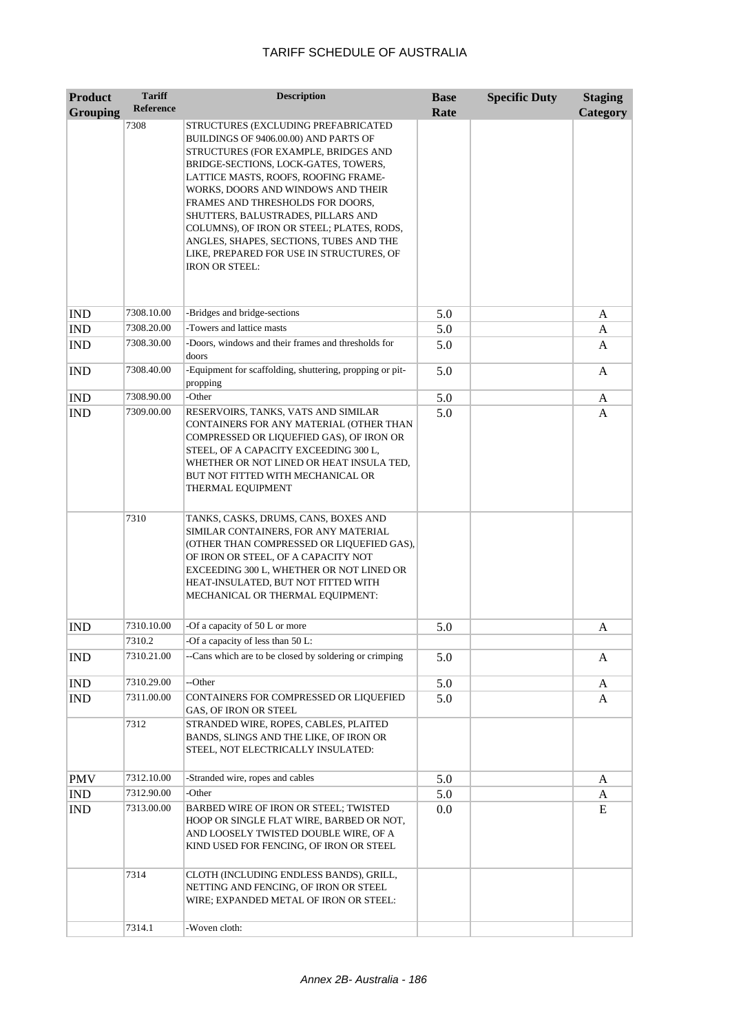| <b>Product</b><br><b>Grouping</b> | <b>Tariff</b><br><b>Reference</b> | <b>Description</b>                                                                                                                                                                                                                                                                                                                                                                                                                                                                | <b>Base</b><br>Rate | <b>Specific Duty</b> | <b>Staging</b><br>Category |
|-----------------------------------|-----------------------------------|-----------------------------------------------------------------------------------------------------------------------------------------------------------------------------------------------------------------------------------------------------------------------------------------------------------------------------------------------------------------------------------------------------------------------------------------------------------------------------------|---------------------|----------------------|----------------------------|
|                                   | 7308                              | STRUCTURES (EXCLUDING PREFABRICATED<br>BUILDINGS OF 9406.00.00) AND PARTS OF<br>STRUCTURES (FOR EXAMPLE, BRIDGES AND<br>BRIDGE-SECTIONS, LOCK-GATES, TOWERS,<br>LATTICE MASTS, ROOFS, ROOFING FRAME-<br>WORKS, DOORS AND WINDOWS AND THEIR<br>FRAMES AND THRESHOLDS FOR DOORS,<br>SHUTTERS, BALUSTRADES, PILLARS AND<br>COLUMNS), OF IRON OR STEEL; PLATES, RODS,<br>ANGLES, SHAPES, SECTIONS, TUBES AND THE<br>LIKE, PREPARED FOR USE IN STRUCTURES, OF<br><b>IRON OR STEEL:</b> |                     |                      |                            |
| <b>IND</b>                        | 7308.10.00                        | -Bridges and bridge-sections                                                                                                                                                                                                                                                                                                                                                                                                                                                      | 5.0                 |                      | A                          |
| <b>IND</b>                        | 7308.20.00                        | -Towers and lattice masts                                                                                                                                                                                                                                                                                                                                                                                                                                                         | 5.0                 |                      | A                          |
| <b>IND</b>                        | 7308.30.00                        | -Doors, windows and their frames and thresholds for<br>doors                                                                                                                                                                                                                                                                                                                                                                                                                      | 5.0                 |                      | A                          |
| <b>IND</b>                        | 7308.40.00                        | -Equipment for scaffolding, shuttering, propping or pit-<br>propping                                                                                                                                                                                                                                                                                                                                                                                                              | 5.0                 |                      | A                          |
| <b>IND</b>                        | 7308.90.00                        | -Other                                                                                                                                                                                                                                                                                                                                                                                                                                                                            | 5.0                 |                      | A                          |
| <b>IND</b>                        | 7309.00.00                        | RESERVOIRS, TANKS, VATS AND SIMILAR<br>CONTAINERS FOR ANY MATERIAL (OTHER THAN<br>COMPRESSED OR LIQUEFIED GAS), OF IRON OR<br>STEEL, OF A CAPACITY EXCEEDING 300 L,<br>WHETHER OR NOT LINED OR HEAT INSULA TED,<br>BUT NOT FITTED WITH MECHANICAL OR<br>THERMAL EQUIPMENT                                                                                                                                                                                                         | 5.0                 |                      | A                          |
|                                   | 7310                              | TANKS, CASKS, DRUMS, CANS, BOXES AND<br>SIMILAR CONTAINERS, FOR ANY MATERIAL<br>(OTHER THAN COMPRESSED OR LIQUEFIED GAS),<br>OF IRON OR STEEL, OF A CAPACITY NOT<br>EXCEEDING 300 L, WHETHER OR NOT LINED OR<br>HEAT-INSULATED, BUT NOT FITTED WITH<br>MECHANICAL OR THERMAL EQUIPMENT:                                                                                                                                                                                           |                     |                      |                            |
| <b>IND</b>                        | 7310.10.00                        | -Of a capacity of 50 L or more                                                                                                                                                                                                                                                                                                                                                                                                                                                    | 5.0                 |                      | A                          |
|                                   | 7310.2                            | -Of a capacity of less than 50 L:                                                                                                                                                                                                                                                                                                                                                                                                                                                 |                     |                      |                            |
| <b>IND</b>                        | 7310.21.00                        | --Cans which are to be closed by soldering or crimping                                                                                                                                                                                                                                                                                                                                                                                                                            | 5.0                 |                      | A                          |
| <b>IND</b>                        | 7310.29.00                        | --Other                                                                                                                                                                                                                                                                                                                                                                                                                                                                           | 5.0                 |                      | A                          |
| IND                               | 7311.00.00                        | CONTAINERS FOR COMPRESSED OR LIQUEFIED<br>GAS, OF IRON OR STEEL                                                                                                                                                                                                                                                                                                                                                                                                                   | 5.0                 |                      | A                          |
|                                   | 7312                              | STRANDED WIRE, ROPES, CABLES, PLAITED<br>BANDS, SLINGS AND THE LIKE, OF IRON OR<br>STEEL, NOT ELECTRICALLY INSULATED:                                                                                                                                                                                                                                                                                                                                                             |                     |                      |                            |
| <b>PMV</b>                        | 7312.10.00                        | -Stranded wire, ropes and cables                                                                                                                                                                                                                                                                                                                                                                                                                                                  | 5.0                 |                      | A                          |
| IND                               | 7312.90.00                        | -Other                                                                                                                                                                                                                                                                                                                                                                                                                                                                            | 5.0                 |                      | A                          |
| IND                               | 7313.00.00                        | BARBED WIRE OF IRON OR STEEL; TWISTED<br>HOOP OR SINGLE FLAT WIRE, BARBED OR NOT,<br>AND LOOSELY TWISTED DOUBLE WIRE, OF A<br>KIND USED FOR FENCING, OF IRON OR STEEL                                                                                                                                                                                                                                                                                                             | 0.0                 |                      | E                          |
|                                   | 7314                              | CLOTH (INCLUDING ENDLESS BANDS), GRILL,<br>NETTING AND FENCING, OF IRON OR STEEL<br>WIRE; EXPANDED METAL OF IRON OR STEEL:                                                                                                                                                                                                                                                                                                                                                        |                     |                      |                            |
|                                   | 7314.1                            | -Woven cloth:                                                                                                                                                                                                                                                                                                                                                                                                                                                                     |                     |                      |                            |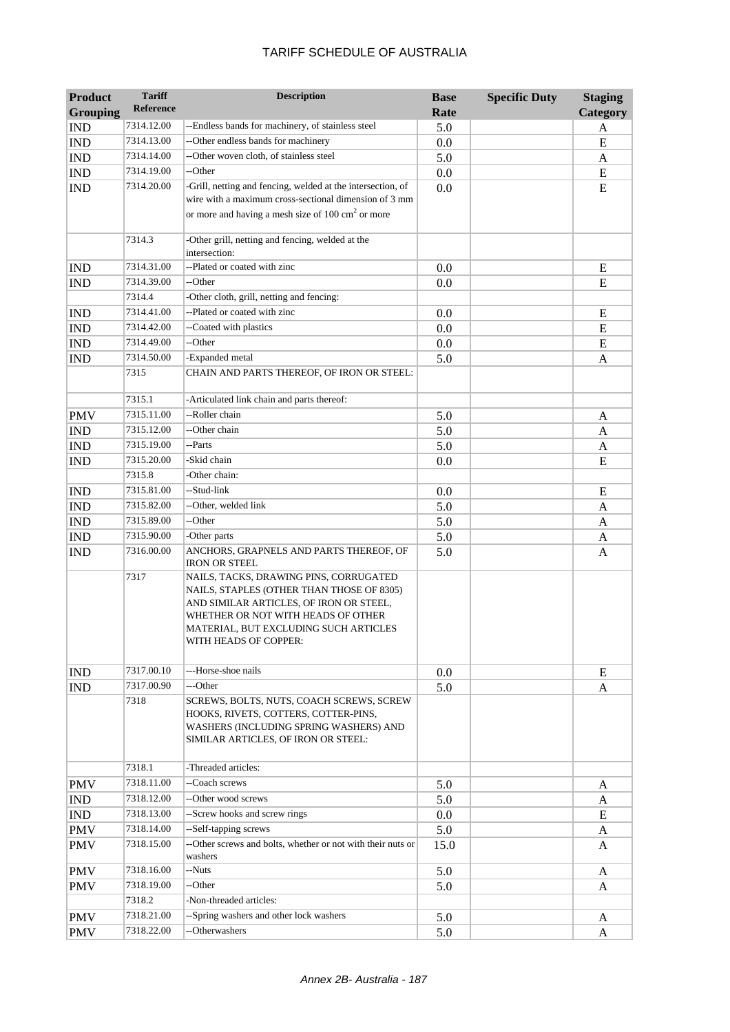| Reference<br><b>Grouping</b><br>Rate                                                                       | Category |
|------------------------------------------------------------------------------------------------------------|----------|
|                                                                                                            |          |
| 7314.12.00<br>--Endless bands for machinery, of stainless steel<br><b>IND</b><br>5.0                       | A        |
| --Other endless bands for machinery<br>7314.13.00<br><b>IND</b><br>0.0                                     | E        |
| --Other woven cloth, of stainless steel<br>7314.14.00<br><b>IND</b><br>5.0                                 | A        |
| --Other<br>7314.19.00<br><b>IND</b><br>0.0                                                                 | E        |
| -Grill, netting and fencing, welded at the intersection, of<br><b>IND</b><br>7314.20.00<br>0.0             | E        |
| wire with a maximum cross-sectional dimension of 3 mm                                                      |          |
| or more and having a mesh size of $100 \text{ cm}^2$ or more                                               |          |
| 7314.3<br>-Other grill, netting and fencing, welded at the                                                 |          |
| intersection:                                                                                              |          |
| --Plated or coated with zinc<br>7314.31.00<br><b>IND</b><br>0.0                                            | E        |
| --Other<br>7314.39.00<br><b>IND</b><br>0.0                                                                 | E        |
| -Other cloth, grill, netting and fencing:<br>7314.4                                                        |          |
| --Plated or coated with zinc<br>7314.41.00<br><b>IND</b><br>0.0                                            | E        |
| --Coated with plastics<br>7314.42.00<br><b>IND</b><br>0.0                                                  | E        |
| 7314.49.00<br>--Other<br><b>IND</b><br>0.0                                                                 | E        |
| -Expanded metal<br>7314.50.00<br>5.0<br><b>IND</b>                                                         | A        |
| 7315<br>CHAIN AND PARTS THEREOF, OF IRON OR STEEL:                                                         |          |
| -Articulated link chain and parts thereof:<br>7315.1                                                       |          |
| --Roller chain<br>7315.11.00<br><b>PMV</b><br>5.0                                                          | A        |
| --Other chain<br>$\mathbf{IND}$<br>7315.12.00<br>5.0                                                       | A        |
| 7315.19.00<br>--Parts<br><b>IND</b><br>5.0                                                                 | A        |
| -Skid chain<br>7315.20.00<br><b>IND</b><br>0.0                                                             | E        |
| -Other chain:<br>7315.8                                                                                    |          |
| --Stud-link<br>7315.81.00<br><b>IND</b><br>0.0                                                             | E        |
| 7315.82.00<br>--Other, welded link<br>5.0<br><b>IND</b>                                                    | A        |
| --Other<br>7315.89.00<br><b>IND</b><br>5.0                                                                 | A        |
| 7315.90.00<br>-Other parts<br><b>IND</b><br>5.0                                                            | A        |
| 7316.00.00<br>ANCHORS, GRAPNELS AND PARTS THEREOF, OF<br><b>IND</b><br>5.0                                 | A        |
| <b>IRON OR STEEL</b>                                                                                       |          |
| 7317<br>NAILS, TACKS, DRAWING PINS, CORRUGATED                                                             |          |
| NAILS, STAPLES (OTHER THAN THOSE OF 8305)<br>AND SIMILAR ARTICLES, OF IRON OR STEEL,                       |          |
| WHETHER OR NOT WITH HEADS OF OTHER                                                                         |          |
| MATERIAL, BUT EXCLUDING SUCH ARTICLES                                                                      |          |
| WITH HEADS OF COPPER:                                                                                      |          |
|                                                                                                            |          |
| 7317.00.10<br>---Horse-shoe nails<br><b>IND</b><br>0.0                                                     | E        |
| 7317.00.90<br>---Other<br><b>IND</b><br>5.0                                                                | A        |
| 7318<br>SCREWS, BOLTS, NUTS, COACH SCREWS, SCREW<br>HOOKS, RIVETS, COTTERS, COTTER-PINS,                   |          |
| WASHERS (INCLUDING SPRING WASHERS) AND                                                                     |          |
| SIMILAR ARTICLES, OF IRON OR STEEL:                                                                        |          |
|                                                                                                            |          |
| 7318.1<br>-Threaded articles:                                                                              |          |
| --Coach screws<br>7318.11.00<br><b>PMV</b><br>5.0                                                          | A        |
| 7318.12.00<br>--Other wood screws<br>IND<br>5.0                                                            | A        |
| 7318.13.00<br>--Screw hooks and screw rings<br>IND<br>0.0                                                  | E        |
| 7318.14.00<br>--Self-tapping screws<br><b>PMV</b><br>5.0                                                   | A        |
| 7318.15.00<br>--Other screws and bolts, whether or not with their nuts or<br><b>PMV</b><br>15.0<br>washers | A        |
| 7318.16.00<br>--Nuts<br><b>PMV</b><br>5.0                                                                  | A        |
| 7318.19.00<br>--Other<br><b>PMV</b><br>5.0                                                                 | A        |
| 7318.2<br>-Non-threaded articles:                                                                          |          |
| --Spring washers and other lock washers<br>7318.21.00<br><b>PMV</b><br>5.0                                 | A        |
| --Otherwashers<br>7318.22.00<br>5.0<br><b>PMV</b>                                                          | A        |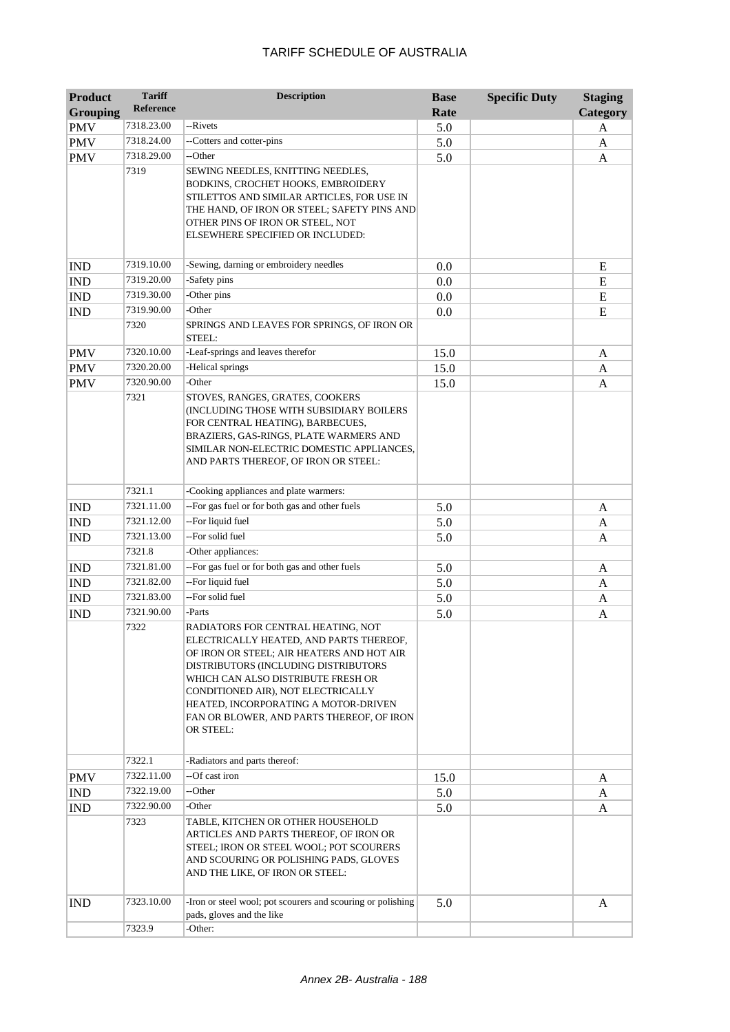| <b>Product</b>  | <b>Tariff</b> | <b>Description</b>                                                                                                                                                                                                                                                                                                                               | <b>Base</b> | <b>Specific Duty</b> | <b>Staging</b> |
|-----------------|---------------|--------------------------------------------------------------------------------------------------------------------------------------------------------------------------------------------------------------------------------------------------------------------------------------------------------------------------------------------------|-------------|----------------------|----------------|
| <b>Grouping</b> | Reference     |                                                                                                                                                                                                                                                                                                                                                  | Rate        |                      | Category       |
| <b>PMV</b>      | 7318.23.00    | --Rivets                                                                                                                                                                                                                                                                                                                                         | 5.0         |                      | A              |
| <b>PMV</b>      | 7318.24.00    | --Cotters and cotter-pins                                                                                                                                                                                                                                                                                                                        | 5.0         |                      | A              |
| <b>PMV</b>      | 7318.29.00    | --Other                                                                                                                                                                                                                                                                                                                                          | 5.0         |                      | A              |
|                 | 7319          | SEWING NEEDLES, KNITTING NEEDLES,<br>BODKINS, CROCHET HOOKS, EMBROIDERY<br>STILETTOS AND SIMILAR ARTICLES, FOR USE IN<br>THE HAND, OF IRON OR STEEL; SAFETY PINS AND<br>OTHER PINS OF IRON OR STEEL, NOT<br>ELSEWHERE SPECIFIED OR INCLUDED:                                                                                                     |             |                      |                |
| <b>IND</b>      | 7319.10.00    | -Sewing, darning or embroidery needles                                                                                                                                                                                                                                                                                                           | 0.0         |                      | E              |
| <b>IND</b>      | 7319.20.00    | -Safety pins                                                                                                                                                                                                                                                                                                                                     | 0.0         |                      | E              |
| <b>IND</b>      | 7319.30.00    | -Other pins                                                                                                                                                                                                                                                                                                                                      | 0.0         |                      | E              |
| <b>IND</b>      | 7319.90.00    | -Other                                                                                                                                                                                                                                                                                                                                           | 0.0         |                      | E              |
|                 | 7320          | SPRINGS AND LEAVES FOR SPRINGS, OF IRON OR<br>STEEL:                                                                                                                                                                                                                                                                                             |             |                      |                |
| <b>PMV</b>      | 7320.10.00    | -Leaf-springs and leaves therefor                                                                                                                                                                                                                                                                                                                | 15.0        |                      | A              |
| <b>PMV</b>      | 7320.20.00    | -Helical springs                                                                                                                                                                                                                                                                                                                                 | 15.0        |                      | A              |
| <b>PMV</b>      | 7320.90.00    | -Other                                                                                                                                                                                                                                                                                                                                           | 15.0        |                      | A              |
|                 | 7321          | STOVES, RANGES, GRATES, COOKERS<br>(INCLUDING THOSE WITH SUBSIDIARY BOILERS<br>FOR CENTRAL HEATING), BARBECUES,<br>BRAZIERS, GAS-RINGS, PLATE WARMERS AND<br>SIMILAR NON-ELECTRIC DOMESTIC APPLIANCES,<br>AND PARTS THEREOF, OF IRON OR STEEL:                                                                                                   |             |                      |                |
|                 | 7321.1        | -Cooking appliances and plate warmers:                                                                                                                                                                                                                                                                                                           |             |                      |                |
| <b>IND</b>      | 7321.11.00    | --For gas fuel or for both gas and other fuels                                                                                                                                                                                                                                                                                                   | 5.0         |                      | A              |
| <b>IND</b>      | 7321.12.00    | --For liquid fuel                                                                                                                                                                                                                                                                                                                                | 5.0         |                      | A              |
| <b>IND</b>      | 7321.13.00    | --For solid fuel                                                                                                                                                                                                                                                                                                                                 | 5.0         |                      | A              |
|                 | 7321.8        | -Other appliances:                                                                                                                                                                                                                                                                                                                               |             |                      |                |
| <b>IND</b>      | 7321.81.00    | --For gas fuel or for both gas and other fuels                                                                                                                                                                                                                                                                                                   | 5.0         |                      | A              |
| <b>IND</b>      | 7321.82.00    | --For liquid fuel                                                                                                                                                                                                                                                                                                                                | 5.0         |                      | A              |
| <b>IND</b>      | 7321.83.00    | --For solid fuel                                                                                                                                                                                                                                                                                                                                 | 5.0         |                      | A              |
| <b>IND</b>      | 7321.90.00    | -Parts                                                                                                                                                                                                                                                                                                                                           | 5.0         |                      | A              |
|                 | 7322          | RADIATORS FOR CENTRAL HEATING, NOT<br>ELECTRICALLY HEATED, AND PARTS THEREOF,<br>OF IRON OR STEEL; AIR HEATERS AND HOT AIR<br>DISTRIBUTORS (INCLUDING DISTRIBUTORS<br>WHICH CAN ALSO DISTRIBUTE FRESH OR<br>CONDITIONED AIR), NOT ELECTRICALLY<br>HEATED, INCORPORATING A MOTOR-DRIVEN<br>FAN OR BLOWER, AND PARTS THEREOF, OF IRON<br>OR STEEL: |             |                      |                |
|                 | 7322.1        | -Radiators and parts thereof:                                                                                                                                                                                                                                                                                                                    |             |                      |                |
| <b>PMV</b>      | 7322.11.00    | --Of cast iron                                                                                                                                                                                                                                                                                                                                   | 15.0        |                      | A              |
| <b>IND</b>      | 7322.19.00    | --Other                                                                                                                                                                                                                                                                                                                                          | 5.0         |                      | A              |
| <b>IND</b>      | 7322.90.00    | -Other                                                                                                                                                                                                                                                                                                                                           | 5.0         |                      | A              |
|                 | 7323          | TABLE, KITCHEN OR OTHER HOUSEHOLD<br>ARTICLES AND PARTS THEREOF, OF IRON OR<br>STEEL; IRON OR STEEL WOOL; POT SCOURERS<br>AND SCOURING OR POLISHING PADS, GLOVES<br>AND THE LIKE, OF IRON OR STEEL:                                                                                                                                              |             |                      |                |
| <b>IND</b>      | 7323.10.00    | -Iron or steel wool; pot scourers and scouring or polishing<br>pads, gloves and the like                                                                                                                                                                                                                                                         | 5.0         |                      | A              |
|                 | 7323.9        | -Other:                                                                                                                                                                                                                                                                                                                                          |             |                      |                |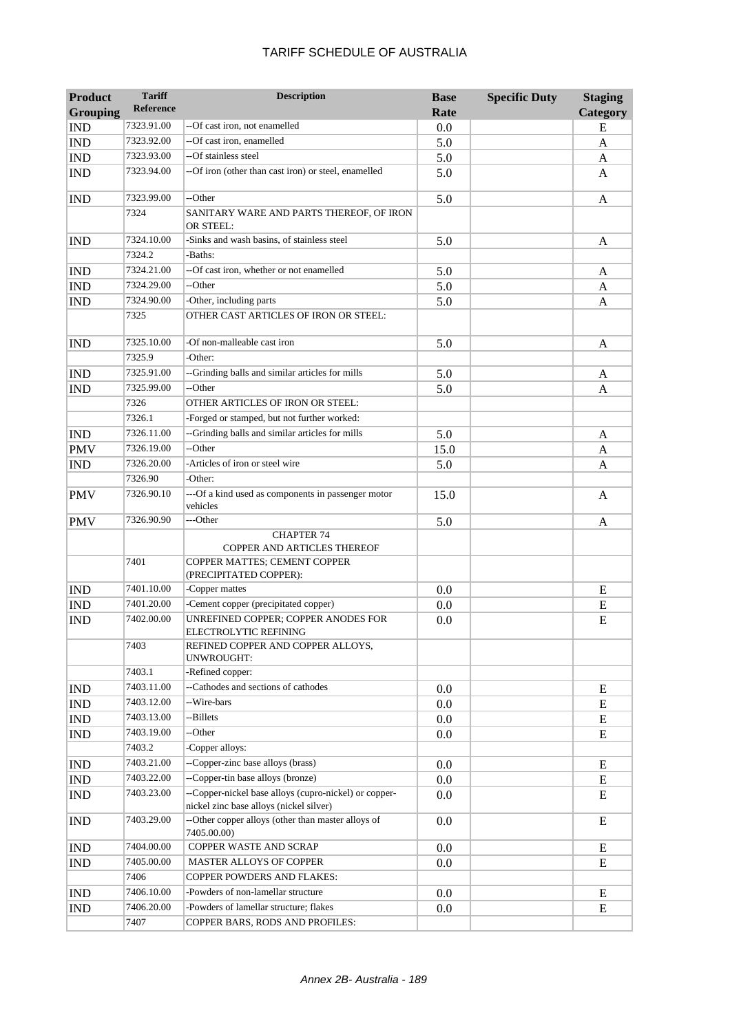| <b>Product</b><br><b>Grouping</b> | <b>Tariff</b><br><b>Reference</b> | <b>Description</b>                                                                               | <b>Base</b><br>Rate | <b>Specific Duty</b> | <b>Staging</b><br>Category |
|-----------------------------------|-----------------------------------|--------------------------------------------------------------------------------------------------|---------------------|----------------------|----------------------------|
| <b>IND</b>                        | 7323.91.00                        | --Of cast iron, not enamelled                                                                    | 0.0                 |                      | E                          |
| <b>IND</b>                        | 7323.92.00                        | --Of cast iron, enamelled                                                                        | 5.0                 |                      | A                          |
| <b>IND</b>                        | 7323.93.00                        | --Of stainless steel                                                                             | 5.0                 |                      | A                          |
| <b>IND</b>                        | 7323.94.00                        | --Of iron (other than cast iron) or steel, enamelled                                             | 5.0                 |                      | A                          |
| <b>IND</b>                        | 7323.99.00                        | --Other                                                                                          | 5.0                 |                      | A                          |
|                                   | 7324                              | SANITARY WARE AND PARTS THEREOF, OF IRON<br>OR STEEL:                                            |                     |                      |                            |
| <b>IND</b>                        | 7324.10.00                        | -Sinks and wash basins, of stainless steel                                                       | 5.0                 |                      | A                          |
|                                   | 7324.2                            | -Baths:                                                                                          |                     |                      |                            |
| <b>IND</b>                        | 7324.21.00                        | --Of cast iron, whether or not enamelled                                                         | 5.0                 |                      | A                          |
| <b>IND</b>                        | 7324.29.00                        | --Other                                                                                          | 5.0                 |                      | A                          |
| <b>IND</b>                        | 7324.90.00                        | -Other, including parts                                                                          | 5.0                 |                      | A                          |
|                                   | 7325                              | OTHER CAST ARTICLES OF IRON OR STEEL:                                                            |                     |                      |                            |
| <b>IND</b>                        | 7325.10.00                        | -Of non-malleable cast iron                                                                      | 5.0                 |                      | A                          |
|                                   | 7325.9                            | -Other:                                                                                          |                     |                      |                            |
| <b>IND</b>                        | 7325.91.00                        | --Grinding balls and similar articles for mills                                                  | 5.0                 |                      | A                          |
| <b>IND</b>                        | 7325.99.00                        | --Other                                                                                          | 5.0                 |                      | A                          |
|                                   | 7326                              | OTHER ARTICLES OF IRON OR STEEL:                                                                 |                     |                      |                            |
|                                   | 7326.1                            | -Forged or stamped, but not further worked:                                                      |                     |                      |                            |
| <b>IND</b>                        | 7326.11.00                        | --Grinding balls and similar articles for mills                                                  | 5.0                 |                      | A                          |
| <b>PMV</b>                        | 7326.19.00                        | --Other                                                                                          | 15.0                |                      | A                          |
| <b>IND</b>                        | 7326.20.00                        | -Articles of iron or steel wire                                                                  | 5.0                 |                      | A                          |
|                                   | 7326.90                           | -Other:                                                                                          |                     |                      |                            |
| <b>PMV</b>                        | 7326.90.10                        | ---Of a kind used as components in passenger motor<br>vehicles                                   | 15.0                |                      | A                          |
| <b>PMV</b>                        | 7326.90.90                        | ---Other                                                                                         | 5.0                 |                      | A                          |
|                                   |                                   | <b>CHAPTER 74</b><br>COPPER AND ARTICLES THEREOF                                                 |                     |                      |                            |
|                                   | 7401                              | COPPER MATTES; CEMENT COPPER<br>(PRECIPITATED COPPER):                                           |                     |                      |                            |
| <b>IND</b>                        | 7401.10.00                        | -Copper mattes                                                                                   | 0.0                 |                      | E                          |
| <b>IND</b>                        | 7401.20.00                        | -Cement copper (precipitated copper)                                                             | 0.0                 |                      | ${\bf E}$                  |
| <b>IND</b>                        | 7402.00.00                        | UNREFINED COPPER; COPPER ANODES FOR<br>ELECTROLYTIC REFINING                                     | 0.0                 |                      | E                          |
|                                   | 7403                              | REFINED COPPER AND COPPER ALLOYS,<br>UNWROUGHT:                                                  |                     |                      |                            |
|                                   | 7403.1                            | -Refined copper:                                                                                 |                     |                      |                            |
| <b>IND</b>                        | 7403.11.00                        | --Cathodes and sections of cathodes                                                              | 0.0                 |                      | E                          |
| <b>IND</b>                        | 7403.12.00                        | --Wire-bars                                                                                      | 0.0                 |                      | E                          |
| IND                               | 7403.13.00                        | --Billets                                                                                        | 0.0                 |                      | E                          |
| <b>IND</b>                        | 7403.19.00                        | --Other                                                                                          | 0.0                 |                      | E                          |
|                                   | 7403.2                            | -Copper alloys:                                                                                  |                     |                      |                            |
| <b>IND</b>                        | 7403.21.00                        | --Copper-zinc base alloys (brass)                                                                | 0.0                 |                      | E                          |
| $\mathop{\rm IND}\nolimits$       | 7403.22.00                        | --Copper-tin base alloys (bronze)                                                                | 0.0                 |                      | E                          |
| <b>IND</b>                        | 7403.23.00                        | --Copper-nickel base alloys (cupro-nickel) or copper-<br>nickel zinc base alloys (nickel silver) | 0.0                 |                      | E                          |
| <b>IND</b>                        | 7403.29.00                        | --Other copper alloys (other than master alloys of<br>7405.00.00)                                | 0.0                 |                      | E                          |
| IND                               | 7404.00.00                        | COPPER WASTE AND SCRAP                                                                           | $0.0\,$             |                      | E                          |
| <b>IND</b>                        | 7405.00.00                        | MASTER ALLOYS OF COPPER                                                                          | 0.0                 |                      | E                          |
|                                   | 7406                              | COPPER POWDERS AND FLAKES:                                                                       |                     |                      |                            |
| <b>IND</b>                        | 7406.10.00                        | -Powders of non-lamellar structure                                                               | $0.0\,$             |                      | E                          |
| IND                               | 7406.20.00                        | -Powders of lamellar structure; flakes                                                           | 0.0                 |                      | E                          |
|                                   | 7407                              | COPPER BARS, RODS AND PROFILES:                                                                  |                     |                      |                            |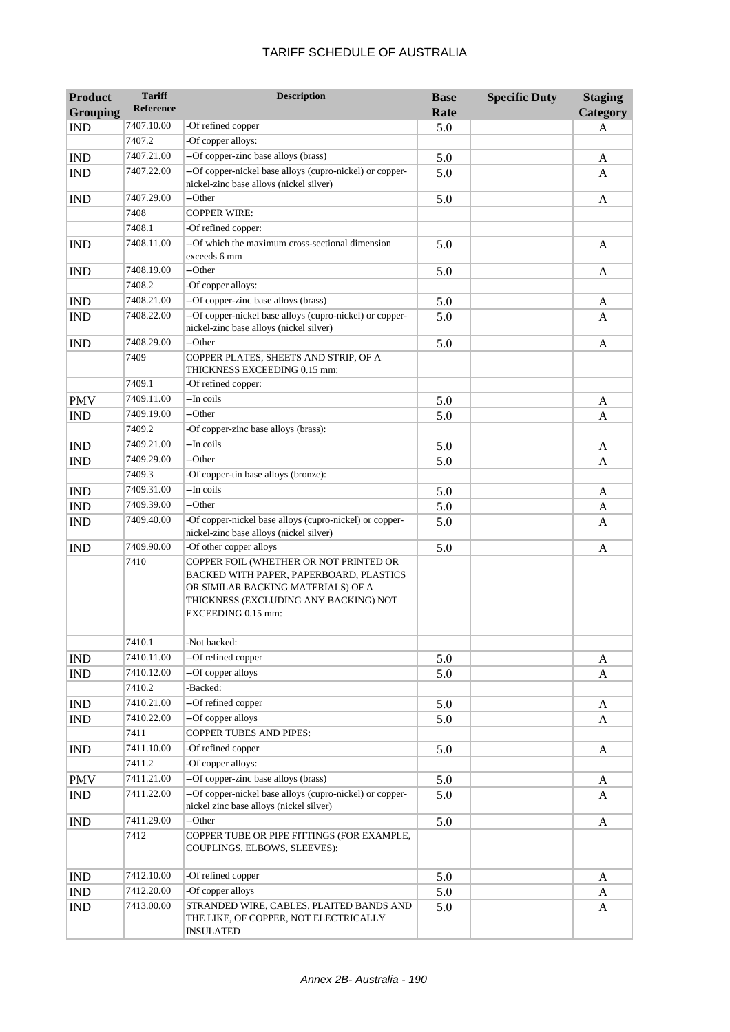| <b>Product</b>  | <b>Tariff</b>    | <b>Description</b>                                                                                                                                                                     | <b>Base</b> | <b>Specific Duty</b> | <b>Staging</b> |
|-----------------|------------------|----------------------------------------------------------------------------------------------------------------------------------------------------------------------------------------|-------------|----------------------|----------------|
| <b>Grouping</b> | <b>Reference</b> |                                                                                                                                                                                        | Rate        |                      | Category       |
| <b>IND</b>      | 7407.10.00       | -Of refined copper                                                                                                                                                                     | 5.0         |                      | A              |
|                 | 7407.2           | -Of copper alloys:                                                                                                                                                                     |             |                      |                |
| <b>IND</b>      | 7407.21.00       | --Of copper-zinc base alloys (brass)                                                                                                                                                   | 5.0         |                      | A              |
| <b>IND</b>      | 7407.22.00       | --Of copper-nickel base alloys (cupro-nickel) or copper-<br>nickel-zinc base alloys (nickel silver)                                                                                    | 5.0         |                      | A              |
| <b>IND</b>      | 7407.29.00       | --Other                                                                                                                                                                                | 5.0         |                      | A              |
|                 | 7408             | <b>COPPER WIRE:</b>                                                                                                                                                                    |             |                      |                |
|                 | 7408.1           | -Of refined copper:                                                                                                                                                                    |             |                      |                |
| <b>IND</b>      | 7408.11.00       | --Of which the maximum cross-sectional dimension<br>exceeds 6 mm                                                                                                                       | 5.0         |                      | $\mathbf{A}$   |
| <b>IND</b>      | 7408.19.00       | --Other                                                                                                                                                                                | 5.0         |                      | A              |
|                 | 7408.2           | -Of copper alloys:                                                                                                                                                                     |             |                      |                |
| <b>IND</b>      | 7408.21.00       | --Of copper-zinc base alloys (brass)                                                                                                                                                   | 5.0         |                      | A              |
| <b>IND</b>      | 7408.22.00       | --Of copper-nickel base alloys (cupro-nickel) or copper-<br>nickel-zinc base alloys (nickel silver)                                                                                    | 5.0         |                      | A              |
| <b>IND</b>      | 7408.29.00       | --Other                                                                                                                                                                                | 5.0         |                      | $\mathbf{A}$   |
|                 | 7409             | COPPER PLATES, SHEETS AND STRIP, OF A<br>THICKNESS EXCEEDING 0.15 mm:                                                                                                                  |             |                      |                |
|                 | 7409.1           | -Of refined copper:                                                                                                                                                                    |             |                      |                |
| <b>PMV</b>      | 7409.11.00       | --In coils                                                                                                                                                                             | 5.0         |                      | A              |
| <b>IND</b>      | 7409.19.00       | --Other                                                                                                                                                                                | 5.0         |                      | A              |
|                 | 7409.2           | -Of copper-zinc base alloys (brass):                                                                                                                                                   |             |                      |                |
| <b>IND</b>      | 7409.21.00       | --In coils                                                                                                                                                                             | 5.0         |                      | A              |
| <b>IND</b>      | 7409.29.00       | --Other                                                                                                                                                                                | 5.0         |                      | A              |
|                 | 7409.3           | -Of copper-tin base alloys (bronze):                                                                                                                                                   |             |                      |                |
| <b>IND</b>      | 7409.31.00       | --In coils                                                                                                                                                                             | 5.0         |                      | A              |
| <b>IND</b>      | 7409.39.00       | --Other                                                                                                                                                                                | 5.0         |                      | A              |
| <b>IND</b>      | 7409.40.00       | -Of copper-nickel base alloys (cupro-nickel) or copper-<br>nickel-zinc base alloys (nickel silver)                                                                                     | 5.0         |                      | A              |
| <b>IND</b>      | 7409.90.00       | -Of other copper alloys                                                                                                                                                                | 5.0         |                      | A              |
|                 | 7410             | COPPER FOIL (WHETHER OR NOT PRINTED OR<br>BACKED WITH PAPER, PAPERBOARD, PLASTICS<br>OR SIMILAR BACKING MATERIALS) OF A<br>THICKNESS (EXCLUDING ANY BACKING) NOT<br>EXCEEDING 0.15 mm: |             |                      |                |
|                 | 7410.1           | -Not backed:                                                                                                                                                                           |             |                      |                |
| <b>IND</b>      | 7410.11.00       | --Of refined copper                                                                                                                                                                    | 5.0         |                      | A              |
| IND             | 7410.12.00       | --Of copper alloys                                                                                                                                                                     | 5.0         |                      | $\mathbf{A}$   |
|                 | 7410.2           | -Backed:                                                                                                                                                                               |             |                      |                |
| <b>IND</b>      | 7410.21.00       | --Of refined copper                                                                                                                                                                    | 5.0         |                      | A              |
| <b>IND</b>      | 7410.22.00       | --Of copper alloys                                                                                                                                                                     | 5.0         |                      | A              |
|                 | 7411             | <b>COPPER TUBES AND PIPES:</b>                                                                                                                                                         |             |                      |                |
| IND             | 7411.10.00       | -Of refined copper                                                                                                                                                                     | 5.0         |                      | $\mathbf{A}$   |
|                 | 7411.2           | -Of copper alloys:                                                                                                                                                                     |             |                      |                |
| <b>PMV</b>      | 7411.21.00       | --Of copper-zinc base alloys (brass)                                                                                                                                                   | 5.0         |                      | A              |
| IND             | 7411.22.00       | --Of copper-nickel base alloys (cupro-nickel) or copper-<br>nickel zinc base alloys (nickel silver)                                                                                    | 5.0         |                      | A              |
| <b>IND</b>      | 7411.29.00       | --Other                                                                                                                                                                                | 5.0         |                      | A              |
|                 | 7412             | COPPER TUBE OR PIPE FITTINGS (FOR EXAMPLE,<br>COUPLINGS, ELBOWS, SLEEVES):                                                                                                             |             |                      |                |
| <b>IND</b>      | 7412.10.00       | -Of refined copper                                                                                                                                                                     | 5.0         |                      | A              |
| <b>IND</b>      | 7412.20.00       | -Of copper alloys                                                                                                                                                                      | 5.0         |                      | A              |
| <b>IND</b>      | 7413.00.00       | STRANDED WIRE, CABLES, PLAITED BANDS AND<br>THE LIKE, OF COPPER, NOT ELECTRICALLY<br><b>INSULATED</b>                                                                                  | 5.0         |                      | A              |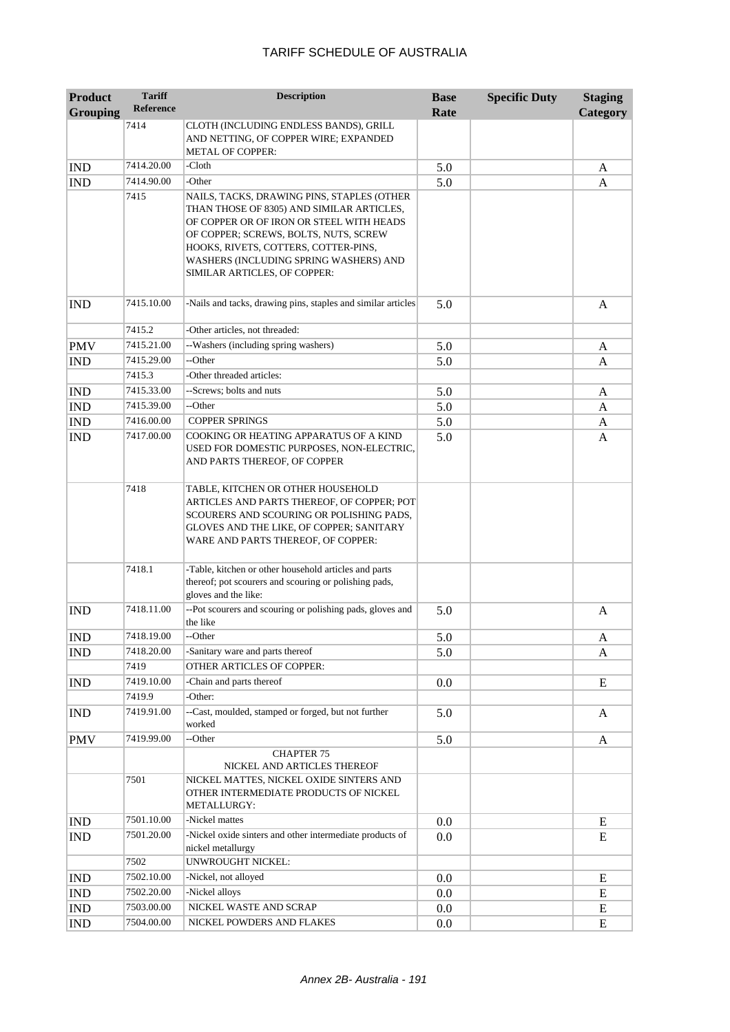| <b>Product</b><br><b>Grouping</b> | <b>Tariff</b><br><b>Reference</b> | <b>Description</b>                                                                                                                                                                                                                                                                             | <b>Base</b><br>Rate | <b>Specific Duty</b> | <b>Staging</b><br>Category |
|-----------------------------------|-----------------------------------|------------------------------------------------------------------------------------------------------------------------------------------------------------------------------------------------------------------------------------------------------------------------------------------------|---------------------|----------------------|----------------------------|
|                                   | 7414                              | CLOTH (INCLUDING ENDLESS BANDS), GRILL<br>AND NETTING, OF COPPER WIRE; EXPANDED<br><b>METAL OF COPPER:</b>                                                                                                                                                                                     |                     |                      |                            |
| <b>IND</b>                        | 7414.20.00                        | -Cloth                                                                                                                                                                                                                                                                                         | 5.0                 |                      | A                          |
| <b>IND</b>                        | 7414.90.00                        | -Other                                                                                                                                                                                                                                                                                         | 5.0                 |                      | A                          |
|                                   | 7415                              | NAILS, TACKS, DRAWING PINS, STAPLES (OTHER<br>THAN THOSE OF 8305) AND SIMILAR ARTICLES,<br>OF COPPER OR OF IRON OR STEEL WITH HEADS<br>OF COPPER; SCREWS, BOLTS, NUTS, SCREW<br>HOOKS, RIVETS, COTTERS, COTTER-PINS,<br>WASHERS (INCLUDING SPRING WASHERS) AND<br>SIMILAR ARTICLES, OF COPPER: |                     |                      |                            |
| <b>IND</b>                        | 7415.10.00                        | -Nails and tacks, drawing pins, staples and similar articles                                                                                                                                                                                                                                   | 5.0                 |                      | $\mathbf{A}$               |
|                                   | 7415.2                            | -Other articles, not threaded:                                                                                                                                                                                                                                                                 |                     |                      |                            |
| <b>PMV</b>                        | 7415.21.00                        | --Washers (including spring washers)                                                                                                                                                                                                                                                           | 5.0                 |                      | A                          |
| <b>IND</b>                        | 7415.29.00                        | --Other                                                                                                                                                                                                                                                                                        | 5.0                 |                      | A                          |
|                                   | 7415.3                            | -Other threaded articles:                                                                                                                                                                                                                                                                      |                     |                      |                            |
| <b>IND</b>                        | 7415.33.00                        | --Screws; bolts and nuts                                                                                                                                                                                                                                                                       | 5.0                 |                      | A                          |
| <b>IND</b>                        | 7415.39.00                        | --Other                                                                                                                                                                                                                                                                                        | 5.0                 |                      | A                          |
| <b>IND</b>                        | 7416.00.00                        | <b>COPPER SPRINGS</b>                                                                                                                                                                                                                                                                          | 5.0                 |                      | A                          |
| <b>IND</b>                        | 7417.00.00                        | COOKING OR HEATING APPARATUS OF A KIND<br>USED FOR DOMESTIC PURPOSES, NON-ELECTRIC,<br>AND PARTS THEREOF, OF COPPER                                                                                                                                                                            | 5.0                 |                      | A                          |
|                                   | 7418                              | TABLE, KITCHEN OR OTHER HOUSEHOLD<br>ARTICLES AND PARTS THEREOF, OF COPPER; POT<br>SCOURERS AND SCOURING OR POLISHING PADS,<br>GLOVES AND THE LIKE, OF COPPER; SANITARY<br>WARE AND PARTS THEREOF, OF COPPER:                                                                                  |                     |                      |                            |
|                                   | 7418.1                            | -Table, kitchen or other household articles and parts<br>thereof; pot scourers and scouring or polishing pads,<br>gloves and the like:                                                                                                                                                         |                     |                      |                            |
| <b>IND</b>                        | 7418.11.00                        | --Pot scourers and scouring or polishing pads, gloves and<br>the like                                                                                                                                                                                                                          | 5.0                 |                      | A                          |
| <b>IND</b>                        | 7418.19.00                        | --Other                                                                                                                                                                                                                                                                                        | 5.0                 |                      | A                          |
| <b>IND</b>                        | 7418.20.00                        | -Sanitary ware and parts thereof                                                                                                                                                                                                                                                               | 5.0                 |                      | A                          |
|                                   | 7419                              | OTHER ARTICLES OF COPPER:                                                                                                                                                                                                                                                                      |                     |                      |                            |
| <b>IND</b>                        | 7419.10.00                        | -Chain and parts thereof                                                                                                                                                                                                                                                                       | 0.0                 |                      | E                          |
|                                   | 7419.9                            | -Other:                                                                                                                                                                                                                                                                                        |                     |                      |                            |
| <b>IND</b>                        | 7419.91.00                        | --Cast, moulded, stamped or forged, but not further<br>worked                                                                                                                                                                                                                                  | 5.0                 |                      | A                          |
| <b>PMV</b>                        | 7419.99.00                        | --Other                                                                                                                                                                                                                                                                                        | 5.0                 |                      | A                          |
|                                   |                                   | <b>CHAPTER 75</b>                                                                                                                                                                                                                                                                              |                     |                      |                            |
|                                   | 7501                              | NICKEL AND ARTICLES THEREOF<br>NICKEL MATTES, NICKEL OXIDE SINTERS AND<br>OTHER INTERMEDIATE PRODUCTS OF NICKEL<br>METALLURGY:                                                                                                                                                                 |                     |                      |                            |
| <b>IND</b>                        | 7501.10.00                        | -Nickel mattes                                                                                                                                                                                                                                                                                 | 0.0                 |                      | E                          |
| <b>IND</b>                        | 7501.20.00                        | -Nickel oxide sinters and other intermediate products of<br>nickel metallurgy                                                                                                                                                                                                                  | 0.0                 |                      | E                          |
|                                   | 7502                              | UNWROUGHT NICKEL:                                                                                                                                                                                                                                                                              |                     |                      |                            |
| <b>IND</b>                        | 7502.10.00                        | -Nickel, not alloyed                                                                                                                                                                                                                                                                           | $0.0\,$             |                      | Е                          |
| <b>IND</b>                        | 7502.20.00                        | -Nickel alloys                                                                                                                                                                                                                                                                                 | $0.0\,$             |                      | E                          |
| $\mathop{\rm IND}\nolimits$       | 7503.00.00                        | NICKEL WASTE AND SCRAP                                                                                                                                                                                                                                                                         | 0.0                 |                      | E                          |
| <b>IND</b>                        | 7504.00.00                        | NICKEL POWDERS AND FLAKES                                                                                                                                                                                                                                                                      | 0.0                 |                      | E                          |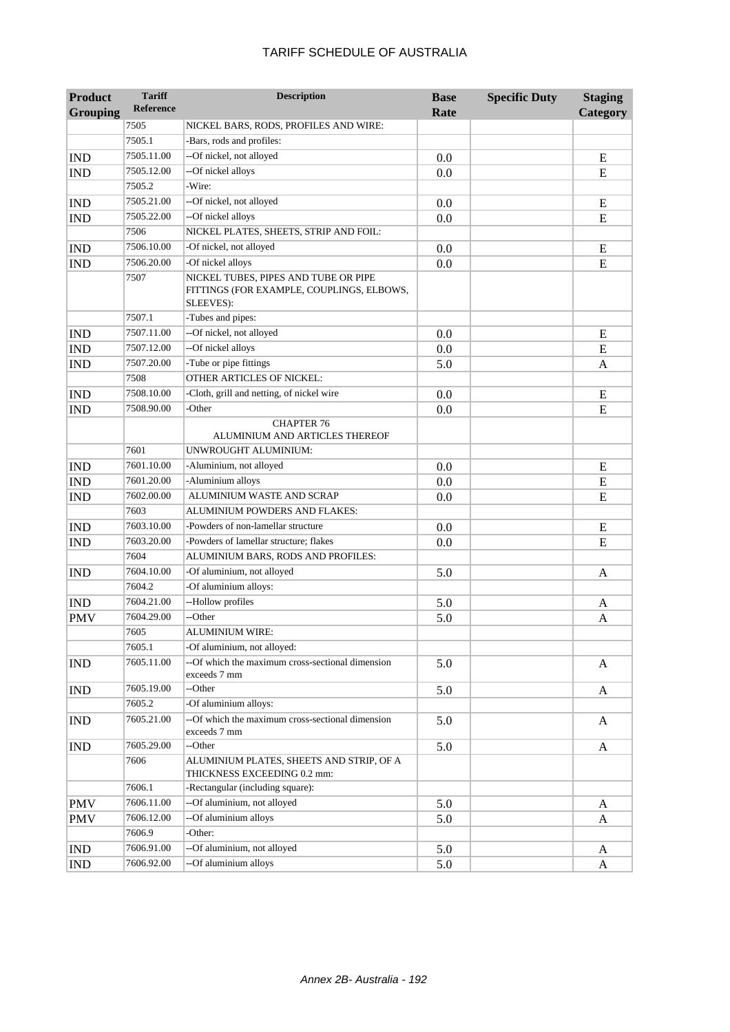| <b>Product</b>  | <b>Tariff</b>    | <b>Description</b>                                                                             | <b>Base</b> | <b>Specific Duty</b> | <b>Staging</b> |
|-----------------|------------------|------------------------------------------------------------------------------------------------|-------------|----------------------|----------------|
| <b>Grouping</b> | <b>Reference</b> |                                                                                                | Rate        |                      | Category       |
|                 | 7505             | NICKEL BARS, RODS, PROFILES AND WIRE:                                                          |             |                      |                |
|                 | 7505.1           | -Bars, rods and profiles:                                                                      |             |                      |                |
| <b>IND</b>      | 7505.11.00       | --Of nickel, not alloyed                                                                       | 0.0         |                      | E              |
| <b>IND</b>      | 7505.12.00       | --Of nickel alloys                                                                             | 0.0         |                      | E              |
|                 | 7505.2           | -Wire:                                                                                         |             |                      |                |
| <b>IND</b>      | 7505.21.00       | --Of nickel, not alloyed                                                                       | 0.0         |                      | E              |
| <b>IND</b>      | 7505.22.00       | --Of nickel alloys                                                                             | 0.0         |                      | E              |
|                 | 7506             | NICKEL PLATES, SHEETS, STRIP AND FOIL:                                                         |             |                      |                |
| <b>IND</b>      | 7506.10.00       | -Of nickel, not alloyed                                                                        | 0.0         |                      | E              |
| <b>IND</b>      | 7506.20.00       | -Of nickel alloys                                                                              | 0.0         |                      | ${\bf E}$      |
|                 | 7507             | NICKEL TUBES, PIPES AND TUBE OR PIPE<br>FITTINGS (FOR EXAMPLE, COUPLINGS, ELBOWS,<br>SLEEVES): |             |                      |                |
|                 | 7507.1           | -Tubes and pipes:                                                                              |             |                      |                |
| <b>IND</b>      | 7507.11.00       | --Of nickel, not alloyed                                                                       | 0.0         |                      | E              |
| <b>IND</b>      | 7507.12.00       | --Of nickel alloys                                                                             | 0.0         |                      | E              |
| <b>IND</b>      | 7507.20.00       | -Tube or pipe fittings                                                                         | 5.0         |                      | A              |
|                 | 7508             | OTHER ARTICLES OF NICKEL:                                                                      |             |                      |                |
| <b>IND</b>      | 7508.10.00       | -Cloth, grill and netting, of nickel wire                                                      | 0.0         |                      | E              |
| <b>IND</b>      | 7508.90.00       | -Other                                                                                         | 0.0         |                      | E              |
|                 |                  | <b>CHAPTER 76</b><br>ALUMINIUM AND ARTICLES THEREOF                                            |             |                      |                |
|                 | 7601             | UNWROUGHT ALUMINIUM:                                                                           |             |                      |                |
| <b>IND</b>      | 7601.10.00       | -Aluminium, not alloyed                                                                        | 0.0         |                      | E              |
| <b>IND</b>      | 7601.20.00       | -Aluminium alloys                                                                              | 0.0         |                      | ${\bf E}$      |
| <b>IND</b>      | 7602.00.00       | ALUMINIUM WASTE AND SCRAP                                                                      | 0.0         |                      | ${\bf E}$      |
|                 | 7603             | ALUMINIUM POWDERS AND FLAKES:                                                                  |             |                      |                |
| <b>IND</b>      | 7603.10.00       | -Powders of non-lamellar structure                                                             | 0.0         |                      | E              |
| <b>IND</b>      | 7603.20.00       | -Powders of lamellar structure; flakes                                                         | 0.0         |                      | ${\bf E}$      |
|                 | 7604             | ALUMINIUM BARS, RODS AND PROFILES:                                                             |             |                      |                |
| <b>IND</b>      | 7604.10.00       | -Of aluminium, not alloyed                                                                     | 5.0         |                      | $\mathbf{A}$   |
|                 | 7604.2           | -Of aluminium alloys:                                                                          |             |                      |                |
| <b>IND</b>      | 7604.21.00       | --Hollow profiles                                                                              | 5.0         |                      | A              |
| <b>PMV</b>      | 7604.29.00       | --Other                                                                                        | 5.0         |                      | A              |
|                 | 7605             | ALUMINIUM WIRE:                                                                                |             |                      |                |
|                 | 7605.1           | -Of aluminium, not alloyed:                                                                    |             |                      |                |
| <b>IND</b>      | 7605.11.00       | --Of which the maximum cross-sectional dimension<br>exceeds 7 mm                               | 5.0         |                      | A              |
| <b>IND</b>      | 7605.19.00       | --Other                                                                                        | 5.0         |                      | A              |
|                 | 7605.2           | -Of aluminium alloys:                                                                          |             |                      |                |
| <b>IND</b>      | 7605.21.00       | --Of which the maximum cross-sectional dimension<br>exceeds 7 mm                               | 5.0         |                      | A              |
| <b>IND</b>      | 7605.29.00       | --Other                                                                                        | 5.0         |                      | A              |
|                 | 7606             | ALUMINIUM PLATES, SHEETS AND STRIP, OF A<br>THICKNESS EXCEEDING 0.2 mm:                        |             |                      |                |
|                 | 7606.1           | -Rectangular (including square):                                                               |             |                      |                |
| <b>PMV</b>      | 7606.11.00       | --Of aluminium, not alloyed                                                                    | 5.0         |                      | A              |
| <b>PMV</b>      | 7606.12.00       | --Of aluminium alloys                                                                          | 5.0         |                      | A              |
|                 | 7606.9           | -Other:                                                                                        |             |                      |                |
| <b>IND</b>      | 7606.91.00       | --Of aluminium, not alloyed                                                                    | 5.0         |                      | A              |
| <b>IND</b>      | 7606.92.00       | --Of aluminium alloys                                                                          | 5.0         |                      | A              |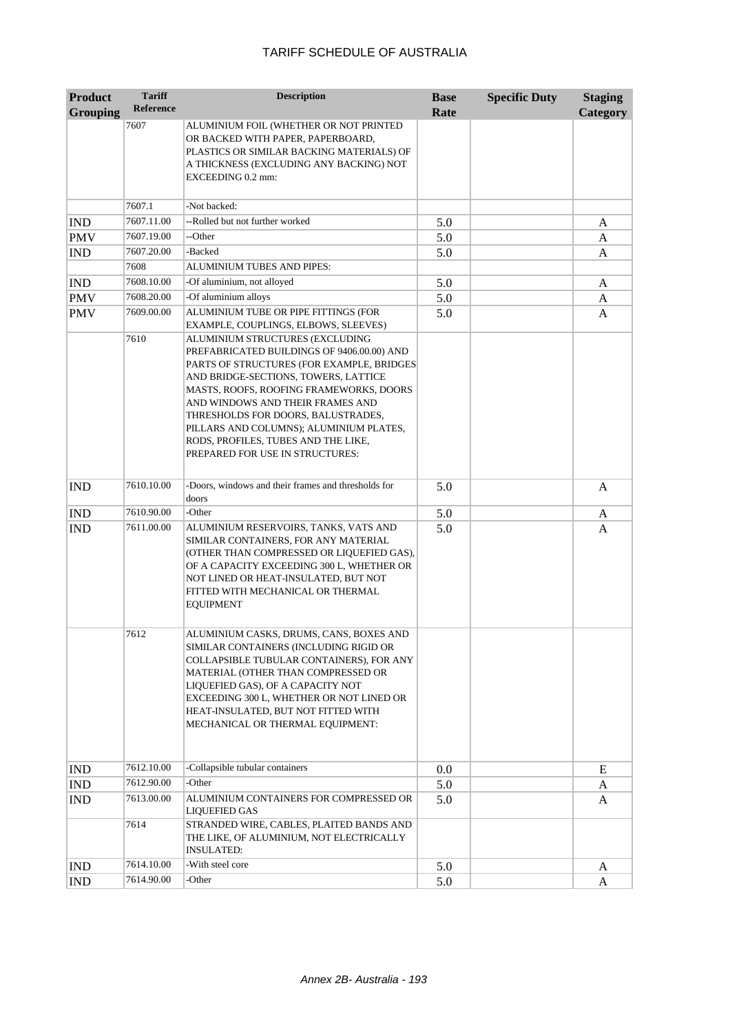| <b>Product</b>  | <b>Tariff</b>      | <b>Description</b>                                                                                                                                                                                                                                                                                                                                                         | <b>Base</b> | <b>Specific Duty</b> | <b>Staging</b>  |
|-----------------|--------------------|----------------------------------------------------------------------------------------------------------------------------------------------------------------------------------------------------------------------------------------------------------------------------------------------------------------------------------------------------------------------------|-------------|----------------------|-----------------|
| <b>Grouping</b> | <b>Reference</b>   |                                                                                                                                                                                                                                                                                                                                                                            | Rate        |                      | <b>Category</b> |
|                 | 7607               | ALUMINIUM FOIL (WHETHER OR NOT PRINTED<br>OR BACKED WITH PAPER, PAPERBOARD,<br>PLASTICS OR SIMILAR BACKING MATERIALS) OF<br>A THICKNESS (EXCLUDING ANY BACKING) NOT<br>EXCEEDING 0.2 mm:                                                                                                                                                                                   |             |                      |                 |
|                 | 7607.1             | -Not backed:                                                                                                                                                                                                                                                                                                                                                               |             |                      |                 |
| <b>IND</b>      | 7607.11.00         | --Rolled but not further worked                                                                                                                                                                                                                                                                                                                                            | 5.0         |                      | A               |
| <b>PMV</b>      | 7607.19.00         | --Other                                                                                                                                                                                                                                                                                                                                                                    | 5.0         |                      | A               |
| <b>IND</b>      | 7607.20.00         | -Backed                                                                                                                                                                                                                                                                                                                                                                    | 5.0         |                      | A               |
|                 | 7608               | ALUMINIUM TUBES AND PIPES:                                                                                                                                                                                                                                                                                                                                                 |             |                      |                 |
| <b>IND</b>      | 7608.10.00         | -Of aluminium, not alloyed                                                                                                                                                                                                                                                                                                                                                 | 5.0         |                      | A               |
| <b>PMV</b>      | 7608.20.00         | -Of aluminium alloys                                                                                                                                                                                                                                                                                                                                                       | 5.0         |                      | A               |
| <b>PMV</b>      | 7609.00.00<br>7610 | ALUMINIUM TUBE OR PIPE FITTINGS (FOR<br>EXAMPLE, COUPLINGS, ELBOWS, SLEEVES)<br>ALUMINIUM STRUCTURES (EXCLUDING                                                                                                                                                                                                                                                            | 5.0         |                      | A               |
|                 |                    | PREFABRICATED BUILDINGS OF 9406.00.00) AND<br>PARTS OF STRUCTURES (FOR EXAMPLE, BRIDGES)<br>AND BRIDGE-SECTIONS, TOWERS, LATTICE<br>MASTS, ROOFS, ROOFING FRAMEWORKS, DOORS<br>AND WINDOWS AND THEIR FRAMES AND<br>THRESHOLDS FOR DOORS, BALUSTRADES,<br>PILLARS AND COLUMNS); ALUMINIUM PLATES,<br>RODS, PROFILES, TUBES AND THE LIKE,<br>PREPARED FOR USE IN STRUCTURES: |             |                      |                 |
| <b>IND</b>      | 7610.10.00         | -Doors, windows and their frames and thresholds for<br>doors                                                                                                                                                                                                                                                                                                               | 5.0         |                      | A               |
| <b>IND</b>      | 7610.90.00         | -Other                                                                                                                                                                                                                                                                                                                                                                     | 5.0         |                      | A               |
| <b>IND</b>      | 7611.00.00         | ALUMINIUM RESERVOIRS, TANKS, VATS AND<br>SIMILAR CONTAINERS, FOR ANY MATERIAL<br>(OTHER THAN COMPRESSED OR LIQUEFIED GAS),<br>OF A CAPACITY EXCEEDING 300 L, WHETHER OR<br>NOT LINED OR HEAT-INSULATED, BUT NOT<br>FITTED WITH MECHANICAL OR THERMAL<br><b>EQUIPMENT</b>                                                                                                   | 5.0         |                      | A               |
|                 | 7612               | ALUMINIUM CASKS, DRUMS, CANS, BOXES AND<br>SIMILAR CONTAINERS (INCLUDING RIGID OR<br>COLLAPSIBLE TUBULAR CONTAINERS), FOR ANY<br>MATERIAL (OTHER THAN COMPRESSED OR<br>LIQUEFIED GAS), OF A CAPACITY NOT<br>EXCEEDING 300 L, WHETHER OR NOT LINED OR<br>HEAT-INSULATED, BUT NOT FITTED WITH<br>MECHANICAL OR THERMAL EQUIPMENT:                                            |             |                      |                 |
| <b>IND</b>      | 7612.10.00         | -Collapsible tubular containers                                                                                                                                                                                                                                                                                                                                            | 0.0         |                      | E               |
| <b>IND</b>      | 7612.90.00         | -Other                                                                                                                                                                                                                                                                                                                                                                     | 5.0         |                      | A               |
| <b>IND</b>      | 7613.00.00         | ALUMINIUM CONTAINERS FOR COMPRESSED OR<br><b>LIQUEFIED GAS</b>                                                                                                                                                                                                                                                                                                             | 5.0         |                      | A               |
|                 | 7614               | STRANDED WIRE, CABLES, PLAITED BANDS AND<br>THE LIKE, OF ALUMINIUM, NOT ELECTRICALLY<br><b>INSULATED:</b>                                                                                                                                                                                                                                                                  |             |                      |                 |
| <b>IND</b>      | 7614.10.00         | -With steel core                                                                                                                                                                                                                                                                                                                                                           | 5.0         |                      | A               |
| <b>IND</b>      | 7614.90.00         | -Other                                                                                                                                                                                                                                                                                                                                                                     | 5.0         |                      | A               |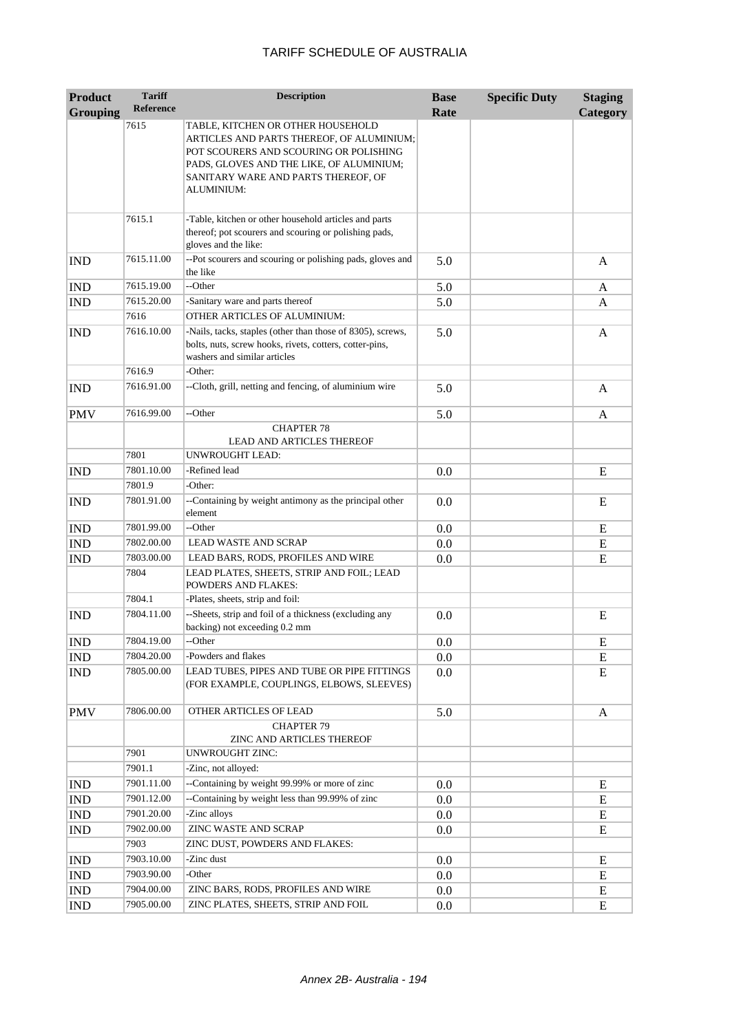| <b>Product</b>           | <b>Tariff</b>            | <b>Description</b>                                                                                                                                                                                                        | <b>Base</b> | <b>Specific Duty</b> | <b>Staging</b> |
|--------------------------|--------------------------|---------------------------------------------------------------------------------------------------------------------------------------------------------------------------------------------------------------------------|-------------|----------------------|----------------|
| <b>Grouping</b>          | <b>Reference</b>         |                                                                                                                                                                                                                           | Rate        |                      | Category       |
|                          | 7615                     | TABLE, KITCHEN OR OTHER HOUSEHOLD<br>ARTICLES AND PARTS THEREOF, OF ALUMINIUM;<br>POT SCOURERS AND SCOURING OR POLISHING<br>PADS, GLOVES AND THE LIKE, OF ALUMINIUM;<br>SANITARY WARE AND PARTS THEREOF, OF<br>ALUMINIUM: |             |                      |                |
|                          | 7615.1                   | -Table, kitchen or other household articles and parts<br>thereof; pot scourers and scouring or polishing pads,<br>gloves and the like:                                                                                    |             |                      |                |
| <b>IND</b>               | 7615.11.00               | --Pot scourers and scouring or polishing pads, gloves and<br>the like                                                                                                                                                     | 5.0         |                      | A              |
| <b>IND</b>               | 7615.19.00               | --Other                                                                                                                                                                                                                   | 5.0         |                      | A              |
| <b>IND</b>               | 7615.20.00               | -Sanitary ware and parts thereof                                                                                                                                                                                          | 5.0         |                      | A              |
|                          | 7616                     | OTHER ARTICLES OF ALUMINIUM:                                                                                                                                                                                              |             |                      |                |
| <b>IND</b>               | 7616.10.00               | -Nails, tacks, staples (other than those of 8305), screws,<br>bolts, nuts, screw hooks, rivets, cotters, cotter-pins,<br>washers and similar articles                                                                     | 5.0         |                      | A              |
| <b>IND</b>               | 7616.9<br>7616.91.00     | -Other:<br>--Cloth, grill, netting and fencing, of aluminium wire                                                                                                                                                         | 5.0         |                      | $\mathbf{A}$   |
| <b>PMV</b>               | 7616.99.00               | --Other                                                                                                                                                                                                                   | 5.0         |                      | A              |
|                          |                          | <b>CHAPTER 78</b>                                                                                                                                                                                                         |             |                      |                |
|                          |                          | <b>LEAD AND ARTICLES THEREOF</b>                                                                                                                                                                                          |             |                      |                |
|                          | 7801                     | <b>UNWROUGHT LEAD:</b>                                                                                                                                                                                                    |             |                      |                |
| <b>IND</b>               | 7801.10.00               | -Refined lead                                                                                                                                                                                                             | 0.0         |                      | E              |
|                          | 7801.9                   | -Other:                                                                                                                                                                                                                   |             |                      |                |
| <b>IND</b>               | 7801.91.00               | --Containing by weight antimony as the principal other<br>element                                                                                                                                                         | 0.0         |                      | E              |
| <b>IND</b>               | 7801.99.00               | --Other                                                                                                                                                                                                                   | 0.0         |                      | E              |
| <b>IND</b>               | 7802.00.00               | <b>LEAD WASTE AND SCRAP</b>                                                                                                                                                                                               | 0.0         |                      | E              |
| <b>IND</b>               | 7803.00.00               | LEAD BARS, RODS, PROFILES AND WIRE                                                                                                                                                                                        | 0.0         |                      | ${\bf E}$      |
|                          | 7804                     | LEAD PLATES, SHEETS, STRIP AND FOIL; LEAD<br><b>POWDERS AND FLAKES:</b>                                                                                                                                                   |             |                      |                |
|                          | 7804.1                   | -Plates, sheets, strip and foil:                                                                                                                                                                                          |             |                      |                |
| <b>IND</b>               | 7804.11.00               | --Sheets, strip and foil of a thickness (excluding any<br>backing) not exceeding 0.2 mm                                                                                                                                   | 0.0         |                      | E              |
| $\overline{\text{IND}}$  | 7804.19.00               | --Other                                                                                                                                                                                                                   | 0.0         |                      | E              |
| <b>IND</b><br><b>IND</b> | 7804.20.00<br>7805.00.00 | -Powders and flakes<br>LEAD TUBES, PIPES AND TUBE OR PIPE FITTINGS<br>(FOR EXAMPLE, COUPLINGS, ELBOWS, SLEEVES)                                                                                                           | 0.0<br>0.0  |                      | E<br>E         |
| <b>PMV</b>               | 7806.00.00               | OTHER ARTICLES OF LEAD                                                                                                                                                                                                    | 5.0         |                      | A              |
|                          |                          | <b>CHAPTER 79</b><br>ZINC AND ARTICLES THEREOF                                                                                                                                                                            |             |                      |                |
|                          | 7901                     | <b>UNWROUGHT ZINC:</b>                                                                                                                                                                                                    |             |                      |                |
|                          | 7901.1                   | -Zinc, not alloyed:                                                                                                                                                                                                       |             |                      |                |
| <b>IND</b>               | 7901.11.00               | --Containing by weight 99.99% or more of zinc                                                                                                                                                                             | 0.0         |                      | E              |
| <b>IND</b>               | 7901.12.00               | --Containing by weight less than 99.99% of zinc                                                                                                                                                                           | 0.0         |                      | E              |
| <b>IND</b>               | 7901.20.00               | -Zinc alloys                                                                                                                                                                                                              | 0.0         |                      | E              |
| <b>IND</b>               | 7902.00.00               | <b>ZINC WASTE AND SCRAP</b>                                                                                                                                                                                               | 0.0         |                      | E              |
|                          | 7903<br>7903.10.00       | ZINC DUST, POWDERS AND FLAKES:<br>-Zinc dust                                                                                                                                                                              |             |                      |                |
| <b>IND</b>               | 7903.90.00               | -Other                                                                                                                                                                                                                    | 0.0         |                      | E              |
| <b>IND</b><br><b>IND</b> | 7904.00.00               | ZINC BARS, RODS, PROFILES AND WIRE                                                                                                                                                                                        | 0.0<br>0.0  |                      | E<br>E         |
| <b>IND</b>               | 7905.00.00               | ZINC PLATES, SHEETS, STRIP AND FOIL                                                                                                                                                                                       | 0.0         |                      | ${\bf E}$      |
|                          |                          |                                                                                                                                                                                                                           |             |                      |                |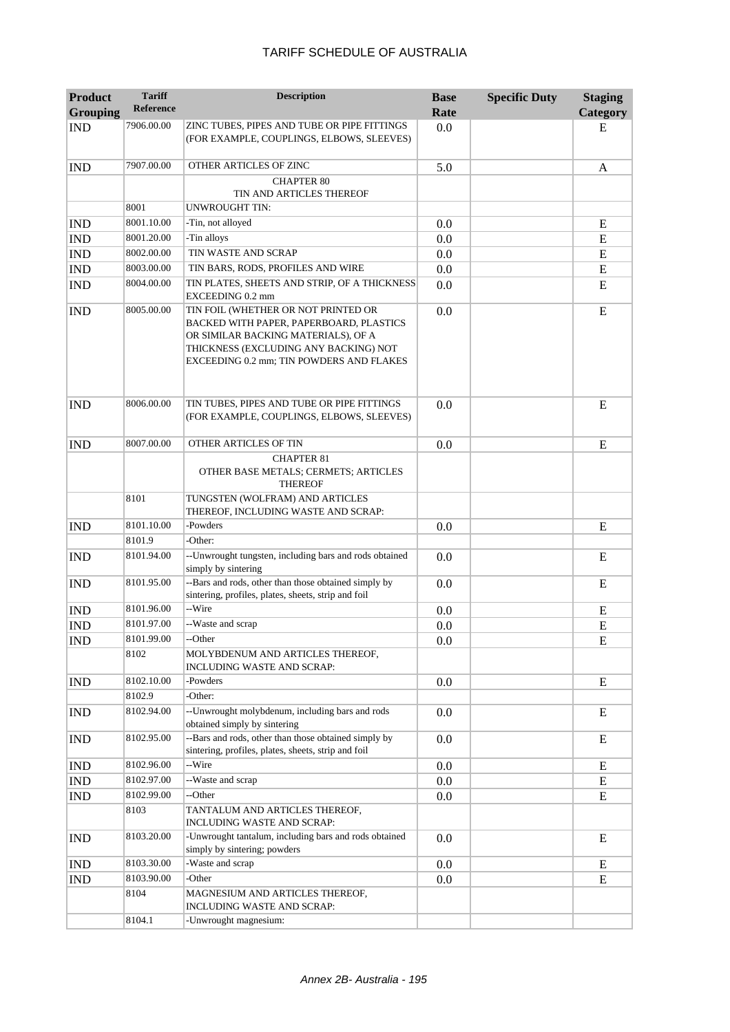| <b>Product</b><br><b>Grouping</b> | <b>Tariff</b><br>Reference | <b>Description</b>                                                                                                                                                                                         | <b>Base</b><br>Rate | <b>Specific Duty</b> | <b>Staging</b><br>Category |
|-----------------------------------|----------------------------|------------------------------------------------------------------------------------------------------------------------------------------------------------------------------------------------------------|---------------------|----------------------|----------------------------|
| <b>IND</b>                        | 7906.00.00                 | ZINC TUBES, PIPES AND TUBE OR PIPE FITTINGS<br>(FOR EXAMPLE, COUPLINGS, ELBOWS, SLEEVES)                                                                                                                   | 0.0                 |                      | Е                          |
| <b>IND</b>                        | 7907.00.00                 | OTHER ARTICLES OF ZINC                                                                                                                                                                                     | 5.0                 |                      | A                          |
|                                   |                            | <b>CHAPTER 80</b><br>TIN AND ARTICLES THEREOF                                                                                                                                                              |                     |                      |                            |
|                                   | 8001                       | UNWROUGHT TIN:                                                                                                                                                                                             |                     |                      |                            |
| <b>IND</b>                        | 8001.10.00                 | -Tin, not alloyed                                                                                                                                                                                          | 0.0                 |                      | Ε                          |
| <b>IND</b>                        | 8001.20.00                 | -Tin alloys                                                                                                                                                                                                | 0.0                 |                      | ${\bf E}$                  |
| <b>IND</b>                        | 8002.00.00                 | TIN WASTE AND SCRAP                                                                                                                                                                                        | 0.0                 |                      | Ε                          |
| <b>IND</b>                        | 8003.00.00                 | TIN BARS, RODS, PROFILES AND WIRE                                                                                                                                                                          | 0.0                 |                      | ${\bf E}$                  |
| <b>IND</b>                        | 8004.00.00                 | TIN PLATES, SHEETS AND STRIP, OF A THICKNESS<br>EXCEEDING 0.2 mm                                                                                                                                           | 0.0                 |                      | E                          |
| <b>IND</b>                        | 8005.00.00                 | TIN FOIL (WHETHER OR NOT PRINTED OR<br>BACKED WITH PAPER, PAPERBOARD, PLASTICS<br>OR SIMILAR BACKING MATERIALS), OF A<br>THICKNESS (EXCLUDING ANY BACKING) NOT<br>EXCEEDING 0.2 mm; TIN POWDERS AND FLAKES | 0.0                 |                      | E                          |
| <b>IND</b>                        | 8006.00.00                 | TIN TUBES, PIPES AND TUBE OR PIPE FITTINGS<br>(FOR EXAMPLE, COUPLINGS, ELBOWS, SLEEVES)                                                                                                                    | 0.0                 |                      | E                          |
| <b>IND</b>                        | 8007.00.00                 | <b>OTHER ARTICLES OF TIN</b>                                                                                                                                                                               | 0.0                 |                      | E                          |
|                                   |                            | <b>CHAPTER 81</b><br>OTHER BASE METALS; CERMETS; ARTICLES<br><b>THEREOF</b>                                                                                                                                |                     |                      |                            |
|                                   | 8101                       | TUNGSTEN (WOLFRAM) AND ARTICLES<br>THEREOF, INCLUDING WASTE AND SCRAP:                                                                                                                                     |                     |                      |                            |
| <b>IND</b>                        | 8101.10.00                 | -Powders                                                                                                                                                                                                   | 0.0                 |                      | E                          |
|                                   | 8101.9                     | -Other:                                                                                                                                                                                                    |                     |                      |                            |
| <b>IND</b>                        | 8101.94.00                 | --Unwrought tungsten, including bars and rods obtained<br>simply by sintering                                                                                                                              | 0.0                 |                      | E                          |
| <b>IND</b>                        | 8101.95.00                 | --Bars and rods, other than those obtained simply by<br>sintering, profiles, plates, sheets, strip and foil                                                                                                | 0.0                 |                      | E                          |
| <b>IND</b>                        | 8101.96.00                 | --Wire                                                                                                                                                                                                     | 0.0                 |                      | E                          |
| <b>IND</b>                        | 8101.97.00                 | --Waste and scrap                                                                                                                                                                                          | 0.0                 |                      | E                          |
| $\mathop{\rm IND}\nolimits$       | 8101.99.00                 | --Other                                                                                                                                                                                                    | 0.0                 |                      | ${\bf E}$                  |
|                                   | 8102                       | MOLYBDENUM AND ARTICLES THEREOF,<br>INCLUDING WASTE AND SCRAP:                                                                                                                                             |                     |                      |                            |
| <b>IND</b>                        | 8102.10.00                 | -Powders                                                                                                                                                                                                   | 0.0                 |                      | E                          |
|                                   | 8102.9                     | -Other:                                                                                                                                                                                                    |                     |                      |                            |
| <b>IND</b>                        | 8102.94.00                 | --Unwrought molybdenum, including bars and rods<br>obtained simply by sintering                                                                                                                            | 0.0                 |                      | E                          |
| <b>IND</b>                        | 8102.95.00                 | --Bars and rods, other than those obtained simply by<br>sintering, profiles, plates, sheets, strip and foil                                                                                                | 0.0                 |                      | E                          |
| <b>IND</b>                        | 8102.96.00                 | --Wire                                                                                                                                                                                                     | 0.0                 |                      | E                          |
| IND                               | 8102.97.00                 | --Waste and scrap                                                                                                                                                                                          | $0.0\,$             |                      | E                          |
| <b>IND</b>                        | 8102.99.00                 | --Other                                                                                                                                                                                                    | 0.0                 |                      | E                          |
|                                   | 8103                       | TANTALUM AND ARTICLES THEREOF,<br>INCLUDING WASTE AND SCRAP:                                                                                                                                               |                     |                      |                            |
| <b>IND</b>                        | 8103.20.00                 | -Unwrought tantalum, including bars and rods obtained<br>simply by sintering; powders                                                                                                                      | 0.0                 |                      | E                          |
| <b>IND</b>                        | 8103.30.00                 | -Waste and scrap                                                                                                                                                                                           | 0.0                 |                      | E                          |
| <b>IND</b>                        | 8103.90.00                 | -Other                                                                                                                                                                                                     | 0.0                 |                      | E                          |
|                                   | 8104                       | MAGNESIUM AND ARTICLES THEREOF,<br>INCLUDING WASTE AND SCRAP:                                                                                                                                              |                     |                      |                            |
|                                   | 8104.1                     | -Unwrought magnesium:                                                                                                                                                                                      |                     |                      |                            |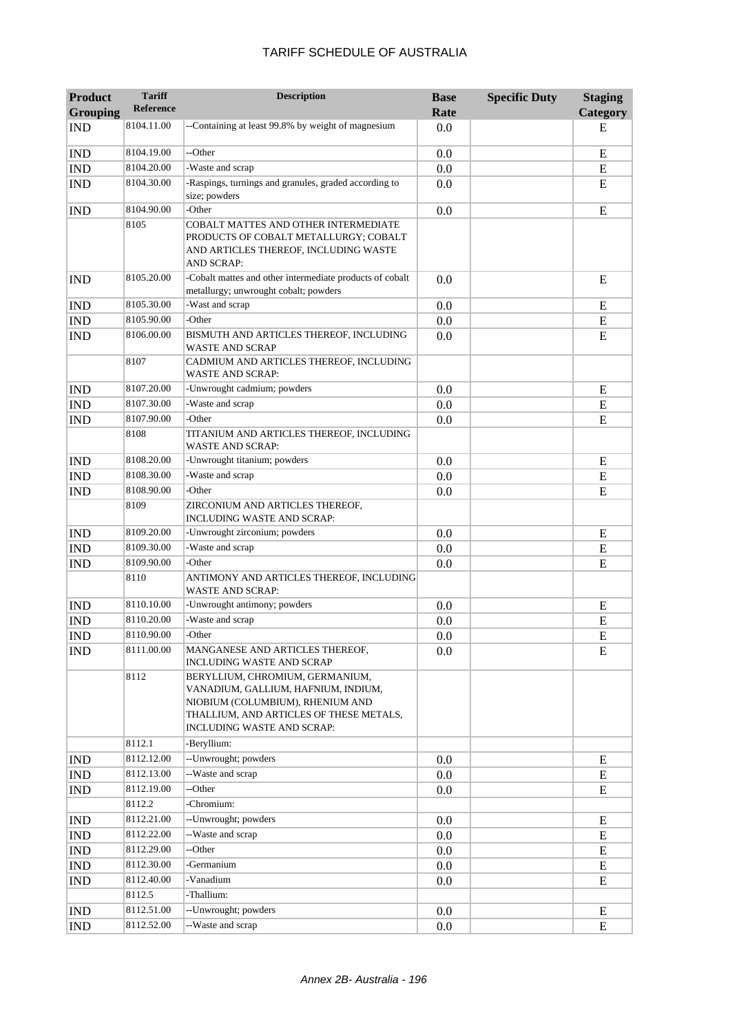| Product         | <b>Tariff</b>    | <b>Description</b>                                                                                                                                                                  | <b>Base</b> | <b>Specific Duty</b> | <b>Staging</b> |
|-----------------|------------------|-------------------------------------------------------------------------------------------------------------------------------------------------------------------------------------|-------------|----------------------|----------------|
| <b>Grouping</b> | <b>Reference</b> |                                                                                                                                                                                     | Rate        |                      | Category       |
| <b>IND</b>      | 8104.11.00       | --Containing at least 99.8% by weight of magnesium                                                                                                                                  | 0.0         |                      | Е              |
| <b>IND</b>      | 8104.19.00       | --Other                                                                                                                                                                             | 0.0         |                      | E              |
| <b>IND</b>      | 8104.20.00       | -Waste and scrap                                                                                                                                                                    | 0.0         |                      | E              |
| <b>IND</b>      | 8104.30.00       | -Raspings, turnings and granules, graded according to<br>size; powders                                                                                                              | 0.0         |                      | E              |
| <b>IND</b>      | 8104.90.00       | -Other                                                                                                                                                                              | 0.0         |                      | ${\bf E}$      |
|                 | 8105             | COBALT MATTES AND OTHER INTERMEDIATE<br>PRODUCTS OF COBALT METALLURGY; COBALT<br>AND ARTICLES THEREOF, INCLUDING WASTE<br><b>AND SCRAP:</b>                                         |             |                      |                |
| <b>IND</b>      | 8105.20.00       | -Cobalt mattes and other intermediate products of cobalt<br>metallurgy; unwrought cobalt; powders                                                                                   | 0.0         |                      | E              |
| <b>IND</b>      | 8105.30.00       | -Wast and scrap                                                                                                                                                                     | 0.0         |                      | E              |
| <b>IND</b>      | 8105.90.00       | -Other                                                                                                                                                                              | 0.0         |                      | ${\bf E}$      |
| <b>IND</b>      | 8106.00.00       | BISMUTH AND ARTICLES THEREOF, INCLUDING<br>WASTE AND SCRAP                                                                                                                          | 0.0         |                      | E              |
|                 | 8107             | CADMIUM AND ARTICLES THEREOF, INCLUDING<br><b>WASTE AND SCRAP:</b>                                                                                                                  |             |                      |                |
| <b>IND</b>      | 8107.20.00       | -Unwrought cadmium; powders                                                                                                                                                         | 0.0         |                      | E              |
| <b>IND</b>      | 8107.30.00       | -Waste and scrap                                                                                                                                                                    | 0.0         |                      | E              |
| <b>IND</b>      | 8107.90.00       | -Other                                                                                                                                                                              | 0.0         |                      | E              |
|                 | 8108             | TITANIUM AND ARTICLES THEREOF, INCLUDING<br><b>WASTE AND SCRAP:</b>                                                                                                                 |             |                      |                |
| <b>IND</b>      | 8108.20.00       | -Unwrought titanium; powders                                                                                                                                                        | 0.0         |                      | ${\bf E}$      |
| <b>IND</b>      | 8108.30.00       | -Waste and scrap                                                                                                                                                                    | 0.0         |                      | ${\bf E}$      |
| <b>IND</b>      | 8108.90.00       | -Other                                                                                                                                                                              | 0.0         |                      | ${\bf E}$      |
|                 | 8109             | ZIRCONIUM AND ARTICLES THEREOF,<br>INCLUDING WASTE AND SCRAP:                                                                                                                       |             |                      |                |
| <b>IND</b>      | 8109.20.00       | -Unwrought zirconium; powders                                                                                                                                                       | 0.0         |                      | E              |
| <b>IND</b>      | 8109.30.00       | -Waste and scrap                                                                                                                                                                    | 0.0         |                      | E              |
| <b>IND</b>      | 8109.90.00       | -Other                                                                                                                                                                              | 0.0         |                      | E              |
|                 | 8110             | ANTIMONY AND ARTICLES THEREOF, INCLUDING<br>WASTE AND SCRAP:                                                                                                                        |             |                      |                |
| <b>IND</b>      | 8110.10.00       | -Unwrought antimony; powders                                                                                                                                                        | 0.0         |                      | E              |
| <b>IND</b>      | 8110.20.00       | -Waste and scrap                                                                                                                                                                    | 0.0         |                      | E              |
| <b>IND</b>      | 8110.90.00       | -Other                                                                                                                                                                              | 0.0         |                      | E              |
| <b>IND</b>      | 8111.00.00       | MANGANESE AND ARTICLES THEREOF,<br>INCLUDING WASTE AND SCRAP                                                                                                                        | 0.0         |                      | E              |
|                 | 8112             | BERYLLIUM, CHROMIUM, GERMANIUM,<br>VANADIUM, GALLIUM, HAFNIUM, INDIUM,<br>NIOBIUM (COLUMBIUM), RHENIUM AND<br>THALLIUM, AND ARTICLES OF THESE METALS,<br>INCLUDING WASTE AND SCRAP: |             |                      |                |
|                 | 8112.1           | -Beryllium:                                                                                                                                                                         |             |                      |                |
| <b>IND</b>      | 8112.12.00       | --Unwrought; powders                                                                                                                                                                | 0.0         |                      | E              |
| <b>IND</b>      | 8112.13.00       | --Waste and scrap                                                                                                                                                                   | 0.0         |                      | E              |
| <b>IND</b>      | 8112.19.00       | --Other                                                                                                                                                                             | 0.0         |                      | E              |
|                 | 8112.2           | -Chromium:                                                                                                                                                                          |             |                      |                |
| <b>IND</b>      | 8112.21.00       | --Unwrought; powders                                                                                                                                                                | $0.0\,$     |                      | Ε              |
| <b>IND</b>      | 8112.22.00       | --Waste and scrap                                                                                                                                                                   | $0.0\,$     |                      | E              |
| <b>IND</b>      | 8112.29.00       | --Other                                                                                                                                                                             | $0.0\,$     |                      | E              |
| IND             | 8112.30.00       | -Germanium                                                                                                                                                                          | 0.0         |                      | E              |
| <b>IND</b>      | 8112.40.00       | -Vanadium                                                                                                                                                                           | 0.0         |                      | E              |
|                 | 8112.5           | -Thallium:                                                                                                                                                                          |             |                      |                |
| <b>IND</b>      | 8112.51.00       | --Unwrought; powders                                                                                                                                                                | 0.0         |                      | E              |
| <b>IND</b>      | 8112.52.00       | --Waste and scrap                                                                                                                                                                   | 0.0         |                      | E              |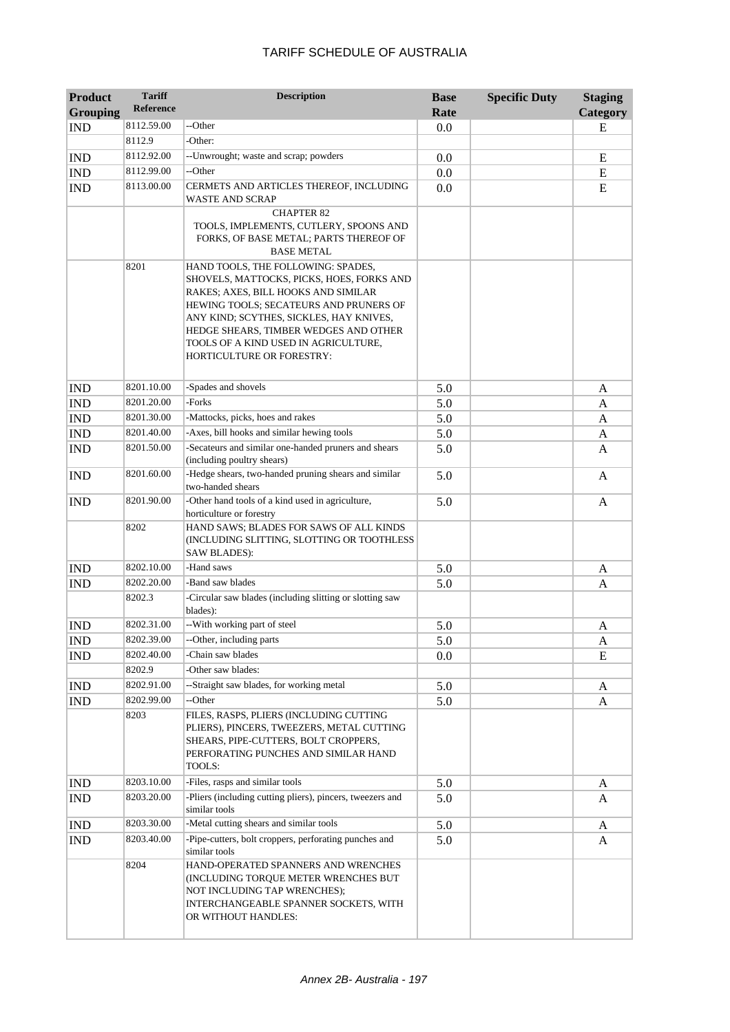| <b>Product</b><br><b>Grouping</b> | <b>Tariff</b><br><b>Reference</b> | <b>Description</b>                                                            | <b>Base</b><br>Rate | <b>Specific Duty</b> | <b>Staging</b><br>Category |
|-----------------------------------|-----------------------------------|-------------------------------------------------------------------------------|---------------------|----------------------|----------------------------|
| <b>IND</b>                        | 8112.59.00                        | --Other                                                                       | 0.0                 |                      | E                          |
|                                   | 8112.9                            | -Other:                                                                       |                     |                      |                            |
| <b>IND</b>                        | 8112.92.00                        | --Unwrought; waste and scrap; powders                                         | 0.0                 |                      | E                          |
| <b>IND</b>                        | 8112.99.00                        | --Other                                                                       | 0.0                 |                      | E                          |
| <b>IND</b>                        | 8113.00.00                        | CERMETS AND ARTICLES THEREOF, INCLUDING                                       | 0.0                 |                      | E                          |
|                                   |                                   | WASTE AND SCRAP                                                               |                     |                      |                            |
|                                   |                                   | <b>CHAPTER 82</b>                                                             |                     |                      |                            |
|                                   |                                   | TOOLS, IMPLEMENTS, CUTLERY, SPOONS AND                                        |                     |                      |                            |
|                                   |                                   | FORKS, OF BASE METAL; PARTS THEREOF OF<br><b>BASE METAL</b>                   |                     |                      |                            |
|                                   | 8201                              | HAND TOOLS, THE FOLLOWING: SPADES,                                            |                     |                      |                            |
|                                   |                                   | SHOVELS, MATTOCKS, PICKS, HOES, FORKS AND                                     |                     |                      |                            |
|                                   |                                   | RAKES; AXES, BILL HOOKS AND SIMILAR                                           |                     |                      |                            |
|                                   |                                   | HEWING TOOLS; SECATEURS AND PRUNERS OF                                        |                     |                      |                            |
|                                   |                                   | ANY KIND; SCYTHES, SICKLES, HAY KNIVES,                                       |                     |                      |                            |
|                                   |                                   | HEDGE SHEARS, TIMBER WEDGES AND OTHER<br>TOOLS OF A KIND USED IN AGRICULTURE, |                     |                      |                            |
|                                   |                                   | HORTICULTURE OR FORESTRY:                                                     |                     |                      |                            |
|                                   |                                   |                                                                               |                     |                      |                            |
| <b>IND</b>                        | 8201.10.00                        | -Spades and shovels                                                           | 5.0                 |                      | A                          |
| <b>IND</b>                        | 8201.20.00                        | -Forks                                                                        | 5.0                 |                      | A                          |
| <b>IND</b>                        | 8201.30.00                        | -Mattocks, picks, hoes and rakes                                              | 5.0                 |                      | A                          |
| <b>IND</b>                        | 8201.40.00                        | -Axes, bill hooks and similar hewing tools                                    | 5.0                 |                      | A                          |
| <b>IND</b>                        | 8201.50.00                        | -Secateurs and similar one-handed pruners and shears                          | 5.0                 |                      | A                          |
|                                   |                                   | (including poultry shears)                                                    |                     |                      |                            |
| <b>IND</b>                        | 8201.60.00                        | -Hedge shears, two-handed pruning shears and similar<br>two-handed shears     | 5.0                 |                      | A                          |
| <b>IND</b>                        | 8201.90.00                        | -Other hand tools of a kind used in agriculture,                              | 5.0                 |                      | A                          |
|                                   |                                   | horticulture or forestry                                                      |                     |                      |                            |
|                                   | 8202                              | HAND SAWS; BLADES FOR SAWS OF ALL KINDS                                       |                     |                      |                            |
|                                   |                                   | (INCLUDING SLITTING, SLOTTING OR TOOTHLESS                                    |                     |                      |                            |
|                                   |                                   | <b>SAW BLADES):</b>                                                           |                     |                      |                            |
| <b>IND</b>                        | 8202.10.00                        | -Hand saws                                                                    | 5.0                 |                      | A                          |
| <b>IND</b>                        | 8202.20.00                        | -Band saw blades                                                              | 5.0                 |                      | A                          |
|                                   | 8202.3                            | -Circular saw blades (including slitting or slotting saw<br>blades):          |                     |                      |                            |
| <b>IND</b>                        | 8202.31.00                        | -- With working part of steel                                                 | 5.0                 |                      | A                          |
| $\mathop{\rm IND}\nolimits$       | 8202.39.00                        | --Other, including parts                                                      | 5.0                 |                      | A                          |
| <b>IND</b>                        | 8202.40.00                        | -Chain saw blades                                                             | 0.0                 |                      | E                          |
|                                   | 8202.9                            | -Other saw blades:                                                            |                     |                      |                            |
| <b>IND</b>                        | 8202.91.00                        | --Straight saw blades, for working metal                                      | 5.0                 |                      | A                          |
| <b>IND</b>                        | 8202.99.00                        | --Other                                                                       | 5.0                 |                      | A                          |
|                                   | 8203                              | FILES, RASPS, PLIERS (INCLUDING CUTTING                                       |                     |                      |                            |
|                                   |                                   | PLIERS), PINCERS, TWEEZERS, METAL CUTTING                                     |                     |                      |                            |
|                                   |                                   | SHEARS, PIPE-CUTTERS, BOLT CROPPERS,<br>PERFORATING PUNCHES AND SIMILAR HAND  |                     |                      |                            |
|                                   |                                   | TOOLS:                                                                        |                     |                      |                            |
| <b>IND</b>                        | 8203.10.00                        | -Files, rasps and similar tools                                               | 5.0                 |                      | A                          |
| IND                               | 8203.20.00                        | -Pliers (including cutting pliers), pincers, tweezers and                     | 5.0                 |                      | A                          |
|                                   |                                   | similar tools                                                                 |                     |                      |                            |
| <b>IND</b>                        | 8203.30.00                        | -Metal cutting shears and similar tools                                       | 5.0                 |                      | A                          |
| <b>IND</b>                        | 8203.40.00                        | -Pipe-cutters, bolt croppers, perforating punches and                         | 5.0                 |                      | A                          |
|                                   |                                   | similar tools                                                                 |                     |                      |                            |
|                                   | 8204                              | HAND-OPERATED SPANNERS AND WRENCHES<br>(INCLUDING TORQUE METER WRENCHES BUT   |                     |                      |                            |
|                                   |                                   | NOT INCLUDING TAP WRENCHES);                                                  |                     |                      |                            |
|                                   |                                   | INTERCHANGEABLE SPANNER SOCKETS, WITH                                         |                     |                      |                            |
|                                   |                                   | OR WITHOUT HANDLES:                                                           |                     |                      |                            |
|                                   |                                   |                                                                               |                     |                      |                            |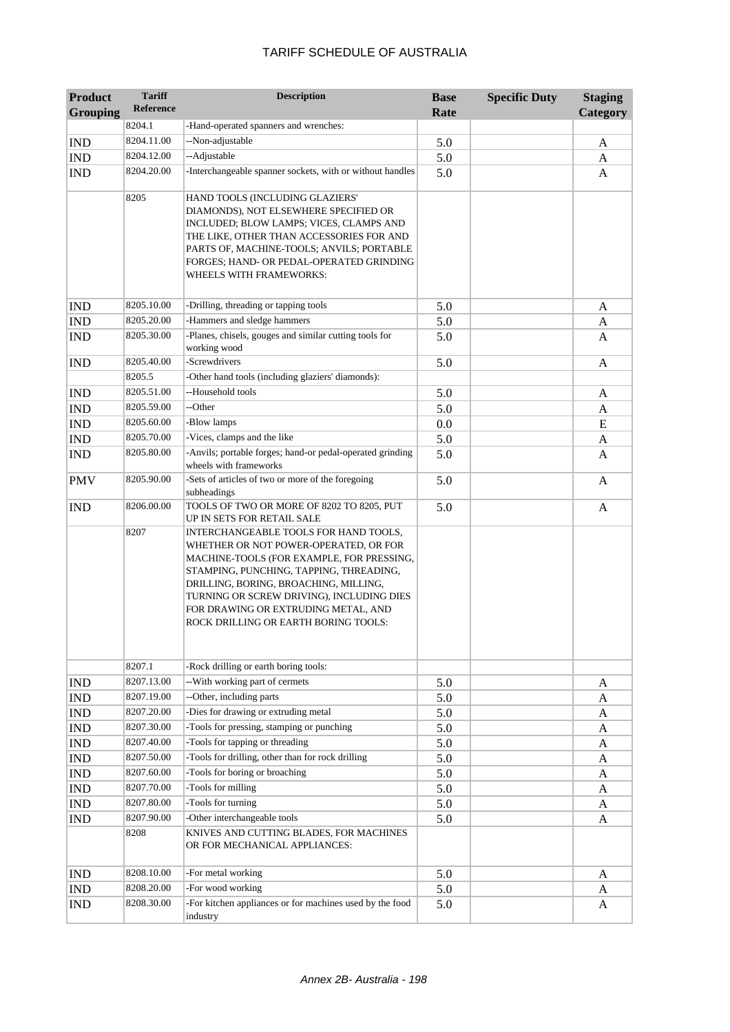| <b>Product</b><br><b>Grouping</b> | <b>Tariff</b><br><b>Reference</b> | <b>Description</b>                                                                   | <b>Base</b><br>Rate | <b>Specific Duty</b> | <b>Staging</b><br>Category |
|-----------------------------------|-----------------------------------|--------------------------------------------------------------------------------------|---------------------|----------------------|----------------------------|
|                                   | 8204.1                            | -Hand-operated spanners and wrenches:                                                |                     |                      |                            |
| <b>IND</b>                        | 8204.11.00                        | --Non-adjustable                                                                     | 5.0                 |                      | A                          |
| <b>IND</b>                        | 8204.12.00                        | --Adjustable                                                                         | 5.0                 |                      | A                          |
| <b>IND</b>                        | 8204.20.00                        | -Interchangeable spanner sockets, with or without handles                            | 5.0                 |                      | A                          |
|                                   |                                   |                                                                                      |                     |                      |                            |
|                                   | 8205                              | HAND TOOLS (INCLUDING GLAZIERS'                                                      |                     |                      |                            |
|                                   |                                   | DIAMONDS), NOT ELSEWHERE SPECIFIED OR<br>INCLUDED; BLOW LAMPS; VICES, CLAMPS AND     |                     |                      |                            |
|                                   |                                   | THE LIKE, OTHER THAN ACCESSORIES FOR AND                                             |                     |                      |                            |
|                                   |                                   | PARTS OF, MACHINE-TOOLS; ANVILS; PORTABLE                                            |                     |                      |                            |
|                                   |                                   | FORGES; HAND- OR PEDAL-OPERATED GRINDING                                             |                     |                      |                            |
|                                   |                                   | WHEELS WITH FRAMEWORKS:                                                              |                     |                      |                            |
|                                   |                                   |                                                                                      |                     |                      |                            |
| <b>IND</b>                        | 8205.10.00<br>8205.20.00          | -Drilling, threading or tapping tools<br>-Hammers and sledge hammers                 | 5.0                 |                      | A                          |
| <b>IND</b>                        | 8205.30.00                        | -Planes, chisels, gouges and similar cutting tools for                               | 5.0                 |                      | A                          |
| <b>IND</b>                        |                                   | working wood                                                                         | 5.0                 |                      | A                          |
| <b>IND</b>                        | 8205.40.00                        | -Screwdrivers                                                                        | 5.0                 |                      | A                          |
|                                   | 8205.5                            | -Other hand tools (including glaziers' diamonds):                                    |                     |                      |                            |
| <b>IND</b>                        | 8205.51.00                        | --Household tools                                                                    | 5.0                 |                      | A                          |
| <b>IND</b>                        | 8205.59.00                        | --Other                                                                              | 5.0                 |                      | A                          |
| <b>IND</b>                        | 8205.60.00                        | -Blow lamps                                                                          | 0.0                 |                      | E                          |
| <b>IND</b>                        | 8205.70.00                        | -Vices, clamps and the like                                                          | 5.0                 |                      | A                          |
| <b>IND</b>                        | 8205.80.00                        | -Anvils; portable forges; hand-or pedal-operated grinding<br>wheels with frameworks  | 5.0                 |                      | A                          |
| <b>PMV</b>                        | 8205.90.00                        | -Sets of articles of two or more of the foregoing<br>subheadings                     | 5.0                 |                      | A                          |
| <b>IND</b>                        | 8206.00.00                        | TOOLS OF TWO OR MORE OF 8202 TO 8205, PUT<br>UP IN SETS FOR RETAIL SALE              | 5.0                 |                      | A                          |
|                                   | 8207                              | INTERCHANGEABLE TOOLS FOR HAND TOOLS,                                                |                     |                      |                            |
|                                   |                                   | WHETHER OR NOT POWER-OPERATED, OR FOR                                                |                     |                      |                            |
|                                   |                                   | MACHINE-TOOLS (FOR EXAMPLE, FOR PRESSING,<br>STAMPING, PUNCHING, TAPPING, THREADING, |                     |                      |                            |
|                                   |                                   | DRILLING, BORING, BROACHING, MILLING,                                                |                     |                      |                            |
|                                   |                                   | TURNING OR SCREW DRIVING), INCLUDING DIES                                            |                     |                      |                            |
|                                   |                                   | FOR DRAWING OR EXTRUDING METAL, AND                                                  |                     |                      |                            |
|                                   |                                   | ROCK DRILLING OR EARTH BORING TOOLS:                                                 |                     |                      |                            |
|                                   |                                   |                                                                                      |                     |                      |                            |
|                                   | 8207.1                            | -Rock drilling or earth boring tools:                                                |                     |                      |                            |
| <b>IND</b>                        | 8207.13.00                        | --With working part of cermets                                                       | 5.0                 |                      | A                          |
| <b>IND</b>                        | 8207.19.00                        | --Other, including parts                                                             | 5.0                 |                      | A                          |
| IND                               | 8207.20.00                        | -Dies for drawing or extruding metal                                                 | 5.0                 |                      | A                          |
| IND                               | 8207.30.00                        | -Tools for pressing, stamping or punching                                            | 5.0                 |                      | A                          |
| IND                               | 8207.40.00                        | -Tools for tapping or threading                                                      | 5.0                 |                      | A                          |
| IND                               | 8207.50.00                        | -Tools for drilling, other than for rock drilling                                    | 5.0                 |                      | A                          |
| IND                               | 8207.60.00                        | -Tools for boring or broaching                                                       | 5.0                 |                      | A                          |
| IND                               | 8207.70.00                        | -Tools for milling                                                                   | 5.0                 |                      | A                          |
| $\mathop{\rm IND}\nolimits$       | 8207.80.00                        | -Tools for turning                                                                   | 5.0                 |                      | A                          |
| <b>IND</b>                        | 8207.90.00                        | -Other interchangeable tools                                                         | 5.0                 |                      | A                          |
|                                   | 8208                              | KNIVES AND CUTTING BLADES, FOR MACHINES<br>OR FOR MECHANICAL APPLIANCES:             |                     |                      |                            |
| <b>IND</b>                        | 8208.10.00                        | -For metal working                                                                   | 5.0                 |                      | A                          |
| <b>IND</b>                        | 8208.20.00                        | -For wood working                                                                    | 5.0                 |                      | A                          |
| <b>IND</b>                        | 8208.30.00                        | -For kitchen appliances or for machines used by the food<br>industry                 | 5.0                 |                      | A                          |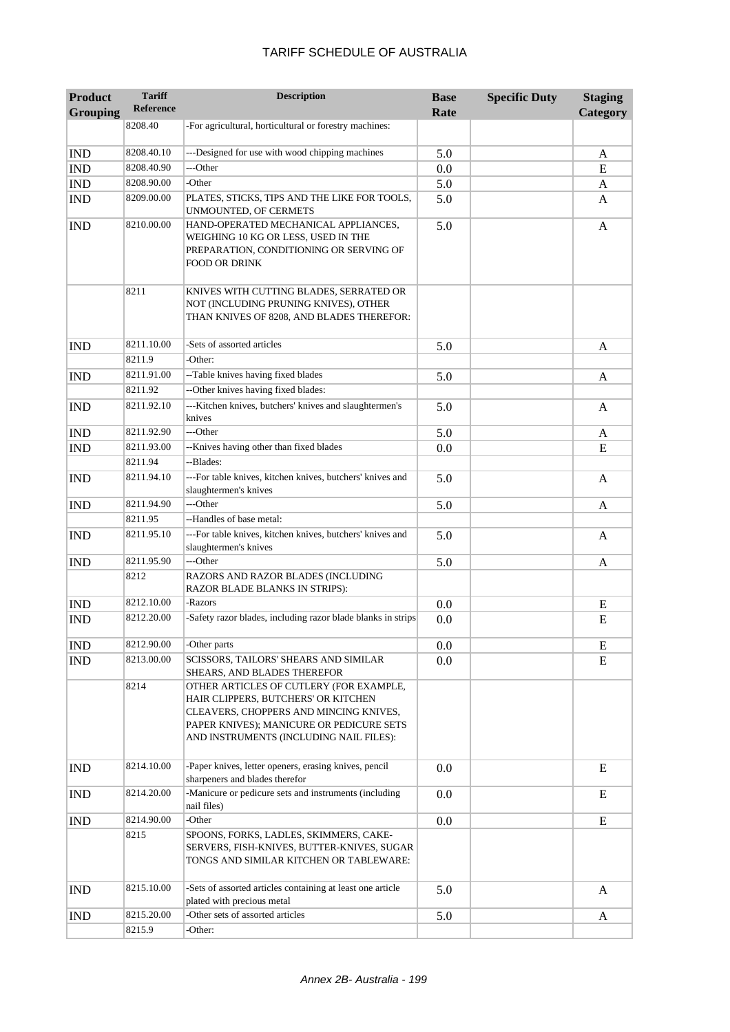| <b>Product</b><br><b>Grouping</b> | <b>Tariff</b><br><b>Reference</b> | <b>Description</b>                                                                                                                                                                                              | <b>Base</b><br>Rate | <b>Specific Duty</b> | <b>Staging</b><br>Category |
|-----------------------------------|-----------------------------------|-----------------------------------------------------------------------------------------------------------------------------------------------------------------------------------------------------------------|---------------------|----------------------|----------------------------|
|                                   | 8208.40                           | -For agricultural, horticultural or forestry machines:                                                                                                                                                          |                     |                      |                            |
|                                   |                                   |                                                                                                                                                                                                                 |                     |                      |                            |
| <b>IND</b>                        | 8208.40.10                        | ---Designed for use with wood chipping machines                                                                                                                                                                 | 5.0                 |                      | A                          |
| <b>IND</b>                        | 8208.40.90                        | ---Other                                                                                                                                                                                                        | 0.0                 |                      | E                          |
| <b>IND</b>                        | 8208.90.00                        | -Other                                                                                                                                                                                                          | 5.0                 |                      | A                          |
| <b>IND</b>                        | 8209.00.00                        | PLATES, STICKS, TIPS AND THE LIKE FOR TOOLS,<br>UNMOUNTED, OF CERMETS                                                                                                                                           | 5.0                 |                      | A                          |
| <b>IND</b>                        | 8210.00.00                        | HAND-OPERATED MECHANICAL APPLIANCES,<br>WEIGHING 10 KG OR LESS, USED IN THE<br>PREPARATION, CONDITIONING OR SERVING OF<br><b>FOOD OR DRINK</b>                                                                  | 5.0                 |                      | A                          |
|                                   | 8211                              | KNIVES WITH CUTTING BLADES, SERRATED OR<br>NOT (INCLUDING PRUNING KNIVES), OTHER<br>THAN KNIVES OF 8208, AND BLADES THEREFOR:                                                                                   |                     |                      |                            |
| <b>IND</b>                        | 8211.10.00                        | -Sets of assorted articles                                                                                                                                                                                      | 5.0                 |                      | A                          |
|                                   | 8211.9                            | -Other:                                                                                                                                                                                                         |                     |                      |                            |
| <b>IND</b>                        | 8211.91.00                        | --Table knives having fixed blades                                                                                                                                                                              | 5.0                 |                      | A                          |
|                                   | 8211.92                           | --Other knives having fixed blades:                                                                                                                                                                             |                     |                      |                            |
| <b>IND</b>                        | 8211.92.10                        | ---Kitchen knives, butchers' knives and slaughtermen's<br>knives                                                                                                                                                | 5.0                 |                      | A                          |
| <b>IND</b>                        | 8211.92.90                        | ---Other                                                                                                                                                                                                        | 5.0                 |                      | A                          |
| <b>IND</b>                        | 8211.93.00                        | --Knives having other than fixed blades                                                                                                                                                                         | 0.0                 |                      | E                          |
|                                   | 8211.94                           | --Blades:                                                                                                                                                                                                       |                     |                      |                            |
| <b>IND</b>                        | 8211.94.10                        | ---For table knives, kitchen knives, butchers' knives and<br>slaughtermen's knives                                                                                                                              | 5.0                 |                      | A                          |
| <b>IND</b>                        | 8211.94.90                        | ---Other                                                                                                                                                                                                        | 5.0                 |                      | A                          |
|                                   | 8211.95                           | --Handles of base metal:                                                                                                                                                                                        |                     |                      |                            |
| <b>IND</b>                        | 8211.95.10                        | ---For table knives, kitchen knives, butchers' knives and<br>slaughtermen's knives                                                                                                                              | 5.0                 |                      | A                          |
| <b>IND</b>                        | 8211.95.90                        | ---Other                                                                                                                                                                                                        | 5.0                 |                      | A                          |
|                                   | 8212                              | RAZORS AND RAZOR BLADES (INCLUDING<br>RAZOR BLADE BLANKS IN STRIPS):                                                                                                                                            |                     |                      |                            |
| <b>IND</b>                        | 8212.10.00                        | -Razors                                                                                                                                                                                                         | 0.0                 |                      | E                          |
| <b>IND</b>                        | 8212.20.00                        | -Safety razor blades, including razor blade blanks in strips                                                                                                                                                    | 0.0                 |                      | E                          |
| <b>IND</b>                        | 8212.90.00                        | -Other parts                                                                                                                                                                                                    | 0.0                 |                      | ${\bf E}$                  |
| <b>IND</b>                        | 8213.00.00                        | SCISSORS, TAILORS' SHEARS AND SIMILAR<br>SHEARS, AND BLADES THEREFOR                                                                                                                                            | 0.0                 |                      | E                          |
|                                   | 8214                              | OTHER ARTICLES OF CUTLERY (FOR EXAMPLE,<br>HAIR CLIPPERS, BUTCHERS' OR KITCHEN<br>CLEAVERS, CHOPPERS AND MINCING KNIVES,<br>PAPER KNIVES); MANICURE OR PEDICURE SETS<br>AND INSTRUMENTS (INCLUDING NAIL FILES): |                     |                      |                            |
| <b>IND</b>                        | 8214.10.00                        | -Paper knives, letter openers, erasing knives, pencil<br>sharpeners and blades therefor                                                                                                                         | 0.0                 |                      | E                          |
| <b>IND</b>                        | 8214.20.00                        | -Manicure or pedicure sets and instruments (including<br>nail files)                                                                                                                                            | 0.0                 |                      | E                          |
| <b>IND</b>                        | 8214.90.00                        | -Other                                                                                                                                                                                                          | 0.0                 |                      | ${\bf E}$                  |
|                                   | 8215                              | SPOONS, FORKS, LADLES, SKIMMERS, CAKE-<br>SERVERS, FISH-KNIVES, BUTTER-KNIVES, SUGAR<br>TONGS AND SIMILAR KITCHEN OR TABLEWARE:                                                                                 |                     |                      |                            |
| <b>IND</b>                        | 8215.10.00                        | -Sets of assorted articles containing at least one article<br>plated with precious metal                                                                                                                        | 5.0                 |                      | A                          |
| <b>IND</b>                        | 8215.20.00                        | -Other sets of assorted articles                                                                                                                                                                                | 5.0                 |                      | A                          |
|                                   | 8215.9                            | -Other:                                                                                                                                                                                                         |                     |                      |                            |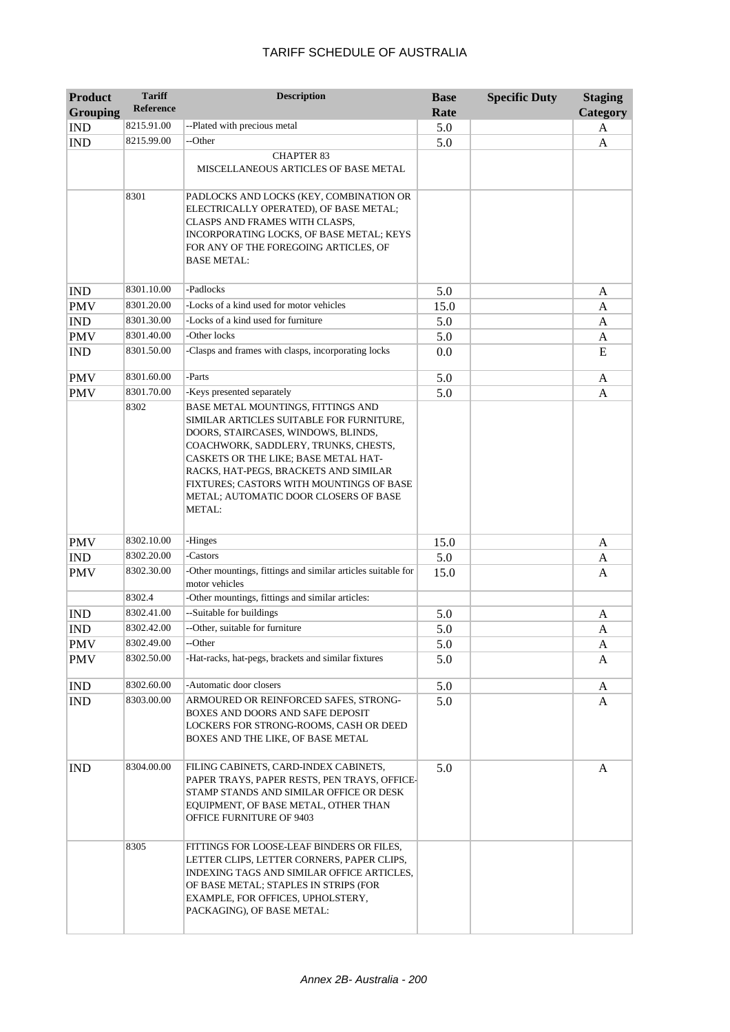| <b>Product</b><br><b>Grouping</b> | <b>Tariff</b><br><b>Reference</b> | <b>Description</b>                                                                                                                                                                                                                                                                                                                                   | <b>Base</b><br>Rate | <b>Specific Duty</b> | <b>Staging</b><br>Category |
|-----------------------------------|-----------------------------------|------------------------------------------------------------------------------------------------------------------------------------------------------------------------------------------------------------------------------------------------------------------------------------------------------------------------------------------------------|---------------------|----------------------|----------------------------|
| <b>IND</b>                        | 8215.91.00                        | --Plated with precious metal                                                                                                                                                                                                                                                                                                                         | 5.0                 |                      | A                          |
| <b>IND</b>                        | 8215.99.00                        | --Other                                                                                                                                                                                                                                                                                                                                              | 5.0                 |                      | A                          |
|                                   |                                   | <b>CHAPTER 83</b><br>MISCELLANEOUS ARTICLES OF BASE METAL                                                                                                                                                                                                                                                                                            |                     |                      |                            |
|                                   | 8301                              | PADLOCKS AND LOCKS (KEY, COMBINATION OR<br>ELECTRICALLY OPERATED), OF BASE METAL;<br>CLASPS AND FRAMES WITH CLASPS,<br>INCORPORATING LOCKS, OF BASE METAL; KEYS<br>FOR ANY OF THE FOREGOING ARTICLES, OF<br>BASE METAL:                                                                                                                              |                     |                      |                            |
| <b>IND</b>                        | 8301.10.00                        | -Padlocks                                                                                                                                                                                                                                                                                                                                            | 5.0                 |                      | A                          |
| <b>PMV</b>                        | 8301.20.00                        | -Locks of a kind used for motor vehicles                                                                                                                                                                                                                                                                                                             | 15.0                |                      | A                          |
| <b>IND</b>                        | 8301.30.00                        | -Locks of a kind used for furniture                                                                                                                                                                                                                                                                                                                  | 5.0                 |                      | A                          |
| <b>PMV</b>                        | 8301.40.00                        | -Other locks                                                                                                                                                                                                                                                                                                                                         | 5.0                 |                      | A                          |
| <b>IND</b>                        | 8301.50.00                        | -Clasps and frames with clasps, incorporating locks                                                                                                                                                                                                                                                                                                  | 0.0                 |                      | E                          |
| <b>PMV</b>                        | 8301.60.00                        | -Parts                                                                                                                                                                                                                                                                                                                                               | 5.0                 |                      | A                          |
| <b>PMV</b>                        | 8301.70.00                        | -Keys presented separately                                                                                                                                                                                                                                                                                                                           | 5.0                 |                      | A                          |
|                                   | 8302                              | BASE METAL MOUNTINGS, FITTINGS AND<br>SIMILAR ARTICLES SUITABLE FOR FURNITURE,<br>DOORS, STAIRCASES, WINDOWS, BLINDS,<br>COACHWORK, SADDLERY, TRUNKS, CHESTS,<br>CASKETS OR THE LIKE; BASE METAL HAT-<br>RACKS, HAT-PEGS, BRACKETS AND SIMILAR<br>FIXTURES; CASTORS WITH MOUNTINGS OF BASE<br>METAL; AUTOMATIC DOOR CLOSERS OF BASE<br><b>METAL:</b> |                     |                      |                            |
| <b>PMV</b>                        | 8302.10.00                        | -Hinges                                                                                                                                                                                                                                                                                                                                              | 15.0                |                      | A                          |
| <b>IND</b>                        | 8302.20.00                        | -Castors                                                                                                                                                                                                                                                                                                                                             | 5.0                 |                      | A                          |
| <b>PMV</b>                        | 8302.30.00                        | -Other mountings, fittings and similar articles suitable for<br>motor vehicles                                                                                                                                                                                                                                                                       | 15.0                |                      | A                          |
|                                   | 8302.4                            | -Other mountings, fittings and similar articles:                                                                                                                                                                                                                                                                                                     |                     |                      |                            |
| <b>IND</b>                        | 8302.41.00                        | --Suitable for buildings                                                                                                                                                                                                                                                                                                                             | 5.0                 |                      | A                          |
| <b>IND</b>                        | 8302.42.00                        | --Other, suitable for furniture                                                                                                                                                                                                                                                                                                                      | 5.0                 |                      | A                          |
| <b>PMV</b>                        | 8302.49.00                        | --Other                                                                                                                                                                                                                                                                                                                                              | 5.0                 |                      | A                          |
| <b>PMV</b>                        | 8302.50.00                        | -Hat-racks, hat-pegs, brackets and similar fixtures                                                                                                                                                                                                                                                                                                  | 5.0                 |                      | A                          |
| <b>IND</b>                        | 8302.60.00                        | -Automatic door closers                                                                                                                                                                                                                                                                                                                              | 5.0                 |                      | A                          |
| <b>IND</b>                        | 8303.00.00                        | ARMOURED OR REINFORCED SAFES, STRONG-<br>BOXES AND DOORS AND SAFE DEPOSIT<br>LOCKERS FOR STRONG-ROOMS, CASH OR DEED<br>BOXES AND THE LIKE, OF BASE METAL                                                                                                                                                                                             | 5.0                 |                      | A                          |
| <b>IND</b>                        | 8304.00.00                        | FILING CABINETS, CARD-INDEX CABINETS,<br>PAPER TRAYS, PAPER RESTS, PEN TRAYS, OFFICE-<br>STAMP STANDS AND SIMILAR OFFICE OR DESK<br>EQUIPMENT, OF BASE METAL, OTHER THAN<br>OFFICE FURNITURE OF 9403                                                                                                                                                 | 5.0                 |                      | A                          |
|                                   | 8305                              | FITTINGS FOR LOOSE-LEAF BINDERS OR FILES,<br>LETTER CLIPS, LETTER CORNERS, PAPER CLIPS,<br>INDEXING TAGS AND SIMILAR OFFICE ARTICLES,<br>OF BASE METAL; STAPLES IN STRIPS (FOR<br>EXAMPLE, FOR OFFICES, UPHOLSTERY,<br>PACKAGING), OF BASE METAL:                                                                                                    |                     |                      |                            |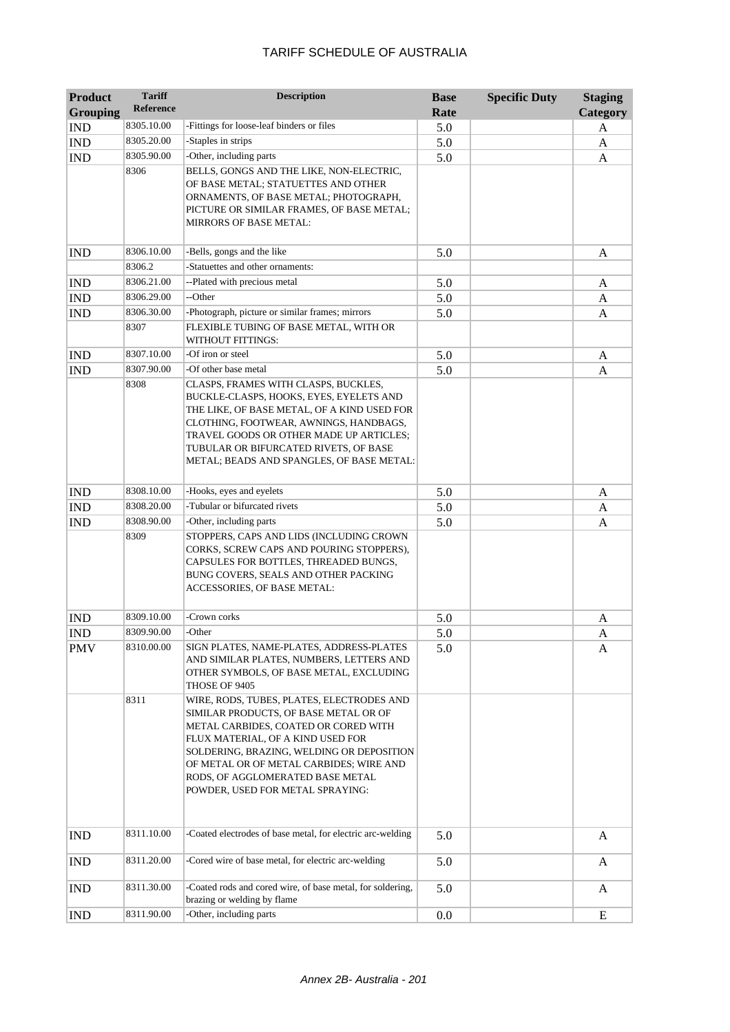| <b>Product</b>  | <b>Tariff</b>    | <b>Description</b>                                                                                                                                                                                                                                                                                                              | <b>Base</b> | <b>Specific Duty</b> | <b>Staging</b> |
|-----------------|------------------|---------------------------------------------------------------------------------------------------------------------------------------------------------------------------------------------------------------------------------------------------------------------------------------------------------------------------------|-------------|----------------------|----------------|
| <b>Grouping</b> | <b>Reference</b> |                                                                                                                                                                                                                                                                                                                                 | Rate        |                      | Category       |
| <b>IND</b>      | 8305.10.00       | -Fittings for loose-leaf binders or files                                                                                                                                                                                                                                                                                       | 5.0         |                      | A              |
| <b>IND</b>      | 8305.20.00       | -Staples in strips                                                                                                                                                                                                                                                                                                              | 5.0         |                      | A              |
| <b>IND</b>      | 8305.90.00       | -Other, including parts                                                                                                                                                                                                                                                                                                         | 5.0         |                      | A              |
|                 | 8306             | BELLS, GONGS AND THE LIKE, NON-ELECTRIC,<br>OF BASE METAL; STATUETTES AND OTHER<br>ORNAMENTS, OF BASE METAL; PHOTOGRAPH,<br>PICTURE OR SIMILAR FRAMES, OF BASE METAL;<br>MIRRORS OF BASE METAL:                                                                                                                                 |             |                      |                |
| <b>IND</b>      | 8306.10.00       | -Bells, gongs and the like                                                                                                                                                                                                                                                                                                      | 5.0         |                      | A              |
|                 | 8306.2           | -Statuettes and other ornaments:                                                                                                                                                                                                                                                                                                |             |                      |                |
| <b>IND</b>      | 8306.21.00       | --Plated with precious metal                                                                                                                                                                                                                                                                                                    | 5.0         |                      | A              |
| <b>IND</b>      | 8306.29.00       | --Other                                                                                                                                                                                                                                                                                                                         | 5.0         |                      | A              |
| <b>IND</b>      | 8306.30.00       | -Photograph, picture or similar frames; mirrors                                                                                                                                                                                                                                                                                 | 5.0         |                      | A              |
|                 | 8307             | FLEXIBLE TUBING OF BASE METAL, WITH OR<br>WITHOUT FITTINGS:                                                                                                                                                                                                                                                                     |             |                      |                |
| <b>IND</b>      | 8307.10.00       | -Of iron or steel                                                                                                                                                                                                                                                                                                               | 5.0         |                      | A              |
| <b>IND</b>      | 8307.90.00       | -Of other base metal                                                                                                                                                                                                                                                                                                            | 5.0         |                      | A              |
|                 | 8308             | CLASPS, FRAMES WITH CLASPS, BUCKLES,<br>BUCKLE-CLASPS, HOOKS, EYES, EYELETS AND<br>THE LIKE, OF BASE METAL, OF A KIND USED FOR<br>CLOTHING, FOOTWEAR, AWNINGS, HANDBAGS,<br>TRAVEL GOODS OR OTHER MADE UP ARTICLES;<br>TUBULAR OR BIFURCATED RIVETS, OF BASE<br>METAL; BEADS AND SPANGLES, OF BASE METAL:                       |             |                      |                |
| <b>IND</b>      | 8308.10.00       | -Hooks, eyes and eyelets                                                                                                                                                                                                                                                                                                        | 5.0         |                      | A              |
| <b>IND</b>      | 8308.20.00       | -Tubular or bifurcated rivets                                                                                                                                                                                                                                                                                                   | 5.0         |                      | A              |
| <b>IND</b>      | 8308.90.00       | -Other, including parts                                                                                                                                                                                                                                                                                                         | 5.0         |                      | A              |
|                 | 8309             | STOPPERS, CAPS AND LIDS (INCLUDING CROWN<br>CORKS, SCREW CAPS AND POURING STOPPERS),<br>CAPSULES FOR BOTTLES, THREADED BUNGS,<br>BUNG COVERS, SEALS AND OTHER PACKING<br>ACCESSORIES, OF BASE METAL:                                                                                                                            |             |                      |                |
| <b>IND</b>      | 8309.10.00       | -Crown corks                                                                                                                                                                                                                                                                                                                    | 5.0         |                      | A              |
| <b>IND</b>      | 8309.90.00       | -Other                                                                                                                                                                                                                                                                                                                          | 5.0         |                      | A              |
| <b>PMV</b>      | 8310.00.00       | SIGN PLATES, NAME-PLATES, ADDRESS-PLATES<br>AND SIMILAR PLATES, NUMBERS, LETTERS AND<br>OTHER SYMBOLS, OF BASE METAL, EXCLUDING<br>THOSE OF 9405                                                                                                                                                                                | 5.0         |                      | A              |
|                 | 8311             | WIRE, RODS, TUBES, PLATES, ELECTRODES AND<br>SIMILAR PRODUCTS, OF BASE METAL OR OF<br>METAL CARBIDES, COATED OR CORED WITH<br>FLUX MATERIAL, OF A KIND USED FOR<br>SOLDERING, BRAZING, WELDING OR DEPOSITION<br>OF METAL OR OF METAL CARBIDES; WIRE AND<br>RODS, OF AGGLOMERATED BASE METAL<br>POWDER, USED FOR METAL SPRAYING: |             |                      |                |
| <b>IND</b>      | 8311.10.00       | -Coated electrodes of base metal, for electric arc-welding                                                                                                                                                                                                                                                                      | 5.0         |                      | A              |
| <b>IND</b>      | 8311.20.00       | -Cored wire of base metal, for electric arc-welding                                                                                                                                                                                                                                                                             | 5.0         |                      | A              |
| <b>IND</b>      | 8311.30.00       | -Coated rods and cored wire, of base metal, for soldering,<br>brazing or welding by flame                                                                                                                                                                                                                                       | 5.0         |                      | A              |
| <b>IND</b>      | 8311.90.00       | -Other, including parts                                                                                                                                                                                                                                                                                                         | 0.0         |                      | E              |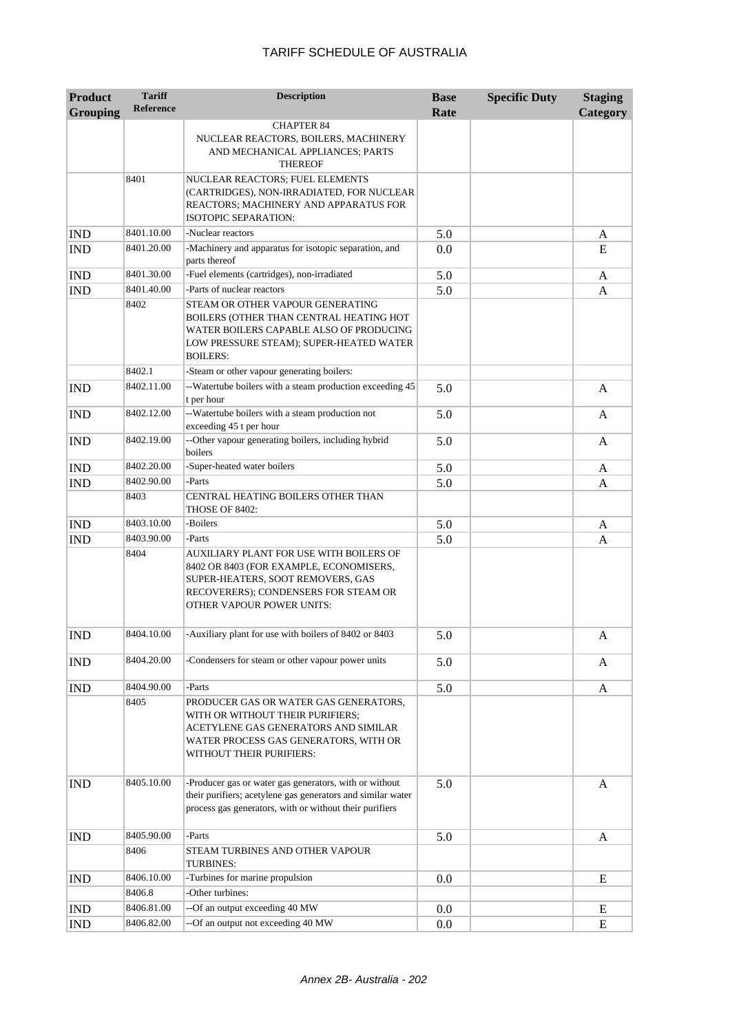| <b>Product</b><br><b>Grouping</b> | <b>Tariff</b><br><b>Reference</b> | <b>Description</b>                                                                                                                                                                                     | <b>Base</b><br>Rate | <b>Specific Duty</b> | <b>Staging</b><br>Category |
|-----------------------------------|-----------------------------------|--------------------------------------------------------------------------------------------------------------------------------------------------------------------------------------------------------|---------------------|----------------------|----------------------------|
|                                   |                                   | <b>CHAPTER 84</b><br>NUCLEAR REACTORS, BOILERS, MACHINERY<br>AND MECHANICAL APPLIANCES; PARTS<br><b>THEREOF</b>                                                                                        |                     |                      |                            |
|                                   | 8401                              | NUCLEAR REACTORS; FUEL ELEMENTS<br>(CARTRIDGES), NON-IRRADIATED, FOR NUCLEAR<br>REACTORS; MACHINERY AND APPARATUS FOR<br>ISOTOPIC SEPARATION:                                                          |                     |                      |                            |
| <b>IND</b>                        | 8401.10.00                        | -Nuclear reactors                                                                                                                                                                                      | 5.0                 |                      | A                          |
| <b>IND</b>                        | 8401.20.00                        | -Machinery and apparatus for isotopic separation, and<br>parts thereof                                                                                                                                 | 0.0                 |                      | E                          |
| <b>IND</b>                        | 8401.30.00                        | -Fuel elements (cartridges), non-irradiated                                                                                                                                                            | 5.0                 |                      | A                          |
| <b>IND</b>                        | 8401.40.00                        | -Parts of nuclear reactors                                                                                                                                                                             | 5.0                 |                      | A                          |
|                                   | 8402                              | STEAM OR OTHER VAPOUR GENERATING<br>BOILERS (OTHER THAN CENTRAL HEATING HOT<br>WATER BOILERS CAPABLE ALSO OF PRODUCING<br>LOW PRESSURE STEAM); SUPER-HEATED WATER<br><b>BOILERS:</b>                   |                     |                      |                            |
|                                   | 8402.1                            | -Steam or other vapour generating boilers:                                                                                                                                                             |                     |                      |                            |
| <b>IND</b>                        | 8402.11.00                        | --Watertube boilers with a steam production exceeding 45<br>t per hour                                                                                                                                 | 5.0                 |                      | A                          |
| <b>IND</b>                        | 8402.12.00                        | --Watertube boilers with a steam production not<br>exceeding 45 t per hour                                                                                                                             | 5.0                 |                      | A                          |
| <b>IND</b>                        | 8402.19.00                        | --Other vapour generating boilers, including hybrid<br>boilers                                                                                                                                         | 5.0                 |                      | A                          |
| <b>IND</b>                        | 8402.20.00                        | -Super-heated water boilers                                                                                                                                                                            | 5.0                 |                      | A                          |
| <b>IND</b>                        | 8402.90.00                        | -Parts                                                                                                                                                                                                 | 5.0                 |                      | A                          |
|                                   | 8403                              | CENTRAL HEATING BOILERS OTHER THAN<br>THOSE OF 8402:                                                                                                                                                   |                     |                      |                            |
| <b>IND</b>                        | 8403.10.00                        | -Boilers                                                                                                                                                                                               | 5.0                 |                      | A                          |
| <b>IND</b>                        | 8403.90.00<br>8404                | -Parts<br>AUXILIARY PLANT FOR USE WITH BOILERS OF<br>8402 OR 8403 (FOR EXAMPLE, ECONOMISERS,<br>SUPER-HEATERS, SOOT REMOVERS, GAS<br>RECOVERERS); CONDENSERS FOR STEAM OR<br>OTHER VAPOUR POWER UNITS: | 5.0                 |                      | A                          |
| <b>IND</b>                        | 8404.10.00                        | -Auxiliary plant for use with boilers of 8402 or 8403                                                                                                                                                  | 5.0                 |                      | Α                          |
| <b>IND</b>                        | 8404.20.00                        | -Condensers for steam or other vapour power units                                                                                                                                                      | 5.0                 |                      | A                          |
| <b>IND</b>                        | 8404.90.00                        | -Parts                                                                                                                                                                                                 | 5.0                 |                      | A                          |
|                                   | 8405                              | PRODUCER GAS OR WATER GAS GENERATORS,<br>WITH OR WITHOUT THEIR PURIFIERS;<br>ACETYLENE GAS GENERATORS AND SIMILAR<br>WATER PROCESS GAS GENERATORS, WITH OR<br>WITHOUT THEIR PURIFIERS:                 |                     |                      |                            |
| <b>IND</b>                        | 8405.10.00                        | -Producer gas or water gas generators, with or without<br>their purifiers; acetylene gas generators and similar water<br>process gas generators, with or without their purifiers                       | 5.0                 |                      | A                          |
| <b>IND</b>                        | 8405.90.00                        | -Parts                                                                                                                                                                                                 | 5.0                 |                      | A                          |
|                                   | 8406                              | STEAM TURBINES AND OTHER VAPOUR<br>TURBINES:                                                                                                                                                           |                     |                      |                            |
| <b>IND</b>                        | 8406.10.00                        | -Turbines for marine propulsion                                                                                                                                                                        | 0.0                 |                      | E                          |
|                                   | 8406.8                            | -Other turbines:                                                                                                                                                                                       |                     |                      |                            |
| <b>IND</b>                        | 8406.81.00                        | --Of an output exceeding 40 MW                                                                                                                                                                         | 0.0                 |                      | E                          |
| IND                               | 8406.82.00                        | --Of an output not exceeding 40 MW                                                                                                                                                                     | 0.0                 |                      | E                          |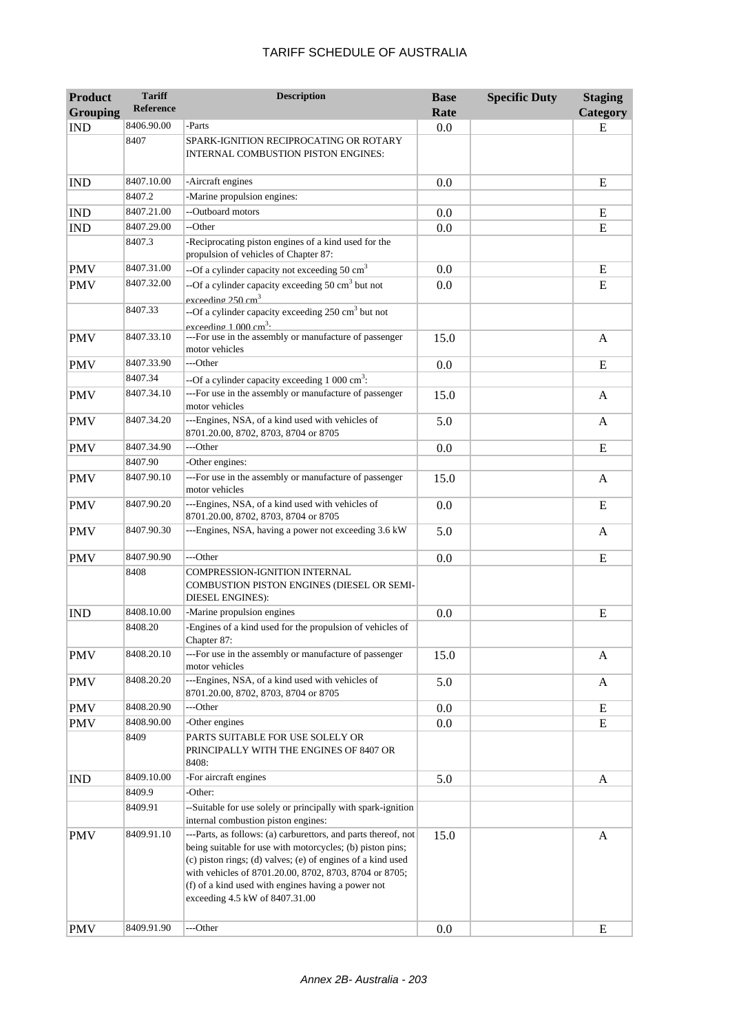| TARIFF SCHEDULE OF AUSTRALIA |
|------------------------------|
|------------------------------|

| <b>Product</b>  | <b>Tariff</b>    | <b>Description</b>                                                                                                                                                                                                                                                                                                                           | <b>Base</b> | <b>Specific Duty</b> | <b>Staging</b> |
|-----------------|------------------|----------------------------------------------------------------------------------------------------------------------------------------------------------------------------------------------------------------------------------------------------------------------------------------------------------------------------------------------|-------------|----------------------|----------------|
| <b>Grouping</b> | <b>Reference</b> |                                                                                                                                                                                                                                                                                                                                              | Rate        |                      | Category       |
| <b>IND</b>      | 8406.90.00       | -Parts                                                                                                                                                                                                                                                                                                                                       | 0.0         |                      | E              |
|                 | 8407             | SPARK-IGNITION RECIPROCATING OR ROTARY<br>INTERNAL COMBUSTION PISTON ENGINES:                                                                                                                                                                                                                                                                |             |                      |                |
| <b>IND</b>      | 8407.10.00       | -Aircraft engines                                                                                                                                                                                                                                                                                                                            | 0.0         |                      | E              |
|                 | 8407.2           | -Marine propulsion engines:                                                                                                                                                                                                                                                                                                                  |             |                      |                |
| <b>IND</b>      | 8407.21.00       | --Outboard motors                                                                                                                                                                                                                                                                                                                            | 0.0         |                      | E              |
| <b>IND</b>      | 8407.29.00       | --Other                                                                                                                                                                                                                                                                                                                                      | 0.0         |                      | E              |
|                 | 8407.3           | -Reciprocating piston engines of a kind used for the<br>propulsion of vehicles of Chapter 87:                                                                                                                                                                                                                                                |             |                      |                |
| <b>PMV</b>      | 8407.31.00       | --Of a cylinder capacity not exceeding 50 $\text{cm}^3$                                                                                                                                                                                                                                                                                      | 0.0         |                      | E              |
| <b>PMV</b>      | 8407.32.00       | --Of a cylinder capacity exceeding $50 \text{ cm}^3$ but not<br>exceeding 250 cm <sup>3</sup>                                                                                                                                                                                                                                                | 0.0         |                      | E              |
|                 | 8407.33          | --Of a cylinder capacity exceeding 250 cm <sup>3</sup> but not<br>exceeding 1 000 cm <sup>3</sup>                                                                                                                                                                                                                                            |             |                      |                |
| <b>PMV</b>      | 8407.33.10       | ---For use in the assembly or manufacture of passenger<br>motor vehicles                                                                                                                                                                                                                                                                     | 15.0        |                      | A              |
| <b>PMV</b>      | 8407.33.90       | ---Other                                                                                                                                                                                                                                                                                                                                     | 0.0         |                      | E              |
|                 | 8407.34          | --Of a cylinder capacity exceeding $1000 \text{ cm}^3$ :                                                                                                                                                                                                                                                                                     |             |                      |                |
| <b>PMV</b>      | 8407.34.10       | ---For use in the assembly or manufacture of passenger<br>motor vehicles                                                                                                                                                                                                                                                                     | 15.0        |                      | A              |
| <b>PMV</b>      | 8407.34.20       | ---Engines, NSA, of a kind used with vehicles of<br>8701.20.00, 8702, 8703, 8704 or 8705                                                                                                                                                                                                                                                     | 5.0         |                      | A              |
| <b>PMV</b>      | 8407.34.90       | ---Other                                                                                                                                                                                                                                                                                                                                     | 0.0         |                      | E              |
|                 | 8407.90          | -Other engines:                                                                                                                                                                                                                                                                                                                              |             |                      |                |
| <b>PMV</b>      | 8407.90.10       | ---For use in the assembly or manufacture of passenger<br>motor vehicles                                                                                                                                                                                                                                                                     | 15.0        |                      | A              |
| <b>PMV</b>      | 8407.90.20       | ---Engines, NSA, of a kind used with vehicles of<br>8701.20.00, 8702, 8703, 8704 or 8705                                                                                                                                                                                                                                                     | 0.0         |                      | E              |
| <b>PMV</b>      | 8407.90.30       | ---Engines, NSA, having a power not exceeding 3.6 kW                                                                                                                                                                                                                                                                                         | 5.0         |                      | A              |
| <b>PMV</b>      | 8407.90.90       | ---Other                                                                                                                                                                                                                                                                                                                                     | 0.0         |                      | E              |
|                 | 8408             | COMPRESSION-IGNITION INTERNAL<br>COMBUSTION PISTON ENGINES (DIESEL OR SEMI-<br><b>DIESEL ENGINES):</b>                                                                                                                                                                                                                                       |             |                      |                |
| <b>IND</b>      | 8408.10.00       | -Marine propulsion engines                                                                                                                                                                                                                                                                                                                   | 0.0         |                      | E              |
|                 | 8408.20          | -Engines of a kind used for the propulsion of vehicles of<br>Chapter 87:                                                                                                                                                                                                                                                                     |             |                      |                |
| <b>PMV</b>      | 8408.20.10       | ---For use in the assembly or manufacture of passenger<br>motor vehicles                                                                                                                                                                                                                                                                     | 15.0        |                      | A              |
| <b>PMV</b>      | 8408.20.20       | ---Engines, NSA, of a kind used with vehicles of<br>8701.20.00, 8702, 8703, 8704 or 8705                                                                                                                                                                                                                                                     | 5.0         |                      | A              |
| <b>PMV</b>      | 8408.20.90       | ---Other                                                                                                                                                                                                                                                                                                                                     | 0.0         |                      | Ε              |
| <b>PMV</b>      | 8408.90.00       | -Other engines                                                                                                                                                                                                                                                                                                                               | 0.0         |                      | E              |
|                 | 8409             | PARTS SUITABLE FOR USE SOLELY OR<br>PRINCIPALLY WITH THE ENGINES OF 8407 OR<br>8408:                                                                                                                                                                                                                                                         |             |                      |                |
| <b>IND</b>      | 8409.10.00       | -For aircraft engines                                                                                                                                                                                                                                                                                                                        | 5.0         |                      | A              |
|                 | 8409.9           | -Other:                                                                                                                                                                                                                                                                                                                                      |             |                      |                |
|                 | 8409.91          | --Suitable for use solely or principally with spark-ignition                                                                                                                                                                                                                                                                                 |             |                      |                |
|                 |                  | internal combustion piston engines:                                                                                                                                                                                                                                                                                                          |             |                      |                |
| <b>PMV</b>      | 8409.91.10       | ---Parts, as follows: (a) carburettors, and parts thereof, not<br>being suitable for use with motorcycles; (b) piston pins;<br>(c) piston rings; (d) valves; (e) of engines of a kind used<br>with vehicles of 8701.20.00, 8702, 8703, 8704 or 8705;<br>(f) of a kind used with engines having a power not<br>exceeding 4.5 kW of 8407.31.00 | 15.0        |                      | A              |
| <b>PMV</b>      | 8409.91.90       | ---Other                                                                                                                                                                                                                                                                                                                                     | 0.0         |                      | E              |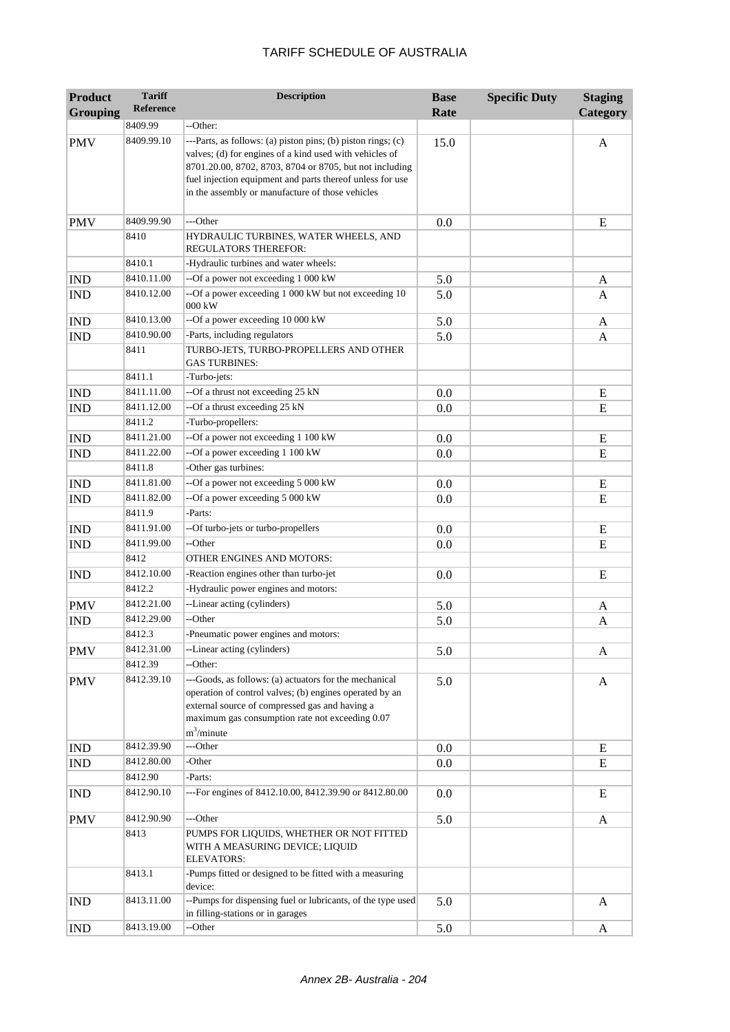| <b>Product</b>  | <b>Tariff</b>        | <b>Description</b>                                                                                                                                                                                                                                                                                  | <b>Base</b> | <b>Specific Duty</b> | <b>Staging</b> |
|-----------------|----------------------|-----------------------------------------------------------------------------------------------------------------------------------------------------------------------------------------------------------------------------------------------------------------------------------------------------|-------------|----------------------|----------------|
| <b>Grouping</b> | <b>Reference</b>     |                                                                                                                                                                                                                                                                                                     | Rate        |                      | Category       |
|                 | 8409.99              | --Other:                                                                                                                                                                                                                                                                                            |             |                      |                |
| <b>PMV</b>      | 8409.99.10           | ---Parts, as follows: (a) piston pins; (b) piston rings; (c)<br>valves; (d) for engines of a kind used with vehicles of<br>8701.20.00, 8702, 8703, 8704 or 8705, but not including<br>fuel injection equipment and parts thereof unless for use<br>in the assembly or manufacture of those vehicles | 15.0        |                      | A              |
| <b>PMV</b>      | 8409.99.90           | ---Other                                                                                                                                                                                                                                                                                            | 0.0         |                      | E              |
|                 | 8410                 | HYDRAULIC TURBINES, WATER WHEELS, AND<br><b>REGULATORS THEREFOR:</b>                                                                                                                                                                                                                                |             |                      |                |
|                 | 8410.1               | -Hydraulic turbines and water wheels:                                                                                                                                                                                                                                                               |             |                      |                |
| <b>IND</b>      | 8410.11.00           | --Of a power not exceeding 1 000 kW                                                                                                                                                                                                                                                                 | 5.0         |                      | A              |
| <b>IND</b>      | 8410.12.00           | --Of a power exceeding 1 000 kW but not exceeding 10<br>000 kW                                                                                                                                                                                                                                      | 5.0         |                      | A              |
| <b>IND</b>      | 8410.13.00           | --Of a power exceeding 10 000 kW                                                                                                                                                                                                                                                                    | 5.0         |                      | A              |
| <b>IND</b>      | 8410.90.00           | -Parts, including regulators                                                                                                                                                                                                                                                                        | 5.0         |                      | A              |
|                 | 8411                 | TURBO-JETS, TURBO-PROPELLERS AND OTHER<br><b>GAS TURBINES:</b>                                                                                                                                                                                                                                      |             |                      |                |
|                 | 8411.1               | -Turbo-jets:                                                                                                                                                                                                                                                                                        |             |                      |                |
| <b>IND</b>      | 8411.11.00           | --Of a thrust not exceeding 25 kN                                                                                                                                                                                                                                                                   | 0.0         |                      | E              |
| <b>IND</b>      | 8411.12.00           | --Of a thrust exceeding 25 kN                                                                                                                                                                                                                                                                       | 0.0         |                      | E              |
|                 | 8411.2               | -Turbo-propellers:                                                                                                                                                                                                                                                                                  |             |                      |                |
| <b>IND</b>      | 8411.21.00           | --Of a power not exceeding 1 100 kW                                                                                                                                                                                                                                                                 | 0.0         |                      | E              |
| <b>IND</b>      | 8411.22.00           | --Of a power exceeding 1 100 kW                                                                                                                                                                                                                                                                     | 0.0         |                      | E              |
|                 | 8411.8               | -Other gas turbines:                                                                                                                                                                                                                                                                                |             |                      |                |
| <b>IND</b>      | 8411.81.00           | --Of a power not exceeding 5 000 kW                                                                                                                                                                                                                                                                 | 0.0         |                      | E              |
| <b>IND</b>      | 8411.82.00<br>8411.9 | --Of a power exceeding 5 000 kW<br>-Parts:                                                                                                                                                                                                                                                          | 0.0         |                      | ${\bf E}$      |
| <b>IND</b>      | 8411.91.00           | --Of turbo-jets or turbo-propellers                                                                                                                                                                                                                                                                 | 0.0         |                      | E              |
| <b>IND</b>      | 8411.99.00           | --Other                                                                                                                                                                                                                                                                                             | 0.0         |                      | E              |
|                 | 8412                 | OTHER ENGINES AND MOTORS:                                                                                                                                                                                                                                                                           |             |                      |                |
| <b>IND</b>      | 8412.10.00           | -Reaction engines other than turbo-jet                                                                                                                                                                                                                                                              | 0.0         |                      | E              |
|                 | 8412.2               | -Hydraulic power engines and motors:                                                                                                                                                                                                                                                                |             |                      |                |
| <b>PMV</b>      | 8412.21.00           | --Linear acting (cylinders)                                                                                                                                                                                                                                                                         | 5.0         |                      | A              |
| <b>IND</b>      | 8412.29.00           | --Other                                                                                                                                                                                                                                                                                             | 5.0         |                      | A              |
|                 | 8412.3               | -Pneumatic power engines and motors:                                                                                                                                                                                                                                                                |             |                      |                |
| <b>PMV</b>      | 8412.31.00           | --Linear acting (cylinders)                                                                                                                                                                                                                                                                         | 5.0         |                      | A              |
|                 | 8412.39              | --Other:                                                                                                                                                                                                                                                                                            |             |                      |                |
| <b>PMV</b>      | 8412.39.10           | ---Goods, as follows: (a) actuators for the mechanical<br>operation of control valves; (b) engines operated by an<br>external source of compressed gas and having a<br>maximum gas consumption rate not exceeding 0.07<br>$m^3/minute$                                                              | 5.0         |                      | A              |
| <b>IND</b>      | 8412.39.90           | ---Other                                                                                                                                                                                                                                                                                            | 0.0         |                      | E              |
| IND             | 8412.80.00           | -Other                                                                                                                                                                                                                                                                                              | 0.0         |                      | E              |
|                 | 8412.90              | -Parts:                                                                                                                                                                                                                                                                                             |             |                      |                |
| <b>IND</b>      | 8412.90.10           | ---For engines of 8412.10.00, 8412.39.90 or 8412.80.00                                                                                                                                                                                                                                              | 0.0         |                      | E              |
| <b>PMV</b>      | 8412.90.90           | ---Other                                                                                                                                                                                                                                                                                            | 5.0         |                      | A              |
|                 | 8413                 | PUMPS FOR LIQUIDS, WHETHER OR NOT FITTED<br>WITH A MEASURING DEVICE; LIQUID<br><b>ELEVATORS:</b>                                                                                                                                                                                                    |             |                      |                |
|                 | 8413.1               | -Pumps fitted or designed to be fitted with a measuring<br>device:                                                                                                                                                                                                                                  |             |                      |                |
| <b>IND</b>      | 8413.11.00           | --Pumps for dispensing fuel or lubricants, of the type used<br>in filling-stations or in garages                                                                                                                                                                                                    | 5.0         |                      | A              |
| <b>IND</b>      | 8413.19.00           | --Other                                                                                                                                                                                                                                                                                             | 5.0         |                      | A              |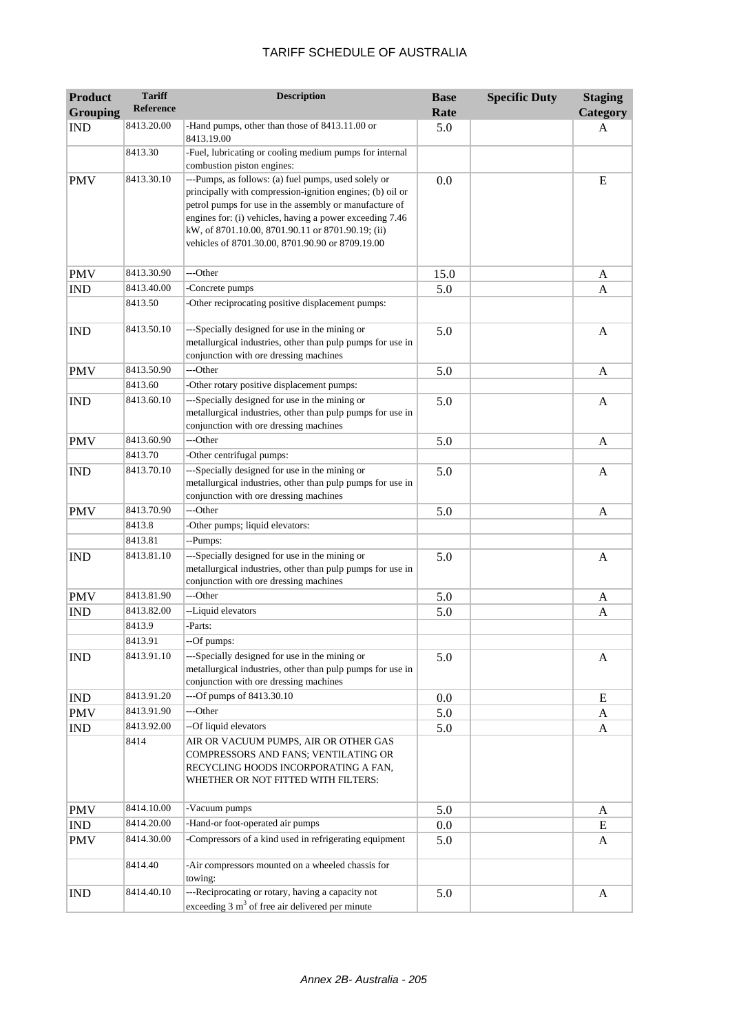| <b>Product</b><br><b>Grouping</b> | <b>Tariff</b><br><b>Reference</b> | <b>Description</b>                                                                                                                                                                                                                                                                                                                               | <b>Base</b><br>Rate | <b>Specific Duty</b> | <b>Staging</b><br>Category |
|-----------------------------------|-----------------------------------|--------------------------------------------------------------------------------------------------------------------------------------------------------------------------------------------------------------------------------------------------------------------------------------------------------------------------------------------------|---------------------|----------------------|----------------------------|
| <b>IND</b>                        | 8413.20.00                        | -Hand pumps, other than those of 8413.11.00 or<br>8413.19.00                                                                                                                                                                                                                                                                                     | 5.0                 |                      | A                          |
|                                   | 8413.30                           | -Fuel, lubricating or cooling medium pumps for internal<br>combustion piston engines:                                                                                                                                                                                                                                                            |                     |                      |                            |
| <b>PMV</b>                        | 8413.30.10                        | ---Pumps, as follows: (a) fuel pumps, used solely or<br>principally with compression-ignition engines; (b) oil or<br>petrol pumps for use in the assembly or manufacture of<br>engines for: (i) vehicles, having a power exceeding 7.46<br>kW, of 8701.10.00, 8701.90.11 or 8701.90.19; (ii)<br>vehicles of 8701.30.00, 8701.90.90 or 8709.19.00 | 0.0                 |                      | E                          |
| <b>PMV</b>                        | 8413.30.90                        | ---Other                                                                                                                                                                                                                                                                                                                                         | 15.0                |                      | A                          |
| <b>IND</b>                        | 8413.40.00                        | -Concrete pumps                                                                                                                                                                                                                                                                                                                                  | 5.0                 |                      | A                          |
|                                   | 8413.50                           | -Other reciprocating positive displacement pumps:                                                                                                                                                                                                                                                                                                |                     |                      |                            |
| <b>IND</b>                        | 8413.50.10                        | ---Specially designed for use in the mining or<br>metallurgical industries, other than pulp pumps for use in<br>conjunction with ore dressing machines                                                                                                                                                                                           | 5.0                 |                      | A                          |
| <b>PMV</b>                        | 8413.50.90                        | ---Other                                                                                                                                                                                                                                                                                                                                         | 5.0                 |                      | A                          |
|                                   | 8413.60                           | -Other rotary positive displacement pumps:                                                                                                                                                                                                                                                                                                       |                     |                      |                            |
| <b>IND</b>                        | 8413.60.10                        | ---Specially designed for use in the mining or<br>metallurgical industries, other than pulp pumps for use in<br>conjunction with ore dressing machines                                                                                                                                                                                           | 5.0                 |                      | A                          |
| <b>PMV</b>                        | 8413.60.90                        | ---Other                                                                                                                                                                                                                                                                                                                                         | 5.0                 |                      | A                          |
|                                   | 8413.70                           | -Other centrifugal pumps:                                                                                                                                                                                                                                                                                                                        |                     |                      |                            |
| <b>IND</b>                        | 8413.70.10                        | ---Specially designed for use in the mining or<br>metallurgical industries, other than pulp pumps for use in<br>conjunction with ore dressing machines                                                                                                                                                                                           | 5.0                 |                      | A                          |
| <b>PMV</b>                        | 8413.70.90                        | ---Other                                                                                                                                                                                                                                                                                                                                         | 5.0                 |                      | A                          |
|                                   | 8413.8                            | -Other pumps; liquid elevators:                                                                                                                                                                                                                                                                                                                  |                     |                      |                            |
|                                   | 8413.81                           | --Pumps:                                                                                                                                                                                                                                                                                                                                         |                     |                      |                            |
| <b>IND</b>                        | 8413.81.10                        | ---Specially designed for use in the mining or<br>metallurgical industries, other than pulp pumps for use in<br>conjunction with ore dressing machines                                                                                                                                                                                           | 5.0                 |                      | A                          |
| <b>PMV</b>                        | 8413.81.90                        | ---Other                                                                                                                                                                                                                                                                                                                                         | 5.0                 |                      | A                          |
| <b>IND</b>                        | 8413.82.00                        | --Liquid elevators                                                                                                                                                                                                                                                                                                                               | 5.0                 |                      | A                          |
|                                   | 8413.9                            | -Parts:                                                                                                                                                                                                                                                                                                                                          |                     |                      |                            |
|                                   | 8413.91                           | --Of pumps:                                                                                                                                                                                                                                                                                                                                      |                     |                      |                            |
| <b>IND</b>                        | 8413.91.10                        | ---Specially designed for use in the mining or<br>metallurgical industries, other than pulp pumps for use in<br>conjunction with ore dressing machines                                                                                                                                                                                           | 5.0                 |                      | A                          |
| <b>IND</b>                        | 8413.91.20                        | ---Of pumps of 8413.30.10                                                                                                                                                                                                                                                                                                                        | 0.0                 |                      | E                          |
| <b>PMV</b>                        | 8413.91.90                        | ---Other                                                                                                                                                                                                                                                                                                                                         | 5.0                 |                      | A                          |
| <b>IND</b>                        | 8413.92.00                        | --Of liquid elevators                                                                                                                                                                                                                                                                                                                            | 5.0                 |                      | A                          |
|                                   | 8414                              | AIR OR VACUUM PUMPS, AIR OR OTHER GAS<br>COMPRESSORS AND FANS; VENTILATING OR<br>RECYCLING HOODS INCORPORATING A FAN,<br>WHETHER OR NOT FITTED WITH FILTERS:                                                                                                                                                                                     |                     |                      |                            |
| <b>PMV</b>                        | 8414.10.00                        | -Vacuum pumps                                                                                                                                                                                                                                                                                                                                    | 5.0                 |                      | A                          |
| <b>IND</b>                        | 8414.20.00                        | -Hand-or foot-operated air pumps                                                                                                                                                                                                                                                                                                                 | $0.0\,$             |                      | Ε                          |
| <b>PMV</b>                        | 8414.30.00                        | -Compressors of a kind used in refrigerating equipment                                                                                                                                                                                                                                                                                           | 5.0                 |                      | A                          |
|                                   | 8414.40                           | -Air compressors mounted on a wheeled chassis for<br>towing:                                                                                                                                                                                                                                                                                     |                     |                      |                            |
| <b>IND</b>                        | 8414.40.10                        | ---Reciprocating or rotary, having a capacity not<br>exceeding $3 \text{ m}^3$ of free air delivered per minute                                                                                                                                                                                                                                  | 5.0                 |                      | A                          |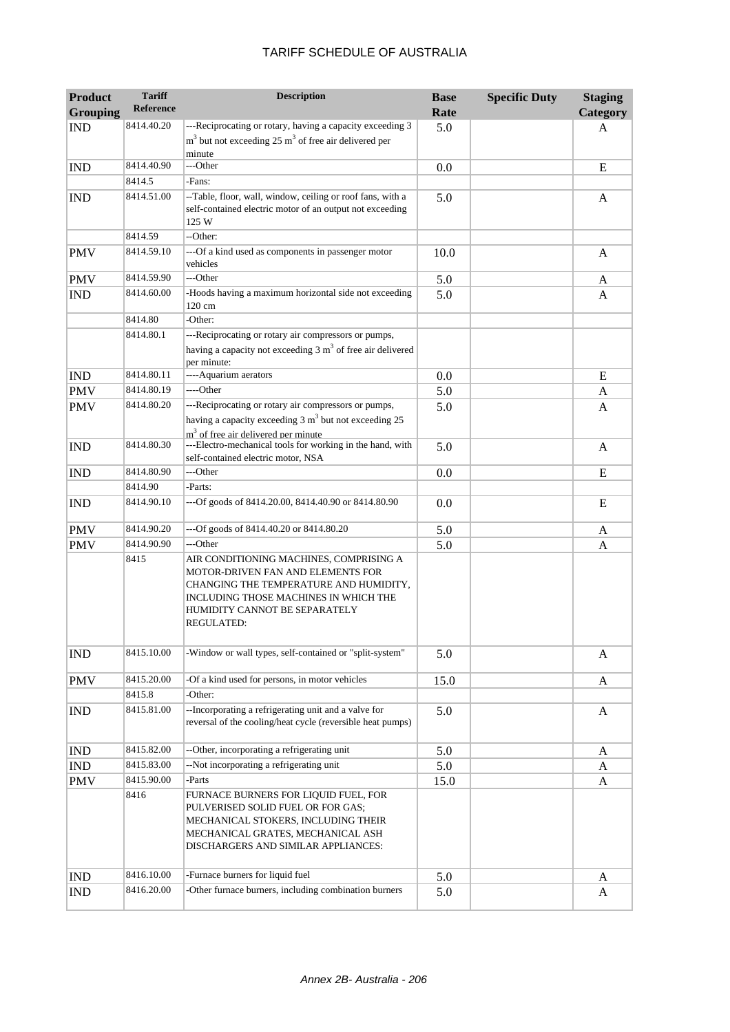| <b>Product</b><br><b>Grouping</b> | <b>Tariff</b><br><b>Reference</b> | <b>Description</b>                                                                                                                                                                                                    | <b>Base</b><br>Rate | <b>Specific Duty</b> | <b>Staging</b><br>Category |
|-----------------------------------|-----------------------------------|-----------------------------------------------------------------------------------------------------------------------------------------------------------------------------------------------------------------------|---------------------|----------------------|----------------------------|
| <b>IND</b>                        | 8414.40.20                        | ---Reciprocating or rotary, having a capacity exceeding 3                                                                                                                                                             | 5.0                 |                      | A                          |
|                                   |                                   | $m3$ but not exceeding 25 $m3$ of free air delivered per<br>minute                                                                                                                                                    |                     |                      |                            |
| <b>IND</b>                        | 8414.40.90                        | ---Other                                                                                                                                                                                                              | 0.0                 |                      | E                          |
|                                   | 8414.5                            | -Fans:                                                                                                                                                                                                                |                     |                      |                            |
| <b>IND</b>                        | 8414.51.00                        | -- Table, floor, wall, window, ceiling or roof fans, with a<br>self-contained electric motor of an output not exceeding<br>125 W                                                                                      | 5.0                 |                      | A                          |
|                                   | 8414.59                           | --Other:                                                                                                                                                                                                              |                     |                      |                            |
| <b>PMV</b>                        | 8414.59.10                        | ---Of a kind used as components in passenger motor<br>vehicles                                                                                                                                                        | 10.0                |                      | A                          |
| <b>PMV</b>                        | 8414.59.90                        | ---Other                                                                                                                                                                                                              | 5.0                 |                      | A                          |
| <b>IND</b>                        | 8414.60.00                        | -Hoods having a maximum horizontal side not exceeding<br>120 cm                                                                                                                                                       | 5.0                 |                      | A                          |
|                                   | 8414.80                           | -Other:                                                                                                                                                                                                               |                     |                      |                            |
|                                   | 8414.80.1                         | ---Reciprocating or rotary air compressors or pumps,<br>having a capacity not exceeding $3 \text{ m}^3$ of free air delivered<br>per minute:                                                                          |                     |                      |                            |
| <b>IND</b>                        | 8414.80.11                        | ---- Aquarium aerators                                                                                                                                                                                                | 0.0                 |                      | E                          |
| <b>PMV</b>                        | 8414.80.19                        | ----Other                                                                                                                                                                                                             | 5.0                 |                      | A                          |
| <b>PMV</b>                        | 8414.80.20                        | ---Reciprocating or rotary air compressors or pumps,<br>having a capacity exceeding $3 \text{ m}^3$ but not exceeding 25<br>m <sup>3</sup> of free air delivered ner minute                                           | 5.0                 |                      | A                          |
| <b>IND</b>                        | 8414.80.30                        | ---Electro-mechanical tools for working in the hand, with<br>self-contained electric motor, NSA                                                                                                                       | 5.0                 |                      | $\mathbf{A}$               |
| <b>IND</b>                        | 8414.80.90                        | ---Other                                                                                                                                                                                                              | 0.0                 |                      | E                          |
|                                   | 8414.90                           | -Parts:                                                                                                                                                                                                               |                     |                      |                            |
| <b>IND</b>                        | 8414.90.10                        | ---Of goods of 8414.20.00, 8414.40.90 or 8414.80.90                                                                                                                                                                   | 0.0                 |                      | E                          |
| <b>PMV</b>                        | 8414.90.20                        | ---Of goods of 8414.40.20 or 8414.80.20                                                                                                                                                                               | 5.0                 |                      | A                          |
| <b>PMV</b>                        | 8414.90.90                        | ---Other                                                                                                                                                                                                              | 5.0                 |                      | A                          |
|                                   | 8415                              | AIR CONDITIONING MACHINES, COMPRISING A<br>MOTOR-DRIVEN FAN AND ELEMENTS FOR<br>CHANGING THE TEMPERATURE AND HUMIDITY,<br>INCLUDING THOSE MACHINES IN WHICH THE<br>HUMIDITY CANNOT BE SEPARATELY<br><b>REGULATED:</b> |                     |                      |                            |
| <b>IND</b>                        | 8415.10.00                        | -Window or wall types, self-contained or "split-system"                                                                                                                                                               | 5.0                 |                      | A                          |
| <b>PMV</b>                        | 8415.20.00                        | -Of a kind used for persons, in motor vehicles                                                                                                                                                                        | 15.0                |                      | A                          |
|                                   | 8415.8                            | -Other:                                                                                                                                                                                                               |                     |                      |                            |
| <b>IND</b>                        | 8415.81.00                        | --Incorporating a refrigerating unit and a valve for<br>reversal of the cooling/heat cycle (reversible heat pumps)                                                                                                    | 5.0                 |                      | A                          |
| $\mathop{\rm IND}\nolimits$       | 8415.82.00                        | --Other, incorporating a refrigerating unit                                                                                                                                                                           | 5.0                 |                      | A                          |
| IND                               | 8415.83.00                        | --Not incorporating a refrigerating unit                                                                                                                                                                              | 5.0                 |                      | A                          |
| PMV                               | 8415.90.00                        | -Parts                                                                                                                                                                                                                | 15.0                |                      | A                          |
|                                   | 8416                              | FURNACE BURNERS FOR LIQUID FUEL, FOR<br>PULVERISED SOLID FUEL OR FOR GAS;<br>MECHANICAL STOKERS, INCLUDING THEIR<br>MECHANICAL GRATES, MECHANICAL ASH<br>DISCHARGERS AND SIMILAR APPLIANCES:                          |                     |                      |                            |
| <b>IND</b>                        | 8416.10.00                        | -Furnace burners for liquid fuel                                                                                                                                                                                      | 5.0                 |                      | A                          |
| <b>IND</b>                        | 8416.20.00                        | -Other furnace burners, including combination burners                                                                                                                                                                 | 5.0                 |                      | A                          |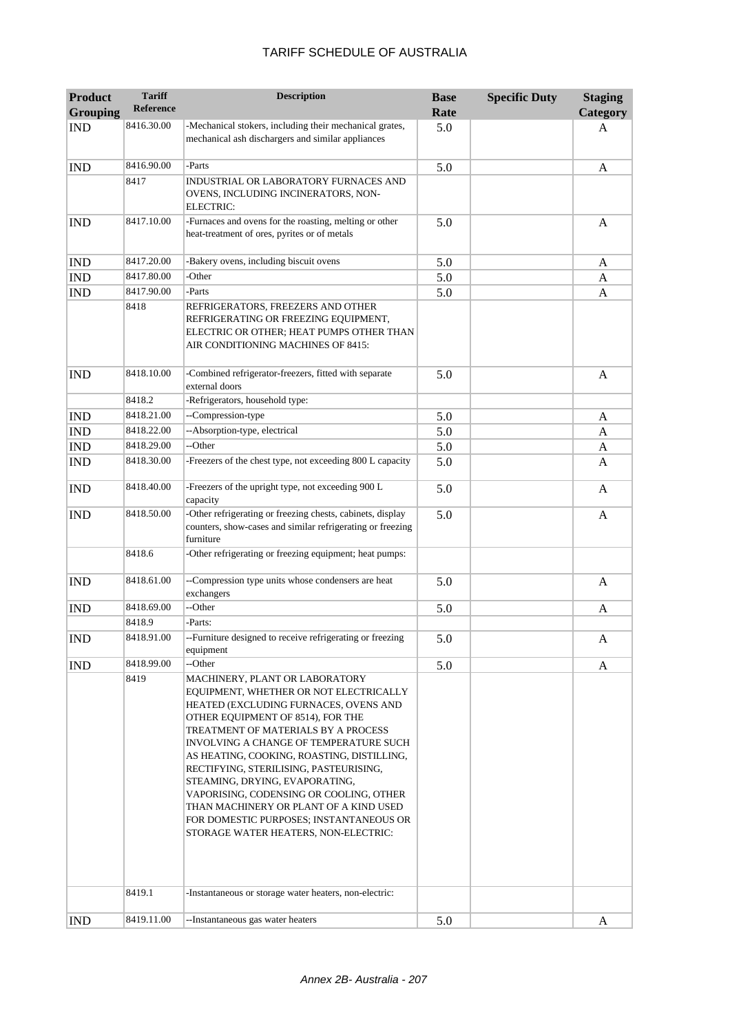| <b>Product</b>  | <b>Tariff</b>        | <b>Description</b>                                                                                                                                                                                                                                                                                                                                                                                                                                                                                                                        | <b>Base</b> | <b>Specific Duty</b> | <b>Staging</b> |
|-----------------|----------------------|-------------------------------------------------------------------------------------------------------------------------------------------------------------------------------------------------------------------------------------------------------------------------------------------------------------------------------------------------------------------------------------------------------------------------------------------------------------------------------------------------------------------------------------------|-------------|----------------------|----------------|
| <b>Grouping</b> | <b>Reference</b>     |                                                                                                                                                                                                                                                                                                                                                                                                                                                                                                                                           | Rate        |                      | Category       |
| <b>IND</b>      | 8416.30.00           | -Mechanical stokers, including their mechanical grates,<br>mechanical ash dischargers and similar appliances                                                                                                                                                                                                                                                                                                                                                                                                                              | 5.0         |                      | A              |
| <b>IND</b>      | 8416.90.00           | -Parts                                                                                                                                                                                                                                                                                                                                                                                                                                                                                                                                    | 5.0         |                      | A              |
|                 | 8417                 | INDUSTRIAL OR LABORATORY FURNACES AND<br>OVENS, INCLUDING INCINERATORS, NON-<br><b>ELECTRIC:</b>                                                                                                                                                                                                                                                                                                                                                                                                                                          |             |                      |                |
| <b>IND</b>      | 8417.10.00           | -Furnaces and ovens for the roasting, melting or other<br>heat-treatment of ores, pyrites or of metals                                                                                                                                                                                                                                                                                                                                                                                                                                    | 5.0         |                      | A              |
| <b>IND</b>      | 8417.20.00           | -Bakery ovens, including biscuit ovens                                                                                                                                                                                                                                                                                                                                                                                                                                                                                                    | 5.0         |                      | A              |
| <b>IND</b>      | 8417.80.00           | -Other                                                                                                                                                                                                                                                                                                                                                                                                                                                                                                                                    | 5.0         |                      | A              |
| <b>IND</b>      | 8417.90.00           | -Parts                                                                                                                                                                                                                                                                                                                                                                                                                                                                                                                                    | 5.0         |                      | A              |
|                 | 8418                 | REFRIGERATORS, FREEZERS AND OTHER<br>REFRIGERATING OR FREEZING EQUIPMENT,<br>ELECTRIC OR OTHER; HEAT PUMPS OTHER THAN<br>AIR CONDITIONING MACHINES OF 8415:                                                                                                                                                                                                                                                                                                                                                                               |             |                      |                |
| <b>IND</b>      | 8418.10.00           | -Combined refrigerator-freezers, fitted with separate<br>external doors                                                                                                                                                                                                                                                                                                                                                                                                                                                                   | 5.0         |                      | A              |
|                 | 8418.2               | -Refrigerators, household type:                                                                                                                                                                                                                                                                                                                                                                                                                                                                                                           |             |                      |                |
| <b>IND</b>      | 8418.21.00           | --Compression-type                                                                                                                                                                                                                                                                                                                                                                                                                                                                                                                        | 5.0         |                      | A              |
| <b>IND</b>      | 8418.22.00           | --Absorption-type, electrical                                                                                                                                                                                                                                                                                                                                                                                                                                                                                                             | 5.0         |                      | A              |
| <b>IND</b>      | 8418.29.00           | --Other                                                                                                                                                                                                                                                                                                                                                                                                                                                                                                                                   | 5.0         |                      | A              |
| <b>IND</b>      | 8418.30.00           | -Freezers of the chest type, not exceeding 800 L capacity                                                                                                                                                                                                                                                                                                                                                                                                                                                                                 | 5.0         |                      | A              |
| <b>IND</b>      | 8418.40.00           | -Freezers of the upright type, not exceeding 900 L<br>capacity                                                                                                                                                                                                                                                                                                                                                                                                                                                                            | 5.0         |                      | A              |
| <b>IND</b>      | 8418.50.00           | -Other refrigerating or freezing chests, cabinets, display<br>counters, show-cases and similar refrigerating or freezing<br>furniture                                                                                                                                                                                                                                                                                                                                                                                                     | 5.0         |                      | A              |
|                 | 8418.6               | -Other refrigerating or freezing equipment; heat pumps:                                                                                                                                                                                                                                                                                                                                                                                                                                                                                   |             |                      |                |
| <b>IND</b>      | 8418.61.00           | --Compression type units whose condensers are heat<br>exchangers                                                                                                                                                                                                                                                                                                                                                                                                                                                                          | 5.0         |                      | A              |
| <b>IND</b>      | 8418.69.00           | --Other                                                                                                                                                                                                                                                                                                                                                                                                                                                                                                                                   | 5.0         |                      | A              |
|                 | 8418.9               | -Parts:                                                                                                                                                                                                                                                                                                                                                                                                                                                                                                                                   |             |                      |                |
| <b>IND</b>      | 8418.91.00           | --Furniture designed to receive refrigerating or freezing<br>equipment                                                                                                                                                                                                                                                                                                                                                                                                                                                                    | 5.0         |                      | A              |
| <b>IND</b>      | 8418.99.00           | --Other                                                                                                                                                                                                                                                                                                                                                                                                                                                                                                                                   | 5.0         |                      | A              |
|                 | 8419                 | MACHINERY, PLANT OR LABORATORY<br>EQUIPMENT, WHETHER OR NOT ELECTRICALLY<br>HEATED (EXCLUDING FURNACES, OVENS AND<br>OTHER EQUIPMENT OF 8514), FOR THE<br>TREATMENT OF MATERIALS BY A PROCESS<br>INVOLVING A CHANGE OF TEMPERATURE SUCH<br>AS HEATING, COOKING, ROASTING, DISTILLING,<br>RECTIFYING, STERILISING, PASTEURISING,<br>STEAMING, DRYING, EVAPORATING,<br>VAPORISING, CODENSING OR COOLING, OTHER<br>THAN MACHINERY OR PLANT OF A KIND USED<br>FOR DOMESTIC PURPOSES; INSTANTANEOUS OR<br>STORAGE WATER HEATERS, NON-ELECTRIC: |             |                      |                |
|                 | 8419.1<br>8419.11.00 | -Instantaneous or storage water heaters, non-electric:<br>--Instantaneous gas water heaters                                                                                                                                                                                                                                                                                                                                                                                                                                               |             |                      |                |
| <b>IND</b>      |                      |                                                                                                                                                                                                                                                                                                                                                                                                                                                                                                                                           | 5.0         |                      | A              |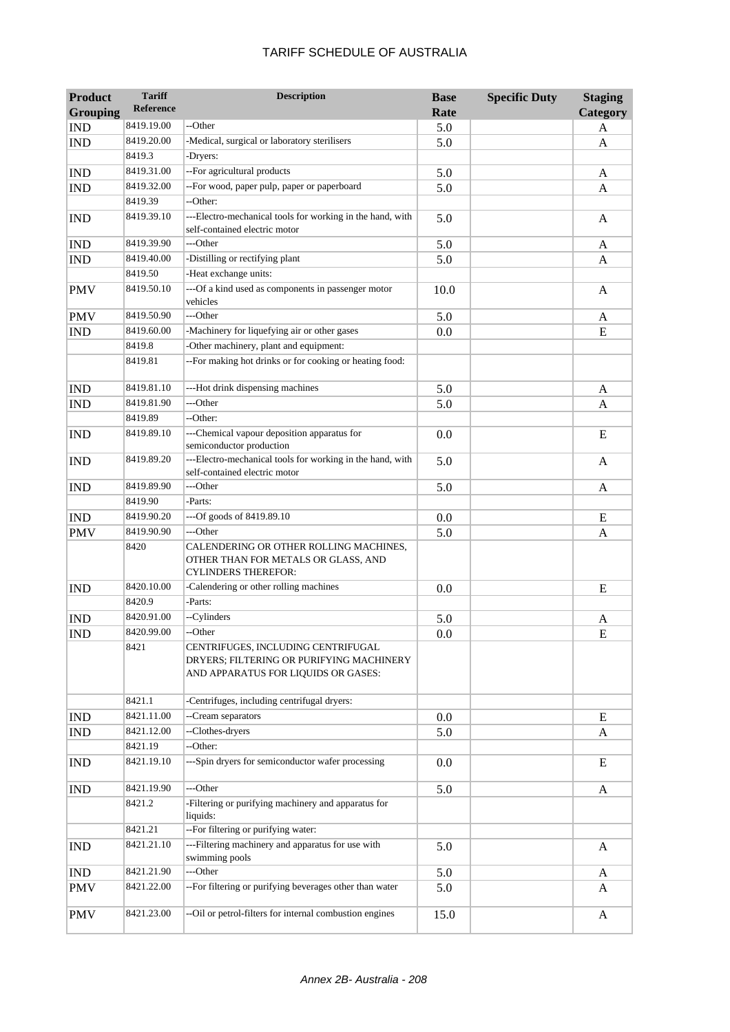| <b>Product</b>  | <b>Tariff</b> | <b>Description</b>                                                                                                    | <b>Base</b> | <b>Specific Duty</b> | <b>Staging</b> |
|-----------------|---------------|-----------------------------------------------------------------------------------------------------------------------|-------------|----------------------|----------------|
| <b>Grouping</b> | Reference     |                                                                                                                       | Rate        |                      | Category       |
| <b>IND</b>      | 8419.19.00    | --Other                                                                                                               | 5.0         |                      | A              |
| <b>IND</b>      | 8419.20.00    | -Medical, surgical or laboratory sterilisers                                                                          | 5.0         |                      | A              |
|                 | 8419.3        | -Dryers:                                                                                                              |             |                      |                |
| <b>IND</b>      | 8419.31.00    | --For agricultural products                                                                                           | 5.0         |                      | A              |
| <b>IND</b>      | 8419.32.00    | --For wood, paper pulp, paper or paperboard                                                                           | 5.0         |                      | A              |
|                 | 8419.39       | --Other:                                                                                                              |             |                      |                |
| <b>IND</b>      | 8419.39.10    | ---Electro-mechanical tools for working in the hand, with<br>self-contained electric motor                            | 5.0         |                      | A              |
| <b>IND</b>      | 8419.39.90    | ---Other                                                                                                              | 5.0         |                      | A              |
| <b>IND</b>      | 8419.40.00    | -Distilling or rectifying plant                                                                                       | 5.0         |                      | A              |
|                 | 8419.50       | -Heat exchange units:                                                                                                 |             |                      |                |
| <b>PMV</b>      | 8419.50.10    | ---Of a kind used as components in passenger motor<br>vehicles                                                        | 10.0        |                      | A              |
| <b>PMV</b>      | 8419.50.90    | ---Other                                                                                                              | 5.0         |                      | A              |
| <b>IND</b>      | 8419.60.00    | -Machinery for liquefying air or other gases                                                                          | 0.0         |                      | E              |
|                 | 8419.8        | -Other machinery, plant and equipment:                                                                                |             |                      |                |
|                 | 8419.81       | --For making hot drinks or for cooking or heating food:                                                               |             |                      |                |
| <b>IND</b>      | 8419.81.10    | ---Hot drink dispensing machines                                                                                      | 5.0         |                      | A              |
| <b>IND</b>      | 8419.81.90    | ---Other                                                                                                              | 5.0         |                      | A              |
|                 | 8419.89       | --Other:                                                                                                              |             |                      |                |
| <b>IND</b>      | 8419.89.10    | ---Chemical vapour deposition apparatus for<br>semiconductor production                                               | 0.0         |                      | E              |
| <b>IND</b>      | 8419.89.20    | ---Electro-mechanical tools for working in the hand, with<br>self-contained electric motor                            | 5.0         |                      | A              |
| <b>IND</b>      | 8419.89.90    | ---Other                                                                                                              | 5.0         |                      | A              |
|                 | 8419.90       | -Parts:                                                                                                               |             |                      |                |
| <b>IND</b>      | 8419.90.20    | ---Of goods of 8419.89.10                                                                                             | 0.0         |                      | E              |
| <b>PMV</b>      | 8419.90.90    | ---Other                                                                                                              | 5.0         |                      | A              |
|                 | 8420          | CALENDERING OR OTHER ROLLING MACHINES,<br>OTHER THAN FOR METALS OR GLASS, AND<br><b>CYLINDERS THEREFOR:</b>           |             |                      |                |
| <b>IND</b>      | 8420.10.00    | -Calendering or other rolling machines                                                                                | 0.0         |                      | E              |
|                 | 8420.9        | -Parts:                                                                                                               |             |                      |                |
| <b>IND</b>      | 8420.91.00    | --Cylinders                                                                                                           | 5.0         |                      | A              |
| <b>IND</b>      | 8420.99.00    | --Other                                                                                                               | 0.0         |                      | E              |
|                 | 8421          | CENTRIFUGES, INCLUDING CENTRIFUGAL<br>DRYERS; FILTERING OR PURIFYING MACHINERY<br>AND APPARATUS FOR LIQUIDS OR GASES: |             |                      |                |
|                 | 8421.1        | -Centrifuges, including centrifugal dryers:                                                                           |             |                      |                |
| <b>IND</b>      | 8421.11.00    | -- Cream separators                                                                                                   | 0.0         |                      | E              |
| <b>IND</b>      | 8421.12.00    | --Clothes-dryers                                                                                                      | 5.0         |                      | A              |
|                 | 8421.19       | --Other:                                                                                                              |             |                      |                |
| <b>IND</b>      | 8421.19.10    | ---Spin dryers for semiconductor wafer processing                                                                     | 0.0         |                      | E              |
| <b>IND</b>      | 8421.19.90    | ---Other                                                                                                              | 5.0         |                      | A              |
|                 | 8421.2        | -Filtering or purifying machinery and apparatus for<br>liquids:                                                       |             |                      |                |
|                 | 8421.21       | --For filtering or purifying water:                                                                                   |             |                      |                |
| IND             | 8421.21.10    | ---Filtering machinery and apparatus for use with<br>swimming pools                                                   | 5.0         |                      | A              |
| <b>IND</b>      | 8421.21.90    | ---Other                                                                                                              | 5.0         |                      | A              |
| <b>PMV</b>      | 8421.22.00    | --For filtering or purifying beverages other than water                                                               | 5.0         |                      | A              |
| <b>PMV</b>      | 8421.23.00    | --Oil or petrol-filters for internal combustion engines                                                               | 15.0        |                      | A              |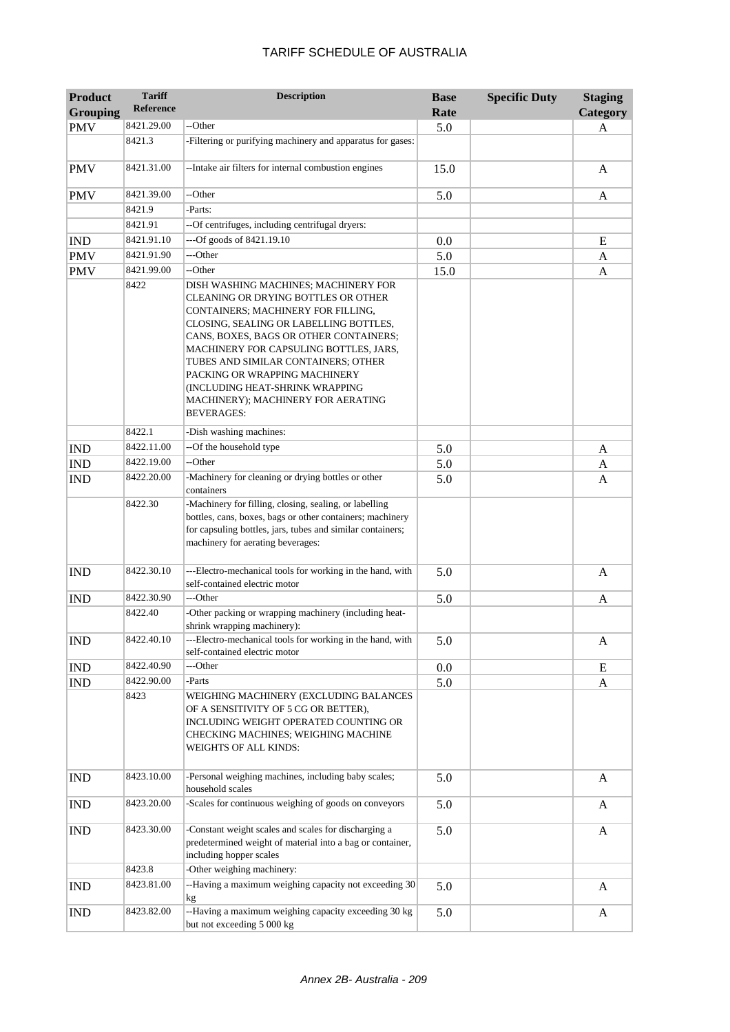| <b>Product</b><br><b>Grouping</b> | <b>Tariff</b><br><b>Reference</b> | <b>Description</b>                                                                                                                                                                                                                                                                                                                                                                                                    | <b>Base</b><br>Rate | <b>Specific Duty</b> | <b>Staging</b><br><b>Category</b> |
|-----------------------------------|-----------------------------------|-----------------------------------------------------------------------------------------------------------------------------------------------------------------------------------------------------------------------------------------------------------------------------------------------------------------------------------------------------------------------------------------------------------------------|---------------------|----------------------|-----------------------------------|
| <b>PMV</b>                        | 8421.29.00                        | --Other                                                                                                                                                                                                                                                                                                                                                                                                               | 5.0                 |                      | A                                 |
|                                   | 8421.3                            | -Filtering or purifying machinery and apparatus for gases:                                                                                                                                                                                                                                                                                                                                                            |                     |                      |                                   |
| <b>PMV</b>                        | 8421.31.00                        | -- Intake air filters for internal combustion engines                                                                                                                                                                                                                                                                                                                                                                 | 15.0                |                      | A                                 |
| <b>PMV</b>                        | 8421.39.00                        | --Other                                                                                                                                                                                                                                                                                                                                                                                                               | 5.0                 |                      | A                                 |
|                                   | 8421.9                            | -Parts:                                                                                                                                                                                                                                                                                                                                                                                                               |                     |                      |                                   |
|                                   | 8421.91                           | --Of centrifuges, including centrifugal dryers:                                                                                                                                                                                                                                                                                                                                                                       |                     |                      |                                   |
| <b>IND</b>                        | 8421.91.10                        | ---Of goods of 8421.19.10                                                                                                                                                                                                                                                                                                                                                                                             | 0.0                 |                      | E                                 |
| <b>PMV</b>                        | 8421.91.90                        | ---Other                                                                                                                                                                                                                                                                                                                                                                                                              | 5.0                 |                      | A                                 |
| <b>PMV</b>                        | 8421.99.00                        | --Other                                                                                                                                                                                                                                                                                                                                                                                                               | 15.0                |                      | A                                 |
|                                   | 8422                              | DISH WASHING MACHINES; MACHINERY FOR<br>CLEANING OR DRYING BOTTLES OR OTHER<br>CONTAINERS; MACHINERY FOR FILLING,<br>CLOSING, SEALING OR LABELLING BOTTLES,<br>CANS, BOXES, BAGS OR OTHER CONTAINERS;<br>MACHINERY FOR CAPSULING BOTTLES, JARS,<br>TUBES AND SIMILAR CONTAINERS; OTHER<br>PACKING OR WRAPPING MACHINERY<br>(INCLUDING HEAT-SHRINK WRAPPING<br>MACHINERY); MACHINERY FOR AERATING<br><b>BEVERAGES:</b> |                     |                      |                                   |
|                                   | 8422.1                            | -Dish washing machines:                                                                                                                                                                                                                                                                                                                                                                                               |                     |                      |                                   |
| <b>IND</b>                        | 8422.11.00                        | --Of the household type                                                                                                                                                                                                                                                                                                                                                                                               | 5.0                 |                      | A                                 |
| <b>IND</b>                        | 8422.19.00                        | --Other                                                                                                                                                                                                                                                                                                                                                                                                               | 5.0                 |                      | A                                 |
| <b>IND</b>                        | 8422.20.00                        | -Machinery for cleaning or drying bottles or other<br>containers                                                                                                                                                                                                                                                                                                                                                      | 5.0                 |                      | A                                 |
|                                   | 8422.30                           | -Machinery for filling, closing, sealing, or labelling<br>bottles, cans, boxes, bags or other containers; machinery<br>for capsuling bottles, jars, tubes and similar containers;<br>machinery for aerating beverages:                                                                                                                                                                                                |                     |                      |                                   |
| <b>IND</b>                        | 8422.30.10                        | ---Electro-mechanical tools for working in the hand, with<br>self-contained electric motor                                                                                                                                                                                                                                                                                                                            | 5.0                 |                      | $\mathbf{A}$                      |
| <b>IND</b>                        | 8422.30.90                        | ---Other                                                                                                                                                                                                                                                                                                                                                                                                              | 5.0                 |                      | A                                 |
|                                   | 8422.40                           | -Other packing or wrapping machinery (including heat-<br>shrink wrapping machinery):                                                                                                                                                                                                                                                                                                                                  |                     |                      |                                   |
| <b>IND</b>                        | 8422.40.10                        | ---Electro-mechanical tools for working in the hand, with<br>self-contained electric motor                                                                                                                                                                                                                                                                                                                            | 5.0                 |                      | A                                 |
| <b>IND</b>                        | 8422.40.90                        | ---Other                                                                                                                                                                                                                                                                                                                                                                                                              | 0.0                 |                      | ${\bf E}$                         |
| <b>IND</b>                        | 8422.90.00                        | -Parts                                                                                                                                                                                                                                                                                                                                                                                                                | 5.0                 |                      | A                                 |
|                                   | 8423                              | WEIGHING MACHINERY (EXCLUDING BALANCES<br>OF A SENSITIVITY OF 5 CG OR BETTER),<br>INCLUDING WEIGHT OPERATED COUNTING OR<br>CHECKING MACHINES; WEIGHING MACHINE<br><b>WEIGHTS OF ALL KINDS:</b>                                                                                                                                                                                                                        |                     |                      |                                   |
| <b>IND</b>                        | 8423.10.00                        | -Personal weighing machines, including baby scales;<br>household scales                                                                                                                                                                                                                                                                                                                                               | 5.0                 |                      | A                                 |
| <b>IND</b>                        | 8423.20.00                        | -Scales for continuous weighing of goods on conveyors                                                                                                                                                                                                                                                                                                                                                                 | 5.0                 |                      | A                                 |
| <b>IND</b>                        | 8423.30.00                        | -Constant weight scales and scales for discharging a<br>predetermined weight of material into a bag or container,<br>including hopper scales                                                                                                                                                                                                                                                                          | 5.0                 |                      | A                                 |
|                                   | 8423.8                            | -Other weighing machinery:                                                                                                                                                                                                                                                                                                                                                                                            |                     |                      |                                   |
| <b>IND</b>                        | 8423.81.00                        | --Having a maximum weighing capacity not exceeding 30<br>kg                                                                                                                                                                                                                                                                                                                                                           | 5.0                 |                      | A                                 |
| <b>IND</b>                        | 8423.82.00                        | --Having a maximum weighing capacity exceeding 30 kg<br>but not exceeding 5 000 kg                                                                                                                                                                                                                                                                                                                                    | 5.0                 |                      | A                                 |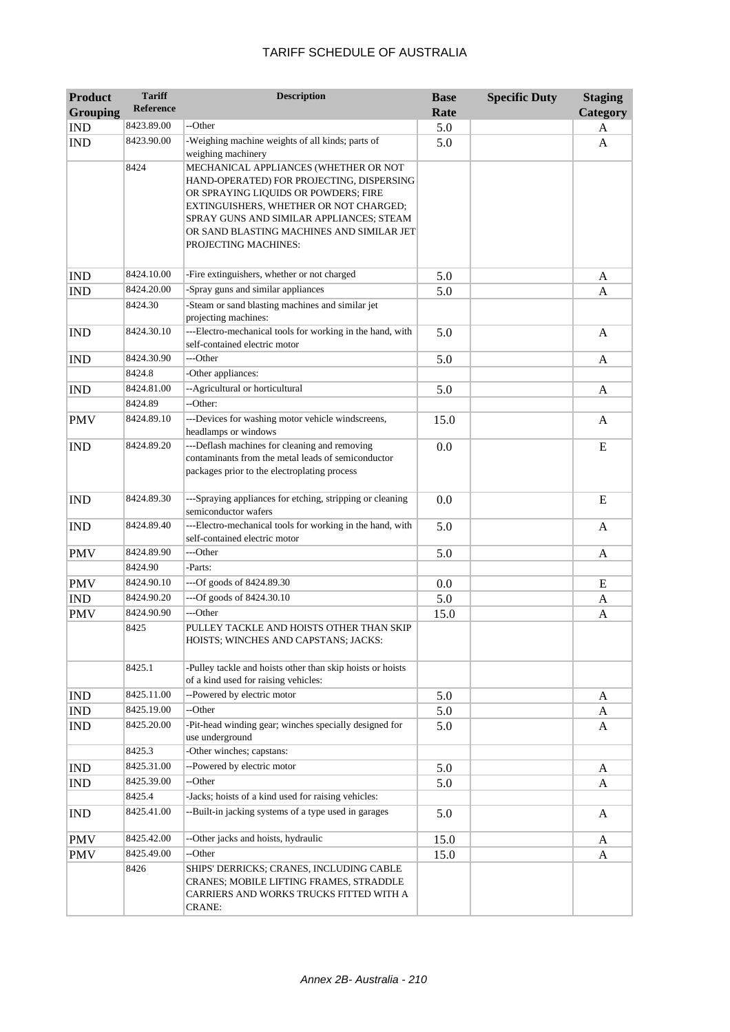| <b>Product</b>  | <b>Tariff</b>    | <b>Description</b>                                                                                                                                                                                                                                                                    | <b>Base</b> | <b>Specific Duty</b> | <b>Staging</b> |
|-----------------|------------------|---------------------------------------------------------------------------------------------------------------------------------------------------------------------------------------------------------------------------------------------------------------------------------------|-------------|----------------------|----------------|
| <b>Grouping</b> | <b>Reference</b> |                                                                                                                                                                                                                                                                                       | Rate        |                      | Category       |
| <b>IND</b>      | 8423.89.00       | --Other                                                                                                                                                                                                                                                                               | 5.0         |                      | A              |
| <b>IND</b>      | 8423.90.00       | -Weighing machine weights of all kinds; parts of<br>weighing machinery                                                                                                                                                                                                                | 5.0         |                      | A              |
|                 | 8424             | MECHANICAL APPLIANCES (WHETHER OR NOT<br>HAND-OPERATED) FOR PROJECTING, DISPERSING<br>OR SPRAYING LIQUIDS OR POWDERS; FIRE<br>EXTINGUISHERS, WHETHER OR NOT CHARGED;<br>SPRAY GUNS AND SIMILAR APPLIANCES; STEAM<br>OR SAND BLASTING MACHINES AND SIMILAR JET<br>PROJECTING MACHINES: |             |                      |                |
| <b>IND</b>      | 8424.10.00       | -Fire extinguishers, whether or not charged                                                                                                                                                                                                                                           | 5.0         |                      | A              |
| <b>IND</b>      | 8424.20.00       | -Spray guns and similar appliances                                                                                                                                                                                                                                                    | 5.0         |                      | A              |
|                 | 8424.30          | -Steam or sand blasting machines and similar jet<br>projecting machines:                                                                                                                                                                                                              |             |                      |                |
| <b>IND</b>      | 8424.30.10       | ---Electro-mechanical tools for working in the hand, with<br>self-contained electric motor                                                                                                                                                                                            | 5.0         |                      | A              |
| <b>IND</b>      | 8424.30.90       | ---Other                                                                                                                                                                                                                                                                              | 5.0         |                      | A              |
|                 | 8424.8           | -Other appliances:                                                                                                                                                                                                                                                                    |             |                      |                |
| <b>IND</b>      | 8424.81.00       | --Agricultural or horticultural                                                                                                                                                                                                                                                       | 5.0         |                      | A              |
|                 | 8424.89          | --Other:                                                                                                                                                                                                                                                                              |             |                      |                |
| <b>PMV</b>      | 8424.89.10       | ---Devices for washing motor vehicle windscreens,<br>headlamps or windows                                                                                                                                                                                                             | 15.0        |                      | A              |
| <b>IND</b>      | 8424.89.20       | ---Deflash machines for cleaning and removing<br>contaminants from the metal leads of semiconductor<br>packages prior to the electroplating process                                                                                                                                   | 0.0         |                      | E              |
| <b>IND</b>      | 8424.89.30       | ---Spraying appliances for etching, stripping or cleaning<br>semiconductor wafers                                                                                                                                                                                                     | 0.0         |                      | E              |
| <b>IND</b>      | 8424.89.40       | ---Electro-mechanical tools for working in the hand, with<br>self-contained electric motor                                                                                                                                                                                            | 5.0         |                      | $\mathbf{A}$   |
| <b>PMV</b>      | 8424.89.90       | ---Other                                                                                                                                                                                                                                                                              | 5.0         |                      | A              |
|                 | 8424.90          | -Parts:                                                                                                                                                                                                                                                                               |             |                      |                |
| <b>PMV</b>      | 8424.90.10       | ---Of goods of 8424.89.30                                                                                                                                                                                                                                                             | 0.0         |                      | E              |
| <b>IND</b>      | 8424.90.20       | ---Of goods of 8424.30.10                                                                                                                                                                                                                                                             | 5.0         |                      | A              |
| <b>PMV</b>      | 8424.90.90       | ---Other                                                                                                                                                                                                                                                                              | 15.0        |                      | A              |
|                 | 8425             | PULLEY TACKLE AND HOISTS OTHER THAN SKIP<br>HOISTS; WINCHES AND CAPSTANS; JACKS:                                                                                                                                                                                                      |             |                      |                |
|                 | 8425.1           | -Pulley tackle and hoists other than skip hoists or hoists<br>of a kind used for raising vehicles:                                                                                                                                                                                    |             |                      |                |
| <b>IND</b>      | 8425.11.00       | --Powered by electric motor                                                                                                                                                                                                                                                           | 5.0         |                      | A              |
| IND             | 8425.19.00       | --Other                                                                                                                                                                                                                                                                               | 5.0         |                      | A              |
| <b>IND</b>      | 8425.20.00       | -Pit-head winding gear; winches specially designed for<br>use underground                                                                                                                                                                                                             | 5.0         |                      | A              |
|                 | 8425.3           | -Other winches; capstans:                                                                                                                                                                                                                                                             |             |                      |                |
| <b>IND</b>      | 8425.31.00       | --Powered by electric motor                                                                                                                                                                                                                                                           | 5.0         |                      | A              |
| <b>IND</b>      | 8425.39.00       | --Other                                                                                                                                                                                                                                                                               | 5.0         |                      | A              |
|                 | 8425.4           | -Jacks; hoists of a kind used for raising vehicles:                                                                                                                                                                                                                                   |             |                      |                |
| <b>IND</b>      | 8425.41.00       | --Built-in jacking systems of a type used in garages                                                                                                                                                                                                                                  | 5.0         |                      | A              |
| <b>PMV</b>      | 8425.42.00       | --Other jacks and hoists, hydraulic                                                                                                                                                                                                                                                   | 15.0        |                      | A              |
| <b>PMV</b>      | 8425.49.00       | --Other                                                                                                                                                                                                                                                                               | 15.0        |                      | A              |
|                 | 8426             | SHIPS' DERRICKS; CRANES, INCLUDING CABLE<br>CRANES; MOBILE LIFTING FRAMES, STRADDLE<br>CARRIERS AND WORKS TRUCKS FITTED WITH A<br><b>CRANE:</b>                                                                                                                                       |             |                      |                |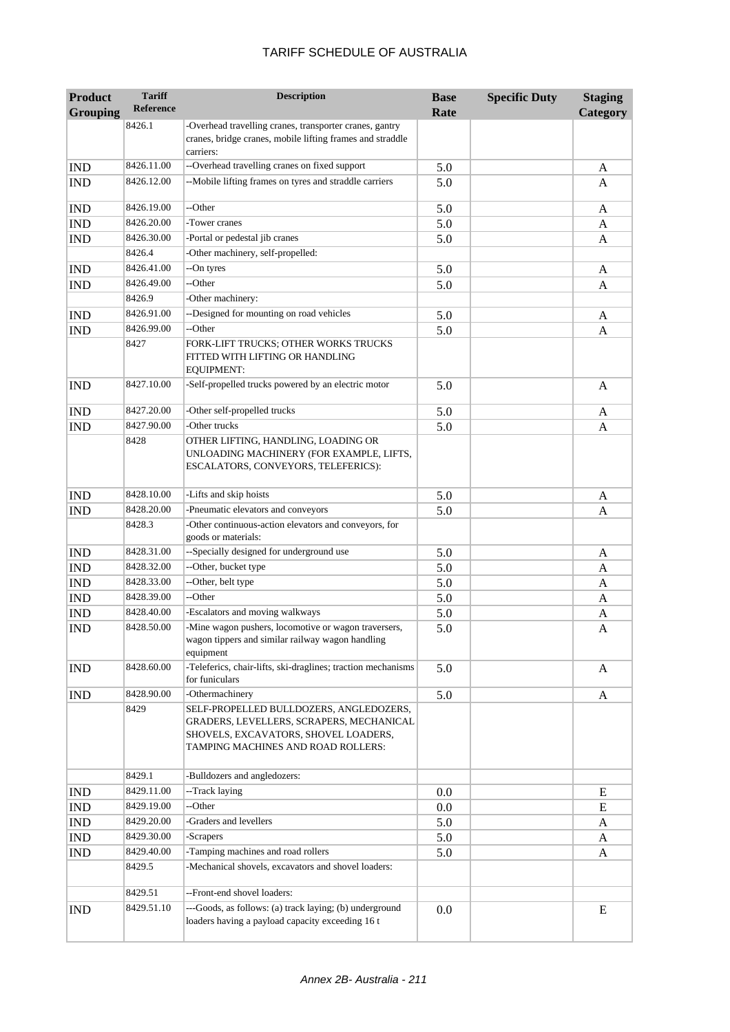| <b>Product</b>              | <b>Tariff</b><br><b>Reference</b> | <b>Description</b>                                                                                                                                                | <b>Base</b> | <b>Specific Duty</b> | <b>Staging</b> |
|-----------------------------|-----------------------------------|-------------------------------------------------------------------------------------------------------------------------------------------------------------------|-------------|----------------------|----------------|
| <b>Grouping</b>             |                                   |                                                                                                                                                                   | Rate        |                      | Category       |
|                             | 8426.1                            | -Overhead travelling cranes, transporter cranes, gantry<br>cranes, bridge cranes, mobile lifting frames and straddle<br>carriers:                                 |             |                      |                |
| <b>IND</b>                  | 8426.11.00                        | --Overhead travelling cranes on fixed support                                                                                                                     | 5.0         |                      | A              |
| <b>IND</b>                  | 8426.12.00                        | --Mobile lifting frames on tyres and straddle carriers                                                                                                            | 5.0         |                      | A              |
| <b>IND</b>                  | 8426.19.00                        | --Other                                                                                                                                                           | 5.0         |                      | A              |
| <b>IND</b>                  | 8426.20.00                        | -Tower cranes                                                                                                                                                     | 5.0         |                      | A              |
| <b>IND</b>                  | 8426.30.00                        | -Portal or pedestal jib cranes                                                                                                                                    | 5.0         |                      | A              |
|                             | 8426.4                            | -Other machinery, self-propelled:                                                                                                                                 |             |                      |                |
| <b>IND</b>                  | 8426.41.00                        | --On tyres                                                                                                                                                        | 5.0         |                      | A              |
| <b>IND</b>                  | 8426.49.00                        | --Other                                                                                                                                                           | 5.0         |                      | A              |
|                             | 8426.9                            | -Other machinery:                                                                                                                                                 |             |                      |                |
| <b>IND</b>                  | 8426.91.00                        | --Designed for mounting on road vehicles                                                                                                                          | 5.0         |                      | A              |
| <b>IND</b>                  | 8426.99.00                        | --Other                                                                                                                                                           | 5.0         |                      | A              |
|                             | 8427                              | FORK-LIFT TRUCKS; OTHER WORKS TRUCKS<br>FITTED WITH LIFTING OR HANDLING<br><b>EQUIPMENT:</b>                                                                      |             |                      |                |
| <b>IND</b>                  | 8427.10.00                        | -Self-propelled trucks powered by an electric motor                                                                                                               | 5.0         |                      | A              |
| <b>IND</b>                  | 8427.20.00                        | -Other self-propelled trucks                                                                                                                                      | 5.0         |                      | A              |
| <b>IND</b>                  | 8427.90.00                        | -Other trucks                                                                                                                                                     | 5.0         |                      | A              |
|                             | 8428                              | OTHER LIFTING, HANDLING, LOADING OR<br>UNLOADING MACHINERY (FOR EXAMPLE, LIFTS,<br>ESCALATORS, CONVEYORS, TELEFERICS):                                            |             |                      |                |
| <b>IND</b>                  | 8428.10.00                        | -Lifts and skip hoists                                                                                                                                            | 5.0         |                      | A              |
| <b>IND</b>                  | 8428.20.00                        | -Pneumatic elevators and conveyors                                                                                                                                | 5.0         |                      | A              |
|                             | 8428.3                            | -Other continuous-action elevators and conveyors, for<br>goods or materials:                                                                                      |             |                      |                |
| <b>IND</b>                  | 8428.31.00                        | --Specially designed for underground use                                                                                                                          | 5.0         |                      | A              |
| $\mathop{\rm IND}\nolimits$ | 8428.32.00                        | --Other, bucket type                                                                                                                                              | 5.0         |                      | A              |
| <b>IND</b>                  | 8428.33.00                        | --Other, belt type                                                                                                                                                | 5.0         |                      | A              |
| <b>IND</b>                  | 8428.39.00                        | --Other                                                                                                                                                           | 5.0         |                      | A              |
| <b>IND</b>                  | 8428.40.00                        | -Escalators and moving walkways                                                                                                                                   | 5.0         |                      | A              |
| <b>IND</b>                  | 8428.50.00                        | -Mine wagon pushers, locomotive or wagon traversers,<br>wagon tippers and similar railway wagon handling<br>equipment                                             | 5.0         |                      | A              |
| <b>IND</b>                  | 8428.60.00                        | -Teleferics, chair-lifts, ski-draglines; traction mechanisms<br>for funiculars                                                                                    | 5.0         |                      | A              |
| <b>IND</b>                  | 8428.90.00                        | -Othermachinery                                                                                                                                                   | 5.0         |                      | A              |
|                             | 8429                              | SELF-PROPELLED BULLDOZERS, ANGLEDOZERS,<br>GRADERS, LEVELLERS, SCRAPERS, MECHANICAL<br>SHOVELS, EXCAVATORS, SHOVEL LOADERS,<br>TAMPING MACHINES AND ROAD ROLLERS: |             |                      |                |
|                             | 8429.1                            | -Bulldozers and angledozers:                                                                                                                                      |             |                      |                |
| <b>IND</b>                  | 8429.11.00                        | --Track laying                                                                                                                                                    | 0.0         |                      | E              |
| <b>IND</b>                  | 8429.19.00                        | --Other                                                                                                                                                           | $0.0\,$     |                      | E              |
| IND                         | 8429.20.00                        | -Graders and levellers                                                                                                                                            | 5.0         |                      | A              |
| IND                         | 8429.30.00                        | -Scrapers                                                                                                                                                         | 5.0         |                      | A              |
| <b>IND</b>                  | 8429.40.00                        | -Tamping machines and road rollers                                                                                                                                | 5.0         |                      | A              |
|                             | 8429.5                            | -Mechanical shovels, excavators and shovel loaders:                                                                                                               |             |                      |                |
|                             | 8429.51                           | --Front-end shovel loaders:                                                                                                                                       |             |                      |                |
| <b>IND</b>                  | 8429.51.10                        | ---Goods, as follows: (a) track laying; (b) underground<br>loaders having a payload capacity exceeding 16 t                                                       | 0.0         |                      | E              |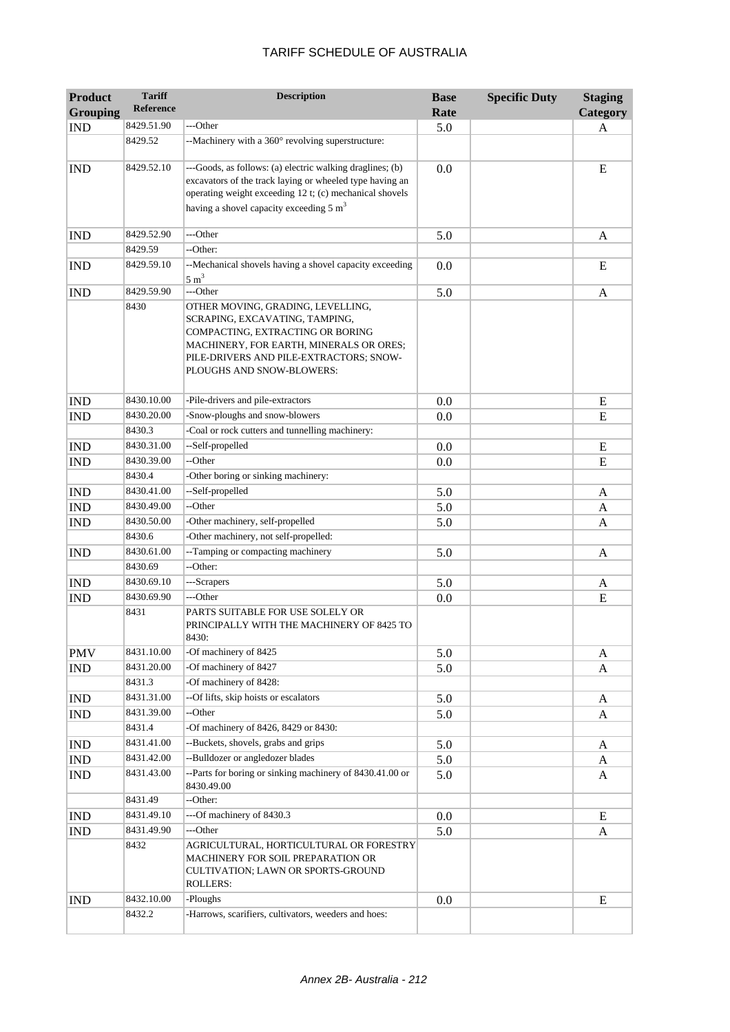| <b>Product</b>  | <b>Tariff</b>      | <b>Description</b>                                                                                                                                                                                                                     | <b>Base</b> | <b>Specific Duty</b> | <b>Staging</b> |
|-----------------|--------------------|----------------------------------------------------------------------------------------------------------------------------------------------------------------------------------------------------------------------------------------|-------------|----------------------|----------------|
| <b>Grouping</b> | <b>Reference</b>   |                                                                                                                                                                                                                                        | Rate        |                      | Category       |
| <b>IND</b>      | 8429.51.90         | ---Other                                                                                                                                                                                                                               | 5.0         |                      | A              |
|                 | 8429.52            | --Machinery with a 360° revolving superstructure:                                                                                                                                                                                      |             |                      |                |
| <b>IND</b>      | 8429.52.10         | ---Goods, as follows: (a) electric walking draglines; (b)<br>excavators of the track laying or wheeled type having an<br>operating weight exceeding 12 t; (c) mechanical shovels<br>having a shovel capacity exceeding $5 \text{ m}^3$ | 0.0         |                      | E              |
| <b>IND</b>      | 8429.52.90         | ---Other                                                                                                                                                                                                                               | 5.0         |                      | A              |
|                 | 8429.59            | --Other:                                                                                                                                                                                                                               |             |                      |                |
| <b>IND</b>      | 8429.59.10         | --Mechanical shovels having a shovel capacity exceeding<br>$5 \text{ m}^3$                                                                                                                                                             | 0.0         |                      | E              |
| <b>IND</b>      | 8429.59.90         | ---Other                                                                                                                                                                                                                               | 5.0         |                      | A              |
|                 | 8430               | OTHER MOVING, GRADING, LEVELLING,<br>SCRAPING, EXCAVATING, TAMPING,<br>COMPACTING, EXTRACTING OR BORING<br>MACHINERY, FOR EARTH, MINERALS OR ORES;<br>PILE-DRIVERS AND PILE-EXTRACTORS; SNOW-<br>PLOUGHS AND SNOW-BLOWERS:             |             |                      |                |
| <b>IND</b>      | 8430.10.00         | -Pile-drivers and pile-extractors                                                                                                                                                                                                      | 0.0         |                      | E              |
| <b>IND</b>      | 8430.20.00         | -Snow-ploughs and snow-blowers                                                                                                                                                                                                         | 0.0         |                      | E              |
|                 | 8430.3             | -Coal or rock cutters and tunnelling machinery:                                                                                                                                                                                        |             |                      |                |
| <b>IND</b>      | 8430.31.00         | --Self-propelled                                                                                                                                                                                                                       | 0.0         |                      | E              |
| <b>IND</b>      | 8430.39.00         | --Other                                                                                                                                                                                                                                | 0.0         |                      | E              |
|                 | 8430.4             | -Other boring or sinking machinery:                                                                                                                                                                                                    |             |                      |                |
| <b>IND</b>      | 8430.41.00         | --Self-propelled                                                                                                                                                                                                                       | 5.0         |                      | A              |
| <b>IND</b>      | 8430.49.00         | --Other                                                                                                                                                                                                                                | 5.0         |                      | A              |
| <b>IND</b>      | 8430.50.00         | -Other machinery, self-propelled                                                                                                                                                                                                       | 5.0         |                      | A              |
|                 | 8430.6             | -Other machinery, not self-propelled:                                                                                                                                                                                                  |             |                      |                |
| <b>IND</b>      | 8430.61.00         | --Tamping or compacting machinery                                                                                                                                                                                                      | 5.0         |                      | A              |
|                 | 8430.69            | --Other:                                                                                                                                                                                                                               |             |                      |                |
| <b>IND</b>      | 8430.69.10         | ---Scrapers                                                                                                                                                                                                                            | 5.0         |                      | A              |
| <b>IND</b>      | 8430.69.90<br>8431 | ---Other<br>PARTS SUITABLE FOR USE SOLELY OR<br>PRINCIPALLY WITH THE MACHINERY OF 8425 TO<br>8430:                                                                                                                                     | 0.0         |                      | ${\bf E}$      |
| <b>PMV</b>      | 8431.10.00         | -Of machinery of 8425                                                                                                                                                                                                                  | 5.0         |                      | A              |
| IND             | 8431.20.00         | -Of machinery of 8427                                                                                                                                                                                                                  | 5.0         |                      | A              |
|                 | 8431.3             | -Of machinery of 8428:                                                                                                                                                                                                                 |             |                      |                |
| <b>IND</b>      | 8431.31.00         | --Of lifts, skip hoists or escalators                                                                                                                                                                                                  | 5.0         |                      | A              |
| <b>IND</b>      | 8431.39.00         | --Other                                                                                                                                                                                                                                | 5.0         |                      | A              |
|                 | 8431.4             | -Of machinery of 8426, 8429 or 8430:                                                                                                                                                                                                   |             |                      |                |
| <b>IND</b>      | 8431.41.00         | --Buckets, shovels, grabs and grips                                                                                                                                                                                                    | 5.0         |                      | A              |
| <b>IND</b>      | 8431.42.00         | --Bulldozer or angledozer blades                                                                                                                                                                                                       | 5.0         |                      | A              |
| <b>IND</b>      | 8431.43.00         | --Parts for boring or sinking machinery of 8430.41.00 or<br>8430.49.00                                                                                                                                                                 | 5.0         |                      | A              |
|                 | 8431.49            | --Other:                                                                                                                                                                                                                               |             |                      |                |
| <b>IND</b>      | 8431.49.10         | ---Of machinery of 8430.3                                                                                                                                                                                                              | 0.0         |                      | E              |
| <b>IND</b>      | 8431.49.90         | ---Other                                                                                                                                                                                                                               | 5.0         |                      | A              |
|                 | 8432               | AGRICULTURAL, HORTICULTURAL OR FORESTRY<br>MACHINERY FOR SOIL PREPARATION OR<br>CULTIVATION; LAWN OR SPORTS-GROUND<br><b>ROLLERS:</b>                                                                                                  |             |                      |                |
| <b>IND</b>      | 8432.10.00         | -Ploughs                                                                                                                                                                                                                               | 0.0         |                      | ${\bf E}$      |
|                 | 8432.2             | -Harrows, scarifiers, cultivators, weeders and hoes:                                                                                                                                                                                   |             |                      |                |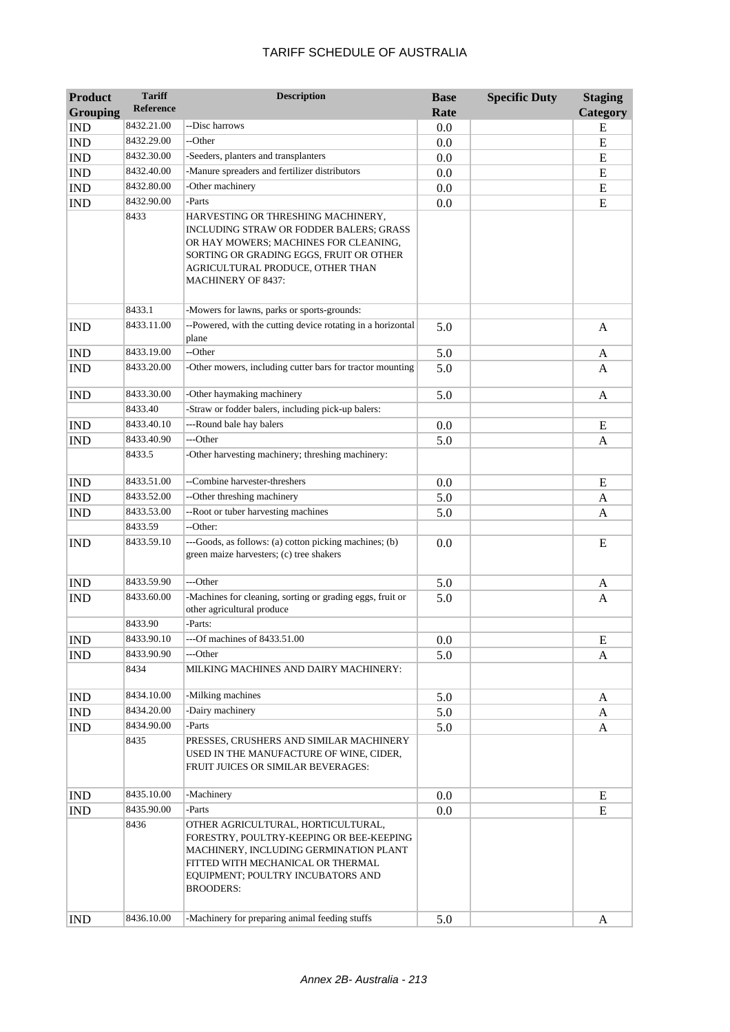| <b>Product</b>  | <b>Tariff</b><br><b>Reference</b> | <b>Description</b>                                                                                                                                                                                                                 | <b>Base</b> | <b>Specific Duty</b> | <b>Staging</b> |
|-----------------|-----------------------------------|------------------------------------------------------------------------------------------------------------------------------------------------------------------------------------------------------------------------------------|-------------|----------------------|----------------|
| <b>Grouping</b> |                                   |                                                                                                                                                                                                                                    | Rate        |                      | Category       |
| <b>IND</b>      | 8432.21.00                        | --Disc harrows                                                                                                                                                                                                                     | 0.0         |                      | E              |
| <b>IND</b>      | 8432.29.00                        | --Other                                                                                                                                                                                                                            | 0.0         |                      | E              |
| <b>IND</b>      | 8432.30.00                        | -Seeders, planters and transplanters                                                                                                                                                                                               | 0.0         |                      | E              |
| <b>IND</b>      | 8432.40.00                        | -Manure spreaders and fertilizer distributors                                                                                                                                                                                      | 0.0         |                      | E              |
| <b>IND</b>      | 8432.80.00                        | -Other machinery                                                                                                                                                                                                                   | 0.0         |                      | E              |
| <b>IND</b>      | 8432.90.00                        | -Parts                                                                                                                                                                                                                             | 0.0         |                      | E              |
|                 | 8433                              | HARVESTING OR THRESHING MACHINERY,<br>INCLUDING STRAW OR FODDER BALERS; GRASS<br>OR HAY MOWERS; MACHINES FOR CLEANING,<br>SORTING OR GRADING EGGS, FRUIT OR OTHER<br>AGRICULTURAL PRODUCE, OTHER THAN<br><b>MACHINERY OF 8437:</b> |             |                      |                |
|                 | 8433.1                            | -Mowers for lawns, parks or sports-grounds:                                                                                                                                                                                        |             |                      |                |
| <b>IND</b>      | 8433.11.00                        | --Powered, with the cutting device rotating in a horizontal<br>plane                                                                                                                                                               | 5.0         |                      | A              |
| <b>IND</b>      | 8433.19.00                        | --Other                                                                                                                                                                                                                            | 5.0         |                      | A              |
| <b>IND</b>      | 8433.20.00                        | -Other mowers, including cutter bars for tractor mounting                                                                                                                                                                          | 5.0         |                      | A              |
| <b>IND</b>      | 8433.30.00                        | -Other haymaking machinery                                                                                                                                                                                                         | 5.0         |                      | A              |
|                 | 8433.40                           | -Straw or fodder balers, including pick-up balers:                                                                                                                                                                                 |             |                      |                |
| <b>IND</b>      | 8433.40.10                        | ---Round bale hay balers                                                                                                                                                                                                           | 0.0         |                      | E              |
| <b>IND</b>      | 8433.40.90                        | ---Other                                                                                                                                                                                                                           | 5.0         |                      | A              |
|                 | 8433.5                            | -Other harvesting machinery; threshing machinery:                                                                                                                                                                                  |             |                      |                |
| <b>IND</b>      | 8433.51.00                        | --Combine harvester-threshers                                                                                                                                                                                                      | 0.0         |                      | E              |
| <b>IND</b>      | 8433.52.00                        | --Other threshing machinery                                                                                                                                                                                                        | 5.0         |                      | A              |
| <b>IND</b>      | 8433.53.00                        | --Root or tuber harvesting machines                                                                                                                                                                                                | 5.0         |                      | A              |
|                 | 8433.59                           | --Other:                                                                                                                                                                                                                           |             |                      |                |
| <b>IND</b>      | 8433.59.10                        | ---Goods, as follows: (a) cotton picking machines; (b)<br>green maize harvesters; (c) tree shakers                                                                                                                                 | 0.0         |                      | E              |
| <b>IND</b>      | 8433.59.90                        | ---Other                                                                                                                                                                                                                           | 5.0         |                      | A              |
| <b>IND</b>      | 8433.60.00                        | -Machines for cleaning, sorting or grading eggs, fruit or<br>other agricultural produce                                                                                                                                            | 5.0         |                      | A              |
|                 | 8433.90                           | -Parts:                                                                                                                                                                                                                            |             |                      |                |
| <b>IND</b>      | 8433.90.10                        | -Of machines of 8433.51.00                                                                                                                                                                                                         | 0.0         |                      | ${\bf E}$      |
| <b>IND</b>      | 8433.90.90                        | ---Other                                                                                                                                                                                                                           | 5.0         |                      | A              |
|                 | 8434                              | MILKING MACHINES AND DAIRY MACHINERY:                                                                                                                                                                                              |             |                      |                |
| <b>IND</b>      | 8434.10.00                        | -Milking machines                                                                                                                                                                                                                  | 5.0         |                      | A              |
| <b>IND</b>      | 8434.20.00                        | -Dairy machinery                                                                                                                                                                                                                   | 5.0         |                      | A              |
| <b>IND</b>      | 8434.90.00                        | -Parts                                                                                                                                                                                                                             | 5.0         |                      | A              |
|                 | 8435                              | PRESSES, CRUSHERS AND SIMILAR MACHINERY<br>USED IN THE MANUFACTURE OF WINE, CIDER,<br>FRUIT JUICES OR SIMILAR BEVERAGES:                                                                                                           |             |                      |                |
| <b>IND</b>      | 8435.10.00                        | -Machinery                                                                                                                                                                                                                         | 0.0         |                      | E              |
| <b>IND</b>      | 8435.90.00                        | -Parts                                                                                                                                                                                                                             | 0.0         |                      | E              |
|                 | 8436                              | OTHER AGRICULTURAL, HORTICULTURAL,<br>FORESTRY, POULTRY-KEEPING OR BEE-KEEPING<br>MACHINERY, INCLUDING GERMINATION PLANT<br>FITTED WITH MECHANICAL OR THERMAL<br>EQUIPMENT; POULTRY INCUBATORS AND<br><b>BROODERS:</b>             |             |                      |                |
| <b>IND</b>      | 8436.10.00                        | -Machinery for preparing animal feeding stuffs                                                                                                                                                                                     | 5.0         |                      | A              |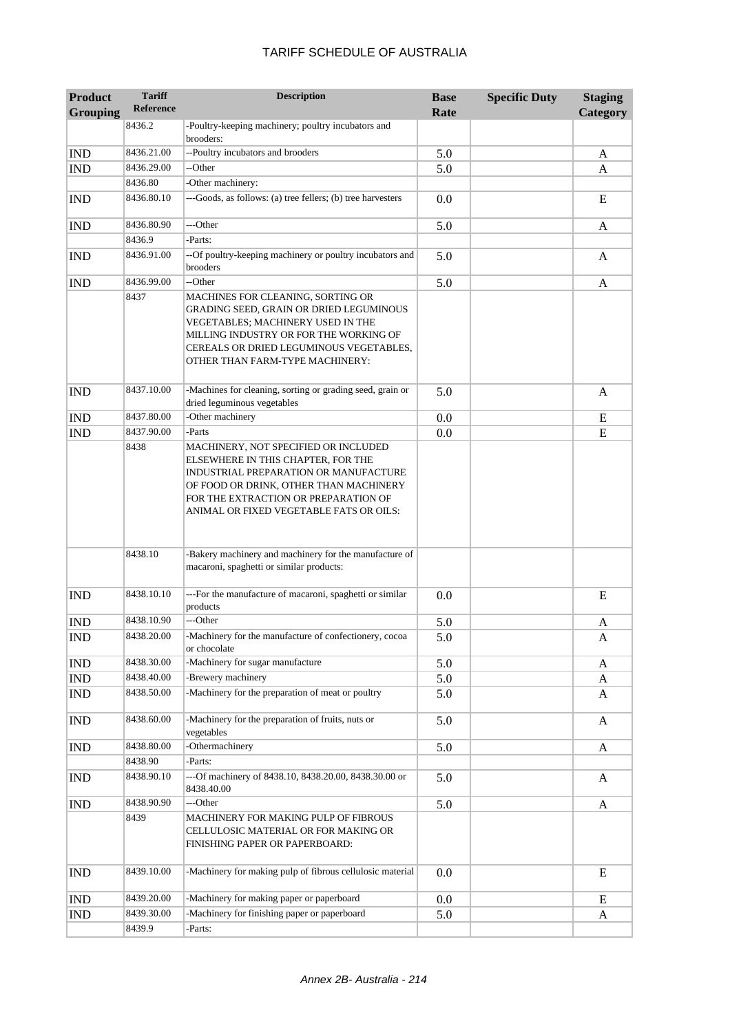| <b>Product</b><br><b>Grouping</b> | <b>Tariff</b><br><b>Reference</b> | <b>Description</b>                                                                                                                                                                                                                               | <b>Base</b><br>Rate | <b>Specific Duty</b> | <b>Staging</b><br>Category |
|-----------------------------------|-----------------------------------|--------------------------------------------------------------------------------------------------------------------------------------------------------------------------------------------------------------------------------------------------|---------------------|----------------------|----------------------------|
|                                   | 8436.2                            | -Poultry-keeping machinery; poultry incubators and<br>brooders:                                                                                                                                                                                  |                     |                      |                            |
| <b>IND</b>                        | 8436.21.00                        | --Poultry incubators and brooders                                                                                                                                                                                                                | 5.0                 |                      | A                          |
| <b>IND</b>                        | 8436.29.00                        | --Other                                                                                                                                                                                                                                          | 5.0                 |                      | A                          |
|                                   | 8436.80                           | -Other machinery:                                                                                                                                                                                                                                |                     |                      |                            |
| <b>IND</b>                        | 8436.80.10                        | ---Goods, as follows: (a) tree fellers; (b) tree harvesters                                                                                                                                                                                      | 0.0                 |                      | E                          |
| <b>IND</b>                        | 8436.80.90                        | ---Other                                                                                                                                                                                                                                         | 5.0                 |                      | $\mathbf{A}$               |
|                                   | 8436.9                            | -Parts:                                                                                                                                                                                                                                          |                     |                      |                            |
| <b>IND</b>                        | 8436.91.00                        | --Of poultry-keeping machinery or poultry incubators and<br>brooders                                                                                                                                                                             | 5.0                 |                      | A                          |
| <b>IND</b>                        | 8436.99.00                        | --Other                                                                                                                                                                                                                                          | 5.0                 |                      | A                          |
|                                   | 8437                              | MACHINES FOR CLEANING, SORTING OR<br>GRADING SEED, GRAIN OR DRIED LEGUMINOUS<br>VEGETABLES; MACHINERY USED IN THE<br>MILLING INDUSTRY OR FOR THE WORKING OF<br>CEREALS OR DRIED LEGUMINOUS VEGETABLES,<br>OTHER THAN FARM-TYPE MACHINERY:        |                     |                      |                            |
| <b>IND</b>                        | 8437.10.00                        | -Machines for cleaning, sorting or grading seed, grain or<br>dried leguminous vegetables                                                                                                                                                         | 5.0                 |                      | $\mathbf{A}$               |
| <b>IND</b>                        | 8437.80.00                        | -Other machinery                                                                                                                                                                                                                                 | 0.0                 |                      | E                          |
| <b>IND</b>                        | 8437.90.00                        | -Parts                                                                                                                                                                                                                                           | 0.0                 |                      | ${\bf E}$                  |
|                                   | 8438                              | MACHINERY, NOT SPECIFIED OR INCLUDED<br>ELSEWHERE IN THIS CHAPTER, FOR THE<br>INDUSTRIAL PREPARATION OR MANUFACTURE<br>OF FOOD OR DRINK, OTHER THAN MACHINERY<br>FOR THE EXTRACTION OR PREPARATION OF<br>ANIMAL OR FIXED VEGETABLE FATS OR OILS: |                     |                      |                            |
|                                   | 8438.10                           | -Bakery machinery and machinery for the manufacture of<br>macaroni, spaghetti or similar products:                                                                                                                                               |                     |                      |                            |
| <b>IND</b>                        | 8438.10.10                        | ---For the manufacture of macaroni, spaghetti or similar<br>products                                                                                                                                                                             | 0.0                 |                      | E                          |
| <b>IND</b>                        | 8438.10.90                        | ---Other                                                                                                                                                                                                                                         | 5.0                 |                      | A                          |
| <b>IND</b>                        | 8438.20.00                        | -Machinery for the manufacture of confectionery, cocoa<br>or chocolate                                                                                                                                                                           | 5.0                 |                      | $\mathbf{A}$               |
| <b>IND</b>                        | 8438.30.00                        | -Machinery for sugar manufacture                                                                                                                                                                                                                 | 5.0                 |                      | A                          |
| <b>IND</b>                        | 8438.40.00                        | -Brewery machinery                                                                                                                                                                                                                               | 5.0                 |                      | A                          |
| <b>IND</b>                        | 8438.50.00                        | -Machinery for the preparation of meat or poultry                                                                                                                                                                                                | 5.0                 |                      | A                          |
| <b>IND</b>                        | 8438.60.00                        | -Machinery for the preparation of fruits, nuts or<br>vegetables                                                                                                                                                                                  | 5.0                 |                      | A                          |
| <b>IND</b>                        | 8438.80.00                        | -Othermachinery                                                                                                                                                                                                                                  | 5.0                 |                      | A                          |
|                                   | 8438.90                           | -Parts:                                                                                                                                                                                                                                          |                     |                      |                            |
| <b>IND</b>                        | 8438.90.10                        | ---Of machinery of 8438.10, 8438.20.00, 8438.30.00 or<br>8438.40.00                                                                                                                                                                              | 5.0                 |                      | A                          |
| <b>IND</b>                        | 8438.90.90                        | ---Other                                                                                                                                                                                                                                         | 5.0                 |                      | A                          |
|                                   | 8439                              | MACHINERY FOR MAKING PULP OF FIBROUS<br>CELLULOSIC MATERIAL OR FOR MAKING OR<br>FINISHING PAPER OR PAPERBOARD:                                                                                                                                   |                     |                      |                            |
| <b>IND</b>                        | 8439.10.00                        | -Machinery for making pulp of fibrous cellulosic material                                                                                                                                                                                        | 0.0                 |                      | ${\bf E}$                  |
| <b>IND</b>                        | 8439.20.00                        | -Machinery for making paper or paperboard                                                                                                                                                                                                        | 0.0                 |                      | E                          |
| <b>IND</b>                        | 8439.30.00                        | -Machinery for finishing paper or paperboard                                                                                                                                                                                                     | 5.0                 |                      | A                          |
|                                   | 8439.9                            | -Parts:                                                                                                                                                                                                                                          |                     |                      |                            |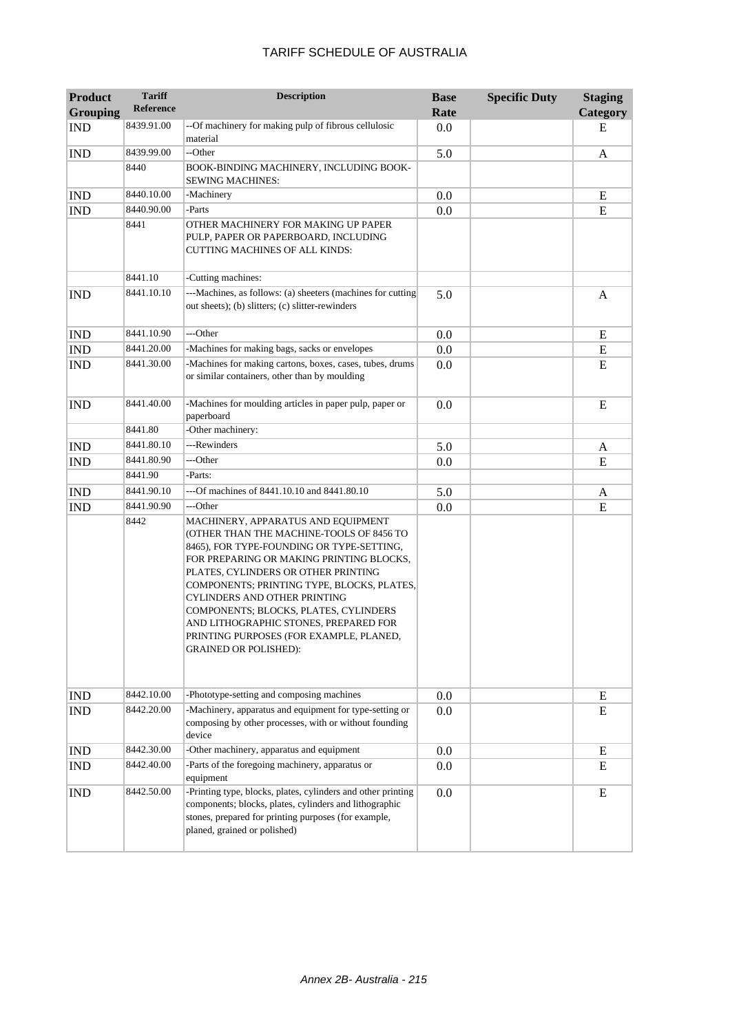| <b>Product</b><br><b>Grouping</b> | <b>Tariff</b><br><b>Reference</b> | <b>Description</b>                                                                                                                                                                                                                                                                                                                                                                                                                                        | <b>Base</b><br>Rate | <b>Specific Duty</b> | <b>Staging</b><br>Category |
|-----------------------------------|-----------------------------------|-----------------------------------------------------------------------------------------------------------------------------------------------------------------------------------------------------------------------------------------------------------------------------------------------------------------------------------------------------------------------------------------------------------------------------------------------------------|---------------------|----------------------|----------------------------|
| <b>IND</b>                        | 8439.91.00                        | --Of machinery for making pulp of fibrous cellulosic<br>material                                                                                                                                                                                                                                                                                                                                                                                          | 0.0                 |                      | E                          |
| <b>IND</b>                        | 8439.99.00                        | --Other                                                                                                                                                                                                                                                                                                                                                                                                                                                   | 5.0                 |                      | A                          |
|                                   | 8440                              | BOOK-BINDING MACHINERY, INCLUDING BOOK-<br><b>SEWING MACHINES:</b>                                                                                                                                                                                                                                                                                                                                                                                        |                     |                      |                            |
| <b>IND</b>                        | 8440.10.00                        | -Machinery                                                                                                                                                                                                                                                                                                                                                                                                                                                | 0.0                 |                      | E                          |
| <b>IND</b>                        | 8440.90.00                        | -Parts                                                                                                                                                                                                                                                                                                                                                                                                                                                    | 0.0                 |                      | E                          |
|                                   | 8441                              | OTHER MACHINERY FOR MAKING UP PAPER<br>PULP, PAPER OR PAPERBOARD, INCLUDING<br><b>CUTTING MACHINES OF ALL KINDS:</b>                                                                                                                                                                                                                                                                                                                                      |                     |                      |                            |
|                                   | 8441.10                           | -Cutting machines:                                                                                                                                                                                                                                                                                                                                                                                                                                        |                     |                      |                            |
| <b>IND</b>                        | 8441.10.10                        | ---Machines, as follows: (a) sheeters (machines for cutting<br>out sheets); (b) slitters; (c) slitter-rewinders                                                                                                                                                                                                                                                                                                                                           | 5.0                 |                      | A                          |
| <b>IND</b>                        | 8441.10.90                        | ---Other                                                                                                                                                                                                                                                                                                                                                                                                                                                  | 0.0                 |                      | E                          |
| <b>IND</b>                        | 8441.20.00                        | -Machines for making bags, sacks or envelopes                                                                                                                                                                                                                                                                                                                                                                                                             | 0.0                 |                      | ${\bf E}$                  |
| <b>IND</b>                        | 8441.30.00                        | -Machines for making cartons, boxes, cases, tubes, drums<br>or similar containers, other than by moulding                                                                                                                                                                                                                                                                                                                                                 | 0.0                 |                      | E                          |
| <b>IND</b>                        | 8441.40.00                        | -Machines for moulding articles in paper pulp, paper or<br>paperboard                                                                                                                                                                                                                                                                                                                                                                                     | 0.0                 |                      | E                          |
|                                   | 8441.80                           | -Other machinery:                                                                                                                                                                                                                                                                                                                                                                                                                                         |                     |                      |                            |
| <b>IND</b>                        | 8441.80.10                        | ---Rewinders                                                                                                                                                                                                                                                                                                                                                                                                                                              | 5.0                 |                      | A                          |
| <b>IND</b>                        | 8441.80.90                        | ---Other                                                                                                                                                                                                                                                                                                                                                                                                                                                  | 0.0                 |                      | E                          |
|                                   | 8441.90                           | -Parts:                                                                                                                                                                                                                                                                                                                                                                                                                                                   |                     |                      |                            |
| <b>IND</b>                        | 8441.90.10                        | ---Of machines of 8441.10.10 and 8441.80.10                                                                                                                                                                                                                                                                                                                                                                                                               | 5.0                 |                      | A                          |
| <b>IND</b>                        | 8441.90.90                        | ---Other                                                                                                                                                                                                                                                                                                                                                                                                                                                  | 0.0                 |                      | ${\bf E}$                  |
|                                   | 8442                              | MACHINERY, APPARATUS AND EQUIPMENT<br>(OTHER THAN THE MACHINE-TOOLS OF 8456 TO<br>8465), FOR TYPE-FOUNDING OR TYPE-SETTING,<br>FOR PREPARING OR MAKING PRINTING BLOCKS,<br>PLATES, CYLINDERS OR OTHER PRINTING<br>COMPONENTS; PRINTING TYPE, BLOCKS, PLATES,<br>CYLINDERS AND OTHER PRINTING<br>COMPONENTS; BLOCKS, PLATES, CYLINDERS<br>AND LITHOGRAPHIC STONES, PREPARED FOR<br>PRINTING PURPOSES (FOR EXAMPLE, PLANED,<br><b>GRAINED OR POLISHED):</b> |                     |                      |                            |
| <b>IND</b>                        | 8442.10.00                        | -Phototype-setting and composing machines                                                                                                                                                                                                                                                                                                                                                                                                                 | 0.0                 |                      | E                          |
| <b>IND</b>                        | 8442.20.00                        | -Machinery, apparatus and equipment for type-setting or<br>composing by other processes, with or without founding<br>device                                                                                                                                                                                                                                                                                                                               | 0.0                 |                      | E                          |
| <b>IND</b>                        | 8442.30.00                        | -Other machinery, apparatus and equipment                                                                                                                                                                                                                                                                                                                                                                                                                 | 0.0                 |                      | ${\bf E}$                  |
| <b>IND</b>                        | 8442.40.00                        | -Parts of the foregoing machinery, apparatus or<br>equipment                                                                                                                                                                                                                                                                                                                                                                                              | 0.0                 |                      | E                          |
| <b>IND</b>                        | 8442.50.00                        | -Printing type, blocks, plates, cylinders and other printing<br>components; blocks, plates, cylinders and lithographic<br>stones, prepared for printing purposes (for example,<br>planed, grained or polished)                                                                                                                                                                                                                                            | 0.0                 |                      | E                          |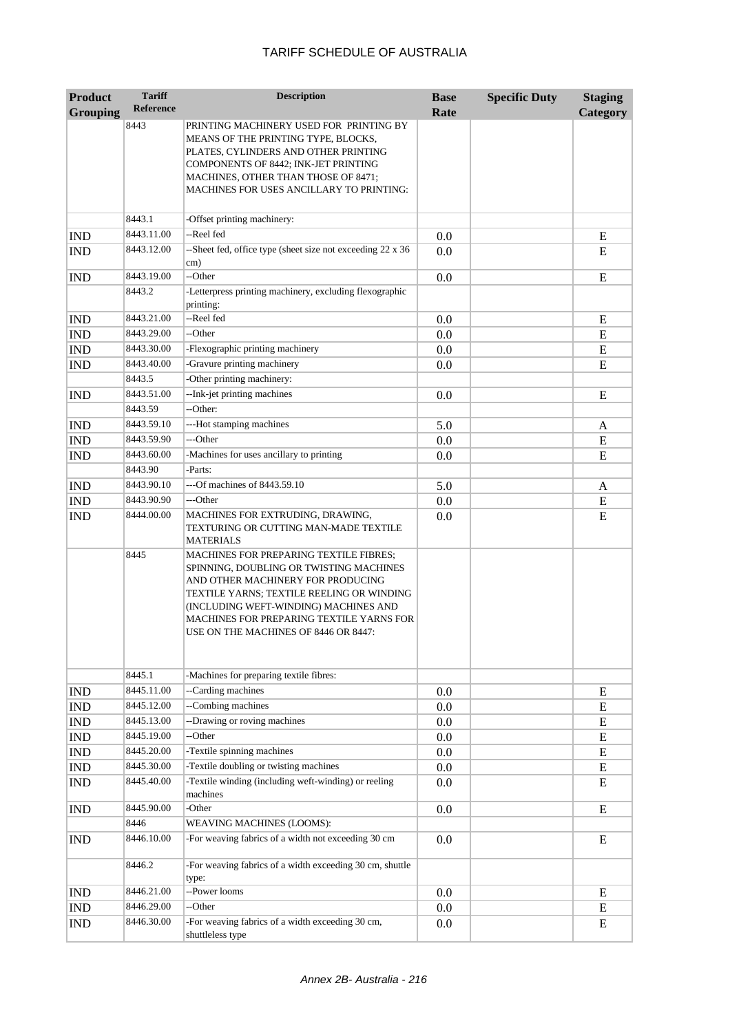| <b>Product</b>  | <b>Tariff</b>         | <b>Description</b>                                                                                                                                                                                                                                                                                      | <b>Base</b> | <b>Specific Duty</b> | <b>Staging</b> |
|-----------------|-----------------------|---------------------------------------------------------------------------------------------------------------------------------------------------------------------------------------------------------------------------------------------------------------------------------------------------------|-------------|----------------------|----------------|
| <b>Grouping</b> | <b>Reference</b>      |                                                                                                                                                                                                                                                                                                         | Rate        |                      | Category       |
|                 | 8443                  | PRINTING MACHINERY USED FOR PRINTING BY<br>MEANS OF THE PRINTING TYPE, BLOCKS,<br>PLATES, CYLINDERS AND OTHER PRINTING<br>COMPONENTS OF 8442; INK-JET PRINTING<br>MACHINES, OTHER THAN THOSE OF 8471;<br>MACHINES FOR USES ANCILLARY TO PRINTING:                                                       |             |                      |                |
|                 | 8443.1                | -Offset printing machinery:                                                                                                                                                                                                                                                                             |             |                      |                |
| <b>IND</b>      | 8443.11.00            | --Reel fed                                                                                                                                                                                                                                                                                              | 0.0         |                      | E              |
| <b>IND</b>      | 8443.12.00            | --Sheet fed, office type (sheet size not exceeding 22 x 36<br>cm)                                                                                                                                                                                                                                       | 0.0         |                      | E              |
| <b>IND</b>      | 8443.19.00            | --Other                                                                                                                                                                                                                                                                                                 | 0.0         |                      | E              |
|                 | 8443.2                | -Letterpress printing machinery, excluding flexographic<br>printing:                                                                                                                                                                                                                                    |             |                      |                |
| <b>IND</b>      | 8443.21.00            | --Reel fed                                                                                                                                                                                                                                                                                              | 0.0         |                      | E              |
| <b>IND</b>      | 8443.29.00            | --Other                                                                                                                                                                                                                                                                                                 | 0.0         |                      | ${\bf E}$      |
| <b>IND</b>      | 8443.30.00            | -Flexographic printing machinery                                                                                                                                                                                                                                                                        | 0.0         |                      | E              |
| <b>IND</b>      | 8443.40.00            | -Gravure printing machinery                                                                                                                                                                                                                                                                             | 0.0         |                      | E              |
|                 | 8443.5                | -Other printing machinery:                                                                                                                                                                                                                                                                              |             |                      |                |
| <b>IND</b>      | 8443.51.00<br>8443.59 | --Ink-jet printing machines<br>--Other:                                                                                                                                                                                                                                                                 | 0.0         |                      | ${\bf E}$      |
| <b>IND</b>      | 8443.59.10            | ---Hot stamping machines                                                                                                                                                                                                                                                                                | 5.0         |                      | A              |
| <b>IND</b>      | 8443.59.90            | ---Other                                                                                                                                                                                                                                                                                                | 0.0         |                      | ${\bf E}$      |
| <b>IND</b>      | 8443.60.00            | -Machines for uses ancillary to printing                                                                                                                                                                                                                                                                | 0.0         |                      | E              |
|                 | 8443.90               | -Parts:                                                                                                                                                                                                                                                                                                 |             |                      |                |
| <b>IND</b>      | 8443.90.10            | ---Of machines of 8443.59.10                                                                                                                                                                                                                                                                            | 5.0         |                      | A              |
| <b>IND</b>      | 8443.90.90            | ---Other                                                                                                                                                                                                                                                                                                | 0.0         |                      | ${\bf E}$      |
| <b>IND</b>      | 8444.00.00            | MACHINES FOR EXTRUDING, DRAWING,<br>TEXTURING OR CUTTING MAN-MADE TEXTILE<br><b>MATERIALS</b>                                                                                                                                                                                                           | 0.0         |                      | ${\bf E}$      |
|                 | 8445                  | <b>MACHINES FOR PREPARING TEXTILE FIBRES;</b><br>SPINNING, DOUBLING OR TWISTING MACHINES<br>AND OTHER MACHINERY FOR PRODUCING<br>TEXTILE YARNS; TEXTILE REELING OR WINDING<br>(INCLUDING WEFT-WINDING) MACHINES AND<br>MACHINES FOR PREPARING TEXTILE YARNS FOR<br>USE ON THE MACHINES OF 8446 OR 8447: |             |                      |                |
|                 | 8445.1                | -Machines for preparing textile fibres:                                                                                                                                                                                                                                                                 |             |                      |                |
| <b>IND</b>      | 8445.11.00            | --Carding machines                                                                                                                                                                                                                                                                                      | 0.0         |                      | E              |
| <b>IND</b>      | 8445.12.00            | --Combing machines                                                                                                                                                                                                                                                                                      | 0.0         |                      | ${\bf E}$      |
| <b>IND</b>      | 8445.13.00            | --Drawing or roving machines                                                                                                                                                                                                                                                                            | 0.0         |                      | ${\bf E}$      |
| <b>IND</b>      | 8445.19.00            | --Other                                                                                                                                                                                                                                                                                                 | 0.0         |                      | ${\bf E}$      |
| <b>IND</b>      | 8445.20.00            | -Textile spinning machines                                                                                                                                                                                                                                                                              | 0.0         |                      | ${\bf E}$      |
| <b>IND</b>      | 8445.30.00            | -Textile doubling or twisting machines                                                                                                                                                                                                                                                                  | 0.0         |                      | ${\bf E}$      |
| <b>IND</b>      | 8445.40.00            | -Textile winding (including weft-winding) or reeling<br>machines                                                                                                                                                                                                                                        | 0.0         |                      | E              |
| <b>IND</b>      | 8445.90.00            | -Other                                                                                                                                                                                                                                                                                                  | 0.0         |                      | ${\bf E}$      |
|                 | 8446                  | WEAVING MACHINES (LOOMS):                                                                                                                                                                                                                                                                               |             |                      |                |
| <b>IND</b>      | 8446.10.00            | -For weaving fabrics of a width not exceeding 30 cm                                                                                                                                                                                                                                                     | 0.0         |                      | E              |
|                 | 8446.2                | -For weaving fabrics of a width exceeding 30 cm, shuttle<br>type:                                                                                                                                                                                                                                       |             |                      |                |
| <b>IND</b>      | 8446.21.00            | --Power looms                                                                                                                                                                                                                                                                                           | 0.0         |                      | E              |
| <b>IND</b>      | 8446.29.00            | --Other                                                                                                                                                                                                                                                                                                 | 0.0         |                      | E              |
| IND             | 8446.30.00            | -For weaving fabrics of a width exceeding 30 cm,<br>shuttleless type                                                                                                                                                                                                                                    | 0.0         |                      | E              |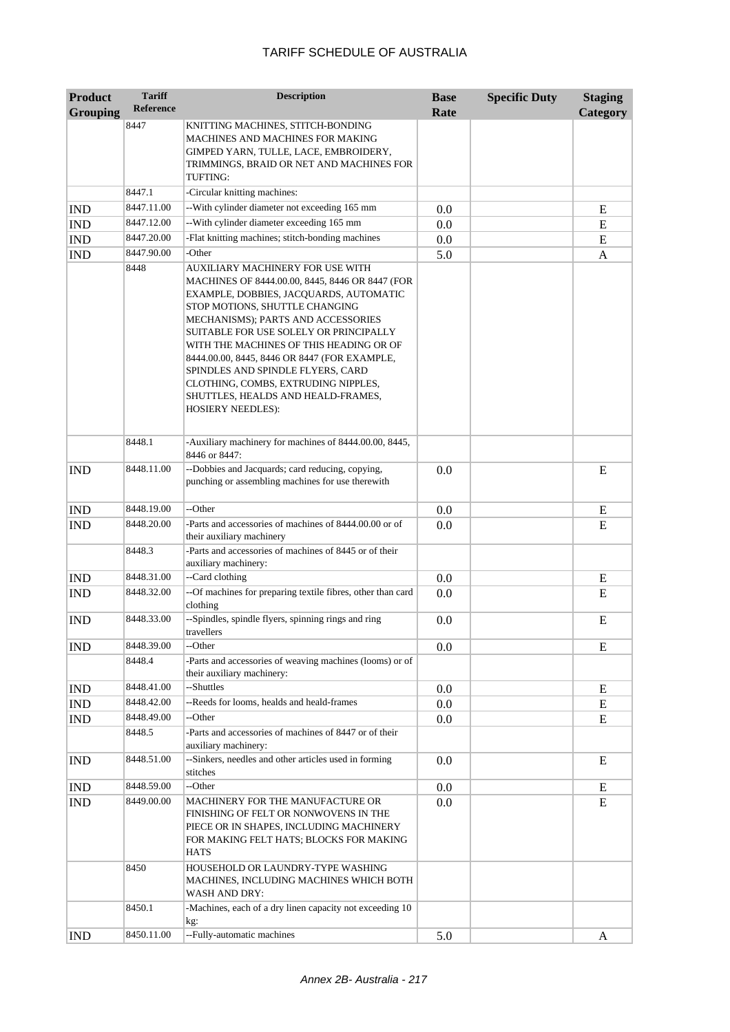| <b>Product</b><br><b>Grouping</b> | <b>Tariff</b><br><b>Reference</b> | <b>Description</b>                                                                                                                                                                                                                                                                                                                                                                                                                                                                       | <b>Base</b><br>Rate | <b>Specific Duty</b> | <b>Staging</b><br>Category |
|-----------------------------------|-----------------------------------|------------------------------------------------------------------------------------------------------------------------------------------------------------------------------------------------------------------------------------------------------------------------------------------------------------------------------------------------------------------------------------------------------------------------------------------------------------------------------------------|---------------------|----------------------|----------------------------|
|                                   | 8447                              | KNITTING MACHINES, STITCH-BONDING<br>MACHINES AND MACHINES FOR MAKING<br>GIMPED YARN, TULLE, LACE, EMBROIDERY,<br>TRIMMINGS, BRAID OR NET AND MACHINES FOR<br>TUFTING:                                                                                                                                                                                                                                                                                                                   |                     |                      |                            |
|                                   | 8447.1                            | -Circular knitting machines:                                                                                                                                                                                                                                                                                                                                                                                                                                                             |                     |                      |                            |
| <b>IND</b>                        | 8447.11.00                        | --With cylinder diameter not exceeding 165 mm                                                                                                                                                                                                                                                                                                                                                                                                                                            | 0.0                 |                      | E                          |
| <b>IND</b>                        | 8447.12.00                        | -- With cylinder diameter exceeding 165 mm                                                                                                                                                                                                                                                                                                                                                                                                                                               | 0.0                 |                      | E                          |
| IND                               | 8447.20.00                        | -Flat knitting machines; stitch-bonding machines                                                                                                                                                                                                                                                                                                                                                                                                                                         | 0.0                 |                      | E                          |
| <b>IND</b>                        | 8447.90.00                        | -Other                                                                                                                                                                                                                                                                                                                                                                                                                                                                                   | 5.0                 |                      | A                          |
|                                   | 8448                              | AUXILIARY MACHINERY FOR USE WITH<br>MACHINES OF 8444.00.00, 8445, 8446 OR 8447 (FOR<br>EXAMPLE, DOBBIES, JACQUARDS, AUTOMATIC<br>STOP MOTIONS, SHUTTLE CHANGING<br>MECHANISMS); PARTS AND ACCESSORIES<br>SUITABLE FOR USE SOLELY OR PRINCIPALLY<br>WITH THE MACHINES OF THIS HEADING OR OF<br>8444.00.00, 8445, 8446 OR 8447 (FOR EXAMPLE,<br>SPINDLES AND SPINDLE FLYERS, CARD<br>CLOTHING, COMBS, EXTRUDING NIPPLES,<br>SHUTTLES, HEALDS AND HEALD-FRAMES,<br><b>HOSIERY NEEDLES):</b> |                     |                      |                            |
|                                   | 8448.1                            | -Auxiliary machinery for machines of 8444.00.00, 8445,<br>8446 or 8447:                                                                                                                                                                                                                                                                                                                                                                                                                  |                     |                      |                            |
| <b>IND</b>                        | 8448.11.00                        | --Dobbies and Jacquards; card reducing, copying,<br>punching or assembling machines for use therewith                                                                                                                                                                                                                                                                                                                                                                                    | 0.0                 |                      | E                          |
| <b>IND</b>                        | 8448.19.00                        | --Other                                                                                                                                                                                                                                                                                                                                                                                                                                                                                  | 0.0                 |                      | E                          |
| <b>IND</b>                        | 8448.20.00                        | -Parts and accessories of machines of 8444.00.00 or of<br>their auxiliary machinery                                                                                                                                                                                                                                                                                                                                                                                                      | 0.0                 |                      | E                          |
|                                   | 8448.3                            | -Parts and accessories of machines of 8445 or of their<br>auxiliary machinery:                                                                                                                                                                                                                                                                                                                                                                                                           |                     |                      |                            |
| <b>IND</b>                        | 8448.31.00                        | --Card clothing                                                                                                                                                                                                                                                                                                                                                                                                                                                                          | 0.0                 |                      | E                          |
| <b>IND</b>                        | 8448.32.00                        | --Of machines for preparing textile fibres, other than card<br>clothing                                                                                                                                                                                                                                                                                                                                                                                                                  | 0.0                 |                      | E                          |
| <b>IND</b>                        | 8448.33.00                        | --Spindles, spindle flyers, spinning rings and ring<br>travellers                                                                                                                                                                                                                                                                                                                                                                                                                        | 0.0                 |                      | E                          |
| <b>IND</b>                        | 8448.39.00                        | --Other                                                                                                                                                                                                                                                                                                                                                                                                                                                                                  | 0.0                 |                      | E                          |
|                                   | 8448.4                            | -Parts and accessories of weaving machines (looms) or of<br>their auxiliary machinery:                                                                                                                                                                                                                                                                                                                                                                                                   |                     |                      |                            |
| <b>IND</b>                        | 8448.41.00                        | --Shuttles                                                                                                                                                                                                                                                                                                                                                                                                                                                                               | 0.0                 |                      | E                          |
| <b>IND</b>                        | 8448.42.00                        | --Reeds for looms, healds and heald-frames                                                                                                                                                                                                                                                                                                                                                                                                                                               | 0.0                 |                      | E                          |
| <b>IND</b>                        | 8448.49.00                        | --Other                                                                                                                                                                                                                                                                                                                                                                                                                                                                                  | 0.0                 |                      | E                          |
|                                   | 8448.5                            | -Parts and accessories of machines of 8447 or of their<br>auxiliary machinery:                                                                                                                                                                                                                                                                                                                                                                                                           |                     |                      |                            |
| <b>IND</b>                        | 8448.51.00                        | --Sinkers, needles and other articles used in forming<br>stitches                                                                                                                                                                                                                                                                                                                                                                                                                        | 0.0                 |                      | E                          |
| <b>IND</b>                        | 8448.59.00                        | --Other                                                                                                                                                                                                                                                                                                                                                                                                                                                                                  | 0.0                 |                      | E                          |
| IND                               | 8449.00.00                        | MACHINERY FOR THE MANUFACTURE OR<br>FINISHING OF FELT OR NONWOVENS IN THE<br>PIECE OR IN SHAPES, INCLUDING MACHINERY<br>FOR MAKING FELT HATS; BLOCKS FOR MAKING<br><b>HATS</b>                                                                                                                                                                                                                                                                                                           | 0.0                 |                      | E                          |
|                                   | 8450                              | HOUSEHOLD OR LAUNDRY-TYPE WASHING<br>MACHINES, INCLUDING MACHINES WHICH BOTH<br>WASH AND DRY:                                                                                                                                                                                                                                                                                                                                                                                            |                     |                      |                            |
|                                   | 8450.1                            | -Machines, each of a dry linen capacity not exceeding 10                                                                                                                                                                                                                                                                                                                                                                                                                                 |                     |                      |                            |
| <b>IND</b>                        | 8450.11.00                        | kg:<br>--Fully-automatic machines                                                                                                                                                                                                                                                                                                                                                                                                                                                        | 5.0                 |                      | A                          |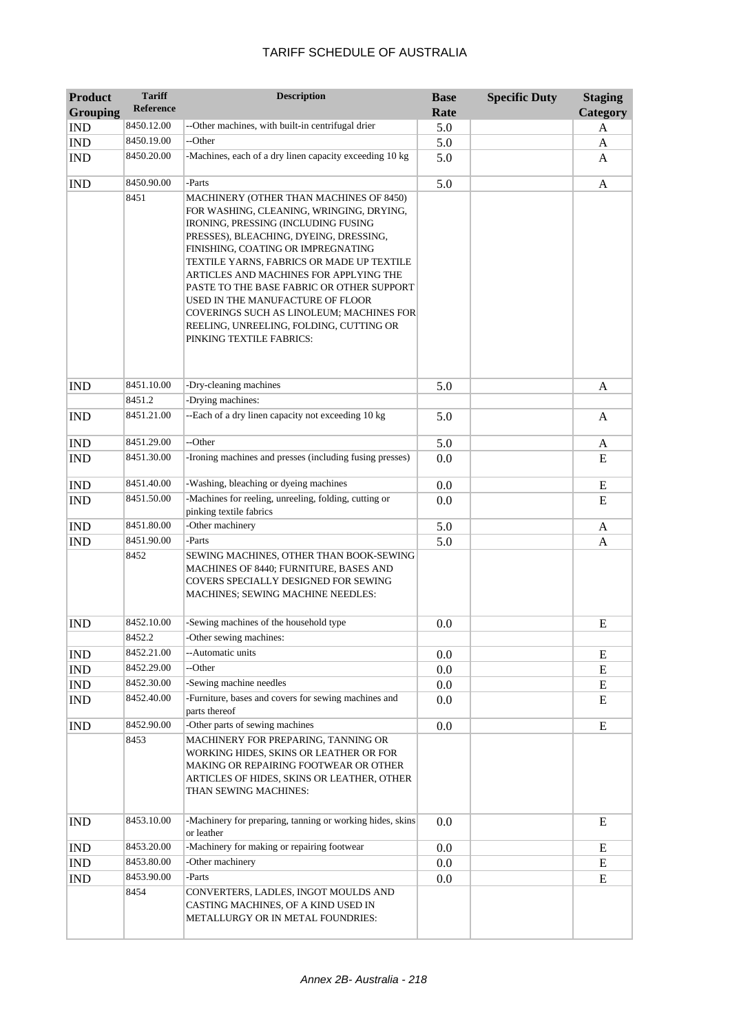| <b>Product</b><br><b>Grouping</b> | <b>Tariff</b><br><b>Reference</b> | <b>Description</b>                                                                                                                                                                                                                                                                                                                                                                                                                                                                                    | <b>Base</b><br>Rate | <b>Specific Duty</b> | <b>Staging</b><br>Category |
|-----------------------------------|-----------------------------------|-------------------------------------------------------------------------------------------------------------------------------------------------------------------------------------------------------------------------------------------------------------------------------------------------------------------------------------------------------------------------------------------------------------------------------------------------------------------------------------------------------|---------------------|----------------------|----------------------------|
| <b>IND</b>                        | 8450.12.00                        | --Other machines, with built-in centrifugal drier                                                                                                                                                                                                                                                                                                                                                                                                                                                     | 5.0                 |                      | A                          |
| <b>IND</b>                        | 8450.19.00                        | --Other                                                                                                                                                                                                                                                                                                                                                                                                                                                                                               | 5.0                 |                      | A                          |
| <b>IND</b>                        | 8450.20.00                        | -Machines, each of a dry linen capacity exceeding 10 kg                                                                                                                                                                                                                                                                                                                                                                                                                                               | 5.0                 |                      | A                          |
| <b>IND</b>                        | 8450.90.00                        | -Parts                                                                                                                                                                                                                                                                                                                                                                                                                                                                                                | 5.0                 |                      | A                          |
|                                   | 8451                              | MACHINERY (OTHER THAN MACHINES OF 8450)<br>FOR WASHING, CLEANING, WRINGING, DRYING,<br>IRONING, PRESSING (INCLUDING FUSING<br>PRESSES), BLEACHING, DYEING, DRESSING,<br>FINISHING, COATING OR IMPREGNATING<br>TEXTILE YARNS, FABRICS OR MADE UP TEXTILE<br>ARTICLES AND MACHINES FOR APPLYING THE<br>PASTE TO THE BASE FABRIC OR OTHER SUPPORT<br>USED IN THE MANUFACTURE OF FLOOR<br>COVERINGS SUCH AS LINOLEUM; MACHINES FOR<br>REELING, UNREELING, FOLDING, CUTTING OR<br>PINKING TEXTILE FABRICS: |                     |                      |                            |
| <b>IND</b>                        | 8451.10.00                        | -Dry-cleaning machines                                                                                                                                                                                                                                                                                                                                                                                                                                                                                | 5.0                 |                      | A                          |
|                                   | 8451.2                            | -Drying machines:                                                                                                                                                                                                                                                                                                                                                                                                                                                                                     |                     |                      |                            |
| <b>IND</b>                        | 8451.21.00                        | --Each of a dry linen capacity not exceeding 10 kg                                                                                                                                                                                                                                                                                                                                                                                                                                                    | 5.0                 |                      | A                          |
| <b>IND</b>                        | 8451.29.00                        | --Other                                                                                                                                                                                                                                                                                                                                                                                                                                                                                               | 5.0                 |                      | A                          |
| <b>IND</b>                        | 8451.30.00                        | -Ironing machines and presses (including fusing presses)                                                                                                                                                                                                                                                                                                                                                                                                                                              | 0.0                 |                      | E                          |
| $\mathop{\rm IND}\nolimits$       | 8451.40.00                        | -Washing, bleaching or dyeing machines                                                                                                                                                                                                                                                                                                                                                                                                                                                                | 0.0                 |                      | E                          |
| <b>IND</b>                        | 8451.50.00                        | -Machines for reeling, unreeling, folding, cutting or<br>pinking textile fabrics                                                                                                                                                                                                                                                                                                                                                                                                                      | 0.0                 |                      | E                          |
| <b>IND</b>                        | 8451.80.00                        | -Other machinery                                                                                                                                                                                                                                                                                                                                                                                                                                                                                      | 5.0                 |                      | A                          |
| <b>IND</b>                        | 8451.90.00                        | -Parts                                                                                                                                                                                                                                                                                                                                                                                                                                                                                                | 5.0                 |                      | A                          |
|                                   | 8452                              | SEWING MACHINES, OTHER THAN BOOK-SEWING<br>MACHINES OF 8440; FURNITURE, BASES AND<br>COVERS SPECIALLY DESIGNED FOR SEWING<br>MACHINES; SEWING MACHINE NEEDLES:                                                                                                                                                                                                                                                                                                                                        |                     |                      |                            |
| <b>IND</b>                        | 8452.10.00                        | -Sewing machines of the household type                                                                                                                                                                                                                                                                                                                                                                                                                                                                | 0.0                 |                      | E                          |
|                                   | 8452.2                            | -Other sewing machines:                                                                                                                                                                                                                                                                                                                                                                                                                                                                               |                     |                      |                            |
| <b>IND</b>                        | 8452.21.00                        | --Automatic units                                                                                                                                                                                                                                                                                                                                                                                                                                                                                     | 0.0                 |                      | E                          |
| IND                               | 8452.29.00                        | --Other                                                                                                                                                                                                                                                                                                                                                                                                                                                                                               | 0.0                 |                      | E                          |
| <b>IND</b>                        | 8452.30.00                        | -Sewing machine needles                                                                                                                                                                                                                                                                                                                                                                                                                                                                               | 0.0                 |                      | Ε                          |
| <b>IND</b>                        | 8452.40.00                        | -Furniture, bases and covers for sewing machines and<br>parts thereof                                                                                                                                                                                                                                                                                                                                                                                                                                 | 0.0                 |                      | E                          |
| <b>IND</b>                        | 8452.90.00                        | -Other parts of sewing machines                                                                                                                                                                                                                                                                                                                                                                                                                                                                       | 0.0                 |                      | E                          |
|                                   | 8453                              | MACHINERY FOR PREPARING, TANNING OR<br>WORKING HIDES, SKINS OR LEATHER OR FOR<br>MAKING OR REPAIRING FOOTWEAR OR OTHER<br>ARTICLES OF HIDES, SKINS OR LEATHER, OTHER<br>THAN SEWING MACHINES:                                                                                                                                                                                                                                                                                                         |                     |                      |                            |
| <b>IND</b>                        | 8453.10.00                        | -Machinery for preparing, tanning or working hides, skins<br>or leather                                                                                                                                                                                                                                                                                                                                                                                                                               | 0.0                 |                      | E                          |
| <b>IND</b>                        | 8453.20.00                        | -Machinery for making or repairing footwear                                                                                                                                                                                                                                                                                                                                                                                                                                                           | $0.0\,$             |                      | E                          |
| IND                               | 8453.80.00                        | -Other machinery                                                                                                                                                                                                                                                                                                                                                                                                                                                                                      | 0.0                 |                      | E                          |
| <b>IND</b>                        | 8453.90.00                        | -Parts                                                                                                                                                                                                                                                                                                                                                                                                                                                                                                | $0.0\,$             |                      | E                          |
|                                   | 8454                              | CONVERTERS, LADLES, INGOT MOULDS AND<br>CASTING MACHINES, OF A KIND USED IN<br>METALLURGY OR IN METAL FOUNDRIES:                                                                                                                                                                                                                                                                                                                                                                                      |                     |                      |                            |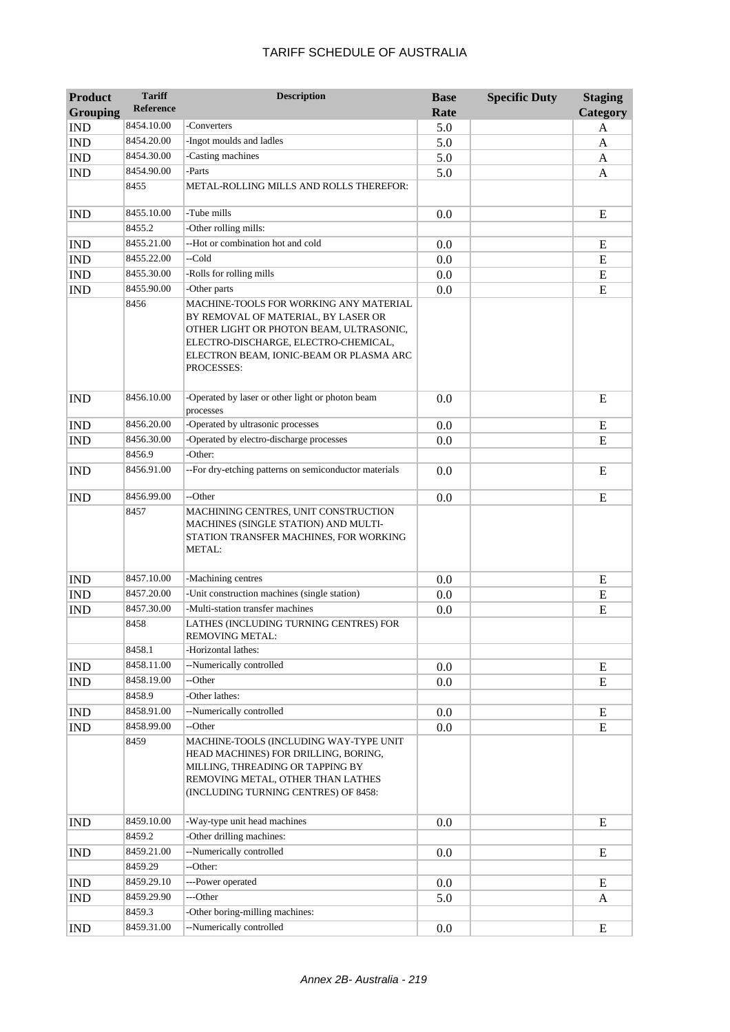| <b>Product</b>              | <b>Tariff</b>    | <b>Description</b>                                                                                                                                                                                                        | <b>Base</b> | <b>Specific Duty</b> | <b>Staging</b> |
|-----------------------------|------------------|---------------------------------------------------------------------------------------------------------------------------------------------------------------------------------------------------------------------------|-------------|----------------------|----------------|
| <b>Grouping</b>             | <b>Reference</b> |                                                                                                                                                                                                                           | Rate        |                      | Category       |
| <b>IND</b>                  | 8454.10.00       | -Converters                                                                                                                                                                                                               | 5.0         |                      | A              |
| <b>IND</b>                  | 8454.20.00       | -Ingot moulds and ladles                                                                                                                                                                                                  | 5.0         |                      | A              |
| <b>IND</b>                  | 8454.30.00       | -Casting machines                                                                                                                                                                                                         | 5.0         |                      | A              |
| <b>IND</b>                  | 8454.90.00       | -Parts                                                                                                                                                                                                                    | 5.0         |                      | A              |
|                             | 8455             | METAL-ROLLING MILLS AND ROLLS THEREFOR:                                                                                                                                                                                   |             |                      |                |
| <b>IND</b>                  | 8455.10.00       | -Tube mills                                                                                                                                                                                                               | 0.0         |                      | E              |
|                             | 8455.2           | -Other rolling mills:                                                                                                                                                                                                     |             |                      |                |
| <b>IND</b>                  | 8455.21.00       | --Hot or combination hot and cold                                                                                                                                                                                         | 0.0         |                      | E              |
| <b>IND</b>                  | 8455.22.00       | --Cold                                                                                                                                                                                                                    | 0.0         |                      | E              |
| <b>IND</b>                  | 8455.30.00       | -Rolls for rolling mills                                                                                                                                                                                                  | 0.0         |                      | E              |
| <b>IND</b>                  | 8455.90.00       | -Other parts                                                                                                                                                                                                              | 0.0         |                      | E              |
|                             | 8456             | MACHINE-TOOLS FOR WORKING ANY MATERIAL<br>BY REMOVAL OF MATERIAL, BY LASER OR<br>OTHER LIGHT OR PHOTON BEAM, ULTRASONIC,<br>ELECTRO-DISCHARGE, ELECTRO-CHEMICAL,<br>ELECTRON BEAM, IONIC-BEAM OR PLASMA ARC<br>PROCESSES: |             |                      |                |
| <b>IND</b>                  | 8456.10.00       | -Operated by laser or other light or photon beam<br>processes                                                                                                                                                             | 0.0         |                      | E              |
| <b>IND</b>                  | 8456.20.00       | -Operated by ultrasonic processes                                                                                                                                                                                         | 0.0         |                      | E              |
| <b>IND</b>                  | 8456.30.00       | -Operated by electro-discharge processes                                                                                                                                                                                  | 0.0         |                      | E              |
|                             | 8456.9           | -Other:                                                                                                                                                                                                                   |             |                      |                |
| <b>IND</b>                  | 8456.91.00       | --For dry-etching patterns on semiconductor materials                                                                                                                                                                     | 0.0         |                      | E              |
| <b>IND</b>                  | 8456.99.00       | --Other                                                                                                                                                                                                                   | 0.0         |                      | E              |
|                             | 8457             | MACHINING CENTRES, UNIT CONSTRUCTION<br>MACHINES (SINGLE STATION) AND MULTI-<br>STATION TRANSFER MACHINES, FOR WORKING<br><b>METAL:</b>                                                                                   |             |                      |                |
| <b>IND</b>                  | 8457.10.00       | -Machining centres                                                                                                                                                                                                        | 0.0         |                      | E              |
| <b>IND</b>                  | 8457.20.00       | -Unit construction machines (single station)                                                                                                                                                                              | 0.0         |                      | E              |
| <b>IND</b>                  | 8457.30.00       | -Multi-station transfer machines                                                                                                                                                                                          | 0.0         |                      | E              |
|                             | 8458             | LATHES (INCLUDING TURNING CENTRES) FOR<br>REMOVING METAL:                                                                                                                                                                 |             |                      |                |
|                             | 8458.1           | -Horizontal lathes:                                                                                                                                                                                                       |             |                      |                |
| <b>IND</b>                  | 8458.11.00       | --Numerically controlled                                                                                                                                                                                                  | 0.0         |                      | E              |
| $\mathop{\rm IND}\nolimits$ | 8458.19.00       | --Other                                                                                                                                                                                                                   | 0.0         |                      | E              |
|                             | 8458.9           | -Other lathes:                                                                                                                                                                                                            |             |                      |                |
| <b>IND</b>                  | 8458.91.00       | --Numerically controlled                                                                                                                                                                                                  | 0.0         |                      | E              |
| <b>IND</b>                  | 8458.99.00       | --Other                                                                                                                                                                                                                   | 0.0         |                      | E              |
|                             | 8459             | MACHINE-TOOLS (INCLUDING WAY-TYPE UNIT<br>HEAD MACHINES) FOR DRILLING, BORING,<br>MILLING, THREADING OR TAPPING BY<br>REMOVING METAL, OTHER THAN LATHES<br>(INCLUDING TURNING CENTRES) OF 8458:                           |             |                      |                |
| <b>IND</b>                  | 8459.10.00       | -Way-type unit head machines                                                                                                                                                                                              | 0.0         |                      | E              |
|                             | 8459.2           | -Other drilling machines:                                                                                                                                                                                                 |             |                      |                |
| <b>IND</b>                  | 8459.21.00       | --Numerically controlled                                                                                                                                                                                                  | 0.0         |                      | E              |
|                             | 8459.29          | --Other:                                                                                                                                                                                                                  |             |                      |                |
| <b>IND</b>                  | 8459.29.10       | ---Power operated                                                                                                                                                                                                         | 0.0         |                      | E              |
| <b>IND</b>                  | 8459.29.90       | ---Other                                                                                                                                                                                                                  | 5.0         |                      | A              |
|                             | 8459.3           | -Other boring-milling machines:                                                                                                                                                                                           |             |                      |                |
| <b>IND</b>                  | 8459.31.00       | --Numerically controlled                                                                                                                                                                                                  | 0.0         |                      | ${\bf E}$      |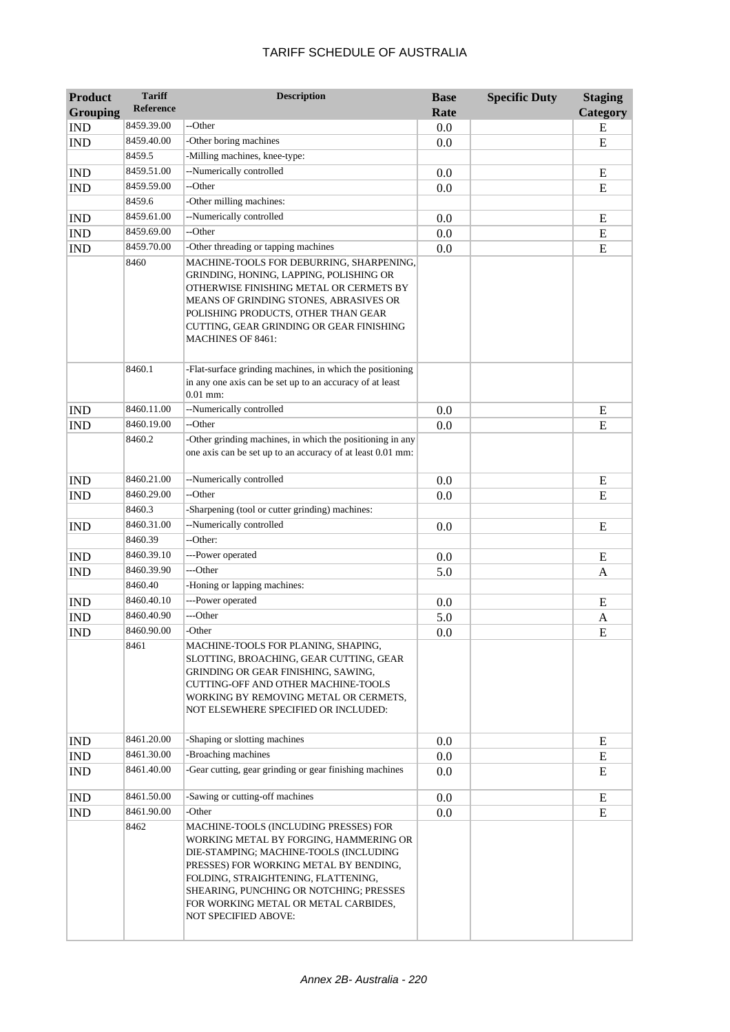| <b>Product</b><br><b>Grouping</b> | <b>Tariff</b><br><b>Reference</b> | <b>Description</b>                                                                                                                                                                                                                                                                                                    | <b>Base</b><br>Rate | <b>Specific Duty</b> | <b>Staging</b><br>Category |
|-----------------------------------|-----------------------------------|-----------------------------------------------------------------------------------------------------------------------------------------------------------------------------------------------------------------------------------------------------------------------------------------------------------------------|---------------------|----------------------|----------------------------|
| <b>IND</b>                        | 8459.39.00                        | --Other                                                                                                                                                                                                                                                                                                               | 0.0                 |                      | E                          |
| <b>IND</b>                        | 8459.40.00                        | -Other boring machines                                                                                                                                                                                                                                                                                                | 0.0                 |                      | E                          |
|                                   | 8459.5                            | -Milling machines, knee-type:                                                                                                                                                                                                                                                                                         |                     |                      |                            |
| <b>IND</b>                        | 8459.51.00                        | --Numerically controlled                                                                                                                                                                                                                                                                                              | 0.0                 |                      | Ε                          |
| <b>IND</b>                        | 8459.59.00                        | --Other                                                                                                                                                                                                                                                                                                               | 0.0                 |                      | E                          |
|                                   | 8459.6                            | -Other milling machines:                                                                                                                                                                                                                                                                                              |                     |                      |                            |
| <b>IND</b>                        | 8459.61.00                        | --Numerically controlled                                                                                                                                                                                                                                                                                              | 0.0                 |                      | E                          |
| <b>IND</b>                        | 8459.69.00                        | --Other                                                                                                                                                                                                                                                                                                               | 0.0                 |                      | E                          |
| <b>IND</b>                        | 8459.70.00                        | -Other threading or tapping machines                                                                                                                                                                                                                                                                                  | 0.0                 |                      | ${\bf E}$                  |
|                                   | 8460                              | MACHINE-TOOLS FOR DEBURRING, SHARPENING,<br>GRINDING, HONING, LAPPING, POLISHING OR<br>OTHERWISE FINISHING METAL OR CERMETS BY<br>MEANS OF GRINDING STONES, ABRASIVES OR<br>POLISHING PRODUCTS, OTHER THAN GEAR<br>CUTTING, GEAR GRINDING OR GEAR FINISHING<br><b>MACHINES OF 8461:</b>                               |                     |                      |                            |
|                                   | 8460.1                            | -Flat-surface grinding machines, in which the positioning<br>in any one axis can be set up to an accuracy of at least<br>$0.01$ mm:                                                                                                                                                                                   |                     |                      |                            |
| <b>IND</b>                        | 8460.11.00                        | --Numerically controlled                                                                                                                                                                                                                                                                                              | 0.0                 |                      | E                          |
| <b>IND</b>                        | 8460.19.00                        | --Other                                                                                                                                                                                                                                                                                                               | 0.0                 |                      | E                          |
|                                   | 8460.2                            | -Other grinding machines, in which the positioning in any<br>one axis can be set up to an accuracy of at least 0.01 mm:                                                                                                                                                                                               |                     |                      |                            |
| <b>IND</b>                        | 8460.21.00                        | --Numerically controlled                                                                                                                                                                                                                                                                                              | $0.0\,$             |                      | E                          |
| <b>IND</b>                        | 8460.29.00                        | --Other                                                                                                                                                                                                                                                                                                               | 0.0                 |                      | E                          |
|                                   | 8460.3                            | -Sharpening (tool or cutter grinding) machines:                                                                                                                                                                                                                                                                       |                     |                      |                            |
| <b>IND</b>                        | 8460.31.00                        | --Numerically controlled                                                                                                                                                                                                                                                                                              | 0.0                 |                      | E                          |
|                                   | 8460.39                           | --Other:                                                                                                                                                                                                                                                                                                              |                     |                      |                            |
| <b>IND</b>                        | 8460.39.10                        | ---Power operated                                                                                                                                                                                                                                                                                                     | 0.0                 |                      | E                          |
| <b>IND</b>                        | 8460.39.90                        | ---Other                                                                                                                                                                                                                                                                                                              | 5.0                 |                      | $\mathbf{A}$               |
|                                   | 8460.40                           | -Honing or lapping machines:                                                                                                                                                                                                                                                                                          |                     |                      |                            |
| <b>IND</b>                        | 8460.40.10                        | ---Power operated                                                                                                                                                                                                                                                                                                     | 0.0                 |                      | E                          |
| <b>IND</b>                        | 8460.40.90                        | ---Other                                                                                                                                                                                                                                                                                                              | 5.0                 |                      | A                          |
| <b>IND</b>                        | 8460.90.00                        | -Other                                                                                                                                                                                                                                                                                                                | 0.0                 |                      | E                          |
|                                   | 8461                              | MACHINE-TOOLS FOR PLANING, SHAPING,<br>SLOTTING, BROACHING, GEAR CUTTING, GEAR<br>GRINDING OR GEAR FINISHING, SAWING,<br>CUTTING-OFF AND OTHER MACHINE-TOOLS<br>WORKING BY REMOVING METAL OR CERMETS,<br>NOT ELSEWHERE SPECIFIED OR INCLUDED:                                                                         |                     |                      |                            |
| <b>IND</b>                        | 8461.20.00                        | -Shaping or slotting machines                                                                                                                                                                                                                                                                                         | 0.0                 |                      | E                          |
| <b>IND</b>                        | 8461.30.00                        | -Broaching machines                                                                                                                                                                                                                                                                                                   | 0.0                 |                      | E                          |
| <b>IND</b>                        | 8461.40.00                        | -Gear cutting, gear grinding or gear finishing machines                                                                                                                                                                                                                                                               | 0.0                 |                      | Ε                          |
| <b>IND</b>                        | 8461.50.00                        | -Sawing or cutting-off machines                                                                                                                                                                                                                                                                                       | 0.0                 |                      | E                          |
| <b>IND</b>                        | 8461.90.00                        | -Other                                                                                                                                                                                                                                                                                                                | 0.0                 |                      | E                          |
|                                   | 8462                              | MACHINE-TOOLS (INCLUDING PRESSES) FOR<br>WORKING METAL BY FORGING, HAMMERING OR<br>DIE-STAMPING; MACHINE-TOOLS (INCLUDING<br>PRESSES) FOR WORKING METAL BY BENDING,<br>FOLDING, STRAIGHTENING, FLATTENING,<br>SHEARING, PUNCHING OR NOTCHING; PRESSES<br>FOR WORKING METAL OR METAL CARBIDES,<br>NOT SPECIFIED ABOVE: |                     |                      |                            |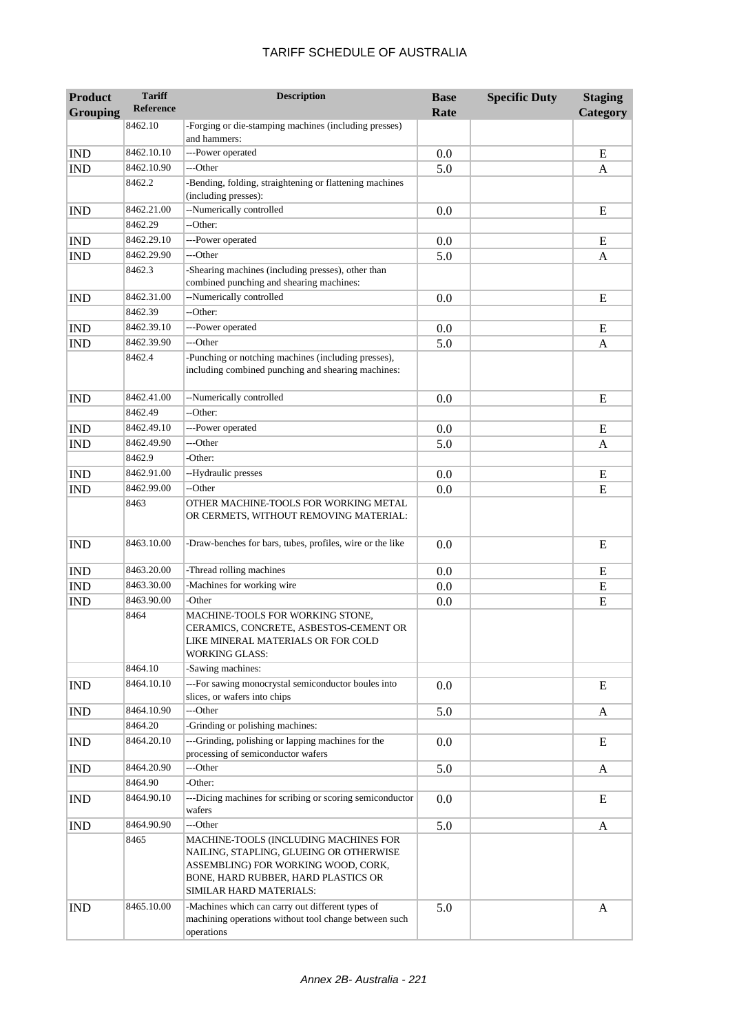| <b>Product</b><br><b>Grouping</b> | <b>Tariff</b><br><b>Reference</b> | <b>Description</b>                                                                                                                                                                        | <b>Base</b><br>Rate | <b>Specific Duty</b> | <b>Staging</b><br><b>Category</b> |
|-----------------------------------|-----------------------------------|-------------------------------------------------------------------------------------------------------------------------------------------------------------------------------------------|---------------------|----------------------|-----------------------------------|
|                                   | 8462.10                           | -Forging or die-stamping machines (including presses)<br>and hammers:                                                                                                                     |                     |                      |                                   |
| <b>IND</b>                        | 8462.10.10                        | ---Power operated                                                                                                                                                                         | 0.0                 |                      | E                                 |
| <b>IND</b>                        | 8462.10.90                        | ---Other                                                                                                                                                                                  | 5.0                 |                      | A                                 |
|                                   | 8462.2                            | -Bending, folding, straightening or flattening machines<br>(including presses):                                                                                                           |                     |                      |                                   |
| <b>IND</b>                        | 8462.21.00                        | --Numerically controlled                                                                                                                                                                  | 0.0                 |                      | E                                 |
|                                   | 8462.29                           | --Other:                                                                                                                                                                                  |                     |                      |                                   |
| <b>IND</b>                        | 8462.29.10                        | ---Power operated                                                                                                                                                                         | 0.0                 |                      | E                                 |
| <b>IND</b>                        | 8462.29.90                        | ---Other                                                                                                                                                                                  | 5.0                 |                      | A                                 |
|                                   | 8462.3                            | -Shearing machines (including presses), other than<br>combined punching and shearing machines:                                                                                            |                     |                      |                                   |
| <b>IND</b>                        | 8462.31.00                        | --Numerically controlled                                                                                                                                                                  | 0.0                 |                      | E                                 |
|                                   | 8462.39                           | --Other:                                                                                                                                                                                  |                     |                      |                                   |
| <b>IND</b>                        | 8462.39.10                        | ---Power operated                                                                                                                                                                         | 0.0                 |                      | E                                 |
| <b>IND</b>                        | 8462.39.90                        | ---Other                                                                                                                                                                                  | 5.0                 |                      | A                                 |
|                                   | 8462.4                            | -Punching or notching machines (including presses),<br>including combined punching and shearing machines:                                                                                 |                     |                      |                                   |
| <b>IND</b>                        | 8462.41.00                        | --Numerically controlled                                                                                                                                                                  | 0.0                 |                      | E                                 |
|                                   | 8462.49                           | --Other:                                                                                                                                                                                  |                     |                      |                                   |
| <b>IND</b>                        | 8462.49.10                        | ---Power operated                                                                                                                                                                         | 0.0                 |                      | E                                 |
| <b>IND</b>                        | 8462.49.90                        | ---Other                                                                                                                                                                                  | 5.0                 |                      | A                                 |
|                                   | 8462.9                            | -Other:                                                                                                                                                                                   |                     |                      |                                   |
| <b>IND</b>                        | 8462.91.00                        | --Hydraulic presses                                                                                                                                                                       | 0.0                 |                      | E                                 |
| <b>IND</b>                        | 8462.99.00                        | --Other                                                                                                                                                                                   | 0.0                 |                      | E                                 |
|                                   | 8463                              | OTHER MACHINE-TOOLS FOR WORKING METAL<br>OR CERMETS, WITHOUT REMOVING MATERIAL:                                                                                                           |                     |                      |                                   |
| <b>IND</b>                        | 8463.10.00                        | -Draw-benches for bars, tubes, profiles, wire or the like                                                                                                                                 | 0.0                 |                      | E                                 |
| <b>IND</b>                        | 8463.20.00                        | -Thread rolling machines                                                                                                                                                                  | 0.0                 |                      | E                                 |
| <b>IND</b>                        | 8463.30.00                        | -Machines for working wire                                                                                                                                                                | 0.0                 |                      | E                                 |
| <b>IND</b>                        | 8463.90.00                        | -Other                                                                                                                                                                                    | 0.0                 |                      | E                                 |
|                                   | 8464                              | MACHINE-TOOLS FOR WORKING STONE,<br>CERAMICS, CONCRETE, ASBESTOS-CEMENT OR<br>LIKE MINERAL MATERIALS OR FOR COLD<br><b>WORKING GLASS:</b>                                                 |                     |                      |                                   |
|                                   | 8464.10                           | -Sawing machines:                                                                                                                                                                         |                     |                      |                                   |
| <b>IND</b>                        | 8464.10.10                        | ---For sawing monocrystal semiconductor boules into<br>slices, or wafers into chips                                                                                                       | 0.0                 |                      | E                                 |
| <b>IND</b>                        | 8464.10.90                        | ---Other                                                                                                                                                                                  | 5.0                 |                      | A                                 |
|                                   | 8464.20                           | -Grinding or polishing machines:                                                                                                                                                          |                     |                      |                                   |
| <b>IND</b>                        | 8464.20.10                        | ---Grinding, polishing or lapping machines for the<br>processing of semiconductor wafers                                                                                                  | 0.0                 |                      | E                                 |
| <b>IND</b>                        | 8464.20.90                        | ---Other                                                                                                                                                                                  | 5.0                 |                      | A                                 |
|                                   | 8464.90                           | -Other:                                                                                                                                                                                   |                     |                      |                                   |
| IND                               | 8464.90.10                        | ---Dicing machines for scribing or scoring semiconductor<br>wafers                                                                                                                        | 0.0                 |                      | E                                 |
| <b>IND</b>                        | 8464.90.90                        | ---Other                                                                                                                                                                                  | 5.0                 |                      | A                                 |
|                                   | 8465                              | MACHINE-TOOLS (INCLUDING MACHINES FOR<br>NAILING, STAPLING, GLUEING OR OTHERWISE<br>ASSEMBLING) FOR WORKING WOOD, CORK,<br>BONE, HARD RUBBER, HARD PLASTICS OR<br>SIMILAR HARD MATERIALS: |                     |                      |                                   |
| <b>IND</b>                        | 8465.10.00                        | -Machines which can carry out different types of<br>machining operations without tool change between such<br>operations                                                                   | 5.0                 |                      | A                                 |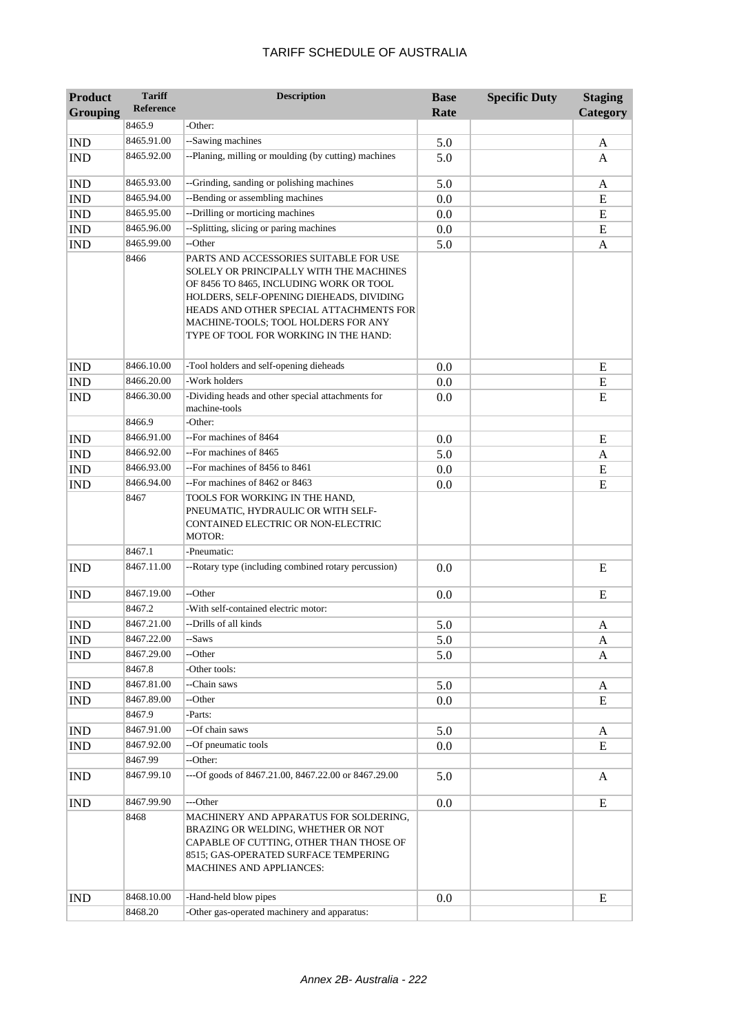| Product                     | <b>Tariff</b>        | <b>Description</b>                                                                                                                                                                                                                                                                                  | <b>Base</b> | <b>Specific Duty</b> | <b>Staging</b> |
|-----------------------------|----------------------|-----------------------------------------------------------------------------------------------------------------------------------------------------------------------------------------------------------------------------------------------------------------------------------------------------|-------------|----------------------|----------------|
| <b>Grouping</b>             | Reference            |                                                                                                                                                                                                                                                                                                     | Rate        |                      | Category       |
|                             | 8465.9               | -Other:                                                                                                                                                                                                                                                                                             |             |                      |                |
| <b>IND</b>                  | 8465.91.00           | --Sawing machines                                                                                                                                                                                                                                                                                   | 5.0         |                      | A              |
| <b>IND</b>                  | 8465.92.00           | --Planing, milling or moulding (by cutting) machines                                                                                                                                                                                                                                                | 5.0         |                      | A              |
| <b>IND</b>                  | 8465.93.00           | --Grinding, sanding or polishing machines                                                                                                                                                                                                                                                           | 5.0         |                      | A              |
| <b>IND</b>                  | 8465.94.00           | --Bending or assembling machines                                                                                                                                                                                                                                                                    | 0.0         |                      | E              |
| <b>IND</b>                  | 8465.95.00           | --Drilling or morticing machines                                                                                                                                                                                                                                                                    | 0.0         |                      | ${\bf E}$      |
| <b>IND</b>                  | 8465.96.00           | --Splitting, slicing or paring machines                                                                                                                                                                                                                                                             | 0.0         |                      | E              |
| <b>IND</b>                  | 8465.99.00           | --Other                                                                                                                                                                                                                                                                                             | 5.0         |                      | A              |
|                             | 8466                 | PARTS AND ACCESSORIES SUITABLE FOR USE<br>SOLELY OR PRINCIPALLY WITH THE MACHINES<br>OF 8456 TO 8465, INCLUDING WORK OR TOOL<br>HOLDERS, SELF-OPENING DIEHEADS, DIVIDING<br>HEADS AND OTHER SPECIAL ATTACHMENTS FOR<br>MACHINE-TOOLS; TOOL HOLDERS FOR ANY<br>TYPE OF TOOL FOR WORKING IN THE HAND: |             |                      |                |
| <b>IND</b>                  | 8466.10.00           | -Tool holders and self-opening dieheads                                                                                                                                                                                                                                                             | 0.0         |                      | ${\bf E}$      |
| <b>IND</b>                  | 8466.20.00           | -Work holders                                                                                                                                                                                                                                                                                       | 0.0         |                      | ${\bf E}$      |
| <b>IND</b>                  | 8466.30.00           | -Dividing heads and other special attachments for<br>machine-tools                                                                                                                                                                                                                                  | 0.0         |                      | E              |
|                             | 8466.9               | -Other:                                                                                                                                                                                                                                                                                             |             |                      |                |
| <b>IND</b>                  | 8466.91.00           | --For machines of 8464                                                                                                                                                                                                                                                                              | 0.0         |                      | E              |
| <b>IND</b>                  | 8466.92.00           | --For machines of 8465                                                                                                                                                                                                                                                                              | 5.0         |                      | A              |
| <b>IND</b>                  | 8466.93.00           | --For machines of 8456 to 8461                                                                                                                                                                                                                                                                      | 0.0         |                      | ${\bf E}$      |
| <b>IND</b>                  | 8466.94.00           | --For machines of 8462 or 8463                                                                                                                                                                                                                                                                      | 0.0         |                      | E              |
|                             | 8467                 | TOOLS FOR WORKING IN THE HAND,<br>PNEUMATIC, HYDRAULIC OR WITH SELF-<br>CONTAINED ELECTRIC OR NON-ELECTRIC<br><b>MOTOR:</b>                                                                                                                                                                         |             |                      |                |
|                             | 8467.1               | -Pneumatic:                                                                                                                                                                                                                                                                                         |             |                      |                |
| <b>IND</b>                  | 8467.11.00           | --Rotary type (including combined rotary percussion)                                                                                                                                                                                                                                                | 0.0         |                      | E              |
| <b>IND</b>                  | 8467.19.00           | --Other                                                                                                                                                                                                                                                                                             | 0.0         |                      | E              |
|                             | 8467.2               | -With self-contained electric motor:                                                                                                                                                                                                                                                                |             |                      |                |
| <b>IND</b>                  | 8467.21.00           | --Drills of all kinds                                                                                                                                                                                                                                                                               | 5.0         |                      | A              |
| $\mathop{\rm IND}\nolimits$ | 8467.22.00           | --Saws                                                                                                                                                                                                                                                                                              | 5.0         |                      | A              |
| <b>IND</b>                  | 8467.29.00           | --Other                                                                                                                                                                                                                                                                                             | 5.0         |                      | A              |
|                             | 8467.8               | -Other tools:                                                                                                                                                                                                                                                                                       |             |                      |                |
| <b>IND</b>                  | 8467.81.00           | --Chain saws                                                                                                                                                                                                                                                                                        | 5.0         |                      | A              |
| <b>IND</b>                  | 8467.89.00<br>8467.9 | --Other<br>-Parts:                                                                                                                                                                                                                                                                                  | 0.0         |                      | E              |
| <b>IND</b>                  | 8467.91.00           | --Of chain saws                                                                                                                                                                                                                                                                                     | 5.0         |                      | A              |
| <b>IND</b>                  | 8467.92.00           | --Of pneumatic tools                                                                                                                                                                                                                                                                                | 0.0         |                      | E              |
|                             | 8467.99              | --Other:                                                                                                                                                                                                                                                                                            |             |                      |                |
| <b>IND</b>                  | 8467.99.10           | ---Of goods of 8467.21.00, 8467.22.00 or 8467.29.00                                                                                                                                                                                                                                                 | 5.0         |                      | A              |
| <b>IND</b>                  | 8467.99.90           | ---Other                                                                                                                                                                                                                                                                                            | 0.0         |                      | E              |
|                             | 8468                 | MACHINERY AND APPARATUS FOR SOLDERING,<br>BRAZING OR WELDING, WHETHER OR NOT<br>CAPABLE OF CUTTING, OTHER THAN THOSE OF<br>8515; GAS-OPERATED SURFACE TEMPERING<br><b>MACHINES AND APPLIANCES:</b>                                                                                                  |             |                      |                |
| <b>IND</b>                  | 8468.10.00           | -Hand-held blow pipes                                                                                                                                                                                                                                                                               | 0.0         |                      | ${\bf E}$      |
|                             | 8468.20              | -Other gas-operated machinery and apparatus:                                                                                                                                                                                                                                                        |             |                      |                |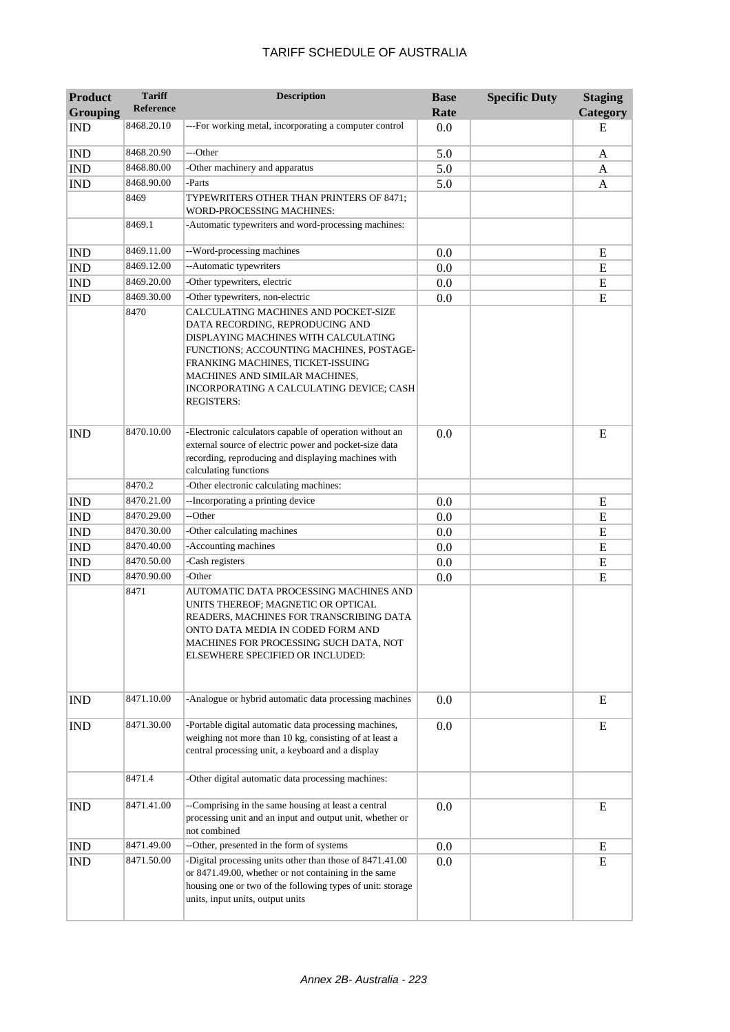| <b>Product</b><br><b>Grouping</b> | <b>Tariff</b><br><b>Reference</b> | <b>Description</b>                                                                                                                                                                                                                                                                                  | <b>Base</b><br>Rate | <b>Specific Duty</b> | <b>Staging</b><br>Category |
|-----------------------------------|-----------------------------------|-----------------------------------------------------------------------------------------------------------------------------------------------------------------------------------------------------------------------------------------------------------------------------------------------------|---------------------|----------------------|----------------------------|
| <b>IND</b>                        | 8468.20.10                        | ---For working metal, incorporating a computer control                                                                                                                                                                                                                                              | 0.0                 |                      | E                          |
| <b>IND</b>                        | 8468.20.90                        | ---Other                                                                                                                                                                                                                                                                                            | 5.0                 |                      | A                          |
| <b>IND</b>                        | 8468.80.00                        | -Other machinery and apparatus                                                                                                                                                                                                                                                                      | 5.0                 |                      | A                          |
| <b>IND</b>                        | 8468.90.00                        | -Parts                                                                                                                                                                                                                                                                                              | 5.0                 |                      | A                          |
|                                   | 8469                              | TYPEWRITERS OTHER THAN PRINTERS OF 8471;<br>WORD-PROCESSING MACHINES:                                                                                                                                                                                                                               |                     |                      |                            |
|                                   | 8469.1                            | -Automatic typewriters and word-processing machines:                                                                                                                                                                                                                                                |                     |                      |                            |
| <b>IND</b>                        | 8469.11.00                        | --Word-processing machines                                                                                                                                                                                                                                                                          | 0.0                 |                      | E                          |
| <b>IND</b>                        | 8469.12.00                        | --Automatic typewriters                                                                                                                                                                                                                                                                             | 0.0                 |                      | E                          |
| <b>IND</b>                        | 8469.20.00                        | -Other typewriters, electric                                                                                                                                                                                                                                                                        | 0.0                 |                      | E                          |
| <b>IND</b>                        | 8469.30.00                        | -Other typewriters, non-electric                                                                                                                                                                                                                                                                    | 0.0                 |                      | E                          |
|                                   | 8470                              | CALCULATING MACHINES AND POCKET-SIZE<br>DATA RECORDING, REPRODUCING AND<br>DISPLAYING MACHINES WITH CALCULATING<br>FUNCTIONS; ACCOUNTING MACHINES, POSTAGE-<br>FRANKING MACHINES, TICKET-ISSUING<br>MACHINES AND SIMILAR MACHINES,<br>INCORPORATING A CALCULATING DEVICE; CASH<br><b>REGISTERS:</b> |                     |                      |                            |
| <b>IND</b>                        | 8470.10.00                        | -Electronic calculators capable of operation without an<br>external source of electric power and pocket-size data<br>recording, reproducing and displaying machines with<br>calculating functions                                                                                                   | 0.0                 |                      | E                          |
|                                   | 8470.2                            | -Other electronic calculating machines:                                                                                                                                                                                                                                                             |                     |                      |                            |
| <b>IND</b>                        | 8470.21.00                        | --Incorporating a printing device                                                                                                                                                                                                                                                                   | 0.0                 |                      | E                          |
| <b>IND</b>                        | 8470.29.00                        | --Other                                                                                                                                                                                                                                                                                             | 0.0                 |                      | E                          |
| <b>IND</b>                        | 8470.30.00                        | -Other calculating machines                                                                                                                                                                                                                                                                         | 0.0                 |                      | ${\bf E}$                  |
| <b>IND</b>                        | 8470.40.00                        | -Accounting machines                                                                                                                                                                                                                                                                                | 0.0                 |                      | E                          |
| <b>IND</b>                        | 8470.50.00                        | -Cash registers                                                                                                                                                                                                                                                                                     | 0.0                 |                      | E                          |
| <b>IND</b>                        | 8470.90.00                        | -Other                                                                                                                                                                                                                                                                                              | 0.0                 |                      | E                          |
|                                   | 8471                              | AUTOMATIC DATA PROCESSING MACHINES AND<br>UNITS THEREOF; MAGNETIC OR OPTICAL<br>READERS, MACHINES FOR TRANSCRIBING DATA<br>ONTO DATA MEDIA IN CODED FORM AND<br>MACHINES FOR PROCESSING SUCH DATA, NOT<br>ELSEWHERE SPECIFIED OR INCLUDED:                                                          |                     |                      |                            |
| <b>IND</b>                        | 8471.10.00                        | -Analogue or hybrid automatic data processing machines                                                                                                                                                                                                                                              | 0.0                 |                      | E                          |
| <b>IND</b>                        | 8471.30.00                        | -Portable digital automatic data processing machines,<br>weighing not more than 10 kg, consisting of at least a<br>central processing unit, a keyboard and a display                                                                                                                                | 0.0                 |                      | E                          |
|                                   | 8471.4                            | -Other digital automatic data processing machines:                                                                                                                                                                                                                                                  |                     |                      |                            |
| <b>IND</b>                        | 8471.41.00                        | --Comprising in the same housing at least a central<br>processing unit and an input and output unit, whether or<br>not combined                                                                                                                                                                     | 0.0                 |                      | E                          |
| <b>IND</b>                        | 8471.49.00                        | --Other, presented in the form of systems                                                                                                                                                                                                                                                           | 0.0                 |                      | E                          |
| <b>IND</b>                        | 8471.50.00                        | -Digital processing units other than those of 8471.41.00<br>or 8471.49.00, whether or not containing in the same<br>housing one or two of the following types of unit: storage<br>units, input units, output units                                                                                  | 0.0                 |                      | E                          |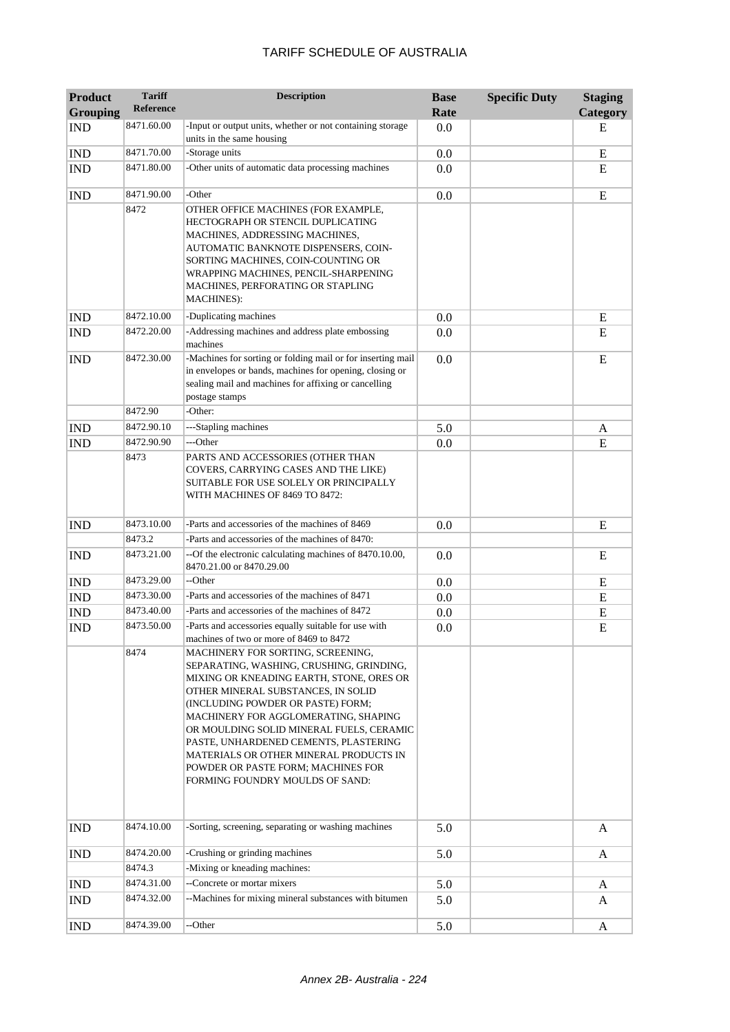| <b>Product</b><br><b>Grouping</b> | <b>Tariff</b><br><b>Reference</b> | <b>Description</b>                                                                                                                                                                                                                                                                                                                                                                                                                                   | <b>Base</b><br>Rate | <b>Specific Duty</b> | <b>Staging</b><br>Category |
|-----------------------------------|-----------------------------------|------------------------------------------------------------------------------------------------------------------------------------------------------------------------------------------------------------------------------------------------------------------------------------------------------------------------------------------------------------------------------------------------------------------------------------------------------|---------------------|----------------------|----------------------------|
| <b>IND</b>                        | 8471.60.00                        | -Input or output units, whether or not containing storage                                                                                                                                                                                                                                                                                                                                                                                            | 0.0                 |                      | Е                          |
| <b>IND</b>                        | 8471.70.00                        | units in the same housing<br>-Storage units                                                                                                                                                                                                                                                                                                                                                                                                          | 0.0                 |                      | E                          |
| <b>IND</b>                        | 8471.80.00                        | -Other units of automatic data processing machines                                                                                                                                                                                                                                                                                                                                                                                                   | 0.0                 |                      | E                          |
| <b>IND</b>                        | 8471.90.00                        | -Other                                                                                                                                                                                                                                                                                                                                                                                                                                               | 0.0                 |                      | E                          |
|                                   | 8472                              | OTHER OFFICE MACHINES (FOR EXAMPLE,<br>HECTOGRAPH OR STENCIL DUPLICATING<br>MACHINES, ADDRESSING MACHINES,<br>AUTOMATIC BANKNOTE DISPENSERS, COIN-<br>SORTING MACHINES, COIN-COUNTING OR<br>WRAPPING MACHINES, PENCIL-SHARPENING<br>MACHINES, PERFORATING OR STAPLING<br><b>MACHINES</b> ):                                                                                                                                                          |                     |                      |                            |
| <b>IND</b>                        | 8472.10.00                        | -Duplicating machines                                                                                                                                                                                                                                                                                                                                                                                                                                | 0.0                 |                      | E                          |
| <b>IND</b>                        | 8472.20.00                        | -Addressing machines and address plate embossing<br>machines                                                                                                                                                                                                                                                                                                                                                                                         | 0.0                 |                      | E                          |
| <b>IND</b>                        | 8472.30.00                        | -Machines for sorting or folding mail or for inserting mail<br>in envelopes or bands, machines for opening, closing or<br>sealing mail and machines for affixing or cancelling<br>postage stamps                                                                                                                                                                                                                                                     | 0.0                 |                      | E                          |
|                                   | 8472.90                           | -Other:                                                                                                                                                                                                                                                                                                                                                                                                                                              |                     |                      |                            |
| <b>IND</b>                        | 8472.90.10                        | ---Stapling machines                                                                                                                                                                                                                                                                                                                                                                                                                                 | 5.0                 |                      | A                          |
| <b>IND</b>                        | 8472.90.90<br>8473                | ---Other<br>PARTS AND ACCESSORIES (OTHER THAN<br>COVERS, CARRYING CASES AND THE LIKE)<br>SUITABLE FOR USE SOLELY OR PRINCIPALLY<br>WITH MACHINES OF 8469 TO 8472:                                                                                                                                                                                                                                                                                    | 0.0                 |                      | E                          |
| <b>IND</b>                        | 8473.10.00                        | -Parts and accessories of the machines of 8469                                                                                                                                                                                                                                                                                                                                                                                                       | 0.0                 |                      | E                          |
|                                   | 8473.2                            | -Parts and accessories of the machines of 8470:                                                                                                                                                                                                                                                                                                                                                                                                      |                     |                      |                            |
| <b>IND</b>                        | 8473.21.00                        | --Of the electronic calculating machines of 8470.10.00,<br>8470.21.00 or 8470.29.00                                                                                                                                                                                                                                                                                                                                                                  | 0.0                 |                      | E                          |
| <b>IND</b>                        | 8473.29.00                        | --Other                                                                                                                                                                                                                                                                                                                                                                                                                                              | 0.0                 |                      | E                          |
| <b>IND</b>                        | 8473.30.00                        | -Parts and accessories of the machines of 8471                                                                                                                                                                                                                                                                                                                                                                                                       | 0.0                 |                      | E                          |
| <b>IND</b>                        | 8473.40.00                        | -Parts and accessories of the machines of 8472                                                                                                                                                                                                                                                                                                                                                                                                       | 0.0                 |                      | E                          |
| <b>IND</b>                        | 8473.50.00                        | -Parts and accessories equally suitable for use with<br>machines of two or more of 8469 to 8472                                                                                                                                                                                                                                                                                                                                                      | 0.0                 |                      | E                          |
|                                   | 8474                              | MACHINERY FOR SORTING, SCREENING,<br>SEPARATING, WASHING, CRUSHING, GRINDING,<br>MIXING OR KNEADING EARTH, STONE, ORES OR<br>OTHER MINERAL SUBSTANCES, IN SOLID<br>(INCLUDING POWDER OR PASTE) FORM;<br>MACHINERY FOR AGGLOMERATING, SHAPING<br>OR MOULDING SOLID MINERAL FUELS, CERAMIC<br>PASTE, UNHARDENED CEMENTS, PLASTERING<br>MATERIALS OR OTHER MINERAL PRODUCTS IN<br>POWDER OR PASTE FORM; MACHINES FOR<br>FORMING FOUNDRY MOULDS OF SAND: |                     |                      |                            |
| <b>IND</b>                        | 8474.10.00                        | -Sorting, screening, separating or washing machines                                                                                                                                                                                                                                                                                                                                                                                                  | 5.0                 |                      | A                          |
| <b>IND</b>                        | 8474.20.00                        | -Crushing or grinding machines                                                                                                                                                                                                                                                                                                                                                                                                                       | 5.0                 |                      | A                          |
|                                   | 8474.3                            | -Mixing or kneading machines:                                                                                                                                                                                                                                                                                                                                                                                                                        |                     |                      |                            |
| <b>IND</b>                        | 8474.31.00                        | --Concrete or mortar mixers                                                                                                                                                                                                                                                                                                                                                                                                                          | 5.0                 |                      | A                          |
| <b>IND</b>                        | 8474.32.00                        | --Machines for mixing mineral substances with bitumen                                                                                                                                                                                                                                                                                                                                                                                                | 5.0                 |                      | A                          |
| <b>IND</b>                        | 8474.39.00                        | --Other                                                                                                                                                                                                                                                                                                                                                                                                                                              | 5.0                 |                      | A                          |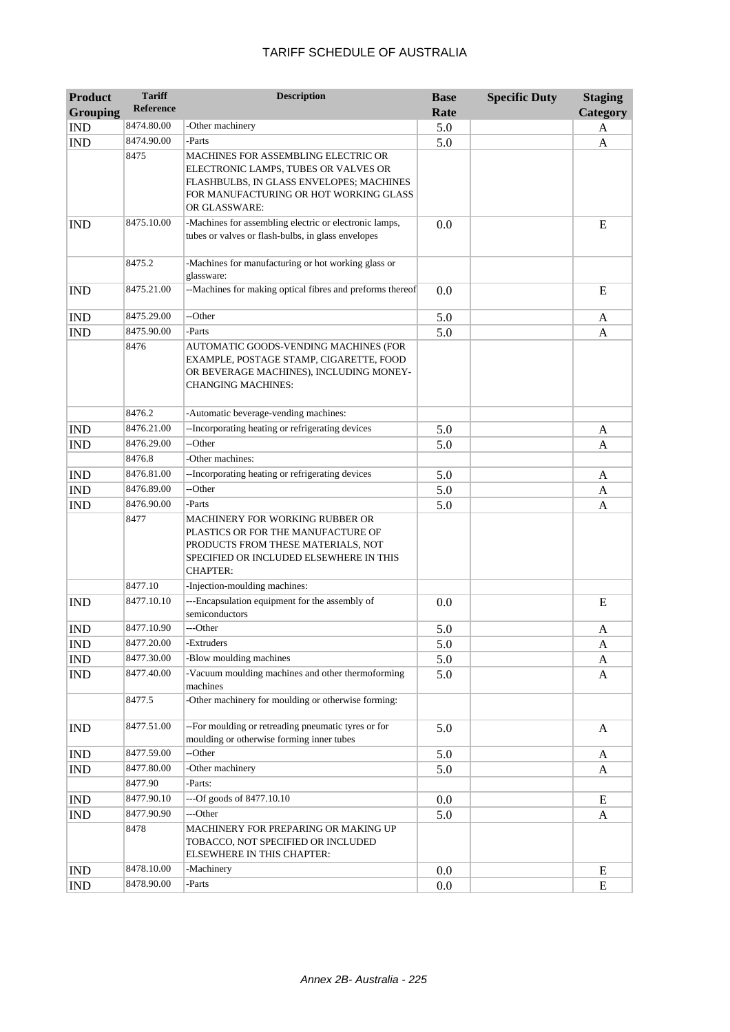| <b>Product</b>              | <b>Tariff</b>    | <b>Description</b>                                                                                                                                                                 | <b>Base</b> | <b>Specific Duty</b> | <b>Staging</b> |
|-----------------------------|------------------|------------------------------------------------------------------------------------------------------------------------------------------------------------------------------------|-------------|----------------------|----------------|
| <b>Grouping</b>             | <b>Reference</b> |                                                                                                                                                                                    | Rate        |                      | Category       |
| <b>IND</b>                  | 8474.80.00       | -Other machinery                                                                                                                                                                   | 5.0         |                      | A              |
| <b>IND</b>                  | 8474.90.00       | -Parts                                                                                                                                                                             | 5.0         |                      | A              |
|                             | 8475             | MACHINES FOR ASSEMBLING ELECTRIC OR<br>ELECTRONIC LAMPS, TUBES OR VALVES OR<br>FLASHBULBS, IN GLASS ENVELOPES; MACHINES<br>FOR MANUFACTURING OR HOT WORKING GLASS<br>OR GLASSWARE: |             |                      |                |
| <b>IND</b>                  | 8475.10.00       | -Machines for assembling electric or electronic lamps,<br>tubes or valves or flash-bulbs, in glass envelopes                                                                       | 0.0         |                      | E              |
|                             | 8475.2           | -Machines for manufacturing or hot working glass or<br>glassware:                                                                                                                  |             |                      |                |
| <b>IND</b>                  | 8475.21.00       | --Machines for making optical fibres and preforms thereof                                                                                                                          | 0.0         |                      | E              |
| <b>IND</b>                  | 8475.29.00       | --Other                                                                                                                                                                            | 5.0         |                      | A              |
| <b>IND</b>                  | 8475.90.00       | -Parts                                                                                                                                                                             | 5.0         |                      | A              |
|                             | 8476             | AUTOMATIC GOODS-VENDING MACHINES (FOR<br>EXAMPLE, POSTAGE STAMP, CIGARETTE, FOOD<br>OR BEVERAGE MACHINES), INCLUDING MONEY-<br><b>CHANGING MACHINES:</b>                           |             |                      |                |
|                             | 8476.2           | -Automatic beverage-vending machines:                                                                                                                                              |             |                      |                |
| <b>IND</b>                  | 8476.21.00       | --Incorporating heating or refrigerating devices                                                                                                                                   | 5.0         |                      | A              |
| <b>IND</b>                  | 8476.29.00       | --Other                                                                                                                                                                            | 5.0         |                      | A              |
|                             | 8476.8           | -Other machines:                                                                                                                                                                   |             |                      |                |
| <b>IND</b>                  | 8476.81.00       | --Incorporating heating or refrigerating devices                                                                                                                                   | 5.0         |                      | A              |
| <b>IND</b>                  | 8476.89.00       | --Other                                                                                                                                                                            | 5.0         |                      | A              |
| <b>IND</b>                  | 8476.90.00       | -Parts                                                                                                                                                                             | 5.0         |                      | A              |
|                             | 8477             | MACHINERY FOR WORKING RUBBER OR<br>PLASTICS OR FOR THE MANUFACTURE OF<br>PRODUCTS FROM THESE MATERIALS, NOT<br>SPECIFIED OR INCLUDED ELSEWHERE IN THIS<br><b>CHAPTER:</b>          |             |                      |                |
|                             | 8477.10          | -Injection-moulding machines:                                                                                                                                                      |             |                      |                |
| <b>IND</b>                  | 8477.10.10       | ---Encapsulation equipment for the assembly of<br>semiconductors                                                                                                                   | 0.0         |                      | E              |
| <b>IND</b>                  | 8477.10.90       | ---Other                                                                                                                                                                           | 5.0         |                      | A              |
| $\mathop{\rm IND}\nolimits$ | 8477.20.00       | -Extruders                                                                                                                                                                         | 5.0         |                      | A              |
| <b>IND</b>                  | 8477.30.00       | -Blow moulding machines                                                                                                                                                            | 5.0         |                      | A              |
| <b>IND</b>                  | 8477.40.00       | -Vacuum moulding machines and other thermoforming<br>machines                                                                                                                      | 5.0         |                      | A              |
|                             | 8477.5           | -Other machinery for moulding or otherwise forming:                                                                                                                                |             |                      |                |
| <b>IND</b>                  | 8477.51.00       | -- For moulding or retreading pneumatic tyres or for<br>moulding or otherwise forming inner tubes                                                                                  | 5.0         |                      | A              |
| <b>IND</b>                  | 8477.59.00       | --Other                                                                                                                                                                            | 5.0         |                      | A              |
| <b>IND</b>                  | 8477.80.00       | -Other machinery                                                                                                                                                                   | 5.0         |                      | A              |
|                             | 8477.90          | -Parts:                                                                                                                                                                            |             |                      |                |
| <b>IND</b>                  | 8477.90.10       | ---Of goods of 8477.10.10                                                                                                                                                          | 0.0         |                      | E              |
| <b>IND</b>                  | 8477.90.90       | ---Other                                                                                                                                                                           | 5.0         |                      | A              |
|                             | 8478             | MACHINERY FOR PREPARING OR MAKING UP<br>TOBACCO, NOT SPECIFIED OR INCLUDED<br>ELSEWHERE IN THIS CHAPTER:                                                                           |             |                      |                |
| <b>IND</b>                  | 8478.10.00       | -Machinery                                                                                                                                                                         | 0.0         |                      | Ε              |
| <b>IND</b>                  | 8478.90.00       | -Parts                                                                                                                                                                             | 0.0         |                      | E              |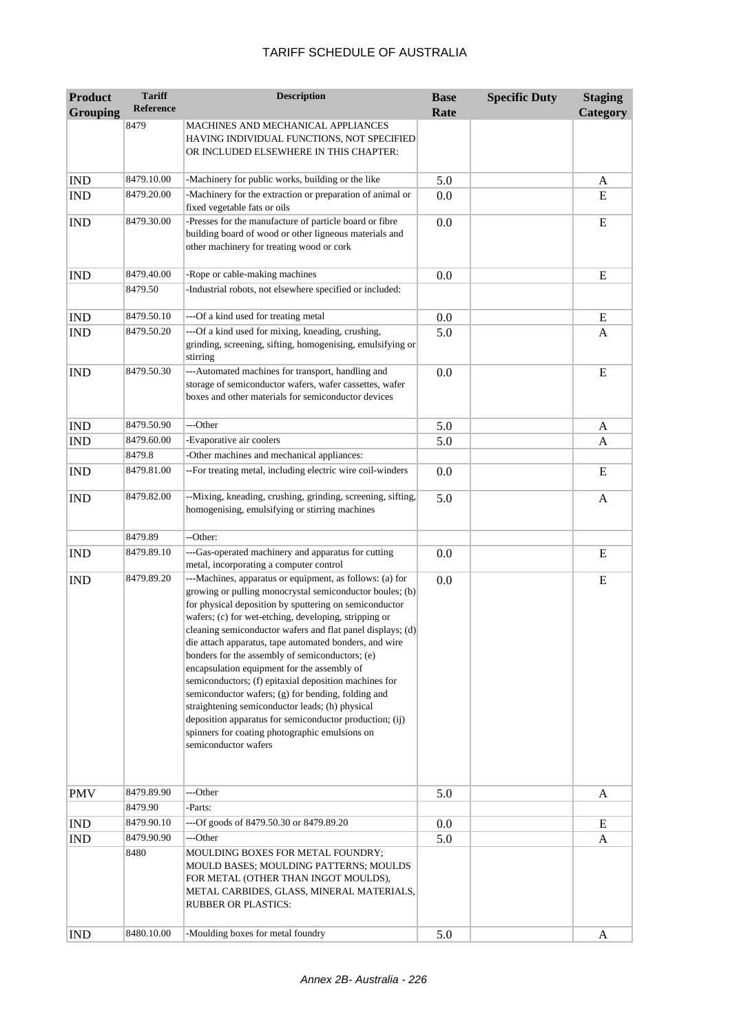| <b>Product</b>  | <b>Tariff</b><br><b>Reference</b> | <b>Description</b>                                                                                                                                                                                                                                                                                                                                                                                                                                                                                                                                                                                                                                                                                                                                                       | <b>Base</b> | <b>Specific Duty</b> | <b>Staging</b> |
|-----------------|-----------------------------------|--------------------------------------------------------------------------------------------------------------------------------------------------------------------------------------------------------------------------------------------------------------------------------------------------------------------------------------------------------------------------------------------------------------------------------------------------------------------------------------------------------------------------------------------------------------------------------------------------------------------------------------------------------------------------------------------------------------------------------------------------------------------------|-------------|----------------------|----------------|
| <b>Grouping</b> | 8479                              | MACHINES AND MECHANICAL APPLIANCES                                                                                                                                                                                                                                                                                                                                                                                                                                                                                                                                                                                                                                                                                                                                       | Rate        |                      | Category       |
|                 |                                   | HAVING INDIVIDUAL FUNCTIONS, NOT SPECIFIED<br>OR INCLUDED ELSEWHERE IN THIS CHAPTER:                                                                                                                                                                                                                                                                                                                                                                                                                                                                                                                                                                                                                                                                                     |             |                      |                |
| <b>IND</b>      | 8479.10.00                        | -Machinery for public works, building or the like                                                                                                                                                                                                                                                                                                                                                                                                                                                                                                                                                                                                                                                                                                                        | 5.0         |                      | A              |
| <b>IND</b>      | 8479.20.00                        | -Machinery for the extraction or preparation of animal or<br>fixed vegetable fats or oils                                                                                                                                                                                                                                                                                                                                                                                                                                                                                                                                                                                                                                                                                | 0.0         |                      | E              |
| <b>IND</b>      | 8479.30.00                        | -Presses for the manufacture of particle board or fibre<br>building board of wood or other ligneous materials and<br>other machinery for treating wood or cork                                                                                                                                                                                                                                                                                                                                                                                                                                                                                                                                                                                                           | 0.0         |                      | E              |
| <b>IND</b>      | 8479.40.00                        | -Rope or cable-making machines                                                                                                                                                                                                                                                                                                                                                                                                                                                                                                                                                                                                                                                                                                                                           | 0.0         |                      | ${\bf E}$      |
|                 | 8479.50                           | -Industrial robots, not elsewhere specified or included:                                                                                                                                                                                                                                                                                                                                                                                                                                                                                                                                                                                                                                                                                                                 |             |                      |                |
| <b>IND</b>      | 8479.50.10                        | --- Of a kind used for treating metal                                                                                                                                                                                                                                                                                                                                                                                                                                                                                                                                                                                                                                                                                                                                    | 0.0         |                      | E              |
| <b>IND</b>      | 8479.50.20                        | ---Of a kind used for mixing, kneading, crushing,<br>grinding, screening, sifting, homogenising, emulsifying or<br>stirring                                                                                                                                                                                                                                                                                                                                                                                                                                                                                                                                                                                                                                              | 5.0         |                      | A              |
| <b>IND</b>      | 8479.50.30                        | ---Automated machines for transport, handling and<br>storage of semiconductor wafers, wafer cassettes, wafer<br>boxes and other materials for semiconductor devices                                                                                                                                                                                                                                                                                                                                                                                                                                                                                                                                                                                                      | 0.0         |                      | E              |
| <b>IND</b>      | 8479.50.90                        | ---Other                                                                                                                                                                                                                                                                                                                                                                                                                                                                                                                                                                                                                                                                                                                                                                 | 5.0         |                      | A              |
| <b>IND</b>      | 8479.60.00                        | -Evaporative air coolers                                                                                                                                                                                                                                                                                                                                                                                                                                                                                                                                                                                                                                                                                                                                                 | 5.0         |                      | A              |
|                 | 8479.8                            | -Other machines and mechanical appliances:                                                                                                                                                                                                                                                                                                                                                                                                                                                                                                                                                                                                                                                                                                                               |             |                      |                |
| <b>IND</b>      | 8479.81.00                        | --For treating metal, including electric wire coil-winders                                                                                                                                                                                                                                                                                                                                                                                                                                                                                                                                                                                                                                                                                                               | 0.0         |                      | E              |
| <b>IND</b>      | 8479.82.00                        | --Mixing, kneading, crushing, grinding, screening, sifting,<br>homogenising, emulsifying or stirring machines                                                                                                                                                                                                                                                                                                                                                                                                                                                                                                                                                                                                                                                            | 5.0         |                      | A              |
|                 | 8479.89                           | --Other:                                                                                                                                                                                                                                                                                                                                                                                                                                                                                                                                                                                                                                                                                                                                                                 |             |                      |                |
| <b>IND</b>      | 8479.89.10                        | ---Gas-operated machinery and apparatus for cutting<br>metal, incorporating a computer control                                                                                                                                                                                                                                                                                                                                                                                                                                                                                                                                                                                                                                                                           | 0.0         |                      | E              |
| <b>IND</b>      | 8479.89.20                        | ---Machines, apparatus or equipment, as follows: (a) for<br>growing or pulling monocrystal semiconductor boules; (b)<br>for physical deposition by sputtering on semiconductor<br>wafers; (c) for wet-etching, developing, stripping or<br>cleaning semiconductor wafers and flat panel displays; (d)<br>die attach apparatus, tape automated bonders, and wire<br>bonders for the assembly of semiconductors; (e)<br>encapsulation equipment for the assembly of<br>semiconductors; (f) epitaxial deposition machines for<br>semiconductor wafers; (g) for bending, folding and<br>straightening semiconductor leads; (h) physical<br>deposition apparatus for semiconductor production; (ij)<br>spinners for coating photographic emulsions on<br>semiconductor wafers | 0.0         |                      | E              |
| <b>PMV</b>      | 8479.89.90<br>8479.90             | ---Other<br>-Parts:                                                                                                                                                                                                                                                                                                                                                                                                                                                                                                                                                                                                                                                                                                                                                      | 5.0         |                      | A              |
| <b>IND</b>      | 8479.90.10                        | ---Of goods of 8479.50.30 or 8479.89.20                                                                                                                                                                                                                                                                                                                                                                                                                                                                                                                                                                                                                                                                                                                                  | 0.0         |                      | E              |
| <b>IND</b>      | 8479.90.90                        | ---Other                                                                                                                                                                                                                                                                                                                                                                                                                                                                                                                                                                                                                                                                                                                                                                 | 5.0         |                      | A              |
|                 | 8480                              | MOULDING BOXES FOR METAL FOUNDRY;<br>MOULD BASES; MOULDING PATTERNS; MOULDS<br>FOR METAL (OTHER THAN INGOT MOULDS),<br>METAL CARBIDES, GLASS, MINERAL MATERIALS,<br><b>RUBBER OR PLASTICS:</b>                                                                                                                                                                                                                                                                                                                                                                                                                                                                                                                                                                           |             |                      |                |
| <b>IND</b>      | 8480.10.00                        | -Moulding boxes for metal foundry                                                                                                                                                                                                                                                                                                                                                                                                                                                                                                                                                                                                                                                                                                                                        | 5.0         |                      | A              |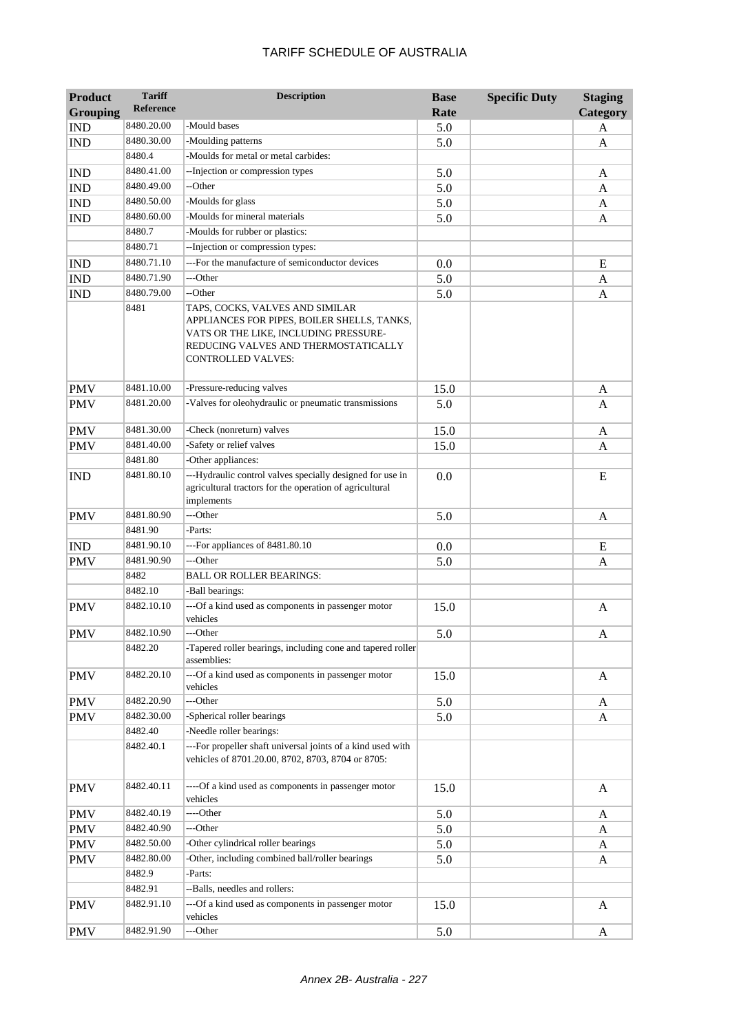| <b>Product</b><br><b>Grouping</b> | <b>Tariff</b><br><b>Reference</b> | <b>Description</b>                                                                                                                                                                    | <b>Base</b><br>Rate | <b>Specific Duty</b> | <b>Staging</b><br>Category |
|-----------------------------------|-----------------------------------|---------------------------------------------------------------------------------------------------------------------------------------------------------------------------------------|---------------------|----------------------|----------------------------|
| <b>IND</b>                        | 8480.20.00                        | -Mould bases                                                                                                                                                                          | 5.0                 |                      | A                          |
| <b>IND</b>                        | 8480.30.00                        | -Moulding patterns                                                                                                                                                                    | 5.0                 |                      | A                          |
|                                   | 8480.4                            | -Moulds for metal or metal carbides:                                                                                                                                                  |                     |                      |                            |
| <b>IND</b>                        | 8480.41.00                        | --Injection or compression types                                                                                                                                                      | 5.0                 |                      | A                          |
| <b>IND</b>                        | 8480.49.00                        | --Other                                                                                                                                                                               | 5.0                 |                      | A                          |
| <b>IND</b>                        | 8480.50.00                        | -Moulds for glass                                                                                                                                                                     | 5.0                 |                      | A                          |
| <b>IND</b>                        | 8480.60.00                        | -Moulds for mineral materials                                                                                                                                                         | 5.0                 |                      | A                          |
|                                   | 8480.7                            | -Moulds for rubber or plastics:                                                                                                                                                       |                     |                      |                            |
|                                   | 8480.71                           | --Injection or compression types:                                                                                                                                                     |                     |                      |                            |
| <b>IND</b>                        | 8480.71.10                        | ---For the manufacture of semiconductor devices                                                                                                                                       | 0.0                 |                      | E                          |
| <b>IND</b>                        | 8480.71.90                        | ---Other                                                                                                                                                                              | 5.0                 |                      | A                          |
| <b>IND</b>                        | 8480.79.00                        | --Other                                                                                                                                                                               | 5.0                 |                      | A                          |
|                                   | 8481                              | TAPS, COCKS, VALVES AND SIMILAR<br>APPLIANCES FOR PIPES, BOILER SHELLS, TANKS,<br>VATS OR THE LIKE, INCLUDING PRESSURE-<br>REDUCING VALVES AND THERMOSTATICALLY<br>CONTROLLED VALVES: |                     |                      |                            |
| <b>PMV</b>                        | 8481.10.00                        | -Pressure-reducing valves                                                                                                                                                             | 15.0                |                      | A                          |
| <b>PMV</b>                        | 8481.20.00                        | -Valves for oleohydraulic or pneumatic transmissions                                                                                                                                  | 5.0                 |                      | A                          |
| <b>PMV</b>                        | 8481.30.00                        | -Check (nonreturn) valves                                                                                                                                                             | 15.0                |                      | A                          |
| <b>PMV</b>                        | 8481.40.00                        | -Safety or relief valves                                                                                                                                                              | 15.0                |                      | A                          |
|                                   | 8481.80                           | -Other appliances:                                                                                                                                                                    |                     |                      |                            |
| <b>IND</b>                        | 8481.80.10                        | ---Hydraulic control valves specially designed for use in<br>agricultural tractors for the operation of agricultural<br>implements                                                    | 0.0                 |                      | E                          |
| <b>PMV</b>                        | 8481.80.90                        | ---Other                                                                                                                                                                              | 5.0                 |                      | A                          |
|                                   | 8481.90                           | -Parts:                                                                                                                                                                               |                     |                      |                            |
| <b>IND</b>                        | 8481.90.10                        | ---For appliances of 8481.80.10                                                                                                                                                       | 0.0                 |                      | E                          |
| <b>PMV</b>                        | 8481.90.90                        | ---Other                                                                                                                                                                              | 5.0                 |                      | A                          |
|                                   | 8482                              | BALL OR ROLLER BEARINGS:                                                                                                                                                              |                     |                      |                            |
|                                   | 8482.10                           | -Ball bearings:                                                                                                                                                                       |                     |                      |                            |
| <b>PMV</b>                        | 8482.10.10                        | ---Of a kind used as components in passenger motor<br>vehicles                                                                                                                        | 15.0                |                      | A                          |
| <b>PMV</b>                        | 8482.10.90                        | ---Other                                                                                                                                                                              | 5.0                 |                      | A                          |
|                                   | 8482.20                           | -Tapered roller bearings, including cone and tapered roller<br>assemblies:                                                                                                            |                     |                      |                            |
| <b>PMV</b>                        | 8482.20.10                        | ---Of a kind used as components in passenger motor<br>vehicles                                                                                                                        | 15.0                |                      | A                          |
| <b>PMV</b>                        | 8482.20.90                        | ---Other                                                                                                                                                                              | 5.0                 |                      | A                          |
| <b>PMV</b>                        | 8482.30.00                        | -Spherical roller bearings                                                                                                                                                            | 5.0                 |                      | A                          |
|                                   | 8482.40                           | -Needle roller bearings:                                                                                                                                                              |                     |                      |                            |
|                                   | 8482.40.1                         | ---For propeller shaft universal joints of a kind used with<br>vehicles of 8701.20.00, 8702, 8703, 8704 or 8705:                                                                      |                     |                      |                            |
| <b>PMV</b>                        | 8482.40.11                        | ----Of a kind used as components in passenger motor<br>vehicles                                                                                                                       | 15.0                |                      | A                          |
| <b>PMV</b>                        | 8482.40.19                        | ---Other                                                                                                                                                                              | 5.0                 |                      | A                          |
| <b>PMV</b>                        | 8482.40.90                        | ---Other                                                                                                                                                                              | 5.0                 |                      | A                          |
| <b>PMV</b>                        | 8482.50.00                        | -Other cylindrical roller bearings                                                                                                                                                    | 5.0                 |                      | A                          |
| PMV                               | 8482.80.00                        | -Other, including combined ball/roller bearings                                                                                                                                       | 5.0                 |                      | A                          |
|                                   | 8482.9                            | -Parts:                                                                                                                                                                               |                     |                      |                            |
|                                   | 8482.91                           | --Balls, needles and rollers:                                                                                                                                                         |                     |                      |                            |
| <b>PMV</b>                        | 8482.91.10                        | ---Of a kind used as components in passenger motor<br>vehicles                                                                                                                        | 15.0                |                      | A                          |
| <b>PMV</b>                        | 8482.91.90                        | ---Other                                                                                                                                                                              | 5.0                 |                      | A                          |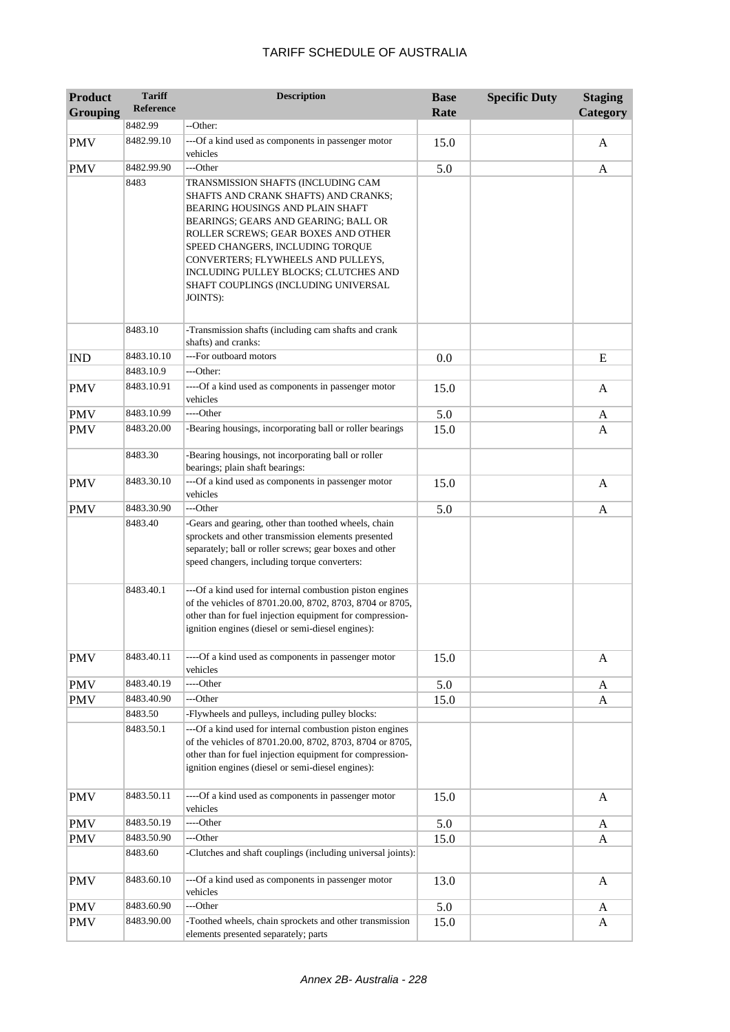| <b>Product</b>  | <b>Tariff</b><br><b>Reference</b> | <b>Description</b>                                                                                                                                                                                                                                                                                                                                                   | <b>Base</b> | <b>Specific Duty</b> | <b>Staging</b> |
|-----------------|-----------------------------------|----------------------------------------------------------------------------------------------------------------------------------------------------------------------------------------------------------------------------------------------------------------------------------------------------------------------------------------------------------------------|-------------|----------------------|----------------|
| <b>Grouping</b> | 8482.99                           | --Other:                                                                                                                                                                                                                                                                                                                                                             | Rate        |                      | Category       |
|                 | 8482.99.10                        |                                                                                                                                                                                                                                                                                                                                                                      |             |                      |                |
| <b>PMV</b>      |                                   | ---Of a kind used as components in passenger motor<br>vehicles                                                                                                                                                                                                                                                                                                       | 15.0        |                      | A              |
| <b>PMV</b>      | 8482.99.90                        | ---Other                                                                                                                                                                                                                                                                                                                                                             | 5.0         |                      | A              |
|                 | 8483                              | TRANSMISSION SHAFTS (INCLUDING CAM<br>SHAFTS AND CRANK SHAFTS) AND CRANKS;<br>BEARING HOUSINGS AND PLAIN SHAFT<br>BEARINGS; GEARS AND GEARING; BALL OR<br>ROLLER SCREWS; GEAR BOXES AND OTHER<br>SPEED CHANGERS, INCLUDING TORQUE<br>CONVERTERS; FLYWHEELS AND PULLEYS,<br>INCLUDING PULLEY BLOCKS; CLUTCHES AND<br>SHAFT COUPLINGS (INCLUDING UNIVERSAL<br>JOINTS): |             |                      |                |
|                 |                                   |                                                                                                                                                                                                                                                                                                                                                                      |             |                      |                |
|                 | 8483.10                           | -Transmission shafts (including cam shafts and crank<br>shafts) and cranks:                                                                                                                                                                                                                                                                                          |             |                      |                |
| <b>IND</b>      | 8483.10.10                        | ---For outboard motors                                                                                                                                                                                                                                                                                                                                               | 0.0         |                      | E              |
|                 | 8483.10.9                         | ---Other:                                                                                                                                                                                                                                                                                                                                                            |             |                      |                |
| <b>PMV</b>      | 8483.10.91                        | ----Of a kind used as components in passenger motor<br>vehicles                                                                                                                                                                                                                                                                                                      | 15.0        |                      | A              |
| <b>PMV</b>      | 8483.10.99                        | ----Other                                                                                                                                                                                                                                                                                                                                                            | 5.0         |                      | A              |
| <b>PMV</b>      | 8483.20.00                        | -Bearing housings, incorporating ball or roller bearings                                                                                                                                                                                                                                                                                                             | 15.0        |                      | A              |
|                 | 8483.30                           | -Bearing housings, not incorporating ball or roller<br>bearings; plain shaft bearings:                                                                                                                                                                                                                                                                               |             |                      |                |
| <b>PMV</b>      | 8483.30.10                        | ---Of a kind used as components in passenger motor<br>vehicles                                                                                                                                                                                                                                                                                                       | 15.0        |                      | $\mathbf{A}$   |
| <b>PMV</b>      | 8483.30.90                        | ---Other                                                                                                                                                                                                                                                                                                                                                             | 5.0         |                      | A              |
|                 | 8483.40                           | -Gears and gearing, other than toothed wheels, chain<br>sprockets and other transmission elements presented<br>separately; ball or roller screws; gear boxes and other<br>speed changers, including torque converters:                                                                                                                                               |             |                      |                |
|                 | 8483.40.1                         | ---Of a kind used for internal combustion piston engines<br>of the vehicles of 8701.20.00, 8702, 8703, 8704 or 8705,<br>other than for fuel injection equipment for compression-<br>ignition engines (diesel or semi-diesel engines):                                                                                                                                |             |                      |                |
| <b>PMV</b>      | 8483.40.11                        | ----Of a kind used as components in passenger motor<br>vehicles                                                                                                                                                                                                                                                                                                      | 15.0        |                      | A              |
| <b>PMV</b>      | 8483.40.19                        | ----Other                                                                                                                                                                                                                                                                                                                                                            | 5.0         |                      | A              |
| <b>PMV</b>      | 8483.40.90                        | ---Other                                                                                                                                                                                                                                                                                                                                                             | 15.0        |                      | A              |
|                 | 8483.50                           | -Flywheels and pulleys, including pulley blocks:                                                                                                                                                                                                                                                                                                                     |             |                      |                |
|                 | 8483.50.1                         | ---Of a kind used for internal combustion piston engines<br>of the vehicles of 8701.20.00, 8702, 8703, 8704 or 8705,<br>other than for fuel injection equipment for compression-<br>ignition engines (diesel or semi-diesel engines):                                                                                                                                |             |                      |                |
| <b>PMV</b>      | 8483.50.11                        | ----Of a kind used as components in passenger motor<br>vehicles                                                                                                                                                                                                                                                                                                      | 15.0        |                      | A              |
| <b>PMV</b>      | 8483.50.19                        | ----Other                                                                                                                                                                                                                                                                                                                                                            | 5.0         |                      | A              |
| <b>PMV</b>      | 8483.50.90                        | ---Other                                                                                                                                                                                                                                                                                                                                                             | 15.0        |                      | A              |
|                 | 8483.60                           | -Clutches and shaft couplings (including universal joints):                                                                                                                                                                                                                                                                                                          |             |                      |                |
| <b>PMV</b>      | 8483.60.10                        | ---Of a kind used as components in passenger motor<br>vehicles                                                                                                                                                                                                                                                                                                       | 13.0        |                      | A              |
| <b>PMV</b>      | 8483.60.90                        | ---Other                                                                                                                                                                                                                                                                                                                                                             | 5.0         |                      | A              |
| <b>PMV</b>      | 8483.90.00                        | -Toothed wheels, chain sprockets and other transmission<br>elements presented separately; parts                                                                                                                                                                                                                                                                      | 15.0        |                      | A              |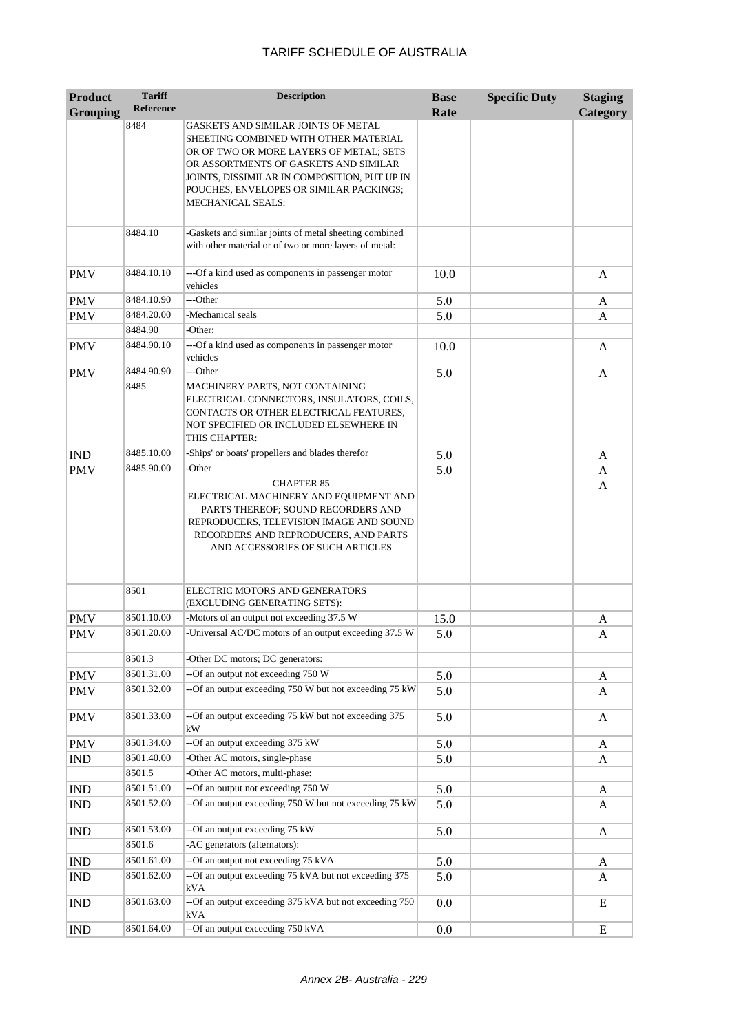| <b>Product</b>  | <b>Tariff</b>    | <b>Description</b>                                                                                                                                                                                                                                                               | <b>Base</b> | <b>Specific Duty</b> | <b>Staging</b> |
|-----------------|------------------|----------------------------------------------------------------------------------------------------------------------------------------------------------------------------------------------------------------------------------------------------------------------------------|-------------|----------------------|----------------|
| <b>Grouping</b> | <b>Reference</b> |                                                                                                                                                                                                                                                                                  | Rate        |                      | Category       |
|                 | 8484             | GASKETS AND SIMILAR JOINTS OF METAL<br>SHEETING COMBINED WITH OTHER MATERIAL<br>OR OF TWO OR MORE LAYERS OF METAL; SETS<br>OR ASSORTMENTS OF GASKETS AND SIMILAR<br>JOINTS, DISSIMILAR IN COMPOSITION, PUT UP IN<br>POUCHES, ENVELOPES OR SIMILAR PACKINGS;<br>MECHANICAL SEALS: |             |                      |                |
|                 | 8484.10          | -Gaskets and similar joints of metal sheeting combined<br>with other material or of two or more layers of metal:                                                                                                                                                                 |             |                      |                |
| <b>PMV</b>      | 8484.10.10       | --- Of a kind used as components in passenger motor<br>vehicles                                                                                                                                                                                                                  | 10.0        |                      | A              |
| <b>PMV</b>      | 8484.10.90       | ---Other                                                                                                                                                                                                                                                                         | 5.0         |                      | A              |
| <b>PMV</b>      | 8484.20.00       | -Mechanical seals                                                                                                                                                                                                                                                                | 5.0         |                      | A              |
|                 | 8484.90          | -Other:                                                                                                                                                                                                                                                                          |             |                      |                |
| <b>PMV</b>      | 8484.90.10       | ---Of a kind used as components in passenger motor<br>vehicles                                                                                                                                                                                                                   | 10.0        |                      | A              |
| <b>PMV</b>      | 8484.90.90       | ---Other                                                                                                                                                                                                                                                                         | 5.0         |                      | A              |
|                 | 8485             | MACHINERY PARTS, NOT CONTAINING<br>ELECTRICAL CONNECTORS, INSULATORS, COILS,<br>CONTACTS OR OTHER ELECTRICAL FEATURES,<br>NOT SPECIFIED OR INCLUDED ELSEWHERE IN<br>THIS CHAPTER:                                                                                                |             |                      |                |
| <b>IND</b>      | 8485.10.00       | -Ships' or boats' propellers and blades therefor                                                                                                                                                                                                                                 | 5.0         |                      | A              |
| <b>PMV</b>      | 8485.90.00       | -Other                                                                                                                                                                                                                                                                           | 5.0         |                      | A              |
|                 |                  | ELECTRICAL MACHINERY AND EQUIPMENT AND<br>PARTS THEREOF; SOUND RECORDERS AND<br>REPRODUCERS, TELEVISION IMAGE AND SOUND<br>RECORDERS AND REPRODUCERS, AND PARTS<br>AND ACCESSORIES OF SUCH ARTICLES                                                                              |             |                      |                |
|                 | 8501             | ELECTRIC MOTORS AND GENERATORS<br>(EXCLUDING GENERATING SETS):                                                                                                                                                                                                                   |             |                      |                |
| <b>PMV</b>      | 8501.10.00       | -Motors of an output not exceeding 37.5 W                                                                                                                                                                                                                                        | 15.0        |                      | A              |
| <b>PMV</b>      | 8501.20.00       | -Universal AC/DC motors of an output exceeding 37.5 W                                                                                                                                                                                                                            | 5.0         |                      | Α              |
|                 | 8501.3           | -Other DC motors; DC generators:                                                                                                                                                                                                                                                 |             |                      |                |
| <b>PMV</b>      | 8501.31.00       | --Of an output not exceeding 750 W                                                                                                                                                                                                                                               | 5.0         |                      | A              |
| PMV             | 8501.32.00       | --Of an output exceeding 750 W but not exceeding 75 kW                                                                                                                                                                                                                           | 5.0         |                      | A              |
| <b>PMV</b>      | 8501.33.00       | --Of an output exceeding 75 kW but not exceeding 375<br>kW                                                                                                                                                                                                                       | 5.0         |                      | A              |
| <b>PMV</b>      | 8501.34.00       | --Of an output exceeding 375 kW                                                                                                                                                                                                                                                  | 5.0         |                      | A              |
| <b>IND</b>      | 8501.40.00       | -Other AC motors, single-phase                                                                                                                                                                                                                                                   | 5.0         |                      | A              |
|                 | 8501.5           | -Other AC motors, multi-phase:                                                                                                                                                                                                                                                   |             |                      |                |
| <b>IND</b>      | 8501.51.00       | --Of an output not exceeding 750 W                                                                                                                                                                                                                                               | 5.0         |                      | A              |
| <b>IND</b>      | 8501.52.00       | --Of an output exceeding 750 W but not exceeding 75 kW                                                                                                                                                                                                                           | 5.0         |                      | A              |
| <b>IND</b>      | 8501.53.00       | --Of an output exceeding 75 kW                                                                                                                                                                                                                                                   | 5.0         |                      | A              |
|                 | 8501.6           | -AC generators (alternators):                                                                                                                                                                                                                                                    |             |                      |                |
| <b>IND</b>      | 8501.61.00       | --Of an output not exceeding 75 kVA                                                                                                                                                                                                                                              | 5.0         |                      | A              |
| <b>IND</b>      | 8501.62.00       | --Of an output exceeding 75 kVA but not exceeding 375<br>kVA                                                                                                                                                                                                                     | 5.0         |                      | A              |
| <b>IND</b>      | 8501.63.00       | --Of an output exceeding 375 kVA but not exceeding 750<br>kVA                                                                                                                                                                                                                    | 0.0         |                      | E              |
| <b>IND</b>      | 8501.64.00       | --Of an output exceeding 750 kVA                                                                                                                                                                                                                                                 | 0.0         |                      | E              |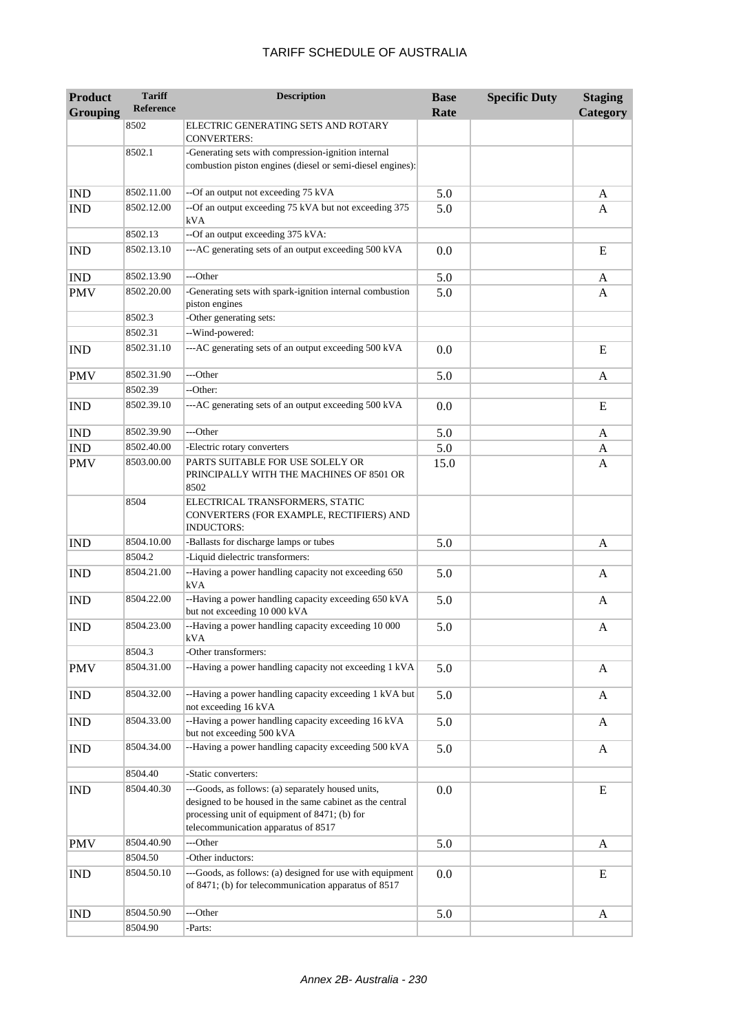| <b>Product</b><br><b>Grouping</b> | <b>Tariff</b><br><b>Reference</b> | <b>Description</b>                                                                                                                                                                                     | <b>Base</b><br>Rate | <b>Specific Duty</b> | <b>Staging</b><br>Category |
|-----------------------------------|-----------------------------------|--------------------------------------------------------------------------------------------------------------------------------------------------------------------------------------------------------|---------------------|----------------------|----------------------------|
|                                   | 8502                              | ELECTRIC GENERATING SETS AND ROTARY                                                                                                                                                                    |                     |                      |                            |
|                                   | 8502.1                            | <b>CONVERTERS:</b><br>-Generating sets with compression-ignition internal                                                                                                                              |                     |                      |                            |
|                                   |                                   | combustion piston engines (diesel or semi-diesel engines):                                                                                                                                             |                     |                      |                            |
| <b>IND</b>                        | 8502.11.00                        | --Of an output not exceeding 75 kVA                                                                                                                                                                    | 5.0                 |                      | A                          |
| <b>IND</b>                        | 8502.12.00                        | --Of an output exceeding 75 kVA but not exceeding 375<br>kVA                                                                                                                                           | 5.0                 |                      | A                          |
|                                   | 8502.13                           | --Of an output exceeding 375 kVA:                                                                                                                                                                      |                     |                      |                            |
| <b>IND</b>                        | 8502.13.10                        | ---AC generating sets of an output exceeding 500 kVA                                                                                                                                                   | 0.0                 |                      | E                          |
| <b>IND</b>                        | 8502.13.90                        | ---Other                                                                                                                                                                                               | 5.0                 |                      | A                          |
| <b>PMV</b>                        | 8502.20.00                        | -Generating sets with spark-ignition internal combustion<br>piston engines                                                                                                                             | 5.0                 |                      | A                          |
|                                   | 8502.3                            | -Other generating sets:                                                                                                                                                                                |                     |                      |                            |
|                                   | 8502.31                           | --Wind-powered:                                                                                                                                                                                        |                     |                      |                            |
| <b>IND</b>                        | 8502.31.10                        | ---AC generating sets of an output exceeding 500 kVA                                                                                                                                                   | 0.0                 |                      | E                          |
| <b>PMV</b>                        | 8502.31.90                        | ---Other                                                                                                                                                                                               | 5.0                 |                      | A                          |
|                                   | 8502.39                           | --Other:                                                                                                                                                                                               |                     |                      |                            |
| <b>IND</b>                        | 8502.39.10                        | ---AC generating sets of an output exceeding 500 kVA                                                                                                                                                   | 0.0                 |                      | E                          |
| <b>IND</b>                        | 8502.39.90                        | ---Other                                                                                                                                                                                               | 5.0                 |                      | A                          |
| <b>IND</b>                        | 8502.40.00                        | -Electric rotary converters                                                                                                                                                                            | 5.0                 |                      | A                          |
| <b>PMV</b>                        | 8503.00.00                        | PARTS SUITABLE FOR USE SOLELY OR<br>PRINCIPALLY WITH THE MACHINES OF 8501 OR<br>8502                                                                                                                   | 15.0                |                      | A                          |
|                                   | 8504                              | ELECTRICAL TRANSFORMERS, STATIC<br>CONVERTERS (FOR EXAMPLE, RECTIFIERS) AND<br><b>INDUCTORS:</b>                                                                                                       |                     |                      |                            |
| <b>IND</b>                        | 8504.10.00                        | -Ballasts for discharge lamps or tubes                                                                                                                                                                 | 5.0                 |                      | A                          |
|                                   | 8504.2                            | -Liquid dielectric transformers:                                                                                                                                                                       |                     |                      |                            |
| <b>IND</b>                        | 8504.21.00                        | --Having a power handling capacity not exceeding 650<br>kVA                                                                                                                                            | 5.0                 |                      | A                          |
| <b>IND</b>                        | 8504.22.00                        | --Having a power handling capacity exceeding 650 kVA<br>but not exceeding 10 000 kVA                                                                                                                   | 5.0                 |                      | A                          |
| <b>IND</b>                        | 8504.23.00                        | --Having a power handling capacity exceeding 10 000<br>kVA                                                                                                                                             | 5.0                 |                      | A                          |
|                                   | 8504.3                            | -Other transformers:                                                                                                                                                                                   |                     |                      |                            |
| <b>PMV</b>                        | 8504.31.00                        | --Having a power handling capacity not exceeding 1 kVA                                                                                                                                                 | 5.0                 |                      | A                          |
| <b>IND</b>                        | 8504.32.00                        | --Having a power handling capacity exceeding 1 kVA but<br>not exceeding 16 kVA                                                                                                                         | 5.0                 |                      | A                          |
| <b>IND</b>                        | 8504.33.00                        | --Having a power handling capacity exceeding 16 kVA<br>but not exceeding 500 kVA                                                                                                                       | 5.0                 |                      | A                          |
| <b>IND</b>                        | 8504.34.00                        | --Having a power handling capacity exceeding 500 kVA                                                                                                                                                   | 5.0                 |                      | A                          |
|                                   | 8504.40                           | -Static converters:                                                                                                                                                                                    |                     |                      |                            |
| <b>IND</b>                        | 8504.40.30                        | ---Goods, as follows: (a) separately housed units,<br>designed to be housed in the same cabinet as the central<br>processing unit of equipment of 8471; (b) for<br>telecommunication apparatus of 8517 | 0.0                 |                      | E                          |
| <b>PMV</b>                        | 8504.40.90                        | ---Other                                                                                                                                                                                               | 5.0                 |                      | A                          |
|                                   | 8504.50                           | -Other inductors:                                                                                                                                                                                      |                     |                      |                            |
| <b>IND</b>                        | 8504.50.10                        | ---Goods, as follows: (a) designed for use with equipment<br>of 8471; (b) for telecommunication apparatus of 8517                                                                                      | 0.0                 |                      | E                          |
| <b>IND</b>                        | 8504.50.90                        | ---Other                                                                                                                                                                                               | 5.0                 |                      | A                          |
|                                   | 8504.90                           | -Parts:                                                                                                                                                                                                |                     |                      |                            |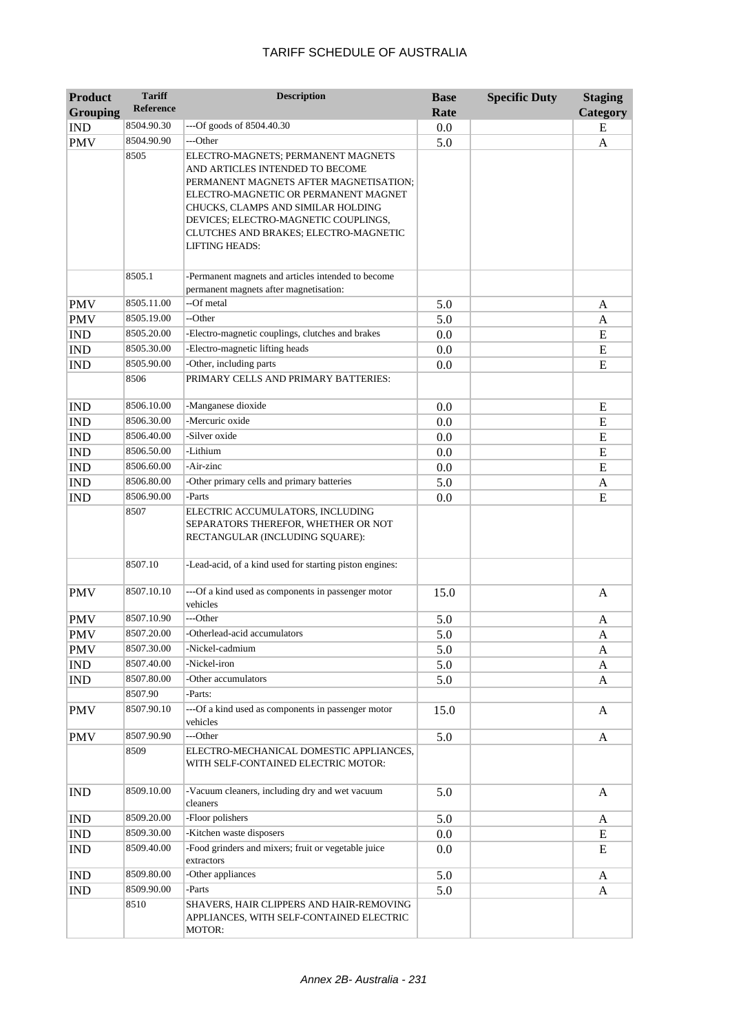| <b>Product</b><br><b>Grouping</b> | <b>Tariff</b><br><b>Reference</b> | <b>Description</b>                                                                                                                                                                                                                                                                               | <b>Base</b><br>Rate | <b>Specific Duty</b> | <b>Staging</b><br>Category |
|-----------------------------------|-----------------------------------|--------------------------------------------------------------------------------------------------------------------------------------------------------------------------------------------------------------------------------------------------------------------------------------------------|---------------------|----------------------|----------------------------|
| <b>IND</b>                        | 8504.90.30                        | $-$ -Of goods of 8504.40.30                                                                                                                                                                                                                                                                      | 0.0                 |                      | E                          |
| <b>PMV</b>                        | 8504.90.90                        | ---Other                                                                                                                                                                                                                                                                                         | 5.0                 |                      | A                          |
|                                   | 8505                              | ELECTRO-MAGNETS; PERMANENT MAGNETS<br>AND ARTICLES INTENDED TO BECOME<br>PERMANENT MAGNETS AFTER MAGNETISATION;<br>ELECTRO-MAGNETIC OR PERMANENT MAGNET<br>CHUCKS, CLAMPS AND SIMILAR HOLDING<br>DEVICES; ELECTRO-MAGNETIC COUPLINGS,<br>CLUTCHES AND BRAKES; ELECTRO-MAGNETIC<br>LIFTING HEADS: |                     |                      |                            |
|                                   | 8505.1                            | -Permanent magnets and articles intended to become<br>permanent magnets after magnetisation:                                                                                                                                                                                                     |                     |                      |                            |
| <b>PMV</b>                        | 8505.11.00                        | --Of metal                                                                                                                                                                                                                                                                                       | 5.0                 |                      | A                          |
| <b>PMV</b>                        | 8505.19.00                        | --Other                                                                                                                                                                                                                                                                                          | 5.0                 |                      | A                          |
| <b>IND</b>                        | 8505.20.00                        | -Electro-magnetic couplings, clutches and brakes                                                                                                                                                                                                                                                 | 0.0                 |                      | E                          |
| <b>IND</b>                        | 8505.30.00                        | -Electro-magnetic lifting heads                                                                                                                                                                                                                                                                  | 0.0                 |                      | E                          |
| <b>IND</b>                        | 8505.90.00                        | -Other, including parts                                                                                                                                                                                                                                                                          | 0.0                 |                      | E                          |
|                                   | 8506                              | PRIMARY CELLS AND PRIMARY BATTERIES:                                                                                                                                                                                                                                                             |                     |                      |                            |
| <b>IND</b>                        | 8506.10.00                        | -Manganese dioxide                                                                                                                                                                                                                                                                               | 0.0                 |                      | E                          |
| <b>IND</b>                        | 8506.30.00                        | -Mercuric oxide                                                                                                                                                                                                                                                                                  | 0.0                 |                      | E                          |
| <b>IND</b>                        | 8506.40.00                        | -Silver oxide                                                                                                                                                                                                                                                                                    | 0.0                 |                      | E                          |
| <b>IND</b>                        | 8506.50.00                        | -Lithium                                                                                                                                                                                                                                                                                         | 0.0                 |                      | E                          |
| <b>IND</b>                        | 8506.60.00                        | -Air-zinc                                                                                                                                                                                                                                                                                        | 0.0                 |                      | E                          |
| <b>IND</b>                        | 8506.80.00                        | -Other primary cells and primary batteries                                                                                                                                                                                                                                                       | 5.0                 |                      | A                          |
| <b>IND</b>                        | 8506.90.00                        | -Parts                                                                                                                                                                                                                                                                                           | 0.0                 |                      | E                          |
|                                   | 8507<br>8507.10                   | ELECTRIC ACCUMULATORS, INCLUDING<br>SEPARATORS THEREFOR, WHETHER OR NOT<br>RECTANGULAR (INCLUDING SQUARE):<br>-Lead-acid, of a kind used for starting piston engines:                                                                                                                            |                     |                      |                            |
| <b>PMV</b>                        | 8507.10.10                        | ---Of a kind used as components in passenger motor                                                                                                                                                                                                                                               | 15.0                |                      | A                          |
|                                   |                                   | vehicles<br>---Other                                                                                                                                                                                                                                                                             |                     |                      |                            |
| <b>PMV</b>                        | 8507.10.90<br>8507.20.00          | -Otherlead-acid accumulators                                                                                                                                                                                                                                                                     | 5.0                 |                      | A                          |
| <b>PMV</b>                        | 8507.30.00                        | -Nickel-cadmium                                                                                                                                                                                                                                                                                  | 5.0                 |                      | A                          |
| <b>PMV</b><br>IND                 | 8507.40.00                        | -Nickel-iron                                                                                                                                                                                                                                                                                     | 5.0<br>5.0          |                      | A                          |
| <b>IND</b>                        | 8507.80.00                        | -Other accumulators                                                                                                                                                                                                                                                                              | 5.0                 |                      | A                          |
|                                   | 8507.90                           | -Parts:                                                                                                                                                                                                                                                                                          |                     |                      | A                          |
| <b>PMV</b>                        | 8507.90.10                        | ---Of a kind used as components in passenger motor<br>vehicles                                                                                                                                                                                                                                   | 15.0                |                      | A                          |
| <b>PMV</b>                        | 8507.90.90                        | ---Other                                                                                                                                                                                                                                                                                         | 5.0                 |                      | A                          |
|                                   | 8509                              | ELECTRO-MECHANICAL DOMESTIC APPLIANCES,<br>WITH SELF-CONTAINED ELECTRIC MOTOR:                                                                                                                                                                                                                   |                     |                      |                            |
| <b>IND</b>                        | 8509.10.00                        | -Vacuum cleaners, including dry and wet vacuum<br>cleaners                                                                                                                                                                                                                                       | 5.0                 |                      | A                          |
| <b>IND</b>                        | 8509.20.00                        | -Floor polishers                                                                                                                                                                                                                                                                                 | 5.0                 |                      | A                          |
| <b>IND</b>                        | 8509.30.00                        | -Kitchen waste disposers                                                                                                                                                                                                                                                                         | 0.0                 |                      | E                          |
| <b>IND</b>                        | 8509.40.00                        | -Food grinders and mixers; fruit or vegetable juice<br>extractors                                                                                                                                                                                                                                | 0.0                 |                      | E                          |
| $\mathop{\rm IND}\nolimits$       | 8509.80.00                        | -Other appliances                                                                                                                                                                                                                                                                                | 5.0                 |                      | A                          |
| <b>IND</b>                        | 8509.90.00                        | -Parts                                                                                                                                                                                                                                                                                           | 5.0                 |                      | A                          |
|                                   | 8510                              | SHAVERS, HAIR CLIPPERS AND HAIR-REMOVING<br>APPLIANCES, WITH SELF-CONTAINED ELECTRIC<br>MOTOR:                                                                                                                                                                                                   |                     |                      |                            |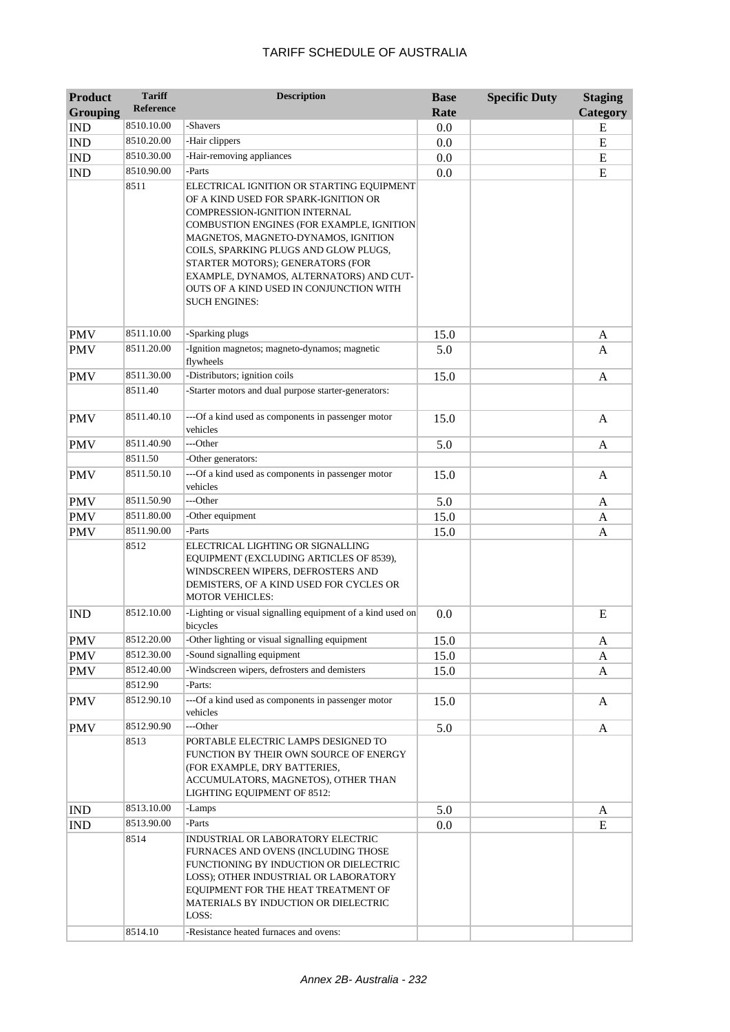| <b>Product</b>  | <b>Tariff</b>         | <b>Description</b>                                                                                                                                                                                                                                                                                                                                                                                                   | <b>Base</b> | <b>Specific Duty</b> | <b>Staging</b>            |
|-----------------|-----------------------|----------------------------------------------------------------------------------------------------------------------------------------------------------------------------------------------------------------------------------------------------------------------------------------------------------------------------------------------------------------------------------------------------------------------|-------------|----------------------|---------------------------|
| <b>Grouping</b> | <b>Reference</b>      |                                                                                                                                                                                                                                                                                                                                                                                                                      | Rate        |                      | Category                  |
| <b>IND</b>      | 8510.10.00            | -Shavers                                                                                                                                                                                                                                                                                                                                                                                                             | 0.0         |                      | E                         |
| <b>IND</b>      | 8510.20.00            | -Hair clippers                                                                                                                                                                                                                                                                                                                                                                                                       | 0.0         |                      | ${\bf E}$                 |
| <b>IND</b>      | 8510.30.00            | -Hair-removing appliances                                                                                                                                                                                                                                                                                                                                                                                            | 0.0         |                      | E                         |
| <b>IND</b>      | 8510.90.00            | -Parts                                                                                                                                                                                                                                                                                                                                                                                                               | 0.0         |                      | E                         |
| <b>PMV</b>      | 8511<br>8511.10.00    | ELECTRICAL IGNITION OR STARTING EQUIPMENT<br>OF A KIND USED FOR SPARK-IGNITION OR<br>COMPRESSION-IGNITION INTERNAL<br>COMBUSTION ENGINES (FOR EXAMPLE, IGNITION<br>MAGNETOS, MAGNETO-DYNAMOS, IGNITION<br>COILS, SPARKING PLUGS AND GLOW PLUGS,<br>STARTER MOTORS); GENERATORS (FOR<br>EXAMPLE, DYNAMOS, ALTERNATORS) AND CUT-<br>OUTS OF A KIND USED IN CONJUNCTION WITH<br><b>SUCH ENGINES:</b><br>-Sparking plugs | 15.0        |                      | A                         |
| <b>PMV</b>      | 8511.20.00            | -Ignition magnetos; magneto-dynamos; magnetic                                                                                                                                                                                                                                                                                                                                                                        | 5.0         |                      | A                         |
| <b>PMV</b>      | 8511.30.00<br>8511.40 | flywheels<br>-Distributors; ignition coils<br>-Starter motors and dual purpose starter-generators:                                                                                                                                                                                                                                                                                                                   | 15.0        |                      | A                         |
| <b>PMV</b>      | 8511.40.10            | ---Of a kind used as components in passenger motor<br>vehicles                                                                                                                                                                                                                                                                                                                                                       | 15.0        |                      | $\mathbf{A}$              |
| <b>PMV</b>      | 8511.40.90            | ---Other                                                                                                                                                                                                                                                                                                                                                                                                             | 5.0         |                      | A                         |
|                 | 8511.50               | -Other generators:                                                                                                                                                                                                                                                                                                                                                                                                   |             |                      |                           |
| <b>PMV</b>      | 8511.50.10            | ---Of a kind used as components in passenger motor<br>vehicles                                                                                                                                                                                                                                                                                                                                                       | 15.0        |                      | A                         |
| <b>PMV</b>      | 8511.50.90            | ---Other                                                                                                                                                                                                                                                                                                                                                                                                             | 5.0         |                      | A                         |
| <b>PMV</b>      | 8511.80.00            | -Other equipment                                                                                                                                                                                                                                                                                                                                                                                                     | 15.0        |                      | A                         |
| <b>PMV</b>      | 8511.90.00<br>8512    | -Parts<br>ELECTRICAL LIGHTING OR SIGNALLING<br>EQUIPMENT (EXCLUDING ARTICLES OF 8539),<br>WINDSCREEN WIPERS, DEFROSTERS AND<br>DEMISTERS, OF A KIND USED FOR CYCLES OR<br><b>MOTOR VEHICLES:</b>                                                                                                                                                                                                                     | 15.0        |                      | A                         |
| <b>IND</b>      | 8512.10.00            | -Lighting or visual signalling equipment of a kind used on<br>bicycles                                                                                                                                                                                                                                                                                                                                               | 0.0         |                      | E                         |
| <b>PMV</b>      | 8512.20.00            | -Other lighting or visual signalling equipment                                                                                                                                                                                                                                                                                                                                                                       | 15.0        |                      | $\boldsymbol{\mathsf{A}}$ |
| <b>PMV</b>      | 8512.30.00            | -Sound signalling equipment                                                                                                                                                                                                                                                                                                                                                                                          | 15.0        |                      | A                         |
| <b>PMV</b>      | 8512.40.00            | -Windscreen wipers, defrosters and demisters                                                                                                                                                                                                                                                                                                                                                                         | 15.0        |                      | A                         |
|                 | 8512.90               | -Parts:                                                                                                                                                                                                                                                                                                                                                                                                              |             |                      |                           |
| <b>PMV</b>      | 8512.90.10            | ---Of a kind used as components in passenger motor<br>vehicles                                                                                                                                                                                                                                                                                                                                                       | 15.0        |                      | A                         |
| <b>PMV</b>      | 8512.90.90            | ---Other                                                                                                                                                                                                                                                                                                                                                                                                             | 5.0         |                      | A                         |
|                 | 8513                  | PORTABLE ELECTRIC LAMPS DESIGNED TO<br>FUNCTION BY THEIR OWN SOURCE OF ENERGY<br>(FOR EXAMPLE, DRY BATTERIES,<br>ACCUMULATORS, MAGNETOS), OTHER THAN<br>LIGHTING EQUIPMENT OF 8512:                                                                                                                                                                                                                                  |             |                      |                           |
| <b>IND</b>      | 8513.10.00            | -Lamps                                                                                                                                                                                                                                                                                                                                                                                                               | 5.0         |                      | A                         |
| IND             | 8513.90.00            | -Parts                                                                                                                                                                                                                                                                                                                                                                                                               | 0.0         |                      | E                         |
|                 | 8514                  | INDUSTRIAL OR LABORATORY ELECTRIC<br>FURNACES AND OVENS (INCLUDING THOSE<br>FUNCTIONING BY INDUCTION OR DIELECTRIC<br>LOSS); OTHER INDUSTRIAL OR LABORATORY<br>EQUIPMENT FOR THE HEAT TREATMENT OF<br>MATERIALS BY INDUCTION OR DIELECTRIC<br>LOSS:                                                                                                                                                                  |             |                      |                           |
|                 | 8514.10               | -Resistance heated furnaces and ovens:                                                                                                                                                                                                                                                                                                                                                                               |             |                      |                           |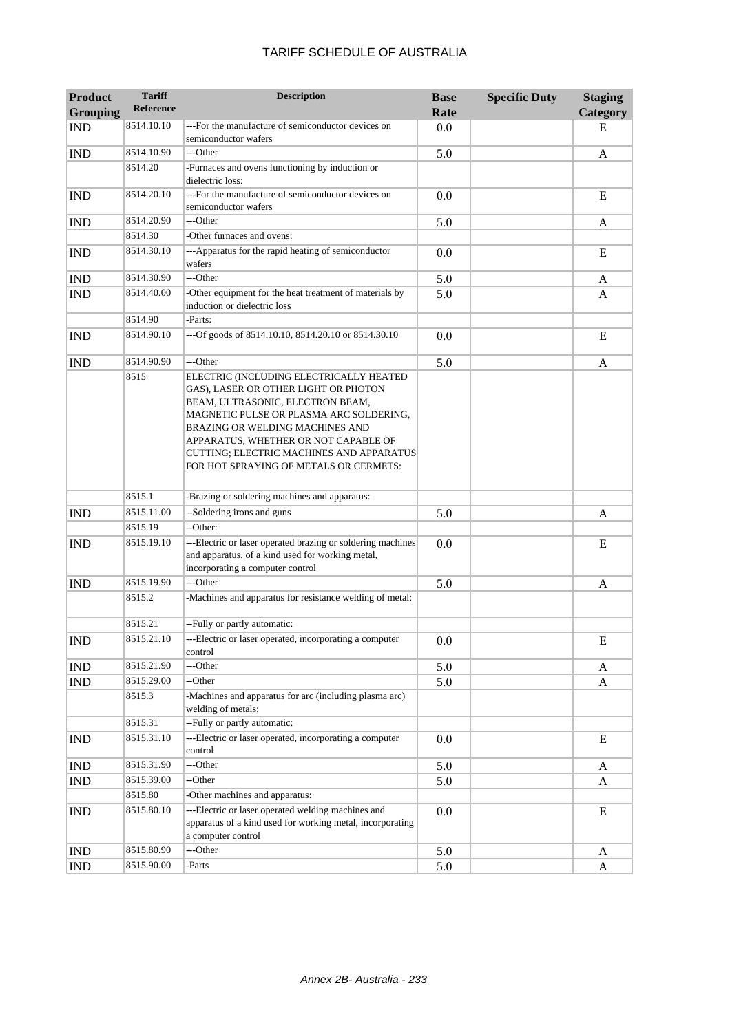| <b>Product</b>              | <b>Tariff</b><br><b>Reference</b> | <b>Description</b>                                                                                                                                                                                                                                                                                                              | <b>Base</b> | <b>Specific Duty</b> | <b>Staging</b> |
|-----------------------------|-----------------------------------|---------------------------------------------------------------------------------------------------------------------------------------------------------------------------------------------------------------------------------------------------------------------------------------------------------------------------------|-------------|----------------------|----------------|
| <b>Grouping</b>             |                                   |                                                                                                                                                                                                                                                                                                                                 | Rate        |                      | Category       |
| <b>IND</b>                  | 8514.10.10                        | ---For the manufacture of semiconductor devices on<br>semiconductor wafers                                                                                                                                                                                                                                                      | 0.0         |                      | E              |
| <b>IND</b>                  | 8514.10.90                        | ---Other                                                                                                                                                                                                                                                                                                                        | 5.0         |                      | A              |
|                             | 8514.20                           | -Furnaces and ovens functioning by induction or<br>dielectric loss:                                                                                                                                                                                                                                                             |             |                      |                |
| <b>IND</b>                  | 8514.20.10                        | ---For the manufacture of semiconductor devices on<br>semiconductor wafers                                                                                                                                                                                                                                                      | 0.0         |                      | E              |
| <b>IND</b>                  | 8514.20.90                        | ---Other                                                                                                                                                                                                                                                                                                                        | 5.0         |                      | A              |
|                             | 8514.30                           | -Other furnaces and ovens:                                                                                                                                                                                                                                                                                                      |             |                      |                |
| <b>IND</b>                  | 8514.30.10                        | ---Apparatus for the rapid heating of semiconductor<br>wafers                                                                                                                                                                                                                                                                   | 0.0         |                      | E              |
| $\mathop{\rm IND}\nolimits$ | 8514.30.90                        | ---Other                                                                                                                                                                                                                                                                                                                        | 5.0         |                      | A              |
| <b>IND</b>                  | 8514.40.00                        | -Other equipment for the heat treatment of materials by<br>induction or dielectric loss                                                                                                                                                                                                                                         | 5.0         |                      | A              |
|                             | 8514.90                           | -Parts:                                                                                                                                                                                                                                                                                                                         |             |                      |                |
| <b>IND</b>                  | 8514.90.10                        | ---Of goods of 8514.10.10, 8514.20.10 or 8514.30.10                                                                                                                                                                                                                                                                             | 0.0         |                      | E              |
| <b>IND</b>                  | 8514.90.90                        | ---Other                                                                                                                                                                                                                                                                                                                        | 5.0         |                      | A              |
|                             | 8515                              | ELECTRIC (INCLUDING ELECTRICALLY HEATED<br>GAS), LASER OR OTHER LIGHT OR PHOTON<br>BEAM, ULTRASONIC, ELECTRON BEAM,<br>MAGNETIC PULSE OR PLASMA ARC SOLDERING,<br>BRAZING OR WELDING MACHINES AND<br>APPARATUS, WHETHER OR NOT CAPABLE OF<br>CUTTING; ELECTRIC MACHINES AND APPARATUS<br>FOR HOT SPRAYING OF METALS OR CERMETS: |             |                      |                |
|                             | 8515.1                            | -Brazing or soldering machines and apparatus:                                                                                                                                                                                                                                                                                   |             |                      |                |
| <b>IND</b>                  | 8515.11.00                        | --Soldering irons and guns                                                                                                                                                                                                                                                                                                      | 5.0         |                      | A              |
|                             | 8515.19                           | --Other:                                                                                                                                                                                                                                                                                                                        |             |                      |                |
| <b>IND</b>                  | 8515.19.10                        | ---Electric or laser operated brazing or soldering machines<br>and apparatus, of a kind used for working metal,<br>incorporating a computer control                                                                                                                                                                             | 0.0         |                      | E              |
| <b>IND</b>                  | 8515.19.90                        | ---Other                                                                                                                                                                                                                                                                                                                        | 5.0         |                      | A              |
|                             | 8515.2                            | -Machines and apparatus for resistance welding of metal:                                                                                                                                                                                                                                                                        |             |                      |                |
|                             | 8515.21                           | --Fully or partly automatic:                                                                                                                                                                                                                                                                                                    |             |                      |                |
| <b>IND</b>                  | 8515.21.10                        | ---Electric or laser operated, incorporating a computer<br>control                                                                                                                                                                                                                                                              | 0.0         |                      | E              |
| <b>IND</b>                  | 8515.21.90                        | ---Other                                                                                                                                                                                                                                                                                                                        | 5.0         |                      | A              |
| <b>IND</b>                  | 8515.29.00                        | --Other                                                                                                                                                                                                                                                                                                                         | 5.0         |                      | A              |
|                             | 8515.3                            | -Machines and apparatus for arc (including plasma arc)<br>welding of metals:                                                                                                                                                                                                                                                    |             |                      |                |
|                             | 8515.31                           | --Fully or partly automatic:                                                                                                                                                                                                                                                                                                    |             |                      |                |
| <b>IND</b>                  | 8515.31.10                        | ---Electric or laser operated, incorporating a computer<br>control                                                                                                                                                                                                                                                              | 0.0         |                      | E              |
| <b>IND</b>                  | 8515.31.90                        | ---Other                                                                                                                                                                                                                                                                                                                        | 5.0         |                      | A              |
| <b>IND</b>                  | 8515.39.00                        | --Other                                                                                                                                                                                                                                                                                                                         | 5.0         |                      | A              |
|                             | 8515.80                           | -Other machines and apparatus:                                                                                                                                                                                                                                                                                                  |             |                      |                |
| <b>IND</b>                  | 8515.80.10                        | ---Electric or laser operated welding machines and<br>apparatus of a kind used for working metal, incorporating<br>a computer control                                                                                                                                                                                           | 0.0         |                      | E              |
| <b>IND</b>                  | 8515.80.90                        | ---Other                                                                                                                                                                                                                                                                                                                        | 5.0         |                      | A              |
| <b>IND</b>                  | 8515.90.00                        | -Parts                                                                                                                                                                                                                                                                                                                          | 5.0         |                      | A              |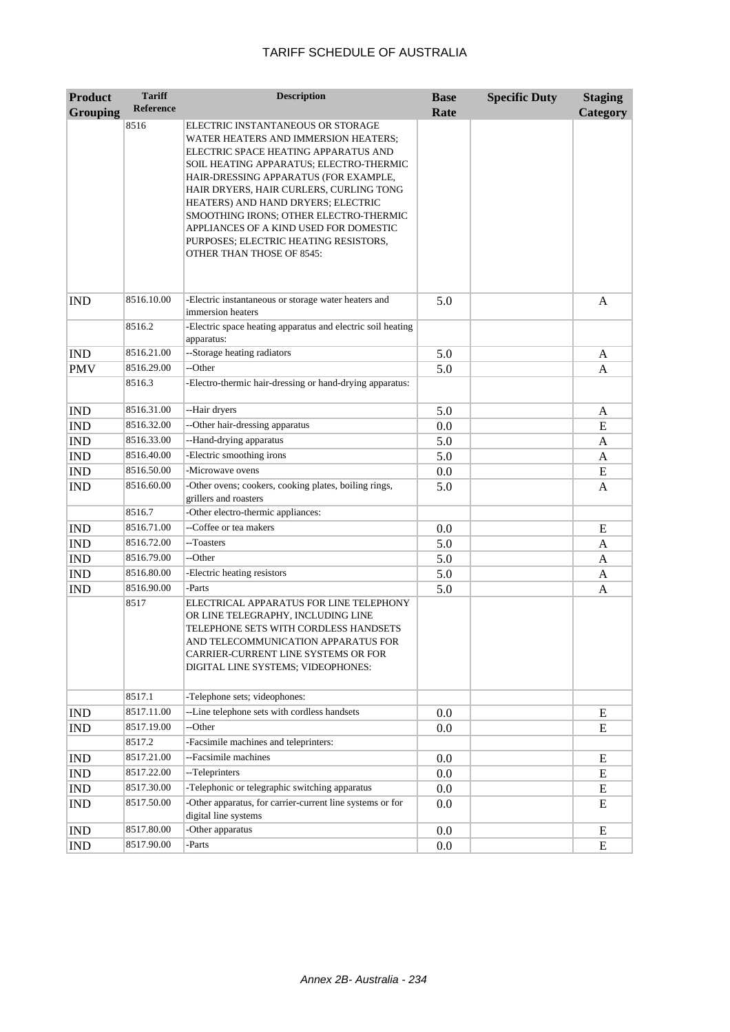| <b>Product</b>  | <b>Tariff</b>    | <b>Description</b>                                                                                                                                                                                                                                                                                                                                                                                                                                      | <b>Base</b> | <b>Specific Duty</b> | <b>Staging</b>  |
|-----------------|------------------|---------------------------------------------------------------------------------------------------------------------------------------------------------------------------------------------------------------------------------------------------------------------------------------------------------------------------------------------------------------------------------------------------------------------------------------------------------|-------------|----------------------|-----------------|
| <b>Grouping</b> | <b>Reference</b> |                                                                                                                                                                                                                                                                                                                                                                                                                                                         | Rate        |                      | <b>Category</b> |
|                 | 8516             | ELECTRIC INSTANTANEOUS OR STORAGE<br>WATER HEATERS AND IMMERSION HEATERS;<br>ELECTRIC SPACE HEATING APPARATUS AND<br>SOIL HEATING APPARATUS; ELECTRO-THERMIC<br>HAIR-DRESSING APPARATUS (FOR EXAMPLE,<br>HAIR DRYERS, HAIR CURLERS, CURLING TONG<br>HEATERS) AND HAND DRYERS; ELECTRIC<br>SMOOTHING IRONS; OTHER ELECTRO-THERMIC<br>APPLIANCES OF A KIND USED FOR DOMESTIC<br>PURPOSES; ELECTRIC HEATING RESISTORS,<br><b>OTHER THAN THOSE OF 8545:</b> |             |                      |                 |
| <b>IND</b>      | 8516.10.00       | -Electric instantaneous or storage water heaters and<br>immersion heaters                                                                                                                                                                                                                                                                                                                                                                               | 5.0         |                      | $\mathbf{A}$    |
|                 | 8516.2           | -Electric space heating apparatus and electric soil heating<br>apparatus:                                                                                                                                                                                                                                                                                                                                                                               |             |                      |                 |
| <b>IND</b>      | 8516.21.00       | --Storage heating radiators                                                                                                                                                                                                                                                                                                                                                                                                                             | 5.0         |                      | A               |
| <b>PMV</b>      | 8516.29.00       | --Other                                                                                                                                                                                                                                                                                                                                                                                                                                                 | 5.0         |                      | A               |
|                 | 8516.3           | -Electro-thermic hair-dressing or hand-drying apparatus:                                                                                                                                                                                                                                                                                                                                                                                                |             |                      |                 |
| <b>IND</b>      | 8516.31.00       | --Hair dryers                                                                                                                                                                                                                                                                                                                                                                                                                                           | 5.0         |                      | A               |
| <b>IND</b>      | 8516.32.00       | --Other hair-dressing apparatus                                                                                                                                                                                                                                                                                                                                                                                                                         | 0.0         |                      | E               |
| <b>IND</b>      | 8516.33.00       | --Hand-drying apparatus                                                                                                                                                                                                                                                                                                                                                                                                                                 | 5.0         |                      | A               |
| <b>IND</b>      | 8516.40.00       | -Electric smoothing irons                                                                                                                                                                                                                                                                                                                                                                                                                               | 5.0         |                      | A               |
| <b>IND</b>      | 8516.50.00       | -Microwave ovens                                                                                                                                                                                                                                                                                                                                                                                                                                        | 0.0         |                      | E               |
| <b>IND</b>      | 8516.60.00       | -Other ovens; cookers, cooking plates, boiling rings,<br>grillers and roasters                                                                                                                                                                                                                                                                                                                                                                          | 5.0         |                      | A               |
|                 | 8516.7           | -Other electro-thermic appliances:                                                                                                                                                                                                                                                                                                                                                                                                                      |             |                      |                 |
| <b>IND</b>      | 8516.71.00       | --Coffee or tea makers                                                                                                                                                                                                                                                                                                                                                                                                                                  | 0.0         |                      | E               |
| <b>IND</b>      | 8516.72.00       | --Toasters                                                                                                                                                                                                                                                                                                                                                                                                                                              | 5.0         |                      | A               |
| <b>IND</b>      | 8516.79.00       | --Other                                                                                                                                                                                                                                                                                                                                                                                                                                                 | 5.0         |                      | A               |
| <b>IND</b>      | 8516.80.00       | -Electric heating resistors                                                                                                                                                                                                                                                                                                                                                                                                                             | 5.0         |                      | A               |
| <b>IND</b>      | 8516.90.00       | -Parts                                                                                                                                                                                                                                                                                                                                                                                                                                                  | 5.0         |                      | A               |
|                 | 8517             | ELECTRICAL APPARATUS FOR LINE TELEPHONY<br>OR LINE TELEGRAPHY, INCLUDING LINE<br>TELEPHONE SETS WITH CORDLESS HANDSETS<br>AND TELECOMMUNICATION APPARATUS FOR<br>CARRIER-CURRENT LINE SYSTEMS OR FOR<br>DIGITAL LINE SYSTEMS; VIDEOPHONES:                                                                                                                                                                                                              |             |                      |                 |
|                 | 8517.1           | -Telephone sets; videophones:                                                                                                                                                                                                                                                                                                                                                                                                                           |             |                      |                 |
| IND             | 8517.11.00       | --Line telephone sets with cordless handsets                                                                                                                                                                                                                                                                                                                                                                                                            | $0.0\,$     |                      | E               |
| <b>IND</b>      | 8517.19.00       | --Other                                                                                                                                                                                                                                                                                                                                                                                                                                                 | 0.0         |                      | Ε               |
|                 | 8517.2           | -Facsimile machines and teleprinters:                                                                                                                                                                                                                                                                                                                                                                                                                   |             |                      |                 |
| IND             | 8517.21.00       | --Facsimile machines                                                                                                                                                                                                                                                                                                                                                                                                                                    | $0.0\,$     |                      | E               |
| IND             | 8517.22.00       | --Teleprinters                                                                                                                                                                                                                                                                                                                                                                                                                                          | $0.0\,$     |                      | E               |
| <b>IND</b>      | 8517.30.00       | -Telephonic or telegraphic switching apparatus                                                                                                                                                                                                                                                                                                                                                                                                          | $0.0\,$     |                      | E               |
| <b>IND</b>      | 8517.50.00       | -Other apparatus, for carrier-current line systems or for<br>digital line systems                                                                                                                                                                                                                                                                                                                                                                       | $0.0\,$     |                      | E               |
| IND             | 8517.80.00       | -Other apparatus                                                                                                                                                                                                                                                                                                                                                                                                                                        | $0.0\,$     |                      | E               |
| <b>IND</b>      | 8517.90.00       | -Parts                                                                                                                                                                                                                                                                                                                                                                                                                                                  | 0.0         |                      | E               |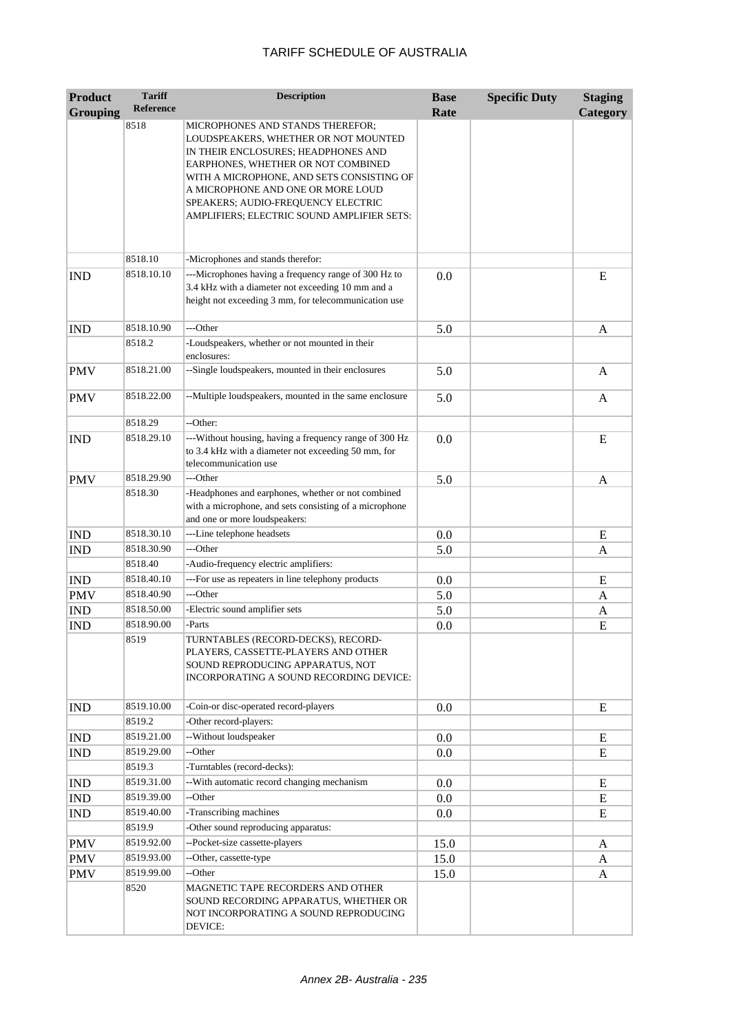| <b>Product</b>  | <b>Tariff</b>        | <b>Description</b>                                                                                                                                                                                                                                                                                                          | <b>Base</b> | <b>Specific Duty</b> | <b>Staging</b> |
|-----------------|----------------------|-----------------------------------------------------------------------------------------------------------------------------------------------------------------------------------------------------------------------------------------------------------------------------------------------------------------------------|-------------|----------------------|----------------|
| <b>Grouping</b> | <b>Reference</b>     |                                                                                                                                                                                                                                                                                                                             | Rate        |                      | Category       |
|                 | 8518                 | MICROPHONES AND STANDS THEREFOR;<br>LOUDSPEAKERS, WHETHER OR NOT MOUNTED<br>IN THEIR ENCLOSURES; HEADPHONES AND<br>EARPHONES, WHETHER OR NOT COMBINED<br>WITH A MICROPHONE, AND SETS CONSISTING OF<br>A MICROPHONE AND ONE OR MORE LOUD<br>SPEAKERS; AUDIO-FREQUENCY ELECTRIC<br>AMPLIFIERS; ELECTRIC SOUND AMPLIFIER SETS: |             |                      |                |
|                 | 8518.10              | -Microphones and stands therefor:                                                                                                                                                                                                                                                                                           |             |                      |                |
| <b>IND</b>      | 8518.10.10           | ---Microphones having a frequency range of 300 Hz to<br>3.4 kHz with a diameter not exceeding 10 mm and a<br>height not exceeding 3 mm, for telecommunication use                                                                                                                                                           | 0.0         |                      | E              |
| <b>IND</b>      | 8518.10.90           | ---Other                                                                                                                                                                                                                                                                                                                    | 5.0         |                      | A              |
|                 | 8518.2               | -Loudspeakers, whether or not mounted in their<br>enclosures:                                                                                                                                                                                                                                                               |             |                      |                |
| <b>PMV</b>      | 8518.21.00           | --Single loudspeakers, mounted in their enclosures                                                                                                                                                                                                                                                                          | 5.0         |                      | A              |
| <b>PMV</b>      | 8518.22.00           | --Multiple loudspeakers, mounted in the same enclosure                                                                                                                                                                                                                                                                      | 5.0         |                      | A              |
|                 | 8518.29              | --Other:                                                                                                                                                                                                                                                                                                                    |             |                      |                |
| <b>IND</b>      | 8518.29.10           | ---Without housing, having a frequency range of 300 Hz<br>to 3.4 kHz with a diameter not exceeding 50 mm, for<br>telecommunication use                                                                                                                                                                                      | 0.0         |                      | E              |
| <b>PMV</b>      | 8518.29.90           | ---Other                                                                                                                                                                                                                                                                                                                    | 5.0         |                      | A              |
|                 | 8518.30              | -Headphones and earphones, whether or not combined<br>with a microphone, and sets consisting of a microphone<br>and one or more loudspeakers:                                                                                                                                                                               |             |                      |                |
| <b>IND</b>      | 8518.30.10           | ---Line telephone headsets                                                                                                                                                                                                                                                                                                  | 0.0         |                      | E              |
| <b>IND</b>      | 8518.30.90           | ---Other                                                                                                                                                                                                                                                                                                                    | 5.0         |                      | A              |
|                 | 8518.40              | -Audio-frequency electric amplifiers:                                                                                                                                                                                                                                                                                       |             |                      |                |
| <b>IND</b>      | 8518.40.10           | ---For use as repeaters in line telephony products                                                                                                                                                                                                                                                                          | 0.0         |                      | E              |
| <b>PMV</b>      | 8518.40.90           | ---Other                                                                                                                                                                                                                                                                                                                    | 5.0         |                      | A              |
| <b>IND</b>      | 8518.50.00           | -Electric sound amplifier sets                                                                                                                                                                                                                                                                                              | 5.0         |                      | A              |
| <b>IND</b>      | 8518.90.00<br>8519   | -Parts<br>TURNTABLES (RECORD-DECKS), RECORD-<br>PLAYERS, CASSETTE-PLAYERS AND OTHER<br>SOUND REPRODUCING APPARATUS, NOT<br>INCORPORATING A SOUND RECORDING DEVICE:                                                                                                                                                          | 0.0         |                      | E              |
| <b>IND</b>      | 8519.10.00<br>8519.2 | -Coin-or disc-operated record-players<br>-Other record-players:                                                                                                                                                                                                                                                             | 0.0         |                      | E              |
| <b>IND</b>      | 8519.21.00           | --Without loudspeaker                                                                                                                                                                                                                                                                                                       | 0.0         |                      | E              |
| <b>IND</b>      | 8519.29.00           | --Other                                                                                                                                                                                                                                                                                                                     | 0.0         |                      | E              |
|                 | 8519.3               | -Turntables (record-decks):                                                                                                                                                                                                                                                                                                 |             |                      |                |
| <b>IND</b>      | 8519.31.00           | --With automatic record changing mechanism                                                                                                                                                                                                                                                                                  | 0.0         |                      | E              |
| IND             | 8519.39.00           | --Other                                                                                                                                                                                                                                                                                                                     | 0.0         |                      | E              |
| IND             | 8519.40.00           | -Transcribing machines                                                                                                                                                                                                                                                                                                      | 0.0         |                      | E              |
|                 | 8519.9               | -Other sound reproducing apparatus:                                                                                                                                                                                                                                                                                         |             |                      |                |
| PMV             | 8519.92.00           | --Pocket-size cassette-players                                                                                                                                                                                                                                                                                              | 15.0        |                      | A              |
| PMV             | 8519.93.00           | --Other, cassette-type                                                                                                                                                                                                                                                                                                      | 15.0        |                      | A              |
| PMV             | 8519.99.00           | --Other                                                                                                                                                                                                                                                                                                                     | 15.0        |                      | A              |
|                 | 8520                 | MAGNETIC TAPE RECORDERS AND OTHER<br>SOUND RECORDING APPARATUS, WHETHER OR<br>NOT INCORPORATING A SOUND REPRODUCING<br>DEVICE:                                                                                                                                                                                              |             |                      |                |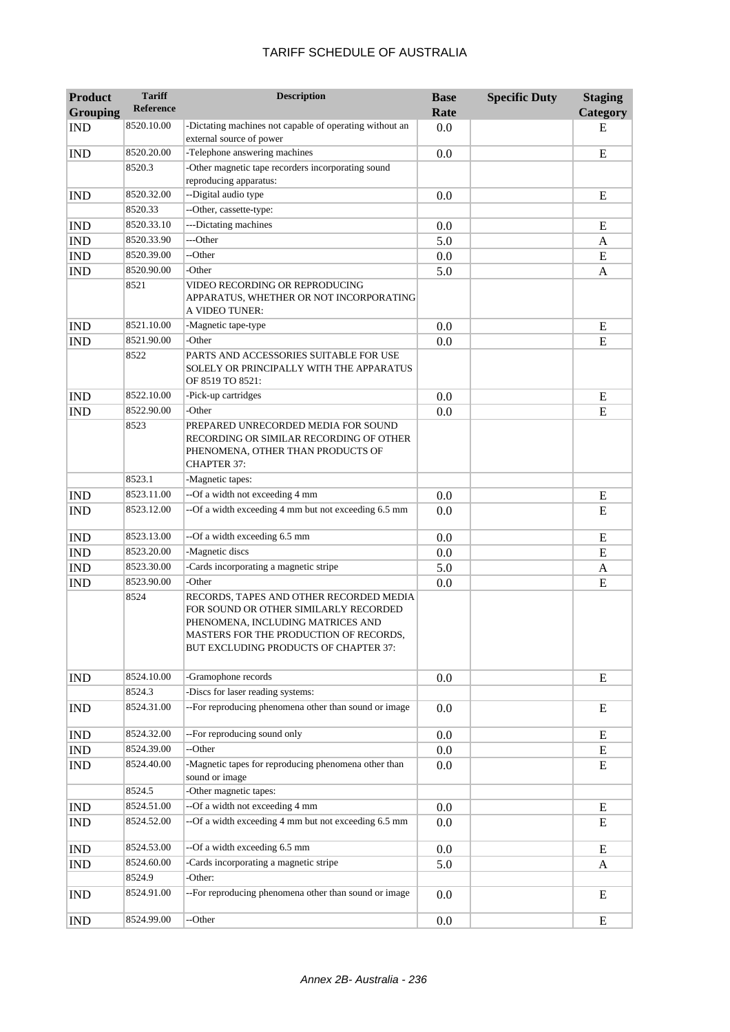| <b>Product</b><br><b>Grouping</b> | <b>Tariff</b><br><b>Reference</b> | <b>Description</b>                                                                                                                                                                                       | <b>Base</b><br>Rate | <b>Specific Duty</b> | <b>Staging</b><br>Category |
|-----------------------------------|-----------------------------------|----------------------------------------------------------------------------------------------------------------------------------------------------------------------------------------------------------|---------------------|----------------------|----------------------------|
| <b>IND</b>                        | 8520.10.00                        | -Dictating machines not capable of operating without an                                                                                                                                                  | 0.0                 |                      | Е                          |
| <b>IND</b>                        | 8520.20.00                        | external source of power<br>-Telephone answering machines                                                                                                                                                | 0.0                 |                      | E                          |
|                                   | 8520.3                            | -Other magnetic tape recorders incorporating sound                                                                                                                                                       |                     |                      |                            |
|                                   |                                   | reproducing apparatus:                                                                                                                                                                                   |                     |                      |                            |
| <b>IND</b>                        | 8520.32.00                        | --Digital audio type                                                                                                                                                                                     | 0.0                 |                      | E                          |
|                                   | 8520.33                           | --Other, cassette-type:                                                                                                                                                                                  |                     |                      |                            |
| <b>IND</b>                        | 8520.33.10                        | ---Dictating machines                                                                                                                                                                                    | 0.0                 |                      | E                          |
| <b>IND</b>                        | 8520.33.90                        | ---Other                                                                                                                                                                                                 | 5.0                 |                      | A                          |
| <b>IND</b>                        | 8520.39.00                        | --Other                                                                                                                                                                                                  | 0.0                 |                      | E                          |
| <b>IND</b>                        | 8520.90.00                        | -Other                                                                                                                                                                                                   | 5.0                 |                      | A                          |
|                                   | 8521                              | VIDEO RECORDING OR REPRODUCING<br>APPARATUS, WHETHER OR NOT INCORPORATING<br>A VIDEO TUNER:                                                                                                              |                     |                      |                            |
| <b>IND</b>                        | 8521.10.00                        | -Magnetic tape-type                                                                                                                                                                                      | 0.0                 |                      | E                          |
| <b>IND</b>                        | 8521.90.00                        | -Other                                                                                                                                                                                                   | 0.0                 |                      | E                          |
|                                   | 8522                              | PARTS AND ACCESSORIES SUITABLE FOR USE<br>SOLELY OR PRINCIPALLY WITH THE APPARATUS<br>OF 8519 TO 8521:                                                                                                   |                     |                      |                            |
| <b>IND</b>                        | 8522.10.00                        | -Pick-up cartridges                                                                                                                                                                                      | 0.0                 |                      | E                          |
| <b>IND</b>                        | 8522.90.00                        | -Other                                                                                                                                                                                                   | 0.0                 |                      | E                          |
|                                   | 8523                              | PREPARED UNRECORDED MEDIA FOR SOUND<br>RECORDING OR SIMILAR RECORDING OF OTHER<br>PHENOMENA, OTHER THAN PRODUCTS OF<br><b>CHAPTER 37:</b>                                                                |                     |                      |                            |
|                                   | 8523.1                            | -Magnetic tapes:                                                                                                                                                                                         |                     |                      |                            |
| <b>IND</b>                        | 8523.11.00                        | --Of a width not exceeding 4 mm                                                                                                                                                                          | 0.0                 |                      | E                          |
| <b>IND</b>                        | 8523.12.00                        | --Of a width exceeding 4 mm but not exceeding 6.5 mm                                                                                                                                                     | 0.0                 |                      | E                          |
| <b>IND</b>                        | 8523.13.00                        | --Of a width exceeding 6.5 mm                                                                                                                                                                            | 0.0                 |                      | E                          |
| <b>IND</b>                        | 8523.20.00                        | -Magnetic discs                                                                                                                                                                                          | 0.0                 |                      | E                          |
| <b>IND</b>                        | 8523.30.00                        | -Cards incorporating a magnetic stripe                                                                                                                                                                   | 5.0                 |                      | A                          |
| <b>IND</b>                        | 8523.90.00                        | -Other                                                                                                                                                                                                   | 0.0                 |                      | E                          |
|                                   | 8524                              | RECORDS, TAPES AND OTHER RECORDED MEDIA<br>FOR SOUND OR OTHER SIMILARLY RECORDED<br>PHENOMENA, INCLUDING MATRICES AND<br>MASTERS FOR THE PRODUCTION OF RECORDS,<br>BUT EXCLUDING PRODUCTS OF CHAPTER 37: |                     |                      |                            |
| <b>IND</b>                        | 8524.10.00                        | -Gramophone records                                                                                                                                                                                      | 0.0                 |                      | E                          |
|                                   | 8524.3                            | -Discs for laser reading systems:                                                                                                                                                                        |                     |                      |                            |
| <b>IND</b>                        | 8524.31.00                        | --For reproducing phenomena other than sound or image                                                                                                                                                    | 0.0                 |                      | E                          |
| <b>IND</b>                        | 8524.32.00                        | --For reproducing sound only                                                                                                                                                                             | 0.0                 |                      | E                          |
| $\mathop{\rm IND}\nolimits$       | 8524.39.00                        | --Other                                                                                                                                                                                                  | 0.0                 |                      | ${\bf E}$                  |
| IND                               | 8524.40.00                        | -Magnetic tapes for reproducing phenomena other than<br>sound or image                                                                                                                                   | 0.0                 |                      | E                          |
|                                   | 8524.5                            | -Other magnetic tapes:                                                                                                                                                                                   |                     |                      |                            |
| <b>IND</b>                        | 8524.51.00                        | --Of a width not exceeding 4 mm                                                                                                                                                                          | 0.0                 |                      | E                          |
| <b>IND</b>                        | 8524.52.00                        | --Of a width exceeding 4 mm but not exceeding 6.5 mm                                                                                                                                                     | 0.0                 |                      | Ε                          |
| <b>IND</b>                        | 8524.53.00                        | --Of a width exceeding 6.5 mm                                                                                                                                                                            | 0.0                 |                      | E                          |
| <b>IND</b>                        | 8524.60.00                        | -Cards incorporating a magnetic stripe                                                                                                                                                                   | 5.0                 |                      | A                          |
|                                   | 8524.9                            | -Other:                                                                                                                                                                                                  |                     |                      |                            |
| <b>IND</b>                        | 8524.91.00                        | --For reproducing phenomena other than sound or image                                                                                                                                                    | 0.0                 |                      | E                          |
| <b>IND</b>                        | 8524.99.00                        | --Other                                                                                                                                                                                                  | 0.0                 |                      | E                          |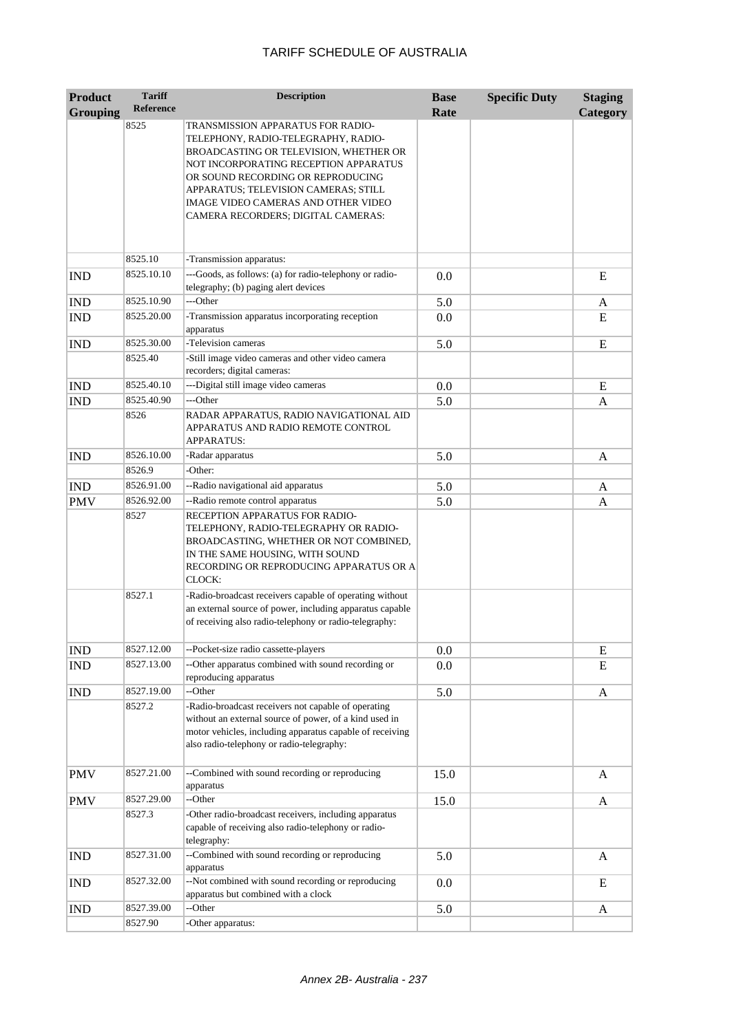| <b>Product</b>  | <b>Tariff</b>         | <b>Description</b>                                                                                                                                                                                                                                                                                                    | <b>Base</b> | <b>Specific Duty</b> | <b>Staging</b>  |
|-----------------|-----------------------|-----------------------------------------------------------------------------------------------------------------------------------------------------------------------------------------------------------------------------------------------------------------------------------------------------------------------|-------------|----------------------|-----------------|
| <b>Grouping</b> | <b>Reference</b>      |                                                                                                                                                                                                                                                                                                                       | Rate        |                      | <b>Category</b> |
|                 | 8525                  | TRANSMISSION APPARATUS FOR RADIO-<br>TELEPHONY, RADIO-TELEGRAPHY, RADIO-<br>BROADCASTING OR TELEVISION, WHETHER OR<br>NOT INCORPORATING RECEPTION APPARATUS<br>OR SOUND RECORDING OR REPRODUCING<br>APPARATUS; TELEVISION CAMERAS; STILL<br>IMAGE VIDEO CAMERAS AND OTHER VIDEO<br>CAMERA RECORDERS; DIGITAL CAMERAS: |             |                      |                 |
|                 |                       |                                                                                                                                                                                                                                                                                                                       |             |                      |                 |
|                 | 8525.10<br>8525.10.10 | -Transmission apparatus:<br>---Goods, as follows: (a) for radio-telephony or radio-                                                                                                                                                                                                                                   |             |                      |                 |
| <b>IND</b>      |                       | telegraphy; (b) paging alert devices                                                                                                                                                                                                                                                                                  | 0.0         |                      | E               |
| <b>IND</b>      | 8525.10.90            | ---Other                                                                                                                                                                                                                                                                                                              | 5.0         |                      | A               |
| <b>IND</b>      | 8525.20.00            | -Transmission apparatus incorporating reception<br>apparatus                                                                                                                                                                                                                                                          | 0.0         |                      | E               |
| <b>IND</b>      | 8525.30.00            | -Television cameras                                                                                                                                                                                                                                                                                                   | 5.0         |                      | E               |
|                 | 8525.40               | -Still image video cameras and other video camera<br>recorders; digital cameras:                                                                                                                                                                                                                                      |             |                      |                 |
| <b>IND</b>      | 8525.40.10            | ---Digital still image video cameras                                                                                                                                                                                                                                                                                  | 0.0         |                      | E               |
| <b>IND</b>      | 8525.40.90            | ---Other                                                                                                                                                                                                                                                                                                              | 5.0         |                      | A               |
|                 | 8526                  | RADAR APPARATUS, RADIO NAVIGATIONAL AID<br>APPARATUS AND RADIO REMOTE CONTROL<br>APPARATUS:                                                                                                                                                                                                                           |             |                      |                 |
| <b>IND</b>      | 8526.10.00            | -Radar apparatus                                                                                                                                                                                                                                                                                                      | 5.0         |                      | A               |
|                 | 8526.9                | -Other:                                                                                                                                                                                                                                                                                                               |             |                      |                 |
| <b>IND</b>      | 8526.91.00            | --Radio navigational aid apparatus                                                                                                                                                                                                                                                                                    | 5.0         |                      | A               |
| <b>PMV</b>      | 8526.92.00            | --Radio remote control apparatus                                                                                                                                                                                                                                                                                      | 5.0         |                      | A               |
|                 | 8527                  | RECEPTION APPARATUS FOR RADIO-<br>TELEPHONY, RADIO-TELEGRAPHY OR RADIO-<br>BROADCASTING, WHETHER OR NOT COMBINED,<br>IN THE SAME HOUSING, WITH SOUND<br>RECORDING OR REPRODUCING APPARATUS OR A<br>CLOCK:                                                                                                             |             |                      |                 |
|                 | 8527.1                | -Radio-broadcast receivers capable of operating without<br>an external source of power, including apparatus capable<br>of receiving also radio-telephony or radio-telegraphy:                                                                                                                                         |             |                      |                 |
| <b>IND</b>      | 8527.12.00            | --Pocket-size radio cassette-players                                                                                                                                                                                                                                                                                  | 0.0         |                      | E               |
| IND             | 8527.13.00            | --Other apparatus combined with sound recording or<br>reproducing apparatus                                                                                                                                                                                                                                           | 0.0         |                      | E               |
| <b>IND</b>      | 8527.19.00            | --Other                                                                                                                                                                                                                                                                                                               | 5.0         |                      | A               |
|                 | 8527.2                | -Radio-broadcast receivers not capable of operating<br>without an external source of power, of a kind used in<br>motor vehicles, including apparatus capable of receiving<br>also radio-telephony or radio-telegraphy:                                                                                                |             |                      |                 |
| <b>PMV</b>      | 8527.21.00            | --Combined with sound recording or reproducing<br>apparatus                                                                                                                                                                                                                                                           | 15.0        |                      | A               |
| <b>PMV</b>      | 8527.29.00            | --Other                                                                                                                                                                                                                                                                                                               | 15.0        |                      | A               |
|                 | 8527.3                | -Other radio-broadcast receivers, including apparatus<br>capable of receiving also radio-telephony or radio-<br>telegraphy:                                                                                                                                                                                           |             |                      |                 |
| <b>IND</b>      | 8527.31.00            | --Combined with sound recording or reproducing<br>apparatus                                                                                                                                                                                                                                                           | 5.0         |                      | A               |
| <b>IND</b>      | 8527.32.00            | --Not combined with sound recording or reproducing<br>apparatus but combined with a clock                                                                                                                                                                                                                             | 0.0         |                      | E               |
| <b>IND</b>      | 8527.39.00            | --Other                                                                                                                                                                                                                                                                                                               | 5.0         |                      | A               |
|                 | 8527.90               | -Other apparatus:                                                                                                                                                                                                                                                                                                     |             |                      |                 |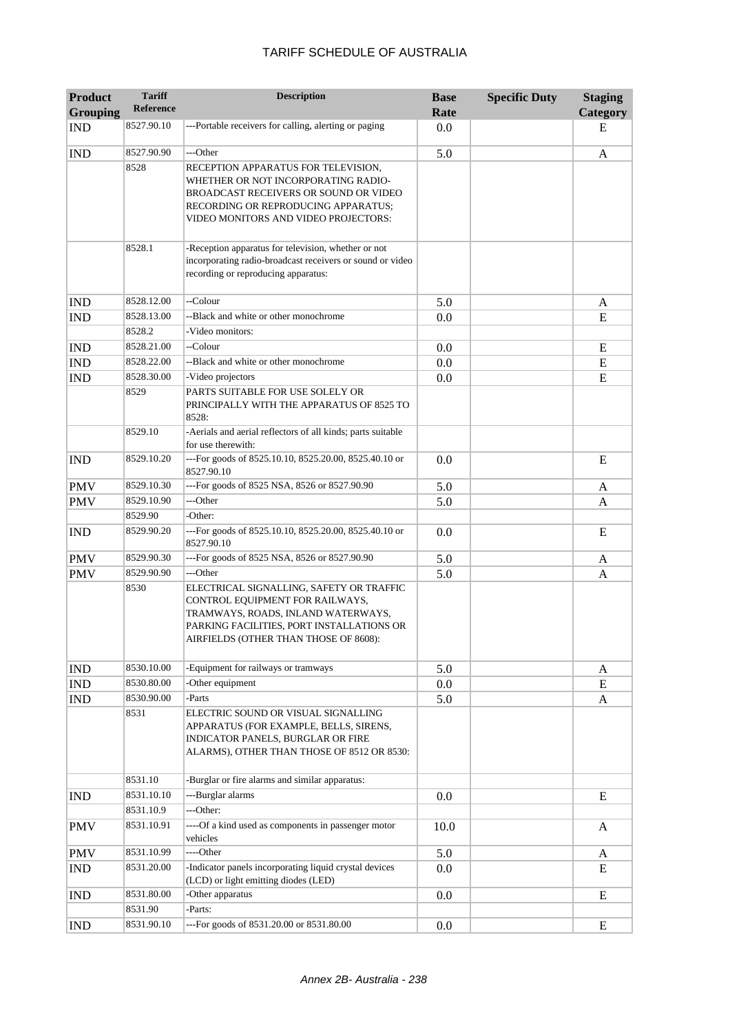| <b>Product</b><br><b>Grouping</b> | <b>Tariff</b><br><b>Reference</b> | <b>Description</b>                                                                                                                                                                                      | <b>Base</b><br>Rate | <b>Specific Duty</b> | <b>Staging</b><br><b>Category</b> |
|-----------------------------------|-----------------------------------|---------------------------------------------------------------------------------------------------------------------------------------------------------------------------------------------------------|---------------------|----------------------|-----------------------------------|
| <b>IND</b>                        | 8527.90.10                        | ---Portable receivers for calling, alerting or paging                                                                                                                                                   | 0.0                 |                      | Е                                 |
| <b>IND</b>                        | 8527.90.90                        | ---Other                                                                                                                                                                                                | 5.0                 |                      | A                                 |
|                                   | 8528                              | RECEPTION APPARATUS FOR TELEVISION,<br>WHETHER OR NOT INCORPORATING RADIO-<br>BROADCAST RECEIVERS OR SOUND OR VIDEO<br>RECORDING OR REPRODUCING APPARATUS;<br>VIDEO MONITORS AND VIDEO PROJECTORS:      |                     |                      |                                   |
|                                   | 8528.1                            | -Reception apparatus for television, whether or not<br>incorporating radio-broadcast receivers or sound or video<br>recording or reproducing apparatus:                                                 |                     |                      |                                   |
| <b>IND</b>                        | 8528.12.00                        | --Colour                                                                                                                                                                                                | 5.0                 |                      | A                                 |
| <b>IND</b>                        | 8528.13.00                        | --Black and white or other monochrome                                                                                                                                                                   | 0.0                 |                      | E                                 |
|                                   | 8528.2                            | -Video monitors:                                                                                                                                                                                        |                     |                      |                                   |
| <b>IND</b>                        | 8528.21.00                        | --Colour                                                                                                                                                                                                | 0.0                 |                      | E                                 |
| <b>IND</b>                        | 8528.22.00                        | --Black and white or other monochrome                                                                                                                                                                   | 0.0                 |                      | E                                 |
| <b>IND</b>                        | 8528.30.00                        | -Video projectors                                                                                                                                                                                       | 0.0                 |                      | E                                 |
|                                   | 8529                              | PARTS SUITABLE FOR USE SOLELY OR<br>PRINCIPALLY WITH THE APPARATUS OF 8525 TO<br>8528:                                                                                                                  |                     |                      |                                   |
|                                   | 8529.10                           | -Aerials and aerial reflectors of all kinds; parts suitable<br>for use therewith:                                                                                                                       |                     |                      |                                   |
| <b>IND</b>                        | 8529.10.20                        | ---For goods of 8525.10.10, 8525.20.00, 8525.40.10 or<br>8527.90.10                                                                                                                                     | 0.0                 |                      | E                                 |
| <b>PMV</b>                        | 8529.10.30                        | ---For goods of 8525 NSA, 8526 or 8527.90.90                                                                                                                                                            | 5.0                 |                      | A                                 |
| <b>PMV</b>                        | 8529.10.90                        | ---Other                                                                                                                                                                                                | 5.0                 |                      | A                                 |
|                                   | 8529.90                           | -Other:                                                                                                                                                                                                 |                     |                      |                                   |
| <b>IND</b>                        | 8529.90.20                        | ---For goods of 8525.10.10, 8525.20.00, 8525.40.10 or<br>8527.90.10                                                                                                                                     | 0.0                 |                      | E                                 |
| <b>PMV</b>                        | 8529.90.30                        | ---For goods of 8525 NSA, 8526 or 8527.90.90                                                                                                                                                            | 5.0                 |                      | A                                 |
| <b>PMV</b>                        | 8529.90.90                        | ---Other                                                                                                                                                                                                | 5.0                 |                      | A                                 |
|                                   | 8530                              | ELECTRICAL SIGNALLING, SAFETY OR TRAFFIC<br>CONTROL EQUIPMENT FOR RAILWAYS,<br>TRAMWAYS, ROADS, INLAND WATERWAYS,<br>PARKING FACILITIES, PORT INSTALLATIONS OR<br>AIRFIELDS (OTHER THAN THOSE OF 8608): |                     |                      |                                   |
| <b>IND</b>                        | 8530.10.00                        | -Equipment for railways or tramways                                                                                                                                                                     | 5.0                 |                      | A                                 |
| <b>IND</b>                        | 8530.80.00                        | -Other equipment                                                                                                                                                                                        | $0.0\,$             |                      | E                                 |
| <b>IND</b>                        | 8530.90.00                        | -Parts                                                                                                                                                                                                  | 5.0                 |                      | A                                 |
|                                   | 8531                              | ELECTRIC SOUND OR VISUAL SIGNALLING<br>APPARATUS (FOR EXAMPLE, BELLS, SIRENS,<br>INDICATOR PANELS, BURGLAR OR FIRE<br>ALARMS), OTHER THAN THOSE OF 8512 OR 8530:                                        |                     |                      |                                   |
|                                   | 8531.10                           | -Burglar or fire alarms and similar apparatus:                                                                                                                                                          |                     |                      |                                   |
| IND                               | 8531.10.10                        | ---Burglar alarms                                                                                                                                                                                       | 0.0                 |                      | E                                 |
|                                   | 8531.10.9                         | ---Other:                                                                                                                                                                                               |                     |                      |                                   |
| <b>PMV</b>                        | 8531.10.91                        | ----Of a kind used as components in passenger motor<br>vehicles                                                                                                                                         | 10.0                |                      | A                                 |
| <b>PMV</b>                        | 8531.10.99                        | ----Other                                                                                                                                                                                               | 5.0                 |                      | A                                 |
| <b>IND</b>                        | 8531.20.00                        | -Indicator panels incorporating liquid crystal devices<br>(LCD) or light emitting diodes (LED)                                                                                                          | 0.0                 |                      | E                                 |
| <b>IND</b>                        | 8531.80.00                        | -Other apparatus                                                                                                                                                                                        | 0.0                 |                      | ${\bf E}$                         |
|                                   | 8531.90                           | -Parts:                                                                                                                                                                                                 |                     |                      |                                   |
| <b>IND</b>                        | 8531.90.10                        | ---For goods of 8531.20.00 or 8531.80.00                                                                                                                                                                | 0.0                 |                      | ${\bf E}$                         |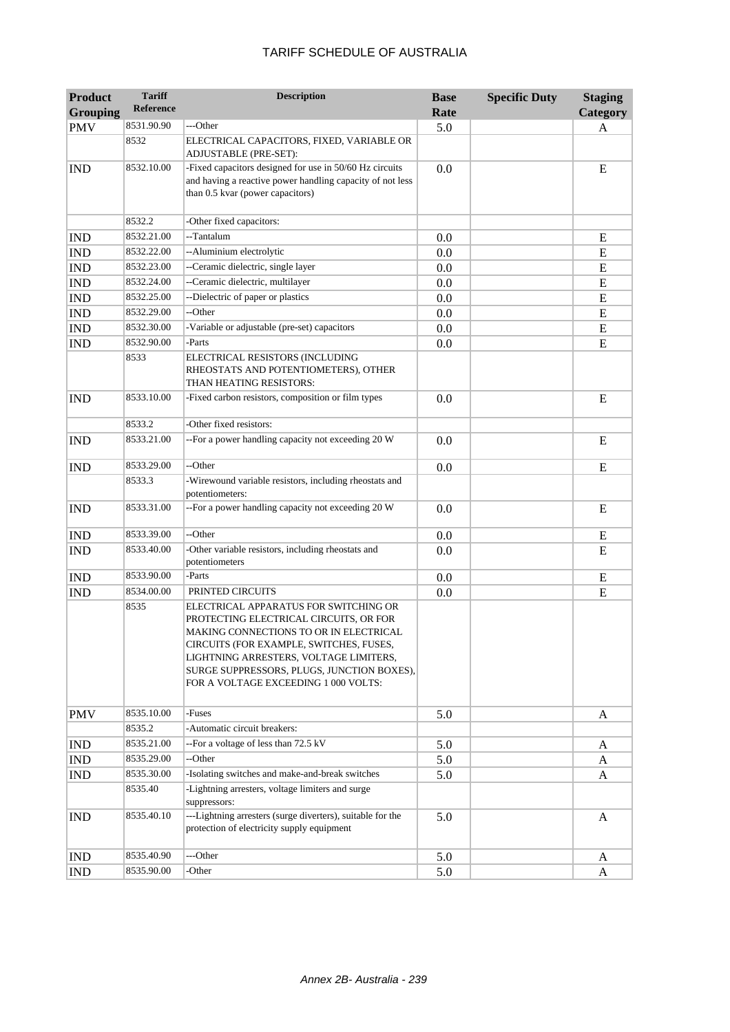| <b>Product</b>              | <b>Tariff</b>    | <b>Description</b>                                                                                                                                                                                                                                                                                   | <b>Base</b> | <b>Specific Duty</b> | <b>Staging</b> |
|-----------------------------|------------------|------------------------------------------------------------------------------------------------------------------------------------------------------------------------------------------------------------------------------------------------------------------------------------------------------|-------------|----------------------|----------------|
| <b>Grouping</b>             | <b>Reference</b> |                                                                                                                                                                                                                                                                                                      | Rate        |                      | Category       |
| <b>PMV</b>                  | 8531.90.90       | ---Other                                                                                                                                                                                                                                                                                             | 5.0         |                      | A              |
|                             | 8532             | ELECTRICAL CAPACITORS, FIXED, VARIABLE OR<br>ADJUSTABLE (PRE-SET):                                                                                                                                                                                                                                   |             |                      |                |
| <b>IND</b>                  | 8532.10.00       | -Fixed capacitors designed for use in 50/60 Hz circuits<br>and having a reactive power handling capacity of not less<br>than 0.5 kvar (power capacitors)                                                                                                                                             | 0.0         |                      | E              |
|                             | 8532.2           | -Other fixed capacitors:                                                                                                                                                                                                                                                                             |             |                      |                |
| <b>IND</b>                  | 8532.21.00       | --Tantalum                                                                                                                                                                                                                                                                                           | 0.0         |                      | E              |
| <b>IND</b>                  | 8532.22.00       | --Aluminium electrolytic                                                                                                                                                                                                                                                                             | 0.0         |                      | E              |
| <b>IND</b>                  | 8532.23.00       | --Ceramic dielectric, single layer                                                                                                                                                                                                                                                                   | 0.0         |                      | E              |
| <b>IND</b>                  | 8532.24.00       | --Ceramic dielectric, multilayer                                                                                                                                                                                                                                                                     | 0.0         |                      | E              |
| <b>IND</b>                  | 8532.25.00       | --Dielectric of paper or plastics                                                                                                                                                                                                                                                                    | 0.0         |                      | ${\bf E}$      |
| <b>IND</b>                  | 8532.29.00       | --Other                                                                                                                                                                                                                                                                                              | 0.0         |                      | ${\bf E}$      |
| <b>IND</b>                  | 8532.30.00       | -Variable or adjustable (pre-set) capacitors                                                                                                                                                                                                                                                         | 0.0         |                      | ${\bf E}$      |
| <b>IND</b>                  | 8532.90.00       | -Parts                                                                                                                                                                                                                                                                                               | 0.0         |                      | E              |
|                             | 8533             | ELECTRICAL RESISTORS (INCLUDING<br>RHEOSTATS AND POTENTIOMETERS), OTHER<br>THAN HEATING RESISTORS:                                                                                                                                                                                                   |             |                      |                |
| <b>IND</b>                  | 8533.10.00       | -Fixed carbon resistors, composition or film types                                                                                                                                                                                                                                                   | 0.0         |                      | E              |
|                             | 8533.2           | -Other fixed resistors:                                                                                                                                                                                                                                                                              |             |                      |                |
| <b>IND</b>                  | 8533.21.00       | --For a power handling capacity not exceeding 20 W                                                                                                                                                                                                                                                   | 0.0         |                      | E              |
| <b>IND</b>                  | 8533.29.00       | --Other                                                                                                                                                                                                                                                                                              | 0.0         |                      | E              |
|                             | 8533.3           | -Wirewound variable resistors, including rheostats and<br>potentiometers:                                                                                                                                                                                                                            |             |                      |                |
| <b>IND</b>                  | 8533.31.00       | --For a power handling capacity not exceeding 20 W                                                                                                                                                                                                                                                   | 0.0         |                      | E              |
| <b>IND</b>                  | 8533.39.00       | --Other                                                                                                                                                                                                                                                                                              | 0.0         |                      | E              |
| <b>IND</b>                  | 8533.40.00       | -Other variable resistors, including rheostats and<br>potentiometers                                                                                                                                                                                                                                 | 0.0         |                      | E              |
| <b>IND</b>                  | 8533.90.00       | -Parts                                                                                                                                                                                                                                                                                               | 0.0         |                      | E              |
| <b>IND</b>                  | 8534.00.00       | PRINTED CIRCUITS                                                                                                                                                                                                                                                                                     | 0.0         |                      | E              |
|                             | 8535             | ELECTRICAL APPARATUS FOR SWITCHING OR<br>PROTECTING ELECTRICAL CIRCUITS, OR FOR<br>MAKING CONNECTIONS TO OR IN ELECTRICAL<br>CIRCUITS (FOR EXAMPLE, SWITCHES, FUSES,<br>LIGHTNING ARRESTERS, VOLTAGE LIMITERS,<br>SURGE SUPPRESSORS, PLUGS, JUNCTION BOXES),<br>FOR A VOLTAGE EXCEEDING 1 000 VOLTS: |             |                      |                |
| <b>PMV</b>                  | 8535.10.00       | -Fuses                                                                                                                                                                                                                                                                                               | 5.0         |                      | A              |
|                             | 8535.2           | -Automatic circuit breakers:                                                                                                                                                                                                                                                                         |             |                      |                |
| <b>IND</b>                  | 8535.21.00       | --For a voltage of less than 72.5 kV                                                                                                                                                                                                                                                                 | 5.0         |                      | A              |
| IND                         | 8535.29.00       | --Other                                                                                                                                                                                                                                                                                              | 5.0         |                      | A              |
| <b>IND</b>                  | 8535.30.00       | -Isolating switches and make-and-break switches                                                                                                                                                                                                                                                      | 5.0         |                      | A              |
|                             | 8535.40          | -Lightning arresters, voltage limiters and surge<br>suppressors:                                                                                                                                                                                                                                     |             |                      |                |
| <b>IND</b>                  | 8535.40.10       | ---Lightning arresters (surge diverters), suitable for the<br>protection of electricity supply equipment                                                                                                                                                                                             | 5.0         |                      | A              |
| <b>IND</b>                  | 8535.40.90       | ---Other                                                                                                                                                                                                                                                                                             | 5.0         |                      | A              |
| $\mathop{\rm IND}\nolimits$ | 8535.90.00       | -Other                                                                                                                                                                                                                                                                                               | 5.0         |                      | A              |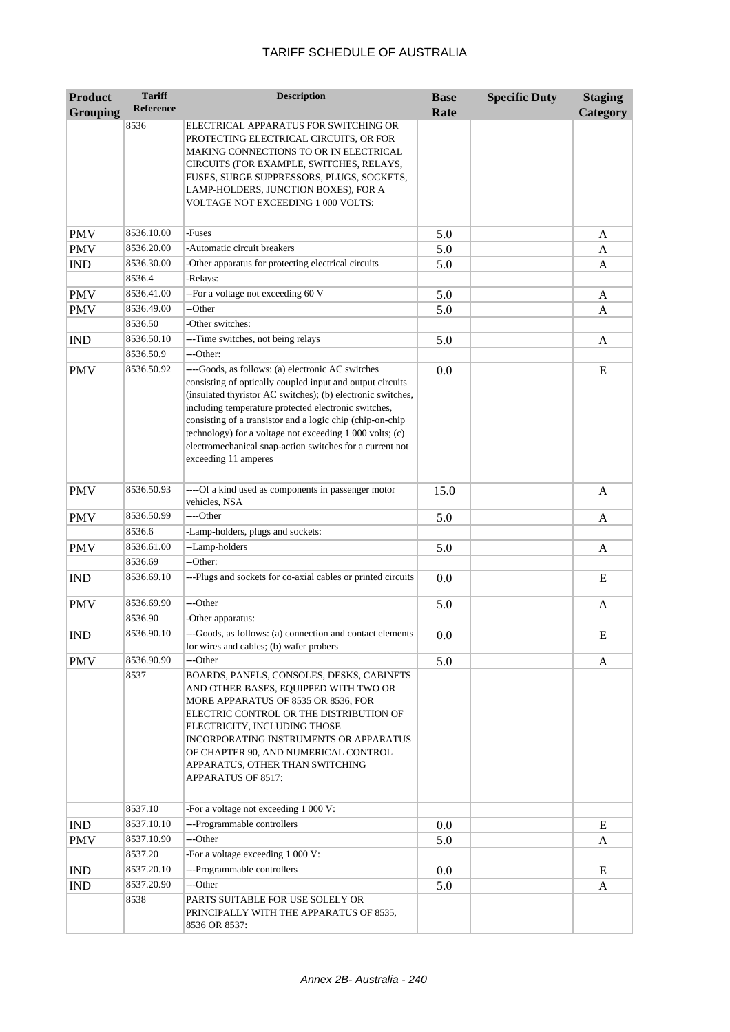| <b>Product</b>          | <b>Tariff</b>      | <b>Description</b>                                                                                                                                                                                                                                                                                                                                                                                                                                 | <b>Base</b> | <b>Specific Duty</b> | <b>Staging</b> |
|-------------------------|--------------------|----------------------------------------------------------------------------------------------------------------------------------------------------------------------------------------------------------------------------------------------------------------------------------------------------------------------------------------------------------------------------------------------------------------------------------------------------|-------------|----------------------|----------------|
| <b>Grouping</b>         | <b>Reference</b>   |                                                                                                                                                                                                                                                                                                                                                                                                                                                    | Rate        |                      | Category       |
|                         | 8536               | ELECTRICAL APPARATUS FOR SWITCHING OR<br>PROTECTING ELECTRICAL CIRCUITS, OR FOR<br>MAKING CONNECTIONS TO OR IN ELECTRICAL<br>CIRCUITS (FOR EXAMPLE, SWITCHES, RELAYS,<br>FUSES, SURGE SUPPRESSORS, PLUGS, SOCKETS,<br>LAMP-HOLDERS, JUNCTION BOXES), FOR A<br>VOLTAGE NOT EXCEEDING 1 000 VOLTS:                                                                                                                                                   |             |                      |                |
| <b>PMV</b>              | 8536.10.00         | -Fuses                                                                                                                                                                                                                                                                                                                                                                                                                                             | 5.0         |                      | A              |
| <b>PMV</b>              | 8536.20.00         | -Automatic circuit breakers                                                                                                                                                                                                                                                                                                                                                                                                                        | 5.0         |                      | A              |
| <b>IND</b>              | 8536.30.00         | -Other apparatus for protecting electrical circuits                                                                                                                                                                                                                                                                                                                                                                                                | 5.0         |                      | A              |
|                         | 8536.4             | -Relays:                                                                                                                                                                                                                                                                                                                                                                                                                                           |             |                      |                |
| <b>PMV</b>              | 8536.41.00         | --For a voltage not exceeding 60 V                                                                                                                                                                                                                                                                                                                                                                                                                 | 5.0         |                      | A              |
| <b>PMV</b>              | 8536.49.00         | --Other                                                                                                                                                                                                                                                                                                                                                                                                                                            | 5.0         |                      | A              |
|                         | 8536.50            | -Other switches:                                                                                                                                                                                                                                                                                                                                                                                                                                   |             |                      |                |
| <b>IND</b>              | 8536.50.10         | ---Time switches, not being relays                                                                                                                                                                                                                                                                                                                                                                                                                 | 5.0         |                      | A              |
|                         | 8536.50.9          | ---Other:                                                                                                                                                                                                                                                                                                                                                                                                                                          |             |                      |                |
| <b>PMV</b>              | 8536.50.92         | ----Goods, as follows: (a) electronic AC switches<br>consisting of optically coupled input and output circuits<br>(insulated thyristor AC switches); (b) electronic switches,<br>including temperature protected electronic switches,<br>consisting of a transistor and a logic chip (chip-on-chip<br>technology) for a voltage not exceeding 1 000 volts; (c)<br>electromechanical snap-action switches for a current not<br>exceeding 11 amperes | 0.0         |                      | E              |
| <b>PMV</b>              | 8536.50.93         | ----Of a kind used as components in passenger motor<br>vehicles, NSA                                                                                                                                                                                                                                                                                                                                                                               | 15.0        |                      | $\mathbf{A}$   |
| <b>PMV</b>              | 8536.50.99         | ----Other                                                                                                                                                                                                                                                                                                                                                                                                                                          | 5.0         |                      | A              |
|                         | 8536.6             | -Lamp-holders, plugs and sockets:                                                                                                                                                                                                                                                                                                                                                                                                                  |             |                      |                |
| <b>PMV</b>              | 8536.61.00         | --Lamp-holders                                                                                                                                                                                                                                                                                                                                                                                                                                     | 5.0         |                      | A              |
|                         | 8536.69            | --Other:                                                                                                                                                                                                                                                                                                                                                                                                                                           |             |                      |                |
| <b>IND</b>              | 8536.69.10         | ---Plugs and sockets for co-axial cables or printed circuits                                                                                                                                                                                                                                                                                                                                                                                       | 0.0         |                      | E              |
| <b>PMV</b>              | 8536.69.90         | ---Other                                                                                                                                                                                                                                                                                                                                                                                                                                           | 5.0         |                      | A              |
|                         | 8536.90            | -Other apparatus:                                                                                                                                                                                                                                                                                                                                                                                                                                  |             |                      |                |
| $\overline{\text{IND}}$ | 8536.90.10         | ---Goods, as follows: (a) connection and contact elements<br>for wires and cables; (b) wafer probers                                                                                                                                                                                                                                                                                                                                               | 0.0         |                      | E              |
| <b>PMV</b>              | 8536.90.90<br>8537 | ---Other<br>BOARDS, PANELS, CONSOLES, DESKS, CABINETS<br>AND OTHER BASES, EQUIPPED WITH TWO OR<br>MORE APPARATUS OF 8535 OR 8536, FOR<br>ELECTRIC CONTROL OR THE DISTRIBUTION OF<br>ELECTRICITY, INCLUDING THOSE<br>INCORPORATING INSTRUMENTS OR APPARATUS<br>OF CHAPTER 90, AND NUMERICAL CONTROL<br>APPARATUS, OTHER THAN SWITCHING<br>APPARATUS OF 8517:                                                                                        | 5.0         |                      | A              |
|                         | 8537.10            | -For a voltage not exceeding 1 000 V:                                                                                                                                                                                                                                                                                                                                                                                                              |             |                      |                |
| <b>IND</b>              | 8537.10.10         | ---Programmable controllers                                                                                                                                                                                                                                                                                                                                                                                                                        | 0.0         |                      | E              |
| <b>PMV</b>              | 8537.10.90         | ---Other                                                                                                                                                                                                                                                                                                                                                                                                                                           | 5.0         |                      | A              |
|                         | 8537.20            | -For a voltage exceeding 1 000 V:                                                                                                                                                                                                                                                                                                                                                                                                                  |             |                      |                |
| <b>IND</b>              | 8537.20.10         | ---Programmable controllers                                                                                                                                                                                                                                                                                                                                                                                                                        | 0.0         |                      | E              |
| <b>IND</b>              | 8537.20.90         | ---Other                                                                                                                                                                                                                                                                                                                                                                                                                                           | 5.0         |                      | A              |
|                         | 8538               | PARTS SUITABLE FOR USE SOLELY OR<br>PRINCIPALLY WITH THE APPARATUS OF 8535,<br>8536 OR 8537:                                                                                                                                                                                                                                                                                                                                                       |             |                      |                |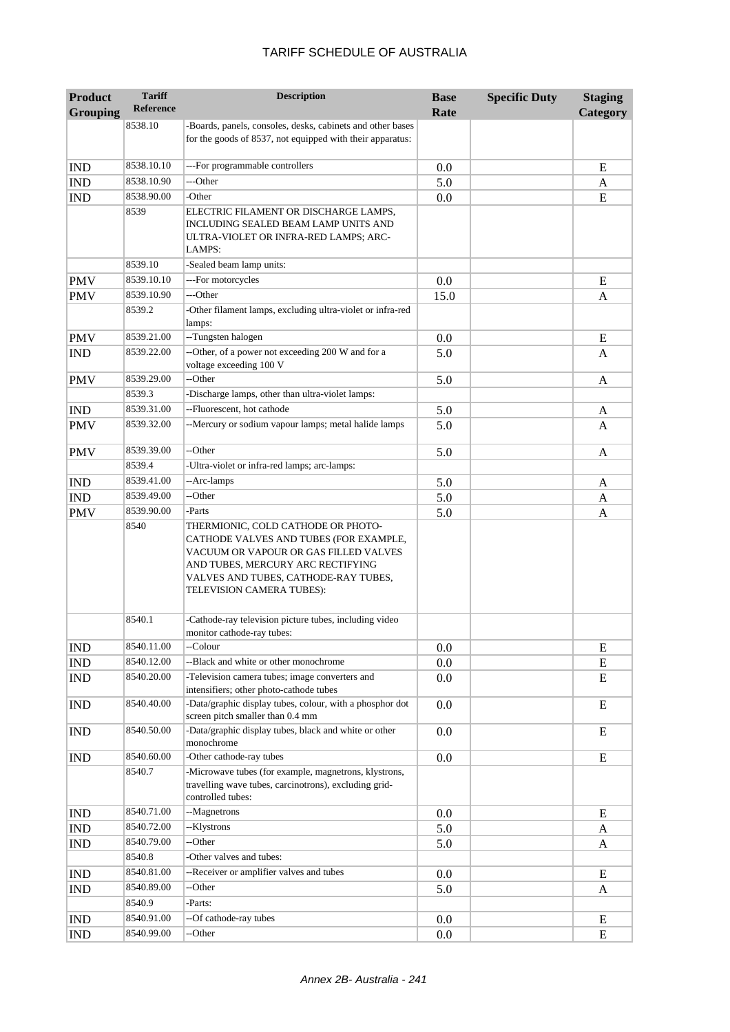| <b>Product</b>  | <b>Tariff</b><br><b>Reference</b> | <b>Description</b>                                                                                                                                                                                                              | <b>Base</b> | <b>Specific Duty</b> | <b>Staging</b> |
|-----------------|-----------------------------------|---------------------------------------------------------------------------------------------------------------------------------------------------------------------------------------------------------------------------------|-------------|----------------------|----------------|
| <b>Grouping</b> |                                   |                                                                                                                                                                                                                                 | Rate        |                      | Category       |
|                 | 8538.10                           | -Boards, panels, consoles, desks, cabinets and other bases<br>for the goods of 8537, not equipped with their apparatus:                                                                                                         |             |                      |                |
| <b>IND</b>      | 8538.10.10                        | ---For programmable controllers                                                                                                                                                                                                 | 0.0         |                      | E              |
| <b>IND</b>      | 8538.10.90                        | ---Other                                                                                                                                                                                                                        | 5.0         |                      | A              |
| <b>IND</b>      | 8538.90.00                        | -Other                                                                                                                                                                                                                          | 0.0         |                      | E              |
|                 | 8539                              | ELECTRIC FILAMENT OR DISCHARGE LAMPS,<br>INCLUDING SEALED BEAM LAMP UNITS AND<br>ULTRA-VIOLET OR INFRA-RED LAMPS; ARC-<br>LAMPS:                                                                                                |             |                      |                |
|                 | 8539.10                           | -Sealed beam lamp units:                                                                                                                                                                                                        |             |                      |                |
| <b>PMV</b>      | 8539.10.10                        | ---For motorcycles                                                                                                                                                                                                              | 0.0         |                      | E              |
| <b>PMV</b>      | 8539.10.90                        | ---Other                                                                                                                                                                                                                        | 15.0        |                      | A              |
|                 | 8539.2                            | -Other filament lamps, excluding ultra-violet or infra-red<br>lamps:                                                                                                                                                            |             |                      |                |
| <b>PMV</b>      | 8539.21.00                        | --Tungsten halogen                                                                                                                                                                                                              | 0.0         |                      | E              |
| <b>IND</b>      | 8539.22.00                        | --Other, of a power not exceeding 200 W and for a<br>voltage exceeding 100 V                                                                                                                                                    | 5.0         |                      | A              |
| <b>PMV</b>      | 8539.29.00                        | --Other                                                                                                                                                                                                                         | 5.0         |                      | A              |
|                 | 8539.3                            | -Discharge lamps, other than ultra-violet lamps:                                                                                                                                                                                |             |                      |                |
| <b>IND</b>      | 8539.31.00                        | --Fluorescent, hot cathode                                                                                                                                                                                                      | 5.0         |                      | A              |
| <b>PMV</b>      | 8539.32.00                        | --Mercury or sodium vapour lamps; metal halide lamps                                                                                                                                                                            | 5.0         |                      | A              |
| <b>PMV</b>      | 8539.39.00                        | --Other                                                                                                                                                                                                                         | 5.0         |                      | A              |
|                 | 8539.4                            | -Ultra-violet or infra-red lamps; arc-lamps:                                                                                                                                                                                    |             |                      |                |
| <b>IND</b>      | 8539.41.00                        | --Arc-lamps                                                                                                                                                                                                                     | 5.0         |                      | A              |
| <b>IND</b>      | 8539.49.00                        | --Other                                                                                                                                                                                                                         | 5.0         |                      | A              |
| <b>PMV</b>      | 8539.90.00                        | -Parts                                                                                                                                                                                                                          | 5.0         |                      | A              |
|                 | 8540                              | THERMIONIC, COLD CATHODE OR PHOTO-<br>CATHODE VALVES AND TUBES (FOR EXAMPLE,<br>VACUUM OR VAPOUR OR GAS FILLED VALVES<br>AND TUBES, MERCURY ARC RECTIFYING<br>VALVES AND TUBES, CATHODE-RAY TUBES,<br>TELEVISION CAMERA TUBES): |             |                      |                |
|                 | 8540.1                            | -Cathode-ray television picture tubes, including video<br>monitor cathode-ray tubes:                                                                                                                                            |             |                      |                |
| <b>IND</b>      | 8540.11.00                        | --Colour                                                                                                                                                                                                                        | 0.0         |                      | E              |
| <b>IND</b>      | 8540.12.00                        | --Black and white or other monochrome                                                                                                                                                                                           | 0.0         |                      | E              |
| <b>IND</b>      | 8540.20.00                        | -Television camera tubes; image converters and<br>intensifiers; other photo-cathode tubes                                                                                                                                       | 0.0         |                      | E              |
| <b>IND</b>      | 8540.40.00                        | -Data/graphic display tubes, colour, with a phosphor dot<br>screen pitch smaller than 0.4 mm                                                                                                                                    | 0.0         |                      | E              |
| <b>IND</b>      | 8540.50.00                        | -Data/graphic display tubes, black and white or other<br>monochrome                                                                                                                                                             | 0.0         |                      | E              |
| <b>IND</b>      | 8540.60.00                        | -Other cathode-ray tubes                                                                                                                                                                                                        | 0.0         |                      | E              |
|                 | 8540.7                            | -Microwave tubes (for example, magnetrons, klystrons,<br>travelling wave tubes, carcinotrons), excluding grid-<br>controlled tubes:                                                                                             |             |                      |                |
| <b>IND</b>      | 8540.71.00                        | --Magnetrons                                                                                                                                                                                                                    | 0.0         |                      | E              |
| <b>IND</b>      | 8540.72.00                        | --Klystrons                                                                                                                                                                                                                     | 5.0         |                      | A              |
| <b>IND</b>      | 8540.79.00                        | --Other                                                                                                                                                                                                                         | 5.0         |                      | A              |
|                 | 8540.8                            | -Other valves and tubes:                                                                                                                                                                                                        |             |                      |                |
| <b>IND</b>      | 8540.81.00                        | --Receiver or amplifier valves and tubes                                                                                                                                                                                        | 0.0         |                      | E              |
| <b>IND</b>      | 8540.89.00                        | --Other                                                                                                                                                                                                                         | 5.0         |                      | A              |
|                 | 8540.9                            | -Parts:                                                                                                                                                                                                                         |             |                      |                |
| $\mathbf{IND}$  | 8540.91.00                        | --Of cathode-ray tubes                                                                                                                                                                                                          | 0.0         |                      | E              |
| <b>IND</b>      | 8540.99.00                        | --Other                                                                                                                                                                                                                         | 0.0         |                      | ${\bf E}$      |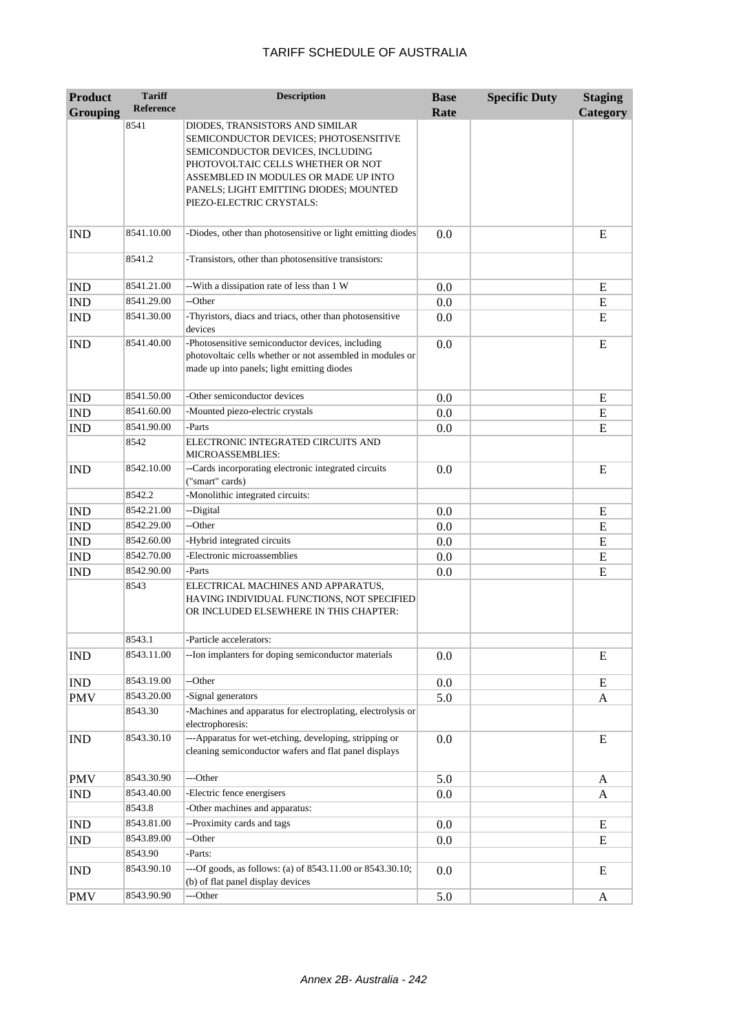| <b>Product</b>              | <b>Tariff</b>    | <b>Description</b>                                                                                                                                                                                                                                              | <b>Base</b> | <b>Specific Duty</b> | <b>Staging</b> |
|-----------------------------|------------------|-----------------------------------------------------------------------------------------------------------------------------------------------------------------------------------------------------------------------------------------------------------------|-------------|----------------------|----------------|
| <b>Grouping</b>             | <b>Reference</b> |                                                                                                                                                                                                                                                                 | Rate        |                      | Category       |
|                             | 8541             | DIODES, TRANSISTORS AND SIMILAR<br>SEMICONDUCTOR DEVICES; PHOTOSENSITIVE<br>SEMICONDUCTOR DEVICES, INCLUDING<br>PHOTOVOLTAIC CELLS WHETHER OR NOT<br>ASSEMBLED IN MODULES OR MADE UP INTO<br>PANELS; LIGHT EMITTING DIODES; MOUNTED<br>PIEZO-ELECTRIC CRYSTALS: |             |                      |                |
| <b>IND</b>                  | 8541.10.00       | -Diodes, other than photosensitive or light emitting diodes                                                                                                                                                                                                     | 0.0         |                      | E              |
|                             | 8541.2           | -Transistors, other than photosensitive transistors:                                                                                                                                                                                                            |             |                      |                |
| <b>IND</b>                  | 8541.21.00       | -- With a dissipation rate of less than 1 W                                                                                                                                                                                                                     | 0.0         |                      | E              |
| <b>IND</b>                  | 8541.29.00       | --Other                                                                                                                                                                                                                                                         | 0.0         |                      | E              |
| <b>IND</b>                  | 8541.30.00       | -Thyristors, diacs and triacs, other than photosensitive<br>devices                                                                                                                                                                                             | 0.0         |                      | E              |
| <b>IND</b>                  | 8541.40.00       | -Photosensitive semiconductor devices, including<br>photovoltaic cells whether or not assembled in modules or<br>made up into panels; light emitting diodes                                                                                                     | 0.0         |                      | E              |
| <b>IND</b>                  | 8541.50.00       | -Other semiconductor devices                                                                                                                                                                                                                                    | 0.0         |                      | E              |
| <b>IND</b>                  | 8541.60.00       | -Mounted piezo-electric crystals                                                                                                                                                                                                                                | 0.0         |                      | ${\bf E}$      |
| <b>IND</b>                  | 8541.90.00       | -Parts                                                                                                                                                                                                                                                          | 0.0         |                      | E              |
|                             | 8542             | ELECTRONIC INTEGRATED CIRCUITS AND<br>MICROASSEMBLIES:                                                                                                                                                                                                          |             |                      |                |
| <b>IND</b>                  | 8542.10.00       | --Cards incorporating electronic integrated circuits<br>("smart" cards)                                                                                                                                                                                         | 0.0         |                      | E              |
|                             | 8542.2           | -Monolithic integrated circuits:                                                                                                                                                                                                                                |             |                      |                |
| <b>IND</b>                  | 8542.21.00       | --Digital                                                                                                                                                                                                                                                       | 0.0         |                      | E              |
| <b>IND</b>                  | 8542.29.00       | --Other                                                                                                                                                                                                                                                         | 0.0         |                      | E              |
| <b>IND</b>                  | 8542.60.00       | -Hybrid integrated circuits                                                                                                                                                                                                                                     | 0.0         |                      | E              |
| <b>IND</b>                  | 8542.70.00       | -Electronic microassemblies                                                                                                                                                                                                                                     | 0.0         |                      | E              |
| <b>IND</b>                  | 8542.90.00       | -Parts                                                                                                                                                                                                                                                          | 0.0         |                      | E              |
|                             | 8543             | ELECTRICAL MACHINES AND APPARATUS,<br>HAVING INDIVIDUAL FUNCTIONS, NOT SPECIFIED<br>OR INCLUDED ELSEWHERE IN THIS CHAPTER:                                                                                                                                      |             |                      |                |
|                             | 8543.1           | -Particle accelerators:                                                                                                                                                                                                                                         |             |                      |                |
| <b>IND</b>                  | 8543.11.00       | -- Ion implanters for doping semiconductor materials                                                                                                                                                                                                            | 0.0         |                      | E              |
| $\mathop{\rm IND}\nolimits$ | 8543.19.00       | --Other                                                                                                                                                                                                                                                         | 0.0         |                      | E              |
| <b>PMV</b>                  | 8543.20.00       | -Signal generators                                                                                                                                                                                                                                              | 5.0         |                      | A              |
|                             | 8543.30          | -Machines and apparatus for electroplating, electrolysis or<br>electrophoresis:                                                                                                                                                                                 |             |                      |                |
| <b>IND</b>                  | 8543.30.10       | ---Apparatus for wet-etching, developing, stripping or<br>cleaning semiconductor wafers and flat panel displays                                                                                                                                                 | 0.0         |                      | E              |
| <b>PMV</b>                  | 8543.30.90       | ---Other                                                                                                                                                                                                                                                        | 5.0         |                      | A              |
| IND                         | 8543.40.00       | -Electric fence energisers                                                                                                                                                                                                                                      | 0.0         |                      | A              |
|                             | 8543.8           | -Other machines and apparatus:                                                                                                                                                                                                                                  |             |                      |                |
| <b>IND</b>                  | 8543.81.00       | --Proximity cards and tags                                                                                                                                                                                                                                      | 0.0         |                      | ${\bf E}$      |
| <b>IND</b>                  | 8543.89.00       | --Other                                                                                                                                                                                                                                                         | 0.0         |                      | E              |
|                             | 8543.90          | -Parts:                                                                                                                                                                                                                                                         |             |                      |                |
| <b>IND</b>                  | 8543.90.10       | ---Of goods, as follows: (a) of 8543.11.00 or 8543.30.10;<br>(b) of flat panel display devices                                                                                                                                                                  | 0.0         |                      | E              |
| <b>PMV</b>                  | 8543.90.90       | ---Other                                                                                                                                                                                                                                                        | 5.0         |                      | A              |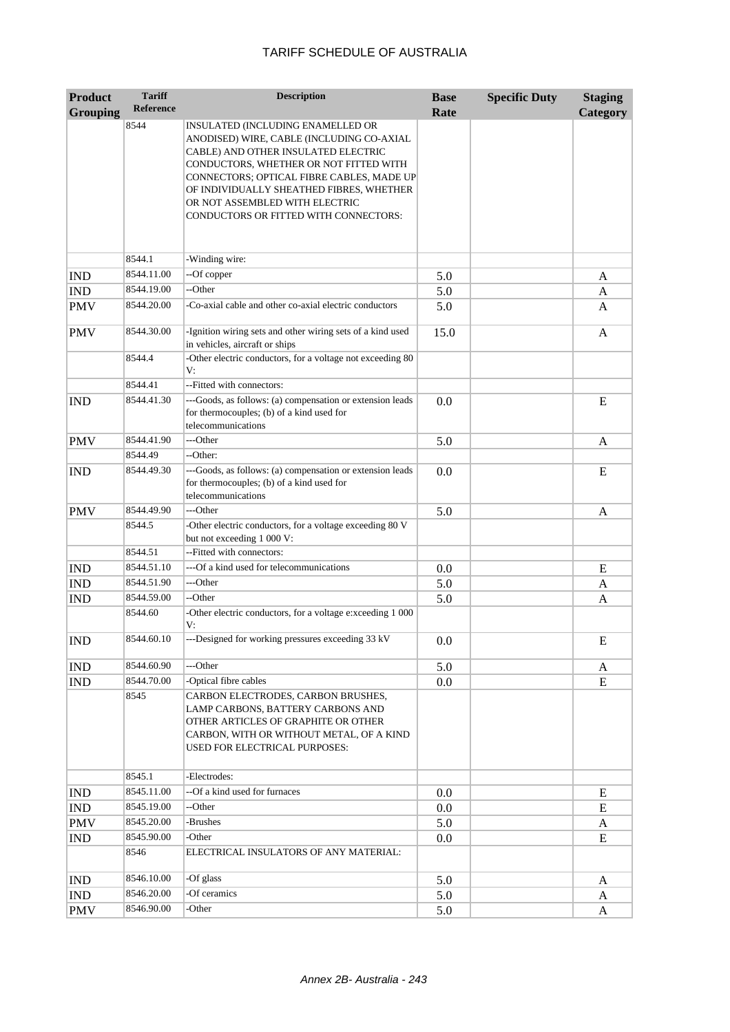| <b>Product</b>  | <b>Tariff</b>      | <b>Description</b>                                                                                                                                                                                                                                                                                                                         | <b>Base</b> | <b>Specific Duty</b> | <b>Staging</b>  |
|-----------------|--------------------|--------------------------------------------------------------------------------------------------------------------------------------------------------------------------------------------------------------------------------------------------------------------------------------------------------------------------------------------|-------------|----------------------|-----------------|
| <b>Grouping</b> | <b>Reference</b>   |                                                                                                                                                                                                                                                                                                                                            | Rate        |                      | <b>Category</b> |
|                 | 8544               | <b>INSULATED (INCLUDING ENAMELLED OR</b><br>ANODISED) WIRE, CABLE (INCLUDING CO-AXIAL<br>CABLE) AND OTHER INSULATED ELECTRIC<br>CONDUCTORS, WHETHER OR NOT FITTED WITH<br>CONNECTORS; OPTICAL FIBRE CABLES, MADE UP<br>OF INDIVIDUALLY SHEATHED FIBRES, WHETHER<br>OR NOT ASSEMBLED WITH ELECTRIC<br>CONDUCTORS OR FITTED WITH CONNECTORS: |             |                      |                 |
|                 | 8544.1             | -Winding wire:                                                                                                                                                                                                                                                                                                                             |             |                      |                 |
| <b>IND</b>      | 8544.11.00         | --Of copper                                                                                                                                                                                                                                                                                                                                | 5.0         |                      | A               |
| <b>IND</b>      | 8544.19.00         | --Other                                                                                                                                                                                                                                                                                                                                    | 5.0         |                      | A               |
| <b>PMV</b>      | 8544.20.00         | -Co-axial cable and other co-axial electric conductors                                                                                                                                                                                                                                                                                     | 5.0         |                      | A               |
| <b>PMV</b>      | 8544.30.00         | -Ignition wiring sets and other wiring sets of a kind used<br>in vehicles, aircraft or ships                                                                                                                                                                                                                                               | 15.0        |                      | A               |
|                 | 8544.4             | -Other electric conductors, for a voltage not exceeding 80<br>V:                                                                                                                                                                                                                                                                           |             |                      |                 |
|                 | 8544.41            | --Fitted with connectors:                                                                                                                                                                                                                                                                                                                  |             |                      |                 |
| <b>IND</b>      | 8544.41.30         | ---Goods, as follows: (a) compensation or extension leads<br>for thermocouples; (b) of a kind used for<br>telecommunications                                                                                                                                                                                                               | 0.0         |                      | E               |
| <b>PMV</b>      | 8544.41.90         | ---Other                                                                                                                                                                                                                                                                                                                                   | 5.0         |                      | A               |
|                 | 8544.49            | --Other:                                                                                                                                                                                                                                                                                                                                   |             |                      |                 |
| <b>IND</b>      | 8544.49.30         | ---Goods, as follows: (a) compensation or extension leads<br>for thermocouples; (b) of a kind used for<br>telecommunications                                                                                                                                                                                                               | 0.0         |                      | E               |
| <b>PMV</b>      | 8544.49.90         | ---Other                                                                                                                                                                                                                                                                                                                                   | 5.0         |                      | A               |
|                 | 8544.5             | -Other electric conductors, for a voltage exceeding 80 V<br>but not exceeding 1 000 V:                                                                                                                                                                                                                                                     |             |                      |                 |
|                 | 8544.51            | --Fitted with connectors:                                                                                                                                                                                                                                                                                                                  |             |                      |                 |
| <b>IND</b>      | 8544.51.10         | ---Of a kind used for telecommunications                                                                                                                                                                                                                                                                                                   | 0.0         |                      | E               |
| <b>IND</b>      | 8544.51.90         | ---Other                                                                                                                                                                                                                                                                                                                                   | 5.0         |                      | A               |
| <b>IND</b>      | 8544.59.00         | --Other                                                                                                                                                                                                                                                                                                                                    | 5.0         |                      | A               |
|                 | 8544.60            | -Other electric conductors, for a voltage e:xceeding 1 000<br>V:                                                                                                                                                                                                                                                                           |             |                      |                 |
| <b>IND</b>      | 8544.60.10         | ---Designed for working pressures exceeding 33 kV                                                                                                                                                                                                                                                                                          | 0.0         |                      | E               |
| <b>IND</b>      | 8544.60.90         | ---Other                                                                                                                                                                                                                                                                                                                                   | 5.0         |                      | A               |
| IND             | 8544.70.00         | -Optical fibre cables                                                                                                                                                                                                                                                                                                                      | 0.0         |                      | E               |
|                 | 8545               | CARBON ELECTRODES, CARBON BRUSHES,<br>LAMP CARBONS, BATTERY CARBONS AND<br>OTHER ARTICLES OF GRAPHITE OR OTHER<br>CARBON, WITH OR WITHOUT METAL, OF A KIND<br>USED FOR ELECTRICAL PURPOSES:                                                                                                                                                |             |                      |                 |
|                 | 8545.1             | -Electrodes:                                                                                                                                                                                                                                                                                                                               |             |                      |                 |
| <b>IND</b>      | 8545.11.00         | --Of a kind used for furnaces                                                                                                                                                                                                                                                                                                              | 0.0         |                      | ${\bf E}$       |
| IND             | 8545.19.00         | --Other                                                                                                                                                                                                                                                                                                                                    | 0.0         |                      | E               |
| <b>PMV</b>      | 8545.20.00         | -Brushes                                                                                                                                                                                                                                                                                                                                   | 5.0         |                      | A               |
| <b>IND</b>      | 8545.90.00<br>8546 | -Other<br>ELECTRICAL INSULATORS OF ANY MATERIAL:                                                                                                                                                                                                                                                                                           | 0.0         |                      | E               |
| <b>IND</b>      | 8546.10.00         | -Of glass                                                                                                                                                                                                                                                                                                                                  | 5.0         |                      | A               |
| IND             | 8546.20.00         | -Of ceramics                                                                                                                                                                                                                                                                                                                               | 5.0         |                      | A               |
| <b>PMV</b>      | 8546.90.00         | -Other                                                                                                                                                                                                                                                                                                                                     | 5.0         |                      | A               |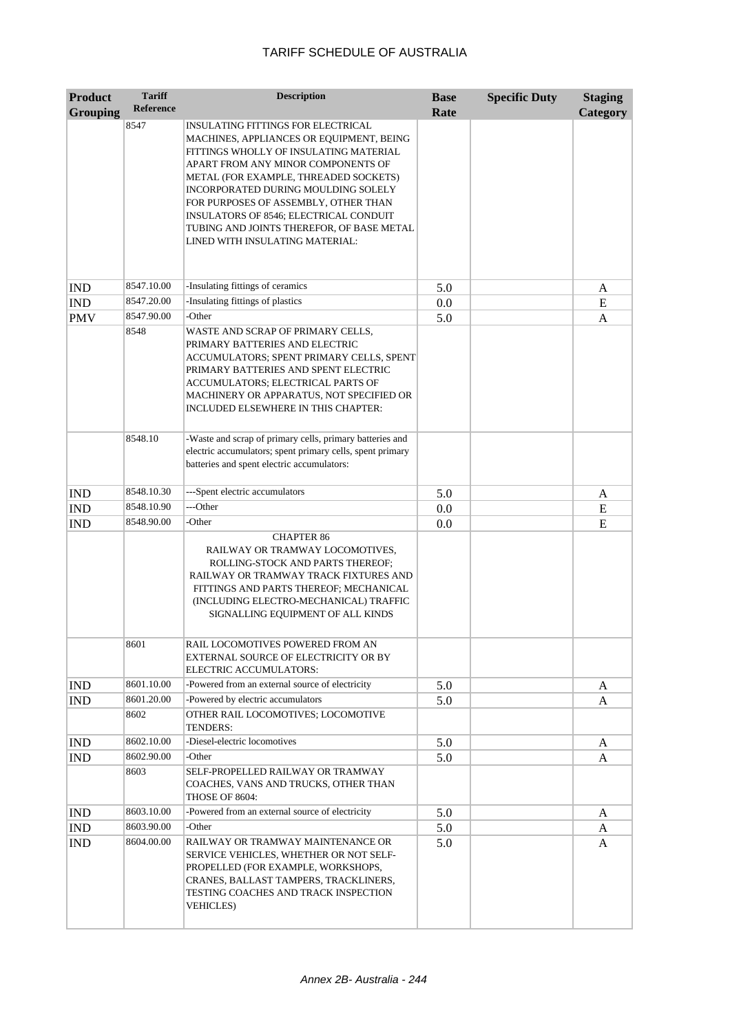| <b>Product</b>  | <b>Tariff</b>    | <b>Description</b>                                                                                                                                                                                                                                                                                                                                                                                               | <b>Base</b> | <b>Specific Duty</b> | <b>Staging</b>  |
|-----------------|------------------|------------------------------------------------------------------------------------------------------------------------------------------------------------------------------------------------------------------------------------------------------------------------------------------------------------------------------------------------------------------------------------------------------------------|-------------|----------------------|-----------------|
| <b>Grouping</b> | <b>Reference</b> |                                                                                                                                                                                                                                                                                                                                                                                                                  | Rate        |                      | <b>Category</b> |
|                 | 8547             | INSULATING FITTINGS FOR ELECTRICAL<br>MACHINES, APPLIANCES OR EQUIPMENT, BEING<br>FITTINGS WHOLLY OF INSULATING MATERIAL<br>APART FROM ANY MINOR COMPONENTS OF<br>METAL (FOR EXAMPLE, THREADED SOCKETS)<br>INCORPORATED DURING MOULDING SOLELY<br>FOR PURPOSES OF ASSEMBLY, OTHER THAN<br>INSULATORS OF 8546; ELECTRICAL CONDUIT<br>TUBING AND JOINTS THEREFOR, OF BASE METAL<br>LINED WITH INSULATING MATERIAL: |             |                      |                 |
| <b>IND</b>      | 8547.10.00       | -Insulating fittings of ceramics                                                                                                                                                                                                                                                                                                                                                                                 | 5.0         |                      | A               |
| <b>IND</b>      | 8547.20.00       | -Insulating fittings of plastics                                                                                                                                                                                                                                                                                                                                                                                 | 0.0         |                      | E               |
| <b>PMV</b>      | 8547.90.00       | -Other                                                                                                                                                                                                                                                                                                                                                                                                           | 5.0         |                      | A               |
|                 | 8548             | WASTE AND SCRAP OF PRIMARY CELLS,<br>PRIMARY BATTERIES AND ELECTRIC<br>ACCUMULATORS; SPENT PRIMARY CELLS, SPENT<br>PRIMARY BATTERIES AND SPENT ELECTRIC<br>ACCUMULATORS; ELECTRICAL PARTS OF<br>MACHINERY OR APPARATUS, NOT SPECIFIED OR<br>INCLUDED ELSEWHERE IN THIS CHAPTER:                                                                                                                                  |             |                      |                 |
|                 | 8548.10          | -Waste and scrap of primary cells, primary batteries and<br>electric accumulators; spent primary cells, spent primary<br>batteries and spent electric accumulators:                                                                                                                                                                                                                                              |             |                      |                 |
| <b>IND</b>      | 8548.10.30       | ---Spent electric accumulators                                                                                                                                                                                                                                                                                                                                                                                   | 5.0         |                      | A               |
| <b>IND</b>      | 8548.10.90       | ---Other                                                                                                                                                                                                                                                                                                                                                                                                         | 0.0         |                      | E               |
| <b>IND</b>      | 8548.90.00       | -Other                                                                                                                                                                                                                                                                                                                                                                                                           | 0.0         |                      | E               |
|                 |                  | <b>CHAPTER 86</b><br>RAILWAY OR TRAMWAY LOCOMOTIVES,<br>ROLLING-STOCK AND PARTS THEREOF;<br>RAILWAY OR TRAMWAY TRACK FIXTURES AND<br>FITTINGS AND PARTS THEREOF; MECHANICAL<br>(INCLUDING ELECTRO-MECHANICAL) TRAFFIC<br>SIGNALLING EQUIPMENT OF ALL KINDS                                                                                                                                                       |             |                      |                 |
|                 | 8601             | RAIL LOCOMOTIVES POWERED FROM AN<br>EXTERNAL SOURCE OF ELECTRICITY OR BY<br>ELECTRIC ACCUMULATORS:                                                                                                                                                                                                                                                                                                               |             |                      |                 |
| <b>IND</b>      | 8601.10.00       | -Powered from an external source of electricity                                                                                                                                                                                                                                                                                                                                                                  | 5.0         |                      | A               |
| <b>IND</b>      | 8601.20.00       | -Powered by electric accumulators                                                                                                                                                                                                                                                                                                                                                                                | 5.0         |                      | A               |
|                 | 8602             | OTHER RAIL LOCOMOTIVES; LOCOMOTIVE<br>TENDERS:                                                                                                                                                                                                                                                                                                                                                                   |             |                      |                 |
| <b>IND</b>      | 8602.10.00       | -Diesel-electric locomotives                                                                                                                                                                                                                                                                                                                                                                                     | 5.0         |                      | A               |
| IND             | 8602.90.00       | -Other                                                                                                                                                                                                                                                                                                                                                                                                           | 5.0         |                      | A               |
|                 | 8603             | SELF-PROPELLED RAILWAY OR TRAMWAY<br>COACHES, VANS AND TRUCKS, OTHER THAN<br>THOSE OF 8604:                                                                                                                                                                                                                                                                                                                      |             |                      |                 |
| <b>IND</b>      | 8603.10.00       | -Powered from an external source of electricity                                                                                                                                                                                                                                                                                                                                                                  | 5.0         |                      | A               |
| <b>IND</b>      | 8603.90.00       | -Other                                                                                                                                                                                                                                                                                                                                                                                                           | 5.0         |                      | A               |
| <b>IND</b>      | 8604.00.00       | RAILWAY OR TRAMWAY MAINTENANCE OR<br>SERVICE VEHICLES, WHETHER OR NOT SELF-<br>PROPELLED (FOR EXAMPLE, WORKSHOPS,<br>CRANES, BALLAST TAMPERS, TRACKLINERS,<br>TESTING COACHES AND TRACK INSPECTION<br><b>VEHICLES</b> )                                                                                                                                                                                          | 5.0         |                      | A               |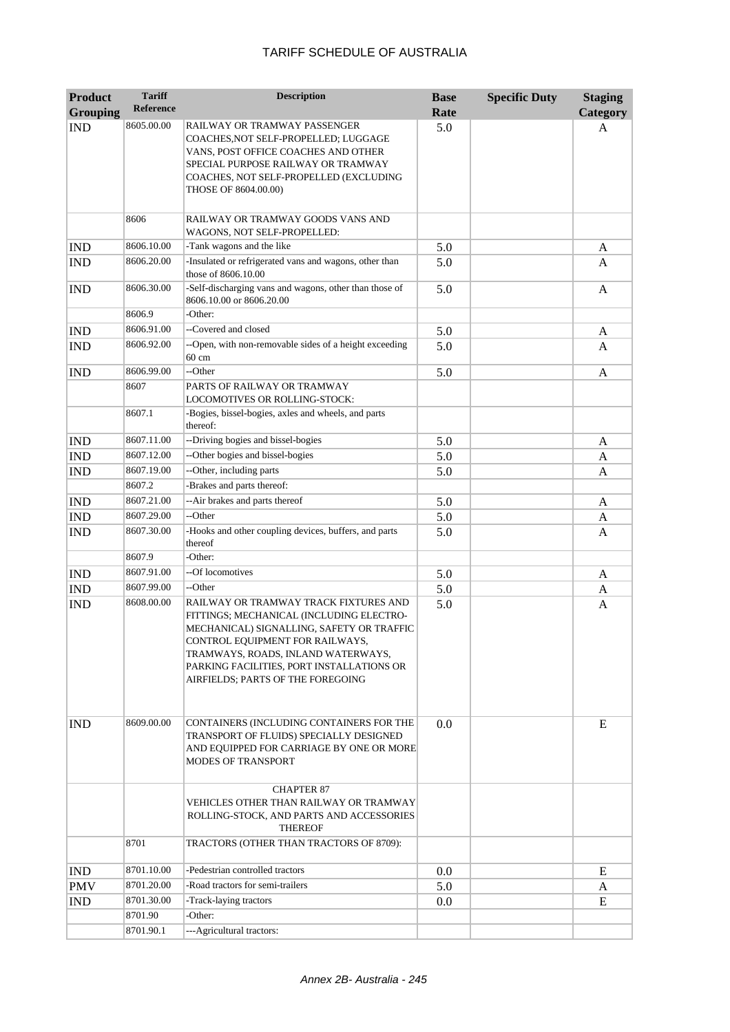| <b>Product</b>  | <b>Tariff</b>        | <b>Description</b>                                                                                                                                                                                                                               | <b>Base</b> | <b>Specific Duty</b> | <b>Staging</b>  |
|-----------------|----------------------|--------------------------------------------------------------------------------------------------------------------------------------------------------------------------------------------------------------------------------------------------|-------------|----------------------|-----------------|
| <b>Grouping</b> | <b>Reference</b>     |                                                                                                                                                                                                                                                  | Rate        |                      | <b>Category</b> |
| <b>IND</b>      | 8605.00.00           | RAILWAY OR TRAMWAY PASSENGER<br>COACHES, NOT SELF-PROPELLED; LUGGAGE<br>VANS, POST OFFICE COACHES AND OTHER<br>SPECIAL PURPOSE RAILWAY OR TRAMWAY<br>COACHES, NOT SELF-PROPELLED (EXCLUDING<br>THOSE OF 8604.00.00)                              | 5.0         |                      | A               |
|                 | 8606                 | RAILWAY OR TRAMWAY GOODS VANS AND<br>WAGONS, NOT SELF-PROPELLED:                                                                                                                                                                                 |             |                      |                 |
| <b>IND</b>      | 8606.10.00           | -Tank wagons and the like                                                                                                                                                                                                                        | 5.0         |                      | A               |
| <b>IND</b>      | 8606.20.00           | -Insulated or refrigerated vans and wagons, other than<br>those of 8606.10.00                                                                                                                                                                    | 5.0         |                      | A               |
| <b>IND</b>      | 8606.30.00           | -Self-discharging vans and wagons, other than those of<br>8606.10.00 or 8606.20.00                                                                                                                                                               | 5.0         |                      | A               |
|                 | 8606.9               | -Other:                                                                                                                                                                                                                                          |             |                      |                 |
| <b>IND</b>      | 8606.91.00           | --Covered and closed                                                                                                                                                                                                                             | 5.0         |                      | A               |
| <b>IND</b>      | 8606.92.00           | --Open, with non-removable sides of a height exceeding<br>60 cm                                                                                                                                                                                  | 5.0         |                      | A               |
| <b>IND</b>      | 8606.99.00           | --Other                                                                                                                                                                                                                                          | 5.0         |                      | A               |
|                 | 8607                 | PARTS OF RAILWAY OR TRAMWAY<br>LOCOMOTIVES OR ROLLING-STOCK:                                                                                                                                                                                     |             |                      |                 |
|                 | 8607.1               | -Bogies, bissel-bogies, axles and wheels, and parts<br>thereof:                                                                                                                                                                                  |             |                      |                 |
| <b>IND</b>      | 8607.11.00           | --Driving bogies and bissel-bogies                                                                                                                                                                                                               | 5.0         |                      | A               |
| <b>IND</b>      | 8607.12.00           | --Other bogies and bissel-bogies                                                                                                                                                                                                                 | 5.0         |                      | A               |
| <b>IND</b>      | 8607.19.00           | --Other, including parts                                                                                                                                                                                                                         | 5.0         |                      | A               |
|                 | 8607.2               | -Brakes and parts thereof:                                                                                                                                                                                                                       |             |                      |                 |
| <b>IND</b>      | 8607.21.00           | --Air brakes and parts thereof                                                                                                                                                                                                                   | 5.0         |                      | A               |
| <b>IND</b>      | 8607.29.00           | --Other                                                                                                                                                                                                                                          | 5.0         |                      | A               |
| <b>IND</b>      | 8607.30.00           | -Hooks and other coupling devices, buffers, and parts<br>thereof                                                                                                                                                                                 | 5.0         |                      | A               |
|                 | 8607.9<br>8607.91.00 | -Other:<br>--Of locomotives                                                                                                                                                                                                                      |             |                      |                 |
| <b>IND</b>      | 8607.99.00           | --Other                                                                                                                                                                                                                                          | 5.0         |                      | A               |
| <b>IND</b>      | 8608.00.00           | RAILWAY OR TRAMWAY TRACK FIXTURES AND                                                                                                                                                                                                            | 5.0<br>5.0  |                      | A               |
| <b>IND</b>      |                      | FITTINGS; MECHANICAL (INCLUDING ELECTRO-<br>MECHANICAL) SIGNALLING, SAFETY OR TRAFFIC<br>CONTROL EQUIPMENT FOR RAILWAYS,<br>TRAMWAYS, ROADS, INLAND WATERWAYS,<br>PARKING FACILITIES, PORT INSTALLATIONS OR<br>AIRFIELDS; PARTS OF THE FOREGOING |             |                      | A               |
| <b>IND</b>      | 8609.00.00           | CONTAINERS (INCLUDING CONTAINERS FOR THE<br>TRANSPORT OF FLUIDS) SPECIALLY DESIGNED<br>AND EQUIPPED FOR CARRIAGE BY ONE OR MORE<br><b>MODES OF TRANSPORT</b>                                                                                     | 0.0         |                      | E               |
|                 |                      | <b>CHAPTER 87</b><br>VEHICLES OTHER THAN RAILWAY OR TRAMWAY<br>ROLLING-STOCK, AND PARTS AND ACCESSORIES<br><b>THEREOF</b>                                                                                                                        |             |                      |                 |
|                 | 8701                 | TRACTORS (OTHER THAN TRACTORS OF 8709):                                                                                                                                                                                                          |             |                      |                 |
| <b>IND</b>      | 8701.10.00           | -Pedestrian controlled tractors                                                                                                                                                                                                                  | 0.0         |                      | E               |
| <b>PMV</b>      | 8701.20.00           | -Road tractors for semi-trailers                                                                                                                                                                                                                 | 5.0         |                      | A               |
| <b>IND</b>      | 8701.30.00           | -Track-laying tractors                                                                                                                                                                                                                           | 0.0         |                      | E               |
|                 | 8701.90              | -Other:                                                                                                                                                                                                                                          |             |                      |                 |
|                 | 8701.90.1            | --- Agricultural tractors:                                                                                                                                                                                                                       |             |                      |                 |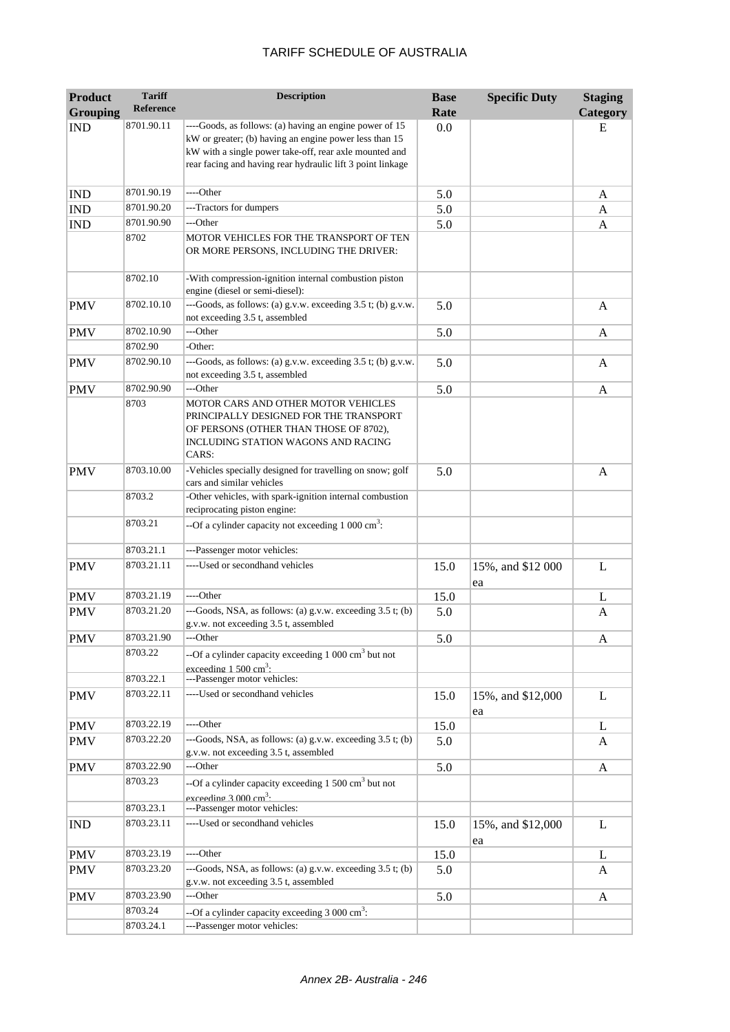| <b>Product</b><br><b>Grouping</b> | <b>Tariff</b><br>Reference | <b>Description</b>                                                                                                                                                             | <b>Base</b><br>Rate | <b>Specific Duty</b>    | <b>Staging</b><br>Category |
|-----------------------------------|----------------------------|--------------------------------------------------------------------------------------------------------------------------------------------------------------------------------|---------------------|-------------------------|----------------------------|
|                                   | 8701.90.11                 | ----Goods, as follows: (a) having an engine power of 15                                                                                                                        | 0.0                 |                         | Е                          |
| <b>IND</b>                        |                            | kW or greater; (b) having an engine power less than 15<br>kW with a single power take-off, rear axle mounted and<br>rear facing and having rear hydraulic lift 3 point linkage |                     |                         |                            |
|                                   |                            |                                                                                                                                                                                |                     |                         |                            |
| <b>IND</b>                        | 8701.90.19                 | ----Other                                                                                                                                                                      | 5.0                 |                         | A                          |
| <b>IND</b>                        | 8701.90.20                 | ---Tractors for dumpers                                                                                                                                                        | 5.0                 |                         | A                          |
| <b>IND</b>                        | 8701.90.90                 | ---Other                                                                                                                                                                       | 5.0                 |                         | A                          |
|                                   | 8702                       | MOTOR VEHICLES FOR THE TRANSPORT OF TEN<br>OR MORE PERSONS, INCLUDING THE DRIVER:                                                                                              |                     |                         |                            |
|                                   | 8702.10                    | -With compression-ignition internal combustion piston<br>engine (diesel or semi-diesel):                                                                                       |                     |                         |                            |
| <b>PMV</b>                        | 8702.10.10                 | ---Goods, as follows: (a) g.v.w. exceeding 3.5 t; (b) g.v.w.<br>not exceeding 3.5 t, assembled                                                                                 | 5.0                 |                         | A                          |
| <b>PMV</b>                        | 8702.10.90                 | ---Other                                                                                                                                                                       | 5.0                 |                         | A                          |
|                                   | 8702.90                    | -Other:                                                                                                                                                                        |                     |                         |                            |
| <b>PMV</b>                        | 8702.90.10                 | ---Goods, as follows: (a) g.v.w. exceeding 3.5 t; (b) g.v.w.<br>not exceeding 3.5 t, assembled                                                                                 | 5.0                 |                         | A                          |
| <b>PMV</b>                        | 8702.90.90                 | ---Other                                                                                                                                                                       | 5.0                 |                         | A                          |
|                                   | 8703                       | MOTOR CARS AND OTHER MOTOR VEHICLES<br>PRINCIPALLY DESIGNED FOR THE TRANSPORT<br>OF PERSONS (OTHER THAN THOSE OF 8702),<br>INCLUDING STATION WAGONS AND RACING<br>CARS:        |                     |                         |                            |
| <b>PMV</b>                        | 8703.10.00                 | -Vehicles specially designed for travelling on snow; golf<br>cars and similar vehicles                                                                                         | 5.0                 |                         | A                          |
|                                   | 8703.2                     | -Other vehicles, with spark-ignition internal combustion<br>reciprocating piston engine:                                                                                       |                     |                         |                            |
|                                   | 8703.21                    | --Of a cylinder capacity not exceeding $1000 \text{ cm}^3$ :                                                                                                                   |                     |                         |                            |
|                                   | 8703.21.1                  | ---Passenger motor vehicles:                                                                                                                                                   |                     |                         |                            |
| <b>PMV</b>                        | 8703.21.11                 | ----Used or secondhand vehicles                                                                                                                                                | 15.0                | 15%, and \$12 000<br>ea | L                          |
| <b>PMV</b>                        | 8703.21.19                 | ----Other                                                                                                                                                                      | 15.0                |                         | L                          |
| <b>PMV</b>                        | 8703.21.20                 | $--$ Goods, NSA, as follows: (a) g.v.w. exceeding $3.5$ t; (b)<br>g.v.w. not exceeding 3.5 t, assembled                                                                        | 5.0                 |                         | A                          |
| <b>PMV</b>                        | 8703.21.90                 | ---Other                                                                                                                                                                       | 5.0                 |                         | A                          |
|                                   | 8703.22                    | --Of a cylinder capacity exceeding 1 000 cm <sup>3</sup> but not<br>exceeding 1.500 cm <sup>3</sup> .                                                                          |                     |                         |                            |
|                                   | 8703.22.1                  | ---Passenger motor vehicles:                                                                                                                                                   |                     |                         |                            |
| <b>PMV</b>                        | 8703.22.11                 | ----Used or secondhand vehicles                                                                                                                                                | 15.0                | 15%, and \$12,000<br>ea | L                          |
| <b>PMV</b>                        | 8703.22.19                 | ----Other                                                                                                                                                                      | 15.0                |                         | L                          |
| <b>PMV</b>                        | 8703.22.20                 | ---Goods, NSA, as follows: (a) g.v.w. exceeding 3.5 t; (b)<br>g.v.w. not exceeding 3.5 t, assembled                                                                            | 5.0                 |                         | A                          |
| <b>PMV</b>                        | 8703.22.90                 | ---Other                                                                                                                                                                       | 5.0                 |                         | A                          |
|                                   | 8703.23                    | --Of a cylinder capacity exceeding 1 500 cm <sup>3</sup> but not<br>exceeding 3 000 cm <sup>3</sup>                                                                            |                     |                         |                            |
|                                   | 8703.23.1                  | ---Passenger motor vehicles:                                                                                                                                                   |                     |                         |                            |
| <b>IND</b>                        | 8703.23.11                 | ----Used or secondhand vehicles                                                                                                                                                | 15.0                | 15%, and \$12,000<br>ea | L                          |
| <b>PMV</b>                        | 8703.23.19                 | ----Other                                                                                                                                                                      | 15.0                |                         | L                          |
| <b>PMV</b>                        | 8703.23.20                 | ---Goods, NSA, as follows: (a) g.v.w. exceeding 3.5 t; (b)<br>g.v.w. not exceeding 3.5 t, assembled                                                                            | 5.0                 |                         | A                          |
| <b>PMV</b>                        | 8703.23.90                 | ---Other                                                                                                                                                                       | 5.0                 |                         | A                          |
|                                   | 8703.24                    | --Of a cylinder capacity exceeding $3000 \text{ cm}^3$ :                                                                                                                       |                     |                         |                            |
|                                   | 8703.24.1                  | ---Passenger motor vehicles:                                                                                                                                                   |                     |                         |                            |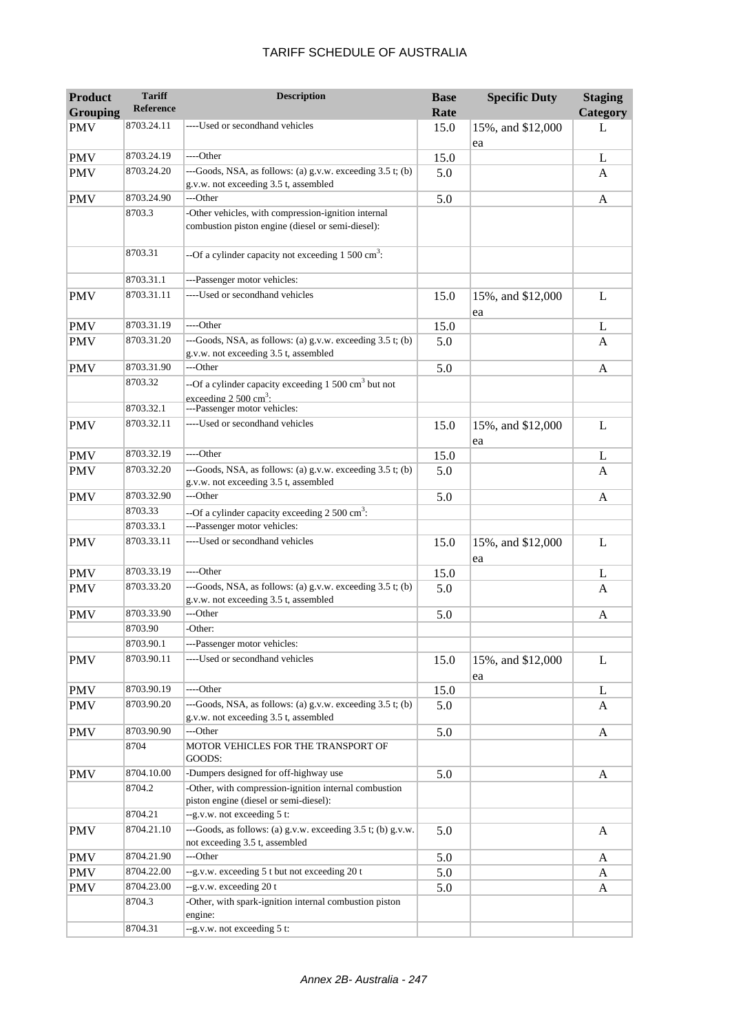| <b>Product</b><br><b>Grouping</b> | <b>Tariff</b><br>Reference | <b>Description</b>                                                                                       | <b>Base</b><br>Rate | <b>Specific Duty</b>    | <b>Staging</b><br>Category |
|-----------------------------------|----------------------------|----------------------------------------------------------------------------------------------------------|---------------------|-------------------------|----------------------------|
| <b>PMV</b>                        | 8703.24.11                 | ----Used or secondhand vehicles                                                                          | 15.0                | 15%, and \$12,000       | L                          |
| <b>PMV</b>                        | 8703.24.19                 | ----Other                                                                                                | 15.0                | ea                      | L                          |
| <b>PMV</b>                        | 8703.24.20                 | ---Goods, NSA, as follows: (a) g.v.w. exceeding 3.5 t; (b)<br>g.v.w. not exceeding 3.5 t, assembled      | 5.0                 |                         | A                          |
| <b>PMV</b>                        | 8703.24.90                 | ---Other                                                                                                 | 5.0                 |                         | A                          |
|                                   | 8703.3                     | -Other vehicles, with compression-ignition internal<br>combustion piston engine (diesel or semi-diesel): |                     |                         |                            |
|                                   | 8703.31                    | --Of a cylinder capacity not exceeding $1500 \text{ cm}^3$ :                                             |                     |                         |                            |
|                                   | 8703.31.1                  | ---Passenger motor vehicles:                                                                             |                     |                         |                            |
| <b>PMV</b>                        | 8703.31.11                 | ----Used or secondhand vehicles                                                                          | 15.0                | 15%, and \$12,000<br>ea | L                          |
| <b>PMV</b>                        | 8703.31.19                 | ----Other                                                                                                | 15.0                |                         | L                          |
| <b>PMV</b>                        | 8703.31.20                 | ---Goods, NSA, as follows: (a) g.v.w. exceeding 3.5 t; (b)<br>g.v.w. not exceeding 3.5 t, assembled      | 5.0                 |                         | A                          |
| <b>PMV</b>                        | 8703.31.90                 | ---Other                                                                                                 | 5.0                 |                         | A                          |
|                                   | 8703.32                    | --Of a cylinder capacity exceeding 1 500 cm <sup>3</sup> but not<br>exceeding $2.500 \text{ cm}^3$ .     |                     |                         |                            |
|                                   | 8703.32.1                  | ---Passenger motor vehicles:                                                                             |                     |                         |                            |
| <b>PMV</b>                        | 8703.32.11                 | ----Used or secondhand vehicles                                                                          | 15.0                | 15%, and \$12,000<br>ea | L                          |
| <b>PMV</b>                        | 8703.32.19                 | ----Other                                                                                                | 15.0                |                         | L                          |
| <b>PMV</b>                        | 8703.32.20                 | ---Goods, NSA, as follows: (a) g.v.w. exceeding 3.5 t; (b)<br>g.v.w. not exceeding 3.5 t, assembled      | 5.0                 |                         | A                          |
| <b>PMV</b>                        | 8703.32.90                 | ---Other                                                                                                 | 5.0                 |                         | A                          |
|                                   | 8703.33                    | --Of a cylinder capacity exceeding $2500 \text{ cm}^3$ :                                                 |                     |                         |                            |
|                                   | 8703.33.1                  | ---Passenger motor vehicles:                                                                             |                     |                         |                            |
| <b>PMV</b>                        | 8703.33.11                 | ----Used or secondhand vehicles                                                                          | 15.0                | 15%, and \$12,000<br>ea | L                          |
| <b>PMV</b>                        | 8703.33.19                 | ----Other                                                                                                | 15.0                |                         | L                          |
| <b>PMV</b>                        | 8703.33.20                 | ---Goods, NSA, as follows: (a) g.v.w. exceeding 3.5 t; (b)<br>g.v.w. not exceeding 3.5 t, assembled      | 5.0                 |                         | A                          |
| <b>PMV</b>                        | 8703.33.90                 | ---Other                                                                                                 | 5.0                 |                         | A                          |
|                                   | 8703.90                    | -Other:                                                                                                  |                     |                         |                            |
|                                   | 8703.90.1                  | ---Passenger motor vehicles:                                                                             |                     |                         |                            |
| <b>PMV</b>                        | 8703.90.11                 | ----Used or secondhand vehicles                                                                          | 15.0                | 15%, and \$12,000<br>ea | L                          |
| <b>PMV</b>                        | 8703.90.19                 | ----Other                                                                                                | 15.0                |                         | L                          |
| <b>PMV</b>                        | 8703.90.20                 | ---Goods, NSA, as follows: (a) g.v.w. exceeding 3.5 t; (b)<br>g.v.w. not exceeding 3.5 t, assembled      | 5.0                 |                         | A                          |
| <b>PMV</b>                        | 8703.90.90                 | ---Other                                                                                                 | 5.0                 |                         | A                          |
|                                   | 8704                       | MOTOR VEHICLES FOR THE TRANSPORT OF<br>GOODS:                                                            |                     |                         |                            |
| <b>PMV</b>                        | 8704.10.00                 | -Dumpers designed for off-highway use                                                                    | 5.0                 |                         | A                          |
|                                   | 8704.2                     | -Other, with compression-ignition internal combustion<br>piston engine (diesel or semi-diesel):          |                     |                         |                            |
|                                   | 8704.21                    | --g.v.w. not exceeding 5 t:                                                                              |                     |                         |                            |
| <b>PMV</b>                        | 8704.21.10                 | ---Goods, as follows: (a) g.v.w. exceeding 3.5 t; (b) g.v.w.<br>not exceeding 3.5 t, assembled           | 5.0                 |                         | A                          |
| <b>PMV</b>                        | 8704.21.90                 | ---Other                                                                                                 | 5.0                 |                         | A                          |
| <b>PMV</b>                        | 8704.22.00                 | --g.v.w. exceeding 5 t but not exceeding 20 t                                                            | 5.0                 |                         | A                          |
| <b>PMV</b>                        | 8704.23.00<br>8704.3       | --g.v.w. exceeding 20 t<br>-Other, with spark-ignition internal combustion piston                        | 5.0                 |                         | A                          |
|                                   | 8704.31                    | engine:<br>--g.v.w. not exceeding 5 t:                                                                   |                     |                         |                            |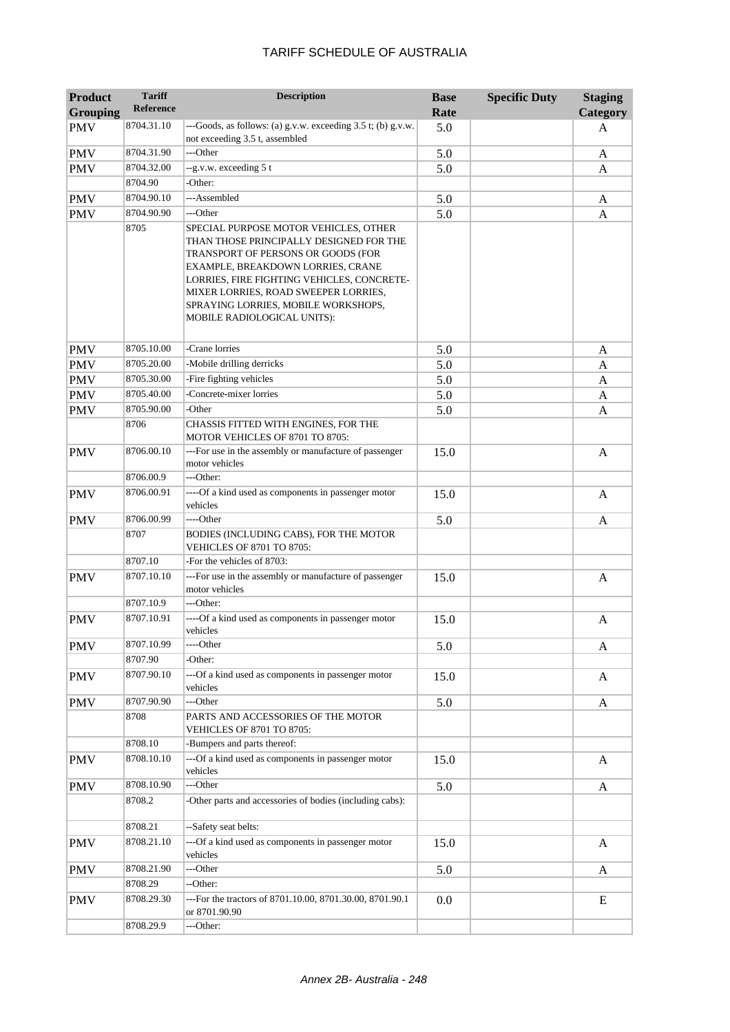| <b>Product</b><br><b>Grouping</b> | <b>Tariff</b><br><b>Reference</b> | <b>Description</b>                                                                                                                                                                                                                                                                                                      | <b>Base</b><br>Rate | <b>Specific Duty</b> | <b>Staging</b><br>Category |
|-----------------------------------|-----------------------------------|-------------------------------------------------------------------------------------------------------------------------------------------------------------------------------------------------------------------------------------------------------------------------------------------------------------------------|---------------------|----------------------|----------------------------|
| <b>PMV</b>                        | 8704.31.10                        | ---Goods, as follows: (a) g.v.w. exceeding 3.5 t; (b) g.v.w.<br>not exceeding 3.5 t, assembled                                                                                                                                                                                                                          | 5.0                 |                      | A                          |
| <b>PMV</b>                        | 8704.31.90                        | ---Other                                                                                                                                                                                                                                                                                                                | 5.0                 |                      | A                          |
| <b>PMV</b>                        | 8704.32.00                        | --g.v.w. exceeding 5 t                                                                                                                                                                                                                                                                                                  | 5.0                 |                      | A                          |
|                                   | 8704.90                           | -Other:                                                                                                                                                                                                                                                                                                                 |                     |                      |                            |
| <b>PMV</b>                        | 8704.90.10                        | ---Assembled                                                                                                                                                                                                                                                                                                            | 5.0                 |                      | A                          |
| <b>PMV</b>                        | 8704.90.90                        | ---Other                                                                                                                                                                                                                                                                                                                | 5.0                 |                      | A                          |
|                                   | 8705                              | SPECIAL PURPOSE MOTOR VEHICLES, OTHER<br>THAN THOSE PRINCIPALLY DESIGNED FOR THE<br>TRANSPORT OF PERSONS OR GOODS (FOR<br>EXAMPLE, BREAKDOWN LORRIES, CRANE<br>LORRIES, FIRE FIGHTING VEHICLES, CONCRETE-<br>MIXER LORRIES, ROAD SWEEPER LORRIES,<br>SPRAYING LORRIES, MOBILE WORKSHOPS,<br>MOBILE RADIOLOGICAL UNITS): |                     |                      |                            |
| <b>PMV</b>                        | 8705.10.00                        | -Crane lorries                                                                                                                                                                                                                                                                                                          | 5.0                 |                      | A                          |
| <b>PMV</b>                        | 8705.20.00                        | -Mobile drilling derricks                                                                                                                                                                                                                                                                                               | 5.0                 |                      | A                          |
| <b>PMV</b>                        | 8705.30.00                        | -Fire fighting vehicles                                                                                                                                                                                                                                                                                                 | 5.0                 |                      | A                          |
| <b>PMV</b>                        | 8705.40.00                        | -Concrete-mixer lorries                                                                                                                                                                                                                                                                                                 | 5.0                 |                      | A                          |
| <b>PMV</b>                        | 8705.90.00<br>8706                | -Other<br>CHASSIS FITTED WITH ENGINES, FOR THE<br>MOTOR VEHICLES OF 8701 TO 8705:                                                                                                                                                                                                                                       | 5.0                 |                      | A                          |
| <b>PMV</b>                        | 8706.00.10                        | ---For use in the assembly or manufacture of passenger<br>motor vehicles                                                                                                                                                                                                                                                | 15.0                |                      | A                          |
|                                   | 8706.00.9                         | ---Other:                                                                                                                                                                                                                                                                                                               |                     |                      |                            |
| <b>PMV</b>                        | 8706.00.91                        | ----Of a kind used as components in passenger motor<br>vehicles                                                                                                                                                                                                                                                         | 15.0                |                      | $\mathbf{A}$               |
| <b>PMV</b>                        | 8706.00.99                        | ----Other                                                                                                                                                                                                                                                                                                               | 5.0                 |                      | $\mathbf{A}$               |
|                                   | 8707                              | BODIES (INCLUDING CABS), FOR THE MOTOR<br><b>VEHICLES OF 8701 TO 8705:</b>                                                                                                                                                                                                                                              |                     |                      |                            |
|                                   | 8707.10                           | -For the vehicles of 8703:                                                                                                                                                                                                                                                                                              |                     |                      |                            |
| <b>PMV</b>                        | 8707.10.10                        | ---For use in the assembly or manufacture of passenger<br>motor vehicles                                                                                                                                                                                                                                                | 15.0                |                      | $\mathbf{A}$               |
|                                   | 8707.10.9                         | ---Other:                                                                                                                                                                                                                                                                                                               |                     |                      |                            |
| <b>PMV</b>                        | 8707.10.91                        | ----Of a kind used as components in passenger motor<br>vehicles                                                                                                                                                                                                                                                         | 15.0                |                      | A                          |
| <b>PMV</b>                        | 8707.10.99                        | ----Other                                                                                                                                                                                                                                                                                                               | 5.0                 |                      | A                          |
|                                   | 8707.90                           | -Other:                                                                                                                                                                                                                                                                                                                 |                     |                      |                            |
| <b>PMV</b>                        | 8707.90.10                        | ---Of a kind used as components in passenger motor<br>vehicles                                                                                                                                                                                                                                                          | 15.0                |                      | A                          |
| <b>PMV</b>                        | 8707.90.90                        | ---Other                                                                                                                                                                                                                                                                                                                | 5.0                 |                      | A                          |
|                                   | 8708                              | PARTS AND ACCESSORIES OF THE MOTOR<br>VEHICLES OF 8701 TO 8705:                                                                                                                                                                                                                                                         |                     |                      |                            |
|                                   | 8708.10                           | -Bumpers and parts thereof:                                                                                                                                                                                                                                                                                             |                     |                      |                            |
| <b>PMV</b>                        | 8708.10.10                        | ---Of a kind used as components in passenger motor<br>vehicles                                                                                                                                                                                                                                                          | 15.0                |                      | A                          |
| <b>PMV</b>                        | 8708.10.90                        | ---Other                                                                                                                                                                                                                                                                                                                | 5.0                 |                      | A                          |
|                                   | 8708.2                            | -Other parts and accessories of bodies (including cabs):                                                                                                                                                                                                                                                                |                     |                      |                            |
|                                   | 8708.21                           | --Safety seat belts:                                                                                                                                                                                                                                                                                                    |                     |                      |                            |
| <b>PMV</b>                        | 8708.21.10                        | ---Of a kind used as components in passenger motor<br>vehicles                                                                                                                                                                                                                                                          | 15.0                |                      | A                          |
| <b>PMV</b>                        | 8708.21.90                        | ---Other                                                                                                                                                                                                                                                                                                                | 5.0                 |                      | A                          |
|                                   | 8708.29                           | --Other:                                                                                                                                                                                                                                                                                                                |                     |                      |                            |
| <b>PMV</b>                        | 8708.29.30                        | ---For the tractors of 8701.10.00, 8701.30.00, 8701.90.1<br>or 8701.90.90                                                                                                                                                                                                                                               | 0.0                 |                      | E                          |
|                                   | 8708.29.9                         | ---Other:                                                                                                                                                                                                                                                                                                               |                     |                      |                            |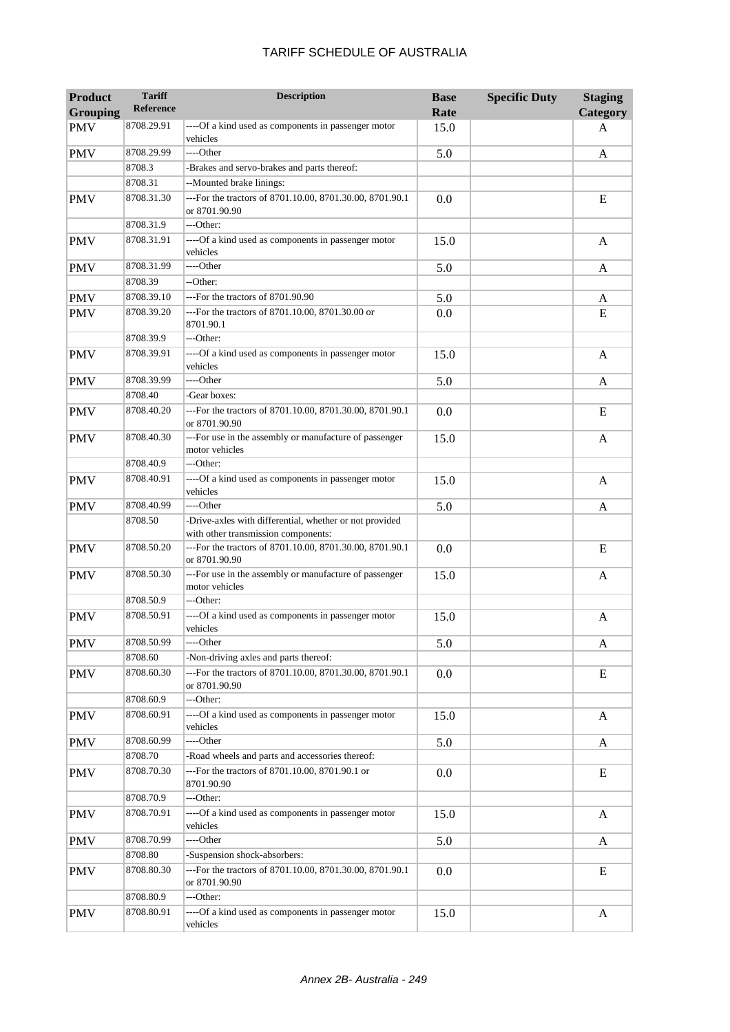| <b>Product</b><br><b>Grouping</b> | <b>Tariff</b><br><b>Reference</b> | <b>Description</b>                                                                             | <b>Base</b><br>Rate | <b>Specific Duty</b> | <b>Staging</b><br>Category |
|-----------------------------------|-----------------------------------|------------------------------------------------------------------------------------------------|---------------------|----------------------|----------------------------|
| <b>PMV</b>                        | 8708.29.91                        | ----Of a kind used as components in passenger motor<br>vehicles                                | 15.0                |                      | A                          |
| <b>PMV</b>                        | 8708.29.99                        | ----Other                                                                                      | 5.0                 |                      | A                          |
|                                   | 8708.3                            | -Brakes and servo-brakes and parts thereof:                                                    |                     |                      |                            |
|                                   | 8708.31                           | --Mounted brake linings:                                                                       |                     |                      |                            |
| <b>PMV</b>                        | 8708.31.30                        | ---For the tractors of 8701.10.00, 8701.30.00, 8701.90.1<br>or 8701.90.90                      | 0.0                 |                      | E                          |
|                                   | 8708.31.9                         | ---Other:                                                                                      |                     |                      |                            |
| <b>PMV</b>                        | 8708.31.91                        | ----Of a kind used as components in passenger motor<br>vehicles                                | 15.0                |                      | $\mathbf{A}$               |
| <b>PMV</b>                        | 8708.31.99                        | ----Other                                                                                      | 5.0                 |                      | A                          |
|                                   | 8708.39                           | --Other:                                                                                       |                     |                      |                            |
| <b>PMV</b>                        | 8708.39.10                        | ---For the tractors of 8701.90.90                                                              | 5.0                 |                      | A                          |
| <b>PMV</b>                        | 8708.39.20                        | ---For the tractors of 8701.10.00, 8701.30.00 or<br>8701.90.1                                  | 0.0                 |                      | E                          |
|                                   | 8708.39.9                         | ---Other:                                                                                      |                     |                      |                            |
| <b>PMV</b>                        | 8708.39.91                        | ----Of a kind used as components in passenger motor<br>vehicles                                | 15.0                |                      | A                          |
| <b>PMV</b>                        | 8708.39.99                        | ----Other                                                                                      | 5.0                 |                      | A                          |
|                                   | 8708.40                           | -Gear boxes:                                                                                   |                     |                      |                            |
| <b>PMV</b>                        | 8708.40.20                        | ---For the tractors of 8701.10.00, 8701.30.00, 8701.90.1<br>or 8701.90.90                      | 0.0                 |                      | E                          |
| <b>PMV</b>                        | 8708.40.30                        | ---For use in the assembly or manufacture of passenger<br>motor vehicles                       | 15.0                |                      | A                          |
|                                   | 8708.40.9                         | ---Other:                                                                                      |                     |                      |                            |
| <b>PMV</b>                        | 8708.40.91                        | ----Of a kind used as components in passenger motor<br>vehicles                                | 15.0                |                      | A                          |
| <b>PMV</b>                        | 8708.40.99                        | ----Other                                                                                      | 5.0                 |                      | A                          |
|                                   | 8708.50                           | -Drive-axles with differential, whether or not provided<br>with other transmission components: |                     |                      |                            |
| <b>PMV</b>                        | 8708.50.20                        | ---For the tractors of 8701.10.00, 8701.30.00, 8701.90.1<br>or 8701.90.90                      | 0.0                 |                      | E                          |
| <b>PMV</b>                        | 8708.50.30                        | ---For use in the assembly or manufacture of passenger<br>motor vehicles                       | 15.0                |                      | A                          |
|                                   | 8708.50.9                         | ---Other:                                                                                      |                     |                      |                            |
| <b>PMV</b>                        | 8708.50.91                        | ----Of a kind used as components in passenger motor<br>vehicles                                | 15.0                |                      | A                          |
| <b>PMV</b>                        | 8708.50.99                        | ----Other                                                                                      | 5.0                 |                      | A                          |
|                                   | 8708.60                           | -Non-driving axles and parts thereof:                                                          |                     |                      |                            |
| <b>PMV</b>                        | 8708.60.30                        | ---For the tractors of 8701.10.00, 8701.30.00, 8701.90.1<br>or 8701.90.90                      | 0.0                 |                      | E                          |
|                                   | 8708.60.9                         | ---Other:                                                                                      |                     |                      |                            |
| <b>PMV</b>                        | 8708.60.91                        | ----Of a kind used as components in passenger motor<br>vehicles                                | 15.0                |                      | A                          |
| <b>PMV</b>                        | 8708.60.99                        | ----Other                                                                                      | 5.0                 |                      | A                          |
|                                   | 8708.70                           | -Road wheels and parts and accessories thereof:                                                |                     |                      |                            |
| <b>PMV</b>                        | 8708.70.30                        | ---For the tractors of 8701.10.00, 8701.90.1 or<br>8701.90.90                                  | 0.0                 |                      | E                          |
|                                   | 8708.70.9                         | ---Other:                                                                                      |                     |                      |                            |
| <b>PMV</b>                        | 8708.70.91                        | ---- Of a kind used as components in passenger motor<br>vehicles                               | 15.0                |                      | A                          |
| <b>PMV</b>                        | 8708.70.99                        | ----Other                                                                                      | 5.0                 |                      | A                          |
|                                   | 8708.80                           | -Suspension shock-absorbers:                                                                   |                     |                      |                            |
| <b>PMV</b>                        | 8708.80.30                        | ---For the tractors of 8701.10.00, 8701.30.00, 8701.90.1<br>or 8701.90.90                      | 0.0                 |                      | E                          |
|                                   | 8708.80.9                         | ---Other:                                                                                      |                     |                      |                            |
| <b>PMV</b>                        | 8708.80.91                        | ----Of a kind used as components in passenger motor<br>vehicles                                | 15.0                |                      | A                          |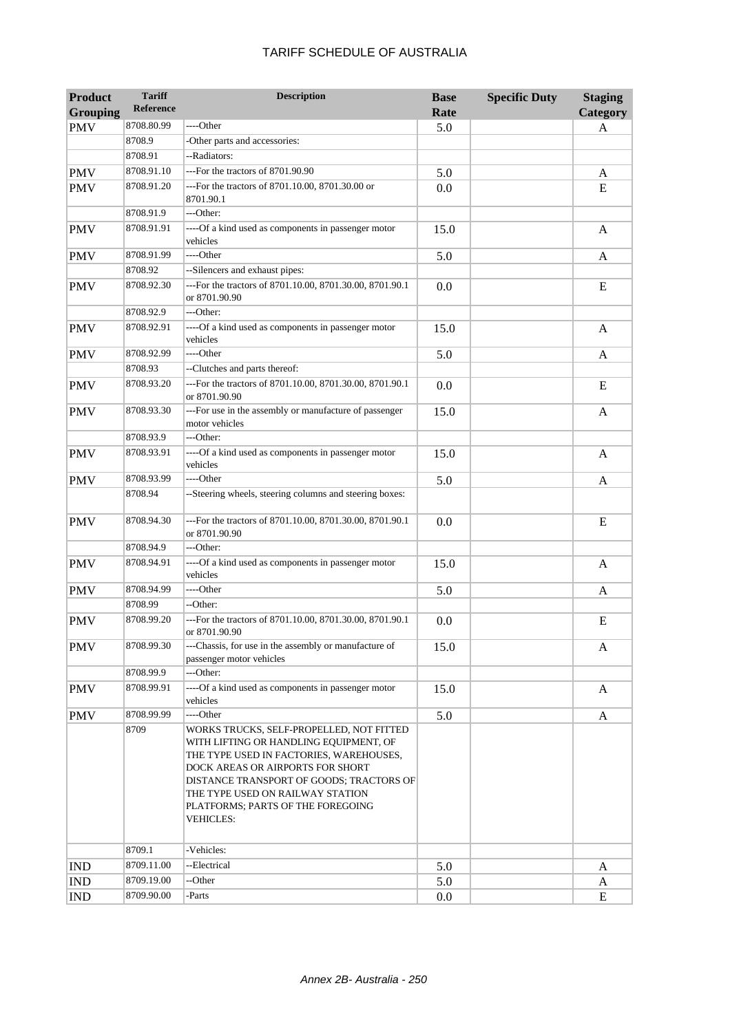| <b>Product</b>  | <b>Tariff</b><br><b>Reference</b> | <b>Description</b>                                                                                                                                                                                                                                                                                         | <b>Base</b> | <b>Specific Duty</b> | <b>Staging</b> |
|-----------------|-----------------------------------|------------------------------------------------------------------------------------------------------------------------------------------------------------------------------------------------------------------------------------------------------------------------------------------------------------|-------------|----------------------|----------------|
| <b>Grouping</b> |                                   |                                                                                                                                                                                                                                                                                                            | Rate        |                      | Category       |
| <b>PMV</b>      | 8708.80.99                        | ----Other                                                                                                                                                                                                                                                                                                  | 5.0         |                      | A              |
|                 | 8708.9<br>8708.91                 | -Other parts and accessories:<br>--Radiators:                                                                                                                                                                                                                                                              |             |                      |                |
|                 | 8708.91.10                        | ---For the tractors of 8701.90.90                                                                                                                                                                                                                                                                          |             |                      |                |
| <b>PMV</b>      | 8708.91.20                        | ---For the tractors of 8701.10.00, 8701.30.00 or                                                                                                                                                                                                                                                           | 5.0         |                      | A              |
| <b>PMV</b>      |                                   | 8701.90.1                                                                                                                                                                                                                                                                                                  | 0.0         |                      | E              |
|                 | 8708.91.9<br>8708.91.91           | ---Other:                                                                                                                                                                                                                                                                                                  |             |                      |                |
| <b>PMV</b>      |                                   | ----Of a kind used as components in passenger motor<br>vehicles                                                                                                                                                                                                                                            | 15.0        |                      | A              |
| <b>PMV</b>      | 8708.91.99                        | ----Other                                                                                                                                                                                                                                                                                                  | 5.0         |                      | A              |
|                 | 8708.92                           | --Silencers and exhaust pipes:                                                                                                                                                                                                                                                                             |             |                      |                |
| <b>PMV</b>      | 8708.92.30                        | ---For the tractors of 8701.10.00, 8701.30.00, 8701.90.1<br>or 8701.90.90                                                                                                                                                                                                                                  | 0.0         |                      | E              |
|                 | 8708.92.9                         | ---Other:                                                                                                                                                                                                                                                                                                  |             |                      |                |
| <b>PMV</b>      | 8708.92.91                        | ----Of a kind used as components in passenger motor<br>vehicles                                                                                                                                                                                                                                            | 15.0        |                      | A              |
| <b>PMV</b>      | 8708.92.99                        | ----Other                                                                                                                                                                                                                                                                                                  | 5.0         |                      | A              |
|                 | 8708.93                           | --Clutches and parts thereof:                                                                                                                                                                                                                                                                              |             |                      |                |
| <b>PMV</b>      | 8708.93.20                        | ---For the tractors of 8701.10.00, 8701.30.00, 8701.90.1<br>or 8701.90.90                                                                                                                                                                                                                                  | 0.0         |                      | E              |
| <b>PMV</b>      | 8708.93.30                        | ---For use in the assembly or manufacture of passenger<br>motor vehicles                                                                                                                                                                                                                                   | 15.0        |                      | A              |
|                 | 8708.93.9                         | ---Other:                                                                                                                                                                                                                                                                                                  |             |                      |                |
| <b>PMV</b>      | 8708.93.91                        | ----Of a kind used as components in passenger motor<br>vehicles                                                                                                                                                                                                                                            | 15.0        |                      | A              |
| <b>PMV</b>      | 8708.93.99                        | ----Other                                                                                                                                                                                                                                                                                                  | 5.0         |                      | A              |
|                 | 8708.94                           | --Steering wheels, steering columns and steering boxes:                                                                                                                                                                                                                                                    |             |                      |                |
| <b>PMV</b>      | 8708.94.30                        | ---For the tractors of 8701.10.00, 8701.30.00, 8701.90.1<br>or 8701.90.90                                                                                                                                                                                                                                  | 0.0         |                      | E              |
|                 | 8708.94.9                         | ---Other:                                                                                                                                                                                                                                                                                                  |             |                      |                |
| <b>PMV</b>      | 8708.94.91                        | ----Of a kind used as components in passenger motor<br>vehicles                                                                                                                                                                                                                                            | 15.0        |                      | A              |
| <b>PMV</b>      | 8708.94.99                        | ----Other                                                                                                                                                                                                                                                                                                  | 5.0         |                      | A              |
|                 | 8708.99                           | --Other:                                                                                                                                                                                                                                                                                                   |             |                      |                |
| <b>PMV</b>      | 8708.99.20                        | ---For the tractors of 8701.10.00, 8701.30.00, 8701.90.1<br>or 8701.90.90                                                                                                                                                                                                                                  | 0.0         |                      | E              |
| <b>PMV</b>      | 8708.99.30                        | ---Chassis, for use in the assembly or manufacture of<br>passenger motor vehicles                                                                                                                                                                                                                          | 15.0        |                      | A              |
|                 | 8708.99.9                         | ---Other:                                                                                                                                                                                                                                                                                                  |             |                      |                |
| <b>PMV</b>      | 8708.99.91                        | ----Of a kind used as components in passenger motor<br>vehicles                                                                                                                                                                                                                                            | 15.0        |                      | A              |
| <b>PMV</b>      | 8708.99.99                        | ----Other                                                                                                                                                                                                                                                                                                  | 5.0         |                      | A              |
|                 | 8709                              | WORKS TRUCKS, SELF-PROPELLED, NOT FITTED<br>WITH LIFTING OR HANDLING EQUIPMENT, OF<br>THE TYPE USED IN FACTORIES, WAREHOUSES,<br>DOCK AREAS OR AIRPORTS FOR SHORT<br>DISTANCE TRANSPORT OF GOODS; TRACTORS OF<br>THE TYPE USED ON RAILWAY STATION<br>PLATFORMS; PARTS OF THE FOREGOING<br><b>VEHICLES:</b> |             |                      |                |
|                 | 8709.1                            | -Vehicles:                                                                                                                                                                                                                                                                                                 |             |                      |                |
| <b>IND</b>      | 8709.11.00                        | --Electrical                                                                                                                                                                                                                                                                                               | 5.0         |                      | A              |
| <b>IND</b>      | 8709.19.00                        | --Other                                                                                                                                                                                                                                                                                                    | 5.0         |                      | A              |
| IND             | 8709.90.00                        | -Parts                                                                                                                                                                                                                                                                                                     | 0.0         |                      | E              |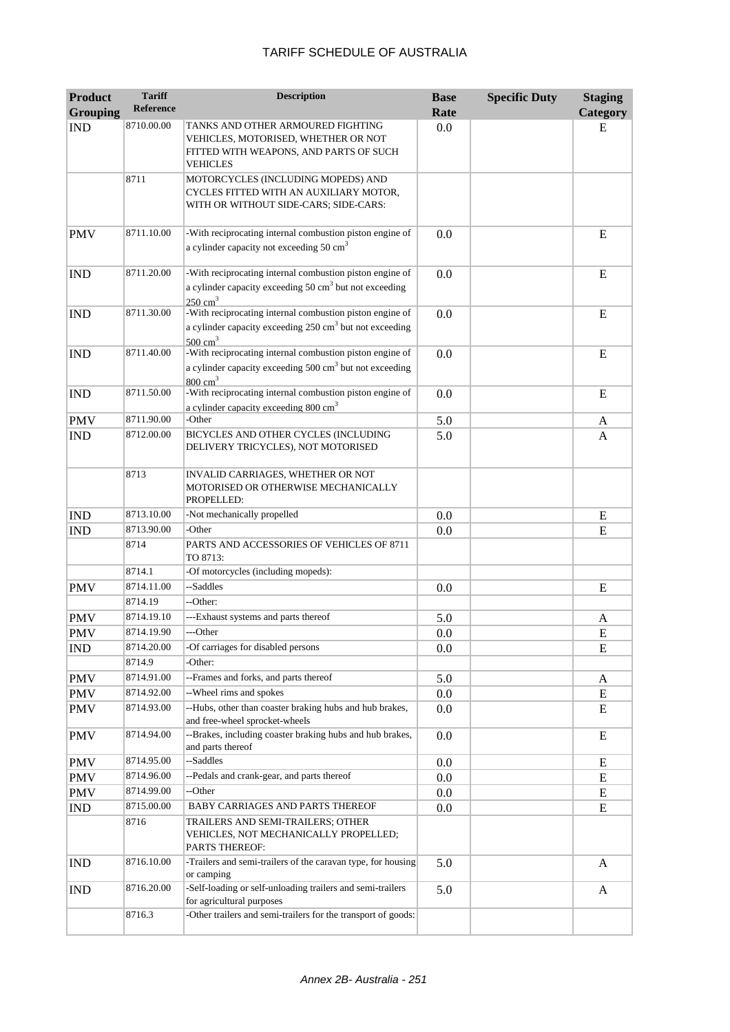| <b>Product</b><br><b>Grouping</b> | <b>Tariff</b><br><b>Reference</b> | <b>Description</b>                                                                                                                                    | <b>Base</b><br>Rate | <b>Specific Duty</b> | <b>Staging</b><br>Category |
|-----------------------------------|-----------------------------------|-------------------------------------------------------------------------------------------------------------------------------------------------------|---------------------|----------------------|----------------------------|
| <b>IND</b>                        | 8710.00.00                        | TANKS AND OTHER ARMOURED FIGHTING<br>VEHICLES, MOTORISED, WHETHER OR NOT<br>FITTED WITH WEAPONS, AND PARTS OF SUCH<br><b>VEHICLES</b>                 | 0.0                 |                      | E                          |
|                                   | 8711                              | MOTORCYCLES (INCLUDING MOPEDS) AND<br>CYCLES FITTED WITH AN AUXILIARY MOTOR,<br>WITH OR WITHOUT SIDE-CARS; SIDE-CARS:                                 |                     |                      |                            |
| <b>PMV</b>                        | 8711.10.00                        | -With reciprocating internal combustion piston engine of<br>a cylinder capacity not exceeding 50 cm <sup>3</sup>                                      | 0.0                 |                      | E                          |
| <b>IND</b>                        | 8711.20.00                        | -With reciprocating internal combustion piston engine of<br>a cylinder capacity exceeding $50 \text{ cm}^3$ but not exceeding<br>$250 \text{ cm}^3$   | 0.0                 |                      | E                          |
| <b>IND</b>                        | 8711.30.00                        | -With reciprocating internal combustion piston engine of<br>a cylinder capacity exceeding 250 cm <sup>3</sup> but not exceeding<br>$500 \text{ cm}^3$ | 0.0                 |                      | E                          |
| <b>IND</b>                        | 8711.40.00                        | -With reciprocating internal combustion piston engine of<br>a cylinder capacity exceeding 500 cm <sup>3</sup> but not exceeding<br>$800 \text{ cm}^3$ | 0.0                 |                      | E                          |
| <b>IND</b>                        | 8711.50.00                        | -With reciprocating internal combustion piston engine of<br>a cylinder capacity exceeding 800 cm <sup>3</sup>                                         | 0.0                 |                      | E                          |
| <b>PMV</b>                        | 8711.90.00                        | -Other                                                                                                                                                | 5.0                 |                      | A                          |
| <b>IND</b>                        | 8712.00.00                        | BICYCLES AND OTHER CYCLES (INCLUDING<br>DELIVERY TRICYCLES), NOT MOTORISED                                                                            | 5.0                 |                      | A                          |
|                                   | 8713                              | INVALID CARRIAGES, WHETHER OR NOT<br>MOTORISED OR OTHERWISE MECHANICALLY<br>PROPELLED:                                                                |                     |                      |                            |
| <b>IND</b>                        | 8713.10.00                        | -Not mechanically propelled                                                                                                                           | 0.0                 |                      | E                          |
| <b>IND</b>                        | 8713.90.00                        | -Other                                                                                                                                                | 0.0                 |                      | ${\bf E}$                  |
|                                   | 8714                              | PARTS AND ACCESSORIES OF VEHICLES OF 8711<br>TO 8713:                                                                                                 |                     |                      |                            |
|                                   | 8714.1                            | -Of motorcycles (including mopeds):                                                                                                                   |                     |                      |                            |
| <b>PMV</b>                        | 8714.11.00                        | --Saddles                                                                                                                                             | 0.0                 |                      | E                          |
|                                   | 8714.19                           | --Other:                                                                                                                                              |                     |                      |                            |
| <b>PMV</b>                        | 8714.19.10                        | ---Exhaust systems and parts thereof                                                                                                                  | 5.0                 |                      | A                          |
| <b>PMV</b>                        | 8714.19.90                        | ---Other                                                                                                                                              | 0.0                 |                      | E                          |
| <b>IND</b>                        | 8714.20.00                        | -Of carriages for disabled persons                                                                                                                    | 0.0                 |                      | E                          |
|                                   | 8714.9                            | -Other:                                                                                                                                               |                     |                      |                            |
| <b>PMV</b>                        | 8714.91.00                        | --Frames and forks, and parts thereof                                                                                                                 | 5.0                 |                      | A                          |
| <b>PMV</b>                        | 8714.92.00                        | --Wheel rims and spokes                                                                                                                               | 0.0                 |                      | E                          |
| <b>PMV</b>                        | 8714.93.00                        | --Hubs, other than coaster braking hubs and hub brakes,<br>and free-wheel sprocket-wheels                                                             | 0.0                 |                      | E                          |
| <b>PMV</b>                        | 8714.94.00                        | --Brakes, including coaster braking hubs and hub brakes,<br>and parts thereof                                                                         | 0.0                 |                      | E                          |
| <b>PMV</b>                        | 8714.95.00                        | --Saddles                                                                                                                                             | 0.0                 |                      | E                          |
| <b>PMV</b>                        | 8714.96.00                        | --Pedals and crank-gear, and parts thereof                                                                                                            | 0.0                 |                      | E                          |
| <b>PMV</b>                        | 8714.99.00                        | --Other                                                                                                                                               | 0.0                 |                      | E                          |
| <b>IND</b>                        | 8715.00.00                        | BABY CARRIAGES AND PARTS THEREOF                                                                                                                      | 0.0                 |                      | E                          |
|                                   | 8716                              | TRAILERS AND SEMI-TRAILERS; OTHER<br>VEHICLES, NOT MECHANICALLY PROPELLED;<br>PARTS THEREOF:                                                          |                     |                      |                            |
| <b>IND</b>                        | 8716.10.00                        | -Trailers and semi-trailers of the caravan type, for housing<br>or camping                                                                            | 5.0                 |                      | A                          |
| <b>IND</b>                        | 8716.20.00                        | -Self-loading or self-unloading trailers and semi-trailers<br>for agricultural purposes                                                               | 5.0                 |                      | A                          |
|                                   | 8716.3                            | -Other trailers and semi-trailers for the transport of goods:                                                                                         |                     |                      |                            |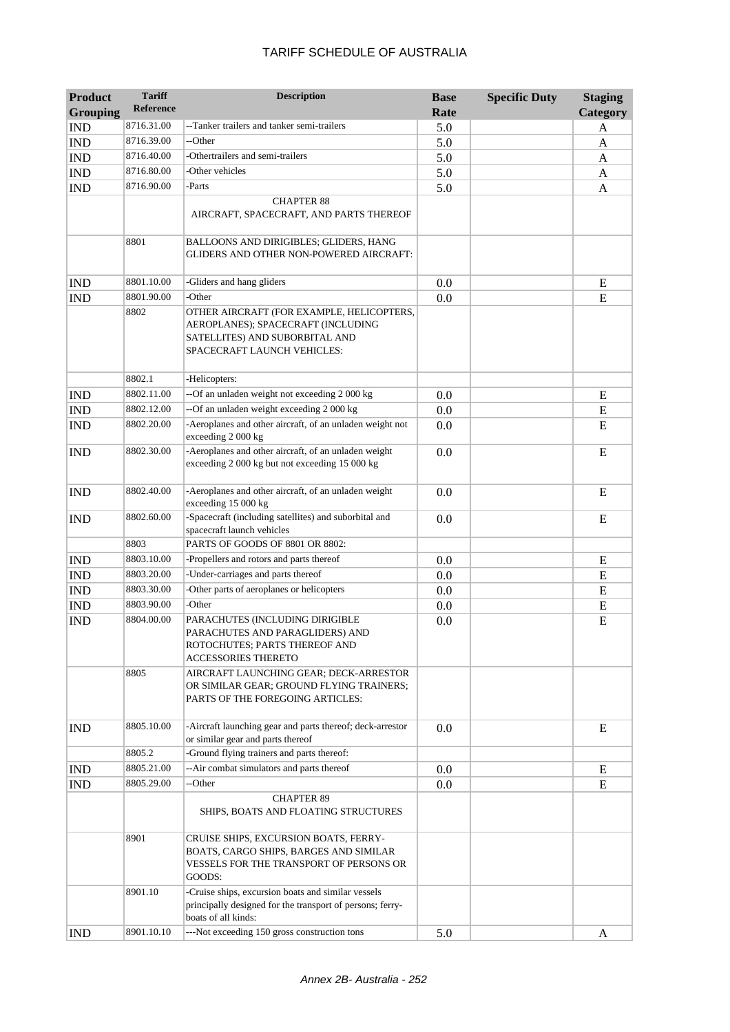| <b>Product</b><br><b>Grouping</b> | <b>Tariff</b><br><b>Reference</b> | <b>Description</b>                                                                                                                               | <b>Base</b><br>Rate | <b>Specific Duty</b> | <b>Staging</b><br>Category |
|-----------------------------------|-----------------------------------|--------------------------------------------------------------------------------------------------------------------------------------------------|---------------------|----------------------|----------------------------|
| <b>IND</b>                        | 8716.31.00                        | --Tanker trailers and tanker semi-trailers                                                                                                       | 5.0                 |                      | A                          |
| <b>IND</b>                        | 8716.39.00                        | --Other                                                                                                                                          | 5.0                 |                      | A                          |
| <b>IND</b>                        | 8716.40.00                        | -Othertrailers and semi-trailers                                                                                                                 | 5.0                 |                      | A                          |
| <b>IND</b>                        | 8716.80.00                        | -Other vehicles                                                                                                                                  | 5.0                 |                      | A                          |
| <b>IND</b>                        | 8716.90.00                        | -Parts                                                                                                                                           | 5.0                 |                      | A                          |
|                                   |                                   | <b>CHAPTER 88</b>                                                                                                                                |                     |                      |                            |
|                                   |                                   | AIRCRAFT, SPACECRAFT, AND PARTS THEREOF                                                                                                          |                     |                      |                            |
|                                   | 8801                              | BALLOONS AND DIRIGIBLES; GLIDERS, HANG<br>GLIDERS AND OTHER NON-POWERED AIRCRAFT:                                                                |                     |                      |                            |
| <b>IND</b>                        | 8801.10.00                        | -Gliders and hang gliders                                                                                                                        | 0.0                 |                      | E                          |
| <b>IND</b>                        | 8801.90.00                        | -Other                                                                                                                                           | 0.0                 |                      | ${\bf E}$                  |
|                                   | 8802                              | OTHER AIRCRAFT (FOR EXAMPLE, HELICOPTERS,<br>AEROPLANES); SPACECRAFT (INCLUDING<br>SATELLITES) AND SUBORBITAL AND<br>SPACECRAFT LAUNCH VEHICLES: |                     |                      |                            |
|                                   | 8802.1                            | -Helicopters:                                                                                                                                    |                     |                      |                            |
| <b>IND</b>                        | 8802.11.00                        | --Of an unladen weight not exceeding 2 000 kg                                                                                                    | 0.0                 |                      | E                          |
| <b>IND</b>                        | 8802.12.00                        | --Of an unladen weight exceeding 2 000 kg                                                                                                        | 0.0                 |                      | E                          |
| <b>IND</b>                        | 8802.20.00                        | -Aeroplanes and other aircraft, of an unladen weight not<br>exceeding 2 000 kg                                                                   | 0.0                 |                      | E                          |
| <b>IND</b>                        | 8802.30.00                        | -Aeroplanes and other aircraft, of an unladen weight<br>exceeding 2 000 kg but not exceeding 15 000 kg                                           | 0.0                 |                      | E                          |
| <b>IND</b>                        | 8802.40.00                        | -Aeroplanes and other aircraft, of an unladen weight<br>exceeding 15 000 kg                                                                      | 0.0                 |                      | E                          |
| <b>IND</b>                        | 8802.60.00                        | -Spacecraft (including satellites) and suborbital and<br>spacecraft launch vehicles                                                              | 0.0                 |                      | E                          |
|                                   | 8803                              | PARTS OF GOODS OF 8801 OR 8802:                                                                                                                  |                     |                      |                            |
| <b>IND</b>                        | 8803.10.00                        | -Propellers and rotors and parts thereof                                                                                                         | 0.0                 |                      | E                          |
| <b>IND</b>                        | 8803.20.00                        | -Under-carriages and parts thereof                                                                                                               | 0.0                 |                      | E                          |
| <b>IND</b>                        | 8803.30.00                        | -Other parts of aeroplanes or helicopters                                                                                                        | 0.0                 |                      | E                          |
| <b>IND</b>                        | 8803.90.00                        | -Other                                                                                                                                           | 0.0                 |                      | E                          |
| <b>IND</b>                        | 8804.00.00                        | PARACHUTES (INCLUDING DIRIGIBLE<br>PARACHUTES AND PARAGLIDERS) AND<br>ROTOCHUTES; PARTS THEREOF AND<br><b>ACCESSORIES THERETO</b>                | 0.0                 |                      | E                          |
|                                   | 8805                              | AIRCRAFT LAUNCHING GEAR; DECK-ARRESTOR<br>OR SIMILAR GEAR; GROUND FLYING TRAINERS;<br>PARTS OF THE FOREGOING ARTICLES:                           |                     |                      |                            |
| <b>IND</b>                        | 8805.10.00                        | -Aircraft launching gear and parts thereof; deck-arrestor<br>or similar gear and parts thereof                                                   | 0.0                 |                      | E                          |
|                                   | 8805.2                            | -Ground flying trainers and parts thereof:                                                                                                       |                     |                      |                            |
| <b>IND</b>                        | 8805.21.00                        | --Air combat simulators and parts thereof                                                                                                        | 0.0                 |                      | E                          |
| <b>IND</b>                        | 8805.29.00                        | --Other                                                                                                                                          | 0.0                 |                      | E                          |
|                                   |                                   | <b>CHAPTER 89</b><br>SHIPS, BOATS AND FLOATING STRUCTURES                                                                                        |                     |                      |                            |
|                                   | 8901                              | CRUISE SHIPS, EXCURSION BOATS, FERRY-<br>BOATS, CARGO SHIPS, BARGES AND SIMILAR<br>VESSELS FOR THE TRANSPORT OF PERSONS OR<br>GOODS:             |                     |                      |                            |
|                                   | 8901.10                           | -Cruise ships, excursion boats and similar vessels<br>principally designed for the transport of persons; ferry-<br>boats of all kinds:           |                     |                      |                            |
| <b>IND</b>                        | 8901.10.10                        | ---Not exceeding 150 gross construction tons                                                                                                     | 5.0                 |                      | A                          |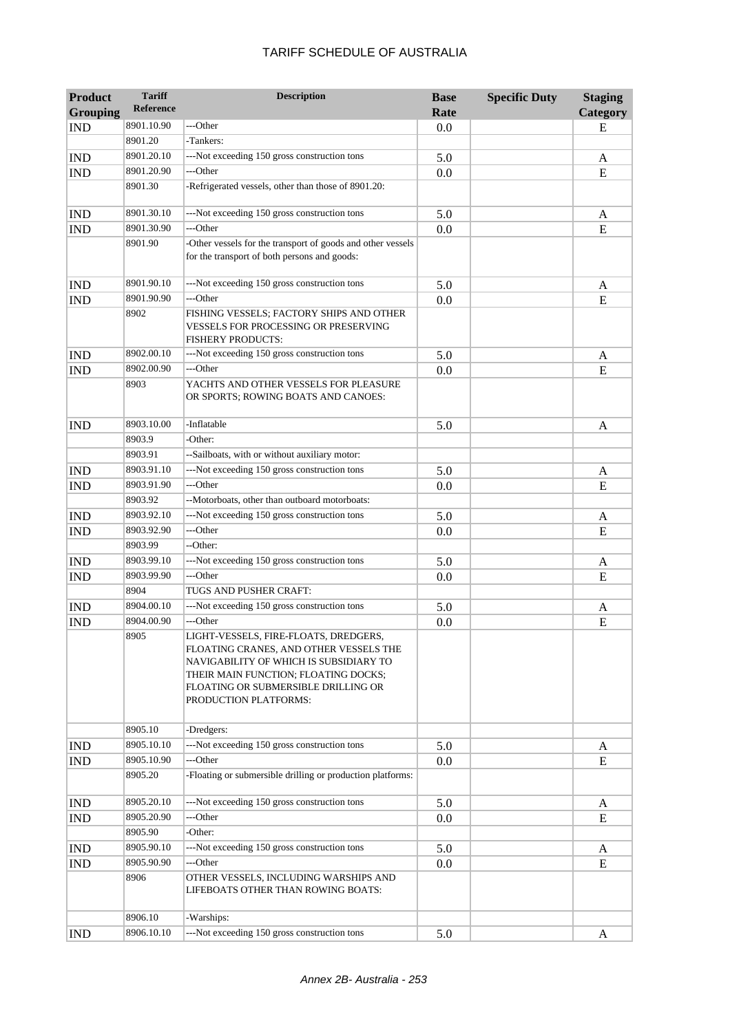| <b>Product</b><br><b>Grouping</b> | <b>Tariff</b><br><b>Reference</b> | <b>Description</b>                                                                                                                                                                                                                | <b>Base</b>                                                                                                                                                                  | <b>Specific Duty</b> | <b>Staging</b><br>Category |
|-----------------------------------|-----------------------------------|-----------------------------------------------------------------------------------------------------------------------------------------------------------------------------------------------------------------------------------|------------------------------------------------------------------------------------------------------------------------------------------------------------------------------|----------------------|----------------------------|
| <b>IND</b>                        | 8901.10.90                        | ---Other                                                                                                                                                                                                                          |                                                                                                                                                                              |                      | E                          |
|                                   | 8901.20                           | -Tankers:                                                                                                                                                                                                                         |                                                                                                                                                                              |                      |                            |
| <b>IND</b>                        | 8901.20.10                        | ---Not exceeding 150 gross construction tons                                                                                                                                                                                      |                                                                                                                                                                              |                      | A                          |
| <b>IND</b>                        | 8901.20.90                        | ---Other                                                                                                                                                                                                                          |                                                                                                                                                                              |                      | E                          |
|                                   | 8901.30                           | -Refrigerated vessels, other than those of 8901.20:                                                                                                                                                                               |                                                                                                                                                                              |                      |                            |
|                                   |                                   |                                                                                                                                                                                                                                   | Rate<br>0.0<br>5.0<br>0.0<br>5.0<br>0.0<br>5.0<br>0.0<br>5.0<br>0.0<br>5.0<br>5.0<br>0.0<br>5.0<br>0.0<br>5.0<br>0.0<br>5.0<br>0.0<br>5.0<br>0.0<br>5.0<br>0.0<br>5.0<br>0.0 |                      |                            |
| <b>IND</b>                        | 8901.30.10                        | ---Not exceeding 150 gross construction tons                                                                                                                                                                                      |                                                                                                                                                                              |                      | A                          |
| <b>IND</b>                        | 8901.30.90                        | ---Other                                                                                                                                                                                                                          |                                                                                                                                                                              |                      | E                          |
|                                   | 8901.90                           | -Other vessels for the transport of goods and other vessels<br>for the transport of both persons and goods:                                                                                                                       |                                                                                                                                                                              |                      |                            |
| <b>IND</b>                        | 8901.90.10                        | ---Not exceeding 150 gross construction tons                                                                                                                                                                                      |                                                                                                                                                                              |                      | A                          |
| <b>IND</b>                        | 8901.90.90                        | ---Other                                                                                                                                                                                                                          |                                                                                                                                                                              |                      | E                          |
|                                   | 8902                              | FISHING VESSELS; FACTORY SHIPS AND OTHER<br>VESSELS FOR PROCESSING OR PRESERVING<br><b>FISHERY PRODUCTS:</b>                                                                                                                      |                                                                                                                                                                              |                      |                            |
| <b>IND</b>                        | 8902.00.10                        | ---Not exceeding 150 gross construction tons                                                                                                                                                                                      |                                                                                                                                                                              |                      | A                          |
| <b>IND</b>                        | 8902.00.90                        | ---Other                                                                                                                                                                                                                          |                                                                                                                                                                              |                      | E                          |
|                                   | 8903                              | YACHTS AND OTHER VESSELS FOR PLEASURE<br>OR SPORTS; ROWING BOATS AND CANOES:                                                                                                                                                      |                                                                                                                                                                              |                      |                            |
| <b>IND</b>                        | 8903.10.00                        | -Inflatable                                                                                                                                                                                                                       |                                                                                                                                                                              |                      | A                          |
|                                   | 8903.9                            | -Other:                                                                                                                                                                                                                           |                                                                                                                                                                              |                      |                            |
|                                   | 8903.91                           | --Sailboats, with or without auxiliary motor:                                                                                                                                                                                     |                                                                                                                                                                              |                      |                            |
| <b>IND</b>                        | 8903.91.10                        | ---Not exceeding 150 gross construction tons                                                                                                                                                                                      |                                                                                                                                                                              |                      | A                          |
| <b>IND</b>                        | 8903.91.90                        | ---Other                                                                                                                                                                                                                          |                                                                                                                                                                              |                      | E                          |
|                                   | 8903.92                           | --Motorboats, other than outboard motorboats:                                                                                                                                                                                     |                                                                                                                                                                              |                      |                            |
| <b>IND</b>                        | 8903.92.10                        | ---Not exceeding 150 gross construction tons                                                                                                                                                                                      |                                                                                                                                                                              |                      | A                          |
| <b>IND</b>                        | 8903.92.90                        | ---Other                                                                                                                                                                                                                          |                                                                                                                                                                              |                      | E                          |
|                                   | 8903.99                           | --Other:                                                                                                                                                                                                                          |                                                                                                                                                                              |                      |                            |
| <b>IND</b>                        | 8903.99.10                        | ---Not exceeding 150 gross construction tons                                                                                                                                                                                      |                                                                                                                                                                              |                      | A                          |
| <b>IND</b>                        | 8903.99.90                        | ---Other                                                                                                                                                                                                                          |                                                                                                                                                                              |                      | E                          |
|                                   | 8904                              | TUGS AND PUSHER CRAFT:                                                                                                                                                                                                            |                                                                                                                                                                              |                      |                            |
| <b>IND</b>                        | 8904.00.10                        | ---Not exceeding 150 gross construction tons                                                                                                                                                                                      |                                                                                                                                                                              |                      | A                          |
| <b>IND</b>                        | 8904.00.90                        | ---Other                                                                                                                                                                                                                          |                                                                                                                                                                              |                      | E                          |
|                                   | 8905                              | LIGHT-VESSELS, FIRE-FLOATS, DREDGERS,<br>FLOATING CRANES, AND OTHER VESSELS THE<br>NAVIGABILITY OF WHICH IS SUBSIDIARY TO<br>THEIR MAIN FUNCTION; FLOATING DOCKS;<br>FLOATING OR SUBMERSIBLE DRILLING OR<br>PRODUCTION PLATFORMS: |                                                                                                                                                                              |                      |                            |
|                                   | 8905.10                           | -Dredgers:                                                                                                                                                                                                                        |                                                                                                                                                                              |                      |                            |
| <b>IND</b>                        | 8905.10.10                        | ---Not exceeding 150 gross construction tons                                                                                                                                                                                      |                                                                                                                                                                              |                      | A                          |
| <b>IND</b>                        | 8905.10.90                        | ---Other                                                                                                                                                                                                                          |                                                                                                                                                                              |                      | E                          |
|                                   | 8905.20                           | -Floating or submersible drilling or production platforms:                                                                                                                                                                        |                                                                                                                                                                              |                      |                            |
| <b>IND</b>                        | 8905.20.10                        | ---Not exceeding 150 gross construction tons                                                                                                                                                                                      |                                                                                                                                                                              |                      | A                          |
| <b>IND</b>                        | 8905.20.90                        | ---Other                                                                                                                                                                                                                          |                                                                                                                                                                              |                      | E                          |
|                                   | 8905.90                           | -Other:                                                                                                                                                                                                                           |                                                                                                                                                                              |                      |                            |
| <b>IND</b>                        | 8905.90.10                        | ---Not exceeding 150 gross construction tons                                                                                                                                                                                      |                                                                                                                                                                              |                      | A                          |
| <b>IND</b>                        | 8905.90.90                        | ---Other                                                                                                                                                                                                                          |                                                                                                                                                                              |                      | E                          |
|                                   | 8906                              | OTHER VESSELS, INCLUDING WARSHIPS AND<br>LIFEBOATS OTHER THAN ROWING BOATS:                                                                                                                                                       |                                                                                                                                                                              |                      |                            |
|                                   | 8906.10                           | -Warships:                                                                                                                                                                                                                        |                                                                                                                                                                              |                      |                            |
| <b>IND</b>                        | 8906.10.10                        | ---Not exceeding 150 gross construction tons                                                                                                                                                                                      | 5.0                                                                                                                                                                          |                      | A                          |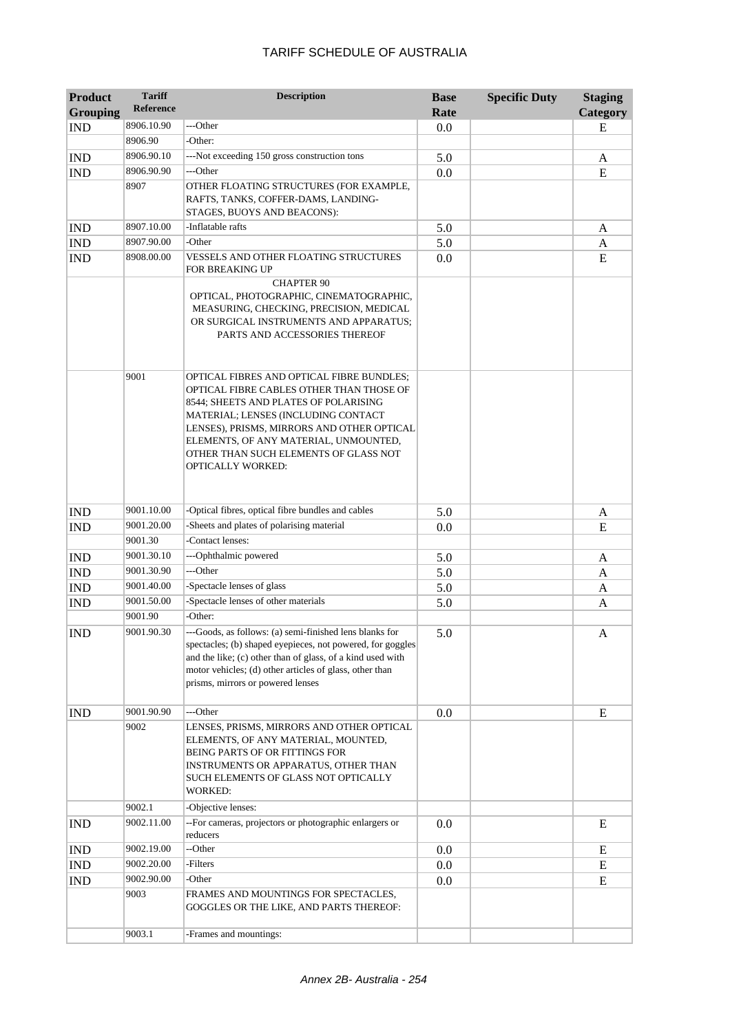| <b>Product</b><br><b>Grouping</b> | <b>Tariff</b><br><b>Reference</b> | <b>Description</b>                                                                                                                                                                                                                                                                                                         | <b>Base</b><br>Rate | <b>Specific Duty</b> | <b>Staging</b><br>Category |
|-----------------------------------|-----------------------------------|----------------------------------------------------------------------------------------------------------------------------------------------------------------------------------------------------------------------------------------------------------------------------------------------------------------------------|---------------------|----------------------|----------------------------|
| <b>IND</b>                        | 8906.10.90                        | ---Other                                                                                                                                                                                                                                                                                                                   | 0.0                 |                      | E                          |
|                                   | 8906.90                           | -Other:                                                                                                                                                                                                                                                                                                                    |                     |                      |                            |
| <b>IND</b>                        | 8906.90.10                        | ---Not exceeding 150 gross construction tons                                                                                                                                                                                                                                                                               | 5.0                 |                      | A                          |
| <b>IND</b>                        | 8906.90.90                        | ---Other                                                                                                                                                                                                                                                                                                                   | 0.0                 |                      | E                          |
|                                   | 8907                              | OTHER FLOATING STRUCTURES (FOR EXAMPLE,                                                                                                                                                                                                                                                                                    |                     |                      |                            |
|                                   |                                   | RAFTS, TANKS, COFFER-DAMS, LANDING-<br>STAGES, BUOYS AND BEACONS):                                                                                                                                                                                                                                                         |                     |                      |                            |
| <b>IND</b>                        | 8907.10.00                        | -Inflatable rafts                                                                                                                                                                                                                                                                                                          | 5.0                 |                      | A                          |
| $\mathop{\rm IND}\nolimits$       | 8907.90.00                        | -Other                                                                                                                                                                                                                                                                                                                     | 5.0                 |                      | A                          |
| <b>IND</b>                        | 8908.00.00                        | VESSELS AND OTHER FLOATING STRUCTURES<br>FOR BREAKING UP                                                                                                                                                                                                                                                                   | 0.0                 |                      | E                          |
|                                   |                                   | <b>CHAPTER 90</b><br>OPTICAL, PHOTOGRAPHIC, CINEMATOGRAPHIC,<br>MEASURING, CHECKING, PRECISION, MEDICAL<br>OR SURGICAL INSTRUMENTS AND APPARATUS;<br>PARTS AND ACCESSORIES THEREOF                                                                                                                                         |                     |                      |                            |
|                                   | 9001                              | OPTICAL FIBRES AND OPTICAL FIBRE BUNDLES;<br>OPTICAL FIBRE CABLES OTHER THAN THOSE OF<br>8544; SHEETS AND PLATES OF POLARISING<br>MATERIAL; LENSES (INCLUDING CONTACT<br>LENSES), PRISMS, MIRRORS AND OTHER OPTICAL<br>ELEMENTS, OF ANY MATERIAL, UNMOUNTED,<br>OTHER THAN SUCH ELEMENTS OF GLASS NOT<br>OPTICALLY WORKED: |                     |                      |                            |
| <b>IND</b>                        | 9001.10.00                        | -Optical fibres, optical fibre bundles and cables                                                                                                                                                                                                                                                                          | 5.0                 |                      | A                          |
| <b>IND</b>                        | 9001.20.00                        | -Sheets and plates of polarising material                                                                                                                                                                                                                                                                                  | 0.0                 |                      | E                          |
|                                   | 9001.30                           | -Contact lenses:                                                                                                                                                                                                                                                                                                           |                     |                      |                            |
| <b>IND</b>                        | 9001.30.10                        | --- Ophthalmic powered                                                                                                                                                                                                                                                                                                     | 5.0                 |                      | A                          |
| <b>IND</b>                        | 9001.30.90                        | ---Other                                                                                                                                                                                                                                                                                                                   | 5.0                 |                      | A                          |
| <b>IND</b>                        | 9001.40.00                        | -Spectacle lenses of glass                                                                                                                                                                                                                                                                                                 | 5.0                 |                      | A                          |
| <b>IND</b>                        | 9001.50.00                        | -Spectacle lenses of other materials                                                                                                                                                                                                                                                                                       | 5.0                 |                      | A                          |
|                                   | 9001.90                           | -Other:                                                                                                                                                                                                                                                                                                                    |                     |                      |                            |
| <b>IND</b>                        | 9001.90.30                        | ---Goods, as follows: (a) semi-finished lens blanks for<br>spectacles; (b) shaped eyepieces, not powered, for goggles<br>and the like; (c) other than of glass, of a kind used with<br>motor vehicles; (d) other articles of glass, other than<br>prisms, mirrors or powered lenses                                        | 5.0                 |                      | A                          |
| <b>IND</b>                        | 9001.90.90                        | ---Other                                                                                                                                                                                                                                                                                                                   | 0.0                 |                      | E                          |
|                                   | 9002                              | LENSES, PRISMS, MIRRORS AND OTHER OPTICAL<br>ELEMENTS, OF ANY MATERIAL, MOUNTED,<br>BEING PARTS OF OR FITTINGS FOR<br>INSTRUMENTS OR APPARATUS, OTHER THAN<br>SUCH ELEMENTS OF GLASS NOT OPTICALLY<br><b>WORKED:</b>                                                                                                       |                     |                      |                            |
|                                   | 9002.1                            | -Objective lenses:                                                                                                                                                                                                                                                                                                         |                     |                      |                            |
| <b>IND</b>                        | 9002.11.00                        | -- For cameras, projectors or photographic enlargers or<br>reducers                                                                                                                                                                                                                                                        | 0.0                 |                      | E                          |
| <b>IND</b>                        | 9002.19.00                        | --Other                                                                                                                                                                                                                                                                                                                    | 0.0                 |                      | E                          |
| <b>IND</b>                        | 9002.20.00                        | -Filters                                                                                                                                                                                                                                                                                                                   | 0.0                 |                      | E                          |
| <b>IND</b>                        | 9002.90.00                        | -Other                                                                                                                                                                                                                                                                                                                     | 0.0                 |                      | E                          |
|                                   | 9003                              | FRAMES AND MOUNTINGS FOR SPECTACLES,<br>GOGGLES OR THE LIKE, AND PARTS THEREOF:                                                                                                                                                                                                                                            |                     |                      |                            |
|                                   | 9003.1                            | -Frames and mountings:                                                                                                                                                                                                                                                                                                     |                     |                      |                            |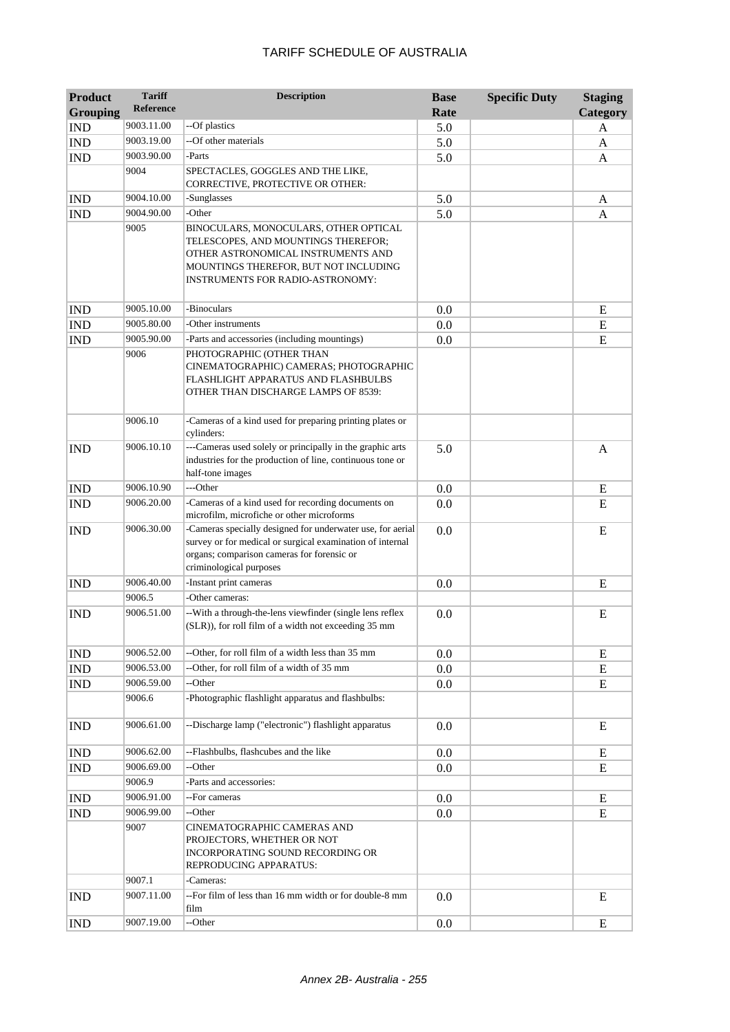| <b>Product</b><br><b>Grouping</b> | <b>Tariff</b><br><b>Reference</b> | <b>Description</b>                                                                                                                                                                                     | <b>Base</b><br>Rate | <b>Specific Duty</b> | <b>Staging</b><br>Category |
|-----------------------------------|-----------------------------------|--------------------------------------------------------------------------------------------------------------------------------------------------------------------------------------------------------|---------------------|----------------------|----------------------------|
| <b>IND</b>                        | 9003.11.00                        | --Of plastics                                                                                                                                                                                          | 5.0                 |                      | A                          |
| <b>IND</b>                        | 9003.19.00                        | --Of other materials                                                                                                                                                                                   | 5.0                 |                      | A                          |
| <b>IND</b>                        | 9003.90.00                        | -Parts                                                                                                                                                                                                 | 5.0                 |                      | A                          |
|                                   | 9004                              | SPECTACLES, GOGGLES AND THE LIKE,<br>CORRECTIVE, PROTECTIVE OR OTHER:                                                                                                                                  |                     |                      |                            |
| <b>IND</b>                        | 9004.10.00                        | -Sunglasses                                                                                                                                                                                            | 5.0                 |                      | A                          |
| <b>IND</b>                        | 9004.90.00                        | -Other                                                                                                                                                                                                 | 5.0                 |                      | A                          |
|                                   | 9005                              | BINOCULARS, MONOCULARS, OTHER OPTICAL<br>TELESCOPES, AND MOUNTINGS THEREFOR;<br>OTHER ASTRONOMICAL INSTRUMENTS AND<br>MOUNTINGS THEREFOR, BUT NOT INCLUDING<br><b>INSTRUMENTS FOR RADIO-ASTRONOMY:</b> |                     |                      |                            |
| <b>IND</b>                        | 9005.10.00                        | -Binoculars                                                                                                                                                                                            | 0.0                 |                      | E                          |
| <b>IND</b>                        | 9005.80.00                        | -Other instruments                                                                                                                                                                                     | 0.0                 |                      | E                          |
| <b>IND</b>                        | 9005.90.00                        | -Parts and accessories (including mountings)                                                                                                                                                           | 0.0                 |                      | E                          |
|                                   | 9006                              | PHOTOGRAPHIC (OTHER THAN<br>CINEMATOGRAPHIC) CAMERAS; PHOTOGRAPHIC<br>FLASHLIGHT APPARATUS AND FLASHBULBS<br>OTHER THAN DISCHARGE LAMPS OF 8539:                                                       |                     |                      |                            |
|                                   | 9006.10                           | -Cameras of a kind used for preparing printing plates or<br>cylinders:                                                                                                                                 |                     |                      |                            |
| <b>IND</b>                        | 9006.10.10                        | ---Cameras used solely or principally in the graphic arts<br>industries for the production of line, continuous tone or<br>half-tone images                                                             | 5.0                 |                      | $\mathbf{A}$               |
| <b>IND</b>                        | 9006.10.90                        | ---Other                                                                                                                                                                                               | 0.0                 |                      | E                          |
| <b>IND</b>                        | 9006.20.00                        | -Cameras of a kind used for recording documents on<br>microfilm, microfiche or other microforms                                                                                                        | 0.0                 |                      | E                          |
| <b>IND</b>                        | 9006.30.00                        | -Cameras specially designed for underwater use, for aerial<br>survey or for medical or surgical examination of internal<br>organs; comparison cameras for forensic or<br>criminological purposes       | 0.0                 |                      | E                          |
| <b>IND</b>                        | 9006.40.00                        | -Instant print cameras                                                                                                                                                                                 | 0.0                 |                      | E                          |
|                                   | 9006.5                            | -Other cameras:                                                                                                                                                                                        |                     |                      |                            |
| <b>IND</b>                        | 9006.51.00                        | -- With a through-the-lens viewfinder (single lens reflex<br>(SLR)), for roll film of a width not exceeding 35 mm                                                                                      | 0.0                 |                      | E                          |
| <b>IND</b>                        | 9006.52.00                        | --Other, for roll film of a width less than 35 mm                                                                                                                                                      | 0.0                 |                      | E                          |
| IND                               | 9006.53.00                        | --Other, for roll film of a width of 35 mm                                                                                                                                                             | 0.0                 |                      | E                          |
| <b>IND</b>                        | 9006.59.00                        | --Other                                                                                                                                                                                                | 0.0                 |                      | E                          |
|                                   | 9006.6                            | -Photographic flashlight apparatus and flashbulbs:                                                                                                                                                     |                     |                      |                            |
| <b>IND</b>                        | 9006.61.00                        | --Discharge lamp ("electronic") flashlight apparatus                                                                                                                                                   | 0.0                 |                      | E                          |
| <b>IND</b>                        | 9006.62.00                        | --Flashbulbs, flashcubes and the like                                                                                                                                                                  | 0.0                 |                      | E                          |
| <b>IND</b>                        | 9006.69.00                        | --Other                                                                                                                                                                                                | 0.0                 |                      | E                          |
|                                   | 9006.9                            | -Parts and accessories:                                                                                                                                                                                |                     |                      |                            |
| IND                               | 9006.91.00                        | --For cameras                                                                                                                                                                                          | 0.0                 |                      | E                          |
| <b>IND</b>                        | 9006.99.00                        | --Other                                                                                                                                                                                                | 0.0                 |                      | E                          |
|                                   | 9007                              | CINEMATOGRAPHIC CAMERAS AND<br>PROJECTORS, WHETHER OR NOT<br>INCORPORATING SOUND RECORDING OR<br>REPRODUCING APPARATUS:                                                                                |                     |                      |                            |
|                                   | 9007.1                            | -Cameras:                                                                                                                                                                                              |                     |                      |                            |
| <b>IND</b>                        | 9007.11.00                        | --For film of less than 16 mm width or for double-8 mm<br>film                                                                                                                                         | 0.0                 |                      | E                          |
| <b>IND</b>                        | 9007.19.00                        | --Other                                                                                                                                                                                                | 0.0                 |                      | ${\bf E}$                  |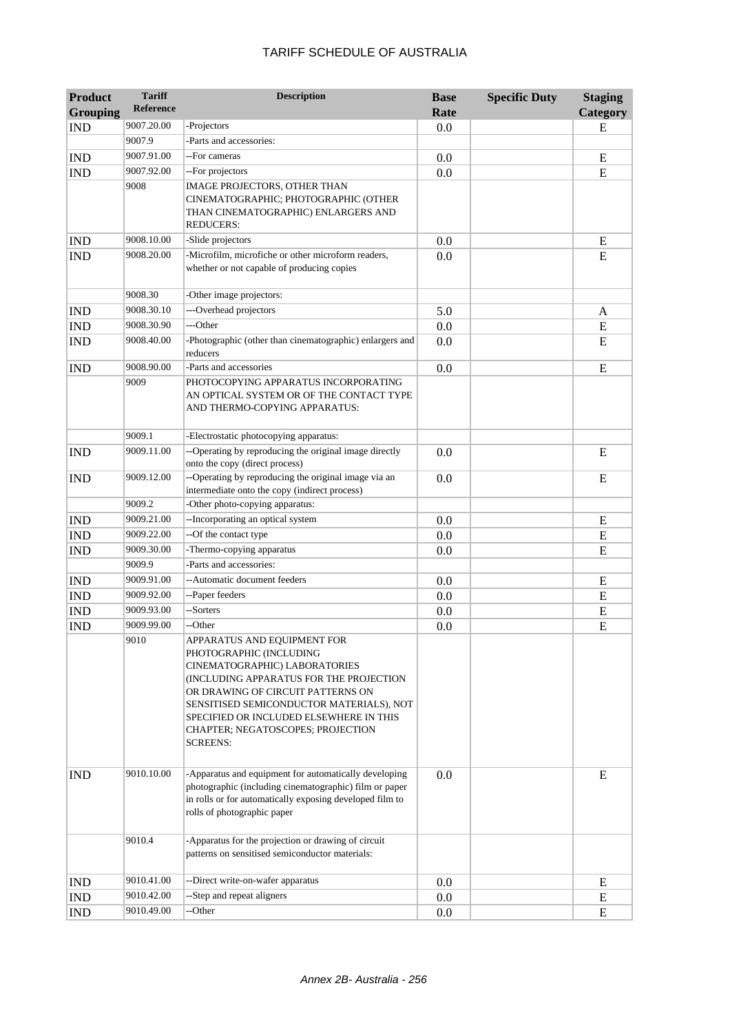| <b>Product</b>  | <b>Tariff</b>    | <b>Description</b>                                                                                                                                                                                                                                                                                                     | <b>Base</b> | <b>Specific Duty</b> | <b>Staging</b> |
|-----------------|------------------|------------------------------------------------------------------------------------------------------------------------------------------------------------------------------------------------------------------------------------------------------------------------------------------------------------------------|-------------|----------------------|----------------|
| <b>Grouping</b> | <b>Reference</b> |                                                                                                                                                                                                                                                                                                                        | Rate        |                      | Category       |
| <b>IND</b>      | 9007.20.00       | -Projectors                                                                                                                                                                                                                                                                                                            | 0.0         |                      | E              |
|                 | 9007.9           | -Parts and accessories:                                                                                                                                                                                                                                                                                                |             |                      |                |
| <b>IND</b>      | 9007.91.00       | --For cameras                                                                                                                                                                                                                                                                                                          | 0.0         |                      | E              |
| <b>IND</b>      | 9007.92.00       | --For projectors                                                                                                                                                                                                                                                                                                       | 0.0         |                      | E              |
|                 | 9008             | <b>IMAGE PROJECTORS, OTHER THAN</b><br>CINEMATOGRAPHIC; PHOTOGRAPHIC (OTHER<br>THAN CINEMATOGRAPHIC) ENLARGERS AND<br><b>REDUCERS:</b>                                                                                                                                                                                 |             |                      |                |
| <b>IND</b>      | 9008.10.00       | -Slide projectors                                                                                                                                                                                                                                                                                                      | 0.0         |                      | E              |
| <b>IND</b>      | 9008.20.00       | -Microfilm, microfiche or other microform readers,<br>whether or not capable of producing copies                                                                                                                                                                                                                       | 0.0         |                      | E              |
|                 | 9008.30          | -Other image projectors:                                                                                                                                                                                                                                                                                               |             |                      |                |
| <b>IND</b>      | 9008.30.10       | ---Overhead projectors                                                                                                                                                                                                                                                                                                 | 5.0         |                      | A              |
| <b>IND</b>      | 9008.30.90       | ---Other                                                                                                                                                                                                                                                                                                               | 0.0         |                      | ${\bf E}$      |
| <b>IND</b>      | 9008.40.00       | -Photographic (other than cinematographic) enlargers and<br>reducers                                                                                                                                                                                                                                                   | 0.0         |                      | E              |
| <b>IND</b>      | 9008.90.00       | -Parts and accessories                                                                                                                                                                                                                                                                                                 | 0.0         |                      | E              |
|                 | 9009             | PHOTOCOPYING APPARATUS INCORPORATING<br>AN OPTICAL SYSTEM OR OF THE CONTACT TYPE<br>AND THERMO-COPYING APPARATUS:                                                                                                                                                                                                      |             |                      |                |
|                 | 9009.1           | -Electrostatic photocopying apparatus:                                                                                                                                                                                                                                                                                 |             |                      |                |
| <b>IND</b>      | 9009.11.00       | --Operating by reproducing the original image directly<br>onto the copy (direct process)                                                                                                                                                                                                                               | 0.0         |                      | E              |
| <b>IND</b>      | 9009.12.00       | --Operating by reproducing the original image via an<br>intermediate onto the copy (indirect process)                                                                                                                                                                                                                  | 0.0         |                      | E              |
|                 | 9009.2           | -Other photo-copying apparatus:                                                                                                                                                                                                                                                                                        |             |                      |                |
| <b>IND</b>      | 9009.21.00       | --Incorporating an optical system                                                                                                                                                                                                                                                                                      | 0.0         |                      | E              |
| <b>IND</b>      | 9009.22.00       | --Of the contact type                                                                                                                                                                                                                                                                                                  | 0.0         |                      | E              |
| <b>IND</b>      | 9009.30.00       | -Thermo-copying apparatus                                                                                                                                                                                                                                                                                              | 0.0         |                      | E              |
|                 | 9009.9           | -Parts and accessories:                                                                                                                                                                                                                                                                                                |             |                      |                |
| <b>IND</b>      | 9009.91.00       | --Automatic document feeders                                                                                                                                                                                                                                                                                           | 0.0         |                      | E              |
| <b>IND</b>      | 9009.92.00       | --Paper feeders                                                                                                                                                                                                                                                                                                        | 0.0         |                      | E              |
| <b>IND</b>      | 9009.93.00       | --Sorters                                                                                                                                                                                                                                                                                                              | 0.0         |                      | ${\bf E}$      |
| <b>IND</b>      | 9009.99.00       | --Other                                                                                                                                                                                                                                                                                                                | 0.0         |                      | E              |
|                 | 9010             | APPARATUS AND EQUIPMENT FOR<br>PHOTOGRAPHIC (INCLUDING<br>CINEMATOGRAPHIC) LABORATORIES<br>(INCLUDING APPARATUS FOR THE PROJECTION<br>OR DRAWING OF CIRCUIT PATTERNS ON<br>SENSITISED SEMICONDUCTOR MATERIALS), NOT<br>SPECIFIED OR INCLUDED ELSEWHERE IN THIS<br>CHAPTER; NEGATOSCOPES; PROJECTION<br><b>SCREENS:</b> |             |                      |                |
| <b>IND</b>      | 9010.10.00       | -Apparatus and equipment for automatically developing<br>photographic (including cinematographic) film or paper<br>in rolls or for automatically exposing developed film to<br>rolls of photographic paper                                                                                                             | 0.0         |                      | E              |
|                 | 9010.4           | -Apparatus for the projection or drawing of circuit<br>patterns on sensitised semiconductor materials:                                                                                                                                                                                                                 |             |                      |                |
| <b>IND</b>      | 9010.41.00       | --Direct write-on-wafer apparatus                                                                                                                                                                                                                                                                                      | 0.0         |                      | E              |
| <b>IND</b>      | 9010.42.00       | --Step and repeat aligners                                                                                                                                                                                                                                                                                             | 0.0         |                      | ${\bf E}$      |
| <b>IND</b>      | 9010.49.00       | --Other                                                                                                                                                                                                                                                                                                                | 0.0         |                      | E              |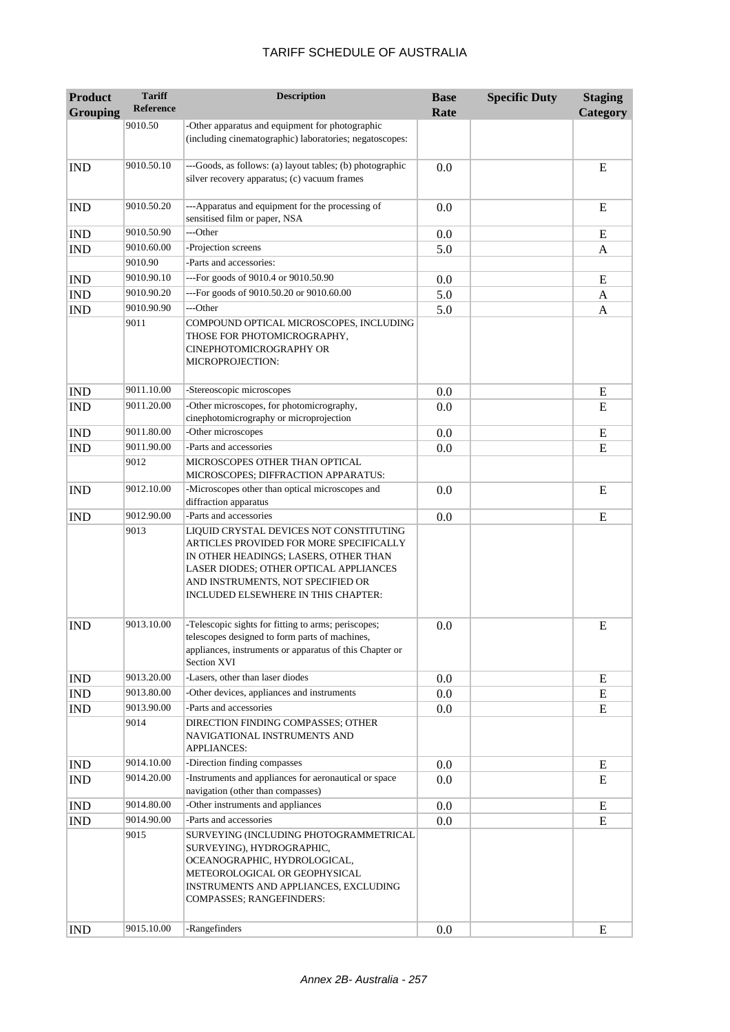| <b>Product</b><br><b>Grouping</b> | <b>Tariff</b><br><b>Reference</b> | <b>Description</b>                                                                                                                                                                                                                                       | <b>Base</b><br>Rate | <b>Specific Duty</b> | <b>Staging</b><br>Category |
|-----------------------------------|-----------------------------------|----------------------------------------------------------------------------------------------------------------------------------------------------------------------------------------------------------------------------------------------------------|---------------------|----------------------|----------------------------|
|                                   | 9010.50                           | -Other apparatus and equipment for photographic                                                                                                                                                                                                          |                     |                      |                            |
|                                   |                                   | (including cinematographic) laboratories; negatoscopes:                                                                                                                                                                                                  |                     |                      |                            |
| <b>IND</b>                        | 9010.50.10                        | ---Goods, as follows: (a) layout tables; (b) photographic<br>silver recovery apparatus; (c) vacuum frames                                                                                                                                                | 0.0                 |                      | E                          |
| <b>IND</b>                        | 9010.50.20                        | ---Apparatus and equipment for the processing of<br>sensitised film or paper, NSA                                                                                                                                                                        | 0.0                 |                      | E                          |
| <b>IND</b>                        | 9010.50.90                        | ---Other                                                                                                                                                                                                                                                 | 0.0                 |                      | E                          |
| <b>IND</b>                        | 9010.60.00                        | -Projection screens                                                                                                                                                                                                                                      | 5.0                 |                      | A                          |
|                                   | 9010.90                           | -Parts and accessories:                                                                                                                                                                                                                                  |                     |                      |                            |
| <b>IND</b>                        | 9010.90.10                        | ---For goods of 9010.4 or 9010.50.90                                                                                                                                                                                                                     | 0.0                 |                      | E                          |
| <b>IND</b>                        | 9010.90.20                        | ---For goods of 9010.50.20 or 9010.60.00                                                                                                                                                                                                                 | 5.0                 |                      | A                          |
| <b>IND</b>                        | 9010.90.90                        | ---Other                                                                                                                                                                                                                                                 | 5.0                 |                      | A                          |
|                                   | 9011                              | COMPOUND OPTICAL MICROSCOPES, INCLUDING<br>THOSE FOR PHOTOMICROGRAPHY,<br>CINEPHOTOMICROGRAPHY OR<br>MICROPROJECTION:                                                                                                                                    |                     |                      |                            |
| <b>IND</b>                        | 9011.10.00                        | -Stereoscopic microscopes                                                                                                                                                                                                                                | 0.0                 |                      | E                          |
| <b>IND</b>                        | 9011.20.00                        | -Other microscopes, for photomicrography,<br>cinephotomicrography or microprojection                                                                                                                                                                     | 0.0                 |                      | E                          |
| <b>IND</b>                        | 9011.80.00                        | -Other microscopes                                                                                                                                                                                                                                       | 0.0                 |                      | E                          |
| <b>IND</b>                        | 9011.90.00                        | -Parts and accessories                                                                                                                                                                                                                                   | 0.0                 |                      | E                          |
|                                   | 9012                              | MICROSCOPES OTHER THAN OPTICAL<br>MICROSCOPES; DIFFRACTION APPARATUS:                                                                                                                                                                                    |                     |                      |                            |
| <b>IND</b>                        | 9012.10.00                        | -Microscopes other than optical microscopes and<br>diffraction apparatus                                                                                                                                                                                 | 0.0                 |                      | E                          |
| <b>IND</b>                        | 9012.90.00                        | -Parts and accessories                                                                                                                                                                                                                                   | 0.0                 |                      | E                          |
|                                   | 9013                              | LIQUID CRYSTAL DEVICES NOT CONSTITUTING<br>ARTICLES PROVIDED FOR MORE SPECIFICALLY<br>IN OTHER HEADINGS; LASERS, OTHER THAN<br>LASER DIODES; OTHER OPTICAL APPLIANCES<br>AND INSTRUMENTS, NOT SPECIFIED OR<br><b>INCLUDED ELSEWHERE IN THIS CHAPTER:</b> |                     |                      |                            |
| <b>IND</b>                        | 9013.10.00                        | -Telescopic sights for fitting to arms; periscopes;<br>telescopes designed to form parts of machines,<br>appliances, instruments or apparatus of this Chapter or<br>Section XVI                                                                          | 0.0                 |                      | E                          |
| <b>IND</b>                        | 9013.20.00                        | -Lasers, other than laser diodes                                                                                                                                                                                                                         | 0.0                 |                      | ${\bf E}$                  |
| <b>IND</b>                        | 9013.80.00                        | -Other devices, appliances and instruments                                                                                                                                                                                                               | 0.0                 |                      | E                          |
| <b>IND</b>                        | 9013.90.00<br>9014                | -Parts and accessories<br>DIRECTION FINDING COMPASSES; OTHER<br>NAVIGATIONAL INSTRUMENTS AND<br><b>APPLIANCES:</b>                                                                                                                                       | 0.0                 |                      | ${\bf E}$                  |
| <b>IND</b>                        | 9014.10.00                        | -Direction finding compasses                                                                                                                                                                                                                             | 0.0                 |                      | E                          |
| <b>IND</b>                        | 9014.20.00                        | -Instruments and appliances for aeronautical or space<br>navigation (other than compasses)                                                                                                                                                               | 0.0                 |                      | E                          |
| <b>IND</b>                        | 9014.80.00                        | -Other instruments and appliances                                                                                                                                                                                                                        | 0.0                 |                      | E                          |
| <b>IND</b>                        | 9014.90.00                        | -Parts and accessories                                                                                                                                                                                                                                   | 0.0                 |                      | E                          |
|                                   | 9015                              | SURVEYING (INCLUDING PHOTOGRAMMETRICAL<br>SURVEYING), HYDROGRAPHIC,<br>OCEANOGRAPHIC, HYDROLOGICAL,<br>METEOROLOGICAL OR GEOPHYSICAL<br>INSTRUMENTS AND APPLIANCES, EXCLUDING<br>COMPASSES; RANGEFINDERS:                                                |                     |                      |                            |
| <b>IND</b>                        | 9015.10.00                        | -Rangefinders                                                                                                                                                                                                                                            | 0.0                 |                      | E                          |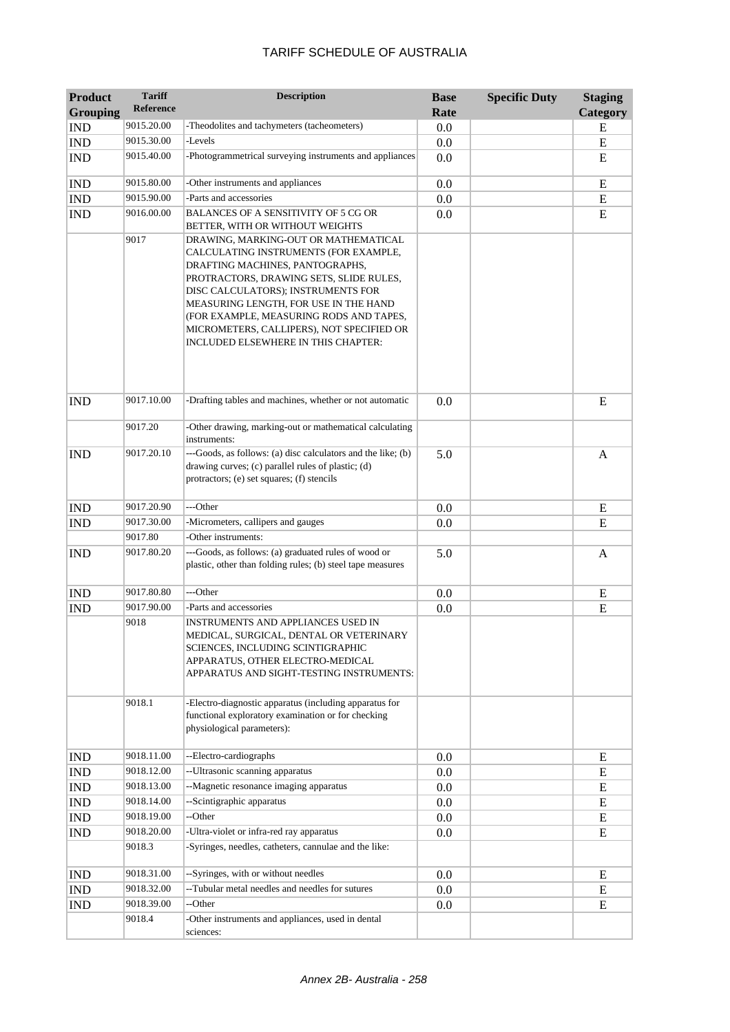| <b>Product</b>  | <b>Tariff</b>    | <b>Description</b>                                                                                                                                                                                                                                                                                                                                                        | <b>Base</b> | <b>Specific Duty</b> | <b>Staging</b> |
|-----------------|------------------|---------------------------------------------------------------------------------------------------------------------------------------------------------------------------------------------------------------------------------------------------------------------------------------------------------------------------------------------------------------------------|-------------|----------------------|----------------|
| <b>Grouping</b> | <b>Reference</b> |                                                                                                                                                                                                                                                                                                                                                                           | Rate        |                      | Category       |
| <b>IND</b>      | 9015.20.00       | -Theodolites and tachymeters (tacheometers)                                                                                                                                                                                                                                                                                                                               | 0.0         |                      | E              |
| <b>IND</b>      | 9015.30.00       | -Levels                                                                                                                                                                                                                                                                                                                                                                   | 0.0         |                      | E              |
| <b>IND</b>      | 9015.40.00       | -Photogrammetrical surveying instruments and appliances                                                                                                                                                                                                                                                                                                                   | 0.0         |                      | E              |
| <b>IND</b>      | 9015.80.00       | -Other instruments and appliances                                                                                                                                                                                                                                                                                                                                         | 0.0         |                      | E              |
| <b>IND</b>      | 9015.90.00       | -Parts and accessories                                                                                                                                                                                                                                                                                                                                                    | 0.0         |                      | ${\bf E}$      |
| <b>IND</b>      | 9016.00.00       | BALANCES OF A SENSITIVITY OF 5 CG OR<br>BETTER, WITH OR WITHOUT WEIGHTS                                                                                                                                                                                                                                                                                                   | 0.0         |                      | E              |
|                 | 9017             | DRAWING, MARKING-OUT OR MATHEMATICAL<br>CALCULATING INSTRUMENTS (FOR EXAMPLE,<br>DRAFTING MACHINES, PANTOGRAPHS,<br>PROTRACTORS, DRAWING SETS, SLIDE RULES,<br>DISC CALCULATORS); INSTRUMENTS FOR<br>MEASURING LENGTH, FOR USE IN THE HAND<br>(FOR EXAMPLE, MEASURING RODS AND TAPES,<br>MICROMETERS, CALLIPERS), NOT SPECIFIED OR<br>INCLUDED ELSEWHERE IN THIS CHAPTER: |             |                      |                |
| <b>IND</b>      | 9017.10.00       | -Drafting tables and machines, whether or not automatic                                                                                                                                                                                                                                                                                                                   | 0.0         |                      | E              |
|                 | 9017.20          | -Other drawing, marking-out or mathematical calculating<br>instruments:                                                                                                                                                                                                                                                                                                   |             |                      |                |
| <b>IND</b>      | 9017.20.10       | ---Goods, as follows: (a) disc calculators and the like; (b)<br>drawing curves; (c) parallel rules of plastic; (d)<br>protractors; (e) set squares; (f) stencils                                                                                                                                                                                                          | 5.0         |                      | A              |
| <b>IND</b>      | 9017.20.90       | ---Other                                                                                                                                                                                                                                                                                                                                                                  | 0.0         |                      | E              |
| <b>IND</b>      | 9017.30.00       | -Micrometers, callipers and gauges                                                                                                                                                                                                                                                                                                                                        | 0.0         |                      | E              |
|                 | 9017.80          | -Other instruments:                                                                                                                                                                                                                                                                                                                                                       |             |                      |                |
| <b>IND</b>      | 9017.80.20       | ---Goods, as follows: (a) graduated rules of wood or<br>plastic, other than folding rules; (b) steel tape measures                                                                                                                                                                                                                                                        | 5.0         |                      | A              |
| <b>IND</b>      | 9017.80.80       | ---Other                                                                                                                                                                                                                                                                                                                                                                  | 0.0         |                      | E              |
| <b>IND</b>      | 9017.90.00       | -Parts and accessories                                                                                                                                                                                                                                                                                                                                                    | 0.0         |                      | E              |
|                 | 9018             | INSTRUMENTS AND APPLIANCES USED IN<br>MEDICAL, SURGICAL, DENTAL OR VETERINARY<br>SCIENCES, INCLUDING SCINTIGRAPHIC<br>APPARATUS, OTHER ELECTRO-MEDICAL<br>APPARATUS AND SIGHT-TESTING INSTRUMENTS:                                                                                                                                                                        |             |                      |                |
|                 | 9018.1           | -Electro-diagnostic apparatus (including apparatus for<br>functional exploratory examination or for checking<br>physiological parameters):                                                                                                                                                                                                                                |             |                      |                |
| <b>IND</b>      | 9018.11.00       | --Electro-cardiographs                                                                                                                                                                                                                                                                                                                                                    | 0.0         |                      | E              |
| IND             | 9018.12.00       | -- Ultrasonic scanning apparatus                                                                                                                                                                                                                                                                                                                                          | $0.0\,$     |                      | E              |
| <b>IND</b>      | 9018.13.00       | --Magnetic resonance imaging apparatus                                                                                                                                                                                                                                                                                                                                    | $0.0\,$     |                      | E              |
| <b>IND</b>      | 9018.14.00       | --Scintigraphic apparatus                                                                                                                                                                                                                                                                                                                                                 | $0.0\,$     |                      | E              |
| <b>IND</b>      | 9018.19.00       | --Other                                                                                                                                                                                                                                                                                                                                                                   | $0.0\,$     |                      | E              |
| <b>IND</b>      | 9018.20.00       | -Ultra-violet or infra-red ray apparatus                                                                                                                                                                                                                                                                                                                                  | 0.0         |                      | E              |
|                 | 9018.3           | -Syringes, needles, catheters, cannulae and the like:                                                                                                                                                                                                                                                                                                                     |             |                      |                |
| <b>IND</b>      | 9018.31.00       | --Syringes, with or without needles                                                                                                                                                                                                                                                                                                                                       | $0.0\,$     |                      | E              |
| <b>IND</b>      | 9018.32.00       | --Tubular metal needles and needles for sutures                                                                                                                                                                                                                                                                                                                           | $0.0\,$     |                      | E              |
| <b>IND</b>      | 9018.39.00       | --Other                                                                                                                                                                                                                                                                                                                                                                   | 0.0         |                      | E              |
|                 | 9018.4           | -Other instruments and appliances, used in dental<br>sciences:                                                                                                                                                                                                                                                                                                            |             |                      |                |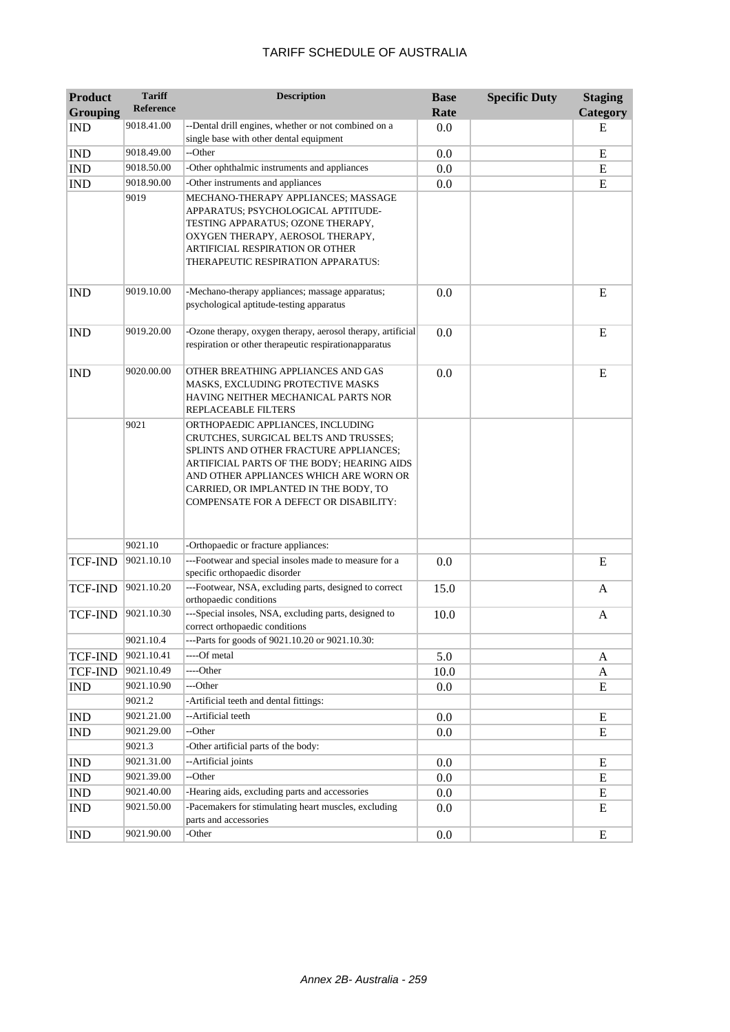| <b>Product</b>  | <b>Tariff</b>    | <b>Description</b>                                                                                                                                                                                                                                                                              | <b>Base</b> | <b>Specific Duty</b> | <b>Staging</b> |
|-----------------|------------------|-------------------------------------------------------------------------------------------------------------------------------------------------------------------------------------------------------------------------------------------------------------------------------------------------|-------------|----------------------|----------------|
| <b>Grouping</b> | <b>Reference</b> |                                                                                                                                                                                                                                                                                                 | Rate        |                      | Category       |
| <b>IND</b>      | 9018.41.00       | --Dental drill engines, whether or not combined on a<br>single base with other dental equipment                                                                                                                                                                                                 | 0.0         |                      | E              |
| <b>IND</b>      | 9018.49.00       | --Other                                                                                                                                                                                                                                                                                         | 0.0         |                      | E              |
| <b>IND</b>      | 9018.50.00       | -Other ophthalmic instruments and appliances                                                                                                                                                                                                                                                    | 0.0         |                      | E              |
| <b>IND</b>      | 9018.90.00       | -Other instruments and appliances                                                                                                                                                                                                                                                               | 0.0         |                      | E              |
|                 | 9019             | MECHANO-THERAPY APPLIANCES; MASSAGE<br>APPARATUS; PSYCHOLOGICAL APTITUDE-<br>TESTING APPARATUS; OZONE THERAPY,<br>OXYGEN THERAPY, AEROSOL THERAPY,<br>ARTIFICIAL RESPIRATION OR OTHER<br>THERAPEUTIC RESPIRATION APPARATUS:                                                                     |             |                      |                |
| <b>IND</b>      | 9019.10.00       | -Mechano-therapy appliances; massage apparatus;<br>psychological aptitude-testing apparatus                                                                                                                                                                                                     | 0.0         |                      | E              |
| <b>IND</b>      | 9019.20.00       | -Ozone therapy, oxygen therapy, aerosol therapy, artificial<br>respiration or other therapeutic respirationapparatus                                                                                                                                                                            | 0.0         |                      | E              |
| <b>IND</b>      | 9020.00.00       | OTHER BREATHING APPLIANCES AND GAS<br>MASKS, EXCLUDING PROTECTIVE MASKS<br>HAVING NEITHER MECHANICAL PARTS NOR<br>REPLACEABLE FILTERS                                                                                                                                                           | 0.0         |                      | E              |
|                 | 9021             | ORTHOPAEDIC APPLIANCES, INCLUDING<br>CRUTCHES, SURGICAL BELTS AND TRUSSES;<br>SPLINTS AND OTHER FRACTURE APPLIANCES;<br>ARTIFICIAL PARTS OF THE BODY; HEARING AIDS<br>AND OTHER APPLIANCES WHICH ARE WORN OR<br>CARRIED, OR IMPLANTED IN THE BODY, TO<br>COMPENSATE FOR A DEFECT OR DISABILITY: |             |                      |                |
|                 | 9021.10          | -Orthopaedic or fracture appliances:                                                                                                                                                                                                                                                            |             |                      |                |
| <b>TCF-IND</b>  | 9021.10.10       | ---Footwear and special insoles made to measure for a<br>specific orthopaedic disorder                                                                                                                                                                                                          | 0.0         |                      | E              |
| <b>TCF-IND</b>  | 9021.10.20       | ---Footwear, NSA, excluding parts, designed to correct<br>orthopaedic conditions                                                                                                                                                                                                                | 15.0        |                      | A              |
| <b>TCF-IND</b>  | 9021.10.30       | ---Special insoles, NSA, excluding parts, designed to<br>correct orthopaedic conditions                                                                                                                                                                                                         | 10.0        |                      | A              |
|                 | 9021.10.4        | ---Parts for goods of 9021.10.20 or 9021.10.30:                                                                                                                                                                                                                                                 |             |                      |                |
| <b>TCF-IND</b>  | 9021.10.41       | ----Of metal                                                                                                                                                                                                                                                                                    | 5.0         |                      | A              |
| <b>TCF-IND</b>  | 9021.10.49       | ----Other                                                                                                                                                                                                                                                                                       | 10.0        |                      | A              |
| <b>IND</b>      | 9021.10.90       | ---Other                                                                                                                                                                                                                                                                                        | 0.0         |                      | E              |
|                 | 9021.2           | -Artificial teeth and dental fittings:                                                                                                                                                                                                                                                          |             |                      |                |
| <b>IND</b>      | 9021.21.00       | --Artificial teeth                                                                                                                                                                                                                                                                              | 0.0         |                      | E              |
| <b>IND</b>      | 9021.29.00       | --Other                                                                                                                                                                                                                                                                                         | 0.0         |                      | ${\bf E}$      |
|                 | 9021.3           | -Other artificial parts of the body:                                                                                                                                                                                                                                                            |             |                      |                |
| <b>IND</b>      | 9021.31.00       | --Artificial joints                                                                                                                                                                                                                                                                             | 0.0         |                      | ${\bf E}$      |
| <b>IND</b>      | 9021.39.00       | --Other                                                                                                                                                                                                                                                                                         | 0.0         |                      | ${\bf E}$      |
| <b>IND</b>      | 9021.40.00       | -Hearing aids, excluding parts and accessories                                                                                                                                                                                                                                                  | 0.0         |                      | E              |
| <b>IND</b>      | 9021.50.00       | -Pacemakers for stimulating heart muscles, excluding<br>parts and accessories                                                                                                                                                                                                                   | 0.0         |                      | E              |
| <b>IND</b>      | 9021.90.00       | -Other                                                                                                                                                                                                                                                                                          | 0.0         |                      | ${\bf E}$      |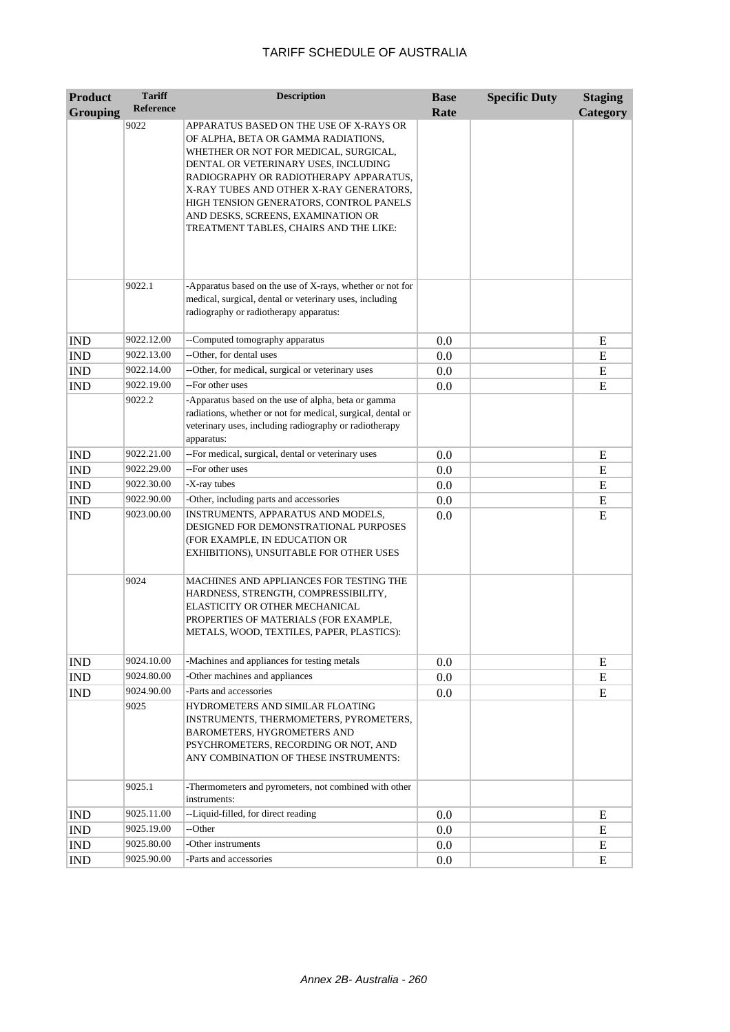| <b>Product</b>              | <b>Tariff</b>    | <b>Description</b>                                                                                                                                                                                                                                                                                                                                                              | <b>Base</b> | <b>Specific Duty</b> | <b>Staging</b> |
|-----------------------------|------------------|---------------------------------------------------------------------------------------------------------------------------------------------------------------------------------------------------------------------------------------------------------------------------------------------------------------------------------------------------------------------------------|-------------|----------------------|----------------|
| <b>Grouping</b>             | <b>Reference</b> |                                                                                                                                                                                                                                                                                                                                                                                 | Rate        |                      | Category       |
|                             | 9022             | APPARATUS BASED ON THE USE OF X-RAYS OR<br>OF ALPHA, BETA OR GAMMA RADIATIONS,<br>WHETHER OR NOT FOR MEDICAL, SURGICAL,<br>DENTAL OR VETERINARY USES, INCLUDING<br>RADIOGRAPHY OR RADIOTHERAPY APPARATUS,<br>X-RAY TUBES AND OTHER X-RAY GENERATORS,<br>HIGH TENSION GENERATORS, CONTROL PANELS<br>AND DESKS, SCREENS, EXAMINATION OR<br>TREATMENT TABLES, CHAIRS AND THE LIKE: |             |                      |                |
|                             | 9022.1           | -Apparatus based on the use of X-rays, whether or not for<br>medical, surgical, dental or veterinary uses, including<br>radiography or radiotherapy apparatus:                                                                                                                                                                                                                  |             |                      |                |
| <b>IND</b>                  | 9022.12.00       | --Computed tomography apparatus                                                                                                                                                                                                                                                                                                                                                 | 0.0         |                      | Ε              |
| <b>IND</b>                  | 9022.13.00       | --Other, for dental uses                                                                                                                                                                                                                                                                                                                                                        | 0.0         |                      | E              |
| <b>IND</b>                  | 9022.14.00       | --Other, for medical, surgical or veterinary uses                                                                                                                                                                                                                                                                                                                               | 0.0         |                      | E              |
| <b>IND</b>                  | 9022.19.00       | --For other uses                                                                                                                                                                                                                                                                                                                                                                | 0.0         |                      | E              |
|                             | 9022.2           | -Apparatus based on the use of alpha, beta or gamma<br>radiations, whether or not for medical, surgical, dental or<br>veterinary uses, including radiography or radiotherapy<br>apparatus:                                                                                                                                                                                      |             |                      |                |
| <b>IND</b>                  | 9022.21.00       | --For medical, surgical, dental or veterinary uses                                                                                                                                                                                                                                                                                                                              | 0.0         |                      | E              |
| IND                         | 9022.29.00       | --For other uses                                                                                                                                                                                                                                                                                                                                                                | 0.0         |                      | E              |
| <b>IND</b>                  | 9022.30.00       | -X-ray tubes                                                                                                                                                                                                                                                                                                                                                                    | 0.0         |                      | E              |
| IND                         | 9022.90.00       | -Other, including parts and accessories                                                                                                                                                                                                                                                                                                                                         | 0.0         |                      | E              |
| <b>IND</b>                  | 9023.00.00       | INSTRUMENTS, APPARATUS AND MODELS,<br>DESIGNED FOR DEMONSTRATIONAL PURPOSES<br>(FOR EXAMPLE, IN EDUCATION OR<br>EXHIBITIONS), UNSUITABLE FOR OTHER USES                                                                                                                                                                                                                         | 0.0         |                      | E              |
|                             | 9024             | MACHINES AND APPLIANCES FOR TESTING THE<br>HARDNESS, STRENGTH, COMPRESSIBILITY,<br>ELASTICITY OR OTHER MECHANICAL<br>PROPERTIES OF MATERIALS (FOR EXAMPLE,<br>METALS, WOOD, TEXTILES, PAPER, PLASTICS):                                                                                                                                                                         |             |                      |                |
| <b>IND</b>                  | 9024.10.00       | -Machines and appliances for testing metals                                                                                                                                                                                                                                                                                                                                     | 0.0         |                      | E              |
| <b>IND</b>                  | 9024.80.00       | -Other machines and appliances                                                                                                                                                                                                                                                                                                                                                  | 0.0         |                      | E              |
| <b>IND</b>                  | 9024.90.00       | -Parts and accessories                                                                                                                                                                                                                                                                                                                                                          | 0.0         |                      | E              |
|                             | 9025             | HYDROMETERS AND SIMILAR FLOATING<br>INSTRUMENTS, THERMOMETERS, PYROMETERS,<br>BAROMETERS, HYGROMETERS AND<br>PSYCHROMETERS, RECORDING OR NOT, AND<br>ANY COMBINATION OF THESE INSTRUMENTS:                                                                                                                                                                                      |             |                      |                |
|                             | 9025.1           | -Thermometers and pyrometers, not combined with other<br>instruments:                                                                                                                                                                                                                                                                                                           |             |                      |                |
| <b>IND</b>                  | 9025.11.00       | --Liquid-filled, for direct reading                                                                                                                                                                                                                                                                                                                                             | 0.0         |                      | E              |
| IND                         | 9025.19.00       | --Other                                                                                                                                                                                                                                                                                                                                                                         | $0.0\,$     |                      | E              |
| $\mathop{\rm IND}\nolimits$ | 9025.80.00       | -Other instruments                                                                                                                                                                                                                                                                                                                                                              | $0.0\,$     |                      | E              |
| IND                         | 9025.90.00       | -Parts and accessories                                                                                                                                                                                                                                                                                                                                                          | 0.0         |                      | E              |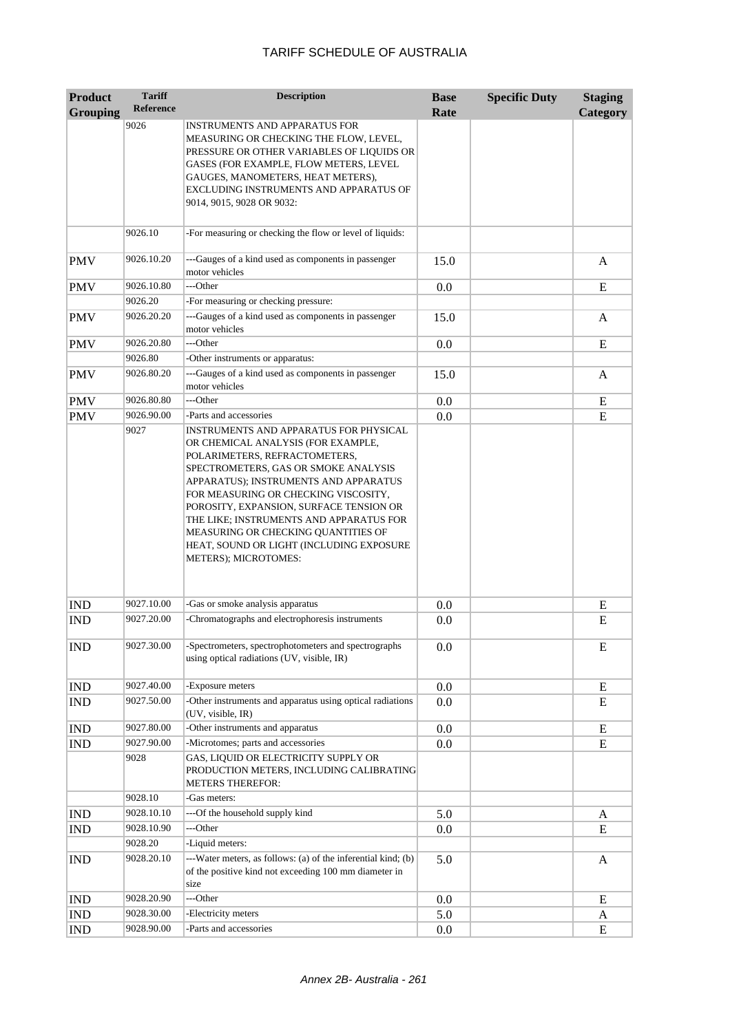| <b>Product</b>  | <b>Tariff</b><br><b>Reference</b> | <b>Description</b>                                                                                                                                                                                                                                                                                                                                                                                                                      | <b>Base</b> | <b>Specific Duty</b> | <b>Staging</b> |
|-----------------|-----------------------------------|-----------------------------------------------------------------------------------------------------------------------------------------------------------------------------------------------------------------------------------------------------------------------------------------------------------------------------------------------------------------------------------------------------------------------------------------|-------------|----------------------|----------------|
| <b>Grouping</b> |                                   |                                                                                                                                                                                                                                                                                                                                                                                                                                         | Rate        |                      | Category       |
|                 | 9026                              | INSTRUMENTS AND APPARATUS FOR<br>MEASURING OR CHECKING THE FLOW, LEVEL,<br>PRESSURE OR OTHER VARIABLES OF LIQUIDS OR<br>GASES (FOR EXAMPLE, FLOW METERS, LEVEL<br>GAUGES, MANOMETERS, HEAT METERS),<br>EXCLUDING INSTRUMENTS AND APPARATUS OF                                                                                                                                                                                           |             |                      |                |
|                 |                                   | 9014, 9015, 9028 OR 9032:                                                                                                                                                                                                                                                                                                                                                                                                               |             |                      |                |
|                 | 9026.10                           | -For measuring or checking the flow or level of liquids:                                                                                                                                                                                                                                                                                                                                                                                |             |                      |                |
| <b>PMV</b>      | 9026.10.20                        | ---Gauges of a kind used as components in passenger<br>motor vehicles                                                                                                                                                                                                                                                                                                                                                                   | 15.0        |                      | A              |
| <b>PMV</b>      | 9026.10.80                        | ---Other                                                                                                                                                                                                                                                                                                                                                                                                                                | 0.0         |                      | E              |
|                 | 9026.20                           | -For measuring or checking pressure:                                                                                                                                                                                                                                                                                                                                                                                                    |             |                      |                |
| <b>PMV</b>      | 9026.20.20                        | ---Gauges of a kind used as components in passenger<br>motor vehicles                                                                                                                                                                                                                                                                                                                                                                   | 15.0        |                      | A              |
| <b>PMV</b>      | 9026.20.80                        | ---Other                                                                                                                                                                                                                                                                                                                                                                                                                                | 0.0         |                      | E              |
|                 | 9026.80                           | -Other instruments or apparatus:                                                                                                                                                                                                                                                                                                                                                                                                        |             |                      |                |
| <b>PMV</b>      | 9026.80.20                        | ---Gauges of a kind used as components in passenger<br>motor vehicles                                                                                                                                                                                                                                                                                                                                                                   | 15.0        |                      | A              |
| <b>PMV</b>      | 9026.80.80                        | ---Other                                                                                                                                                                                                                                                                                                                                                                                                                                | 0.0         |                      | E              |
| <b>PMV</b>      | 9026.90.00                        | -Parts and accessories                                                                                                                                                                                                                                                                                                                                                                                                                  | 0.0         |                      | E              |
|                 | 9027                              | INSTRUMENTS AND APPARATUS FOR PHYSICAL<br>OR CHEMICAL ANALYSIS (FOR EXAMPLE,<br>POLARIMETERS, REFRACTOMETERS,<br>SPECTROMETERS, GAS OR SMOKE ANALYSIS<br>APPARATUS); INSTRUMENTS AND APPARATUS<br>FOR MEASURING OR CHECKING VISCOSITY,<br>POROSITY, EXPANSION, SURFACE TENSION OR<br>THE LIKE; INSTRUMENTS AND APPARATUS FOR<br>MEASURING OR CHECKING QUANTITIES OF<br>HEAT, SOUND OR LIGHT (INCLUDING EXPOSURE<br>METERS); MICROTOMES: |             |                      |                |
| <b>IND</b>      | 9027.10.00                        | -Gas or smoke analysis apparatus                                                                                                                                                                                                                                                                                                                                                                                                        | 0.0         |                      | E              |
| <b>IND</b>      | 9027.20.00                        | -Chromatographs and electrophoresis instruments                                                                                                                                                                                                                                                                                                                                                                                         | 0.0         |                      | E              |
| <b>IND</b>      | 9027.30.00                        | -Spectrometers, spectrophotometers and spectrographs<br>using optical radiations (UV, visible, IR)                                                                                                                                                                                                                                                                                                                                      | 0.0         |                      | E              |
| <b>IND</b>      | 9027.40.00                        | -Exposure meters                                                                                                                                                                                                                                                                                                                                                                                                                        | $0.0\,$     |                      | E              |
| IND             | 9027.50.00                        | -Other instruments and apparatus using optical radiations<br>(UV, visible, IR)                                                                                                                                                                                                                                                                                                                                                          | 0.0         |                      | E              |
| <b>IND</b>      | 9027.80.00                        | -Other instruments and apparatus                                                                                                                                                                                                                                                                                                                                                                                                        | 0.0         |                      | E              |
| <b>IND</b>      | 9027.90.00                        | -Microtomes; parts and accessories                                                                                                                                                                                                                                                                                                                                                                                                      | 0.0         |                      | E              |
|                 | 9028                              | GAS, LIQUID OR ELECTRICITY SUPPLY OR<br>PRODUCTION METERS, INCLUDING CALIBRATING<br><b>METERS THEREFOR:</b>                                                                                                                                                                                                                                                                                                                             |             |                      |                |
|                 | 9028.10                           | -Gas meters:                                                                                                                                                                                                                                                                                                                                                                                                                            |             |                      |                |
| <b>IND</b>      | 9028.10.10                        | ---Of the household supply kind                                                                                                                                                                                                                                                                                                                                                                                                         | 5.0         |                      | A              |
| <b>IND</b>      | 9028.10.90                        | ---Other                                                                                                                                                                                                                                                                                                                                                                                                                                | 0.0         |                      | E              |
|                 | 9028.20                           | -Liquid meters:                                                                                                                                                                                                                                                                                                                                                                                                                         |             |                      |                |
| <b>IND</b>      | 9028.20.10                        | ---Water meters, as follows: (a) of the inferential kind; (b)<br>of the positive kind not exceeding 100 mm diameter in<br>size                                                                                                                                                                                                                                                                                                          | 5.0         |                      | A              |
| <b>IND</b>      | 9028.20.90                        | ---Other                                                                                                                                                                                                                                                                                                                                                                                                                                | 0.0         |                      | E              |
| <b>IND</b>      | 9028.30.00                        | -Electricity meters                                                                                                                                                                                                                                                                                                                                                                                                                     | 5.0         |                      | A              |
| <b>IND</b>      | 9028.90.00                        | -Parts and accessories                                                                                                                                                                                                                                                                                                                                                                                                                  | 0.0         |                      | E              |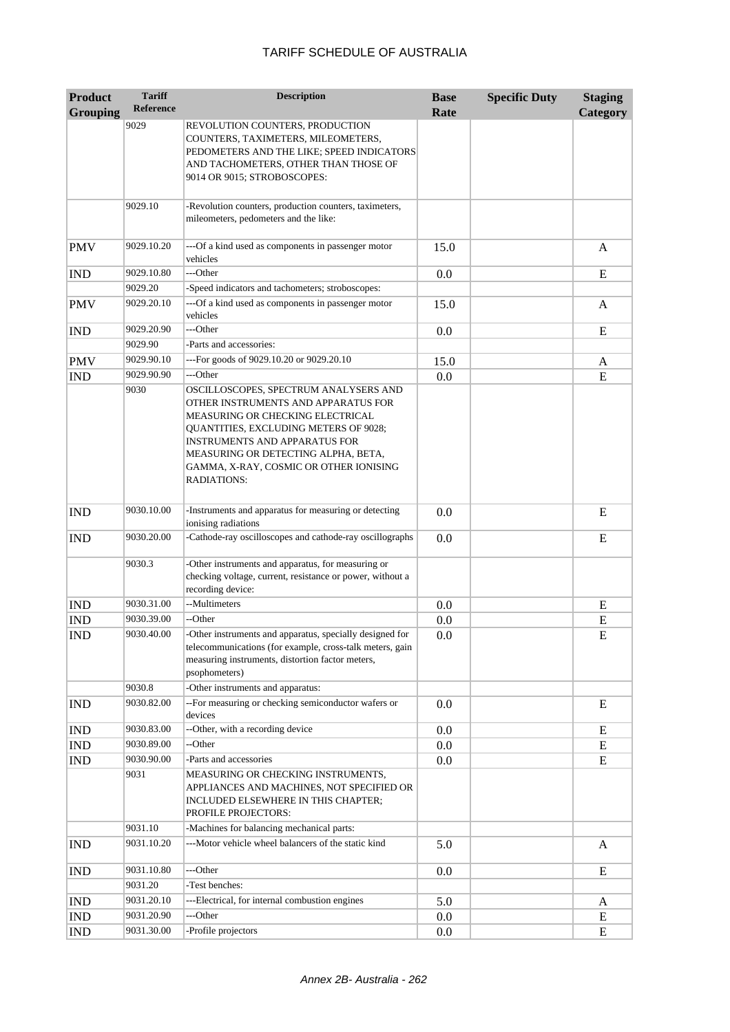| <b>Product</b>  | <b>Tariff</b>    | <b>Description</b>                                                                                                                                                                                                                                                                                       | <b>Base</b> | <b>Specific Duty</b> | <b>Staging</b> |
|-----------------|------------------|----------------------------------------------------------------------------------------------------------------------------------------------------------------------------------------------------------------------------------------------------------------------------------------------------------|-------------|----------------------|----------------|
| <b>Grouping</b> | <b>Reference</b> |                                                                                                                                                                                                                                                                                                          | Rate        |                      | Category       |
|                 | 9029             | REVOLUTION COUNTERS, PRODUCTION<br>COUNTERS, TAXIMETERS, MILEOMETERS,<br>PEDOMETERS AND THE LIKE; SPEED INDICATORS<br>AND TACHOMETERS, OTHER THAN THOSE OF<br>9014 OR 9015; STROBOSCOPES:                                                                                                                |             |                      |                |
|                 | 9029.10          | -Revolution counters, production counters, taximeters,<br>mileometers, pedometers and the like:                                                                                                                                                                                                          |             |                      |                |
| <b>PMV</b>      | 9029.10.20       | ---Of a kind used as components in passenger motor<br>vehicles                                                                                                                                                                                                                                           | 15.0        |                      | A              |
| <b>IND</b>      | 9029.10.80       | ---Other                                                                                                                                                                                                                                                                                                 | 0.0         |                      | E              |
|                 | 9029.20          | -Speed indicators and tachometers; stroboscopes:                                                                                                                                                                                                                                                         |             |                      |                |
| <b>PMV</b>      | 9029.20.10       | ---Of a kind used as components in passenger motor<br>vehicles                                                                                                                                                                                                                                           | 15.0        |                      | A              |
| <b>IND</b>      | 9029.20.90       | ---Other                                                                                                                                                                                                                                                                                                 | 0.0         |                      | E              |
|                 | 9029.90          | -Parts and accessories:                                                                                                                                                                                                                                                                                  |             |                      |                |
| <b>PMV</b>      | 9029.90.10       | ---For goods of 9029.10.20 or 9029.20.10                                                                                                                                                                                                                                                                 | 15.0        |                      | A              |
| <b>IND</b>      | 9029.90.90       | ---Other                                                                                                                                                                                                                                                                                                 | 0.0         |                      | E              |
|                 | 9030             | OSCILLOSCOPES, SPECTRUM ANALYSERS AND<br>OTHER INSTRUMENTS AND APPARATUS FOR<br>MEASURING OR CHECKING ELECTRICAL<br>QUANTITIES, EXCLUDING METERS OF 9028;<br><b>INSTRUMENTS AND APPARATUS FOR</b><br>MEASURING OR DETECTING ALPHA, BETA,<br>GAMMA, X-RAY, COSMIC OR OTHER IONISING<br><b>RADIATIONS:</b> |             |                      |                |
| <b>IND</b>      | 9030.10.00       | -Instruments and apparatus for measuring or detecting<br>ionising radiations                                                                                                                                                                                                                             | 0.0         |                      | E              |
| <b>IND</b>      | 9030.20.00       | -Cathode-ray oscilloscopes and cathode-ray oscillographs                                                                                                                                                                                                                                                 | 0.0         |                      | E              |
|                 | 9030.3           | -Other instruments and apparatus, for measuring or<br>checking voltage, current, resistance or power, without a<br>recording device:                                                                                                                                                                     |             |                      |                |
| <b>IND</b>      | 9030.31.00       | --Multimeters                                                                                                                                                                                                                                                                                            | 0.0         |                      | E              |
| <b>IND</b>      | 9030.39.00       | --Other                                                                                                                                                                                                                                                                                                  | 0.0         |                      | E              |
| <b>IND</b>      | 9030.40.00       | -Other instruments and apparatus, specially designed for<br>telecommunications (for example, cross-talk meters, gain<br>measuring instruments, distortion factor meters,<br>psophometers)                                                                                                                | 0.0         |                      | E              |
|                 | 9030.8           | -Other instruments and apparatus:                                                                                                                                                                                                                                                                        |             |                      |                |
| <b>IND</b>      | 9030.82.00       | -- For measuring or checking semiconductor wafers or<br>devices                                                                                                                                                                                                                                          | 0.0         |                      | E              |
| <b>IND</b>      | 9030.83.00       | --Other, with a recording device                                                                                                                                                                                                                                                                         | 0.0         |                      | E              |
| <b>IND</b>      | 9030.89.00       | --Other                                                                                                                                                                                                                                                                                                  | 0.0         |                      | E              |
| <b>IND</b>      | 9030.90.00       | -Parts and accessories                                                                                                                                                                                                                                                                                   | 0.0         |                      | E              |
|                 | 9031             | MEASURING OR CHECKING INSTRUMENTS,<br>APPLIANCES AND MACHINES, NOT SPECIFIED OR<br>INCLUDED ELSEWHERE IN THIS CHAPTER;<br>PROFILE PROJECTORS:                                                                                                                                                            |             |                      |                |
|                 | 9031.10          | -Machines for balancing mechanical parts:                                                                                                                                                                                                                                                                |             |                      |                |
| <b>IND</b>      | 9031.10.20       | ---Motor vehicle wheel balancers of the static kind                                                                                                                                                                                                                                                      | 5.0         |                      | A              |
| <b>IND</b>      | 9031.10.80       | ---Other                                                                                                                                                                                                                                                                                                 | 0.0         |                      | E              |
|                 | 9031.20          | -Test benches:                                                                                                                                                                                                                                                                                           |             |                      |                |
| <b>IND</b>      | 9031.20.10       | ---Electrical, for internal combustion engines                                                                                                                                                                                                                                                           | 5.0         |                      | A              |
| <b>IND</b>      | 9031.20.90       | ---Other                                                                                                                                                                                                                                                                                                 | 0.0         |                      | ${\bf E}$      |
| <b>IND</b>      | 9031.30.00       | -Profile projectors                                                                                                                                                                                                                                                                                      | 0.0         |                      | E              |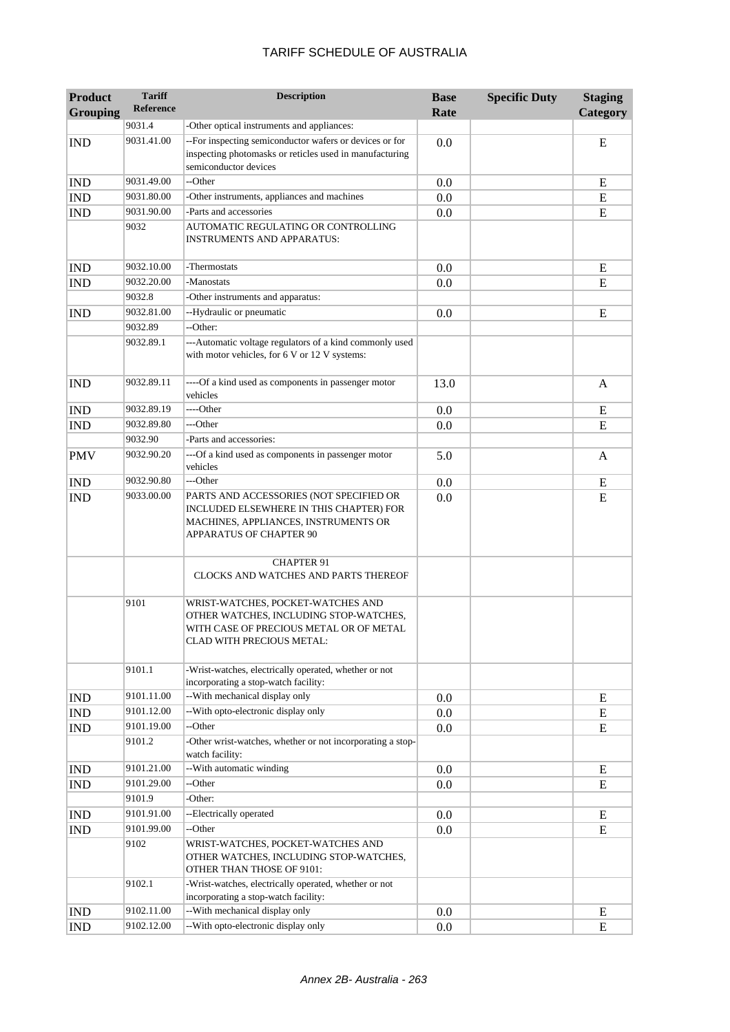| <b>Product</b>              | <b>Tariff</b>    | <b>Description</b>                                                                                                                                    | <b>Base</b> | <b>Specific Duty</b> | <b>Staging</b> |
|-----------------------------|------------------|-------------------------------------------------------------------------------------------------------------------------------------------------------|-------------|----------------------|----------------|
| <b>Grouping</b>             | <b>Reference</b> |                                                                                                                                                       | Rate        |                      | Category       |
|                             | 9031.4           | -Other optical instruments and appliances:                                                                                                            |             |                      |                |
| <b>IND</b>                  | 9031.41.00       | -- For inspecting semiconductor wafers or devices or for<br>inspecting photomasks or reticles used in manufacturing<br>semiconductor devices          | 0.0         |                      | E              |
| <b>IND</b>                  | 9031.49.00       | --Other                                                                                                                                               | 0.0         |                      | E              |
| <b>IND</b>                  | 9031.80.00       | -Other instruments, appliances and machines                                                                                                           | 0.0         |                      | E              |
| <b>IND</b>                  | 9031.90.00       | -Parts and accessories                                                                                                                                | 0.0         |                      | E              |
|                             | 9032             | AUTOMATIC REGULATING OR CONTROLLING<br>INSTRUMENTS AND APPARATUS:                                                                                     |             |                      |                |
| <b>IND</b>                  | 9032.10.00       | -Thermostats                                                                                                                                          | 0.0         |                      | E              |
| <b>IND</b>                  | 9032.20.00       | -Manostats                                                                                                                                            | 0.0         |                      | E              |
|                             | 9032.8           | -Other instruments and apparatus:                                                                                                                     |             |                      |                |
| <b>IND</b>                  | 9032.81.00       | --Hydraulic or pneumatic                                                                                                                              | 0.0         |                      | E              |
|                             | 9032.89          | --Other:                                                                                                                                              |             |                      |                |
|                             | 9032.89.1        | ---Automatic voltage regulators of a kind commonly used<br>with motor vehicles, for 6 V or 12 V systems:                                              |             |                      |                |
| <b>IND</b>                  | 9032.89.11       | ----Of a kind used as components in passenger motor<br>vehicles                                                                                       | 13.0        |                      | A              |
| <b>IND</b>                  | 9032.89.19       | ----Other                                                                                                                                             | 0.0         |                      | E              |
| <b>IND</b>                  | 9032.89.80       | ---Other                                                                                                                                              | 0.0         |                      | E              |
|                             | 9032.90          | -Parts and accessories:                                                                                                                               |             |                      |                |
| <b>PMV</b>                  | 9032.90.20       | ---Of a kind used as components in passenger motor<br>vehicles                                                                                        | 5.0         |                      | A              |
| <b>IND</b>                  | 9032.90.80       | ---Other                                                                                                                                              | 0.0         |                      | Ε              |
| <b>IND</b>                  | 9033.00.00       | PARTS AND ACCESSORIES (NOT SPECIFIED OR<br>INCLUDED ELSEWHERE IN THIS CHAPTER) FOR<br>MACHINES, APPLIANCES, INSTRUMENTS OR<br>APPARATUS OF CHAPTER 90 | 0.0         |                      | E              |
|                             |                  | <b>CHAPTER 91</b><br>CLOCKS AND WATCHES AND PARTS THEREOF                                                                                             |             |                      |                |
|                             | 9101             | WRIST-WATCHES, POCKET-WATCHES AND<br>OTHER WATCHES, INCLUDING STOP-WATCHES,<br>WITH CASE OF PRECIOUS METAL OR OF METAL<br>CLAD WITH PRECIOUS METAL:   |             |                      |                |
|                             | 9101.1           | -Wrist-watches, electrically operated, whether or not<br>incorporating a stop-watch facility:                                                         |             |                      |                |
| <b>IND</b>                  | 9101.11.00       | -- With mechanical display only                                                                                                                       | 0.0         |                      | ${\bf E}$      |
| <b>IND</b>                  | 9101.12.00       | --With opto-electronic display only                                                                                                                   | 0.0         |                      | E              |
| <b>IND</b>                  | 9101.19.00       | --Other                                                                                                                                               | 0.0         |                      | ${\bf E}$      |
|                             | 9101.2           | -Other wrist-watches, whether or not incorporating a stop-<br>watch facility:                                                                         |             |                      |                |
| <b>IND</b>                  | 9101.21.00       | -- With automatic winding                                                                                                                             | 0.0         |                      | E              |
| <b>IND</b>                  | 9101.29.00       | --Other                                                                                                                                               | 0.0         |                      | ${\bf E}$      |
|                             | 9101.9           | -Other:                                                                                                                                               |             |                      |                |
| $\mathop{\rm IND}\nolimits$ | 9101.91.00       | --Electrically operated                                                                                                                               | 0.0         |                      | ${\bf E}$      |
| <b>IND</b>                  | 9101.99.00       | --Other                                                                                                                                               | 0.0         |                      | ${\bf E}$      |
|                             | 9102             | WRIST-WATCHES, POCKET-WATCHES AND<br>OTHER WATCHES, INCLUDING STOP-WATCHES,<br>OTHER THAN THOSE OF 9101:                                              |             |                      |                |
|                             | 9102.1           | -Wrist-watches, electrically operated, whether or not<br>incorporating a stop-watch facility:                                                         |             |                      |                |
| <b>IND</b>                  | 9102.11.00       | -- With mechanical display only                                                                                                                       | 0.0         |                      | E              |
| <b>IND</b>                  | 9102.12.00       | --With opto-electronic display only                                                                                                                   | 0.0         |                      | ${\bf E}$      |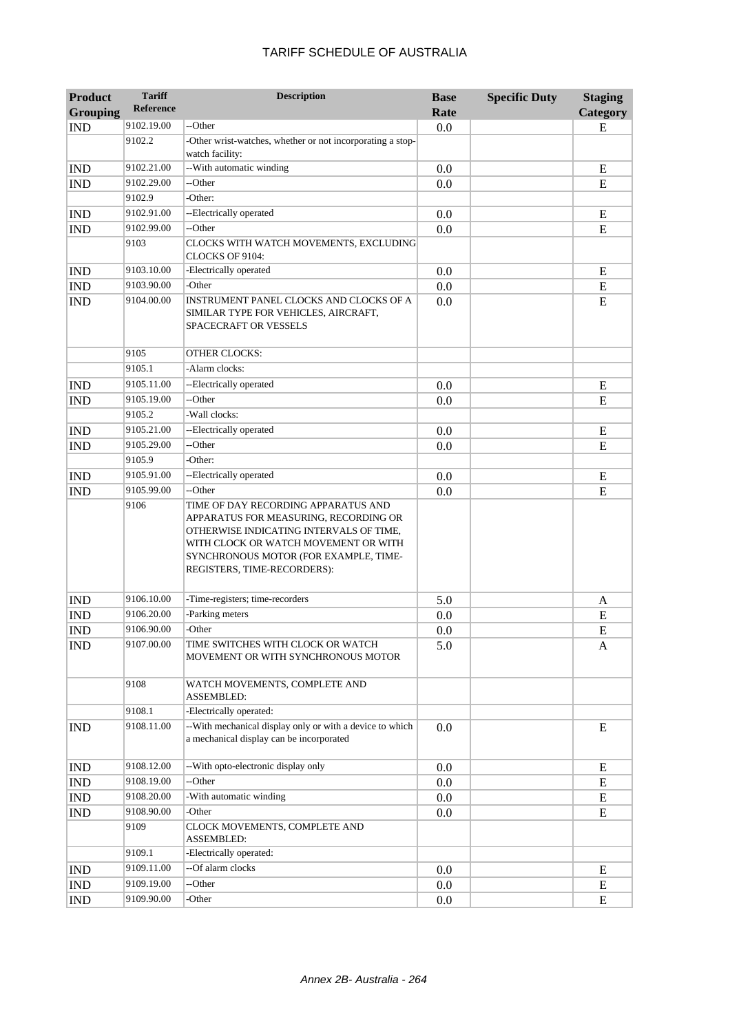| <b>Product</b>  | <b>Tariff</b>    | <b>Description</b>                                                                                                                                                                                                                      | <b>Base</b> | <b>Specific Duty</b> | <b>Staging</b> |
|-----------------|------------------|-----------------------------------------------------------------------------------------------------------------------------------------------------------------------------------------------------------------------------------------|-------------|----------------------|----------------|
| <b>Grouping</b> | <b>Reference</b> |                                                                                                                                                                                                                                         | Rate        |                      | Category       |
| <b>IND</b>      | 9102.19.00       | --Other                                                                                                                                                                                                                                 | 0.0         |                      | E              |
|                 | 9102.2           | -Other wrist-watches, whether or not incorporating a stop-<br>watch facility:                                                                                                                                                           |             |                      |                |
| <b>IND</b>      | 9102.21.00       | -- With automatic winding                                                                                                                                                                                                               | 0.0         |                      | E              |
| <b>IND</b>      | 9102.29.00       | --Other                                                                                                                                                                                                                                 | 0.0         |                      | E              |
|                 | 9102.9           | -Other:                                                                                                                                                                                                                                 |             |                      |                |
| <b>IND</b>      | 9102.91.00       | --Electrically operated                                                                                                                                                                                                                 | 0.0         |                      | E              |
| <b>IND</b>      | 9102.99.00       | --Other                                                                                                                                                                                                                                 | 0.0         |                      | E              |
|                 | 9103             | CLOCKS WITH WATCH MOVEMENTS, EXCLUDING<br>CLOCKS OF 9104:                                                                                                                                                                               |             |                      |                |
| <b>IND</b>      | 9103.10.00       | -Electrically operated                                                                                                                                                                                                                  | 0.0         |                      | E              |
| <b>IND</b>      | 9103.90.00       | -Other                                                                                                                                                                                                                                  | 0.0         |                      | ${\bf E}$      |
| <b>IND</b>      | 9104.00.00       | INSTRUMENT PANEL CLOCKS AND CLOCKS OF A<br>SIMILAR TYPE FOR VEHICLES, AIRCRAFT,<br>SPACECRAFT OR VESSELS                                                                                                                                | 0.0         |                      | E              |
|                 | 9105             | <b>OTHER CLOCKS:</b>                                                                                                                                                                                                                    |             |                      |                |
|                 | 9105.1           | -Alarm clocks:                                                                                                                                                                                                                          |             |                      |                |
| <b>IND</b>      | 9105.11.00       | --Electrically operated                                                                                                                                                                                                                 | 0.0         |                      | E              |
| <b>IND</b>      | 9105.19.00       | --Other                                                                                                                                                                                                                                 | 0.0         |                      | E              |
|                 | 9105.2           | -Wall clocks:                                                                                                                                                                                                                           |             |                      |                |
| <b>IND</b>      | 9105.21.00       | --Electrically operated                                                                                                                                                                                                                 | 0.0         |                      | E              |
| <b>IND</b>      | 9105.29.00       | --Other                                                                                                                                                                                                                                 | 0.0         |                      | ${\bf E}$      |
|                 | 9105.9           | -Other:                                                                                                                                                                                                                                 |             |                      |                |
| <b>IND</b>      | 9105.91.00       | --Electrically operated                                                                                                                                                                                                                 | 0.0         |                      | E              |
| <b>IND</b>      | 9105.99.00       | --Other                                                                                                                                                                                                                                 | 0.0         |                      | ${\bf E}$      |
|                 | 9106             | TIME OF DAY RECORDING APPARATUS AND<br>APPARATUS FOR MEASURING, RECORDING OR<br>OTHERWISE INDICATING INTERVALS OF TIME,<br>WITH CLOCK OR WATCH MOVEMENT OR WITH<br>SYNCHRONOUS MOTOR (FOR EXAMPLE, TIME-<br>REGISTERS, TIME-RECORDERS): |             |                      |                |
| <b>IND</b>      | 9106.10.00       | -Time-registers; time-recorders                                                                                                                                                                                                         | 5.0         |                      | A              |
| <b>IND</b>      | 9106.20.00       | -Parking meters                                                                                                                                                                                                                         | 0.0         |                      | ${\bf E}$      |
| <b>IND</b>      | 9106.90.00       | -Other                                                                                                                                                                                                                                  | 0.0         |                      | E              |
| <b>IND</b>      | 9107.00.00       | TIME SWITCHES WITH CLOCK OR WATCH<br>MOVEMENT OR WITH SYNCHRONOUS MOTOR                                                                                                                                                                 | 5.0         |                      | A              |
|                 | 9108             | WATCH MOVEMENTS, COMPLETE AND<br><b>ASSEMBLED:</b>                                                                                                                                                                                      |             |                      |                |
|                 | 9108.1           | -Electrically operated:                                                                                                                                                                                                                 |             |                      |                |
| <b>IND</b>      | 9108.11.00       | -- With mechanical display only or with a device to which<br>a mechanical display can be incorporated                                                                                                                                   | 0.0         |                      | E              |
| <b>IND</b>      | 9108.12.00       | --With opto-electronic display only                                                                                                                                                                                                     | 0.0         |                      | E              |
| IND             | 9108.19.00       | --Other                                                                                                                                                                                                                                 | $0.0\,$     |                      | E              |
| <b>IND</b>      | 9108.20.00       | -With automatic winding                                                                                                                                                                                                                 | 0.0         |                      | E              |
| <b>IND</b>      | 9108.90.00       | -Other                                                                                                                                                                                                                                  | 0.0         |                      | E              |
|                 | 9109             | CLOCK MOVEMENTS, COMPLETE AND<br>ASSEMBLED:                                                                                                                                                                                             |             |                      |                |
|                 | 9109.1           | -Electrically operated:                                                                                                                                                                                                                 |             |                      |                |
| <b>IND</b>      | 9109.11.00       | --Of alarm clocks                                                                                                                                                                                                                       | 0.0         |                      | E              |
| IND             | 9109.19.00       | --Other                                                                                                                                                                                                                                 | 0.0         |                      | E              |
| <b>IND</b>      | 9109.90.00       | -Other                                                                                                                                                                                                                                  | 0.0         |                      | ${\bf E}$      |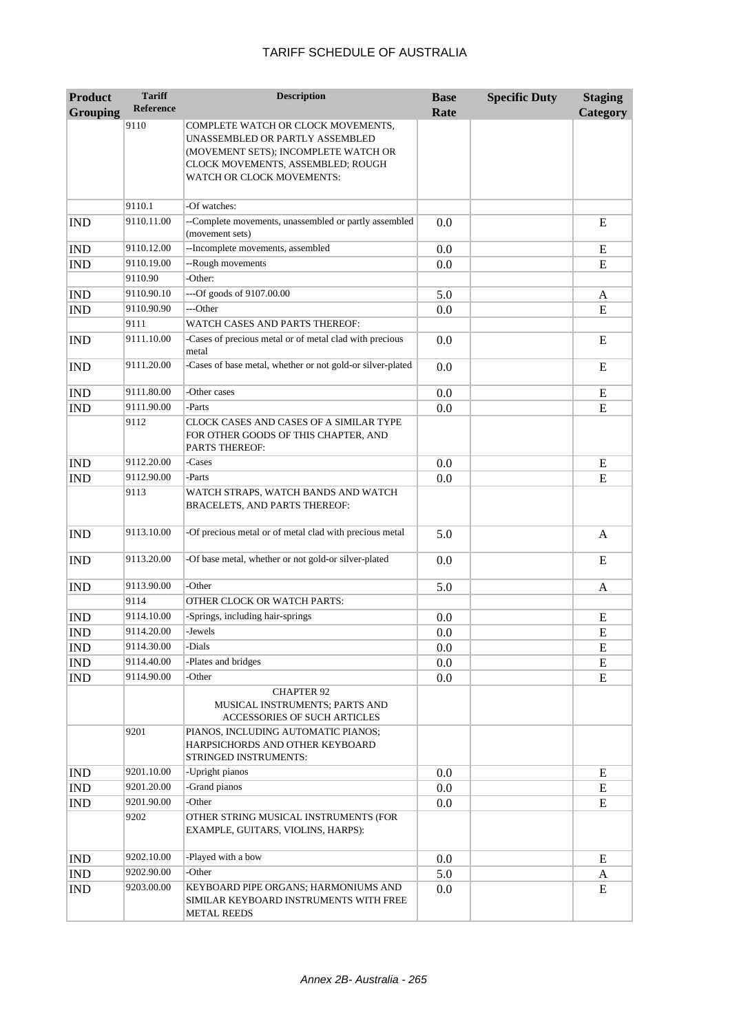| <b>Product</b>  | <b>Tariff</b>    | <b>Description</b>                                                                                                                                                              | <b>Base</b> | <b>Specific Duty</b> | <b>Staging</b> |
|-----------------|------------------|---------------------------------------------------------------------------------------------------------------------------------------------------------------------------------|-------------|----------------------|----------------|
| <b>Grouping</b> | <b>Reference</b> |                                                                                                                                                                                 | Rate        |                      | Category       |
|                 | 9110             | COMPLETE WATCH OR CLOCK MOVEMENTS,<br>UNASSEMBLED OR PARTLY ASSEMBLED<br>(MOVEMENT SETS); INCOMPLETE WATCH OR<br>CLOCK MOVEMENTS, ASSEMBLED; ROUGH<br>WATCH OR CLOCK MOVEMENTS: |             |                      |                |
|                 | 9110.1           | -Of watches:                                                                                                                                                                    |             |                      |                |
| <b>IND</b>      | 9110.11.00       | --Complete movements, unassembled or partly assembled<br>(movement sets)                                                                                                        | 0.0         |                      | E              |
| <b>IND</b>      | 9110.12.00       | --Incomplete movements, assembled                                                                                                                                               | 0.0         |                      | E              |
| <b>IND</b>      | 9110.19.00       | --Rough movements                                                                                                                                                               | 0.0         |                      | E              |
|                 | 9110.90          | -Other:                                                                                                                                                                         |             |                      |                |
| <b>IND</b>      | 9110.90.10       | ---Of goods of 9107.00.00                                                                                                                                                       | 5.0         |                      | A              |
| IND             | 9110.90.90       | ---Other                                                                                                                                                                        | 0.0         |                      | E              |
|                 | 9111             | WATCH CASES AND PARTS THEREOF:                                                                                                                                                  |             |                      |                |
| <b>IND</b>      | 9111.10.00       | -Cases of precious metal or of metal clad with precious<br>metal                                                                                                                | 0.0         |                      | E              |
| <b>IND</b>      | 9111.20.00       | -Cases of base metal, whether or not gold-or silver-plated                                                                                                                      | 0.0         |                      | E              |
| <b>IND</b>      | 9111.80.00       | -Other cases                                                                                                                                                                    | 0.0         |                      | E              |
| <b>IND</b>      | 9111.90.00       | -Parts                                                                                                                                                                          | 0.0         |                      | E              |
|                 | 9112             | CLOCK CASES AND CASES OF A SIMILAR TYPE<br>FOR OTHER GOODS OF THIS CHAPTER, AND<br><b>PARTS THEREOF:</b>                                                                        |             |                      |                |
| <b>IND</b>      | 9112.20.00       | -Cases                                                                                                                                                                          | 0.0         |                      | ${\bf E}$      |
| <b>IND</b>      | 9112.90.00       | -Parts                                                                                                                                                                          | 0.0         |                      | E              |
|                 | 9113             | WATCH STRAPS, WATCH BANDS AND WATCH<br>BRACELETS, AND PARTS THEREOF:                                                                                                            |             |                      |                |
| <b>IND</b>      | 9113.10.00       | -Of precious metal or of metal clad with precious metal                                                                                                                         | 5.0         |                      | A              |
| <b>IND</b>      | 9113.20.00       | -Of base metal, whether or not gold-or silver-plated                                                                                                                            | 0.0         |                      | E              |
| <b>IND</b>      | 9113.90.00       | -Other                                                                                                                                                                          | 5.0         |                      | A              |
|                 | 9114             | OTHER CLOCK OR WATCH PARTS:                                                                                                                                                     |             |                      |                |
| <b>IND</b>      | 9114.10.00       | -Springs, including hair-springs                                                                                                                                                | 0.0         |                      | E              |
| <b>IND</b>      | 9114.20.00       | -Jewels                                                                                                                                                                         | 0.0         |                      | E              |
| <b>IND</b>      | 9114.30.00       | -Dials                                                                                                                                                                          | 0.0         |                      | E              |
| <b>IND</b>      | 9114.40.00       | -Plates and bridges                                                                                                                                                             | 0.0         |                      | E              |
| <b>IND</b>      | 9114.90.00       | -Other                                                                                                                                                                          | 0.0         |                      | E              |
|                 |                  | <b>CHAPTER 92</b><br>MUSICAL INSTRUMENTS; PARTS AND<br>ACCESSORIES OF SUCH ARTICLES                                                                                             |             |                      |                |
|                 | 9201             | PIANOS, INCLUDING AUTOMATIC PIANOS;<br>HARPSICHORDS AND OTHER KEYBOARD<br>STRINGED INSTRUMENTS:                                                                                 |             |                      |                |
| <b>IND</b>      | 9201.10.00       | -Upright pianos                                                                                                                                                                 | 0.0         |                      | E              |
| IND             | 9201.20.00       | -Grand pianos                                                                                                                                                                   | 0.0         |                      | E              |
| <b>IND</b>      | 9201.90.00       | -Other                                                                                                                                                                          | 0.0         |                      | ${\bf E}$      |
|                 | 9202             | OTHER STRING MUSICAL INSTRUMENTS (FOR<br>EXAMPLE, GUITARS, VIOLINS, HARPS):                                                                                                     |             |                      |                |
| <b>IND</b>      | 9202.10.00       | -Played with a bow                                                                                                                                                              | 0.0         |                      | E              |
| IND             | 9202.90.00       | -Other                                                                                                                                                                          | 5.0         |                      | A              |
| <b>IND</b>      | 9203.00.00       | KEYBOARD PIPE ORGANS; HARMONIUMS AND<br>SIMILAR KEYBOARD INSTRUMENTS WITH FREE<br><b>METAL REEDS</b>                                                                            | 0.0         |                      | E              |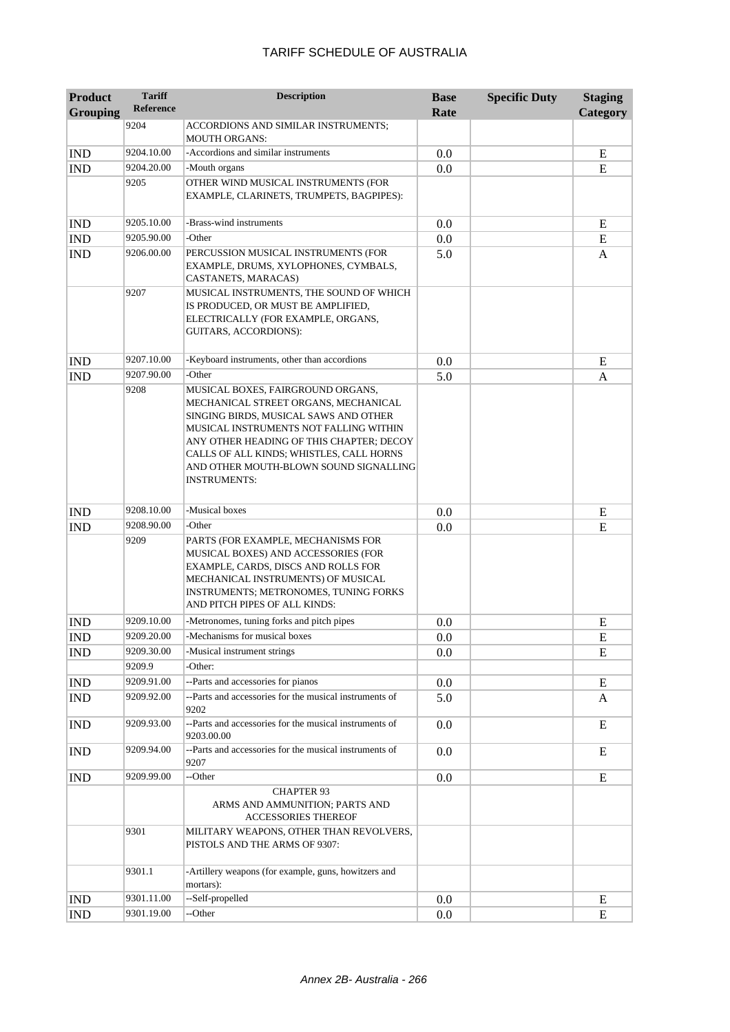| Product         | <b>Tariff</b><br><b>Reference</b> | <b>Description</b>                                                                                                                                                                                                                                                                                                    | <b>Base</b> | <b>Specific Duty</b> | <b>Staging</b> |
|-----------------|-----------------------------------|-----------------------------------------------------------------------------------------------------------------------------------------------------------------------------------------------------------------------------------------------------------------------------------------------------------------------|-------------|----------------------|----------------|
| <b>Grouping</b> |                                   |                                                                                                                                                                                                                                                                                                                       | Rate        |                      | Category       |
|                 | 9204                              | ACCORDIONS AND SIMILAR INSTRUMENTS;<br><b>MOUTH ORGANS:</b>                                                                                                                                                                                                                                                           |             |                      |                |
| <b>IND</b>      | 9204.10.00                        | -Accordions and similar instruments                                                                                                                                                                                                                                                                                   | 0.0         |                      | ${\bf E}$      |
| <b>IND</b>      | 9204.20.00                        | -Mouth organs                                                                                                                                                                                                                                                                                                         | 0.0         |                      | $\mathbf E$    |
|                 | 9205                              | OTHER WIND MUSICAL INSTRUMENTS (FOR<br>EXAMPLE, CLARINETS, TRUMPETS, BAGPIPES):                                                                                                                                                                                                                                       |             |                      |                |
| <b>IND</b>      | 9205.10.00                        | -Brass-wind instruments                                                                                                                                                                                                                                                                                               | 0.0         |                      | E              |
| <b>IND</b>      | 9205.90.00                        | -Other                                                                                                                                                                                                                                                                                                                | 0.0         |                      | ${\bf E}$      |
| <b>IND</b>      | 9206.00.00                        | PERCUSSION MUSICAL INSTRUMENTS (FOR<br>EXAMPLE, DRUMS, XYLOPHONES, CYMBALS,<br>CASTANETS, MARACAS)                                                                                                                                                                                                                    | 5.0         |                      | A              |
|                 | 9207                              | MUSICAL INSTRUMENTS, THE SOUND OF WHICH<br>IS PRODUCED, OR MUST BE AMPLIFIED,<br>ELECTRICALLY (FOR EXAMPLE, ORGANS,<br>GUITARS, ACCORDIONS):                                                                                                                                                                          |             |                      |                |
| <b>IND</b>      | 9207.10.00                        | -Keyboard instruments, other than accordions                                                                                                                                                                                                                                                                          | 0.0         |                      | E              |
| <b>IND</b>      | 9207.90.00                        | -Other                                                                                                                                                                                                                                                                                                                | 5.0         |                      | A              |
|                 | 9208                              | MUSICAL BOXES, FAIRGROUND ORGANS,<br>MECHANICAL STREET ORGANS, MECHANICAL<br>SINGING BIRDS, MUSICAL SAWS AND OTHER<br>MUSICAL INSTRUMENTS NOT FALLING WITHIN<br>ANY OTHER HEADING OF THIS CHAPTER; DECOY<br>CALLS OF ALL KINDS; WHISTLES, CALL HORNS<br>AND OTHER MOUTH-BLOWN SOUND SIGNALLING<br><b>INSTRUMENTS:</b> |             |                      |                |
| <b>IND</b>      | 9208.10.00                        | -Musical boxes                                                                                                                                                                                                                                                                                                        | 0.0         |                      | E              |
| <b>IND</b>      | 9208.90.00                        | -Other                                                                                                                                                                                                                                                                                                                | 0.0         |                      | ${\bf E}$      |
|                 | 9209                              | PARTS (FOR EXAMPLE, MECHANISMS FOR<br>MUSICAL BOXES) AND ACCESSORIES (FOR<br>EXAMPLE, CARDS, DISCS AND ROLLS FOR<br>MECHANICAL INSTRUMENTS) OF MUSICAL<br>INSTRUMENTS; METRONOMES, TUNING FORKS<br>AND PITCH PIPES OF ALL KINDS:                                                                                      |             |                      |                |
| <b>IND</b>      | 9209.10.00                        | -Metronomes, tuning forks and pitch pipes                                                                                                                                                                                                                                                                             | 0.0         |                      | Ε              |
| <b>IND</b>      | 9209.20.00                        | -Mechanisms for musical boxes                                                                                                                                                                                                                                                                                         | $0.0\,$     |                      | ${\bf E}$      |
| <b>IND</b>      | 9209.30.00                        | -Musical instrument strings                                                                                                                                                                                                                                                                                           | 0.0         |                      | E              |
|                 | 9209.9                            | -Other:                                                                                                                                                                                                                                                                                                               |             |                      |                |
| <b>IND</b>      | 9209.91.00                        | --Parts and accessories for pianos                                                                                                                                                                                                                                                                                    | 0.0         |                      | E              |
| IND             | 9209.92.00                        | --Parts and accessories for the musical instruments of<br>9202                                                                                                                                                                                                                                                        | 5.0         |                      | A              |
| <b>IND</b>      | 9209.93.00                        | --Parts and accessories for the musical instruments of<br>9203.00.00                                                                                                                                                                                                                                                  | 0.0         |                      | E              |
| <b>IND</b>      | 9209.94.00                        | --Parts and accessories for the musical instruments of<br>9207                                                                                                                                                                                                                                                        | 0.0         |                      | E              |
| <b>IND</b>      | 9209.99.00                        | --Other                                                                                                                                                                                                                                                                                                               | 0.0         |                      | ${\bf E}$      |
|                 |                                   | <b>CHAPTER 93</b><br>ARMS AND AMMUNITION; PARTS AND<br><b>ACCESSORIES THEREOF</b>                                                                                                                                                                                                                                     |             |                      |                |
|                 | 9301                              | MILITARY WEAPONS, OTHER THAN REVOLVERS,<br>PISTOLS AND THE ARMS OF 9307:                                                                                                                                                                                                                                              |             |                      |                |
|                 | 9301.1                            | -Artillery weapons (for example, guns, howitzers and<br>mortars):                                                                                                                                                                                                                                                     |             |                      |                |
| <b>IND</b>      | 9301.11.00                        | --Self-propelled                                                                                                                                                                                                                                                                                                      | 0.0         |                      | E              |
| <b>IND</b>      | 9301.19.00                        | --Other                                                                                                                                                                                                                                                                                                               | 0.0         |                      | E              |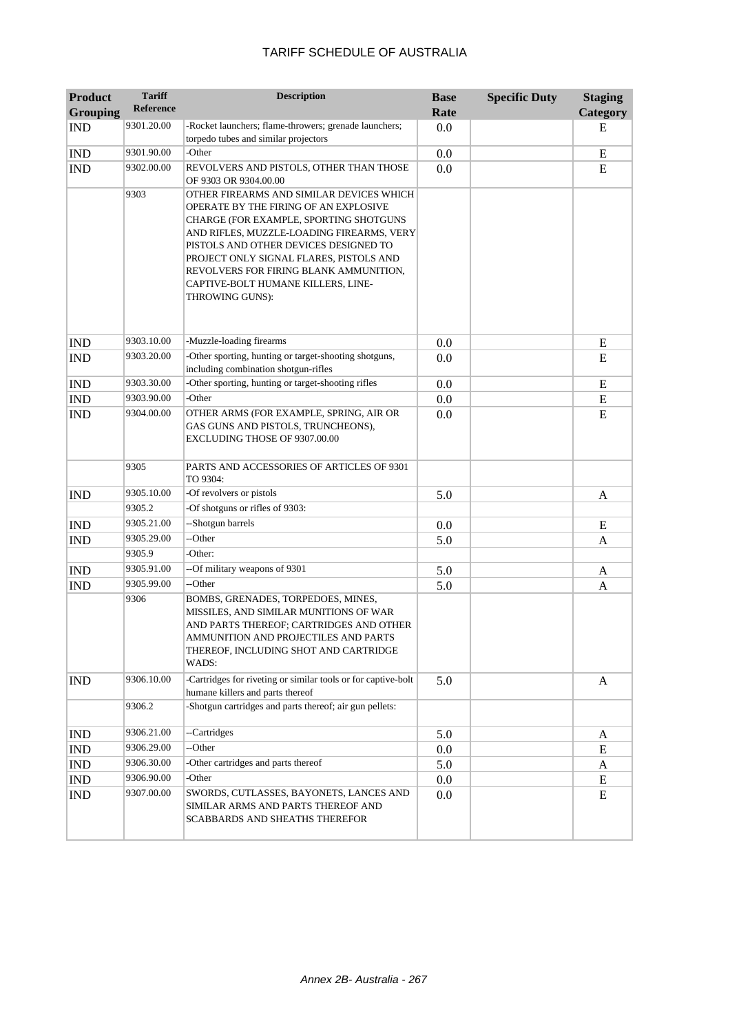| <b>Product</b>  | <b>Tariff</b>    | <b>Description</b>                                                                                                                                                                                                                                                                                                                                              | <b>Base</b> | <b>Specific Duty</b> | <b>Staging</b> |
|-----------------|------------------|-----------------------------------------------------------------------------------------------------------------------------------------------------------------------------------------------------------------------------------------------------------------------------------------------------------------------------------------------------------------|-------------|----------------------|----------------|
| <b>Grouping</b> | <b>Reference</b> |                                                                                                                                                                                                                                                                                                                                                                 | Rate        |                      | Category       |
| <b>IND</b>      | 9301.20.00       | -Rocket launchers; flame-throwers; grenade launchers;<br>torpedo tubes and similar projectors                                                                                                                                                                                                                                                                   | 0.0         |                      | E              |
| <b>IND</b>      | 9301.90.00       | -Other                                                                                                                                                                                                                                                                                                                                                          | 0.0         |                      | ${\bf E}$      |
| <b>IND</b>      | 9302.00.00       | REVOLVERS AND PISTOLS, OTHER THAN THOSE<br>OF 9303 OR 9304.00.00                                                                                                                                                                                                                                                                                                | 0.0         |                      | E              |
|                 | 9303             | OTHER FIREARMS AND SIMILAR DEVICES WHICH<br>OPERATE BY THE FIRING OF AN EXPLOSIVE<br>CHARGE (FOR EXAMPLE, SPORTING SHOTGUNS<br>AND RIFLES, MUZZLE-LOADING FIREARMS, VERY<br>PISTOLS AND OTHER DEVICES DESIGNED TO<br>PROJECT ONLY SIGNAL FLARES, PISTOLS AND<br>REVOLVERS FOR FIRING BLANK AMMUNITION,<br>CAPTIVE-BOLT HUMANE KILLERS, LINE-<br>THROWING GUNS): |             |                      |                |
| <b>IND</b>      | 9303.10.00       | -Muzzle-loading firearms                                                                                                                                                                                                                                                                                                                                        | 0.0         |                      | E              |
| <b>IND</b>      | 9303.20.00       | -Other sporting, hunting or target-shooting shotguns,<br>including combination shotgun-rifles                                                                                                                                                                                                                                                                   | 0.0         |                      | E              |
| <b>IND</b>      | 9303.30.00       | -Other sporting, hunting or target-shooting rifles                                                                                                                                                                                                                                                                                                              | 0.0         |                      | E              |
| <b>IND</b>      | 9303.90.00       | -Other                                                                                                                                                                                                                                                                                                                                                          | 0.0         |                      | E              |
| <b>IND</b>      | 9304.00.00       | OTHER ARMS (FOR EXAMPLE, SPRING, AIR OR<br>GAS GUNS AND PISTOLS, TRUNCHEONS),<br>EXCLUDING THOSE OF 9307.00.00                                                                                                                                                                                                                                                  | 0.0         |                      | E              |
|                 | 9305             | PARTS AND ACCESSORIES OF ARTICLES OF 9301<br>TO 9304:                                                                                                                                                                                                                                                                                                           |             |                      |                |
| <b>IND</b>      | 9305.10.00       | -Of revolvers or pistols                                                                                                                                                                                                                                                                                                                                        | 5.0         |                      | A              |
|                 | 9305.2           | -Of shotguns or rifles of 9303:                                                                                                                                                                                                                                                                                                                                 |             |                      |                |
| <b>IND</b>      | 9305.21.00       | --Shotgun barrels                                                                                                                                                                                                                                                                                                                                               | 0.0         |                      | E              |
| <b>IND</b>      | 9305.29.00       | --Other                                                                                                                                                                                                                                                                                                                                                         | 5.0         |                      | A              |
|                 | 9305.9           | -Other:                                                                                                                                                                                                                                                                                                                                                         |             |                      |                |
| <b>IND</b>      | 9305.91.00       | --Of military weapons of 9301                                                                                                                                                                                                                                                                                                                                   | 5.0         |                      | A              |
| <b>IND</b>      | 9305.99.00       | --Other                                                                                                                                                                                                                                                                                                                                                         | 5.0         |                      | A              |
|                 | 9306             | BOMBS, GRENADES, TORPEDOES, MINES,<br>MISSILES, AND SIMILAR MUNITIONS OF WAR<br>AND PARTS THEREOF; CARTRIDGES AND OTHER<br>AMMUNITION AND PROJECTILES AND PARTS<br>THEREOF, INCLUDING SHOT AND CARTRIDGE<br>WADS:                                                                                                                                               |             |                      |                |
| <b>IND</b>      | 9306.10.00       | -Cartridges for riveting or similar tools or for captive-bolt<br>humane killers and parts thereof                                                                                                                                                                                                                                                               | 5.0         |                      | A              |
|                 | 9306.2           | -Shotgun cartridges and parts thereof; air gun pellets:                                                                                                                                                                                                                                                                                                         |             |                      |                |
| <b>IND</b>      | 9306.21.00       | --Cartridges                                                                                                                                                                                                                                                                                                                                                    | 5.0         |                      | A              |
| IND             | 9306.29.00       | --Other                                                                                                                                                                                                                                                                                                                                                         | 0.0         |                      | E              |
| IND             | 9306.30.00       | -Other cartridges and parts thereof                                                                                                                                                                                                                                                                                                                             | 5.0         |                      | A              |
| IND             | 9306.90.00       | -Other                                                                                                                                                                                                                                                                                                                                                          | 0.0         |                      | E              |
| <b>IND</b>      | 9307.00.00       | SWORDS, CUTLASSES, BAYONETS, LANCES AND<br>SIMILAR ARMS AND PARTS THEREOF AND<br>SCABBARDS AND SHEATHS THEREFOR                                                                                                                                                                                                                                                 | 0.0         |                      | ${\bf E}$      |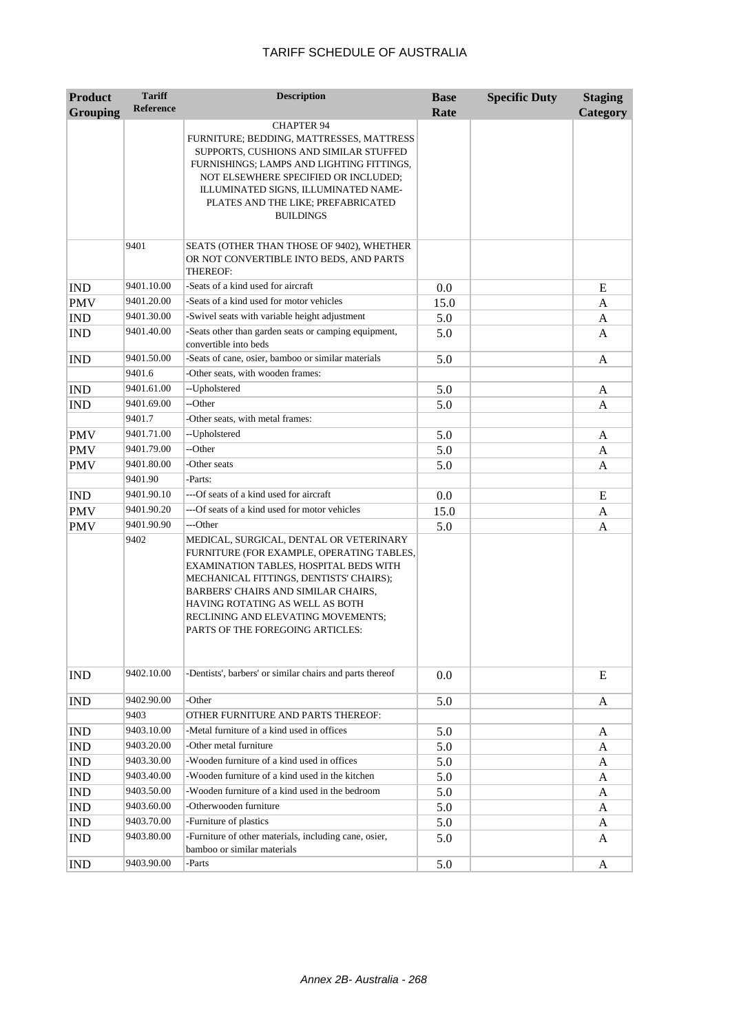| <b>Product</b>  | <b>Tariff</b>            | <b>Description</b>                                                                  | <b>Base</b> | <b>Specific Duty</b> | <b>Staging</b> |
|-----------------|--------------------------|-------------------------------------------------------------------------------------|-------------|----------------------|----------------|
| <b>Grouping</b> | <b>Reference</b>         |                                                                                     | Rate        |                      | Category       |
|                 |                          | <b>CHAPTER 94</b>                                                                   |             |                      |                |
|                 |                          | FURNITURE; BEDDING, MATTRESSES, MATTRESS                                            |             |                      |                |
|                 |                          | SUPPORTS, CUSHIONS AND SIMILAR STUFFED                                              |             |                      |                |
|                 |                          | FURNISHINGS; LAMPS AND LIGHTING FITTINGS,<br>NOT ELSEWHERE SPECIFIED OR INCLUDED;   |             |                      |                |
|                 |                          | ILLUMINATED SIGNS, ILLUMINATED NAME-                                                |             |                      |                |
|                 |                          | PLATES AND THE LIKE; PREFABRICATED                                                  |             |                      |                |
|                 |                          | <b>BUILDINGS</b>                                                                    |             |                      |                |
|                 |                          |                                                                                     |             |                      |                |
|                 | 9401                     | SEATS (OTHER THAN THOSE OF 9402), WHETHER                                           |             |                      |                |
|                 |                          | OR NOT CONVERTIBLE INTO BEDS, AND PARTS<br>THEREOF:                                 |             |                      |                |
| <b>IND</b>      | 9401.10.00               | -Seats of a kind used for aircraft                                                  | 0.0         |                      | E              |
| <b>PMV</b>      | 9401.20.00               | -Seats of a kind used for motor vehicles                                            | 15.0        |                      | A              |
| IND             | 9401.30.00               | -Swivel seats with variable height adjustment                                       | 5.0         |                      | A              |
| <b>IND</b>      | 9401.40.00               | -Seats other than garden seats or camping equipment,                                | 5.0         |                      | A              |
|                 |                          | convertible into beds                                                               |             |                      |                |
| <b>IND</b>      | 9401.50.00               | -Seats of cane, osier, bamboo or similar materials                                  | 5.0         |                      | A              |
|                 | 9401.6                   | -Other seats, with wooden frames:                                                   |             |                      |                |
| <b>IND</b>      | 9401.61.00               | --Upholstered                                                                       | 5.0         |                      | A              |
| <b>IND</b>      | 9401.69.00               | --Other                                                                             | 5.0         |                      | A              |
|                 | 9401.7                   | -Other seats, with metal frames:                                                    |             |                      |                |
| <b>PMV</b>      | 9401.71.00               | --Upholstered                                                                       | 5.0         |                      | A              |
| <b>PMV</b>      | 9401.79.00               | --Other                                                                             | 5.0         |                      | A              |
| <b>PMV</b>      | 9401.80.00               | -Other seats                                                                        | 5.0         |                      | A              |
|                 | 9401.90                  | -Parts:                                                                             |             |                      |                |
| <b>IND</b>      | 9401.90.10               | ---Of seats of a kind used for aircraft                                             | 0.0         |                      | E              |
| <b>PMV</b>      | 9401.90.20               | ---Of seats of a kind used for motor vehicles                                       | 15.0        |                      | A              |
| <b>PMV</b>      | 9401.90.90               | ---Other                                                                            | 5.0         |                      | A              |
|                 | 9402                     | MEDICAL, SURGICAL, DENTAL OR VETERINARY                                             |             |                      |                |
|                 |                          | FURNITURE (FOR EXAMPLE, OPERATING TABLES,<br>EXAMINATION TABLES, HOSPITAL BEDS WITH |             |                      |                |
|                 |                          | MECHANICAL FITTINGS, DENTISTS' CHAIRS);                                             |             |                      |                |
|                 |                          | BARBERS' CHAIRS AND SIMILAR CHAIRS,                                                 |             |                      |                |
|                 |                          | HAVING ROTATING AS WELL AS BOTH                                                     |             |                      |                |
|                 |                          | RECLINING AND ELEVATING MOVEMENTS;                                                  |             |                      |                |
|                 |                          | PARTS OF THE FOREGOING ARTICLES:                                                    |             |                      |                |
|                 |                          |                                                                                     |             |                      |                |
| <b>IND</b>      | 9402.10.00               | -Dentists', barbers' or similar chairs and parts thereof                            | 0.0         |                      | E              |
|                 |                          |                                                                                     |             |                      |                |
| <b>IND</b>      | 9402.90.00               | -Other                                                                              | 5.0         |                      | A              |
|                 | 9403                     | OTHER FURNITURE AND PARTS THEREOF:                                                  |             |                      |                |
| <b>IND</b>      | 9403.10.00               | -Metal furniture of a kind used in offices                                          | 5.0         |                      | A              |
| <b>IND</b>      | 9403.20.00               | -Other metal furniture                                                              | 5.0         |                      | A              |
| <b>IND</b>      | 9403.30.00               | -Wooden furniture of a kind used in offices                                         | 5.0         |                      | A              |
| <b>IND</b>      | 9403.40.00               | -Wooden furniture of a kind used in the kitchen                                     | 5.0         |                      | A              |
| <b>IND</b>      | 9403.50.00<br>9403.60.00 | -Wooden furniture of a kind used in the bedroom<br>-Otherwooden furniture           | 5.0         |                      | A              |
| <b>IND</b>      | 9403.70.00               | -Furniture of plastics                                                              | 5.0         |                      | A              |
| <b>IND</b>      | 9403.80.00               | -Furniture of other materials, including cane, osier,                               | 5.0         |                      | A              |
| <b>IND</b>      |                          | bamboo or similar materials                                                         | 5.0         |                      | A              |
| <b>IND</b>      | 9403.90.00               | -Parts                                                                              | 5.0         |                      | A              |
|                 |                          |                                                                                     |             |                      |                |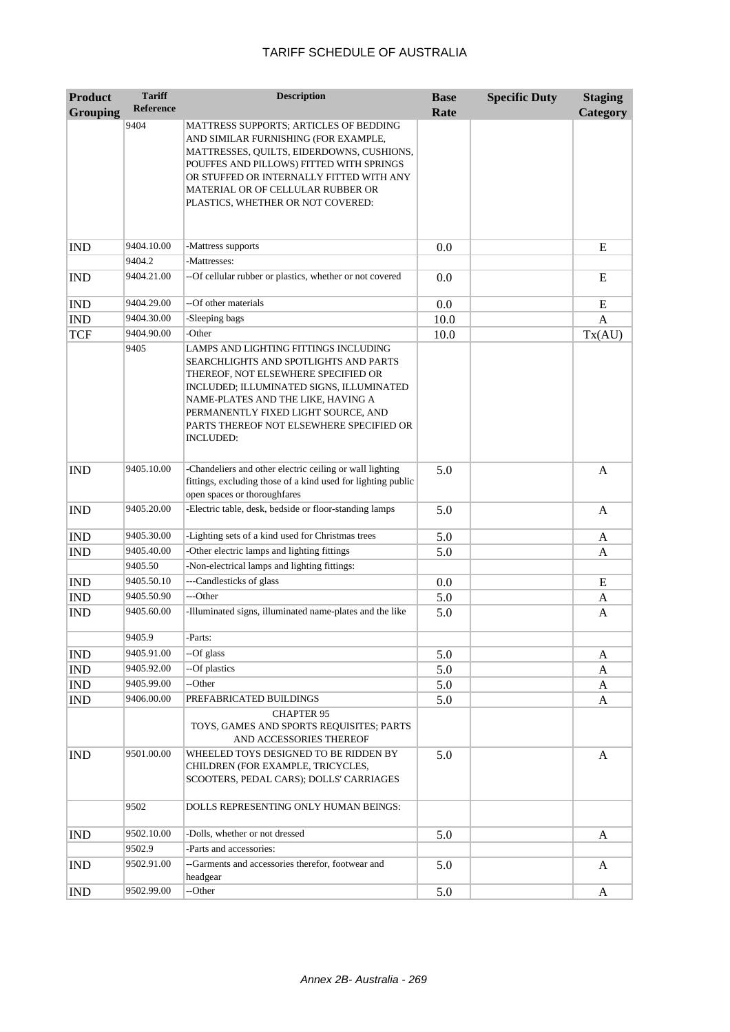| <b>Product</b>  | <b>Tariff</b>    | <b>Description</b>                                                                                                                                                                                                                                                                                             | <b>Base</b> | <b>Specific Duty</b> | <b>Staging</b> |
|-----------------|------------------|----------------------------------------------------------------------------------------------------------------------------------------------------------------------------------------------------------------------------------------------------------------------------------------------------------------|-------------|----------------------|----------------|
| <b>Grouping</b> | <b>Reference</b> |                                                                                                                                                                                                                                                                                                                | Rate        |                      | Category       |
|                 | 9404             | MATTRESS SUPPORTS; ARTICLES OF BEDDING<br>AND SIMILAR FURNISHING (FOR EXAMPLE,<br>MATTRESSES, QUILTS, EIDERDOWNS, CUSHIONS,<br>POUFFES AND PILLOWS) FITTED WITH SPRINGS<br>OR STUFFED OR INTERNALLY FITTED WITH ANY<br>MATERIAL OR OF CELLULAR RUBBER OR<br>PLASTICS, WHETHER OR NOT COVERED:                  |             |                      |                |
| <b>IND</b>      | 9404.10.00       | -Mattress supports                                                                                                                                                                                                                                                                                             | 0.0         |                      | E              |
|                 | 9404.2           | -Mattresses:                                                                                                                                                                                                                                                                                                   |             |                      |                |
| <b>IND</b>      | 9404.21.00       | -- Of cellular rubber or plastics, whether or not covered                                                                                                                                                                                                                                                      | 0.0         |                      | E              |
| <b>IND</b>      | 9404.29.00       | --Of other materials                                                                                                                                                                                                                                                                                           | 0.0         |                      | E              |
| <b>IND</b>      | 9404.30.00       | -Sleeping bags                                                                                                                                                                                                                                                                                                 | 10.0        |                      | A              |
| <b>TCF</b>      | 9404.90.00       | -Other                                                                                                                                                                                                                                                                                                         | 10.0        |                      | Tx(AU)         |
|                 | 9405             | LAMPS AND LIGHTING FITTINGS INCLUDING<br>SEARCHLIGHTS AND SPOTLIGHTS AND PARTS<br>THEREOF, NOT ELSEWHERE SPECIFIED OR<br>INCLUDED; ILLUMINATED SIGNS, ILLUMINATED<br>NAME-PLATES AND THE LIKE, HAVING A<br>PERMANENTLY FIXED LIGHT SOURCE, AND<br>PARTS THEREOF NOT ELSEWHERE SPECIFIED OR<br><b>INCLUDED:</b> |             |                      |                |
| <b>IND</b>      | 9405.10.00       | -Chandeliers and other electric ceiling or wall lighting<br>fittings, excluding those of a kind used for lighting public<br>open spaces or thoroughfares                                                                                                                                                       | 5.0         |                      | A              |
| <b>IND</b>      | 9405.20.00       | -Electric table, desk, bedside or floor-standing lamps                                                                                                                                                                                                                                                         | 5.0         |                      | A              |
| <b>IND</b>      | 9405.30.00       | -Lighting sets of a kind used for Christmas trees                                                                                                                                                                                                                                                              | 5.0         |                      | A              |
| <b>IND</b>      | 9405.40.00       | -Other electric lamps and lighting fittings                                                                                                                                                                                                                                                                    | 5.0         |                      | A              |
|                 | 9405.50          | -Non-electrical lamps and lighting fittings:                                                                                                                                                                                                                                                                   |             |                      |                |
| <b>IND</b>      | 9405.50.10       | ---Candlesticks of glass                                                                                                                                                                                                                                                                                       | 0.0         |                      | E              |
| <b>IND</b>      | 9405.50.90       | ---Other                                                                                                                                                                                                                                                                                                       | 5.0         |                      | A              |
| <b>IND</b>      | 9405.60.00       | -Illuminated signs, illuminated name-plates and the like                                                                                                                                                                                                                                                       | 5.0         |                      | A              |
|                 | 9405.9           | Parts:                                                                                                                                                                                                                                                                                                         |             |                      |                |
| <b>IND</b>      | 9405.91.00       | --Of glass                                                                                                                                                                                                                                                                                                     | 5.0         |                      | A              |
| IND             | 9405.92.00       | --Of plastics                                                                                                                                                                                                                                                                                                  | 5.0         |                      | A              |
| IND             | 9405.99.00       | --Other                                                                                                                                                                                                                                                                                                        | 5.0         |                      | A              |
| <b>IND</b>      | 9406.00.00       | PREFABRICATED BUILDINGS<br><b>CHAPTER 95</b><br>TOYS, GAMES AND SPORTS REQUISITES; PARTS<br>AND ACCESSORIES THEREOF                                                                                                                                                                                            | 5.0         |                      | A              |
| <b>IND</b>      | 9501.00.00       | WHEELED TOYS DESIGNED TO BE RIDDEN BY<br>CHILDREN (FOR EXAMPLE, TRICYCLES,<br>SCOOTERS, PEDAL CARS); DOLLS' CARRIAGES                                                                                                                                                                                          | 5.0         |                      | A              |
|                 | 9502             | DOLLS REPRESENTING ONLY HUMAN BEINGS:                                                                                                                                                                                                                                                                          |             |                      |                |
| <b>IND</b>      | 9502.10.00       | -Dolls, whether or not dressed                                                                                                                                                                                                                                                                                 | 5.0         |                      | A              |
|                 | 9502.9           | -Parts and accessories:                                                                                                                                                                                                                                                                                        |             |                      |                |
| <b>IND</b>      | 9502.91.00       | --Garments and accessories therefor, footwear and<br>headgear                                                                                                                                                                                                                                                  | 5.0         |                      | A              |
| <b>IND</b>      | 9502.99.00       | --Other                                                                                                                                                                                                                                                                                                        | 5.0         |                      | A              |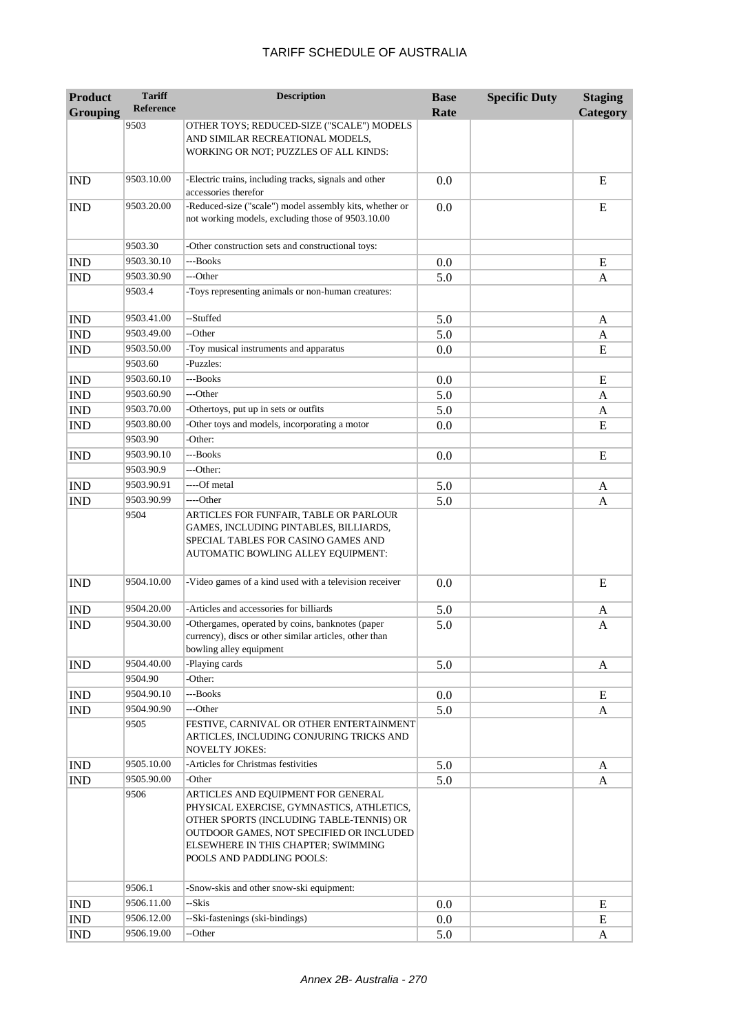| <b>Product</b>  | <b>Tariff</b><br><b>Reference</b> | <b>Description</b>                                                                                                                                                                                                                          | <b>Base</b> | <b>Specific Duty</b> | <b>Staging</b> |
|-----------------|-----------------------------------|---------------------------------------------------------------------------------------------------------------------------------------------------------------------------------------------------------------------------------------------|-------------|----------------------|----------------|
| <b>Grouping</b> |                                   |                                                                                                                                                                                                                                             | Rate        |                      | Category       |
|                 | 9503                              | OTHER TOYS; REDUCED-SIZE ("SCALE") MODELS<br>AND SIMILAR RECREATIONAL MODELS,<br>WORKING OR NOT; PUZZLES OF ALL KINDS:                                                                                                                      |             |                      |                |
| <b>IND</b>      | 9503.10.00                        | -Electric trains, including tracks, signals and other<br>accessories therefor                                                                                                                                                               | 0.0         |                      | E              |
| <b>IND</b>      | 9503.20.00                        | -Reduced-size ("scale") model assembly kits, whether or<br>not working models, excluding those of 9503.10.00                                                                                                                                | 0.0         |                      | E              |
|                 | 9503.30                           | -Other construction sets and constructional toys:                                                                                                                                                                                           |             |                      |                |
| <b>IND</b>      | 9503.30.10                        | ---Books                                                                                                                                                                                                                                    | 0.0         |                      | E              |
| <b>IND</b>      | 9503.30.90                        | ---Other                                                                                                                                                                                                                                    | 5.0         |                      | A              |
|                 | 9503.4                            | -Toys representing animals or non-human creatures:                                                                                                                                                                                          |             |                      |                |
| <b>IND</b>      | 9503.41.00                        | --Stuffed                                                                                                                                                                                                                                   | 5.0         |                      | A              |
| <b>IND</b>      | 9503.49.00                        | --Other                                                                                                                                                                                                                                     | 5.0         |                      | A              |
| <b>IND</b>      | 9503.50.00                        | -Toy musical instruments and apparatus                                                                                                                                                                                                      | 0.0         |                      | E              |
|                 | 9503.60                           | -Puzzles:                                                                                                                                                                                                                                   |             |                      |                |
| <b>IND</b>      | 9503.60.10                        | ---Books                                                                                                                                                                                                                                    | 0.0         |                      | E              |
| <b>IND</b>      | 9503.60.90                        | ---Other                                                                                                                                                                                                                                    | 5.0         |                      | A              |
| <b>IND</b>      | 9503.70.00                        | -Othertoys, put up in sets or outfits                                                                                                                                                                                                       | 5.0         |                      | A              |
| <b>IND</b>      | 9503.80.00                        | -Other toys and models, incorporating a motor                                                                                                                                                                                               | 0.0         |                      | E              |
|                 | 9503.90                           | -Other:                                                                                                                                                                                                                                     |             |                      |                |
| <b>IND</b>      | 9503.90.10                        | ---Books                                                                                                                                                                                                                                    | 0.0         |                      | E              |
|                 | 9503.90.9                         | ---Other:                                                                                                                                                                                                                                   |             |                      |                |
| <b>IND</b>      | 9503.90.91                        | ----Of metal                                                                                                                                                                                                                                | 5.0         |                      | A              |
| <b>IND</b>      | 9503.90.99                        | ----Other                                                                                                                                                                                                                                   | 5.0         |                      | A              |
|                 | 9504                              | ARTICLES FOR FUNFAIR, TABLE OR PARLOUR<br>GAMES, INCLUDING PINTABLES, BILLIARDS,<br>SPECIAL TABLES FOR CASINO GAMES AND<br>AUTOMATIC BOWLING ALLEY EQUIPMENT:                                                                               |             |                      |                |
| <b>IND</b>      | 9504.10.00                        | -Video games of a kind used with a television receiver                                                                                                                                                                                      | 0.0         |                      | E              |
| <b>IND</b>      | 9504.20.00                        | -Articles and accessories for billiards                                                                                                                                                                                                     | 5.0         |                      | A              |
| <b>IND</b>      | 9504.30.00                        | -Othergames, operated by coins, banknotes (paper<br>currency), discs or other similar articles, other than<br>bowling alley equipment                                                                                                       | 5.0         |                      | A              |
| <b>IND</b>      | 9504.40.00                        | -Playing cards                                                                                                                                                                                                                              | 5.0         |                      | A              |
|                 | 9504.90                           | -Other:                                                                                                                                                                                                                                     |             |                      |                |
| <b>IND</b>      | 9504.90.10                        | ---Books                                                                                                                                                                                                                                    | 0.0         |                      | E              |
| <b>IND</b>      | 9504.90.90                        | ---Other                                                                                                                                                                                                                                    | 5.0         |                      | A              |
|                 | 9505                              | FESTIVE, CARNIVAL OR OTHER ENTERTAINMENT<br>ARTICLES, INCLUDING CONJURING TRICKS AND<br><b>NOVELTY JOKES:</b>                                                                                                                               |             |                      |                |
| <b>IND</b>      | 9505.10.00                        | -Articles for Christmas festivities                                                                                                                                                                                                         | 5.0         |                      | A              |
| <b>IND</b>      | 9505.90.00                        | -Other                                                                                                                                                                                                                                      | 5.0         |                      | A              |
|                 | 9506                              | ARTICLES AND EQUIPMENT FOR GENERAL<br>PHYSICAL EXERCISE, GYMNASTICS, ATHLETICS,<br>OTHER SPORTS (INCLUDING TABLE-TENNIS) OR<br>OUTDOOR GAMES, NOT SPECIFIED OR INCLUDED<br>ELSEWHERE IN THIS CHAPTER; SWIMMING<br>POOLS AND PADDLING POOLS: |             |                      |                |
|                 | 9506.1                            | -Snow-skis and other snow-ski equipment:                                                                                                                                                                                                    |             |                      |                |
| <b>IND</b>      | 9506.11.00                        | --Skis                                                                                                                                                                                                                                      | 0.0         |                      | E              |
| <b>IND</b>      | 9506.12.00                        | --Ski-fastenings (ski-bindings)                                                                                                                                                                                                             | 0.0         |                      | ${\bf E}$      |
| <b>IND</b>      | 9506.19.00                        | --Other                                                                                                                                                                                                                                     | 5.0         |                      | A              |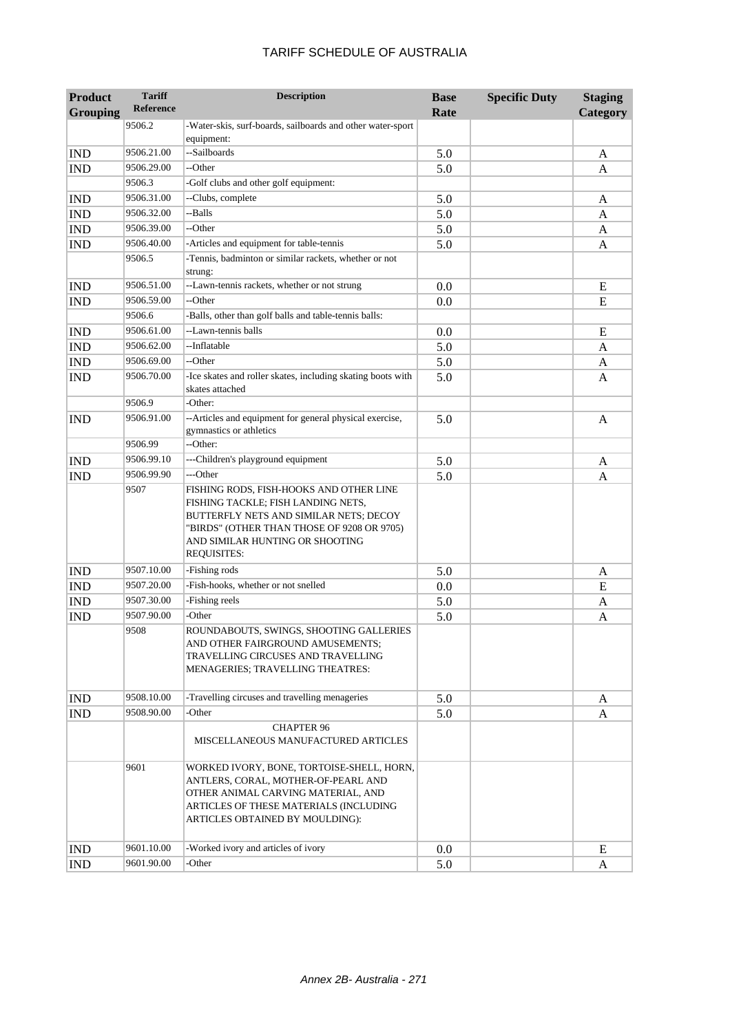| <b>Grouping</b>             | Reference  |                                                                                                                                                                                                                                | Rate | Category |
|-----------------------------|------------|--------------------------------------------------------------------------------------------------------------------------------------------------------------------------------------------------------------------------------|------|----------|
|                             | 9506.2     | -Water-skis, surf-boards, sailboards and other water-sport<br>equipment:                                                                                                                                                       |      |          |
| IND                         | 9506.21.00 | --Sailboards                                                                                                                                                                                                                   | 5.0  | A        |
| IND                         | 9506.29.00 | --Other                                                                                                                                                                                                                        | 5.0  | A        |
|                             | 9506.3     | -Golf clubs and other golf equipment:                                                                                                                                                                                          |      |          |
| IND                         | 9506.31.00 | --Clubs, complete                                                                                                                                                                                                              | 5.0  | A        |
| $\mathop{\rm IND}\nolimits$ | 9506.32.00 | --Balls                                                                                                                                                                                                                        | 5.0  | A        |
| <b>IND</b>                  | 9506.39.00 | --Other                                                                                                                                                                                                                        | 5.0  | A        |
| IND                         | 9506.40.00 | -Articles and equipment for table-tennis                                                                                                                                                                                       | 5.0  | A        |
|                             | 9506.5     | -Tennis, badminton or similar rackets, whether or not<br>strung:                                                                                                                                                               |      |          |
| IND                         | 9506.51.00 | --Lawn-tennis rackets, whether or not strung                                                                                                                                                                                   | 0.0  | E        |
| $\mathop{\rm IND}\nolimits$ | 9506.59.00 | --Other                                                                                                                                                                                                                        | 0.0  | E        |
|                             | 9506.6     | -Balls, other than golf balls and table-tennis balls:                                                                                                                                                                          |      |          |
| $\mathop{\rm IND}\nolimits$ | 9506.61.00 | --Lawn-tennis balls                                                                                                                                                                                                            | 0.0  | E        |
| $\mathop{\rm IND}\nolimits$ | 9506.62.00 | --Inflatable                                                                                                                                                                                                                   | 5.0  | A        |
| IND                         | 9506.69.00 | --Other                                                                                                                                                                                                                        | 5.0  | A        |
| $\mathop{\rm IND}\nolimits$ | 9506.70.00 | -Ice skates and roller skates, including skating boots with<br>skates attached                                                                                                                                                 | 5.0  | A        |
|                             | 9506.9     | -Other:                                                                                                                                                                                                                        |      |          |
| IND                         | 9506.91.00 | --Articles and equipment for general physical exercise,<br>gymnastics or athletics                                                                                                                                             | 5.0  | A        |
|                             | 9506.99    | --Other:                                                                                                                                                                                                                       |      |          |
| IND                         | 9506.99.10 | ---Children's playground equipment                                                                                                                                                                                             | 5.0  | A        |
| $\mathop{\rm IND}\nolimits$ | 9506.99.90 | ---Other                                                                                                                                                                                                                       | 5.0  | A        |
|                             | 9507       | FISHING RODS, FISH-HOOKS AND OTHER LINE<br>FISHING TACKLE; FISH LANDING NETS,<br>BUTTERFLY NETS AND SIMILAR NETS; DECOY<br>"BIRDS" (OTHER THAN THOSE OF 9208 OR 9705)<br>AND SIMILAR HUNTING OR SHOOTING<br><b>REQUISITES:</b> |      |          |
| IND                         | 9507.10.00 | -Fishing rods                                                                                                                                                                                                                  | 5.0  | A        |
| $\mathop{\rm IND}\nolimits$ | 9507.20.00 | -Fish-hooks, whether or not snelled                                                                                                                                                                                            | 0.0  | E        |
| IND                         | 9507.30.00 | -Fishing reels                                                                                                                                                                                                                 | 5.0  | A        |
| IND                         | 9507.90.00 | -Other                                                                                                                                                                                                                         | 5.0  | A        |
|                             | 9508       | ROUNDABOUTS, SWINGS, SHOOTING GALLERIES<br>AND OTHER FAIRGROUND AMUSEMENTS;<br>TRAVELLING CIRCUSES AND TRAVELLING<br>MENAGERIES; TRAVELLING THEATRES:                                                                          |      |          |
| IND                         | 9508.10.00 | -Travelling circuses and travelling menageries                                                                                                                                                                                 | 5.0  | A        |
| $\mathop{\rm IND}\nolimits$ | 9508.90.00 | -Other                                                                                                                                                                                                                         | 5.0  | A        |
|                             |            | <b>CHAPTER 96</b><br>MISCELLANEOUS MANUFACTURED ARTICLES                                                                                                                                                                       |      |          |
|                             | 9601       | WORKED IVORY, BONE, TORTOISE-SHELL, HORN,<br>ANTLERS, CORAL, MOTHER-OF-PEARL AND                                                                                                                                               |      |          |

**Description Base** 

**Specific Duty Staging** 

**Product** 

**Tariff Reference**

IND 9601.10.00 -Worked ivory and articles of ivory 0.0 E IND 9601.90.00 -Other 5.0 A

OTHER ANIMAL CARVING MATERIAL, AND ARTICLES OF THESE MATERIALS (INCLUDING ARTICLES OBTAINED BY MOULDING):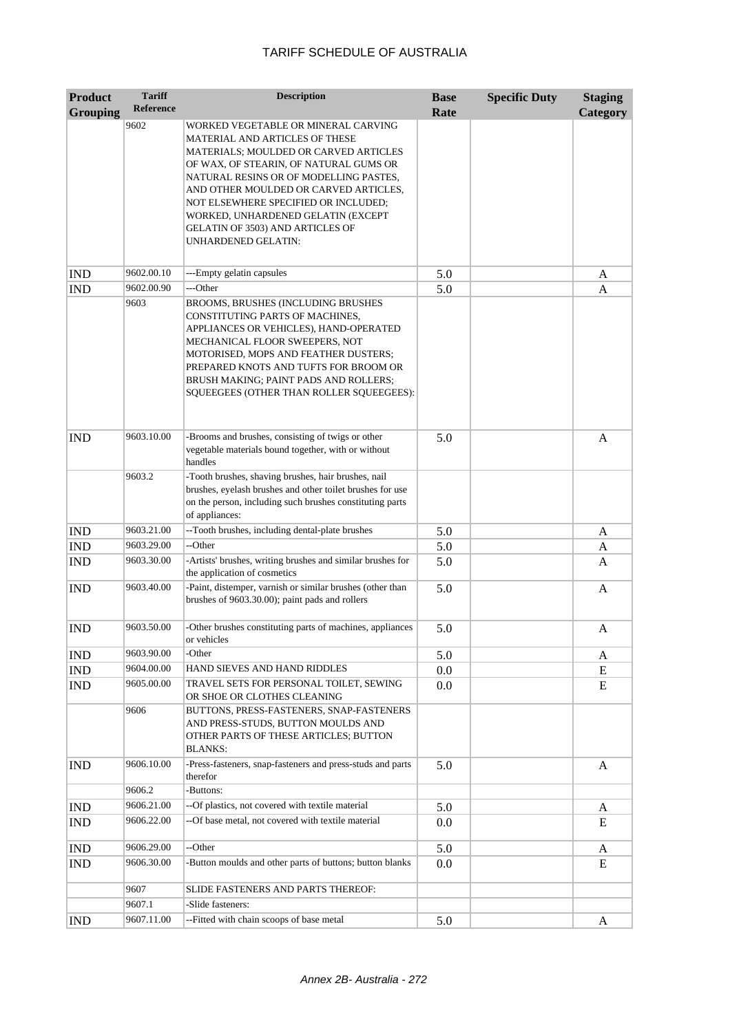| <b>Product</b><br><b>Grouping</b> | <b>Tariff</b><br><b>Reference</b> | <b>Description</b>                                                                                                                                                                                                                                                                                                                                                                   | <b>Base</b><br>Rate | <b>Specific Duty</b> | <b>Staging</b><br>Category |
|-----------------------------------|-----------------------------------|--------------------------------------------------------------------------------------------------------------------------------------------------------------------------------------------------------------------------------------------------------------------------------------------------------------------------------------------------------------------------------------|---------------------|----------------------|----------------------------|
|                                   | 9602                              | WORKED VEGETABLE OR MINERAL CARVING<br>MATERIAL AND ARTICLES OF THESE<br>MATERIALS; MOULDED OR CARVED ARTICLES<br>OF WAX, OF STEARIN, OF NATURAL GUMS OR<br>NATURAL RESINS OR OF MODELLING PASTES,<br>AND OTHER MOULDED OR CARVED ARTICLES,<br>NOT ELSEWHERE SPECIFIED OR INCLUDED;<br>WORKED, UNHARDENED GELATIN (EXCEPT<br>GELATIN OF 3503) AND ARTICLES OF<br>UNHARDENED GELATIN: |                     |                      |                            |
| <b>IND</b>                        | 9602.00.10                        | ---Empty gelatin capsules                                                                                                                                                                                                                                                                                                                                                            | 5.0                 |                      | A                          |
| <b>IND</b>                        | 9602.00.90                        | ---Other                                                                                                                                                                                                                                                                                                                                                                             | 5.0                 |                      | A                          |
|                                   | 9603                              | BROOMS, BRUSHES (INCLUDING BRUSHES<br>CONSTITUTING PARTS OF MACHINES,<br>APPLIANCES OR VEHICLES), HAND-OPERATED<br>MECHANICAL FLOOR SWEEPERS, NOT<br>MOTORISED, MOPS AND FEATHER DUSTERS;<br>PREPARED KNOTS AND TUFTS FOR BROOM OR<br>BRUSH MAKING; PAINT PADS AND ROLLERS;<br>SQUEEGEES (OTHER THAN ROLLER SQUEEGEES):                                                              |                     |                      |                            |
| <b>IND</b>                        | 9603.10.00                        | -Brooms and brushes, consisting of twigs or other<br>vegetable materials bound together, with or without<br>handles                                                                                                                                                                                                                                                                  | 5.0                 |                      | A                          |
|                                   | 9603.2                            | -Tooth brushes, shaving brushes, hair brushes, nail<br>brushes, eyelash brushes and other toilet brushes for use<br>on the person, including such brushes constituting parts<br>of appliances:                                                                                                                                                                                       |                     |                      |                            |
| <b>IND</b>                        | 9603.21.00                        | --Tooth brushes, including dental-plate brushes                                                                                                                                                                                                                                                                                                                                      | 5.0                 |                      | A                          |
| <b>IND</b>                        | 9603.29.00                        | --Other                                                                                                                                                                                                                                                                                                                                                                              | 5.0                 |                      | A                          |
| <b>IND</b>                        | 9603.30.00                        | -Artists' brushes, writing brushes and similar brushes for<br>the application of cosmetics                                                                                                                                                                                                                                                                                           | 5.0                 |                      | A                          |
| <b>IND</b>                        | 9603.40.00                        | -Paint, distemper, varnish or similar brushes (other than<br>brushes of 9603.30.00); paint pads and rollers                                                                                                                                                                                                                                                                          | 5.0                 |                      | A                          |
| <b>IND</b>                        | 9603.50.00                        | -Other brushes constituting parts of machines, appliances<br>or vehicles                                                                                                                                                                                                                                                                                                             | 5.0                 |                      | A                          |
| <b>IND</b>                        | 9603.90.00                        | -Other                                                                                                                                                                                                                                                                                                                                                                               | 5.0                 |                      | A                          |
| $\mathop{\rm IND}\nolimits$       | 9604.00.00                        | HAND SIEVES AND HAND RIDDLES                                                                                                                                                                                                                                                                                                                                                         | 0.0                 |                      | Ε                          |
| <b>IND</b>                        | 9605.00.00                        | TRAVEL SETS FOR PERSONAL TOILET, SEWING<br>OR SHOE OR CLOTHES CLEANING                                                                                                                                                                                                                                                                                                               | 0.0                 |                      | E                          |
|                                   | 9606                              | BUTTONS, PRESS-FASTENERS, SNAP-FASTENERS<br>AND PRESS-STUDS, BUTTON MOULDS AND<br>OTHER PARTS OF THESE ARTICLES; BUTTON<br><b>BLANKS:</b>                                                                                                                                                                                                                                            |                     |                      |                            |
| <b>IND</b>                        | 9606.10.00                        | -Press-fasteners, snap-fasteners and press-studs and parts<br>therefor                                                                                                                                                                                                                                                                                                               | 5.0                 |                      | $\mathbf{A}$               |
|                                   | 9606.2                            | -Buttons:                                                                                                                                                                                                                                                                                                                                                                            |                     |                      |                            |
| <b>IND</b>                        | 9606.21.00                        | --Of plastics, not covered with textile material                                                                                                                                                                                                                                                                                                                                     | 5.0                 |                      | A                          |
| <b>IND</b>                        | 9606.22.00                        | --Of base metal, not covered with textile material                                                                                                                                                                                                                                                                                                                                   | 0.0                 |                      | E                          |
| <b>IND</b>                        | 9606.29.00                        | --Other                                                                                                                                                                                                                                                                                                                                                                              | 5.0                 |                      | A                          |
| IND                               | 9606.30.00                        | -Button moulds and other parts of buttons; button blanks                                                                                                                                                                                                                                                                                                                             | 0.0                 |                      | E                          |
|                                   | 9607                              | SLIDE FASTENERS AND PARTS THEREOF:                                                                                                                                                                                                                                                                                                                                                   |                     |                      |                            |
|                                   | 9607.1                            | -Slide fasteners:                                                                                                                                                                                                                                                                                                                                                                    |                     |                      |                            |
| <b>IND</b>                        | 9607.11.00                        | --Fitted with chain scoops of base metal                                                                                                                                                                                                                                                                                                                                             | 5.0                 |                      | A                          |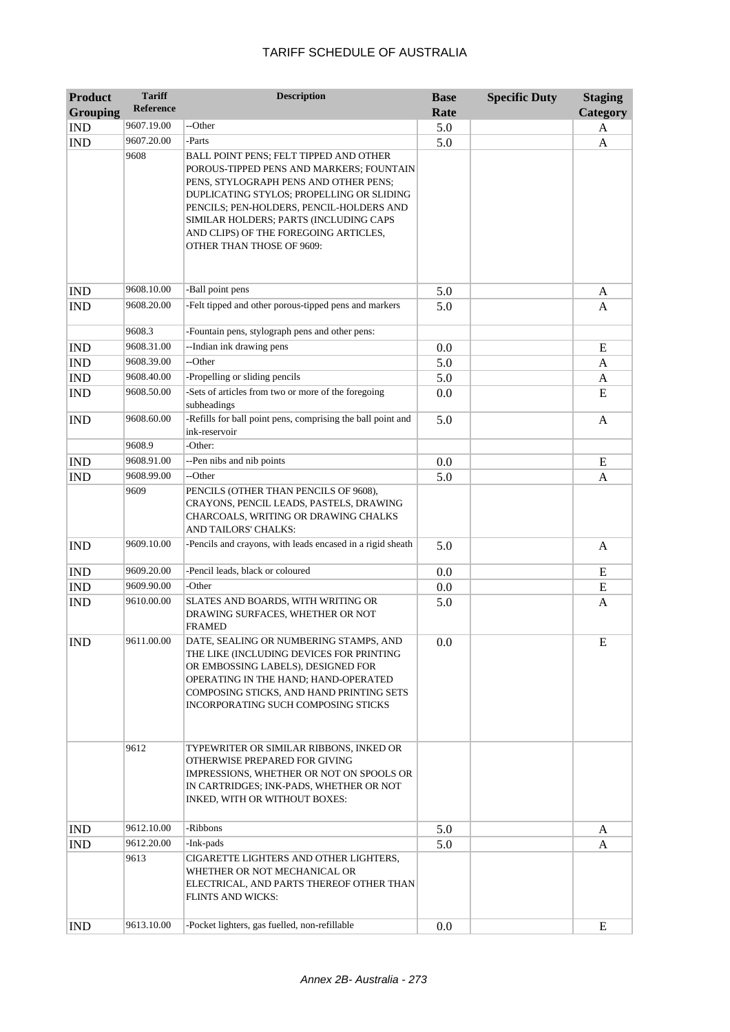| <b>Product</b><br><b>Grouping</b> | <b>Tariff</b><br><b>Reference</b> | <b>Description</b>                                                                                                                                                                                                                                                                                                                   | <b>Base</b><br>Rate | <b>Specific Duty</b> | <b>Staging</b><br>Category |
|-----------------------------------|-----------------------------------|--------------------------------------------------------------------------------------------------------------------------------------------------------------------------------------------------------------------------------------------------------------------------------------------------------------------------------------|---------------------|----------------------|----------------------------|
| <b>IND</b>                        | 9607.19.00                        | --Other                                                                                                                                                                                                                                                                                                                              | 5.0                 |                      | A                          |
| <b>IND</b>                        | 9607.20.00                        | -Parts                                                                                                                                                                                                                                                                                                                               | 5.0                 |                      | A                          |
|                                   | 9608                              | BALL POINT PENS; FELT TIPPED AND OTHER<br>POROUS-TIPPED PENS AND MARKERS; FOUNTAIN<br>PENS, STYLOGRAPH PENS AND OTHER PENS;<br>DUPLICATING STYLOS; PROPELLING OR SLIDING<br>PENCILS; PEN-HOLDERS, PENCIL-HOLDERS AND<br>SIMILAR HOLDERS; PARTS (INCLUDING CAPS<br>AND CLIPS) OF THE FOREGOING ARTICLES,<br>OTHER THAN THOSE OF 9609: |                     |                      |                            |
| <b>IND</b>                        | 9608.10.00                        | -Ball point pens                                                                                                                                                                                                                                                                                                                     | 5.0                 |                      | A                          |
| <b>IND</b>                        | 9608.20.00                        | -Felt tipped and other porous-tipped pens and markers                                                                                                                                                                                                                                                                                | 5.0                 |                      | A                          |
|                                   | 9608.3                            | -Fountain pens, stylograph pens and other pens:                                                                                                                                                                                                                                                                                      |                     |                      |                            |
| <b>IND</b>                        | 9608.31.00                        | --Indian ink drawing pens                                                                                                                                                                                                                                                                                                            | 0.0                 |                      | E                          |
| <b>IND</b>                        | 9608.39.00                        | --Other                                                                                                                                                                                                                                                                                                                              | 5.0                 |                      | A                          |
| <b>IND</b>                        | 9608.40.00                        | -Propelling or sliding pencils                                                                                                                                                                                                                                                                                                       | 5.0                 |                      | A                          |
| <b>IND</b>                        | 9608.50.00                        | -Sets of articles from two or more of the foregoing<br>subheadings                                                                                                                                                                                                                                                                   | 0.0                 |                      | E                          |
| <b>IND</b>                        | 9608.60.00                        | -Refills for ball point pens, comprising the ball point and<br>ink-reservoir                                                                                                                                                                                                                                                         | 5.0                 |                      | A                          |
|                                   | 9608.9                            | -Other:                                                                                                                                                                                                                                                                                                                              |                     |                      |                            |
| <b>IND</b>                        | 9608.91.00                        | --Pen nibs and nib points                                                                                                                                                                                                                                                                                                            | 0.0                 |                      | E                          |
| <b>IND</b>                        | 9608.99.00                        | --Other                                                                                                                                                                                                                                                                                                                              | 5.0                 |                      | A                          |
|                                   | 9609                              | PENCILS (OTHER THAN PENCILS OF 9608),<br>CRAYONS, PENCIL LEADS, PASTELS, DRAWING<br>CHARCOALS, WRITING OR DRAWING CHALKS<br>AND TAILORS' CHALKS:                                                                                                                                                                                     |                     |                      |                            |
| <b>IND</b>                        | 9609.10.00                        | -Pencils and crayons, with leads encased in a rigid sheath                                                                                                                                                                                                                                                                           | 5.0                 |                      | $\mathbf{A}$               |
| <b>IND</b>                        | 9609.20.00                        | -Pencil leads, black or coloured                                                                                                                                                                                                                                                                                                     | 0.0                 |                      | E                          |
| <b>IND</b>                        | 9609.90.00                        | -Other                                                                                                                                                                                                                                                                                                                               | 0.0                 |                      | E                          |
| <b>IND</b>                        | 9610.00.00                        | SLATES AND BOARDS, WITH WRITING OR<br>DRAWING SURFACES, WHETHER OR NOT<br>FRAMED                                                                                                                                                                                                                                                     | 5.0                 |                      | A                          |
| <b>IND</b>                        | 9611.00.00                        | DATE, SEALING OR NUMBERING STAMPS, AND<br>THE LIKE (INCLUDING DEVICES FOR PRINTING<br>OR EMBOSSING LABELS), DESIGNED FOR<br>OPERATING IN THE HAND; HAND-OPERATED<br>COMPOSING STICKS, AND HAND PRINTING SETS<br><b>INCORPORATING SUCH COMPOSING STICKS</b>                                                                           | 0.0                 |                      | E                          |
|                                   | 9612                              | TYPEWRITER OR SIMILAR RIBBONS, INKED OR<br>OTHERWISE PREPARED FOR GIVING<br>IMPRESSIONS, WHETHER OR NOT ON SPOOLS OR<br>IN CARTRIDGES; INK-PADS, WHETHER OR NOT<br>INKED, WITH OR WITHOUT BOXES:                                                                                                                                     |                     |                      |                            |
| <b>IND</b>                        | 9612.10.00                        | -Ribbons                                                                                                                                                                                                                                                                                                                             | 5.0                 |                      | A                          |
| <b>IND</b>                        | 9612.20.00                        | -Ink-pads                                                                                                                                                                                                                                                                                                                            | 5.0                 |                      | A                          |
|                                   | 9613                              | CIGARETTE LIGHTERS AND OTHER LIGHTERS,<br>WHETHER OR NOT MECHANICAL OR<br>ELECTRICAL, AND PARTS THEREOF OTHER THAN<br><b>FLINTS AND WICKS:</b>                                                                                                                                                                                       |                     |                      |                            |
| <b>IND</b>                        | 9613.10.00                        | -Pocket lighters, gas fuelled, non-refillable                                                                                                                                                                                                                                                                                        | 0.0                 |                      | E                          |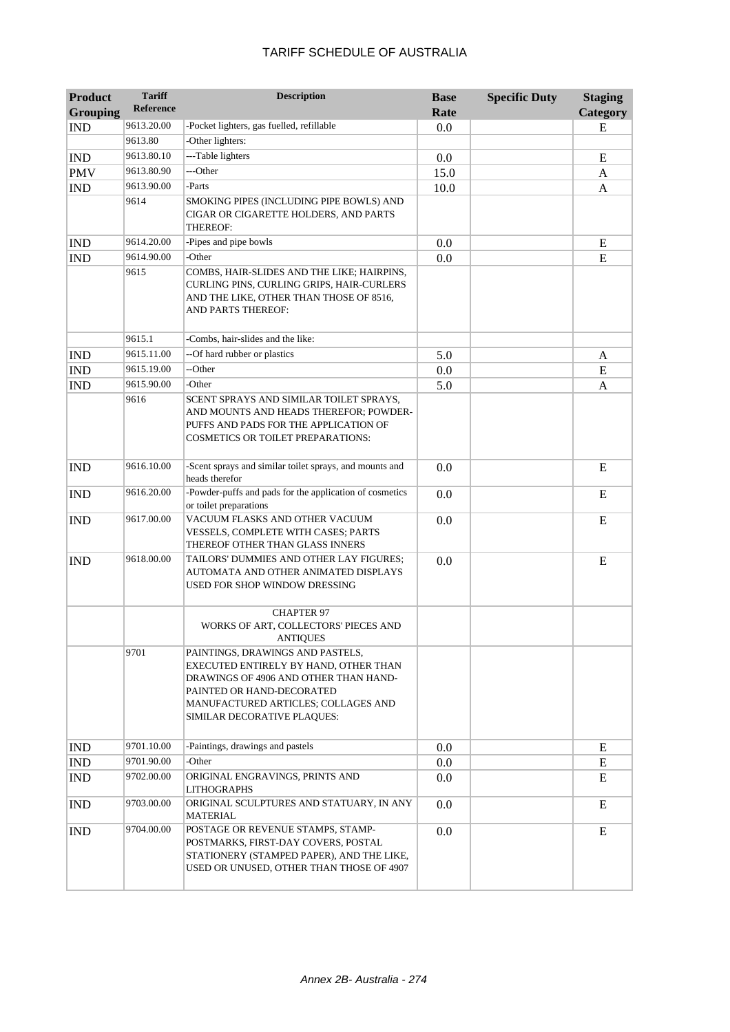| <b>Product</b><br><b>Grouping</b> | <b>Tariff</b><br>Reference | <b>Description</b>                                                                                                                                                                                                    | <b>Base</b><br>Rate | <b>Specific Duty</b> | <b>Staging</b><br>Category |
|-----------------------------------|----------------------------|-----------------------------------------------------------------------------------------------------------------------------------------------------------------------------------------------------------------------|---------------------|----------------------|----------------------------|
| <b>IND</b>                        | 9613.20.00                 | -Pocket lighters, gas fuelled, refillable                                                                                                                                                                             | 0.0                 |                      | E                          |
|                                   | 9613.80                    | -Other lighters:                                                                                                                                                                                                      |                     |                      |                            |
| <b>IND</b>                        | 9613.80.10                 | ---Table lighters                                                                                                                                                                                                     | 0.0                 |                      | E                          |
| <b>PMV</b>                        | 9613.80.90                 | ---Other                                                                                                                                                                                                              | 15.0                |                      | A                          |
| <b>IND</b>                        | 9613.90.00                 | -Parts                                                                                                                                                                                                                | 10.0                |                      | A                          |
|                                   | 9614                       | SMOKING PIPES (INCLUDING PIPE BOWLS) AND<br>CIGAR OR CIGARETTE HOLDERS, AND PARTS<br>THEREOF:                                                                                                                         |                     |                      |                            |
| <b>IND</b>                        | 9614.20.00                 | -Pipes and pipe bowls                                                                                                                                                                                                 | 0.0                 |                      | E                          |
| <b>IND</b>                        | 9614.90.00                 | -Other                                                                                                                                                                                                                | 0.0                 |                      | E                          |
|                                   | 9615                       | COMBS, HAIR-SLIDES AND THE LIKE; HAIRPINS,<br>CURLING PINS, CURLING GRIPS, HAIR-CURLERS<br>AND THE LIKE, OTHER THAN THOSE OF 8516,<br>AND PARTS THEREOF:                                                              |                     |                      |                            |
|                                   | 9615.1                     | -Combs, hair-slides and the like:                                                                                                                                                                                     |                     |                      |                            |
| <b>IND</b>                        | 9615.11.00                 | --Of hard rubber or plastics                                                                                                                                                                                          | 5.0                 |                      | A                          |
| <b>IND</b>                        | 9615.19.00                 | --Other                                                                                                                                                                                                               | 0.0                 |                      | E                          |
| <b>IND</b>                        | 9615.90.00                 | -Other                                                                                                                                                                                                                | 5.0                 |                      | A                          |
|                                   | 9616                       | SCENT SPRAYS AND SIMILAR TOILET SPRAYS,<br>AND MOUNTS AND HEADS THEREFOR; POWDER-<br>PUFFS AND PADS FOR THE APPLICATION OF<br><b>COSMETICS OR TOILET PREPARATIONS:</b>                                                |                     |                      |                            |
| <b>IND</b>                        | 9616.10.00                 | -Scent sprays and similar toilet sprays, and mounts and<br>heads therefor                                                                                                                                             | 0.0                 |                      | E                          |
| <b>IND</b>                        | 9616.20.00                 | -Powder-puffs and pads for the application of cosmetics<br>or toilet preparations                                                                                                                                     | 0.0                 |                      | E                          |
| <b>IND</b>                        | 9617.00.00                 | VACUUM FLASKS AND OTHER VACUUM<br>VESSELS, COMPLETE WITH CASES; PARTS<br>THEREOF OTHER THAN GLASS INNERS                                                                                                              | 0.0                 |                      | E                          |
| <b>IND</b>                        | 9618.00.00                 | TAILORS' DUMMIES AND OTHER LAY FIGURES;<br>AUTOMATA AND OTHER ANIMATED DISPLAYS<br>USED FOR SHOP WINDOW DRESSING                                                                                                      | 0.0                 |                      | E                          |
|                                   |                            | <b>CHAPTER 97</b>                                                                                                                                                                                                     |                     |                      |                            |
|                                   |                            | WORKS OF ART, COLLECTORS' PIECES AND<br>ANTIQUES                                                                                                                                                                      |                     |                      |                            |
|                                   | 9701                       | PAINTINGS, DRAWINGS AND PASTELS,<br>EXECUTED ENTIRELY BY HAND, OTHER THAN<br>DRAWINGS OF 4906 AND OTHER THAN HAND-<br>PAINTED OR HAND-DECORATED<br>MANUFACTURED ARTICLES; COLLAGES AND<br>SIMILAR DECORATIVE PLAQUES: |                     |                      |                            |
| <b>IND</b>                        | 9701.10.00                 | -Paintings, drawings and pastels                                                                                                                                                                                      | 0.0                 |                      | E                          |
| <b>IND</b>                        | 9701.90.00                 | -Other                                                                                                                                                                                                                | 0.0                 |                      | E                          |
| <b>IND</b>                        | 9702.00.00                 | ORIGINAL ENGRAVINGS, PRINTS AND<br>LITHOGRAPHS                                                                                                                                                                        | 0.0                 |                      | E                          |
| <b>IND</b>                        | 9703.00.00                 | ORIGINAL SCULPTURES AND STATUARY, IN ANY<br><b>MATERIAL</b>                                                                                                                                                           | 0.0                 |                      | E                          |
| <b>IND</b>                        | 9704.00.00                 | POSTAGE OR REVENUE STAMPS, STAMP-<br>POSTMARKS, FIRST-DAY COVERS, POSTAL<br>STATIONERY (STAMPED PAPER), AND THE LIKE,<br>USED OR UNUSED, OTHER THAN THOSE OF 4907                                                     | 0.0                 |                      | E                          |